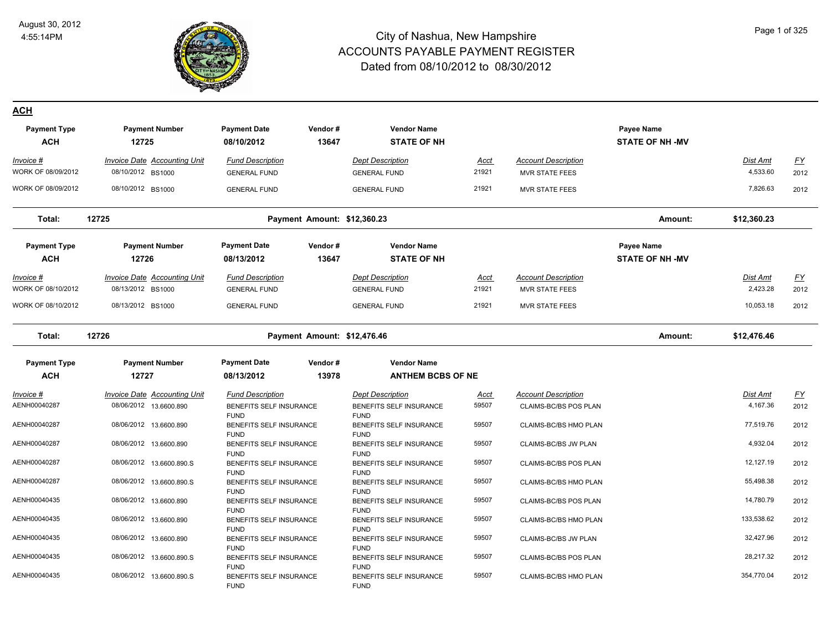

#### Page 1 of 325

| <b>Payment Type</b> | <b>Payment Number</b>               | <b>Payment Date</b>                    | Vendor# | <b>Vendor Name</b>                     |             |                            | Payee Name             |             |           |
|---------------------|-------------------------------------|----------------------------------------|---------|----------------------------------------|-------------|----------------------------|------------------------|-------------|-----------|
| <b>ACH</b>          | 12725                               | 08/10/2012                             | 13647   | <b>STATE OF NH</b>                     |             |                            | <b>STATE OF NH -MV</b> |             |           |
| Invoice #           | <b>Invoice Date Accounting Unit</b> | <b>Fund Description</b>                |         | <b>Dept Description</b>                | Acct        | <b>Account Description</b> |                        | Dist Amt    | <b>FY</b> |
| WORK OF 08/09/2012  | 08/10/2012 BS1000                   | <b>GENERAL FUND</b>                    |         | <b>GENERAL FUND</b>                    | 21921       | <b>MVR STATE FEES</b>      |                        | 4,533.60    | 2012      |
| WORK OF 08/09/2012  | 08/10/2012 BS1000                   | <b>GENERAL FUND</b>                    |         | <b>GENERAL FUND</b>                    | 21921       | <b>MVR STATE FEES</b>      |                        | 7,826.63    | 2012      |
|                     |                                     |                                        |         |                                        |             |                            |                        |             |           |
| Total:              | 12725                               | Payment Amount: \$12,360.23            |         |                                        |             |                            | Amount:                | \$12,360.23 |           |
| <b>Payment Type</b> | <b>Payment Number</b>               | <b>Payment Date</b>                    | Vendor# | <b>Vendor Name</b>                     |             |                            | Payee Name             |             |           |
| <b>ACH</b>          | 12726                               | 08/13/2012                             | 13647   | <b>STATE OF NH</b>                     |             |                            | <b>STATE OF NH -MV</b> |             |           |
|                     |                                     |                                        |         |                                        |             |                            |                        |             |           |
| $Invoice$ #         | <b>Invoice Date Accounting Unit</b> | <b>Fund Description</b>                |         | <b>Dept Description</b>                | <u>Acct</u> | <b>Account Description</b> |                        | Dist Amt    | <u>FY</u> |
| WORK OF 08/10/2012  | 08/13/2012 BS1000                   | <b>GENERAL FUND</b>                    |         | <b>GENERAL FUND</b>                    | 21921       | <b>MVR STATE FEES</b>      |                        | 2,423.28    | 2012      |
| WORK OF 08/10/2012  | 08/13/2012 BS1000                   | <b>GENERAL FUND</b>                    |         | <b>GENERAL FUND</b>                    | 21921       | <b>MVR STATE FEES</b>      |                        | 10,053.18   | 2012      |
| Total:              | 12726                               | Payment Amount: \$12,476.46            |         |                                        |             |                            | Amount:                | \$12,476.46 |           |
| <b>Payment Type</b> | <b>Payment Number</b>               | <b>Payment Date</b>                    | Vendor# | <b>Vendor Name</b>                     |             |                            |                        |             |           |
| <b>ACH</b>          | 12727                               | 08/13/2012                             | 13978   | <b>ANTHEM BCBS OF NE</b>               |             |                            |                        |             |           |
| Invoice #           | <b>Invoice Date Accounting Unit</b> | <b>Fund Description</b>                |         | <b>Dept Description</b>                | <u>Acct</u> | <b>Account Description</b> |                        | Dist Amt    | EY        |
| AENH00040287        | 08/06/2012 13.6600.890              | BENEFITS SELF INSURANCE                |         | BENEFITS SELF INSURANCE                | 59507       | CLAIMS-BC/BS POS PLAN      |                        | 4,167.36    | 2012      |
|                     |                                     | <b>FUND</b>                            |         | <b>FUND</b>                            |             |                            |                        |             |           |
| AENH00040287        | 08/06/2012 13.6600.890              | BENEFITS SELF INSURANCE                |         | BENEFITS SELF INSURANCE                | 59507       | CLAIMS-BC/BS HMO PLAN      |                        | 77,519.76   | 2012      |
| AENH00040287        | 08/06/2012 13.6600.890              | <b>FUND</b>                            |         | <b>FUND</b>                            | 59507       |                            |                        | 4,932.04    | 2012      |
|                     |                                     | BENEFITS SELF INSURANCE<br><b>FUND</b> |         | BENEFITS SELF INSURANCE<br><b>FUND</b> |             | CLAIMS-BC/BS JW PLAN       |                        |             |           |
| AENH00040287        | 08/06/2012 13.6600.890.S            | BENEFITS SELF INSURANCE                |         | BENEFITS SELF INSURANCE                | 59507       | CLAIMS-BC/BS POS PLAN      |                        | 12,127.19   | 2012      |
| AENH00040287        | 08/06/2012 13.6600.890.S            | <b>FUND</b><br>BENEFITS SELF INSURANCE |         | <b>FUND</b><br>BENEFITS SELF INSURANCE | 59507       | CLAIMS-BC/BS HMO PLAN      |                        | 55,498.38   | 2012      |
|                     |                                     | <b>FUND</b>                            |         | <b>FUND</b>                            |             |                            |                        |             |           |
| AENH00040435        | 08/06/2012 13.6600.890              | BENEFITS SELF INSURANCE                |         | BENEFITS SELF INSURANCE                | 59507       | CLAIMS-BC/BS POS PLAN      |                        | 14,780.79   | 2012      |
| AENH00040435        | 08/06/2012 13.6600.890              | <b>FUND</b>                            |         | <b>FUND</b>                            | 59507       |                            |                        | 133,538.62  | 2012      |
|                     |                                     | BENEFITS SELF INSURANCE<br><b>FUND</b> |         | BENEFITS SELF INSURANCE<br><b>FUND</b> |             | CLAIMS-BC/BS HMO PLAN      |                        |             |           |
| AENH00040435        | 08/06/2012 13.6600.890              | BENEFITS SELF INSURANCE                |         | BENEFITS SELF INSURANCE                | 59507       | CLAIMS-BC/BS JW PLAN       |                        | 32,427.96   | 2012      |
|                     |                                     | <b>FUND</b>                            |         | <b>FUND</b>                            |             |                            |                        | 28,217.32   |           |
| AENH00040435        | 08/06/2012 13.6600.890.S            | BENEFITS SELF INSURANCE<br><b>FUND</b> |         | BENEFITS SELF INSURANCE<br><b>FUND</b> | 59507       | CLAIMS-BC/BS POS PLAN      |                        |             | 2012      |
| AENH00040435        | 08/06/2012 13.6600.890.S            | BENEFITS SELF INSURANCE                |         | BENEFITS SELF INSURANCE                | 59507       | CLAIMS-BC/BS HMO PLAN      |                        | 354,770.04  | 2012      |
|                     |                                     | <b>FUND</b>                            |         | <b>FUND</b>                            |             |                            |                        |             |           |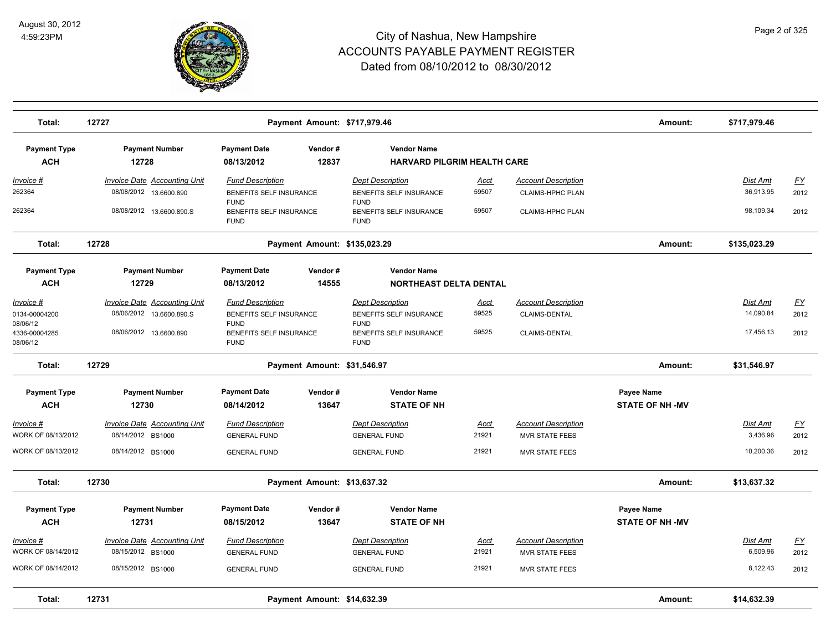

| Total:                                   | 12727                                                         |                                                                   |                  | Payment Amount: \$717,979.46                                             |                      |                                                       | Amount:                              | \$717,979.46                 |                   |
|------------------------------------------|---------------------------------------------------------------|-------------------------------------------------------------------|------------------|--------------------------------------------------------------------------|----------------------|-------------------------------------------------------|--------------------------------------|------------------------------|-------------------|
| <b>Payment Type</b><br><b>ACH</b>        | <b>Payment Number</b><br>12728                                | <b>Payment Date</b><br>08/13/2012                                 | Vendor#<br>12837 | <b>Vendor Name</b><br><b>HARVARD PILGRIM HEALTH CARE</b>                 |                      |                                                       |                                      |                              |                   |
| <u> Invoice #</u><br>262364              | <b>Invoice Date Accounting Unit</b><br>08/08/2012 13.6600.890 | <b>Fund Description</b><br>BENEFITS SELF INSURANCE                |                  | <b>Dept Description</b><br>BENEFITS SELF INSURANCE                       | Acct<br>59507        | <b>Account Description</b><br><b>CLAIMS-HPHC PLAN</b> |                                      | <b>Dist Amt</b><br>36,913.95 | <u>FY</u><br>2012 |
| 262364                                   | 08/08/2012 13.6600.890.S                                      | <b>FUND</b><br>BENEFITS SELF INSURANCE<br><b>FUND</b>             |                  | <b>FUND</b><br>BENEFITS SELF INSURANCE<br><b>FUND</b>                    | 59507                | CLAIMS-HPHC PLAN                                      |                                      | 98,109.34                    | 2012              |
| Total:                                   | 12728                                                         |                                                                   |                  | Payment Amount: \$135,023.29                                             |                      |                                                       | Amount:                              | \$135,023.29                 |                   |
| <b>Payment Type</b><br><b>ACH</b>        | <b>Payment Number</b><br>12729                                | <b>Payment Date</b><br>08/13/2012                                 | Vendor#<br>14555 | <b>Vendor Name</b><br>NORTHEAST DELTA DENTAL                             |                      |                                                       |                                      |                              |                   |
| Invoice #<br>0134-00004200<br>08/06/12   | Invoice Date Accounting Unit<br>08/06/2012 13.6600.890.S      | <b>Fund Description</b><br>BENEFITS SELF INSURANCE<br><b>FUND</b> |                  | <b>Dept Description</b><br><b>BENEFITS SELF INSURANCE</b><br><b>FUND</b> | Acct<br>59525        | <b>Account Description</b><br><b>CLAIMS-DENTAL</b>    |                                      | Dist Amt<br>14,090.84        | EY<br>2012        |
| 4336-00004285<br>08/06/12                | 08/06/2012 13.6600.890                                        | BENEFITS SELF INSURANCE<br><b>FUND</b>                            |                  | BENEFITS SELF INSURANCE<br><b>FUND</b>                                   | 59525                | <b>CLAIMS-DENTAL</b>                                  |                                      | 17,456.13                    | 2012              |
| Total:                                   | 12729                                                         |                                                                   |                  | Payment Amount: \$31,546.97                                              |                      |                                                       | Amount:                              | \$31,546.97                  |                   |
| <b>Payment Type</b><br><b>ACH</b>        | <b>Payment Number</b><br>12730                                | <b>Payment Date</b><br>08/14/2012                                 | Vendor#<br>13647 | <b>Vendor Name</b><br><b>STATE OF NH</b>                                 |                      |                                                       | Payee Name<br><b>STATE OF NH -MV</b> |                              |                   |
| Invoice #<br>WORK OF 08/13/2012          | <b>Invoice Date Accounting Unit</b><br>08/14/2012 BS1000      | <b>Fund Description</b><br><b>GENERAL FUND</b>                    |                  | <b>Dept Description</b><br><b>GENERAL FUND</b>                           | <b>Acct</b><br>21921 | <b>Account Description</b><br><b>MVR STATE FEES</b>   |                                      | Dist Amt<br>3,436.96         | <u>FY</u><br>2012 |
| WORK OF 08/13/2012                       | 08/14/2012 BS1000                                             | <b>GENERAL FUND</b>                                               |                  | <b>GENERAL FUND</b>                                                      | 21921                | <b>MVR STATE FEES</b>                                 |                                      | 10,200.36                    | 2012              |
| Total:                                   | 12730                                                         |                                                                   |                  | Payment Amount: \$13,637.32                                              |                      |                                                       | Amount:                              | \$13,637.32                  |                   |
| <b>Payment Type</b><br><b>ACH</b>        | <b>Payment Number</b><br>12731                                | <b>Payment Date</b><br>08/15/2012                                 | Vendor#<br>13647 | <b>Vendor Name</b><br><b>STATE OF NH</b>                                 |                      |                                                       | Payee Name<br><b>STATE OF NH -MV</b> |                              |                   |
| Invoice #                                | Invoice Date Accounting Unit                                  | <b>Fund Description</b>                                           |                  | <b>Dept Description</b>                                                  | Acct                 | <b>Account Description</b>                            |                                      | Dist Amt                     | <u>FY</u>         |
| WORK OF 08/14/2012<br>WORK OF 08/14/2012 | 08/15/2012 BS1000<br>08/15/2012 BS1000                        | <b>GENERAL FUND</b><br><b>GENERAL FUND</b>                        |                  | <b>GENERAL FUND</b><br><b>GENERAL FUND</b>                               | 21921<br>21921       | <b>MVR STATE FEES</b><br><b>MVR STATE FEES</b>        |                                      | 6,509.96<br>8,122.43         | 2012<br>2012      |
| Total:                                   | 12731                                                         |                                                                   |                  | Payment Amount: \$14,632.39                                              |                      |                                                       | Amount:                              | \$14,632.39                  |                   |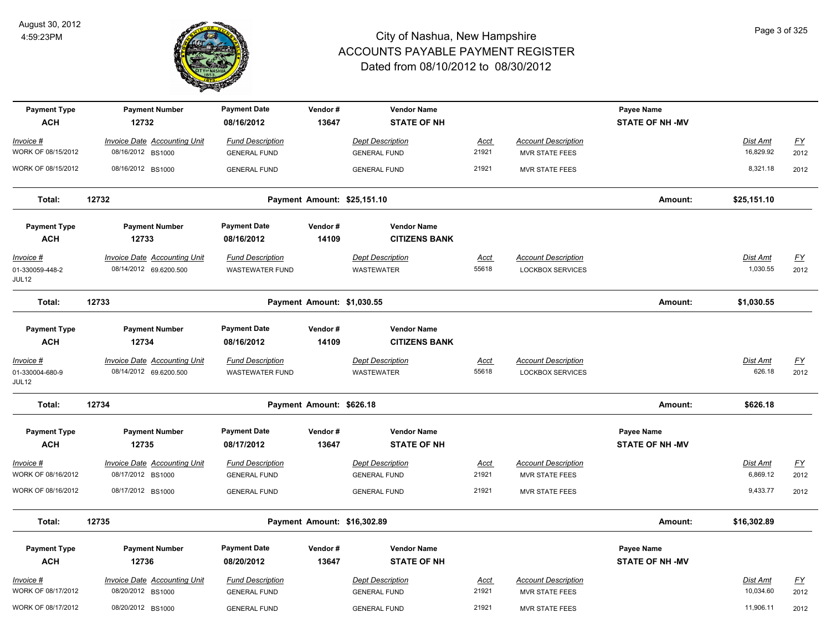

| <b>Payment Type</b><br><b>ACH</b> | <b>Payment Number</b><br>12732      | <b>Payment Date</b><br>08/16/2012 | Vendor#<br>13647            | <b>Vendor Name</b><br><b>STATE OF NH</b> |             |                            | Payee Name<br><b>STATE OF NH -MV</b> |                 |                  |
|-----------------------------------|-------------------------------------|-----------------------------------|-----------------------------|------------------------------------------|-------------|----------------------------|--------------------------------------|-----------------|------------------|
| Invoice #                         | <b>Invoice Date Accounting Unit</b> | <b>Fund Description</b>           |                             | <b>Dept Description</b>                  | Acct        | <b>Account Description</b> |                                      | Dist Amt        | $\underline{FY}$ |
| WORK OF 08/15/2012                | 08/16/2012 BS1000                   | <b>GENERAL FUND</b>               |                             | <b>GENERAL FUND</b>                      | 21921       | <b>MVR STATE FEES</b>      |                                      | 16,829.92       | 2012             |
| WORK OF 08/15/2012                | 08/16/2012 BS1000                   | <b>GENERAL FUND</b>               |                             | <b>GENERAL FUND</b>                      | 21921       | <b>MVR STATE FEES</b>      |                                      | 8,321.18        | 2012             |
| Total:                            | 12732                               |                                   | Payment Amount: \$25,151.10 |                                          |             |                            | Amount:                              | \$25,151.10     |                  |
| <b>Payment Type</b>               | <b>Payment Number</b>               | <b>Payment Date</b>               | Vendor#                     | <b>Vendor Name</b>                       |             |                            |                                      |                 |                  |
| <b>ACH</b>                        | 12733                               | 08/16/2012                        | 14109                       | <b>CITIZENS BANK</b>                     |             |                            |                                      |                 |                  |
| $Invoice$ #                       | <b>Invoice Date Accounting Unit</b> | <b>Fund Description</b>           |                             | <b>Dept Description</b>                  | <u>Acct</u> | <b>Account Description</b> |                                      | <b>Dist Amt</b> | <u>FY</u>        |
| 01-330059-448-2<br>JUL12          | 08/14/2012 69.6200.500              | <b>WASTEWATER FUND</b>            |                             | <b>WASTEWATER</b>                        | 55618       | <b>LOCKBOX SERVICES</b>    |                                      | 1,030.55        | 2012             |
| Total:                            | 12733                               |                                   | Payment Amount: \$1,030.55  |                                          |             |                            | Amount:                              | \$1,030.55      |                  |
| <b>Payment Type</b>               | <b>Payment Number</b>               | <b>Payment Date</b>               | Vendor#                     | <b>Vendor Name</b>                       |             |                            |                                      |                 |                  |
| <b>ACH</b>                        | 12734                               | 08/16/2012                        | 14109                       | <b>CITIZENS BANK</b>                     |             |                            |                                      |                 |                  |
| Invoice #                         | Invoice Date Accounting Unit        | <b>Fund Description</b>           |                             | <b>Dept Description</b>                  | <b>Acct</b> | <b>Account Description</b> |                                      | Dist Amt        | $\underline{FY}$ |
| 01-330004-680-9<br>JUL12          | 08/14/2012 69.6200.500              | <b>WASTEWATER FUND</b>            |                             | <b>WASTEWATER</b>                        | 55618       | <b>LOCKBOX SERVICES</b>    |                                      | 626.18          | 2012             |
| Total:                            | 12734                               |                                   | Payment Amount: \$626.18    |                                          |             |                            | Amount:                              | \$626.18        |                  |
| <b>Payment Type</b>               | <b>Payment Number</b>               | <b>Payment Date</b>               | Vendor#                     | <b>Vendor Name</b>                       |             |                            | Payee Name                           |                 |                  |
| <b>ACH</b>                        | 12735                               | 08/17/2012                        | 13647                       | <b>STATE OF NH</b>                       |             |                            | <b>STATE OF NH -MV</b>               |                 |                  |
| Invoice #                         | <b>Invoice Date Accounting Unit</b> | <b>Fund Description</b>           |                             | <b>Dept Description</b>                  | <u>Acct</u> | <b>Account Description</b> |                                      | <b>Dist Amt</b> | $\underline{FY}$ |
| WORK OF 08/16/2012                | 08/17/2012 BS1000                   | <b>GENERAL FUND</b>               |                             | <b>GENERAL FUND</b>                      | 21921       | <b>MVR STATE FEES</b>      |                                      | 6,869.12        | 2012             |
| WORK OF 08/16/2012                | 08/17/2012 BS1000                   | <b>GENERAL FUND</b>               |                             | <b>GENERAL FUND</b>                      | 21921       | <b>MVR STATE FEES</b>      |                                      | 9,433.77        | 2012             |
| Total:                            | 12735                               |                                   | Payment Amount: \$16,302.89 |                                          |             |                            | Amount:                              | \$16,302.89     |                  |
| <b>Payment Type</b>               | <b>Payment Number</b>               | <b>Payment Date</b>               | Vendor#                     | <b>Vendor Name</b>                       |             |                            | Payee Name                           |                 |                  |
| <b>ACH</b>                        | 12736                               | 08/20/2012                        | 13647                       | <b>STATE OF NH</b>                       |             |                            | <b>STATE OF NH -MV</b>               |                 |                  |
| Invoice #                         | <b>Invoice Date Accounting Unit</b> | <b>Fund Description</b>           |                             | <b>Dept Description</b>                  | <u>Acct</u> | <b>Account Description</b> |                                      | <b>Dist Amt</b> | $\underline{FY}$ |
| WORK OF 08/17/2012                | 08/20/2012 BS1000                   | <b>GENERAL FUND</b>               |                             | <b>GENERAL FUND</b>                      | 21921       | <b>MVR STATE FEES</b>      |                                      | 10,034.60       | 2012             |
| WORK OF 08/17/2012                | 08/20/2012 BS1000                   | <b>GENERAL FUND</b>               |                             | <b>GENERAL FUND</b>                      | 21921       | MVR STATE FEES             |                                      | 11,906.11       | 2012             |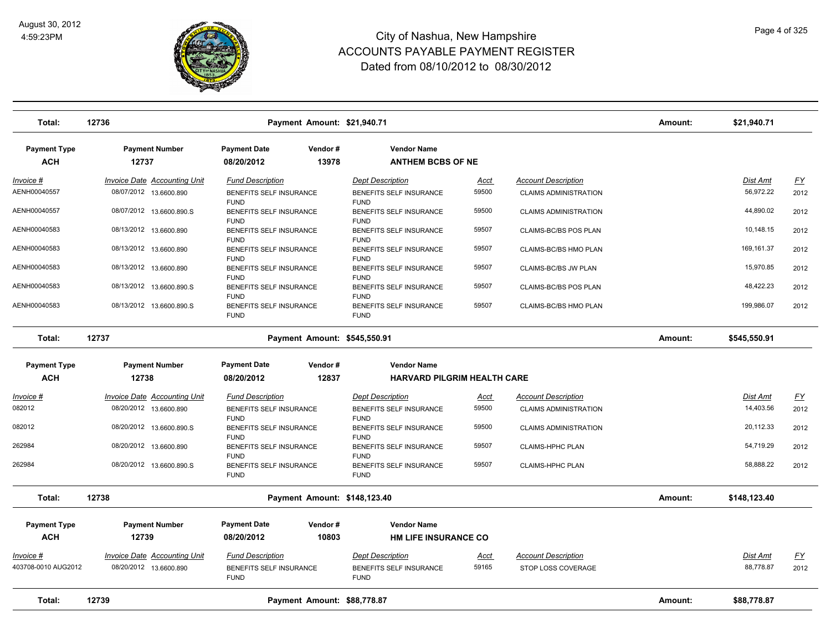

| Total:                            | 12736                                                         |                                                                   | Payment Amount: \$21,940.71 |                                                                   |                      |                                                            | Amount:      | \$21,940.71           |                                   |
|-----------------------------------|---------------------------------------------------------------|-------------------------------------------------------------------|-----------------------------|-------------------------------------------------------------------|----------------------|------------------------------------------------------------|--------------|-----------------------|-----------------------------------|
| <b>Payment Type</b><br><b>ACH</b> | <b>Payment Number</b><br>12737                                | <b>Payment Date</b><br>08/20/2012                                 | Vendor#<br>13978            | <b>Vendor Name</b><br><b>ANTHEM BCBS OF NE</b>                    |                      |                                                            |              |                       |                                   |
| <u> Invoice #</u><br>AENH00040557 | <b>Invoice Date Accounting Unit</b><br>08/07/2012 13.6600.890 | <b>Fund Description</b><br>BENEFITS SELF INSURANCE                |                             | <b>Dept Description</b><br>BENEFITS SELF INSURANCE                | <u>Acct</u><br>59500 | <b>Account Description</b><br><b>CLAIMS ADMINISTRATION</b> |              | Dist Amt<br>56,972.22 | $\underline{\mathsf{FY}}$<br>2012 |
| AENH00040557                      | 08/07/2012 13.6600.890.S                                      | <b>FUND</b><br>BENEFITS SELF INSURANCE<br><b>FUND</b>             |                             | <b>FUND</b><br>BENEFITS SELF INSURANCE<br><b>FUND</b>             | 59500                | <b>CLAIMS ADMINISTRATION</b>                               |              | 44,890.02             | 2012                              |
| AENH00040583                      | 08/13/2012 13.6600.890                                        | BENEFITS SELF INSURANCE<br><b>FUND</b>                            |                             | BENEFITS SELF INSURANCE<br><b>FUND</b>                            | 59507                | CLAIMS-BC/BS POS PLAN                                      |              | 10,148.15             | 2012                              |
| AENH00040583                      | 08/13/2012 13.6600.890                                        | BENEFITS SELF INSURANCE<br><b>FUND</b>                            |                             | BENEFITS SELF INSURANCE<br><b>FUND</b>                            | 59507                | CLAIMS-BC/BS HMO PLAN                                      |              | 169,161.37            | 2012                              |
| AENH00040583                      | 08/13/2012 13.6600.890                                        | BENEFITS SELF INSURANCE<br><b>FUND</b>                            |                             | BENEFITS SELF INSURANCE<br><b>FUND</b>                            | 59507                | CLAIMS-BC/BS JW PLAN                                       |              | 15,970.85             | 2012                              |
| AENH00040583                      | 08/13/2012 13.6600.890.S                                      | BENEFITS SELF INSURANCE<br><b>FUND</b>                            |                             | BENEFITS SELF INSURANCE<br><b>FUND</b>                            | 59507                | CLAIMS-BC/BS POS PLAN                                      |              | 48,422.23             | 2012                              |
| AENH00040583                      | 08/13/2012 13.6600.890.S                                      | BENEFITS SELF INSURANCE<br><b>FUND</b>                            |                             | BENEFITS SELF INSURANCE<br><b>FUND</b>                            | 59507                | CLAIMS-BC/BS HMO PLAN                                      |              | 199,986.07            | 2012                              |
| Total:                            | 12737                                                         |                                                                   |                             | Payment Amount: \$545,550.91                                      |                      | Amount:                                                    | \$545,550.91 |                       |                                   |
| <b>Payment Type</b>               | <b>Payment Number</b>                                         | <b>Payment Date</b>                                               | Vendor#                     | <b>Vendor Name</b>                                                |                      |                                                            |              |                       |                                   |
| <b>ACH</b>                        | 12738                                                         | 08/20/2012                                                        | 12837                       | <b>HARVARD PILGRIM HEALTH CARE</b>                                |                      |                                                            |              |                       |                                   |
| Invoice #                         | Invoice Date Accounting Unit                                  | <b>Fund Description</b>                                           |                             | <b>Dept Description</b>                                           | Acct                 | <b>Account Description</b>                                 |              | Dist Amt              | <u>FY</u>                         |
| 082012                            | 08/20/2012 13.6600.890                                        | BENEFITS SELF INSURANCE<br><b>FUND</b>                            |                             | BENEFITS SELF INSURANCE<br><b>FUND</b>                            | 59500                | <b>CLAIMS ADMINISTRATION</b>                               |              | 14,403.56             | 2012                              |
| 082012                            | 08/20/2012 13.6600.890.S                                      | BENEFITS SELF INSURANCE<br><b>FUND</b>                            |                             | BENEFITS SELF INSURANCE<br><b>FUND</b>                            | 59500                | <b>CLAIMS ADMINISTRATION</b>                               |              | 20,112.33             | 2012                              |
| 262984                            | 08/20/2012 13.6600.890                                        | BENEFITS SELF INSURANCE<br><b>FUND</b>                            |                             | BENEFITS SELF INSURANCE<br><b>FUND</b>                            | 59507                | CLAIMS-HPHC PLAN                                           |              | 54,719.29             | 2012                              |
| 262984                            | 08/20/2012 13.6600.890.S                                      | BENEFITS SELF INSURANCE<br><b>FUND</b>                            |                             | BENEFITS SELF INSURANCE<br><b>FUND</b>                            | 59507                | CLAIMS-HPHC PLAN                                           |              | 58,888.22             | 2012                              |
| Total:                            | 12738                                                         |                                                                   |                             | Payment Amount: \$148,123.40                                      |                      |                                                            | Amount:      | \$148,123.40          |                                   |
| <b>Payment Type</b>               | <b>Payment Number</b>                                         | <b>Payment Date</b>                                               | Vendor#                     | <b>Vendor Name</b>                                                |                      |                                                            |              |                       |                                   |
| <b>ACH</b>                        | 12739                                                         | 08/20/2012                                                        | 10803                       | <b>HM LIFE INSURANCE CO</b>                                       |                      |                                                            |              |                       |                                   |
| Invoice #<br>403708-0010 AUG2012  | <b>Invoice Date Accounting Unit</b><br>08/20/2012 13.6600.890 | <b>Fund Description</b><br>BENEFITS SELF INSURANCE<br><b>FUND</b> |                             | <b>Dept Description</b><br>BENEFITS SELF INSURANCE<br><b>FUND</b> | <b>Acct</b><br>59165 | <b>Account Description</b><br>STOP LOSS COVERAGE           |              | Dist Amt<br>88,778.87 | <u>FY</u><br>2012                 |
| Total:                            | 12739                                                         |                                                                   | Payment Amount: \$88,778.87 |                                                                   |                      |                                                            | Amount:      | \$88,778.87           |                                   |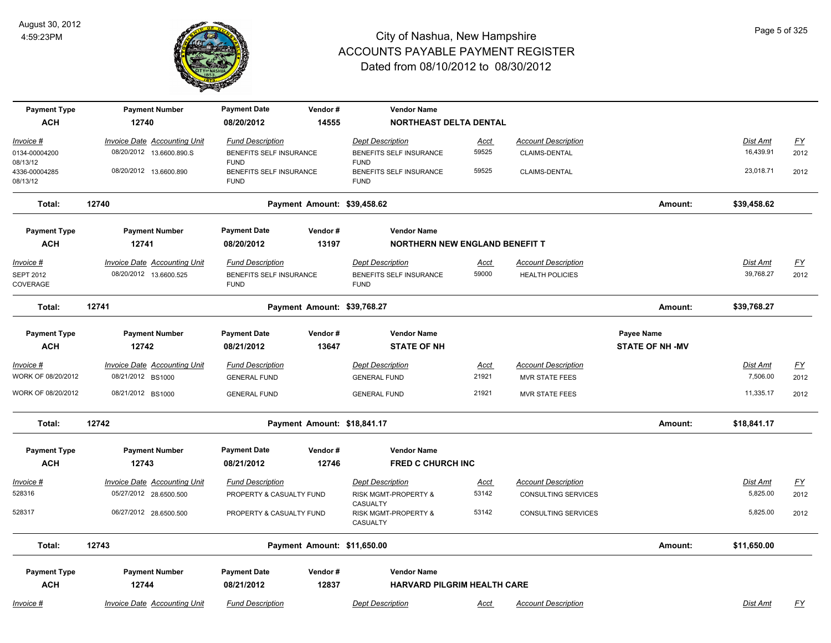

| <b>Payment Type</b>          | <b>Payment Number</b>               | <b>Payment Date</b>                    | Vendor#                     | <b>Vendor Name</b>                          |             |                            |                        |                 |                           |
|------------------------------|-------------------------------------|----------------------------------------|-----------------------------|---------------------------------------------|-------------|----------------------------|------------------------|-----------------|---------------------------|
| <b>ACH</b>                   | 12740                               | 08/20/2012                             | 14555                       | <b>NORTHEAST DELTA DENTAL</b>               |             |                            |                        |                 |                           |
| Invoice #                    | Invoice Date Accounting Unit        | <b>Fund Description</b>                |                             | <b>Dept Description</b>                     | <b>Acct</b> | <b>Account Description</b> |                        | <b>Dist Amt</b> | $\underline{\mathsf{FY}}$ |
| 0134-00004200                | 08/20/2012 13.6600.890.S            | BENEFITS SELF INSURANCE                |                             | BENEFITS SELF INSURANCE                     | 59525       | CLAIMS-DENTAL              |                        | 16,439.91       | 2012                      |
| 08/13/12<br>4336-00004285    | 08/20/2012 13.6600.890              | <b>FUND</b><br>BENEFITS SELF INSURANCE |                             | <b>FUND</b><br>BENEFITS SELF INSURANCE      | 59525       | CLAIMS-DENTAL              |                        | 23,018.71       | 2012                      |
| 08/13/12                     |                                     | <b>FUND</b>                            |                             | <b>FUND</b>                                 |             |                            |                        |                 |                           |
| Total:                       | 12740                               |                                        | Payment Amount: \$39,458.62 |                                             |             |                            | Amount:                | \$39,458.62     |                           |
| <b>Payment Type</b>          | <b>Payment Number</b>               | <b>Payment Date</b>                    | Vendor#                     | <b>Vendor Name</b>                          |             |                            |                        |                 |                           |
| <b>ACH</b>                   | 12741                               | 08/20/2012                             | 13197                       | <b>NORTHERN NEW ENGLAND BENEFIT T</b>       |             |                            |                        |                 |                           |
| $Invoice$ #                  | <b>Invoice Date Accounting Unit</b> | <b>Fund Description</b>                |                             | <b>Dept Description</b>                     | <u>Acct</u> | <b>Account Description</b> |                        | <b>Dist Amt</b> | <u>FY</u>                 |
| <b>SEPT 2012</b><br>COVERAGE | 08/20/2012 13.6600.525              | BENEFITS SELF INSURANCE<br><b>FUND</b> |                             | BENEFITS SELF INSURANCE<br><b>FUND</b>      | 59000       | <b>HEALTH POLICIES</b>     |                        | 39,768.27       | 2012                      |
| Total:                       | 12741                               |                                        | Payment Amount: \$39,768.27 |                                             |             |                            | Amount:                | \$39,768.27     |                           |
| <b>Payment Type</b>          | <b>Payment Number</b>               | <b>Payment Date</b>                    | Vendor#                     | <b>Vendor Name</b>                          |             |                            | Payee Name             |                 |                           |
| <b>ACH</b>                   | 12742                               | 08/21/2012                             | 13647                       | <b>STATE OF NH</b>                          |             |                            | <b>STATE OF NH -MV</b> |                 |                           |
| Invoice #                    | <b>Invoice Date Accounting Unit</b> | <b>Fund Description</b>                |                             | <b>Dept Description</b>                     | <u>Acct</u> | <b>Account Description</b> |                        | <b>Dist Amt</b> | $\underline{\mathsf{FY}}$ |
| WORK OF 08/20/2012           | 08/21/2012 BS1000                   | <b>GENERAL FUND</b>                    |                             | <b>GENERAL FUND</b>                         | 21921       | <b>MVR STATE FEES</b>      |                        | 7,506.00        | 2012                      |
| WORK OF 08/20/2012           | 08/21/2012 BS1000                   | <b>GENERAL FUND</b>                    |                             | <b>GENERAL FUND</b>                         | 21921       | <b>MVR STATE FEES</b>      |                        | 11,335.17       | 2012                      |
| Total:                       | 12742                               |                                        | Payment Amount: \$18,841.17 |                                             |             |                            | Amount:                | \$18,841.17     |                           |
| <b>Payment Type</b>          | <b>Payment Number</b>               | <b>Payment Date</b>                    | Vendor#                     | <b>Vendor Name</b>                          |             |                            |                        |                 |                           |
| <b>ACH</b>                   | 12743                               | 08/21/2012                             | 12746                       | <b>FRED C CHURCH INC</b>                    |             |                            |                        |                 |                           |
| Invoice #                    | <b>Invoice Date Accounting Unit</b> | <b>Fund Description</b>                |                             | <b>Dept Description</b>                     | <u>Acct</u> | <b>Account Description</b> |                        | Dist Amt        | $\underline{FY}$          |
| 528316                       | 05/27/2012 28.6500.500              | PROPERTY & CASUALTY FUND               |                             | <b>RISK MGMT-PROPERTY &amp;</b><br>CASUALTY | 53142       | <b>CONSULTING SERVICES</b> |                        | 5,825.00        | 2012                      |
| 528317                       | 06/27/2012 28.6500.500              | PROPERTY & CASUALTY FUND               |                             | RISK MGMT-PROPERTY &<br>CASUALTY            | 53142       | <b>CONSULTING SERVICES</b> |                        | 5,825.00        | 2012                      |
| Total:                       | 12743                               |                                        | Payment Amount: \$11,650.00 |                                             |             |                            | Amount:                | \$11,650.00     |                           |
| <b>Payment Type</b>          | <b>Payment Number</b>               | <b>Payment Date</b>                    | Vendor#                     | <b>Vendor Name</b>                          |             |                            |                        |                 |                           |
| <b>ACH</b>                   | 12744                               | 08/21/2012                             | 12837                       | <b>HARVARD PILGRIM HEALTH CARE</b>          |             |                            |                        |                 |                           |
| Invoice #                    | <b>Invoice Date Accounting Unit</b> | <b>Fund Description</b>                |                             | <b>Dept Description</b>                     | <u>Acct</u> | <b>Account Description</b> |                        | Dist Amt        | $\underline{FY}$          |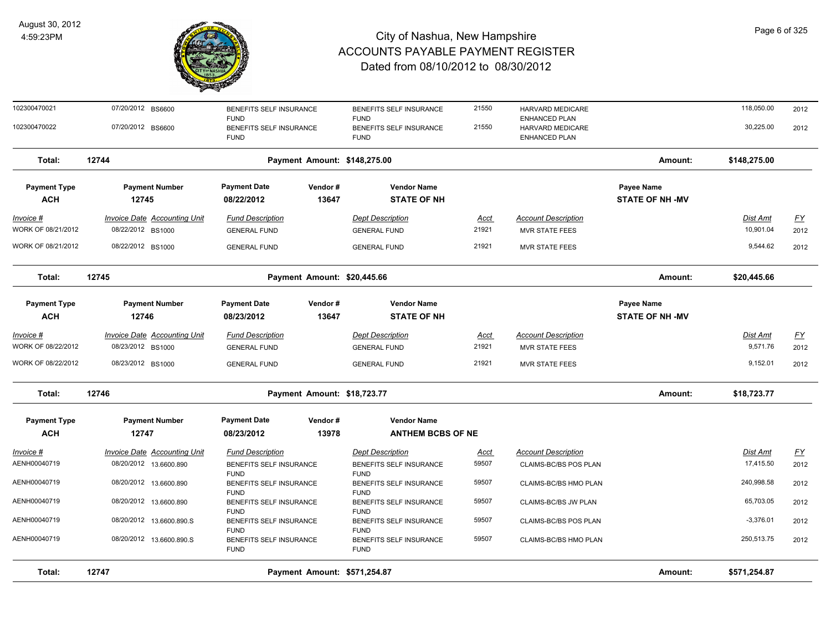

| Total:                            | 12747                                                         | Payment Amount: \$571,254.87                          |                              |                                                       |                      |                                                     | Amount:                              | \$571,254.87          |                  |
|-----------------------------------|---------------------------------------------------------------|-------------------------------------------------------|------------------------------|-------------------------------------------------------|----------------------|-----------------------------------------------------|--------------------------------------|-----------------------|------------------|
| AENH00040719                      | 08/20/2012 13.6600.890.S                                      | BENEFITS SELF INSURANCE<br><b>FUND</b>                |                              | BENEFITS SELF INSURANCE<br><b>FUND</b>                | 59507                | CLAIMS-BC/BS HMO PLAN                               |                                      | 250,513.75            | 2012             |
| AENH00040719                      | 08/20/2012 13.6600.890.S                                      | BENEFITS SELF INSURANCE<br><b>FUND</b>                |                              | BENEFITS SELF INSURANCE<br><b>FUND</b>                | 59507                | CLAIMS-BC/BS POS PLAN                               |                                      | $-3,376.01$           | 2012             |
| AENH00040719                      | 08/20/2012 13.6600.890                                        | BENEFITS SELF INSURANCE<br><b>FUND</b>                |                              | BENEFITS SELF INSURANCE<br><b>FUND</b>                | 59507                | CLAIMS-BC/BS JW PLAN                                |                                      | 65,703.05             | 2012             |
| AENH00040719                      | 08/20/2012 13.6600.890                                        | <b>FUND</b><br>BENEFITS SELF INSURANCE<br><b>FUND</b> |                              | <b>FUND</b><br>BENEFITS SELF INSURANCE<br><b>FUND</b> | 59507                | CLAIMS-BC/BS HMO PLAN                               |                                      | 240,998.58            | 2012             |
| <b>Invoice #</b><br>AENH00040719  | <b>Invoice Date Accounting Unit</b><br>08/20/2012 13.6600.890 | <b>Fund Description</b><br>BENEFITS SELF INSURANCE    |                              | <b>Dept Description</b><br>BENEFITS SELF INSURANCE    | <u>Acct</u><br>59507 | <b>Account Description</b><br>CLAIMS-BC/BS POS PLAN |                                      | Dist Amt<br>17,415.50 | EY<br>2012       |
| <b>ACH</b>                        | 12747                                                         | 08/23/2012                                            | 13978                        | <b>ANTHEM BCBS OF NE</b>                              |                      |                                                     |                                      |                       |                  |
| <b>Payment Type</b>               | <b>Payment Number</b>                                         | <b>Payment Date</b>                                   | Vendor#                      | <b>Vendor Name</b>                                    |                      |                                                     |                                      |                       |                  |
| Total:                            | 12746                                                         |                                                       | Payment Amount: \$18,723.77  |                                                       |                      |                                                     | Amount:                              | \$18,723.77           |                  |
| WORK OF 08/22/2012                | 08/23/2012 BS1000                                             | <b>GENERAL FUND</b>                                   |                              | <b>GENERAL FUND</b>                                   | 21921                | <b>MVR STATE FEES</b>                               |                                      | 9,152.01              | 2012             |
| WORK OF 08/22/2012                | 08/23/2012 BS1000                                             | <b>GENERAL FUND</b>                                   |                              | <b>GENERAL FUND</b>                                   | 21921                | MVR STATE FEES                                      |                                      | 9,571.76              | 2012             |
| Invoice #                         | Invoice Date Accounting Unit                                  | <b>Fund Description</b>                               |                              | <b>Dept Description</b>                               | <u>Acct</u>          | <b>Account Description</b>                          |                                      | Dist Amt              | $\underline{FY}$ |
| <b>Payment Type</b><br><b>ACH</b> | <b>Payment Number</b><br>12746                                | <b>Payment Date</b><br>08/23/2012                     | Vendor#<br>13647             | <b>Vendor Name</b><br><b>STATE OF NH</b>              |                      |                                                     | Payee Name<br><b>STATE OF NH -MV</b> |                       |                  |
| Total:                            | 12745                                                         |                                                       | Payment Amount: \$20,445.66  |                                                       |                      |                                                     | Amount:                              | \$20,445.66           |                  |
| WORK OF 08/21/2012                | 08/22/2012 BS1000                                             | <b>GENERAL FUND</b>                                   |                              | <b>GENERAL FUND</b>                                   | 21921                | <b>MVR STATE FEES</b>                               |                                      | 9,544.62              | 2012             |
| WORK OF 08/21/2012                | 08/22/2012 BS1000                                             | <b>GENERAL FUND</b>                                   |                              | <b>GENERAL FUND</b>                                   | 21921                | <b>MVR STATE FEES</b>                               |                                      | 10,901.04             | 2012             |
| <u>Invoice #</u>                  | <b>Invoice Date Accounting Unit</b>                           | <b>Fund Description</b>                               |                              | <b>Dept Description</b>                               | <u>Acct</u>          | <b>Account Description</b>                          |                                      | <u>Dist Amt</u>       | <u>FY</u>        |
| <b>Payment Type</b><br><b>ACH</b> | <b>Payment Number</b><br>12745                                | <b>Payment Date</b><br>08/22/2012                     | Vendor#<br>13647             | <b>Vendor Name</b><br><b>STATE OF NH</b>              |                      |                                                     | Payee Name<br><b>STATE OF NH -MV</b> |                       |                  |
| Total:                            | 12744                                                         |                                                       | Payment Amount: \$148,275.00 |                                                       |                      |                                                     | Amount:                              | \$148,275.00          |                  |
| 102300470022                      | 07/20/2012 BS6600                                             | BENEFITS SELF INSURANCE<br><b>FUND</b>                |                              | BENEFITS SELF INSURANCE<br><b>FUND</b>                | 21550                | HARVARD MEDICARE<br><b>ENHANCED PLAN</b>            |                                      | 30,225.00             | 2012             |
| 102300470021                      | 07/20/2012 BS6600                                             | BENEFITS SELF INSURANCE<br><b>FUND</b>                |                              | BENEFITS SELF INSURANCE<br><b>FUND</b>                | 21550                | HARVARD MEDICARE<br><b>ENHANCED PLAN</b>            |                                      | 118,050.00            | 2012             |
|                                   |                                                               |                                                       |                              |                                                       |                      |                                                     |                                      |                       |                  |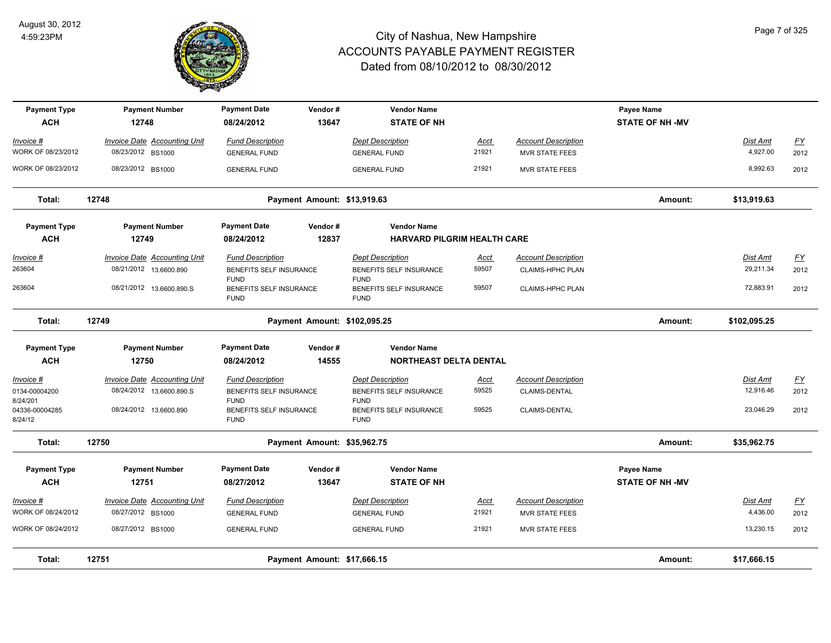

| <b>Payment Type</b><br><b>ACH</b> | <b>Payment Number</b><br>12748                           | <b>Payment Date</b><br>08/24/2012              | Vendor#<br>13647             | <b>Vendor Name</b><br><b>STATE OF NH</b>                 |               |                                                     | Payee Name<br><b>STATE OF NH -MV</b> |                      |                   |
|-----------------------------------|----------------------------------------------------------|------------------------------------------------|------------------------------|----------------------------------------------------------|---------------|-----------------------------------------------------|--------------------------------------|----------------------|-------------------|
| Invoice #<br>WORK OF 08/23/2012   | <b>Invoice Date Accounting Unit</b><br>08/23/2012 BS1000 | <b>Fund Description</b><br><b>GENERAL FUND</b> |                              | <b>Dept Description</b><br><b>GENERAL FUND</b>           | Acct<br>21921 | <b>Account Description</b><br><b>MVR STATE FEES</b> |                                      | Dist Amt<br>4,927.00 | <u>FY</u><br>2012 |
| WORK OF 08/23/2012                | 08/23/2012 BS1000                                        | <b>GENERAL FUND</b>                            |                              | <b>GENERAL FUND</b>                                      | 21921         | <b>MVR STATE FEES</b>                               |                                      | 8,992.63             | 2012              |
| Total:                            | 12748                                                    |                                                | Payment Amount: \$13,919.63  |                                                          |               |                                                     | Amount:                              | \$13,919.63          |                   |
| <b>Payment Type</b><br><b>ACH</b> | <b>Payment Number</b><br>12749                           | <b>Payment Date</b><br>08/24/2012              | Vendor#<br>12837             | <b>Vendor Name</b><br><b>HARVARD PILGRIM HEALTH CARE</b> |               |                                                     |                                      |                      |                   |
| Invoice #                         | <b>Invoice Date Accounting Unit</b>                      | <b>Fund Description</b>                        |                              | <b>Dept Description</b>                                  | <u>Acct</u>   | <b>Account Description</b>                          |                                      | <b>Dist Amt</b>      | <u>FY</u>         |
| 263604                            | 08/21/2012 13.6600.890                                   | BENEFITS SELF INSURANCE<br><b>FUND</b>         |                              | BENEFITS SELF INSURANCE<br><b>FUND</b>                   | 59507         | <b>CLAIMS-HPHC PLAN</b>                             |                                      | 29,211.34            | 2012              |
| 263604                            | 08/21/2012 13.6600.890.S                                 | BENEFITS SELF INSURANCE<br><b>FUND</b>         |                              | BENEFITS SELF INSURANCE<br><b>FUND</b>                   | 59507         | <b>CLAIMS-HPHC PLAN</b>                             |                                      | 72,883.91            | 2012              |
| Total:                            | 12749                                                    |                                                | Payment Amount: \$102,095.25 |                                                          |               |                                                     | Amount:                              | \$102,095.25         |                   |
| <b>Payment Type</b>               | <b>Payment Number</b>                                    | <b>Payment Date</b>                            | Vendor#                      | <b>Vendor Name</b>                                       |               |                                                     |                                      |                      |                   |
| <b>ACH</b>                        | 12750                                                    | 08/24/2012                                     | 14555                        | <b>NORTHEAST DELTA DENTAL</b>                            |               |                                                     |                                      |                      |                   |
| Invoice #                         | <b>Invoice Date Accounting Unit</b>                      | <b>Fund Description</b>                        |                              | <b>Dept Description</b>                                  | <b>Acct</b>   | <b>Account Description</b>                          |                                      | Dist Amt             | $\underline{FY}$  |
| 0134-00004200<br>8/24/201         | 08/24/2012 13.6600.890.S                                 | BENEFITS SELF INSURANCE<br><b>FUND</b>         |                              | BENEFITS SELF INSURANCE<br><b>FUND</b>                   | 59525         | CLAIMS-DENTAL                                       |                                      | 12,916.46            | 2012              |
| 04336-00004285<br>8/24/12         | 08/24/2012 13.6600.890                                   | BENEFITS SELF INSURANCE<br><b>FUND</b>         |                              | BENEFITS SELF INSURANCE<br><b>FUND</b>                   | 59525         | CLAIMS-DENTAL                                       |                                      | 23,046.29            | 2012              |
| Total:                            | 12750                                                    |                                                | Payment Amount: \$35,962.75  |                                                          |               |                                                     | Amount:                              | \$35,962.75          |                   |
| <b>Payment Type</b>               | <b>Payment Number</b>                                    | <b>Payment Date</b>                            | Vendor#                      | <b>Vendor Name</b>                                       |               |                                                     | Payee Name                           |                      |                   |
| <b>ACH</b>                        | 12751                                                    | 08/27/2012                                     | 13647                        | <b>STATE OF NH</b>                                       |               |                                                     | <b>STATE OF NH -MV</b>               |                      |                   |
| Invoice #                         | Invoice Date Accounting Unit                             | <b>Fund Description</b>                        |                              | <b>Dept Description</b>                                  | Acct          | <b>Account Description</b>                          |                                      | Dist Amt             | <u>FY</u>         |
| WORK OF 08/24/2012                | 08/27/2012 BS1000                                        | <b>GENERAL FUND</b>                            |                              | <b>GENERAL FUND</b>                                      | 21921         | <b>MVR STATE FEES</b>                               |                                      | 4,436.00             | 2012              |
| WORK OF 08/24/2012                | 08/27/2012 BS1000                                        | <b>GENERAL FUND</b>                            |                              | <b>GENERAL FUND</b>                                      | 21921         | <b>MVR STATE FEES</b>                               |                                      | 13,230.15            | 2012              |
| Total:                            | 12751                                                    |                                                | Payment Amount: \$17,666.15  |                                                          |               |                                                     | Amount:                              | \$17,666.15          |                   |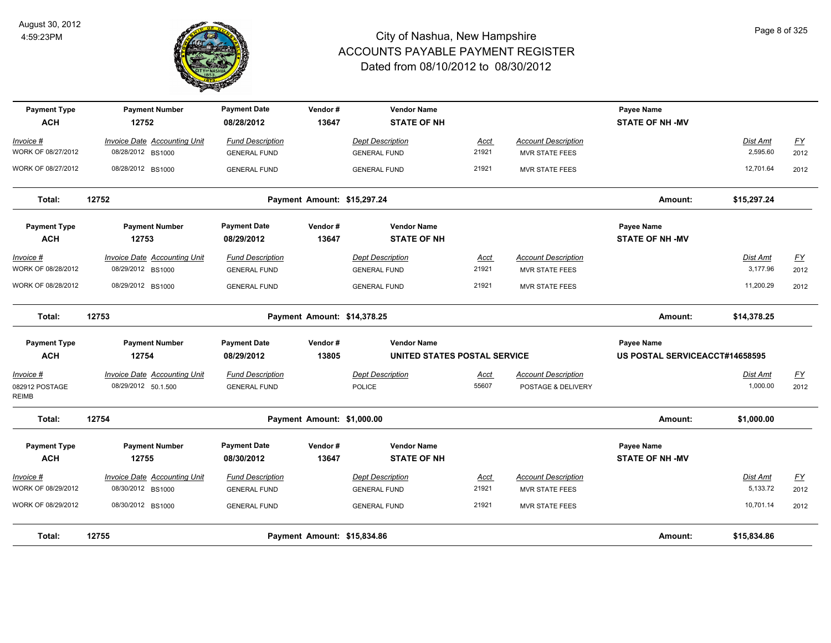

| <b>Payment Type</b><br><b>ACH</b>    | <b>Payment Number</b><br>12752                           | <b>Payment Date</b><br>08/28/2012              | Vendor#<br>13647            | <b>Vendor Name</b><br><b>STATE OF NH</b>       |               |                                                     | Payee Name<br><b>STATE OF NH -MV</b> |                      |                   |
|--------------------------------------|----------------------------------------------------------|------------------------------------------------|-----------------------------|------------------------------------------------|---------------|-----------------------------------------------------|--------------------------------------|----------------------|-------------------|
| Invoice #<br>WORK OF 08/27/2012      | Invoice Date Accounting Unit<br>08/28/2012 BS1000        | <b>Fund Description</b><br><b>GENERAL FUND</b> |                             | <b>Dept Description</b><br><b>GENERAL FUND</b> | Acct<br>21921 | <b>Account Description</b><br><b>MVR STATE FEES</b> |                                      | Dist Amt<br>2,595.60 | <u>FY</u><br>2012 |
| WORK OF 08/27/2012                   | 08/28/2012 BS1000                                        | <b>GENERAL FUND</b>                            |                             | <b>GENERAL FUND</b>                            | 21921         | <b>MVR STATE FEES</b>                               |                                      | 12,701.64            | 2012              |
| Total:                               | 12752                                                    |                                                | Payment Amount: \$15,297.24 |                                                |               |                                                     | Amount:                              | \$15,297.24          |                   |
| <b>Payment Type</b><br><b>ACH</b>    | <b>Payment Number</b><br>12753                           | <b>Payment Date</b><br>08/29/2012              | Vendor#<br>13647            | <b>Vendor Name</b><br><b>STATE OF NH</b>       |               |                                                     | Payee Name<br><b>STATE OF NH -MV</b> |                      |                   |
| Invoice #<br>WORK OF 08/28/2012      | <b>Invoice Date Accounting Unit</b><br>08/29/2012 BS1000 | <b>Fund Description</b><br><b>GENERAL FUND</b> |                             | <b>Dept Description</b><br><b>GENERAL FUND</b> | Acct<br>21921 | <b>Account Description</b><br>MVR STATE FEES        |                                      | Dist Amt<br>3,177.96 | <b>FY</b><br>2012 |
| WORK OF 08/28/2012                   | 08/29/2012 BS1000                                        | <b>GENERAL FUND</b>                            |                             | <b>GENERAL FUND</b>                            | 21921         | <b>MVR STATE FEES</b>                               |                                      | 11,200.29            | 2012              |
| Total:                               | 12753                                                    |                                                | Payment Amount: \$14,378.25 |                                                |               |                                                     | Amount:                              | \$14,378.25          |                   |
| <b>Payment Type</b>                  | <b>Payment Number</b>                                    | <b>Payment Date</b>                            | Vendor#                     | <b>Vendor Name</b>                             |               |                                                     | Payee Name                           |                      |                   |
| <b>ACH</b>                           | 12754                                                    | 08/29/2012                                     | 13805                       | UNITED STATES POSTAL SERVICE                   |               |                                                     | US POSTAL SERVICEACCT#14658595       |                      |                   |
| Invoice #<br>082912 POSTAGE<br>REIMB | Invoice Date Accounting Unit<br>08/29/2012 50.1.500      | <b>Fund Description</b><br><b>GENERAL FUND</b> |                             | <b>Dept Description</b><br>POLICE              | Acct<br>55607 | <b>Account Description</b><br>POSTAGE & DELIVERY    |                                      | Dist Amt<br>1,000.00 | <u>FY</u><br>2012 |
| Total:                               | 12754                                                    |                                                | Payment Amount: \$1,000.00  |                                                |               |                                                     | Amount:                              | \$1,000.00           |                   |
| <b>Payment Type</b><br><b>ACH</b>    | <b>Payment Number</b><br>12755                           | <b>Payment Date</b><br>08/30/2012              | Vendor#<br>13647            | <b>Vendor Name</b><br><b>STATE OF NH</b>       |               |                                                     | Payee Name<br><b>STATE OF NH-MV</b>  |                      |                   |
| Invoice #<br>WORK OF 08/29/2012      | Invoice Date Accounting Unit<br>08/30/2012 BS1000        | <b>Fund Description</b><br><b>GENERAL FUND</b> |                             | <b>Dept Description</b><br><b>GENERAL FUND</b> | Acct<br>21921 | <b>Account Description</b><br><b>MVR STATE FEES</b> |                                      | Dist Amt<br>5,133.72 | <u>FY</u><br>2012 |
| WORK OF 08/29/2012                   | 08/30/2012 BS1000                                        | <b>GENERAL FUND</b>                            |                             | <b>GENERAL FUND</b>                            | 21921         | <b>MVR STATE FEES</b>                               |                                      | 10,701.14            | 2012              |
| Total:                               | 12755                                                    |                                                | Payment Amount: \$15,834.86 |                                                |               |                                                     | Amount:                              | \$15,834.86          |                   |

Page 8 of 325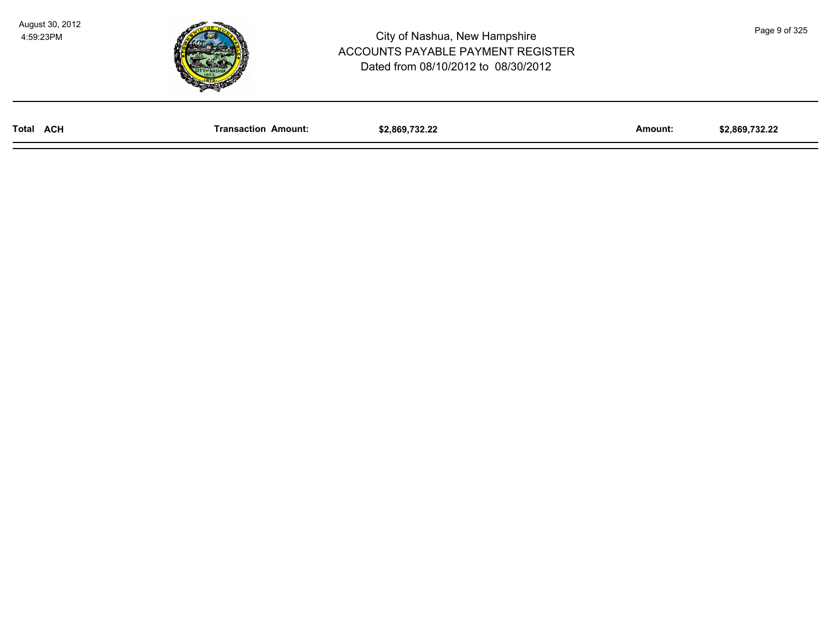

| Total<br><b>ACH</b> | Transaction<br>Amount: | \$2.869.732.22 | Amount: | \$2.869.732.22 |
|---------------------|------------------------|----------------|---------|----------------|
|                     |                        |                |         |                |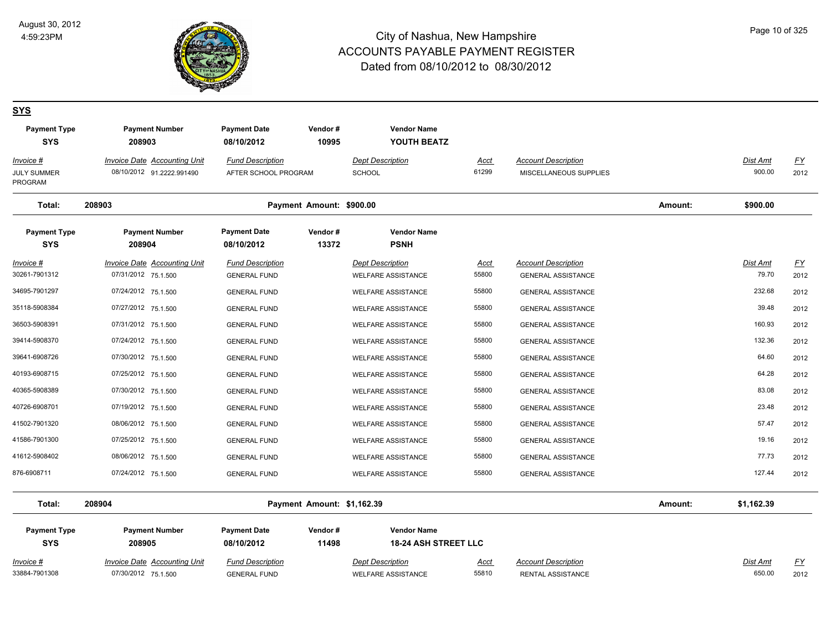

# Page 10 of 325

#### **SYS**

| <b>Payment Type</b><br><b>SYS</b>          | <b>Payment Number</b><br>208903                                  | <b>Payment Date</b><br>08/10/2012               | Vendor#<br>10995           | <b>Vendor Name</b><br>YOUTH BEATZ                    |                      |                                                         |         |                          |                   |
|--------------------------------------------|------------------------------------------------------------------|-------------------------------------------------|----------------------------|------------------------------------------------------|----------------------|---------------------------------------------------------|---------|--------------------------|-------------------|
| Invoice #<br><b>JULY SUMMER</b><br>PROGRAM | <b>Invoice Date Accounting Unit</b><br>08/10/2012 91.2222.991490 | <b>Fund Description</b><br>AFTER SCHOOL PROGRAM |                            | <b>Dept Description</b><br>SCHOOL                    | <u>Acct</u><br>61299 | <b>Account Description</b><br>MISCELLANEOUS SUPPLIES    |         | Dist Amt<br>900.00       | <u>FY</u><br>2012 |
| Total:                                     | 208903                                                           |                                                 | Payment Amount: \$900.00   |                                                      |                      |                                                         | Amount: | \$900.00                 |                   |
| <b>Payment Type</b><br><b>SYS</b>          | <b>Payment Number</b><br>208904                                  | <b>Payment Date</b><br>08/10/2012               | Vendor#<br>13372           | <b>Vendor Name</b><br><b>PSNH</b>                    |                      |                                                         |         |                          |                   |
| <b>Invoice #</b><br>30261-7901312          | <b>Invoice Date Accounting Unit</b><br>07/31/2012 75.1.500       | <b>Fund Description</b><br><b>GENERAL FUND</b>  |                            | <b>Dept Description</b><br><b>WELFARE ASSISTANCE</b> | <u>Acct</u><br>55800 | <b>Account Description</b><br><b>GENERAL ASSISTANCE</b> |         | <b>Dist Amt</b><br>79.70 | <u>FY</u><br>2012 |
| 34695-7901297                              | 07/24/2012 75.1.500                                              | <b>GENERAL FUND</b>                             |                            | <b>WELFARE ASSISTANCE</b>                            | 55800                | <b>GENERAL ASSISTANCE</b>                               |         | 232.68                   | 2012              |
| 35118-5908384                              | 07/27/2012 75.1.500                                              | <b>GENERAL FUND</b>                             |                            | <b>WELFARE ASSISTANCE</b>                            | 55800                | <b>GENERAL ASSISTANCE</b>                               |         | 39.48                    | 2012              |
| 36503-5908391                              | 07/31/2012 75.1.500                                              | <b>GENERAL FUND</b>                             |                            | <b>WELFARE ASSISTANCE</b>                            | 55800                | <b>GENERAL ASSISTANCE</b>                               |         | 160.93                   | 2012              |
| 39414-5908370                              | 07/24/2012 75.1.500                                              | <b>GENERAL FUND</b>                             |                            | <b>WELFARE ASSISTANCE</b>                            | 55800                | <b>GENERAL ASSISTANCE</b>                               |         | 132.36                   | 2012              |
| 39641-6908726                              | 07/30/2012 75.1.500                                              | <b>GENERAL FUND</b>                             |                            | <b>WELFARE ASSISTANCE</b>                            | 55800                | <b>GENERAL ASSISTANCE</b>                               |         | 64.60                    | 2012              |
| 40193-6908715                              | 07/25/2012 75.1.500                                              | <b>GENERAL FUND</b>                             |                            | <b>WELFARE ASSISTANCE</b>                            | 55800                | <b>GENERAL ASSISTANCE</b>                               |         | 64.28                    | 2012              |
| 40365-5908389                              | 07/30/2012 75.1.500                                              | <b>GENERAL FUND</b>                             |                            | <b>WELFARE ASSISTANCE</b>                            | 55800                | <b>GENERAL ASSISTANCE</b>                               |         | 83.08                    | 2012              |
| 40726-6908701                              | 07/19/2012 75.1.500                                              | <b>GENERAL FUND</b>                             |                            | <b>WELFARE ASSISTANCE</b>                            | 55800                | <b>GENERAL ASSISTANCE</b>                               |         | 23.48                    | 2012              |
| 41502-7901320                              | 08/06/2012 75.1.500                                              | <b>GENERAL FUND</b>                             |                            | <b>WELFARE ASSISTANCE</b>                            | 55800                | <b>GENERAL ASSISTANCE</b>                               |         | 57.47                    | 2012              |
| 41586-7901300                              | 07/25/2012 75.1.500                                              | <b>GENERAL FUND</b>                             |                            | WELFARE ASSISTANCE                                   | 55800                | <b>GENERAL ASSISTANCE</b>                               |         | 19.16                    | 2012              |
| 41612-5908402                              | 08/06/2012 75.1.500                                              | <b>GENERAL FUND</b>                             |                            | <b>WELFARE ASSISTANCE</b>                            | 55800                | <b>GENERAL ASSISTANCE</b>                               |         | 77.73                    | 2012              |
| 876-6908711                                | 07/24/2012 75.1.500                                              | <b>GENERAL FUND</b>                             |                            | <b>WELFARE ASSISTANCE</b>                            | 55800                | <b>GENERAL ASSISTANCE</b>                               |         | 127.44                   | 2012              |
| Total:                                     | 208904                                                           |                                                 | Payment Amount: \$1,162.39 |                                                      |                      |                                                         | Amount: | \$1,162.39               |                   |
| <b>Payment Type</b>                        | <b>Payment Number</b>                                            | <b>Payment Date</b>                             | Vendor#                    | <b>Vendor Name</b>                                   |                      |                                                         |         |                          |                   |

| <b>SYS</b>    | 208905                       | 08/10/2012              | 11498 | <b>18-24 ASH STREET LLC</b> |             |                            |          |        |
|---------------|------------------------------|-------------------------|-------|-----------------------------|-------------|----------------------------|----------|--------|
| Invoice #     | Invoice Date Accounting Unit | <b>Fund Description</b> |       | <b>Dept Description</b>     | <u>Acct</u> | <b>Account Description</b> | Dist Amt | $\sim$ |
| 33884-7901308 | 07/30/2012 75.1.500          | GENERAL FUND            |       | <b>WELFARE ASSISTANCE</b>   | 55810       | RENTAL ASSISTANCE          | 650.00   | 2012   |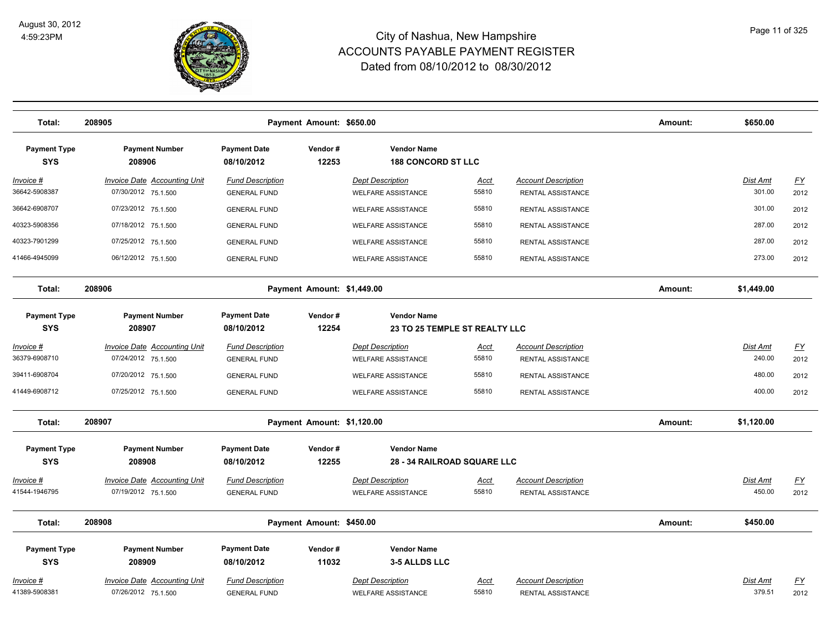

| Total:                            | 208905                              |                                   | Payment Amount: \$650.00   |                                                 |             |                            | Amount: | \$650.00        |                           |
|-----------------------------------|-------------------------------------|-----------------------------------|----------------------------|-------------------------------------------------|-------------|----------------------------|---------|-----------------|---------------------------|
| <b>Payment Type</b><br><b>SYS</b> | <b>Payment Number</b><br>208906     | <b>Payment Date</b><br>08/10/2012 | Vendor#<br>12253           | <b>Vendor Name</b><br><b>188 CONCORD ST LLC</b> |             |                            |         |                 |                           |
| Invoice #                         | <b>Invoice Date Accounting Unit</b> | <b>Fund Description</b>           |                            | <b>Dept Description</b>                         | <u>Acct</u> | <b>Account Description</b> |         | Dist Amt        | EY                        |
| 36642-5908387                     | 07/30/2012 75.1.500                 | <b>GENERAL FUND</b>               |                            | <b>WELFARE ASSISTANCE</b>                       | 55810       | RENTAL ASSISTANCE          |         | 301.00          | 2012                      |
| 36642-6908707                     | 07/23/2012 75.1.500                 | <b>GENERAL FUND</b>               |                            | <b>WELFARE ASSISTANCE</b>                       | 55810       | <b>RENTAL ASSISTANCE</b>   |         | 301.00          | 2012                      |
| 40323-5908356                     | 07/18/2012 75.1.500                 | <b>GENERAL FUND</b>               |                            | <b>WELFARE ASSISTANCE</b>                       | 55810       | RENTAL ASSISTANCE          |         | 287.00          | 2012                      |
| 40323-7901299                     | 07/25/2012 75.1.500                 | <b>GENERAL FUND</b>               |                            | WELFARE ASSISTANCE                              | 55810       | RENTAL ASSISTANCE          |         | 287.00          | 2012                      |
| 41466-4945099                     | 06/12/2012 75.1.500                 | <b>GENERAL FUND</b>               |                            | <b>WELFARE ASSISTANCE</b>                       | 55810       | RENTAL ASSISTANCE          |         | 273.00          | 2012                      |
| Total:                            | 208906                              |                                   | Payment Amount: \$1,449.00 |                                                 |             |                            | Amount: | \$1,449.00      |                           |
| <b>Payment Type</b>               | <b>Payment Number</b>               | <b>Payment Date</b>               | Vendor#                    | <b>Vendor Name</b>                              |             |                            |         |                 |                           |
| <b>SYS</b>                        | 208907                              | 08/10/2012                        | 12254                      | 23 TO 25 TEMPLE ST REALTY LLC                   |             |                            |         |                 |                           |
| Invoice #                         | <b>Invoice Date Accounting Unit</b> | <b>Fund Description</b>           |                            | <b>Dept Description</b>                         | Acct        | <b>Account Description</b> |         | Dist Amt        | $\underline{\mathsf{FY}}$ |
| 36379-6908710                     | 07/24/2012 75.1.500                 | <b>GENERAL FUND</b>               |                            | <b>WELFARE ASSISTANCE</b>                       | 55810       | <b>RENTAL ASSISTANCE</b>   |         | 240.00          | 2012                      |
| 39411-6908704                     | 07/20/2012 75.1.500                 | <b>GENERAL FUND</b>               |                            | <b>WELFARE ASSISTANCE</b>                       | 55810       | RENTAL ASSISTANCE          |         | 480.00          | 2012                      |
| 41449-6908712                     | 07/25/2012 75.1.500                 | <b>GENERAL FUND</b>               |                            | <b>WELFARE ASSISTANCE</b>                       | 55810       | RENTAL ASSISTANCE          |         | 400.00          | 2012                      |
| Total:                            | 208907                              |                                   | Payment Amount: \$1,120.00 |                                                 |             |                            | Amount: | \$1,120.00      |                           |
| <b>Payment Type</b>               | <b>Payment Number</b>               | <b>Payment Date</b>               | Vendor#                    | <b>Vendor Name</b>                              |             |                            |         |                 |                           |
| <b>SYS</b>                        | 208908                              | 08/10/2012                        | 12255                      | <b>28 - 34 RAILROAD SQUARE LLC</b>              |             |                            |         |                 |                           |
| Invoice #                         | <b>Invoice Date Accounting Unit</b> | <b>Fund Description</b>           |                            | <b>Dept Description</b>                         | <b>Acct</b> | <b>Account Description</b> |         | Dist Amt        | <u>FY</u>                 |
| 41544-1946795                     | 07/19/2012 75.1.500                 | <b>GENERAL FUND</b>               |                            | <b>WELFARE ASSISTANCE</b>                       | 55810       | RENTAL ASSISTANCE          |         | 450.00          | 2012                      |
| Total:                            | 208908                              |                                   | Payment Amount: \$450.00   |                                                 |             |                            | Amount: | \$450.00        |                           |
| <b>Payment Type</b>               | <b>Payment Number</b>               | <b>Payment Date</b>               | Vendor#                    | <b>Vendor Name</b>                              |             |                            |         |                 |                           |
| <b>SYS</b>                        | 208909                              | 08/10/2012                        | 11032                      | 3-5 ALLDS LLC                                   |             |                            |         |                 |                           |
| Invoice #                         | <b>Invoice Date Accounting Unit</b> | <b>Fund Description</b>           |                            | <b>Dept Description</b>                         | Acct        | <b>Account Description</b> |         | <b>Dist Amt</b> | <u>FY</u>                 |
| 41389-5908381                     | 07/26/2012 75.1.500                 | <b>GENERAL FUND</b>               |                            | <b>WELFARE ASSISTANCE</b>                       | 55810       | RENTAL ASSISTANCE          |         | 379.51          | 2012                      |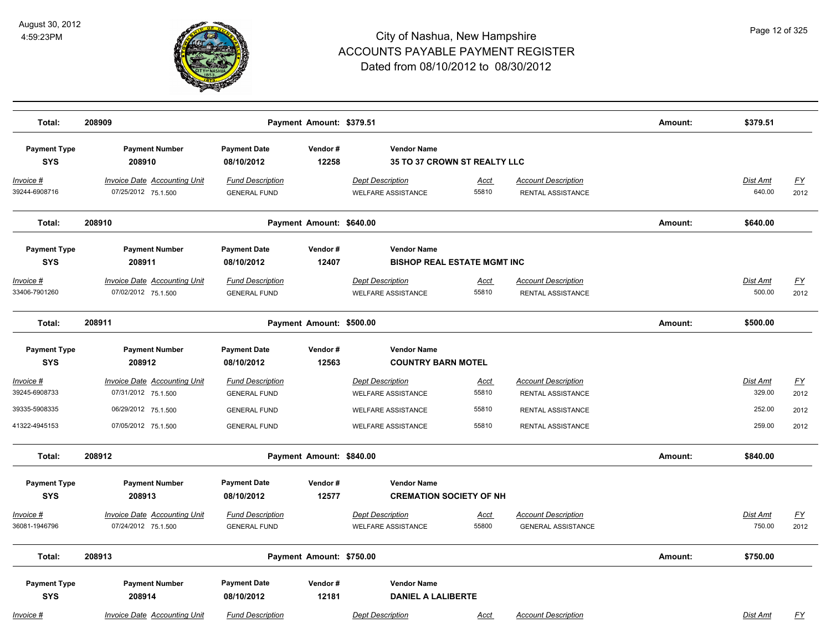

| Total:                            | 208909                                                     |                                                | Payment Amount: \$379.51 |                                                      |                      |                                                         | Amount: | \$379.51                  |                                   |
|-----------------------------------|------------------------------------------------------------|------------------------------------------------|--------------------------|------------------------------------------------------|----------------------|---------------------------------------------------------|---------|---------------------------|-----------------------------------|
| <b>Payment Type</b><br><b>SYS</b> | <b>Payment Number</b><br>208910                            | <b>Payment Date</b><br>08/10/2012              | Vendor#<br>12258         | <b>Vendor Name</b><br>35 TO 37 CROWN ST REALTY LLC   |                      |                                                         |         |                           |                                   |
| <u>Invoice #</u><br>39244-6908716 | <b>Invoice Date Accounting Unit</b><br>07/25/2012 75.1.500 | <b>Fund Description</b><br><b>GENERAL FUND</b> |                          | <b>Dept Description</b><br><b>WELFARE ASSISTANCE</b> | <u>Acct</u><br>55810 | <b>Account Description</b><br>RENTAL ASSISTANCE         |         | Dist Amt<br>640.00        | $\underline{\mathsf{FY}}$<br>2012 |
| Total:                            | 208910                                                     |                                                | Payment Amount: \$640.00 |                                                      |                      |                                                         | Amount: | \$640.00                  |                                   |
| <b>Payment Type</b>               | <b>Payment Number</b>                                      | <b>Payment Date</b>                            | Vendor#                  | <b>Vendor Name</b>                                   |                      |                                                         |         |                           |                                   |
| <b>SYS</b>                        | 208911                                                     | 08/10/2012                                     | 12407                    | <b>BISHOP REAL ESTATE MGMT INC</b>                   |                      |                                                         |         |                           |                                   |
| Invoice #<br>33406-7901260        | <b>Invoice Date Accounting Unit</b><br>07/02/2012 75.1.500 | <b>Fund Description</b><br><b>GENERAL FUND</b> |                          | <b>Dept Description</b><br><b>WELFARE ASSISTANCE</b> | Acct<br>55810        | <b>Account Description</b><br>RENTAL ASSISTANCE         |         | <b>Dist Amt</b><br>500.00 | <u>FY</u><br>2012                 |
| Total:                            | 208911                                                     |                                                | Payment Amount: \$500.00 |                                                      |                      |                                                         | Amount: | \$500.00                  |                                   |
| <b>Payment Type</b><br><b>SYS</b> | <b>Payment Number</b><br>208912                            | <b>Payment Date</b><br>08/10/2012              | Vendor#<br>12563         | <b>Vendor Name</b><br><b>COUNTRY BARN MOTEL</b>      |                      |                                                         |         |                           |                                   |
| Invoice #<br>39245-6908733        | <b>Invoice Date Accounting Unit</b>                        | <b>Fund Description</b>                        |                          | <b>Dept Description</b>                              | <u>Acct</u>          | <b>Account Description</b>                              |         | Dist Amt<br>329.00        | <u>FY</u>                         |
|                                   | 07/31/2012 75.1.500                                        | <b>GENERAL FUND</b>                            |                          | <b>WELFARE ASSISTANCE</b>                            | 55810                | RENTAL ASSISTANCE                                       |         |                           | 2012                              |
| 39335-5908335                     | 06/29/2012 75.1.500                                        | <b>GENERAL FUND</b>                            |                          | <b>WELFARE ASSISTANCE</b>                            | 55810                | RENTAL ASSISTANCE                                       |         | 252.00                    | 2012                              |
| 41322-4945153                     | 07/05/2012 75.1.500                                        | <b>GENERAL FUND</b>                            |                          | <b>WELFARE ASSISTANCE</b>                            | 55810                | RENTAL ASSISTANCE                                       |         | 259.00                    | 2012                              |
| Total:                            | 208912                                                     |                                                | Payment Amount: \$840.00 |                                                      |                      |                                                         | Amount: | \$840.00                  |                                   |
| <b>Payment Type</b><br><b>SYS</b> | <b>Payment Number</b><br>208913                            | <b>Payment Date</b><br>08/10/2012              | Vendor#<br>12577         | <b>Vendor Name</b><br><b>CREMATION SOCIETY OF NH</b> |                      |                                                         |         |                           |                                   |
| Invoice #<br>36081-1946796        | Invoice Date Accounting Unit<br>07/24/2012 75.1.500        | <b>Fund Description</b><br><b>GENERAL FUND</b> |                          | <b>Dept Description</b><br><b>WELFARE ASSISTANCE</b> | Acct<br>55800        | <b>Account Description</b><br><b>GENERAL ASSISTANCE</b> |         | Dist Amt<br>750.00        | <u>FY</u><br>2012                 |
| Total:                            | 208913                                                     |                                                | Payment Amount: \$750.00 |                                                      |                      |                                                         | Amount: | \$750.00                  |                                   |
| <b>Payment Type</b><br><b>SYS</b> | <b>Payment Number</b><br>208914                            | <b>Payment Date</b><br>08/10/2012              | Vendor#<br>12181         | <b>Vendor Name</b><br><b>DANIEL A LALIBERTE</b>      |                      |                                                         |         |                           |                                   |
| Invoice #                         | <b>Invoice Date Accounting Unit</b>                        | <b>Fund Description</b>                        |                          | <b>Dept Description</b>                              | Acct                 | <b>Account Description</b>                              |         | <b>Dist Amt</b>           | <u>FY</u>                         |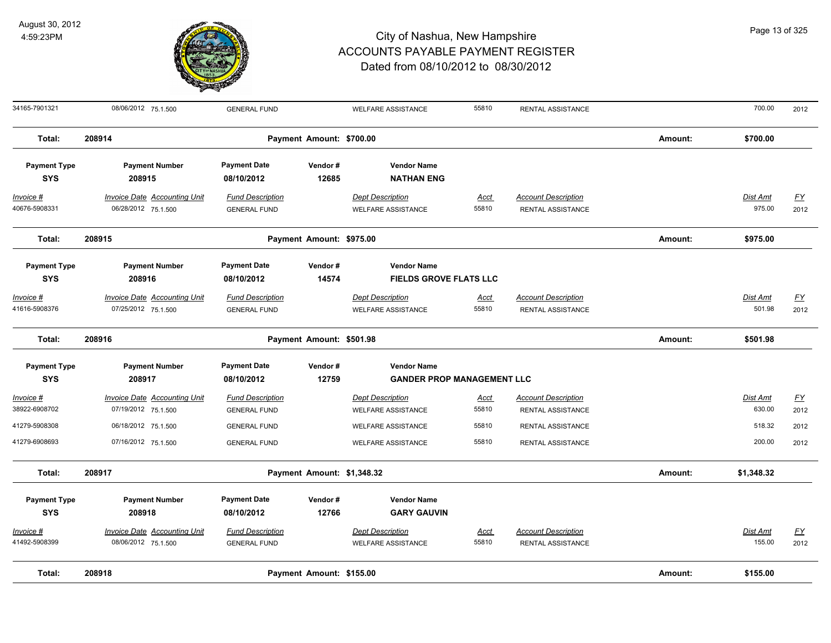

| 34165-7901321                     | 08/06/2012 75.1.500                                        | <b>GENERAL FUND</b>                            |                            | <b>WELFARE ASSISTANCE</b>                               | 55810                | RENTAL ASSISTANCE                               |         | 700.00             | 2012                     |
|-----------------------------------|------------------------------------------------------------|------------------------------------------------|----------------------------|---------------------------------------------------------|----------------------|-------------------------------------------------|---------|--------------------|--------------------------|
| Total:                            | 208914                                                     |                                                | Payment Amount: \$700.00   |                                                         |                      |                                                 | Amount: | \$700.00           |                          |
| <b>Payment Type</b><br><b>SYS</b> | <b>Payment Number</b><br>208915                            | <b>Payment Date</b><br>08/10/2012              | Vendor#<br>12685           | <b>Vendor Name</b><br><b>NATHAN ENG</b>                 |                      |                                                 |         |                    |                          |
| <u>Invoice #</u><br>40676-5908331 | <b>Invoice Date Accounting Unit</b><br>06/28/2012 75.1.500 | <b>Fund Description</b><br><b>GENERAL FUND</b> |                            | <b>Dept Description</b><br><b>WELFARE ASSISTANCE</b>    | <u>Acct</u><br>55810 | <b>Account Description</b><br>RENTAL ASSISTANCE |         | Dist Amt<br>975.00 | $\underline{FY}$<br>2012 |
| Total:                            | 208915                                                     |                                                | Payment Amount: \$975.00   |                                                         |                      |                                                 | Amount: | \$975.00           |                          |
| <b>Payment Type</b><br><b>SYS</b> | <b>Payment Number</b><br>208916                            | <b>Payment Date</b><br>08/10/2012              | Vendor#<br>14574           | <b>Vendor Name</b><br><b>FIELDS GROVE FLATS LLC</b>     |                      |                                                 |         |                    |                          |
| <u>Invoice #</u><br>41616-5908376 | <b>Invoice Date Accounting Unit</b><br>07/25/2012 75.1.500 | <b>Fund Description</b><br><b>GENERAL FUND</b> |                            | <b>Dept Description</b><br><b>WELFARE ASSISTANCE</b>    | <u>Acct</u><br>55810 | <b>Account Description</b><br>RENTAL ASSISTANCE |         | Dist Amt<br>501.98 | $\underline{FY}$<br>2012 |
| Total:                            | 208916                                                     |                                                | Payment Amount: \$501.98   |                                                         |                      |                                                 | Amount: | \$501.98           |                          |
| <b>Payment Type</b><br><b>SYS</b> | <b>Payment Number</b><br>208917                            | <b>Payment Date</b><br>08/10/2012              | Vendor#<br>12759           | <b>Vendor Name</b><br><b>GANDER PROP MANAGEMENT LLC</b> |                      |                                                 |         |                    |                          |
| Invoice #<br>38922-6908702        | <b>Invoice Date Accounting Unit</b><br>07/19/2012 75.1.500 | <b>Fund Description</b><br><b>GENERAL FUND</b> |                            | <b>Dept Description</b><br><b>WELFARE ASSISTANCE</b>    | <u>Acct</u><br>55810 | <b>Account Description</b><br>RENTAL ASSISTANCE |         | Dist Amt<br>630.00 | $\underline{FY}$<br>2012 |
| 41279-5908308<br>41279-6908693    | 06/18/2012 75.1.500<br>07/16/2012 75.1.500                 | <b>GENERAL FUND</b><br><b>GENERAL FUND</b>     |                            | <b>WELFARE ASSISTANCE</b><br><b>WELFARE ASSISTANCE</b>  | 55810<br>55810       | RENTAL ASSISTANCE<br>RENTAL ASSISTANCE          |         | 518.32<br>200.00   | 2012<br>2012             |
| Total:                            | 208917                                                     |                                                | Payment Amount: \$1,348.32 |                                                         |                      |                                                 | Amount: | \$1,348.32         |                          |
| <b>Payment Type</b><br><b>SYS</b> | <b>Payment Number</b><br>208918                            | <b>Payment Date</b><br>08/10/2012              | Vendor#<br>12766           | <b>Vendor Name</b><br><b>GARY GAUVIN</b>                |                      |                                                 |         |                    |                          |
| Invoice #<br>41492-5908399        | <b>Invoice Date Accounting Unit</b><br>08/06/2012 75.1.500 | <b>Fund Description</b><br><b>GENERAL FUND</b> |                            | <b>Dept Description</b><br><b>WELFARE ASSISTANCE</b>    | <u>Acct</u><br>55810 | <b>Account Description</b><br>RENTAL ASSISTANCE |         | Dist Amt<br>155.00 | $\underline{FY}$<br>2012 |
| Total:                            | 208918                                                     |                                                | Payment Amount: \$155.00   |                                                         |                      |                                                 | Amount: | \$155.00           |                          |

Page 13 of 325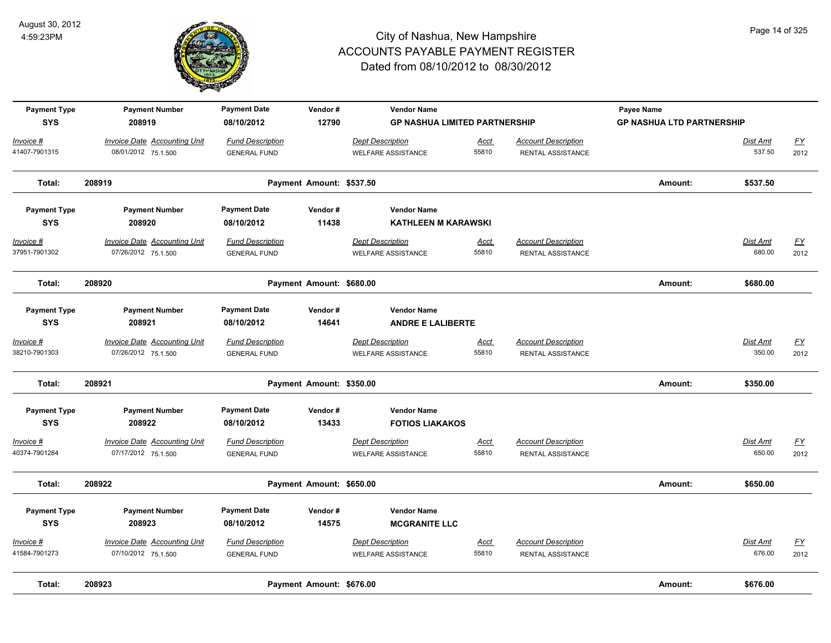

| <b>Payment Type</b><br><b>SYS</b> | <b>Payment Number</b><br>208919                            | <b>Payment Date</b><br>08/10/2012              | Vendor#<br>12790         | <b>Vendor Name</b><br><b>GP NASHUA LIMITED PARTNERSHIP</b> |                      |                                                        | Payee Name<br><b>GP NASHUA LTD PARTNERSHIP</b> |                           |                          |
|-----------------------------------|------------------------------------------------------------|------------------------------------------------|--------------------------|------------------------------------------------------------|----------------------|--------------------------------------------------------|------------------------------------------------|---------------------------|--------------------------|
| Invoice #<br>41407-7901315        | <b>Invoice Date Accounting Unit</b><br>08/01/2012 75.1.500 | <b>Fund Description</b><br><b>GENERAL FUND</b> |                          | <b>Dept Description</b><br><b>WELFARE ASSISTANCE</b>       | <b>Acct</b><br>55810 | <b>Account Description</b><br>RENTAL ASSISTANCE        |                                                | Dist Amt<br>537.50        | $\underline{FY}$<br>2012 |
| Total:                            | 208919                                                     |                                                | Payment Amount: \$537.50 |                                                            |                      |                                                        | Amount:                                        | \$537.50                  |                          |
| <b>Payment Type</b>               | <b>Payment Number</b>                                      | <b>Payment Date</b>                            | Vendor#                  | <b>Vendor Name</b>                                         |                      |                                                        |                                                |                           |                          |
| <b>SYS</b>                        | 208920                                                     | 08/10/2012                                     | 11438                    | <b>KATHLEEN M KARAWSKI</b>                                 |                      |                                                        |                                                |                           |                          |
| $Invoice$ #<br>37951-7901302      | <b>Invoice Date Accounting Unit</b><br>07/26/2012 75.1.500 | <b>Fund Description</b><br><b>GENERAL FUND</b> |                          | <b>Dept Description</b><br><b>WELFARE ASSISTANCE</b>       | <u>Acct</u><br>55810 | <b>Account Description</b><br>RENTAL ASSISTANCE        |                                                | <b>Dist Amt</b><br>680.00 | <u>FY</u><br>2012        |
| Total:                            | 208920                                                     |                                                | Payment Amount: \$680.00 |                                                            |                      |                                                        | Amount:                                        | \$680.00                  |                          |
| <b>Payment Type</b><br><b>SYS</b> | <b>Payment Number</b><br>208921                            | <b>Payment Date</b><br>08/10/2012              | Vendor#<br>14641         | <b>Vendor Name</b><br><b>ANDRE E LALIBERTE</b>             |                      |                                                        |                                                |                           |                          |
| Invoice #<br>38210-7901303        | <b>Invoice Date Accounting Unit</b><br>07/26/2012 75.1.500 | <b>Fund Description</b><br><b>GENERAL FUND</b> |                          | <b>Dept Description</b><br><b>WELFARE ASSISTANCE</b>       | Acct<br>55810        | <b>Account Description</b><br>RENTAL ASSISTANCE        |                                                | Dist Amt<br>350.00        | $\underline{FY}$<br>2012 |
| Total:                            | 208921                                                     |                                                | Payment Amount: \$350.00 |                                                            |                      |                                                        | Amount:                                        | \$350.00                  |                          |
| <b>Payment Type</b><br><b>SYS</b> | <b>Payment Number</b><br>208922                            | <b>Payment Date</b><br>08/10/2012              | Vendor#<br>13433         | <b>Vendor Name</b><br><b>FOTIOS LIAKAKOS</b>               |                      |                                                        |                                                |                           |                          |
| Invoice #<br>40374-7901284        | <b>Invoice Date Accounting Unit</b><br>07/17/2012 75.1.500 | <b>Fund Description</b><br><b>GENERAL FUND</b> |                          | <b>Dept Description</b><br><b>WELFARE ASSISTANCE</b>       | <u>Acct</u><br>55810 | <b>Account Description</b><br><b>RENTAL ASSISTANCE</b> |                                                | Dist Amt<br>650.00        | <u>FY</u><br>2012        |
| Total:                            | 208922                                                     |                                                | Payment Amount: \$650.00 |                                                            |                      |                                                        | Amount:                                        | \$650.00                  |                          |
| <b>Payment Type</b><br><b>SYS</b> | <b>Payment Number</b><br>208923                            | <b>Payment Date</b><br>08/10/2012              | Vendor#<br>14575         | <b>Vendor Name</b><br><b>MCGRANITE LLC</b>                 |                      |                                                        |                                                |                           |                          |
| Invoice #<br>41584-7901273        | Invoice Date Accounting Unit<br>07/10/2012 75.1.500        | <b>Fund Description</b><br><b>GENERAL FUND</b> |                          | <b>Dept Description</b><br><b>WELFARE ASSISTANCE</b>       | Acct<br>55810        | <b>Account Description</b><br><b>RENTAL ASSISTANCE</b> |                                                | Dist Amt<br>676.00        | $\underline{FY}$<br>2012 |
| Total:                            | 208923                                                     |                                                | Payment Amount: \$676.00 |                                                            |                      |                                                        | Amount:                                        | \$676.00                  |                          |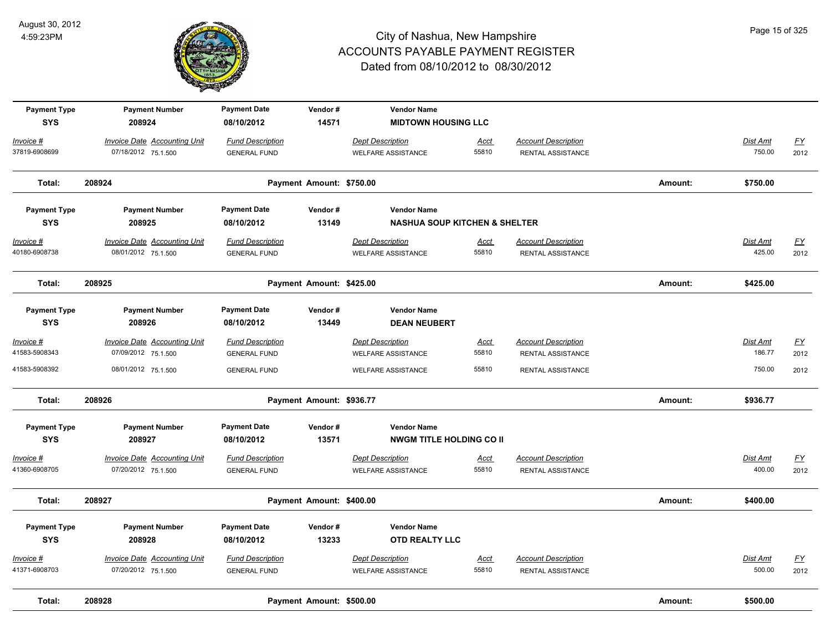

| <b>Payment Type</b><br><b>SYS</b> | <b>Payment Number</b><br>208924     | <b>Payment Date</b><br>08/10/2012 | Vendor#<br>14571         | <b>Vendor Name</b><br><b>MIDTOWN HOUSING LLC</b> |             |                            |         |                 |                  |
|-----------------------------------|-------------------------------------|-----------------------------------|--------------------------|--------------------------------------------------|-------------|----------------------------|---------|-----------------|------------------|
|                                   |                                     |                                   |                          |                                                  |             |                            |         |                 |                  |
| Invoice #                         | <b>Invoice Date Accounting Unit</b> | <b>Fund Description</b>           |                          | <b>Dept Description</b>                          | Acct        | <b>Account Description</b> |         | Dist Amt        | <u>FY</u>        |
| 37819-6908699                     | 07/18/2012 75.1.500                 | <b>GENERAL FUND</b>               |                          | <b>WELFARE ASSISTANCE</b>                        | 55810       | RENTAL ASSISTANCE          |         | 750.00          | 2012             |
| Total:                            | 208924                              |                                   | Payment Amount: \$750.00 |                                                  |             |                            | Amount: | \$750.00        |                  |
| <b>Payment Type</b>               | <b>Payment Number</b>               | <b>Payment Date</b>               | Vendor#                  | <b>Vendor Name</b>                               |             |                            |         |                 |                  |
| <b>SYS</b>                        | 208925                              | 08/10/2012                        | 13149                    | <b>NASHUA SOUP KITCHEN &amp; SHELTER</b>         |             |                            |         |                 |                  |
| Invoice #                         | <b>Invoice Date Accounting Unit</b> | <b>Fund Description</b>           |                          | <b>Dept Description</b>                          | <u>Acct</u> | <b>Account Description</b> |         | <u>Dist Amt</u> | <u>FY</u>        |
| 40180-6908738                     | 08/01/2012 75.1.500                 | <b>GENERAL FUND</b>               |                          | <b>WELFARE ASSISTANCE</b>                        | 55810       | RENTAL ASSISTANCE          |         | 425.00          | 2012             |
| Total:                            | 208925                              |                                   | Payment Amount: \$425.00 |                                                  |             |                            | Amount: | \$425.00        |                  |
| <b>Payment Type</b>               | <b>Payment Number</b>               | <b>Payment Date</b>               | Vendor#                  | <b>Vendor Name</b>                               |             |                            |         |                 |                  |
| <b>SYS</b>                        | 208926                              | 08/10/2012                        | 13449                    | <b>DEAN NEUBERT</b>                              |             |                            |         |                 |                  |
| Invoice #                         | <b>Invoice Date Accounting Unit</b> | <b>Fund Description</b>           |                          | <b>Dept Description</b>                          | Acct        | <b>Account Description</b> |         | Dist Amt        | $\underline{FY}$ |
| 41583-5908343                     | 07/09/2012 75.1.500                 | <b>GENERAL FUND</b>               |                          | <b>WELFARE ASSISTANCE</b>                        | 55810       | RENTAL ASSISTANCE          |         | 186.77          | 2012             |
| 41583-5908392                     | 08/01/2012 75.1.500                 | <b>GENERAL FUND</b>               |                          | <b>WELFARE ASSISTANCE</b>                        | 55810       | RENTAL ASSISTANCE          |         | 750.00          | 2012             |
| Total:                            | 208926                              |                                   | Payment Amount: \$936.77 |                                                  |             |                            | Amount: | \$936.77        |                  |
| <b>Payment Type</b>               | <b>Payment Number</b>               | <b>Payment Date</b>               | Vendor#                  | <b>Vendor Name</b>                               |             |                            |         |                 |                  |
| <b>SYS</b>                        | 208927                              | 08/10/2012                        | 13571                    | <b>NWGM TITLE HOLDING CO II</b>                  |             |                            |         |                 |                  |
| Invoice #                         | <b>Invoice Date Accounting Unit</b> | <b>Fund Description</b>           |                          | <b>Dept Description</b>                          | <u>Acct</u> | <b>Account Description</b> |         | Dist Amt        | EY               |
| 41360-6908705                     | 07/20/2012 75.1.500                 | <b>GENERAL FUND</b>               |                          | <b>WELFARE ASSISTANCE</b>                        | 55810       | RENTAL ASSISTANCE          |         | 400.00          | 2012             |
| Total:                            | 208927                              |                                   | Payment Amount: \$400.00 |                                                  |             |                            | Amount: | \$400.00        |                  |
| <b>Payment Type</b>               | <b>Payment Number</b>               | <b>Payment Date</b>               | Vendor#                  | <b>Vendor Name</b>                               |             |                            |         |                 |                  |
| <b>SYS</b>                        | 208928                              | 08/10/2012                        | 13233                    | <b>OTD REALTY LLC</b>                            |             |                            |         |                 |                  |
| Invoice #                         | <b>Invoice Date Accounting Unit</b> | <b>Fund Description</b>           |                          | <b>Dept Description</b>                          | <u>Acct</u> | <b>Account Description</b> |         | Dist Amt        | <u>FY</u>        |
| 41371-6908703                     | 07/20/2012 75.1.500                 | <b>GENERAL FUND</b>               |                          | <b>WELFARE ASSISTANCE</b>                        | 55810       | RENTAL ASSISTANCE          |         | 500.00          | 2012             |
| Total:                            | 208928                              |                                   | Payment Amount: \$500.00 |                                                  |             |                            | Amount: | \$500.00        |                  |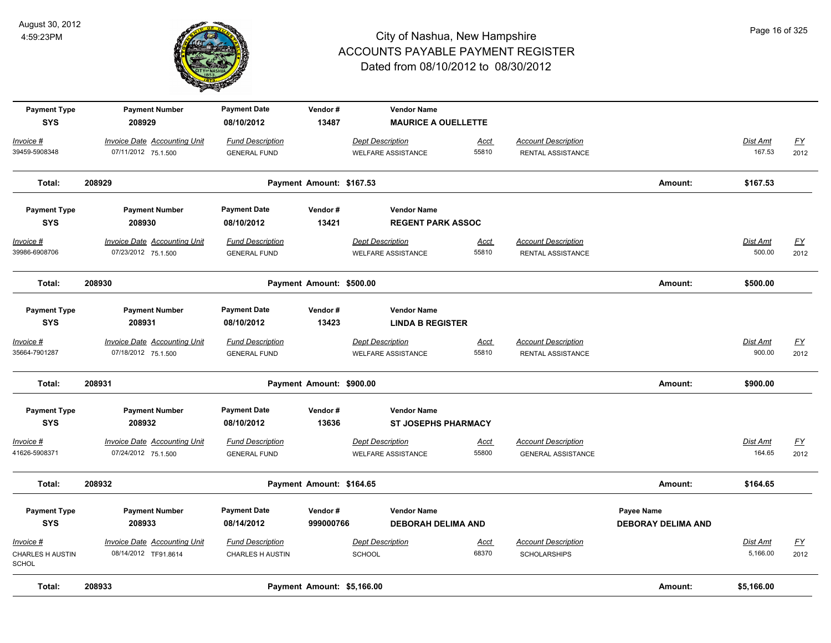

| <b>Payment Type</b><br><b>SYS</b>                    | <b>Payment Number</b><br>208929                            | <b>Payment Date</b><br>08/10/2012                  | Vendor#<br>13487           | <b>Vendor Name</b><br><b>MAURICE A OUELLETTE</b>     |                      |                                                         |                                         |                           |                          |
|------------------------------------------------------|------------------------------------------------------------|----------------------------------------------------|----------------------------|------------------------------------------------------|----------------------|---------------------------------------------------------|-----------------------------------------|---------------------------|--------------------------|
| Invoice #                                            | <b>Invoice Date Accounting Unit</b>                        | <b>Fund Description</b>                            |                            | <b>Dept Description</b>                              | <b>Acct</b>          | <b>Account Description</b>                              |                                         | Dist Amt                  | $\underline{FY}$         |
| 39459-5908348                                        | 07/11/2012 75.1.500                                        | <b>GENERAL FUND</b>                                |                            | <b>WELFARE ASSISTANCE</b>                            | 55810                | <b>RENTAL ASSISTANCE</b>                                |                                         | 167.53                    | 2012                     |
| Total:                                               | 208929                                                     |                                                    | Payment Amount: \$167.53   |                                                      |                      |                                                         | Amount:                                 | \$167.53                  |                          |
| <b>Payment Type</b>                                  | <b>Payment Number</b>                                      | <b>Payment Date</b>                                | Vendor#                    | <b>Vendor Name</b>                                   |                      |                                                         |                                         |                           |                          |
| <b>SYS</b>                                           | 208930                                                     | 08/10/2012                                         | 13421                      | <b>REGENT PARK ASSOC</b>                             |                      |                                                         |                                         |                           |                          |
| Invoice #<br>39986-6908706                           | <b>Invoice Date Accounting Unit</b><br>07/23/2012 75.1.500 | <b>Fund Description</b><br><b>GENERAL FUND</b>     |                            | <b>Dept Description</b><br><b>WELFARE ASSISTANCE</b> | <u>Acct</u><br>55810 | <b>Account Description</b><br>RENTAL ASSISTANCE         |                                         | <b>Dist Amt</b><br>500.00 | EY<br>2012               |
| Total:                                               | 208930                                                     |                                                    | Payment Amount: \$500.00   |                                                      |                      |                                                         | Amount:                                 | \$500.00                  |                          |
|                                                      |                                                            |                                                    |                            |                                                      |                      |                                                         |                                         |                           |                          |
| <b>Payment Type</b><br><b>SYS</b>                    | <b>Payment Number</b><br>208931                            | <b>Payment Date</b><br>08/10/2012                  | Vendor#<br>13423           | <b>Vendor Name</b><br><b>LINDA B REGISTER</b>        |                      |                                                         |                                         |                           |                          |
| Invoice #<br>35664-7901287                           | <b>Invoice Date Accounting Unit</b><br>07/18/2012 75.1.500 | <b>Fund Description</b><br><b>GENERAL FUND</b>     |                            | <b>Dept Description</b><br><b>WELFARE ASSISTANCE</b> | Acct<br>55810        | <b>Account Description</b><br>RENTAL ASSISTANCE         |                                         | Dist Amt<br>900.00        | $\underline{FY}$<br>2012 |
| Total:                                               | 208931                                                     |                                                    | Payment Amount: \$900.00   |                                                      |                      |                                                         | Amount:                                 | \$900.00                  |                          |
| <b>Payment Type</b>                                  | <b>Payment Number</b>                                      | <b>Payment Date</b>                                | Vendor#                    | <b>Vendor Name</b>                                   |                      |                                                         |                                         |                           |                          |
| <b>SYS</b>                                           | 208932                                                     | 08/10/2012                                         | 13636                      | <b>ST JOSEPHS PHARMACY</b>                           |                      |                                                         |                                         |                           |                          |
| Invoice #<br>41626-5908371                           | <b>Invoice Date Accounting Unit</b><br>07/24/2012 75.1.500 | <b>Fund Description</b><br><b>GENERAL FUND</b>     |                            | <b>Dept Description</b><br><b>WELFARE ASSISTANCE</b> | <b>Acct</b><br>55800 | <b>Account Description</b><br><b>GENERAL ASSISTANCE</b> |                                         | Dist Amt<br>164.65        | $\underline{FY}$<br>2012 |
| Total:                                               | 208932                                                     |                                                    | Payment Amount: \$164.65   |                                                      |                      |                                                         | Amount:                                 | \$164.65                  |                          |
| <b>Payment Type</b><br><b>SYS</b>                    | <b>Payment Number</b><br>208933                            | <b>Payment Date</b><br>08/14/2012                  | Vendor#<br>999000766       | <b>Vendor Name</b><br><b>DEBORAH DELIMA AND</b>      |                      |                                                         | Payee Name<br><b>DEBORAY DELIMA AND</b> |                           |                          |
| Invoice #<br><b>CHARLES H AUSTIN</b><br><b>SCHOL</b> | Invoice Date Accounting Unit<br>08/14/2012 TF91.8614       | <b>Fund Description</b><br><b>CHARLES H AUSTIN</b> |                            | <b>Dept Description</b><br><b>SCHOOL</b>             | <u>Acct</u><br>68370 | <b>Account Description</b><br><b>SCHOLARSHIPS</b>       |                                         | Dist Amt<br>5,166.00      | <u>FY</u><br>2012        |
| Total:                                               | 208933                                                     |                                                    | Payment Amount: \$5,166.00 |                                                      |                      |                                                         | Amount:                                 | \$5,166.00                |                          |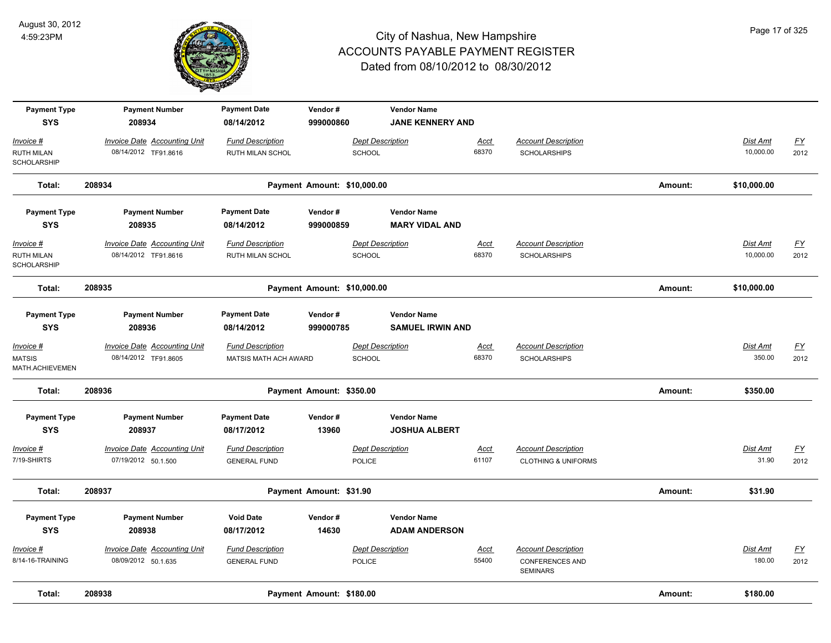

| <b>Payment Type</b><br><b>SYS</b>                     | <b>Payment Number</b><br>208934                             | <b>Payment Date</b><br>08/14/2012                  | Vendor#<br>999000860        | <b>Vendor Name</b><br><b>JANE KENNERY AND</b> |                      |                                                                         |         |                              |                   |
|-------------------------------------------------------|-------------------------------------------------------------|----------------------------------------------------|-----------------------------|-----------------------------------------------|----------------------|-------------------------------------------------------------------------|---------|------------------------------|-------------------|
| Invoice #<br><b>RUTH MILAN</b><br>SCHOLARSHIP         | <b>Invoice Date Accounting Unit</b><br>08/14/2012 TF91.8616 | <b>Fund Description</b><br><b>RUTH MILAN SCHOL</b> | <b>SCHOOL</b>               | <b>Dept Description</b>                       | <u>Acct</u><br>68370 | <b>Account Description</b><br><b>SCHOLARSHIPS</b>                       |         | Dist Amt<br>10,000.00        | <u>FY</u><br>2012 |
| Total:                                                | 208934                                                      |                                                    | Payment Amount: \$10,000.00 |                                               |                      |                                                                         | Amount: | \$10,000.00                  |                   |
| <b>Payment Type</b><br><b>SYS</b>                     | <b>Payment Number</b><br>208935                             | <b>Payment Date</b><br>08/14/2012                  | Vendor#<br>999000859        | <b>Vendor Name</b><br><b>MARY VIDAL AND</b>   |                      |                                                                         |         |                              |                   |
| <u> Invoice #</u><br><b>RUTH MILAN</b><br>SCHOLARSHIP | <b>Invoice Date Accounting Unit</b><br>08/14/2012 TF91.8616 | <b>Fund Description</b><br>RUTH MILAN SCHOL        | SCHOOL                      | <b>Dept Description</b>                       | <u>Acct</u><br>68370 | <b>Account Description</b><br><b>SCHOLARSHIPS</b>                       |         | <b>Dist Amt</b><br>10,000.00 | <u>FY</u><br>2012 |
| Total:                                                | 208935                                                      |                                                    | Payment Amount: \$10,000.00 |                                               |                      |                                                                         | Amount: | \$10,000.00                  |                   |
| <b>Payment Type</b><br><b>SYS</b>                     | <b>Payment Number</b><br>208936                             | <b>Payment Date</b><br>08/14/2012                  | Vendor#<br>999000785        | <b>Vendor Name</b><br><b>SAMUEL IRWIN AND</b> |                      |                                                                         |         |                              |                   |
| Invoice #<br><b>MATSIS</b><br>MATH.ACHIEVEMEN         | Invoice Date Accounting Unit<br>08/14/2012 TF91.8605        | <b>Fund Description</b><br>MATSIS MATH ACH AWARD   | SCHOOL                      | <b>Dept Description</b>                       | Acct<br>68370        | <b>Account Description</b><br><b>SCHOLARSHIPS</b>                       |         | Dist Amt<br>350.00           | EY<br>2012        |
| Total:                                                | 208936                                                      |                                                    | Payment Amount: \$350.00    |                                               |                      |                                                                         | Amount: | \$350.00                     |                   |
| <b>Payment Type</b><br><b>SYS</b>                     | <b>Payment Number</b><br>208937                             | <b>Payment Date</b><br>08/17/2012                  | Vendor#<br>13960            | <b>Vendor Name</b><br><b>JOSHUA ALBERT</b>    |                      |                                                                         |         |                              |                   |
| Invoice #<br>7/19-SHIRTS                              | Invoice Date Accounting Unit<br>07/19/2012 50.1.500         | <b>Fund Description</b><br><b>GENERAL FUND</b>     | POLICE                      | <b>Dept Description</b>                       | Acct<br>61107        | <b>Account Description</b><br><b>CLOTHING &amp; UNIFORMS</b>            |         | Dist Amt<br>31.90            | <u>FY</u><br>2012 |
| Total:                                                | 208937                                                      |                                                    | Payment Amount: \$31.90     |                                               |                      |                                                                         | Amount: | \$31.90                      |                   |
| <b>Payment Type</b><br><b>SYS</b>                     | <b>Payment Number</b><br>208938                             | <b>Void Date</b><br>08/17/2012                     | Vendor#<br>14630            | <b>Vendor Name</b><br><b>ADAM ANDERSON</b>    |                      |                                                                         |         |                              |                   |
| Invoice #<br>8/14-16-TRAINING                         | Invoice Date Accounting Unit<br>08/09/2012 50.1.635         | <b>Fund Description</b><br><b>GENERAL FUND</b>     | POLICE                      | <b>Dept Description</b>                       | Acct<br>55400        | <b>Account Description</b><br><b>CONFERENCES AND</b><br><b>SEMINARS</b> |         | Dist Amt<br>180.00           | <u>FY</u><br>2012 |
| Total:                                                | 208938                                                      |                                                    | Payment Amount: \$180.00    |                                               |                      |                                                                         | Amount: | \$180.00                     |                   |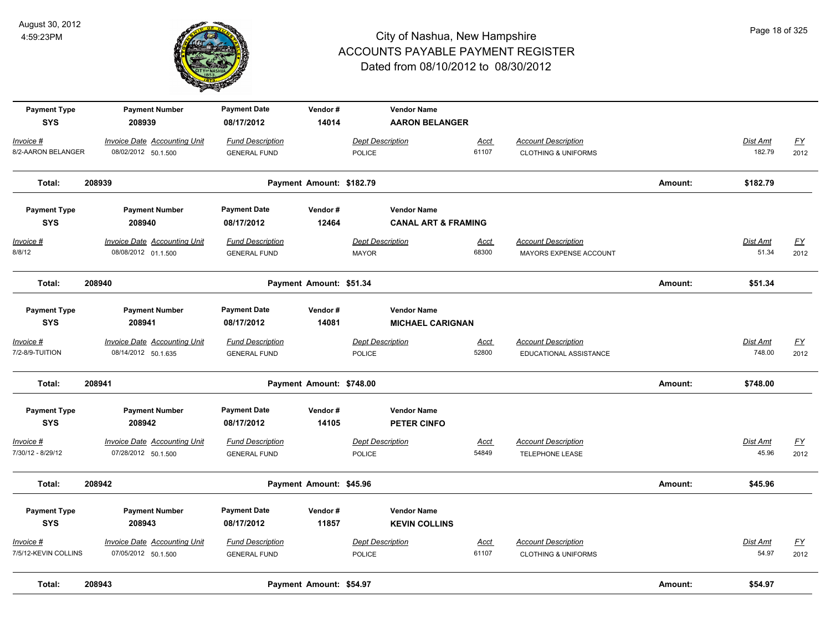

| <b>Payment Type</b><br><b>SYS</b> | <b>Payment Number</b><br>208939     | <b>Payment Date</b><br>08/17/2012 | Vendor#<br>14014         | <b>Vendor Name</b><br><b>AARON BELANGER</b> |             |                                |         |                 |                  |
|-----------------------------------|-------------------------------------|-----------------------------------|--------------------------|---------------------------------------------|-------------|--------------------------------|---------|-----------------|------------------|
| Invoice #                         | <b>Invoice Date Accounting Unit</b> | <b>Fund Description</b>           |                          | <b>Dept Description</b>                     | Acct        | <b>Account Description</b>     |         | Dist Amt        | $\underline{FY}$ |
| 8/2-AARON BELANGER                | 08/02/2012 50.1.500                 | <b>GENERAL FUND</b>               |                          | <b>POLICE</b>                               | 61107       | <b>CLOTHING &amp; UNIFORMS</b> |         | 182.79          | 2012             |
| Total:                            | 208939                              |                                   | Payment Amount: \$182.79 |                                             |             |                                | Amount: | \$182.79        |                  |
| <b>Payment Type</b>               | <b>Payment Number</b>               | <b>Payment Date</b>               | Vendor#                  | <b>Vendor Name</b>                          |             |                                |         |                 |                  |
| <b>SYS</b>                        | 208940                              | 08/17/2012                        | 12464                    | <b>CANAL ART &amp; FRAMING</b>              |             |                                |         |                 |                  |
| Invoice #                         | <b>Invoice Date Accounting Unit</b> | <b>Fund Description</b>           |                          | <b>Dept Description</b>                     | <b>Acct</b> | <b>Account Description</b>     |         | <b>Dist Amt</b> | EY               |
| 8/8/12                            | 08/08/2012 01.1.500                 | <b>GENERAL FUND</b>               |                          | <b>MAYOR</b>                                | 68300       | MAYORS EXPENSE ACCOUNT         |         | 51.34           | 2012             |
| Total:                            | 208940                              |                                   | Payment Amount: \$51.34  |                                             |             |                                | Amount: | \$51.34         |                  |
| <b>Payment Type</b>               | <b>Payment Number</b>               | <b>Payment Date</b>               | Vendor#                  | <b>Vendor Name</b>                          |             |                                |         |                 |                  |
| <b>SYS</b>                        | 208941                              | 08/17/2012                        | 14081                    | <b>MICHAEL CARIGNAN</b>                     |             |                                |         |                 |                  |
| Invoice #                         | Invoice Date Accounting Unit        | <b>Fund Description</b>           |                          | <b>Dept Description</b>                     | Acct        | <b>Account Description</b>     |         | Dist Amt        | EY               |
| 7/2-8/9-TUITION                   | 08/14/2012 50.1.635                 | <b>GENERAL FUND</b>               |                          | <b>POLICE</b>                               | 52800       | EDUCATIONAL ASSISTANCE         |         | 748.00          | 2012             |
| Total:                            | 208941                              |                                   | Payment Amount: \$748.00 |                                             |             |                                | Amount: | \$748.00        |                  |
| <b>Payment Type</b>               | <b>Payment Number</b>               | <b>Payment Date</b>               | Vendor#                  | <b>Vendor Name</b>                          |             |                                |         |                 |                  |
| <b>SYS</b>                        | 208942                              | 08/17/2012                        | 14105                    | PETER CINFO                                 |             |                                |         |                 |                  |
| Invoice #                         | <b>Invoice Date Accounting Unit</b> | <b>Fund Description</b>           |                          | <b>Dept Description</b>                     | Acct        | <b>Account Description</b>     |         | Dist Amt        | <u>FY</u>        |
| 7/30/12 - 8/29/12                 | 07/28/2012 50.1.500                 | <b>GENERAL FUND</b>               |                          | <b>POLICE</b>                               | 54849       | <b>TELEPHONE LEASE</b>         |         | 45.96           | 2012             |
| Total:                            | 208942                              |                                   | Payment Amount: \$45.96  |                                             |             |                                | Amount: | \$45.96         |                  |
| <b>Payment Type</b>               | <b>Payment Number</b>               | <b>Payment Date</b>               | Vendor#                  | <b>Vendor Name</b>                          |             |                                |         |                 |                  |
| <b>SYS</b>                        | 208943                              | 08/17/2012                        | 11857                    | <b>KEVIN COLLINS</b>                        |             |                                |         |                 |                  |
| Invoice #                         | <b>Invoice Date Accounting Unit</b> | <b>Fund Description</b>           |                          | <b>Dept Description</b>                     | Acct        | <b>Account Description</b>     |         | Dist Amt        | $\underline{FY}$ |
| 7/5/12-KEVIN COLLINS              | 07/05/2012 50.1.500                 | <b>GENERAL FUND</b>               |                          | <b>POLICE</b>                               | 61107       | <b>CLOTHING &amp; UNIFORMS</b> |         | 54.97           | 2012             |
| Total:                            | 208943                              |                                   | Payment Amount: \$54.97  |                                             |             |                                | Amount: | \$54.97         |                  |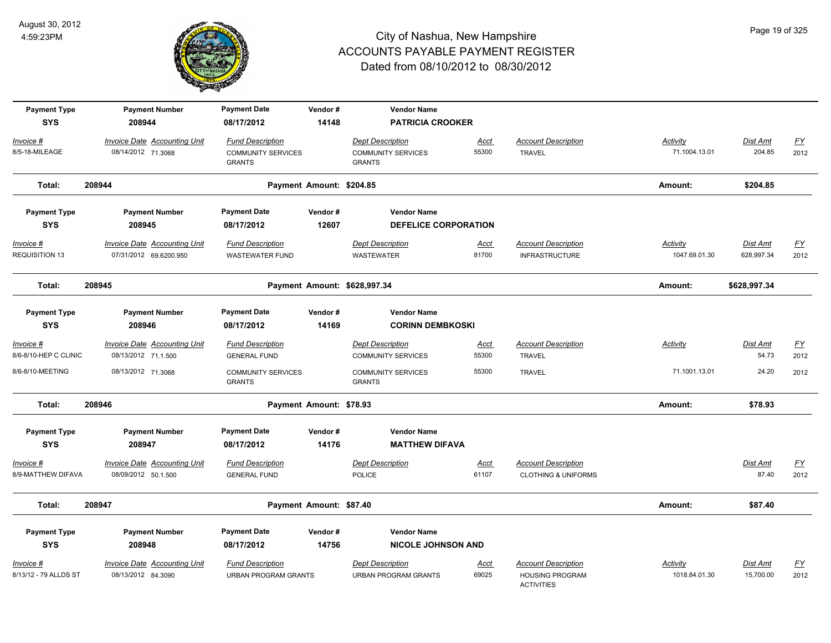

| <b>Payment Type</b>   | <b>Payment Number</b>               | <b>Payment Date</b>                        | Vendor#                  | <b>Vendor Name</b>                         |             |                                             |                 |                 |                           |
|-----------------------|-------------------------------------|--------------------------------------------|--------------------------|--------------------------------------------|-------------|---------------------------------------------|-----------------|-----------------|---------------------------|
| <b>SYS</b>            | 208944                              | 08/17/2012                                 | 14148                    | <b>PATRICIA CROOKER</b>                    |             |                                             |                 |                 |                           |
| Invoice #             | <b>Invoice Date Accounting Unit</b> | <b>Fund Description</b>                    |                          | <b>Dept Description</b>                    | Acct        | <b>Account Description</b>                  | <b>Activity</b> | Dist Amt        | $\underline{\mathsf{FY}}$ |
| 8/5-18-MILEAGE        | 08/14/2012 71.3068                  | <b>COMMUNITY SERVICES</b><br><b>GRANTS</b> |                          | <b>COMMUNITY SERVICES</b><br><b>GRANTS</b> | 55300       | <b>TRAVEL</b>                               | 71.1004.13.01   | 204.85          | 2012                      |
| Total:                | 208944                              |                                            | Payment Amount: \$204.85 |                                            |             |                                             | Amount:         | \$204.85        |                           |
| <b>Payment Type</b>   | <b>Payment Number</b>               | <b>Payment Date</b>                        | Vendor#                  | <b>Vendor Name</b>                         |             |                                             |                 |                 |                           |
| <b>SYS</b>            | 208945                              | 08/17/2012                                 | 12607                    | <b>DEFELICE CORPORATION</b>                |             |                                             |                 |                 |                           |
| $Invoice$ #           | <b>Invoice Date Accounting Unit</b> | <b>Fund Description</b>                    |                          | <b>Dept Description</b>                    | <b>Acct</b> | <b>Account Description</b>                  | Activity        | <b>Dist Amt</b> | <u>FY</u>                 |
| REQUISITION 13        | 07/31/2012 69.6200.950              | <b>WASTEWATER FUND</b>                     |                          | <b>WASTEWATER</b>                          | 81700       | <b>INFRASTRUCTURE</b>                       | 1047.69.01.30   | 628,997.34      | 2012                      |
| Total:                | 208945                              |                                            |                          | Payment Amount: \$628,997.34               |             |                                             | Amount:         | \$628,997.34    |                           |
| <b>Payment Type</b>   | <b>Payment Number</b>               | <b>Payment Date</b>                        | Vendor#                  | <b>Vendor Name</b>                         |             |                                             |                 |                 |                           |
| <b>SYS</b>            | 208946                              | 08/17/2012                                 | 14169                    | <b>CORINN DEMBKOSKI</b>                    |             |                                             |                 |                 |                           |
| Invoice #             | Invoice Date Accounting Unit        | <b>Fund Description</b>                    |                          | <b>Dept Description</b>                    | <u>Acct</u> | <b>Account Description</b>                  | Activity        | Dist Amt        | <u>FY</u>                 |
| 8/6-8/10-HEP C CLINIC | 08/13/2012 71.1.500                 | <b>GENERAL FUND</b>                        |                          | <b>COMMUNITY SERVICES</b>                  | 55300       | <b>TRAVEL</b>                               |                 | 54.73           | 2012                      |
| 8/6-8/10-MEETING      | 08/13/2012 71.3068                  | <b>COMMUNITY SERVICES</b><br><b>GRANTS</b> |                          | <b>COMMUNITY SERVICES</b><br><b>GRANTS</b> | 55300       | <b>TRAVEL</b>                               | 71.1001.13.01   | 24.20           | 2012                      |
| Total:                | 208946                              |                                            | Payment Amount: \$78.93  |                                            |             |                                             | Amount:         | \$78.93         |                           |
| <b>Payment Type</b>   | <b>Payment Number</b>               | <b>Payment Date</b>                        | Vendor#                  | <b>Vendor Name</b>                         |             |                                             |                 |                 |                           |
| <b>SYS</b>            | 208947                              | 08/17/2012                                 | 14176                    | <b>MATTHEW DIFAVA</b>                      |             |                                             |                 |                 |                           |
| Invoice #             | <b>Invoice Date Accounting Unit</b> | <b>Fund Description</b>                    |                          | Dept Description                           | Acct        | <b>Account Description</b>                  |                 | Dist Amt        | <u>FY</u>                 |
| 8/9-MATTHEW DIFAVA    | 08/09/2012 50.1.500                 | <b>GENERAL FUND</b>                        |                          | <b>POLICE</b>                              | 61107       | <b>CLOTHING &amp; UNIFORMS</b>              |                 | 87.40           | 2012                      |
| Total:                | 208947                              |                                            | Payment Amount: \$87.40  |                                            |             |                                             | Amount:         | \$87.40         |                           |
| <b>Payment Type</b>   | <b>Payment Number</b>               | <b>Payment Date</b>                        | Vendor#                  | <b>Vendor Name</b>                         |             |                                             |                 |                 |                           |
| <b>SYS</b>            | 208948                              | 08/17/2012                                 | 14756                    | <b>NICOLE JOHNSON AND</b>                  |             |                                             |                 |                 |                           |
| Invoice #             | Invoice Date Accounting Unit        | <b>Fund Description</b>                    |                          | <b>Dept Description</b>                    | <u>Acct</u> | <b>Account Description</b>                  | Activity        | Dist Amt        | <u>FY</u>                 |
| 8/13/12 - 79 ALLDS ST | 08/13/2012 84.3090                  | <b>URBAN PROGRAM GRANTS</b>                |                          | <b>URBAN PROGRAM GRANTS</b>                | 69025       | <b>HOUSING PROGRAM</b><br><b>ACTIVITIES</b> | 1018.84.01.30   | 15,700.00       | 2012                      |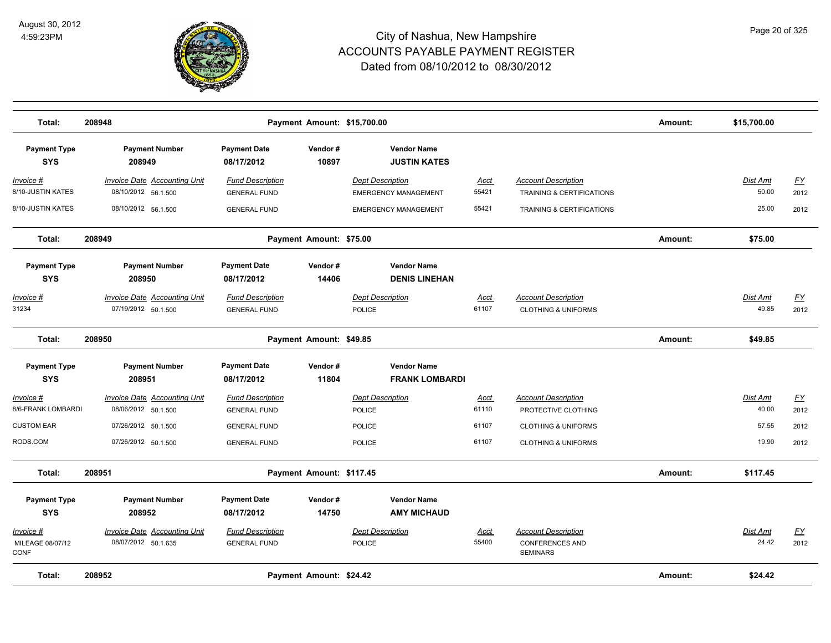

| Total:                                | 208948                                                     |                                                |                  | Payment Amount: \$15,700.00                            |                      |                                                                         | Amount: | \$15,700.00              |                   |
|---------------------------------------|------------------------------------------------------------|------------------------------------------------|------------------|--------------------------------------------------------|----------------------|-------------------------------------------------------------------------|---------|--------------------------|-------------------|
| <b>Payment Type</b><br><b>SYS</b>     | <b>Payment Number</b><br>208949                            | <b>Payment Date</b><br>08/17/2012              | Vendor#<br>10897 | <b>Vendor Name</b><br><b>JUSTIN KATES</b>              |                      |                                                                         |         |                          |                   |
| Invoice #<br>8/10-JUSTIN KATES        | <b>Invoice Date Accounting Unit</b><br>08/10/2012 56.1.500 | <b>Fund Description</b><br><b>GENERAL FUND</b> |                  | <b>Dept Description</b><br><b>EMERGENCY MANAGEMENT</b> | <u>Acct</u><br>55421 | <b>Account Description</b><br><b>TRAINING &amp; CERTIFICATIONS</b>      |         | <b>Dist Amt</b><br>50.00 | EY<br>2012        |
| 8/10-JUSTIN KATES                     | 08/10/2012 56.1.500                                        | <b>GENERAL FUND</b>                            |                  | <b>EMERGENCY MANAGEMENT</b>                            | 55421                | TRAINING & CERTIFICATIONS                                               |         | 25.00                    | 2012              |
| Total:                                | 208949                                                     | Payment Amount: \$75.00                        |                  |                                                        |                      |                                                                         | Amount: | \$75.00                  |                   |
| <b>Payment Type</b><br><b>SYS</b>     | <b>Payment Number</b><br>208950                            | <b>Payment Date</b><br>08/17/2012              | Vendor#<br>14406 | <b>Vendor Name</b><br><b>DENIS LINEHAN</b>             |                      |                                                                         |         |                          |                   |
| Invoice #<br>31234                    | <b>Invoice Date Accounting Unit</b><br>07/19/2012 50.1.500 | <b>Fund Description</b><br><b>GENERAL FUND</b> |                  | <b>Dept Description</b><br><b>POLICE</b>               | <u>Acct</u><br>61107 | <b>Account Description</b><br><b>CLOTHING &amp; UNIFORMS</b>            |         | Dist Amt<br>49.85        | EY<br>2012        |
| Total:                                | 208950                                                     | Payment Amount: \$49.85                        |                  |                                                        |                      |                                                                         | Amount: | \$49.85                  |                   |
| <b>Payment Type</b><br><b>SYS</b>     | <b>Payment Number</b><br>208951                            | <b>Payment Date</b><br>08/17/2012              | Vendor#<br>11804 | <b>Vendor Name</b><br><b>FRANK LOMBARDI</b>            |                      |                                                                         |         |                          |                   |
| Invoice #<br>8/6-FRANK LOMBARDI       | <b>Invoice Date Accounting Unit</b><br>08/06/2012 50.1.500 | <b>Fund Description</b><br><b>GENERAL FUND</b> |                  | <b>Dept Description</b><br><b>POLICE</b>               | <u>Acct</u><br>61110 | <b>Account Description</b><br>PROTECTIVE CLOTHING                       |         | <b>Dist Amt</b><br>40.00 | <u>FY</u><br>2012 |
| <b>CUSTOM EAR</b>                     | 07/26/2012 50.1.500                                        | <b>GENERAL FUND</b>                            |                  | <b>POLICE</b>                                          | 61107                | <b>CLOTHING &amp; UNIFORMS</b>                                          |         | 57.55                    | 2012              |
| RODS.COM                              | 07/26/2012 50.1.500                                        | <b>GENERAL FUND</b>                            |                  | <b>POLICE</b>                                          | 61107                | <b>CLOTHING &amp; UNIFORMS</b>                                          |         | 19.90                    | 2012              |
| Total:                                | 208951                                                     | Payment Amount: \$117.45                       |                  |                                                        |                      |                                                                         | Amount: | \$117.45                 |                   |
| <b>Payment Type</b><br><b>SYS</b>     | <b>Payment Number</b><br>208952                            | <b>Payment Date</b><br>08/17/2012              | Vendor#<br>14750 | <b>Vendor Name</b><br><b>AMY MICHAUD</b>               |                      |                                                                         |         |                          |                   |
| Invoice #<br>MILEAGE 08/07/12<br>CONF | Invoice Date Accounting Unit<br>08/07/2012 50.1.635        | <b>Fund Description</b><br><b>GENERAL FUND</b> |                  | <b>Dept Description</b><br>POLICE                      | <u>Acct</u><br>55400 | <b>Account Description</b><br><b>CONFERENCES AND</b><br><b>SEMINARS</b> |         | Dist Amt<br>24.42        | EY<br>2012        |
| Total:                                | 208952                                                     | Payment Amount: \$24.42                        |                  |                                                        |                      |                                                                         | Amount: | \$24.42                  |                   |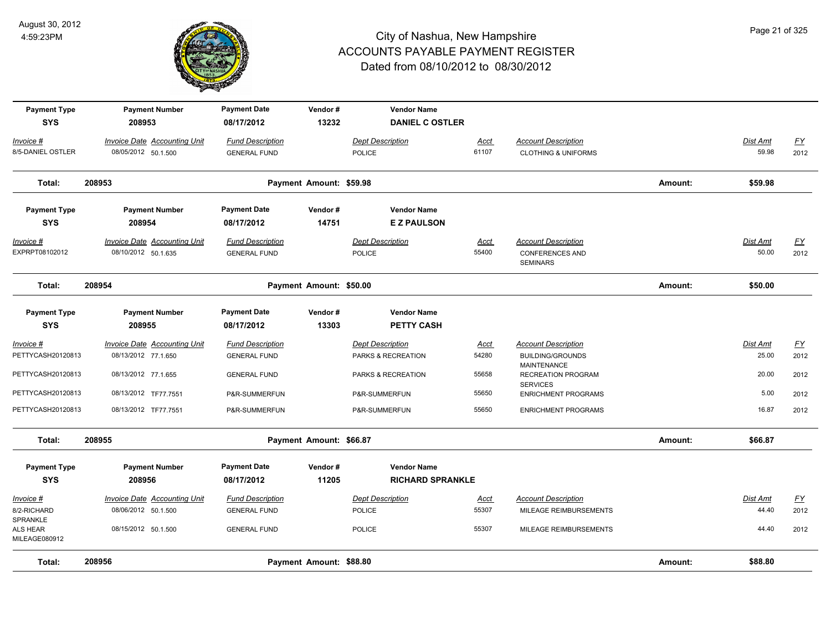

| <b>Payment Type</b><br><b>SYS</b>      | <b>Payment Number</b><br>208953                            | <b>Payment Date</b><br>08/17/2012              | Vendor#<br>13232        | <b>Vendor Name</b><br><b>DANIEL C OSTLER</b> |                      |                                                                         |         |                          |                          |
|----------------------------------------|------------------------------------------------------------|------------------------------------------------|-------------------------|----------------------------------------------|----------------------|-------------------------------------------------------------------------|---------|--------------------------|--------------------------|
| <u> Invoice #</u><br>8/5-DANIEL OSTLER | <b>Invoice Date Accounting Unit</b><br>08/05/2012 50.1.500 | <b>Fund Description</b><br><b>GENERAL FUND</b> |                         | <b>Dept Description</b><br>POLICE            | <u>Acct</u><br>61107 | <b>Account Description</b><br><b>CLOTHING &amp; UNIFORMS</b>            |         | <b>Dist Amt</b><br>59.98 | $\underline{FY}$<br>2012 |
| Total:                                 | 208953                                                     |                                                | Payment Amount: \$59.98 |                                              |                      |                                                                         | Amount: | \$59.98                  |                          |
| <b>Payment Type</b><br><b>SYS</b>      | <b>Payment Number</b><br>208954                            | <b>Payment Date</b><br>08/17/2012              | Vendor#<br>14751        | <b>Vendor Name</b><br><b>EZ PAULSON</b>      |                      |                                                                         |         |                          |                          |
| Invoice #<br>EXPRPT08102012            | <b>Invoice Date Accounting Unit</b><br>08/10/2012 50.1.635 | <b>Fund Description</b><br><b>GENERAL FUND</b> |                         | <b>Dept Description</b><br>POLICE            | <u>Acct</u><br>55400 | <b>Account Description</b><br><b>CONFERENCES AND</b><br><b>SEMINARS</b> |         | <b>Dist Amt</b><br>50.00 | <u>FY</u><br>2012        |
| Total:                                 | 208954                                                     |                                                | Payment Amount: \$50.00 |                                              |                      |                                                                         | Amount: | \$50.00                  |                          |
| <b>Payment Type</b><br><b>SYS</b>      | <b>Payment Number</b><br>208955                            | <b>Payment Date</b><br>08/17/2012              | Vendor#<br>13303        | <b>Vendor Name</b><br><b>PETTY CASH</b>      |                      |                                                                         |         |                          |                          |
| <u> Invoice #</u>                      | <b>Invoice Date Accounting Unit</b>                        | <b>Fund Description</b>                        |                         | <b>Dept Description</b>                      | <b>Acct</b>          | <b>Account Description</b>                                              |         | Dist Amt                 | $\underline{FY}$         |
| PETTYCASH20120813                      | 08/13/2012 77.1.650                                        | <b>GENERAL FUND</b>                            |                         | PARKS & RECREATION                           | 54280                | <b>BUILDING/GROUNDS</b><br>MAINTENANCE                                  |         | 25.00                    | 2012                     |
| PETTYCASH20120813                      | 08/13/2012 77.1.655                                        | <b>GENERAL FUND</b>                            |                         | PARKS & RECREATION                           | 55658                | <b>RECREATION PROGRAM</b><br><b>SERVICES</b>                            |         | 20.00                    | 2012                     |
| PETTYCASH20120813                      | 08/13/2012 TF77.7551                                       | P&R-SUMMERFUN                                  |                         | P&R-SUMMERFUN                                | 55650                | <b>ENRICHMENT PROGRAMS</b>                                              |         | 5.00                     | 2012                     |
| PETTYCASH20120813                      | 08/13/2012 TF77.7551                                       | P&R-SUMMERFUN                                  |                         | P&R-SUMMERFUN                                | 55650                | <b>ENRICHMENT PROGRAMS</b>                                              |         | 16.87                    | 2012                     |
| Total:                                 | 208955                                                     |                                                | Payment Amount: \$66.87 |                                              |                      |                                                                         | Amount: | \$66.87                  |                          |
| <b>Payment Type</b>                    | <b>Payment Number</b>                                      | <b>Payment Date</b>                            | Vendor#                 | <b>Vendor Name</b>                           |                      |                                                                         |         |                          |                          |
| <b>SYS</b>                             | 208956                                                     | 08/17/2012                                     | 11205                   | <b>RICHARD SPRANKLE</b>                      |                      |                                                                         |         |                          |                          |
| Invoice #                              | Invoice Date Accounting Unit                               | <b>Fund Description</b>                        |                         | <b>Dept Description</b>                      | Acct                 | <b>Account Description</b>                                              |         | <b>Dist Amt</b>          | <u>FY</u>                |
| 8/2-RICHARD                            | 08/06/2012 50.1.500                                        | <b>GENERAL FUND</b>                            |                         | POLICE                                       | 55307                | MILEAGE REIMBURSEMENTS                                                  |         | 44.40                    | 2012                     |
| SPRANKLE<br>ALS HEAR<br>MILEAGE080912  | 08/15/2012 50.1.500                                        | <b>GENERAL FUND</b>                            |                         | <b>POLICE</b>                                | 55307                | MILEAGE REIMBURSEMENTS                                                  |         | 44.40                    | 2012                     |
| Total:                                 | 208956                                                     |                                                | Payment Amount: \$88.80 |                                              |                      |                                                                         | Amount: | \$88.80                  |                          |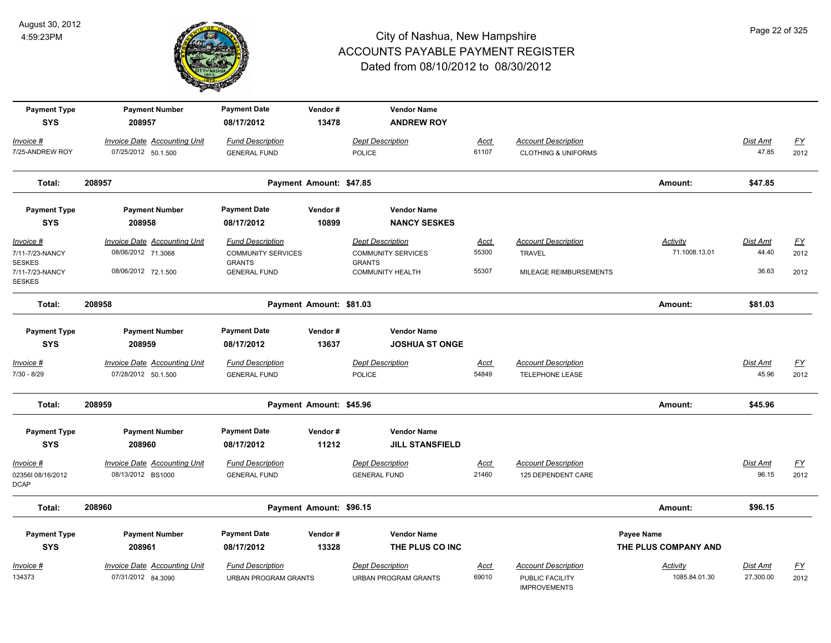

| <b>Payment Type</b><br><b>SYS</b> | <b>Payment Number</b>                                      | <b>Payment Date</b>                            | Vendor#                 | <b>Vendor Name</b>                         |               |                                                              |                      |                   |                   |
|-----------------------------------|------------------------------------------------------------|------------------------------------------------|-------------------------|--------------------------------------------|---------------|--------------------------------------------------------------|----------------------|-------------------|-------------------|
|                                   | 208957                                                     | 08/17/2012                                     | 13478                   | <b>ANDREW ROY</b>                          |               |                                                              |                      |                   |                   |
| Invoice #<br>7/25-ANDREW ROY      | <b>Invoice Date Accounting Unit</b><br>07/25/2012 50.1.500 | <b>Fund Description</b><br><b>GENERAL FUND</b> |                         | <b>Dept Description</b><br><b>POLICE</b>   | Acct<br>61107 | <b>Account Description</b><br><b>CLOTHING &amp; UNIFORMS</b> |                      | Dist Amt<br>47.85 | <u>FY</u><br>2012 |
|                                   |                                                            |                                                |                         |                                            |               |                                                              |                      |                   |                   |
| Total:                            | 208957                                                     |                                                | Payment Amount: \$47.85 |                                            |               |                                                              | Amount:              | \$47.85           |                   |
| <b>Payment Type</b>               | <b>Payment Number</b>                                      | <b>Payment Date</b>                            | Vendor#                 | <b>Vendor Name</b>                         |               |                                                              |                      |                   |                   |
| <b>SYS</b>                        | 208958                                                     | 08/17/2012                                     | 10899                   | <b>NANCY SESKES</b>                        |               |                                                              |                      |                   |                   |
| Invoice #                         | <b>Invoice Date Accounting Unit</b>                        | <b>Fund Description</b>                        |                         | <b>Dept Description</b>                    | Acct          | <b>Account Description</b>                                   | <b>Activity</b>      | <b>Dist Amt</b>   | <u>FY</u>         |
| 7/11-7/23-NANCY<br><b>SESKES</b>  | 08/06/2012 71.3068                                         | <b>COMMUNITY SERVICES</b><br><b>GRANTS</b>     |                         | <b>COMMUNITY SERVICES</b><br><b>GRANTS</b> | 55300         | <b>TRAVEL</b>                                                | 71.1008.13.01        | 44.40             | 2012              |
| 7/11-7/23-NANCY<br><b>SESKES</b>  | 08/06/2012 72.1.500                                        | <b>GENERAL FUND</b>                            |                         | <b>COMMUNITY HEALTH</b>                    | 55307         | MILEAGE REIMBURSEMENTS                                       |                      | 36.63             | 2012              |
| Total:                            | 208958                                                     |                                                | Payment Amount: \$81.03 |                                            |               |                                                              | Amount:              | \$81.03           |                   |
| <b>Payment Type</b>               | <b>Payment Number</b>                                      | <b>Payment Date</b>                            | Vendor#                 | <b>Vendor Name</b>                         |               |                                                              |                      |                   |                   |
| <b>SYS</b>                        | 208959                                                     | 08/17/2012                                     | 13637                   | <b>JOSHUA ST ONGE</b>                      |               |                                                              |                      |                   |                   |
| Invoice #                         | <b>Invoice Date Accounting Unit</b>                        | <b>Fund Description</b>                        |                         | <b>Dept Description</b>                    | Acct          | <b>Account Description</b>                                   |                      | Dist Amt          | <u>FY</u>         |
| 7/30 - 8/29                       | 07/28/2012 50.1.500                                        | <b>GENERAL FUND</b>                            |                         | POLICE                                     | 54849         | TELEPHONE LEASE                                              |                      | 45.96             | 2012              |
| Total:                            | 208959                                                     |                                                | Payment Amount: \$45.96 |                                            |               |                                                              | Amount:              | \$45.96           |                   |
| <b>Payment Type</b>               | <b>Payment Number</b>                                      | <b>Payment Date</b>                            | Vendor#                 | <b>Vendor Name</b>                         |               |                                                              |                      |                   |                   |
| <b>SYS</b>                        | 208960                                                     | 08/17/2012                                     | 11212                   | <b>JILL STANSFIELD</b>                     |               |                                                              |                      |                   |                   |
| Invoice #                         | <b>Invoice Date Accounting Unit</b>                        | <b>Fund Description</b>                        |                         | <b>Dept Description</b>                    | Acct          | <b>Account Description</b>                                   |                      | Dist Amt          | <u>FY</u>         |
| 023561 08/16/2012<br><b>DCAP</b>  | 08/13/2012 BS1000                                          | <b>GENERAL FUND</b>                            |                         | <b>GENERAL FUND</b>                        | 21460         | 125 DEPENDENT CARE                                           |                      | 96.15             | 2012              |
| Total:                            | 208960                                                     |                                                | Payment Amount: \$96.15 |                                            |               |                                                              | Amount:              | \$96.15           |                   |
| <b>Payment Type</b>               | <b>Payment Number</b>                                      | <b>Payment Date</b>                            | Vendor#                 | <b>Vendor Name</b>                         |               |                                                              | Payee Name           |                   |                   |
| <b>SYS</b>                        | 208961                                                     | 08/17/2012                                     | 13328                   | THE PLUS CO INC                            |               |                                                              | THE PLUS COMPANY AND |                   |                   |
| <u>Invoice #</u>                  | <b>Invoice Date Accounting Unit</b>                        | <b>Fund Description</b>                        |                         | <b>Dept Description</b>                    | <u>Acct</u>   | <b>Account Description</b>                                   | <b>Activity</b>      | Dist Amt          | <u>FY</u>         |
| 134373                            | 07/31/2012 84.3090                                         | <b>URBAN PROGRAM GRANTS</b>                    |                         | <b>URBAN PROGRAM GRANTS</b>                | 69010         | PUBLIC FACILITY<br><b>IMPROVEMENTS</b>                       | 1085.84.01.30        | 27,300.00         | 2012              |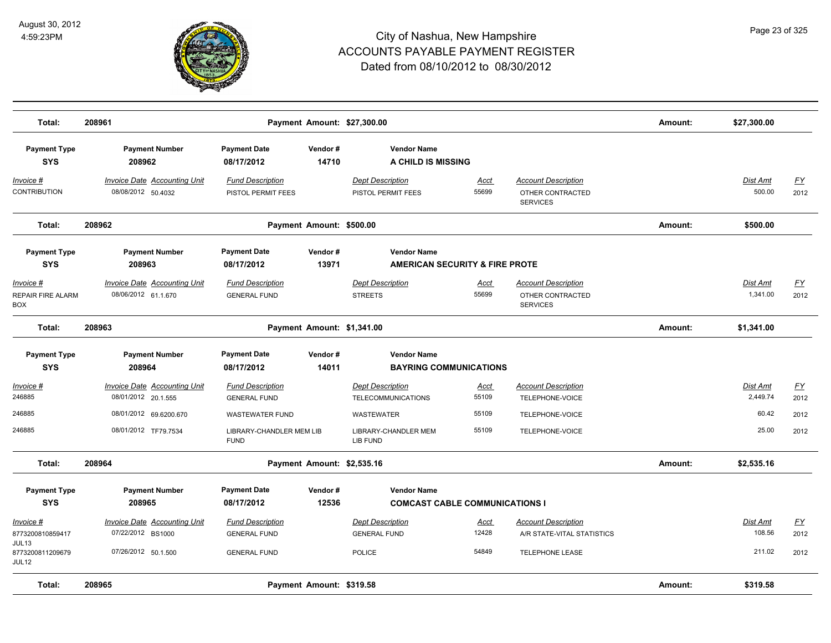

| Total:                                       | 208961                                                     |                                                |                            | Payment Amount: \$27,300.00                   |                      |                                                                   | Amount: | \$27,300.00               |                   |
|----------------------------------------------|------------------------------------------------------------|------------------------------------------------|----------------------------|-----------------------------------------------|----------------------|-------------------------------------------------------------------|---------|---------------------------|-------------------|
| <b>Payment Type</b><br><b>SYS</b>            | <b>Payment Number</b><br>208962                            | <b>Payment Date</b><br>08/17/2012              | Vendor#<br>14710           | <b>Vendor Name</b><br>A CHILD IS MISSING      |                      |                                                                   |         |                           |                   |
| <u>Invoice #</u><br><b>CONTRIBUTION</b>      | <b>Invoice Date Accounting Unit</b><br>08/08/2012 50.4032  | <b>Fund Description</b><br>PISTOL PERMIT FEES  |                            | <b>Dept Description</b><br>PISTOL PERMIT FEES | <u>Acct</u><br>55699 | <b>Account Description</b><br>OTHER CONTRACTED<br><b>SERVICES</b> |         | <u>Dist Amt</u><br>500.00 | <u>FY</u><br>2012 |
| Total:                                       | 208962                                                     |                                                | Payment Amount: \$500.00   |                                               |                      |                                                                   | Amount: | \$500.00                  |                   |
| <b>Payment Type</b>                          | <b>Payment Number</b>                                      | <b>Payment Date</b>                            | Vendor#                    | <b>Vendor Name</b>                            |                      |                                                                   |         |                           |                   |
| <b>SYS</b>                                   | 208963                                                     | 08/17/2012                                     | 13971                      | AMERICAN SECURITY & FIRE PROTE                |                      |                                                                   |         |                           |                   |
| Invoice #<br>REPAIR FIRE ALARM<br><b>BOX</b> | <b>Invoice Date Accounting Unit</b><br>08/06/2012 61.1.670 | <b>Fund Description</b><br><b>GENERAL FUND</b> |                            | <b>Dept Description</b><br><b>STREETS</b>     | <u>Acct</u><br>55699 | <b>Account Description</b><br>OTHER CONTRACTED<br><b>SERVICES</b> |         | Dist Amt<br>1,341.00      | <u>FY</u><br>2012 |
| Total:                                       | 208963                                                     |                                                | Payment Amount: \$1,341.00 |                                               |                      |                                                                   | Amount: | \$1,341.00                |                   |
| <b>Payment Type</b>                          | <b>Payment Number</b>                                      | <b>Payment Date</b>                            | Vendor#                    | <b>Vendor Name</b>                            |                      |                                                                   |         |                           |                   |
| <b>SYS</b>                                   | 208964                                                     | 08/17/2012                                     | 14011                      | <b>BAYRING COMMUNICATIONS</b>                 |                      |                                                                   |         |                           |                   |
| <u>Invoice #</u>                             | <b>Invoice Date Accounting Unit</b>                        | <b>Fund Description</b>                        |                            | <b>Dept Description</b>                       | <b>Acct</b>          | <b>Account Description</b>                                        |         | Dist Amt                  | <u>FY</u>         |
| 246885                                       | 08/01/2012 20.1.555                                        | <b>GENERAL FUND</b>                            |                            | <b>TELECOMMUNICATIONS</b>                     | 55109                | TELEPHONE-VOICE                                                   |         | 2,449.74                  | 2012              |
| 246885                                       | 08/01/2012 69.6200.670                                     | <b>WASTEWATER FUND</b>                         |                            | <b>WASTEWATER</b>                             | 55109                | TELEPHONE-VOICE                                                   |         | 60.42                     | 2012              |
| 246885                                       | 08/01/2012 TF79.7534                                       | LIBRARY-CHANDLER MEM LIB<br><b>FUND</b>        |                            | LIBRARY-CHANDLER MEM<br>LIB FUND              | 55109                | TELEPHONE-VOICE                                                   |         | 25.00                     | 2012              |
| Total:                                       | 208964                                                     |                                                | Payment Amount: \$2,535.16 |                                               |                      |                                                                   | Amount: | \$2,535.16                |                   |
| <b>Payment Type</b>                          | <b>Payment Number</b>                                      | <b>Payment Date</b>                            | Vendor#                    | <b>Vendor Name</b>                            |                      |                                                                   |         |                           |                   |
| <b>SYS</b>                                   | 208965                                                     | 08/17/2012                                     | 12536                      | <b>COMCAST CABLE COMMUNICATIONS I</b>         |                      |                                                                   |         |                           |                   |
| <u> Invoice #</u>                            | <b>Invoice Date Accounting Unit</b>                        | <b>Fund Description</b>                        |                            | <b>Dept Description</b>                       | Acct                 | <b>Account Description</b>                                        |         | Dist Amt                  | <u>FY</u>         |
| 8773200810859417                             | 07/22/2012 BS1000                                          | <b>GENERAL FUND</b>                            |                            | <b>GENERAL FUND</b>                           | 12428                | A/R STATE-VITAL STATISTICS                                        |         | 108.56                    | 2012              |
| JUL13<br>8773200811209679<br>JUL12           | 07/26/2012 50.1.500                                        | <b>GENERAL FUND</b>                            |                            | <b>POLICE</b>                                 | 54849                | <b>TELEPHONE LEASE</b>                                            |         | 211.02                    | 2012              |
| Total:                                       | 208965                                                     |                                                | Payment Amount: \$319.58   |                                               |                      |                                                                   | Amount: | \$319.58                  |                   |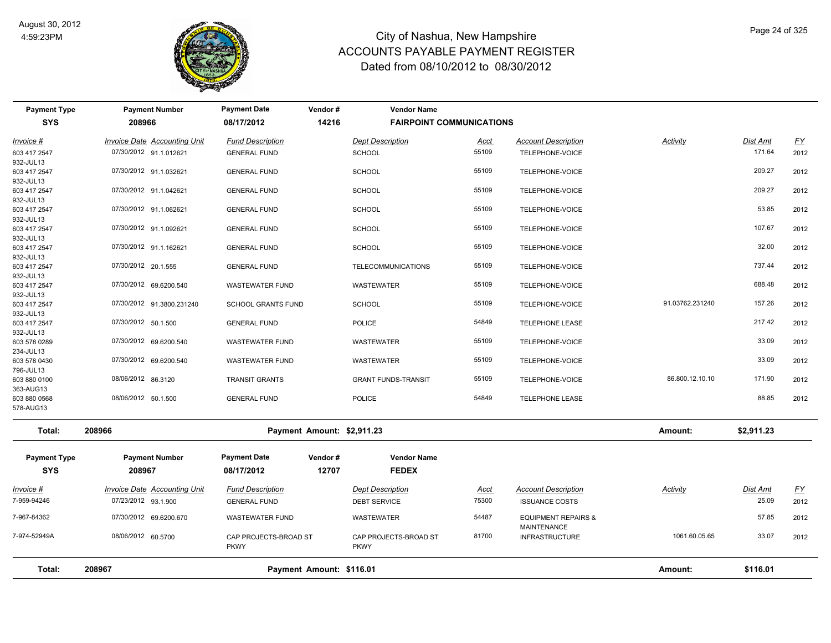

PKWY

#### City of Nashua, New Hampshire ACCOUNTS PAYABLE PAYMENT REGISTER Dated from 08/10/2012 to 08/30/2012

| <b>Payment Type</b>       | <b>Payment Number</b>               | <b>Payment Date</b>       | Vendor#                    | <b>Vendor Name</b>              |             |                                                      |                 |                 |                           |
|---------------------------|-------------------------------------|---------------------------|----------------------------|---------------------------------|-------------|------------------------------------------------------|-----------------|-----------------|---------------------------|
| <b>SYS</b>                | 208966                              | 08/17/2012                | 14216                      | <b>FAIRPOINT COMMUNICATIONS</b> |             |                                                      |                 |                 |                           |
| Invoice #                 | Invoice Date Accounting Unit        | <b>Fund Description</b>   |                            | <b>Dept Description</b>         | Acct        | <b>Account Description</b>                           | <b>Activity</b> | Dist Amt        | $\underline{\mathsf{FY}}$ |
| 603 417 2547              | 07/30/2012 91.1.012621              | <b>GENERAL FUND</b>       |                            | <b>SCHOOL</b>                   | 55109       | TELEPHONE-VOICE                                      |                 | 171.64          | 2012                      |
| 932-JUL13                 |                                     |                           |                            |                                 |             |                                                      |                 |                 |                           |
| 603 417 2547              | 07/30/2012 91.1.032621              | <b>GENERAL FUND</b>       |                            | <b>SCHOOL</b>                   | 55109       | TELEPHONE-VOICE                                      |                 | 209.27          | 2012                      |
| 932-JUL13                 |                                     |                           |                            |                                 |             |                                                      |                 |                 |                           |
| 603 417 2547              | 07/30/2012 91.1.042621              | <b>GENERAL FUND</b>       |                            | <b>SCHOOL</b>                   | 55109       | TELEPHONE-VOICE                                      |                 | 209.27          | 2012                      |
| 932-JUL13                 |                                     |                           |                            |                                 |             |                                                      |                 |                 |                           |
| 603 417 2547              | 07/30/2012 91.1.062621              | <b>GENERAL FUND</b>       |                            | <b>SCHOOL</b>                   | 55109       | TELEPHONE-VOICE                                      |                 | 53.85           | 2012                      |
| 932-JUL13                 |                                     |                           |                            |                                 |             |                                                      |                 |                 |                           |
| 603 417 2547              | 07/30/2012 91.1.092621              | <b>GENERAL FUND</b>       |                            | <b>SCHOOL</b>                   | 55109       | TELEPHONE-VOICE                                      |                 | 107.67          | 2012                      |
| 932-JUL13                 |                                     |                           |                            |                                 |             |                                                      |                 |                 |                           |
| 603 417 2547              | 07/30/2012 91.1.162621              | <b>GENERAL FUND</b>       |                            | <b>SCHOOL</b>                   | 55109       | TELEPHONE-VOICE                                      |                 | 32.00           | 2012                      |
| 932-JUL13                 |                                     |                           |                            |                                 |             |                                                      |                 |                 |                           |
| 603 417 2547              | 07/30/2012 20.1.555                 | <b>GENERAL FUND</b>       |                            | <b>TELECOMMUNICATIONS</b>       | 55109       | TELEPHONE-VOICE                                      |                 | 737.44          | 2012                      |
| 932-JUL13                 |                                     |                           |                            |                                 |             |                                                      |                 |                 |                           |
| 603 417 2547              | 07/30/2012 69.6200.540              | <b>WASTEWATER FUND</b>    |                            | WASTEWATER                      | 55109       | TELEPHONE-VOICE                                      |                 | 688.48          | 2012                      |
| 932-JUL13                 |                                     |                           |                            |                                 | 55109       |                                                      | 91.03762.231240 | 157.26          |                           |
| 603 417 2547              | 07/30/2012 91.3800.231240           | <b>SCHOOL GRANTS FUND</b> |                            | <b>SCHOOL</b>                   |             | TELEPHONE-VOICE                                      |                 |                 | 2012                      |
| 932-JUL13<br>603 417 2547 | 07/30/2012 50.1.500                 | <b>GENERAL FUND</b>       |                            | <b>POLICE</b>                   | 54849       | <b>TELEPHONE LEASE</b>                               |                 | 217.42          | 2012                      |
| 932-JUL13                 |                                     |                           |                            |                                 |             |                                                      |                 |                 |                           |
| 603 578 0289              | 07/30/2012 69.6200.540              | <b>WASTEWATER FUND</b>    |                            | WASTEWATER                      | 55109       | TELEPHONE-VOICE                                      |                 | 33.09           | 2012                      |
| 234-JUL13                 |                                     |                           |                            |                                 |             |                                                      |                 |                 |                           |
| 603 578 0430              | 07/30/2012 69.6200.540              | <b>WASTEWATER FUND</b>    |                            | WASTEWATER                      | 55109       | TELEPHONE-VOICE                                      |                 | 33.09           | 2012                      |
| 796-JUL13                 |                                     |                           |                            |                                 |             |                                                      |                 |                 |                           |
| 603 880 0100              | 08/06/2012 86.3120                  | <b>TRANSIT GRANTS</b>     |                            | <b>GRANT FUNDS-TRANSIT</b>      | 55109       | TELEPHONE-VOICE                                      | 86.800.12.10.10 | 171.90          | 2012                      |
| 363-AUG13                 |                                     |                           |                            |                                 |             |                                                      |                 |                 |                           |
| 603 880 0568              | 08/06/2012 50.1.500                 | <b>GENERAL FUND</b>       |                            | <b>POLICE</b>                   | 54849       | <b>TELEPHONE LEASE</b>                               |                 | 88.85           | 2012                      |
| 578-AUG13                 |                                     |                           |                            |                                 |             |                                                      |                 |                 |                           |
| Total:                    | 208966                              |                           | Payment Amount: \$2,911.23 |                                 |             |                                                      | Amount:         | \$2,911.23      |                           |
|                           |                                     |                           |                            |                                 |             |                                                      |                 |                 |                           |
| <b>Payment Type</b>       | <b>Payment Number</b>               | <b>Payment Date</b>       | Vendor#                    | <b>Vendor Name</b>              |             |                                                      |                 |                 |                           |
| <b>SYS</b>                | 208967                              | 08/17/2012                | 12707                      | <b>FEDEX</b>                    |             |                                                      |                 |                 |                           |
| <u>Invoice #</u>          | <b>Invoice Date Accounting Unit</b> | <b>Fund Description</b>   |                            | <b>Dept Description</b>         | <b>Acct</b> | <b>Account Description</b>                           | <b>Activity</b> | <b>Dist Amt</b> | <u>FY</u>                 |
| 7-959-94246               | 07/23/2012 93.1.900                 | <b>GENERAL FUND</b>       |                            | <b>DEBT SERVICE</b>             | 75300       | <b>ISSUANCE COSTS</b>                                |                 | 25.09           | 2012                      |
| 7-967-84362               | 07/30/2012 69.6200.670              | <b>WASTEWATER FUND</b>    |                            | WASTEWATER                      | 54487       | <b>EQUIPMENT REPAIRS &amp;</b><br><b>MAINTENANCE</b> |                 | 57.85           | 2012                      |
| 7-974-52949A              | 08/06/2012 60.5700                  | CAP PROJECTS-BROAD ST     |                            | CAP PROJECTS-BROAD ST           | 81700       | <b>INFRASTRUCTURE</b>                                | 1061.60.05.65   | 33.07           | 2012                      |

PKWY

**Total: 208967 Payment Amount: \$116.01 Amount: \$116.01**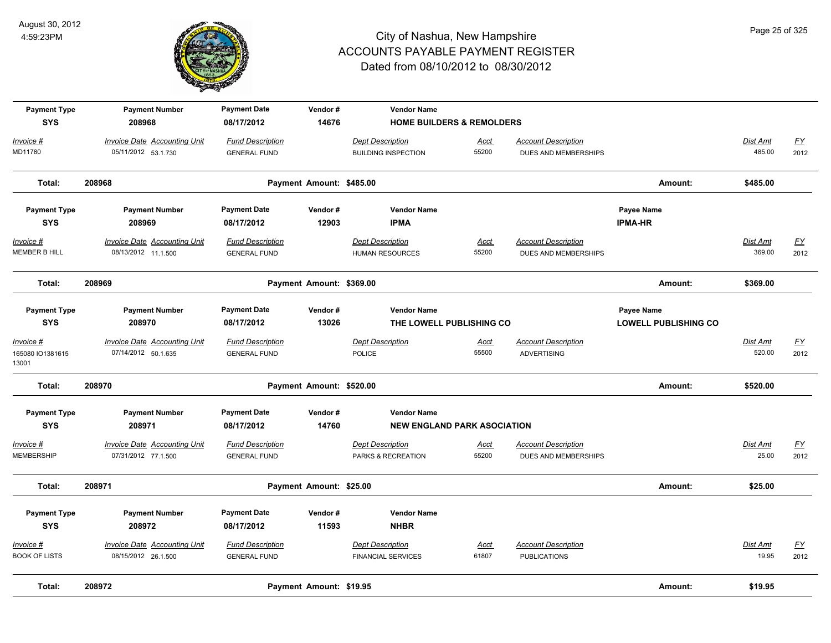

| <b>Payment Type</b>       | <b>Payment Number</b>               | <b>Payment Date</b>     | Vendor#                  | <b>Vendor Name</b>                   |             |                            |                             |                 |           |
|---------------------------|-------------------------------------|-------------------------|--------------------------|--------------------------------------|-------------|----------------------------|-----------------------------|-----------------|-----------|
| <b>SYS</b>                | 208968                              | 08/17/2012              | 14676                    | <b>HOME BUILDERS &amp; REMOLDERS</b> |             |                            |                             |                 |           |
| Invoice #                 | <b>Invoice Date Accounting Unit</b> | <b>Fund Description</b> |                          | <b>Dept Description</b>              | Acct        | <b>Account Description</b> |                             | Dist Amt        | EY        |
| MD11780                   | 05/11/2012 53.1.730                 | <b>GENERAL FUND</b>     |                          | <b>BUILDING INSPECTION</b>           | 55200       | DUES AND MEMBERSHIPS       |                             | 485.00          | 2012      |
| Total:                    | 208968                              |                         | Payment Amount: \$485.00 |                                      |             |                            | Amount:                     | \$485.00        |           |
| <b>Payment Type</b>       | <b>Payment Number</b>               | <b>Payment Date</b>     | Vendor#                  | <b>Vendor Name</b>                   |             |                            | Payee Name                  |                 |           |
| <b>SYS</b>                | 208969                              | 08/17/2012              | 12903                    | <b>IPMA</b>                          |             |                            | <b>IPMA-HR</b>              |                 |           |
| Invoice #                 | <b>Invoice Date Accounting Unit</b> | <b>Fund Description</b> |                          | <b>Dept Description</b>              | <b>Acct</b> | <b>Account Description</b> |                             | <b>Dist Amt</b> | <u>FY</u> |
| MEMBER B HILL             | 08/13/2012 11.1.500                 | <b>GENERAL FUND</b>     |                          | <b>HUMAN RESOURCES</b>               | 55200       | DUES AND MEMBERSHIPS       |                             | 369.00          | 2012      |
| Total:                    | 208969                              |                         | Payment Amount: \$369.00 |                                      |             |                            | Amount:                     | \$369.00        |           |
| <b>Payment Type</b>       | <b>Payment Number</b>               | <b>Payment Date</b>     | Vendor#                  | <b>Vendor Name</b>                   |             |                            | Payee Name                  |                 |           |
| <b>SYS</b>                | 208970                              | 08/17/2012              | 13026                    | THE LOWELL PUBLISHING CO             |             |                            | <b>LOWELL PUBLISHING CO</b> |                 |           |
| Invoice #                 | <b>Invoice Date Accounting Unit</b> | <b>Fund Description</b> |                          | <b>Dept Description</b>              | Acct        | <b>Account Description</b> |                             | Dist Amt        | <u>FY</u> |
| 165080 IO1381615<br>13001 | 07/14/2012 50.1.635                 | <b>GENERAL FUND</b>     |                          | <b>POLICE</b>                        | 55500       | <b>ADVERTISING</b>         |                             | 520.00          | 2012      |
| Total:                    | 208970                              |                         | Payment Amount: \$520.00 |                                      |             |                            | Amount:                     | \$520.00        |           |
| <b>Payment Type</b>       | <b>Payment Number</b>               | <b>Payment Date</b>     | Vendor#                  | <b>Vendor Name</b>                   |             |                            |                             |                 |           |
| <b>SYS</b>                | 208971                              | 08/17/2012              | 14760                    | <b>NEW ENGLAND PARK ASOCIATION</b>   |             |                            |                             |                 |           |
| <u>Invoice #</u>          | <b>Invoice Date Accounting Unit</b> | <b>Fund Description</b> |                          | <b>Dept Description</b>              | <u>Acct</u> | <b>Account Description</b> |                             | Dist Amt        | <u>FY</u> |
| <b>MEMBERSHIP</b>         | 07/31/2012 77.1.500                 | <b>GENERAL FUND</b>     |                          | PARKS & RECREATION                   | 55200       | DUES AND MEMBERSHIPS       |                             | 25.00           | 2012      |
| Total:                    | 208971                              |                         | Payment Amount: \$25.00  |                                      |             |                            | Amount:                     | \$25.00         |           |
| <b>Payment Type</b>       | <b>Payment Number</b>               | <b>Payment Date</b>     | Vendor#                  | <b>Vendor Name</b>                   |             |                            |                             |                 |           |
| <b>SYS</b>                | 208972                              | 08/17/2012              | 11593                    | <b>NHBR</b>                          |             |                            |                             |                 |           |
| Invoice #                 | <b>Invoice Date Accounting Unit</b> | <b>Fund Description</b> |                          | <b>Dept Description</b>              | <u>Acct</u> | <b>Account Description</b> |                             | <b>Dist Amt</b> | <u>FY</u> |
| <b>BOOK OF LISTS</b>      | 08/15/2012 26.1.500                 | <b>GENERAL FUND</b>     |                          | <b>FINANCIAL SERVICES</b>            | 61807       | <b>PUBLICATIONS</b>        |                             | 19.95           | 2012      |
| Total:                    | 208972                              |                         | Payment Amount: \$19.95  |                                      |             |                            | Amount:                     | \$19.95         |           |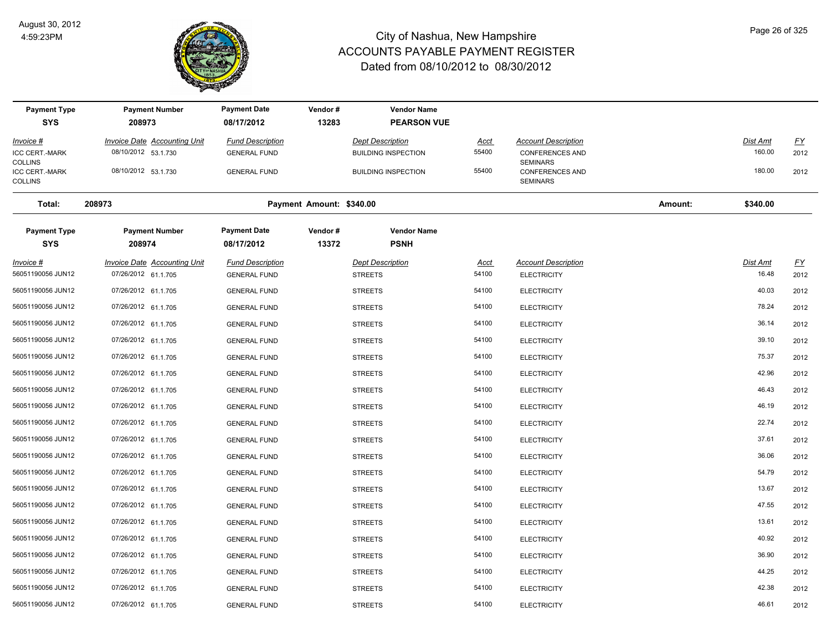

| <b>Payment Type</b>                    | <b>Payment Number</b>                                      | <b>Payment Date</b>                            | Vendor#                  | <b>Vendor Name</b>                        |               |                                                  |         |                          |                   |
|----------------------------------------|------------------------------------------------------------|------------------------------------------------|--------------------------|-------------------------------------------|---------------|--------------------------------------------------|---------|--------------------------|-------------------|
| <b>SYS</b>                             | 208973                                                     | 08/17/2012                                     | 13283                    | <b>PEARSON VUE</b>                        |               |                                                  |         |                          |                   |
| <u> Invoice #</u>                      | <b>Invoice Date Accounting Unit</b>                        | <b>Fund Description</b>                        |                          | <b>Dept Description</b>                   | <u>Acct</u>   | <b>Account Description</b>                       |         | <b>Dist Amt</b>          | $\underline{FY}$  |
| ICC CERT.-MARK<br><b>COLLINS</b>       | 08/10/2012 53.1.730                                        | <b>GENERAL FUND</b>                            |                          | <b>BUILDING INSPECTION</b>                | 55400         | <b>CONFERENCES AND</b><br><b>SEMINARS</b>        |         | 160.00                   | 2012              |
| ICC CERT.-MARK<br><b>COLLINS</b>       | 08/10/2012 53.1.730                                        | <b>GENERAL FUND</b>                            |                          | <b>BUILDING INSPECTION</b>                | 55400         | <b>CONFERENCES AND</b><br><b>SEMINARS</b>        |         | 180.00                   | 2012              |
| Total:                                 | 208973                                                     |                                                | Payment Amount: \$340.00 |                                           |               |                                                  | Amount: | \$340.00                 |                   |
| <b>Payment Type</b><br><b>SYS</b>      | <b>Payment Number</b><br>208974                            | <b>Payment Date</b><br>08/17/2012              | Vendor#<br>13372         | <b>Vendor Name</b><br><b>PSNH</b>         |               |                                                  |         |                          |                   |
| <u> Invoice #</u><br>56051190056 JUN12 | <b>Invoice Date Accounting Unit</b><br>07/26/2012 61.1.705 | <b>Fund Description</b><br><b>GENERAL FUND</b> |                          | <b>Dept Description</b><br><b>STREETS</b> | Acct<br>54100 | <b>Account Description</b><br><b>ELECTRICITY</b> |         | <b>Dist Amt</b><br>16.48 | <u>FY</u><br>2012 |
| 56051190056 JUN12                      | 07/26/2012 61.1.705                                        | <b>GENERAL FUND</b>                            |                          | <b>STREETS</b>                            | 54100         | <b>ELECTRICITY</b>                               |         | 40.03                    | 2012              |
| 56051190056 JUN12                      | 07/26/2012 61.1.705                                        | <b>GENERAL FUND</b>                            |                          | <b>STREETS</b>                            | 54100         | <b>ELECTRICITY</b>                               |         | 78.24                    | 2012              |
| 56051190056 JUN12                      | 07/26/2012 61.1.705                                        | <b>GENERAL FUND</b>                            |                          | <b>STREETS</b>                            | 54100         | <b>ELECTRICITY</b>                               |         | 36.14                    | 2012              |
| 56051190056 JUN12                      | 07/26/2012 61.1.705                                        | <b>GENERAL FUND</b>                            |                          | <b>STREETS</b>                            | 54100         | <b>ELECTRICITY</b>                               |         | 39.10                    | 2012              |
| 56051190056 JUN12                      | 07/26/2012 61.1.705                                        | <b>GENERAL FUND</b>                            |                          | <b>STREETS</b>                            | 54100         | <b>ELECTRICITY</b>                               |         | 75.37                    | 2012              |
| 56051190056 JUN12                      | 07/26/2012 61.1.705                                        | <b>GENERAL FUND</b>                            |                          | <b>STREETS</b>                            | 54100         | <b>ELECTRICITY</b>                               |         | 42.96                    | 2012              |
| 56051190056 JUN12                      | 07/26/2012 61.1.705                                        | <b>GENERAL FUND</b>                            |                          | <b>STREETS</b>                            | 54100         | <b>ELECTRICITY</b>                               |         | 46.43                    | 2012              |
| 56051190056 JUN12                      | 07/26/2012 61.1.705                                        | <b>GENERAL FUND</b>                            |                          | <b>STREETS</b>                            | 54100         | <b>ELECTRICITY</b>                               |         | 46.19                    | 2012              |
| 56051190056 JUN12                      | 07/26/2012 61.1.705                                        | <b>GENERAL FUND</b>                            |                          | <b>STREETS</b>                            | 54100         | <b>ELECTRICITY</b>                               |         | 22.74                    | 2012              |
| 56051190056 JUN12                      | 07/26/2012 61.1.705                                        | <b>GENERAL FUND</b>                            |                          | <b>STREETS</b>                            | 54100         | <b>ELECTRICITY</b>                               |         | 37.61                    | 2012              |
| 56051190056 JUN12                      | 07/26/2012 61.1.705                                        | <b>GENERAL FUND</b>                            |                          | <b>STREETS</b>                            | 54100         | <b>ELECTRICITY</b>                               |         | 36.06                    | 2012              |
| 56051190056 JUN12                      | 07/26/2012 61.1.705                                        | <b>GENERAL FUND</b>                            |                          | <b>STREETS</b>                            | 54100         | <b>ELECTRICITY</b>                               |         | 54.79                    | 2012              |
| 56051190056 JUN12                      | 07/26/2012 61.1.705                                        | <b>GENERAL FUND</b>                            |                          | <b>STREETS</b>                            | 54100         | <b>ELECTRICITY</b>                               |         | 13.67                    | 2012              |
| 56051190056 JUN12                      | 07/26/2012 61.1.705                                        | <b>GENERAL FUND</b>                            |                          | <b>STREETS</b>                            | 54100         | <b>ELECTRICITY</b>                               |         | 47.55                    | 2012              |
| 56051190056 JUN12                      | 07/26/2012 61.1.705                                        | <b>GENERAL FUND</b>                            |                          | <b>STREETS</b>                            | 54100         | <b>ELECTRICITY</b>                               |         | 13.61                    | 2012              |
| 56051190056 JUN12                      | 07/26/2012 61.1.705                                        | <b>GENERAL FUND</b>                            |                          | <b>STREETS</b>                            | 54100         | <b>ELECTRICITY</b>                               |         | 40.92                    | 2012              |
| 56051190056 JUN12                      | 07/26/2012 61.1.705                                        | <b>GENERAL FUND</b>                            |                          | <b>STREETS</b>                            | 54100         | <b>ELECTRICITY</b>                               |         | 36.90                    | 2012              |
| 56051190056 JUN12                      | 07/26/2012 61.1.705                                        | <b>GENERAL FUND</b>                            |                          | <b>STREETS</b>                            | 54100         | <b>ELECTRICITY</b>                               |         | 44.25                    | 2012              |
| 56051190056 JUN12                      | 07/26/2012 61.1.705                                        | <b>GENERAL FUND</b>                            |                          | <b>STREETS</b>                            | 54100         | <b>ELECTRICITY</b>                               |         | 42.38                    | 2012              |
| 56051190056 JUN12                      | 07/26/2012 61.1.705                                        | <b>GENERAL FUND</b>                            |                          | <b>STREETS</b>                            | 54100         | <b>ELECTRICITY</b>                               |         | 46.61                    | 2012              |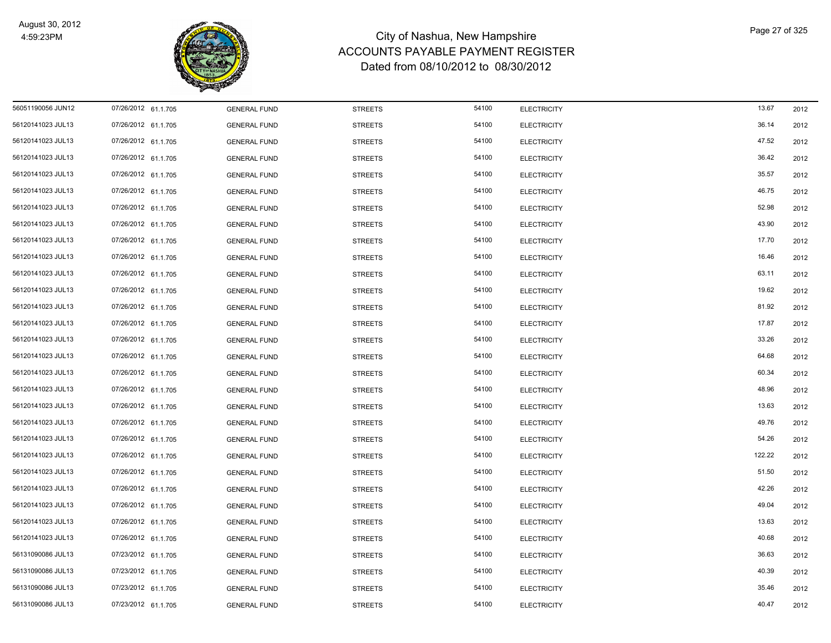

| 56051190056 JUN12 | 07/26/2012 61.1.705 | <b>GENERAL FUND</b> | <b>STREETS</b> | 54100 | <b>ELECTRICITY</b> | 13.67  | 2012 |
|-------------------|---------------------|---------------------|----------------|-------|--------------------|--------|------|
| 56120141023 JUL13 | 07/26/2012 61.1.705 | <b>GENERAL FUND</b> | <b>STREETS</b> | 54100 | <b>ELECTRICITY</b> | 36.14  | 2012 |
| 56120141023 JUL13 | 07/26/2012 61.1.705 | <b>GENERAL FUND</b> | <b>STREETS</b> | 54100 | <b>ELECTRICITY</b> | 47.52  | 2012 |
| 56120141023 JUL13 | 07/26/2012 61.1.705 | <b>GENERAL FUND</b> | <b>STREETS</b> | 54100 | <b>ELECTRICITY</b> | 36.42  | 2012 |
| 56120141023 JUL13 | 07/26/2012 61.1.705 | <b>GENERAL FUND</b> | <b>STREETS</b> | 54100 | <b>ELECTRICITY</b> | 35.57  | 2012 |
| 56120141023 JUL13 | 07/26/2012 61.1.705 | <b>GENERAL FUND</b> | <b>STREETS</b> | 54100 | <b>ELECTRICITY</b> | 46.75  | 2012 |
| 56120141023 JUL13 | 07/26/2012 61.1.705 | <b>GENERAL FUND</b> | <b>STREETS</b> | 54100 | <b>ELECTRICITY</b> | 52.98  | 2012 |
| 56120141023 JUL13 | 07/26/2012 61.1.705 | <b>GENERAL FUND</b> | <b>STREETS</b> | 54100 | <b>ELECTRICITY</b> | 43.90  | 2012 |
| 56120141023 JUL13 | 07/26/2012 61.1.705 | <b>GENERAL FUND</b> | <b>STREETS</b> | 54100 | <b>ELECTRICITY</b> | 17.70  | 2012 |
| 56120141023 JUL13 | 07/26/2012 61.1.705 | <b>GENERAL FUND</b> | <b>STREETS</b> | 54100 | <b>ELECTRICITY</b> | 16.46  | 2012 |
| 56120141023 JUL13 | 07/26/2012 61.1.705 | <b>GENERAL FUND</b> | <b>STREETS</b> | 54100 | <b>ELECTRICITY</b> | 63.11  | 2012 |
| 56120141023 JUL13 | 07/26/2012 61.1.705 | <b>GENERAL FUND</b> | <b>STREETS</b> | 54100 | <b>ELECTRICITY</b> | 19.62  | 2012 |
| 56120141023 JUL13 | 07/26/2012 61.1.705 | <b>GENERAL FUND</b> | <b>STREETS</b> | 54100 | <b>ELECTRICITY</b> | 81.92  | 2012 |
| 56120141023 JUL13 | 07/26/2012 61.1.705 | <b>GENERAL FUND</b> | <b>STREETS</b> | 54100 | <b>ELECTRICITY</b> | 17.87  | 2012 |
| 56120141023 JUL13 | 07/26/2012 61.1.705 | <b>GENERAL FUND</b> | <b>STREETS</b> | 54100 | <b>ELECTRICITY</b> | 33.26  | 2012 |
| 56120141023 JUL13 | 07/26/2012 61.1.705 | <b>GENERAL FUND</b> | <b>STREETS</b> | 54100 | <b>ELECTRICITY</b> | 64.68  | 2012 |
| 56120141023 JUL13 | 07/26/2012 61.1.705 | <b>GENERAL FUND</b> | <b>STREETS</b> | 54100 | <b>ELECTRICITY</b> | 60.34  | 2012 |
| 56120141023 JUL13 | 07/26/2012 61.1.705 | <b>GENERAL FUND</b> | <b>STREETS</b> | 54100 | <b>ELECTRICITY</b> | 48.96  | 2012 |
| 56120141023 JUL13 | 07/26/2012 61.1.705 | <b>GENERAL FUND</b> | <b>STREETS</b> | 54100 | <b>ELECTRICITY</b> | 13.63  | 2012 |
| 56120141023 JUL13 | 07/26/2012 61.1.705 | <b>GENERAL FUND</b> | <b>STREETS</b> | 54100 | <b>ELECTRICITY</b> | 49.76  | 2012 |
| 56120141023 JUL13 | 07/26/2012 61.1.705 | <b>GENERAL FUND</b> | <b>STREETS</b> | 54100 | <b>ELECTRICITY</b> | 54.26  | 2012 |
| 56120141023 JUL13 | 07/26/2012 61.1.705 | <b>GENERAL FUND</b> | <b>STREETS</b> | 54100 | <b>ELECTRICITY</b> | 122.22 | 2012 |
| 56120141023 JUL13 | 07/26/2012 61.1.705 | <b>GENERAL FUND</b> | <b>STREETS</b> | 54100 | <b>ELECTRICITY</b> | 51.50  | 2012 |
| 56120141023 JUL13 | 07/26/2012 61.1.705 | <b>GENERAL FUND</b> | <b>STREETS</b> | 54100 | <b>ELECTRICITY</b> | 42.26  | 2012 |
| 56120141023 JUL13 | 07/26/2012 61.1.705 | <b>GENERAL FUND</b> | <b>STREETS</b> | 54100 | <b>ELECTRICITY</b> | 49.04  | 2012 |
| 56120141023 JUL13 | 07/26/2012 61.1.705 | <b>GENERAL FUND</b> | <b>STREETS</b> | 54100 | <b>ELECTRICITY</b> | 13.63  | 2012 |
| 56120141023 JUL13 | 07/26/2012 61.1.705 | <b>GENERAL FUND</b> | <b>STREETS</b> | 54100 | <b>ELECTRICITY</b> | 40.68  | 2012 |
| 56131090086 JUL13 | 07/23/2012 61.1.705 | <b>GENERAL FUND</b> | <b>STREETS</b> | 54100 | <b>ELECTRICITY</b> | 36.63  | 2012 |
| 56131090086 JUL13 | 07/23/2012 61.1.705 | <b>GENERAL FUND</b> | <b>STREETS</b> | 54100 | <b>ELECTRICITY</b> | 40.39  | 2012 |
| 56131090086 JUL13 | 07/23/2012 61.1.705 | <b>GENERAL FUND</b> | <b>STREETS</b> | 54100 | <b>ELECTRICITY</b> | 35.46  | 2012 |
| 56131090086 JUL13 | 07/23/2012 61.1.705 | <b>GENERAL FUND</b> | <b>STREETS</b> | 54100 | <b>ELECTRICITY</b> | 40.47  | 2012 |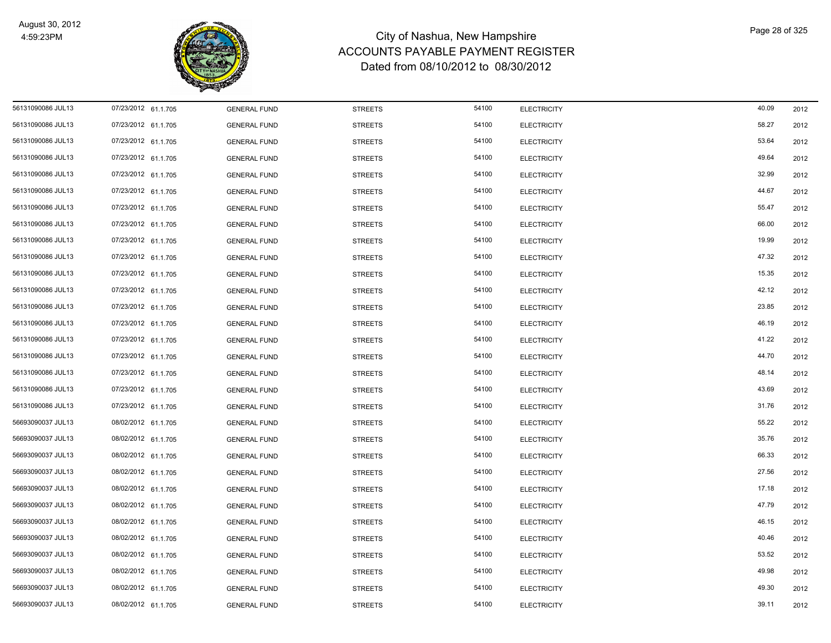

| 56131090086 JUL13 | 07/23/2012 61.1.705 | <b>GENERAL FUND</b> | <b>STREETS</b> | 54100 | <b>ELECTRICITY</b> | 40.09 | 2012 |
|-------------------|---------------------|---------------------|----------------|-------|--------------------|-------|------|
| 56131090086 JUL13 | 07/23/2012 61.1.705 | <b>GENERAL FUND</b> | <b>STREETS</b> | 54100 | <b>ELECTRICITY</b> | 58.27 | 2012 |
| 56131090086 JUL13 | 07/23/2012 61.1.705 | <b>GENERAL FUND</b> | <b>STREETS</b> | 54100 | <b>ELECTRICITY</b> | 53.64 | 2012 |
| 56131090086 JUL13 | 07/23/2012 61.1.705 | <b>GENERAL FUND</b> | <b>STREETS</b> | 54100 | <b>ELECTRICITY</b> | 49.64 | 2012 |
| 56131090086 JUL13 | 07/23/2012 61.1.705 | <b>GENERAL FUND</b> | <b>STREETS</b> | 54100 | <b>ELECTRICITY</b> | 32.99 | 2012 |
| 56131090086 JUL13 | 07/23/2012 61.1.705 | <b>GENERAL FUND</b> | <b>STREETS</b> | 54100 | <b>ELECTRICITY</b> | 44.67 | 2012 |
| 56131090086 JUL13 | 07/23/2012 61.1.705 | <b>GENERAL FUND</b> | <b>STREETS</b> | 54100 | <b>ELECTRICITY</b> | 55.47 | 2012 |
| 56131090086 JUL13 | 07/23/2012 61.1.705 | <b>GENERAL FUND</b> | <b>STREETS</b> | 54100 | <b>ELECTRICITY</b> | 66.00 | 2012 |
| 56131090086 JUL13 | 07/23/2012 61.1.705 | <b>GENERAL FUND</b> | <b>STREETS</b> | 54100 | <b>ELECTRICITY</b> | 19.99 | 2012 |
| 56131090086 JUL13 | 07/23/2012 61.1.705 | <b>GENERAL FUND</b> | <b>STREETS</b> | 54100 | <b>ELECTRICITY</b> | 47.32 | 2012 |
| 56131090086 JUL13 | 07/23/2012 61.1.705 | <b>GENERAL FUND</b> | <b>STREETS</b> | 54100 | <b>ELECTRICITY</b> | 15.35 | 2012 |
| 56131090086 JUL13 | 07/23/2012 61.1.705 | <b>GENERAL FUND</b> | <b>STREETS</b> | 54100 | <b>ELECTRICITY</b> | 42.12 | 2012 |
| 56131090086 JUL13 | 07/23/2012 61.1.705 | <b>GENERAL FUND</b> | <b>STREETS</b> | 54100 | <b>ELECTRICITY</b> | 23.85 | 2012 |
| 56131090086 JUL13 | 07/23/2012 61.1.705 | <b>GENERAL FUND</b> | <b>STREETS</b> | 54100 | <b>ELECTRICITY</b> | 46.19 | 2012 |
| 56131090086 JUL13 | 07/23/2012 61.1.705 | <b>GENERAL FUND</b> | <b>STREETS</b> | 54100 | <b>ELECTRICITY</b> | 41.22 | 2012 |
| 56131090086 JUL13 | 07/23/2012 61.1.705 | <b>GENERAL FUND</b> | <b>STREETS</b> | 54100 | <b>ELECTRICITY</b> | 44.70 | 2012 |
| 56131090086 JUL13 | 07/23/2012 61.1.705 | <b>GENERAL FUND</b> | <b>STREETS</b> | 54100 | <b>ELECTRICITY</b> | 48.14 | 2012 |
| 56131090086 JUL13 | 07/23/2012 61.1.705 | <b>GENERAL FUND</b> | <b>STREETS</b> | 54100 | <b>ELECTRICITY</b> | 43.69 | 2012 |
| 56131090086 JUL13 | 07/23/2012 61.1.705 | <b>GENERAL FUND</b> | <b>STREETS</b> | 54100 | <b>ELECTRICITY</b> | 31.76 | 2012 |
| 56693090037 JUL13 | 08/02/2012 61.1.705 | <b>GENERAL FUND</b> | <b>STREETS</b> | 54100 | <b>ELECTRICITY</b> | 55.22 | 2012 |
| 56693090037 JUL13 | 08/02/2012 61.1.705 | <b>GENERAL FUND</b> | <b>STREETS</b> | 54100 | <b>ELECTRICITY</b> | 35.76 | 2012 |
| 56693090037 JUL13 | 08/02/2012 61.1.705 | <b>GENERAL FUND</b> | <b>STREETS</b> | 54100 | <b>ELECTRICITY</b> | 66.33 | 2012 |
| 56693090037 JUL13 | 08/02/2012 61.1.705 | <b>GENERAL FUND</b> | <b>STREETS</b> | 54100 | <b>ELECTRICITY</b> | 27.56 | 2012 |
| 56693090037 JUL13 | 08/02/2012 61.1.705 | <b>GENERAL FUND</b> | <b>STREETS</b> | 54100 | <b>ELECTRICITY</b> | 17.18 | 2012 |
| 56693090037 JUL13 | 08/02/2012 61.1.705 | <b>GENERAL FUND</b> | <b>STREETS</b> | 54100 | <b>ELECTRICITY</b> | 47.79 | 2012 |
| 56693090037 JUL13 | 08/02/2012 61.1.705 | <b>GENERAL FUND</b> | <b>STREETS</b> | 54100 | <b>ELECTRICITY</b> | 46.15 | 2012 |
| 56693090037 JUL13 | 08/02/2012 61.1.705 | <b>GENERAL FUND</b> | <b>STREETS</b> | 54100 | <b>ELECTRICITY</b> | 40.46 | 2012 |
| 56693090037 JUL13 | 08/02/2012 61.1.705 | <b>GENERAL FUND</b> | <b>STREETS</b> | 54100 | <b>ELECTRICITY</b> | 53.52 | 2012 |
| 56693090037 JUL13 | 08/02/2012 61.1.705 | <b>GENERAL FUND</b> | <b>STREETS</b> | 54100 | <b>ELECTRICITY</b> | 49.98 | 2012 |
| 56693090037 JUL13 | 08/02/2012 61.1.705 | <b>GENERAL FUND</b> | <b>STREETS</b> | 54100 | <b>ELECTRICITY</b> | 49.30 | 2012 |
| 56693090037 JUL13 | 08/02/2012 61.1.705 | <b>GENERAL FUND</b> | <b>STREETS</b> | 54100 | <b>ELECTRICITY</b> | 39.11 | 2012 |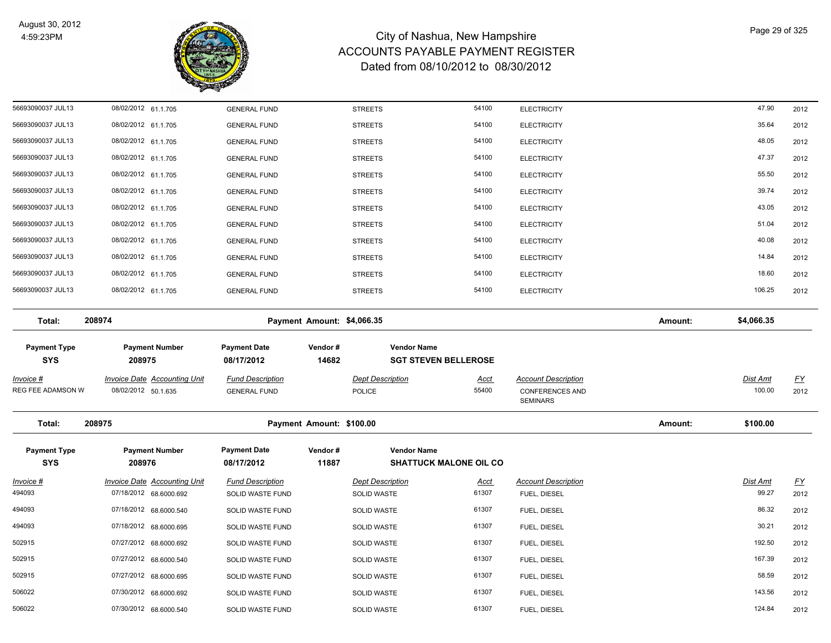

| 56693090037 JUL13                     | 08/02/2012 61.1.705                                        | <b>GENERAL FUND</b>                            |                            | <b>STREETS</b>                           | 54100                         | <b>ELECTRICITY</b>                                   |         | 47.90                     | 2012             |
|---------------------------------------|------------------------------------------------------------|------------------------------------------------|----------------------------|------------------------------------------|-------------------------------|------------------------------------------------------|---------|---------------------------|------------------|
| 56693090037 JUL13                     | 08/02/2012 61.1.705                                        | <b>GENERAL FUND</b>                            |                            | <b>STREETS</b>                           | 54100                         | <b>ELECTRICITY</b>                                   |         | 35.64                     | 2012             |
| 56693090037 JUL13                     | 08/02/2012 61.1.705                                        | <b>GENERAL FUND</b>                            |                            | <b>STREETS</b>                           | 54100                         | <b>ELECTRICITY</b>                                   |         | 48.05                     | 2012             |
| 56693090037 JUL13                     | 08/02/2012 61.1.705                                        | <b>GENERAL FUND</b>                            |                            | <b>STREETS</b>                           | 54100                         | <b>ELECTRICITY</b>                                   |         | 47.37                     | 2012             |
| 56693090037 JUL13                     | 08/02/2012 61.1.705                                        | <b>GENERAL FUND</b>                            |                            | <b>STREETS</b>                           | 54100                         | <b>ELECTRICITY</b>                                   |         | 55.50                     | 2012             |
| 56693090037 JUL13                     | 08/02/2012 61.1.705                                        | <b>GENERAL FUND</b>                            |                            | <b>STREETS</b>                           | 54100                         | <b>ELECTRICITY</b>                                   |         | 39.74                     | 2012             |
| 56693090037 JUL13                     | 08/02/2012 61.1.705                                        | <b>GENERAL FUND</b>                            |                            | <b>STREETS</b>                           | 54100                         | <b>ELECTRICITY</b>                                   |         | 43.05                     | 2012             |
| 56693090037 JUL13                     | 08/02/2012 61.1.705                                        | <b>GENERAL FUND</b>                            |                            | <b>STREETS</b>                           | 54100                         | <b>ELECTRICITY</b>                                   |         | 51.04                     | 2012             |
| 56693090037 JUL13                     | 08/02/2012 61.1.705                                        | <b>GENERAL FUND</b>                            |                            | <b>STREETS</b>                           | 54100                         | <b>ELECTRICITY</b>                                   |         | 40.08                     | 2012             |
| 56693090037 JUL13                     | 08/02/2012 61.1.705                                        | <b>GENERAL FUND</b>                            |                            | <b>STREETS</b>                           | 54100                         | <b>ELECTRICITY</b>                                   |         | 14.84                     | 2012             |
| 56693090037 JUL13                     | 08/02/2012 61.1.705                                        | <b>GENERAL FUND</b>                            |                            | <b>STREETS</b>                           | 54100                         | <b>ELECTRICITY</b>                                   |         | 18.60                     | 2012             |
| 56693090037 JUL13                     | 08/02/2012 61.1.705                                        | <b>GENERAL FUND</b>                            |                            | <b>STREETS</b>                           | 54100                         | <b>ELECTRICITY</b>                                   |         | 106.25                    | 2012             |
| Total:                                | 208974                                                     |                                                | Payment Amount: \$4,066.35 |                                          |                               |                                                      | Amount: | \$4,066.35                |                  |
| <b>Payment Type</b>                   | <b>Payment Number</b>                                      | <b>Payment Date</b>                            | Vendor#                    | <b>Vendor Name</b>                       |                               |                                                      |         |                           |                  |
| <b>SYS</b>                            | 208975                                                     | 08/17/2012                                     | 14682                      |                                          | <b>SGT STEVEN BELLEROSE</b>   |                                                      |         |                           |                  |
| <u>Invoice #</u><br>REG FEE ADAMSON W | <b>Invoice Date Accounting Unit</b><br>08/02/2012 50.1.635 | <b>Fund Description</b><br><b>GENERAL FUND</b> |                            | <b>Dept Description</b><br><b>POLICE</b> | <u>Acct</u><br>55400          | <b>Account Description</b><br><b>CONFERENCES AND</b> |         | <u>Dist Amt</u><br>100.00 | EY<br>2012       |
|                                       |                                                            |                                                |                            |                                          |                               | <b>SEMINARS</b>                                      |         |                           |                  |
| Total:                                | 208975                                                     |                                                | Payment Amount: \$100.00   |                                          |                               |                                                      | Amount: | \$100.00                  |                  |
| <b>Payment Type</b><br><b>SYS</b>     | <b>Payment Number</b><br>208976                            | <b>Payment Date</b><br>08/17/2012              | Vendor#<br>11887           | <b>Vendor Name</b>                       | <b>SHATTUCK MALONE OIL CO</b> |                                                      |         |                           |                  |
| <u> Invoice #</u>                     | <b>Invoice Date Accounting Unit</b>                        | <b>Fund Description</b>                        |                            | <b>Dept Description</b>                  | <u>Acct</u>                   | <b>Account Description</b>                           |         | Dist Amt                  | $\underline{FY}$ |
| 494093                                | 07/18/2012 68.6000.692                                     | SOLID WASTE FUND                               |                            | SOLID WASTE                              | 61307                         | FUEL, DIESEL                                         |         | 99.27                     | 2012             |
| 494093                                | 07/18/2012 68.6000.540                                     | SOLID WASTE FUND                               |                            | <b>SOLID WASTE</b>                       | 61307                         | FUEL, DIESEL                                         |         | 86.32                     | 2012             |
| 494093                                | 07/18/2012 68.6000.695                                     | SOLID WASTE FUND                               |                            | SOLID WASTE                              | 61307                         | FUEL, DIESEL                                         |         | 30.21                     | 2012             |
| 502915                                | 07/27/2012 68.6000.692                                     | SOLID WASTE FUND                               |                            | SOLID WASTE                              | 61307                         | FUEL, DIESEL                                         |         | 192.50                    | 2012             |
| 502915                                | 07/27/2012 68.6000.540                                     | SOLID WASTE FUND                               |                            | SOLID WASTE                              | 61307                         | FUEL, DIESEL                                         |         | 167.39                    | 2012             |
| 502915                                | 07/27/2012 68.6000.695                                     | SOLID WASTE FUND                               |                            | <b>SOLID WASTE</b>                       | 61307                         | FUEL, DIESEL                                         |         | 58.59                     | 2012             |
| 506022                                | 07/30/2012 68.6000.692                                     | SOLID WASTE FUND                               |                            | <b>SOLID WASTE</b>                       | 61307                         | FUEL, DIESEL                                         |         | 143.56                    | 2012             |
| 506022                                | 07/30/2012 68.6000.540                                     | SOLID WASTE FUND                               |                            | <b>SOLID WASTE</b>                       | 61307                         | FUEL, DIESEL                                         |         | 124.84                    | 2012             |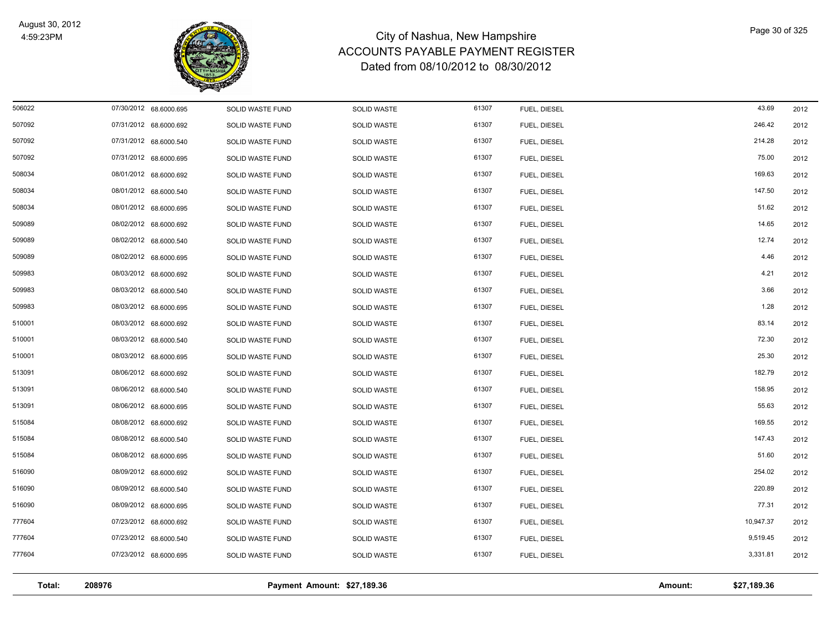

| Total: | 208976                 |                  | Payment Amount: \$27,189.36 |       |              | Amount: | \$27,189.36 |      |
|--------|------------------------|------------------|-----------------------------|-------|--------------|---------|-------------|------|
|        |                        |                  |                             |       |              |         |             |      |
| 777604 | 07/23/2012 68.6000.695 | SOLID WASTE FUND | SOLID WASTE                 | 61307 | FUEL, DIESEL |         | 3,331.81    | 2012 |
| 777604 | 07/23/2012 68.6000.540 | SOLID WASTE FUND | SOLID WASTE                 | 61307 | FUEL, DIESEL |         | 9,519.45    | 2012 |
| 777604 | 07/23/2012 68.6000.692 | SOLID WASTE FUND | SOLID WASTE                 | 61307 | FUEL, DIESEL |         | 10,947.37   | 2012 |
| 516090 | 08/09/2012 68.6000.695 | SOLID WASTE FUND | <b>SOLID WASTE</b>          | 61307 | FUEL, DIESEL |         | 77.31       | 2012 |
| 516090 | 08/09/2012 68.6000.540 | SOLID WASTE FUND | SOLID WASTE                 | 61307 | FUEL, DIESEL |         | 220.89      | 2012 |
| 516090 | 08/09/2012 68.6000.692 | SOLID WASTE FUND | SOLID WASTE                 | 61307 | FUEL, DIESEL |         | 254.02      | 2012 |
| 515084 | 08/08/2012 68.6000.695 | SOLID WASTE FUND | SOLID WASTE                 | 61307 | FUEL, DIESEL |         | 51.60       | 2012 |
| 515084 | 08/08/2012 68.6000.540 | SOLID WASTE FUND | <b>SOLID WASTE</b>          | 61307 | FUEL, DIESEL |         | 147.43      | 2012 |
| 515084 | 08/08/2012 68.6000.692 | SOLID WASTE FUND | SOLID WASTE                 | 61307 | FUEL, DIESEL |         | 169.55      | 2012 |
| 513091 | 08/06/2012 68.6000.695 | SOLID WASTE FUND | <b>SOLID WASTE</b>          | 61307 | FUEL, DIESEL |         | 55.63       | 2012 |
| 513091 | 08/06/2012 68.6000.540 | SOLID WASTE FUND | SOLID WASTE                 | 61307 | FUEL, DIESEL |         | 158.95      | 2012 |
| 513091 | 08/06/2012 68.6000.692 | SOLID WASTE FUND | <b>SOLID WASTE</b>          | 61307 | FUEL, DIESEL |         | 182.79      | 2012 |
| 510001 | 08/03/2012 68.6000.695 | SOLID WASTE FUND | SOLID WASTE                 | 61307 | FUEL, DIESEL |         | 25.30       | 2012 |
| 510001 | 08/03/2012 68.6000.540 | SOLID WASTE FUND | SOLID WASTE                 | 61307 | FUEL, DIESEL |         | 72.30       | 2012 |
| 510001 | 08/03/2012 68.6000.692 | SOLID WASTE FUND | SOLID WASTE                 | 61307 | FUEL, DIESEL |         | 83.14       | 2012 |
| 509983 | 08/03/2012 68.6000.695 | SOLID WASTE FUND | SOLID WASTE                 | 61307 | FUEL, DIESEL |         | 1.28        | 2012 |
| 509983 | 08/03/2012 68.6000.540 | SOLID WASTE FUND | SOLID WASTE                 | 61307 | FUEL, DIESEL |         | 3.66        | 2012 |
| 509983 | 08/03/2012 68.6000.692 | SOLID WASTE FUND | SOLID WASTE                 | 61307 | FUEL, DIESEL |         | 4.21        | 2012 |
| 509089 | 08/02/2012 68.6000.695 | SOLID WASTE FUND | SOLID WASTE                 | 61307 | FUEL, DIESEL |         | 4.46        | 2012 |
| 509089 | 08/02/2012 68.6000.540 | SOLID WASTE FUND | SOLID WASTE                 | 61307 | FUEL, DIESEL |         | 12.74       | 2012 |
| 509089 | 08/02/2012 68.6000.692 | SOLID WASTE FUND | SOLID WASTE                 | 61307 | FUEL, DIESEL |         | 14.65       | 2012 |
| 508034 | 08/01/2012 68.6000.695 | SOLID WASTE FUND | SOLID WASTE                 | 61307 | FUEL, DIESEL |         | 51.62       | 2012 |
| 508034 | 08/01/2012 68.6000.540 | SOLID WASTE FUND | SOLID WASTE                 | 61307 | FUEL, DIESEL |         | 147.50      | 2012 |
| 508034 | 08/01/2012 68.6000.692 | SOLID WASTE FUND | SOLID WASTE                 | 61307 | FUEL, DIESEL |         | 169.63      | 2012 |
| 507092 | 07/31/2012 68.6000.695 | SOLID WASTE FUND | SOLID WASTE                 | 61307 | FUEL, DIESEL |         | 75.00       | 2012 |
| 507092 | 07/31/2012 68.6000.540 | SOLID WASTE FUND | <b>SOLID WASTE</b>          | 61307 | FUEL, DIESEL |         | 214.28      | 2012 |
| 507092 | 07/31/2012 68.6000.692 | SOLID WASTE FUND | SOLID WASTE                 | 61307 | FUEL, DIESEL |         | 246.42      | 2012 |
| 506022 | 07/30/2012 68.6000.695 | SOLID WASTE FUND | <b>SOLID WASTE</b>          | 61307 | FUEL, DIESEL |         | 43.69       | 2012 |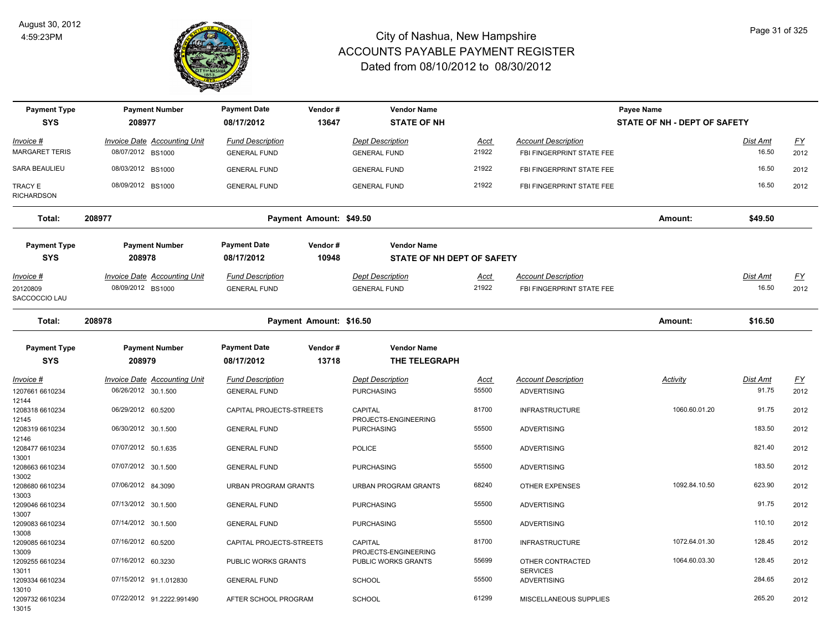

| <b>Payment Type</b><br><b>SYS</b>      | <b>Payment Number</b><br>208977                          | <b>Payment Date</b><br>08/17/2012              | Vendor#<br>13647        | <b>Vendor Name</b><br><b>STATE OF NH</b>       |                      |                                                         | Payee Name<br>STATE OF NH - DEPT OF SAFETY |                          |                   |
|----------------------------------------|----------------------------------------------------------|------------------------------------------------|-------------------------|------------------------------------------------|----------------------|---------------------------------------------------------|--------------------------------------------|--------------------------|-------------------|
| Invoice #                              | <b>Invoice Date Accounting Unit</b>                      | <b>Fund Description</b>                        |                         | <b>Dept Description</b>                        | <u>Acct</u>          | <b>Account Description</b>                              |                                            | <b>Dist Amt</b>          | EY                |
| MARGARET TERIS                         | 08/07/2012 BS1000                                        | <b>GENERAL FUND</b>                            |                         | <b>GENERAL FUND</b>                            | 21922                | FBI FINGERPRINT STATE FEE                               |                                            | 16.50                    | 2012              |
| SARA BEAULIEU                          | 08/03/2012 BS1000                                        | <b>GENERAL FUND</b>                            |                         | <b>GENERAL FUND</b>                            | 21922                | FBI FINGERPRINT STATE FEE                               |                                            | 16.50                    | 2012              |
| TRACY E<br><b>RICHARDSON</b>           | 08/09/2012 BS1000                                        | <b>GENERAL FUND</b>                            |                         | <b>GENERAL FUND</b>                            | 21922                | FBI FINGERPRINT STATE FEE                               |                                            | 16.50                    | 2012              |
| Total:                                 | 208977                                                   |                                                | Payment Amount: \$49.50 |                                                |                      |                                                         | Amount:                                    | \$49.50                  |                   |
| <b>Payment Type</b>                    | <b>Payment Number</b>                                    | <b>Payment Date</b>                            | Vendor#                 | <b>Vendor Name</b>                             |                      |                                                         |                                            |                          |                   |
| <b>SYS</b>                             | 208978                                                   | 08/17/2012                                     | 10948                   | STATE OF NH DEPT OF SAFETY                     |                      |                                                         |                                            |                          |                   |
| Invoice #<br>20120809<br>SACCOCCIO LAU | <b>Invoice Date Accounting Unit</b><br>08/09/2012 BS1000 | <b>Fund Description</b><br><b>GENERAL FUND</b> |                         | <b>Dept Description</b><br><b>GENERAL FUND</b> | <u>Acct</u><br>21922 | <b>Account Description</b><br>FBI FINGERPRINT STATE FEE |                                            | <b>Dist Amt</b><br>16.50 | <u>FY</u><br>2012 |
| Total:                                 | 208978                                                   |                                                | Payment Amount: \$16.50 |                                                |                      |                                                         | Amount:                                    | \$16.50                  |                   |
| <b>Payment Type</b>                    | <b>Payment Number</b>                                    | <b>Payment Date</b>                            | Vendor#                 | <b>Vendor Name</b>                             |                      |                                                         |                                            |                          |                   |
| <b>SYS</b>                             | 208979                                                   | 08/17/2012                                     | 13718                   | THE TELEGRAPH                                  |                      |                                                         |                                            |                          |                   |
| Invoice #                              | Invoice Date Accounting Unit                             | <b>Fund Description</b>                        |                         | <b>Dept Description</b>                        | Acct                 | <b>Account Description</b>                              | Activity                                   | Dist Amt                 | $\underline{FY}$  |
| 1207661 6610234                        | 06/26/2012 30.1.500                                      | <b>GENERAL FUND</b>                            |                         | <b>PURCHASING</b>                              | 55500                | <b>ADVERTISING</b>                                      |                                            | 91.75                    | 2012              |
| 12144<br>1208318 6610234               | 06/29/2012 60.5200                                       | CAPITAL PROJECTS-STREETS                       |                         | <b>CAPITAL</b><br>PROJECTS-ENGINEERING         | 81700                | <b>INFRASTRUCTURE</b>                                   | 1060.60.01.20                              | 91.75                    | 2012              |
| 12145<br>1208319 6610234<br>12146      | 06/30/2012 30.1.500                                      | <b>GENERAL FUND</b>                            |                         | <b>PURCHASING</b>                              | 55500                | <b>ADVERTISING</b>                                      |                                            | 183.50                   | 2012              |
| 1208477 6610234<br>13001               | 07/07/2012 50.1.635                                      | <b>GENERAL FUND</b>                            |                         | <b>POLICE</b>                                  | 55500                | <b>ADVERTISING</b>                                      |                                            | 821.40                   | 2012              |
| 1208663 6610234                        | 07/07/2012 30.1.500                                      | <b>GENERAL FUND</b>                            |                         | <b>PURCHASING</b>                              | 55500                | <b>ADVERTISING</b>                                      |                                            | 183.50                   | 2012              |
| 13002<br>1208680 6610234<br>13003      | 07/06/2012 84.3090                                       | URBAN PROGRAM GRANTS                           |                         | <b>URBAN PROGRAM GRANTS</b>                    | 68240                | <b>OTHER EXPENSES</b>                                   | 1092.84.10.50                              | 623.90                   | 2012              |
| 1209046 6610234<br>13007               | 07/13/2012 30.1.500                                      | <b>GENERAL FUND</b>                            |                         | <b>PURCHASING</b>                              | 55500                | <b>ADVERTISING</b>                                      |                                            | 91.75                    | 2012              |
| 1209083 6610234<br>13008               | 07/14/2012 30.1.500                                      | <b>GENERAL FUND</b>                            |                         | <b>PURCHASING</b>                              | 55500                | <b>ADVERTISING</b>                                      |                                            | 110.10                   | 2012              |
| 1209085 6610234<br>13009               | 07/16/2012 60.5200                                       | CAPITAL PROJECTS-STREETS                       |                         | CAPITAL<br>PROJECTS-ENGINEERING                | 81700                | <b>INFRASTRUCTURE</b>                                   | 1072.64.01.30                              | 128.45                   | 2012              |
| 1209255 6610234<br>13011               | 07/16/2012 60.3230                                       | PUBLIC WORKS GRANTS                            |                         | PUBLIC WORKS GRANTS                            | 55699                | OTHER CONTRACTED<br><b>SERVICES</b>                     | 1064.60.03.30                              | 128.45                   | 2012              |
| 1209334 6610234<br>13010               | 07/15/2012 91.1.012830                                   | <b>GENERAL FUND</b>                            |                         | SCHOOL                                         | 55500                | <b>ADVERTISING</b>                                      |                                            | 284.65                   | 2012              |
| 1209732 6610234<br>13015               | 07/22/2012 91.2222.991490                                | AFTER SCHOOL PROGRAM                           |                         | <b>SCHOOL</b>                                  | 61299                | MISCELLANEOUS SUPPLIES                                  |                                            | 265.20                   | 2012              |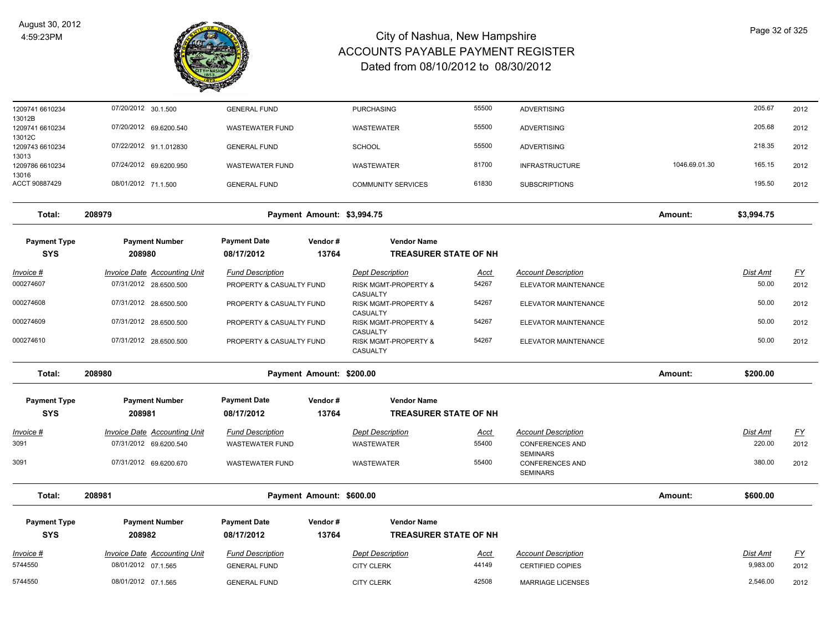

| 1209741 6610234           | 07/20/2012 30.1.500                 | <b>GENERAL FUND</b>      |                            | <b>PURCHASING</b>                           | 55500       | <b>ADVERTISING</b>                        |               | 205.67     | 2012                      |
|---------------------------|-------------------------------------|--------------------------|----------------------------|---------------------------------------------|-------------|-------------------------------------------|---------------|------------|---------------------------|
| 13012B<br>1209741 6610234 | 07/20/2012 69.6200.540              | <b>WASTEWATER FUND</b>   |                            | <b>WASTEWATER</b>                           | 55500       | <b>ADVERTISING</b>                        |               | 205.68     | 2012                      |
| 13012C<br>1209743 6610234 | 07/22/2012 91.1.012830              | <b>GENERAL FUND</b>      |                            | <b>SCHOOL</b>                               | 55500       | <b>ADVERTISING</b>                        |               | 218.35     | 2012                      |
| 13013<br>1209786 6610234  | 07/24/2012 69.6200.950              | <b>WASTEWATER FUND</b>   |                            | <b>WASTEWATER</b>                           | 81700       | <b>INFRASTRUCTURE</b>                     | 1046.69.01.30 | 165.15     | 2012                      |
| 13016<br>ACCT 90887429    | 08/01/2012 71.1.500                 | <b>GENERAL FUND</b>      |                            | <b>COMMUNITY SERVICES</b>                   | 61830       | <b>SUBSCRIPTIONS</b>                      |               | 195.50     | 2012                      |
|                           |                                     |                          |                            |                                             |             |                                           |               |            |                           |
| Total:                    | 208979                              |                          | Payment Amount: \$3,994.75 |                                             |             |                                           | Amount:       | \$3,994.75 |                           |
| <b>Payment Type</b>       | <b>Payment Number</b>               | <b>Payment Date</b>      | Vendor#                    | <b>Vendor Name</b>                          |             |                                           |               |            |                           |
| <b>SYS</b>                | 208980                              | 08/17/2012               | 13764                      | <b>TREASURER STATE OF NH</b>                |             |                                           |               |            |                           |
| <u> Invoice #</u>         | <b>Invoice Date Accounting Unit</b> | <b>Fund Description</b>  |                            | <b>Dept Description</b>                     | <u>Acct</u> | <b>Account Description</b>                |               | Dist Amt   | $\underline{\mathsf{FY}}$ |
| 000274607                 | 07/31/2012 28.6500.500              | PROPERTY & CASUALTY FUND |                            | RISK MGMT-PROPERTY &                        | 54267       | ELEVATOR MAINTENANCE                      |               | 50.00      | 2012                      |
|                           |                                     |                          |                            | CASUALTY                                    |             |                                           |               |            |                           |
| 000274608                 | 07/31/2012 28.6500.500              | PROPERTY & CASUALTY FUND |                            | RISK MGMT-PROPERTY &<br>CASUALTY            | 54267       | ELEVATOR MAINTENANCE                      |               | 50.00      | 2012                      |
| 000274609                 | 07/31/2012 28.6500.500              | PROPERTY & CASUALTY FUND |                            | <b>RISK MGMT-PROPERTY &amp;</b><br>CASUALTY | 54267       | ELEVATOR MAINTENANCE                      |               | 50.00      | 2012                      |
| 000274610                 | 07/31/2012 28.6500.500              | PROPERTY & CASUALTY FUND |                            | RISK MGMT-PROPERTY &<br>CASUALTY            | 54267       | ELEVATOR MAINTENANCE                      |               | 50.00      | 2012                      |
| Total:                    | 208980                              |                          | Payment Amount: \$200.00   |                                             |             |                                           | Amount:       | \$200.00   |                           |
| <b>Payment Type</b>       | <b>Payment Number</b>               | <b>Payment Date</b>      | Vendor#                    | <b>Vendor Name</b>                          |             |                                           |               |            |                           |
| <b>SYS</b>                | 208981                              | 08/17/2012               | 13764                      | <b>TREASURER STATE OF NH</b>                |             |                                           |               |            |                           |
| Invoice #                 | Invoice Date Accounting Unit        | <b>Fund Description</b>  |                            | <b>Dept Description</b>                     | <u>Acct</u> | <b>Account Description</b>                |               | Dist Amt   | $\underline{FY}$          |
| 3091                      | 07/31/2012 69.6200.540              | <b>WASTEWATER FUND</b>   |                            | <b>WASTEWATER</b>                           | 55400       | <b>CONFERENCES AND</b>                    |               | 220.00     | 2012                      |
| 3091                      | 07/31/2012 69.6200.670              | <b>WASTEWATER FUND</b>   |                            | WASTEWATER                                  | 55400       | <b>SEMINARS</b><br><b>CONFERENCES AND</b> |               | 380.00     | 2012                      |
|                           |                                     |                          |                            |                                             |             | <b>SEMINARS</b>                           |               |            |                           |
| Total:                    | 208981                              |                          | Payment Amount: \$600.00   |                                             |             |                                           | Amount:       | \$600.00   |                           |
| <b>Payment Type</b>       | <b>Payment Number</b>               | <b>Payment Date</b>      | Vendor#                    | <b>Vendor Name</b>                          |             |                                           |               |            |                           |
| <b>SYS</b>                | 208982                              | 08/17/2012               | 13764                      | <b>TREASURER STATE OF NH</b>                |             |                                           |               |            |                           |
| Invoice #                 | <b>Invoice Date Accounting Unit</b> | <b>Fund Description</b>  |                            | <b>Dept Description</b>                     | Acct        | <b>Account Description</b>                |               | Dist Amt   | <u>FY</u>                 |
| 5744550                   | 08/01/2012 07.1.565                 | <b>GENERAL FUND</b>      |                            | <b>CITY CLERK</b>                           | 44149       | <b>CERTIFIED COPIES</b>                   |               | 9,983.00   | 2012                      |
| 5744550                   | 08/01/2012 07.1.565                 | <b>GENERAL FUND</b>      |                            | <b>CITY CLERK</b>                           | 42508       | <b>MARRIAGE LICENSES</b>                  |               | 2.546.00   | 2012                      |
|                           |                                     |                          |                            |                                             |             |                                           |               |            |                           |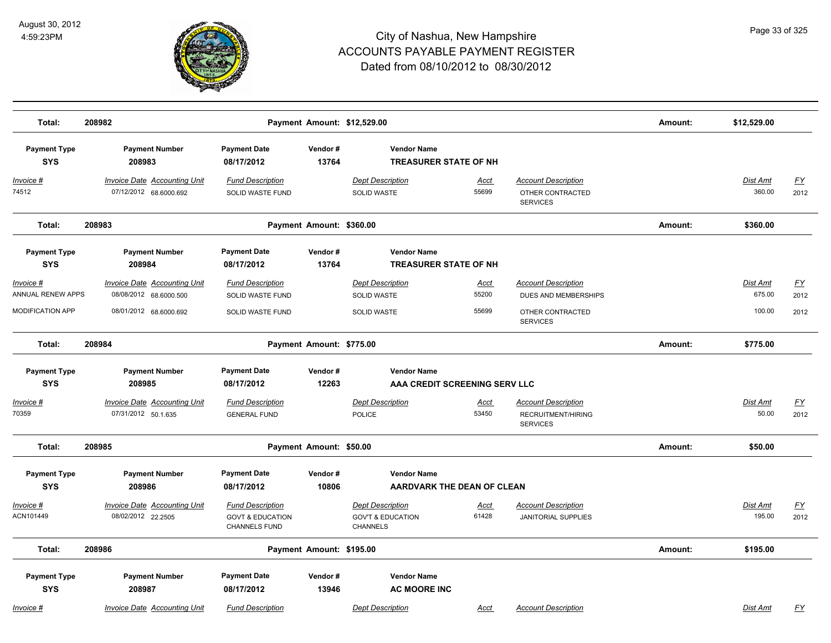

| Total:                            | 208982                                                        |                                                                                | Payment Amount: \$12,529.00 |                                                                            |                      |                                                                     | Amount: | \$12,529.00               |                   |
|-----------------------------------|---------------------------------------------------------------|--------------------------------------------------------------------------------|-----------------------------|----------------------------------------------------------------------------|----------------------|---------------------------------------------------------------------|---------|---------------------------|-------------------|
| <b>Payment Type</b><br><b>SYS</b> | <b>Payment Number</b><br>208983                               | <b>Payment Date</b><br>08/17/2012                                              | Vendor#<br>13764            | <b>Vendor Name</b><br><b>TREASURER STATE OF NH</b>                         |                      |                                                                     |         |                           |                   |
| <u>Invoice #</u><br>74512         | <b>Invoice Date Accounting Unit</b><br>07/12/2012 68.6000.692 | <b>Fund Description</b><br>SOLID WASTE FUND                                    |                             | <b>Dept Description</b><br><b>SOLID WASTE</b>                              | <u>Acct</u><br>55699 | <b>Account Description</b><br>OTHER CONTRACTED<br><b>SERVICES</b>   |         | <b>Dist Amt</b><br>360.00 | <u>FY</u><br>2012 |
| Total:                            | 208983                                                        |                                                                                | Payment Amount: \$360.00    |                                                                            |                      |                                                                     | Amount: | \$360.00                  |                   |
| <b>Payment Type</b><br><b>SYS</b> | <b>Payment Number</b><br>208984                               | <b>Payment Date</b><br>08/17/2012                                              | Vendor#<br>13764            | <b>Vendor Name</b><br><b>TREASURER STATE OF NH</b>                         |                      |                                                                     |         |                           |                   |
| Invoice #<br>ANNUAL RENEW APPS    | Invoice Date Accounting Unit<br>08/08/2012 68.6000.500        | <b>Fund Description</b><br>SOLID WASTE FUND                                    |                             | <b>Dept Description</b><br><b>SOLID WASTE</b>                              | Acct<br>55200        | <b>Account Description</b><br>DUES AND MEMBERSHIPS                  |         | Dist Amt<br>675.00        | <u>FY</u><br>2012 |
| <b>MODIFICATION APP</b>           | 08/01/2012 68.6000.692                                        | SOLID WASTE FUND                                                               |                             | <b>SOLID WASTE</b>                                                         | 55699                | OTHER CONTRACTED<br><b>SERVICES</b>                                 |         | 100.00                    | 2012              |
| Total:                            | 208984                                                        |                                                                                | Payment Amount: \$775.00    |                                                                            |                      |                                                                     | Amount: | \$775.00                  |                   |
| <b>Payment Type</b><br><b>SYS</b> | <b>Payment Number</b><br>208985                               | <b>Payment Date</b><br>08/17/2012                                              | Vendor#<br>12263            | <b>Vendor Name</b><br>AAA CREDIT SCREENING SERV LLC                        |                      |                                                                     |         |                           |                   |
| <u> Invoice #</u><br>70359        | <b>Invoice Date Accounting Unit</b><br>07/31/2012 50.1.635    | <b>Fund Description</b><br><b>GENERAL FUND</b>                                 |                             | <b>Dept Description</b><br>POLICE                                          | <u>Acct</u><br>53450 | <b>Account Description</b><br>RECRUITMENT/HIRING<br><b>SERVICES</b> |         | Dist Amt<br>50.00         | <u>FY</u><br>2012 |
| Total:                            | 208985                                                        |                                                                                | Payment Amount: \$50.00     |                                                                            |                      |                                                                     | Amount: | \$50.00                   |                   |
| <b>Payment Type</b><br><b>SYS</b> | <b>Payment Number</b><br>208986                               | <b>Payment Date</b><br>08/17/2012                                              | Vendor#<br>10806            | <b>Vendor Name</b><br><b>AARDVARK THE DEAN OF CLEAN</b>                    |                      |                                                                     |         |                           |                   |
| Invoice #<br>ACN101449            | <b>Invoice Date Accounting Unit</b><br>08/02/2012 22.2505     | <b>Fund Description</b><br><b>GOVT &amp; EDUCATION</b><br><b>CHANNELS FUND</b> |                             | <b>Dept Description</b><br><b>GOV'T &amp; EDUCATION</b><br><b>CHANNELS</b> | Acct<br>61428        | <b>Account Description</b><br><b>JANITORIAL SUPPLIES</b>            |         | Dist Amt<br>195.00        | EY<br>2012        |
| Total:                            | 208986                                                        |                                                                                | Payment Amount: \$195.00    |                                                                            |                      |                                                                     | Amount: | \$195.00                  |                   |
| <b>Payment Type</b><br><b>SYS</b> | <b>Payment Number</b><br>208987                               | <b>Payment Date</b><br>08/17/2012                                              | Vendor#<br>13946            | <b>Vendor Name</b><br><b>AC MOORE INC</b>                                  |                      |                                                                     |         |                           |                   |
| <u> Invoice #</u>                 | <b>Invoice Date Accounting Unit</b>                           | <b>Fund Description</b>                                                        |                             | <b>Dept Description</b>                                                    | Acct                 | <b>Account Description</b>                                          |         | Dist Amt                  | <u>FY</u>         |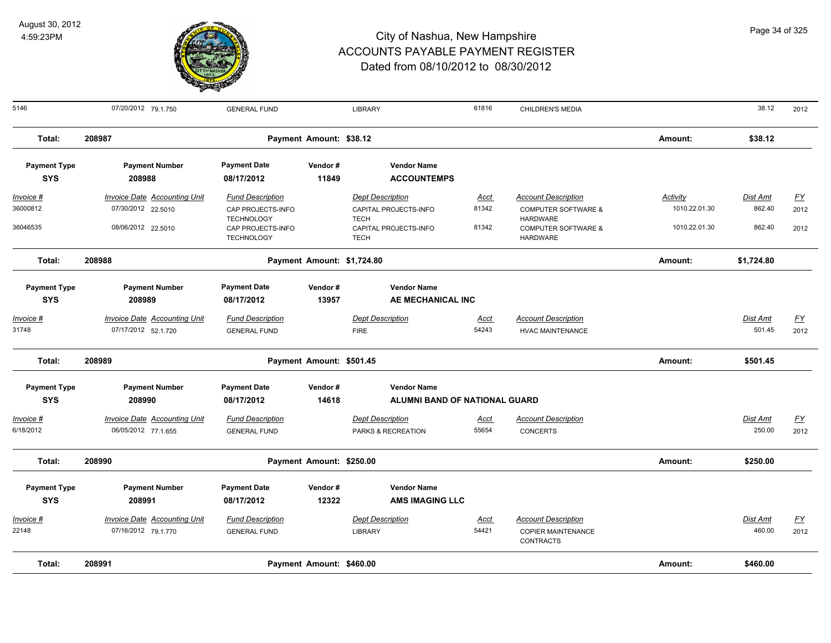

| 5146                | 07/20/2012 79.1.750                 | <b>GENERAL FUND</b>                    |                            | <b>LIBRARY</b>                       | 61816       | CHILDREN'S MEDIA                                  |                 | 38.12           | 2012             |
|---------------------|-------------------------------------|----------------------------------------|----------------------------|--------------------------------------|-------------|---------------------------------------------------|-----------------|-----------------|------------------|
| Total:              | 208987                              |                                        | Payment Amount: \$38.12    |                                      |             |                                                   | Amount:         | \$38.12         |                  |
| <b>Payment Type</b> | <b>Payment Number</b>               | <b>Payment Date</b>                    | Vendor#                    | <b>Vendor Name</b>                   |             |                                                   |                 |                 |                  |
| <b>SYS</b>          | 208988                              | 08/17/2012                             | 11849                      | <b>ACCOUNTEMPS</b>                   |             |                                                   |                 |                 |                  |
| <u>Invoice #</u>    | <b>Invoice Date Accounting Unit</b> | <b>Fund Description</b>                |                            | <b>Dept Description</b>              | <u>Acct</u> | <b>Account Description</b>                        | <b>Activity</b> | <b>Dist Amt</b> | <u>FY</u>        |
| 36000812            | 07/30/2012 22.5010                  | CAP PROJECTS-INFO<br><b>TECHNOLOGY</b> |                            | CAPITAL PROJECTS-INFO<br><b>TECH</b> | 81342       | <b>COMPUTER SOFTWARE &amp;</b><br><b>HARDWARE</b> | 1010.22.01.30   | 862.40          | 2012             |
| 36046535            | 08/06/2012 22.5010                  | CAP PROJECTS-INFO<br><b>TECHNOLOGY</b> |                            | CAPITAL PROJECTS-INFO<br><b>TECH</b> | 81342       | <b>COMPUTER SOFTWARE &amp;</b><br><b>HARDWARE</b> | 1010.22.01.30   | 862.40          | 2012             |
| Total:              | 208988                              |                                        | Payment Amount: \$1,724.80 |                                      |             |                                                   | Amount:         | \$1,724.80      |                  |
| <b>Payment Type</b> | <b>Payment Number</b>               | <b>Payment Date</b>                    | Vendor#                    | <b>Vendor Name</b>                   |             |                                                   |                 |                 |                  |
| <b>SYS</b>          | 208989                              | 08/17/2012                             | 13957                      | AE MECHANICAL INC                    |             |                                                   |                 |                 |                  |
| Invoice #           | <b>Invoice Date Accounting Unit</b> | <b>Fund Description</b>                |                            | <b>Dept Description</b>              | Acct        | <b>Account Description</b>                        |                 | Dist Amt        | $FY$             |
| 31748               | 07/17/2012 52.1.720                 | <b>GENERAL FUND</b>                    |                            | <b>FIRE</b>                          | 54243       | <b>HVAC MAINTENANCE</b>                           |                 | 501.45          | 2012             |
| Total:              | 208989                              |                                        | Payment Amount: \$501.45   |                                      |             |                                                   | Amount:         | \$501.45        |                  |
| <b>Payment Type</b> | <b>Payment Number</b>               | <b>Payment Date</b>                    | Vendor#                    | <b>Vendor Name</b>                   |             |                                                   |                 |                 |                  |
| <b>SYS</b>          | 208990                              | 08/17/2012                             | 14618                      | ALUMNI BAND OF NATIONAL GUARD        |             |                                                   |                 |                 |                  |
| Invoice #           | <b>Invoice Date Accounting Unit</b> | <b>Fund Description</b>                |                            | <b>Dept Description</b>              | <u>Acct</u> | <b>Account Description</b>                        |                 | Dist Amt        | EY               |
| 6/18/2012           | 06/05/2012 77.1.655                 | <b>GENERAL FUND</b>                    |                            | PARKS & RECREATION                   | 55654       | <b>CONCERTS</b>                                   |                 | 250.00          | 2012             |
| Total:              | 208990                              |                                        | Payment Amount: \$250.00   |                                      |             |                                                   | Amount:         | \$250.00        |                  |
| <b>Payment Type</b> | <b>Payment Number</b>               | <b>Payment Date</b>                    | Vendor#                    | <b>Vendor Name</b>                   |             |                                                   |                 |                 |                  |
| <b>SYS</b>          | 208991                              | 08/17/2012                             | 12322                      | <b>AMS IMAGING LLC</b>               |             |                                                   |                 |                 |                  |
| Invoice #           | <b>Invoice Date Accounting Unit</b> | <b>Fund Description</b>                |                            | <b>Dept Description</b>              | <u>Acct</u> | <b>Account Description</b>                        |                 | Dist Amt        | $\underline{FY}$ |
| 22148               | 07/16/2012 79.1.770                 | <b>GENERAL FUND</b>                    |                            | <b>LIBRARY</b>                       | 54421       | <b>COPIER MAINTENANCE</b><br><b>CONTRACTS</b>     |                 | 460.00          | 2012             |
| Total:              | 208991                              |                                        | Payment Amount: \$460.00   |                                      |             |                                                   | Amount:         | \$460.00        |                  |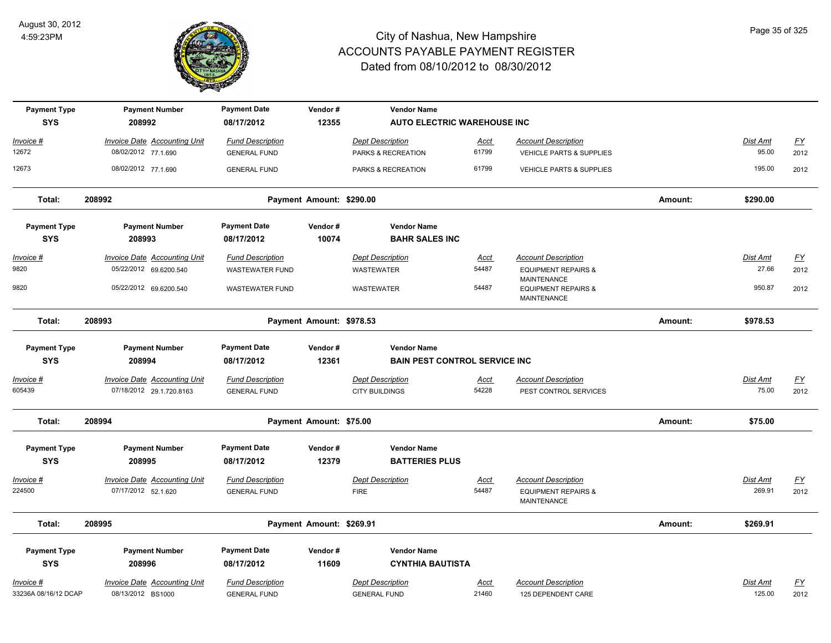

| <b>Payment Type</b>               | <b>Payment Number</b><br>208992     | <b>Payment Date</b><br>08/17/2012 | Vendor#<br>12355         | <b>Vendor Name</b>                          |             |                                                                     |          |                 |                           |
|-----------------------------------|-------------------------------------|-----------------------------------|--------------------------|---------------------------------------------|-------------|---------------------------------------------------------------------|----------|-----------------|---------------------------|
| <b>SYS</b>                        |                                     |                                   |                          | <b>AUTO ELECTRIC WAREHOUSE INC</b>          |             |                                                                     |          |                 |                           |
| Invoice #                         | <b>Invoice Date Accounting Unit</b> | <b>Fund Description</b>           |                          | <b>Dept Description</b>                     | Acct        | <b>Account Description</b>                                          |          | Dist Amt        | EY                        |
| 12672                             | 08/02/2012 77.1.690                 | <b>GENERAL FUND</b>               |                          | PARKS & RECREATION                          | 61799       | <b>VEHICLE PARTS &amp; SUPPLIES</b>                                 |          | 95.00           | 2012                      |
| 12673                             | 08/02/2012 77.1.690                 | <b>GENERAL FUND</b>               |                          | PARKS & RECREATION                          | 61799       | VEHICLE PARTS & SUPPLIES                                            |          | 195.00          | 2012                      |
| Total:                            | 208992                              | Payment Amount: \$290.00          |                          |                                             |             |                                                                     | Amount:  | \$290.00        |                           |
| <b>Payment Type</b><br><b>SYS</b> | <b>Payment Number</b><br>208993     | <b>Payment Date</b><br>08/17/2012 | Vendor#<br>10074         | <b>Vendor Name</b><br><b>BAHR SALES INC</b> |             |                                                                     |          |                 |                           |
| Invoice #                         | <b>Invoice Date Accounting Unit</b> | <b>Fund Description</b>           |                          | <b>Dept Description</b>                     | <u>Acct</u> | <b>Account Description</b>                                          |          | <b>Dist Amt</b> | <u>FY</u>                 |
| 9820                              | 05/22/2012 69.6200.540              | <b>WASTEWATER FUND</b>            |                          | WASTEWATER                                  | 54487       | <b>EQUIPMENT REPAIRS &amp;</b>                                      |          | 27.66           | 2012                      |
| 9820                              | 05/22/2012 69.6200.540              | <b>WASTEWATER FUND</b>            |                          | WASTEWATER                                  | 54487       | <b>MAINTENANCE</b><br><b>EQUIPMENT REPAIRS &amp;</b><br>MAINTENANCE |          | 950.87          | 2012                      |
| Total:                            | 208993                              |                                   | Payment Amount: \$978.53 |                                             |             |                                                                     | Amount:  | \$978.53        |                           |
| <b>Payment Type</b>               | <b>Payment Number</b>               | <b>Payment Date</b>               | Vendor#                  | <b>Vendor Name</b>                          |             |                                                                     |          |                 |                           |
| <b>SYS</b>                        | 208994                              | 08/17/2012                        | 12361                    | <b>BAIN PEST CONTROL SERVICE INC</b>        |             |                                                                     |          |                 |                           |
| Invoice #                         | <b>Invoice Date Accounting Unit</b> | <b>Fund Description</b>           |                          | <b>Dept Description</b>                     | <u>Acct</u> | <b>Account Description</b>                                          |          | Dist Amt        | EY                        |
| 605439                            | 07/18/2012 29.1.720.8163            | <b>GENERAL FUND</b>               |                          | <b>CITY BUILDINGS</b>                       | 54228       | PEST CONTROL SERVICES                                               |          | 75.00           | 2012                      |
| Total:                            | 208994                              | Payment Amount: \$75.00           |                          |                                             |             | Amount:                                                             | \$75.00  |                 |                           |
| <b>Payment Type</b>               | <b>Payment Number</b>               | <b>Payment Date</b>               | Vendor#                  | <b>Vendor Name</b>                          |             |                                                                     |          |                 |                           |
| <b>SYS</b>                        | 208995                              | 08/17/2012                        | 12379                    | <b>BATTERIES PLUS</b>                       |             |                                                                     |          |                 |                           |
| Invoice #                         | Invoice Date Accounting Unit        | <b>Fund Description</b>           |                          | <b>Dept Description</b>                     | Acct        | <b>Account Description</b>                                          |          | Dist Amt        | <u>FY</u>                 |
| 224500                            | 07/17/2012 52.1.620                 | <b>GENERAL FUND</b>               |                          | <b>FIRE</b>                                 | 54487       | <b>EQUIPMENT REPAIRS &amp;</b><br>MAINTENANCE                       |          | 269.91          | 2012                      |
| Total:                            | 208995                              | Payment Amount: \$269.91          |                          |                                             |             | Amount:                                                             | \$269.91 |                 |                           |
| <b>Payment Type</b>               | <b>Payment Number</b>               | <b>Payment Date</b>               | Vendor#                  | <b>Vendor Name</b>                          |             |                                                                     |          |                 |                           |
| <b>SYS</b>                        | 208996                              | 08/17/2012                        | 11609                    | <b>CYNTHIA BAUTISTA</b>                     |             |                                                                     |          |                 |                           |
| Invoice #                         | Invoice Date Accounting Unit        | <b>Fund Description</b>           |                          | <b>Dept Description</b>                     | Acct        | <b>Account Description</b>                                          |          | Dist Amt        | $\underline{\mathsf{FY}}$ |
| 33236A 08/16/12 DCAP              | 08/13/2012 BS1000                   | <b>GENERAL FUND</b>               |                          | <b>GENERAL FUND</b>                         | 21460       | 125 DEPENDENT CARE                                                  |          | 125.00          | 2012                      |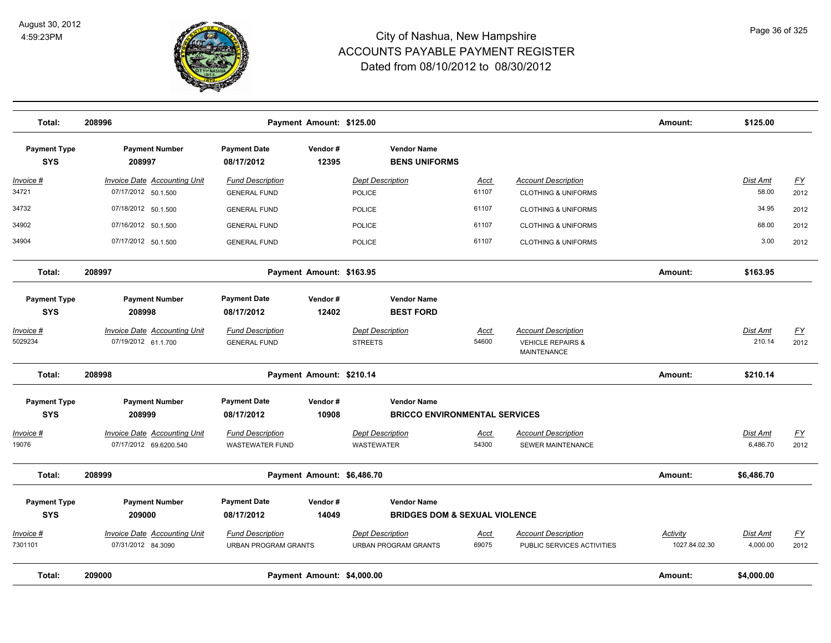

| Total:                            | 208996                                                        |                                                                                                                     | Payment Amount: \$125.00 |                                                        |                                          |                                                                                  | Amount:                   | \$125.00                  |                          |
|-----------------------------------|---------------------------------------------------------------|---------------------------------------------------------------------------------------------------------------------|--------------------------|--------------------------------------------------------|------------------------------------------|----------------------------------------------------------------------------------|---------------------------|---------------------------|--------------------------|
| <b>Payment Type</b><br><b>SYS</b> | <b>Payment Number</b><br>208997                               | <b>Payment Date</b><br>08/17/2012                                                                                   | Vendor#<br>12395         | <b>Vendor Name</b><br><b>BENS UNIFORMS</b>             |                                          |                                                                                  |                           |                           |                          |
| <u> Invoice #</u><br>34721        | <b>Invoice Date Accounting Unit</b><br>07/17/2012 50.1.500    | <b>Fund Description</b><br><b>GENERAL FUND</b>                                                                      |                          | <b>Dept Description</b><br>POLICE                      | Acct<br>61107                            | <b>Account Description</b><br><b>CLOTHING &amp; UNIFORMS</b>                     |                           | <b>Dist Amt</b><br>58.00  | <u>FY</u><br>2012        |
| 34732                             | 07/18/2012 50.1.500                                           | <b>GENERAL FUND</b>                                                                                                 |                          | <b>POLICE</b>                                          | 61107                                    | <b>CLOTHING &amp; UNIFORMS</b>                                                   |                           | 34.95                     | 2012                     |
| 34902                             | 07/16/2012 50.1.500                                           | <b>GENERAL FUND</b>                                                                                                 |                          | <b>POLICE</b>                                          | 61107                                    | <b>CLOTHING &amp; UNIFORMS</b>                                                   |                           | 68.00                     | 2012                     |
| 34904                             | 07/17/2012 50.1.500                                           | <b>GENERAL FUND</b>                                                                                                 |                          | <b>POLICE</b>                                          | 61107                                    | <b>CLOTHING &amp; UNIFORMS</b>                                                   |                           | 3.00                      | 2012                     |
| Total:                            | 208997                                                        |                                                                                                                     | Payment Amount: \$163.95 |                                                        |                                          |                                                                                  | Amount:                   | \$163.95                  |                          |
| <b>Payment Type</b><br><b>SYS</b> | <b>Payment Number</b><br>208998                               | <b>Payment Date</b><br>08/17/2012                                                                                   | Vendor#<br>12402         | <b>Vendor Name</b><br><b>BEST FORD</b>                 |                                          |                                                                                  |                           |                           |                          |
| Invoice #<br>5029234              | Invoice Date Accounting Unit<br>07/19/2012 61.1.700           | <b>Fund Description</b><br><b>GENERAL FUND</b>                                                                      |                          | <b>Dept Description</b><br><b>STREETS</b>              | Acct<br>54600                            | <b>Account Description</b><br><b>VEHICLE REPAIRS &amp;</b><br><b>MAINTENANCE</b> |                           | <b>Dist Amt</b><br>210.14 | EY<br>2012               |
| Total:                            | 208998<br>Payment Amount: \$210.14                            |                                                                                                                     |                          |                                                        |                                          |                                                                                  | Amount:                   | \$210.14                  |                          |
| <b>Payment Type</b><br><b>SYS</b> | <b>Payment Number</b><br>208999                               | <b>Payment Date</b><br>Vendor#<br><b>Vendor Name</b><br><b>BRICCO ENVIRONMENTAL SERVICES</b><br>08/17/2012<br>10908 |                          |                                                        |                                          |                                                                                  |                           |                           |                          |
| <u> Invoice #</u><br>19076        | <b>Invoice Date Accounting Unit</b><br>07/17/2012 69.6200.540 | <b>Fund Description</b><br><b>WASTEWATER FUND</b>                                                                   |                          | <b>Dept Description</b><br><b>WASTEWATER</b>           | <u>Acct</u><br>54300                     | <b>Account Description</b><br><b>SEWER MAINTENANCE</b>                           |                           | Dist Amt<br>6,486.70      | <u>FY</u><br>2012        |
| Total:                            | 208999                                                        | Payment Amount: \$6,486.70                                                                                          |                          |                                                        |                                          |                                                                                  | Amount:                   | \$6,486.70                |                          |
| <b>Payment Type</b>               | <b>Payment Number</b>                                         | <b>Payment Date</b>                                                                                                 | Vendor#                  | <b>Vendor Name</b>                                     |                                          |                                                                                  |                           |                           |                          |
| <b>SYS</b>                        | 209000                                                        | 08/17/2012                                                                                                          | 14049                    |                                                        | <b>BRIDGES DOM &amp; SEXUAL VIOLENCE</b> |                                                                                  |                           |                           |                          |
| Invoice #<br>7301101              | <b>Invoice Date Accounting Unit</b><br>07/31/2012 84.3090     | <b>Fund Description</b><br><b>URBAN PROGRAM GRANTS</b>                                                              |                          | <b>Dept Description</b><br><b>URBAN PROGRAM GRANTS</b> | Acct<br>69075                            | <b>Account Description</b><br>PUBLIC SERVICES ACTIVITIES                         | Activity<br>1027.84.02.30 | Dist Amt<br>4,000.00      | $\underline{FY}$<br>2012 |
| Total:                            | 209000                                                        |                                                                                                                     | <b>Payment Amount:</b>   | \$4,000.00                                             |                                          |                                                                                  | Amount:                   | \$4,000.00                |                          |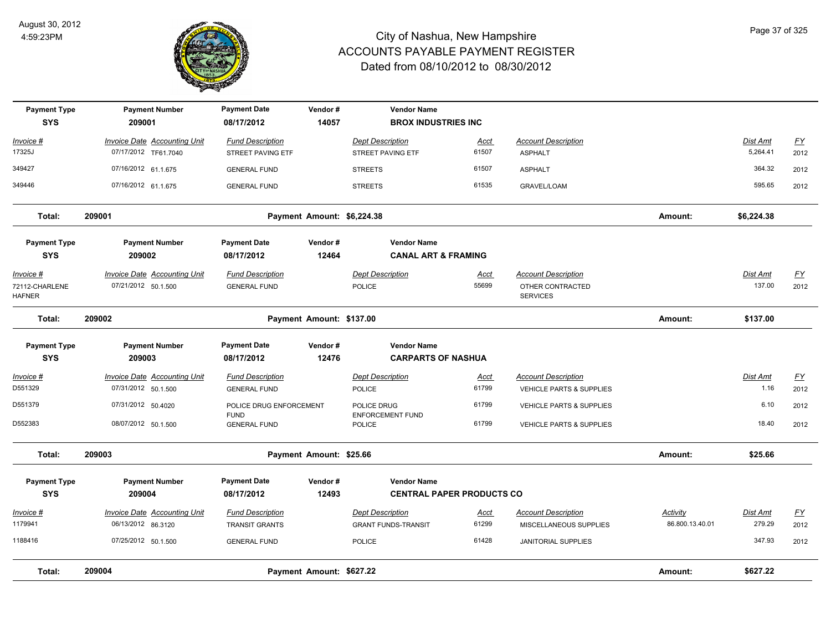

| <b>Payment Type</b><br><b>SYS</b>                   | <b>Payment Number</b><br>209001                             | <b>Payment Date</b><br>08/17/2012                | Vendor#<br>14057           | <b>Vendor Name</b><br><b>BROX INDUSTRIES INC</b>      |                                  |                                                                   |                             |                           |                   |
|-----------------------------------------------------|-------------------------------------------------------------|--------------------------------------------------|----------------------------|-------------------------------------------------------|----------------------------------|-------------------------------------------------------------------|-----------------------------|---------------------------|-------------------|
| Invoice #<br>17325J                                 | <b>Invoice Date Accounting Unit</b><br>07/17/2012 TF61.7040 | <b>Fund Description</b><br>STREET PAVING ETF     |                            | <b>Dept Description</b><br>STREET PAVING ETF          | Acct<br>61507                    | <b>Account Description</b><br><b>ASPHALT</b>                      |                             | Dist Amt<br>5,264.41      | <u>FY</u><br>2012 |
| 349427                                              | 07/16/2012 61.1.675                                         | <b>GENERAL FUND</b>                              |                            | <b>STREETS</b>                                        | 61507                            | <b>ASPHALT</b>                                                    |                             | 364.32                    | 2012              |
| 349446                                              | 07/16/2012 61.1.675                                         | <b>GENERAL FUND</b>                              |                            | <b>STREETS</b>                                        | 61535                            | <b>GRAVEL/LOAM</b>                                                |                             | 595.65                    | 2012              |
| Total:                                              | 209001                                                      |                                                  | Payment Amount: \$6,224.38 |                                                       |                                  |                                                                   | Amount:                     | \$6,224.38                |                   |
| <b>Payment Type</b><br><b>SYS</b>                   | <b>Payment Number</b><br>209002                             | <b>Payment Date</b><br>08/17/2012                | Vendor#<br>12464           | <b>Vendor Name</b><br><b>CANAL ART &amp; FRAMING</b>  |                                  |                                                                   |                             |                           |                   |
| <u>Invoice #</u><br>72112-CHARLENE<br><b>HAFNER</b> | <b>Invoice Date Accounting Unit</b><br>07/21/2012 50.1.500  | <b>Fund Description</b><br><b>GENERAL FUND</b>   |                            | <b>Dept Description</b><br>POLICE                     | <u>Acct</u><br>55699             | <b>Account Description</b><br>OTHER CONTRACTED<br><b>SERVICES</b> |                             | <b>Dist Amt</b><br>137.00 | <u>FY</u><br>2012 |
| Total:                                              | 209002                                                      |                                                  | Payment Amount: \$137.00   |                                                       |                                  |                                                                   | Amount:                     | \$137.00                  |                   |
| <b>Payment Type</b><br><b>SYS</b>                   | <b>Payment Number</b><br>209003                             | <b>Payment Date</b><br>08/17/2012                | Vendor#<br>12476           | <b>Vendor Name</b><br><b>CARPARTS OF NASHUA</b>       |                                  |                                                                   |                             |                           |                   |
| <u> Invoice #</u>                                   | <b>Invoice Date Accounting Unit</b>                         | <b>Fund Description</b>                          |                            | <b>Dept Description</b>                               | <u>Acct</u>                      | <b>Account Description</b>                                        |                             | Dist Amt                  | $\underline{FY}$  |
| D551329                                             | 07/31/2012 50.1.500                                         | <b>GENERAL FUND</b>                              |                            | POLICE                                                | 61799                            | <b>VEHICLE PARTS &amp; SUPPLIES</b>                               |                             | 1.16                      | 2012              |
| D551379                                             | 07/31/2012 50.4020                                          | POLICE DRUG ENFORCEMENT<br><b>FUND</b>           |                            | POLICE DRUG<br><b>ENFORCEMENT FUND</b>                | 61799                            | <b>VEHICLE PARTS &amp; SUPPLIES</b>                               |                             | 6.10                      | 2012              |
| D552383                                             | 08/07/2012 50.1.500                                         | <b>GENERAL FUND</b>                              |                            | POLICE                                                | 61799                            | VEHICLE PARTS & SUPPLIES                                          |                             | 18.40                     | 2012              |
| Total:                                              | 209003                                                      |                                                  | Payment Amount: \$25.66    |                                                       |                                  |                                                                   | Amount:                     | \$25.66                   |                   |
| <b>Payment Type</b><br><b>SYS</b>                   | <b>Payment Number</b><br>209004                             | <b>Payment Date</b><br>08/17/2012                | Vendor#<br>12493           | <b>Vendor Name</b>                                    | <b>CENTRAL PAPER PRODUCTS CO</b> |                                                                   |                             |                           |                   |
| Invoice #<br>1179941                                | Invoice Date Accounting Unit<br>06/13/2012 86.3120          | <b>Fund Description</b><br><b>TRANSIT GRANTS</b> |                            | <b>Dept Description</b><br><b>GRANT FUNDS-TRANSIT</b> | Acct<br>61299                    | <b>Account Description</b><br>MISCELLANEOUS SUPPLIES              | Activity<br>86.800.13.40.01 | Dist Amt<br>279.29        | EY<br>2012        |
| 1188416                                             | 07/25/2012 50.1.500                                         | <b>GENERAL FUND</b>                              |                            | POLICE                                                | 61428                            | <b>JANITORIAL SUPPLIES</b>                                        |                             | 347.93                    | 2012              |
| Total:                                              | 209004                                                      |                                                  | Payment Amount: \$627.22   |                                                       |                                  |                                                                   | Amount:                     | \$627.22                  |                   |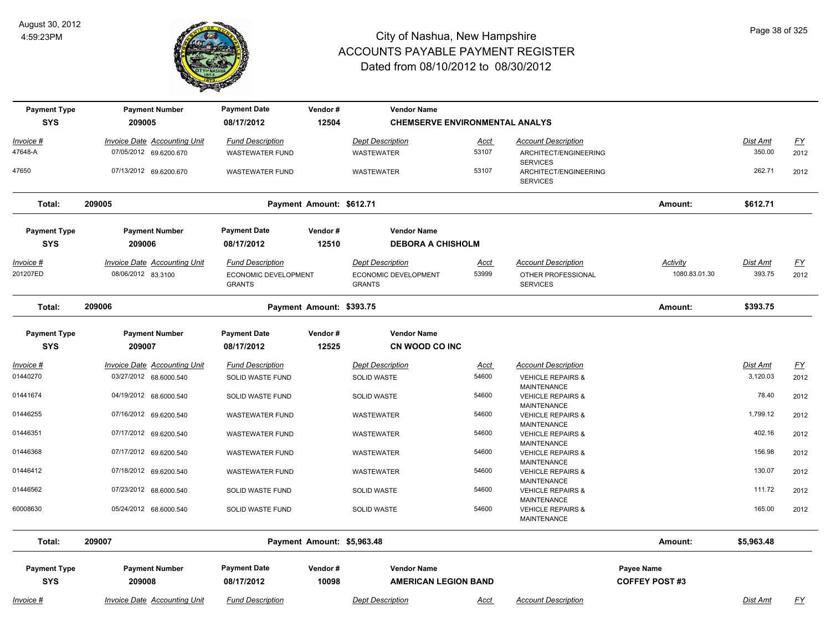

| <b>Payment Type</b>               | <b>Payment Number</b>                                     | <b>Payment Date</b>                                              | Vendor#                    | <b>Vendor Name</b>                                               |                      |                                                                     |                                    |                           |                           |
|-----------------------------------|-----------------------------------------------------------|------------------------------------------------------------------|----------------------------|------------------------------------------------------------------|----------------------|---------------------------------------------------------------------|------------------------------------|---------------------------|---------------------------|
| <b>SYS</b>                        | 209005                                                    | 08/17/2012                                                       | 12504                      | <b>CHEMSERVE ENVIRONMENTAL ANALYS</b>                            |                      |                                                                     |                                    |                           |                           |
| Invoice #                         | <b>Invoice Date Accounting Unit</b>                       | <b>Fund Description</b>                                          |                            | <b>Dept Description</b>                                          | Acct                 | <b>Account Description</b>                                          |                                    | Dist Amt                  | <u>FY</u>                 |
| 47648-A                           | 07/05/2012 69.6200.670                                    | <b>WASTEWATER FUND</b>                                           |                            | <b>WASTEWATER</b>                                                | 53107                | ARCHITECT/ENGINEERING<br><b>SERVICES</b>                            |                                    | 350.00                    | 2012                      |
| 47650                             | 07/13/2012 69.6200.670                                    | <b>WASTEWATER FUND</b>                                           |                            | <b>WASTEWATER</b>                                                | 53107                | ARCHITECT/ENGINEERING<br><b>SERVICES</b>                            |                                    | 262.71                    | 2012                      |
| Total:                            | 209005                                                    |                                                                  | Payment Amount: \$612.71   |                                                                  |                      |                                                                     | Amount:                            | \$612.71                  |                           |
| <b>Payment Type</b>               | <b>Payment Number</b>                                     | <b>Payment Date</b>                                              | Vendor#                    | <b>Vendor Name</b>                                               |                      |                                                                     |                                    |                           |                           |
| <b>SYS</b>                        | 209006                                                    | 08/17/2012                                                       | 12510                      | <b>DEBORA A CHISHOLM</b>                                         |                      |                                                                     |                                    |                           |                           |
| <u> Invoice #</u><br>201207ED     | <b>Invoice Date Accounting Unit</b><br>08/06/2012 83.3100 | <b>Fund Description</b><br>ECONOMIC DEVELOPMENT<br><b>GRANTS</b> |                            | <b>Dept Description</b><br>ECONOMIC DEVELOPMENT<br><b>GRANTS</b> | <b>Acct</b><br>53999 | <b>Account Description</b><br>OTHER PROFESSIONAL<br><b>SERVICES</b> | <b>Activity</b><br>1080.83.01.30   | <b>Dist Amt</b><br>393.75 | <u>FY</u><br>2012         |
| Total:                            | 209006                                                    |                                                                  | Payment Amount: \$393.75   |                                                                  |                      |                                                                     | Amount:                            | \$393.75                  |                           |
| <b>Payment Type</b><br><b>SYS</b> | <b>Payment Number</b><br>209007                           | <b>Payment Date</b><br>08/17/2012                                | Vendor#<br>12525           | <b>Vendor Name</b><br>CN WOOD CO INC                             |                      |                                                                     |                                    |                           |                           |
| <u> Invoice #</u>                 | <b>Invoice Date Accounting Unit</b>                       | <b>Fund Description</b>                                          |                            | <b>Dept Description</b>                                          | <u>Acct</u>          | <b>Account Description</b>                                          |                                    | <b>Dist Amt</b>           | $\underline{\mathsf{FY}}$ |
| 01440270                          | 03/27/2012 68.6000.540                                    | SOLID WASTE FUND                                                 |                            | <b>SOLID WASTE</b>                                               | 54600                | <b>VEHICLE REPAIRS &amp;</b><br><b>MAINTENANCE</b>                  |                                    | 3,120.03                  | 2012                      |
| 01441674                          | 04/19/2012 68.6000.540                                    | SOLID WASTE FUND                                                 |                            | <b>SOLID WASTE</b>                                               | 54600                | <b>VEHICLE REPAIRS &amp;</b><br><b>MAINTENANCE</b>                  |                                    | 78.40                     | 2012                      |
| 01446255                          | 07/16/2012 69.6200.540                                    | <b>WASTEWATER FUND</b>                                           |                            | <b>WASTEWATER</b>                                                | 54600                | <b>VEHICLE REPAIRS &amp;</b><br><b>MAINTENANCE</b>                  |                                    | 1,799.12                  | 2012                      |
| 01446351                          | 07/17/2012 69.6200.540                                    | <b>WASTEWATER FUND</b>                                           |                            | WASTEWATER                                                       | 54600                | <b>VEHICLE REPAIRS &amp;</b><br><b>MAINTENANCE</b>                  |                                    | 402.16                    | 2012                      |
| 01446368                          | 07/17/2012 69.6200.540                                    | <b>WASTEWATER FUND</b>                                           |                            | <b>WASTEWATER</b>                                                | 54600                | <b>VEHICLE REPAIRS &amp;</b>                                        |                                    | 156.98                    | 2012                      |
| 01446412                          | 07/18/2012 69.6200.540                                    | <b>WASTEWATER FUND</b>                                           |                            | WASTEWATER                                                       | 54600                | <b>MAINTENANCE</b><br><b>VEHICLE REPAIRS &amp;</b>                  |                                    | 130.07                    | 2012                      |
| 01446562                          | 07/23/2012 68.6000.540                                    | SOLID WASTE FUND                                                 |                            | <b>SOLID WASTE</b>                                               | 54600                | <b>MAINTENANCE</b><br><b>VEHICLE REPAIRS &amp;</b>                  |                                    | 111.72                    | 2012                      |
| 60008630                          | 05/24/2012 68.6000.540                                    | SOLID WASTE FUND                                                 |                            | SOLID WASTE                                                      | 54600                | <b>MAINTENANCE</b><br><b>VEHICLE REPAIRS &amp;</b><br>MAINTENANCE   |                                    | 165.00                    | 2012                      |
| Total:                            | 209007                                                    |                                                                  | Payment Amount: \$5,963.48 |                                                                  |                      |                                                                     | Amount:                            | \$5,963.48                |                           |
| <b>Payment Type</b><br><b>SYS</b> | <b>Payment Number</b><br>209008                           | <b>Payment Date</b><br>08/17/2012                                | Vendor#<br>10098           | <b>Vendor Name</b><br><b>AMERICAN LEGION BAND</b>                |                      |                                                                     | Payee Name<br><b>COFFEY POST#3</b> |                           |                           |
| <u> Invoice #</u>                 | <b>Invoice Date Accounting Unit</b>                       | <b>Fund Description</b>                                          |                            | <b>Dept Description</b>                                          | Acct                 | <b>Account Description</b>                                          |                                    | Dist Amt                  | <u>FY</u>                 |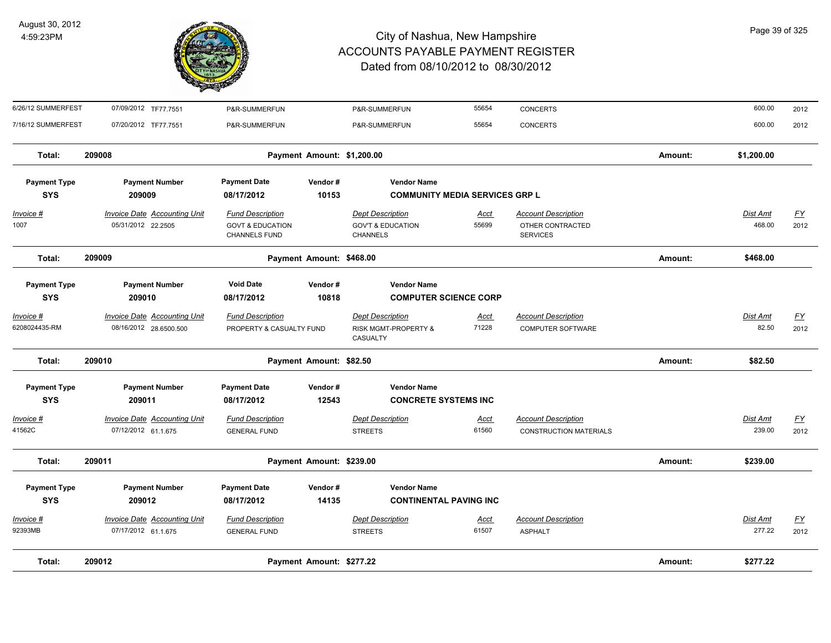

| Total:                             | 209012                                                        |                                                                                | Payment Amount: \$277.22   |                                                                            |                      |                                                                   | Amount: | \$277.22           |                                   |
|------------------------------------|---------------------------------------------------------------|--------------------------------------------------------------------------------|----------------------------|----------------------------------------------------------------------------|----------------------|-------------------------------------------------------------------|---------|--------------------|-----------------------------------|
| <u> Invoice #</u><br>92393MB       | <b>Invoice Date Accounting Unit</b><br>07/17/2012 61.1.675    | <b>Fund Description</b><br><b>GENERAL FUND</b>                                 |                            | <b>Dept Description</b><br><b>STREETS</b>                                  | <b>Acct</b><br>61507 | <b>Account Description</b><br><b>ASPHALT</b>                      |         | Dist Amt<br>277.22 | <u>FY</u><br>2012                 |
| <b>Payment Type</b><br><b>SYS</b>  | <b>Payment Number</b><br>209012                               | <b>Payment Date</b><br>08/17/2012                                              | Vendor#<br>14135           | <b>Vendor Name</b><br><b>CONTINENTAL PAVING INC</b>                        |                      |                                                                   |         |                    |                                   |
| Total:                             | 209011                                                        |                                                                                | Payment Amount: \$239.00   |                                                                            |                      |                                                                   | Amount: | \$239.00           |                                   |
| <u> Invoice #</u><br>41562C        | <b>Invoice Date Accounting Unit</b><br>07/12/2012 61.1.675    | <b>Fund Description</b><br><b>GENERAL FUND</b>                                 |                            | <b>Dept Description</b><br><b>STREETS</b>                                  | <u>Acct</u><br>61560 | <b>Account Description</b><br><b>CONSTRUCTION MATERIALS</b>       |         | Dist Amt<br>239.00 | $\underline{FY}$<br>2012          |
| <b>Payment Type</b><br><b>SYS</b>  | <b>Payment Number</b><br>209011                               | <b>Payment Date</b><br>08/17/2012                                              | Vendor#<br>12543           | <b>Vendor Name</b><br><b>CONCRETE SYSTEMS INC</b>                          |                      |                                                                   |         |                    |                                   |
| Total:                             | 209010                                                        |                                                                                | Payment Amount: \$82.50    |                                                                            |                      |                                                                   | Amount: | \$82.50            |                                   |
| <u> Invoice #</u><br>6208024435-RM | <b>Invoice Date Accounting Unit</b><br>08/16/2012 28.6500.500 | <b>Fund Description</b><br>PROPERTY & CASUALTY FUND                            |                            | <b>Dept Description</b><br><b>RISK MGMT-PROPERTY &amp;</b><br>CASUALTY     | <u>Acct</u><br>71228 | <b>Account Description</b><br><b>COMPUTER SOFTWARE</b>            |         | Dist Amt<br>82.50  | $\underline{\mathsf{FY}}$<br>2012 |
| <b>Payment Type</b><br><b>SYS</b>  | <b>Payment Number</b><br>209010                               | <b>Void Date</b><br>08/17/2012                                                 | Vendor#<br>10818           | <b>Vendor Name</b><br><b>COMPUTER SCIENCE CORP</b>                         |                      |                                                                   |         |                    |                                   |
| Total:                             | 209009                                                        |                                                                                | Payment Amount: \$468.00   |                                                                            |                      |                                                                   | Amount: | \$468.00           |                                   |
| <u>Invoice #</u><br>1007           | <b>Invoice Date Accounting Unit</b><br>05/31/2012 22.2505     | <b>Fund Description</b><br><b>GOVT &amp; EDUCATION</b><br><b>CHANNELS FUND</b> |                            | <b>Dept Description</b><br><b>GOV'T &amp; EDUCATION</b><br><b>CHANNELS</b> | <u>Acct</u><br>55699 | <b>Account Description</b><br>OTHER CONTRACTED<br><b>SERVICES</b> |         | Dist Amt<br>468.00 | <u>FY</u><br>2012                 |
| <b>Payment Type</b><br><b>SYS</b>  | <b>Payment Number</b><br>209009                               | <b>Payment Date</b><br>08/17/2012                                              | Vendor#<br>10153           | <b>Vendor Name</b><br><b>COMMUNITY MEDIA SERVICES GRP L</b>                |                      |                                                                   |         |                    |                                   |
| Total:                             | 209008                                                        |                                                                                | Payment Amount: \$1,200.00 |                                                                            |                      |                                                                   | Amount: | \$1,200.00         |                                   |
| 7/16/12 SUMMERFEST                 | 07/20/2012 TF77.7551                                          | P&R-SUMMERFUN                                                                  |                            | P&R-SUMMERFUN                                                              | 55654                | <b>CONCERTS</b>                                                   |         | 600.00             | 2012                              |
| 6/26/12 SUMMERFEST                 | 07/09/2012 TF77.7551                                          | P&R-SUMMERFUN                                                                  |                            | P&R-SUMMERFUN                                                              | 55654                | <b>CONCERTS</b>                                                   |         | 600.00             | 2012                              |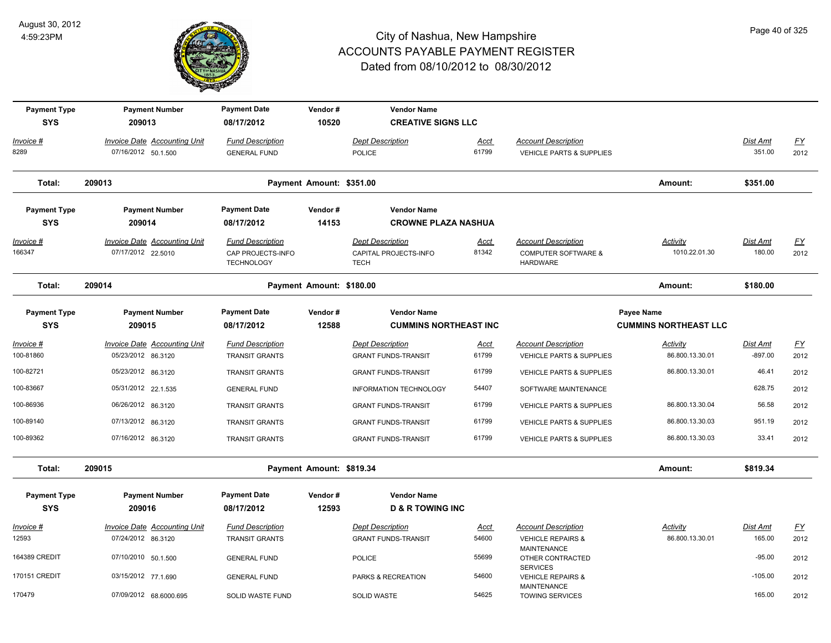

| <b>Payment Type</b><br><b>SYS</b> | <b>Payment Number</b><br>209013                            | <b>Payment Date</b><br>08/17/2012              | Vendor#<br>10520         | <b>Vendor Name</b><br><b>CREATIVE SIGNS LLC</b> |               |                                                        |                              |                    |                          |
|-----------------------------------|------------------------------------------------------------|------------------------------------------------|--------------------------|-------------------------------------------------|---------------|--------------------------------------------------------|------------------------------|--------------------|--------------------------|
|                                   |                                                            |                                                |                          |                                                 |               |                                                        |                              |                    |                          |
| Invoice #<br>8289                 | <b>Invoice Date Accounting Unit</b><br>07/16/2012 50.1.500 | <b>Fund Description</b><br><b>GENERAL FUND</b> |                          | <b>Dept Description</b><br><b>POLICE</b>        | Acct<br>61799 | <b>Account Description</b><br>VEHICLE PARTS & SUPPLIES |                              | Dist Amt<br>351.00 | $\underline{FY}$<br>2012 |
|                                   |                                                            |                                                |                          |                                                 |               |                                                        |                              |                    |                          |
| Total:                            | 209013                                                     |                                                | Payment Amount: \$351.00 |                                                 |               |                                                        | Amount:                      | \$351.00           |                          |
| <b>Payment Type</b>               | <b>Payment Number</b>                                      | <b>Payment Date</b>                            | Vendor#                  | <b>Vendor Name</b>                              |               |                                                        |                              |                    |                          |
| <b>SYS</b>                        | 209014                                                     | 08/17/2012                                     | 14153                    | <b>CROWNE PLAZA NASHUA</b>                      |               |                                                        |                              |                    |                          |
| <u> Invoice #</u>                 | <b>Invoice Date Accounting Unit</b>                        | <b>Fund Description</b>                        |                          | <b>Dept Description</b>                         | <u>Acct</u>   | <b>Account Description</b>                             | <b>Activity</b>              | <b>Dist Amt</b>    | <u>FY</u>                |
| 166347                            | 07/17/2012 22.5010                                         | CAP PROJECTS-INFO<br><b>TECHNOLOGY</b>         |                          | CAPITAL PROJECTS-INFO<br><b>TECH</b>            | 81342         | <b>COMPUTER SOFTWARE &amp;</b><br><b>HARDWARE</b>      | 1010.22.01.30                | 180.00             | 2012                     |
| Total:                            | 209014                                                     |                                                | Payment Amount: \$180.00 |                                                 |               |                                                        | Amount:                      | \$180.00           |                          |
| <b>Payment Type</b>               | <b>Payment Number</b>                                      | <b>Payment Date</b>                            | Vendor#                  | <b>Vendor Name</b>                              |               |                                                        | <b>Payee Name</b>            |                    |                          |
| <b>SYS</b>                        | 209015                                                     | 08/17/2012                                     | 12588                    | <b>CUMMINS NORTHEAST INC</b>                    |               |                                                        | <b>CUMMINS NORTHEAST LLC</b> |                    |                          |
| <u> Invoice #</u>                 | <b>Invoice Date Accounting Unit</b>                        | <b>Fund Description</b>                        |                          | <b>Dept Description</b>                         | <b>Acct</b>   | <b>Account Description</b>                             | <b>Activity</b>              | Dist Amt           | <u>FY</u>                |
| 100-81860                         | 05/23/2012 86.3120                                         | <b>TRANSIT GRANTS</b>                          |                          | <b>GRANT FUNDS-TRANSIT</b>                      | 61799         | VEHICLE PARTS & SUPPLIES                               | 86.800.13.30.01              | $-897.00$          | 2012                     |
| 100-82721                         | 05/23/2012 86.3120                                         | <b>TRANSIT GRANTS</b>                          |                          | <b>GRANT FUNDS-TRANSIT</b>                      | 61799         | <b>VEHICLE PARTS &amp; SUPPLIES</b>                    | 86.800.13.30.01              | 46.41              | 2012                     |
| 100-83667                         | 05/31/2012 22.1.535                                        | <b>GENERAL FUND</b>                            |                          | INFORMATION TECHNOLOGY                          | 54407         | SOFTWARE MAINTENANCE                                   |                              | 628.75             | 2012                     |
| 100-86936                         | 06/26/2012 86.3120                                         | <b>TRANSIT GRANTS</b>                          |                          | <b>GRANT FUNDS-TRANSIT</b>                      | 61799         | VEHICLE PARTS & SUPPLIES                               | 86.800.13.30.04              | 56.58              | 2012                     |
| 100-89140                         | 07/13/2012 86.3120                                         | <b>TRANSIT GRANTS</b>                          |                          | <b>GRANT FUNDS-TRANSIT</b>                      | 61799         | <b>VEHICLE PARTS &amp; SUPPLIES</b>                    | 86.800.13.30.03              | 951.19             | 2012                     |
| 100-89362                         | 07/16/2012 86.3120                                         | <b>TRANSIT GRANTS</b>                          |                          | <b>GRANT FUNDS-TRANSIT</b>                      | 61799         | <b>VEHICLE PARTS &amp; SUPPLIES</b>                    | 86.800.13.30.03              | 33.41              | 2012                     |
| Total:                            | 209015                                                     |                                                | Payment Amount: \$819.34 |                                                 |               |                                                        | Amount:                      | \$819.34           |                          |
| <b>Payment Type</b>               | <b>Payment Number</b>                                      | <b>Payment Date</b>                            | Vendor#                  | <b>Vendor Name</b>                              |               |                                                        |                              |                    |                          |
| <b>SYS</b>                        | 209016                                                     | 08/17/2012                                     | 12593                    | <b>D &amp; R TOWING INC</b>                     |               |                                                        |                              |                    |                          |
| Invoice #                         | Invoice Date Accounting Unit                               | <b>Fund Description</b>                        |                          | <b>Dept Description</b>                         | Acct          | <b>Account Description</b>                             | Activity                     | Dist Amt           | <u>FY</u>                |
| 12593                             | 07/24/2012 86.3120                                         | <b>TRANSIT GRANTS</b>                          |                          | <b>GRANT FUNDS-TRANSIT</b>                      | 54600         | <b>VEHICLE REPAIRS &amp;</b>                           | 86.800.13.30.01              | 165.00             | 2012                     |
| 164389 CREDIT                     | 07/10/2010 50.1.500                                        | <b>GENERAL FUND</b>                            |                          | <b>POLICE</b>                                   | 55699         | MAINTENANCE<br>OTHER CONTRACTED<br><b>SERVICES</b>     |                              | $-95.00$           | 2012                     |
| 170151 CREDIT                     | 03/15/2012 77.1.690                                        | <b>GENERAL FUND</b>                            |                          | PARKS & RECREATION                              | 54600         | <b>VEHICLE REPAIRS &amp;</b>                           |                              | $-105.00$          | 2012                     |
| 170479                            | 07/09/2012 68.6000.695                                     | SOLID WASTE FUND                               |                          | SOLID WASTE                                     | 54625         | <b>MAINTENANCE</b><br><b>TOWING SERVICES</b>           |                              | 165.00             | 2012                     |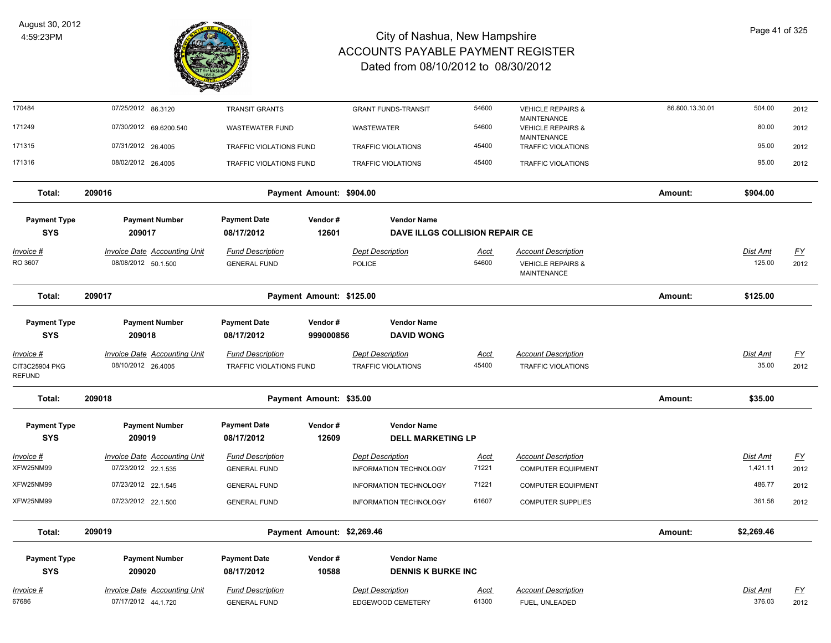

| 170484                            | 07/25/2012 86.3120                                         | <b>TRANSIT GRANTS</b>                          |                            | <b>GRANT FUNDS-TRANSIT</b>                     | 54600                | <b>VEHICLE REPAIRS &amp;</b>                                      | 86.800.13.30.01 | 504.00             | 2012       |
|-----------------------------------|------------------------------------------------------------|------------------------------------------------|----------------------------|------------------------------------------------|----------------------|-------------------------------------------------------------------|-----------------|--------------------|------------|
| 171249                            | 07/30/2012 69.6200.540                                     | <b>WASTEWATER FUND</b>                         |                            | WASTEWATER                                     | 54600                | <b>MAINTENANCE</b><br><b>VEHICLE REPAIRS &amp;</b><br>MAINTENANCE |                 | 80.00              | 2012       |
| 171315                            | 07/31/2012 26.4005                                         | TRAFFIC VIOLATIONS FUND                        |                            | <b>TRAFFIC VIOLATIONS</b>                      | 45400                | <b>TRAFFIC VIOLATIONS</b>                                         |                 | 95.00              | 2012       |
| 171316                            | 08/02/2012 26.4005                                         | TRAFFIC VIOLATIONS FUND                        |                            | <b>TRAFFIC VIOLATIONS</b>                      | 45400                | TRAFFIC VIOLATIONS                                                |                 | 95.00              | 2012       |
| Total:                            | 209016                                                     |                                                | Payment Amount: \$904.00   |                                                |                      |                                                                   | Amount:         | \$904.00           |            |
| <b>Payment Type</b>               | <b>Payment Number</b>                                      | <b>Payment Date</b>                            | Vendor#                    | <b>Vendor Name</b>                             |                      |                                                                   |                 |                    |            |
| <b>SYS</b>                        | 209017                                                     | 08/17/2012                                     | 12601                      | DAVE ILLGS COLLISION REPAIR CE                 |                      |                                                                   |                 |                    |            |
| <u> Invoice #</u>                 | <b>Invoice Date Accounting Unit</b>                        | <b>Fund Description</b>                        |                            | <b>Dept Description</b>                        | Acct                 | <b>Account Description</b>                                        |                 | Dist Amt           | <u>FY</u>  |
| RO 3607                           | 08/08/2012 50.1.500                                        | <b>GENERAL FUND</b>                            |                            | POLICE                                         | 54600                | <b>VEHICLE REPAIRS &amp;</b><br><b>MAINTENANCE</b>                |                 | 125.00             | 2012       |
| Total:                            | 209017                                                     |                                                | Payment Amount: \$125.00   |                                                |                      |                                                                   | Amount:         | \$125.00           |            |
| <b>Payment Type</b><br><b>SYS</b> | <b>Payment Number</b><br>209018                            | <b>Payment Date</b><br>08/17/2012              | Vendor#<br>999000856       | <b>Vendor Name</b><br><b>DAVID WONG</b>        |                      |                                                                   |                 |                    |            |
| Invoice #                         | <b>Invoice Date Accounting Unit</b>                        | <b>Fund Description</b>                        |                            | <b>Dept Description</b>                        | <u>Acct</u>          | <b>Account Description</b>                                        |                 | Dist Amt           | <u>FY</u>  |
| CIT3C25904 PKG<br><b>REFUND</b>   | 08/10/2012 26.4005                                         | TRAFFIC VIOLATIONS FUND                        |                            | <b>TRAFFIC VIOLATIONS</b>                      | 45400                | <b>TRAFFIC VIOLATIONS</b>                                         |                 | 35.00              | 2012       |
| Total:                            | 209018                                                     |                                                | Payment Amount: \$35.00    |                                                |                      |                                                                   | Amount:         | \$35.00            |            |
| <b>Payment Type</b><br><b>SYS</b> | <b>Payment Number</b><br>209019                            | <b>Payment Date</b><br>08/17/2012              | Vendor#<br>12609           | <b>Vendor Name</b><br><b>DELL MARKETING LP</b> |                      |                                                                   |                 |                    |            |
| Invoice #                         | <b>Invoice Date Accounting Unit</b>                        | <b>Fund Description</b>                        |                            | <b>Dept Description</b>                        | <u>Acct</u>          | <b>Account Description</b>                                        |                 | Dist Amt           | <u>FY</u>  |
| XFW25NM99                         | 07/23/2012 22.1.535                                        | <b>GENERAL FUND</b>                            |                            | INFORMATION TECHNOLOGY                         | 71221                | <b>COMPUTER EQUIPMENT</b>                                         |                 | 1,421.11           | 2012       |
| XFW25NM99                         | 07/23/2012 22.1.545                                        | <b>GENERAL FUND</b>                            |                            | <b>INFORMATION TECHNOLOGY</b>                  | 71221                | <b>COMPUTER EQUIPMENT</b>                                         |                 | 486.77             | 2012       |
| XFW25NM99                         | 07/23/2012 22.1.500                                        | <b>GENERAL FUND</b>                            |                            | INFORMATION TECHNOLOGY                         | 61607                | <b>COMPUTER SUPPLIES</b>                                          |                 | 361.58             | 2012       |
| Total:                            | 209019                                                     |                                                | Payment Amount: \$2,269.46 |                                                |                      |                                                                   | Amount:         | \$2,269.46         |            |
| <b>Payment Type</b>               | <b>Payment Number</b>                                      | <b>Payment Date</b>                            | Vendor#                    | <b>Vendor Name</b>                             |                      |                                                                   |                 |                    |            |
| <b>SYS</b>                        | 209020                                                     | 08/17/2012                                     | 10588                      | <b>DENNIS K BURKE INC</b>                      |                      |                                                                   |                 |                    |            |
| <u> Invoice #</u><br>67686        | <b>Invoice Date Accounting Unit</b><br>07/17/2012 44.1.720 | <b>Fund Description</b><br><b>GENERAL FUND</b> |                            | <b>Dept Description</b><br>EDGEWOOD CEMETERY   | <u>Acct</u><br>61300 | <b>Account Description</b><br>FUEL, UNLEADED                      |                 | Dist Amt<br>376.03 | EY<br>2012 |
|                                   |                                                            |                                                |                            |                                                |                      |                                                                   |                 |                    |            |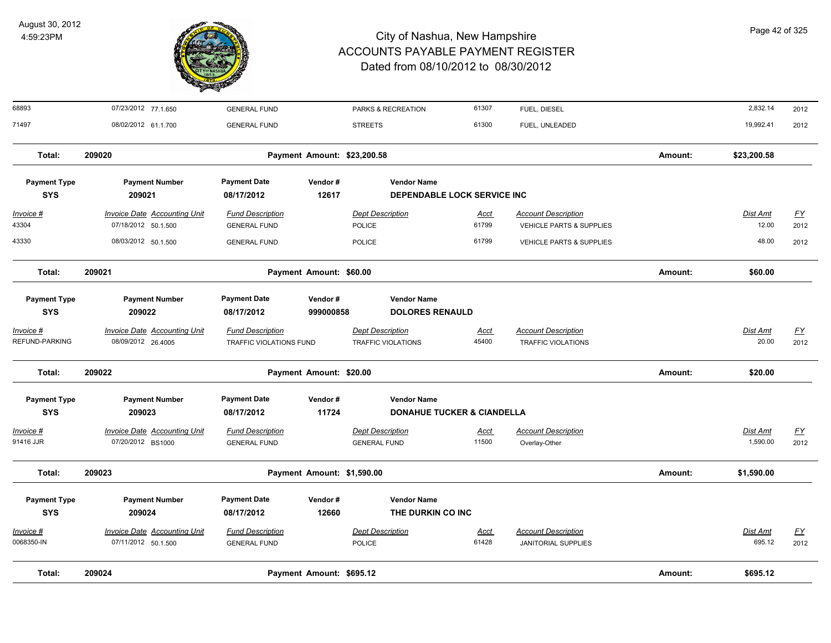

| Total:                            | 209024                                                     |                                                    | Payment Amount: \$695.12    |                                                             |                      |                                                          | Amount: | \$695.12                 |                          |
|-----------------------------------|------------------------------------------------------------|----------------------------------------------------|-----------------------------|-------------------------------------------------------------|----------------------|----------------------------------------------------------|---------|--------------------------|--------------------------|
| <b>Invoice #</b><br>0068350-IN    | <b>Invoice Date Accounting Unit</b><br>07/11/2012 50.1.500 | <b>Fund Description</b><br><b>GENERAL FUND</b>     |                             | <b>Dept Description</b><br><b>POLICE</b>                    | <u>Acct</u><br>61428 | <b>Account Description</b><br><b>JANITORIAL SUPPLIES</b> |         | Dist Amt<br>695.12       | <u>FY</u><br>2012        |
| <b>Payment Type</b><br><b>SYS</b> | <b>Payment Number</b><br>209024                            | <b>Payment Date</b><br>08/17/2012                  | Vendor#<br>12660            | <b>Vendor Name</b><br>THE DURKIN CO INC                     |                      |                                                          |         |                          |                          |
| Total:                            | 209023                                                     |                                                    | Payment Amount: \$1,590.00  |                                                             |                      |                                                          | Amount: | \$1,590.00               |                          |
| Invoice #<br>91416 JJR            | <b>Invoice Date Accounting Unit</b><br>07/20/2012 BS1000   | <b>Fund Description</b><br><b>GENERAL FUND</b>     |                             | <b>Dept Description</b><br><b>GENERAL FUND</b>              | Acct<br>11500        | <b>Account Description</b><br>Overlay-Other              |         | Dist Amt<br>1,590.00     | $\underline{FY}$<br>2012 |
| <b>Payment Type</b><br><b>SYS</b> | <b>Payment Number</b><br>209023                            | <b>Payment Date</b><br>08/17/2012                  | Vendor#<br>11724            | <b>Vendor Name</b><br><b>DONAHUE TUCKER &amp; CIANDELLA</b> |                      |                                                          |         |                          |                          |
| Total:                            | 209022                                                     |                                                    | Payment Amount: \$20.00     |                                                             |                      |                                                          | Amount: | \$20.00                  |                          |
| Invoice #<br>REFUND-PARKING       | <b>Invoice Date Accounting Unit</b><br>08/09/2012 26.4005  | <b>Fund Description</b><br>TRAFFIC VIOLATIONS FUND |                             | <b>Dept Description</b><br><b>TRAFFIC VIOLATIONS</b>        | Acct<br>45400        | <b>Account Description</b><br><b>TRAFFIC VIOLATIONS</b>  |         | Dist Amt<br>20.00        | <u>FY</u><br>2012        |
| <b>Payment Type</b><br><b>SYS</b> | <b>Payment Number</b><br>209022                            | <b>Payment Date</b><br>08/17/2012                  | Vendor#<br>999000858        | <b>Vendor Name</b><br><b>DOLORES RENAULD</b>                |                      |                                                          |         |                          |                          |
| Total:                            | 209021                                                     |                                                    | Payment Amount: \$60.00     |                                                             |                      |                                                          | Amount: | \$60.00                  |                          |
| 43330                             | 08/03/2012 50.1.500                                        | <b>GENERAL FUND</b>                                |                             | <b>POLICE</b>                                               | 61799                | <b>VEHICLE PARTS &amp; SUPPLIES</b>                      |         | 48.00                    | 2012                     |
| <u>Invoice #</u><br>43304         | <b>Invoice Date Accounting Unit</b><br>07/18/2012 50.1.500 | <b>Fund Description</b><br><b>GENERAL FUND</b>     |                             | <b>Dept Description</b><br><b>POLICE</b>                    | <b>Acct</b><br>61799 | <b>Account Description</b><br>VEHICLE PARTS & SUPPLIES   |         | <b>Dist Amt</b><br>12.00 | EY<br>2012               |
| <b>Payment Type</b><br><b>SYS</b> | <b>Payment Number</b><br>209021                            | <b>Payment Date</b><br>08/17/2012                  | Vendor#<br>12617            | <b>Vendor Name</b><br><b>DEPENDABLE LOCK SERVICE INC</b>    |                      |                                                          |         |                          |                          |
| Total:                            | 209020                                                     |                                                    | Payment Amount: \$23,200.58 |                                                             |                      |                                                          | Amount: | \$23,200.58              |                          |
| 71497                             | 08/02/2012 61.1.700                                        | <b>GENERAL FUND</b>                                |                             | <b>STREETS</b>                                              | 61300                | FUEL, UNLEADED                                           |         | 19,992.41                | 2012                     |
| 68893                             | 07/23/2012 77.1.650                                        | <b>GENERAL FUND</b>                                |                             | PARKS & RECREATION                                          | 61307                | FUEL, DIESEL                                             |         | 2,832.14                 | 2012                     |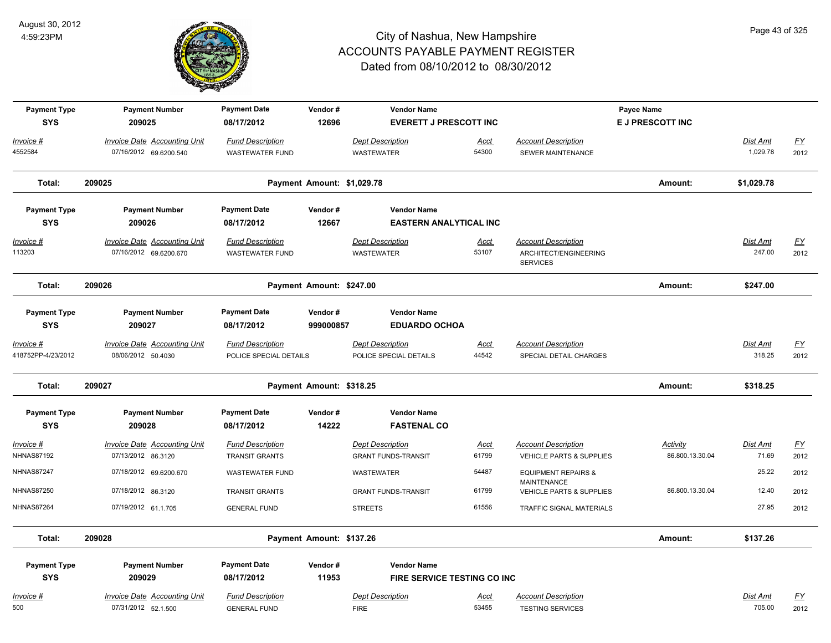

| <b>Payment Type</b><br><b>SYS</b> | <b>Payment Number</b><br>209025                               | <b>Payment Date</b><br>08/17/2012                 | Vendor#<br>12696           | <b>Vendor Name</b><br><b>EVERETT J PRESCOTT INC</b>   |                      |                                                                        | Payee Name<br><b>E J PRESCOTT INC</b> |                      |                          |
|-----------------------------------|---------------------------------------------------------------|---------------------------------------------------|----------------------------|-------------------------------------------------------|----------------------|------------------------------------------------------------------------|---------------------------------------|----------------------|--------------------------|
| Invoice #<br>4552584              | Invoice Date Accounting Unit<br>07/16/2012 69.6200.540        | <b>Fund Description</b><br><b>WASTEWATER FUND</b> |                            | <b>Dept Description</b><br><b>WASTEWATER</b>          | Acct<br>54300        | <b>Account Description</b><br>SEWER MAINTENANCE                        |                                       | Dist Amt<br>1,029.78 | $\underline{FY}$<br>2012 |
| Total:                            | 209025                                                        |                                                   | Payment Amount: \$1,029.78 |                                                       |                      |                                                                        | Amount:                               | \$1,029.78           |                          |
| <b>Payment Type</b><br><b>SYS</b> | <b>Payment Number</b><br>209026                               | <b>Payment Date</b><br>08/17/2012                 | Vendor#<br>12667           | <b>Vendor Name</b><br><b>EASTERN ANALYTICAL INC</b>   |                      |                                                                        |                                       |                      |                          |
| Invoice #<br>113203               | <b>Invoice Date Accounting Unit</b><br>07/16/2012 69.6200.670 | <b>Fund Description</b><br><b>WASTEWATER FUND</b> |                            | <b>Dept Description</b><br><b>WASTEWATER</b>          | <u>Acct</u><br>53107 | <b>Account Description</b><br>ARCHITECT/ENGINEERING<br><b>SERVICES</b> |                                       | Dist Amt<br>247.00   | <u>FY</u><br>2012        |
| Total:                            | 209026                                                        |                                                   | Payment Amount: \$247.00   |                                                       |                      |                                                                        | Amount:                               | \$247.00             |                          |
| <b>Payment Type</b><br><b>SYS</b> | <b>Payment Number</b><br>209027                               | <b>Payment Date</b><br>08/17/2012                 | Vendor#<br>999000857       | <b>Vendor Name</b><br><b>EDUARDO OCHOA</b>            |                      |                                                                        |                                       |                      |                          |
| Invoice #<br>418752PP-4/23/2012   | Invoice Date Accounting Unit<br>08/06/2012 50.4030            | <b>Fund Description</b><br>POLICE SPECIAL DETAILS |                            | <b>Dept Description</b><br>POLICE SPECIAL DETAILS     | Acct<br>44542        | <b>Account Description</b><br>SPECIAL DETAIL CHARGES                   |                                       | Dist Amt<br>318.25   | <u>FY</u><br>2012        |
| Total:                            | 209027                                                        |                                                   | Payment Amount: \$318.25   |                                                       |                      |                                                                        | Amount:                               | \$318.25             |                          |
| <b>Payment Type</b><br><b>SYS</b> | <b>Payment Number</b><br>209028                               | <b>Payment Date</b><br>08/17/2012                 | Vendor#<br>14222           | <b>Vendor Name</b><br><b>FASTENAL CO</b>              |                      |                                                                        |                                       |                      |                          |
| Invoice #<br><b>NHNAS87192</b>    | Invoice Date Accounting Unit<br>07/13/2012 86.3120            | <b>Fund Description</b><br><b>TRANSIT GRANTS</b>  |                            | <b>Dept Description</b><br><b>GRANT FUNDS-TRANSIT</b> | Acct<br>61799        | <b>Account Description</b><br><b>VEHICLE PARTS &amp; SUPPLIES</b>      | Activity<br>86.800.13.30.04           | Dist Amt<br>71.69    | EY<br>2012               |
| <b>NHNAS87247</b>                 | 07/18/2012 69.6200.670                                        | <b>WASTEWATER FUND</b>                            |                            | WASTEWATER                                            | 54487                | <b>EQUIPMENT REPAIRS &amp;</b><br><b>MAINTENANCE</b>                   |                                       | 25.22                | 2012                     |
| <b>NHNAS87250</b>                 | 07/18/2012 86.3120                                            | <b>TRANSIT GRANTS</b>                             |                            | <b>GRANT FUNDS-TRANSIT</b>                            | 61799                | VEHICLE PARTS & SUPPLIES                                               | 86.800.13.30.04                       | 12.40                | 2012                     |
| <b>NHNAS87264</b>                 | 07/19/2012 61.1.705                                           | <b>GENERAL FUND</b>                               |                            | <b>STREETS</b>                                        | 61556                | TRAFFIC SIGNAL MATERIALS                                               |                                       | 27.95                | 2012                     |
| Total:                            | 209028                                                        |                                                   | Payment Amount: \$137.26   |                                                       |                      |                                                                        | Amount:                               | \$137.26             |                          |
| <b>Payment Type</b><br><b>SYS</b> | <b>Payment Number</b><br>209029                               | <b>Payment Date</b><br>08/17/2012                 | Vendor#<br>11953           | <b>Vendor Name</b><br>FIRE SERVICE TESTING CO INC     |                      |                                                                        |                                       |                      |                          |
| Invoice #<br>500                  | <b>Invoice Date Accounting Unit</b><br>07/31/2012 52.1.500    | <b>Fund Description</b><br><b>GENERAL FUND</b>    |                            | <b>Dept Description</b><br><b>FIRE</b>                | <u>Acct</u><br>53455 | <b>Account Description</b><br><b>TESTING SERVICES</b>                  |                                       | Dist Amt<br>705.00   | <u>FY</u><br>2012        |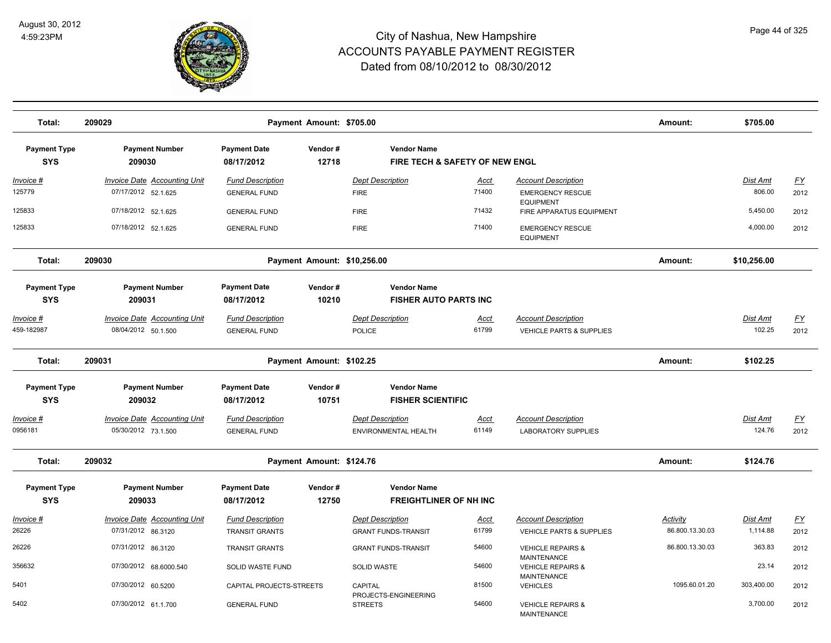

| Total:                            | 209029                                                     |                                                  | Payment Amount: \$705.00    |                                                                 |                      |                                                          | Amount:                     | \$705.00             |                                   |
|-----------------------------------|------------------------------------------------------------|--------------------------------------------------|-----------------------------|-----------------------------------------------------------------|----------------------|----------------------------------------------------------|-----------------------------|----------------------|-----------------------------------|
| <b>Payment Type</b><br><b>SYS</b> | <b>Payment Number</b><br>209030                            | <b>Payment Date</b><br>08/17/2012                | Vendor#<br>12718            | <b>Vendor Name</b><br><b>FIRE TECH &amp; SAFETY OF NEW ENGL</b> |                      |                                                          |                             |                      |                                   |
| <u>Invoice #</u><br>125779        | <b>Invoice Date Accounting Unit</b><br>07/17/2012 52.1.625 | <b>Fund Description</b><br><b>GENERAL FUND</b>   |                             | <b>Dept Description</b><br><b>FIRE</b>                          | <u>Acct</u><br>71400 | <b>Account Description</b><br><b>EMERGENCY RESCUE</b>    |                             | Dist Amt<br>806.00   | $\underline{\mathsf{FY}}$<br>2012 |
| 125833                            | 07/18/2012 52.1.625                                        | <b>GENERAL FUND</b>                              |                             | <b>FIRE</b>                                                     | 71432                | <b>EQUIPMENT</b><br>FIRE APPARATUS EQUIPMENT             |                             | 5,450.00             | 2012                              |
| 125833                            | 07/18/2012 52.1.625                                        | <b>GENERAL FUND</b>                              |                             | <b>FIRE</b>                                                     | 71400                | <b>EMERGENCY RESCUE</b><br><b>EQUIPMENT</b>              |                             | 4,000.00             | 2012                              |
| Total:                            | 209030                                                     |                                                  | Payment Amount: \$10,256.00 |                                                                 |                      |                                                          | Amount:                     | \$10,256.00          |                                   |
| <b>Payment Type</b><br><b>SYS</b> | <b>Payment Number</b><br>209031                            | <b>Payment Date</b><br>08/17/2012                | Vendor#<br>10210            | <b>Vendor Name</b><br><b>FISHER AUTO PARTS INC</b>              |                      |                                                          |                             |                      |                                   |
| Invoice #<br>459-182987           | Invoice Date Accounting Unit<br>08/04/2012 50.1.500        | <b>Fund Description</b><br><b>GENERAL FUND</b>   |                             | <b>Dept Description</b><br>POLICE                               | <u>Acct</u><br>61799 | <b>Account Description</b><br>VEHICLE PARTS & SUPPLIES   |                             | Dist Amt<br>102.25   | <u>FY</u><br>2012                 |
| Total:                            | 209031                                                     |                                                  | Payment Amount: \$102.25    |                                                                 |                      |                                                          | Amount:                     | \$102.25             |                                   |
| <b>Payment Type</b><br><b>SYS</b> | <b>Payment Number</b><br>209032                            | <b>Payment Date</b><br>08/17/2012                | Vendor#<br>10751            | <b>Vendor Name</b><br><b>FISHER SCIENTIFIC</b>                  |                      |                                                          |                             |                      |                                   |
| Invoice #<br>0956181              | <b>Invoice Date Accounting Unit</b><br>05/30/2012 73.1.500 | <b>Fund Description</b><br><b>GENERAL FUND</b>   |                             | <b>Dept Description</b><br>ENVIRONMENTAL HEALTH                 | Acct<br>61149        | <b>Account Description</b><br><b>LABORATORY SUPPLIES</b> |                             | Dist Amt<br>124.76   | <u>FY</u><br>2012                 |
| Total:                            | 209032                                                     |                                                  | Payment Amount: \$124.76    |                                                                 |                      |                                                          | Amount:                     | \$124.76             |                                   |
| <b>Payment Type</b><br><b>SYS</b> | <b>Payment Number</b><br>209033                            | <b>Payment Date</b><br>08/17/2012                | Vendor#<br>12750            | <b>Vendor Name</b><br><b>FREIGHTLINER OF NH INC</b>             |                      |                                                          |                             |                      |                                   |
| Invoice #<br>26226                | Invoice Date Accounting Unit<br>07/31/2012 86.3120         | <b>Fund Description</b><br><b>TRANSIT GRANTS</b> |                             | <b>Dept Description</b><br><b>GRANT FUNDS-TRANSIT</b>           | Acct<br>61799        | <b>Account Description</b><br>VEHICLE PARTS & SUPPLIES   | Activity<br>86.800.13.30.03 | Dist Amt<br>1,114.88 | <u>FY</u><br>2012                 |
| 26226                             | 07/31/2012 86.3120                                         | <b>TRANSIT GRANTS</b>                            |                             | <b>GRANT FUNDS-TRANSIT</b>                                      | 54600                | <b>VEHICLE REPAIRS &amp;</b>                             | 86.800.13.30.03             | 363.83               | 2012                              |
| 356632                            | 07/30/2012 68.6000.540                                     | SOLID WASTE FUND                                 |                             | <b>SOLID WASTE</b>                                              | 54600                | <b>MAINTENANCE</b><br><b>VEHICLE REPAIRS &amp;</b>       |                             | 23.14                | 2012                              |
| 5401                              | 07/30/2012 60.5200                                         | CAPITAL PROJECTS-STREETS                         |                             | <b>CAPITAL</b><br>PROJECTS-ENGINEERING                          | 81500                | MAINTENANCE<br><b>VEHICLES</b>                           | 1095.60.01.20               | 303,400.00           | 2012                              |
| 5402                              | 07/30/2012 61.1.700                                        | <b>GENERAL FUND</b>                              |                             | <b>STREETS</b>                                                  | 54600                | <b>VEHICLE REPAIRS &amp;</b><br><b>MAINTENANCE</b>       |                             | 3,700.00             | 2012                              |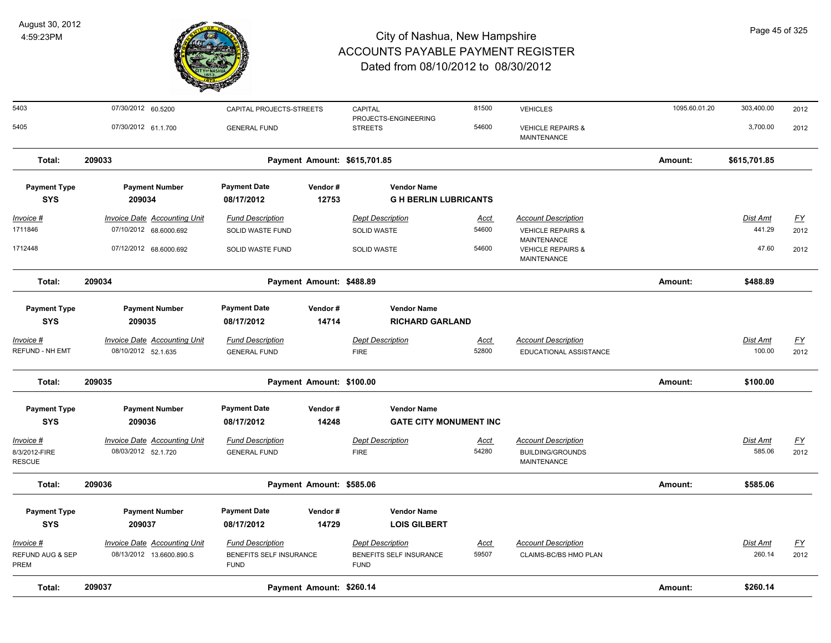

| Total:                                       | 209037                                                     |                                                                   | Payment Amount: \$260.14 |                                                                   |                      |                                                                             | Amount:       | \$260.14                  |                          |
|----------------------------------------------|------------------------------------------------------------|-------------------------------------------------------------------|--------------------------|-------------------------------------------------------------------|----------------------|-----------------------------------------------------------------------------|---------------|---------------------------|--------------------------|
| Invoice #<br>REFUND AUG & SEP<br><b>PREM</b> | Invoice Date Accounting Unit<br>08/13/2012 13.6600.890.S   | <b>Fund Description</b><br>BENEFITS SELF INSURANCE<br><b>FUND</b> |                          | <b>Dept Description</b><br>BENEFITS SELF INSURANCE<br><b>FUND</b> | <b>Acct</b><br>59507 | <b>Account Description</b><br>CLAIMS-BC/BS HMO PLAN                         |               | Dist Amt<br>260.14        | <u>FY</u><br>2012        |
| <b>Payment Type</b><br><b>SYS</b>            | <b>Payment Number</b><br>209037                            | <b>Payment Date</b><br>08/17/2012                                 | Vendor#<br>14729         | <b>Vendor Name</b><br><b>LOIS GILBERT</b>                         |                      |                                                                             |               |                           |                          |
| Total:                                       | 209036                                                     |                                                                   | Payment Amount: \$585.06 |                                                                   |                      |                                                                             | Amount:       | \$585.06                  |                          |
| Invoice #<br>8/3/2012-FIRE<br><b>RESCUE</b>  | <b>Invoice Date Accounting Unit</b><br>08/03/2012 52.1.720 | <b>Fund Description</b><br><b>GENERAL FUND</b>                    |                          | <b>Dept Description</b><br><b>FIRE</b>                            | <u>Acct</u><br>54280 | <b>Account Description</b><br><b>BUILDING/GROUNDS</b><br><b>MAINTENANCE</b> |               | <b>Dist Amt</b><br>585.06 | <u>FY</u><br>2012        |
| <b>Payment Type</b><br><b>SYS</b>            | <b>Payment Number</b><br>209036                            | <b>Payment Date</b><br>08/17/2012                                 | Vendor#<br>14248         | <b>Vendor Name</b><br><b>GATE CITY MONUMENT INC</b>               |                      |                                                                             |               |                           |                          |
| Total:                                       | 209035                                                     |                                                                   | Payment Amount: \$100.00 |                                                                   |                      |                                                                             | Amount:       | \$100.00                  |                          |
| Invoice #<br>REFUND - NH EMT                 | Invoice Date Accounting Unit<br>08/10/2012 52.1.635        | <b>Fund Description</b><br><b>GENERAL FUND</b>                    |                          | <b>Dept Description</b><br><b>FIRE</b>                            | <u>Acct</u><br>52800 | <b>Account Description</b><br>EDUCATIONAL ASSISTANCE                        |               | Dist Amt<br>100.00        | $\underline{FY}$<br>2012 |
| <b>Payment Type</b><br><b>SYS</b>            | <b>Payment Number</b><br>209035                            | <b>Payment Date</b><br>08/17/2012                                 | Vendor#<br>14714         | <b>Vendor Name</b><br><b>RICHARD GARLAND</b>                      |                      |                                                                             |               |                           |                          |
| Total:                                       | 209034                                                     |                                                                   | Payment Amount: \$488.89 |                                                                   |                      |                                                                             | Amount:       | \$488.89                  |                          |
| 1712448                                      | 07/12/2012 68.6000.692                                     | SOLID WASTE FUND                                                  |                          | <b>SOLID WASTE</b>                                                | 54600                | <b>VEHICLE REPAIRS &amp;</b><br><b>MAINTENANCE</b>                          |               | 47.60                     | 2012                     |
| 1711846                                      | 07/10/2012 68.6000.692                                     | SOLID WASTE FUND                                                  |                          | SOLID WASTE                                                       | 54600                | <b>VEHICLE REPAIRS &amp;</b><br><b>MAINTENANCE</b>                          |               | 441.29                    | 2012                     |
| $Invoice$ #                                  | <b>Invoice Date Accounting Unit</b>                        | <b>Fund Description</b>                                           |                          | <b>Dept Description</b>                                           | <u>Acct</u>          | <b>Account Description</b>                                                  |               | <b>Dist Amt</b>           | <u>FY</u>                |
| <b>Payment Type</b><br><b>SYS</b>            | <b>Payment Number</b><br>209034                            | <b>Payment Date</b><br>08/17/2012                                 | Vendor#<br>12753         | <b>Vendor Name</b><br><b>G H BERLIN LUBRICANTS</b>                |                      |                                                                             |               |                           |                          |
| Total:                                       | 209033                                                     |                                                                   |                          | Payment Amount: \$615,701.85                                      |                      |                                                                             | Amount:       | \$615,701.85              |                          |
| 5405                                         | 07/30/2012 61.1.700                                        | <b>GENERAL FUND</b>                                               |                          | <b>STREETS</b>                                                    | 54600                | <b>VEHICLE REPAIRS &amp;</b><br>MAINTENANCE                                 |               | 3,700.00                  | 2012                     |
| 5403                                         | 07/30/2012 60.5200                                         | CAPITAL PROJECTS-STREETS                                          |                          | CAPITAL<br>PROJECTS-ENGINEERING                                   | 81500                | <b>VEHICLES</b>                                                             | 1095.60.01.20 | 303,400.00                | 2012                     |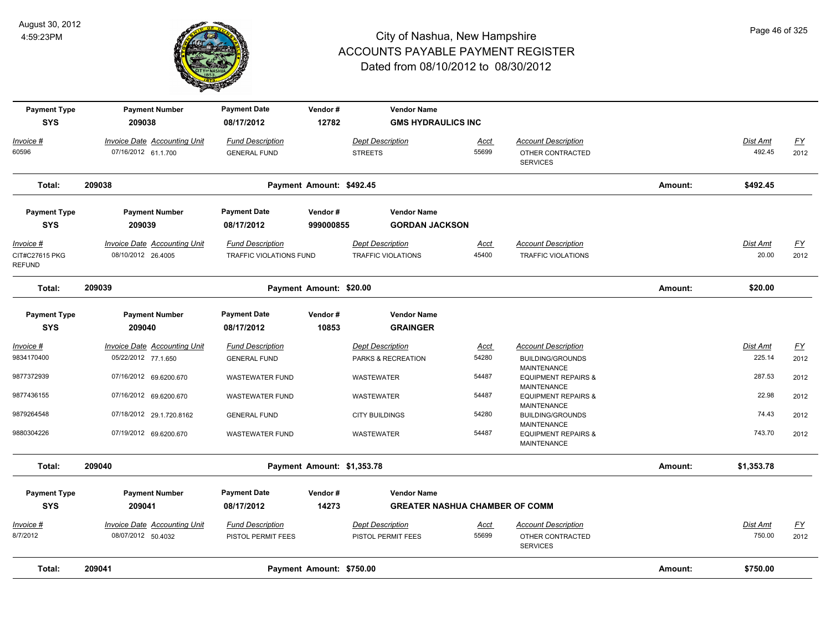

| <b>Payment Type</b><br><b>SYS</b>                   | <b>Payment Number</b><br>209038                           | <b>Payment Date</b><br>08/17/2012                         | Vendor#<br>12782           | <b>Vendor Name</b><br><b>GMS HYDRAULICS INC</b>      |               |                                                         |         |                   |                   |
|-----------------------------------------------------|-----------------------------------------------------------|-----------------------------------------------------------|----------------------------|------------------------------------------------------|---------------|---------------------------------------------------------|---------|-------------------|-------------------|
| Invoice #                                           | <b>Invoice Date Accounting Unit</b>                       | <b>Fund Description</b>                                   |                            | <b>Dept Description</b>                              | Acct          | <b>Account Description</b>                              |         | Dist Amt          | <u>FY</u>         |
| 60596                                               | 07/16/2012 61.1.700                                       | <b>GENERAL FUND</b>                                       |                            | <b>STREETS</b>                                       | 55699         | OTHER CONTRACTED<br><b>SERVICES</b>                     |         | 492.45            | 2012              |
| Total:                                              | 209038                                                    |                                                           | Payment Amount: \$492.45   |                                                      |               |                                                         | Amount: | \$492.45          |                   |
| <b>Payment Type</b><br><b>SYS</b>                   | <b>Payment Number</b><br>209039                           | <b>Payment Date</b><br>08/17/2012                         | Vendor#<br>999000855       | <b>Vendor Name</b><br><b>GORDAN JACKSON</b>          |               |                                                         |         |                   |                   |
| <u>Invoice #</u><br>CIT#C27615 PKG<br><b>REFUND</b> | <b>Invoice Date Accounting Unit</b><br>08/10/2012 26.4005 | <b>Fund Description</b><br><b>TRAFFIC VIOLATIONS FUND</b> |                            | <b>Dept Description</b><br><b>TRAFFIC VIOLATIONS</b> | Acct<br>45400 | <b>Account Description</b><br><b>TRAFFIC VIOLATIONS</b> |         | Dist Amt<br>20.00 | <u>FY</u><br>2012 |
| Total:                                              | 209039                                                    |                                                           | Payment Amount: \$20.00    |                                                      |               |                                                         | Amount: | \$20.00           |                   |
| <b>Payment Type</b>                                 | <b>Payment Number</b>                                     | <b>Payment Date</b>                                       | Vendor#                    | <b>Vendor Name</b>                                   |               |                                                         |         |                   |                   |
| <b>SYS</b>                                          | 209040                                                    | 08/17/2012                                                | 10853                      | <b>GRAINGER</b>                                      |               |                                                         |         |                   |                   |
| <u>Invoice #</u>                                    | <b>Invoice Date Accounting Unit</b>                       | <b>Fund Description</b>                                   |                            | <b>Dept Description</b>                              | <u>Acct</u>   | <b>Account Description</b>                              |         | Dist Amt          | <u>FY</u>         |
| 9834170400                                          | 05/22/2012 77.1.650                                       | <b>GENERAL FUND</b>                                       |                            | PARKS & RECREATION                                   | 54280         | <b>BUILDING/GROUNDS</b><br><b>MAINTENANCE</b>           |         | 225.14            | 2012              |
| 9877372939                                          | 07/16/2012 69.6200.670                                    | <b>WASTEWATER FUND</b>                                    |                            | WASTEWATER                                           | 54487         | <b>EQUIPMENT REPAIRS &amp;</b><br><b>MAINTENANCE</b>    |         | 287.53            | 2012              |
| 9877436155                                          | 07/16/2012 69.6200.670                                    | <b>WASTEWATER FUND</b>                                    |                            | <b>WASTEWATER</b>                                    | 54487         | <b>EQUIPMENT REPAIRS &amp;</b><br><b>MAINTENANCE</b>    |         | 22.98             | 2012              |
| 9879264548                                          | 07/18/2012 29.1.720.8162                                  | <b>GENERAL FUND</b>                                       |                            | <b>CITY BUILDINGS</b>                                | 54280         | <b>BUILDING/GROUNDS</b><br><b>MAINTENANCE</b>           |         | 74.43             | 2012              |
| 9880304226                                          | 07/19/2012 69.6200.670                                    | <b>WASTEWATER FUND</b>                                    |                            | WASTEWATER                                           | 54487         | <b>EQUIPMENT REPAIRS &amp;</b><br><b>MAINTENANCE</b>    |         | 743.70            | 2012              |
| Total:                                              | 209040                                                    |                                                           | Payment Amount: \$1,353.78 |                                                      |               |                                                         | Amount: | \$1,353.78        |                   |
| <b>Payment Type</b>                                 | <b>Payment Number</b>                                     | <b>Payment Date</b>                                       | Vendor#                    | <b>Vendor Name</b>                                   |               |                                                         |         |                   |                   |
| <b>SYS</b>                                          | 209041                                                    | 08/17/2012                                                | 14273                      | <b>GREATER NASHUA CHAMBER OF COMM</b>                |               |                                                         |         |                   |                   |
| Invoice #                                           | Invoice Date Accounting Unit                              | <b>Fund Description</b>                                   |                            | <b>Dept Description</b>                              | <u>Acct</u>   | <b>Account Description</b>                              |         | Dist Amt          | <u>FY</u>         |
| 8/7/2012                                            | 08/07/2012 50.4032                                        | PISTOL PERMIT FEES                                        |                            | PISTOL PERMIT FEES                                   | 55699         | OTHER CONTRACTED<br><b>SERVICES</b>                     |         | 750.00            | 2012              |
| Total:                                              | 209041                                                    |                                                           | Payment Amount: \$750.00   |                                                      |               |                                                         | Amount: | \$750.00          |                   |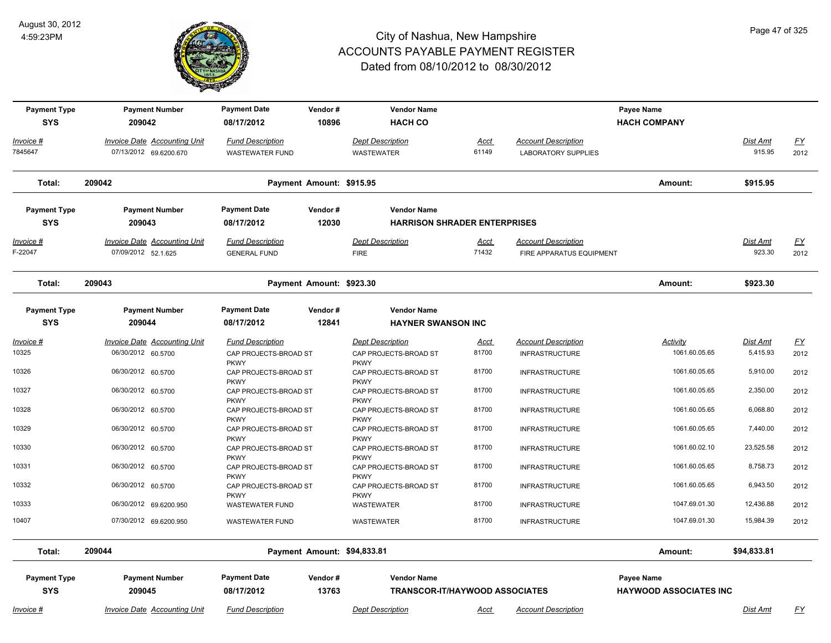

| <b>Payment Type</b><br><b>SYS</b> | <b>Payment Number</b><br>209042                               | <b>Payment Date</b><br>08/17/2012                   | Vendor#<br>10896         | <b>Vendor Name</b><br><b>HACH CO</b>                        | Payee Name<br><b>HACH COMPANY</b> |                                                          |                                             |                    |                   |
|-----------------------------------|---------------------------------------------------------------|-----------------------------------------------------|--------------------------|-------------------------------------------------------------|-----------------------------------|----------------------------------------------------------|---------------------------------------------|--------------------|-------------------|
| Invoice #<br>7845647              | <b>Invoice Date Accounting Unit</b><br>07/13/2012 69.6200.670 | <b>Fund Description</b><br><b>WASTEWATER FUND</b>   |                          | <b>Dept Description</b><br><b>WASTEWATER</b>                | Acct<br>61149                     | <b>Account Description</b><br><b>LABORATORY SUPPLIES</b> |                                             | Dist Amt<br>915.95 | <u>FY</u><br>2012 |
| Total:                            | 209042                                                        |                                                     | Payment Amount: \$915.95 |                                                             |                                   |                                                          | Amount:                                     | \$915.95           |                   |
| <b>Payment Type</b><br><b>SYS</b> | <b>Payment Number</b><br>209043                               | <b>Payment Date</b><br>08/17/2012                   | Vendor#<br>12030         | <b>Vendor Name</b><br><b>HARRISON SHRADER ENTERPRISES</b>   |                                   |                                                          |                                             |                    |                   |
| <u>Invoice #</u><br>F-22047       | <b>Invoice Date Accounting Unit</b><br>07/09/2012 52.1.625    | <b>Fund Description</b><br><b>GENERAL FUND</b>      |                          | <b>Dept Description</b><br><b>FIRE</b>                      | <u>Acct</u><br>71432              | <b>Account Description</b><br>FIRE APPARATUS EQUIPMENT   |                                             | Dist Amt<br>923.30 | <u>FY</u><br>2012 |
| Total:                            | 209043                                                        |                                                     | Payment Amount: \$923.30 |                                                             |                                   |                                                          | Amount:                                     | \$923.30           |                   |
| <b>Payment Type</b><br><b>SYS</b> | <b>Payment Number</b><br>209044                               | <b>Payment Date</b><br>08/17/2012                   | Vendor#<br>12841         | <b>Vendor Name</b><br><b>HAYNER SWANSON INC</b>             |                                   |                                                          |                                             |                    |                   |
| <u> Invoice #</u>                 | <b>Invoice Date Accounting Unit</b>                           | <b>Fund Description</b>                             |                          | <b>Dept Description</b>                                     | <b>Acct</b>                       | <b>Account Description</b>                               | Activity                                    | Dist Amt           | <u>FY</u>         |
| 10325                             | 06/30/2012 60.5700                                            | CAP PROJECTS-BROAD ST<br><b>PKWY</b>                |                          | CAP PROJECTS-BROAD ST<br><b>PKWY</b>                        | 81700                             | <b>INFRASTRUCTURE</b>                                    | 1061.60.05.65                               | 5,415.93           | 2012              |
| 10326                             | 06/30/2012 60.5700                                            | CAP PROJECTS-BROAD ST<br><b>PKWY</b>                |                          | CAP PROJECTS-BROAD ST<br><b>PKWY</b>                        | 81700                             | <b>INFRASTRUCTURE</b>                                    | 1061.60.05.65                               | 5,910.00           | 2012              |
| 10327                             | 06/30/2012 60.5700                                            | CAP PROJECTS-BROAD ST<br><b>PKWY</b>                |                          | CAP PROJECTS-BROAD ST<br><b>PKWY</b>                        | 81700                             | <b>INFRASTRUCTURE</b>                                    | 1061.60.05.65                               | 2,350.00           | 2012              |
| 10328                             | 06/30/2012 60.5700                                            | CAP PROJECTS-BROAD ST<br><b>PKWY</b>                |                          | CAP PROJECTS-BROAD ST<br><b>PKWY</b>                        | 81700                             | <b>INFRASTRUCTURE</b>                                    | 1061.60.05.65                               | 6,068.80           | 2012              |
| 10329                             | 06/30/2012 60.5700                                            | CAP PROJECTS-BROAD ST<br><b>PKWY</b>                |                          | CAP PROJECTS-BROAD ST<br><b>PKWY</b>                        | 81700                             | <b>INFRASTRUCTURE</b>                                    | 1061.60.05.65                               | 7,440.00           | 2012              |
| 10330                             | 06/30/2012 60.5700                                            | CAP PROJECTS-BROAD ST<br><b>PKWY</b>                |                          | CAP PROJECTS-BROAD ST<br><b>PKWY</b>                        | 81700                             | <b>INFRASTRUCTURE</b>                                    | 1061.60.02.10                               | 23,525.58          | 2012              |
| 10331                             | 06/30/2012 60.5700                                            | CAP PROJECTS-BROAD ST                               |                          | CAP PROJECTS-BROAD ST                                       | 81700                             | <b>INFRASTRUCTURE</b>                                    | 1061.60.05.65                               | 8,758.73           | 2012              |
| 10332                             | 06/30/2012 60.5700                                            | <b>PKWY</b><br>CAP PROJECTS-BROAD ST<br><b>PKWY</b> |                          | <b>PKWY</b><br>CAP PROJECTS-BROAD ST<br><b>PKWY</b>         | 81700                             | <b>INFRASTRUCTURE</b>                                    | 1061.60.05.65                               | 6,943.50           | 2012              |
| 10333                             | 06/30/2012 69.6200.950                                        | <b>WASTEWATER FUND</b>                              |                          | WASTEWATER                                                  | 81700                             | <b>INFRASTRUCTURE</b>                                    | 1047.69.01.30                               | 12,436.88          | 2012              |
| 10407                             | 07/30/2012 69.6200.950                                        | <b>WASTEWATER FUND</b>                              |                          | WASTEWATER                                                  | 81700                             | <b>INFRASTRUCTURE</b>                                    | 1047.69.01.30                               | 15,984.39          | 2012              |
| Total:                            | 209044                                                        |                                                     |                          | Payment Amount: \$94,833.81                                 |                                   |                                                          | Amount:                                     | \$94,833.81        |                   |
| <b>Payment Type</b><br><b>SYS</b> | <b>Payment Number</b><br>209045                               | <b>Payment Date</b><br>08/17/2012                   | Vendor#<br>13763         | <b>Vendor Name</b><br><b>TRANSCOR-IT/HAYWOOD ASSOCIATES</b> |                                   |                                                          | Payee Name<br><b>HAYWOOD ASSOCIATES INC</b> |                    |                   |
| Invoice #                         | <b>Invoice Date Accounting Unit</b>                           | <b>Fund Description</b>                             |                          | <b>Dept Description</b>                                     | Acct                              | <b>Account Description</b>                               |                                             | Dist Amt           | <u>FY</u>         |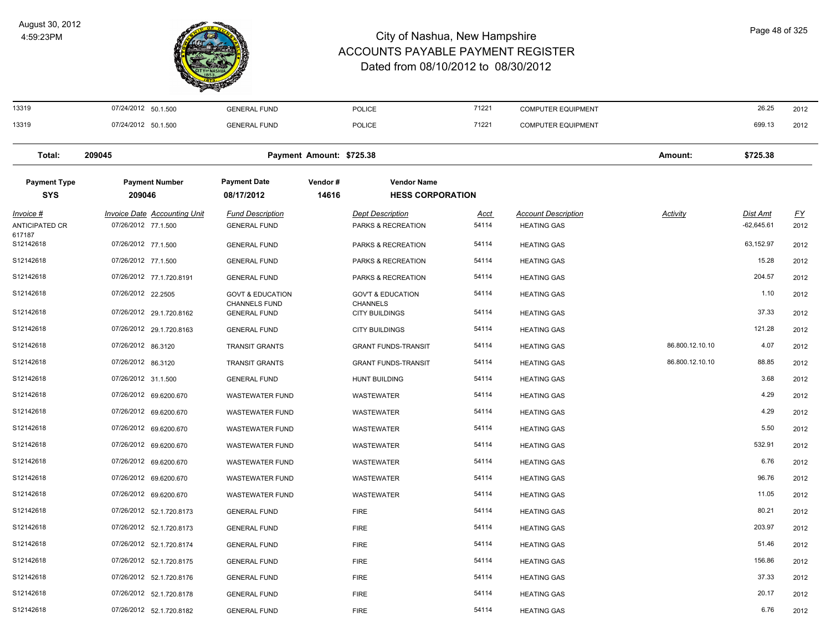

| 13319               | 07/24/2012 50.1.500                 | <b>GENERAL FUND</b>                  |                          | <b>POLICE</b>                            | 71221       | <b>COMPUTER EQUIPMENT</b>  |                 | 26.25           | 2012      |
|---------------------|-------------------------------------|--------------------------------------|--------------------------|------------------------------------------|-------------|----------------------------|-----------------|-----------------|-----------|
| 13319               | 07/24/2012 50.1.500                 | <b>GENERAL FUND</b>                  |                          | <b>POLICE</b>                            | 71221       | <b>COMPUTER EQUIPMENT</b>  |                 | 699.13          | 2012      |
| Total:              | 209045                              |                                      | Payment Amount: \$725.38 |                                          |             |                            | Amount:         | \$725.38        |           |
| <b>Payment Type</b> | <b>Payment Number</b>               | <b>Payment Date</b>                  | Vendor#                  | <b>Vendor Name</b>                       |             |                            |                 |                 |           |
| <b>SYS</b>          | 209046                              | 08/17/2012                           | 14616                    | <b>HESS CORPORATION</b>                  |             |                            |                 |                 |           |
| Invoice #           | <b>Invoice Date Accounting Unit</b> | <b>Fund Description</b>              |                          | <b>Dept Description</b>                  | <u>Acct</u> | <b>Account Description</b> | <b>Activity</b> | <u>Dist Amt</u> | <u>FY</u> |
| ANTICIPATED CR      | 07/26/2012 77.1.500                 | <b>GENERAL FUND</b>                  |                          | PARKS & RECREATION                       | 54114       | <b>HEATING GAS</b>         |                 | $-62,645.61$    | 2012      |
| 617187<br>S12142618 | 07/26/2012 77.1.500                 | <b>GENERAL FUND</b>                  |                          | PARKS & RECREATION                       | 54114       | <b>HEATING GAS</b>         |                 | 63,152.97       | 2012      |
| S12142618           | 07/26/2012 77.1.500                 | <b>GENERAL FUND</b>                  |                          | PARKS & RECREATION                       | 54114       | <b>HEATING GAS</b>         |                 | 15.28           | 2012      |
| S12142618           | 07/26/2012 77.1.720.8191            | <b>GENERAL FUND</b>                  |                          | PARKS & RECREATION                       | 54114       | <b>HEATING GAS</b>         |                 | 204.57          | 2012      |
| S12142618           | 07/26/2012 22.2505                  | <b>GOVT &amp; EDUCATION</b>          |                          | <b>GOV'T &amp; EDUCATION</b>             | 54114       | <b>HEATING GAS</b>         |                 | 1.10            | 2012      |
| S12142618           | 07/26/2012 29.1.720.8162            | CHANNELS FUND<br><b>GENERAL FUND</b> |                          | <b>CHANNELS</b><br><b>CITY BUILDINGS</b> | 54114       | <b>HEATING GAS</b>         |                 | 37.33           | 2012      |
| S12142618           | 07/26/2012 29.1.720.8163            | <b>GENERAL FUND</b>                  |                          | <b>CITY BUILDINGS</b>                    | 54114       | <b>HEATING GAS</b>         |                 | 121.28          | 2012      |
| S12142618           | 07/26/2012 86.3120                  | <b>TRANSIT GRANTS</b>                |                          | <b>GRANT FUNDS-TRANSIT</b>               | 54114       | <b>HEATING GAS</b>         | 86.800.12.10.10 | 4.07            | 2012      |
| S12142618           | 07/26/2012 86.3120                  | <b>TRANSIT GRANTS</b>                |                          | <b>GRANT FUNDS-TRANSIT</b>               | 54114       | <b>HEATING GAS</b>         | 86.800.12.10.10 | 88.85           | 2012      |
| S12142618           | 07/26/2012 31.1.500                 | <b>GENERAL FUND</b>                  |                          | <b>HUNT BUILDING</b>                     | 54114       | <b>HEATING GAS</b>         |                 | 3.68            | 2012      |
| S12142618           | 07/26/2012 69.6200.670              | <b>WASTEWATER FUND</b>               |                          | WASTEWATER                               | 54114       | <b>HEATING GAS</b>         |                 | 4.29            | 2012      |
| S12142618           | 07/26/2012 69.6200.670              | <b>WASTEWATER FUND</b>               |                          | WASTEWATER                               | 54114       | <b>HEATING GAS</b>         |                 | 4.29            | 2012      |
| S12142618           | 07/26/2012 69.6200.670              | <b>WASTEWATER FUND</b>               |                          | WASTEWATER                               | 54114       | <b>HEATING GAS</b>         |                 | 5.50            | 2012      |
| S12142618           | 07/26/2012 69.6200.670              | <b>WASTEWATER FUND</b>               |                          | WASTEWATER                               | 54114       | <b>HEATING GAS</b>         |                 | 532.91          | 2012      |
| S12142618           | 07/26/2012 69.6200.670              | WASTEWATER FUND                      |                          | WASTEWATER                               | 54114       | <b>HEATING GAS</b>         |                 | 6.76            | 2012      |
| S12142618           | 07/26/2012 69.6200.670              | <b>WASTEWATER FUND</b>               |                          | WASTEWATER                               | 54114       | <b>HEATING GAS</b>         |                 | 96.76           | 2012      |
| S12142618           | 07/26/2012 69.6200.670              | <b>WASTEWATER FUND</b>               |                          | WASTEWATER                               | 54114       | <b>HEATING GAS</b>         |                 | 11.05           | 2012      |
| S12142618           | 07/26/2012 52.1.720.8173            | <b>GENERAL FUND</b>                  |                          | <b>FIRE</b>                              | 54114       | <b>HEATING GAS</b>         |                 | 80.21           | 2012      |
| S12142618           | 07/26/2012 52.1.720.8173            | <b>GENERAL FUND</b>                  |                          | <b>FIRE</b>                              | 54114       | <b>HEATING GAS</b>         |                 | 203.97          | 2012      |
| S12142618           | 07/26/2012 52.1.720.8174            | <b>GENERAL FUND</b>                  |                          | <b>FIRE</b>                              | 54114       | <b>HEATING GAS</b>         |                 | 51.46           | 2012      |
| S12142618           | 07/26/2012 52.1.720.8175            | <b>GENERAL FUND</b>                  |                          | <b>FIRE</b>                              | 54114       | <b>HEATING GAS</b>         |                 | 156.86          | 2012      |
| S12142618           | 07/26/2012 52.1.720.8176            | <b>GENERAL FUND</b>                  |                          | <b>FIRE</b>                              | 54114       | <b>HEATING GAS</b>         |                 | 37.33           | 2012      |
| S12142618           | 07/26/2012 52.1.720.8178            | <b>GENERAL FUND</b>                  |                          | <b>FIRE</b>                              | 54114       | <b>HEATING GAS</b>         |                 | 20.17           | 2012      |
| S12142618           | 07/26/2012 52.1.720.8182            | <b>GENERAL FUND</b>                  |                          | <b>FIRE</b>                              | 54114       | <b>HEATING GAS</b>         |                 | 6.76            | 2012      |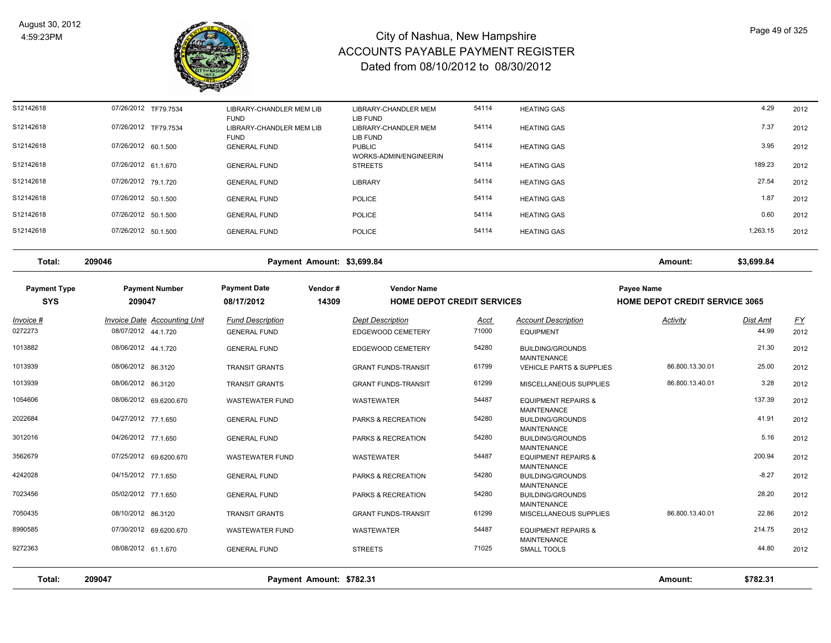

| S12142618 | 07/26/2012 TF79.7534 | LIBRARY-CHANDLER MEM LIB<br><b>FUND</b> | LIBRARY-CHANDLER MEM<br>LIB FUND        | 54114 | <b>HEATING GAS</b> | 4.29     | 2012 |
|-----------|----------------------|-----------------------------------------|-----------------------------------------|-------|--------------------|----------|------|
| S12142618 | 07/26/2012 TF79.7534 | LIBRARY-CHANDLER MEM LIB<br><b>FUND</b> | LIBRARY-CHANDLER MEM<br>LIB FUND        | 54114 | <b>HEATING GAS</b> | 7.37     | 2012 |
| S12142618 | 07/26/2012 60.1.500  | <b>GENERAL FUND</b>                     | <b>PUBLIC</b><br>WORKS-ADMIN/ENGINEERIN | 54114 | <b>HEATING GAS</b> | 3.95     | 2012 |
| S12142618 | 07/26/2012 61.1.670  | <b>GENERAL FUND</b>                     | <b>STREETS</b>                          | 54114 | <b>HEATING GAS</b> | 189.23   | 2012 |
| S12142618 | 07/26/2012 79.1.720  | <b>GENERAL FUND</b>                     | <b>LIBRARY</b>                          | 54114 | <b>HEATING GAS</b> | 27.54    | 2012 |
| S12142618 | 07/26/2012 50.1.500  | <b>GENERAL FUND</b>                     | <b>POLICE</b>                           | 54114 | <b>HEATING GAS</b> | 1.87     | 2012 |
| S12142618 | 07/26/2012 50.1.500  | <b>GENERAL FUND</b>                     | POLICE                                  | 54114 | <b>HEATING GAS</b> | 0.60     | 2012 |
| S12142618 | 07/26/2012 50.1.500  | <b>GENERAL FUND</b>                     | POLICE                                  | 54114 | <b>HEATING GAS</b> | 1,263.15 | 2012 |
|           |                      |                                         |                                         |       |                    |          |      |

**Total: 209046 Payment Amount: \$3,699.84 Amount: \$3,699.84**

| <b>Payment Type</b><br><b>SYS</b> | <b>Payment Number</b><br>209047     | <b>Payment Date</b><br>08/17/2012 | Vendor#<br>14309         | <b>Vendor Name</b>         | <b>HOME DEPOT CREDIT SERVICES</b> |                                                      | <b>Payee Name</b><br><b>HOME DEPOT CREDIT SERVICE 3065</b> |                 |           |
|-----------------------------------|-------------------------------------|-----------------------------------|--------------------------|----------------------------|-----------------------------------|------------------------------------------------------|------------------------------------------------------------|-----------------|-----------|
| Invoice #                         | <b>Invoice Date Accounting Unit</b> | <b>Fund Description</b>           |                          | <b>Dept Description</b>    | <u>Acct</u>                       | <b>Account Description</b>                           | <b>Activity</b>                                            | <b>Dist Amt</b> | <u>FY</u> |
| 0272273                           | 08/07/2012 44.1.720                 | <b>GENERAL FUND</b>               |                          | EDGEWOOD CEMETERY          | 71000                             | <b>EQUIPMENT</b>                                     |                                                            | 44.99           | 2012      |
| 1013882                           | 08/06/2012 44.1.720                 | <b>GENERAL FUND</b>               |                          | EDGEWOOD CEMETERY          | 54280                             | <b>BUILDING/GROUNDS</b><br><b>MAINTENANCE</b>        |                                                            | 21.30           | 2012      |
| 1013939                           | 08/06/2012 86.3120                  | <b>TRANSIT GRANTS</b>             |                          | <b>GRANT FUNDS-TRANSIT</b> | 61799                             | <b>VEHICLE PARTS &amp; SUPPLIES</b>                  | 86.800.13.30.01                                            | 25.00           | 2012      |
| 1013939                           | 08/06/2012 86.3120                  | <b>TRANSIT GRANTS</b>             |                          | <b>GRANT FUNDS-TRANSIT</b> | 61299                             | MISCELLANEOUS SUPPLIES                               | 86.800.13.40.01                                            | 3.28            | 2012      |
| 1054606                           | 08/06/2012 69.6200.670              | <b>WASTEWATER FUND</b>            |                          | <b>WASTEWATER</b>          | 54487                             | <b>EQUIPMENT REPAIRS &amp;</b><br><b>MAINTENANCE</b> |                                                            | 137.39          | 2012      |
| 2022684                           | 04/27/2012 77.1.650                 | <b>GENERAL FUND</b>               |                          | PARKS & RECREATION         | 54280                             | <b>BUILDING/GROUNDS</b><br><b>MAINTENANCE</b>        |                                                            | 41.91           | 2012      |
| 3012016                           | 04/26/2012 77.1.650                 | <b>GENERAL FUND</b>               |                          | PARKS & RECREATION         | 54280                             | <b>BUILDING/GROUNDS</b><br><b>MAINTENANCE</b>        |                                                            | 5.16            | 2012      |
| 3562679                           | 07/25/2012 69.6200.670              | <b>WASTEWATER FUND</b>            |                          | <b>WASTEWATER</b>          | 54487                             | <b>EQUIPMENT REPAIRS &amp;</b><br><b>MAINTENANCE</b> |                                                            | 200.94          | 2012      |
| 4242028                           | 04/15/2012 77.1.650                 | <b>GENERAL FUND</b>               |                          | PARKS & RECREATION         | 54280                             | <b>BUILDING/GROUNDS</b><br><b>MAINTENANCE</b>        |                                                            | $-8.27$         | 2012      |
| 7023456                           | 05/02/2012 77.1.650                 | <b>GENERAL FUND</b>               |                          | PARKS & RECREATION         | 54280                             | <b>BUILDING/GROUNDS</b><br><b>MAINTENANCE</b>        |                                                            | 28.20           | 2012      |
| 7050435                           | 08/10/2012 86.3120                  | <b>TRANSIT GRANTS</b>             |                          | <b>GRANT FUNDS-TRANSIT</b> | 61299                             | MISCELLANEOUS SUPPLIES                               | 86.800.13.40.01                                            | 22.86           | 2012      |
| 8990585                           | 07/30/2012 69.6200.670              | <b>WASTEWATER FUND</b>            |                          | <b>WASTEWATER</b>          | 54487                             | <b>EQUIPMENT REPAIRS &amp;</b><br><b>MAINTENANCE</b> |                                                            | 214.75          | 2012      |
| 9272363                           | 08/08/2012 61.1.670                 | <b>GENERAL FUND</b>               |                          | <b>STREETS</b>             | 71025                             | SMALL TOOLS                                          |                                                            | 44.80           | 2012      |
| Total:                            | 209047                              |                                   | Payment Amount: \$782.31 |                            |                                   |                                                      | Amount:                                                    | \$782.31        |           |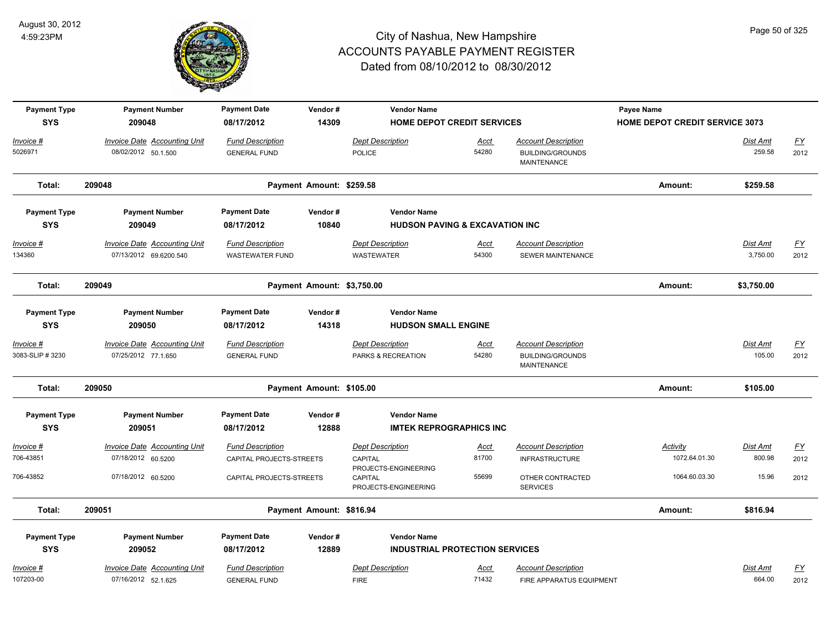

| <b>Payment Type</b>               | <b>Payment Date</b><br>Vendor#<br><b>Payment Number</b><br><b>Vendor Name</b> | Payee Name                                          |                            |                                                         |                                           |                                                                      |                                       |                             |                          |
|-----------------------------------|-------------------------------------------------------------------------------|-----------------------------------------------------|----------------------------|---------------------------------------------------------|-------------------------------------------|----------------------------------------------------------------------|---------------------------------------|-----------------------------|--------------------------|
| <b>SYS</b>                        | 209048                                                                        | 08/17/2012                                          | 14309                      |                                                         | <b>HOME DEPOT CREDIT SERVICES</b>         |                                                                      | <b>HOME DEPOT CREDIT SERVICE 3073</b> |                             |                          |
| Invoice #<br>5026971              | <b>Invoice Date Accounting Unit</b><br>08/02/2012 50.1.500                    | <b>Fund Description</b><br><b>GENERAL FUND</b>      |                            | <b>Dept Description</b><br><b>POLICE</b>                | <b>Acct</b><br>54280                      | <b>Account Description</b><br><b>BUILDING/GROUNDS</b><br>MAINTENANCE |                                       | Dist Amt<br>259.58          | <u>FY</u><br>2012        |
| Total:                            | 209048                                                                        |                                                     | Payment Amount: \$259.58   |                                                         |                                           |                                                                      | Amount:                               | \$259.58                    |                          |
| <b>Payment Type</b><br><b>SYS</b> | <b>Payment Number</b><br>209049                                               | <b>Payment Date</b><br>08/17/2012                   | Vendor#<br>10840           | <b>Vendor Name</b>                                      | <b>HUDSON PAVING &amp; EXCAVATION INC</b> |                                                                      |                                       |                             |                          |
| Invoice #<br>134360               | <b>Invoice Date Accounting Unit</b><br>07/13/2012 69.6200.540                 | <b>Fund Description</b><br><b>WASTEWATER FUND</b>   |                            | <b>Dept Description</b><br><b>WASTEWATER</b>            | <b>Acct</b><br>54300                      | <b>Account Description</b><br><b>SEWER MAINTENANCE</b>               |                                       | <b>Dist Amt</b><br>3,750.00 | <u>FY</u><br>2012        |
| Total:                            | 209049                                                                        |                                                     | Payment Amount: \$3,750.00 |                                                         |                                           |                                                                      | Amount:                               | \$3,750.00                  |                          |
| <b>Payment Type</b><br><b>SYS</b> | <b>Payment Number</b><br>209050                                               | <b>Payment Date</b><br>08/17/2012                   | Vendor#<br>14318           | <b>Vendor Name</b><br><b>HUDSON SMALL ENGINE</b>        |                                           |                                                                      |                                       |                             |                          |
| Invoice #<br>3083-SLIP #3230      | <b>Invoice Date Accounting Unit</b><br>07/25/2012 77.1.650                    | <b>Fund Description</b><br><b>GENERAL FUND</b>      |                            | <b>Dept Description</b><br>PARKS & RECREATION           | <u>Acct</u><br>54280                      | <b>Account Description</b><br><b>BUILDING/GROUNDS</b><br>MAINTENANCE |                                       | Dist Amt<br>105.00          | $\underline{FY}$<br>2012 |
| Total:                            | 209050                                                                        |                                                     | Payment Amount: \$105.00   |                                                         |                                           |                                                                      | Amount:                               | \$105.00                    |                          |
| <b>Payment Type</b><br><b>SYS</b> | <b>Payment Number</b><br>209051                                               | <b>Payment Date</b><br>08/17/2012                   | Vendor#<br>12888           | <b>Vendor Name</b>                                      | <b>IMTEK REPROGRAPHICS INC</b>            |                                                                      |                                       |                             |                          |
|                                   |                                                                               |                                                     |                            |                                                         |                                           |                                                                      |                                       |                             |                          |
| Invoice #<br>706-43851            | <b>Invoice Date Accounting Unit</b><br>07/18/2012 60.5200                     | <b>Fund Description</b><br>CAPITAL PROJECTS-STREETS |                            | <b>Dept Description</b><br>CAPITAL                      | <u>Acct</u><br>81700                      | <b>Account Description</b><br><b>INFRASTRUCTURE</b>                  | Activity<br>1072.64.01.30             | Dist Amt<br>800.98          | $\underline{FY}$<br>2012 |
| 706-43852                         | 07/18/2012 60.5200                                                            | CAPITAL PROJECTS-STREETS                            |                            | PROJECTS-ENGINEERING<br>CAPITAL<br>PROJECTS-ENGINEERING | 55699                                     | OTHER CONTRACTED<br><b>SERVICES</b>                                  | 1064.60.03.30                         | 15.96                       | 2012                     |
| Total:                            | 209051                                                                        |                                                     | Payment Amount: \$816.94   |                                                         |                                           |                                                                      | Amount:                               | \$816.94                    |                          |
| <b>Payment Type</b>               | <b>Payment Number</b>                                                         | <b>Payment Date</b>                                 | Vendor#                    | <b>Vendor Name</b>                                      |                                           |                                                                      |                                       |                             |                          |
| <b>SYS</b>                        | 209052                                                                        | 08/17/2012                                          | 12889                      |                                                         | <b>INDUSTRIAL PROTECTION SERVICES</b>     |                                                                      |                                       |                             |                          |
| Invoice #                         | Invoice Date Accounting Unit                                                  | <b>Fund Description</b>                             |                            | <b>Dept Description</b>                                 | <u>Acct</u>                               | <b>Account Description</b>                                           |                                       | Dist Amt                    | <u>FY</u>                |
| 107203-00                         | 07/16/2012 52.1.625                                                           | <b>GENERAL FUND</b>                                 |                            | <b>FIRE</b>                                             | 71432                                     | FIRE APPARATUS EQUIPMENT                                             |                                       | 664.00                      | 2012                     |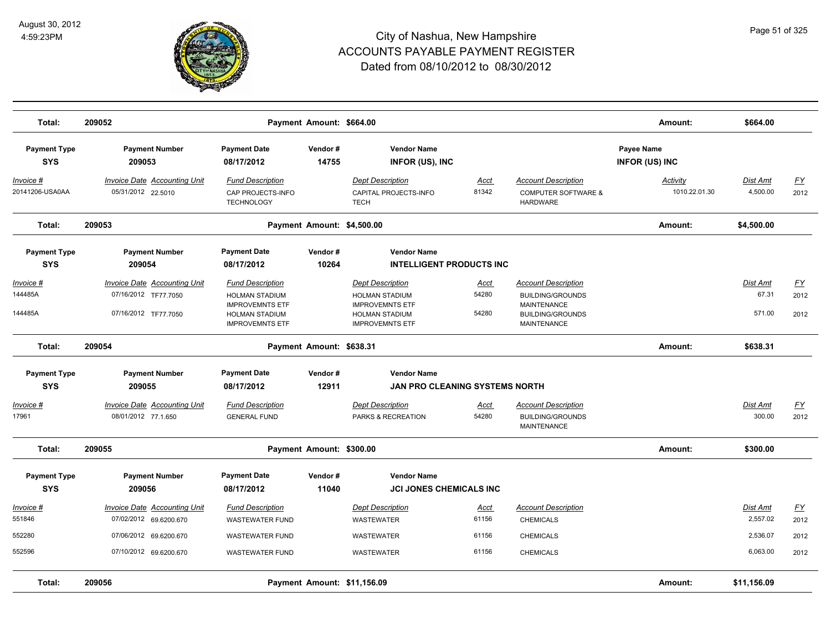

| Total:                                  | 209052                                                                              |                                                                                                                               | Payment Amount: \$664.00    |                                                                                                                               |                               |                                                                                                                              | Amount:                             | \$664.00                    |                           |
|-----------------------------------------|-------------------------------------------------------------------------------------|-------------------------------------------------------------------------------------------------------------------------------|-----------------------------|-------------------------------------------------------------------------------------------------------------------------------|-------------------------------|------------------------------------------------------------------------------------------------------------------------------|-------------------------------------|-----------------------------|---------------------------|
| <b>Payment Type</b><br><b>SYS</b>       | <b>Payment Number</b><br>209053                                                     | <b>Payment Date</b><br>08/17/2012                                                                                             | Vendor#<br>14755            | <b>Vendor Name</b><br><b>INFOR (US), INC</b>                                                                                  |                               |                                                                                                                              | Payee Name<br><b>INFOR (US) INC</b> |                             |                           |
| Invoice #<br>20141206-USA0AA            | <b>Invoice Date Accounting Unit</b><br>05/31/2012 22.5010                           | <b>Fund Description</b><br>CAP PROJECTS-INFO<br><b>TECHNOLOGY</b>                                                             |                             | <b>Dept Description</b><br>CAPITAL PROJECTS-INFO<br><b>TECH</b>                                                               | <u>Acct</u><br>81342          | <b>Account Description</b><br><b>COMPUTER SOFTWARE &amp;</b><br><b>HARDWARE</b>                                              | <b>Activity</b><br>1010.22.01.30    | <b>Dist Amt</b><br>4,500.00 | <u>FY</u><br>2012         |
| Total:                                  | 209053                                                                              |                                                                                                                               | Payment Amount: \$4,500.00  |                                                                                                                               |                               |                                                                                                                              | Amount:                             | \$4,500.00                  |                           |
| <b>Payment Type</b>                     | <b>Payment Number</b>                                                               | <b>Payment Date</b>                                                                                                           | Vendor#                     | <b>Vendor Name</b>                                                                                                            |                               |                                                                                                                              |                                     |                             |                           |
| <b>SYS</b>                              | 209054                                                                              | 08/17/2012                                                                                                                    | 10264                       | <b>INTELLIGENT PRODUCTS INC</b>                                                                                               |                               |                                                                                                                              |                                     |                             |                           |
| <u> Invoice #</u><br>144485A<br>144485A | <b>Invoice Date Accounting Unit</b><br>07/16/2012 TF77.7050<br>07/16/2012 TF77.7050 | <b>Fund Description</b><br><b>HOLMAN STADIUM</b><br><b>IMPROVEMNTS ETF</b><br><b>HOLMAN STADIUM</b><br><b>IMPROVEMNTS ETF</b> |                             | <b>Dept Description</b><br><b>HOLMAN STADIUM</b><br><b>IMPROVEMNTS ETF</b><br><b>HOLMAN STADIUM</b><br><b>IMPROVEMNTS ETF</b> | <u>Acct</u><br>54280<br>54280 | <b>Account Description</b><br><b>BUILDING/GROUNDS</b><br><b>MAINTENANCE</b><br><b>BUILDING/GROUNDS</b><br><b>MAINTENANCE</b> |                                     | Dist Amt<br>67.31<br>571.00 | <u>FY</u><br>2012<br>2012 |
| Total:                                  | 209054                                                                              |                                                                                                                               | Payment Amount: \$638.31    |                                                                                                                               |                               |                                                                                                                              | Amount:                             | \$638.31                    |                           |
| <b>Payment Type</b>                     | <b>Payment Number</b>                                                               | <b>Payment Date</b>                                                                                                           | Vendor#                     | <b>Vendor Name</b>                                                                                                            |                               |                                                                                                                              |                                     |                             |                           |
| <b>SYS</b>                              | 209055                                                                              | 08/17/2012                                                                                                                    | 12911                       | <b>JAN PRO CLEANING SYSTEMS NORTH</b>                                                                                         |                               |                                                                                                                              |                                     |                             |                           |
| Invoice #                               | <b>Invoice Date Accounting Unit</b>                                                 | <b>Fund Description</b>                                                                                                       |                             | <b>Dept Description</b>                                                                                                       | <u>Acct</u>                   | <b>Account Description</b>                                                                                                   |                                     | Dist Amt                    | <u>FY</u>                 |
| 17961                                   | 08/01/2012 77.1.650                                                                 | <b>GENERAL FUND</b>                                                                                                           |                             | PARKS & RECREATION                                                                                                            | 54280                         | <b>BUILDING/GROUNDS</b><br>MAINTENANCE                                                                                       |                                     | 300.00                      | 2012                      |
| Total:                                  | 209055                                                                              |                                                                                                                               | Payment Amount: \$300.00    |                                                                                                                               |                               |                                                                                                                              | Amount:                             | \$300.00                    |                           |
| <b>Payment Type</b><br><b>SYS</b>       | <b>Payment Number</b><br>209056                                                     | <b>Payment Date</b><br>08/17/2012                                                                                             | Vendor#<br>11040            | <b>Vendor Name</b><br><b>JCI JONES CHEMICALS INC</b>                                                                          |                               |                                                                                                                              |                                     |                             |                           |
| Invoice #                               | <b>Invoice Date Accounting Unit</b>                                                 | <b>Fund Description</b>                                                                                                       |                             | <b>Dept Description</b>                                                                                                       | <u>Acct</u>                   | <b>Account Description</b>                                                                                                   |                                     | Dist Amt                    | <u>FY</u>                 |
| 551846                                  | 07/02/2012 69.6200.670                                                              | <b>WASTEWATER FUND</b>                                                                                                        |                             | WASTEWATER                                                                                                                    | 61156                         | <b>CHEMICALS</b>                                                                                                             |                                     | 2,557.02                    | 2012                      |
| 552280                                  | 07/06/2012 69.6200.670                                                              | <b>WASTEWATER FUND</b>                                                                                                        |                             | WASTEWATER                                                                                                                    | 61156                         | <b>CHEMICALS</b>                                                                                                             |                                     | 2,536.07                    | 2012                      |
| 552596                                  | 07/10/2012 69.6200.670                                                              | <b>WASTEWATER FUND</b>                                                                                                        |                             | WASTEWATER                                                                                                                    | 61156                         | <b>CHEMICALS</b>                                                                                                             |                                     | 6,063.00                    | 2012                      |
| Total:                                  | 209056                                                                              |                                                                                                                               | Payment Amount: \$11,156.09 |                                                                                                                               |                               |                                                                                                                              | Amount:                             | \$11,156.09                 |                           |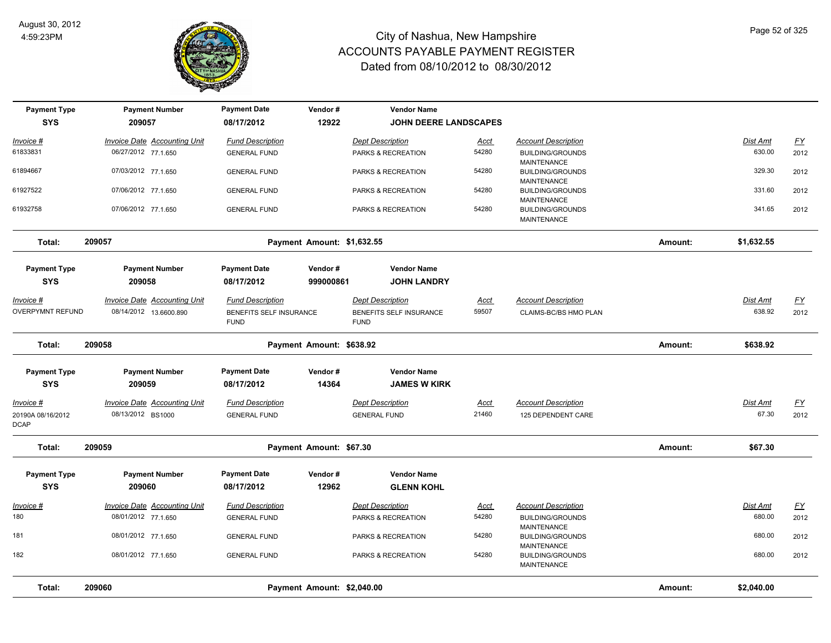

| <b>Payment Type</b>              | <b>Payment Number</b>               | <b>Payment Date</b>                    | Vendor#                    | <b>Vendor Name</b>                     |             |                                                                     |         |            |                           |
|----------------------------------|-------------------------------------|----------------------------------------|----------------------------|----------------------------------------|-------------|---------------------------------------------------------------------|---------|------------|---------------------------|
| <b>SYS</b>                       | 209057                              | 08/17/2012                             | 12922                      | <b>JOHN DEERE LANDSCAPES</b>           |             |                                                                     |         |            |                           |
| Invoice #                        | <b>Invoice Date Accounting Unit</b> | <b>Fund Description</b>                |                            | <b>Dept Description</b>                | <u>Acct</u> | <b>Account Description</b>                                          |         | Dist Amt   | $\underline{FY}$          |
| 61833831                         | 06/27/2012 77.1.650                 | <b>GENERAL FUND</b>                    |                            | PARKS & RECREATION                     | 54280       | <b>BUILDING/GROUNDS</b><br><b>MAINTENANCE</b>                       |         | 630.00     | 2012                      |
| 61894667                         | 07/03/2012 77.1.650                 | <b>GENERAL FUND</b>                    |                            | PARKS & RECREATION                     | 54280       | <b>BUILDING/GROUNDS</b>                                             |         | 329.30     | 2012                      |
| 61927522                         | 07/06/2012 77.1.650                 | <b>GENERAL FUND</b>                    |                            | PARKS & RECREATION                     | 54280       | <b>MAINTENANCE</b><br><b>BUILDING/GROUNDS</b>                       |         | 331.60     | 2012                      |
| 61932758                         | 07/06/2012 77.1.650                 | <b>GENERAL FUND</b>                    |                            | PARKS & RECREATION                     | 54280       | <b>MAINTENANCE</b><br><b>BUILDING/GROUNDS</b>                       |         | 341.65     | 2012                      |
|                                  |                                     |                                        |                            |                                        |             | <b>MAINTENANCE</b>                                                  |         |            |                           |
| Total:                           | 209057                              |                                        | Payment Amount: \$1,632.55 |                                        |             |                                                                     | Amount: | \$1,632.55 |                           |
| <b>Payment Type</b>              | <b>Payment Number</b>               | <b>Payment Date</b>                    | Vendor#                    | <b>Vendor Name</b>                     |             |                                                                     |         |            |                           |
| <b>SYS</b>                       | 209058                              | 08/17/2012                             | 999000861                  | <b>JOHN LANDRY</b>                     |             |                                                                     |         |            |                           |
| <u>Invoice #</u>                 | <b>Invoice Date Accounting Unit</b> | <b>Fund Description</b>                |                            | <b>Dept Description</b>                | <u>Acct</u> | <b>Account Description</b>                                          |         | Dist Amt   | $\underline{\mathsf{FY}}$ |
| OVERPYMNT REFUND                 | 08/14/2012 13.6600.890              | BENEFITS SELF INSURANCE<br><b>FUND</b> |                            | BENEFITS SELF INSURANCE<br><b>FUND</b> | 59507       | CLAIMS-BC/BS HMO PLAN                                               |         | 638.92     | 2012                      |
| Total:                           | 209058                              |                                        | Payment Amount: \$638.92   |                                        |             |                                                                     | Amount: | \$638.92   |                           |
| <b>Payment Type</b>              | <b>Payment Number</b>               | <b>Payment Date</b>                    | Vendor#                    | <b>Vendor Name</b>                     |             |                                                                     |         |            |                           |
| <b>SYS</b>                       | 209059                              | 08/17/2012                             | 14364                      | <b>JAMES W KIRK</b>                    |             |                                                                     |         |            |                           |
| Invoice #                        | <b>Invoice Date Accounting Unit</b> | <b>Fund Description</b>                |                            | <b>Dept Description</b>                | <u>Acct</u> | <b>Account Description</b>                                          |         | Dist Amt   | <u>FY</u>                 |
| 20190A 08/16/2012<br><b>DCAP</b> | 08/13/2012 BS1000                   | <b>GENERAL FUND</b>                    |                            | <b>GENERAL FUND</b>                    | 21460       | 125 DEPENDENT CARE                                                  |         | 67.30      | 2012                      |
| Total:                           | 209059                              |                                        | Payment Amount: \$67.30    |                                        |             |                                                                     | Amount: | \$67.30    |                           |
| <b>Payment Type</b>              | <b>Payment Number</b>               | <b>Payment Date</b>                    | Vendor#                    | <b>Vendor Name</b>                     |             |                                                                     |         |            |                           |
| <b>SYS</b>                       | 209060                              | 08/17/2012                             | 12962                      | <b>GLENN KOHL</b>                      |             |                                                                     |         |            |                           |
| Invoice #                        | <b>Invoice Date Accounting Unit</b> | <b>Fund Description</b>                |                            | <b>Dept Description</b>                | Acct        | <b>Account Description</b>                                          |         | Dist Amt   | $\underline{FY}$          |
| 180                              | 08/01/2012 77.1.650                 | <b>GENERAL FUND</b>                    |                            | PARKS & RECREATION                     | 54280       | <b>BUILDING/GROUNDS</b>                                             |         | 680.00     | 2012                      |
| 181                              | 08/01/2012 77.1.650                 | <b>GENERAL FUND</b>                    |                            | PARKS & RECREATION                     | 54280       | <b>MAINTENANCE</b><br><b>BUILDING/GROUNDS</b>                       |         | 680.00     | 2012                      |
| 182                              | 08/01/2012 77.1.650                 | <b>GENERAL FUND</b>                    |                            | PARKS & RECREATION                     | 54280       | <b>MAINTENANCE</b><br><b>BUILDING/GROUNDS</b><br><b>MAINTENANCE</b> |         | 680.00     | 2012                      |
| Total:                           | 209060                              |                                        | Payment Amount: \$2,040.00 |                                        |             |                                                                     | Amount: | \$2,040.00 |                           |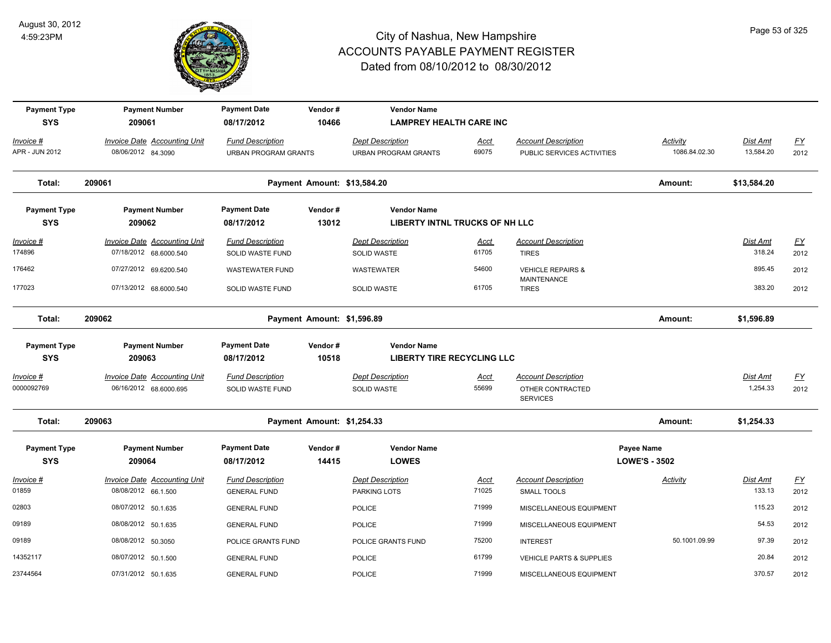

| <b>Payment Type</b><br><b>SYS</b> | <b>Payment Number</b><br>209061                           | <b>Payment Date</b><br>08/17/2012                      | Vendor#<br>10466            | <b>Vendor Name</b><br><b>LAMPREY HEALTH CARE INC</b>        |               |                                                          |                                           |                       |                  |
|-----------------------------------|-----------------------------------------------------------|--------------------------------------------------------|-----------------------------|-------------------------------------------------------------|---------------|----------------------------------------------------------|-------------------------------------------|-----------------------|------------------|
| Invoice #<br>APR - JUN 2012       | <b>Invoice Date Accounting Unit</b><br>08/06/2012 84.3090 | <b>Fund Description</b><br><b>URBAN PROGRAM GRANTS</b> |                             | <b>Dept Description</b><br><b>URBAN PROGRAM GRANTS</b>      | Acct<br>69075 | <b>Account Description</b><br>PUBLIC SERVICES ACTIVITIES | Activity<br>1086.84.02.30                 | Dist Amt<br>13,584.20 | $FY$<br>2012     |
| Total:                            | 209061                                                    |                                                        | Payment Amount: \$13,584.20 |                                                             |               |                                                          | Amount:                                   | \$13,584.20           |                  |
| <b>Payment Type</b><br><b>SYS</b> | <b>Payment Number</b><br>209062                           | <b>Payment Date</b><br>08/17/2012                      | Vendor#<br>13012            | <b>Vendor Name</b><br><b>LIBERTY INTNL TRUCKS OF NH LLC</b> |               |                                                          |                                           |                       |                  |
| Invoice #                         | <b>Invoice Date Accounting Unit</b>                       | <b>Fund Description</b>                                |                             | <b>Dept Description</b>                                     | <u>Acct</u>   | <b>Account Description</b>                               |                                           | <u>Dist Amt</u>       | EY               |
| 174896                            | 07/18/2012 68.6000.540                                    | SOLID WASTE FUND                                       |                             | SOLID WASTE                                                 | 61705         | <b>TIRES</b>                                             |                                           | 318.24                | 2012             |
| 176462                            | 07/27/2012 69.6200.540                                    | <b>WASTEWATER FUND</b>                                 |                             | <b>WASTEWATER</b>                                           | 54600         | <b>VEHICLE REPAIRS &amp;</b><br><b>MAINTENANCE</b>       |                                           | 895.45                | 2012             |
| 177023                            | 07/13/2012 68.6000.540                                    | SOLID WASTE FUND                                       |                             | <b>SOLID WASTE</b>                                          | 61705         | <b>TIRES</b>                                             |                                           | 383.20                | 2012             |
| Total:                            | 209062                                                    |                                                        | Payment Amount: \$1,596.89  |                                                             |               |                                                          | Amount:                                   | \$1,596.89            |                  |
| <b>Payment Type</b>               | <b>Payment Number</b>                                     | <b>Payment Date</b>                                    | Vendor#                     | <b>Vendor Name</b>                                          |               |                                                          |                                           |                       |                  |
| <b>SYS</b>                        | 209063                                                    | 08/17/2012                                             | 10518                       | <b>LIBERTY TIRE RECYCLING LLC</b>                           |               |                                                          |                                           |                       |                  |
| Invoice #                         | Invoice Date Accounting Unit                              | <b>Fund Description</b>                                |                             | <b>Dept Description</b>                                     | Acct          | <b>Account Description</b>                               |                                           | Dist Amt              | $\underline{FY}$ |
| 0000092769                        | 06/16/2012 68.6000.695                                    | SOLID WASTE FUND                                       |                             | SOLID WASTE                                                 | 55699         | OTHER CONTRACTED<br><b>SERVICES</b>                      |                                           | 1,254.33              | 2012             |
| Total:                            | 209063                                                    |                                                        | Payment Amount: \$1,254.33  |                                                             |               |                                                          | Amount:                                   | \$1,254.33            |                  |
| <b>Payment Type</b><br><b>SYS</b> | <b>Payment Number</b><br>209064                           | <b>Payment Date</b><br>08/17/2012                      | Vendor#<br>14415            | <b>Vendor Name</b><br><b>LOWES</b>                          |               |                                                          | <b>Payee Name</b><br><b>LOWE'S - 3502</b> |                       |                  |
| <b>Invoice #</b>                  | <b>Invoice Date Accounting Unit</b>                       | <b>Fund Description</b>                                |                             | <b>Dept Description</b>                                     | <b>Acct</b>   | <b>Account Description</b>                               | <b>Activity</b>                           | <b>Dist Amt</b>       | $\underline{FY}$ |
| 01859                             | 08/08/2012 66.1.500                                       | <b>GENERAL FUND</b>                                    |                             | PARKING LOTS                                                | 71025         | <b>SMALL TOOLS</b>                                       |                                           | 133.13                | 2012             |
| 02803                             | 08/07/2012 50.1.635                                       | <b>GENERAL FUND</b>                                    |                             | <b>POLICE</b>                                               | 71999         | MISCELLANEOUS EQUIPMENT                                  |                                           | 115.23                | 2012             |
| 09189                             | 08/08/2012 50.1.635                                       | <b>GENERAL FUND</b>                                    |                             | <b>POLICE</b>                                               | 71999         | MISCELLANEOUS EQUIPMENT                                  |                                           | 54.53                 | 2012             |
| 09189                             | 08/08/2012 50.3050                                        | POLICE GRANTS FUND                                     |                             | POLICE GRANTS FUND                                          | 75200         | <b>INTEREST</b>                                          | 50.1001.09.99                             | 97.39                 | 2012             |
| 14352117                          | 08/07/2012 50.1.500                                       | <b>GENERAL FUND</b>                                    |                             | <b>POLICE</b>                                               | 61799         | <b>VEHICLE PARTS &amp; SUPPLIES</b>                      |                                           | 20.84                 | 2012             |
| 23744564                          | 07/31/2012 50.1.635                                       | <b>GENERAL FUND</b>                                    |                             | <b>POLICE</b>                                               | 71999         | MISCELLANEOUS EQUIPMENT                                  |                                           | 370.57                | 2012             |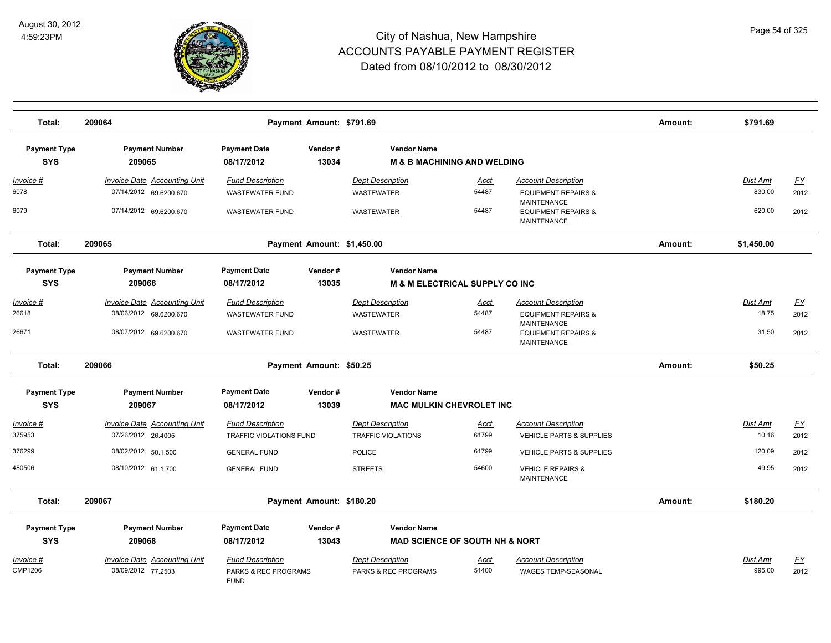

| Total:                             | 209064                                                        |                                                                | Payment Amount: \$791.69   |                                                 |                                           |                                                                            | Amount: | \$791.69                  |                          |
|------------------------------------|---------------------------------------------------------------|----------------------------------------------------------------|----------------------------|-------------------------------------------------|-------------------------------------------|----------------------------------------------------------------------------|---------|---------------------------|--------------------------|
| <b>Payment Type</b><br><b>SYS</b>  | <b>Payment Number</b><br>209065                               | <b>Payment Date</b><br>08/17/2012                              | Vendor#<br>13034           | <b>Vendor Name</b>                              | <b>M &amp; B MACHINING AND WELDING</b>    |                                                                            |         |                           |                          |
| <u>Invoice #</u><br>6078           | <b>Invoice Date Accounting Unit</b><br>07/14/2012 69.6200.670 | <b>Fund Description</b><br><b>WASTEWATER FUND</b>              |                            | <b>Dept Description</b><br><b>WASTEWATER</b>    | <u>Acct</u><br>54487                      | <b>Account Description</b><br><b>EQUIPMENT REPAIRS &amp;</b>               |         | <b>Dist Amt</b><br>830.00 | <u>FY</u><br>2012        |
| 6079                               | 07/14/2012 69.6200.670                                        | <b>WASTEWATER FUND</b>                                         |                            | <b>WASTEWATER</b>                               | 54487                                     | <b>MAINTENANCE</b><br><b>EQUIPMENT REPAIRS &amp;</b><br><b>MAINTENANCE</b> |         | 620.00                    | 2012                     |
| Total:                             | 209065                                                        |                                                                | Payment Amount: \$1,450.00 |                                                 |                                           |                                                                            | Amount: | \$1,450.00                |                          |
| <b>Payment Type</b>                | <b>Payment Number</b>                                         | <b>Payment Date</b>                                            | Vendor#                    | <b>Vendor Name</b>                              |                                           |                                                                            |         |                           |                          |
| <b>SYS</b>                         | 209066                                                        | 08/17/2012                                                     | 13035                      |                                                 | <b>M &amp; M ELECTRICAL SUPPLY CO INC</b> |                                                                            |         |                           |                          |
| Invoice #                          | Invoice Date Accounting Unit                                  | <b>Fund Description</b>                                        |                            | <b>Dept Description</b>                         | Acct                                      | <b>Account Description</b>                                                 |         | <b>Dist Amt</b>           | <u>FY</u>                |
| 26618                              | 08/06/2012 69.6200.670                                        | <b>WASTEWATER FUND</b>                                         |                            | <b>WASTEWATER</b>                               | 54487                                     | <b>EQUIPMENT REPAIRS &amp;</b>                                             |         | 18.75                     | 2012                     |
| 26671                              | 08/07/2012 69.6200.670                                        | <b>WASTEWATER FUND</b>                                         |                            | <b>WASTEWATER</b>                               | 54487                                     | <b>MAINTENANCE</b><br><b>EQUIPMENT REPAIRS &amp;</b><br><b>MAINTENANCE</b> |         | 31.50                     | 2012                     |
| Total:                             | 209066                                                        |                                                                | Payment Amount: \$50.25    |                                                 |                                           |                                                                            | Amount: | \$50.25                   |                          |
| <b>Payment Type</b>                | <b>Payment Number</b>                                         | <b>Payment Date</b>                                            | Vendor#                    | <b>Vendor Name</b>                              |                                           |                                                                            |         |                           |                          |
| <b>SYS</b>                         | 209067                                                        | 08/17/2012                                                     | 13039                      |                                                 | <b>MAC MULKIN CHEVROLET INC</b>           |                                                                            |         |                           |                          |
| Invoice #                          | <b>Invoice Date Accounting Unit</b>                           | <b>Fund Description</b>                                        |                            | <b>Dept Description</b>                         | <b>Acct</b>                               | <b>Account Description</b>                                                 |         | <b>Dist Amt</b>           | <u>FY</u>                |
| 375953                             | 07/26/2012 26.4005                                            | TRAFFIC VIOLATIONS FUND                                        |                            | <b>TRAFFIC VIOLATIONS</b>                       | 61799                                     | <b>VEHICLE PARTS &amp; SUPPLIES</b>                                        |         | 10.16                     | 2012                     |
| 376299                             | 08/02/2012 50.1.500                                           | <b>GENERAL FUND</b>                                            |                            | <b>POLICE</b>                                   | 61799                                     | VEHICLE PARTS & SUPPLIES                                                   |         | 120.09                    | 2012                     |
| 480506                             | 08/10/2012 61.1.700                                           | <b>GENERAL FUND</b>                                            |                            | <b>STREETS</b>                                  | 54600                                     | <b>VEHICLE REPAIRS &amp;</b><br><b>MAINTENANCE</b>                         |         | 49.95                     | 2012                     |
| Total:                             | 209067                                                        |                                                                | Payment Amount: \$180.20   |                                                 |                                           |                                                                            | Amount: | \$180.20                  |                          |
| <b>Payment Type</b>                | <b>Payment Number</b>                                         | <b>Payment Date</b>                                            | Vendor#                    | <b>Vendor Name</b>                              |                                           |                                                                            |         |                           |                          |
| <b>SYS</b>                         | 209068                                                        | 08/17/2012                                                     | 13043                      |                                                 | <b>MAD SCIENCE OF SOUTH NH &amp; NORT</b> |                                                                            |         |                           |                          |
| <u>Invoice #</u><br><b>CMP1206</b> | Invoice Date Accounting Unit<br>08/09/2012 77.2503            | <b>Fund Description</b><br>PARKS & REC PROGRAMS<br><b>FUND</b> |                            | <b>Dept Description</b><br>PARKS & REC PROGRAMS | <u>Acct</u><br>51400                      | <b>Account Description</b><br><b>WAGES TEMP-SEASONAL</b>                   |         | Dist Amt<br>995.00        | $\underline{FY}$<br>2012 |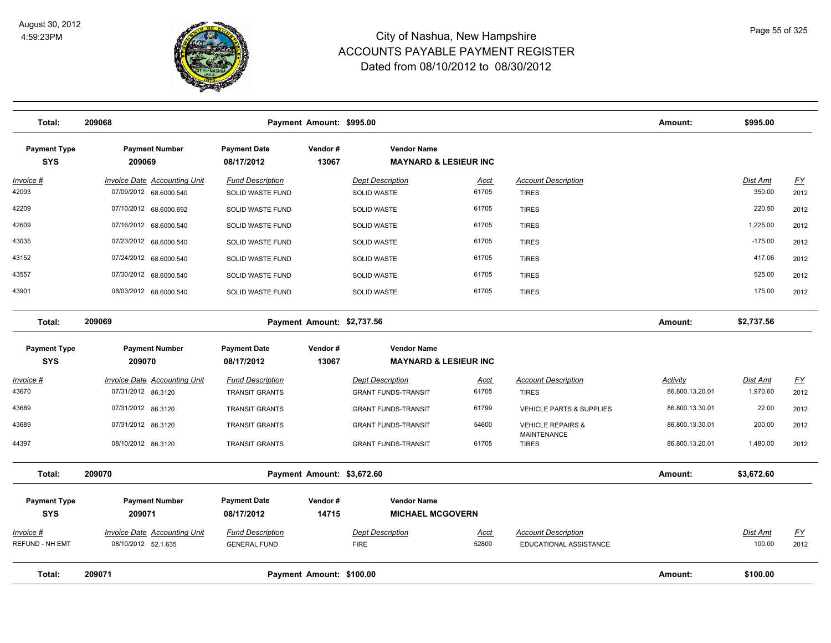

| Total:                            | 209068                                                        |                                                | Payment Amount: \$995.00   |                                                        |                      |                                                      | Amount:         | \$995.00                  |                   |
|-----------------------------------|---------------------------------------------------------------|------------------------------------------------|----------------------------|--------------------------------------------------------|----------------------|------------------------------------------------------|-----------------|---------------------------|-------------------|
| <b>Payment Type</b><br><b>SYS</b> | <b>Payment Number</b><br>209069                               | <b>Payment Date</b><br>08/17/2012              | Vendor#<br>13067           | <b>Vendor Name</b><br><b>MAYNARD &amp; LESIEUR INC</b> |                      |                                                      |                 |                           |                   |
| $Invoice$ #<br>42093              | <b>Invoice Date Accounting Unit</b><br>07/09/2012 68.6000.540 | <b>Fund Description</b><br>SOLID WASTE FUND    |                            | <b>Dept Description</b><br><b>SOLID WASTE</b>          | Acct<br>61705        | <b>Account Description</b><br><b>TIRES</b>           |                 | <b>Dist Amt</b><br>350.00 | <u>FY</u><br>2012 |
| 42209                             | 07/10/2012 68.6000.692                                        |                                                |                            |                                                        | 61705                |                                                      |                 | 220.50                    |                   |
| 42609                             |                                                               | SOLID WASTE FUND                               |                            | SOLID WASTE                                            | 61705                | <b>TIRES</b>                                         |                 | 1,225.00                  | 2012              |
|                                   | 07/16/2012 68.6000.540                                        | SOLID WASTE FUND                               |                            | <b>SOLID WASTE</b>                                     |                      | <b>TIRES</b>                                         |                 |                           | 2012              |
| 43035                             | 07/23/2012 68.6000.540                                        | SOLID WASTE FUND                               |                            | <b>SOLID WASTE</b>                                     | 61705                | <b>TIRES</b>                                         |                 | $-175.00$                 | 2012              |
| 43152                             | 07/24/2012 68.6000.540                                        | SOLID WASTE FUND                               |                            | <b>SOLID WASTE</b>                                     | 61705                | <b>TIRES</b>                                         |                 | 417.06                    | 2012              |
| 43557                             | 07/30/2012 68.6000.540                                        | SOLID WASTE FUND                               |                            | <b>SOLID WASTE</b>                                     | 61705                | <b>TIRES</b>                                         |                 | 525.00                    | 2012              |
| 43901                             | 08/03/2012 68.6000.540                                        | SOLID WASTE FUND                               |                            | <b>SOLID WASTE</b>                                     | 61705                | <b>TIRES</b>                                         |                 | 175.00                    | 2012              |
| Total:                            | 209069                                                        |                                                | Payment Amount: \$2,737.56 |                                                        |                      |                                                      | Amount:         | \$2,737.56                |                   |
| <b>Payment Type</b>               | <b>Payment Number</b>                                         | <b>Payment Date</b>                            | Vendor#                    | <b>Vendor Name</b>                                     |                      |                                                      |                 |                           |                   |
| <b>SYS</b>                        | 209070                                                        | 08/17/2012                                     | 13067                      | <b>MAYNARD &amp; LESIEUR INC</b>                       |                      |                                                      |                 |                           |                   |
| Invoice #                         | Invoice Date Accounting Unit                                  | <b>Fund Description</b>                        |                            | <b>Dept Description</b>                                | <u>Acct</u>          | <b>Account Description</b>                           | Activity        | Dist Amt                  | $\underline{FY}$  |
| 43670                             | 07/31/2012 86.3120                                            | <b>TRANSIT GRANTS</b>                          |                            | <b>GRANT FUNDS-TRANSIT</b>                             | 61705                | <b>TIRES</b>                                         | 86.800.13.20.01 | 1,970.60                  | 2012              |
| 43689                             | 07/31/2012 86.3120                                            | <b>TRANSIT GRANTS</b>                          |                            | <b>GRANT FUNDS-TRANSIT</b>                             | 61799                | <b>VEHICLE PARTS &amp; SUPPLIES</b>                  | 86.800.13.30.01 | 22.00                     | 2012              |
| 43689                             | 07/31/2012 86.3120                                            | <b>TRANSIT GRANTS</b>                          |                            | <b>GRANT FUNDS-TRANSIT</b>                             | 54600                | <b>VEHICLE REPAIRS &amp;</b>                         | 86.800.13.30.01 | 200.00                    | 2012              |
| 44397                             | 08/10/2012 86.3120                                            | <b>TRANSIT GRANTS</b>                          |                            | <b>GRANT FUNDS-TRANSIT</b>                             | 61705                | <b>MAINTENANCE</b><br><b>TIRES</b>                   | 86.800.13.20.01 | 1,480.00                  | 2012              |
| Total:                            | 209070                                                        |                                                | Payment Amount: \$3,672.60 |                                                        |                      |                                                      | Amount:         | \$3,672.60                |                   |
| <b>Payment Type</b>               | <b>Payment Number</b>                                         | <b>Payment Date</b>                            | Vendor#                    | <b>Vendor Name</b>                                     |                      |                                                      |                 |                           |                   |
| <b>SYS</b>                        | 209071                                                        | 08/17/2012                                     | 14715                      | <b>MICHAEL MCGOVERN</b>                                |                      |                                                      |                 |                           |                   |
| Invoice #<br>REFUND - NH EMT      | <b>Invoice Date Accounting Unit</b><br>08/10/2012 52.1.635    | <b>Fund Description</b><br><b>GENERAL FUND</b> |                            | <b>Dept Description</b><br><b>FIRE</b>                 | <b>Acct</b><br>52800 | <b>Account Description</b><br>EDUCATIONAL ASSISTANCE |                 | Dist Amt<br>100.00        | EY<br>2012        |
| Total:                            | 209071                                                        |                                                | Payment Amount: \$100.00   |                                                        |                      |                                                      | Amount:         | \$100.00                  |                   |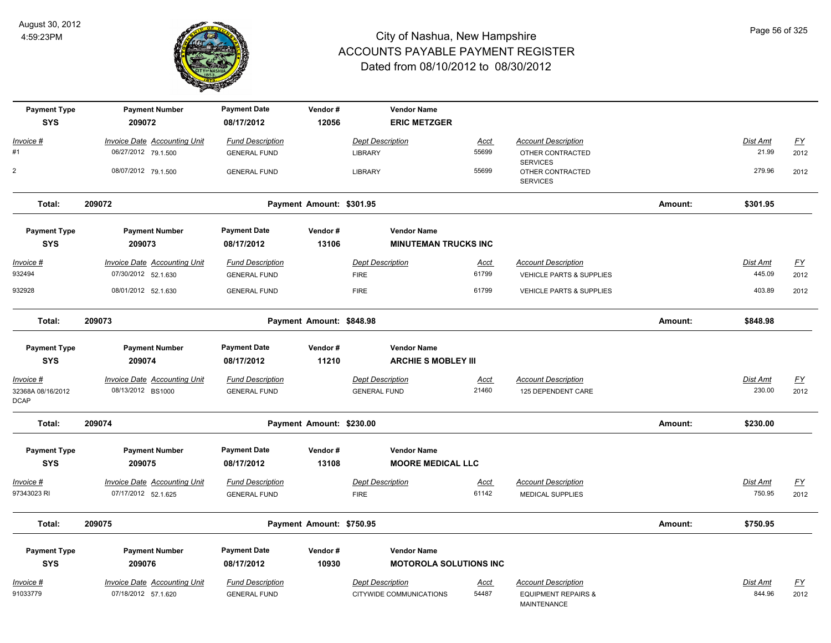

| <b>Payment Type</b><br><b>SYS</b> | <b>Payment Number</b><br>209072     | <b>Payment Date</b><br>08/17/2012 | Vendor#<br>12056         | <b>Vendor Name</b><br><b>ERIC METZGER</b> |                      |                                               |         |                   |           |
|-----------------------------------|-------------------------------------|-----------------------------------|--------------------------|-------------------------------------------|----------------------|-----------------------------------------------|---------|-------------------|-----------|
|                                   |                                     |                                   |                          |                                           |                      |                                               |         |                   |           |
| Invoice #<br>#1                   | Invoice Date Accounting Unit        | <b>Fund Description</b>           |                          | <b>Dept Description</b>                   | <b>Acct</b><br>55699 | <b>Account Description</b>                    |         | Dist Amt<br>21.99 | EY        |
|                                   | 06/27/2012 79.1.500                 | <b>GENERAL FUND</b>               |                          | <b>LIBRARY</b>                            |                      | OTHER CONTRACTED<br><b>SERVICES</b>           |         |                   | 2012      |
| $\mathbf 2$                       | 08/07/2012 79.1.500                 | <b>GENERAL FUND</b>               |                          | LIBRARY                                   | 55699                | OTHER CONTRACTED<br><b>SERVICES</b>           |         | 279.96            | 2012      |
| Total:                            | 209072                              |                                   | Payment Amount: \$301.95 |                                           |                      |                                               | Amount: | \$301.95          |           |
| <b>Payment Type</b>               | <b>Payment Number</b>               | <b>Payment Date</b>               | Vendor#                  | <b>Vendor Name</b>                        |                      |                                               |         |                   |           |
| <b>SYS</b>                        | 209073                              | 08/17/2012                        | 13106                    | <b>MINUTEMAN TRUCKS INC</b>               |                      |                                               |         |                   |           |
| <u>Invoice #</u>                  | <b>Invoice Date Accounting Unit</b> | <b>Fund Description</b>           |                          | <b>Dept Description</b>                   | <u>Acct</u>          | <b>Account Description</b>                    |         | <b>Dist Amt</b>   | EY        |
| 932494                            | 07/30/2012 52.1.630                 | <b>GENERAL FUND</b>               |                          | <b>FIRE</b>                               | 61799                | <b>VEHICLE PARTS &amp; SUPPLIES</b>           |         | 445.09            | 2012      |
| 932928                            | 08/01/2012 52.1.630                 | <b>GENERAL FUND</b>               |                          | <b>FIRE</b>                               | 61799                | VEHICLE PARTS & SUPPLIES                      |         | 403.89            | 2012      |
| Total:                            | 209073                              |                                   | Payment Amount: \$848.98 |                                           |                      |                                               | Amount: | \$848.98          |           |
| <b>Payment Type</b>               | <b>Payment Number</b>               | <b>Payment Date</b>               | Vendor#                  | <b>Vendor Name</b>                        |                      |                                               |         |                   |           |
| <b>SYS</b>                        | 209074                              | 08/17/2012                        | 11210                    | <b>ARCHIE S MOBLEY III</b>                |                      |                                               |         |                   |           |
| Invoice #                         | Invoice Date Accounting Unit        | <b>Fund Description</b>           |                          | <b>Dept Description</b>                   | <u>Acct</u>          | <b>Account Description</b>                    |         | Dist Amt          | <u>FY</u> |
| 32368A 08/16/2012<br><b>DCAP</b>  | 08/13/2012 BS1000                   | <b>GENERAL FUND</b>               |                          | <b>GENERAL FUND</b>                       | 21460                | 125 DEPENDENT CARE                            |         | 230.00            | 2012      |
| Total:                            | 209074                              |                                   | Payment Amount: \$230.00 |                                           |                      |                                               | Amount: | \$230.00          |           |
| <b>Payment Type</b>               | <b>Payment Number</b>               | <b>Payment Date</b>               | Vendor#                  | <b>Vendor Name</b>                        |                      |                                               |         |                   |           |
| <b>SYS</b>                        | 209075                              | 08/17/2012                        | 13108                    | <b>MOORE MEDICAL LLC</b>                  |                      |                                               |         |                   |           |
| Invoice #                         | <b>Invoice Date Accounting Unit</b> | <b>Fund Description</b>           |                          | <b>Dept Description</b>                   | <b>Acct</b>          | <b>Account Description</b>                    |         | Dist Amt          | <u>FY</u> |
| 97343023 RI                       | 07/17/2012 52.1.625                 | <b>GENERAL FUND</b>               |                          | <b>FIRE</b>                               | 61142                | <b>MEDICAL SUPPLIES</b>                       |         | 750.95            | 2012      |
| Total:                            | 209075                              |                                   | Payment Amount: \$750.95 |                                           |                      |                                               | Amount: | \$750.95          |           |
| <b>Payment Type</b>               | <b>Payment Number</b>               | <b>Payment Date</b>               | Vendor#                  | <b>Vendor Name</b>                        |                      |                                               |         |                   |           |
| <b>SYS</b>                        | 209076                              | 08/17/2012                        | 10930                    | <b>MOTOROLA SOLUTIONS INC</b>             |                      |                                               |         |                   |           |
| <u>Invoice #</u>                  | <b>Invoice Date Accounting Unit</b> | <b>Fund Description</b>           |                          | <b>Dept Description</b>                   | <u>Acct</u>          | <b>Account Description</b>                    |         | Dist Amt          | <u>FY</u> |
| 91033779                          | 07/18/2012 57.1.620                 | <b>GENERAL FUND</b>               |                          | CITYWIDE COMMUNICATIONS                   | 54487                | <b>EQUIPMENT REPAIRS &amp;</b><br>MAINTENANCE |         | 844.96            | 2012      |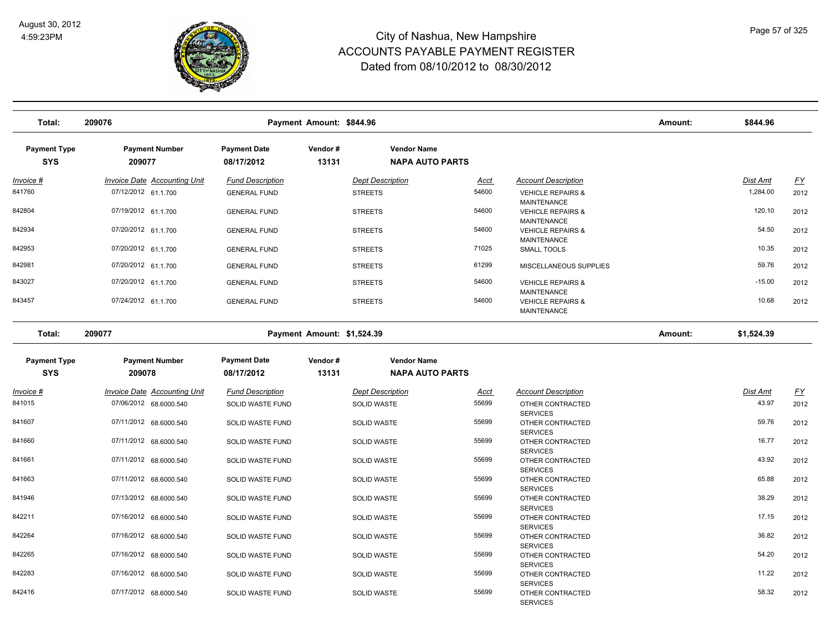

| Total:                            | 209076                              |                                   | Payment Amount: \$844.96   |                         |                        |                                                        | Amount: | \$844.96        |           |
|-----------------------------------|-------------------------------------|-----------------------------------|----------------------------|-------------------------|------------------------|--------------------------------------------------------|---------|-----------------|-----------|
| <b>Payment Type</b><br><b>SYS</b> | <b>Payment Number</b><br>209077     | <b>Payment Date</b><br>08/17/2012 | Vendor#<br>13131           | <b>Vendor Name</b>      | <b>NAPA AUTO PARTS</b> |                                                        |         |                 |           |
| <u>Invoice #</u>                  | <b>Invoice Date Accounting Unit</b> | <b>Fund Description</b>           |                            | <b>Dept Description</b> | <u>Acct</u>            | <b>Account Description</b>                             |         | <u>Dist Amt</u> | <u>FY</u> |
| 841760                            | 07/12/2012 61.1.700                 | <b>GENERAL FUND</b>               |                            | <b>STREETS</b>          | 54600                  | <b>VEHICLE REPAIRS &amp;</b><br><b>MAINTENANCE</b>     |         | 1,284.00        | 2012      |
| 842804                            | 07/19/2012 61.1.700                 | <b>GENERAL FUND</b>               |                            | <b>STREETS</b>          | 54600                  | <b>VEHICLE REPAIRS &amp;</b><br><b>MAINTENANCE</b>     |         | 120.10          | 2012      |
| 842934                            | 07/20/2012 61.1.700                 | <b>GENERAL FUND</b>               |                            | <b>STREETS</b>          | 54600                  | <b>VEHICLE REPAIRS &amp;</b><br><b>MAINTENANCE</b>     |         | 54.50           | 2012      |
| 842953                            | 07/20/2012 61.1.700                 | <b>GENERAL FUND</b>               |                            | <b>STREETS</b>          | 71025                  | SMALL TOOLS                                            |         | 10.35           | 2012      |
| 842981                            | 07/20/2012 61.1.700                 | <b>GENERAL FUND</b>               |                            | <b>STREETS</b>          | 61299                  | MISCELLANEOUS SUPPLIES                                 |         | 59.76           | 2012      |
| 843027                            | 07/20/2012 61.1.700                 | <b>GENERAL FUND</b>               |                            | <b>STREETS</b>          | 54600                  | <b>VEHICLE REPAIRS &amp;</b><br><b>MAINTENANCE</b>     |         | $-15.00$        | 2012      |
| 843457                            | 07/24/2012 61.1.700                 | <b>GENERAL FUND</b>               |                            | <b>STREETS</b>          | 54600                  | <b>VEHICLE REPAIRS &amp;</b><br><b>MAINTENANCE</b>     |         | 10.68           | 2012      |
| Total:                            | 209077                              |                                   | Payment Amount: \$1,524.39 |                         |                        |                                                        | Amount: | \$1,524.39      |           |
| <b>Payment Type</b>               | <b>Payment Number</b>               | <b>Payment Date</b>               | Vendor#                    | <b>Vendor Name</b>      |                        |                                                        |         |                 |           |
| <b>SYS</b>                        | 209078                              | 08/17/2012                        | 13131                      |                         | <b>NAPA AUTO PARTS</b> |                                                        |         |                 |           |
| Invoice #                         | Invoice Date Accounting Unit        | <b>Fund Description</b>           |                            | <b>Dept Description</b> | Acct                   | <b>Account Description</b>                             |         | Dist Amt        | <u>FY</u> |
| 841015                            | 07/06/2012 68.6000.540              | <b>SOLID WASTE FUND</b>           |                            | SOLID WASTE             | 55699                  | OTHER CONTRACTED                                       |         | 43.97           | 2012      |
| 841607                            | 07/11/2012 68.6000.540              | SOLID WASTE FUND                  |                            | <b>SOLID WASTE</b>      | 55699                  | <b>SERVICES</b><br>OTHER CONTRACTED<br><b>SERVICES</b> |         | 59.76           | 2012      |
| 841660                            | 07/11/2012 68.6000.540              | SOLID WASTE FUND                  |                            | <b>SOLID WASTE</b>      | 55699                  | OTHER CONTRACTED<br><b>SERVICES</b>                    |         | 16.77           | 2012      |
| 841661                            | 07/11/2012 68.6000.540              | SOLID WASTE FUND                  |                            | <b>SOLID WASTE</b>      | 55699                  | OTHER CONTRACTED<br><b>SERVICES</b>                    |         | 43.92           | 2012      |
| 841663                            | 07/11/2012 68.6000.540              | SOLID WASTE FUND                  |                            | <b>SOLID WASTE</b>      | 55699                  | OTHER CONTRACTED<br><b>SERVICES</b>                    |         | 65.88           | 2012      |
| 841946                            | 07/13/2012 68.6000.540              | SOLID WASTE FUND                  |                            | <b>SOLID WASTE</b>      | 55699                  | OTHER CONTRACTED<br><b>SERVICES</b>                    |         | 38.29           | 2012      |
| 842211                            | 07/16/2012 68.6000.540              | SOLID WASTE FUND                  |                            | <b>SOLID WASTE</b>      | 55699                  | OTHER CONTRACTED<br><b>SERVICES</b>                    |         | 17.15           | 2012      |
| 842264                            | 07/16/2012 68.6000.540              | SOLID WASTE FUND                  |                            | <b>SOLID WASTE</b>      | 55699                  | OTHER CONTRACTED<br><b>SERVICES</b>                    |         | 36.82           | 2012      |
| 842265                            | 07/16/2012 68.6000.540              | SOLID WASTE FUND                  |                            | <b>SOLID WASTE</b>      | 55699                  | OTHER CONTRACTED<br><b>SERVICES</b>                    |         | 54.20           | 2012      |
| 842283                            | 07/16/2012 68.6000.540              | SOLID WASTE FUND                  |                            | SOLID WASTE             | 55699                  | OTHER CONTRACTED<br><b>SERVICES</b>                    |         | 11.22           | 2012      |
| 842416                            | 07/17/2012 68.6000.540              | <b>SOLID WASTE FUND</b>           |                            | <b>SOLID WASTE</b>      | 55699                  | OTHER CONTRACTED<br><b>SERVICES</b>                    |         | 58.32           | 2012      |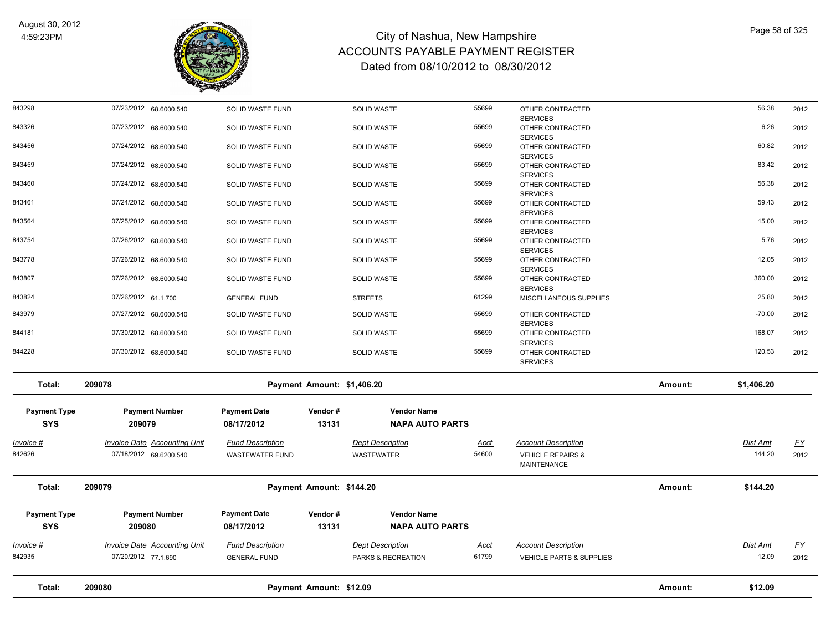

| Total:                            | 209080                                                        |                                                   | Payment Amount: \$12.09    |                                               |                      |                                                                           | Amount: | \$12.09                   |                   |
|-----------------------------------|---------------------------------------------------------------|---------------------------------------------------|----------------------------|-----------------------------------------------|----------------------|---------------------------------------------------------------------------|---------|---------------------------|-------------------|
| <u> Invoice #</u><br>842935       | Invoice Date Accounting Unit<br>07/20/2012 77.1.690           | <b>Fund Description</b><br><b>GENERAL FUND</b>    |                            | <b>Dept Description</b><br>PARKS & RECREATION | <u>Acct</u><br>61799 | <b>Account Description</b><br>VEHICLE PARTS & SUPPLIES                    |         | <b>Dist Amt</b><br>12.09  | <u>FY</u><br>2012 |
| <b>Payment Type</b><br><b>SYS</b> | <b>Payment Number</b><br>209080                               | <b>Payment Date</b><br>08/17/2012                 | Vendor#<br>13131           | <b>Vendor Name</b><br><b>NAPA AUTO PARTS</b>  |                      |                                                                           |         |                           |                   |
| Total:                            | 209079                                                        |                                                   | Payment Amount: \$144.20   |                                               |                      |                                                                           | Amount: | \$144.20                  |                   |
| <u> Invoice #</u><br>842626       | <b>Invoice Date Accounting Unit</b><br>07/18/2012 69.6200.540 | <b>Fund Description</b><br><b>WASTEWATER FUND</b> |                            | <b>Dept Description</b><br>WASTEWATER         | <u>Acct</u><br>54600 | <b>Account Description</b><br><b>VEHICLE REPAIRS &amp;</b><br>MAINTENANCE |         | <b>Dist Amt</b><br>144.20 | <u>FY</u><br>2012 |
| <b>Payment Type</b><br><b>SYS</b> | <b>Payment Number</b><br>209079                               | <b>Payment Date</b><br>08/17/2012                 | Vendor#<br>13131           | <b>Vendor Name</b><br><b>NAPA AUTO PARTS</b>  |                      |                                                                           |         |                           |                   |
| Total:                            | 209078                                                        |                                                   | Payment Amount: \$1,406.20 |                                               |                      |                                                                           | Amount: | \$1,406.20                |                   |
| 844228                            | 07/30/2012 68.6000.540                                        | SOLID WASTE FUND                                  |                            | <b>SOLID WASTE</b>                            | 55699                | OTHER CONTRACTED<br><b>SERVICES</b>                                       |         | 120.53                    | 2012              |
| 844181                            | 07/30/2012 68.6000.540                                        | SOLID WASTE FUND                                  |                            | <b>SOLID WASTE</b>                            | 55699                | OTHER CONTRACTED<br><b>SERVICES</b>                                       |         | 168.07                    | 2012              |
| 843979                            | 07/27/2012 68.6000.540                                        | SOLID WASTE FUND                                  |                            | <b>SOLID WASTE</b>                            | 55699                | OTHER CONTRACTED<br><b>SERVICES</b>                                       |         | $-70.00$                  | 2012              |
| 843824                            | 07/26/2012 61.1.700                                           | <b>GENERAL FUND</b>                               |                            | <b>STREETS</b>                                | 61299                | <b>SERVICES</b><br>MISCELLANEOUS SUPPLIES                                 |         | 25.80                     | 2012              |
| 843807                            | 07/26/2012 68.6000.540                                        | SOLID WASTE FUND                                  |                            | <b>SOLID WASTE</b>                            | 55699                | <b>SERVICES</b><br>OTHER CONTRACTED                                       |         | 360.00                    | 2012              |
| 843778                            | 07/26/2012 68.6000.540                                        | SOLID WASTE FUND                                  |                            | SOLID WASTE                                   | 55699                | <b>SERVICES</b><br>OTHER CONTRACTED                                       |         | 12.05                     | 2012              |
| 843754                            | 07/26/2012 68.6000.540                                        | SOLID WASTE FUND                                  |                            | <b>SOLID WASTE</b>                            | 55699                | <b>SERVICES</b><br>OTHER CONTRACTED                                       |         | 5.76                      | 2012              |
| 843461<br>843564                  | 07/24/2012 68.6000.540<br>07/25/2012 68.6000.540              | SOLID WASTE FUND<br>SOLID WASTE FUND              |                            | SOLID WASTE<br><b>SOLID WASTE</b>             | 55699<br>55699       | OTHER CONTRACTED<br><b>SERVICES</b><br>OTHER CONTRACTED                   |         | 59.43<br>15.00            | 2012<br>2012      |
| 843460                            | 07/24/2012 68.6000.540                                        | SOLID WASTE FUND                                  |                            | <b>SOLID WASTE</b>                            | 55699                | OTHER CONTRACTED<br><b>SERVICES</b>                                       |         | 56.38                     | 2012              |
| 843459                            | 07/24/2012 68.6000.540                                        | SOLID WASTE FUND                                  |                            | <b>SOLID WASTE</b>                            | 55699                | OTHER CONTRACTED<br><b>SERVICES</b>                                       |         | 83.42                     | 2012              |
| 843456                            | 07/24/2012 68.6000.540                                        | SOLID WASTE FUND                                  |                            | <b>SOLID WASTE</b>                            | 55699                | OTHER CONTRACTED<br><b>SERVICES</b>                                       |         | 60.82                     | 2012              |
| 843326                            | 07/23/2012 68.6000.540                                        | SOLID WASTE FUND                                  |                            | <b>SOLID WASTE</b>                            | 55699                | OTHER CONTRACTED<br><b>SERVICES</b>                                       |         | 6.26                      | 2012              |
| 843298                            | 07/23/2012 68.6000.540                                        | SOLID WASTE FUND                                  |                            | SOLID WASTE                                   | 55699                | OTHER CONTRACTED<br><b>SERVICES</b>                                       |         | 56.38                     | 2012              |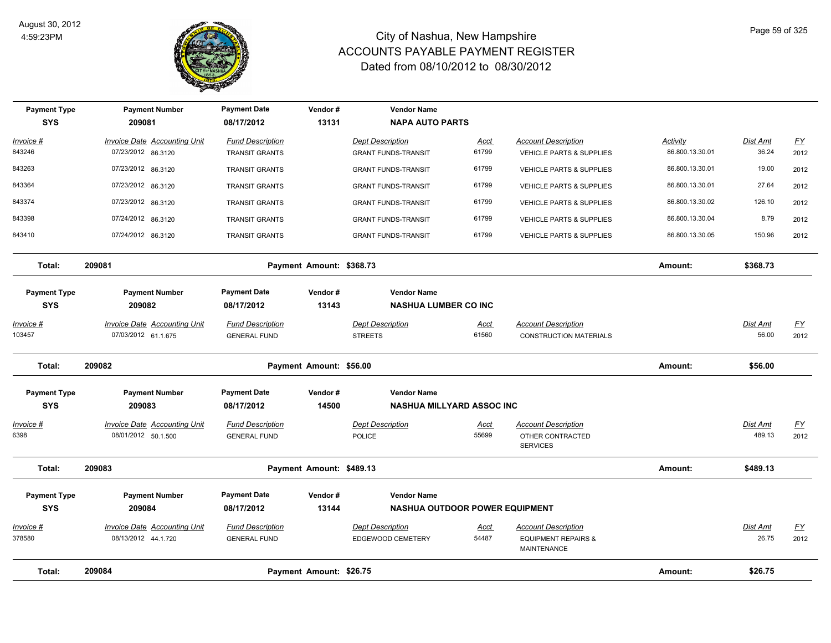

| <b>Payment Type</b><br><b>SYS</b> | <b>Payment Number</b><br>209081                            | <b>Payment Date</b><br>08/17/2012              | Vendor#<br>13131         | <b>Vendor Name</b><br><b>NAPA AUTO PARTS</b>           |                      |                                                                                    |                 |                    |                                   |
|-----------------------------------|------------------------------------------------------------|------------------------------------------------|--------------------------|--------------------------------------------------------|----------------------|------------------------------------------------------------------------------------|-----------------|--------------------|-----------------------------------|
| Invoice #                         | Invoice Date Accounting Unit                               | <b>Fund Description</b>                        |                          | Dept Description                                       | Acct                 | <b>Account Description</b>                                                         | Activity        | Dist Amt           | EY                                |
| 843246                            | 07/23/2012 86.3120                                         | <b>TRANSIT GRANTS</b>                          |                          | <b>GRANT FUNDS-TRANSIT</b>                             | 61799                | VEHICLE PARTS & SUPPLIES                                                           | 86.800.13.30.01 | 36.24              | 2012                              |
| 843263                            | 07/23/2012 86.3120                                         | <b>TRANSIT GRANTS</b>                          |                          | <b>GRANT FUNDS-TRANSIT</b>                             | 61799                | <b>VEHICLE PARTS &amp; SUPPLIES</b>                                                | 86.800.13.30.01 | 19.00              | 2012                              |
| 843364                            | 07/23/2012 86.3120                                         | <b>TRANSIT GRANTS</b>                          |                          | <b>GRANT FUNDS-TRANSIT</b>                             | 61799                | VEHICLE PARTS & SUPPLIES                                                           | 86.800.13.30.01 | 27.64              | 2012                              |
| 843374                            | 07/23/2012 86.3120                                         | <b>TRANSIT GRANTS</b>                          |                          | <b>GRANT FUNDS-TRANSIT</b>                             | 61799                | VEHICLE PARTS & SUPPLIES                                                           | 86.800.13.30.02 | 126.10             | 2012                              |
| 843398                            | 07/24/2012 86.3120                                         | <b>TRANSIT GRANTS</b>                          |                          | <b>GRANT FUNDS-TRANSIT</b>                             | 61799                | <b>VEHICLE PARTS &amp; SUPPLIES</b>                                                | 86.800.13.30.04 | 8.79               | 2012                              |
| 843410                            | 07/24/2012 86.3120                                         | <b>TRANSIT GRANTS</b>                          |                          | <b>GRANT FUNDS-TRANSIT</b>                             | 61799                | <b>VEHICLE PARTS &amp; SUPPLIES</b>                                                | 86.800.13.30.05 | 150.96             | 2012                              |
| Total:                            | 209081                                                     |                                                | Payment Amount: \$368.73 |                                                        |                      |                                                                                    | Amount:         | \$368.73           |                                   |
| <b>Payment Type</b><br><b>SYS</b> | <b>Payment Number</b><br>209082                            | <b>Payment Date</b><br>08/17/2012              | Vendor#<br>13143         | <b>Vendor Name</b><br><b>NASHUA LUMBER CO INC</b>      |                      |                                                                                    |                 |                    |                                   |
| <u> Invoice #</u><br>103457       | <b>Invoice Date Accounting Unit</b><br>07/03/2012 61.1.675 | <b>Fund Description</b><br><b>GENERAL FUND</b> |                          | <b>Dept Description</b><br><b>STREETS</b>              | Acct<br>61560        | <b>Account Description</b><br><b>CONSTRUCTION MATERIALS</b>                        |                 | Dist Amt<br>56.00  | <u>FY</u><br>2012                 |
| Total:                            | 209082                                                     |                                                | Payment Amount: \$56.00  |                                                        |                      |                                                                                    | Amount:         | \$56.00            |                                   |
| <b>Payment Type</b><br><b>SYS</b> | <b>Payment Number</b><br>209083                            | <b>Payment Date</b><br>08/17/2012              | Vendor#<br>14500         | <b>Vendor Name</b><br><b>NASHUA MILLYARD ASSOC INC</b> |                      |                                                                                    |                 |                    |                                   |
| <u>Invoice</u> #<br>6398          | <b>Invoice Date Accounting Unit</b><br>08/01/2012 50.1.500 | <b>Fund Description</b><br><b>GENERAL FUND</b> |                          | <b>Dept Description</b><br>POLICE                      | Acct<br>55699        | <b>Account Description</b><br>OTHER CONTRACTED<br><b>SERVICES</b>                  |                 | Dist Amt<br>489.13 | $\underline{\mathsf{FY}}$<br>2012 |
| Total:                            | 209083                                                     |                                                | Payment Amount: \$489.13 |                                                        |                      |                                                                                    | Amount:         | \$489.13           |                                   |
| <b>Payment Type</b>               | <b>Payment Number</b>                                      | <b>Payment Date</b>                            | Vendor#                  | <b>Vendor Name</b>                                     |                      |                                                                                    |                 |                    |                                   |
| <b>SYS</b>                        | 209084                                                     | 08/17/2012                                     | 13144                    | <b>NASHUA OUTDOOR POWER EQUIPMENT</b>                  |                      |                                                                                    |                 |                    |                                   |
| Invoice #<br>378580               | <b>Invoice Date Accounting Unit</b><br>08/13/2012 44.1.720 | <b>Fund Description</b><br><b>GENERAL FUND</b> |                          | <b>Dept Description</b><br>EDGEWOOD CEMETERY           | <u>Acct</u><br>54487 | <b>Account Description</b><br><b>EQUIPMENT REPAIRS &amp;</b><br><b>MAINTENANCE</b> |                 | Dist Amt<br>26.75  | <u>FY</u><br>2012                 |
| Total:                            | 209084                                                     |                                                | Payment Amount: \$26.75  |                                                        |                      |                                                                                    | Amount:         | \$26.75            |                                   |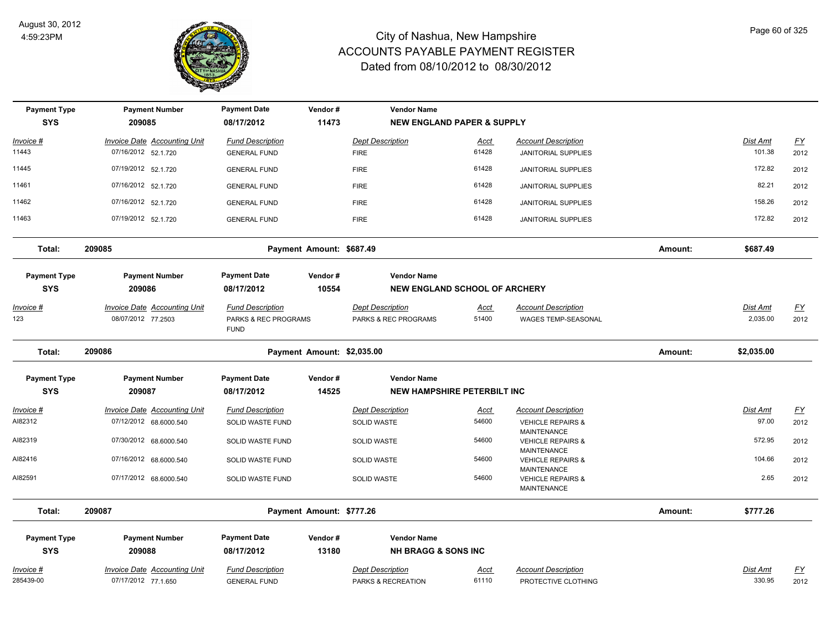

| <b>Payment Type</b><br><b>SYS</b> | <b>Payment Number</b><br>209085                            | <b>Payment Date</b><br>08/17/2012                              | Vendor#<br>11473           | <b>Vendor Name</b><br><b>NEW ENGLAND PAPER &amp; SUPPLY</b> |                      |                                                                          |         |                      |                          |
|-----------------------------------|------------------------------------------------------------|----------------------------------------------------------------|----------------------------|-------------------------------------------------------------|----------------------|--------------------------------------------------------------------------|---------|----------------------|--------------------------|
| Invoice #                         | <b>Invoice Date Accounting Unit</b>                        | <b>Fund Description</b>                                        |                            | <b>Dept Description</b>                                     | Acct                 | <b>Account Description</b>                                               |         | Dist Amt             | $FY$                     |
| 11443                             | 07/16/2012 52.1.720                                        | <b>GENERAL FUND</b>                                            |                            | <b>FIRE</b>                                                 | 61428                | <b>JANITORIAL SUPPLIES</b>                                               |         | 101.38               | 2012                     |
| 11445                             | 07/19/2012 52.1.720                                        | <b>GENERAL FUND</b>                                            |                            | <b>FIRE</b>                                                 | 61428                | <b>JANITORIAL SUPPLIES</b>                                               |         | 172.82               | 2012                     |
| 11461                             | 07/16/2012 52.1.720                                        | <b>GENERAL FUND</b>                                            |                            | <b>FIRE</b>                                                 | 61428                | <b>JANITORIAL SUPPLIES</b>                                               |         | 82.21                | 2012                     |
| 11462                             | 07/16/2012 52.1.720                                        | <b>GENERAL FUND</b>                                            |                            | <b>FIRE</b>                                                 | 61428                | <b>JANITORIAL SUPPLIES</b>                                               |         | 158.26               | 2012                     |
| 11463                             | 07/19/2012 52.1.720                                        | <b>GENERAL FUND</b>                                            |                            | <b>FIRE</b>                                                 | 61428                | <b>JANITORIAL SUPPLIES</b>                                               |         | 172.82               | 2012                     |
| Total:                            | 209085                                                     |                                                                | Payment Amount: \$687.49   |                                                             |                      |                                                                          | Amount: | \$687.49             |                          |
| <b>Payment Type</b><br><b>SYS</b> | <b>Payment Number</b><br>209086                            | <b>Payment Date</b><br>08/17/2012                              | Vendor#<br>10554           | <b>Vendor Name</b><br><b>NEW ENGLAND SCHOOL OF ARCHERY</b>  |                      |                                                                          |         |                      |                          |
| <u> Invoice #</u><br>123          | <b>Invoice Date Accounting Unit</b><br>08/07/2012 77.2503  | <b>Fund Description</b><br>PARKS & REC PROGRAMS<br><b>FUND</b> |                            | <b>Dept Description</b><br>PARKS & REC PROGRAMS             | <b>Acct</b><br>51400 | <b>Account Description</b><br>WAGES TEMP-SEASONAL                        |         | Dist Amt<br>2,035.00 | <u>FY</u><br>2012        |
| Total:                            | 209086                                                     |                                                                | Payment Amount: \$2,035.00 |                                                             |                      |                                                                          | Amount: | \$2,035.00           |                          |
| <b>Payment Type</b>               | <b>Payment Number</b>                                      | <b>Payment Date</b>                                            | Vendor#                    | <b>Vendor Name</b>                                          |                      |                                                                          |         |                      |                          |
| <b>SYS</b>                        | 209087                                                     | 08/17/2012                                                     | 14525                      | <b>NEW HAMPSHIRE PETERBILT INC</b>                          |                      |                                                                          |         |                      |                          |
| Invoice #                         | <b>Invoice Date Accounting Unit</b>                        | <b>Fund Description</b>                                        |                            | <b>Dept Description</b>                                     | <u>Acct</u>          | <b>Account Description</b>                                               |         | Dist Amt             | <u>FY</u>                |
| AI82312                           | 07/12/2012 68.6000.540                                     | SOLID WASTE FUND                                               |                            | SOLID WASTE                                                 | 54600                | <b>VEHICLE REPAIRS &amp;</b>                                             |         | 97.00                | 2012                     |
| AI82319                           | 07/30/2012 68.6000.540                                     | SOLID WASTE FUND                                               |                            | SOLID WASTE                                                 | 54600                | <b>MAINTENANCE</b><br><b>VEHICLE REPAIRS &amp;</b><br><b>MAINTENANCE</b> |         | 572.95               | 2012                     |
| AI82416                           | 07/16/2012 68.6000.540                                     | SOLID WASTE FUND                                               |                            | <b>SOLID WASTE</b>                                          | 54600                | <b>VEHICLE REPAIRS &amp;</b><br><b>MAINTENANCE</b>                       |         | 104.66               | 2012                     |
| AI82591                           | 07/17/2012 68.6000.540                                     | SOLID WASTE FUND                                               |                            | <b>SOLID WASTE</b>                                          | 54600                | <b>VEHICLE REPAIRS &amp;</b><br><b>MAINTENANCE</b>                       |         | 2.65                 | 2012                     |
| Total:                            | 209087                                                     |                                                                | Payment Amount: \$777.26   |                                                             |                      |                                                                          | Amount: | \$777.26             |                          |
| <b>Payment Type</b>               | <b>Payment Number</b>                                      | <b>Payment Date</b>                                            | Vendor#                    | <b>Vendor Name</b>                                          |                      |                                                                          |         |                      |                          |
| <b>SYS</b>                        | 209088                                                     | 08/17/2012                                                     | 13180                      | <b>NH BRAGG &amp; SONS INC</b>                              |                      |                                                                          |         |                      |                          |
| Invoice #<br>285439-00            | <b>Invoice Date Accounting Unit</b><br>07/17/2012 77.1.650 | <b>Fund Description</b><br><b>GENERAL FUND</b>                 |                            | <b>Dept Description</b><br>PARKS & RECREATION               | <u>Acct</u><br>61110 | <b>Account Description</b><br>PROTECTIVE CLOTHING                        |         | Dist Amt<br>330.95   | $\underline{FY}$<br>2012 |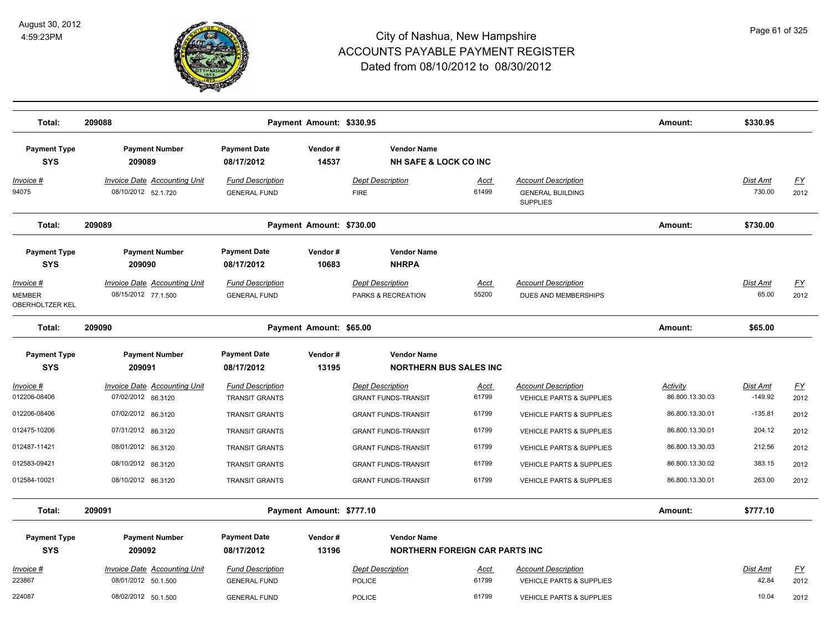

| Total:                                        | 209088                                                     |                                                  | Payment Amount: \$330.95 |                                                             |                      |                                                                          | Amount:                     | \$330.95              |                   |
|-----------------------------------------------|------------------------------------------------------------|--------------------------------------------------|--------------------------|-------------------------------------------------------------|----------------------|--------------------------------------------------------------------------|-----------------------------|-----------------------|-------------------|
| <b>Payment Type</b><br><b>SYS</b>             | <b>Payment Number</b><br>209089                            | <b>Payment Date</b><br>08/17/2012                | Vendor#<br>14537         | <b>Vendor Name</b><br><b>NH SAFE &amp; LOCK CO INC</b>      |                      |                                                                          |                             |                       |                   |
| Invoice #<br>94075                            | <b>Invoice Date Accounting Unit</b><br>08/10/2012 52.1.720 | <b>Fund Description</b><br><b>GENERAL FUND</b>   |                          | <b>Dept Description</b><br><b>FIRE</b>                      | <u>Acct</u><br>61499 | <b>Account Description</b><br><b>GENERAL BUILDING</b><br><b>SUPPLIES</b> |                             | Dist Amt<br>730.00    | <u>FY</u><br>2012 |
| Total:                                        | 209089                                                     |                                                  | Payment Amount: \$730.00 |                                                             |                      |                                                                          | Amount:                     | \$730.00              |                   |
| <b>Payment Type</b><br><b>SYS</b>             | <b>Payment Number</b><br>209090                            | <b>Payment Date</b><br>08/17/2012                | Vendor#<br>10683         | <b>Vendor Name</b><br><b>NHRPA</b>                          |                      |                                                                          |                             |                       |                   |
| Invoice #<br>MEMBER<br><b>OBERHOLTZER KEL</b> | <b>Invoice Date Accounting Unit</b><br>08/15/2012 77.1.500 | <b>Fund Description</b><br><b>GENERAL FUND</b>   |                          | <b>Dept Description</b><br>PARKS & RECREATION               | Acct<br>55200        | <b>Account Description</b><br>DUES AND MEMBERSHIPS                       |                             | Dist Amt<br>65.00     | <u>FY</u><br>2012 |
| Total:                                        | 209090                                                     |                                                  | Payment Amount: \$65.00  |                                                             |                      |                                                                          | Amount:                     | \$65.00               |                   |
| <b>Payment Type</b><br><b>SYS</b>             | <b>Payment Number</b><br>209091                            | <b>Payment Date</b><br>08/17/2012                | Vendor#<br>13195         | <b>Vendor Name</b><br><b>NORTHERN BUS SALES INC</b>         |                      |                                                                          |                             |                       |                   |
| Invoice #<br>012206-08406                     | <b>Invoice Date Accounting Unit</b><br>07/02/2012 86.3120  | <b>Fund Description</b><br><b>TRANSIT GRANTS</b> |                          | <b>Dept Description</b><br><b>GRANT FUNDS-TRANSIT</b>       | <u>Acct</u><br>61799 | <b>Account Description</b><br>VEHICLE PARTS & SUPPLIES                   | Activity<br>86.800.13.30.03 | Dist Amt<br>$-149.92$ | EY<br>2012        |
| 012206-08406                                  | 07/02/2012 86.3120                                         | TRANSIT GRANTS                                   |                          | <b>GRANT FUNDS-TRANSIT</b>                                  | 61799                | VEHICLE PARTS & SUPPLIES                                                 | 86.800.13.30.01             | $-135.81$             | 2012              |
| 012475-10206                                  | 07/31/2012 86.3120                                         | <b>TRANSIT GRANTS</b>                            |                          | <b>GRANT FUNDS-TRANSIT</b>                                  | 61799                | VEHICLE PARTS & SUPPLIES                                                 | 86.800.13.30.01             | 204.12                | 2012              |
| 012487-11421                                  | 08/01/2012 86.3120                                         | <b>TRANSIT GRANTS</b>                            |                          | <b>GRANT FUNDS-TRANSIT</b>                                  | 61799                | VEHICLE PARTS & SUPPLIES                                                 | 86.800.13.30.03             | 212.56                | 2012              |
| 012583-09421                                  | 08/10/2012 86.3120                                         | <b>TRANSIT GRANTS</b>                            |                          | <b>GRANT FUNDS-TRANSIT</b>                                  | 61799                | <b>VEHICLE PARTS &amp; SUPPLIES</b>                                      | 86.800.13.30.02             | 383.15                | 2012              |
| 012584-10021                                  | 08/10/2012 86.3120                                         | TRANSIT GRANTS                                   |                          | <b>GRANT FUNDS-TRANSIT</b>                                  | 61799                | VEHICLE PARTS & SUPPLIES                                                 | 86.800.13.30.01             | 263.00                | 2012              |
| Total:                                        | 209091                                                     |                                                  | Payment Amount: \$777.10 |                                                             |                      |                                                                          | Amount:                     | \$777.10              |                   |
| <b>Payment Type</b><br><b>SYS</b>             | <b>Payment Number</b><br>209092                            | <b>Payment Date</b><br>08/17/2012                | Vendor#<br>13196         | <b>Vendor Name</b><br><b>NORTHERN FOREIGN CAR PARTS INC</b> |                      |                                                                          |                             |                       |                   |
| Invoice #<br>223867                           | <b>Invoice Date Accounting Unit</b><br>08/01/2012 50.1.500 | <b>Fund Description</b><br><b>GENERAL FUND</b>   |                          | <b>Dept Description</b><br><b>POLICE</b>                    | <u>Acct</u><br>61799 | <b>Account Description</b><br><b>VEHICLE PARTS &amp; SUPPLIES</b>        |                             | Dist Amt<br>42.84     | <u>FY</u><br>2012 |
| 224087                                        | 08/02/2012 50.1.500                                        | <b>GENERAL FUND</b>                              |                          | <b>POLICE</b>                                               | 61799                | VEHICLE PARTS & SUPPLIES                                                 |                             | 10.04                 | 2012              |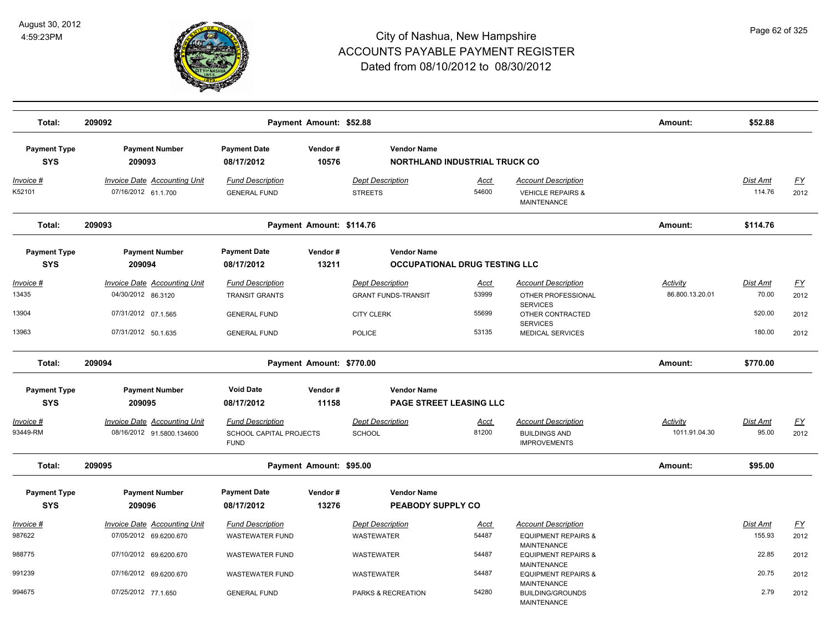

| Total:                                         | 209092                                                                                                  |                                                                                                | Payment Amount: \$52.88  |                                                                                      |                                      |                                                                                                                                       | Amount:                     | \$52.88                               |                                   |
|------------------------------------------------|---------------------------------------------------------------------------------------------------------|------------------------------------------------------------------------------------------------|--------------------------|--------------------------------------------------------------------------------------|--------------------------------------|---------------------------------------------------------------------------------------------------------------------------------------|-----------------------------|---------------------------------------|-----------------------------------|
| <b>Payment Type</b><br><b>SYS</b>              | <b>Payment Number</b><br>209093                                                                         | <b>Payment Date</b><br>08/17/2012                                                              | Vendor#<br>10576         | <b>Vendor Name</b>                                                                   | <b>NORTHLAND INDUSTRIAL TRUCK CO</b> |                                                                                                                                       |                             |                                       |                                   |
| Invoice #<br>K52101                            | <b>Invoice Date Accounting Unit</b><br>07/16/2012 61.1.700                                              | <b>Fund Description</b><br><b>GENERAL FUND</b>                                                 |                          | <b>Dept Description</b><br><b>STREETS</b>                                            | Acct<br>54600                        | <b>Account Description</b><br><b>VEHICLE REPAIRS &amp;</b><br>MAINTENANCE                                                             |                             | <b>Dist Amt</b><br>114.76             | <u>FY</u><br>2012                 |
| Total:                                         | 209093                                                                                                  |                                                                                                | Payment Amount: \$114.76 |                                                                                      |                                      |                                                                                                                                       | Amount:                     | \$114.76                              |                                   |
| <b>Payment Type</b><br><b>SYS</b>              | <b>Payment Number</b><br>209094                                                                         | <b>Payment Date</b><br>08/17/2012                                                              | Vendor#<br>13211         | <b>Vendor Name</b>                                                                   | <b>OCCUPATIONAL DRUG TESTING LLC</b> |                                                                                                                                       |                             |                                       |                                   |
| Invoice #<br>13435<br>13904<br>13963           | <b>Invoice Date Accounting Unit</b><br>04/30/2012 86.3120<br>07/31/2012 07.1.565<br>07/31/2012 50.1.635 | <b>Fund Description</b><br><b>TRANSIT GRANTS</b><br><b>GENERAL FUND</b><br><b>GENERAL FUND</b> |                          | <b>Dept Description</b><br><b>GRANT FUNDS-TRANSIT</b><br><b>CITY CLERK</b><br>POLICE | Acct<br>53999<br>55699<br>53135      | <b>Account Description</b><br>OTHER PROFESSIONAL<br><b>SERVICES</b><br>OTHER CONTRACTED<br><b>SERVICES</b><br><b>MEDICAL SERVICES</b> | Activity<br>86.800.13.20.01 | Dist Amt<br>70.00<br>520.00<br>180.00 | <u>FY</u><br>2012<br>2012<br>2012 |
| Total:                                         | 209094                                                                                                  |                                                                                                | Payment Amount: \$770.00 |                                                                                      |                                      |                                                                                                                                       | Amount:                     | \$770.00                              |                                   |
| <b>Payment Type</b><br><b>SYS</b><br>Invoice # | <b>Payment Number</b><br>209095<br>Invoice Date Accounting Unit                                         | <b>Void Date</b><br>08/17/2012<br><b>Fund Description</b>                                      | Vendor#<br>11158         | <b>Vendor Name</b><br><b>PAGE STREET LEASING LLC</b><br><b>Dept Description</b>      | <b>Acct</b>                          | <b>Account Description</b>                                                                                                            | Activity                    | <b>Dist Amt</b>                       | <u>FY</u>                         |
| 93449-RM                                       | 08/16/2012 91.5800.134600                                                                               | SCHOOL CAPITAL PROJECTS<br><b>FUND</b>                                                         |                          | <b>SCHOOL</b>                                                                        | 81200                                | <b>BUILDINGS AND</b><br><b>IMPROVEMENTS</b>                                                                                           | 1011.91.04.30               | 95.00                                 | 2012                              |
| Total:                                         | 209095                                                                                                  |                                                                                                | Payment Amount: \$95.00  |                                                                                      |                                      |                                                                                                                                       | Amount:                     | \$95.00                               |                                   |
| <b>Payment Type</b><br><b>SYS</b>              | <b>Payment Number</b><br>209096                                                                         | <b>Payment Date</b><br>08/17/2012                                                              | Vendor#<br>13276         | <b>Vendor Name</b><br>PEABODY SUPPLY CO                                              |                                      |                                                                                                                                       |                             |                                       |                                   |
| Invoice #<br>987622                            | Invoice Date Accounting Unit<br>07/05/2012 69.6200.670                                                  | <b>Fund Description</b><br><b>WASTEWATER FUND</b>                                              |                          | <b>Dept Description</b><br><b>WASTEWATER</b>                                         | Acct<br>54487                        | <b>Account Description</b><br><b>EQUIPMENT REPAIRS &amp;</b>                                                                          |                             | Dist Amt<br>155.93                    | <u>FY</u><br>2012                 |
| 988775                                         | 07/10/2012 69.6200.670                                                                                  | <b>WASTEWATER FUND</b>                                                                         |                          | <b>WASTEWATER</b>                                                                    | 54487                                | <b>MAINTENANCE</b><br><b>EQUIPMENT REPAIRS &amp;</b><br><b>MAINTENANCE</b>                                                            |                             | 22.85                                 | 2012                              |
| 991239                                         | 07/16/2012 69.6200.670                                                                                  | <b>WASTEWATER FUND</b>                                                                         |                          | <b>WASTEWATER</b>                                                                    | 54487                                | <b>EQUIPMENT REPAIRS &amp;</b><br><b>MAINTENANCE</b>                                                                                  |                             | 20.75                                 | 2012                              |
| 994675                                         | 07/25/2012 77.1.650                                                                                     | <b>GENERAL FUND</b>                                                                            |                          | PARKS & RECREATION                                                                   | 54280                                | <b>BUILDING/GROUNDS</b><br><b>MAINTENANCE</b>                                                                                         |                             | 2.79                                  | 2012                              |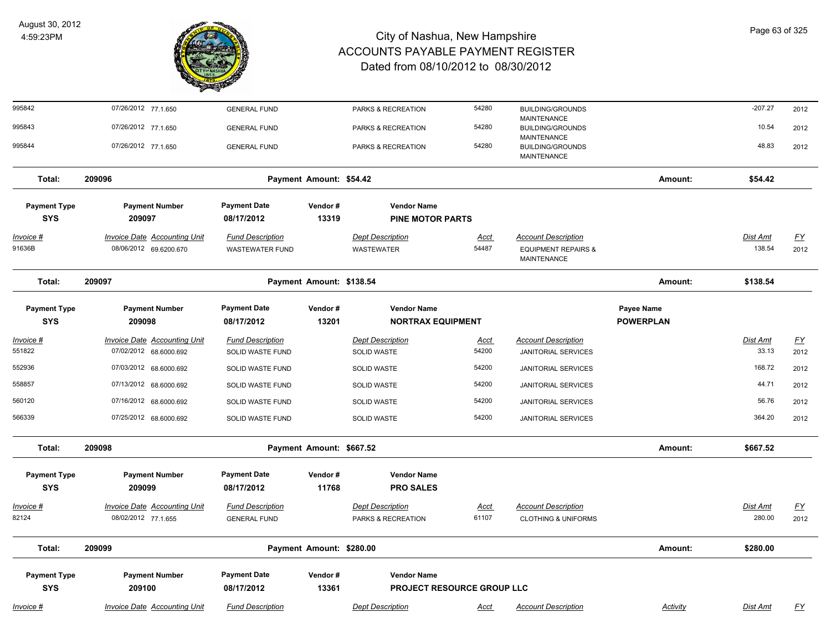

| 995842                            | 07/26/2012 77.1.650                 | <b>GENERAL FUND</b>               |                          | PARKS & RECREATION                     | 54280       | <b>BUILDING/GROUNDS</b>                       |                  | $-207.27$ | 2012      |
|-----------------------------------|-------------------------------------|-----------------------------------|--------------------------|----------------------------------------|-------------|-----------------------------------------------|------------------|-----------|-----------|
| 995843                            | 07/26/2012 77.1.650                 | <b>GENERAL FUND</b>               |                          | PARKS & RECREATION                     | 54280       | <b>MAINTENANCE</b><br><b>BUILDING/GROUNDS</b> |                  | 10.54     | 2012      |
| 995844                            | 07/26/2012 77.1.650                 | <b>GENERAL FUND</b>               |                          | PARKS & RECREATION                     | 54280       | MAINTENANCE<br><b>BUILDING/GROUNDS</b>        |                  | 48.83     | 2012      |
|                                   |                                     |                                   |                          |                                        |             | <b>MAINTENANCE</b>                            |                  |           |           |
| Total:                            | 209096                              |                                   | Payment Amount: \$54.42  |                                        |             |                                               | Amount:          | \$54.42   |           |
| <b>Payment Type</b>               | <b>Payment Number</b>               | <b>Payment Date</b>               | Vendor#                  | <b>Vendor Name</b>                     |             |                                               |                  |           |           |
| <b>SYS</b>                        | 209097                              | 08/17/2012                        | 13319                    | <b>PINE MOTOR PARTS</b>                |             |                                               |                  |           |           |
| <u>Invoice #</u>                  | <b>Invoice Date Accounting Unit</b> | <b>Fund Description</b>           |                          | <b>Dept Description</b>                | <u>Acct</u> | <b>Account Description</b>                    |                  | Dist Amt  | <u>FY</u> |
| 91636B                            | 08/06/2012 69.6200.670              | <b>WASTEWATER FUND</b>            |                          | <b>WASTEWATER</b>                      | 54487       | <b>EQUIPMENT REPAIRS &amp;</b><br>MAINTENANCE |                  | 138.54    | 2012      |
| Total:                            | 209097                              |                                   | Payment Amount: \$138.54 |                                        |             |                                               | Amount:          | \$138.54  |           |
| <b>Payment Type</b>               | <b>Payment Number</b>               | <b>Payment Date</b>               | Vendor#                  | <b>Vendor Name</b>                     |             |                                               | Payee Name       |           |           |
| <b>SYS</b>                        | 209098                              | 08/17/2012                        | 13201                    | <b>NORTRAX EQUIPMENT</b>               |             |                                               | <b>POWERPLAN</b> |           |           |
| Invoice #                         | <b>Invoice Date Accounting Unit</b> | <b>Fund Description</b>           |                          | <b>Dept Description</b>                | Acct        | <b>Account Description</b>                    |                  | Dist Amt  | EY        |
| 551822                            | 07/02/2012 68.6000.692              | SOLID WASTE FUND                  |                          | SOLID WASTE                            | 54200       | <b>JANITORIAL SERVICES</b>                    |                  | 33.13     | 2012      |
| 552936                            | 07/03/2012 68.6000.692              | SOLID WASTE FUND                  |                          | <b>SOLID WASTE</b>                     | 54200       | JANITORIAL SERVICES                           |                  | 168.72    | 2012      |
| 558857                            | 07/13/2012 68.6000.692              | SOLID WASTE FUND                  |                          | SOLID WASTE                            | 54200       | <b>JANITORIAL SERVICES</b>                    |                  | 44.71     | 2012      |
| 560120                            | 07/16/2012 68.6000.692              | SOLID WASTE FUND                  |                          | SOLID WASTE                            | 54200       | JANITORIAL SERVICES                           |                  | 56.76     | 2012      |
| 566339                            | 07/25/2012 68.6000.692              | SOLID WASTE FUND                  |                          | <b>SOLID WASTE</b>                     | 54200       | <b>JANITORIAL SERVICES</b>                    |                  | 364.20    | 2012      |
| Total:                            | 209098                              |                                   | Payment Amount: \$667.52 |                                        |             |                                               | Amount:          | \$667.52  |           |
| <b>Payment Type</b><br><b>SYS</b> | <b>Payment Number</b><br>209099     | <b>Payment Date</b><br>08/17/2012 | Vendor#<br>11768         | <b>Vendor Name</b><br><b>PRO SALES</b> |             |                                               |                  |           |           |
| Invoice #                         | <b>Invoice Date Accounting Unit</b> | <b>Fund Description</b>           |                          | <b>Dept Description</b>                | <u>Acct</u> | <b>Account Description</b>                    |                  | Dist Amt  | <u>FY</u> |
| 82124                             | 08/02/2012 77.1.655                 | <b>GENERAL FUND</b>               |                          | PARKS & RECREATION                     | 61107       | <b>CLOTHING &amp; UNIFORMS</b>                |                  | 280.00    | 2012      |
| Total:                            | 209099                              |                                   | Payment Amount: \$280.00 |                                        |             |                                               | Amount:          | \$280.00  |           |
| <b>Payment Type</b>               | <b>Payment Number</b>               | <b>Payment Date</b>               | Vendor#                  | <b>Vendor Name</b>                     |             |                                               |                  |           |           |
| <b>SYS</b>                        | 209100                              | 08/17/2012                        | 13361                    | PROJECT RESOURCE GROUP LLC             |             |                                               |                  |           |           |
| Invoice #                         | <b>Invoice Date Accounting Unit</b> | <b>Fund Description</b>           |                          | <b>Dept Description</b>                | <u>Acct</u> | <b>Account Description</b>                    | Activity         | Dist Amt  | <u>FY</u> |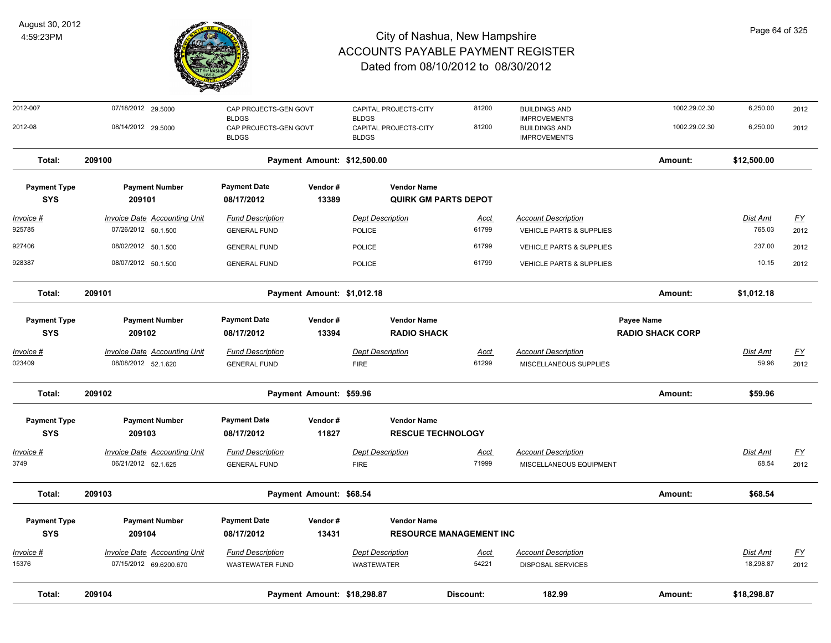

| 2012-007                          | 07/18/2012 29.5000                  | CAP PROJECTS-GEN GOVT<br><b>BLDGS</b> |                             | CAPITAL PROJECTS-CITY<br><b>BLDGS</b>    | 81200                          | <b>BUILDINGS AND</b><br><b>IMPROVEMENTS</b> | 1002.29.02.30                         | 6,250.00        | 2012                      |
|-----------------------------------|-------------------------------------|---------------------------------------|-----------------------------|------------------------------------------|--------------------------------|---------------------------------------------|---------------------------------------|-----------------|---------------------------|
| 2012-08                           | 08/14/2012 29.5000                  | CAP PROJECTS-GEN GOVT<br><b>BLDGS</b> |                             | CAPITAL PROJECTS-CITY<br><b>BLDGS</b>    | 81200                          | <b>BUILDINGS AND</b><br><b>IMPROVEMENTS</b> | 1002.29.02.30                         | 6,250.00        | 2012                      |
| Total:                            | 209100                              |                                       |                             | Payment Amount: \$12,500.00              |                                |                                             | Amount:                               | \$12,500.00     |                           |
| <b>Payment Type</b>               | <b>Payment Number</b>               | <b>Payment Date</b>                   | Vendor#                     | <b>Vendor Name</b>                       |                                |                                             |                                       |                 |                           |
| <b>SYS</b>                        | 209101                              | 08/17/2012                            | 13389                       | <b>QUIRK GM PARTS DEPOT</b>              |                                |                                             |                                       |                 |                           |
| <u>Invoice #</u>                  | <b>Invoice Date Accounting Unit</b> | <b>Fund Description</b>               |                             | <b>Dept Description</b>                  | <u>Acct</u>                    | <b>Account Description</b>                  |                                       | <b>Dist Amt</b> | <u>FY</u>                 |
| 925785                            | 07/26/2012 50.1.500                 | <b>GENERAL FUND</b>                   |                             | POLICE                                   | 61799                          | VEHICLE PARTS & SUPPLIES                    |                                       | 765.03          | 2012                      |
| 927406                            | 08/02/2012 50.1.500                 | <b>GENERAL FUND</b>                   |                             | POLICE                                   | 61799                          | VEHICLE PARTS & SUPPLIES                    |                                       | 237.00          | 2012                      |
| 928387                            | 08/07/2012 50.1.500                 | <b>GENERAL FUND</b>                   |                             | <b>POLICE</b>                            | 61799                          | <b>VEHICLE PARTS &amp; SUPPLIES</b>         |                                       | 10.15           | 2012                      |
| Total:                            | 209101                              |                                       | Payment Amount: \$1,012.18  |                                          |                                |                                             | Amount:                               | \$1,012.18      |                           |
| <b>Payment Type</b><br><b>SYS</b> | <b>Payment Number</b><br>209102     | <b>Payment Date</b><br>08/17/2012     | Vendor#<br>13394            | <b>Vendor Name</b><br><b>RADIO SHACK</b> |                                |                                             | Payee Name<br><b>RADIO SHACK CORP</b> |                 |                           |
| <b>Invoice #</b>                  | <b>Invoice Date Accounting Unit</b> | <b>Fund Description</b>               |                             | <b>Dept Description</b>                  | <u>Acct</u>                    | <b>Account Description</b>                  |                                       | <b>Dist Amt</b> | $\underline{\mathsf{FY}}$ |
| 023409                            | 08/08/2012 52.1.620                 | <b>GENERAL FUND</b>                   |                             | <b>FIRE</b>                              | 61299                          | MISCELLANEOUS SUPPLIES                      |                                       | 59.96           | 2012                      |
| Total:                            | 209102                              |                                       | Payment Amount: \$59.96     |                                          |                                |                                             | Amount:                               | \$59.96         |                           |
| <b>Payment Type</b>               | <b>Payment Number</b>               | <b>Payment Date</b>                   | Vendor#                     | <b>Vendor Name</b>                       |                                |                                             |                                       |                 |                           |
| <b>SYS</b>                        | 209103                              | 08/17/2012                            | 11827                       | <b>RESCUE TECHNOLOGY</b>                 |                                |                                             |                                       |                 |                           |
| <b>Invoice #</b>                  | <b>Invoice Date Accounting Unit</b> | <b>Fund Description</b>               |                             | Dept Description                         | <u>Acct</u>                    | <b>Account Description</b>                  |                                       | Dist Amt        | EY                        |
| 3749                              | 06/21/2012 52.1.625                 | <b>GENERAL FUND</b>                   |                             | <b>FIRE</b>                              | 71999                          | MISCELLANEOUS EQUIPMENT                     |                                       | 68.54           | 2012                      |
| Total:                            | 209103                              |                                       | Payment Amount: \$68.54     |                                          |                                |                                             | Amount:                               | \$68.54         |                           |
| <b>Payment Type</b>               | <b>Payment Number</b>               | <b>Payment Date</b>                   | Vendor#                     | <b>Vendor Name</b>                       |                                |                                             |                                       |                 |                           |
| <b>SYS</b>                        | 209104                              | 08/17/2012                            | 13431                       |                                          | <b>RESOURCE MANAGEMENT INC</b> |                                             |                                       |                 |                           |
| <b>Invoice #</b>                  | <b>Invoice Date Accounting Unit</b> | <b>Fund Description</b>               |                             | <b>Dept Description</b>                  | <u>Acct</u>                    | <b>Account Description</b>                  |                                       | <b>Dist Amt</b> | $\underline{\mathsf{FY}}$ |
| 15376                             | 07/15/2012 69.6200.670              | <b>WASTEWATER FUND</b>                |                             | <b>WASTEWATER</b>                        | 54221                          | <b>DISPOSAL SERVICES</b>                    |                                       | 18,298.87       | 2012                      |
| Total:                            | 209104                              |                                       | Payment Amount: \$18,298.87 |                                          | Discount:                      | 182.99                                      | Amount:                               | \$18,298.87     |                           |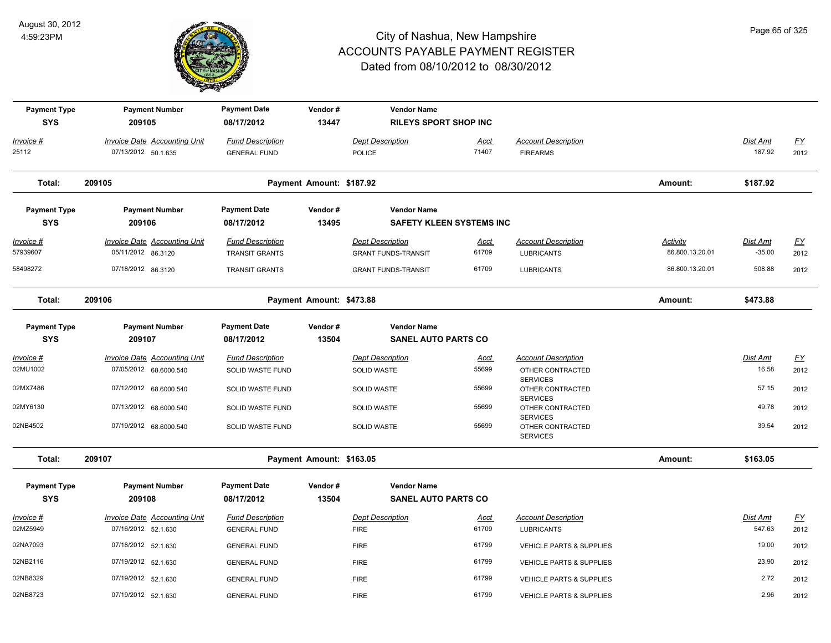

| <b>Payment Type</b><br><b>SYS</b> | <b>Payment Number</b><br>209105                            | <b>Payment Date</b><br>08/17/2012                | Vendor#<br>13447         | <b>Vendor Name</b><br><b>RILEYS SPORT SHOP INC</b>    |                      |                                                 |                                    |                      |                   |
|-----------------------------------|------------------------------------------------------------|--------------------------------------------------|--------------------------|-------------------------------------------------------|----------------------|-------------------------------------------------|------------------------------------|----------------------|-------------------|
| Invoice #<br>25112                | <b>Invoice Date Accounting Unit</b><br>07/13/2012 50.1.635 | <b>Fund Description</b><br><b>GENERAL FUND</b>   |                          | <b>Dept Description</b><br><b>POLICE</b>              | <u>Acct</u><br>71407 | <b>Account Description</b><br><b>FIREARMS</b>   |                                    | Dist Amt<br>187.92   | <u>FY</u><br>2012 |
| Total:                            | 209105                                                     |                                                  | Payment Amount: \$187.92 |                                                       |                      |                                                 | Amount:                            | \$187.92             |                   |
| <b>Payment Type</b><br><b>SYS</b> | <b>Payment Number</b><br>209106                            | <b>Payment Date</b><br>08/17/2012                | Vendor#<br>13495         | <b>Vendor Name</b><br><b>SAFETY KLEEN SYSTEMS INC</b> |                      |                                                 |                                    |                      |                   |
| Invoice #<br>57939607             | <b>Invoice Date Accounting Unit</b><br>05/11/2012 86.3120  | <b>Fund Description</b><br><b>TRANSIT GRANTS</b> |                          | <b>Dept Description</b><br><b>GRANT FUNDS-TRANSIT</b> | <b>Acct</b><br>61709 | <b>Account Description</b><br><b>LUBRICANTS</b> | <b>Activity</b><br>86.800.13.20.01 | Dist Amt<br>$-35.00$ | <u>FY</u><br>2012 |
| 58498272                          | 07/18/2012 86.3120                                         | <b>TRANSIT GRANTS</b>                            |                          | <b>GRANT FUNDS-TRANSIT</b>                            | 61709                | <b>LUBRICANTS</b>                               | 86.800.13.20.01                    | 508.88               | 2012              |
| Total:                            | 209106                                                     |                                                  | Payment Amount: \$473.88 |                                                       |                      |                                                 | Amount:                            | \$473.88             |                   |
| <b>Payment Type</b><br><b>SYS</b> | <b>Payment Number</b><br>209107                            | <b>Payment Date</b><br>08/17/2012                | Vendor#<br>13504         | <b>Vendor Name</b><br><b>SANEL AUTO PARTS CO</b>      |                      |                                                 |                                    |                      |                   |
| Invoice #                         | Invoice Date Accounting Unit                               | <b>Fund Description</b>                          |                          | <b>Dept Description</b>                               | <b>Acct</b>          | <b>Account Description</b>                      |                                    | Dist Amt             | $\underline{FY}$  |
| 02MU1002                          | 07/05/2012 68.6000.540                                     | SOLID WASTE FUND                                 |                          | SOLID WASTE                                           | 55699                | OTHER CONTRACTED<br><b>SERVICES</b>             |                                    | 16.58                | 2012              |
| 02MX7486                          | 07/12/2012 68.6000.540                                     | SOLID WASTE FUND                                 |                          | SOLID WASTE                                           | 55699                | OTHER CONTRACTED<br><b>SERVICES</b>             |                                    | 57.15                | 2012              |
| 02MY6130                          | 07/13/2012 68.6000.540                                     | SOLID WASTE FUND                                 |                          | <b>SOLID WASTE</b>                                    | 55699                | OTHER CONTRACTED<br><b>SERVICES</b>             |                                    | 49.78                | 2012              |
| 02NB4502                          | 07/19/2012 68.6000.540                                     | SOLID WASTE FUND                                 |                          | <b>SOLID WASTE</b>                                    | 55699                | OTHER CONTRACTED<br><b>SERVICES</b>             |                                    | 39.54                | 2012              |
| Total:                            | 209107                                                     |                                                  | Payment Amount: \$163.05 |                                                       |                      |                                                 | Amount:                            | \$163.05             |                   |
| <b>Payment Type</b><br><b>SYS</b> | <b>Payment Number</b><br>209108                            | <b>Payment Date</b><br>08/17/2012                | Vendor#<br>13504         | <b>Vendor Name</b><br><b>SANEL AUTO PARTS CO</b>      |                      |                                                 |                                    |                      |                   |
| Invoice #                         | <b>Invoice Date Accounting Unit</b>                        | <b>Fund Description</b>                          |                          | <b>Dept Description</b>                               | <u>Acct</u>          | <b>Account Description</b>                      |                                    | Dist Amt             | $\underline{FY}$  |
| 02MZ5949                          | 07/16/2012 52.1.630                                        | <b>GENERAL FUND</b>                              |                          | <b>FIRE</b>                                           | 61709                | <b>LUBRICANTS</b>                               |                                    | 547.63               | 2012              |
| 02NA7093                          | 07/18/2012 52.1.630                                        | <b>GENERAL FUND</b>                              |                          | <b>FIRE</b>                                           | 61799                | VEHICLE PARTS & SUPPLIES                        |                                    | 19.00                | 2012              |
| 02NB2116                          | 07/19/2012 52.1.630                                        | <b>GENERAL FUND</b>                              |                          | <b>FIRE</b>                                           | 61799                | <b>VEHICLE PARTS &amp; SUPPLIES</b>             |                                    | 23.90                | 2012              |
| 02NB8329                          | 07/19/2012 52.1.630                                        | <b>GENERAL FUND</b>                              |                          | <b>FIRE</b>                                           | 61799                | <b>VEHICLE PARTS &amp; SUPPLIES</b>             |                                    | 2.72                 | 2012              |
| 02NB8723                          | 07/19/2012 52.1.630                                        | <b>GENERAL FUND</b>                              |                          | <b>FIRE</b>                                           | 61799                | <b>VEHICLE PARTS &amp; SUPPLIES</b>             |                                    | 2.96                 | 2012              |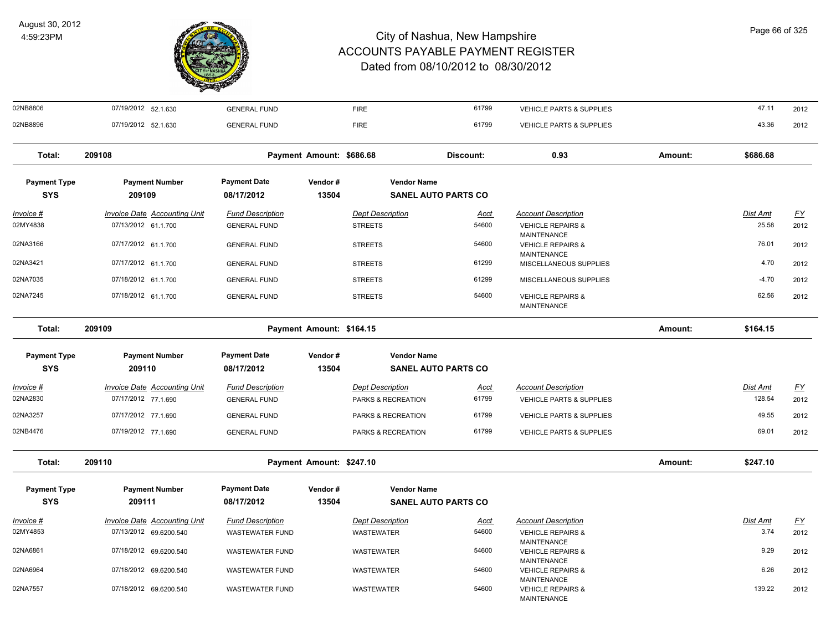

| 02NB8806            | 07/19/2012 52.1.630                 | <b>GENERAL FUND</b>     |                          | <b>FIRE</b>             | 61799                      | VEHICLE PARTS & SUPPLIES                                                 |         | 47.11    | 2012             |
|---------------------|-------------------------------------|-------------------------|--------------------------|-------------------------|----------------------------|--------------------------------------------------------------------------|---------|----------|------------------|
| 02NB8896            | 07/19/2012 52.1.630                 | <b>GENERAL FUND</b>     |                          | <b>FIRE</b>             | 61799                      | <b>VEHICLE PARTS &amp; SUPPLIES</b>                                      |         | 43.36    | 2012             |
| Total:              | 209108                              |                         | Payment Amount: \$686.68 |                         | Discount:                  | 0.93                                                                     | Amount: | \$686.68 |                  |
| <b>Payment Type</b> | <b>Payment Number</b>               | <b>Payment Date</b>     | Vendor#                  | <b>Vendor Name</b>      |                            |                                                                          |         |          |                  |
| <b>SYS</b>          | 209109                              | 08/17/2012              | 13504                    |                         | <b>SANEL AUTO PARTS CO</b> |                                                                          |         |          |                  |
| <u> Invoice #</u>   | <b>Invoice Date Accounting Unit</b> | <b>Fund Description</b> |                          | <b>Dept Description</b> | <u>Acct</u>                | <b>Account Description</b>                                               |         | Dist Amt | <u>FY</u>        |
| 02MY4838            | 07/13/2012 61.1.700                 | <b>GENERAL FUND</b>     |                          | <b>STREETS</b>          | 54600                      | <b>VEHICLE REPAIRS &amp;</b>                                             |         | 25.58    | 2012             |
| 02NA3166            | 07/17/2012 61.1.700                 | <b>GENERAL FUND</b>     |                          | <b>STREETS</b>          | 54600                      | MAINTENANCE<br><b>VEHICLE REPAIRS &amp;</b><br><b>MAINTENANCE</b>        |         | 76.01    | 2012             |
| 02NA3421            | 07/17/2012 61.1.700                 | <b>GENERAL FUND</b>     |                          | <b>STREETS</b>          | 61299                      | MISCELLANEOUS SUPPLIES                                                   |         | 4.70     | 2012             |
| 02NA7035            | 07/18/2012 61.1.700                 | <b>GENERAL FUND</b>     |                          | <b>STREETS</b>          | 61299                      | MISCELLANEOUS SUPPLIES                                                   |         | $-4.70$  | 2012             |
| 02NA7245            | 07/18/2012 61.1.700                 | <b>GENERAL FUND</b>     |                          | <b>STREETS</b>          | 54600                      | <b>VEHICLE REPAIRS &amp;</b><br><b>MAINTENANCE</b>                       |         | 62.56    | 2012             |
| Total:              | 209109                              |                         | Payment Amount: \$164.15 |                         |                            |                                                                          | Amount: | \$164.15 |                  |
| <b>Payment Type</b> | <b>Payment Number</b>               | <b>Payment Date</b>     | Vendor#                  | <b>Vendor Name</b>      |                            |                                                                          |         |          |                  |
| <b>SYS</b>          | 209110                              | 08/17/2012              | 13504                    |                         | <b>SANEL AUTO PARTS CO</b> |                                                                          |         |          |                  |
| <u> Invoice #</u>   | <b>Invoice Date Accounting Unit</b> | <b>Fund Description</b> |                          | <b>Dept Description</b> | Acct                       | <b>Account Description</b>                                               |         | Dist Amt | <u>FY</u>        |
| 02NA2830            | 07/17/2012 77.1.690                 | <b>GENERAL FUND</b>     |                          | PARKS & RECREATION      | 61799                      | VEHICLE PARTS & SUPPLIES                                                 |         | 128.54   | 2012             |
| 02NA3257            | 07/17/2012 77.1.690                 | <b>GENERAL FUND</b>     |                          | PARKS & RECREATION      | 61799                      | <b>VEHICLE PARTS &amp; SUPPLIES</b>                                      |         | 49.55    | 2012             |
| 02NB4476            | 07/19/2012 77.1.690                 | <b>GENERAL FUND</b>     |                          | PARKS & RECREATION      | 61799                      | VEHICLE PARTS & SUPPLIES                                                 |         | 69.01    | 2012             |
| Total:              | 209110                              |                         | Payment Amount: \$247.10 |                         |                            |                                                                          | Amount: | \$247.10 |                  |
| <b>Payment Type</b> | <b>Payment Number</b>               | <b>Payment Date</b>     | Vendor#                  | <b>Vendor Name</b>      |                            |                                                                          |         |          |                  |
| <b>SYS</b>          | 209111                              | 08/17/2012              | 13504                    |                         | <b>SANEL AUTO PARTS CO</b> |                                                                          |         |          |                  |
| <u> Invoice #</u>   | <b>Invoice Date Accounting Unit</b> | <b>Fund Description</b> |                          | <b>Dept Description</b> | Acct                       | <b>Account Description</b>                                               |         | Dist Amt | $\underline{FY}$ |
| 02MY4853            | 07/13/2012 69.6200.540              | <b>WASTEWATER FUND</b>  |                          | WASTEWATER              | 54600                      | <b>VEHICLE REPAIRS &amp;</b>                                             |         | 3.74     | 2012             |
| 02NA6861            | 07/18/2012 69.6200.540              | <b>WASTEWATER FUND</b>  |                          | WASTEWATER              | 54600                      | <b>MAINTENANCE</b><br><b>VEHICLE REPAIRS &amp;</b>                       |         | 9.29     | 2012             |
| 02NA6964            | 07/18/2012 69.6200.540              | <b>WASTEWATER FUND</b>  |                          | <b>WASTEWATER</b>       | 54600                      | MAINTENANCE<br><b>VEHICLE REPAIRS &amp;</b>                              |         | 6.26     | 2012             |
| 02NA7557            | 07/18/2012 69.6200.540              | <b>WASTEWATER FUND</b>  |                          | <b>WASTEWATER</b>       | 54600                      | <b>MAINTENANCE</b><br><b>VEHICLE REPAIRS &amp;</b><br><b>MAINTENANCE</b> |         | 139.22   | 2012             |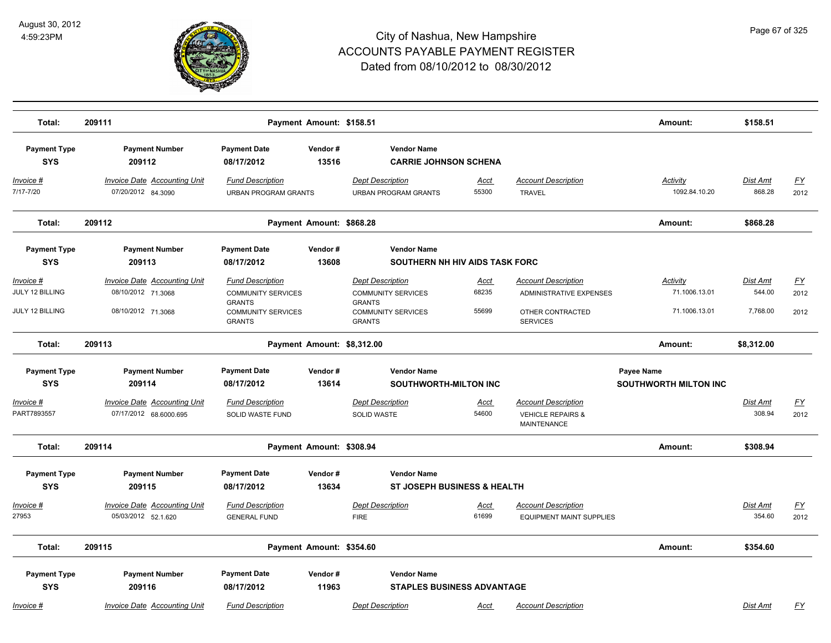

| Total:                                          | 209111                                                                          |                                                                                                                     | Payment Amount: \$158.51   |                                                                                                                     |                               |                                                                                                     | Amount:                                           | \$158.51                              |                           |
|-------------------------------------------------|---------------------------------------------------------------------------------|---------------------------------------------------------------------------------------------------------------------|----------------------------|---------------------------------------------------------------------------------------------------------------------|-------------------------------|-----------------------------------------------------------------------------------------------------|---------------------------------------------------|---------------------------------------|---------------------------|
| <b>Payment Type</b><br><b>SYS</b>               | <b>Payment Number</b><br>209112                                                 | <b>Payment Date</b><br>08/17/2012                                                                                   | Vendor#<br>13516           | <b>Vendor Name</b><br><b>CARRIE JOHNSON SCHENA</b>                                                                  |                               |                                                                                                     |                                                   |                                       |                           |
| Invoice #<br>7/17-7/20                          | <b>Invoice Date Accounting Unit</b><br>07/20/2012 84.3090                       | <b>Fund Description</b><br><b>URBAN PROGRAM GRANTS</b>                                                              |                            | <b>Dept Description</b><br><b>URBAN PROGRAM GRANTS</b>                                                              | Acct<br>55300                 | <b>Account Description</b><br><b>TRAVEL</b>                                                         | <b>Activity</b><br>1092.84.10.20                  | Dist Amt<br>868.28                    | <u>FY</u><br>2012         |
| Total:                                          | 209112                                                                          |                                                                                                                     | Payment Amount: \$868.28   |                                                                                                                     |                               |                                                                                                     | Amount:                                           | \$868.28                              |                           |
| <b>Payment Type</b><br><b>SYS</b>               | <b>Payment Number</b><br>209113                                                 | <b>Payment Date</b><br>08/17/2012                                                                                   | Vendor#<br>13608           | <b>Vendor Name</b><br>SOUTHERN NH HIV AIDS TASK FORC                                                                |                               |                                                                                                     |                                                   |                                       |                           |
| Invoice #<br>JULY 12 BILLING<br>JULY 12 BILLING | <b>Invoice Date Accounting Unit</b><br>08/10/2012 71.3068<br>08/10/2012 71.3068 | <b>Fund Description</b><br><b>COMMUNITY SERVICES</b><br><b>GRANTS</b><br><b>COMMUNITY SERVICES</b><br><b>GRANTS</b> |                            | <b>Dept Description</b><br><b>COMMUNITY SERVICES</b><br><b>GRANTS</b><br><b>COMMUNITY SERVICES</b><br><b>GRANTS</b> | <u>Acct</u><br>68235<br>55699 | <b>Account Description</b><br><b>ADMINISTRATIVE EXPENSES</b><br>OTHER CONTRACTED<br><b>SERVICES</b> | <b>Activity</b><br>71.1006.13.01<br>71.1006.13.01 | <b>Dist Amt</b><br>544.00<br>7,768.00 | <u>FY</u><br>2012<br>2012 |
| Total:                                          | 209113                                                                          |                                                                                                                     | Payment Amount: \$8,312.00 |                                                                                                                     |                               |                                                                                                     | Amount:                                           | \$8,312.00                            |                           |
| <b>Payment Type</b><br><b>SYS</b>               | <b>Payment Number</b><br>209114<br><b>Invoice Date Accounting Unit</b>          | <b>Payment Date</b><br>08/17/2012                                                                                   | Vendor#<br>13614           | <b>Vendor Name</b><br>SOUTHWORTH-MILTON INC                                                                         |                               | <b>Account Description</b>                                                                          | Payee Name<br><b>SOUTHWORTH MILTON INC</b>        | Dist Amt                              |                           |
| $Invoice$ #<br>PART7893557                      | 07/17/2012 68.6000.695                                                          | <b>Fund Description</b><br><b>SOLID WASTE FUND</b>                                                                  |                            | <b>Dept Description</b><br><b>SOLID WASTE</b>                                                                       | <u>Acct</u><br>54600          | <b>VEHICLE REPAIRS &amp;</b><br><b>MAINTENANCE</b>                                                  |                                                   | 308.94                                | <u>FY</u><br>2012         |
| Total:                                          | 209114                                                                          |                                                                                                                     | Payment Amount: \$308.94   |                                                                                                                     |                               |                                                                                                     | Amount:                                           | \$308.94                              |                           |
| <b>Payment Type</b><br><b>SYS</b>               | <b>Payment Number</b><br>209115                                                 | <b>Payment Date</b><br>08/17/2012                                                                                   | Vendor#<br>13634           | <b>Vendor Name</b><br><b>ST JOSEPH BUSINESS &amp; HEALTH</b>                                                        |                               |                                                                                                     |                                                   |                                       |                           |
| Invoice #<br>27953                              | Invoice Date Accounting Unit<br>05/03/2012 52.1.620                             | <b>Fund Description</b><br><b>GENERAL FUND</b>                                                                      |                            | <b>Dept Description</b><br><b>FIRE</b>                                                                              | Acct<br>61699                 | <b>Account Description</b><br><b>EQUIPMENT MAINT SUPPLIES</b>                                       |                                                   | Dist Amt<br>354.60                    | <u>FY</u><br>2012         |
| Total:                                          | 209115                                                                          |                                                                                                                     | Payment Amount: \$354.60   |                                                                                                                     |                               |                                                                                                     | Amount:                                           | \$354.60                              |                           |
| <b>Payment Type</b><br><b>SYS</b>               | <b>Payment Number</b><br>209116                                                 | <b>Payment Date</b><br>08/17/2012                                                                                   | Vendor#<br>11963           | <b>Vendor Name</b><br><b>STAPLES BUSINESS ADVANTAGE</b>                                                             |                               |                                                                                                     |                                                   |                                       |                           |
| Invoice #                                       | <b>Invoice Date Accounting Unit</b>                                             | <b>Fund Description</b>                                                                                             |                            | <b>Dept Description</b>                                                                                             | Acct                          | <b>Account Description</b>                                                                          |                                                   | Dist Amt                              | <u>FY</u>                 |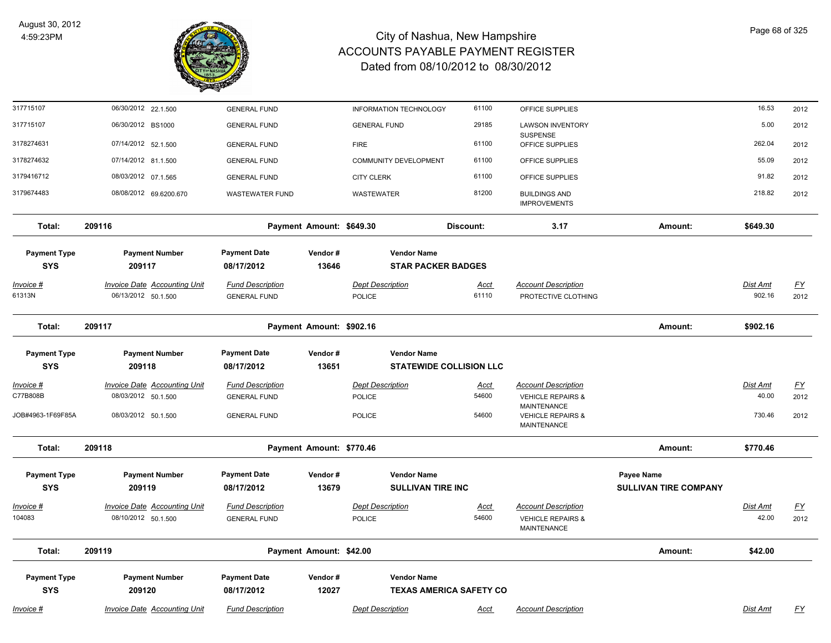

| 317715107           | 06/30/2012 22.1.500                 | <b>GENERAL FUND</b>     |                          | INFORMATION TECHNOLOGY       | 61100                          | OFFICE SUPPLIES                                                   |                              | 16.53           | 2012      |
|---------------------|-------------------------------------|-------------------------|--------------------------|------------------------------|--------------------------------|-------------------------------------------------------------------|------------------------------|-----------------|-----------|
| 317715107           | 06/30/2012 BS1000                   | <b>GENERAL FUND</b>     |                          | <b>GENERAL FUND</b>          | 29185                          | <b>LAWSON INVENTORY</b><br><b>SUSPENSE</b>                        |                              | 5.00            | 2012      |
| 3178274631          | 07/14/2012 52.1.500                 | <b>GENERAL FUND</b>     |                          | <b>FIRE</b>                  | 61100                          | OFFICE SUPPLIES                                                   |                              | 262.04          | 2012      |
| 3178274632          | 07/14/2012 81.1.500                 | <b>GENERAL FUND</b>     |                          | <b>COMMUNITY DEVELOPMENT</b> | 61100                          | OFFICE SUPPLIES                                                   |                              | 55.09           | 2012      |
| 3179416712          | 08/03/2012 07.1.565                 | <b>GENERAL FUND</b>     |                          | <b>CITY CLERK</b>            | 61100                          | OFFICE SUPPLIES                                                   |                              | 91.82           | 2012      |
| 3179674483          | 08/08/2012 69.6200.670              | <b>WASTEWATER FUND</b>  |                          | WASTEWATER                   | 81200                          | <b>BUILDINGS AND</b><br><b>IMPROVEMENTS</b>                       |                              | 218.82          | 2012      |
| Total:              | 209116                              |                         | Payment Amount: \$649.30 |                              | Discount:                      | 3.17                                                              | Amount:                      | \$649.30        |           |
| <b>Payment Type</b> | <b>Payment Number</b>               | <b>Payment Date</b>     | Vendor#                  | <b>Vendor Name</b>           |                                |                                                                   |                              |                 |           |
| <b>SYS</b>          | 209117                              | 08/17/2012              | 13646                    | <b>STAR PACKER BADGES</b>    |                                |                                                                   |                              |                 |           |
| Invoice #           | <b>Invoice Date Accounting Unit</b> | <b>Fund Description</b> |                          | <b>Dept Description</b>      | <u>Acct</u>                    | <b>Account Description</b>                                        |                              | <b>Dist Amt</b> | <u>FY</u> |
| 61313N              | 06/13/2012 50.1.500                 | <b>GENERAL FUND</b>     |                          | POLICE                       | 61110                          | PROTECTIVE CLOTHING                                               |                              | 902.16          | 2012      |
| Total:              | 209117                              |                         | Payment Amount: \$902.16 |                              |                                |                                                                   | Amount:                      | \$902.16        |           |
| <b>Payment Type</b> | <b>Payment Number</b>               | <b>Payment Date</b>     | Vendor#                  | <b>Vendor Name</b>           |                                |                                                                   |                              |                 |           |
| <b>SYS</b>          | 209118                              | 08/17/2012              | 13651                    |                              | <b>STATEWIDE COLLISION LLC</b> |                                                                   |                              |                 |           |
| Invoice #           | <b>Invoice Date Accounting Unit</b> | <b>Fund Description</b> |                          | <b>Dept Description</b>      | Acct                           | <b>Account Description</b>                                        |                              | Dist Amt        | <u>FY</u> |
| C77B808B            | 08/03/2012 50.1.500                 | <b>GENERAL FUND</b>     |                          | POLICE                       | 54600                          | <b>VEHICLE REPAIRS &amp;</b>                                      |                              | 40.00           | 2012      |
| JOB#4963-1F69F85A   | 08/03/2012 50.1.500                 | <b>GENERAL FUND</b>     |                          | POLICE                       | 54600                          | <b>MAINTENANCE</b><br><b>VEHICLE REPAIRS &amp;</b><br>MAINTENANCE |                              | 730.46          | 2012      |
| Total:              | 209118                              |                         | Payment Amount: \$770.46 |                              |                                |                                                                   | Amount:                      | \$770.46        |           |
| <b>Payment Type</b> | <b>Payment Number</b>               | <b>Payment Date</b>     | Vendor#                  | <b>Vendor Name</b>           |                                |                                                                   | Payee Name                   |                 |           |
| <b>SYS</b>          | 209119                              | 08/17/2012              | 13679                    | <b>SULLIVAN TIRE INC</b>     |                                |                                                                   | <b>SULLIVAN TIRE COMPANY</b> |                 |           |
| <u> Invoice #</u>   | <b>Invoice Date Accounting Unit</b> | <b>Fund Description</b> |                          | <b>Dept Description</b>      | <b>Acct</b>                    | <b>Account Description</b>                                        |                              | Dist Amt        | <u>FY</u> |
| 104083              | 08/10/2012 50.1.500                 | <b>GENERAL FUND</b>     |                          | POLICE                       | 54600                          | <b>VEHICLE REPAIRS &amp;</b><br>MAINTENANCE                       |                              | 42.00           | 2012      |
| Total:              | 209119                              |                         | Payment Amount: \$42.00  |                              |                                |                                                                   | Amount:                      | \$42.00         |           |
| <b>Payment Type</b> | <b>Payment Number</b>               | <b>Payment Date</b>     | Vendor#                  | <b>Vendor Name</b>           |                                |                                                                   |                              |                 |           |
| <b>SYS</b>          | 209120                              | 08/17/2012              | 12027                    |                              | <b>TEXAS AMERICA SAFETY CO</b> |                                                                   |                              |                 |           |
| Invoice #           | <b>Invoice Date Accounting Unit</b> | <b>Fund Description</b> |                          | <b>Dept Description</b>      | Acct                           | <b>Account Description</b>                                        |                              | Dist Amt        | <u>FY</u> |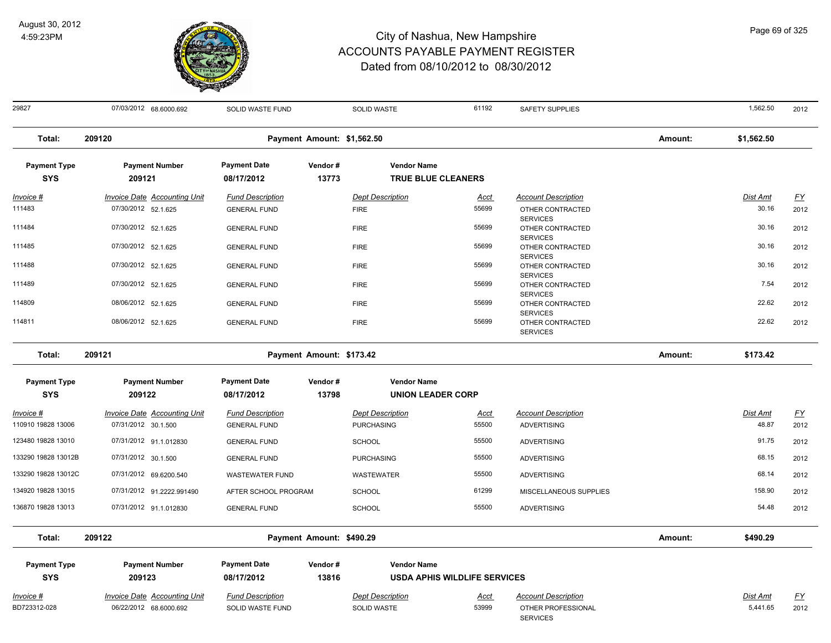

| 29827                             | 07/03/2012 68.6000.692              | SOLID WASTE FUND                  |                            | SOLID WASTE                                     | 61192                               | <b>SAFETY SUPPLIES</b>                                 |         | 1,562.50        | 2012             |
|-----------------------------------|-------------------------------------|-----------------------------------|----------------------------|-------------------------------------------------|-------------------------------------|--------------------------------------------------------|---------|-----------------|------------------|
| Total:                            | 209120                              |                                   | Payment Amount: \$1,562.50 |                                                 |                                     |                                                        | Amount: | \$1,562.50      |                  |
| <b>Payment Type</b><br><b>SYS</b> | <b>Payment Number</b><br>209121     | <b>Payment Date</b><br>08/17/2012 | Vendor#<br>13773           | <b>Vendor Name</b><br><b>TRUE BLUE CLEANERS</b> |                                     |                                                        |         |                 |                  |
| <u>Invoice #</u>                  | <b>Invoice Date Accounting Unit</b> | <b>Fund Description</b>           |                            | <b>Dept Description</b>                         | <u>Acct</u>                         | <b>Account Description</b>                             |         | <b>Dist Amt</b> | <u>FY</u>        |
| 111483                            | 07/30/2012 52.1.625                 | <b>GENERAL FUND</b>               |                            | <b>FIRE</b>                                     | 55699                               | OTHER CONTRACTED                                       |         | 30.16           | 2012             |
| 111484                            | 07/30/2012 52.1.625                 | <b>GENERAL FUND</b>               |                            | <b>FIRE</b>                                     | 55699                               | <b>SERVICES</b><br>OTHER CONTRACTED<br><b>SERVICES</b> |         | 30.16           | 2012             |
| 111485                            | 07/30/2012 52.1.625                 | <b>GENERAL FUND</b>               |                            | <b>FIRE</b>                                     | 55699                               | OTHER CONTRACTED                                       |         | 30.16           | 2012             |
| 111488                            | 07/30/2012 52.1.625                 | <b>GENERAL FUND</b>               |                            | <b>FIRE</b>                                     | 55699                               | <b>SERVICES</b><br>OTHER CONTRACTED<br><b>SERVICES</b> |         | 30.16           | 2012             |
| 111489                            | 07/30/2012 52.1.625                 | <b>GENERAL FUND</b>               |                            | <b>FIRE</b>                                     | 55699                               | OTHER CONTRACTED                                       |         | 7.54            | 2012             |
| 114809                            | 08/06/2012 52.1.625                 | <b>GENERAL FUND</b>               |                            | <b>FIRE</b>                                     | 55699                               | <b>SERVICES</b><br>OTHER CONTRACTED<br><b>SERVICES</b> |         | 22.62           | 2012             |
| 114811                            | 08/06/2012 52.1.625                 | <b>GENERAL FUND</b>               |                            | <b>FIRE</b>                                     | 55699                               | OTHER CONTRACTED<br><b>SERVICES</b>                    |         | 22.62           | 2012             |
| Total:                            | 209121                              |                                   | Payment Amount: \$173.42   |                                                 |                                     |                                                        | Amount: | \$173.42        |                  |
| <b>Payment Type</b><br><b>SYS</b> | <b>Payment Number</b><br>209122     | <b>Payment Date</b><br>08/17/2012 | Vendor#<br>13798           | <b>Vendor Name</b><br><b>UNION LEADER CORP</b>  |                                     |                                                        |         |                 |                  |
| Invoice #                         | <b>Invoice Date Accounting Unit</b> | <b>Fund Description</b>           |                            | <b>Dept Description</b>                         | Acct                                | <b>Account Description</b>                             |         | Dist Amt        | $\underline{FY}$ |
| 110910 19828 13006                | 07/31/2012 30.1.500                 | <b>GENERAL FUND</b>               |                            | <b>PURCHASING</b>                               | 55500                               | <b>ADVERTISING</b>                                     |         | 48.87           | 2012             |
| 123480 19828 13010                | 07/31/2012 91.1.012830              | <b>GENERAL FUND</b>               |                            | <b>SCHOOL</b>                                   | 55500                               | <b>ADVERTISING</b>                                     |         | 91.75           | 2012             |
| 133290 19828 13012B               | 07/31/2012 30.1.500                 | <b>GENERAL FUND</b>               |                            | <b>PURCHASING</b>                               | 55500                               | <b>ADVERTISING</b>                                     |         | 68.15           | 2012             |
| 133290 19828 13012C               | 07/31/2012 69.6200.540              | <b>WASTEWATER FUND</b>            |                            | WASTEWATER                                      | 55500                               | <b>ADVERTISING</b>                                     |         | 68.14           | 2012             |
| 134920 19828 13015                | 07/31/2012 91.2222.991490           | AFTER SCHOOL PROGRAM              |                            | SCHOOL                                          | 61299                               | MISCELLANEOUS SUPPLIES                                 |         | 158.90          | 2012             |
| 136870 19828 13013                | 07/31/2012 91.1.012830              | <b>GENERAL FUND</b>               |                            | <b>SCHOOL</b>                                   | 55500                               | <b>ADVERTISING</b>                                     |         | 54.48           | 2012             |
| Total:                            | 209122                              |                                   | Payment Amount: \$490.29   |                                                 |                                     |                                                        | Amount: | \$490.29        |                  |
| <b>Payment Type</b>               | <b>Payment Number</b>               | <b>Payment Date</b>               | Vendor#                    | <b>Vendor Name</b>                              |                                     |                                                        |         |                 |                  |
| <b>SYS</b>                        | 209123                              | 08/17/2012                        | 13816                      |                                                 | <b>USDA APHIS WILDLIFE SERVICES</b> |                                                        |         |                 |                  |
| Invoice #                         | <b>Invoice Date Accounting Unit</b> | <b>Fund Description</b>           |                            | <b>Dept Description</b>                         | <b>Acct</b>                         | <b>Account Description</b>                             |         | Dist Amt        | <u>FY</u>        |
| BD723312-028                      | 06/22/2012 68.6000.692              | SOLID WASTE FUND                  |                            | SOLID WASTE                                     | 53999                               | OTHER PROFESSIONAL<br><b>SERVICES</b>                  |         | 5,441.65        | 2012             |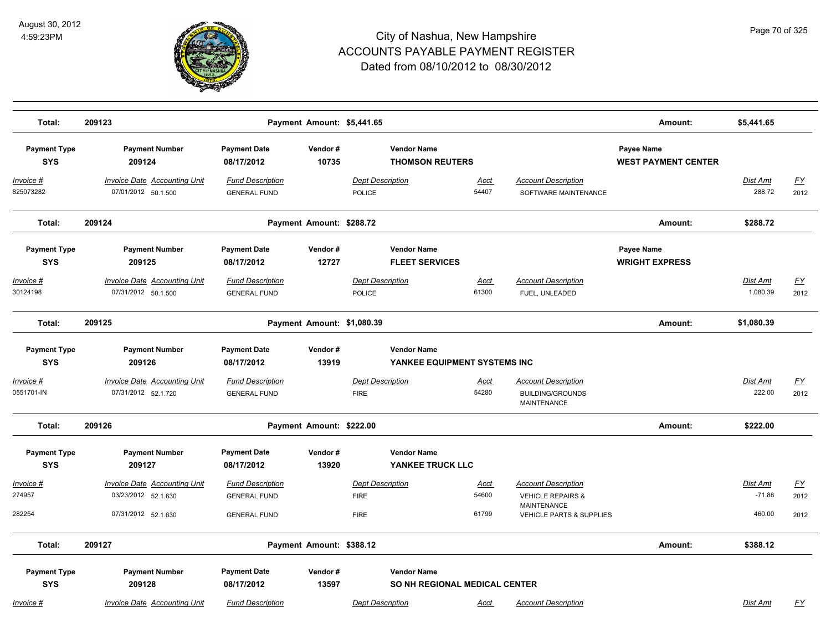

| Total:                            | 209123                                                     |                                                | Payment Amount: \$5,441.65 |                                          |                                                     |                      |                                                                             | Amount:                                  | \$5,441.65           |                          |
|-----------------------------------|------------------------------------------------------------|------------------------------------------------|----------------------------|------------------------------------------|-----------------------------------------------------|----------------------|-----------------------------------------------------------------------------|------------------------------------------|----------------------|--------------------------|
| <b>Payment Type</b><br><b>SYS</b> | <b>Payment Number</b><br>209124                            | <b>Payment Date</b><br>08/17/2012              | Vendor#<br>10735           |                                          | <b>Vendor Name</b><br><b>THOMSON REUTERS</b>        |                      |                                                                             | Payee Name<br><b>WEST PAYMENT CENTER</b> |                      |                          |
| <u> Invoice #</u><br>825073282    | <b>Invoice Date Accounting Unit</b><br>07/01/2012 50.1.500 | <b>Fund Description</b><br><b>GENERAL FUND</b> |                            | <b>Dept Description</b><br><b>POLICE</b> |                                                     | Acct<br>54407        | <b>Account Description</b><br>SOFTWARE MAINTENANCE                          |                                          | Dist Amt<br>288.72   | <u>FY</u><br>2012        |
| Total:                            | 209124                                                     |                                                | Payment Amount: \$288.72   |                                          |                                                     |                      |                                                                             | Amount:                                  | \$288.72             |                          |
| <b>Payment Type</b><br><b>SYS</b> | <b>Payment Number</b><br>209125                            | <b>Payment Date</b><br>08/17/2012              | Vendor#<br>12727           |                                          | <b>Vendor Name</b><br><b>FLEET SERVICES</b>         |                      |                                                                             | Payee Name<br><b>WRIGHT EXPRESS</b>      |                      |                          |
| Invoice #<br>30124198             | Invoice Date Accounting Unit<br>07/31/2012 50.1.500        | <b>Fund Description</b><br><b>GENERAL FUND</b> |                            | <b>Dept Description</b><br><b>POLICE</b> |                                                     | Acct<br>61300        | <b>Account Description</b><br>FUEL, UNLEADED                                |                                          | Dist Amt<br>1,080.39 | <u>FY</u><br>2012        |
| Total:                            | 209125                                                     |                                                | Payment Amount: \$1,080.39 |                                          |                                                     |                      |                                                                             | Amount:                                  | \$1,080.39           |                          |
| <b>Payment Type</b><br><b>SYS</b> | <b>Payment Number</b><br>209126                            | <b>Payment Date</b><br>08/17/2012              | Vendor#<br>13919           |                                          | <b>Vendor Name</b><br>YANKEE EQUIPMENT SYSTEMS INC  |                      |                                                                             |                                          |                      |                          |
| Invoice #<br>0551701-IN           | Invoice Date Accounting Unit<br>07/31/2012 52.1.720        | <b>Fund Description</b><br><b>GENERAL FUND</b> |                            | <b>Dept Description</b><br><b>FIRE</b>   |                                                     | Acct<br>54280        | <b>Account Description</b><br><b>BUILDING/GROUNDS</b><br><b>MAINTENANCE</b> |                                          | Dist Amt<br>222.00   | $\underline{FY}$<br>2012 |
| Total:                            | 209126                                                     |                                                | Payment Amount: \$222.00   |                                          |                                                     |                      |                                                                             | Amount:                                  | \$222.00             |                          |
| <b>Payment Type</b><br><b>SYS</b> | <b>Payment Number</b><br>209127                            | <b>Payment Date</b><br>08/17/2012              | Vendor#<br>13920           |                                          | <b>Vendor Name</b><br>YANKEE TRUCK LLC              |                      |                                                                             |                                          |                      |                          |
| Invoice #<br>274957               | <b>Invoice Date Accounting Unit</b><br>03/23/2012 52.1.630 | <b>Fund Description</b><br><b>GENERAL FUND</b> |                            | <b>Dept Description</b><br><b>FIRE</b>   |                                                     | <u>Acct</u><br>54600 | <b>Account Description</b><br><b>VEHICLE REPAIRS &amp;</b>                  |                                          | Dist Amt<br>$-71.88$ | $\underline{FY}$<br>2012 |
| 282254                            | 07/31/2012 52.1.630                                        | <b>GENERAL FUND</b>                            |                            | <b>FIRE</b>                              |                                                     | 61799                | <b>MAINTENANCE</b><br><b>VEHICLE PARTS &amp; SUPPLIES</b>                   |                                          | 460.00               | 2012                     |
| Total:                            | 209127                                                     |                                                | Payment Amount: \$388.12   |                                          |                                                     |                      |                                                                             | Amount:                                  | \$388.12             |                          |
| <b>Payment Type</b><br><b>SYS</b> | <b>Payment Number</b><br>209128                            | <b>Payment Date</b><br>08/17/2012              | Vendor#<br>13597           |                                          | <b>Vendor Name</b><br>SO NH REGIONAL MEDICAL CENTER |                      |                                                                             |                                          |                      |                          |
| Invoice #                         | Invoice Date Accounting Unit                               | <b>Fund Description</b>                        |                            | <b>Dept Description</b>                  |                                                     | Acct                 | <b>Account Description</b>                                                  |                                          | Dist Amt             | FΥ                       |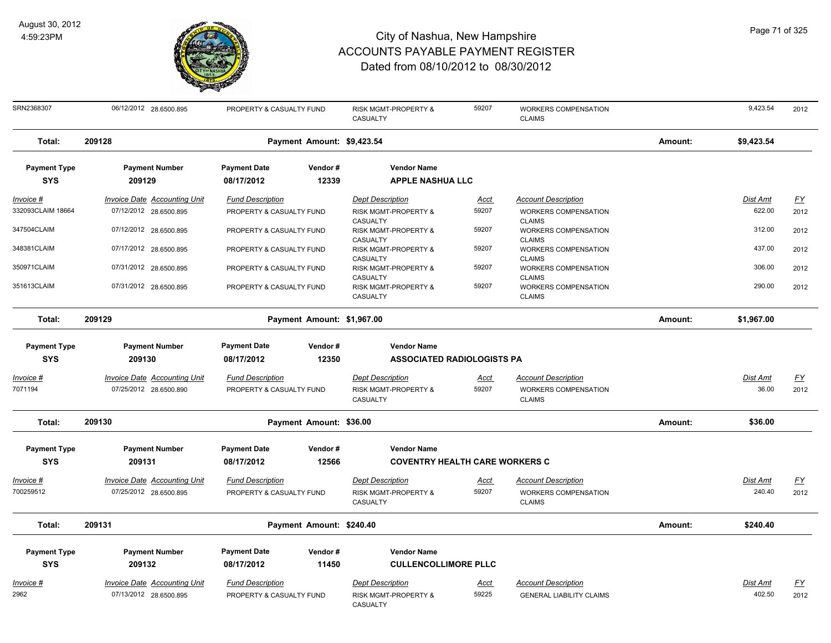

| SRN2368307          | 06/12/2012 28.6500.895              | PROPERTY & CASUALTY FUND |                            | RISK MGMT-PROPERTY &<br>CASUALTY             | 59207       | <b>WORKERS COMPENSATION</b><br><b>CLAIMS</b>           |         | 9,423.54        | 2012      |
|---------------------|-------------------------------------|--------------------------|----------------------------|----------------------------------------------|-------------|--------------------------------------------------------|---------|-----------------|-----------|
| Total:              | 209128                              |                          | Payment Amount: \$9,423.54 |                                              |             |                                                        | Amount: | \$9,423.54      |           |
| <b>Payment Type</b> | <b>Payment Number</b>               | <b>Payment Date</b>      | Vendor#                    | <b>Vendor Name</b>                           |             |                                                        |         |                 |           |
| <b>SYS</b>          | 209129                              | 08/17/2012               | 12339                      | <b>APPLE NASHUA LLC</b>                      |             |                                                        |         |                 |           |
| <u> Invoice #</u>   | <b>Invoice Date Accounting Unit</b> | <b>Fund Description</b>  |                            | <b>Dept Description</b>                      | Acct        | <b>Account Description</b>                             |         | <b>Dist Amt</b> | <u>FY</u> |
| 332093CLAIM 18664   | 07/12/2012 28.6500.895              | PROPERTY & CASUALTY FUND |                            | RISK MGMT-PROPERTY &<br>CASUALTY             | 59207       | WORKERS COMPENSATION<br><b>CLAIMS</b>                  |         | 622.00          | 2012      |
| 347504CLAIM         | 07/12/2012 28.6500.895              | PROPERTY & CASUALTY FUND |                            | RISK MGMT-PROPERTY &                         | 59207       | WORKERS COMPENSATION                                   |         | 312.00          | 2012      |
| 348381CLAIM         | 07/17/2012 28.6500.895              | PROPERTY & CASUALTY FUND |                            | CASUALTY<br>RISK MGMT-PROPERTY &             | 59207       | <b>CLAIMS</b><br>WORKERS COMPENSATION                  |         | 437.00          | 2012      |
|                     |                                     |                          |                            | CASUALTY                                     |             | <b>CLAIMS</b>                                          |         |                 |           |
| 350971CLAIM         | 07/31/2012 28.6500.895              | PROPERTY & CASUALTY FUND |                            | RISK MGMT-PROPERTY &                         | 59207       | WORKERS COMPENSATION                                   |         | 306.00          | 2012      |
| 351613CLAIM         | 07/31/2012 28.6500.895              | PROPERTY & CASUALTY FUND |                            | CASUALTY<br>RISK MGMT-PROPERTY &<br>CASUALTY | 59207       | <b>CLAIMS</b><br>WORKERS COMPENSATION<br><b>CLAIMS</b> |         | 290.00          | 2012      |
| Total:              | 209129                              |                          | Payment Amount: \$1,967.00 |                                              |             |                                                        | Amount: | \$1,967.00      |           |
| <b>Payment Type</b> | <b>Payment Number</b>               | <b>Payment Date</b>      | Vendor#                    | <b>Vendor Name</b>                           |             |                                                        |         |                 |           |
| <b>SYS</b>          | 209130                              | 08/17/2012               | 12350                      | <b>ASSOCIATED RADIOLOGISTS PA</b>            |             |                                                        |         |                 |           |
| Invoice #           | <b>Invoice Date Accounting Unit</b> | <b>Fund Description</b>  |                            | <b>Dept Description</b>                      | Acct        | <b>Account Description</b>                             |         | Dist Amt        | <u>FY</u> |
| 7071194             | 07/25/2012 28.6500.890              | PROPERTY & CASUALTY FUND |                            | RISK MGMT-PROPERTY &<br>CASUALTY             | 59207       | WORKERS COMPENSATION<br><b>CLAIMS</b>                  |         | 36.00           | 2012      |
| Total:              | 209130                              |                          | Payment Amount: \$36.00    |                                              |             |                                                        | Amount: | \$36.00         |           |
| <b>Payment Type</b> | <b>Payment Number</b>               | <b>Payment Date</b>      | Vendor#                    | <b>Vendor Name</b>                           |             |                                                        |         |                 |           |
| <b>SYS</b>          | 209131                              | 08/17/2012               | 12566                      | <b>COVENTRY HEALTH CARE WORKERS C</b>        |             |                                                        |         |                 |           |
| Invoice #           | <b>Invoice Date Accounting Unit</b> | <b>Fund Description</b>  |                            | <b>Dept Description</b>                      | Acct        | <b>Account Description</b>                             |         | Dist Amt        | <u>FY</u> |
| 700259512           | 07/25/2012 28.6500.895              | PROPERTY & CASUALTY FUND |                            | RISK MGMT-PROPERTY &<br>CASUALTY             | 59207       | WORKERS COMPENSATION<br><b>CLAIMS</b>                  |         | 240.40          | 2012      |
| Total:              | 209131                              |                          | Payment Amount: \$240.40   |                                              |             |                                                        | Amount: | \$240.40        |           |
| <b>Payment Type</b> | <b>Payment Number</b>               | <b>Payment Date</b>      | Vendor#                    | <b>Vendor Name</b>                           |             |                                                        |         |                 |           |
| <b>SYS</b>          | 209132                              | 08/17/2012               | 11450                      | <b>CULLENCOLLIMORE PLLC</b>                  |             |                                                        |         |                 |           |
| Invoice #           | Invoice Date Accounting Unit        | <b>Fund Description</b>  |                            | <b>Dept Description</b>                      | <b>Acct</b> | <b>Account Description</b>                             |         | Dist Amt        | <u>FY</u> |
| 2962                | 07/13/2012 28.6500.895              | PROPERTY & CASUALTY FUND |                            | RISK MGMT-PROPERTY &<br>CASUALTY             | 59225       | <b>GENERAL LIABILITY CLAIMS</b>                        |         | 402.50          | 2012      |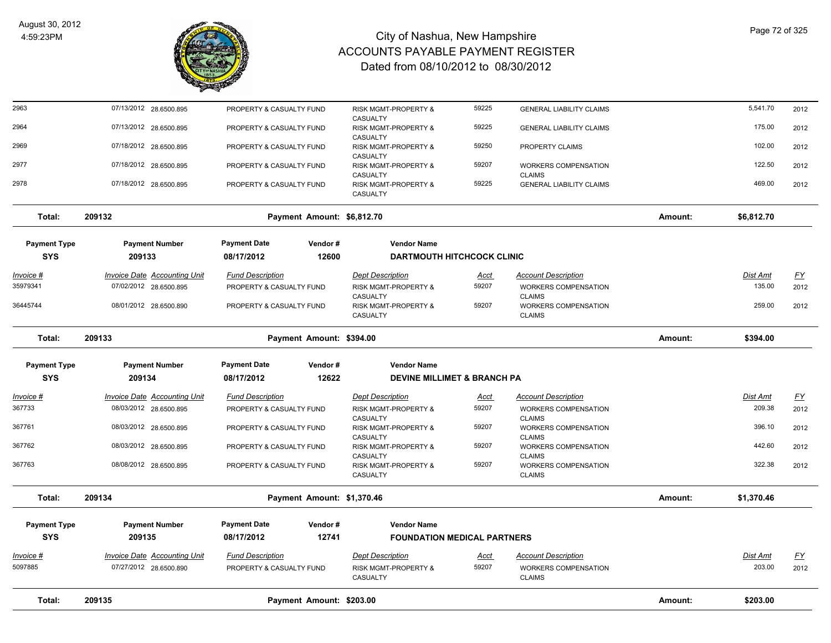

| <b>Payment Type</b><br>209135<br><b>Invoice Date Accounting Unit</b> | 08/17/2012<br><b>Fund Description</b>                                                                                         | 12741                                                                     | <b>FOUNDATION MEDICAL PARTNERS</b><br><b>Dept Description</b>                                                                                                                                                                                                       | <u>Acct</u>                                                                                                                                                                              | <b>Account Description</b>                                                                           |                                                                                                                                                                                                             | Dist Amt   | $\underline{FY}$                        |
|----------------------------------------------------------------------|-------------------------------------------------------------------------------------------------------------------------------|---------------------------------------------------------------------------|---------------------------------------------------------------------------------------------------------------------------------------------------------------------------------------------------------------------------------------------------------------------|------------------------------------------------------------------------------------------------------------------------------------------------------------------------------------------|------------------------------------------------------------------------------------------------------|-------------------------------------------------------------------------------------------------------------------------------------------------------------------------------------------------------------|------------|-----------------------------------------|
|                                                                      |                                                                                                                               |                                                                           |                                                                                                                                                                                                                                                                     |                                                                                                                                                                                          |                                                                                                      |                                                                                                                                                                                                             |            |                                         |
|                                                                      |                                                                                                                               |                                                                           |                                                                                                                                                                                                                                                                     |                                                                                                                                                                                          |                                                                                                      |                                                                                                                                                                                                             |            |                                         |
| 209134                                                               | Payment Amount: \$1,370.46                                                                                                    |                                                                           |                                                                                                                                                                                                                                                                     |                                                                                                                                                                                          |                                                                                                      | Amount:                                                                                                                                                                                                     | \$1,370.46 |                                         |
| 08/08/2012 28.6500.895                                               |                                                                                                                               |                                                                           | RISK MGMT-PROPERTY &<br>CASUALTY                                                                                                                                                                                                                                    | 59207                                                                                                                                                                                    | <b>WORKERS COMPENSATION</b><br><b>CLAIMS</b>                                                         |                                                                                                                                                                                                             | 322.38     | 2012                                    |
| 08/03/2012 28.6500.895                                               |                                                                                                                               |                                                                           | RISK MGMT-PROPERTY &<br>CASUALTY                                                                                                                                                                                                                                    | 59207                                                                                                                                                                                    | <b>WORKERS COMPENSATION</b><br><b>CLAIMS</b>                                                         |                                                                                                                                                                                                             | 442.60     | 2012                                    |
| 08/03/2012 28.6500.895                                               |                                                                                                                               |                                                                           | RISK MGMT-PROPERTY &                                                                                                                                                                                                                                                | 59207                                                                                                                                                                                    | WORKERS COMPENSATION                                                                                 |                                                                                                                                                                                                             | 396.10     | 2012                                    |
| 08/03/2012 28.6500.895                                               |                                                                                                                               |                                                                           | RISK MGMT-PROPERTY &                                                                                                                                                                                                                                                | 59207                                                                                                                                                                                    | WORKERS COMPENSATION                                                                                 |                                                                                                                                                                                                             | 209.38     | 2012                                    |
|                                                                      |                                                                                                                               |                                                                           |                                                                                                                                                                                                                                                                     |                                                                                                                                                                                          |                                                                                                      |                                                                                                                                                                                                             |            | <u>FY</u>                               |
| 209134                                                               | 08/17/2012                                                                                                                    | 12622                                                                     |                                                                                                                                                                                                                                                                     |                                                                                                                                                                                          |                                                                                                      |                                                                                                                                                                                                             |            |                                         |
|                                                                      |                                                                                                                               |                                                                           |                                                                                                                                                                                                                                                                     |                                                                                                                                                                                          |                                                                                                      |                                                                                                                                                                                                             |            |                                         |
|                                                                      |                                                                                                                               |                                                                           |                                                                                                                                                                                                                                                                     |                                                                                                                                                                                          |                                                                                                      |                                                                                                                                                                                                             |            |                                         |
| 08/01/2012 28.6500.890                                               |                                                                                                                               |                                                                           | RISK MGMT-PROPERTY &<br>CASUALTY                                                                                                                                                                                                                                    | 59207                                                                                                                                                                                    | <b>WORKERS COMPENSATION</b><br><b>CLAIMS</b>                                                         |                                                                                                                                                                                                             | 259.00     | 2012                                    |
| 07/02/2012 28.6500.895                                               |                                                                                                                               |                                                                           | <b>RISK MGMT-PROPERTY &amp;</b>                                                                                                                                                                                                                                     | 59207                                                                                                                                                                                    | <b>WORKERS COMPENSATION</b>                                                                          |                                                                                                                                                                                                             | 135.00     | 2012                                    |
|                                                                      |                                                                                                                               |                                                                           |                                                                                                                                                                                                                                                                     |                                                                                                                                                                                          |                                                                                                      |                                                                                                                                                                                                             |            | <u>FY</u>                               |
| <b>Payment Type</b><br><b>Payment Number</b><br>209133               | <b>Payment Date</b><br>08/17/2012                                                                                             | Vendor#<br>12600                                                          | <b>Vendor Name</b>                                                                                                                                                                                                                                                  |                                                                                                                                                                                          |                                                                                                      |                                                                                                                                                                                                             |            |                                         |
| 209132                                                               | Payment Amount: \$6,812.70                                                                                                    |                                                                           |                                                                                                                                                                                                                                                                     |                                                                                                                                                                                          |                                                                                                      | Amount:                                                                                                                                                                                                     | \$6,812.70 |                                         |
| 07/18/2012 28.6500.895                                               |                                                                                                                               |                                                                           | RISK MGMT-PROPERTY &<br>CASUALTY                                                                                                                                                                                                                                    | 59225                                                                                                                                                                                    | <b>GENERAL LIABILITY CLAIMS</b>                                                                      |                                                                                                                                                                                                             | 469.00     | 2012                                    |
| 07/18/2012 28.6500.895                                               |                                                                                                                               |                                                                           | RISK MGMT-PROPERTY &                                                                                                                                                                                                                                                | 59207                                                                                                                                                                                    | <b>WORKERS COMPENSATION</b>                                                                          |                                                                                                                                                                                                             | 122.50     | 2012                                    |
| 07/18/2012 28.6500.895                                               | PROPERTY & CASUALTY FUND                                                                                                      |                                                                           | RISK MGMT-PROPERTY &                                                                                                                                                                                                                                                | 59250                                                                                                                                                                                    | PROPERTY CLAIMS                                                                                      |                                                                                                                                                                                                             | 102.00     | 2012                                    |
| 07/13/2012 28.6500.895                                               | PROPERTY & CASUALTY FUND                                                                                                      |                                                                           | RISK MGMT-PROPERTY &                                                                                                                                                                                                                                                | 59225                                                                                                                                                                                    | <b>GENERAL LIABILITY CLAIMS</b>                                                                      |                                                                                                                                                                                                             | 175.00     | 2012                                    |
| 07/13/2012 28.6500.895                                               |                                                                                                                               |                                                                           | RISK MGMT-PROPERTY &                                                                                                                                                                                                                                                | 59225                                                                                                                                                                                    | <b>GENERAL LIABILITY CLAIMS</b>                                                                      |                                                                                                                                                                                                             | 5,541.70   | 2012                                    |
|                                                                      | <b>Invoice Date Accounting Unit</b><br>209133<br><b>Payment Type</b><br><b>Payment Number</b><br>Invoice Date Accounting Unit | <b>Fund Description</b><br><b>Payment Date</b><br><b>Fund Description</b> | PROPERTY & CASUALTY FUND<br>PROPERTY & CASUALTY FUND<br>PROPERTY & CASUALTY FUND<br>PROPERTY & CASUALTY FUND<br>PROPERTY & CASUALTY FUND<br>Vendor#<br>PROPERTY & CASUALTY FUND<br>PROPERTY & CASUALTY FUND<br>PROPERTY & CASUALTY FUND<br>PROPERTY & CASUALTY FUND | CASUALTY<br>CASUALTY<br>CASUALTY<br>CASUALTY<br><b>Dept Description</b><br>CASUALTY<br>Payment Amount: \$394.00<br><b>Vendor Name</b><br><b>Dept Description</b><br>CASUALTY<br>CASUALTY | <u>Acct</u><br>Acct<br><b>Payment Number</b><br><b>Payment Date</b><br>Vendor#<br><b>Vendor Name</b> | <b>CLAIMS</b><br><b>DARTMOUTH HITCHCOCK CLINIC</b><br><b>Account Description</b><br><b>CLAIMS</b><br><b>DEVINE MILLIMET &amp; BRANCH PA</b><br><b>Account Description</b><br><b>CLAIMS</b><br><b>CLAIMS</b> | Amount:    | <b>Dist Amt</b><br>\$394.00<br>Dist Amt |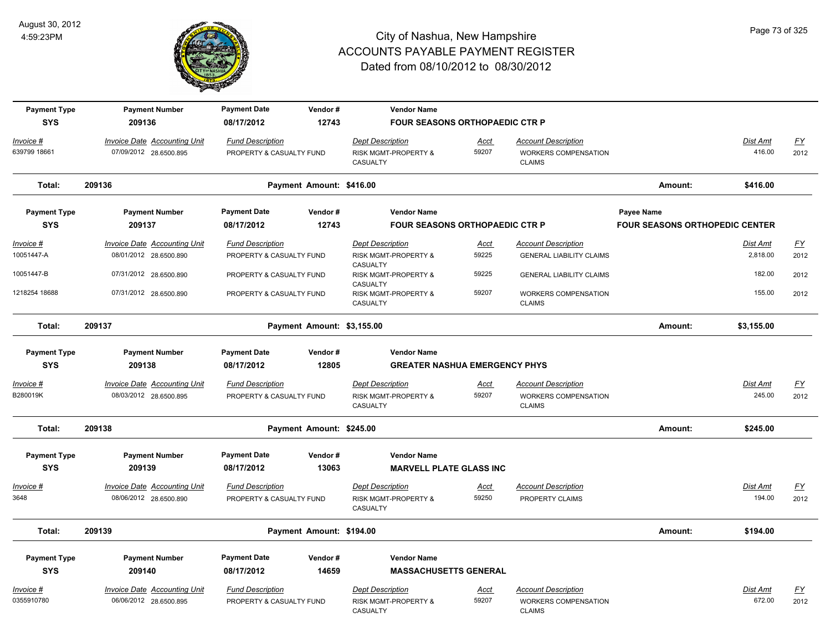

| <b>Payment Type</b>       | <b>Payment Number</b>                                         | <b>Payment Date</b>                                 | Vendor#                    | <b>Vendor Name</b>                                         |                                       |                                                           |                                       |                           |                                   |
|---------------------------|---------------------------------------------------------------|-----------------------------------------------------|----------------------------|------------------------------------------------------------|---------------------------------------|-----------------------------------------------------------|---------------------------------------|---------------------------|-----------------------------------|
| <b>SYS</b>                | 209136                                                        | 08/17/2012                                          | 12743                      |                                                            | <b>FOUR SEASONS ORTHOPAEDIC CTR P</b> |                                                           |                                       |                           |                                   |
| Invoice #                 | <b>Invoice Date Accounting Unit</b>                           | <b>Fund Description</b>                             |                            | <b>Dept Description</b>                                    | Acct                                  | <b>Account Description</b>                                |                                       | <b>Dist Amt</b>           | $\underline{FY}$                  |
| 639799 18661              | 07/09/2012 28.6500.895                                        | PROPERTY & CASUALTY FUND                            |                            | RISK MGMT-PROPERTY &                                       | 59207                                 | <b>WORKERS COMPENSATION</b>                               |                                       | 416.00                    | 2012                              |
|                           |                                                               |                                                     |                            | CASUALTY                                                   |                                       | <b>CLAIMS</b>                                             |                                       |                           |                                   |
| Total:                    | 209136                                                        |                                                     | Payment Amount: \$416.00   |                                                            |                                       |                                                           | Amount:                               | \$416.00                  |                                   |
| <b>Payment Type</b>       | <b>Payment Number</b>                                         | <b>Payment Date</b>                                 | Vendor#                    | <b>Vendor Name</b>                                         |                                       |                                                           | Payee Name                            |                           |                                   |
| <b>SYS</b>                | 209137                                                        | 08/17/2012                                          | 12743                      |                                                            | <b>FOUR SEASONS ORTHOPAEDIC CTR P</b> |                                                           | <b>FOUR SEASONS ORTHOPEDIC CENTER</b> |                           |                                   |
| $Invoice$ #               | <b>Invoice Date Accounting Unit</b>                           | <b>Fund Description</b>                             |                            | <b>Dept Description</b>                                    | <u>Acct</u>                           | <b>Account Description</b>                                |                                       | <b>Dist Amt</b>           | EY                                |
| 10051447-A                | 08/01/2012 28.6500.890                                        | PROPERTY & CASUALTY FUND                            |                            | RISK MGMT-PROPERTY &                                       | 59225                                 | <b>GENERAL LIABILITY CLAIMS</b>                           |                                       | 2,818.00                  | 2012                              |
| 10051447-B                | 07/31/2012 28.6500.890                                        | PROPERTY & CASUALTY FUND                            |                            | CASUALTY<br>RISK MGMT-PROPERTY &                           | 59225                                 | <b>GENERAL LIABILITY CLAIMS</b>                           |                                       | 182.00                    | 2012                              |
|                           |                                                               |                                                     |                            | CASUALTY                                                   |                                       |                                                           |                                       |                           |                                   |
| 1218254 18688             | 07/31/2012 28.6500.890                                        | PROPERTY & CASUALTY FUND                            |                            | RISK MGMT-PROPERTY &<br>CASUALTY                           | 59207                                 | WORKERS COMPENSATION<br><b>CLAIMS</b>                     |                                       | 155.00                    | 2012                              |
|                           |                                                               |                                                     |                            |                                                            |                                       |                                                           |                                       |                           |                                   |
| Total:                    | 209137                                                        |                                                     | Payment Amount: \$3,155.00 |                                                            |                                       |                                                           | Amount:                               | \$3,155.00                |                                   |
| <b>Payment Type</b>       | <b>Payment Number</b>                                         | <b>Payment Date</b>                                 | Vendor#                    | <b>Vendor Name</b>                                         |                                       |                                                           |                                       |                           |                                   |
| <b>SYS</b>                | 209138                                                        | 08/17/2012                                          | 12805                      |                                                            | <b>GREATER NASHUA EMERGENCY PHYS</b>  |                                                           |                                       |                           |                                   |
| Invoice #                 | <b>Invoice Date Accounting Unit</b>                           | <b>Fund Description</b>                             |                            | <b>Dept Description</b>                                    | <b>Acct</b>                           | <b>Account Description</b>                                |                                       | <b>Dist Amt</b>           | <u>FY</u>                         |
| B280019K                  | 08/03/2012 28.6500.895                                        | PROPERTY & CASUALTY FUND                            |                            | RISK MGMT-PROPERTY &                                       | 59207                                 | <b>WORKERS COMPENSATION</b>                               |                                       | 245.00                    | 2012                              |
|                           |                                                               |                                                     |                            | CASUALTY                                                   |                                       | <b>CLAIMS</b>                                             |                                       |                           |                                   |
| Total:                    | 209138                                                        |                                                     | Payment Amount: \$245.00   |                                                            |                                       |                                                           | Amount:                               | \$245.00                  |                                   |
| <b>Payment Type</b>       | <b>Payment Number</b>                                         | <b>Payment Date</b>                                 | Vendor#                    | <b>Vendor Name</b>                                         |                                       |                                                           |                                       |                           |                                   |
| <b>SYS</b>                | 209139                                                        | 08/17/2012                                          | 13063                      | <b>MARVELL PLATE GLASS INC</b>                             |                                       |                                                           |                                       |                           |                                   |
|                           | <b>Invoice Date Accounting Unit</b>                           | <b>Fund Description</b>                             |                            | <b>Dept Description</b>                                    |                                       | <b>Account Description</b>                                |                                       | Dist Amt                  |                                   |
| Invoice #<br>3648         | 08/06/2012 28.6500.890                                        | PROPERTY & CASUALTY FUND                            |                            | RISK MGMT-PROPERTY &                                       | Acct<br>59250                         | PROPERTY CLAIMS                                           |                                       | 194.00                    | <u>FY</u><br>2012                 |
|                           |                                                               |                                                     |                            | CASUALTY                                                   |                                       |                                                           |                                       |                           |                                   |
| Total:                    | 209139                                                        |                                                     | Payment Amount: \$194.00   |                                                            |                                       |                                                           | Amount:                               | \$194.00                  |                                   |
| <b>Payment Type</b>       | <b>Payment Number</b>                                         | <b>Payment Date</b>                                 | Vendor#                    | <b>Vendor Name</b>                                         |                                       |                                                           |                                       |                           |                                   |
| <b>SYS</b>                | 209140                                                        | 08/17/2012                                          | 14659                      | <b>MASSACHUSETTS GENERAL</b>                               |                                       |                                                           |                                       |                           |                                   |
|                           |                                                               |                                                     |                            |                                                            |                                       |                                                           |                                       |                           |                                   |
| $Invoice$ #<br>0355910780 | <b>Invoice Date Accounting Unit</b><br>06/06/2012 28.6500.895 | <b>Fund Description</b><br>PROPERTY & CASUALTY FUND |                            | <b>Dept Description</b><br><b>RISK MGMT-PROPERTY &amp;</b> | <u>Acct</u><br>59207                  | <b>Account Description</b><br><b>WORKERS COMPENSATION</b> |                                       | <b>Dist Amt</b><br>672.00 | $\underline{\mathsf{FY}}$<br>2012 |
|                           |                                                               |                                                     |                            | CASUALTY                                                   |                                       | <b>CLAIMS</b>                                             |                                       |                           |                                   |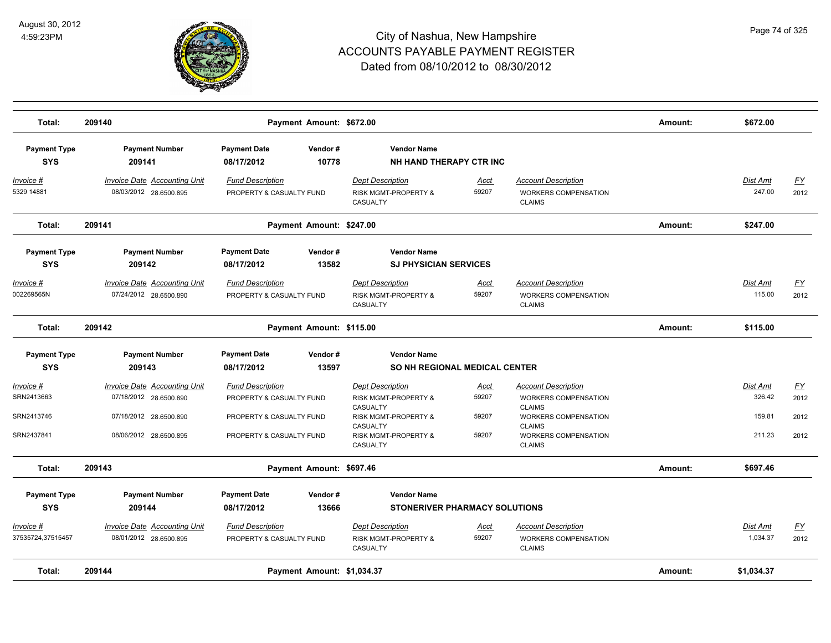

| Total:                            | 209140                                                        |                                                      | Payment Amount: \$672.00   |                                                                               |                      |                                                                                       | Amount: | \$672.00             |                   |
|-----------------------------------|---------------------------------------------------------------|------------------------------------------------------|----------------------------|-------------------------------------------------------------------------------|----------------------|---------------------------------------------------------------------------------------|---------|----------------------|-------------------|
| <b>Payment Type</b><br><b>SYS</b> | <b>Payment Number</b><br>209141                               | <b>Payment Date</b><br>08/17/2012                    | Vendor#<br>10778           | <b>Vendor Name</b><br>NH HAND THERAPY CTR INC                                 |                      |                                                                                       |         |                      |                   |
| Invoice #<br>5329 14881           | <b>Invoice Date Accounting Unit</b><br>08/03/2012 28.6500.895 | <b>Fund Description</b><br>PROPERTY & CASUALTY FUND  |                            | <b>Dept Description</b><br><b>RISK MGMT-PROPERTY &amp;</b><br><b>CASUALTY</b> | Acct<br>59207        | <b>Account Description</b><br><b>WORKERS COMPENSATION</b><br><b>CLAIMS</b>            |         | Dist Amt<br>247.00   | <u>FY</u><br>2012 |
| Total:                            | 209141                                                        |                                                      | Payment Amount: \$247.00   |                                                                               |                      |                                                                                       | Amount: | \$247.00             |                   |
| <b>Payment Type</b><br><b>SYS</b> | <b>Payment Number</b><br>209142                               | <b>Payment Date</b><br>08/17/2012                    | Vendor#<br>13582           | <b>Vendor Name</b><br><b>SJ PHYSICIAN SERVICES</b>                            |                      |                                                                                       |         |                      |                   |
| Invoice #<br>002269565N           | Invoice Date Accounting Unit<br>07/24/2012 28.6500.890        | <b>Fund Description</b><br>PROPERTY & CASUALTY FUND  |                            | <b>Dept Description</b><br><b>RISK MGMT-PROPERTY &amp;</b><br>CASUALTY        | Acct<br>59207        | <b>Account Description</b><br><b>WORKERS COMPENSATION</b><br><b>CLAIMS</b>            |         | Dist Amt<br>115.00   | EY<br>2012        |
| Total:                            | 209142                                                        |                                                      | Payment Amount: \$115.00   |                                                                               |                      |                                                                                       | Amount: | \$115.00             |                   |
| <b>Payment Type</b><br><b>SYS</b> | <b>Payment Number</b><br>209143                               | <b>Payment Date</b><br>08/17/2012                    | Vendor#<br>13597           | <b>Vendor Name</b><br><b>SO NH REGIONAL MEDICAL CENTER</b>                    |                      |                                                                                       |         |                      |                   |
| Invoice #<br>SRN2413663           | <b>Invoice Date Accounting Unit</b><br>07/18/2012 28.6500.890 | <b>Fund Description</b><br>PROPERTY & CASUALTY FUND  |                            | <b>Dept Description</b><br>RISK MGMT-PROPERTY &<br>CASUALTY                   | Acct<br>59207        | <b>Account Description</b><br>WORKERS COMPENSATION<br><b>CLAIMS</b>                   |         | Dist Amt<br>326.42   | <u>FY</u><br>2012 |
| SRN2413746<br>SRN2437841          | 07/18/2012 28.6500.890<br>08/06/2012 28.6500.895              | PROPERTY & CASUALTY FUND<br>PROPERTY & CASUALTY FUND |                            | RISK MGMT-PROPERTY &<br>CASUALTY<br>RISK MGMT-PROPERTY &<br>CASUALTY          | 59207<br>59207       | WORKERS COMPENSATION<br><b>CLAIMS</b><br><b>WORKERS COMPENSATION</b><br><b>CLAIMS</b> |         | 159.81<br>211.23     | 2012<br>2012      |
| Total:                            | 209143                                                        |                                                      | Payment Amount: \$697.46   |                                                                               |                      |                                                                                       | Amount: | \$697.46             |                   |
| <b>Payment Type</b><br><b>SYS</b> | <b>Payment Number</b><br>209144                               | <b>Payment Date</b><br>08/17/2012                    | Vendor#<br>13666           | <b>Vendor Name</b><br><b>STONERIVER PHARMACY SOLUTIONS</b>                    |                      |                                                                                       |         |                      |                   |
| Invoice #<br>37535724,37515457    | <b>Invoice Date Accounting Unit</b><br>08/01/2012 28.6500.895 | <b>Fund Description</b><br>PROPERTY & CASUALTY FUND  |                            | <b>Dept Description</b><br>RISK MGMT-PROPERTY &<br>CASUALTY                   | <u>Acct</u><br>59207 | <b>Account Description</b><br>WORKERS COMPENSATION<br><b>CLAIMS</b>                   |         | Dist Amt<br>1,034.37 | <u>FY</u><br>2012 |
| Total:                            | 209144                                                        |                                                      | Payment Amount: \$1,034.37 |                                                                               |                      |                                                                                       | Amount: | \$1,034.37           |                   |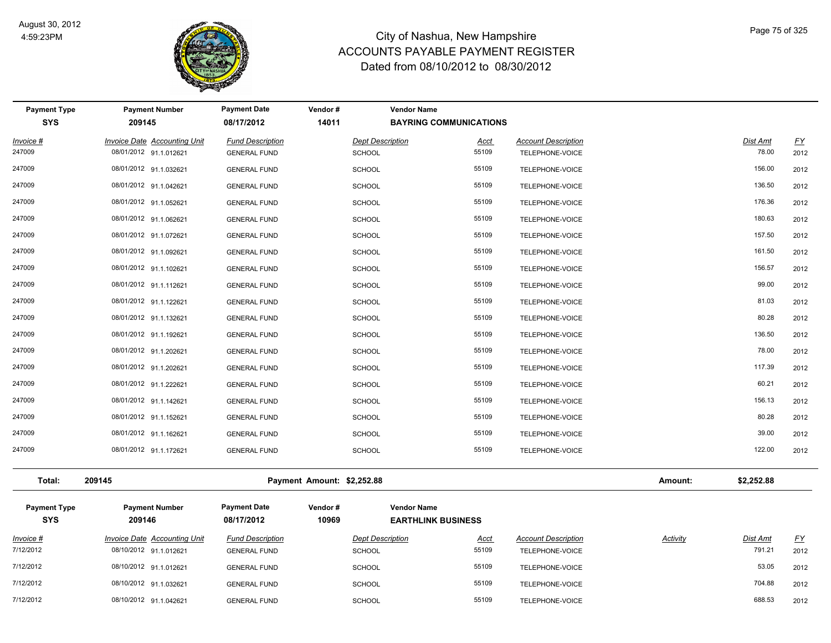

| <b>Payment Type</b><br><b>SYS</b> | <b>Payment Number</b><br>209145                        | <b>Payment Date</b><br>08/17/2012              | Vendor#<br>14011                         | <b>Vendor Name</b><br><b>BAYRING COMMUNICATIONS</b> |                                               |         |                   |                          |
|-----------------------------------|--------------------------------------------------------|------------------------------------------------|------------------------------------------|-----------------------------------------------------|-----------------------------------------------|---------|-------------------|--------------------------|
| Invoice #<br>247009               | Invoice Date Accounting Unit<br>08/01/2012 91.1.012621 | <b>Fund Description</b><br><b>GENERAL FUND</b> | <b>Dept Description</b><br><b>SCHOOL</b> | Acct<br>55109                                       | <b>Account Description</b><br>TELEPHONE-VOICE |         | Dist Amt<br>78.00 | $\underline{FY}$<br>2012 |
| 247009                            | 08/01/2012 91.1.032621                                 | <b>GENERAL FUND</b>                            | SCHOOL                                   | 55109                                               | TELEPHONE-VOICE                               |         | 156.00            | 2012                     |
| 247009                            | 08/01/2012 91.1.042621                                 | <b>GENERAL FUND</b>                            | <b>SCHOOL</b>                            | 55109                                               | TELEPHONE-VOICE                               |         | 136.50            | 2012                     |
| 247009                            | 08/01/2012 91.1.052621                                 | <b>GENERAL FUND</b>                            | <b>SCHOOL</b>                            | 55109                                               | TELEPHONE-VOICE                               |         | 176.36            | 2012                     |
| 247009                            | 08/01/2012 91.1.062621                                 | <b>GENERAL FUND</b>                            | <b>SCHOOL</b>                            | 55109                                               | TELEPHONE-VOICE                               |         | 180.63            | 2012                     |
| 247009                            | 08/01/2012 91.1.072621                                 | <b>GENERAL FUND</b>                            | <b>SCHOOL</b>                            | 55109                                               | TELEPHONE-VOICE                               |         | 157.50            | 2012                     |
| 247009                            | 08/01/2012 91.1.092621                                 | <b>GENERAL FUND</b>                            | <b>SCHOOL</b>                            | 55109                                               | TELEPHONE-VOICE                               |         | 161.50            | 2012                     |
| 247009                            | 08/01/2012 91.1.102621                                 | <b>GENERAL FUND</b>                            | <b>SCHOOL</b>                            | 55109                                               | TELEPHONE-VOICE                               |         | 156.57            | 2012                     |
| 247009                            | 08/01/2012 91.1.112621                                 | <b>GENERAL FUND</b>                            | <b>SCHOOL</b>                            | 55109                                               | TELEPHONE-VOICE                               |         | 99.00             | 2012                     |
| 247009                            | 08/01/2012 91.1.122621                                 | <b>GENERAL FUND</b>                            | <b>SCHOOL</b>                            | 55109                                               | TELEPHONE-VOICE                               |         | 81.03             | 2012                     |
| 247009                            | 08/01/2012 91.1.132621                                 | <b>GENERAL FUND</b>                            | <b>SCHOOL</b>                            | 55109                                               | TELEPHONE-VOICE                               |         | 80.28             | 2012                     |
| 247009                            | 08/01/2012 91.1.192621                                 | <b>GENERAL FUND</b>                            | <b>SCHOOL</b>                            | 55109                                               | TELEPHONE-VOICE                               |         | 136.50            | 2012                     |
| 247009                            | 08/01/2012 91.1.202621                                 | <b>GENERAL FUND</b>                            | <b>SCHOOL</b>                            | 55109                                               | TELEPHONE-VOICE                               |         | 78.00             | 2012                     |
| 247009                            | 08/01/2012 91.1.202621                                 | <b>GENERAL FUND</b>                            | <b>SCHOOL</b>                            | 55109                                               | TELEPHONE-VOICE                               |         | 117.39            | 2012                     |
| 247009                            | 08/01/2012 91.1.222621                                 | <b>GENERAL FUND</b>                            | <b>SCHOOL</b>                            | 55109                                               | TELEPHONE-VOICE                               |         | 60.21             | 2012                     |
| 247009                            | 08/01/2012 91.1.142621                                 | <b>GENERAL FUND</b>                            | <b>SCHOOL</b>                            | 55109                                               | TELEPHONE-VOICE                               |         | 156.13            | 2012                     |
| 247009                            | 08/01/2012 91.1.152621                                 | <b>GENERAL FUND</b>                            | <b>SCHOOL</b>                            | 55109                                               | TELEPHONE-VOICE                               |         | 80.28             | 2012                     |
| 247009                            | 08/01/2012 91.1.162621                                 | <b>GENERAL FUND</b>                            | <b>SCHOOL</b>                            | 55109                                               | TELEPHONE-VOICE                               |         | 39.00             | 2012                     |
| 247009                            | 08/01/2012 91.1.172621                                 | <b>GENERAL FUND</b>                            | <b>SCHOOL</b>                            | 55109                                               | TELEPHONE-VOICE                               |         | 122.00            | 2012                     |
| Total:                            | 209145                                                 |                                                | Payment Amount: \$2,252.88               |                                                     |                                               | Amount: | \$2,252.88        |                          |
| <b>Payment Type</b><br><b>SYS</b> | <b>Payment Number</b><br>209146                        | <b>Payment Date</b><br>08/17/2012              | Vendor#<br>10969                         | <b>Vendor Name</b><br><b>EARTHLINK BUSINESS</b>     |                                               |         |                   |                          |

| Invoice # | <b>Invoice Date Accounting Unit</b> | <b>Fund Description</b> | <b>Dept Description</b> | <u>Acct</u> | <b>Account Description</b> | <b>Activity</b> | <b>Dist Amt</b> | <u>FY</u> |
|-----------|-------------------------------------|-------------------------|-------------------------|-------------|----------------------------|-----------------|-----------------|-----------|
| 7/12/2012 | 08/10/2012 91.1.012621              | <b>GENERAL FUND</b>     | <b>SCHOOL</b>           | 55109       | TELEPHONE-VOICE            |                 | 791.21          | 2012      |
| 7/12/2012 | 08/10/2012 91.1.012621              | <b>GENERAL FUND</b>     | <b>SCHOOL</b>           | 55109       | TELEPHONE-VOICE            |                 | 53.05           | 2012      |
| 7/12/2012 | 08/10/2012 91.1.032621              | <b>GENERAL FUND</b>     | <b>SCHOOL</b>           | 55109       | TELEPHONE-VOICE            |                 | 704.88          | 2012      |
| 7/12/2012 | 08/10/2012 91.1.042621              | <b>GENERAL FUND</b>     | <b>SCHOOL</b>           | 55109       | TELEPHONE-VOICE            |                 | 688.53          | 2012      |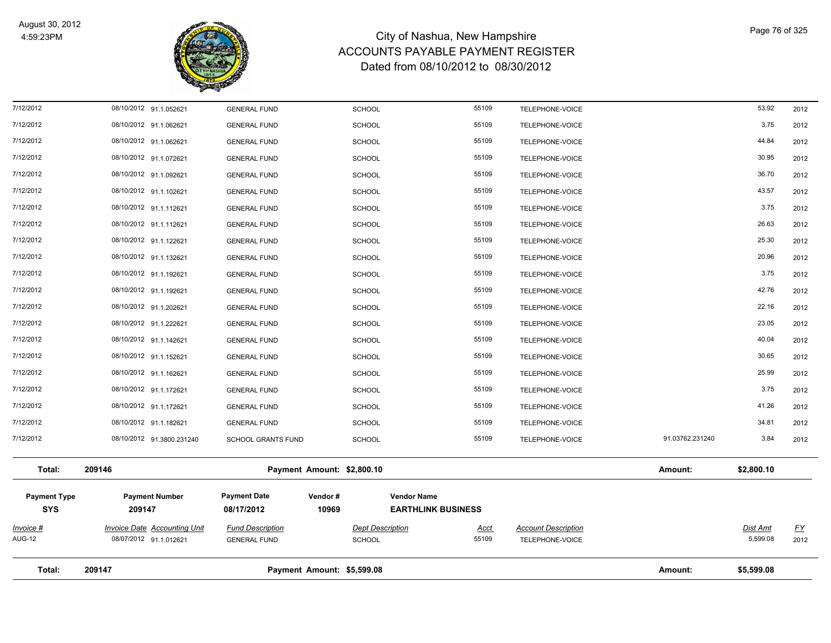

| Total:                     | 209147                                                        |                                                | Payment Amount: \$5,599.08               |                           |                                               | Amount:         | \$5,599.08                  |                   |
|----------------------------|---------------------------------------------------------------|------------------------------------------------|------------------------------------------|---------------------------|-----------------------------------------------|-----------------|-----------------------------|-------------------|
|                            |                                                               |                                                |                                          |                           |                                               |                 |                             |                   |
| <u>Invoice #</u><br>AUG-12 | <b>Invoice Date Accounting Unit</b><br>08/07/2012 91.1.012621 | <b>Fund Description</b><br><b>GENERAL FUND</b> | <b>Dept Description</b><br><b>SCHOOL</b> | <u>Acct</u><br>55109      | <b>Account Description</b><br>TELEPHONE-VOICE |                 | <b>Dist Amt</b><br>5,599.08 | <u>FY</u><br>2012 |
| <b>SYS</b>                 | 209147                                                        | 08/17/2012                                     | 10969                                    | <b>EARTHLINK BUSINESS</b> |                                               |                 |                             |                   |
| <b>Payment Type</b>        | <b>Payment Number</b>                                         | <b>Payment Date</b>                            | Vendor#                                  | <b>Vendor Name</b>        |                                               |                 |                             |                   |
| Total:                     | 209146                                                        |                                                | Payment Amount: \$2,800.10               |                           |                                               | Amount:         | \$2,800.10                  |                   |
| 7/12/2012                  | 08/10/2012 91.3800.231240                                     | <b>SCHOOL GRANTS FUND</b>                      | <b>SCHOOL</b>                            | 55109                     | TELEPHONE-VOICE                               | 91.03762.231240 | 3.84                        | 2012              |
| 7/12/2012                  | 08/10/2012 91.1.182621                                        | <b>GENERAL FUND</b>                            | <b>SCHOOL</b>                            | 55109                     | TELEPHONE-VOICE                               |                 | 34.81                       | 2012              |
| 7/12/2012                  | 08/10/2012 91.1.172621                                        | <b>GENERAL FUND</b>                            | <b>SCHOOL</b>                            | 55109                     | TELEPHONE-VOICE                               |                 | 41.26                       | 2012              |
| 7/12/2012                  | 08/10/2012 91.1.172621                                        | <b>GENERAL FUND</b>                            | <b>SCHOOL</b>                            | 55109                     | TELEPHONE-VOICE                               |                 | 3.75                        | 2012              |
| 7/12/2012                  | 08/10/2012 91.1.162621                                        | <b>GENERAL FUND</b>                            | <b>SCHOOL</b>                            | 55109                     | TELEPHONE-VOICE                               |                 | 25.99                       | 2012              |
| 7/12/2012                  | 08/10/2012 91.1.152621                                        | <b>GENERAL FUND</b>                            | <b>SCHOOL</b>                            | 55109                     | TELEPHONE-VOICE                               |                 | 30.65                       | 2012              |
| 7/12/2012                  | 08/10/2012 91.1.142621                                        | <b>GENERAL FUND</b>                            | <b>SCHOOL</b>                            | 55109                     | TELEPHONE-VOICE                               |                 | 40.04                       | 2012              |
| 7/12/2012                  | 08/10/2012 91.1.222621                                        | <b>GENERAL FUND</b>                            | <b>SCHOOL</b>                            | 55109                     | TELEPHONE-VOICE                               |                 | 23.05                       | 2012              |
| 7/12/2012                  | 08/10/2012 91.1.202621                                        | <b>GENERAL FUND</b>                            | <b>SCHOOL</b>                            | 55109                     | TELEPHONE-VOICE                               |                 | 22.16                       | 2012              |
| 7/12/2012                  | 08/10/2012 91.1.192621                                        | <b>GENERAL FUND</b>                            | <b>SCHOOL</b>                            | 55109                     | TELEPHONE-VOICE                               |                 | 42.76                       | 2012              |
| 7/12/2012                  | 08/10/2012 91.1.192621                                        | <b>GENERAL FUND</b>                            | <b>SCHOOL</b>                            | 55109                     | TELEPHONE-VOICE                               |                 | 3.75                        | 2012              |
| 7/12/2012                  | 08/10/2012 91.1.132621                                        | <b>GENERAL FUND</b>                            | <b>SCHOOL</b>                            | 55109                     | TELEPHONE-VOICE                               |                 | 20.96                       | 2012              |
| 7/12/2012                  | 08/10/2012 91.1.122621                                        | <b>GENERAL FUND</b>                            | <b>SCHOOL</b>                            | 55109                     | TELEPHONE-VOICE                               |                 | 25.30                       | 2012              |
| 7/12/2012                  | 08/10/2012 91.1.112621                                        | <b>GENERAL FUND</b>                            | <b>SCHOOL</b>                            | 55109                     | TELEPHONE-VOICE                               |                 | 26.63                       | 2012              |
| 7/12/2012                  | 08/10/2012 91.1.112621                                        | <b>GENERAL FUND</b>                            | <b>SCHOOL</b>                            | 55109                     | TELEPHONE-VOICE                               |                 | 3.75                        | 2012              |
| 7/12/2012                  | 08/10/2012 91.1.102621                                        | <b>GENERAL FUND</b>                            | <b>SCHOOL</b>                            | 55109                     | TELEPHONE-VOICE                               |                 | 43.57                       | 2012              |
| 7/12/2012                  | 08/10/2012 91.1.092621                                        | <b>GENERAL FUND</b>                            | <b>SCHOOL</b>                            | 55109                     | TELEPHONE-VOICE                               |                 | 36.70                       | 2012              |
| 7/12/2012                  | 08/10/2012 91.1.072621                                        | <b>GENERAL FUND</b>                            | <b>SCHOOL</b>                            | 55109                     | TELEPHONE-VOICE                               |                 | 30.95                       | 2012              |
| 7/12/2012                  | 08/10/2012 91.1.062621                                        | <b>GENERAL FUND</b>                            | <b>SCHOOL</b>                            | 55109                     | TELEPHONE-VOICE                               |                 | 44.84                       | 2012              |
| 7/12/2012                  | 08/10/2012 91.1.062621                                        | <b>GENERAL FUND</b>                            | <b>SCHOOL</b>                            | 55109                     | TELEPHONE-VOICE                               |                 | 3.75                        | 2012              |
| 7/12/2012                  | 08/10/2012 91.1.052621                                        | <b>GENERAL FUND</b>                            | <b>SCHOOL</b>                            | 55109                     | TELEPHONE-VOICE                               |                 | 53.92                       | 2012              |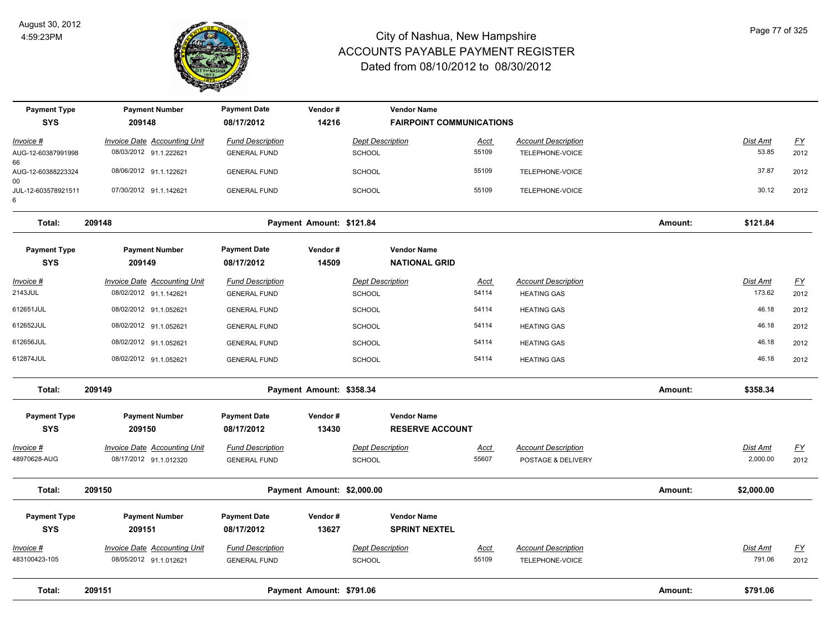

| <b>Payment Type</b>      | <b>Payment Number</b>               | <b>Payment Date</b>     | Vendor#                    |                         | <b>Vendor Name</b>              |             |                            |         |                 |                           |
|--------------------------|-------------------------------------|-------------------------|----------------------------|-------------------------|---------------------------------|-------------|----------------------------|---------|-----------------|---------------------------|
| <b>SYS</b>               | 209148                              | 08/17/2012              | 14216                      |                         | <b>FAIRPOINT COMMUNICATIONS</b> |             |                            |         |                 |                           |
| Invoice #                | <b>Invoice Date Accounting Unit</b> | <b>Fund Description</b> |                            | <b>Dept Description</b> |                                 | Acct        | <b>Account Description</b> |         | Dist Amt        | $\underline{\mathsf{FY}}$ |
| AUG-12-60387991998<br>66 | 08/03/2012 91.1.222621              | <b>GENERAL FUND</b>     |                            | <b>SCHOOL</b>           |                                 | 55109       | TELEPHONE-VOICE            |         | 53.85           | 2012                      |
| AUG-12-60388223324<br>00 | 08/06/2012 91.1.122621              | <b>GENERAL FUND</b>     |                            | <b>SCHOOL</b>           |                                 | 55109       | TELEPHONE-VOICE            |         | 37.87           | 2012                      |
| JUL-12-603578921511<br>6 | 07/30/2012 91.1.142621              | <b>GENERAL FUND</b>     |                            | SCHOOL                  |                                 | 55109       | TELEPHONE-VOICE            |         | 30.12           | 2012                      |
| Total:                   | 209148                              |                         | Payment Amount: \$121.84   |                         |                                 |             |                            | Amount: | \$121.84        |                           |
| <b>Payment Type</b>      | <b>Payment Number</b>               | <b>Payment Date</b>     | Vendor#                    |                         | <b>Vendor Name</b>              |             |                            |         |                 |                           |
| <b>SYS</b>               | 209149                              | 08/17/2012              | 14509                      |                         | <b>NATIONAL GRID</b>            |             |                            |         |                 |                           |
| <u>Invoice #</u>         | <b>Invoice Date Accounting Unit</b> | <b>Fund Description</b> |                            | <b>Dept Description</b> |                                 | <u>Acct</u> | <b>Account Description</b> |         | <b>Dist Amt</b> | <u>FY</u>                 |
| 2143JUL                  | 08/02/2012 91.1.142621              | <b>GENERAL FUND</b>     |                            | <b>SCHOOL</b>           |                                 | 54114       | <b>HEATING GAS</b>         |         | 173.62          | 2012                      |
| 612651JUL                | 08/02/2012 91.1.052621              | <b>GENERAL FUND</b>     |                            | SCHOOL                  |                                 | 54114       | <b>HEATING GAS</b>         |         | 46.18           | 2012                      |
| 612652JUL                | 08/02/2012 91.1.052621              | <b>GENERAL FUND</b>     |                            | <b>SCHOOL</b>           |                                 | 54114       | <b>HEATING GAS</b>         |         | 46.18           | 2012                      |
| 612656JUL                | 08/02/2012 91.1.052621              | <b>GENERAL FUND</b>     |                            | <b>SCHOOL</b>           |                                 | 54114       | <b>HEATING GAS</b>         |         | 46.18           | 2012                      |
| 612874JUL                | 08/02/2012 91.1.052621              | <b>GENERAL FUND</b>     |                            | SCHOOL                  |                                 | 54114       | <b>HEATING GAS</b>         |         | 46.18           | 2012                      |
| Total:                   | 209149                              |                         | Payment Amount: \$358.34   |                         |                                 |             |                            | Amount: | \$358.34        |                           |
| <b>Payment Type</b>      | <b>Payment Number</b>               | <b>Payment Date</b>     | Vendor#                    |                         | <b>Vendor Name</b>              |             |                            |         |                 |                           |
| <b>SYS</b>               | 209150                              | 08/17/2012              | 13430                      |                         | <b>RESERVE ACCOUNT</b>          |             |                            |         |                 |                           |
| Invoice #                | <b>Invoice Date Accounting Unit</b> | <b>Fund Description</b> |                            | <b>Dept Description</b> |                                 | Acct        | <b>Account Description</b> |         | Dist Amt        | $\underline{\mathsf{FY}}$ |
| 48970628-AUG             | 08/17/2012 91.1.012320              | <b>GENERAL FUND</b>     |                            | <b>SCHOOL</b>           |                                 | 55607       | POSTAGE & DELIVERY         |         | 2,000.00        | 2012                      |
| Total:                   | 209150                              |                         | Payment Amount: \$2,000.00 |                         |                                 |             |                            | Amount: | \$2,000.00      |                           |
| <b>Payment Type</b>      | <b>Payment Number</b>               | <b>Payment Date</b>     | Vendor#                    |                         | <b>Vendor Name</b>              |             |                            |         |                 |                           |
| <b>SYS</b>               | 209151                              | 08/17/2012              | 13627                      |                         | <b>SPRINT NEXTEL</b>            |             |                            |         |                 |                           |
| Invoice #                | Invoice Date Accounting Unit        | <b>Fund Description</b> |                            | <b>Dept Description</b> |                                 | <u>Acct</u> | <b>Account Description</b> |         | Dist Amt        | <u>FY</u>                 |
| 483100423-105            | 08/05/2012 91.1.012621              | <b>GENERAL FUND</b>     |                            | <b>SCHOOL</b>           |                                 | 55109       | TELEPHONE-VOICE            |         | 791.06          | 2012                      |
| Total:                   | 209151                              |                         | Payment Amount: \$791.06   |                         |                                 |             |                            | Amount: | \$791.06        |                           |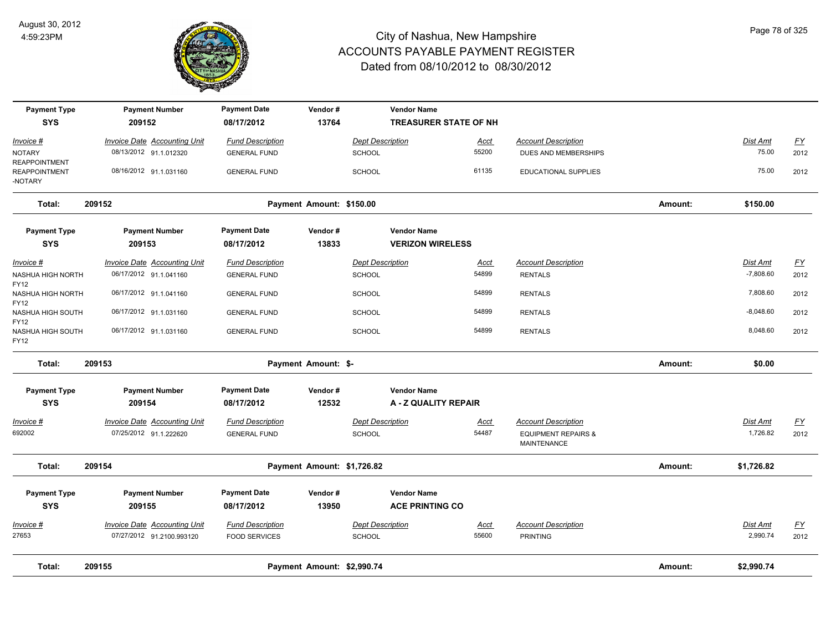

| <b>Payment Type</b><br><b>SYS</b> | <b>Payment Number</b><br>209152     | <b>Payment Date</b><br>08/17/2012 | Vendor#<br>13764           | <b>Vendor Name</b>      | <b>TREASURER STATE OF NH</b> |                                               |         |                 |           |
|-----------------------------------|-------------------------------------|-----------------------------------|----------------------------|-------------------------|------------------------------|-----------------------------------------------|---------|-----------------|-----------|
| Invoice #                         | <b>Invoice Date Accounting Unit</b> | <b>Fund Description</b>           |                            | <b>Dept Description</b> | <u>Acct</u>                  | <b>Account Description</b>                    |         | Dist Amt        | <u>FY</u> |
| NOTARY<br>REAPPOINTMENT           | 08/13/2012 91.1.012320              | <b>GENERAL FUND</b>               |                            | <b>SCHOOL</b>           | 55200                        | DUES AND MEMBERSHIPS                          |         | 75.00           | 2012      |
| <b>REAPPOINTMENT</b><br>-NOTARY   | 08/16/2012 91.1.031160              | <b>GENERAL FUND</b>               |                            | <b>SCHOOL</b>           | 61135                        | <b>EDUCATIONAL SUPPLIES</b>                   |         | 75.00           | 2012      |
| Total:                            | 209152                              |                                   | Payment Amount: \$150.00   |                         |                              |                                               | Amount: | \$150.00        |           |
| <b>Payment Type</b>               | <b>Payment Number</b>               | <b>Payment Date</b>               | Vendor#                    | <b>Vendor Name</b>      |                              |                                               |         |                 |           |
| <b>SYS</b>                        | 209153                              | 08/17/2012                        | 13833                      |                         | <b>VERIZON WIRELESS</b>      |                                               |         |                 |           |
| <u>Invoice #</u>                  | <b>Invoice Date Accounting Unit</b> | <b>Fund Description</b>           |                            | <b>Dept Description</b> | <u>Acct</u>                  | <b>Account Description</b>                    |         | Dist Amt        | <u>FY</u> |
| NASHUA HIGH NORTH<br>FY12         | 06/17/2012 91.1.041160              | <b>GENERAL FUND</b>               |                            | <b>SCHOOL</b>           | 54899                        | <b>RENTALS</b>                                |         | $-7,808.60$     | 2012      |
| NASHUA HIGH NORTH<br>FY12         | 06/17/2012 91.1.041160              | <b>GENERAL FUND</b>               |                            | <b>SCHOOL</b>           | 54899                        | <b>RENTALS</b>                                |         | 7,808.60        | 2012      |
| NASHUA HIGH SOUTH<br>FY12         | 06/17/2012 91.1.031160              | <b>GENERAL FUND</b>               |                            | <b>SCHOOL</b>           | 54899                        | <b>RENTALS</b>                                |         | $-8,048.60$     | 2012      |
| NASHUA HIGH SOUTH<br>FY12         | 06/17/2012 91.1.031160              | <b>GENERAL FUND</b>               |                            | <b>SCHOOL</b>           | 54899                        | <b>RENTALS</b>                                |         | 8,048.60        | 2012      |
| Total:                            | 209153                              |                                   | Payment Amount: \$-        |                         |                              |                                               | Amount: | \$0.00          |           |
| <b>Payment Type</b>               | <b>Payment Number</b>               | <b>Payment Date</b>               | Vendor#                    | <b>Vendor Name</b>      |                              |                                               |         |                 |           |
| <b>SYS</b>                        | 209154                              | 08/17/2012                        | 12532                      |                         | A - Z QUALITY REPAIR         |                                               |         |                 |           |
| Invoice #                         | <b>Invoice Date Accounting Unit</b> | <b>Fund Description</b>           |                            | <b>Dept Description</b> | <u>Acct</u>                  | <b>Account Description</b>                    |         | <b>Dist Amt</b> | <u>FY</u> |
| 692002                            | 07/25/2012 91.1.222620              | <b>GENERAL FUND</b>               |                            | <b>SCHOOL</b>           | 54487                        | <b>EQUIPMENT REPAIRS &amp;</b><br>MAINTENANCE |         | 1,726.82        | 2012      |
| Total:                            | 209154                              |                                   | Payment Amount: \$1,726.82 |                         |                              |                                               | Amount: | \$1,726.82      |           |
| <b>Payment Type</b>               | <b>Payment Number</b>               | <b>Payment Date</b>               | Vendor#                    | <b>Vendor Name</b>      |                              |                                               |         |                 |           |
| <b>SYS</b>                        | 209155                              | 08/17/2012                        | 13950                      |                         | <b>ACE PRINTING CO</b>       |                                               |         |                 |           |
| Invoice #                         | <b>Invoice Date Accounting Unit</b> | <b>Fund Description</b>           |                            | <b>Dept Description</b> | <u>Acct</u>                  | <b>Account Description</b>                    |         | <b>Dist Amt</b> | <u>FY</u> |
| 27653                             | 07/27/2012 91.2100.993120           | <b>FOOD SERVICES</b>              |                            | <b>SCHOOL</b>           | 55600                        | <b>PRINTING</b>                               |         | 2,990.74        | 2012      |
| Total:                            | 209155                              |                                   | Payment Amount: \$2,990.74 |                         |                              |                                               | Amount: | \$2,990.74      |           |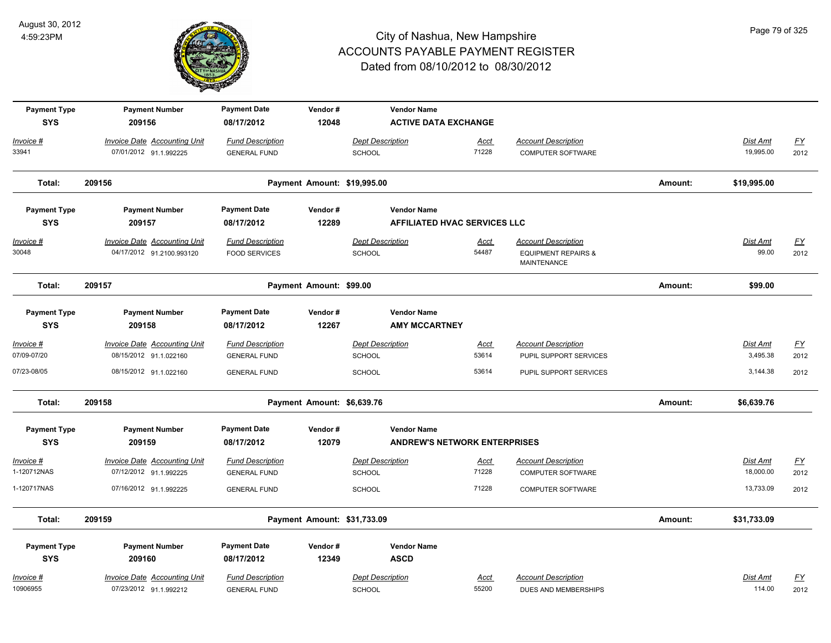

| <b>Payment Type</b><br><b>SYS</b> | <b>Payment Number</b><br>209156     | <b>Payment Date</b><br>08/17/2012 | Vendor#<br>12048            | <b>Vendor Name</b>      | <b>ACTIVE DATA EXCHANGE</b>         |                                               |         |                 |                  |
|-----------------------------------|-------------------------------------|-----------------------------------|-----------------------------|-------------------------|-------------------------------------|-----------------------------------------------|---------|-----------------|------------------|
| Invoice #                         | <b>Invoice Date Accounting Unit</b> | <b>Fund Description</b>           |                             | <b>Dept Description</b> | <b>Acct</b>                         | <b>Account Description</b>                    |         | <b>Dist Amt</b> | $\underline{FY}$ |
| 33941                             | 07/01/2012 91.1.992225              | <b>GENERAL FUND</b>               |                             | SCHOOL                  | 71228                               | COMPUTER SOFTWARE                             |         | 19,995.00       | 2012             |
| Total:                            | 209156                              |                                   | Payment Amount: \$19,995.00 |                         |                                     |                                               | Amount: | \$19,995.00     |                  |
| <b>Payment Type</b>               | <b>Payment Number</b>               | <b>Payment Date</b>               | Vendor#                     | <b>Vendor Name</b>      |                                     |                                               |         |                 |                  |
| <b>SYS</b>                        | 209157                              | 08/17/2012                        | 12289                       |                         | <b>AFFILIATED HVAC SERVICES LLC</b> |                                               |         |                 |                  |
| $Invoice$ #                       | <b>Invoice Date Accounting Unit</b> | <b>Fund Description</b>           |                             | <b>Dept Description</b> | Acct                                | <b>Account Description</b>                    |         | <b>Dist Amt</b> | <u>FY</u>        |
| 30048                             | 04/17/2012 91.2100.993120           | <b>FOOD SERVICES</b>              |                             | <b>SCHOOL</b>           | 54487                               | <b>EQUIPMENT REPAIRS &amp;</b><br>MAINTENANCE |         | 99.00           | 2012             |
| Total:                            | 209157                              |                                   | Payment Amount: \$99.00     |                         |                                     |                                               | Amount: | \$99.00         |                  |
| <b>Payment Type</b>               | <b>Payment Number</b>               | <b>Payment Date</b>               | Vendor#                     | <b>Vendor Name</b>      |                                     |                                               |         |                 |                  |
| <b>SYS</b>                        | 209158                              | 08/17/2012                        | 12267                       |                         | <b>AMY MCCARTNEY</b>                |                                               |         |                 |                  |
| Invoice #                         | <b>Invoice Date Accounting Unit</b> | <b>Fund Description</b>           |                             | <b>Dept Description</b> | <u>Acct</u>                         | <b>Account Description</b>                    |         | Dist Amt        | $FY$             |
| 07/09-07/20                       | 08/15/2012 91.1.022160              | <b>GENERAL FUND</b>               |                             | SCHOOL                  | 53614                               | PUPIL SUPPORT SERVICES                        |         | 3,495.38        | 2012             |
| 07/23-08/05                       | 08/15/2012 91.1.022160              | <b>GENERAL FUND</b>               |                             | <b>SCHOOL</b>           | 53614                               | PUPIL SUPPORT SERVICES                        |         | 3,144.38        | 2012             |
| Total:                            | 209158                              |                                   | Payment Amount: \$6,639.76  |                         |                                     |                                               | Amount: | \$6,639.76      |                  |
| <b>Payment Type</b>               | <b>Payment Number</b>               | <b>Payment Date</b>               | Vendor#                     | <b>Vendor Name</b>      |                                     |                                               |         |                 |                  |
| <b>SYS</b>                        | 209159                              | 08/17/2012                        | 12079                       |                         | <b>ANDREW'S NETWORK ENTERPRISES</b> |                                               |         |                 |                  |
| Invoice #                         | <b>Invoice Date Accounting Unit</b> | <b>Fund Description</b>           |                             | <b>Dept Description</b> | <u>Acct</u>                         | <b>Account Description</b>                    |         | <b>Dist Amt</b> | $\underline{FY}$ |
| 1-120712NAS                       | 07/12/2012 91.1.992225              | <b>GENERAL FUND</b>               |                             | SCHOOL                  | 71228                               | <b>COMPUTER SOFTWARE</b>                      |         | 18,000.00       | 2012             |
| 1-120717NAS                       | 07/16/2012 91.1.992225              | <b>GENERAL FUND</b>               |                             | SCHOOL                  | 71228                               | <b>COMPUTER SOFTWARE</b>                      |         | 13,733.09       | 2012             |
| Total:                            | 209159                              |                                   | Payment Amount: \$31,733.09 |                         |                                     |                                               | Amount: | \$31,733.09     |                  |
| <b>Payment Type</b>               | <b>Payment Number</b>               | <b>Payment Date</b>               | Vendor#                     | <b>Vendor Name</b>      |                                     |                                               |         |                 |                  |
| <b>SYS</b>                        | 209160                              | 08/17/2012                        | 12349                       | <b>ASCD</b>             |                                     |                                               |         |                 |                  |
| Invoice #                         | Invoice Date Accounting Unit        | <b>Fund Description</b>           |                             | <b>Dept Description</b> | Acct                                | <b>Account Description</b>                    |         | Dist Amt        | <u>FY</u>        |
| 10906955                          | 07/23/2012 91.1.992212              | <b>GENERAL FUND</b>               |                             | SCHOOL                  | 55200                               | DUES AND MEMBERSHIPS                          |         | 114.00          | 2012             |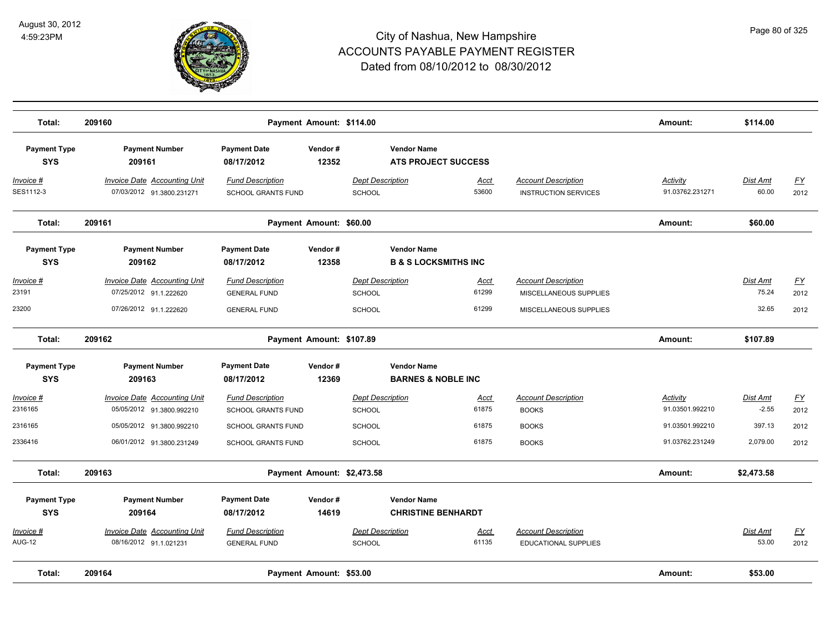

| Total:                            | 209160                                                                                  |                                                                       | Payment Amount: \$114.00   |                                                           |                                                       |                                                                                | Amount:                            | \$114.00                   |                                  |
|-----------------------------------|-----------------------------------------------------------------------------------------|-----------------------------------------------------------------------|----------------------------|-----------------------------------------------------------|-------------------------------------------------------|--------------------------------------------------------------------------------|------------------------------------|----------------------------|----------------------------------|
| <b>Payment Type</b><br><b>SYS</b> | <b>Payment Number</b><br>209161                                                         | <b>Payment Date</b><br>08/17/2012                                     | Vendor#<br>12352           |                                                           | <b>Vendor Name</b><br><b>ATS PROJECT SUCCESS</b>      |                                                                                |                                    |                            |                                  |
| Invoice #<br>SES1112-3            | <b>Invoice Date Accounting Unit</b><br>07/03/2012 91.3800.231271                        | <b>Fund Description</b><br><b>SCHOOL GRANTS FUND</b>                  |                            | <b>Dept Description</b><br>SCHOOL                         | <u>Acct</u><br>53600                                  | <b>Account Description</b><br><b>INSTRUCTION SERVICES</b>                      | <b>Activity</b><br>91.03762.231271 | <b>Dist Amt</b><br>60.00   | <u>FY</u><br>2012                |
| Total:                            | 209161                                                                                  |                                                                       | Payment Amount: \$60.00    |                                                           |                                                       |                                                                                | Amount:                            | \$60.00                    |                                  |
| <b>Payment Type</b><br><b>SYS</b> | <b>Payment Number</b><br>209162                                                         | <b>Payment Date</b><br>08/17/2012                                     | Vendor#<br>12358           |                                                           | <b>Vendor Name</b><br><b>B &amp; S LOCKSMITHS INC</b> |                                                                                |                                    |                            |                                  |
| Invoice #<br>23191<br>23200       | <b>Invoice Date Accounting Unit</b><br>07/25/2012 91.1.222620<br>07/26/2012 91.1.222620 | <b>Fund Description</b><br><b>GENERAL FUND</b><br><b>GENERAL FUND</b> |                            | <b>Dept Description</b><br><b>SCHOOL</b><br><b>SCHOOL</b> | <u>Acct</u><br>61299<br>61299                         | <b>Account Description</b><br>MISCELLANEOUS SUPPLIES<br>MISCELLANEOUS SUPPLIES |                                    | Dist Amt<br>75.24<br>32.65 | $\underline{FY}$<br>2012<br>2012 |
| Total:                            | 209162                                                                                  |                                                                       | Payment Amount: \$107.89   |                                                           |                                                       |                                                                                | Amount:                            | \$107.89                   |                                  |
| <b>Payment Type</b><br><b>SYS</b> | <b>Payment Number</b><br>209163                                                         | <b>Payment Date</b><br>08/17/2012                                     | Vendor#<br>12369           |                                                           | <b>Vendor Name</b><br><b>BARNES &amp; NOBLE INC</b>   |                                                                                |                                    |                            |                                  |
| <u> Invoice #</u><br>2316165      | Invoice Date Accounting Unit<br>05/05/2012 91.3800.992210                               | <b>Fund Description</b><br><b>SCHOOL GRANTS FUND</b>                  |                            | <b>Dept Description</b><br>SCHOOL                         | Acct<br>61875                                         | <b>Account Description</b><br><b>BOOKS</b>                                     | Activity<br>91.03501.992210        | Dist Amt<br>$-2.55$        | $\underline{FY}$<br>2012         |
| 2316165<br>2336416                | 05/05/2012 91.3800.992210<br>06/01/2012 91.3800.231249                                  | SCHOOL GRANTS FUND<br><b>SCHOOL GRANTS FUND</b>                       |                            | SCHOOL<br><b>SCHOOL</b>                                   | 61875<br>61875                                        | <b>BOOKS</b><br><b>BOOKS</b>                                                   | 91.03501.992210<br>91.03762.231249 | 397.13<br>2,079.00         | 2012<br>2012                     |
| Total:                            | 209163                                                                                  |                                                                       | Payment Amount: \$2,473.58 |                                                           |                                                       |                                                                                | Amount:                            | \$2,473.58                 |                                  |
| <b>Payment Type</b><br><b>SYS</b> | <b>Payment Number</b><br>209164                                                         | <b>Payment Date</b><br>08/17/2012                                     | Vendor#<br>14619           |                                                           | <b>Vendor Name</b><br><b>CHRISTINE BENHARDT</b>       |                                                                                |                                    |                            |                                  |
| Invoice #<br><b>AUG-12</b>        | Invoice Date Accounting Unit<br>08/16/2012 91.1.021231                                  | <b>Fund Description</b><br><b>GENERAL FUND</b>                        |                            | <b>Dept Description</b><br>SCHOOL                         | Acct<br>61135                                         | <b>Account Description</b><br><b>EDUCATIONAL SUPPLIES</b>                      |                                    | Dist Amt<br>53.00          | $\underline{FY}$<br>2012         |
| Total:                            | 209164                                                                                  |                                                                       | Payment Amount: \$53.00    |                                                           |                                                       |                                                                                | Amount:                            | \$53.00                    |                                  |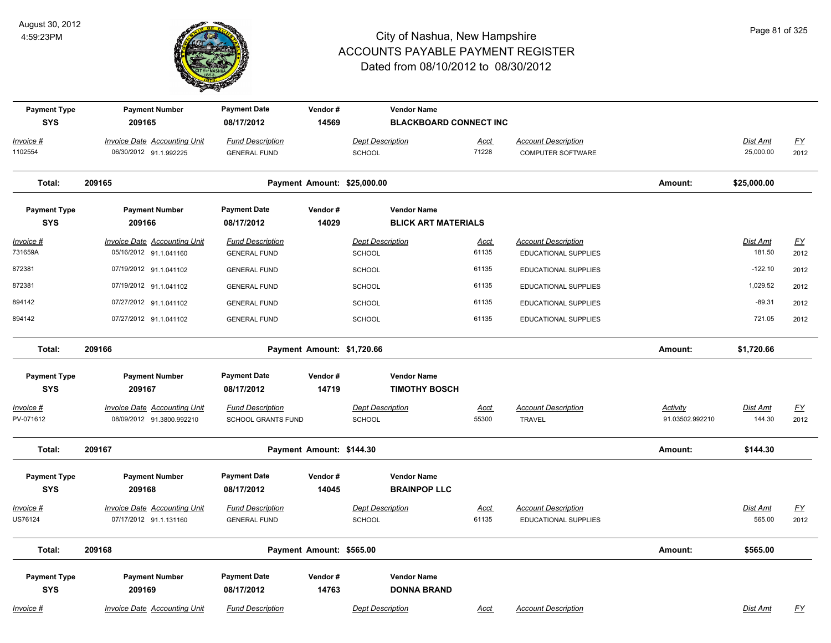

| <b>Payment Type</b><br><b>SYS</b> | <b>Payment Number</b><br>209165                               | <b>Payment Date</b><br>08/17/2012                    | Vendor#<br>14569         |                                          | <b>Vendor Name</b><br><b>BLACKBOARD CONNECT INC</b> |                      |                                                           |                             |                           |                   |
|-----------------------------------|---------------------------------------------------------------|------------------------------------------------------|--------------------------|------------------------------------------|-----------------------------------------------------|----------------------|-----------------------------------------------------------|-----------------------------|---------------------------|-------------------|
| Invoice #<br>1102554              | <b>Invoice Date Accounting Unit</b><br>06/30/2012 91.1.992225 | <b>Fund Description</b><br><b>GENERAL FUND</b>       |                          | <b>Dept Description</b><br><b>SCHOOL</b> |                                                     | <b>Acct</b><br>71228 | <b>Account Description</b><br>COMPUTER SOFTWARE           |                             | Dist Amt<br>25,000.00     | <u>FY</u><br>2012 |
| Total:                            | 209165                                                        |                                                      |                          | Payment Amount: \$25,000.00              |                                                     |                      |                                                           | Amount:                     | \$25,000.00               |                   |
| <b>Payment Type</b><br><b>SYS</b> | <b>Payment Number</b><br>209166                               | <b>Payment Date</b><br>08/17/2012                    | Vendor#<br>14029         |                                          | <b>Vendor Name</b><br><b>BLICK ART MATERIALS</b>    |                      |                                                           |                             |                           |                   |
| $Invoice$ #<br>731659A            | <b>Invoice Date Accounting Unit</b><br>05/16/2012 91.1.041160 | <b>Fund Description</b><br><b>GENERAL FUND</b>       |                          | <b>Dept Description</b><br><b>SCHOOL</b> |                                                     | <b>Acct</b><br>61135 | <b>Account Description</b><br><b>EDUCATIONAL SUPPLIES</b> |                             | <b>Dist Amt</b><br>181.50 | <u>FY</u><br>2012 |
| 872381                            | 07/19/2012 91.1.041102                                        | <b>GENERAL FUND</b>                                  |                          | SCHOOL                                   |                                                     | 61135                | <b>EDUCATIONAL SUPPLIES</b>                               |                             | $-122.10$                 | 2012              |
| 872381                            | 07/19/2012 91.1.041102                                        | <b>GENERAL FUND</b>                                  |                          | <b>SCHOOL</b>                            |                                                     | 61135                | <b>EDUCATIONAL SUPPLIES</b>                               |                             | 1,029.52                  | 2012              |
| 894142                            | 07/27/2012 91.1.041102                                        | <b>GENERAL FUND</b>                                  |                          | <b>SCHOOL</b>                            |                                                     | 61135                | <b>EDUCATIONAL SUPPLIES</b>                               |                             | $-89.31$                  | 2012              |
| 894142                            | 07/27/2012 91.1.041102                                        | <b>GENERAL FUND</b>                                  |                          | <b>SCHOOL</b>                            |                                                     | 61135                | <b>EDUCATIONAL SUPPLIES</b>                               |                             | 721.05                    | 2012              |
| Total:                            | 209166                                                        |                                                      |                          | Payment Amount: \$1,720.66               |                                                     |                      |                                                           | Amount:                     | \$1,720.66                |                   |
| <b>Payment Type</b><br><b>SYS</b> | <b>Payment Number</b><br>209167                               | <b>Payment Date</b><br>08/17/2012                    | Vendor#<br>14719         |                                          | <b>Vendor Name</b><br><b>TIMOTHY BOSCH</b>          |                      |                                                           |                             |                           |                   |
| Invoice #<br>PV-071612            | Invoice Date Accounting Unit<br>08/09/2012 91.3800.992210     | <b>Fund Description</b><br><b>SCHOOL GRANTS FUND</b> |                          | <b>Dept Description</b><br><b>SCHOOL</b> |                                                     | Acct<br>55300        | <b>Account Description</b><br><b>TRAVEL</b>               | Activity<br>91.03502.992210 | Dist Amt<br>144.30        | <u>FY</u><br>2012 |
| Total:                            | 209167                                                        |                                                      | Payment Amount: \$144.30 |                                          |                                                     |                      |                                                           | Amount:                     | \$144.30                  |                   |
| <b>Payment Type</b><br><b>SYS</b> | <b>Payment Number</b><br>209168                               | <b>Payment Date</b><br>08/17/2012                    | Vendor#<br>14045         |                                          | <b>Vendor Name</b><br><b>BRAINPOP LLC</b>           |                      |                                                           |                             |                           |                   |
| Invoice #                         | <b>Invoice Date Accounting Unit</b>                           | <b>Fund Description</b>                              |                          | <b>Dept Description</b>                  |                                                     | Acct                 | <b>Account Description</b>                                |                             | <b>Dist Amt</b>           | <u>FY</u>         |
| US76124                           | 07/17/2012 91.1.131160                                        | <b>GENERAL FUND</b>                                  |                          | SCHOOL                                   |                                                     | 61135                | EDUCATIONAL SUPPLIES                                      |                             | 565.00                    | 2012              |
| Total:                            | 209168                                                        |                                                      | Payment Amount: \$565.00 |                                          |                                                     |                      |                                                           | Amount:                     | \$565.00                  |                   |
| <b>Payment Type</b><br><b>SYS</b> | <b>Payment Number</b><br>209169                               | <b>Payment Date</b><br>08/17/2012                    | Vendor#<br>14763         |                                          | <b>Vendor Name</b><br><b>DONNA BRAND</b>            |                      |                                                           |                             |                           |                   |
| Invoice #                         | <b>Invoice Date Accounting Unit</b>                           | <b>Fund Description</b>                              |                          | <b>Dept Description</b>                  |                                                     | <b>Acct</b>          | <b>Account Description</b>                                |                             | <b>Dist Amt</b>           | <u>FY</u>         |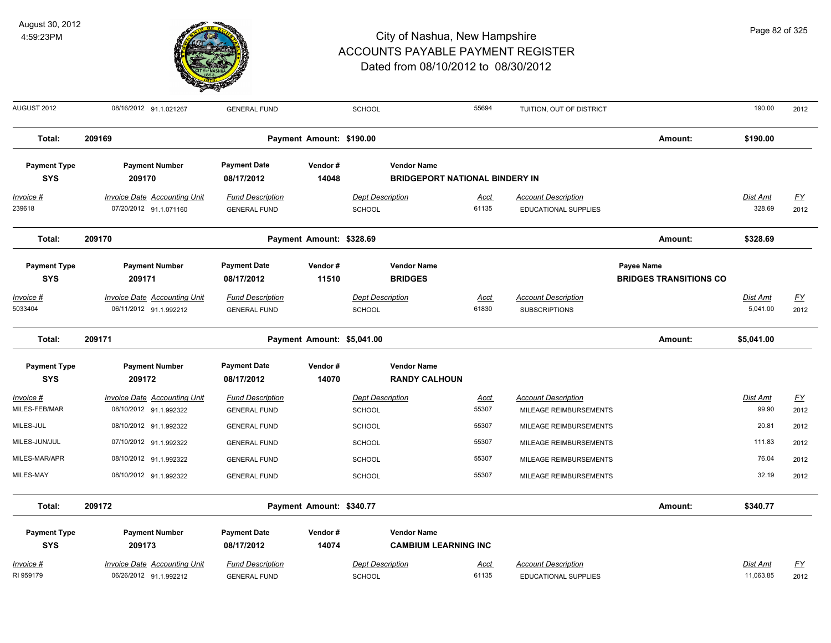

| AUGUST 2012                       | 08/16/2012 91.1.021267                                        | <b>GENERAL FUND</b>                            |                            | <b>SCHOOL</b>                            |                                                             | 55694                | TUITION, OUT OF DISTRICT                                  |                                             | 190.00                    | 2012                              |
|-----------------------------------|---------------------------------------------------------------|------------------------------------------------|----------------------------|------------------------------------------|-------------------------------------------------------------|----------------------|-----------------------------------------------------------|---------------------------------------------|---------------------------|-----------------------------------|
| Total:                            | 209169                                                        |                                                | Payment Amount: \$190.00   |                                          |                                                             |                      |                                                           | Amount:                                     | \$190.00                  |                                   |
| <b>Payment Type</b><br><b>SYS</b> | <b>Payment Number</b><br>209170                               | <b>Payment Date</b><br>08/17/2012              | Vendor#<br>14048           |                                          | <b>Vendor Name</b><br><b>BRIDGEPORT NATIONAL BINDERY IN</b> |                      |                                                           |                                             |                           |                                   |
| $Invoice$ #<br>239618             | <b>Invoice Date Accounting Unit</b><br>07/20/2012 91.1.071160 | <b>Fund Description</b><br><b>GENERAL FUND</b> |                            | <b>Dept Description</b><br>SCHOOL        |                                                             | <u>Acct</u><br>61135 | <b>Account Description</b><br><b>EDUCATIONAL SUPPLIES</b> |                                             | <b>Dist Amt</b><br>328.69 | $\underline{\mathsf{FY}}$<br>2012 |
| Total:                            | 209170                                                        |                                                | Payment Amount: \$328.69   |                                          |                                                             |                      |                                                           | Amount:                                     | \$328.69                  |                                   |
| <b>Payment Type</b><br><b>SYS</b> | <b>Payment Number</b><br>209171                               | <b>Payment Date</b><br>08/17/2012              | Vendor#<br>11510           |                                          | <b>Vendor Name</b><br><b>BRIDGES</b>                        |                      |                                                           | Payee Name<br><b>BRIDGES TRANSITIONS CO</b> |                           |                                   |
| Invoice #<br>5033404              | <b>Invoice Date Accounting Unit</b><br>06/11/2012 91.1.992212 | <b>Fund Description</b><br><b>GENERAL FUND</b> |                            | <b>Dept Description</b><br><b>SCHOOL</b> |                                                             | <b>Acct</b><br>61830 | <b>Account Description</b><br><b>SUBSCRIPTIONS</b>        |                                             | Dist Amt<br>5,041.00      | $\underline{FY}$<br>2012          |
| Total:                            | 209171                                                        |                                                | Payment Amount: \$5,041.00 |                                          |                                                             |                      |                                                           | Amount:                                     | \$5,041.00                |                                   |
| <b>Payment Type</b><br><b>SYS</b> | <b>Payment Number</b><br>209172                               | <b>Payment Date</b><br>08/17/2012              | Vendor#<br>14070           |                                          | <b>Vendor Name</b><br><b>RANDY CALHOUN</b>                  |                      |                                                           |                                             |                           |                                   |
| Invoice #<br>MILES-FEB/MAR        | <b>Invoice Date Accounting Unit</b><br>08/10/2012 91.1.992322 | <b>Fund Description</b><br><b>GENERAL FUND</b> |                            | <b>Dept Description</b><br><b>SCHOOL</b> |                                                             | Acct<br>55307        | <b>Account Description</b><br>MILEAGE REIMBURSEMENTS      |                                             | Dist Amt<br>99.90         | $\underline{FY}$<br>2012          |
| MILES-JUL                         | 08/10/2012 91.1.992322                                        | <b>GENERAL FUND</b>                            |                            | <b>SCHOOL</b>                            |                                                             | 55307                | MILEAGE REIMBURSEMENTS                                    |                                             | 20.81                     | 2012                              |
| MILES-JUN/JUL                     | 07/10/2012 91.1.992322                                        | <b>GENERAL FUND</b>                            |                            | <b>SCHOOL</b>                            |                                                             | 55307                | MILEAGE REIMBURSEMENTS                                    |                                             | 111.83                    | 2012                              |
| MILES-MAR/APR                     | 08/10/2012 91.1.992322                                        | <b>GENERAL FUND</b>                            |                            | <b>SCHOOL</b>                            |                                                             | 55307                | MILEAGE REIMBURSEMENTS                                    |                                             | 76.04                     | 2012                              |
| MILES-MAY                         | 08/10/2012 91.1.992322                                        | <b>GENERAL FUND</b>                            |                            | <b>SCHOOL</b>                            |                                                             | 55307                | MILEAGE REIMBURSEMENTS                                    |                                             | 32.19                     | 2012                              |
| Total:                            | 209172                                                        |                                                | Payment Amount: \$340.77   |                                          |                                                             |                      |                                                           | Amount:                                     | \$340.77                  |                                   |
| <b>Payment Type</b><br><b>SYS</b> | <b>Payment Number</b><br>209173                               | <b>Payment Date</b><br>08/17/2012              | Vendor#<br>14074           |                                          | <b>Vendor Name</b><br><b>CAMBIUM LEARNING INC</b>           |                      |                                                           |                                             |                           |                                   |
| Invoice #<br>RI 959179            | <b>Invoice Date Accounting Unit</b><br>06/26/2012 91.1.992212 | <b>Fund Description</b><br><b>GENERAL FUND</b> |                            | <b>Dept Description</b><br><b>SCHOOL</b> |                                                             | <u>Acct</u><br>61135 | <b>Account Description</b><br><b>EDUCATIONAL SUPPLIES</b> |                                             | Dist Amt<br>11,063.85     | <u>FY</u><br>2012                 |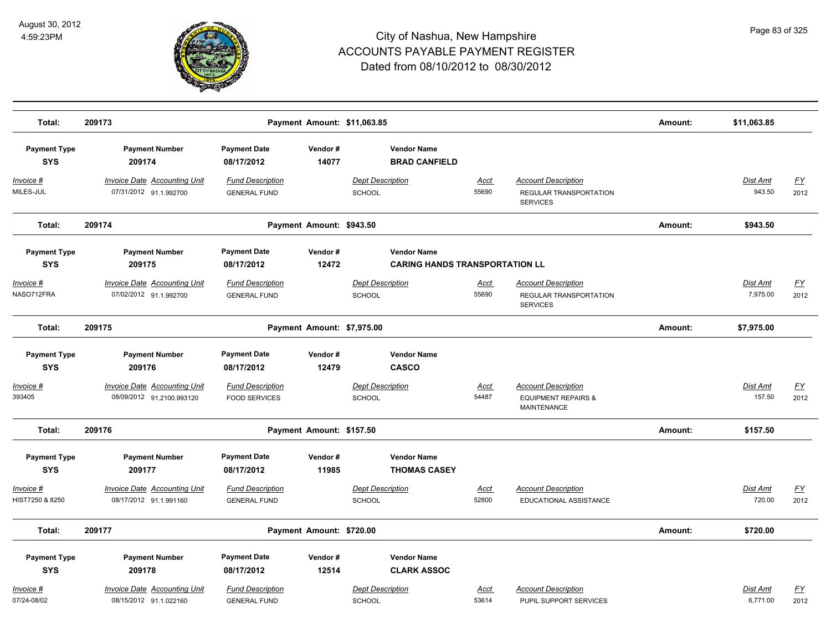

| Total:                            | 209173                                                           |                                                 | Payment Amount: \$11,063.85 |                                                             |                      |                                                                             | Amount: | \$11,063.85               |                          |
|-----------------------------------|------------------------------------------------------------------|-------------------------------------------------|-----------------------------|-------------------------------------------------------------|----------------------|-----------------------------------------------------------------------------|---------|---------------------------|--------------------------|
| <b>Payment Type</b><br><b>SYS</b> | <b>Payment Number</b><br>209174                                  | <b>Payment Date</b><br>08/17/2012               | Vendor#<br>14077            | <b>Vendor Name</b><br><b>BRAD CANFIELD</b>                  |                      |                                                                             |         |                           |                          |
| $Invoice$ #<br>MILES-JUL          | <b>Invoice Date Accounting Unit</b><br>07/31/2012 91.1.992700    | <b>Fund Description</b><br><b>GENERAL FUND</b>  |                             | <b>Dept Description</b><br>SCHOOL                           | Acct<br>55690        | <b>Account Description</b><br>REGULAR TRANSPORTATION<br><b>SERVICES</b>     |         | <b>Dist Amt</b><br>943.50 | <u>FY</u><br>2012        |
| Total:                            | 209174                                                           |                                                 | Payment Amount: \$943.50    |                                                             |                      |                                                                             | Amount: | \$943.50                  |                          |
| <b>Payment Type</b><br><b>SYS</b> | <b>Payment Number</b><br>209175                                  | <b>Payment Date</b><br>08/17/2012               | Vendor#<br>12472            | <b>Vendor Name</b><br><b>CARING HANDS TRANSPORTATION LL</b> |                      |                                                                             |         |                           |                          |
| Invoice #<br>NASO712FRA           | Invoice Date Accounting Unit<br>07/02/2012 91.1.992700           | <b>Fund Description</b><br><b>GENERAL FUND</b>  |                             | <b>Dept Description</b><br>SCHOOL                           | Acct<br>55690        | <b>Account Description</b><br>REGULAR TRANSPORTATION<br><b>SERVICES</b>     |         | Dist Amt<br>7,975.00      | <u>FY</u><br>2012        |
| Total:                            | 209175                                                           |                                                 | Payment Amount: \$7,975.00  |                                                             |                      |                                                                             | Amount: | \$7,975.00                |                          |
| <b>Payment Type</b><br><b>SYS</b> | <b>Payment Number</b><br>209176                                  | <b>Payment Date</b><br>08/17/2012               | Vendor#<br>12479            | <b>Vendor Name</b><br><b>CASCO</b>                          |                      |                                                                             |         |                           |                          |
| Invoice #<br>393405               | <b>Invoice Date Accounting Unit</b><br>08/09/2012 91.2100.993120 | <b>Fund Description</b><br><b>FOOD SERVICES</b> |                             | <b>Dept Description</b><br>SCHOOL                           | Acct<br>54487        | <b>Account Description</b><br><b>EQUIPMENT REPAIRS &amp;</b><br>MAINTENANCE |         | Dist Amt<br>157.50        | <u>FY</u><br>2012        |
| Total:                            | 209176                                                           |                                                 | Payment Amount: \$157.50    |                                                             |                      |                                                                             | Amount: | \$157.50                  |                          |
| <b>Payment Type</b><br><b>SYS</b> | <b>Payment Number</b><br>209177                                  | <b>Payment Date</b><br>08/17/2012               | Vendor#<br>11985            | <b>Vendor Name</b><br><b>THOMAS CASEY</b>                   |                      |                                                                             |         |                           |                          |
| Invoice #<br>HIST7250 & 8250      | <b>Invoice Date Accounting Unit</b><br>08/17/2012 91.1.991160    | <b>Fund Description</b><br><b>GENERAL FUND</b>  |                             | <b>Dept Description</b><br><b>SCHOOL</b>                    | Acct<br>52800        | <b>Account Description</b><br>EDUCATIONAL ASSISTANCE                        |         | Dist Amt<br>720.00        | <u>FY</u><br>2012        |
| Total:                            | 209177                                                           |                                                 | Payment Amount: \$720.00    |                                                             |                      |                                                                             | Amount: | \$720.00                  |                          |
| <b>Payment Type</b><br><b>SYS</b> | <b>Payment Number</b><br>209178                                  | <b>Payment Date</b><br>08/17/2012               | Vendor#<br>12514            | <b>Vendor Name</b><br><b>CLARK ASSOC</b>                    |                      |                                                                             |         |                           |                          |
| Invoice #<br>07/24-08/02          | <b>Invoice Date Accounting Unit</b><br>08/15/2012 91.1.022160    | <b>Fund Description</b><br><b>GENERAL FUND</b>  |                             | <b>Dept Description</b><br><b>SCHOOL</b>                    | <u>Acct</u><br>53614 | <b>Account Description</b><br>PUPIL SUPPORT SERVICES                        |         | Dist Amt<br>6,771.00      | $\underline{FY}$<br>2012 |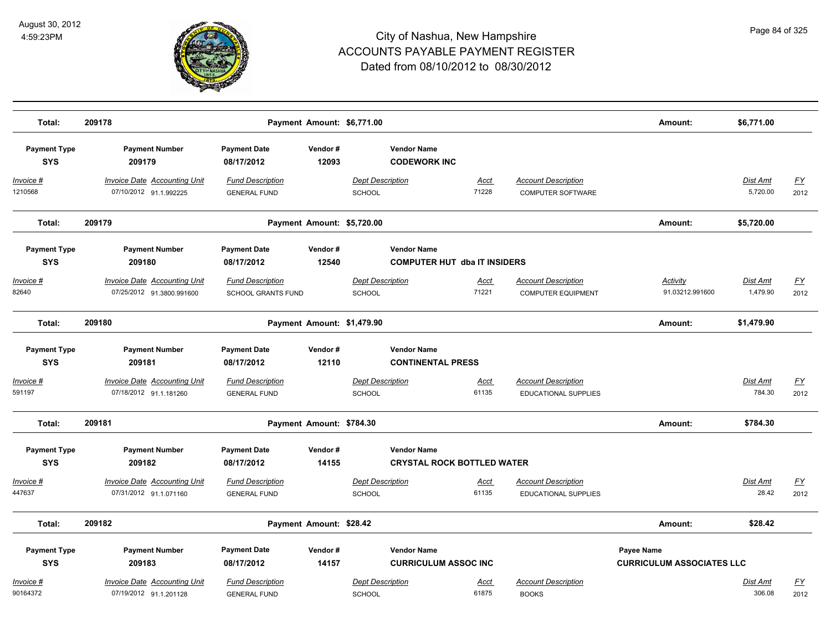

| Total:                            | 209178                                                           |                                                      | Payment Amount: \$6,771.00 |                                                           |                      |                                                           | Amount:                                        | \$6,771.00           |                          |
|-----------------------------------|------------------------------------------------------------------|------------------------------------------------------|----------------------------|-----------------------------------------------------------|----------------------|-----------------------------------------------------------|------------------------------------------------|----------------------|--------------------------|
| <b>Payment Type</b><br><b>SYS</b> | <b>Payment Number</b><br>209179                                  | <b>Payment Date</b><br>08/17/2012                    | Vendor#<br>12093           | <b>Vendor Name</b><br><b>CODEWORK INC</b>                 |                      |                                                           |                                                |                      |                          |
| <u>Invoice #</u><br>1210568       | <b>Invoice Date Accounting Unit</b><br>07/10/2012 91.1.992225    | <b>Fund Description</b><br><b>GENERAL FUND</b>       |                            | <b>Dept Description</b><br>SCHOOL                         | <b>Acct</b><br>71228 | <b>Account Description</b><br>COMPUTER SOFTWARE           |                                                | Dist Amt<br>5,720.00 | <u>FY</u><br>2012        |
| Total:                            | 209179                                                           |                                                      | Payment Amount: \$5,720.00 |                                                           |                      |                                                           | Amount:                                        | \$5,720.00           |                          |
| <b>Payment Type</b><br><b>SYS</b> | <b>Payment Number</b><br>209180                                  | <b>Payment Date</b><br>08/17/2012                    | Vendor#<br>12540           | <b>Vendor Name</b><br><b>COMPUTER HUT dba IT INSIDERS</b> |                      |                                                           |                                                |                      |                          |
| Invoice #<br>82640                | <b>Invoice Date Accounting Unit</b><br>07/25/2012 91.3800.991600 | <b>Fund Description</b><br><b>SCHOOL GRANTS FUND</b> |                            | <b>Dept Description</b><br>SCHOOL                         | <u>Acct</u><br>71221 | <b>Account Description</b><br><b>COMPUTER EQUIPMENT</b>   | Activity<br>91.03212.991600                    | Dist Amt<br>1,479.90 | $\underline{FY}$<br>2012 |
| Total:                            | 209180                                                           |                                                      | Payment Amount: \$1,479.90 |                                                           |                      |                                                           | Amount:                                        | \$1,479.90           |                          |
| <b>Payment Type</b><br><b>SYS</b> | <b>Payment Number</b><br>209181                                  | <b>Payment Date</b><br>08/17/2012                    | Vendor#<br>12110           | <b>Vendor Name</b><br><b>CONTINENTAL PRESS</b>            |                      |                                                           |                                                |                      |                          |
| <u> Invoice #</u><br>591197       | <b>Invoice Date Accounting Unit</b><br>07/18/2012 91.1.181260    | <b>Fund Description</b><br><b>GENERAL FUND</b>       |                            | <b>Dept Description</b><br><b>SCHOOL</b>                  | <u>Acct</u><br>61135 | <b>Account Description</b><br><b>EDUCATIONAL SUPPLIES</b> |                                                | Dist Amt<br>784.30   | $\underline{FY}$<br>2012 |
| Total:                            | 209181                                                           |                                                      | Payment Amount: \$784.30   |                                                           |                      |                                                           | Amount:                                        | \$784.30             |                          |
| <b>Payment Type</b><br><b>SYS</b> | <b>Payment Number</b><br>209182                                  | <b>Payment Date</b><br>08/17/2012                    | Vendor#<br>14155           | <b>Vendor Name</b><br><b>CRYSTAL ROCK BOTTLED WATER</b>   |                      |                                                           |                                                |                      |                          |
| Invoice #<br>447637               | <b>Invoice Date Accounting Unit</b><br>07/31/2012 91.1.071160    | <b>Fund Description</b><br><b>GENERAL FUND</b>       |                            | <b>Dept Description</b><br>SCHOOL                         | Acct<br>61135        | <b>Account Description</b><br><b>EDUCATIONAL SUPPLIES</b> |                                                | Dist Amt<br>28.42    | $\underline{FY}$<br>2012 |
| Total:                            | 209182                                                           |                                                      | Payment Amount: \$28.42    |                                                           |                      |                                                           | Amount:                                        | \$28.42              |                          |
| <b>Payment Type</b><br><b>SYS</b> | <b>Payment Number</b><br>209183                                  | <b>Payment Date</b><br>08/17/2012                    | Vendor#<br>14157           | <b>Vendor Name</b><br><b>CURRICULUM ASSOC INC</b>         |                      |                                                           | Payee Name<br><b>CURRICULUM ASSOCIATES LLC</b> |                      |                          |
| Invoice #<br>90164372             | <b>Invoice Date Accounting Unit</b><br>07/19/2012 91.1.201128    | <b>Fund Description</b><br><b>GENERAL FUND</b>       |                            | <b>Dept Description</b><br><b>SCHOOL</b>                  | Acct<br>61875        | <b>Account Description</b><br><b>BOOKS</b>                |                                                | Dist Amt<br>306.08   | EY<br>2012               |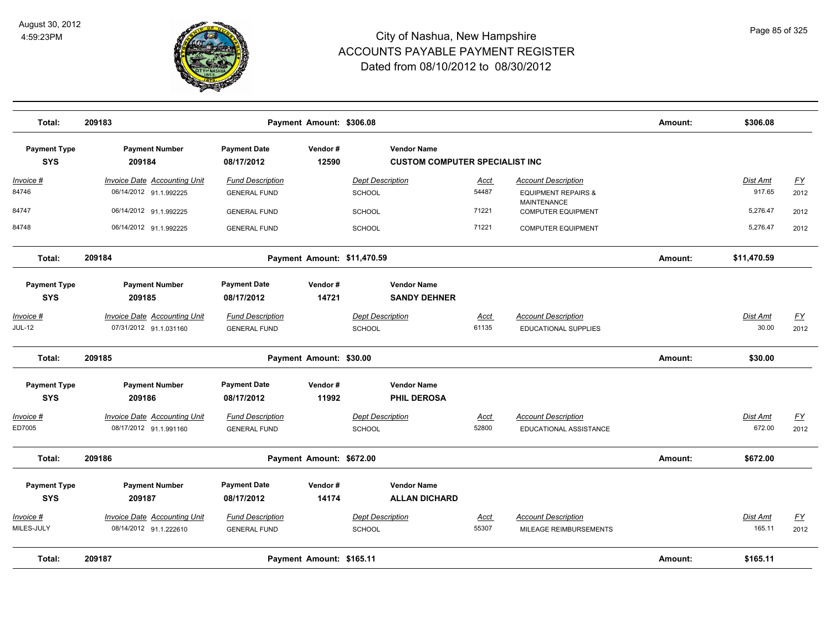

| Total:                            | 209183                                                        |                                                | Payment Amount: \$306.08    |                                                             |                      |                                                      | Amount: | \$306.08           |            |
|-----------------------------------|---------------------------------------------------------------|------------------------------------------------|-----------------------------|-------------------------------------------------------------|----------------------|------------------------------------------------------|---------|--------------------|------------|
| <b>Payment Type</b><br><b>SYS</b> | <b>Payment Number</b><br>209184                               | <b>Payment Date</b><br>08/17/2012              | Vendor#<br>12590            | <b>Vendor Name</b><br><b>CUSTOM COMPUTER SPECIALIST INC</b> |                      |                                                      |         |                    |            |
| Invoice #                         | Invoice Date Accounting Unit                                  | <b>Fund Description</b>                        |                             | <b>Dept Description</b>                                     | <u>Acct</u>          | <b>Account Description</b>                           |         | Dist Amt           | <u>FY</u>  |
| 84746                             | 06/14/2012 91.1.992225                                        | <b>GENERAL FUND</b>                            |                             | SCHOOL                                                      | 54487                | <b>EQUIPMENT REPAIRS &amp;</b>                       |         | 917.65             | 2012       |
| 84747                             | 06/14/2012 91.1.992225                                        | <b>GENERAL FUND</b>                            |                             | <b>SCHOOL</b>                                               | 71221                | <b>MAINTENANCE</b><br><b>COMPUTER EQUIPMENT</b>      |         | 5,276.47           | 2012       |
| 84748                             | 06/14/2012 91.1.992225                                        | <b>GENERAL FUND</b>                            |                             | <b>SCHOOL</b>                                               | 71221                | <b>COMPUTER EQUIPMENT</b>                            |         | 5,276.47           | 2012       |
| Total:                            | 209184                                                        |                                                | Payment Amount: \$11,470.59 |                                                             |                      |                                                      | Amount: | \$11,470.59        |            |
| <b>Payment Type</b>               | <b>Payment Number</b>                                         | <b>Payment Date</b>                            | Vendor#                     | <b>Vendor Name</b>                                          |                      |                                                      |         |                    |            |
| <b>SYS</b>                        | 209185                                                        | 08/17/2012                                     | 14721                       | <b>SANDY DEHNER</b>                                         |                      |                                                      |         |                    |            |
| Invoice #                         | <b>Invoice Date Accounting Unit</b>                           | <b>Fund Description</b>                        |                             | <b>Dept Description</b>                                     | <b>Acct</b>          | <b>Account Description</b>                           |         | Dist Amt           | EY         |
| <b>JUL-12</b>                     | 07/31/2012 91.1.031160                                        | <b>GENERAL FUND</b>                            |                             | <b>SCHOOL</b>                                               | 61135                | <b>EDUCATIONAL SUPPLIES</b>                          |         | 30.00              | 2012       |
| Total:                            | 209185                                                        |                                                | Payment Amount: \$30.00     |                                                             |                      |                                                      | Amount: | \$30.00            |            |
| <b>Payment Type</b><br><b>SYS</b> | <b>Payment Number</b><br>209186                               | <b>Payment Date</b><br>08/17/2012              | Vendor#<br>11992            | <b>Vendor Name</b><br><b>PHIL DEROSA</b>                    |                      |                                                      |         |                    |            |
| Invoice #                         | <b>Invoice Date Accounting Unit</b>                           | <b>Fund Description</b>                        |                             | <b>Dept Description</b>                                     | <u>Acct</u>          | <b>Account Description</b>                           |         | Dist Amt           | <u>FY</u>  |
| ED7005                            | 08/17/2012 91.1.991160                                        | <b>GENERAL FUND</b>                            |                             | <b>SCHOOL</b>                                               | 52800                | EDUCATIONAL ASSISTANCE                               |         | 672.00             | 2012       |
| Total:                            | 209186                                                        |                                                | Payment Amount: \$672.00    |                                                             |                      |                                                      | Amount: | \$672.00           |            |
| <b>Payment Type</b>               | <b>Payment Number</b>                                         | <b>Payment Date</b>                            | Vendor#                     | <b>Vendor Name</b>                                          |                      |                                                      |         |                    |            |
| <b>SYS</b>                        | 209187                                                        | 08/17/2012                                     | 14174                       | <b>ALLAN DICHARD</b>                                        |                      |                                                      |         |                    |            |
| Invoice #<br>MILES-JULY           | <b>Invoice Date Accounting Unit</b><br>08/14/2012 91.1.222610 | <b>Fund Description</b><br><b>GENERAL FUND</b> |                             | <b>Dept Description</b><br>SCHOOL                           | <u>Acct</u><br>55307 | <b>Account Description</b><br>MILEAGE REIMBURSEMENTS |         | Dist Amt<br>165.11 | EY<br>2012 |
| Total:                            | 209187                                                        |                                                | Payment Amount: \$165.11    |                                                             |                      |                                                      | Amount: | \$165.11           |            |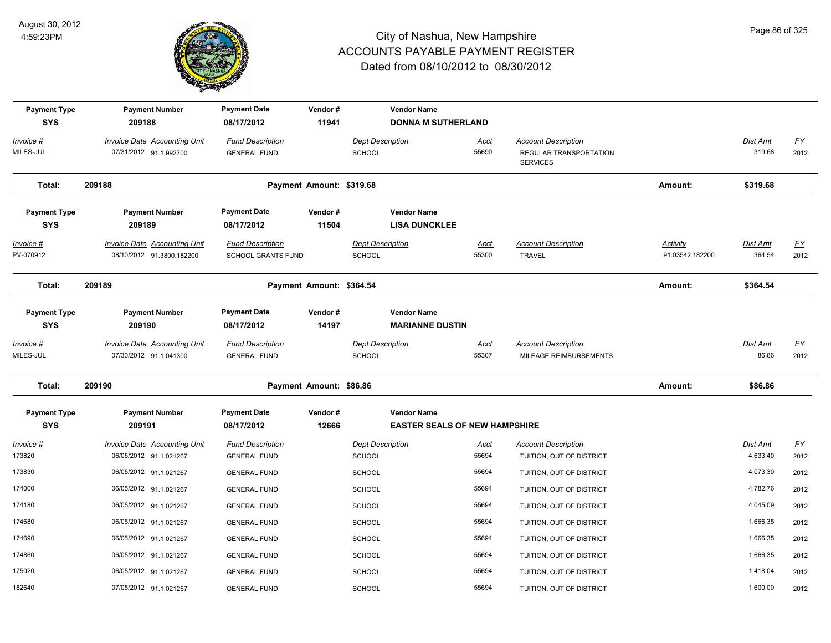

| <b>Payment Type</b><br><b>SYS</b> | <b>Payment Number</b><br>209188                                  | <b>Payment Date</b><br>08/17/2012              | Vendor#<br>11941         | <b>Vendor Name</b><br><b>DONNA M SUTHERLAND</b>            |                      |                                                                         |                                    |                             |                                   |
|-----------------------------------|------------------------------------------------------------------|------------------------------------------------|--------------------------|------------------------------------------------------------|----------------------|-------------------------------------------------------------------------|------------------------------------|-----------------------------|-----------------------------------|
| Invoice #<br>MILES-JUL            | <b>Invoice Date Accounting Unit</b><br>07/31/2012 91.1.992700    | <b>Fund Description</b><br><b>GENERAL FUND</b> |                          | <b>Dept Description</b><br>SCHOOL                          | <b>Acct</b><br>55690 | <b>Account Description</b><br>REGULAR TRANSPORTATION<br><b>SERVICES</b> |                                    | Dist Amt<br>319.68          | <u>FY</u><br>2012                 |
| Total:                            | 209188                                                           |                                                | Payment Amount: \$319.68 |                                                            |                      |                                                                         | Amount:                            | \$319.68                    |                                   |
| <b>Payment Type</b><br><b>SYS</b> | <b>Payment Number</b><br>209189                                  | <b>Payment Date</b><br>08/17/2012              | Vendor#<br>11504         | <b>Vendor Name</b><br><b>LISA DUNCKLEE</b>                 |                      |                                                                         |                                    |                             |                                   |
| <u> Invoice #</u><br>PV-070912    | <b>Invoice Date Accounting Unit</b><br>08/10/2012 91.3800.182200 | <b>Fund Description</b><br>SCHOOL GRANTS FUND  |                          | <b>Dept Description</b><br>SCHOOL                          | <u>Acct</u><br>55300 | <b>Account Description</b><br><b>TRAVEL</b>                             | <b>Activity</b><br>91.03542.182200 | <b>Dist Amt</b><br>364.54   | <u>FY</u><br>2012                 |
| Total:                            | 209189                                                           |                                                | Payment Amount: \$364.54 |                                                            |                      |                                                                         | Amount:                            | \$364.54                    |                                   |
| <b>Payment Type</b><br><b>SYS</b> | <b>Payment Number</b><br>209190                                  | <b>Payment Date</b><br>08/17/2012              | Vendor#<br>14197         | <b>Vendor Name</b><br><b>MARIANNE DUSTIN</b>               |                      |                                                                         |                                    |                             |                                   |
| Invoice #<br>MILES-JUL            | Invoice Date Accounting Unit<br>07/30/2012 91.1.041300           | <b>Fund Description</b><br><b>GENERAL FUND</b> |                          | <b>Dept Description</b><br>SCHOOL                          | Acct<br>55307        | <b>Account Description</b><br>MILEAGE REIMBURSEMENTS                    |                                    | Dist Amt<br>86.86           | <u>FY</u><br>2012                 |
| Total:                            | 209190                                                           |                                                | Payment Amount: \$86.86  |                                                            |                      |                                                                         | Amount:                            | \$86.86                     |                                   |
| <b>Payment Type</b><br><b>SYS</b> | <b>Payment Number</b><br>209191                                  | <b>Payment Date</b><br>08/17/2012              | Vendor#<br>12666         | <b>Vendor Name</b><br><b>EASTER SEALS OF NEW HAMPSHIRE</b> |                      |                                                                         |                                    |                             |                                   |
| <u> Invoice #</u><br>173820       | <b>Invoice Date Accounting Unit</b><br>06/05/2012 91.1.021267    | <b>Fund Description</b><br><b>GENERAL FUND</b> |                          | <b>Dept Description</b><br>SCHOOL                          | <u>Acct</u><br>55694 | <b>Account Description</b><br>TUITION, OUT OF DISTRICT                  |                                    | <b>Dist Amt</b><br>4,633.40 | $\underline{\mathsf{FY}}$<br>2012 |
| 173830                            | 06/05/2012 91.1.021267                                           | <b>GENERAL FUND</b>                            |                          | <b>SCHOOL</b>                                              | 55694                | TUITION, OUT OF DISTRICT                                                |                                    | 4,073.30                    | 2012                              |
| 174000                            | 06/05/2012 91.1.021267                                           | <b>GENERAL FUND</b>                            |                          | <b>SCHOOL</b>                                              | 55694                | TUITION, OUT OF DISTRICT                                                |                                    | 4,782.76                    | 2012                              |
| 174180                            | 06/05/2012 91.1.021267                                           | <b>GENERAL FUND</b>                            |                          | <b>SCHOOL</b>                                              | 55694                | TUITION, OUT OF DISTRICT                                                |                                    | 4,045.09                    | 2012                              |
| 174680                            | 06/05/2012 91.1.021267                                           | <b>GENERAL FUND</b>                            |                          | <b>SCHOOL</b>                                              | 55694                | TUITION, OUT OF DISTRICT                                                |                                    | 1,666.35                    | 2012                              |
| 174690                            | 06/05/2012 91.1.021267                                           | <b>GENERAL FUND</b>                            |                          | <b>SCHOOL</b>                                              | 55694                | TUITION, OUT OF DISTRICT                                                |                                    | 1,666.35                    | 2012                              |
| 174860                            | 06/05/2012 91.1.021267                                           | <b>GENERAL FUND</b>                            |                          | <b>SCHOOL</b>                                              | 55694                | TUITION, OUT OF DISTRICT                                                |                                    | 1,666.35                    | 2012                              |
| 175020                            | 06/05/2012 91.1.021267                                           | <b>GENERAL FUND</b>                            |                          | SCHOOL                                                     | 55694                | TUITION, OUT OF DISTRICT                                                |                                    | 1,418.04                    | 2012                              |
| 182640                            | 07/05/2012 91.1.021267                                           | <b>GENERAL FUND</b>                            |                          | <b>SCHOOL</b>                                              | 55694                | TUITION, OUT OF DISTRICT                                                |                                    | 1,600.00                    | 2012                              |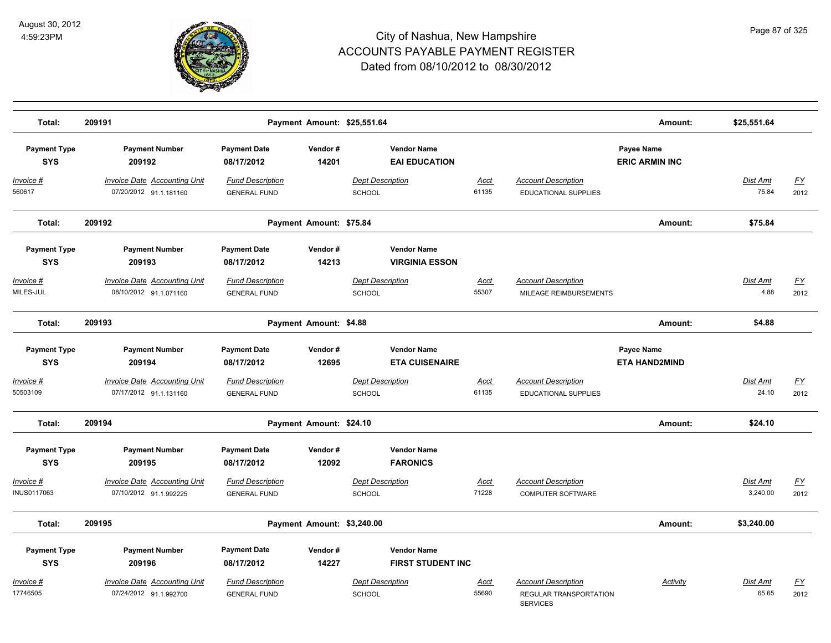

| Total:                            | 209191                                                        |                                                |                            | Payment Amount: \$25,551.64                    |                      |                                                                         | Amount:                             | \$25,551.64              |                   |
|-----------------------------------|---------------------------------------------------------------|------------------------------------------------|----------------------------|------------------------------------------------|----------------------|-------------------------------------------------------------------------|-------------------------------------|--------------------------|-------------------|
| <b>Payment Type</b><br><b>SYS</b> | <b>Payment Number</b><br>209192                               | <b>Payment Date</b><br>08/17/2012              | Vendor#<br>14201           | <b>Vendor Name</b><br><b>EAI EDUCATION</b>     |                      |                                                                         | Payee Name<br><b>ERIC ARMIN INC</b> |                          |                   |
| Invoice #<br>560617               | <b>Invoice Date Accounting Unit</b><br>07/20/2012 91.1.181160 | <b>Fund Description</b><br><b>GENERAL FUND</b> |                            | <b>Dept Description</b><br><b>SCHOOL</b>       | Acct<br>61135        | <b>Account Description</b><br><b>EDUCATIONAL SUPPLIES</b>               |                                     | <b>Dist Amt</b><br>75.84 | EY<br>2012        |
| Total:                            | 209192                                                        |                                                | Payment Amount: \$75.84    |                                                |                      |                                                                         | Amount:                             | \$75.84                  |                   |
| <b>Payment Type</b><br><b>SYS</b> | <b>Payment Number</b><br>209193                               | <b>Payment Date</b><br>08/17/2012              | Vendor#<br>14213           | <b>Vendor Name</b><br><b>VIRGINIA ESSON</b>    |                      |                                                                         |                                     |                          |                   |
| Invoice #<br>MILES-JUL            | Invoice Date Accounting Unit<br>08/10/2012 91.1.071160        | <b>Fund Description</b><br><b>GENERAL FUND</b> |                            | <b>Dept Description</b><br>SCHOOL              | Acct<br>55307        | <b>Account Description</b><br>MILEAGE REIMBURSEMENTS                    |                                     | <b>Dist Amt</b><br>4.88  | <u>FY</u><br>2012 |
| Total:                            | 209193                                                        |                                                | Payment Amount: \$4.88     |                                                |                      |                                                                         | Amount:                             | \$4.88                   |                   |
| <b>Payment Type</b><br><b>SYS</b> | <b>Payment Number</b><br>209194                               | <b>Payment Date</b><br>08/17/2012              | Vendor#<br>12695           | <b>Vendor Name</b><br><b>ETA CUISENAIRE</b>    |                      |                                                                         | Payee Name<br><b>ETA HAND2MIND</b>  |                          |                   |
| Invoice #<br>50503109             | <b>Invoice Date Accounting Unit</b><br>07/17/2012 91.1.131160 | <b>Fund Description</b><br><b>GENERAL FUND</b> |                            | <b>Dept Description</b><br><b>SCHOOL</b>       | <b>Acct</b><br>61135 | <b>Account Description</b><br><b>EDUCATIONAL SUPPLIES</b>               |                                     | Dist Amt<br>24.10        | <u>FY</u><br>2012 |
| Total:                            | 209194                                                        |                                                | Payment Amount: \$24.10    |                                                |                      |                                                                         | Amount:                             | \$24.10                  |                   |
| <b>Payment Type</b><br><b>SYS</b> | <b>Payment Number</b><br>209195                               | <b>Payment Date</b><br>08/17/2012              | Vendor#<br>12092           | <b>Vendor Name</b><br><b>FARONICS</b>          |                      |                                                                         |                                     |                          |                   |
| Invoice #<br>INUS0117063          | <b>Invoice Date Accounting Unit</b><br>07/10/2012 91.1.992225 | <b>Fund Description</b><br><b>GENERAL FUND</b> |                            | <b>Dept Description</b><br>SCHOOL              | Acct<br>71228        | <b>Account Description</b><br><b>COMPUTER SOFTWARE</b>                  |                                     | Dist Amt<br>3,240.00     | <u>FY</u><br>2012 |
| Total:                            | 209195                                                        |                                                | Payment Amount: \$3,240.00 |                                                |                      |                                                                         | Amount:                             | \$3,240.00               |                   |
| <b>Payment Type</b><br><b>SYS</b> | <b>Payment Number</b><br>209196                               | <b>Payment Date</b><br>08/17/2012              | Vendor#<br>14227           | <b>Vendor Name</b><br><b>FIRST STUDENT INC</b> |                      |                                                                         |                                     |                          |                   |
| Invoice #<br>17746505             | Invoice Date Accounting Unit<br>07/24/2012 91.1.992700        | <b>Fund Description</b><br><b>GENERAL FUND</b> |                            | <b>Dept Description</b><br>SCHOOL              | <u>Acct</u><br>55690 | <b>Account Description</b><br>REGULAR TRANSPORTATION<br><b>SERVICES</b> | Activity                            | Dist Amt<br>65.65        | <u>FY</u><br>2012 |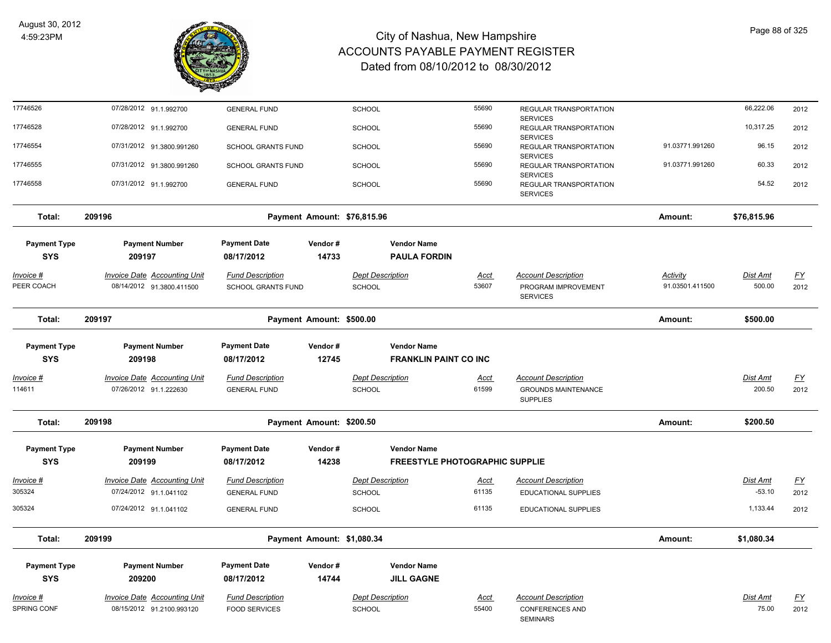

| 17746526                          | 07/28/2012 91.1.992700                                           | <b>GENERAL FUND</b>                           |                            | SCHOOL                                             | 55690                          | REGULAR TRANSPORTATION                                               |                                    | 66,222.06                 | 2012              |
|-----------------------------------|------------------------------------------------------------------|-----------------------------------------------|----------------------------|----------------------------------------------------|--------------------------------|----------------------------------------------------------------------|------------------------------------|---------------------------|-------------------|
| 17746528                          | 07/28/2012 91.1.992700                                           | <b>GENERAL FUND</b>                           |                            | <b>SCHOOL</b>                                      | 55690                          | <b>SERVICES</b><br>REGULAR TRANSPORTATION                            |                                    | 10,317.25                 | 2012              |
| 17746554                          | 07/31/2012 91.3800.991260                                        | <b>SCHOOL GRANTS FUND</b>                     |                            | <b>SCHOOL</b>                                      | 55690                          | <b>SERVICES</b><br>REGULAR TRANSPORTATION<br><b>SERVICES</b>         | 91.03771.991260                    | 96.15                     | 2012              |
| 17746555                          | 07/31/2012 91.3800.991260                                        | SCHOOL GRANTS FUND                            |                            | SCHOOL                                             | 55690                          | REGULAR TRANSPORTATION<br><b>SERVICES</b>                            | 91.03771.991260                    | 60.33                     | 2012              |
| 17746558                          | 07/31/2012 91.1.992700                                           | <b>GENERAL FUND</b>                           |                            | SCHOOL                                             | 55690                          | REGULAR TRANSPORTATION<br><b>SERVICES</b>                            |                                    | 54.52                     | 2012              |
| Total:                            | 209196                                                           |                                               |                            | Payment Amount: \$76,815.96                        |                                |                                                                      | Amount:                            | \$76,815.96               |                   |
| <b>Payment Type</b><br><b>SYS</b> | <b>Payment Number</b><br>209197                                  | <b>Payment Date</b><br>08/17/2012             | Vendor#<br>14733           | <b>Vendor Name</b><br><b>PAULA FORDIN</b>          |                                |                                                                      |                                    |                           |                   |
| <u>Invoice #</u><br>PEER COACH    | <b>Invoice Date Accounting Unit</b><br>08/14/2012 91.3800.411500 | <b>Fund Description</b><br>SCHOOL GRANTS FUND |                            | <b>Dept Description</b><br>SCHOOL                  | <u>Acct</u><br>53607           | <b>Account Description</b><br>PROGRAM IMPROVEMENT<br><b>SERVICES</b> | <b>Activity</b><br>91.03501.411500 | <b>Dist Amt</b><br>500.00 | <u>FY</u><br>2012 |
| Total:                            | 209197                                                           |                                               | Payment Amount: \$500.00   |                                                    |                                |                                                                      | Amount:                            | \$500.00                  |                   |
| <b>Payment Type</b><br><b>SYS</b> | <b>Payment Number</b><br>209198                                  | <b>Payment Date</b><br>08/17/2012             | Vendor#<br>12745           | <b>Vendor Name</b><br><b>FRANKLIN PAINT CO INC</b> |                                |                                                                      |                                    |                           |                   |
| Invoice #                         | <b>Invoice Date Accounting Unit</b>                              | <b>Fund Description</b>                       |                            | <b>Dept Description</b>                            | <u>Acct</u>                    | <b>Account Description</b>                                           |                                    | Dist Amt                  | EY                |
| 114611                            | 07/26/2012 91.1.222630                                           | <b>GENERAL FUND</b>                           |                            | <b>SCHOOL</b>                                      | 61599                          | <b>GROUNDS MAINTENANCE</b><br><b>SUPPLIES</b>                        |                                    | 200.50                    | 2012              |
| Total:                            | 209198                                                           |                                               | Payment Amount: \$200.50   |                                                    |                                |                                                                      | Amount:                            | \$200.50                  |                   |
| <b>Payment Type</b><br><b>SYS</b> | <b>Payment Number</b><br>209199                                  | <b>Payment Date</b><br>08/17/2012             | Vendor#<br>14238           | <b>Vendor Name</b>                                 | FREESTYLE PHOTOGRAPHIC SUPPLIE |                                                                      |                                    |                           |                   |
| Invoice #                         | <b>Invoice Date Accounting Unit</b>                              | <b>Fund Description</b>                       |                            | <b>Dept Description</b>                            | Acct                           | <b>Account Description</b>                                           |                                    | Dist Amt                  | <u>FY</u>         |
| 305324                            | 07/24/2012 91.1.041102                                           | <b>GENERAL FUND</b>                           |                            | SCHOOL                                             | 61135                          | EDUCATIONAL SUPPLIES                                                 |                                    | $-53.10$                  | 2012              |
| 305324                            | 07/24/2012 91.1.041102                                           | <b>GENERAL FUND</b>                           |                            | SCHOOL                                             | 61135                          | EDUCATIONAL SUPPLIES                                                 |                                    | 1,133.44                  | 2012              |
| Total:                            | 209199                                                           |                                               | Payment Amount: \$1,080.34 |                                                    |                                |                                                                      | Amount:                            | \$1.080.34                |                   |
| <b>Payment Type</b><br><b>SYS</b> | <b>Payment Number</b><br>209200                                  | <b>Payment Date</b><br>08/17/2012             | Vendor#<br>14744           | <b>Vendor Name</b><br><b>JILL GAGNE</b>            |                                |                                                                      |                                    |                           |                   |
| Invoice #                         | Invoice Date Accounting Unit                                     | <b>Fund Description</b>                       |                            | <b>Dept Description</b>                            | Acct                           | <b>Account Description</b>                                           |                                    | Dist Amt                  | <u>FY</u>         |
| <b>SPRING CONF</b>                | 08/15/2012 91.2100.993120                                        | <b>FOOD SERVICES</b>                          |                            | SCHOOL                                             | 55400                          | <b>CONFERENCES AND</b><br><b>SEMINARS</b>                            |                                    | 75.00                     | 2012              |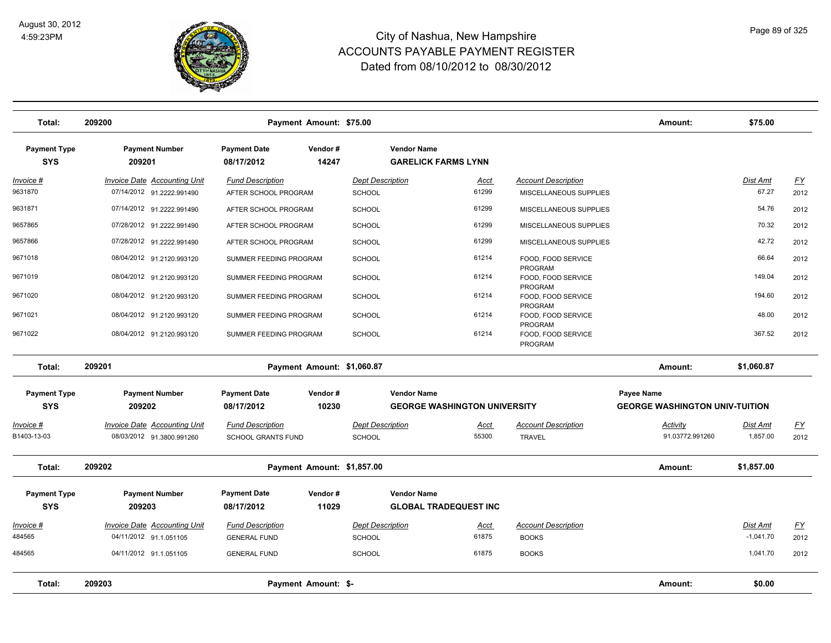

| Total:                            | 209200                                                           | Payment Amount: \$75.00                              |                  |                                          |                                                           |                                                      | Amount:                                                    | \$75.00                 |                   |
|-----------------------------------|------------------------------------------------------------------|------------------------------------------------------|------------------|------------------------------------------|-----------------------------------------------------------|------------------------------------------------------|------------------------------------------------------------|-------------------------|-------------------|
| <b>Payment Type</b><br><b>SYS</b> | <b>Payment Number</b><br>209201                                  | <b>Payment Date</b><br>08/17/2012                    | Vendor#<br>14247 |                                          | <b>Vendor Name</b><br><b>GARELICK FARMS LYNN</b>          |                                                      |                                                            |                         |                   |
| <u> Invoice #</u><br>9631870      | <b>Invoice Date Accounting Unit</b><br>07/14/2012 91.2222.991490 | <b>Fund Description</b><br>AFTER SCHOOL PROGRAM      |                  | <b>Dept Description</b><br><b>SCHOOL</b> | Acct<br>61299                                             | <b>Account Description</b><br>MISCELLANEOUS SUPPLIES |                                                            | Dist Amt<br>67.27       | <u>FY</u><br>2012 |
| 9631871                           | 07/14/2012 91.2222.991490                                        | AFTER SCHOOL PROGRAM                                 |                  | <b>SCHOOL</b>                            | 61299                                                     | MISCELLANEOUS SUPPLIES                               |                                                            | 54.76                   | 2012              |
| 9657865                           | 07/28/2012 91.2222.991490                                        | AFTER SCHOOL PROGRAM                                 |                  | <b>SCHOOL</b>                            | 61299                                                     | MISCELLANEOUS SUPPLIES                               |                                                            | 70.32                   | 2012              |
| 9657866                           | 07/28/2012 91.2222.991490                                        | AFTER SCHOOL PROGRAM                                 |                  | <b>SCHOOL</b>                            | 61299                                                     | MISCELLANEOUS SUPPLIES                               |                                                            | 42.72                   | 2012              |
| 9671018                           | 08/04/2012 91.2120.993120                                        | SUMMER FEEDING PROGRAM                               |                  | <b>SCHOOL</b>                            | 61214                                                     | FOOD, FOOD SERVICE<br>PROGRAM                        |                                                            | 66.64                   | 2012              |
| 9671019                           | 08/04/2012 91.2120.993120                                        | SUMMER FEEDING PROGRAM                               |                  | <b>SCHOOL</b>                            | 61214                                                     | FOOD, FOOD SERVICE<br>PROGRAM                        |                                                            | 149.04                  | 2012              |
| 9671020                           | 08/04/2012 91.2120.993120                                        | SUMMER FEEDING PROGRAM                               |                  | <b>SCHOOL</b>                            | 61214                                                     | FOOD, FOOD SERVICE<br>PROGRAM                        |                                                            | 194.60                  | 2012              |
| 9671021                           | 08/04/2012 91.2120.993120                                        | SUMMER FEEDING PROGRAM                               |                  | <b>SCHOOL</b>                            | 61214                                                     | FOOD, FOOD SERVICE<br>PROGRAM                        |                                                            | 48.00                   | 2012              |
| 9671022                           | 08/04/2012 91.2120.993120                                        | SUMMER FEEDING PROGRAM                               |                  | <b>SCHOOL</b>                            | 61214                                                     | FOOD, FOOD SERVICE<br>PROGRAM                        |                                                            | 367.52                  | 2012              |
| Total:                            | 209201                                                           | Payment Amount: \$1,060.87                           |                  |                                          |                                                           |                                                      | Amount:                                                    | \$1,060.87              |                   |
| <b>Payment Type</b><br><b>SYS</b> | <b>Payment Number</b><br>209202                                  | <b>Payment Date</b><br>08/17/2012                    | Vendor#<br>10230 |                                          | <b>Vendor Name</b><br><b>GEORGE WASHINGTON UNIVERSITY</b> |                                                      | <b>Payee Name</b><br><b>GEORGE WASHINGTON UNIV-TUITION</b> |                         |                   |
| Invoice #<br>B1403-13-03          | <b>Invoice Date Accounting Unit</b><br>08/03/2012 91.3800.991260 | <b>Fund Description</b><br><b>SCHOOL GRANTS FUND</b> |                  | <b>Dept Description</b><br><b>SCHOOL</b> | Acct<br>55300                                             | <b>Account Description</b><br><b>TRAVEL</b>          | Activity<br>91.03772.991260                                | Dist Amt<br>1,857.00    | <u>FY</u><br>2012 |
| Total:                            | 209202                                                           | Payment Amount: \$1,857.00                           |                  |                                          |                                                           |                                                      | Amount:                                                    | \$1,857.00              |                   |
| <b>Payment Type</b><br><b>SYS</b> | <b>Payment Number</b><br>209203                                  | <b>Payment Date</b><br>08/17/2012                    | Vendor#<br>11029 |                                          | <b>Vendor Name</b><br><b>GLOBAL TRADEQUEST INC</b>        |                                                      |                                                            |                         |                   |
| Invoice #<br>484565               | Invoice Date Accounting Unit<br>04/11/2012 91.1.051105           | <b>Fund Description</b><br><b>GENERAL FUND</b>       |                  | <b>Dept Description</b><br>SCHOOL        | <u>Acct</u><br>61875                                      | <b>Account Description</b><br><b>BOOKS</b>           |                                                            | Dist Amt<br>$-1,041.70$ | <u>FY</u><br>2012 |
| 484565                            | 04/11/2012 91.1.051105                                           | <b>GENERAL FUND</b>                                  |                  | <b>SCHOOL</b>                            | 61875                                                     | <b>BOOKS</b>                                         |                                                            | 1,041.70                | 2012              |
| Total:                            | 209203                                                           | Payment Amount: \$-                                  |                  |                                          |                                                           |                                                      | Amount:                                                    | \$0.00                  |                   |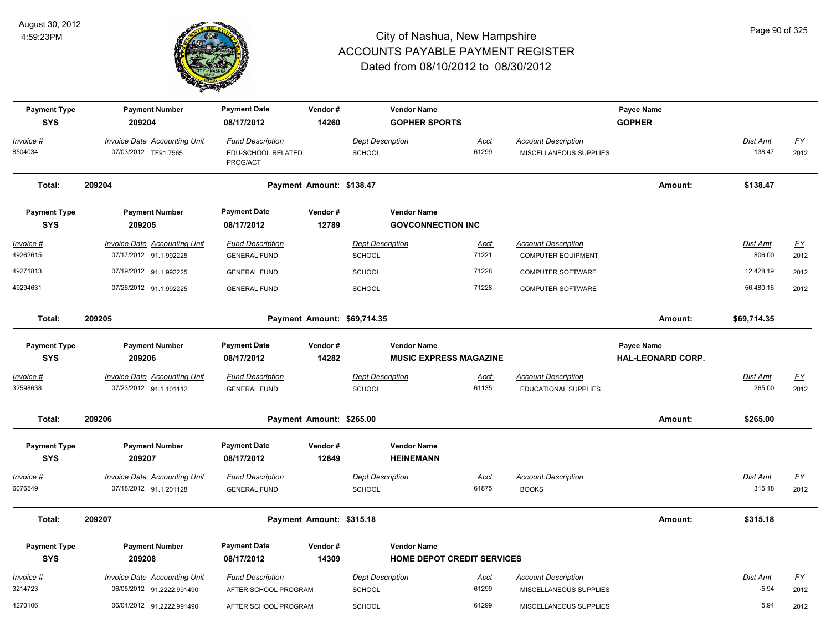

| <b>Payment Type</b><br><b>SYS</b> | <b>Payment Number</b><br>209204                                  | <b>Payment Date</b><br>08/17/2012                         | Vendor#<br>14260         |                                          | <b>Vendor Name</b><br><b>GOPHER SPORTS</b>              |                      |                                                         | Payee Name<br><b>GOPHER</b>            |                           |                          |
|-----------------------------------|------------------------------------------------------------------|-----------------------------------------------------------|--------------------------|------------------------------------------|---------------------------------------------------------|----------------------|---------------------------------------------------------|----------------------------------------|---------------------------|--------------------------|
| Invoice #<br>8504034              | <b>Invoice Date Accounting Unit</b><br>07/03/2012 TF91.7565      | <b>Fund Description</b><br>EDU-SCHOOL RELATED<br>PROG/ACT |                          | <b>Dept Description</b><br>SCHOOL        |                                                         | Acct<br>61299        | <b>Account Description</b><br>MISCELLANEOUS SUPPLIES    |                                        | Dist Amt<br>138.47        | $\underline{FY}$<br>2012 |
| Total:                            | 209204                                                           |                                                           | Payment Amount: \$138.47 |                                          |                                                         |                      |                                                         | Amount:                                | \$138.47                  |                          |
| <b>Payment Type</b><br><b>SYS</b> | <b>Payment Number</b><br>209205                                  | <b>Payment Date</b><br>08/17/2012                         | Vendor#<br>12789         |                                          | <b>Vendor Name</b><br><b>GOVCONNECTION INC</b>          |                      |                                                         |                                        |                           |                          |
| Invoice #<br>49262615             | <b>Invoice Date Accounting Unit</b><br>07/17/2012 91.1.992225    | <b>Fund Description</b><br><b>GENERAL FUND</b>            |                          | <b>Dept Description</b><br><b>SCHOOL</b> |                                                         | <u>Acct</u><br>71221 | <b>Account Description</b><br><b>COMPUTER EQUIPMENT</b> |                                        | <b>Dist Amt</b><br>806.00 | <u>FY</u><br>2012        |
| 49271813                          | 07/19/2012 91.1.992225                                           | <b>GENERAL FUND</b>                                       |                          | <b>SCHOOL</b>                            |                                                         | 71228                | <b>COMPUTER SOFTWARE</b>                                |                                        | 12,428.19                 | 2012                     |
| 49294631                          | 07/26/2012 91.1.992225                                           | <b>GENERAL FUND</b>                                       |                          | <b>SCHOOL</b>                            |                                                         | 71228                | <b>COMPUTER SOFTWARE</b>                                |                                        | 56,480.16                 | 2012                     |
| Total:                            | 209205                                                           |                                                           |                          | Payment Amount: \$69,714.35              |                                                         |                      |                                                         | Amount:                                | \$69,714.35               |                          |
| <b>Payment Type</b><br><b>SYS</b> | <b>Payment Number</b><br>209206                                  | <b>Payment Date</b><br>08/17/2012                         | Vendor#<br>14282         |                                          | <b>Vendor Name</b><br><b>MUSIC EXPRESS MAGAZINE</b>     |                      |                                                         | Payee Name<br><b>HAL-LEONARD CORP.</b> |                           |                          |
| Invoice #<br>32598638             | <b>Invoice Date Accounting Unit</b><br>07/23/2012 91.1.101112    | <b>Fund Description</b><br><b>GENERAL FUND</b>            |                          | <b>Dept Description</b><br><b>SCHOOL</b> |                                                         | <b>Acct</b><br>61135 | <b>Account Description</b><br>EDUCATIONAL SUPPLIES      |                                        | Dist Amt<br>265.00        | <u>FY</u><br>2012        |
| Total:                            | 209206                                                           |                                                           | Payment Amount: \$265.00 |                                          |                                                         |                      |                                                         | Amount:                                | \$265.00                  |                          |
| <b>Payment Type</b><br><b>SYS</b> | <b>Payment Number</b><br>209207                                  | <b>Payment Date</b><br>08/17/2012                         | Vendor#<br>12849         |                                          | <b>Vendor Name</b><br><b>HEINEMANN</b>                  |                      |                                                         |                                        |                           |                          |
| Invoice #                         | <b>Invoice Date Accounting Unit</b>                              | <b>Fund Description</b>                                   |                          | <b>Dept Description</b>                  |                                                         | Acct                 | <b>Account Description</b>                              |                                        | Dist Amt                  | <u>FY</u>                |
| 6076549                           | 07/18/2012 91.1.201128                                           | <b>GENERAL FUND</b>                                       |                          | <b>SCHOOL</b>                            |                                                         | 61875                | <b>BOOKS</b>                                            |                                        | 315.18                    | 2012                     |
| Total:                            | 209207                                                           |                                                           | Payment Amount: \$315.18 |                                          |                                                         |                      |                                                         | Amount:                                | \$315.18                  |                          |
| <b>Payment Type</b><br><b>SYS</b> | <b>Payment Number</b><br>209208                                  | <b>Payment Date</b><br>08/17/2012                         | Vendor#<br>14309         |                                          | <b>Vendor Name</b><br><b>HOME DEPOT CREDIT SERVICES</b> |                      |                                                         |                                        |                           |                          |
| $Invoice$ #<br>3214723            | <b>Invoice Date Accounting Unit</b><br>06/05/2012 91.2222.991490 | <b>Fund Description</b><br>AFTER SCHOOL PROGRAM           |                          | <b>Dept Description</b><br>SCHOOL        |                                                         | <u>Acct</u><br>61299 | <b>Account Description</b><br>MISCELLANEOUS SUPPLIES    |                                        | Dist Amt<br>$-5.94$       | <u>FY</u><br>2012        |
| 4270106                           | 06/04/2012 91.2222.991490                                        | AFTER SCHOOL PROGRAM                                      |                          | <b>SCHOOL</b>                            |                                                         | 61299                | MISCELLANEOUS SUPPLIES                                  |                                        | 5.94                      | 2012                     |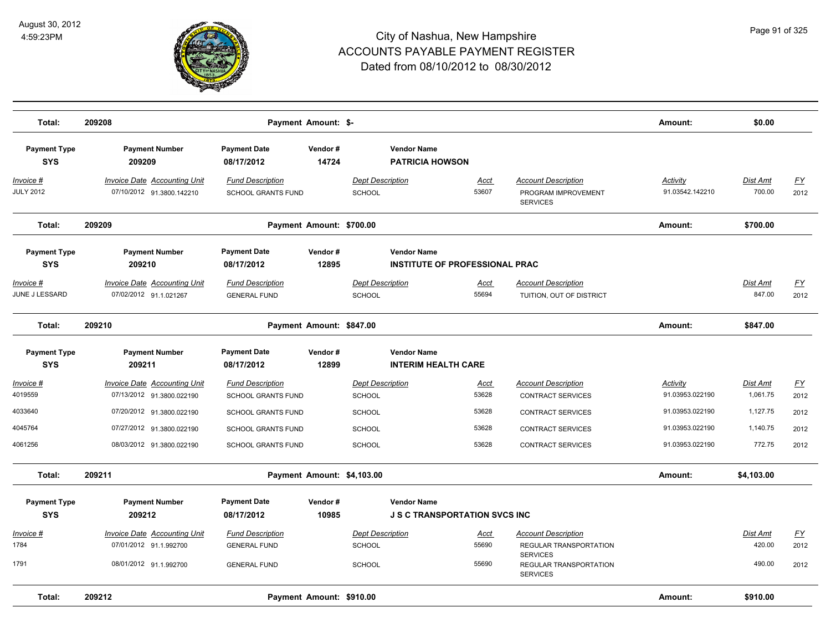

| Total:                              | 209208                                                           |                                                      | Payment Amount: \$-        |                                          |                                       |                                                                      | Amount:                     | \$0.00               |                   |
|-------------------------------------|------------------------------------------------------------------|------------------------------------------------------|----------------------------|------------------------------------------|---------------------------------------|----------------------------------------------------------------------|-----------------------------|----------------------|-------------------|
| <b>Payment Type</b><br><b>SYS</b>   | <b>Payment Number</b><br>209209                                  | <b>Payment Date</b><br>08/17/2012                    | Vendor#<br>14724           | <b>Vendor Name</b>                       | <b>PATRICIA HOWSON</b>                |                                                                      |                             |                      |                   |
| Invoice #<br><b>JULY 2012</b>       | <b>Invoice Date Accounting Unit</b><br>07/10/2012 91.3800.142210 | <b>Fund Description</b><br><b>SCHOOL GRANTS FUND</b> |                            | <b>Dept Description</b><br>SCHOOL        | Acct<br>53607                         | <b>Account Description</b><br>PROGRAM IMPROVEMENT<br><b>SERVICES</b> | Activity<br>91.03542.142210 | Dist Amt<br>700.00   | <b>FY</b><br>2012 |
| Total:                              | 209209                                                           |                                                      | Payment Amount: \$700.00   |                                          |                                       |                                                                      | Amount:                     | \$700.00             |                   |
| <b>Payment Type</b><br><b>SYS</b>   | <b>Payment Number</b><br>209210                                  | <b>Payment Date</b><br>08/17/2012                    | Vendor#<br>12895           | <b>Vendor Name</b>                       | <b>INSTITUTE OF PROFESSIONAL PRAC</b> |                                                                      |                             |                      |                   |
| <u> Invoice #</u><br>JUNE J LESSARD | <b>Invoice Date Accounting Unit</b><br>07/02/2012 91.1.021267    | <b>Fund Description</b><br><b>GENERAL FUND</b>       |                            | <b>Dept Description</b><br>SCHOOL        | Acct<br>55694                         | <b>Account Description</b><br>TUITION, OUT OF DISTRICT               |                             | Dist Amt<br>847.00   | <u>FY</u><br>2012 |
| Total:                              | 209210                                                           |                                                      | Payment Amount: \$847.00   |                                          |                                       |                                                                      | Amount:                     | \$847.00             |                   |
| <b>Payment Type</b>                 | <b>Payment Number</b>                                            | <b>Payment Date</b>                                  | Vendor#                    | <b>Vendor Name</b>                       |                                       |                                                                      |                             |                      |                   |
| <b>SYS</b>                          | 209211                                                           | 08/17/2012                                           | 12899                      |                                          | <b>INTERIM HEALTH CARE</b>            |                                                                      |                             |                      |                   |
| <u> Invoice #</u><br>4019559        | Invoice Date Accounting Unit<br>07/13/2012 91.3800.022190        | <b>Fund Description</b><br>SCHOOL GRANTS FUND        |                            | <b>Dept Description</b><br><b>SCHOOL</b> | <u>Acct</u><br>53628                  | <b>Account Description</b><br><b>CONTRACT SERVICES</b>               | Activity<br>91.03953.022190 | Dist Amt<br>1,061.75 | <u>FY</u><br>2012 |
| 4033640                             | 07/20/2012 91.3800.022190                                        | <b>SCHOOL GRANTS FUND</b>                            |                            | SCHOOL                                   | 53628                                 | <b>CONTRACT SERVICES</b>                                             | 91.03953.022190             | 1,127.75             | 2012              |
| 4045764                             | 07/27/2012 91.3800.022190                                        | <b>SCHOOL GRANTS FUND</b>                            |                            | SCHOOL                                   | 53628                                 | <b>CONTRACT SERVICES</b>                                             | 91.03953.022190             | 1,140.75             | 2012              |
| 4061256                             | 08/03/2012 91.3800.022190                                        | <b>SCHOOL GRANTS FUND</b>                            |                            | <b>SCHOOL</b>                            | 53628                                 | <b>CONTRACT SERVICES</b>                                             | 91.03953.022190             | 772.75               | 2012              |
| Total:                              | 209211                                                           |                                                      | Payment Amount: \$4,103.00 |                                          |                                       |                                                                      | Amount:                     | \$4,103.00           |                   |
| <b>Payment Type</b><br><b>SYS</b>   | <b>Payment Number</b><br>209212                                  | <b>Payment Date</b><br>08/17/2012                    | Vendor#<br>10985           | <b>Vendor Name</b>                       | <b>J S C TRANSPORTATION SVCS INC</b>  |                                                                      |                             |                      |                   |
| Invoice #                           | Invoice Date Accounting Unit                                     | <b>Fund Description</b>                              |                            | <b>Dept Description</b>                  | Acct                                  | <b>Account Description</b>                                           |                             | Dist Amt             | <u>FY</u>         |
| 1784                                | 07/01/2012 91.1.992700                                           | <b>GENERAL FUND</b>                                  |                            | <b>SCHOOL</b>                            | 55690                                 | REGULAR TRANSPORTATION<br><b>SERVICES</b>                            |                             | 420.00               | 2012              |
| 1791                                | 08/01/2012 91.1.992700                                           | <b>GENERAL FUND</b>                                  |                            | SCHOOL                                   | 55690                                 | REGULAR TRANSPORTATION<br><b>SERVICES</b>                            |                             | 490.00               | 2012              |
| Total:                              | 209212                                                           |                                                      | Payment Amount: \$910.00   |                                          |                                       |                                                                      | Amount:                     | \$910.00             |                   |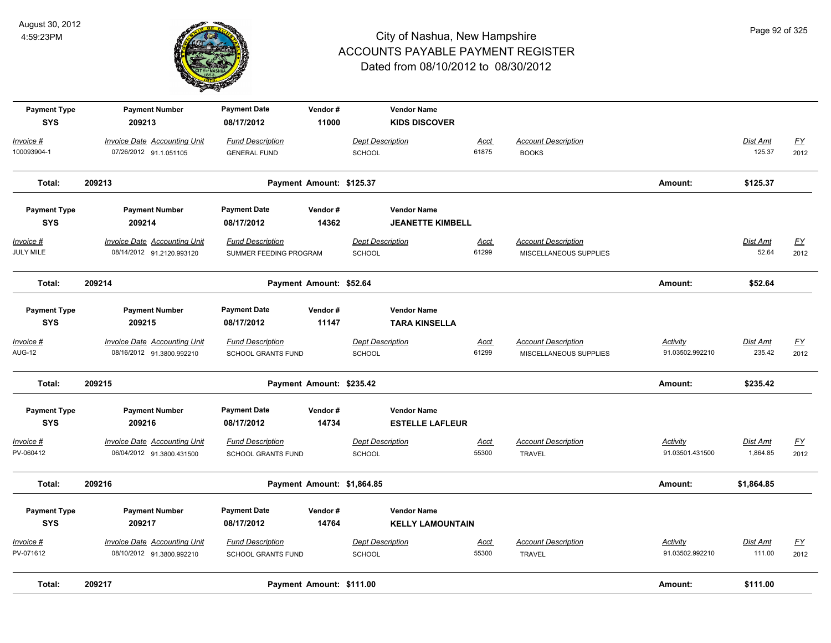

| <b>Payment Type</b><br><b>SYS</b> | <b>Payment Number</b><br>209213                                  | <b>Payment Date</b><br>08/17/2012                    | Vendor#<br>11000           |                                          | <b>Vendor Name</b><br><b>KIDS DISCOVER</b>    |                      |                                                      |                             |                          |                                   |
|-----------------------------------|------------------------------------------------------------------|------------------------------------------------------|----------------------------|------------------------------------------|-----------------------------------------------|----------------------|------------------------------------------------------|-----------------------------|--------------------------|-----------------------------------|
| Invoice #<br>100093904-1          | <b>Invoice Date Accounting Unit</b><br>07/26/2012 91.1.051105    | <b>Fund Description</b><br><b>GENERAL FUND</b>       |                            | <b>Dept Description</b><br><b>SCHOOL</b> |                                               | Acct<br>61875        | <b>Account Description</b><br><b>BOOKS</b>           |                             | Dist Amt<br>125.37       | <u>FY</u><br>2012                 |
| Total:                            | 209213                                                           |                                                      | Payment Amount: \$125.37   |                                          |                                               |                      |                                                      | Amount:                     | \$125.37                 |                                   |
| <b>Payment Type</b><br><b>SYS</b> | <b>Payment Number</b><br>209214                                  | <b>Payment Date</b><br>08/17/2012                    | Vendor#<br>14362           |                                          | <b>Vendor Name</b><br><b>JEANETTE KIMBELL</b> |                      |                                                      |                             |                          |                                   |
| Invoice #<br>JULY MILE            | <b>Invoice Date Accounting Unit</b><br>08/14/2012 91.2120.993120 | <b>Fund Description</b><br>SUMMER FEEDING PROGRAM    |                            | <b>Dept Description</b><br>SCHOOL        |                                               | <u>Acct</u><br>61299 | <b>Account Description</b><br>MISCELLANEOUS SUPPLIES |                             | <b>Dist Amt</b><br>52.64 | $\underline{\mathsf{FY}}$<br>2012 |
| Total:                            | 209214                                                           |                                                      | Payment Amount: \$52.64    |                                          |                                               |                      |                                                      | Amount:                     | \$52.64                  |                                   |
| <b>Payment Type</b><br><b>SYS</b> | <b>Payment Number</b><br>209215                                  | <b>Payment Date</b><br>08/17/2012                    | Vendor#<br>11147           |                                          | <b>Vendor Name</b><br><b>TARA KINSELLA</b>    |                      |                                                      |                             |                          |                                   |
| Invoice #<br><b>AUG-12</b>        | Invoice Date Accounting Unit<br>08/16/2012 91.3800.992210        | <b>Fund Description</b><br><b>SCHOOL GRANTS FUND</b> |                            | <b>Dept Description</b><br>SCHOOL        |                                               | Acct<br>61299        | <b>Account Description</b><br>MISCELLANEOUS SUPPLIES | Activity<br>91.03502.992210 | Dist Amt<br>235.42       | EY<br>2012                        |
| Total:                            | 209215                                                           |                                                      | Payment Amount: \$235.42   |                                          |                                               |                      |                                                      | Amount:                     | \$235.42                 |                                   |
| <b>Payment Type</b><br><b>SYS</b> | <b>Payment Number</b><br>209216                                  | <b>Payment Date</b><br>08/17/2012                    | Vendor#<br>14734           |                                          | <b>Vendor Name</b><br><b>ESTELLE LAFLEUR</b>  |                      |                                                      |                             |                          |                                   |
| Invoice #<br>PV-060412            | <b>Invoice Date Accounting Unit</b><br>06/04/2012 91.3800.431500 | <b>Fund Description</b><br><b>SCHOOL GRANTS FUND</b> |                            | <b>Dept Description</b><br><b>SCHOOL</b> |                                               | Acct<br>55300        | <b>Account Description</b><br><b>TRAVEL</b>          | Activity<br>91.03501.431500 | Dist Amt<br>1,864.85     | EY<br>2012                        |
| Total:                            | 209216                                                           |                                                      | Payment Amount: \$1,864.85 |                                          |                                               |                      |                                                      | Amount:                     | \$1,864.85               |                                   |
| <b>Payment Type</b><br><b>SYS</b> | <b>Payment Number</b><br>209217                                  | <b>Payment Date</b><br>08/17/2012                    | Vendor#<br>14764           |                                          | <b>Vendor Name</b><br><b>KELLY LAMOUNTAIN</b> |                      |                                                      |                             |                          |                                   |
| Invoice #<br>PV-071612            | Invoice Date Accounting Unit<br>08/10/2012 91.3800.992210        | <b>Fund Description</b><br><b>SCHOOL GRANTS FUND</b> |                            | <b>Dept Description</b><br><b>SCHOOL</b> |                                               | Acct<br>55300        | <b>Account Description</b><br><b>TRAVEL</b>          | Activity<br>91.03502.992210 | Dist Amt<br>111.00       | EY<br>2012                        |
| Total:                            | 209217                                                           |                                                      | Payment Amount: \$111.00   |                                          |                                               |                      |                                                      | Amount:                     | \$111.00                 |                                   |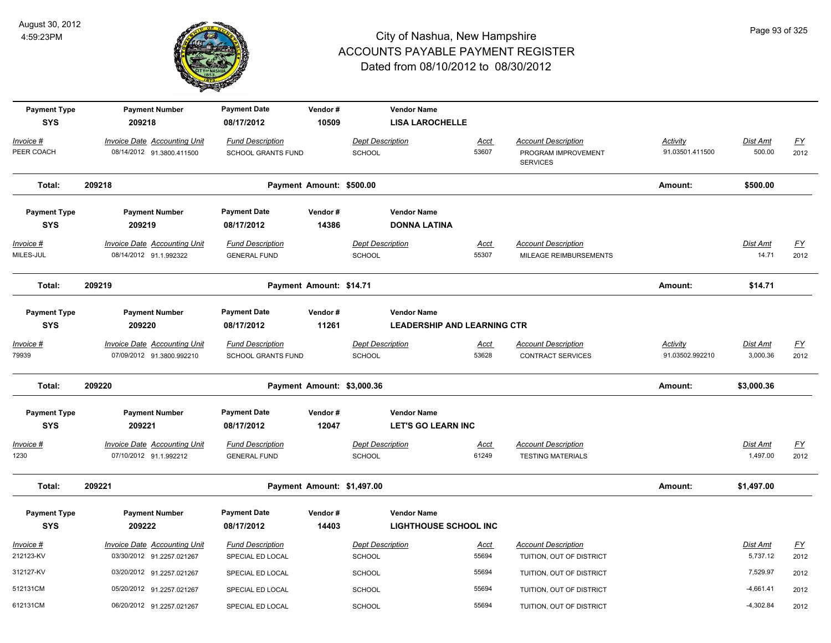

| <b>Payment Type</b>               | <b>Payment Number</b>                                         | <b>Payment Date</b>                            | Vendor#                    |                                   | <b>Vendor Name</b>                                 |                      |                                                        |                 |                      |                   |
|-----------------------------------|---------------------------------------------------------------|------------------------------------------------|----------------------------|-----------------------------------|----------------------------------------------------|----------------------|--------------------------------------------------------|-----------------|----------------------|-------------------|
| <b>SYS</b>                        | 209218                                                        | 08/17/2012                                     | 10509                      |                                   | <b>LISA LAROCHELLE</b>                             |                      |                                                        |                 |                      |                   |
| Invoice #                         | <b>Invoice Date Accounting Unit</b>                           | <b>Fund Description</b>                        |                            | <b>Dept Description</b>           |                                                    | <b>Acct</b>          | <b>Account Description</b>                             | <b>Activity</b> | Dist Amt             | <u>FY</u>         |
| PEER COACH                        | 08/14/2012 91.3800.411500                                     | <b>SCHOOL GRANTS FUND</b>                      |                            | SCHOOL                            |                                                    | 53607                | PROGRAM IMPROVEMENT<br><b>SERVICES</b>                 | 91.03501.411500 | 500.00               | 2012              |
| Total:                            | 209218                                                        |                                                | Payment Amount: \$500.00   |                                   |                                                    |                      |                                                        | Amount:         | \$500.00             |                   |
| <b>Payment Type</b>               | <b>Payment Number</b>                                         | <b>Payment Date</b>                            | Vendor#                    |                                   | <b>Vendor Name</b>                                 |                      |                                                        |                 |                      |                   |
| <b>SYS</b>                        | 209219                                                        | 08/17/2012                                     | 14386                      |                                   | <b>DONNA LATINA</b>                                |                      |                                                        |                 |                      |                   |
| $Invoice$ #                       | <b>Invoice Date Accounting Unit</b>                           | <b>Fund Description</b>                        |                            | <b>Dept Description</b>           |                                                    | <b>Acct</b>          | <b>Account Description</b>                             |                 | <b>Dist Amt</b>      | <u>FY</u>         |
| MILES-JUL                         | 08/14/2012 91.1.992322                                        | <b>GENERAL FUND</b>                            |                            | SCHOOL                            |                                                    | 55307                | MILEAGE REIMBURSEMENTS                                 |                 | 14.71                | 2012              |
| Total:                            | 209219                                                        |                                                | Payment Amount: \$14.71    |                                   |                                                    |                      |                                                        | Amount:         | \$14.71              |                   |
| <b>Payment Type</b>               | <b>Payment Number</b>                                         | <b>Payment Date</b>                            | Vendor#                    |                                   | <b>Vendor Name</b>                                 |                      |                                                        |                 |                      |                   |
| <b>SYS</b>                        | 209220                                                        | 08/17/2012                                     | 11261                      |                                   | <b>LEADERSHIP AND LEARNING CTR</b>                 |                      |                                                        |                 |                      |                   |
| Invoice #                         | <b>Invoice Date Accounting Unit</b>                           | <b>Fund Description</b>                        |                            | <b>Dept Description</b>           |                                                    | <b>Acct</b>          | <b>Account Description</b>                             | Activity        | Dist Amt             | <u>FY</u>         |
| 79939                             | 07/09/2012 91.3800.992210                                     | SCHOOL GRANTS FUND                             |                            | SCHOOL                            |                                                    | 53628                | <b>CONTRACT SERVICES</b>                               | 91.03502.992210 | 3,000.36             | 2012              |
| Total:                            | 209220                                                        |                                                | Payment Amount: \$3,000.36 |                                   |                                                    |                      |                                                        | Amount:         | \$3,000.36           |                   |
| <b>Payment Type</b>               | <b>Payment Number</b>                                         | <b>Payment Date</b>                            | Vendor#                    |                                   | <b>Vendor Name</b>                                 |                      |                                                        |                 |                      |                   |
| <b>SYS</b>                        | 209221                                                        | 08/17/2012                                     | 12047                      |                                   | <b>LET'S GO LEARN INC</b>                          |                      |                                                        |                 |                      |                   |
| Invoice #<br>1230                 | <b>Invoice Date Accounting Unit</b><br>07/10/2012 91.1.992212 | <b>Fund Description</b><br><b>GENERAL FUND</b> |                            | <b>Dept Description</b><br>SCHOOL |                                                    | <b>Acct</b><br>61249 | <b>Account Description</b><br><b>TESTING MATERIALS</b> |                 | Dist Amt<br>1,497.00 | <u>FY</u><br>2012 |
| Total:                            | 209221                                                        |                                                | Payment Amount: \$1,497.00 |                                   |                                                    |                      |                                                        | Amount:         | \$1,497.00           |                   |
| <b>Payment Type</b><br><b>SYS</b> | <b>Payment Number</b><br>209222                               | <b>Payment Date</b><br>08/17/2012              | Vendor#<br>14403           |                                   | <b>Vendor Name</b><br><b>LIGHTHOUSE SCHOOL INC</b> |                      |                                                        |                 |                      |                   |
| Invoice #<br>212123-KV            | Invoice Date Accounting Unit<br>03/30/2012 91.2257.021267     | <b>Fund Description</b><br>SPECIAL ED LOCAL    |                            | <b>Dept Description</b><br>SCHOOL |                                                    | <b>Acct</b><br>55694 | <b>Account Description</b><br>TUITION, OUT OF DISTRICT |                 | Dist Amt<br>5,737.12 | <u>FY</u><br>2012 |
| 312127-KV                         | 03/20/2012 91.2257.021267                                     | SPECIAL ED LOCAL                               |                            | <b>SCHOOL</b>                     |                                                    | 55694                | TUITION, OUT OF DISTRICT                               |                 | 7,529.97             | 2012              |
| 512131CM                          | 05/20/2012 91.2257.021267                                     | SPECIAL ED LOCAL                               |                            | <b>SCHOOL</b>                     |                                                    | 55694                | TUITION, OUT OF DISTRICT                               |                 | $-4,661.41$          | 2012              |
| 612131CM                          | 06/20/2012 91.2257.021267                                     | SPECIAL ED LOCAL                               |                            | SCHOOL                            |                                                    | 55694                | TUITION, OUT OF DISTRICT                               |                 | $-4,302.84$          | 2012              |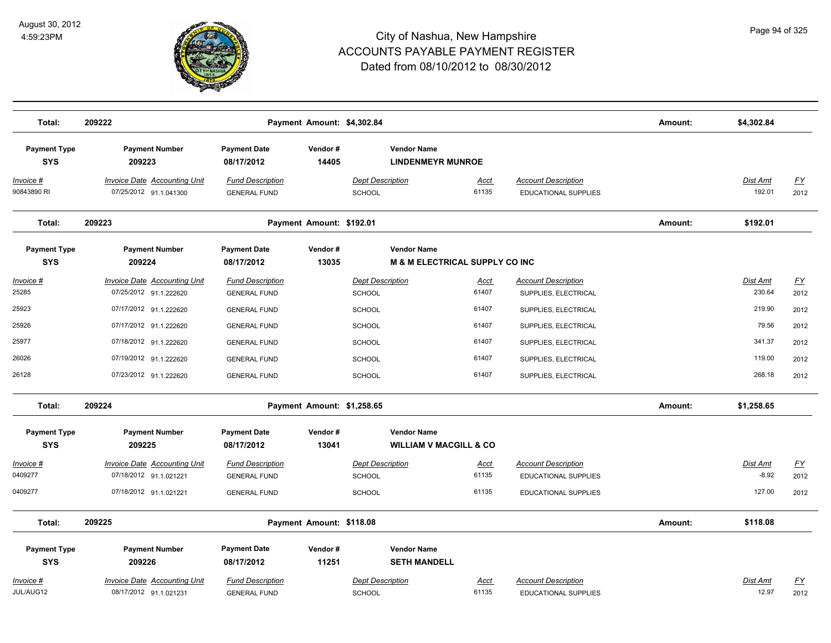

| Total:                            | 209222                                                        |                                                | Payment Amount: \$4,302.84 |                                          |                                                                 |                                                           | Amount: | \$4,302.84                |                          |
|-----------------------------------|---------------------------------------------------------------|------------------------------------------------|----------------------------|------------------------------------------|-----------------------------------------------------------------|-----------------------------------------------------------|---------|---------------------------|--------------------------|
| <b>Payment Type</b><br><b>SYS</b> | <b>Payment Number</b><br>209223                               | <b>Payment Date</b><br>08/17/2012              | Vendor#<br>14405           |                                          | <b>Vendor Name</b><br><b>LINDENMEYR MUNROE</b>                  |                                                           |         |                           |                          |
| <u>Invoice #</u><br>90843890 RI   | <b>Invoice Date Accounting Unit</b><br>07/25/2012 91.1.041300 | <b>Fund Description</b><br><b>GENERAL FUND</b> |                            | <b>Dept Description</b><br>SCHOOL        | <u>Acct</u><br>61135                                            | <b>Account Description</b><br><b>EDUCATIONAL SUPPLIES</b> |         | Dist Amt<br>192.01        | <u>FY</u><br>2012        |
| Total:                            | 209223                                                        |                                                | Payment Amount: \$192.01   |                                          |                                                                 |                                                           | Amount: | \$192.01                  |                          |
| <b>Payment Type</b><br><b>SYS</b> | <b>Payment Number</b><br>209224                               | <b>Payment Date</b><br>08/17/2012              | Vendor#<br>13035           |                                          | <b>Vendor Name</b><br><b>M &amp; M ELECTRICAL SUPPLY CO INC</b> |                                                           |         |                           |                          |
| <u> Invoice #</u><br>25285        | <b>Invoice Date Accounting Unit</b><br>07/25/2012 91.1.222620 | <b>Fund Description</b><br><b>GENERAL FUND</b> |                            | <b>Dept Description</b><br>SCHOOL        | <u>Acct</u><br>61407                                            | <b>Account Description</b><br>SUPPLIES, ELECTRICAL        |         | <b>Dist Amt</b><br>230.64 | $\underline{FY}$<br>2012 |
| 25923                             | 07/17/2012 91.1.222620                                        | <b>GENERAL FUND</b>                            |                            | <b>SCHOOL</b>                            | 61407                                                           | SUPPLIES, ELECTRICAL                                      |         | 219.90                    | 2012                     |
| 25926                             | 07/17/2012 91.1.222620                                        | <b>GENERAL FUND</b>                            |                            | SCHOOL                                   | 61407                                                           | SUPPLIES, ELECTRICAL                                      |         | 79.56                     | 2012                     |
| 25977                             | 07/18/2012 91.1.222620                                        | <b>GENERAL FUND</b>                            |                            | <b>SCHOOL</b>                            | 61407                                                           | SUPPLIES, ELECTRICAL                                      |         | 341.37                    | 2012                     |
| 26026                             | 07/19/2012 91.1.222620                                        | <b>GENERAL FUND</b>                            |                            | SCHOOL                                   | 61407                                                           | SUPPLIES, ELECTRICAL                                      |         | 119.00                    | 2012                     |
| 26128                             | 07/23/2012 91.1.222620                                        | <b>GENERAL FUND</b>                            |                            | SCHOOL                                   | 61407                                                           | SUPPLIES, ELECTRICAL                                      |         | 268.18                    | 2012                     |
| Total:                            | 209224                                                        |                                                | Payment Amount: \$1,258.65 |                                          |                                                                 |                                                           | Amount: | \$1,258.65                |                          |
| <b>Payment Type</b><br><b>SYS</b> | <b>Payment Number</b><br>209225                               | <b>Payment Date</b><br>08/17/2012              | Vendor#<br>13041           |                                          | <b>Vendor Name</b><br><b>WILLIAM V MACGILL &amp; CO</b>         |                                                           |         |                           |                          |
| Invoice #                         | <b>Invoice Date Accounting Unit</b>                           | <b>Fund Description</b>                        |                            | <b>Dept Description</b>                  | Acct                                                            | <b>Account Description</b>                                |         | Dist Amt                  | <u>FY</u>                |
| 0409277                           | 07/18/2012 91.1.021221                                        | <b>GENERAL FUND</b>                            |                            | <b>SCHOOL</b>                            | 61135                                                           | <b>EDUCATIONAL SUPPLIES</b>                               |         | $-8.92$                   | 2012                     |
| 0409277                           | 07/18/2012 91.1.021221                                        | <b>GENERAL FUND</b>                            |                            | <b>SCHOOL</b>                            | 61135                                                           | EDUCATIONAL SUPPLIES                                      |         | 127.00                    | 2012                     |
| Total:                            | 209225                                                        |                                                | Payment Amount: \$118.08   |                                          |                                                                 |                                                           | Amount: | \$118.08                  |                          |
| <b>Payment Type</b><br><b>SYS</b> | <b>Payment Number</b><br>209226                               | <b>Payment Date</b><br>08/17/2012              | Vendor#<br>11251           |                                          | <b>Vendor Name</b><br><b>SETH MANDELL</b>                       |                                                           |         |                           |                          |
| Invoice #<br>JUL/AUG12            | <b>Invoice Date Accounting Unit</b><br>08/17/2012 91.1.021231 | <b>Fund Description</b><br><b>GENERAL FUND</b> |                            | <b>Dept Description</b><br><b>SCHOOL</b> | Acct<br>61135                                                   | <b>Account Description</b><br>EDUCATIONAL SUPPLIES        |         | Dist Amt<br>12.97         | <u>FY</u><br>2012        |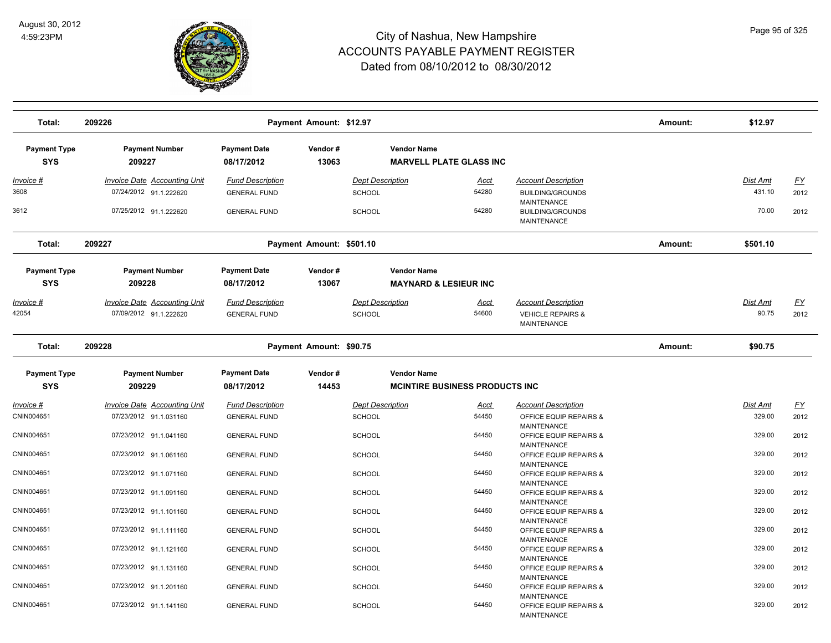

| Total:                            | 209226                                                        |                                                | Payment Amount: \$12.97  |                                   |                                                             |                                                                                  | Amount: | \$12.97                   |                   |
|-----------------------------------|---------------------------------------------------------------|------------------------------------------------|--------------------------|-----------------------------------|-------------------------------------------------------------|----------------------------------------------------------------------------------|---------|---------------------------|-------------------|
| <b>Payment Type</b><br><b>SYS</b> | <b>Payment Number</b><br>209227                               | <b>Payment Date</b><br>08/17/2012              | Vendor#<br>13063         |                                   | <b>Vendor Name</b><br><b>MARVELL PLATE GLASS INC</b>        |                                                                                  |         |                           |                   |
| <u>Invoice #</u><br>3608          | <b>Invoice Date Accounting Unit</b><br>07/24/2012 91.1.222620 | <b>Fund Description</b><br><b>GENERAL FUND</b> |                          | <b>Dept Description</b><br>SCHOOL | <u>Acct</u><br>54280                                        | <b>Account Description</b><br><b>BUILDING/GROUNDS</b>                            |         | <b>Dist Amt</b><br>431.10 | <u>FY</u><br>2012 |
| 3612                              | 07/25/2012 91.1.222620                                        | <b>GENERAL FUND</b>                            |                          | SCHOOL                            | 54280                                                       | MAINTENANCE<br><b>BUILDING/GROUNDS</b><br><b>MAINTENANCE</b>                     |         | 70.00                     | 2012              |
| Total:                            | 209227                                                        |                                                | Payment Amount: \$501.10 |                                   |                                                             |                                                                                  | Amount: | \$501.10                  |                   |
| <b>Payment Type</b><br><b>SYS</b> | <b>Payment Number</b><br>209228                               | <b>Payment Date</b><br>08/17/2012              | Vendor#<br>13067         |                                   | <b>Vendor Name</b><br><b>MAYNARD &amp; LESIEUR INC</b>      |                                                                                  |         |                           |                   |
| Invoice #<br>42054                | Invoice Date Accounting Unit<br>07/09/2012 91.1.222620        | <b>Fund Description</b><br><b>GENERAL FUND</b> |                          | <b>Dept Description</b><br>SCHOOL | <u>Acct</u><br>54600                                        | <b>Account Description</b><br><b>VEHICLE REPAIRS &amp;</b><br><b>MAINTENANCE</b> |         | <b>Dist Amt</b><br>90.75  | <u>FY</u><br>2012 |
| Total:                            | 209228                                                        |                                                | Payment Amount: \$90.75  |                                   |                                                             |                                                                                  | Amount: | \$90.75                   |                   |
| <b>Payment Type</b><br><b>SYS</b> | <b>Payment Number</b><br>209229                               | <b>Payment Date</b><br>08/17/2012              | Vendor#<br>14453         |                                   | <b>Vendor Name</b><br><b>MCINTIRE BUSINESS PRODUCTS INC</b> |                                                                                  |         |                           |                   |
| Invoice #                         | <b>Invoice Date Accounting Unit</b>                           | <b>Fund Description</b>                        |                          | <b>Dept Description</b>           | <u>Acct</u>                                                 | <b>Account Description</b>                                                       |         | Dist Amt                  | <u>FY</u>         |
| CNIN004651                        | 07/23/2012 91.1.031160                                        | <b>GENERAL FUND</b>                            |                          | <b>SCHOOL</b>                     | 54450                                                       | OFFICE EQUIP REPAIRS &<br><b>MAINTENANCE</b>                                     |         | 329.00                    | 2012              |
| CNIN004651                        | 07/23/2012 91.1.041160                                        | <b>GENERAL FUND</b>                            |                          | <b>SCHOOL</b>                     | 54450                                                       | OFFICE EQUIP REPAIRS &<br><b>MAINTENANCE</b>                                     |         | 329.00                    | 2012              |
| CNIN004651                        | 07/23/2012 91.1.061160                                        | <b>GENERAL FUND</b>                            |                          | <b>SCHOOL</b>                     | 54450                                                       | OFFICE EQUIP REPAIRS &<br><b>MAINTENANCE</b>                                     |         | 329.00                    | 2012              |
| CNIN004651                        | 07/23/2012 91.1.071160                                        | <b>GENERAL FUND</b>                            |                          | SCHOOL                            | 54450                                                       | OFFICE EQUIP REPAIRS &<br><b>MAINTENANCE</b>                                     |         | 329.00                    | 2012              |
| CNIN004651                        | 07/23/2012 91.1.091160                                        | <b>GENERAL FUND</b>                            |                          | <b>SCHOOL</b>                     | 54450                                                       | OFFICE EQUIP REPAIRS &<br><b>MAINTENANCE</b>                                     |         | 329.00                    | 2012              |
| CNIN004651                        | 07/23/2012 91.1.101160                                        | <b>GENERAL FUND</b>                            |                          | <b>SCHOOL</b>                     | 54450                                                       | OFFICE EQUIP REPAIRS &<br><b>MAINTENANCE</b>                                     |         | 329.00                    | 2012              |
| CNIN004651                        | 07/23/2012 91.1.111160                                        | <b>GENERAL FUND</b>                            |                          | <b>SCHOOL</b>                     | 54450                                                       | OFFICE EQUIP REPAIRS &<br>MAINTENANCE                                            |         | 329.00                    | 2012              |
| CNIN004651                        | 07/23/2012 91.1.121160                                        | <b>GENERAL FUND</b>                            |                          | <b>SCHOOL</b>                     | 54450                                                       | OFFICE EQUIP REPAIRS &<br><b>MAINTENANCE</b>                                     |         | 329.00                    | 2012              |
| CNIN004651                        | 07/23/2012 91.1.131160                                        | <b>GENERAL FUND</b>                            |                          | <b>SCHOOL</b>                     | 54450                                                       | OFFICE EQUIP REPAIRS &<br>MAINTENANCE                                            |         | 329.00                    | 2012              |
| CNIN004651                        | 07/23/2012 91.1.201160                                        | <b>GENERAL FUND</b>                            |                          | <b>SCHOOL</b>                     | 54450                                                       | OFFICE EQUIP REPAIRS &<br><b>MAINTENANCE</b>                                     |         | 329.00                    | 2012              |
| CNIN004651                        | 07/23/2012 91.1.141160                                        | <b>GENERAL FUND</b>                            |                          | <b>SCHOOL</b>                     | 54450                                                       | OFFICE EQUIP REPAIRS &<br><b>MAINTENANCE</b>                                     |         | 329.00                    | 2012              |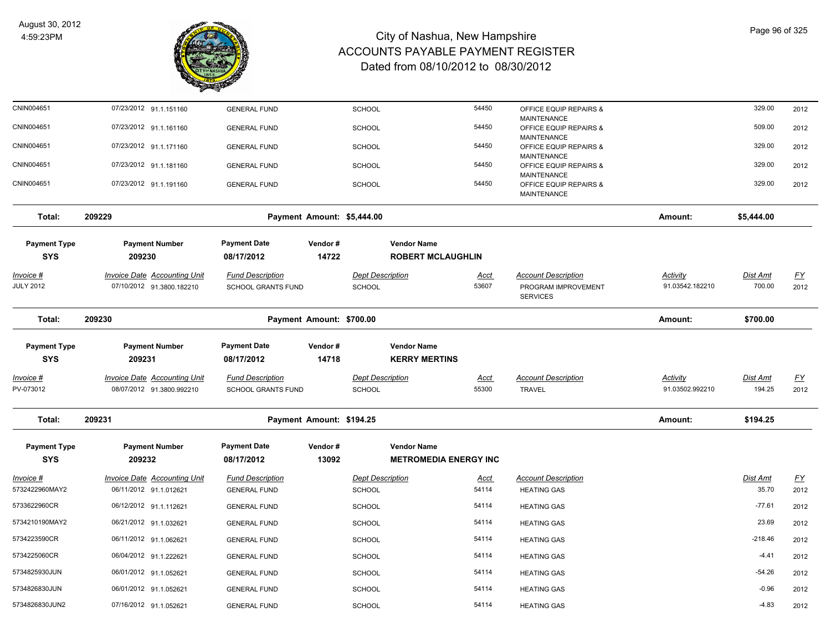

| CNIN004651                            | 07/23/2012 91.1.151160                                           | <b>GENERAL FUND</b>                                  |                            | SCHOOL                                   | 54450                        |               | OFFICE EQUIP REPAIRS &                                               |                                    | 329.00                    | 2012              |
|---------------------------------------|------------------------------------------------------------------|------------------------------------------------------|----------------------------|------------------------------------------|------------------------------|---------------|----------------------------------------------------------------------|------------------------------------|---------------------------|-------------------|
| CNIN004651                            | 07/23/2012 91.1.161160                                           | <b>GENERAL FUND</b>                                  |                            | <b>SCHOOL</b>                            | 54450                        |               | MAINTENANCE<br>OFFICE EQUIP REPAIRS &                                |                                    | 509.00                    | 2012              |
| CNIN004651                            | 07/23/2012 91.1.171160                                           | <b>GENERAL FUND</b>                                  |                            | <b>SCHOOL</b>                            | 54450                        |               | MAINTENANCE<br>OFFICE EQUIP REPAIRS &                                |                                    | 329.00                    | 2012              |
| CNIN004651                            | 07/23/2012 91.1.181160                                           | <b>GENERAL FUND</b>                                  |                            | <b>SCHOOL</b>                            | 54450                        |               | <b>MAINTENANCE</b><br>OFFICE EQUIP REPAIRS &                         |                                    | 329.00                    | 2012              |
|                                       |                                                                  |                                                      |                            |                                          |                              |               | <b>MAINTENANCE</b>                                                   |                                    |                           |                   |
| CNIN004651                            | 07/23/2012 91.1.191160                                           | <b>GENERAL FUND</b>                                  |                            | SCHOOL                                   | 54450                        |               | OFFICE EQUIP REPAIRS &<br>MAINTENANCE                                |                                    | 329.00                    | 2012              |
| Total:                                | 209229                                                           |                                                      | Payment Amount: \$5,444.00 |                                          |                              |               |                                                                      | Amount:                            | \$5,444.00                |                   |
| <b>Payment Type</b>                   | <b>Payment Number</b>                                            | <b>Payment Date</b>                                  | Vendor#                    |                                          | <b>Vendor Name</b>           |               |                                                                      |                                    |                           |                   |
| <b>SYS</b>                            | 209230                                                           | 08/17/2012                                           | 14722                      |                                          | <b>ROBERT MCLAUGHLIN</b>     |               |                                                                      |                                    |                           |                   |
| <u> Invoice #</u><br><b>JULY 2012</b> | <b>Invoice Date Accounting Unit</b><br>07/10/2012 91.3800.182210 | <b>Fund Description</b><br><b>SCHOOL GRANTS FUND</b> |                            | <b>Dept Description</b><br><b>SCHOOL</b> | <u>Acct</u><br>53607         |               | <b>Account Description</b><br>PROGRAM IMPROVEMENT<br><b>SERVICES</b> | <b>Activity</b><br>91.03542.182210 | <b>Dist Amt</b><br>700.00 | <u>FY</u><br>2012 |
| Total:                                | 209230                                                           |                                                      | Payment Amount: \$700.00   |                                          |                              |               |                                                                      | Amount:                            | \$700.00                  |                   |
| <b>Payment Type</b>                   | <b>Payment Number</b>                                            | <b>Payment Date</b>                                  | Vendor#                    |                                          | <b>Vendor Name</b>           |               |                                                                      |                                    |                           |                   |
| <b>SYS</b>                            | 209231                                                           | 08/17/2012                                           | 14718                      |                                          | <b>KERRY MERTINS</b>         |               |                                                                      |                                    |                           |                   |
| Invoice #                             | Invoice Date Accounting Unit                                     | <b>Fund Description</b>                              |                            | <b>Dept Description</b>                  | Acct                         |               | <b>Account Description</b>                                           | Activity                           | Dist Amt                  | $\underline{FY}$  |
| PV-073012                             | 08/07/2012 91.3800.992210                                        | <b>SCHOOL GRANTS FUND</b>                            |                            | SCHOOL                                   | 55300                        | <b>TRAVEL</b> |                                                                      | 91.03502.992210                    | 194.25                    | 2012              |
| Total:                                | 209231                                                           |                                                      | Payment Amount: \$194.25   |                                          |                              |               |                                                                      | Amount:                            | \$194.25                  |                   |
| <b>Payment Type</b>                   | <b>Payment Number</b>                                            | <b>Payment Date</b>                                  | Vendor#                    |                                          | <b>Vendor Name</b>           |               |                                                                      |                                    |                           |                   |
| <b>SYS</b>                            | 209232                                                           | 08/17/2012                                           | 13092                      |                                          | <b>METROMEDIA ENERGY INC</b> |               |                                                                      |                                    |                           |                   |
| Invoice #                             | <b>Invoice Date Accounting Unit</b>                              | <b>Fund Description</b>                              |                            | <b>Dept Description</b>                  | <u>Acct</u>                  |               | <b>Account Description</b>                                           |                                    | Dist Amt                  | EY                |
| 5732422960MAY2                        | 06/11/2012 91.1.012621                                           | <b>GENERAL FUND</b>                                  |                            | SCHOOL                                   | 54114                        |               | <b>HEATING GAS</b>                                                   |                                    | 35.70                     | 2012              |
| 5733622960CR                          | 06/12/2012 91.1.112621                                           | <b>GENERAL FUND</b>                                  |                            | <b>SCHOOL</b>                            | 54114                        |               | <b>HEATING GAS</b>                                                   |                                    | $-77.61$                  | 2012              |
| 5734210190MAY2                        | 06/21/2012 91.1.032621                                           | <b>GENERAL FUND</b>                                  |                            | <b>SCHOOL</b>                            | 54114                        |               | <b>HEATING GAS</b>                                                   |                                    | 23.69                     | 2012              |
| 5734223590CR                          | 06/11/2012 91.1.062621                                           | <b>GENERAL FUND</b>                                  |                            | <b>SCHOOL</b>                            | 54114                        |               | <b>HEATING GAS</b>                                                   |                                    | $-218.46$                 | 2012              |
| 5734225060CR                          | 06/04/2012 91.1.222621                                           | <b>GENERAL FUND</b>                                  |                            | <b>SCHOOL</b>                            | 54114                        |               | <b>HEATING GAS</b>                                                   |                                    | $-4.41$                   | 2012              |
| 5734825930JUN                         | 06/01/2012 91.1.052621                                           | <b>GENERAL FUND</b>                                  |                            | <b>SCHOOL</b>                            | 54114                        |               | <b>HEATING GAS</b>                                                   |                                    | $-54.26$                  | 2012              |
| 5734826830JUN                         | 06/01/2012 91.1.052621                                           | <b>GENERAL FUND</b>                                  |                            | <b>SCHOOL</b>                            | 54114                        |               | <b>HEATING GAS</b>                                                   |                                    | $-0.96$                   | 2012              |
| 5734826830JUN2                        | 07/16/2012 91.1.052621                                           | <b>GENERAL FUND</b>                                  |                            | <b>SCHOOL</b>                            | 54114                        |               | <b>HEATING GAS</b>                                                   |                                    | $-4.83$                   | 2012              |
|                                       |                                                                  |                                                      |                            |                                          |                              |               |                                                                      |                                    |                           |                   |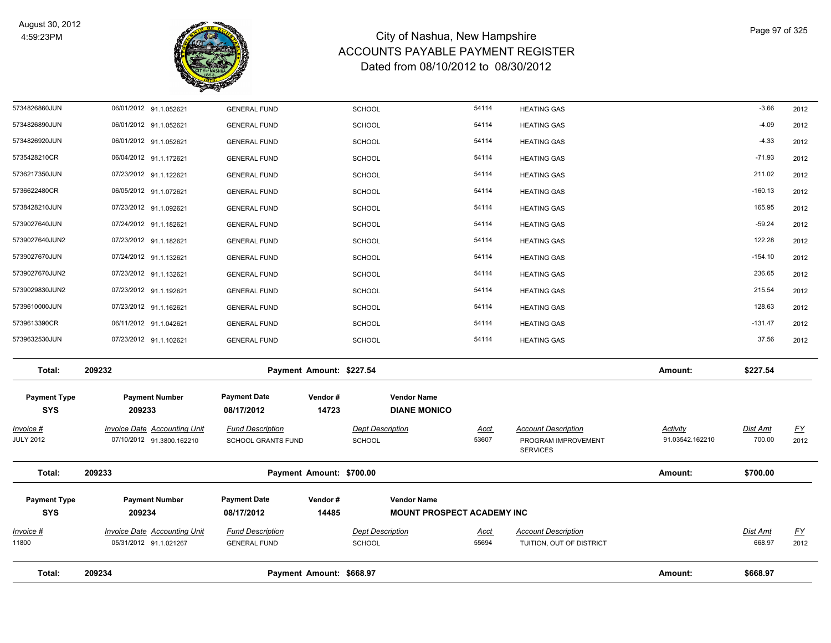

| Total:              | 209234                              |                         | Payment Amount: \$668.97 |                         |                                   |             |                                        | Amount:         | \$668.97        |           |
|---------------------|-------------------------------------|-------------------------|--------------------------|-------------------------|-----------------------------------|-------------|----------------------------------------|-----------------|-----------------|-----------|
|                     |                                     |                         |                          |                         |                                   |             |                                        |                 |                 |           |
| 11800               | 05/31/2012 91.1.021267              | <b>GENERAL FUND</b>     |                          | <b>SCHOOL</b>           |                                   | 55694       | TUITION, OUT OF DISTRICT               |                 | 668.97          | 2012      |
| Invoice #           | <b>Invoice Date Accounting Unit</b> | <b>Fund Description</b> |                          | <b>Dept Description</b> |                                   | Acct        | <b>Account Description</b>             |                 | Dist Amt        | <u>FY</u> |
| <b>SYS</b>          | 209234                              | 08/17/2012              | 14485                    |                         | <b>MOUNT PROSPECT ACADEMY INC</b> |             |                                        |                 |                 |           |
| <b>Payment Type</b> | <b>Payment Number</b>               | <b>Payment Date</b>     | Vendor#                  |                         | <b>Vendor Name</b>                |             |                                        |                 |                 |           |
| Total:              | 209233                              |                         | Payment Amount: \$700.00 |                         |                                   |             |                                        | Amount:         | \$700.00        |           |
| <b>JULY 2012</b>    | 07/10/2012 91.3800.162210           | SCHOOL GRANTS FUND      |                          | SCHOOL                  |                                   | 53607       | PROGRAM IMPROVEMENT<br><b>SERVICES</b> | 91.03542.162210 | 700.00          | 2012      |
| Invoice #           | <b>Invoice Date Accounting Unit</b> | <b>Fund Description</b> |                          | <b>Dept Description</b> |                                   | <u>Acct</u> | <b>Account Description</b>             | <b>Activity</b> | <b>Dist Amt</b> | <u>FY</u> |
| <b>SYS</b>          | 209233                              | 08/17/2012              | 14723                    |                         | <b>DIANE MONICO</b>               |             |                                        |                 |                 |           |
| <b>Payment Type</b> | <b>Payment Number</b>               | <b>Payment Date</b>     | Vendor#                  |                         | <b>Vendor Name</b>                |             |                                        |                 |                 |           |
| Total:              | 209232                              |                         | Payment Amount: \$227.54 |                         |                                   |             |                                        | Amount:         | \$227.54        |           |
| 5739632530JUN       | 07/23/2012 91.1.102621              | <b>GENERAL FUND</b>     |                          | <b>SCHOOL</b>           |                                   | 54114       | <b>HEATING GAS</b>                     |                 | 37.56           | 2012      |
| 5739613390CR        | 06/11/2012 91.1.042621              | <b>GENERAL FUND</b>     |                          | <b>SCHOOL</b>           |                                   | 54114       | <b>HEATING GAS</b>                     |                 | $-131.47$       | 2012      |
| 5739610000JUN       | 07/23/2012 91.1.162621              | <b>GENERAL FUND</b>     |                          | <b>SCHOOL</b>           |                                   | 54114       | <b>HEATING GAS</b>                     |                 | 128.63          | 2012      |
| 5739029830JUN2      | 07/23/2012 91.1.192621              | <b>GENERAL FUND</b>     |                          | <b>SCHOOL</b>           |                                   | 54114       | <b>HEATING GAS</b>                     |                 | 215.54          | 2012      |
| 5739027670JUN2      | 07/23/2012 91.1.132621              | <b>GENERAL FUND</b>     |                          | <b>SCHOOL</b>           |                                   | 54114       | <b>HEATING GAS</b>                     |                 | 236.65          | 2012      |
| 5739027670JUN       | 07/24/2012 91.1.132621              | <b>GENERAL FUND</b>     |                          | <b>SCHOOL</b>           |                                   | 54114       | <b>HEATING GAS</b>                     |                 | $-154.10$       | 2012      |
| 5739027640JUN2      | 07/23/2012 91.1.182621              | <b>GENERAL FUND</b>     |                          | <b>SCHOOL</b>           |                                   | 54114       | <b>HEATING GAS</b>                     |                 | 122.28          | 2012      |
| 5739027640JUN       | 07/24/2012 91.1.182621              | <b>GENERAL FUND</b>     |                          | <b>SCHOOL</b>           |                                   | 54114       | <b>HEATING GAS</b>                     |                 | $-59.24$        | 2012      |
| 5738428210JUN       | 07/23/2012 91.1.092621              | <b>GENERAL FUND</b>     |                          | <b>SCHOOL</b>           |                                   | 54114       | <b>HEATING GAS</b>                     |                 | 165.95          | 2012      |
| 5736622480CR        | 06/05/2012 91.1.072621              | <b>GENERAL FUND</b>     |                          | SCHOOL                  |                                   | 54114       | <b>HEATING GAS</b>                     |                 | $-160.13$       | 2012      |
| 5736217350JUN       | 07/23/2012 91.1.122621              | <b>GENERAL FUND</b>     |                          | <b>SCHOOL</b>           |                                   | 54114       | <b>HEATING GAS</b>                     |                 | 211.02          | 2012      |
| 5735428210CR        | 06/04/2012 91.1.172621              | <b>GENERAL FUND</b>     |                          | <b>SCHOOL</b>           |                                   | 54114       | <b>HEATING GAS</b>                     |                 | $-71.93$        | 2012      |
| 5734826920JUN       | 06/01/2012 91.1.052621              | <b>GENERAL FUND</b>     |                          | <b>SCHOOL</b>           |                                   | 54114       | <b>HEATING GAS</b>                     |                 | $-4.33$         | 2012      |
| 5734826890JUN       | 06/01/2012 91.1.052621              | <b>GENERAL FUND</b>     |                          | <b>SCHOOL</b>           |                                   | 54114       | <b>HEATING GAS</b>                     |                 | $-4.09$         | 2012      |
| 5734826860JUN       | 06/01/2012 91.1.052621              | <b>GENERAL FUND</b>     |                          | <b>SCHOOL</b>           |                                   | 54114       | <b>HEATING GAS</b>                     |                 | $-3.66$         | 2012      |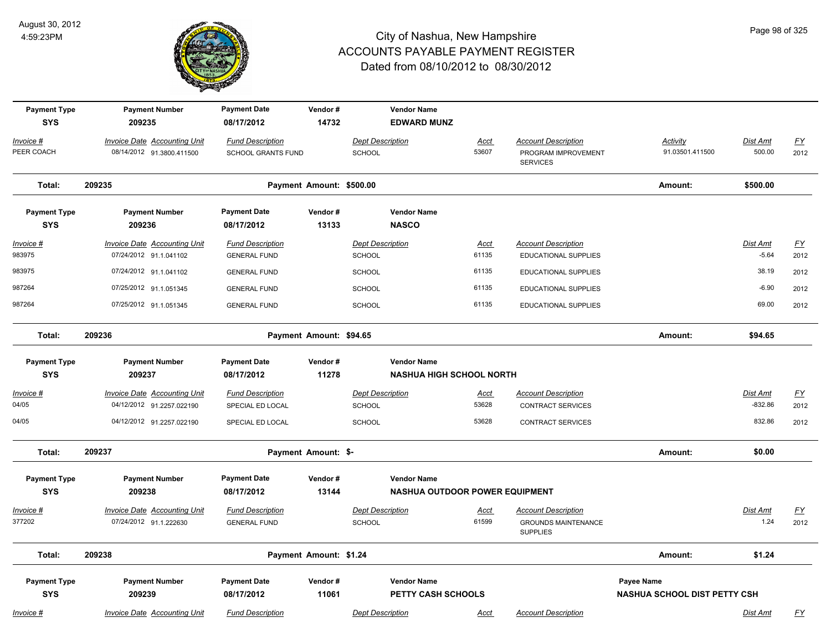

| <b>Payment Type</b><br><b>SYS</b> | <b>Payment Number</b><br>209235                                  | <b>Payment Date</b><br>08/17/2012                    | Vendor#<br>14732         | <b>Vendor Name</b><br><b>EDWARD MUNZ</b>                    |                      |                                                                      |                                                   |                              |                                   |
|-----------------------------------|------------------------------------------------------------------|------------------------------------------------------|--------------------------|-------------------------------------------------------------|----------------------|----------------------------------------------------------------------|---------------------------------------------------|------------------------------|-----------------------------------|
| Invoice #<br>PEER COACH           | Invoice Date Accounting Unit<br>08/14/2012 91.3800.411500        | <b>Fund Description</b><br><b>SCHOOL GRANTS FUND</b> |                          | <b>Dept Description</b><br>SCHOOL                           | Acct<br>53607        | <b>Account Description</b><br>PROGRAM IMPROVEMENT<br><b>SERVICES</b> | Activity<br>91.03501.411500                       | Dist Amt<br>500.00           | <u>FY</u><br>2012                 |
| Total:                            | 209235                                                           |                                                      | Payment Amount: \$500.00 |                                                             |                      |                                                                      | Amount:                                           | \$500.00                     |                                   |
| <b>Payment Type</b><br><b>SYS</b> | <b>Payment Number</b><br>209236                                  | <b>Payment Date</b><br>08/17/2012                    | Vendor#<br>13133         | <b>Vendor Name</b><br><b>NASCO</b>                          |                      |                                                                      |                                                   |                              |                                   |
| $Invoice$ #<br>983975             | <b>Invoice Date Accounting Unit</b><br>07/24/2012 91.1.041102    | <b>Fund Description</b><br><b>GENERAL FUND</b>       |                          | <b>Dept Description</b><br><b>SCHOOL</b>                    | <b>Acct</b><br>61135 | <b>Account Description</b><br><b>EDUCATIONAL SUPPLIES</b>            |                                                   | <b>Dist Amt</b><br>$-5.64$   | $\underline{\mathsf{FY}}$<br>2012 |
| 983975                            | 07/24/2012 91.1.041102                                           | <b>GENERAL FUND</b>                                  |                          | <b>SCHOOL</b>                                               | 61135                | <b>EDUCATIONAL SUPPLIES</b>                                          |                                                   | 38.19                        | 2012                              |
| 987264                            | 07/25/2012 91.1.051345                                           | <b>GENERAL FUND</b>                                  |                          | SCHOOL                                                      | 61135                | <b>EDUCATIONAL SUPPLIES</b>                                          |                                                   | $-6.90$                      | 2012                              |
| 987264                            | 07/25/2012 91.1.051345                                           | <b>GENERAL FUND</b>                                  |                          | <b>SCHOOL</b>                                               | 61135                | <b>EDUCATIONAL SUPPLIES</b>                                          |                                                   | 69.00                        | 2012                              |
| Total:                            | 209236                                                           |                                                      | Payment Amount: \$94.65  |                                                             |                      |                                                                      | Amount:                                           | \$94.65                      |                                   |
| <b>Payment Type</b>               | <b>Payment Number</b>                                            | <b>Payment Date</b>                                  | Vendor#                  | <b>Vendor Name</b>                                          |                      |                                                                      |                                                   |                              |                                   |
| <b>SYS</b>                        | 209237                                                           | 08/17/2012                                           | 11278                    | <b>NASHUA HIGH SCHOOL NORTH</b>                             |                      |                                                                      |                                                   |                              |                                   |
| Invoice #<br>04/05                | <b>Invoice Date Accounting Unit</b><br>04/12/2012 91.2257.022190 | <b>Fund Description</b><br>SPECIAL ED LOCAL          |                          | <b>Dept Description</b><br>SCHOOL                           | Acct<br>53628        | <b>Account Description</b><br><b>CONTRACT SERVICES</b>               |                                                   | <b>Dist Amt</b><br>$-832.86$ | <u>FY</u><br>2012                 |
| 04/05                             | 04/12/2012 91.2257.022190                                        | SPECIAL ED LOCAL                                     |                          | <b>SCHOOL</b>                                               | 53628                | <b>CONTRACT SERVICES</b>                                             |                                                   | 832.86                       | 2012                              |
| Total:                            | 209237                                                           |                                                      | Payment Amount: \$-      |                                                             |                      |                                                                      | Amount:                                           | \$0.00                       |                                   |
| <b>Payment Type</b><br><b>SYS</b> | <b>Payment Number</b><br>209238                                  | <b>Payment Date</b><br>08/17/2012                    | Vendor#<br>13144         | <b>Vendor Name</b><br><b>NASHUA OUTDOOR POWER EQUIPMENT</b> |                      |                                                                      |                                                   |                              |                                   |
| Invoice #                         | Invoice Date Accounting Unit                                     | <b>Fund Description</b>                              |                          | <b>Dept Description</b>                                     | Acct                 | <b>Account Description</b>                                           |                                                   | Dist Amt                     | $\underline{FY}$                  |
| 377202                            | 07/24/2012 91.1.222630                                           | <b>GENERAL FUND</b>                                  |                          | SCHOOL                                                      | 61599                | <b>GROUNDS MAINTENANCE</b><br><b>SUPPLIES</b>                        |                                                   | 1.24                         | 2012                              |
| Total:                            | 209238                                                           |                                                      | Payment Amount: \$1.24   |                                                             |                      |                                                                      | Amount:                                           | \$1.24                       |                                   |
| <b>Payment Type</b><br><b>SYS</b> | <b>Payment Number</b><br>209239                                  | <b>Payment Date</b><br>08/17/2012                    | Vendor#<br>11061         | <b>Vendor Name</b><br>PETTY CASH SCHOOLS                    |                      |                                                                      | Payee Name<br><b>NASHUA SCHOOL DIST PETTY CSH</b> |                              |                                   |
| Invoice #                         | Invoice Date Accounting Unit                                     | <b>Fund Description</b>                              |                          | <b>Dept Description</b>                                     | Acct                 | <b>Account Description</b>                                           |                                                   | Dist Amt                     | <u>FY</u>                         |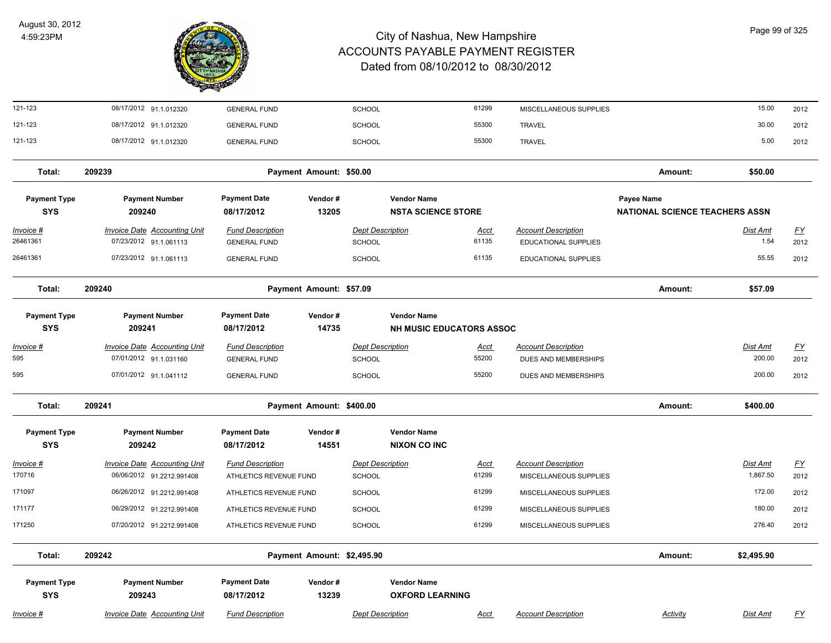

| 121-123                           | 08/17/2012 91.1.012320              | <b>GENERAL FUND</b>               |                            | <b>SCHOOL</b>           |                                                 | 61299       | MISCELLANEOUS SUPPLIES     |                                                     | 15.00           | 2012             |
|-----------------------------------|-------------------------------------|-----------------------------------|----------------------------|-------------------------|-------------------------------------------------|-------------|----------------------------|-----------------------------------------------------|-----------------|------------------|
| 121-123                           | 08/17/2012 91.1.012320              | <b>GENERAL FUND</b>               |                            | <b>SCHOOL</b>           |                                                 | 55300       | <b>TRAVEL</b>              |                                                     | 30.00           | 2012             |
| 121-123                           | 08/17/2012 91.1.012320              | <b>GENERAL FUND</b>               |                            | <b>SCHOOL</b>           |                                                 | 55300       | <b>TRAVEL</b>              |                                                     | 5.00            | 2012             |
| Total:                            | 209239                              |                                   | Payment Amount: \$50.00    |                         |                                                 |             |                            | Amount:                                             | \$50.00         |                  |
| <b>Payment Type</b><br><b>SYS</b> | <b>Payment Number</b><br>209240     | <b>Payment Date</b><br>08/17/2012 | Vendor#<br>13205           |                         | <b>Vendor Name</b><br><b>NSTA SCIENCE STORE</b> |             |                            | Payee Name<br><b>NATIONAL SCIENCE TEACHERS ASSN</b> |                 |                  |
| $Invoice$ #                       | <b>Invoice Date Accounting Unit</b> | <b>Fund Description</b>           |                            | <b>Dept Description</b> |                                                 | <u>Acct</u> | <b>Account Description</b> |                                                     | <u>Dist Amt</u> | EY               |
| 26461361                          | 07/23/2012 91.1.061113              | <b>GENERAL FUND</b>               |                            | <b>SCHOOL</b>           |                                                 | 61135       | EDUCATIONAL SUPPLIES       |                                                     | 1.54            | 2012             |
| 26461361                          | 07/23/2012 91.1.061113              | <b>GENERAL FUND</b>               |                            | <b>SCHOOL</b>           |                                                 | 61135       | EDUCATIONAL SUPPLIES       |                                                     | 55.55           | 2012             |
| Total:                            | 209240                              |                                   | Payment Amount: \$57.09    |                         |                                                 |             |                            | Amount:                                             | \$57.09         |                  |
| <b>Payment Type</b>               | <b>Payment Number</b>               | <b>Payment Date</b>               | Vendor#                    |                         | <b>Vendor Name</b>                              |             |                            |                                                     |                 |                  |
| <b>SYS</b>                        | 209241                              | 08/17/2012                        | 14735                      |                         | <b>NH MUSIC EDUCATORS ASSOC</b>                 |             |                            |                                                     |                 |                  |
| $Invoice$ #                       | <b>Invoice Date Accounting Unit</b> | <b>Fund Description</b>           |                            | <b>Dept Description</b> |                                                 | <b>Acct</b> | <b>Account Description</b> |                                                     | Dist Amt        | <u>FY</u>        |
| 595                               | 07/01/2012 91.1.031160              | <b>GENERAL FUND</b>               |                            | <b>SCHOOL</b>           |                                                 | 55200       | DUES AND MEMBERSHIPS       |                                                     | 200.00          | 2012             |
| 595                               | 07/01/2012 91.1.041112              | <b>GENERAL FUND</b>               |                            | <b>SCHOOL</b>           |                                                 | 55200       | DUES AND MEMBERSHIPS       |                                                     | 200.00          | 2012             |
| Total:                            | 209241                              |                                   | Payment Amount: \$400.00   |                         |                                                 |             |                            | Amount:                                             | \$400.00        |                  |
| <b>Payment Type</b><br><b>SYS</b> | <b>Payment Number</b><br>209242     | <b>Payment Date</b><br>08/17/2012 | Vendor#<br>14551           |                         | <b>Vendor Name</b><br><b>NIXON CO INC</b>       |             |                            |                                                     |                 |                  |
| Invoice #                         | Invoice Date Accounting Unit        | <b>Fund Description</b>           |                            | <b>Dept Description</b> |                                                 | <u>Acct</u> | <b>Account Description</b> |                                                     | Dist Amt        | $\underline{FY}$ |
| 170716                            | 06/06/2012 91.2212.991408           | ATHLETICS REVENUE FUND            |                            | SCHOOL                  |                                                 | 61299       | MISCELLANEOUS SUPPLIES     |                                                     | 1,867.50        | 2012             |
| 171097                            | 06/26/2012 91.2212.991408           | ATHLETICS REVENUE FUND            |                            | <b>SCHOOL</b>           |                                                 | 61299       | MISCELLANEOUS SUPPLIES     |                                                     | 172.00          | 2012             |
| 171177                            | 06/29/2012 91.2212.991408           | ATHLETICS REVENUE FUND            |                            | <b>SCHOOL</b>           |                                                 | 61299       | MISCELLANEOUS SUPPLIES     |                                                     | 180.00          | 2012             |
| 171250                            | 07/20/2012 91.2212.991408           | ATHLETICS REVENUE FUND            |                            | <b>SCHOOL</b>           |                                                 | 61299       | MISCELLANEOUS SUPPLIES     |                                                     | 276.40          | 2012             |
| Total:                            | 209242                              |                                   | Payment Amount: \$2,495.90 |                         |                                                 |             |                            | Amount:                                             | \$2,495.90      |                  |
| <b>Payment Type</b><br><b>SYS</b> | <b>Payment Number</b><br>209243     | <b>Payment Date</b><br>08/17/2012 | Vendor#<br>13239           |                         | <b>Vendor Name</b><br><b>OXFORD LEARNING</b>    |             |                            |                                                     |                 |                  |
| Invoice #                         | Invoice Date Accounting Unit        | <b>Fund Description</b>           |                            | <b>Dept Description</b> |                                                 | Acct        | <b>Account Description</b> | Activity                                            | Dist Amt        | <u>FY</u>        |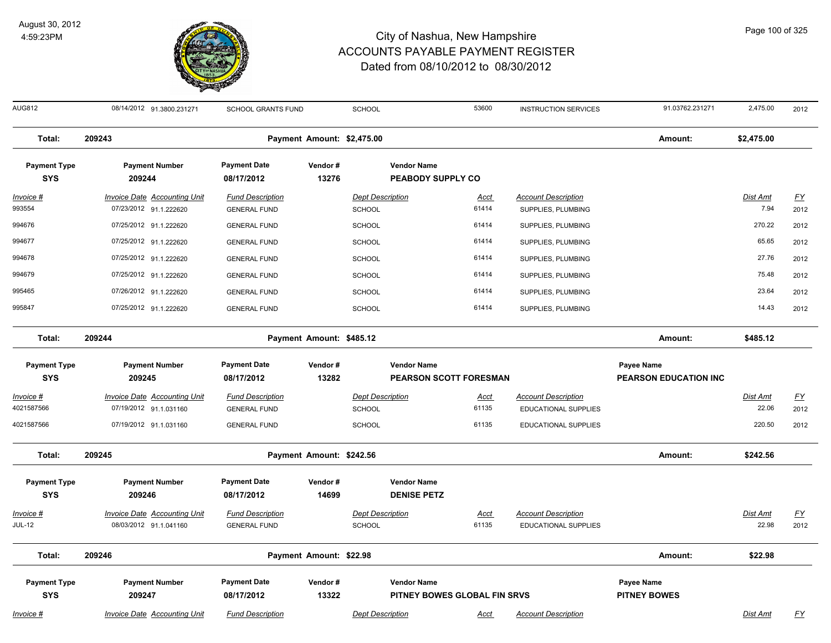

| <b>AUG812</b>                     | 08/14/2012 91.3800.231271                                     | <b>SCHOOL GRANTS FUND</b>                      |                            | <b>SCHOOL</b>                            |                                                | 53600                | <b>INSTRUCTION SERVICES</b>                      | 91.03762.231271              | 2,475.00                | 2012                              |
|-----------------------------------|---------------------------------------------------------------|------------------------------------------------|----------------------------|------------------------------------------|------------------------------------------------|----------------------|--------------------------------------------------|------------------------------|-------------------------|-----------------------------------|
| Total:                            | 209243                                                        |                                                | Payment Amount: \$2,475.00 |                                          |                                                |                      |                                                  | Amount:                      | \$2,475.00              |                                   |
| <b>Payment Type</b><br><b>SYS</b> | <b>Payment Number</b><br>209244                               | <b>Payment Date</b><br>08/17/2012              | Vendor#<br>13276           |                                          | <b>Vendor Name</b><br><b>PEABODY SUPPLY CO</b> |                      |                                                  |                              |                         |                                   |
| <u> Invoice #</u><br>993554       | <b>Invoice Date Accounting Unit</b><br>07/23/2012 91.1.222620 | <b>Fund Description</b><br><b>GENERAL FUND</b> |                            | <b>Dept Description</b><br><b>SCHOOL</b> |                                                | <b>Acct</b><br>61414 | <b>Account Description</b><br>SUPPLIES, PLUMBING |                              | <u>Dist Amt</u><br>7.94 | $\underline{\mathsf{FY}}$<br>2012 |
| 994676                            | 07/25/2012 91.1.222620                                        | <b>GENERAL FUND</b>                            |                            | <b>SCHOOL</b>                            |                                                | 61414                | SUPPLIES, PLUMBING                               |                              | 270.22                  | 2012                              |
| 994677                            | 07/25/2012 91.1.222620                                        | <b>GENERAL FUND</b>                            |                            | <b>SCHOOL</b>                            |                                                | 61414                | SUPPLIES, PLUMBING                               |                              | 65.65                   | 2012                              |
| 994678                            | 07/25/2012 91.1.222620                                        | <b>GENERAL FUND</b>                            |                            | <b>SCHOOL</b>                            |                                                | 61414                | SUPPLIES, PLUMBING                               |                              | 27.76                   | 2012                              |
| 994679                            | 07/25/2012 91.1.222620                                        | <b>GENERAL FUND</b>                            |                            | <b>SCHOOL</b>                            |                                                | 61414                | SUPPLIES, PLUMBING                               |                              | 75.48                   | 2012                              |
| 995465                            | 07/26/2012 91.1.222620                                        | <b>GENERAL FUND</b>                            |                            | SCHOOL                                   |                                                | 61414                | SUPPLIES, PLUMBING                               |                              | 23.64                   | 2012                              |
| 995847                            | 07/25/2012 91.1.222620                                        | <b>GENERAL FUND</b>                            |                            | SCHOOL                                   |                                                | 61414                | SUPPLIES, PLUMBING                               |                              | 14.43                   | 2012                              |
| Total:                            | 209244                                                        |                                                | Payment Amount: \$485.12   |                                          |                                                |                      |                                                  | Amount:                      | \$485.12                |                                   |
| <b>Payment Type</b>               | <b>Payment Number</b>                                         | <b>Payment Date</b>                            | Vendor#                    |                                          | <b>Vendor Name</b>                             |                      |                                                  | <b>Payee Name</b>            |                         |                                   |
| <b>SYS</b>                        | 209245                                                        | 08/17/2012                                     | 13282                      |                                          | PEARSON SCOTT FORESMAN                         |                      |                                                  | <b>PEARSON EDUCATION INC</b> |                         |                                   |
| Invoice #                         | <b>Invoice Date Accounting Unit</b>                           | <b>Fund Description</b>                        |                            | <b>Dept Description</b>                  |                                                | <u>Acct</u>          | <b>Account Description</b>                       |                              | Dist Amt                | $\underline{FY}$                  |
| 4021587566                        | 07/19/2012 91.1.031160                                        | <b>GENERAL FUND</b>                            |                            | SCHOOL                                   |                                                | 61135                | EDUCATIONAL SUPPLIES                             |                              | 22.06                   | 2012                              |
| 4021587566                        | 07/19/2012 91.1.031160                                        | <b>GENERAL FUND</b>                            |                            | SCHOOL                                   |                                                | 61135                | EDUCATIONAL SUPPLIES                             |                              | 220.50                  | 2012                              |
| Total:                            | 209245                                                        |                                                | Payment Amount: \$242.56   |                                          |                                                |                      |                                                  | Amount:                      | \$242.56                |                                   |
| <b>Payment Type</b><br><b>SYS</b> | <b>Payment Number</b><br>209246                               | <b>Payment Date</b><br>08/17/2012              | Vendor#<br>14699           |                                          | <b>Vendor Name</b><br><b>DENISE PETZ</b>       |                      |                                                  |                              |                         |                                   |
| Invoice #                         | <b>Invoice Date Accounting Unit</b>                           | <b>Fund Description</b>                        |                            | <b>Dept Description</b>                  |                                                | Acct                 | <b>Account Description</b>                       |                              | Dist Amt                | <u>FY</u>                         |
| <b>JUL-12</b>                     | 08/03/2012 91.1.041160                                        | <b>GENERAL FUND</b>                            |                            | SCHOOL                                   |                                                | 61135                | <b>EDUCATIONAL SUPPLIES</b>                      |                              | 22.98                   | 2012                              |
| Total:                            | 209246                                                        |                                                | Payment Amount: \$22.98    |                                          |                                                |                      |                                                  | Amount:                      | \$22.98                 |                                   |
| <b>Payment Type</b>               | <b>Payment Number</b>                                         | <b>Payment Date</b>                            | Vendor#                    |                                          | <b>Vendor Name</b>                             |                      |                                                  | Payee Name                   |                         |                                   |
| <b>SYS</b>                        | 209247                                                        | 08/17/2012                                     | 13322                      |                                          | PITNEY BOWES GLOBAL FIN SRVS                   |                      |                                                  | <b>PITNEY BOWES</b>          |                         |                                   |
| <u>Invoice #</u>                  | <b>Invoice Date Accounting Unit</b>                           | <b>Fund Description</b>                        |                            | <b>Dept Description</b>                  |                                                | <u>Acct</u>          | <b>Account Description</b>                       |                              | Dist Amt                | <u>FY</u>                         |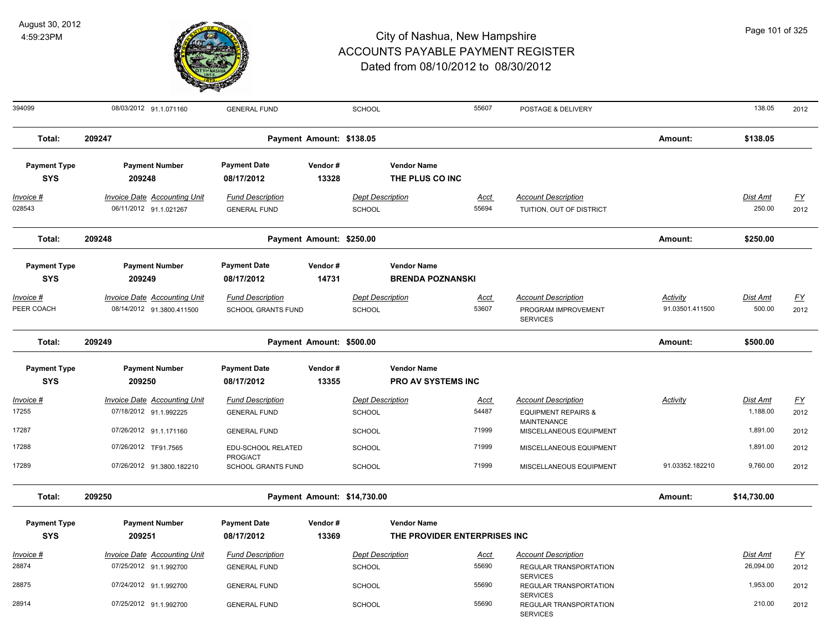

| 394099                            | 08/03/2012 91.1.071160                                           | <b>GENERAL FUND</b>                            |                             | SCHOOL                            |                                                 | 55607         | POSTAGE & DELIVERY                                                   |                             | 138.05                    | 2012                              |
|-----------------------------------|------------------------------------------------------------------|------------------------------------------------|-----------------------------|-----------------------------------|-------------------------------------------------|---------------|----------------------------------------------------------------------|-----------------------------|---------------------------|-----------------------------------|
| Total:                            | 209247                                                           |                                                | Payment Amount: \$138.05    |                                   |                                                 |               |                                                                      | Amount:                     | \$138.05                  |                                   |
| <b>Payment Type</b><br><b>SYS</b> | <b>Payment Number</b><br>209248                                  | <b>Payment Date</b><br>08/17/2012              | Vendor#<br>13328            |                                   | <b>Vendor Name</b><br>THE PLUS CO INC           |               |                                                                      |                             |                           |                                   |
| $Invoice$ #<br>028543             | <b>Invoice Date Accounting Unit</b><br>06/11/2012 91.1.021267    | <b>Fund Description</b><br><b>GENERAL FUND</b> |                             | <b>Dept Description</b><br>SCHOOL |                                                 | Acct<br>55694 | <b>Account Description</b><br>TUITION, OUT OF DISTRICT               |                             | <b>Dist Amt</b><br>250.00 | $\underline{\mathsf{FY}}$<br>2012 |
| Total:                            | 209248                                                           |                                                | Payment Amount: \$250.00    |                                   |                                                 |               |                                                                      | Amount:                     | \$250.00                  |                                   |
| <b>Payment Type</b><br><b>SYS</b> | <b>Payment Number</b><br>209249                                  | <b>Payment Date</b><br>08/17/2012              | Vendor#<br>14731            |                                   | <b>Vendor Name</b><br><b>BRENDA POZNANSKI</b>   |               |                                                                      |                             |                           |                                   |
| Invoice #<br>PEER COACH           | <b>Invoice Date Accounting Unit</b><br>08/14/2012 91.3800.411500 | <b>Fund Description</b><br>SCHOOL GRANTS FUND  |                             | <b>Dept Description</b><br>SCHOOL |                                                 | Acct<br>53607 | <b>Account Description</b><br>PROGRAM IMPROVEMENT<br><b>SERVICES</b> | Activity<br>91.03501.411500 | Dist Amt<br>500.00        | $\underline{FY}$<br>2012          |
| Total:                            | 209249                                                           |                                                | Payment Amount: \$500.00    |                                   |                                                 |               |                                                                      | Amount:                     | \$500.00                  |                                   |
| <b>Payment Type</b><br><b>SYS</b> | <b>Payment Number</b><br>209250                                  | <b>Payment Date</b><br>08/17/2012              | Vendor#<br>13355            |                                   | <b>Vendor Name</b><br><b>PRO AV SYSTEMS INC</b> |               |                                                                      |                             |                           |                                   |
| Invoice #                         | <b>Invoice Date Accounting Unit</b>                              | <b>Fund Description</b>                        |                             | <b>Dept Description</b>           |                                                 | <u>Acct</u>   | <b>Account Description</b>                                           | Activity                    | Dist Amt                  | $\underline{FY}$                  |
| 17255                             | 07/18/2012 91.1.992225                                           | <b>GENERAL FUND</b>                            |                             | SCHOOL                            |                                                 | 54487         | <b>EQUIPMENT REPAIRS &amp;</b><br><b>MAINTENANCE</b>                 |                             | 1,188.00                  | 2012                              |
| 17287                             | 07/26/2012 91.1.171160                                           | <b>GENERAL FUND</b>                            |                             | SCHOOL                            |                                                 | 71999         | MISCELLANEOUS EQUIPMENT                                              |                             | 1,891.00                  | 2012                              |
| 17288                             | 07/26/2012 TF91.7565                                             | EDU-SCHOOL RELATED<br>PROG/ACT                 |                             | <b>SCHOOL</b>                     |                                                 | 71999         | MISCELLANEOUS EQUIPMENT                                              |                             | 1,891.00                  | 2012                              |
| 17289                             | 07/26/2012 91.3800.182210                                        | <b>SCHOOL GRANTS FUND</b>                      |                             | <b>SCHOOL</b>                     |                                                 | 71999         | MISCELLANEOUS EQUIPMENT                                              | 91.03352.182210             | 9,760.00                  | 2012                              |
| Total:                            | 209250                                                           |                                                | Payment Amount: \$14,730.00 |                                   |                                                 |               |                                                                      | Amount:                     | \$14,730.00               |                                   |
| <b>Payment Type</b>               | <b>Payment Number</b>                                            | <b>Payment Date</b>                            | Vendor#                     |                                   | <b>Vendor Name</b>                              |               |                                                                      |                             |                           |                                   |
| <b>SYS</b>                        | 209251                                                           | 08/17/2012                                     | 13369                       |                                   | THE PROVIDER ENTERPRISES INC                    |               |                                                                      |                             |                           |                                   |
| Invoice #                         | Invoice Date Accounting Unit                                     | <b>Fund Description</b>                        |                             | <b>Dept Description</b>           |                                                 | Acct          | <b>Account Description</b>                                           |                             | Dist Amt                  | <u>FY</u>                         |
| 28874                             | 07/25/2012 91.1.992700                                           | <b>GENERAL FUND</b>                            |                             | <b>SCHOOL</b>                     |                                                 | 55690         | REGULAR TRANSPORTATION<br><b>SERVICES</b>                            |                             | 26,094.00                 | 2012                              |
| 28875                             | 07/24/2012 91.1.992700                                           | <b>GENERAL FUND</b>                            |                             | <b>SCHOOL</b>                     |                                                 | 55690         | REGULAR TRANSPORTATION<br><b>SERVICES</b>                            |                             | 1,953.00                  | 2012                              |
| 28914                             | 07/25/2012 91.1.992700                                           | <b>GENERAL FUND</b>                            |                             | <b>SCHOOL</b>                     |                                                 | 55690         | <b>REGULAR TRANSPORTATION</b><br><b>SERVICES</b>                     |                             | 210.00                    | 2012                              |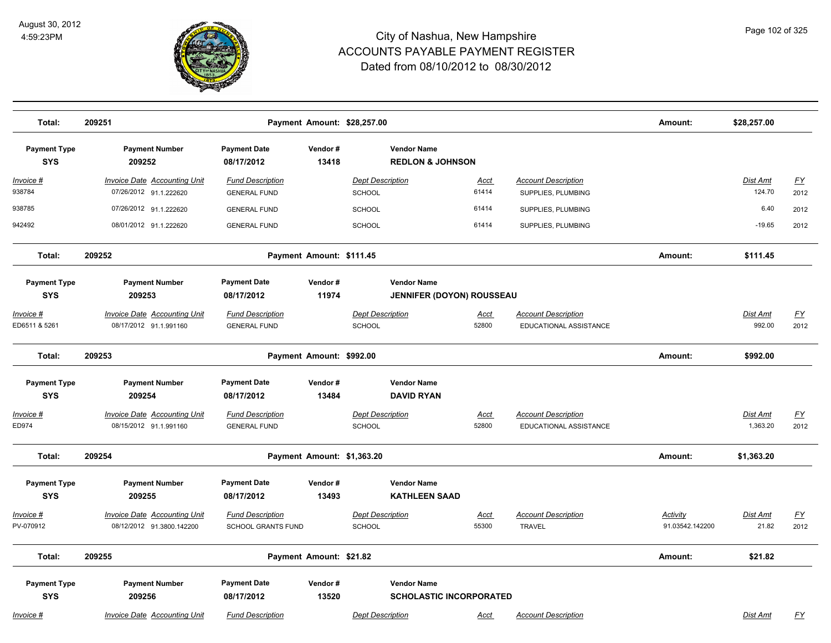

| Total:                             | 209251                                                           |                                                      |                          | Payment Amount: \$28,257.00                       |                                |                                                      | Amount:                     | \$28,257.00               |                   |
|------------------------------------|------------------------------------------------------------------|------------------------------------------------------|--------------------------|---------------------------------------------------|--------------------------------|------------------------------------------------------|-----------------------------|---------------------------|-------------------|
| <b>Payment Type</b><br><b>SYS</b>  | <b>Payment Number</b><br>209252                                  | <b>Payment Date</b><br>08/17/2012                    | Vendor#<br>13418         | <b>Vendor Name</b><br><b>REDLON &amp; JOHNSON</b> |                                |                                                      |                             |                           |                   |
| <u> Invoice #</u><br>938784        | <b>Invoice Date Accounting Unit</b><br>07/26/2012 91.1.222620    | <b>Fund Description</b><br><b>GENERAL FUND</b>       |                          | <b>Dept Description</b><br>SCHOOL                 | <b>Acct</b><br>61414           | <b>Account Description</b><br>SUPPLIES, PLUMBING     |                             | <b>Dist Amt</b><br>124.70 | <u>FY</u><br>2012 |
| 938785                             | 07/26/2012 91.1.222620                                           | <b>GENERAL FUND</b>                                  |                          | <b>SCHOOL</b>                                     | 61414                          | SUPPLIES, PLUMBING                                   |                             | 6.40                      | 2012              |
| 942492                             | 08/01/2012 91.1.222620                                           | <b>GENERAL FUND</b>                                  |                          | SCHOOL                                            | 61414                          | SUPPLIES, PLUMBING                                   |                             | $-19.65$                  | 2012              |
| Total:                             | 209252                                                           |                                                      | Payment Amount: \$111.45 |                                                   |                                |                                                      | Amount:                     | \$111.45                  |                   |
| <b>Payment Type</b><br><b>SYS</b>  | <b>Payment Number</b><br>209253                                  | <b>Payment Date</b><br>08/17/2012                    | Vendor#<br>11974         | <b>Vendor Name</b>                                | JENNIFER (DOYON) ROUSSEAU      |                                                      |                             |                           |                   |
| <u> Invoice #</u><br>ED6511 & 5261 | <b>Invoice Date Accounting Unit</b><br>08/17/2012 91.1.991160    | <b>Fund Description</b><br><b>GENERAL FUND</b>       |                          | <b>Dept Description</b><br>SCHOOL                 | Acct<br>52800                  | <b>Account Description</b><br>EDUCATIONAL ASSISTANCE |                             | Dist Amt<br>992.00        | <u>FY</u><br>2012 |
| Total:                             | 209253                                                           |                                                      | Payment Amount: \$992.00 |                                                   |                                |                                                      | Amount:                     | \$992.00                  |                   |
| <b>Payment Type</b><br><b>SYS</b>  | <b>Payment Number</b><br>209254                                  | <b>Payment Date</b><br>08/17/2012                    | Vendor#<br>13484         | <b>Vendor Name</b><br><b>DAVID RYAN</b>           |                                |                                                      |                             |                           |                   |
| Invoice #<br>ED974                 | <b>Invoice Date Accounting Unit</b><br>08/15/2012 91.1.991160    | <b>Fund Description</b><br><b>GENERAL FUND</b>       |                          | <b>Dept Description</b><br>SCHOOL                 | Acct<br>52800                  | <b>Account Description</b><br>EDUCATIONAL ASSISTANCE |                             | Dist Amt<br>1,363.20      | EY<br>2012        |
| Total:                             | 209254                                                           |                                                      |                          | Payment Amount: \$1,363.20                        |                                |                                                      | Amount:                     | \$1,363.20                |                   |
| <b>Payment Type</b><br><b>SYS</b>  | <b>Payment Number</b><br>209255                                  | <b>Payment Date</b><br>08/17/2012                    | Vendor#<br>13493         | <b>Vendor Name</b><br><b>KATHLEEN SAAD</b>        |                                |                                                      |                             |                           |                   |
| <u> Invoice #</u><br>PV-070912     | <b>Invoice Date Accounting Unit</b><br>08/12/2012 91.3800.142200 | <b>Fund Description</b><br><b>SCHOOL GRANTS FUND</b> |                          | <b>Dept Description</b><br>SCHOOL                 | <u>Acct</u><br>55300           | <b>Account Description</b><br><b>TRAVEL</b>          | Activity<br>91.03542.142200 | Dist Amt<br>21.82         | <u>FY</u><br>2012 |
| Total:                             | 209255                                                           |                                                      | Payment Amount: \$21.82  |                                                   |                                |                                                      | Amount:                     | \$21.82                   |                   |
| <b>Payment Type</b><br><b>SYS</b>  | <b>Payment Number</b><br>209256                                  | <b>Payment Date</b><br>08/17/2012                    | Vendor#<br>13520         | <b>Vendor Name</b>                                | <b>SCHOLASTIC INCORPORATED</b> |                                                      |                             |                           |                   |
| <u> Invoice #</u>                  | <b>Invoice Date Accounting Unit</b>                              | <b>Fund Description</b>                              |                          | <b>Dept Description</b>                           | <b>Acct</b>                    | <b>Account Description</b>                           |                             | Dist Amt                  | <u>FY</u>         |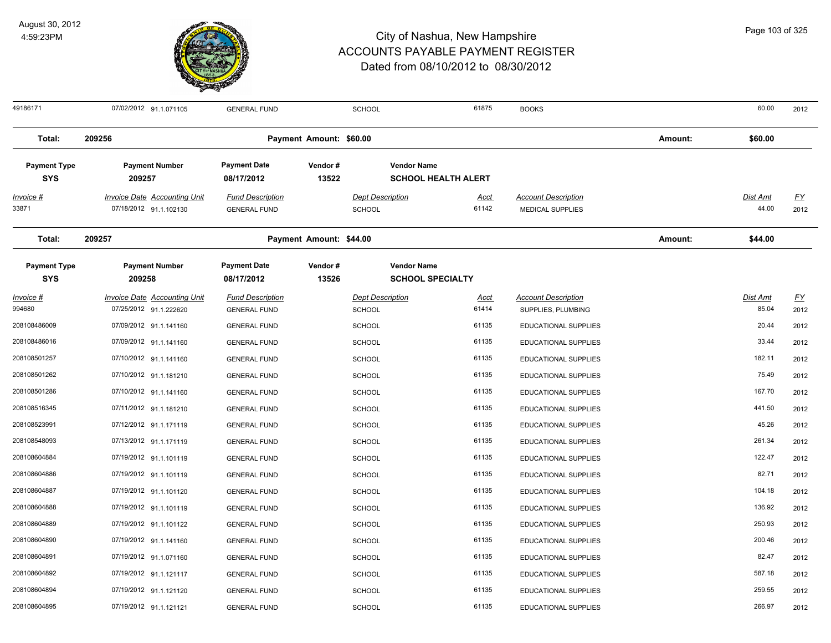

| 49186171                          | 07/02/2012 91.1.071105                                        | <b>GENERAL FUND</b>                            | <b>SCHOOL</b>           |                                                  | 61875                | <b>BOOKS</b>                                   |         | 60.00                    | 2012              |
|-----------------------------------|---------------------------------------------------------------|------------------------------------------------|-------------------------|--------------------------------------------------|----------------------|------------------------------------------------|---------|--------------------------|-------------------|
| Total:                            | 209256                                                        |                                                | Payment Amount: \$60.00 |                                                  |                      |                                                | Amount: | \$60.00                  |                   |
| <b>Payment Type</b><br><b>SYS</b> | <b>Payment Number</b><br>209257                               | <b>Payment Date</b><br>08/17/2012              | Vendor#<br>13522        | <b>Vendor Name</b><br><b>SCHOOL HEALTH ALERT</b> |                      |                                                |         |                          |                   |
| <u> Invoice #</u><br>33871        | <b>Invoice Date Accounting Unit</b><br>07/18/2012 91.1.102130 | <b>Fund Description</b><br><b>GENERAL FUND</b> | <b>SCHOOL</b>           | <b>Dept Description</b>                          | <b>Acct</b><br>61142 | <b>Account Description</b><br>MEDICAL SUPPLIES |         | <b>Dist Amt</b><br>44.00 | <u>FY</u><br>2012 |
| Total:                            | 209257                                                        |                                                | Payment Amount: \$44.00 |                                                  |                      |                                                | Amount: | \$44.00                  |                   |
| <b>Payment Type</b><br><b>SYS</b> | <b>Payment Number</b><br>209258                               | <b>Payment Date</b><br>08/17/2012              | Vendor#<br>13526        | <b>Vendor Name</b><br><b>SCHOOL SPECIALTY</b>    |                      |                                                |         |                          |                   |
| Invoice #                         | <b>Invoice Date Accounting Unit</b>                           | <b>Fund Description</b>                        |                         | <b>Dept Description</b>                          | <u>Acct</u>          | <b>Account Description</b>                     |         | <b>Dist Amt</b>          | <u>FY</u>         |
| 994680                            | 07/25/2012 91.1.222620                                        | <b>GENERAL FUND</b>                            | <b>SCHOOL</b>           |                                                  | 61414                | SUPPLIES, PLUMBING                             |         | 85.04                    | 2012              |
| 208108486009                      | 07/09/2012 91.1.141160                                        | <b>GENERAL FUND</b>                            | <b>SCHOOL</b>           |                                                  | 61135                | EDUCATIONAL SUPPLIES                           |         | 20.44                    | 2012              |
| 208108486016                      | 07/09/2012 91.1.141160                                        | <b>GENERAL FUND</b>                            | <b>SCHOOL</b>           |                                                  | 61135                | EDUCATIONAL SUPPLIES                           |         | 33.44                    | 2012              |
| 208108501257                      | 07/10/2012 91.1.141160                                        | <b>GENERAL FUND</b>                            | <b>SCHOOL</b>           |                                                  | 61135                | EDUCATIONAL SUPPLIES                           |         | 182.11                   | 2012              |
| 208108501262                      | 07/10/2012 91.1.181210                                        | <b>GENERAL FUND</b>                            | <b>SCHOOL</b>           |                                                  | 61135                | EDUCATIONAL SUPPLIES                           |         | 75.49                    | 2012              |
| 208108501286                      | 07/10/2012 91.1.141160                                        | <b>GENERAL FUND</b>                            | <b>SCHOOL</b>           |                                                  | 61135                | EDUCATIONAL SUPPLIES                           |         | 167.70                   | 2012              |
| 208108516345                      | 07/11/2012 91.1.181210                                        | <b>GENERAL FUND</b>                            | <b>SCHOOL</b>           |                                                  | 61135                | EDUCATIONAL SUPPLIES                           |         | 441.50                   | 2012              |
| 208108523991                      | 07/12/2012 91.1.171119                                        | <b>GENERAL FUND</b>                            | <b>SCHOOL</b>           |                                                  | 61135                | EDUCATIONAL SUPPLIES                           |         | 45.26                    | 2012              |
| 208108548093                      | 07/13/2012 91.1.171119                                        | <b>GENERAL FUND</b>                            | <b>SCHOOL</b>           |                                                  | 61135                | EDUCATIONAL SUPPLIES                           |         | 261.34                   | 2012              |
| 208108604884                      | 07/19/2012 91.1.101119                                        | <b>GENERAL FUND</b>                            | <b>SCHOOL</b>           |                                                  | 61135                | EDUCATIONAL SUPPLIES                           |         | 122.47                   | 2012              |
| 208108604886                      | 07/19/2012 91.1.101119                                        | <b>GENERAL FUND</b>                            | <b>SCHOOL</b>           |                                                  | 61135                | EDUCATIONAL SUPPLIES                           |         | 82.71                    | 2012              |
| 208108604887                      | 07/19/2012 91.1.101120                                        | <b>GENERAL FUND</b>                            | SCHOOL                  |                                                  | 61135                | EDUCATIONAL SUPPLIES                           |         | 104.18                   | 2012              |
| 208108604888                      | 07/19/2012 91.1.101119                                        | <b>GENERAL FUND</b>                            | <b>SCHOOL</b>           |                                                  | 61135                | EDUCATIONAL SUPPLIES                           |         | 136.92                   | 2012              |
| 208108604889                      | 07/19/2012 91.1.101122                                        | <b>GENERAL FUND</b>                            | <b>SCHOOL</b>           |                                                  | 61135                | EDUCATIONAL SUPPLIES                           |         | 250.93                   | 2012              |
| 208108604890                      | 07/19/2012 91.1.141160                                        | <b>GENERAL FUND</b>                            | <b>SCHOOL</b>           |                                                  | 61135                | <b>EDUCATIONAL SUPPLIES</b>                    |         | 200.46                   | 2012              |
| 208108604891                      | 07/19/2012 91.1.071160                                        | <b>GENERAL FUND</b>                            | <b>SCHOOL</b>           |                                                  | 61135                | EDUCATIONAL SUPPLIES                           |         | 82.47                    | 2012              |
| 208108604892                      | 07/19/2012 91.1.121117                                        | <b>GENERAL FUND</b>                            | <b>SCHOOL</b>           |                                                  | 61135                | <b>EDUCATIONAL SUPPLIES</b>                    |         | 587.18                   | 2012              |
| 208108604894                      | 07/19/2012 91.1.121120                                        | <b>GENERAL FUND</b>                            | <b>SCHOOL</b>           |                                                  | 61135                | EDUCATIONAL SUPPLIES                           |         | 259.55                   | 2012              |
| 208108604895                      | 07/19/2012 91.1.121121                                        | <b>GENERAL FUND</b>                            | SCHOOL                  |                                                  | 61135                | <b>EDUCATIONAL SUPPLIES</b>                    |         | 266.97                   | 2012              |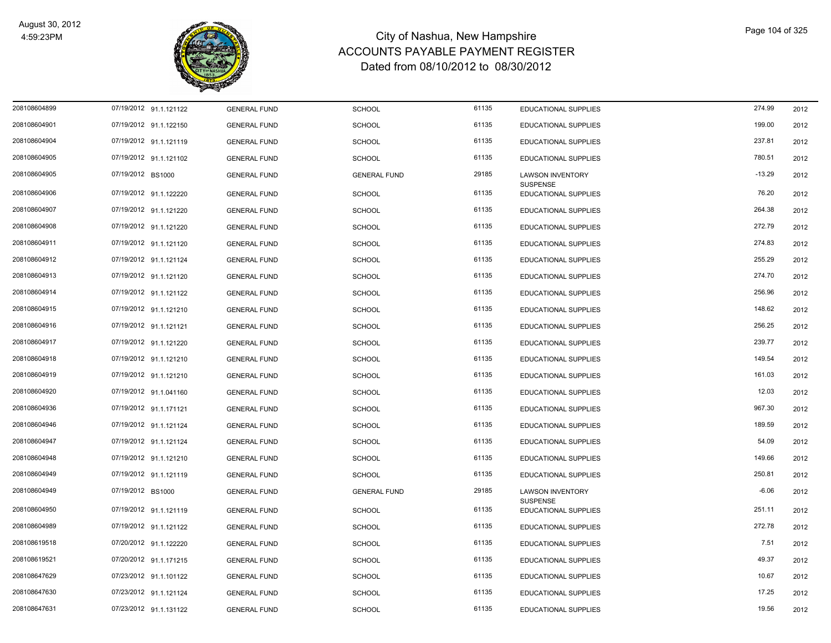

| 208108604899 | 07/19/2012 91.1.121122 | <b>GENERAL FUND</b> | <b>SCHOOL</b>       | 61135 | <b>EDUCATIONAL SUPPLIES</b>             | 274.99   | 2012 |
|--------------|------------------------|---------------------|---------------------|-------|-----------------------------------------|----------|------|
| 208108604901 | 07/19/2012 91.1.122150 | <b>GENERAL FUND</b> | <b>SCHOOL</b>       | 61135 | EDUCATIONAL SUPPLIES                    | 199.00   | 2012 |
| 208108604904 | 07/19/2012 91.1.121119 | <b>GENERAL FUND</b> | <b>SCHOOL</b>       | 61135 | EDUCATIONAL SUPPLIES                    | 237.81   | 2012 |
| 208108604905 | 07/19/2012 91.1.121102 | <b>GENERAL FUND</b> | <b>SCHOOL</b>       | 61135 | EDUCATIONAL SUPPLIES                    | 780.51   | 2012 |
| 208108604905 | 07/19/2012 BS1000      | <b>GENERAL FUND</b> | <b>GENERAL FUND</b> | 29185 | <b>LAWSON INVENTORY</b>                 | $-13.29$ | 2012 |
|              |                        |                     |                     |       | <b>SUSPENSE</b>                         |          |      |
| 208108604906 | 07/19/2012 91.1.122220 | <b>GENERAL FUND</b> | <b>SCHOOL</b>       | 61135 | EDUCATIONAL SUPPLIES                    | 76.20    | 2012 |
| 208108604907 | 07/19/2012 91.1.121220 | <b>GENERAL FUND</b> | <b>SCHOOL</b>       | 61135 | <b>EDUCATIONAL SUPPLIES</b>             | 264.38   | 2012 |
| 208108604908 | 07/19/2012 91.1.121220 | <b>GENERAL FUND</b> | <b>SCHOOL</b>       | 61135 | EDUCATIONAL SUPPLIES                    | 272.79   | 2012 |
| 208108604911 | 07/19/2012 91.1.121120 | <b>GENERAL FUND</b> | <b>SCHOOL</b>       | 61135 | <b>EDUCATIONAL SUPPLIES</b>             | 274.83   | 2012 |
| 208108604912 | 07/19/2012 91.1.121124 | <b>GENERAL FUND</b> | <b>SCHOOL</b>       | 61135 | EDUCATIONAL SUPPLIES                    | 255.29   | 2012 |
| 208108604913 | 07/19/2012 91.1.121120 | <b>GENERAL FUND</b> | <b>SCHOOL</b>       | 61135 | EDUCATIONAL SUPPLIES                    | 274.70   | 2012 |
| 208108604914 | 07/19/2012 91.1.121122 | <b>GENERAL FUND</b> | <b>SCHOOL</b>       | 61135 | <b>EDUCATIONAL SUPPLIES</b>             | 256.96   | 2012 |
| 208108604915 | 07/19/2012 91.1.121210 | <b>GENERAL FUND</b> | <b>SCHOOL</b>       | 61135 | EDUCATIONAL SUPPLIES                    | 148.62   | 2012 |
| 208108604916 | 07/19/2012 91.1.121121 | <b>GENERAL FUND</b> | <b>SCHOOL</b>       | 61135 | EDUCATIONAL SUPPLIES                    | 256.25   | 2012 |
| 208108604917 | 07/19/2012 91.1.121220 | <b>GENERAL FUND</b> | <b>SCHOOL</b>       | 61135 | EDUCATIONAL SUPPLIES                    | 239.77   | 2012 |
| 208108604918 | 07/19/2012 91.1.121210 | <b>GENERAL FUND</b> | <b>SCHOOL</b>       | 61135 | <b>EDUCATIONAL SUPPLIES</b>             | 149.54   | 2012 |
| 208108604919 | 07/19/2012 91.1.121210 | <b>GENERAL FUND</b> | <b>SCHOOL</b>       | 61135 | <b>EDUCATIONAL SUPPLIES</b>             | 161.03   | 2012 |
| 208108604920 | 07/19/2012 91.1.041160 | <b>GENERAL FUND</b> | <b>SCHOOL</b>       | 61135 | EDUCATIONAL SUPPLIES                    | 12.03    | 2012 |
| 208108604936 | 07/19/2012 91.1.171121 | <b>GENERAL FUND</b> | <b>SCHOOL</b>       | 61135 | EDUCATIONAL SUPPLIES                    | 967.30   | 2012 |
| 208108604946 | 07/19/2012 91.1.121124 | <b>GENERAL FUND</b> | <b>SCHOOL</b>       | 61135 | EDUCATIONAL SUPPLIES                    | 189.59   | 2012 |
| 208108604947 | 07/19/2012 91.1.121124 | <b>GENERAL FUND</b> | <b>SCHOOL</b>       | 61135 | <b>EDUCATIONAL SUPPLIES</b>             | 54.09    | 2012 |
| 208108604948 | 07/19/2012 91.1.121210 | <b>GENERAL FUND</b> | <b>SCHOOL</b>       | 61135 | <b>EDUCATIONAL SUPPLIES</b>             | 149.66   | 2012 |
| 208108604949 | 07/19/2012 91.1.121119 | <b>GENERAL FUND</b> | <b>SCHOOL</b>       | 61135 | EDUCATIONAL SUPPLIES                    | 250.81   | 2012 |
| 208108604949 | 07/19/2012 BS1000      | <b>GENERAL FUND</b> | <b>GENERAL FUND</b> | 29185 | <b>LAWSON INVENTORY</b>                 | $-6.06$  | 2012 |
| 208108604950 | 07/19/2012 91.1.121119 | <b>GENERAL FUND</b> | <b>SCHOOL</b>       | 61135 | <b>SUSPENSE</b><br>EDUCATIONAL SUPPLIES | 251.11   | 2012 |
| 208108604989 | 07/19/2012 91.1.121122 | <b>GENERAL FUND</b> | <b>SCHOOL</b>       | 61135 | EDUCATIONAL SUPPLIES                    | 272.78   | 2012 |
| 208108619518 | 07/20/2012 91.1.122220 | <b>GENERAL FUND</b> | <b>SCHOOL</b>       | 61135 | EDUCATIONAL SUPPLIES                    | 7.51     | 2012 |
| 208108619521 | 07/20/2012 91.1.171215 | <b>GENERAL FUND</b> | <b>SCHOOL</b>       | 61135 | EDUCATIONAL SUPPLIES                    | 49.37    | 2012 |
| 208108647629 | 07/23/2012 91.1.101122 | <b>GENERAL FUND</b> | <b>SCHOOL</b>       | 61135 | EDUCATIONAL SUPPLIES                    | 10.67    | 2012 |
| 208108647630 | 07/23/2012 91.1.121124 | <b>GENERAL FUND</b> | <b>SCHOOL</b>       | 61135 | EDUCATIONAL SUPPLIES                    | 17.25    | 2012 |
| 208108647631 | 07/23/2012 91.1.131122 | <b>GENERAL FUND</b> | SCHOOL              | 61135 | EDUCATIONAL SUPPLIES                    | 19.56    | 2012 |
|              |                        |                     |                     |       |                                         |          |      |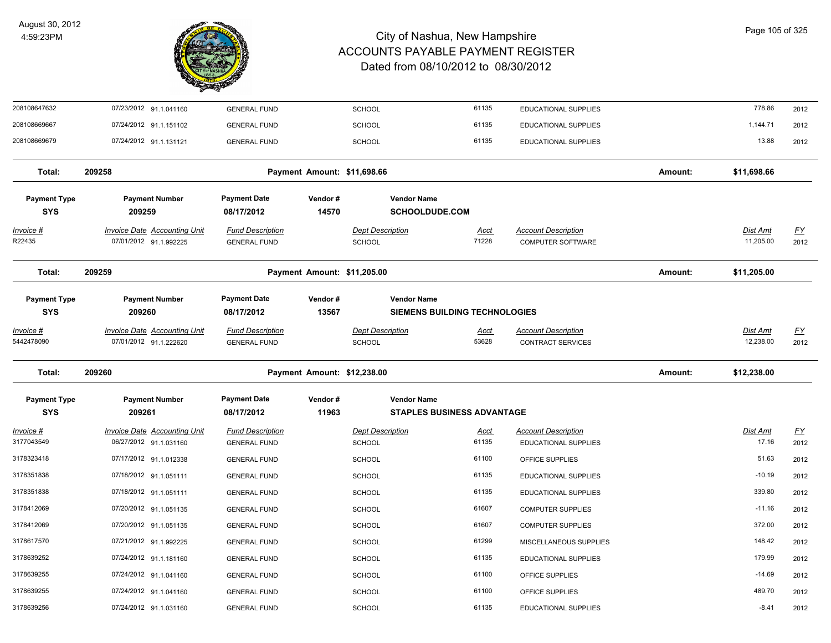

| 208108647632                      | 07/23/2012 91.1.041160                                        | <b>GENERAL FUND</b>                            |                             | SCHOOL                                   | 61135                                                      | <b>EDUCATIONAL SUPPLIES</b>                            |         | 778.86                       | 2012                     |
|-----------------------------------|---------------------------------------------------------------|------------------------------------------------|-----------------------------|------------------------------------------|------------------------------------------------------------|--------------------------------------------------------|---------|------------------------------|--------------------------|
| 208108669667                      | 07/24/2012 91.1.151102                                        | <b>GENERAL FUND</b>                            |                             | <b>SCHOOL</b>                            | 61135                                                      | <b>EDUCATIONAL SUPPLIES</b>                            |         | 1,144.71                     | 2012                     |
| 208108669679                      | 07/24/2012 91.1.131121                                        | <b>GENERAL FUND</b>                            |                             | SCHOOL                                   | 61135                                                      | <b>EDUCATIONAL SUPPLIES</b>                            |         | 13.88                        | 2012                     |
| Total:                            | 209258                                                        |                                                | Payment Amount: \$11,698.66 |                                          |                                                            |                                                        | Amount: | \$11,698.66                  |                          |
| <b>Payment Type</b><br><b>SYS</b> | <b>Payment Number</b><br>209259                               | <b>Payment Date</b><br>08/17/2012              | Vendor#<br>14570            |                                          | <b>Vendor Name</b><br><b>SCHOOLDUDE.COM</b>                |                                                        |         |                              |                          |
| <u>Invoice #</u><br>R22435        | <b>Invoice Date Accounting Unit</b><br>07/01/2012 91.1.992225 | <b>Fund Description</b><br><b>GENERAL FUND</b> |                             | <b>Dept Description</b><br>SCHOOL        | <u>Acct</u><br>71228                                       | <b>Account Description</b><br>COMPUTER SOFTWARE        |         | Dist Amt<br>11,205.00        | <u>FY</u><br>2012        |
| Total:                            | 209259                                                        |                                                | Payment Amount: \$11,205.00 |                                          |                                                            |                                                        | Amount: | \$11,205.00                  |                          |
| <b>Payment Type</b><br><b>SYS</b> | <b>Payment Number</b><br>209260                               | <b>Payment Date</b><br>08/17/2012              | Vendor#<br>13567            |                                          | <b>Vendor Name</b><br><b>SIEMENS BUILDING TECHNOLOGIES</b> |                                                        |         |                              |                          |
| Invoice #<br>5442478090           | <b>Invoice Date Accounting Unit</b><br>07/01/2012 91.1.222620 | <b>Fund Description</b><br><b>GENERAL FUND</b> |                             | <b>Dept Description</b><br><b>SCHOOL</b> | <u>Acct</u><br>53628                                       | <b>Account Description</b><br><b>CONTRACT SERVICES</b> |         | <b>Dist Amt</b><br>12,238.00 | $\underline{FY}$<br>2012 |
| Total:                            | 209260                                                        |                                                | Payment Amount: \$12,238.00 |                                          |                                                            |                                                        | Amount: | \$12,238.00                  |                          |
| <b>Payment Type</b><br><b>SYS</b> | <b>Payment Number</b><br>209261                               | <b>Payment Date</b><br>08/17/2012              | Vendor#<br>11963            |                                          | <b>Vendor Name</b><br><b>STAPLES BUSINESS ADVANTAGE</b>    |                                                        |         |                              |                          |
| Invoice #<br>3177043549           | <b>Invoice Date Accounting Unit</b><br>06/27/2012 91.1.031160 | <b>Fund Description</b><br><b>GENERAL FUND</b> |                             | <b>Dept Description</b><br><b>SCHOOL</b> | Acct<br>61135                                              | <b>Account Description</b><br>EDUCATIONAL SUPPLIES     |         | Dist Amt<br>17.16            | $\underline{FY}$<br>2012 |
| 3178323418                        | 07/17/2012 91.1.012338                                        | <b>GENERAL FUND</b>                            |                             | <b>SCHOOL</b>                            | 61100                                                      | OFFICE SUPPLIES                                        |         | 51.63                        | 2012                     |
| 3178351838                        | 07/18/2012 91.1.051111                                        | <b>GENERAL FUND</b>                            |                             | <b>SCHOOL</b>                            | 61135                                                      | EDUCATIONAL SUPPLIES                                   |         | $-10.19$                     | 2012                     |
| 3178351838                        | 07/18/2012 91.1.051111                                        | <b>GENERAL FUND</b>                            |                             | <b>SCHOOL</b>                            | 61135                                                      | <b>EDUCATIONAL SUPPLIES</b>                            |         | 339.80                       | 2012                     |
| 3178412069                        | 07/20/2012 91.1.051135                                        | <b>GENERAL FUND</b>                            |                             | SCHOOL                                   | 61607                                                      | <b>COMPUTER SUPPLIES</b>                               |         | $-11.16$                     | 2012                     |
| 3178412069                        | 07/20/2012 91.1.051135                                        | <b>GENERAL FUND</b>                            |                             | <b>SCHOOL</b>                            | 61607                                                      | <b>COMPUTER SUPPLIES</b>                               |         | 372.00                       | 2012                     |
| 3178617570                        | 07/21/2012 91.1.992225                                        | <b>GENERAL FUND</b>                            |                             | <b>SCHOOL</b>                            | 61299                                                      | MISCELLANEOUS SUPPLIES                                 |         | 148.42                       | 2012                     |
| 3178639252                        | 07/24/2012 91.1.181160                                        | <b>GENERAL FUND</b>                            |                             | <b>SCHOOL</b>                            | 61135                                                      | <b>EDUCATIONAL SUPPLIES</b>                            |         | 179.99                       | 2012                     |
| 3178639255                        | 07/24/2012 91.1.041160                                        | <b>GENERAL FUND</b>                            |                             | SCHOOL                                   | 61100                                                      | OFFICE SUPPLIES                                        |         | $-14.69$                     | 2012                     |
| 3178639255                        | 07/24/2012 91.1.041160                                        | <b>GENERAL FUND</b>                            |                             | <b>SCHOOL</b>                            | 61100                                                      | OFFICE SUPPLIES                                        |         | 489.70                       | 2012                     |
| 3178639256                        | 07/24/2012 91.1.031160                                        | <b>GENERAL FUND</b>                            |                             | SCHOOL                                   | 61135                                                      | EDUCATIONAL SUPPLIES                                   |         | $-8.41$                      | 2012                     |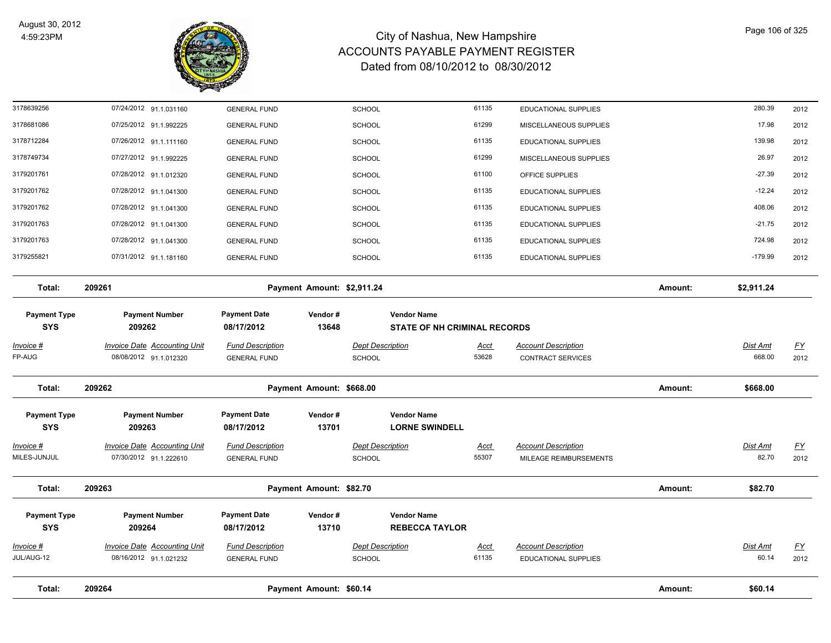

| Total:                            | 209264                                                        |                                                | Payment Amount: \$60.14    |                                          |                                                           |                      |                                                        | Amount: | \$60.14                   |                          |
|-----------------------------------|---------------------------------------------------------------|------------------------------------------------|----------------------------|------------------------------------------|-----------------------------------------------------------|----------------------|--------------------------------------------------------|---------|---------------------------|--------------------------|
| Invoice #<br>JUL/AUG-12           | <b>Invoice Date Accounting Unit</b><br>08/16/2012 91.1.021232 | <b>Fund Description</b><br><b>GENERAL FUND</b> |                            | <b>Dept Description</b><br>SCHOOL        |                                                           | <u>Acct</u><br>61135 | <b>Account Description</b><br>EDUCATIONAL SUPPLIES     |         | Dist Amt<br>60.14         | $\underline{FY}$<br>2012 |
| <b>Payment Type</b><br><b>SYS</b> | <b>Payment Number</b><br>209264                               | <b>Payment Date</b><br>08/17/2012              | Vendor#<br>13710           |                                          | <b>Vendor Name</b><br><b>REBECCA TAYLOR</b>               |                      |                                                        |         |                           |                          |
| Total:                            | 209263                                                        |                                                | Payment Amount: \$82.70    |                                          |                                                           |                      |                                                        | Amount: | \$82.70                   |                          |
| Invoice #<br>MILES-JUNJUL         | <b>Invoice Date Accounting Unit</b><br>07/30/2012 91.1.222610 | <b>Fund Description</b><br><b>GENERAL FUND</b> |                            | <b>Dept Description</b><br><b>SCHOOL</b> |                                                           | Acct<br>55307        | <b>Account Description</b><br>MILEAGE REIMBURSEMENTS   |         | Dist Amt<br>82.70         | <u>FY</u><br>2012        |
| <b>Payment Type</b><br><b>SYS</b> | <b>Payment Number</b><br>209263                               | <b>Payment Date</b><br>08/17/2012              | Vendor#<br>13701           |                                          | <b>Vendor Name</b><br><b>LORNE SWINDELL</b>               |                      |                                                        |         |                           |                          |
| Total:                            | 209262                                                        |                                                | Payment Amount: \$668.00   |                                          |                                                           |                      |                                                        | Amount: | \$668.00                  |                          |
| <u>Invoice #</u><br>FP-AUG        | <b>Invoice Date Accounting Unit</b><br>08/08/2012 91.1.012320 | <b>Fund Description</b><br><b>GENERAL FUND</b> |                            | <b>Dept Description</b><br><b>SCHOOL</b> |                                                           | <b>Acct</b><br>53628 | <b>Account Description</b><br><b>CONTRACT SERVICES</b> |         | <b>Dist Amt</b><br>668.00 | <u>FY</u><br>2012        |
| <b>Payment Type</b><br><b>SYS</b> | <b>Payment Number</b><br>209262                               | <b>Payment Date</b><br>08/17/2012              | Vendor#<br>13648           |                                          | <b>Vendor Name</b><br><b>STATE OF NH CRIMINAL RECORDS</b> |                      |                                                        |         |                           |                          |
| Total:                            | 209261                                                        |                                                | Payment Amount: \$2,911.24 |                                          |                                                           |                      |                                                        | Amount: | \$2,911.24                |                          |
| 3179255821                        | 07/31/2012 91.1.181160                                        | <b>GENERAL FUND</b>                            |                            | SCHOOL                                   |                                                           | 61135                | EDUCATIONAL SUPPLIES                                   |         | $-179.99$                 | 2012                     |
| 3179201763                        | 07/28/2012 91.1.041300                                        | <b>GENERAL FUND</b>                            |                            | <b>SCHOOL</b>                            |                                                           | 61135                | <b>EDUCATIONAL SUPPLIES</b>                            |         | 724.98                    | 2012                     |
| 3179201763                        | 07/28/2012 91.1.041300                                        | <b>GENERAL FUND</b>                            |                            | <b>SCHOOL</b>                            |                                                           | 61135                | EDUCATIONAL SUPPLIES                                   |         | $-21.75$                  | 2012                     |
| 3179201762                        | 07/28/2012 91.1.041300                                        | <b>GENERAL FUND</b>                            |                            | <b>SCHOOL</b>                            |                                                           | 61135                | <b>EDUCATIONAL SUPPLIES</b>                            |         | 408.06                    | 2012                     |
| 3179201762                        | 07/28/2012 91.1.041300                                        | <b>GENERAL FUND</b>                            |                            | <b>SCHOOL</b>                            |                                                           | 61135                | <b>EDUCATIONAL SUPPLIES</b>                            |         | $-12.24$                  | 2012                     |
| 3179201761                        | 07/28/2012 91.1.012320                                        | <b>GENERAL FUND</b>                            |                            | <b>SCHOOL</b>                            |                                                           | 61100                | OFFICE SUPPLIES                                        |         | $-27.39$                  | 2012                     |
| 3178749734                        | 07/27/2012 91.1.992225                                        | <b>GENERAL FUND</b>                            |                            | SCHOOL                                   |                                                           | 61299                | MISCELLANEOUS SUPPLIES                                 |         | 26.97                     | 2012                     |
| 3178712284                        | 07/26/2012 91.1.111160                                        | <b>GENERAL FUND</b>                            |                            | SCHOOL                                   |                                                           | 61135                | <b>EDUCATIONAL SUPPLIES</b>                            |         | 139.98                    | 2012                     |
| 3178639256<br>3178681086          | 07/24/2012 91.1.031160<br>07/25/2012 91.1.992225              | <b>GENERAL FUND</b><br><b>GENERAL FUND</b>     |                            | <b>SCHOOL</b><br><b>SCHOOL</b>           |                                                           | 61135<br>61299       | <b>EDUCATIONAL SUPPLIES</b><br>MISCELLANEOUS SUPPLIES  |         | 280.39<br>17.98           | 2012<br>2012             |
|                                   |                                                               |                                                |                            |                                          |                                                           |                      |                                                        |         |                           |                          |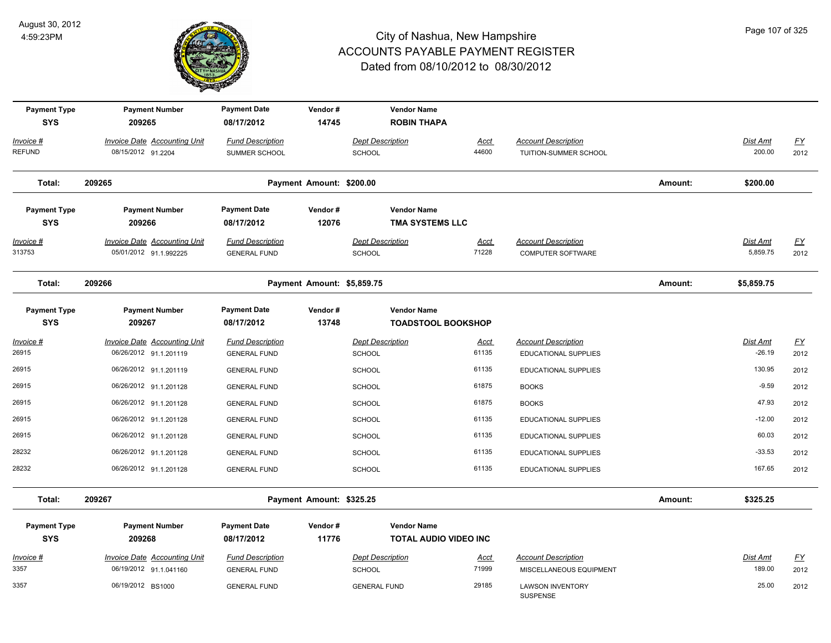

| <b>Payment Type</b><br><b>SYS</b> | <b>Payment Number</b><br>209265                               | <b>Payment Date</b><br>08/17/2012              | Vendor#<br>14745           | <b>Vendor Name</b><br><b>ROBIN THAPA</b>     |                              |                                                     |         |                             |                          |
|-----------------------------------|---------------------------------------------------------------|------------------------------------------------|----------------------------|----------------------------------------------|------------------------------|-----------------------------------------------------|---------|-----------------------------|--------------------------|
| Invoice #<br><b>REFUND</b>        | Invoice Date Accounting Unit<br>08/15/2012 91.2204            | <b>Fund Description</b><br>SUMMER SCHOOL       |                            | <b>Dept Description</b><br><b>SCHOOL</b>     | <b>Acct</b><br>44600         | <b>Account Description</b><br>TUITION-SUMMER SCHOOL |         | Dist Amt<br>200.00          | $\underline{FY}$<br>2012 |
| Total:                            | 209265                                                        |                                                | Payment Amount: \$200.00   |                                              |                              |                                                     | Amount: | \$200.00                    |                          |
| <b>Payment Type</b><br><b>SYS</b> | <b>Payment Number</b><br>209266                               | <b>Payment Date</b><br>08/17/2012              | Vendor#<br>12076           | <b>Vendor Name</b><br><b>TMA SYSTEMS LLC</b> |                              |                                                     |         |                             |                          |
| Invoice #<br>313753               | <b>Invoice Date Accounting Unit</b><br>05/01/2012 91.1.992225 | <b>Fund Description</b><br><b>GENERAL FUND</b> |                            | <b>Dept Description</b><br><b>SCHOOL</b>     | <u>Acct</u><br>71228         | <b>Account Description</b><br>COMPUTER SOFTWARE     |         | <b>Dist Amt</b><br>5,859.75 | <u>FY</u><br>2012        |
| Total:                            | 209266                                                        |                                                | Payment Amount: \$5,859.75 |                                              |                              |                                                     | Amount: | \$5,859.75                  |                          |
| <b>Payment Type</b><br><b>SYS</b> | <b>Payment Number</b><br>209267                               | <b>Payment Date</b><br>08/17/2012              | Vendor#<br>13748           | <b>Vendor Name</b>                           | <b>TOADSTOOL BOOKSHOP</b>    |                                                     |         |                             |                          |
| Invoice #<br>26915                | <b>Invoice Date Accounting Unit</b><br>06/26/2012 91.1.201119 | <b>Fund Description</b><br><b>GENERAL FUND</b> |                            | <b>Dept Description</b><br><b>SCHOOL</b>     | <b>Acct</b><br>61135         | <b>Account Description</b><br>EDUCATIONAL SUPPLIES  |         | Dist Amt<br>$-26.19$        | $\underline{FY}$<br>2012 |
| 26915                             | 06/26/2012 91.1.201119                                        | <b>GENERAL FUND</b>                            |                            | <b>SCHOOL</b>                                | 61135                        | EDUCATIONAL SUPPLIES                                |         | 130.95                      | 2012                     |
| 26915                             | 06/26/2012 91.1.201128                                        | <b>GENERAL FUND</b>                            |                            | <b>SCHOOL</b>                                | 61875                        | <b>BOOKS</b>                                        |         | $-9.59$                     | 2012                     |
| 26915                             | 06/26/2012 91.1.201128                                        | <b>GENERAL FUND</b>                            |                            | <b>SCHOOL</b>                                | 61875                        | <b>BOOKS</b>                                        |         | 47.93                       | 2012                     |
| 26915                             | 06/26/2012 91.1.201128                                        | <b>GENERAL FUND</b>                            |                            | <b>SCHOOL</b>                                | 61135                        | EDUCATIONAL SUPPLIES                                |         | $-12.00$                    | 2012                     |
| 26915                             | 06/26/2012 91.1.201128                                        | <b>GENERAL FUND</b>                            |                            | <b>SCHOOL</b>                                | 61135                        | EDUCATIONAL SUPPLIES                                |         | 60.03                       | 2012                     |
| 28232                             | 06/26/2012 91.1.201128                                        | <b>GENERAL FUND</b>                            |                            | <b>SCHOOL</b>                                | 61135                        | EDUCATIONAL SUPPLIES                                |         | $-33.53$                    | 2012                     |
| 28232                             | 06/26/2012 91.1.201128                                        | <b>GENERAL FUND</b>                            |                            | <b>SCHOOL</b>                                | 61135                        | EDUCATIONAL SUPPLIES                                |         | 167.65                      | 2012                     |
| Total:                            | 209267                                                        |                                                | Payment Amount: \$325.25   |                                              |                              |                                                     | Amount: | \$325.25                    |                          |
| <b>Payment Type</b><br><b>SYS</b> | <b>Payment Number</b><br>209268                               | <b>Payment Date</b><br>08/17/2012              | Vendor#<br>11776           | <b>Vendor Name</b>                           | <b>TOTAL AUDIO VIDEO INC</b> |                                                     |         |                             |                          |
| Invoice #                         | <b>Invoice Date Accounting Unit</b>                           | <b>Fund Description</b>                        |                            | <b>Dept Description</b>                      | <b>Acct</b>                  | <b>Account Description</b>                          |         | Dist Amt                    | $\underline{FY}$         |
| 3357                              | 06/19/2012 91.1.041160                                        | <b>GENERAL FUND</b>                            |                            | <b>SCHOOL</b>                                | 71999                        | MISCELLANEOUS EQUIPMENT                             |         | 189.00                      | 2012                     |
| 3357                              | 06/19/2012 BS1000                                             | <b>GENERAL FUND</b>                            |                            | <b>GENERAL FUND</b>                          | 29185                        | <b>LAWSON INVENTORY</b><br><b>SUSPENSE</b>          |         | 25.00                       | 2012                     |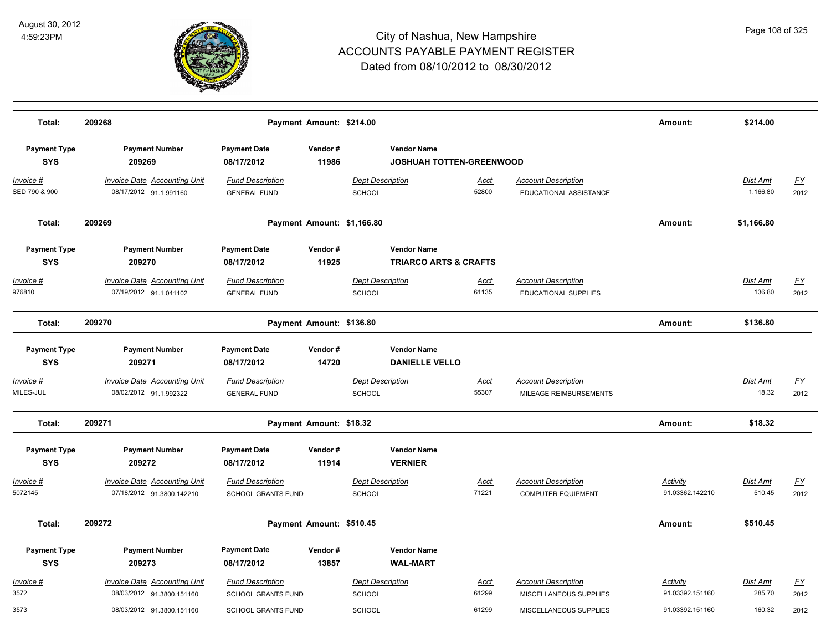

| Total:                             | 209268<br>Payment Amount: \$214.00                               |                                                |                          |                                                       |                      |                                                         | Amount:                            | \$214.00                    |                   |
|------------------------------------|------------------------------------------------------------------|------------------------------------------------|--------------------------|-------------------------------------------------------|----------------------|---------------------------------------------------------|------------------------------------|-----------------------------|-------------------|
| <b>Payment Type</b><br><b>SYS</b>  | <b>Payment Number</b><br>209269                                  | <b>Payment Date</b><br>08/17/2012              | Vendor#<br>11986         | <b>Vendor Name</b><br><b>JOSHUAH TOTTEN-GREENWOOD</b> |                      |                                                         |                                    |                             |                   |
| <u> Invoice #</u><br>SED 790 & 900 | <b>Invoice Date Accounting Unit</b><br>08/17/2012 91.1.991160    | <b>Fund Description</b><br><b>GENERAL FUND</b> |                          | <b>Dept Description</b><br>SCHOOL                     | <u>Acct</u><br>52800 | <b>Account Description</b><br>EDUCATIONAL ASSISTANCE    |                                    | <u>Dist Amt</u><br>1,166.80 | <u>FY</u><br>2012 |
| Total:                             | 209269                                                           | Payment Amount: \$1,166.80                     |                          |                                                       |                      | Amount:                                                 | \$1,166.80                         |                             |                   |
| <b>Payment Type</b>                | <b>Payment Number</b>                                            | <b>Payment Date</b>                            | Vendor#                  | <b>Vendor Name</b>                                    |                      |                                                         |                                    |                             |                   |
| <b>SYS</b>                         | 209270                                                           | 08/17/2012                                     | 11925                    | <b>TRIARCO ARTS &amp; CRAFTS</b>                      |                      |                                                         |                                    |                             |                   |
| <u> Invoice #</u><br>976810        | <b>Invoice Date Accounting Unit</b><br>07/19/2012 91.1.041102    | <b>Fund Description</b><br><b>GENERAL FUND</b> |                          | <b>Dept Description</b><br><b>SCHOOL</b>              | <u>Acct</u><br>61135 | <b>Account Description</b><br>EDUCATIONAL SUPPLIES      |                                    | <b>Dist Amt</b><br>136.80   | <u>FY</u><br>2012 |
| Total:                             | 209270                                                           | Payment Amount: \$136.80                       |                          |                                                       |                      | Amount:                                                 | \$136.80                           |                             |                   |
| <b>Payment Type</b><br><b>SYS</b>  | <b>Payment Number</b><br>209271                                  | <b>Payment Date</b><br>08/17/2012              | Vendor#<br>14720         | <b>Vendor Name</b><br><b>DANIELLE VELLO</b>           |                      |                                                         |                                    |                             |                   |
| Invoice #<br>MILES-JUL             | Invoice Date Accounting Unit<br>08/02/2012 91.1.992322           | <b>Fund Description</b><br><b>GENERAL FUND</b> |                          | <b>Dept Description</b><br><b>SCHOOL</b>              | Acct<br>55307        | <b>Account Description</b><br>MILEAGE REIMBURSEMENTS    |                                    | Dist Amt<br>18.32           | <u>FY</u><br>2012 |
| Total:                             | 209271                                                           | Payment Amount: \$18.32                        |                          |                                                       |                      | Amount:                                                 | \$18.32                            |                             |                   |
| <b>Payment Type</b><br><b>SYS</b>  | <b>Payment Number</b><br>209272                                  | <b>Payment Date</b><br>08/17/2012              | Vendor#<br>11914         | <b>Vendor Name</b><br><b>VERNIER</b>                  |                      |                                                         |                                    |                             |                   |
| <u> Invoice #</u><br>5072145       | <b>Invoice Date Accounting Unit</b><br>07/18/2012 91.3800.142210 | <b>Fund Description</b><br>SCHOOL GRANTS FUND  |                          | <b>Dept Description</b><br><b>SCHOOL</b>              | Acct<br>71221        | <b>Account Description</b><br><b>COMPUTER EQUIPMENT</b> | Activity<br>91.03362.142210        | Dist Amt<br>510.45          | <u>FY</u><br>2012 |
| Total:                             | 209272                                                           |                                                | Payment Amount: \$510.45 |                                                       |                      |                                                         | Amount:                            | \$510.45                    |                   |
| <b>Payment Type</b><br><b>SYS</b>  | <b>Payment Number</b><br>209273                                  | <b>Payment Date</b><br>08/17/2012              | Vendor#<br>13857         | <b>Vendor Name</b><br><b>WAL-MART</b>                 |                      |                                                         |                                    |                             |                   |
| <u> Invoice #</u><br>3572          | <b>Invoice Date Accounting Unit</b><br>08/03/2012 91.3800.151160 | <b>Fund Description</b><br>SCHOOL GRANTS FUND  |                          | <b>Dept Description</b><br><b>SCHOOL</b>              | Acct<br>61299        | <b>Account Description</b><br>MISCELLANEOUS SUPPLIES    | <b>Activity</b><br>91.03392.151160 | Dist Amt<br>285.70          | <u>FY</u><br>2012 |
| 3573                               | 08/03/2012 91.3800.151160                                        | SCHOOL GRANTS FUND                             |                          | <b>SCHOOL</b>                                         | 61299                | MISCELLANEOUS SUPPLIES                                  | 91.03392.151160                    | 160.32                      | 2012              |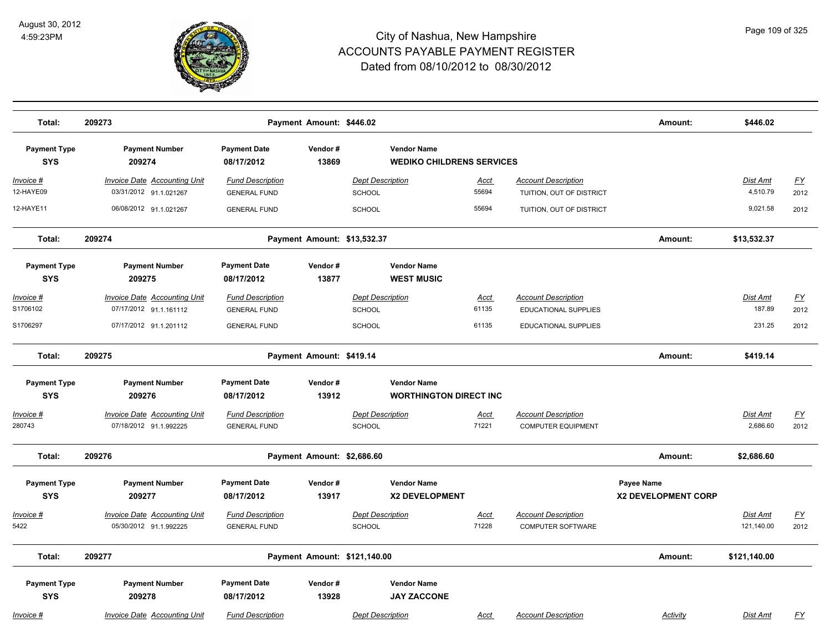

| Total:                            | 209273                                                        |                                                | Payment Amount: \$446.02   |                                                        |                      |                                                        | Amount:                           | \$446.02                    |                   |
|-----------------------------------|---------------------------------------------------------------|------------------------------------------------|----------------------------|--------------------------------------------------------|----------------------|--------------------------------------------------------|-----------------------------------|-----------------------------|-------------------|
| <b>Payment Type</b><br><b>SYS</b> | <b>Payment Number</b><br>209274                               | <b>Payment Date</b><br>08/17/2012              | Vendor#<br>13869           | <b>Vendor Name</b><br><b>WEDIKO CHILDRENS SERVICES</b> |                      |                                                        |                                   |                             |                   |
| <u> Invoice #</u><br>12-HAYE09    | <b>Invoice Date Accounting Unit</b><br>03/31/2012 91.1.021267 | <b>Fund Description</b><br><b>GENERAL FUND</b> |                            | <b>Dept Description</b><br><b>SCHOOL</b>               | <b>Acct</b><br>55694 | <b>Account Description</b><br>TUITION, OUT OF DISTRICT |                                   | <b>Dist Amt</b><br>4,510.79 | <u>FY</u><br>2012 |
| 12-HAYE11                         | 06/08/2012 91.1.021267                                        | <b>GENERAL FUND</b>                            |                            | SCHOOL                                                 | 55694                | TUITION, OUT OF DISTRICT                               |                                   | 9,021.58                    | 2012              |
| Total:                            | 209274                                                        |                                                |                            | Payment Amount: \$13,532.37                            |                      |                                                        | Amount:                           | \$13,532.37                 |                   |
| <b>Payment Type</b><br><b>SYS</b> | <b>Payment Number</b><br>209275                               | <b>Payment Date</b><br>08/17/2012              | Vendor#<br>13877           | <b>Vendor Name</b><br><b>WEST MUSIC</b>                |                      |                                                        |                                   |                             |                   |
| Invoice #                         | <b>Invoice Date Accounting Unit</b>                           | <b>Fund Description</b>                        |                            | <b>Dept Description</b>                                | Acct                 | <b>Account Description</b>                             |                                   | Dist Amt                    | <u>FY</u>         |
| S1706102                          | 07/17/2012 91.1.161112                                        | <b>GENERAL FUND</b>                            |                            | SCHOOL                                                 | 61135                | <b>EDUCATIONAL SUPPLIES</b>                            |                                   | 187.89                      | 2012              |
| S1706297                          | 07/17/2012 91.1.201112                                        | <b>GENERAL FUND</b>                            |                            | <b>SCHOOL</b>                                          | 61135                | <b>EDUCATIONAL SUPPLIES</b>                            |                                   | 231.25                      | 2012              |
| Total:                            | 209275                                                        |                                                | Payment Amount: \$419.14   |                                                        |                      |                                                        | Amount:                           | \$419.14                    |                   |
| <b>Payment Type</b>               | <b>Payment Number</b>                                         | <b>Payment Date</b>                            | Vendor#                    | <b>Vendor Name</b>                                     |                      |                                                        |                                   |                             |                   |
| <b>SYS</b>                        | 209276                                                        | 08/17/2012                                     | 13912                      | <b>WORTHINGTON DIRECT INC</b>                          |                      |                                                        |                                   |                             |                   |
| Invoice #                         | <b>Invoice Date Accounting Unit</b>                           | <b>Fund Description</b>                        |                            | <b>Dept Description</b>                                | <b>Acct</b>          | <b>Account Description</b>                             |                                   | Dist Amt                    | <u>FY</u>         |
| 280743                            | 07/18/2012 91.1.992225                                        | <b>GENERAL FUND</b>                            |                            | SCHOOL                                                 | 71221                | <b>COMPUTER EQUIPMENT</b>                              |                                   | 2,686.60                    | 2012              |
| Total:                            | 209276                                                        |                                                | Payment Amount: \$2,686.60 |                                                        |                      |                                                        | Amount:                           | \$2,686.60                  |                   |
| <b>Payment Type</b><br><b>SYS</b> | <b>Payment Number</b><br>209277                               | <b>Payment Date</b><br>08/17/2012              | Vendor#<br>13917           | <b>Vendor Name</b><br><b>X2 DEVELOPMENT</b>            |                      |                                                        | Payee Name<br>X2 DEVELOPMENT CORP |                             |                   |
| <u> Invoice #</u>                 | <b>Invoice Date Accounting Unit</b>                           | <b>Fund Description</b>                        |                            | <b>Dept Description</b>                                | <u>Acct</u>          | <b>Account Description</b>                             |                                   | Dist Amt                    | <u>FY</u>         |
| 5422                              | 05/30/2012 91.1.992225                                        | <b>GENERAL FUND</b>                            |                            | SCHOOL                                                 | 71228                | <b>COMPUTER SOFTWARE</b>                               |                                   | 121,140.00                  | 2012              |
| Total:                            | 209277                                                        |                                                |                            | Payment Amount: \$121,140.00                           |                      |                                                        | Amount:                           | \$121,140.00                |                   |
| <b>Payment Type</b><br><b>SYS</b> | <b>Payment Number</b><br>209278                               | <b>Payment Date</b><br>08/17/2012              | Vendor#<br>13928           | <b>Vendor Name</b><br><b>JAY ZACCONE</b>               |                      |                                                        |                                   |                             |                   |
| <u> Invoice #</u>                 | <b>Invoice Date Accounting Unit</b>                           | <b>Fund Description</b>                        |                            | <b>Dept Description</b>                                | <b>Acct</b>          | <b>Account Description</b>                             | <b>Activity</b>                   | Dist Amt                    | <u>FY</u>         |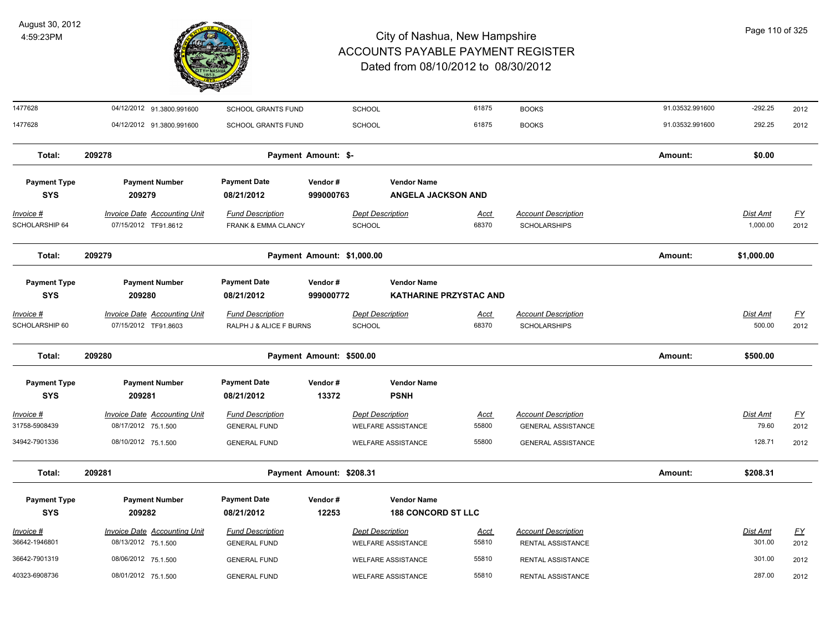

| 1477628                           | 04/12/2012 91.3800.991600                                   | SCHOOL GRANTS FUND                                        | <b>SCHOOL</b>                            |                                                     | 61875                | <b>BOOKS</b>                                            | 91.03532.991600 | $-292.25$                | 2012                              |
|-----------------------------------|-------------------------------------------------------------|-----------------------------------------------------------|------------------------------------------|-----------------------------------------------------|----------------------|---------------------------------------------------------|-----------------|--------------------------|-----------------------------------|
| 1477628                           | 04/12/2012 91.3800.991600                                   | <b>SCHOOL GRANTS FUND</b>                                 | <b>SCHOOL</b>                            |                                                     | 61875                | <b>BOOKS</b>                                            | 91.03532.991600 | 292.25                   | 2012                              |
| Total:                            | 209278                                                      |                                                           | Payment Amount: \$-                      |                                                     |                      |                                                         | Amount:         | \$0.00                   |                                   |
| <b>Payment Type</b><br><b>SYS</b> | <b>Payment Number</b><br>209279                             | <b>Payment Date</b><br>08/21/2012                         | Vendor#<br>999000763                     | <b>Vendor Name</b><br><b>ANGELA JACKSON AND</b>     |                      |                                                         |                 |                          |                                   |
| Invoice #<br>SCHOLARSHIP 64       | <b>Invoice Date Accounting Unit</b><br>07/15/2012 TF91.8612 | <b>Fund Description</b><br><b>FRANK &amp; EMMA CLANCY</b> | <b>Dept Description</b><br><b>SCHOOL</b> |                                                     | <u>Acct</u><br>68370 | <b>Account Description</b><br><b>SCHOLARSHIPS</b>       |                 | Dist Amt<br>1,000.00     | $\underline{\mathsf{FY}}$<br>2012 |
| Total:                            | 209279                                                      |                                                           | Payment Amount: \$1,000.00               |                                                     |                      |                                                         | Amount:         | \$1,000.00               |                                   |
| <b>Payment Type</b><br><b>SYS</b> | <b>Payment Number</b><br>209280                             | <b>Payment Date</b><br>08/21/2012                         | Vendor#<br>999000772                     | <b>Vendor Name</b><br><b>KATHARINE PRZYSTAC AND</b> |                      |                                                         |                 |                          |                                   |
| Invoice #<br>SCHOLARSHIP 60       | <b>Invoice Date Accounting Unit</b><br>07/15/2012 TF91.8603 | <b>Fund Description</b><br>RALPH J & ALICE F BURNS        | <b>Dept Description</b><br>SCHOOL        |                                                     | <u>Acct</u><br>68370 | <b>Account Description</b><br><b>SCHOLARSHIPS</b>       |                 | Dist Amt<br>500.00       | $\underline{FY}$<br>2012          |
| Total:                            | 209280                                                      |                                                           | Payment Amount: \$500.00                 |                                                     |                      |                                                         | Amount:         | \$500.00                 |                                   |
| <b>Payment Type</b><br><b>SYS</b> | <b>Payment Number</b><br>209281                             | <b>Payment Date</b><br>08/21/2012                         | Vendor#<br>13372                         | <b>Vendor Name</b><br><b>PSNH</b>                   |                      |                                                         |                 |                          |                                   |
| Invoice #<br>31758-5908439        | <b>Invoice Date Accounting Unit</b><br>08/17/2012 75.1.500  | <b>Fund Description</b><br><b>GENERAL FUND</b>            | <b>Dept Description</b>                  | <b>WELFARE ASSISTANCE</b>                           | <u>Acct</u><br>55800 | <b>Account Description</b><br><b>GENERAL ASSISTANCE</b> |                 | <b>Dist Amt</b><br>79.60 | $\underline{\mathsf{FY}}$<br>2012 |
| 34942-7901336                     | 08/10/2012 75.1.500                                         | <b>GENERAL FUND</b>                                       |                                          | <b>WELFARE ASSISTANCE</b>                           | 55800                | <b>GENERAL ASSISTANCE</b>                               |                 | 128.71                   | 2012                              |
| Total:                            | 209281                                                      |                                                           | Payment Amount: \$208.31                 |                                                     |                      |                                                         | Amount:         | \$208.31                 |                                   |
| <b>Payment Type</b><br><b>SYS</b> | <b>Payment Number</b><br>209282                             | <b>Payment Date</b><br>08/21/2012                         | Vendor#<br>12253                         | <b>Vendor Name</b><br><b>188 CONCORD ST LLC</b>     |                      |                                                         |                 |                          |                                   |
| <u>Invoice #</u><br>36642-1946801 | <b>Invoice Date Accounting Unit</b><br>08/13/2012 75.1.500  | <b>Fund Description</b><br><b>GENERAL FUND</b>            | <b>Dept Description</b>                  | <b>WELFARE ASSISTANCE</b>                           | <u>Acct</u><br>55810 | <b>Account Description</b><br><b>RENTAL ASSISTANCE</b>  |                 | Dist Amt<br>301.00       | $\underline{\mathsf{FY}}$<br>2012 |
| 36642-7901319                     | 08/06/2012 75.1.500                                         | <b>GENERAL FUND</b>                                       |                                          | <b>WELFARE ASSISTANCE</b>                           | 55810                | RENTAL ASSISTANCE                                       |                 | 301.00                   | 2012                              |
| 40323-6908736                     | 08/01/2012 75.1.500                                         | <b>GENERAL FUND</b>                                       |                                          | WELFARE ASSISTANCE                                  | 55810                | RENTAL ASSISTANCE                                       |                 | 287.00                   | 2012                              |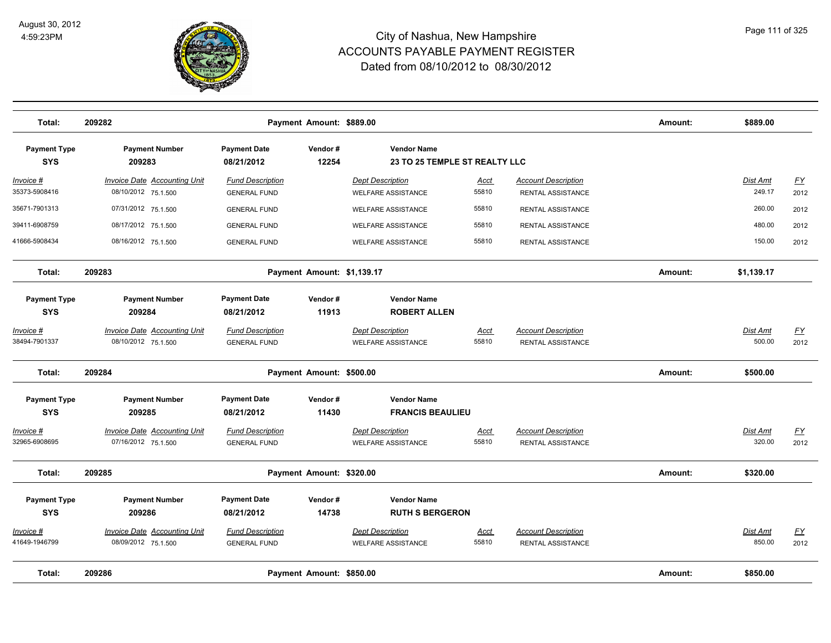

| Total:                            | 209282                                                     |                                                | Payment Amount: \$889.00   |                                                      |               |                                                 | Amount: | \$889.00                  |                                   |
|-----------------------------------|------------------------------------------------------------|------------------------------------------------|----------------------------|------------------------------------------------------|---------------|-------------------------------------------------|---------|---------------------------|-----------------------------------|
| <b>Payment Type</b><br><b>SYS</b> | <b>Payment Number</b><br>209283                            | <b>Payment Date</b><br>08/21/2012              | Vendor#<br>12254           | <b>Vendor Name</b><br>23 TO 25 TEMPLE ST REALTY LLC  |               |                                                 |         |                           |                                   |
| $Invoice$ #<br>35373-5908416      | <b>Invoice Date Accounting Unit</b><br>08/10/2012 75.1.500 | <b>Fund Description</b><br><b>GENERAL FUND</b> |                            | <b>Dept Description</b><br><b>WELFARE ASSISTANCE</b> | Acct<br>55810 | <b>Account Description</b><br>RENTAL ASSISTANCE |         | Dist Amt<br>249.17        | EY<br>2012                        |
| 35671-7901313                     | 07/31/2012 75.1.500                                        | <b>GENERAL FUND</b>                            |                            | <b>WELFARE ASSISTANCE</b>                            | 55810         | RENTAL ASSISTANCE                               |         | 260.00                    | 2012                              |
| 39411-6908759                     | 08/17/2012 75.1.500                                        | <b>GENERAL FUND</b>                            |                            | <b>WELFARE ASSISTANCE</b>                            | 55810         | RENTAL ASSISTANCE                               |         | 480.00                    | 2012                              |
| 41666-5908434                     | 08/16/2012 75.1.500                                        | <b>GENERAL FUND</b>                            |                            | <b>WELFARE ASSISTANCE</b>                            | 55810         | RENTAL ASSISTANCE                               |         | 150.00                    | 2012                              |
| Total:                            | 209283                                                     |                                                | Payment Amount: \$1,139.17 |                                                      |               |                                                 | Amount: | \$1,139.17                |                                   |
| <b>Payment Type</b><br><b>SYS</b> | <b>Payment Number</b><br>209284                            | <b>Payment Date</b><br>08/21/2012              | Vendor#<br>11913           | <b>Vendor Name</b><br><b>ROBERT ALLEN</b>            |               |                                                 |         |                           |                                   |
| Invoice #<br>38494-7901337        | <b>Invoice Date Accounting Unit</b><br>08/10/2012 75.1.500 | <b>Fund Description</b><br><b>GENERAL FUND</b> |                            | <b>Dept Description</b><br><b>WELFARE ASSISTANCE</b> | Acct<br>55810 | <b>Account Description</b><br>RENTAL ASSISTANCE |         | <b>Dist Amt</b><br>500.00 | $\underline{FY}$<br>2012          |
| Total:                            | 209284                                                     |                                                | Payment Amount: \$500.00   |                                                      |               |                                                 | Amount: | \$500.00                  |                                   |
| <b>Payment Type</b><br><b>SYS</b> | <b>Payment Number</b><br>209285                            | <b>Payment Date</b><br>08/21/2012              | Vendor#<br>11430           | <b>Vendor Name</b><br><b>FRANCIS BEAULIEU</b>        |               |                                                 |         |                           |                                   |
| Invoice #<br>32965-6908695        | <b>Invoice Date Accounting Unit</b><br>07/16/2012 75.1.500 | <b>Fund Description</b><br><b>GENERAL FUND</b> |                            | <b>Dept Description</b><br><b>WELFARE ASSISTANCE</b> | Acct<br>55810 | <b>Account Description</b><br>RENTAL ASSISTANCE |         | Dist Amt<br>320.00        | $\underline{\mathsf{FY}}$<br>2012 |
| Total:                            | 209285                                                     |                                                | Payment Amount: \$320.00   |                                                      |               |                                                 | Amount: | \$320.00                  |                                   |
| <b>Payment Type</b><br><b>SYS</b> | <b>Payment Number</b><br>209286                            | <b>Payment Date</b><br>08/21/2012              | Vendor#<br>14738           | <b>Vendor Name</b><br><b>RUTH S BERGERON</b>         |               |                                                 |         |                           |                                   |
| Invoice #<br>41649-1946799        | Invoice Date Accounting Unit<br>08/09/2012 75.1.500        | <b>Fund Description</b><br><b>GENERAL FUND</b> |                            | <b>Dept Description</b><br><b>WELFARE ASSISTANCE</b> | Acct<br>55810 | <b>Account Description</b><br>RENTAL ASSISTANCE |         | Dist Amt<br>850.00        | EY<br>2012                        |
| Total:                            | 209286                                                     |                                                | Payment Amount: \$850.00   |                                                      |               |                                                 | Amount: | \$850.00                  |                                   |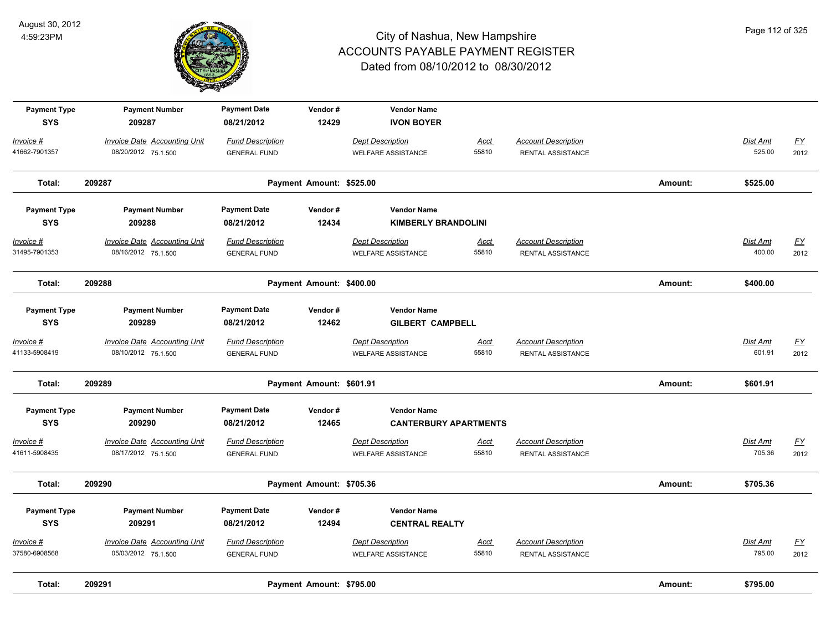

| <b>Payment Type</b><br><b>SYS</b> | <b>Payment Number</b><br>209287     | <b>Payment Date</b><br>08/21/2012 | Vendor#<br>12429         | <b>Vendor Name</b><br><b>IVON BOYER</b> |             |                            |         |                 |                  |
|-----------------------------------|-------------------------------------|-----------------------------------|--------------------------|-----------------------------------------|-------------|----------------------------|---------|-----------------|------------------|
| Invoice #                         | <b>Invoice Date Accounting Unit</b> | <b>Fund Description</b>           |                          | <b>Dept Description</b>                 | <u>Acct</u> | <b>Account Description</b> |         | Dist Amt        | $\underline{FY}$ |
| 41662-7901357                     | 08/20/2012 75.1.500                 | <b>GENERAL FUND</b>               |                          | <b>WELFARE ASSISTANCE</b>               | 55810       | RENTAL ASSISTANCE          |         | 525.00          | 2012             |
| Total:                            | 209287                              |                                   | Payment Amount: \$525.00 |                                         |             |                            | Amount: | \$525.00        |                  |
| <b>Payment Type</b>               | <b>Payment Number</b>               | <b>Payment Date</b>               | Vendor#                  | <b>Vendor Name</b>                      |             |                            |         |                 |                  |
| <b>SYS</b>                        | 209288                              | 08/21/2012                        | 12434                    | <b>KIMBERLY BRANDOLINI</b>              |             |                            |         |                 |                  |
| Invoice #                         | <b>Invoice Date Accounting Unit</b> | <b>Fund Description</b>           |                          | <b>Dept Description</b>                 | <b>Acct</b> | <b>Account Description</b> |         | <b>Dist Amt</b> | <u>FY</u>        |
| 31495-7901353                     | 08/16/2012 75.1.500                 | <b>GENERAL FUND</b>               |                          | <b>WELFARE ASSISTANCE</b>               | 55810       | RENTAL ASSISTANCE          |         | 400.00          | 2012             |
| Total:                            | 209288                              |                                   | Payment Amount: \$400.00 |                                         |             |                            | Amount: | \$400.00        |                  |
| <b>Payment Type</b>               | <b>Payment Number</b>               | <b>Payment Date</b>               | Vendor#                  | <b>Vendor Name</b>                      |             |                            |         |                 |                  |
| <b>SYS</b>                        | 209289                              | 08/21/2012                        | 12462                    | <b>GILBERT CAMPBELL</b>                 |             |                            |         |                 |                  |
| Invoice #                         | Invoice Date Accounting Unit        | <b>Fund Description</b>           |                          | <b>Dept Description</b>                 | Acct        | <b>Account Description</b> |         | Dist Amt        | <u>FY</u>        |
| 41133-5908419                     | 08/10/2012 75.1.500                 | <b>GENERAL FUND</b>               |                          | <b>WELFARE ASSISTANCE</b>               | 55810       | <b>RENTAL ASSISTANCE</b>   |         | 601.91          | 2012             |
| Total:                            | 209289                              |                                   | Payment Amount: \$601.91 |                                         |             |                            | Amount: | \$601.91        |                  |
| <b>Payment Type</b>               | <b>Payment Number</b>               | <b>Payment Date</b>               | Vendor#                  | <b>Vendor Name</b>                      |             |                            |         |                 |                  |
| <b>SYS</b>                        | 209290                              | 08/21/2012                        | 12465                    | <b>CANTERBURY APARTMENTS</b>            |             |                            |         |                 |                  |
| Invoice #                         | <b>Invoice Date Accounting Unit</b> | <b>Fund Description</b>           |                          | <b>Dept Description</b>                 | <u>Acct</u> | <b>Account Description</b> |         | <b>Dist Amt</b> | $\underline{FY}$ |
| 41611-5908435                     | 08/17/2012 75.1.500                 | <b>GENERAL FUND</b>               |                          | <b>WELFARE ASSISTANCE</b>               | 55810       | RENTAL ASSISTANCE          |         | 705.36          | 2012             |
| Total:                            | 209290                              |                                   | Payment Amount: \$705.36 |                                         |             |                            | Amount: | \$705.36        |                  |
| <b>Payment Type</b>               | <b>Payment Number</b>               | <b>Payment Date</b>               | Vendor#                  | <b>Vendor Name</b>                      |             |                            |         |                 |                  |
| <b>SYS</b>                        | 209291                              | 08/21/2012                        | 12494                    | <b>CENTRAL REALTY</b>                   |             |                            |         |                 |                  |
| Invoice #                         | <b>Invoice Date Accounting Unit</b> | <b>Fund Description</b>           |                          | <b>Dept Description</b>                 | <u>Acct</u> | <b>Account Description</b> |         | Dist Amt        | <u>FY</u>        |
| 37580-6908568                     | 05/03/2012 75.1.500                 | <b>GENERAL FUND</b>               |                          | <b>WELFARE ASSISTANCE</b>               | 55810       | RENTAL ASSISTANCE          |         | 795.00          | 2012             |
| Total:                            | 209291                              |                                   | Payment Amount: \$795.00 |                                         |             |                            | Amount: | \$795.00        |                  |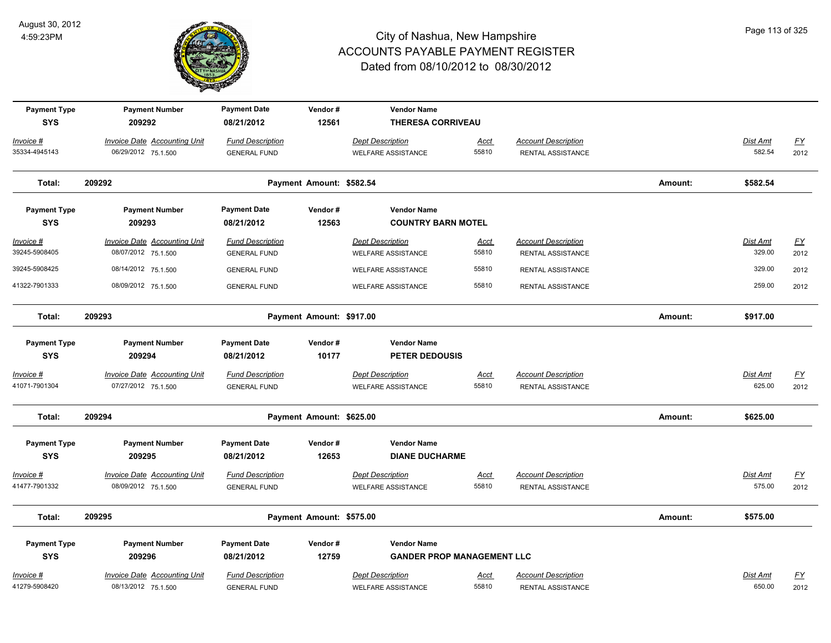

| <b>Payment Type</b><br><b>SYS</b> | <b>Payment Number</b><br>209292                            | <b>Payment Date</b><br>08/21/2012              | Vendor#<br>12561         | <b>Vendor Name</b><br><b>THERESA CORRIVEAU</b>       |                      |                                                 |         |                    |                           |
|-----------------------------------|------------------------------------------------------------|------------------------------------------------|--------------------------|------------------------------------------------------|----------------------|-------------------------------------------------|---------|--------------------|---------------------------|
| Invoice #                         | <b>Invoice Date Accounting Unit</b>                        | <b>Fund Description</b>                        |                          | <b>Dept Description</b>                              | Acct                 | <b>Account Description</b>                      |         | Dist Amt           | $\underline{FY}$          |
| 35334-4945143                     | 06/29/2012 75.1.500                                        | <b>GENERAL FUND</b>                            |                          | <b>WELFARE ASSISTANCE</b>                            | 55810                | RENTAL ASSISTANCE                               |         | 582.54             | 2012                      |
| Total:                            | 209292                                                     |                                                | Payment Amount: \$582.54 |                                                      |                      |                                                 | Amount: | \$582.54           |                           |
| <b>Payment Type</b>               | <b>Payment Number</b>                                      | <b>Payment Date</b>                            | Vendor#                  | <b>Vendor Name</b>                                   |                      |                                                 |         |                    |                           |
| <b>SYS</b>                        | 209293                                                     | 08/21/2012                                     | 12563                    | <b>COUNTRY BARN MOTEL</b>                            |                      |                                                 |         |                    |                           |
| $Invoice$ #<br>39245-5908405      | <b>Invoice Date Accounting Unit</b><br>08/07/2012 75.1.500 | <b>Fund Description</b><br><b>GENERAL FUND</b> |                          | <b>Dept Description</b><br><b>WELFARE ASSISTANCE</b> | <u>Acct</u><br>55810 | <b>Account Description</b><br>RENTAL ASSISTANCE |         | Dist Amt<br>329.00 | <u>FY</u><br>2012         |
| 39245-5908425                     | 08/14/2012 75.1.500                                        | <b>GENERAL FUND</b>                            |                          | <b>WELFARE ASSISTANCE</b>                            | 55810                | RENTAL ASSISTANCE                               |         | 329.00             | 2012                      |
| 41322-7901333                     | 08/09/2012 75.1.500                                        | <b>GENERAL FUND</b>                            |                          | <b>WELFARE ASSISTANCE</b>                            | 55810                | RENTAL ASSISTANCE                               |         | 259.00             | 2012                      |
| Total:                            | 209293                                                     |                                                | Payment Amount: \$917.00 |                                                      |                      |                                                 | Amount: | \$917.00           |                           |
| <b>Payment Type</b>               | <b>Payment Number</b>                                      | <b>Payment Date</b>                            | Vendor#                  | <b>Vendor Name</b>                                   |                      |                                                 |         |                    |                           |
| <b>SYS</b>                        | 209294                                                     | 08/21/2012                                     | 10177                    | <b>PETER DEDOUSIS</b>                                |                      |                                                 |         |                    |                           |
| Invoice #                         | <b>Invoice Date Accounting Unit</b>                        | <b>Fund Description</b>                        |                          | <b>Dept Description</b>                              | <u>Acct</u>          | <b>Account Description</b>                      |         | Dist Amt           | $\underline{FY}$          |
| 41071-7901304                     | 07/27/2012 75.1.500                                        | <b>GENERAL FUND</b>                            |                          | <b>WELFARE ASSISTANCE</b>                            | 55810                | RENTAL ASSISTANCE                               |         | 625.00             | 2012                      |
| Total:                            | 209294                                                     |                                                | Payment Amount: \$625.00 |                                                      |                      |                                                 | Amount: | \$625.00           |                           |
| <b>Payment Type</b>               | <b>Payment Number</b>                                      | <b>Payment Date</b>                            | Vendor#                  | <b>Vendor Name</b>                                   |                      |                                                 |         |                    |                           |
| <b>SYS</b>                        | 209295                                                     | 08/21/2012                                     | 12653                    | <b>DIANE DUCHARME</b>                                |                      |                                                 |         |                    |                           |
| Invoice #                         | Invoice Date Accounting Unit                               | <b>Fund Description</b>                        |                          | <b>Dept Description</b>                              | <u>Acct</u>          | <b>Account Description</b>                      |         | Dist Amt           | <u>FY</u>                 |
| 41477-7901332                     | 08/09/2012 75.1.500                                        | <b>GENERAL FUND</b>                            |                          | <b>WELFARE ASSISTANCE</b>                            | 55810                | RENTAL ASSISTANCE                               |         | 575.00             | 2012                      |
| Total:                            | 209295                                                     |                                                | Payment Amount: \$575.00 |                                                      |                      |                                                 | Amount: | \$575.00           |                           |
| <b>Payment Type</b>               | <b>Payment Number</b>                                      | <b>Payment Date</b>                            | Vendor#                  | <b>Vendor Name</b>                                   |                      |                                                 |         |                    |                           |
| <b>SYS</b>                        | 209296                                                     | 08/21/2012                                     | 12759                    | <b>GANDER PROP MANAGEMENT LLC</b>                    |                      |                                                 |         |                    |                           |
| Invoice #                         | Invoice Date Accounting Unit                               | <b>Fund Description</b>                        |                          | <b>Dept Description</b>                              | <u>Acct</u>          | <b>Account Description</b>                      |         | Dist Amt           | $\underline{\mathsf{FY}}$ |
| 41279-5908420                     | 08/13/2012 75.1.500                                        | <b>GENERAL FUND</b>                            |                          | <b>WELFARE ASSISTANCE</b>                            | 55810                | RENTAL ASSISTANCE                               |         | 650.00             | 2012                      |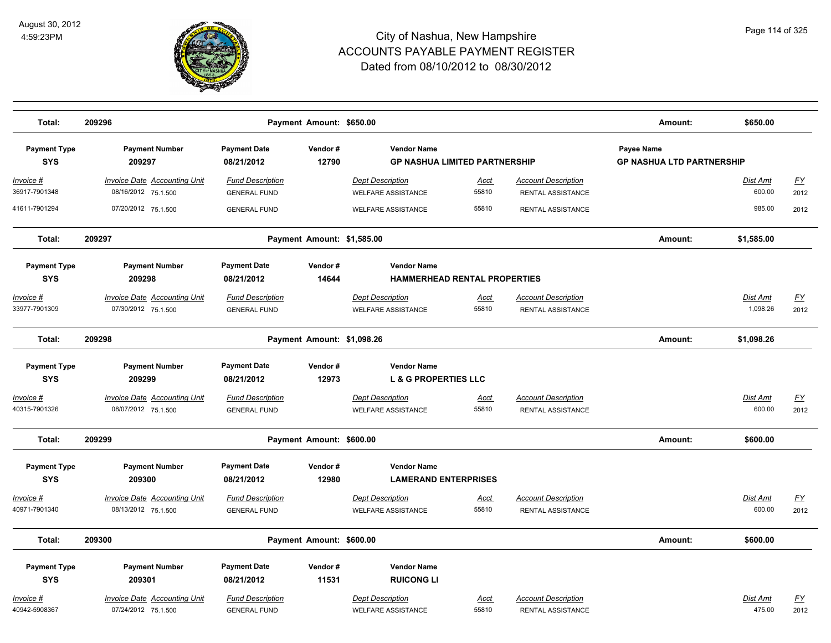

| Total:                            | 209296                                                      |                                                | Payment Amount: \$650.00   |                                                            |                      |                                                 | Amount:                                               | \$650.00                  |            |
|-----------------------------------|-------------------------------------------------------------|------------------------------------------------|----------------------------|------------------------------------------------------------|----------------------|-------------------------------------------------|-------------------------------------------------------|---------------------------|------------|
| <b>Payment Type</b><br><b>SYS</b> | <b>Payment Number</b><br>209297                             | <b>Payment Date</b><br>08/21/2012              | Vendor#<br>12790           | <b>Vendor Name</b><br><b>GP NASHUA LIMITED PARTNERSHIP</b> |                      |                                                 | <b>Payee Name</b><br><b>GP NASHUA LTD PARTNERSHIP</b> |                           |            |
| <u>Invoice #</u><br>36917-7901348 | <u> Invoice Date Accounting Unit</u><br>08/16/2012 75.1.500 | <b>Fund Description</b><br><b>GENERAL FUND</b> |                            | <b>Dept Description</b><br><b>WELFARE ASSISTANCE</b>       | <u>Acct</u><br>55810 | <b>Account Description</b><br>RENTAL ASSISTANCE |                                                       | <u>Dist Amt</u><br>600.00 | EY<br>2012 |
| 41611-7901294                     | 07/20/2012 75.1.500                                         | <b>GENERAL FUND</b>                            |                            | <b>WELFARE ASSISTANCE</b>                                  | 55810                | RENTAL ASSISTANCE                               |                                                       | 985.00                    | 2012       |
| Total:                            | 209297                                                      |                                                | Payment Amount: \$1,585.00 |                                                            |                      |                                                 | Amount:                                               | \$1,585.00                |            |
| <b>Payment Type</b>               | <b>Payment Number</b>                                       | <b>Payment Date</b>                            | Vendor#                    | <b>Vendor Name</b>                                         |                      |                                                 |                                                       |                           |            |
| <b>SYS</b>                        | 209298                                                      | 08/21/2012                                     | 14644                      | <b>HAMMERHEAD RENTAL PROPERTIES</b>                        |                      |                                                 |                                                       |                           |            |
| Invoice #                         | <b>Invoice Date Accounting Unit</b>                         | <b>Fund Description</b>                        |                            | <b>Dept Description</b>                                    | Acct                 | <b>Account Description</b>                      |                                                       | Dist Amt                  | <u>FY</u>  |
| 33977-7901309                     | 07/30/2012 75.1.500                                         | <b>GENERAL FUND</b>                            |                            | <b>WELFARE ASSISTANCE</b>                                  | 55810                | RENTAL ASSISTANCE                               |                                                       | 1,098.26                  | 2012       |
| Total:                            | 209298                                                      |                                                | Payment Amount: \$1,098.26 |                                                            |                      |                                                 | Amount:                                               | \$1,098.26                |            |
| <b>Payment Type</b>               | <b>Payment Number</b>                                       | <b>Payment Date</b>                            | Vendor#                    | <b>Vendor Name</b>                                         |                      |                                                 |                                                       |                           |            |
| <b>SYS</b>                        | 209299                                                      | 08/21/2012                                     | 12973                      | <b>L &amp; G PROPERTIES LLC</b>                            |                      |                                                 |                                                       |                           |            |
| Invoice #                         | <b>Invoice Date Accounting Unit</b>                         | <b>Fund Description</b>                        |                            | <b>Dept Description</b>                                    | <u>Acct</u>          | <b>Account Description</b>                      |                                                       | Dist Amt                  | EY         |
| 40315-7901326                     | 08/07/2012 75.1.500                                         | <b>GENERAL FUND</b>                            |                            | <b>WELFARE ASSISTANCE</b>                                  | 55810                | RENTAL ASSISTANCE                               |                                                       | 600.00                    | 2012       |
| Total:                            | 209299                                                      |                                                | Payment Amount: \$600.00   |                                                            |                      |                                                 | Amount:                                               | \$600.00                  |            |
| <b>Payment Type</b>               | <b>Payment Number</b>                                       | <b>Payment Date</b>                            | Vendor#                    | <b>Vendor Name</b>                                         |                      |                                                 |                                                       |                           |            |
| <b>SYS</b>                        | 209300                                                      | 08/21/2012                                     | 12980                      | <b>LAMERAND ENTERPRISES</b>                                |                      |                                                 |                                                       |                           |            |
| Invoice #                         | <b>Invoice Date Accounting Unit</b>                         | <b>Fund Description</b>                        |                            | <b>Dept Description</b>                                    | <b>Acct</b>          | <b>Account Description</b>                      |                                                       | Dist Amt                  | EY         |
| 40971-7901340                     | 08/13/2012 75.1.500                                         | <b>GENERAL FUND</b>                            |                            | <b>WELFARE ASSISTANCE</b>                                  | 55810                | RENTAL ASSISTANCE                               |                                                       | 600.00                    | 2012       |
| Total:                            | 209300                                                      |                                                | Payment Amount: \$600.00   |                                                            |                      |                                                 | Amount:                                               | \$600.00                  |            |
|                                   |                                                             |                                                |                            |                                                            |                      |                                                 |                                                       |                           |            |
| <b>Payment Type</b><br><b>SYS</b> | <b>Payment Number</b>                                       | <b>Payment Date</b>                            | Vendor#                    | <b>Vendor Name</b>                                         |                      |                                                 |                                                       |                           |            |
|                                   | 209301                                                      | 08/21/2012                                     | 11531                      | <b>RUICONG LI</b>                                          |                      |                                                 |                                                       |                           |            |
| Invoice #                         | Invoice Date Accounting Unit                                | <b>Fund Description</b>                        |                            | <b>Dept Description</b>                                    | <u>Acct</u>          | <b>Account Description</b>                      |                                                       | Dist Amt                  | EY         |
| 40942-5908367                     | 07/24/2012 75.1.500                                         | <b>GENERAL FUND</b>                            |                            | <b>WELFARE ASSISTANCE</b>                                  | 55810                | RENTAL ASSISTANCE                               |                                                       | 475.00                    | 2012       |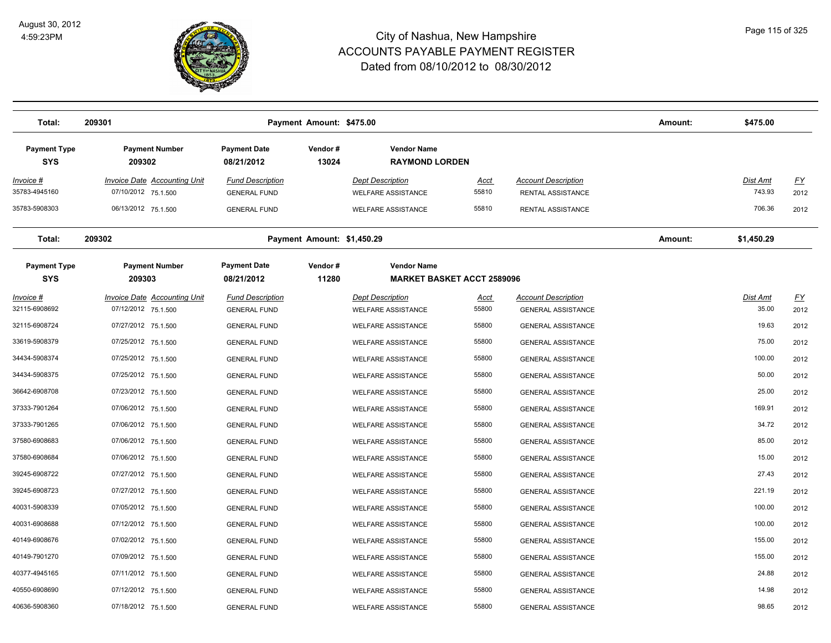

| Total:                            | 209301                                                     |                                                | Payment Amount: \$475.00   |                                                      |                                   |                                                         | Amount: | \$475.00                  |                   |
|-----------------------------------|------------------------------------------------------------|------------------------------------------------|----------------------------|------------------------------------------------------|-----------------------------------|---------------------------------------------------------|---------|---------------------------|-------------------|
| <b>Payment Type</b><br><b>SYS</b> | <b>Payment Number</b><br>209302                            | <b>Payment Date</b><br>08/21/2012              | Vendor#<br>13024           | <b>Vendor Name</b><br><b>RAYMOND LORDEN</b>          |                                   |                                                         |         |                           |                   |
| <u>Invoice #</u><br>35783-4945160 | <b>Invoice Date Accounting Unit</b><br>07/10/2012 75.1.500 | <b>Fund Description</b><br><b>GENERAL FUND</b> |                            | <b>Dept Description</b><br>WELFARE ASSISTANCE        | <u>Acct</u><br>55810              | <b>Account Description</b><br>RENTAL ASSISTANCE         |         | <u>Dist Amt</u><br>743.93 | <u>FY</u><br>2012 |
| 35783-5908303                     | 06/13/2012 75.1.500                                        | <b>GENERAL FUND</b>                            |                            | <b>WELFARE ASSISTANCE</b>                            | 55810                             | <b>RENTAL ASSISTANCE</b>                                |         | 706.36                    | 2012              |
| Total:                            | 209302                                                     |                                                | Payment Amount: \$1,450.29 |                                                      |                                   |                                                         | Amount: | \$1,450.29                |                   |
| <b>Payment Type</b><br><b>SYS</b> | <b>Payment Number</b><br>209303                            | <b>Payment Date</b><br>08/21/2012              | Vendor#<br>11280           | <b>Vendor Name</b>                                   | <b>MARKET BASKET ACCT 2589096</b> |                                                         |         |                           |                   |
| Invoice #<br>32115-6908692        | <b>Invoice Date Accounting Unit</b><br>07/12/2012 75.1.500 | <b>Fund Description</b><br><b>GENERAL FUND</b> |                            | <b>Dept Description</b><br><b>WELFARE ASSISTANCE</b> | <u>Acct</u><br>55800              | <b>Account Description</b><br><b>GENERAL ASSISTANCE</b> |         | Dist Amt<br>35.00         | EY<br>2012        |
| 32115-6908724                     | 07/27/2012 75.1.500                                        | <b>GENERAL FUND</b>                            |                            | <b>WELFARE ASSISTANCE</b>                            | 55800                             | <b>GENERAL ASSISTANCE</b>                               |         | 19.63                     | 2012              |
| 33619-5908379                     | 07/25/2012 75.1.500                                        | <b>GENERAL FUND</b>                            |                            | <b>WELFARE ASSISTANCE</b>                            | 55800                             | <b>GENERAL ASSISTANCE</b>                               |         | 75.00                     | 2012              |
| 34434-5908374                     | 07/25/2012 75.1.500                                        | <b>GENERAL FUND</b>                            |                            | <b>WELFARE ASSISTANCE</b>                            | 55800                             | <b>GENERAL ASSISTANCE</b>                               |         | 100.00                    | 2012              |
| 34434-5908375                     | 07/25/2012 75.1.500                                        | <b>GENERAL FUND</b>                            |                            | <b>WELFARE ASSISTANCE</b>                            | 55800                             | <b>GENERAL ASSISTANCE</b>                               |         | 50.00                     | 2012              |
| 36642-6908708                     | 07/23/2012 75.1.500                                        | <b>GENERAL FUND</b>                            |                            | <b>WELFARE ASSISTANCE</b>                            | 55800                             | <b>GENERAL ASSISTANCE</b>                               |         | 25.00                     | 2012              |
| 37333-7901264                     | 07/06/2012 75.1.500                                        | <b>GENERAL FUND</b>                            |                            | <b>WELFARE ASSISTANCE</b>                            | 55800                             | <b>GENERAL ASSISTANCE</b>                               |         | 169.91                    | 2012              |
| 37333-7901265                     | 07/06/2012 75.1.500                                        | <b>GENERAL FUND</b>                            |                            | <b>WELFARE ASSISTANCE</b>                            | 55800                             | <b>GENERAL ASSISTANCE</b>                               |         | 34.72                     | 2012              |
| 37580-6908683                     | 07/06/2012 75.1.500                                        | <b>GENERAL FUND</b>                            |                            | <b>WELFARE ASSISTANCE</b>                            | 55800                             | <b>GENERAL ASSISTANCE</b>                               |         | 85.00                     | 2012              |
| 37580-6908684                     | 07/06/2012 75.1.500                                        | <b>GENERAL FUND</b>                            |                            | <b>WELFARE ASSISTANCE</b>                            | 55800                             | <b>GENERAL ASSISTANCE</b>                               |         | 15.00                     | 2012              |
| 39245-6908722                     | 07/27/2012 75.1.500                                        | <b>GENERAL FUND</b>                            |                            | <b>WELFARE ASSISTANCE</b>                            | 55800                             | <b>GENERAL ASSISTANCE</b>                               |         | 27.43                     | 2012              |
| 39245-6908723                     | 07/27/2012 75.1.500                                        | <b>GENERAL FUND</b>                            |                            | <b>WELFARE ASSISTANCE</b>                            | 55800                             | <b>GENERAL ASSISTANCE</b>                               |         | 221.19                    | 2012              |
| 40031-5908339                     | 07/05/2012 75.1.500                                        | <b>GENERAL FUND</b>                            |                            | <b>WELFARE ASSISTANCE</b>                            | 55800                             | <b>GENERAL ASSISTANCE</b>                               |         | 100.00                    | 2012              |
| 40031-6908688                     | 07/12/2012 75.1.500                                        | <b>GENERAL FUND</b>                            |                            | <b>WELFARE ASSISTANCE</b>                            | 55800                             | <b>GENERAL ASSISTANCE</b>                               |         | 100.00                    | 2012              |
| 40149-6908676                     | 07/02/2012 75.1.500                                        | <b>GENERAL FUND</b>                            |                            | <b>WELFARE ASSISTANCE</b>                            | 55800                             | <b>GENERAL ASSISTANCE</b>                               |         | 155.00                    | 2012              |
| 40149-7901270                     | 07/09/2012 75.1.500                                        | <b>GENERAL FUND</b>                            |                            | <b>WELFARE ASSISTANCE</b>                            | 55800                             | <b>GENERAL ASSISTANCE</b>                               |         | 155.00                    | 2012              |
| 40377-4945165                     | 07/11/2012 75.1.500                                        | <b>GENERAL FUND</b>                            |                            | <b>WELFARE ASSISTANCE</b>                            | 55800                             | <b>GENERAL ASSISTANCE</b>                               |         | 24.88                     | 2012              |
| 40550-6908690                     | 07/12/2012 75.1.500                                        | <b>GENERAL FUND</b>                            |                            | <b>WELFARE ASSISTANCE</b>                            | 55800                             | <b>GENERAL ASSISTANCE</b>                               |         | 14.98                     | 2012              |
| 40636-5908360                     | 07/18/2012 75.1.500                                        | <b>GENERAL FUND</b>                            |                            | <b>WELFARE ASSISTANCE</b>                            | 55800                             | <b>GENERAL ASSISTANCE</b>                               |         | 98.65                     | 2012              |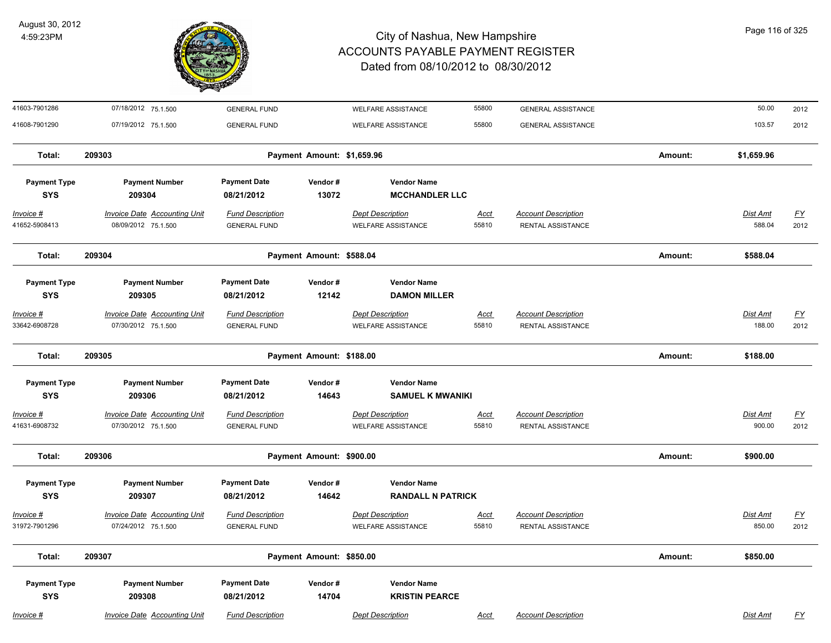

| 41603-7901286                     | 07/18/2012 75.1.500                                        | <b>GENERAL FUND</b>                            |                            | <b>WELFARE ASSISTANCE</b>                            | 55800                | <b>GENERAL ASSISTANCE</b>                       |         | 50.00              | 2012                     |
|-----------------------------------|------------------------------------------------------------|------------------------------------------------|----------------------------|------------------------------------------------------|----------------------|-------------------------------------------------|---------|--------------------|--------------------------|
| 41608-7901290                     | 07/19/2012 75.1.500                                        | <b>GENERAL FUND</b>                            |                            | <b>WELFARE ASSISTANCE</b>                            | 55800                | <b>GENERAL ASSISTANCE</b>                       |         | 103.57             | 2012                     |
| Total:                            | 209303                                                     |                                                | Payment Amount: \$1,659.96 |                                                      |                      |                                                 | Amount: | \$1,659.96         |                          |
| <b>Payment Type</b><br><b>SYS</b> | <b>Payment Number</b><br>209304                            | <b>Payment Date</b><br>08/21/2012              | Vendor#<br>13072           | <b>Vendor Name</b><br><b>MCCHANDLER LLC</b>          |                      |                                                 |         |                    |                          |
| Invoice #<br>41652-5908413        | <b>Invoice Date Accounting Unit</b><br>08/09/2012 75.1.500 | <b>Fund Description</b><br><b>GENERAL FUND</b> |                            | <b>Dept Description</b><br><b>WELFARE ASSISTANCE</b> | <u>Acct</u><br>55810 | <b>Account Description</b><br>RENTAL ASSISTANCE |         | Dist Amt<br>588.04 | EY<br>2012               |
| Total:                            | 209304                                                     |                                                | Payment Amount: \$588.04   |                                                      |                      |                                                 | Amount: | \$588.04           |                          |
| <b>Payment Type</b><br><b>SYS</b> | <b>Payment Number</b><br>209305                            | <b>Payment Date</b><br>08/21/2012              | Vendor#<br>12142           | <b>Vendor Name</b><br><b>DAMON MILLER</b>            |                      |                                                 |         |                    |                          |
| Invoice #<br>33642-6908728        | <b>Invoice Date Accounting Unit</b><br>07/30/2012 75.1.500 | <b>Fund Description</b><br><b>GENERAL FUND</b> |                            | <b>Dept Description</b><br>WELFARE ASSISTANCE        | Acct<br>55810        | <b>Account Description</b><br>RENTAL ASSISTANCE |         | Dist Amt<br>188.00 | $\underline{FY}$<br>2012 |
| Total:                            | 209305                                                     |                                                | Payment Amount: \$188.00   |                                                      |                      |                                                 | Amount: | \$188.00           |                          |
| <b>Payment Type</b><br><b>SYS</b> | <b>Payment Number</b><br>209306                            | <b>Payment Date</b><br>08/21/2012              | Vendor#<br>14643           | <b>Vendor Name</b><br><b>SAMUEL K MWANIKI</b>        |                      |                                                 |         |                    |                          |
| Invoice #<br>41631-6908732        | Invoice Date Accounting Unit<br>07/30/2012 75.1.500        | <b>Fund Description</b><br><b>GENERAL FUND</b> |                            | <b>Dept Description</b><br><b>WELFARE ASSISTANCE</b> | <u>Acct</u><br>55810 | <b>Account Description</b><br>RENTAL ASSISTANCE |         | Dist Amt<br>900.00 | <u>FY</u><br>2012        |
| Total:                            | 209306                                                     |                                                | Payment Amount: \$900.00   |                                                      |                      |                                                 | Amount: | \$900.00           |                          |
| <b>Payment Type</b><br><b>SYS</b> | <b>Payment Number</b><br>209307                            | <b>Payment Date</b><br>08/21/2012              | Vendor#<br>14642           | <b>Vendor Name</b><br><b>RANDALL N PATRICK</b>       |                      |                                                 |         |                    |                          |
| Invoice #<br>31972-7901296        | <b>Invoice Date Accounting Unit</b><br>07/24/2012 75.1.500 | <b>Fund Description</b><br><b>GENERAL FUND</b> |                            | <b>Dept Description</b><br><b>WELFARE ASSISTANCE</b> | <u>Acct</u><br>55810 | <b>Account Description</b><br>RENTAL ASSISTANCE |         | Dist Amt<br>850.00 | $FY$<br>2012             |
| Total:                            | 209307                                                     |                                                | Payment Amount: \$850.00   |                                                      |                      |                                                 | Amount: | \$850.00           |                          |
| <b>Payment Type</b><br><b>SYS</b> | <b>Payment Number</b><br>209308                            | <b>Payment Date</b><br>08/21/2012              | Vendor#<br>14704           | <b>Vendor Name</b><br><b>KRISTIN PEARCE</b>          |                      |                                                 |         |                    |                          |
| Invoice #                         | Invoice Date Accounting Unit                               | <b>Fund Description</b>                        |                            | <b>Dept Description</b>                              | Acct                 | <b>Account Description</b>                      |         | Dist Amt           | FY                       |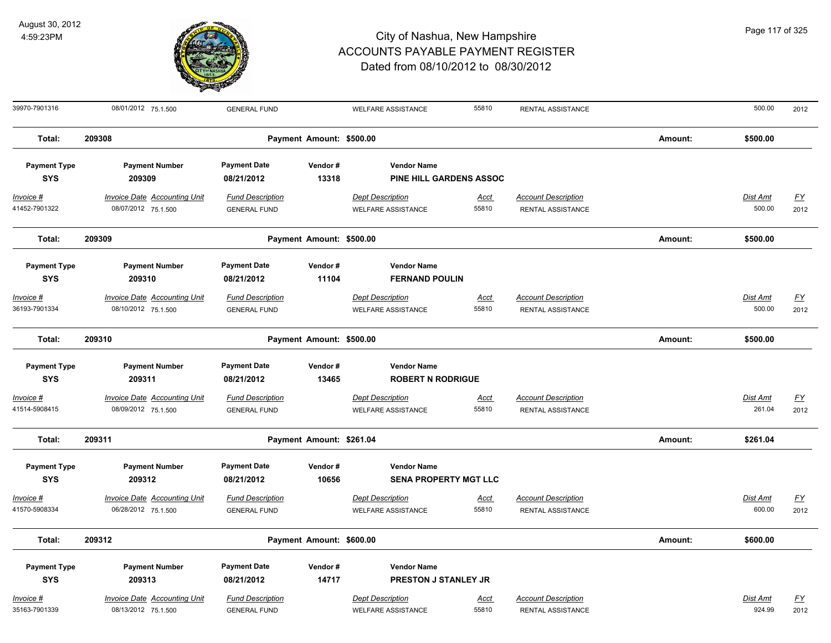

| 39970-7901316                     | 08/01/2012 75.1.500                                        | <b>GENERAL FUND</b>                            |                          | <b>WELFARE ASSISTANCE</b>                            | 55810                | RENTAL ASSISTANCE                               |         | 500.00                    | 2012              |
|-----------------------------------|------------------------------------------------------------|------------------------------------------------|--------------------------|------------------------------------------------------|----------------------|-------------------------------------------------|---------|---------------------------|-------------------|
| Total:                            | 209308                                                     |                                                | Payment Amount: \$500.00 |                                                      |                      |                                                 | Amount: | \$500.00                  |                   |
| <b>Payment Type</b><br><b>SYS</b> | <b>Payment Number</b><br>209309                            | <b>Payment Date</b><br>08/21/2012              | Vendor#<br>13318         | <b>Vendor Name</b><br><b>PINE HILL GARDENS ASSOC</b> |                      |                                                 |         |                           |                   |
| Invoice #<br>41452-7901322        | <b>Invoice Date Accounting Unit</b><br>08/07/2012 75.1.500 | <b>Fund Description</b><br><b>GENERAL FUND</b> |                          | <b>Dept Description</b><br><b>WELFARE ASSISTANCE</b> | <u>Acct</u><br>55810 | <b>Account Description</b><br>RENTAL ASSISTANCE |         | <b>Dist Amt</b><br>500.00 | <u>FY</u><br>2012 |
| Total:                            | 209309                                                     |                                                | Payment Amount: \$500.00 |                                                      |                      |                                                 | Amount: | \$500.00                  |                   |
| <b>Payment Type</b><br><b>SYS</b> | <b>Payment Number</b><br>209310                            | <b>Payment Date</b><br>08/21/2012              | Vendor#<br>11104         | <b>Vendor Name</b><br><b>FERNAND POULIN</b>          |                      |                                                 |         |                           |                   |
| Invoice #<br>36193-7901334        | <b>Invoice Date Accounting Unit</b><br>08/10/2012 75.1.500 | <b>Fund Description</b><br><b>GENERAL FUND</b> |                          | <b>Dept Description</b><br><b>WELFARE ASSISTANCE</b> | Acct<br>55810        | <b>Account Description</b><br>RENTAL ASSISTANCE |         | Dist Amt<br>500.00        | EY<br>2012        |
| Total:                            | 209310                                                     |                                                | Payment Amount: \$500.00 |                                                      |                      |                                                 | Amount: | \$500.00                  |                   |
| <b>Payment Type</b><br><b>SYS</b> | <b>Payment Number</b><br>209311                            | <b>Payment Date</b><br>08/21/2012              | Vendor#<br>13465         | <b>Vendor Name</b><br><b>ROBERT N RODRIGUE</b>       |                      |                                                 |         |                           |                   |
| Invoice #<br>41514-5908415        | Invoice Date Accounting Unit<br>08/09/2012 75.1.500        | <b>Fund Description</b><br><b>GENERAL FUND</b> |                          | <b>Dept Description</b><br><b>WELFARE ASSISTANCE</b> | Acct<br>55810        | <b>Account Description</b><br>RENTAL ASSISTANCE |         | Dist Amt<br>261.04        | <u>FY</u><br>2012 |
| Total:                            | 209311                                                     |                                                | Payment Amount: \$261.04 |                                                      |                      |                                                 | Amount: | \$261.04                  |                   |
| <b>Payment Type</b><br><b>SYS</b> | <b>Payment Number</b><br>209312                            | <b>Payment Date</b><br>08/21/2012              | Vendor#<br>10656         | <b>Vendor Name</b><br><b>SENA PROPERTY MGT LLC</b>   |                      |                                                 |         |                           |                   |
| Invoice #<br>41570-5908334        | Invoice Date Accounting Unit<br>06/28/2012 75.1.500        | <b>Fund Description</b><br><b>GENERAL FUND</b> |                          | <b>Dept Description</b><br><b>WELFARE ASSISTANCE</b> | Acct<br>55810        | <b>Account Description</b><br>RENTAL ASSISTANCE |         | Dist Amt<br>600.00        | <u>FY</u><br>2012 |
| Total:                            | 209312                                                     |                                                | Payment Amount: \$600.00 |                                                      |                      |                                                 | Amount: | \$600.00                  |                   |
| <b>Payment Type</b><br><b>SYS</b> | <b>Payment Number</b><br>209313                            | <b>Payment Date</b><br>08/21/2012              | Vendor#<br>14717         | <b>Vendor Name</b><br>PRESTON J STANLEY JR           |                      |                                                 |         |                           |                   |
| Invoice #<br>35163-7901339        | <b>Invoice Date Accounting Unit</b><br>08/13/2012 75.1.500 | <b>Fund Description</b><br><b>GENERAL FUND</b> |                          | <b>Dept Description</b><br><b>WELFARE ASSISTANCE</b> | <u>Acct</u><br>55810 | <b>Account Description</b><br>RENTAL ASSISTANCE |         | Dist Amt<br>924.99        | <u>FY</u><br>2012 |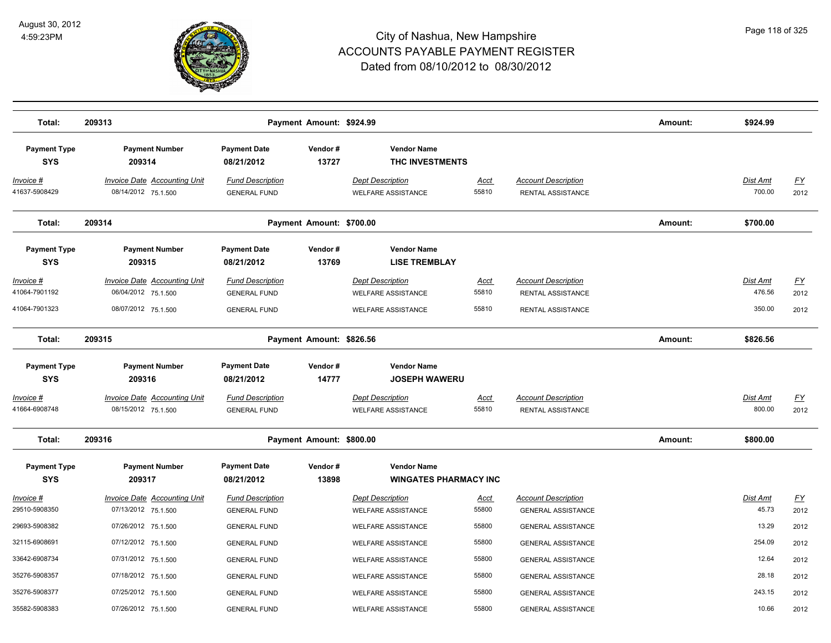

| Total:                             | 209313                                                     |                                                | Payment Amount: \$924.99 |                                                      |                      |                                                         | Amount: | \$924.99                  |                   |
|------------------------------------|------------------------------------------------------------|------------------------------------------------|--------------------------|------------------------------------------------------|----------------------|---------------------------------------------------------|---------|---------------------------|-------------------|
| <b>Payment Type</b><br><b>SYS</b>  | <b>Payment Number</b><br>209314                            | <b>Payment Date</b><br>08/21/2012              | Vendor#<br>13727         | <b>Vendor Name</b><br>THC INVESTMENTS                |                      |                                                         |         |                           |                   |
| <u>Invoice #</u><br>41637-5908429  | <b>Invoice Date Accounting Unit</b><br>08/14/2012 75.1.500 | <b>Fund Description</b><br><b>GENERAL FUND</b> |                          | <b>Dept Description</b><br><b>WELFARE ASSISTANCE</b> | <u>Acct</u><br>55810 | <b>Account Description</b><br>RENTAL ASSISTANCE         |         | Dist Amt<br>700.00        | <u>FY</u><br>2012 |
| Total:                             | 209314                                                     |                                                | Payment Amount: \$700.00 |                                                      |                      |                                                         | Amount: | \$700.00                  |                   |
| <b>Payment Type</b><br><b>SYS</b>  | <b>Payment Number</b><br>209315                            | <b>Payment Date</b><br>08/21/2012              | Vendor#<br>13769         | <b>Vendor Name</b><br><b>LISE TREMBLAY</b>           |                      |                                                         |         |                           |                   |
| <u> Invoice #</u><br>41064-7901192 | <b>Invoice Date Accounting Unit</b><br>06/04/2012 75.1.500 | <b>Fund Description</b><br><b>GENERAL FUND</b> |                          | <b>Dept Description</b><br><b>WELFARE ASSISTANCE</b> | <u>Acct</u><br>55810 | <b>Account Description</b><br>RENTAL ASSISTANCE         |         | <b>Dist Amt</b><br>476.56 | <u>FY</u><br>2012 |
| 41064-7901323                      | 08/07/2012 75.1.500                                        | <b>GENERAL FUND</b>                            |                          | <b>WELFARE ASSISTANCE</b>                            | 55810                | RENTAL ASSISTANCE                                       |         | 350.00                    | 2012              |
| Total:                             | 209315                                                     |                                                | Payment Amount: \$826.56 |                                                      |                      |                                                         | Amount: | \$826.56                  |                   |
| <b>Payment Type</b><br><b>SYS</b>  | <b>Payment Number</b><br>209316                            | <b>Payment Date</b><br>08/21/2012              | Vendor#<br>14777         | <b>Vendor Name</b><br><b>JOSEPH WAWERU</b>           |                      |                                                         |         |                           |                   |
| <u> Invoice #</u><br>41664-6908748 | <b>Invoice Date Accounting Unit</b><br>08/15/2012 75.1.500 | <b>Fund Description</b><br><b>GENERAL FUND</b> |                          | <b>Dept Description</b><br><b>WELFARE ASSISTANCE</b> | <u>Acct</u><br>55810 | <b>Account Description</b><br>RENTAL ASSISTANCE         |         | <b>Dist Amt</b><br>800.00 | <u>FY</u><br>2012 |
| Total:                             | 209316                                                     |                                                | Payment Amount: \$800.00 |                                                      |                      |                                                         | Amount: | \$800.00                  |                   |
| <b>Payment Type</b><br><b>SYS</b>  | <b>Payment Number</b><br>209317                            | <b>Payment Date</b><br>08/21/2012              | Vendor#<br>13898         | <b>Vendor Name</b><br><b>WINGATES PHARMACY INC</b>   |                      |                                                         |         |                           |                   |
| <u> Invoice #</u><br>29510-5908350 | <b>Invoice Date Accounting Unit</b><br>07/13/2012 75.1.500 | <b>Fund Description</b><br><b>GENERAL FUND</b> |                          | <b>Dept Description</b><br><b>WELFARE ASSISTANCE</b> | Acct<br>55800        | <b>Account Description</b><br><b>GENERAL ASSISTANCE</b> |         | <b>Dist Amt</b><br>45.73  | <u>FY</u><br>2012 |
| 29693-5908382                      | 07/26/2012 75.1.500                                        | <b>GENERAL FUND</b>                            |                          | <b>WELFARE ASSISTANCE</b>                            | 55800                | <b>GENERAL ASSISTANCE</b>                               |         | 13.29                     | 2012              |
| 32115-6908691                      | 07/12/2012 75.1.500                                        | <b>GENERAL FUND</b>                            |                          | <b>WELFARE ASSISTANCE</b>                            | 55800                | <b>GENERAL ASSISTANCE</b>                               |         | 254.09                    | 2012              |
| 33642-6908734                      | 07/31/2012 75.1.500                                        | <b>GENERAL FUND</b>                            |                          | <b>WELFARE ASSISTANCE</b>                            | 55800                | <b>GENERAL ASSISTANCE</b>                               |         | 12.64                     | 2012              |
| 35276-5908357                      | 07/18/2012 75.1.500                                        | <b>GENERAL FUND</b>                            |                          | <b>WELFARE ASSISTANCE</b>                            | 55800                | <b>GENERAL ASSISTANCE</b>                               |         | 28.18                     | 2012              |
| 35276-5908377                      | 07/25/2012 75.1.500                                        | <b>GENERAL FUND</b>                            |                          | <b>WELFARE ASSISTANCE</b>                            | 55800                | <b>GENERAL ASSISTANCE</b>                               |         | 243.15                    | 2012              |
| 35582-5908383                      | 07/26/2012 75.1.500                                        | <b>GENERAL FUND</b>                            |                          | <b>WELFARE ASSISTANCE</b>                            | 55800                | <b>GENERAL ASSISTANCE</b>                               |         | 10.66                     | 2012              |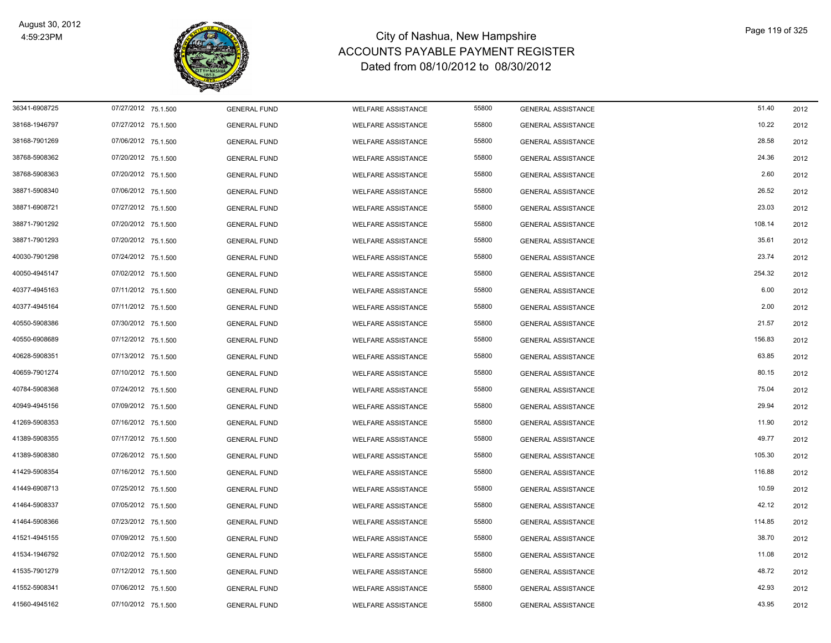

| 36341-6908725 | 07/27/2012 75.1.500 | <b>GENERAL FUND</b> | WELFARE ASSISTANCE        | 55800 | <b>GENERAL ASSISTANCE</b> | 51.40  | 2012 |
|---------------|---------------------|---------------------|---------------------------|-------|---------------------------|--------|------|
| 38168-1946797 | 07/27/2012 75.1.500 | <b>GENERAL FUND</b> | <b>WELFARE ASSISTANCE</b> | 55800 | <b>GENERAL ASSISTANCE</b> | 10.22  | 2012 |
| 38168-7901269 | 07/06/2012 75.1.500 | <b>GENERAL FUND</b> | <b>WELFARE ASSISTANCE</b> | 55800 | <b>GENERAL ASSISTANCE</b> | 28.58  | 2012 |
| 38768-5908362 | 07/20/2012 75.1.500 | <b>GENERAL FUND</b> | <b>WELFARE ASSISTANCE</b> | 55800 | <b>GENERAL ASSISTANCE</b> | 24.36  | 2012 |
| 38768-5908363 | 07/20/2012 75.1.500 | <b>GENERAL FUND</b> | <b>WELFARE ASSISTANCE</b> | 55800 | <b>GENERAL ASSISTANCE</b> | 2.60   | 2012 |
| 38871-5908340 | 07/06/2012 75.1.500 | <b>GENERAL FUND</b> | <b>WELFARE ASSISTANCE</b> | 55800 | <b>GENERAL ASSISTANCE</b> | 26.52  | 2012 |
| 38871-6908721 | 07/27/2012 75.1.500 | <b>GENERAL FUND</b> | <b>WELFARE ASSISTANCE</b> | 55800 | <b>GENERAL ASSISTANCE</b> | 23.03  | 2012 |
| 38871-7901292 | 07/20/2012 75.1.500 | <b>GENERAL FUND</b> | <b>WELFARE ASSISTANCE</b> | 55800 | <b>GENERAL ASSISTANCE</b> | 108.14 | 2012 |
| 38871-7901293 | 07/20/2012 75.1.500 | <b>GENERAL FUND</b> | <b>WELFARE ASSISTANCE</b> | 55800 | <b>GENERAL ASSISTANCE</b> | 35.61  | 2012 |
| 40030-7901298 | 07/24/2012 75.1.500 | <b>GENERAL FUND</b> | <b>WELFARE ASSISTANCE</b> | 55800 | <b>GENERAL ASSISTANCE</b> | 23.74  | 2012 |
| 40050-4945147 | 07/02/2012 75.1.500 | <b>GENERAL FUND</b> | WELFARE ASSISTANCE        | 55800 | <b>GENERAL ASSISTANCE</b> | 254.32 | 2012 |
| 40377-4945163 | 07/11/2012 75.1.500 | <b>GENERAL FUND</b> | WELFARE ASSISTANCE        | 55800 | <b>GENERAL ASSISTANCE</b> | 6.00   | 2012 |
| 40377-4945164 | 07/11/2012 75.1.500 | <b>GENERAL FUND</b> | <b>WELFARE ASSISTANCE</b> | 55800 | <b>GENERAL ASSISTANCE</b> | 2.00   | 2012 |
| 40550-5908386 | 07/30/2012 75.1.500 | <b>GENERAL FUND</b> | <b>WELFARE ASSISTANCE</b> | 55800 | <b>GENERAL ASSISTANCE</b> | 21.57  | 2012 |
| 40550-6908689 | 07/12/2012 75.1.500 | <b>GENERAL FUND</b> | <b>WELFARE ASSISTANCE</b> | 55800 | <b>GENERAL ASSISTANCE</b> | 156.83 | 2012 |
| 40628-5908351 | 07/13/2012 75.1.500 | <b>GENERAL FUND</b> | <b>WELFARE ASSISTANCE</b> | 55800 | <b>GENERAL ASSISTANCE</b> | 63.85  | 2012 |
| 40659-7901274 | 07/10/2012 75.1.500 | <b>GENERAL FUND</b> | <b>WELFARE ASSISTANCE</b> | 55800 | <b>GENERAL ASSISTANCE</b> | 80.15  | 2012 |
| 40784-5908368 | 07/24/2012 75.1.500 | <b>GENERAL FUND</b> | <b>WELFARE ASSISTANCE</b> | 55800 | <b>GENERAL ASSISTANCE</b> | 75.04  | 2012 |
| 40949-4945156 | 07/09/2012 75.1.500 | <b>GENERAL FUND</b> | <b>WELFARE ASSISTANCE</b> | 55800 | <b>GENERAL ASSISTANCE</b> | 29.94  | 2012 |
| 41269-5908353 | 07/16/2012 75.1.500 | <b>GENERAL FUND</b> | <b>WELFARE ASSISTANCE</b> | 55800 | <b>GENERAL ASSISTANCE</b> | 11.90  | 2012 |
| 41389-5908355 | 07/17/2012 75.1.500 | <b>GENERAL FUND</b> | WELFARE ASSISTANCE        | 55800 | <b>GENERAL ASSISTANCE</b> | 49.77  | 2012 |
| 41389-5908380 | 07/26/2012 75.1.500 | <b>GENERAL FUND</b> | WELFARE ASSISTANCE        | 55800 | <b>GENERAL ASSISTANCE</b> | 105.30 | 2012 |
| 41429-5908354 | 07/16/2012 75.1.500 | <b>GENERAL FUND</b> | <b>WELFARE ASSISTANCE</b> | 55800 | <b>GENERAL ASSISTANCE</b> | 116.88 | 2012 |
| 41449-6908713 | 07/25/2012 75.1.500 | <b>GENERAL FUND</b> | <b>WELFARE ASSISTANCE</b> | 55800 | <b>GENERAL ASSISTANCE</b> | 10.59  | 2012 |
| 41464-5908337 | 07/05/2012 75.1.500 | <b>GENERAL FUND</b> | <b>WELFARE ASSISTANCE</b> | 55800 | <b>GENERAL ASSISTANCE</b> | 42.12  | 2012 |
| 41464-5908366 | 07/23/2012 75.1.500 | <b>GENERAL FUND</b> | <b>WELFARE ASSISTANCE</b> | 55800 | <b>GENERAL ASSISTANCE</b> | 114.85 | 2012 |
| 41521-4945155 | 07/09/2012 75.1.500 | <b>GENERAL FUND</b> | <b>WELFARE ASSISTANCE</b> | 55800 | <b>GENERAL ASSISTANCE</b> | 38.70  | 2012 |
| 41534-1946792 | 07/02/2012 75.1.500 | <b>GENERAL FUND</b> | <b>WELFARE ASSISTANCE</b> | 55800 | <b>GENERAL ASSISTANCE</b> | 11.08  | 2012 |
| 41535-7901279 | 07/12/2012 75.1.500 | <b>GENERAL FUND</b> | <b>WELFARE ASSISTANCE</b> | 55800 | <b>GENERAL ASSISTANCE</b> | 48.72  | 2012 |
| 41552-5908341 | 07/06/2012 75.1.500 | <b>GENERAL FUND</b> | <b>WELFARE ASSISTANCE</b> | 55800 | <b>GENERAL ASSISTANCE</b> | 42.93  | 2012 |
| 41560-4945162 | 07/10/2012 75.1.500 | <b>GENERAL FUND</b> | WELFARE ASSISTANCE        | 55800 | <b>GENERAL ASSISTANCE</b> | 43.95  | 2012 |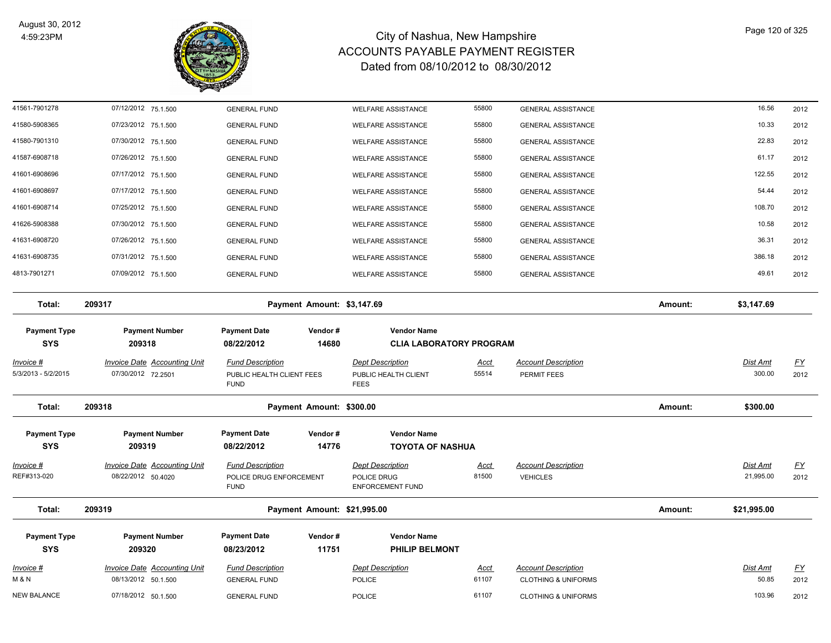

| <u>Invoice #</u><br>M & N               | <b>Invoice Date Accounting Unit</b><br>08/13/2012 50.1.500 | <b>Fund Description</b><br><b>GENERAL FUND</b>                      |                             | <b>Dept Description</b><br><b>POLICE</b>                          | <u>Acct</u><br>61107 | <b>Account Description</b><br><b>CLOTHING &amp; UNIFORMS</b> |         | Dist Amt<br>50.85     | $\underline{FY}$<br>2012          |
|-----------------------------------------|------------------------------------------------------------|---------------------------------------------------------------------|-----------------------------|-------------------------------------------------------------------|----------------------|--------------------------------------------------------------|---------|-----------------------|-----------------------------------|
| <b>Payment Type</b><br><b>SYS</b>       | <b>Payment Number</b><br>209320                            | <b>Payment Date</b><br>08/23/2012                                   | Vendor#<br>11751            | <b>Vendor Name</b><br>PHILIP BELMONT                              |                      |                                                              |         |                       |                                   |
| Total:                                  | 209319                                                     |                                                                     | Payment Amount: \$21,995.00 |                                                                   |                      |                                                              | Amount: | \$21,995.00           |                                   |
| Invoice #<br>REF#313-020                | <b>Invoice Date Accounting Unit</b><br>08/22/2012 50.4020  | <b>Fund Description</b><br>POLICE DRUG ENFORCEMENT<br><b>FUND</b>   |                             | <b>Dept Description</b><br>POLICE DRUG<br><b>ENFORCEMENT FUND</b> | <u>Acct</u><br>81500 | <b>Account Description</b><br><b>VEHICLES</b>                |         | Dist Amt<br>21,995.00 | <u>FY</u><br>2012                 |
| <b>Payment Type</b><br><b>SYS</b>       | <b>Payment Number</b><br>209319                            | <b>Payment Date</b><br>08/22/2012                                   | Vendor#<br>14776            | <b>Vendor Name</b><br><b>TOYOTA OF NASHUA</b>                     |                      |                                                              |         |                       |                                   |
| Total:                                  | 209318                                                     |                                                                     | Payment Amount: \$300.00    |                                                                   |                      |                                                              | Amount: | \$300.00              |                                   |
| <u>Invoice #</u><br>5/3/2013 - 5/2/2015 | <b>Invoice Date Accounting Unit</b><br>07/30/2012 72.2501  | <b>Fund Description</b><br>PUBLIC HEALTH CLIENT FEES<br><b>FUND</b> |                             | <b>Dept Description</b><br>PUBLIC HEALTH CLIENT<br><b>FEES</b>    | <b>Acct</b><br>55514 | <b>Account Description</b><br>PERMIT FEES                    |         | Dist Amt<br>300.00    | $\underline{\mathsf{FY}}$<br>2012 |
| <b>Payment Type</b><br><b>SYS</b>       | <b>Payment Number</b><br>209318                            | <b>Payment Date</b><br>08/22/2012                                   | Vendor#<br>14680            | <b>Vendor Name</b><br><b>CLIA LABORATORY PROGRAM</b>              |                      |                                                              |         |                       |                                   |
| Total:                                  | 209317                                                     |                                                                     | Payment Amount: \$3,147.69  |                                                                   |                      |                                                              | Amount: | \$3,147.69            |                                   |
| 4813-7901271                            | 07/09/2012 75.1.500                                        | <b>GENERAL FUND</b>                                                 |                             | <b>WELFARE ASSISTANCE</b>                                         | 55800                | <b>GENERAL ASSISTANCE</b>                                    |         | 49.61                 | 2012                              |
| 41631-6908735                           | 07/31/2012 75.1.500                                        | <b>GENERAL FUND</b>                                                 |                             | <b>WELFARE ASSISTANCE</b>                                         | 55800                | <b>GENERAL ASSISTANCE</b>                                    |         | 386.18                | 2012                              |
| 41631-6908720                           | 07/26/2012 75.1.500                                        | <b>GENERAL FUND</b>                                                 |                             | <b>WELFARE ASSISTANCE</b>                                         | 55800                | <b>GENERAL ASSISTANCE</b>                                    |         | 36.31                 | 2012                              |
| 41626-5908388                           | 07/30/2012 75.1.500                                        | <b>GENERAL FUND</b>                                                 |                             | <b>WELFARE ASSISTANCE</b>                                         | 55800                | GENERAL ASSISTANCE                                           |         | 10.58                 | 2012                              |
| 41601-6908714                           | 07/25/2012 75.1.500                                        | <b>GENERAL FUND</b>                                                 |                             | <b>WELFARE ASSISTANCE</b>                                         | 55800                | <b>GENERAL ASSISTANCE</b>                                    |         | 108.70                | 2012                              |
| 41601-6908697                           | 07/17/2012 75.1.500                                        | <b>GENERAL FUND</b>                                                 |                             | <b>WELFARE ASSISTANCE</b>                                         | 55800                | <b>GENERAL ASSISTANCE</b>                                    |         | 54.44                 | 2012                              |
| 41601-6908696                           | 07/26/2012 75.1.500<br>07/17/2012 75.1.500                 | <b>GENERAL FUND</b><br><b>GENERAL FUND</b>                          |                             | <b>WELFARE ASSISTANCE</b><br><b>WELFARE ASSISTANCE</b>            | 55800                | <b>GENERAL ASSISTANCE</b><br><b>GENERAL ASSISTANCE</b>       |         | 122.55                | 2012<br>2012                      |
| 41580-7901310<br>41587-6908718          | 07/30/2012 75.1.500                                        | <b>GENERAL FUND</b>                                                 |                             | <b>WELFARE ASSISTANCE</b>                                         | 55800<br>55800       | <b>GENERAL ASSISTANCE</b>                                    |         | 22.83<br>61.17        | 2012                              |
| 41580-5908365                           | 07/23/2012 75.1.500                                        | <b>GENERAL FUND</b>                                                 |                             | <b>WELFARE ASSISTANCE</b>                                         | 55800                | <b>GENERAL ASSISTANCE</b>                                    |         | 10.33                 | 2012                              |
| 41561-7901278                           | 07/12/2012 75.1.500                                        | <b>GENERAL FUND</b>                                                 |                             | WELFARE ASSISTANCE                                                | 55800                | <b>GENERAL ASSISTANCE</b>                                    |         | 16.56                 | 2012                              |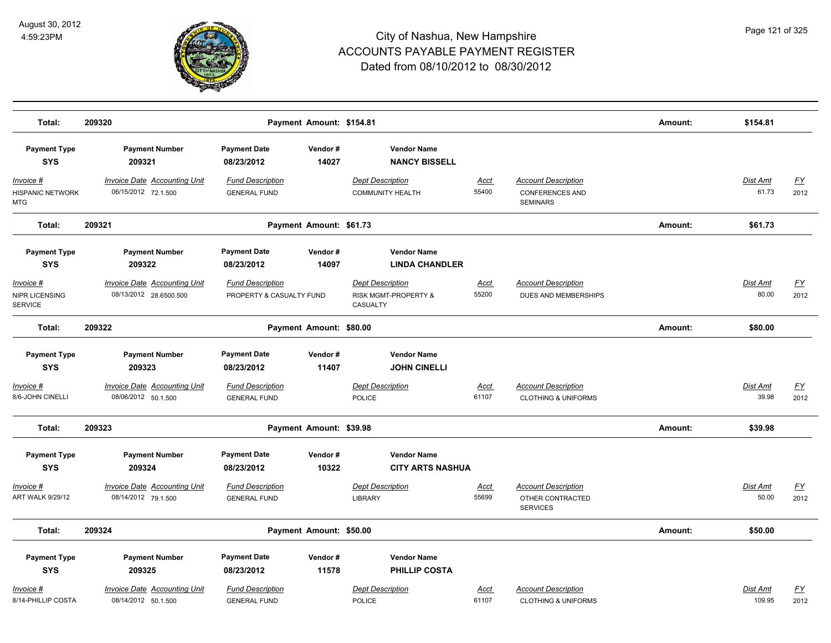

| Total:                                             | 209320                                                     | Payment Amount: \$154.81                            |                  |                                                             |                      |                                                                         | Amount: | \$154.81                 |                          |
|----------------------------------------------------|------------------------------------------------------------|-----------------------------------------------------|------------------|-------------------------------------------------------------|----------------------|-------------------------------------------------------------------------|---------|--------------------------|--------------------------|
| <b>Payment Type</b><br><b>SYS</b>                  | <b>Payment Number</b><br>209321                            | <b>Payment Date</b><br>08/23/2012                   | Vendor#<br>14027 | <b>Vendor Name</b><br><b>NANCY BISSELL</b>                  |                      |                                                                         |         |                          |                          |
| Invoice #<br><b>HISPANIC NETWORK</b><br><b>MTG</b> | <b>Invoice Date Accounting Unit</b><br>06/15/2012 72.1.500 | <b>Fund Description</b><br><b>GENERAL FUND</b>      |                  | <b>Dept Description</b><br><b>COMMUNITY HEALTH</b>          | <u>Acct</u><br>55400 | <b>Account Description</b><br><b>CONFERENCES AND</b><br><b>SEMINARS</b> |         | <b>Dist Amt</b><br>61.73 | <u>FY</u><br>2012        |
| Total:                                             | 209321                                                     | Payment Amount: \$61.73                             |                  |                                                             |                      |                                                                         | Amount: | \$61.73                  |                          |
| <b>Payment Type</b><br><b>SYS</b>                  | <b>Payment Number</b><br>209322                            | <b>Payment Date</b><br>08/23/2012                   | Vendor#<br>14097 | <b>Vendor Name</b><br><b>LINDA CHANDLER</b>                 |                      |                                                                         |         |                          |                          |
| Invoice #<br>NIPR LICENSING<br><b>SERVICE</b>      | Invoice Date Accounting Unit<br>08/13/2012 28.6500.500     | <b>Fund Description</b><br>PROPERTY & CASUALTY FUND |                  | <b>Dept Description</b><br>RISK MGMT-PROPERTY &<br>CASUALTY | Acct<br>55200        | <b>Account Description</b><br>DUES AND MEMBERSHIPS                      |         | Dist Amt<br>80.00        | $\underline{FY}$<br>2012 |
| Total:                                             | 209322                                                     | Payment Amount: \$80.00                             |                  |                                                             |                      |                                                                         | Amount: | \$80.00                  |                          |
| <b>Payment Type</b><br><b>SYS</b>                  | <b>Payment Number</b><br>209323                            | <b>Payment Date</b><br>08/23/2012                   | Vendor#<br>11407 | <b>Vendor Name</b><br><b>JOHN CINELLI</b>                   |                      |                                                                         |         |                          |                          |
| Invoice #<br>8/6-JOHN CINELLI                      | <b>Invoice Date Accounting Unit</b><br>08/06/2012 50.1.500 | <b>Fund Description</b><br><b>GENERAL FUND</b>      |                  | <b>Dept Description</b><br><b>POLICE</b>                    | Acct<br>61107        | <b>Account Description</b><br><b>CLOTHING &amp; UNIFORMS</b>            |         | Dist Amt<br>39.98        | <u>FY</u><br>2012        |
| Total:                                             | 209323                                                     | Payment Amount: \$39.98                             |                  |                                                             |                      |                                                                         | Amount: | \$39.98                  |                          |
| <b>Payment Type</b><br><b>SYS</b>                  | <b>Payment Number</b><br>209324                            | <b>Payment Date</b><br>08/23/2012                   | Vendor#<br>10322 | <b>Vendor Name</b><br><b>CITY ARTS NASHUA</b>               |                      |                                                                         |         |                          |                          |
| Invoice #<br>ART WALK 9/29/12                      | <b>Invoice Date Accounting Unit</b><br>08/14/2012 79.1.500 | <b>Fund Description</b><br><b>GENERAL FUND</b>      |                  | <b>Dept Description</b><br><b>LIBRARY</b>                   | Acct<br>55699        | <b>Account Description</b><br>OTHER CONTRACTED<br><b>SERVICES</b>       |         | Dist Amt<br>50.00        | <u>FY</u><br>2012        |
| Total:                                             | 209324                                                     | Payment Amount: \$50.00                             |                  |                                                             |                      |                                                                         | Amount: | \$50.00                  |                          |
| <b>Payment Type</b><br><b>SYS</b>                  | <b>Payment Number</b><br>209325                            | <b>Payment Date</b><br>08/23/2012                   | Vendor#<br>11578 | <b>Vendor Name</b><br><b>PHILLIP COSTA</b>                  |                      |                                                                         |         |                          |                          |
| Invoice #<br>8/14-PHILLIP COSTA                    | <b>Invoice Date Accounting Unit</b><br>08/14/2012 50.1.500 | <b>Fund Description</b><br><b>GENERAL FUND</b>      |                  | <b>Dept Description</b><br><b>POLICE</b>                    | <u>Acct</u><br>61107 | <b>Account Description</b><br><b>CLOTHING &amp; UNIFORMS</b>            |         | Dist Amt<br>109.95       | $\underline{FY}$<br>2012 |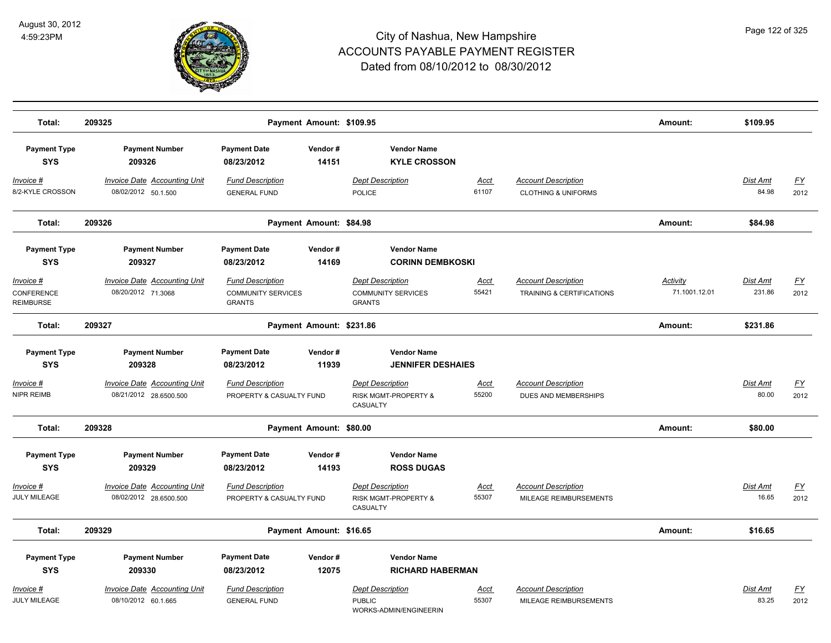

| Total:                                      | 209325                                                        | Payment Amount: \$109.95                                              |                  |                                                                       |                      |                                                              | Amount:                          | \$109.95                  |                                   |
|---------------------------------------------|---------------------------------------------------------------|-----------------------------------------------------------------------|------------------|-----------------------------------------------------------------------|----------------------|--------------------------------------------------------------|----------------------------------|---------------------------|-----------------------------------|
| <b>Payment Type</b><br><b>SYS</b>           | <b>Payment Number</b><br>209326                               | <b>Payment Date</b><br>08/23/2012                                     | Vendor#<br>14151 | <b>Vendor Name</b><br><b>KYLE CROSSON</b>                             |                      |                                                              |                                  |                           |                                   |
| <u>Invoice #</u><br>8/2-KYLE CROSSON        | <b>Invoice Date Accounting Unit</b><br>08/02/2012 50.1.500    | <b>Fund Description</b><br><b>GENERAL FUND</b>                        |                  | <b>Dept Description</b><br><b>POLICE</b>                              | Acct<br>61107        | <b>Account Description</b><br><b>CLOTHING &amp; UNIFORMS</b> |                                  | <b>Dist Amt</b><br>84.98  | <u>FY</u><br>2012                 |
| Total:                                      | 209326                                                        | Payment Amount: \$84.98                                               |                  |                                                                       |                      |                                                              | Amount:                          | \$84.98                   |                                   |
| <b>Payment Type</b>                         | <b>Payment Number</b>                                         | <b>Payment Date</b>                                                   | Vendor#          | <b>Vendor Name</b>                                                    |                      |                                                              |                                  |                           |                                   |
| <b>SYS</b>                                  | 209327                                                        | 08/23/2012                                                            | 14169            | <b>CORINN DEMBKOSKI</b>                                               |                      |                                                              |                                  |                           |                                   |
| Invoice #<br>CONFERENCE<br><b>REIMBURSE</b> | <b>Invoice Date Accounting Unit</b><br>08/20/2012 71.3068     | <b>Fund Description</b><br><b>COMMUNITY SERVICES</b><br><b>GRANTS</b> |                  | <b>Dept Description</b><br><b>COMMUNITY SERVICES</b><br><b>GRANTS</b> | <b>Acct</b><br>55421 | <b>Account Description</b><br>TRAINING & CERTIFICATIONS      | <b>Activity</b><br>71.1001.12.01 | <b>Dist Amt</b><br>231.86 | $\underline{\mathsf{FY}}$<br>2012 |
| Total:                                      | 209327                                                        | Payment Amount: \$231.86                                              |                  |                                                                       |                      |                                                              | Amount:                          | \$231.86                  |                                   |
| <b>Payment Type</b>                         | <b>Payment Number</b>                                         | <b>Payment Date</b>                                                   | Vendor#          | <b>Vendor Name</b>                                                    |                      |                                                              |                                  |                           |                                   |
| <b>SYS</b>                                  | 209328                                                        | 08/23/2012                                                            | 11939            | <b>JENNIFER DESHAIES</b>                                              |                      |                                                              |                                  |                           |                                   |
| Invoice #<br>NIPR REIMB                     | <b>Invoice Date Accounting Unit</b><br>08/21/2012 28.6500.500 | <b>Fund Description</b><br>PROPERTY & CASUALTY FUND                   |                  | <b>Dept Description</b><br>RISK MGMT-PROPERTY &<br>CASUALTY           | <u>Acct</u><br>55200 | <b>Account Description</b><br>DUES AND MEMBERSHIPS           |                                  | Dist Amt<br>80.00         | <u>FY</u><br>2012                 |
| Total:                                      | 209328                                                        | Payment Amount: \$80.00                                               |                  |                                                                       |                      |                                                              | Amount:                          | \$80.00                   |                                   |
| <b>Payment Type</b><br><b>SYS</b>           | <b>Payment Number</b><br>209329                               | <b>Payment Date</b><br>08/23/2012                                     | Vendor#<br>14193 | <b>Vendor Name</b><br><b>ROSS DUGAS</b>                               |                      |                                                              |                                  |                           |                                   |
| Invoice #<br>JULY MILEAGE                   | Invoice Date Accounting Unit<br>08/02/2012 28.6500.500        | <b>Fund Description</b><br>PROPERTY & CASUALTY FUND                   |                  | <b>Dept Description</b><br>RISK MGMT-PROPERTY &<br>CASUALTY           | Acct<br>55307        | <b>Account Description</b><br>MILEAGE REIMBURSEMENTS         |                                  | <b>Dist Amt</b><br>16.65  | <u>FY</u><br>2012                 |
| Total:                                      | 209329                                                        | Payment Amount: \$16.65                                               |                  |                                                                       |                      |                                                              | Amount:                          | \$16.65                   |                                   |
| <b>Payment Type</b><br><b>SYS</b>           | <b>Payment Number</b><br>209330                               | <b>Payment Date</b><br>08/23/2012                                     | Vendor#<br>12075 | <b>Vendor Name</b><br><b>RICHARD HABERMAN</b>                         |                      |                                                              |                                  |                           |                                   |
| <u>Invoice #</u><br>JULY MILEAGE            | <b>Invoice Date Accounting Unit</b><br>08/10/2012 60.1.665    | <b>Fund Description</b><br><b>GENERAL FUND</b>                        |                  | <b>Dept Description</b><br><b>PUBLIC</b><br>WORKS-ADMIN/ENGINEERIN    | <u>Acct</u><br>55307 | <b>Account Description</b><br>MILEAGE REIMBURSEMENTS         |                                  | Dist Amt<br>83.25         | <u>FY</u><br>2012                 |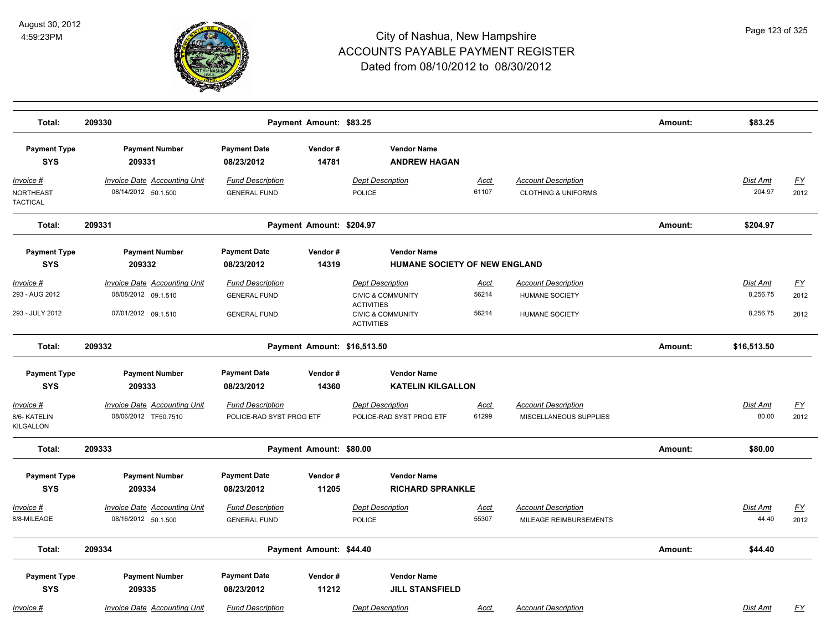

| Total:                                 | 209330                                                      |                                                     | Payment Amount: \$83.25     |                                                                        |                      |                                                              | Amount: | \$83.25                   |                   |
|----------------------------------------|-------------------------------------------------------------|-----------------------------------------------------|-----------------------------|------------------------------------------------------------------------|----------------------|--------------------------------------------------------------|---------|---------------------------|-------------------|
| <b>Payment Type</b><br><b>SYS</b>      | <b>Payment Number</b><br>209331                             | <b>Payment Date</b><br>08/23/2012                   | Vendor#<br>14781            | <b>Vendor Name</b><br><b>ANDREW HAGAN</b>                              |                      |                                                              |         |                           |                   |
| Invoice #<br>NORTHEAST<br>TACTICAL     | <b>Invoice Date Accounting Unit</b><br>08/14/2012 50.1.500  | <b>Fund Description</b><br><b>GENERAL FUND</b>      |                             | <b>Dept Description</b><br>POLICE                                      | <b>Acct</b><br>61107 | <b>Account Description</b><br><b>CLOTHING &amp; UNIFORMS</b> |         | <b>Dist Amt</b><br>204.97 | <u>FY</u><br>2012 |
| Total:                                 | 209331                                                      |                                                     | Payment Amount: \$204.97    |                                                                        |                      |                                                              | Amount: | \$204.97                  |                   |
| <b>Payment Type</b>                    | <b>Payment Number</b>                                       | <b>Payment Date</b>                                 | Vendor#                     | <b>Vendor Name</b>                                                     |                      |                                                              |         |                           |                   |
| <b>SYS</b>                             | 209332                                                      | 08/23/2012                                          | 14319                       | HUMANE SOCIETY OF NEW ENGLAND                                          |                      |                                                              |         |                           |                   |
| Invoice #                              | <b>Invoice Date Accounting Unit</b>                         | <b>Fund Description</b>                             |                             | <b>Dept Description</b>                                                | Acct                 | <b>Account Description</b>                                   |         | Dist Amt                  | EY                |
| 293 - AUG 2012                         | 08/08/2012 09.1.510                                         | <b>GENERAL FUND</b>                                 |                             | <b>CIVIC &amp; COMMUNITY</b>                                           | 56214                | <b>HUMANE SOCIETY</b>                                        |         | 8,256.75                  | 2012              |
| 293 - JULY 2012                        | 07/01/2012 09.1.510                                         | <b>GENERAL FUND</b>                                 |                             | <b>ACTIVITIES</b><br><b>CIVIC &amp; COMMUNITY</b><br><b>ACTIVITIES</b> | 56214                | <b>HUMANE SOCIETY</b>                                        |         | 8,256.75                  | 2012              |
| Total:                                 | 209332                                                      |                                                     | Payment Amount: \$16,513.50 |                                                                        |                      |                                                              | Amount: | \$16,513.50               |                   |
| <b>Payment Type</b>                    | <b>Payment Number</b>                                       | <b>Payment Date</b>                                 | Vendor#                     | <b>Vendor Name</b>                                                     |                      |                                                              |         |                           |                   |
| <b>SYS</b>                             | 209333                                                      | 08/23/2012                                          | 14360                       | <b>KATELIN KILGALLON</b>                                               |                      |                                                              |         |                           |                   |
| Invoice #<br>8/6- KATELIN<br>KILGALLON | <b>Invoice Date Accounting Unit</b><br>08/06/2012 TF50.7510 | <b>Fund Description</b><br>POLICE-RAD SYST PROG ETF |                             | <b>Dept Description</b><br>POLICE-RAD SYST PROG ETF                    | Acct<br>61299        | <b>Account Description</b><br>MISCELLANEOUS SUPPLIES         |         | Dist Amt<br>80.00         | EY<br>2012        |
| Total:                                 | 209333                                                      |                                                     | Payment Amount: \$80.00     |                                                                        |                      |                                                              | Amount: | \$80.00                   |                   |
| <b>Payment Type</b><br><b>SYS</b>      | <b>Payment Number</b><br>209334                             | <b>Payment Date</b><br>08/23/2012                   | Vendor#<br>11205            | <b>Vendor Name</b><br><b>RICHARD SPRANKLE</b>                          |                      |                                                              |         |                           |                   |
| Invoice #                              | <b>Invoice Date Accounting Unit</b>                         | <b>Fund Description</b>                             |                             | <b>Dept Description</b>                                                | <u>Acct</u>          | <b>Account Description</b>                                   |         | Dist Amt                  | EY                |
| 8/8-MILEAGE                            | 08/16/2012 50.1.500                                         | <b>GENERAL FUND</b>                                 |                             | <b>POLICE</b>                                                          | 55307                | MILEAGE REIMBURSEMENTS                                       |         | 44.40                     | 2012              |
| Total:                                 | 209334                                                      |                                                     | Payment Amount: \$44.40     |                                                                        |                      |                                                              | Amount: | \$44.40                   |                   |
| <b>Payment Type</b>                    | <b>Payment Number</b>                                       | <b>Payment Date</b>                                 | Vendor#                     | <b>Vendor Name</b>                                                     |                      |                                                              |         |                           |                   |
| <b>SYS</b>                             | 209335                                                      | 08/23/2012                                          | 11212                       | <b>JILL STANSFIELD</b>                                                 |                      |                                                              |         |                           |                   |
| Invoice #                              | <b>Invoice Date Accounting Unit</b>                         | <b>Fund Description</b>                             |                             | <b>Dept Description</b>                                                | Acct                 | <b>Account Description</b>                                   |         | Dist Amt                  | <u>FY</u>         |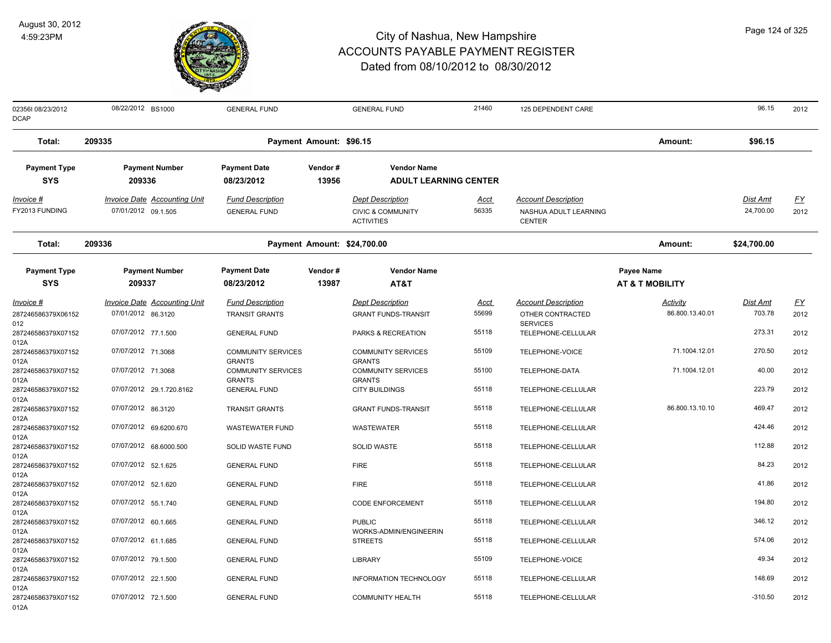

| 023561 08/23/2012<br><b>DCAP</b>                 | 08/22/2012 BS1000                                          | <b>GENERAL FUND</b>                            |                  | <b>GENERAL FUND</b>                                                          | 21460                | 125 DEPENDENT CARE                                                   |                                          | 96.15                        | 2012              |
|--------------------------------------------------|------------------------------------------------------------|------------------------------------------------|------------------|------------------------------------------------------------------------------|----------------------|----------------------------------------------------------------------|------------------------------------------|------------------------------|-------------------|
| Total:                                           | 209335                                                     | Payment Amount: \$96.15                        |                  |                                                                              |                      |                                                                      | Amount:                                  | \$96.15                      |                   |
| <b>Payment Type</b><br><b>SYS</b>                | <b>Payment Number</b><br>209336                            | <b>Payment Date</b><br>08/23/2012              | Vendor#<br>13956 | <b>Vendor Name</b><br><b>ADULT LEARNING CENTER</b>                           |                      |                                                                      |                                          |                              |                   |
| <u>Invoice #</u><br>FY2013 FUNDING               | <b>Invoice Date Accounting Unit</b><br>07/01/2012 09.1.505 | <b>Fund Description</b><br><b>GENERAL FUND</b> |                  | <b>Dept Description</b><br><b>CIVIC &amp; COMMUNITY</b><br><b>ACTIVITIES</b> | <u>Acct</u><br>56335 | <b>Account Description</b><br>NASHUA ADULT LEARNING<br><b>CENTER</b> |                                          | <b>Dist Amt</b><br>24,700.00 | <u>FY</u><br>2012 |
| Total:                                           | 209336                                                     | Payment Amount: \$24,700.00                    |                  |                                                                              |                      |                                                                      | Amount:                                  | \$24,700.00                  |                   |
| <b>Payment Type</b><br><b>SYS</b>                | <b>Payment Number</b><br>209337                            | <b>Payment Date</b><br>08/23/2012              | Vendor#<br>13987 | <b>Vendor Name</b><br>AT&T                                                   |                      |                                                                      | Payee Name<br><b>AT &amp; T MOBILITY</b> |                              |                   |
| <u>Invoice #</u>                                 | <b>Invoice Date Accounting Unit</b>                        | <b>Fund Description</b>                        |                  | <b>Dept Description</b>                                                      | <u>Acct</u>          | <b>Account Description</b>                                           | <b>Activity</b>                          | <b>Dist Amt</b>              | <u>FY</u>         |
| 287246586379X06152<br>012                        | 07/01/2012 86.3120                                         | <b>TRANSIT GRANTS</b>                          |                  | <b>GRANT FUNDS-TRANSIT</b>                                                   | 55699                | OTHER CONTRACTED<br><b>SERVICES</b>                                  | 86.800.13.40.01                          | 703.78                       | 2012              |
| 287246586379X07152                               | 07/07/2012 77.1.500                                        | <b>GENERAL FUND</b>                            |                  | PARKS & RECREATION                                                           | 55118                | TELEPHONE-CELLULAR                                                   |                                          | 273.31                       | 2012              |
| 012A<br>287246586379X07152<br>012A               | 07/07/2012 71.3068                                         | <b>COMMUNITY SERVICES</b><br><b>GRANTS</b>     |                  | <b>COMMUNITY SERVICES</b><br><b>GRANTS</b>                                   | 55109                | TELEPHONE-VOICE                                                      | 71.1004.12.01                            | 270.50                       | 2012              |
| 287246586379X07152<br>012A                       | 07/07/2012 71.3068                                         | <b>COMMUNITY SERVICES</b><br><b>GRANTS</b>     |                  | <b>COMMUNITY SERVICES</b><br><b>GRANTS</b>                                   | 55100                | TELEPHONE-DATA                                                       | 71.1004.12.01                            | 40.00                        | 2012              |
| 287246586379X07152<br>012A                       | 07/07/2012 29.1.720.8162                                   | <b>GENERAL FUND</b>                            |                  | <b>CITY BUILDINGS</b>                                                        | 55118                | TELEPHONE-CELLULAR                                                   |                                          | 223.79                       | 2012              |
| 287246586379X07152<br>012A                       | 07/07/2012 86.3120                                         | <b>TRANSIT GRANTS</b>                          |                  | <b>GRANT FUNDS-TRANSIT</b>                                                   | 55118                | TELEPHONE-CELLULAR                                                   | 86.800.13.10.10                          | 469.47                       | 2012              |
| 287246586379X07152<br>012A                       | 07/07/2012 69.6200.670                                     | <b>WASTEWATER FUND</b>                         |                  | <b>WASTEWATER</b>                                                            | 55118                | TELEPHONE-CELLULAR                                                   |                                          | 424.46                       | 2012              |
| 287246586379X07152<br>012A                       | 07/07/2012 68.6000.500                                     | SOLID WASTE FUND                               |                  | <b>SOLID WASTE</b>                                                           | 55118                | TELEPHONE-CELLULAR                                                   |                                          | 112.88                       | 2012              |
| 287246586379X07152<br>012A<br>287246586379X07152 | 07/07/2012 52.1.625<br>07/07/2012 52.1.620                 | <b>GENERAL FUND</b><br><b>GENERAL FUND</b>     |                  | <b>FIRE</b><br><b>FIRE</b>                                                   | 55118<br>55118       | TELEPHONE-CELLULAR<br>TELEPHONE-CELLULAR                             |                                          | 84.23<br>41.86               | 2012<br>2012      |
| 012A<br>287246586379X07152                       | 07/07/2012 55.1.740                                        | <b>GENERAL FUND</b>                            |                  | <b>CODE ENFORCEMENT</b>                                                      | 55118                | TELEPHONE-CELLULAR                                                   |                                          | 194.80                       | 2012              |
| 012A<br>287246586379X07152                       | 07/07/2012 60.1.665                                        | <b>GENERAL FUND</b>                            |                  | <b>PUBLIC</b>                                                                | 55118                | TELEPHONE-CELLULAR                                                   |                                          | 346.12                       | 2012              |
| 012A<br>287246586379X07152                       | 07/07/2012 61.1.685                                        | <b>GENERAL FUND</b>                            |                  | WORKS-ADMIN/ENGINEERIN<br><b>STREETS</b>                                     | 55118                | TELEPHONE-CELLULAR                                                   |                                          | 574.06                       | 2012              |
| 012A<br>287246586379X07152<br>012A               | 07/07/2012 79.1.500                                        | <b>GENERAL FUND</b>                            |                  | <b>LIBRARY</b>                                                               | 55109                | TELEPHONE-VOICE                                                      |                                          | 49.34                        | 2012              |
| 287246586379X07152<br>012A                       | 07/07/2012 22.1.500                                        | <b>GENERAL FUND</b>                            |                  | <b>INFORMATION TECHNOLOGY</b>                                                | 55118                | TELEPHONE-CELLULAR                                                   |                                          | 148.69                       | 2012              |
| 287246586379X07152<br>012A                       | 07/07/2012 72.1.500                                        | <b>GENERAL FUND</b>                            |                  | <b>COMMUNITY HEALTH</b>                                                      | 55118                | TELEPHONE-CELLULAR                                                   |                                          | $-310.50$                    | 2012              |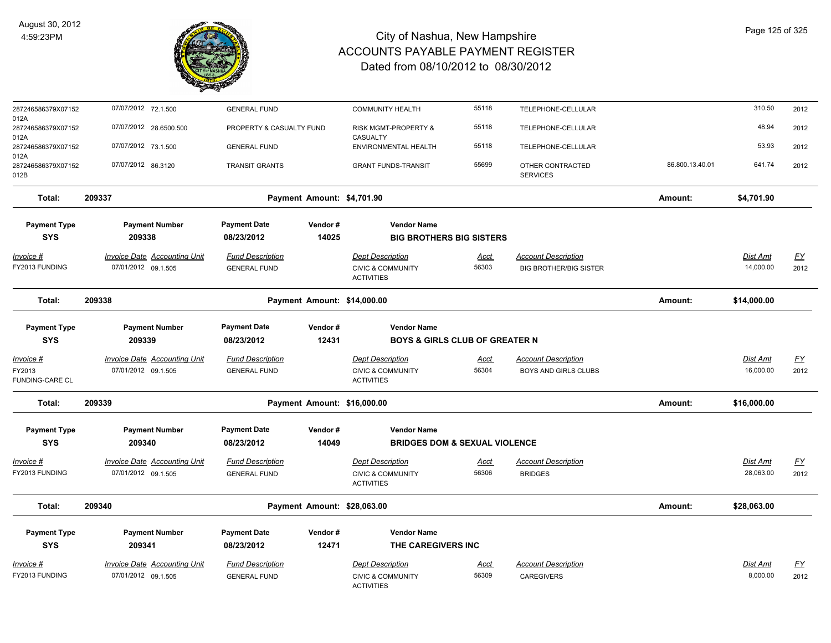

| 287246586379X07152                 | 07/07/2012 72.1.500                 | <b>GENERAL FUND</b>      |                             | <b>COMMUNITY HEALTH</b>                           | 55118       | TELEPHONE-CELLULAR                  |                 | 310.50      | 2012      |
|------------------------------------|-------------------------------------|--------------------------|-----------------------------|---------------------------------------------------|-------------|-------------------------------------|-----------------|-------------|-----------|
| 012A<br>287246586379X07152<br>012A | 07/07/2012 28.6500.500              | PROPERTY & CASUALTY FUND |                             | RISK MGMT-PROPERTY &<br>CASUALTY                  | 55118       | TELEPHONE-CELLULAR                  |                 | 48.94       | 2012      |
| 287246586379X07152<br>012A         | 07/07/2012 73.1.500                 | <b>GENERAL FUND</b>      |                             | ENVIRONMENTAL HEALTH                              | 55118       | TELEPHONE-CELLULAR                  |                 | 53.93       | 2012      |
| 287246586379X07152<br>012B         | 07/07/2012 86.3120                  | <b>TRANSIT GRANTS</b>    |                             | <b>GRANT FUNDS-TRANSIT</b>                        | 55699       | OTHER CONTRACTED<br><b>SERVICES</b> | 86.800.13.40.01 | 641.74      | 2012      |
| Total:                             | 209337                              |                          | Payment Amount: \$4,701.90  |                                                   |             |                                     | Amount:         | \$4,701.90  |           |
| <b>Payment Type</b>                | <b>Payment Number</b>               | <b>Payment Date</b>      | Vendor#                     | <b>Vendor Name</b>                                |             |                                     |                 |             |           |
| <b>SYS</b>                         | 209338                              | 08/23/2012               | 14025                       | <b>BIG BROTHERS BIG SISTERS</b>                   |             |                                     |                 |             |           |
| <u>Invoice #</u>                   | <b>Invoice Date Accounting Unit</b> | <b>Fund Description</b>  |                             | <b>Dept Description</b>                           | <u>Acct</u> | <b>Account Description</b>          |                 | Dist Amt    | <u>FY</u> |
| FY2013 FUNDING                     | 07/01/2012 09.1.505                 | <b>GENERAL FUND</b>      |                             | <b>CIVIC &amp; COMMUNITY</b><br><b>ACTIVITIES</b> | 56303       | <b>BIG BROTHER/BIG SISTER</b>       |                 | 14,000.00   | 2012      |
| Total:                             | 209338                              |                          | Payment Amount: \$14,000.00 |                                                   |             |                                     | Amount:         | \$14,000.00 |           |
| <b>Payment Type</b>                | <b>Payment Number</b>               | <b>Payment Date</b>      | Vendor#                     | <b>Vendor Name</b>                                |             |                                     |                 |             |           |
| <b>SYS</b>                         | 209339                              | 08/23/2012               | 12431                       | <b>BOYS &amp; GIRLS CLUB OF GREATER N</b>         |             |                                     |                 |             |           |
| Invoice #                          | <b>Invoice Date Accounting Unit</b> | <b>Fund Description</b>  |                             | <b>Dept Description</b>                           | <b>Acct</b> | <b>Account Description</b>          |                 | Dist Amt    | <u>FY</u> |
| FY2013<br>FUNDING-CARE CL          | 07/01/2012 09.1.505                 | <b>GENERAL FUND</b>      |                             | <b>CIVIC &amp; COMMUNITY</b><br><b>ACTIVITIES</b> | 56304       | BOYS AND GIRLS CLUBS                |                 | 16,000.00   | 2012      |
| Total:                             | 209339                              |                          | Payment Amount: \$16,000.00 |                                                   |             |                                     | Amount:         | \$16,000.00 |           |
| <b>Payment Type</b>                | <b>Payment Number</b>               | <b>Payment Date</b>      | Vendor#                     | <b>Vendor Name</b>                                |             |                                     |                 |             |           |
| <b>SYS</b>                         | 209340                              | 08/23/2012               | 14049                       | <b>BRIDGES DOM &amp; SEXUAL VIOLENCE</b>          |             |                                     |                 |             |           |
| Invoice #                          | Invoice Date Accounting Unit        | <b>Fund Description</b>  |                             | <b>Dept Description</b>                           | Acct        | <b>Account Description</b>          |                 | Dist Amt    | <u>FY</u> |
| FY2013 FUNDING                     | 07/01/2012 09.1.505                 | <b>GENERAL FUND</b>      |                             | <b>CIVIC &amp; COMMUNITY</b><br><b>ACTIVITIES</b> | 56306       | <b>BRIDGES</b>                      |                 | 28,063.00   | 2012      |
| Total:                             | 209340                              |                          | Payment Amount: \$28,063.00 |                                                   |             |                                     | Amount:         | \$28,063.00 |           |
| <b>Payment Type</b>                | <b>Payment Number</b>               | <b>Payment Date</b>      | Vendor#                     | <b>Vendor Name</b>                                |             |                                     |                 |             |           |
| <b>SYS</b>                         | 209341                              | 08/23/2012               | 12471                       | THE CAREGIVERS INC                                |             |                                     |                 |             |           |
| Invoice #                          | <b>Invoice Date Accounting Unit</b> | <b>Fund Description</b>  |                             | <b>Dept Description</b>                           | <u>Acct</u> | <b>Account Description</b>          |                 | Dist Amt    | <u>FY</u> |
| FY2013 FUNDING                     | 07/01/2012 09.1.505                 | <b>GENERAL FUND</b>      |                             | <b>CIVIC &amp; COMMUNITY</b><br><b>ACTIVITIES</b> | 56309       | <b>CAREGIVERS</b>                   |                 | 8,000.00    | 2012      |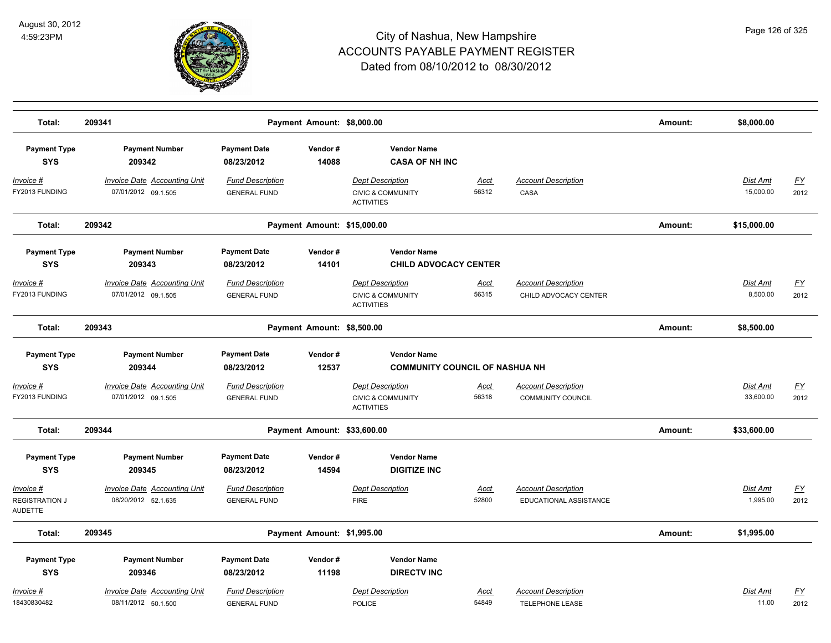

| Total:                                        | 209341                                                     |                                                | Payment Amount: \$8,000.00  |                                                                              |                      |                                                        | Amount: | \$8,000.00                   |                          |
|-----------------------------------------------|------------------------------------------------------------|------------------------------------------------|-----------------------------|------------------------------------------------------------------------------|----------------------|--------------------------------------------------------|---------|------------------------------|--------------------------|
| <b>Payment Type</b><br><b>SYS</b>             | <b>Payment Number</b><br>209342                            | <b>Payment Date</b><br>08/23/2012              | Vendor#<br>14088            | <b>Vendor Name</b><br><b>CASA OF NH INC</b>                                  |                      |                                                        |         |                              |                          |
| $Invoice$ #<br>FY2013 FUNDING                 | <b>Invoice Date Accounting Unit</b><br>07/01/2012 09.1.505 | <b>Fund Description</b><br><b>GENERAL FUND</b> |                             | <b>Dept Description</b><br><b>CIVIC &amp; COMMUNITY</b><br><b>ACTIVITIES</b> | <b>Acct</b><br>56312 | <b>Account Description</b><br>CASA                     |         | <b>Dist Amt</b><br>15,000.00 | <u>FY</u><br>2012        |
| Total:                                        | 209342                                                     |                                                | Payment Amount: \$15,000.00 |                                                                              |                      |                                                        | Amount: | \$15,000.00                  |                          |
| <b>Payment Type</b>                           | <b>Payment Number</b>                                      | <b>Payment Date</b>                            | Vendor#                     | <b>Vendor Name</b>                                                           |                      |                                                        |         |                              |                          |
| <b>SYS</b>                                    | 209343                                                     | 08/23/2012                                     | 14101                       | <b>CHILD ADVOCACY CENTER</b>                                                 |                      |                                                        |         |                              |                          |
| <u> Invoice #</u><br>FY2013 FUNDING           | <b>Invoice Date Accounting Unit</b><br>07/01/2012 09.1.505 | <b>Fund Description</b><br><b>GENERAL FUND</b> |                             | <b>Dept Description</b><br><b>CIVIC &amp; COMMUNITY</b><br><b>ACTIVITIES</b> | Acct<br>56315        | <b>Account Description</b><br>CHILD ADVOCACY CENTER    |         | Dist Amt<br>8,500.00         | <u>FY</u><br>2012        |
| Total:                                        | 209343                                                     |                                                | Payment Amount: \$8,500.00  |                                                                              |                      |                                                        | Amount: | \$8,500.00                   |                          |
| <b>Payment Type</b><br><b>SYS</b>             | <b>Payment Number</b><br>209344                            | <b>Payment Date</b><br>08/23/2012              | Vendor#<br>12537            | <b>Vendor Name</b><br><b>COMMUNITY COUNCIL OF NASHUA NH</b>                  |                      |                                                        |         |                              |                          |
| Invoice #<br>FY2013 FUNDING                   | <b>Invoice Date Accounting Unit</b><br>07/01/2012 09.1.505 | <b>Fund Description</b><br><b>GENERAL FUND</b> |                             | <b>Dept Description</b><br><b>CIVIC &amp; COMMUNITY</b><br><b>ACTIVITIES</b> | Acct<br>56318        | <b>Account Description</b><br><b>COMMUNITY COUNCIL</b> |         | Dist Amt<br>33,600.00        | $\underline{FY}$<br>2012 |
| Total:                                        | 209344                                                     |                                                | Payment Amount: \$33,600.00 |                                                                              |                      |                                                        | Amount: | \$33,600.00                  |                          |
| <b>Payment Type</b><br><b>SYS</b>             | <b>Payment Number</b><br>209345                            | <b>Payment Date</b><br>08/23/2012              | Vendor#<br>14594            | <b>Vendor Name</b><br><b>DIGITIZE INC</b>                                    |                      |                                                        |         |                              |                          |
| Invoice #<br><b>REGISTRATION J</b><br>AUDETTE | <b>Invoice Date Accounting Unit</b><br>08/20/2012 52.1.635 | <b>Fund Description</b><br><b>GENERAL FUND</b> |                             | <b>Dept Description</b><br><b>FIRE</b>                                       | <u>Acct</u><br>52800 | <b>Account Description</b><br>EDUCATIONAL ASSISTANCE   |         | <b>Dist Amt</b><br>1,995.00  | <u>FY</u><br>2012        |
| Total:                                        | 209345                                                     |                                                | Payment Amount: \$1,995.00  |                                                                              |                      |                                                        | Amount: | \$1,995.00                   |                          |
| <b>Payment Type</b><br><b>SYS</b>             | <b>Payment Number</b><br>209346                            | <b>Payment Date</b><br>08/23/2012              | Vendor#<br>11198            | <b>Vendor Name</b><br><b>DIRECTV INC</b>                                     |                      |                                                        |         |                              |                          |
| Invoice #<br>18430830482                      | <b>Invoice Date Accounting Unit</b><br>08/11/2012 50.1.500 | <b>Fund Description</b><br><b>GENERAL FUND</b> |                             | <b>Dept Description</b><br><b>POLICE</b>                                     | <u>Acct</u><br>54849 | <b>Account Description</b><br>TELEPHONE LEASE          |         | Dist Amt<br>11.00            | $\underline{FY}$<br>2012 |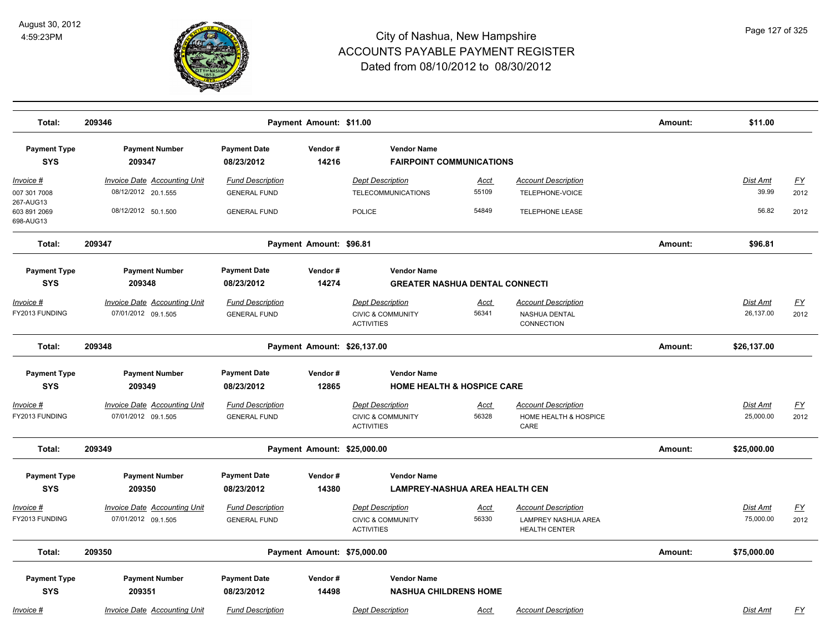

| Total:                                 | 209346                                                     |                                                | Payment Amount: \$11.00     |                                                   |                                       |                                                    | Amount: | \$11.00                  |                   |
|----------------------------------------|------------------------------------------------------------|------------------------------------------------|-----------------------------|---------------------------------------------------|---------------------------------------|----------------------------------------------------|---------|--------------------------|-------------------|
| <b>Payment Type</b><br><b>SYS</b>      | <b>Payment Number</b><br>209347                            | <b>Payment Date</b><br>08/23/2012              | Vendor#<br>14216            | <b>Vendor Name</b>                                | <b>FAIRPOINT COMMUNICATIONS</b>       |                                                    |         |                          |                   |
| Invoice #<br>007 301 7008              | <b>Invoice Date Accounting Unit</b><br>08/12/2012 20.1.555 | <b>Fund Description</b><br><b>GENERAL FUND</b> |                             | <b>Dept Description</b><br>TELECOMMUNICATIONS     | Acct<br>55109                         | <b>Account Description</b><br>TELEPHONE-VOICE      |         | <b>Dist Amt</b><br>39.99 | <u>FY</u><br>2012 |
| 267-AUG13<br>603 891 2069<br>698-AUG13 | 08/12/2012 50.1.500                                        | <b>GENERAL FUND</b>                            |                             | POLICE                                            | 54849                                 | <b>TELEPHONE LEASE</b>                             |         | 56.82                    | 2012              |
| Total:                                 | 209347                                                     |                                                | Payment Amount: \$96.81     |                                                   |                                       |                                                    | Amount: | \$96.81                  |                   |
| <b>Payment Type</b>                    | <b>Payment Number</b>                                      | <b>Payment Date</b>                            | Vendor#                     | <b>Vendor Name</b>                                |                                       |                                                    |         |                          |                   |
| <b>SYS</b>                             | 209348                                                     | 08/23/2012                                     | 14274                       |                                                   | <b>GREATER NASHUA DENTAL CONNECTI</b> |                                                    |         |                          |                   |
| <u>Invoice #</u>                       | <b>Invoice Date Accounting Unit</b>                        | <b>Fund Description</b>                        |                             | <b>Dept Description</b>                           | <u>Acct</u>                           | <b>Account Description</b>                         |         | Dist Amt                 | EY                |
| FY2013 FUNDING                         | 07/01/2012 09.1.505                                        | <b>GENERAL FUND</b>                            |                             | <b>CIVIC &amp; COMMUNITY</b><br><b>ACTIVITIES</b> | 56341                                 | NASHUA DENTAL<br>CONNECTION                        |         | 26,137.00                | 2012              |
| Total:                                 | 209348                                                     |                                                | Payment Amount: \$26,137.00 |                                                   |                                       |                                                    | Amount: | \$26,137.00              |                   |
| <b>Payment Type</b>                    | <b>Payment Number</b>                                      | <b>Payment Date</b>                            | Vendor#                     | <b>Vendor Name</b>                                |                                       |                                                    |         |                          |                   |
| <b>SYS</b>                             | 209349                                                     | 08/23/2012                                     | 12865                       |                                                   | <b>HOME HEALTH &amp; HOSPICE CARE</b> |                                                    |         |                          |                   |
| <u>Invoice #</u>                       | <b>Invoice Date Accounting Unit</b>                        | <b>Fund Description</b>                        |                             | <b>Dept Description</b>                           | <u>Acct</u>                           | <b>Account Description</b>                         |         | Dist Amt                 | <u>FY</u>         |
| FY2013 FUNDING                         | 07/01/2012 09.1.505                                        | <b>GENERAL FUND</b>                            |                             | <b>CIVIC &amp; COMMUNITY</b><br><b>ACTIVITIES</b> | 56328                                 | HOME HEALTH & HOSPICE<br>CARE                      |         | 25,000.00                | 2012              |
| Total:                                 | 209349                                                     |                                                | Payment Amount: \$25,000.00 |                                                   |                                       |                                                    | Amount: | \$25,000.00              |                   |
| <b>Payment Type</b>                    | <b>Payment Number</b>                                      | <b>Payment Date</b>                            | Vendor#                     | <b>Vendor Name</b>                                |                                       |                                                    |         |                          |                   |
| <b>SYS</b>                             | 209350                                                     | 08/23/2012                                     | 14380                       |                                                   | <b>LAMPREY-NASHUA AREA HEALTH CEN</b> |                                                    |         |                          |                   |
| Invoice #                              | Invoice Date Accounting Unit                               | <b>Fund Description</b>                        |                             | <b>Dept Description</b>                           | <b>Acct</b>                           | <b>Account Description</b>                         |         | <u>Dist Amt</u>          | <u>FY</u>         |
| FY2013 FUNDING                         | 07/01/2012 09.1.505                                        | <b>GENERAL FUND</b>                            |                             | <b>CIVIC &amp; COMMUNITY</b><br><b>ACTIVITIES</b> | 56330                                 | <b>LAMPREY NASHUA AREA</b><br><b>HEALTH CENTER</b> |         | 75,000.00                | 2012              |
| Total:                                 | 209350                                                     |                                                | Payment Amount: \$75,000.00 |                                                   |                                       |                                                    | Amount: | \$75,000.00              |                   |
| <b>Payment Type</b>                    | <b>Payment Number</b>                                      | <b>Payment Date</b>                            | Vendor#                     | <b>Vendor Name</b>                                |                                       |                                                    |         |                          |                   |
| <b>SYS</b>                             | 209351                                                     | 08/23/2012                                     | 14498                       | <b>NASHUA CHILDRENS HOME</b>                      |                                       |                                                    |         |                          |                   |
| Invoice #                              | <b>Invoice Date Accounting Unit</b>                        | <b>Fund Description</b>                        |                             | <b>Dept Description</b>                           | Acct                                  | <b>Account Description</b>                         |         | Dist Amt                 | <u>FY</u>         |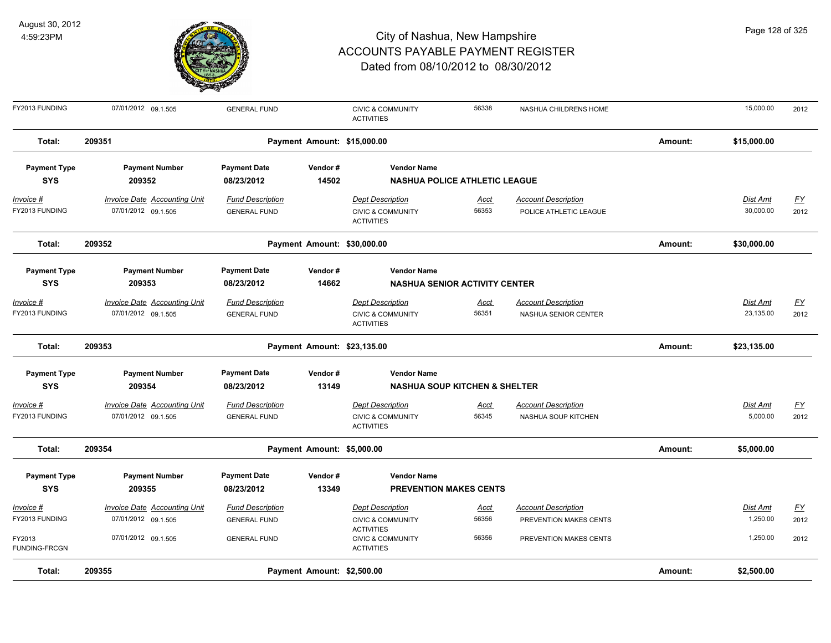

| FY2013 FUNDING          | 07/01/2012 09.1.505                 | <b>GENERAL FUND</b>     |                             | <b>CIVIC &amp; COMMUNITY</b><br><b>ACTIVITIES</b>                      | 56338                                    | NASHUA CHILDRENS HOME      |         | 15,000.00       | 2012             |
|-------------------------|-------------------------------------|-------------------------|-----------------------------|------------------------------------------------------------------------|------------------------------------------|----------------------------|---------|-----------------|------------------|
| Total:                  | 209351                              |                         | Payment Amount: \$15,000.00 |                                                                        |                                          |                            | Amount: | \$15,000.00     |                  |
| <b>Payment Type</b>     | <b>Payment Number</b>               | <b>Payment Date</b>     | Vendor#                     | <b>Vendor Name</b>                                                     |                                          |                            |         |                 |                  |
| <b>SYS</b>              | 209352                              | 08/23/2012              | 14502                       |                                                                        | <b>NASHUA POLICE ATHLETIC LEAGUE</b>     |                            |         |                 |                  |
| Invoice #               | <b>Invoice Date Accounting Unit</b> | <b>Fund Description</b> |                             | <b>Dept Description</b>                                                | <u>Acct</u>                              | <b>Account Description</b> |         | <b>Dist Amt</b> | <u>FY</u>        |
| FY2013 FUNDING          | 07/01/2012 09.1.505                 | <b>GENERAL FUND</b>     |                             | <b>CIVIC &amp; COMMUNITY</b><br><b>ACTIVITIES</b>                      | 56353                                    | POLICE ATHLETIC LEAGUE     |         | 30,000.00       | 2012             |
| Total:                  | 209352                              |                         | Payment Amount: \$30,000.00 |                                                                        |                                          |                            | Amount: | \$30,000.00     |                  |
| <b>Payment Type</b>     | <b>Payment Number</b>               | <b>Payment Date</b>     | Vendor#                     | <b>Vendor Name</b>                                                     |                                          |                            |         |                 |                  |
| <b>SYS</b>              | 209353                              | 08/23/2012              | 14662                       |                                                                        | <b>NASHUA SENIOR ACTIVITY CENTER</b>     |                            |         |                 |                  |
| Invoice #               | <b>Invoice Date Accounting Unit</b> | <b>Fund Description</b> |                             | <b>Dept Description</b>                                                | <b>Acct</b>                              | <b>Account Description</b> |         | Dist Amt        | $\underline{FY}$ |
| FY2013 FUNDING          | 07/01/2012 09.1.505                 | <b>GENERAL FUND</b>     |                             | <b>CIVIC &amp; COMMUNITY</b><br><b>ACTIVITIES</b>                      | 56351                                    | NASHUA SENIOR CENTER       |         | 23,135.00       | 2012             |
| Total:                  | 209353                              |                         | Payment Amount: \$23,135.00 |                                                                        |                                          |                            | Amount: | \$23,135.00     |                  |
| <b>Payment Type</b>     | <b>Payment Number</b>               | <b>Payment Date</b>     | Vendor#                     | <b>Vendor Name</b>                                                     |                                          |                            |         |                 |                  |
| <b>SYS</b>              | 209354                              | 08/23/2012              | 13149                       |                                                                        | <b>NASHUA SOUP KITCHEN &amp; SHELTER</b> |                            |         |                 |                  |
| Invoice #               | Invoice Date Accounting Unit        | <b>Fund Description</b> |                             | <b>Dept Description</b>                                                | <u>Acct</u>                              | <b>Account Description</b> |         | Dist Amt        | $\underline{FY}$ |
| FY2013 FUNDING          | 07/01/2012 09.1.505                 | <b>GENERAL FUND</b>     |                             | <b>CIVIC &amp; COMMUNITY</b><br><b>ACTIVITIES</b>                      | 56345                                    | NASHUA SOUP KITCHEN        |         | 5,000.00        | 2012             |
| Total:                  | 209354                              |                         | Payment Amount: \$5,000.00  |                                                                        |                                          |                            | Amount: | \$5,000.00      |                  |
| <b>Payment Type</b>     | <b>Payment Number</b>               | <b>Payment Date</b>     | Vendor#                     | <b>Vendor Name</b>                                                     |                                          |                            |         |                 |                  |
| <b>SYS</b>              | 209355                              | 08/23/2012              | 13349                       |                                                                        | <b>PREVENTION MAKES CENTS</b>            |                            |         |                 |                  |
| Invoice #               | <b>Invoice Date Accounting Unit</b> | <b>Fund Description</b> |                             | <b>Dept Description</b>                                                | <u>Acct</u>                              | <b>Account Description</b> |         | <b>Dist Amt</b> | $\underline{FY}$ |
| FY2013 FUNDING          | 07/01/2012 09.1.505                 | <b>GENERAL FUND</b>     |                             | <b>CIVIC &amp; COMMUNITY</b>                                           | 56356                                    | PREVENTION MAKES CENTS     |         | 1,250.00        | 2012             |
| FY2013<br>FUNDING-FRCGN | 07/01/2012 09.1.505                 | <b>GENERAL FUND</b>     |                             | <b>ACTIVITIES</b><br><b>CIVIC &amp; COMMUNITY</b><br><b>ACTIVITIES</b> | 56356                                    | PREVENTION MAKES CENTS     |         | 1,250.00        | 2012             |
| Total:                  | 209355                              |                         | Payment Amount: \$2,500.00  |                                                                        |                                          |                            | Amount: | \$2,500.00      |                  |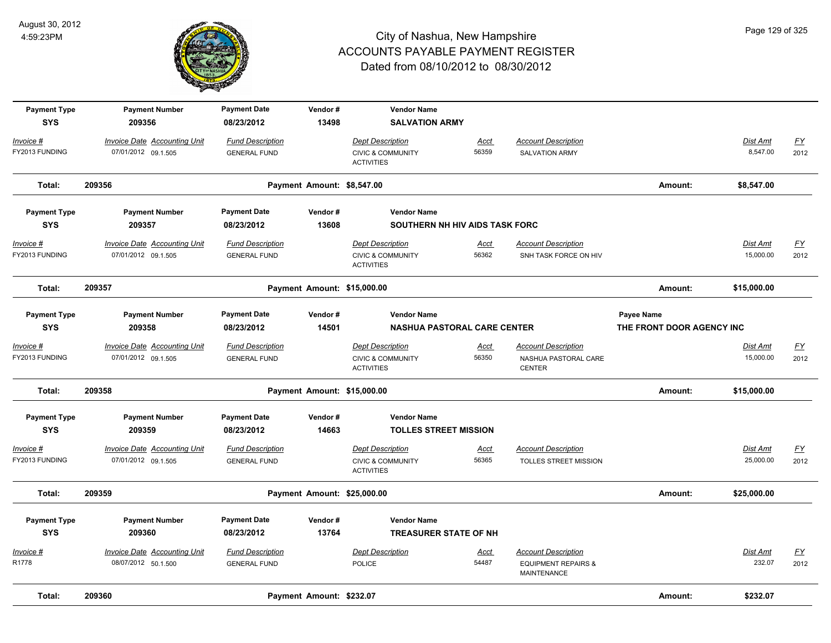

| <b>Payment Type</b><br><b>SYS</b> | <b>Payment Number</b><br>209356                            | <b>Payment Date</b><br>08/23/2012              | Vendor#<br>13498            | <b>Vendor Name</b><br><b>SALVATION ARMY</b>                                  |                      |                                                                             |                                         |                              |                                   |
|-----------------------------------|------------------------------------------------------------|------------------------------------------------|-----------------------------|------------------------------------------------------------------------------|----------------------|-----------------------------------------------------------------------------|-----------------------------------------|------------------------------|-----------------------------------|
| Invoice #<br>FY2013 FUNDING       | Invoice Date Accounting Unit<br>07/01/2012 09.1.505        | <b>Fund Description</b><br><b>GENERAL FUND</b> |                             | <b>Dept Description</b><br><b>CIVIC &amp; COMMUNITY</b><br><b>ACTIVITIES</b> | Acct<br>56359        | <b>Account Description</b><br><b>SALVATION ARMY</b>                         |                                         | Dist Amt<br>8,547.00         | EY<br>2012                        |
| Total:                            | 209356                                                     |                                                | Payment Amount: \$8,547.00  |                                                                              |                      |                                                                             | Amount:                                 | \$8,547.00                   |                                   |
| <b>Payment Type</b>               | <b>Payment Number</b>                                      | <b>Payment Date</b>                            | Vendor#                     | <b>Vendor Name</b>                                                           |                      |                                                                             |                                         |                              |                                   |
| <b>SYS</b>                        | 209357                                                     | 08/23/2012                                     | 13608                       | SOUTHERN NH HIV AIDS TASK FORC                                               |                      |                                                                             |                                         |                              |                                   |
| Invoice #<br>FY2013 FUNDING       | <b>Invoice Date Accounting Unit</b><br>07/01/2012 09.1.505 | <b>Fund Description</b><br><b>GENERAL FUND</b> |                             | <b>Dept Description</b><br><b>CIVIC &amp; COMMUNITY</b><br><b>ACTIVITIES</b> | <u>Acct</u><br>56362 | <b>Account Description</b><br>SNH TASK FORCE ON HIV                         |                                         | <b>Dist Amt</b><br>15,000.00 | EY<br>2012                        |
| Total:                            | 209357                                                     |                                                | Payment Amount: \$15,000.00 |                                                                              |                      |                                                                             | Amount:                                 | \$15,000.00                  |                                   |
| <b>Payment Type</b><br><b>SYS</b> | <b>Payment Number</b><br>209358                            | <b>Payment Date</b><br>08/23/2012              | Vendor#<br>14501            | <b>Vendor Name</b><br><b>NASHUA PASTORAL CARE CENTER</b>                     |                      |                                                                             | Payee Name<br>THE FRONT DOOR AGENCY INC |                              |                                   |
| Invoice #<br>FY2013 FUNDING       | <b>Invoice Date Accounting Unit</b><br>07/01/2012 09.1.505 | <b>Fund Description</b><br><b>GENERAL FUND</b> |                             | <b>Dept Description</b><br><b>CIVIC &amp; COMMUNITY</b><br><b>ACTIVITIES</b> | Acct<br>56350        | <b>Account Description</b><br>NASHUA PASTORAL CARE<br><b>CENTER</b>         |                                         | Dist Amt<br>15,000.00        | <u>FY</u><br>2012                 |
| Total:                            | 209358                                                     |                                                | Payment Amount: \$15,000.00 |                                                                              |                      |                                                                             | Amount:                                 | \$15,000.00                  |                                   |
| <b>Payment Type</b><br><b>SYS</b> | <b>Payment Number</b><br>209359                            | <b>Payment Date</b><br>08/23/2012              | Vendor#<br>14663            | <b>Vendor Name</b><br><b>TOLLES STREET MISSION</b>                           |                      |                                                                             |                                         |                              |                                   |
| Invoice #<br>FY2013 FUNDING       | <b>Invoice Date Accounting Unit</b><br>07/01/2012 09.1.505 | <b>Fund Description</b><br><b>GENERAL FUND</b> |                             | <b>Dept Description</b><br><b>CIVIC &amp; COMMUNITY</b><br><b>ACTIVITIES</b> | Acct<br>56365        | <b>Account Description</b><br>TOLLES STREET MISSION                         |                                         | Dist Amt<br>25,000.00        | $\underline{FY}$<br>2012          |
| Total:                            | 209359                                                     |                                                | Payment Amount: \$25,000.00 |                                                                              |                      |                                                                             | Amount:                                 | \$25,000.00                  |                                   |
| <b>Payment Type</b><br><b>SYS</b> | <b>Payment Number</b><br>209360                            | <b>Payment Date</b><br>08/23/2012              | Vendor#<br>13764            | <b>Vendor Name</b><br><b>TREASURER STATE OF NH</b>                           |                      |                                                                             |                                         |                              |                                   |
| Invoice #<br>R1778                | Invoice Date Accounting Unit<br>08/07/2012 50.1.500        | <b>Fund Description</b><br><b>GENERAL FUND</b> |                             | <b>Dept Description</b><br><b>POLICE</b>                                     | <u>Acct</u><br>54487 | <b>Account Description</b><br><b>EQUIPMENT REPAIRS &amp;</b><br>MAINTENANCE |                                         | Dist Amt<br>232.07           | $\underline{\mathsf{FY}}$<br>2012 |
| Total:                            | 209360                                                     |                                                | Payment Amount: \$232.07    |                                                                              |                      |                                                                             | Amount:                                 | \$232.07                     |                                   |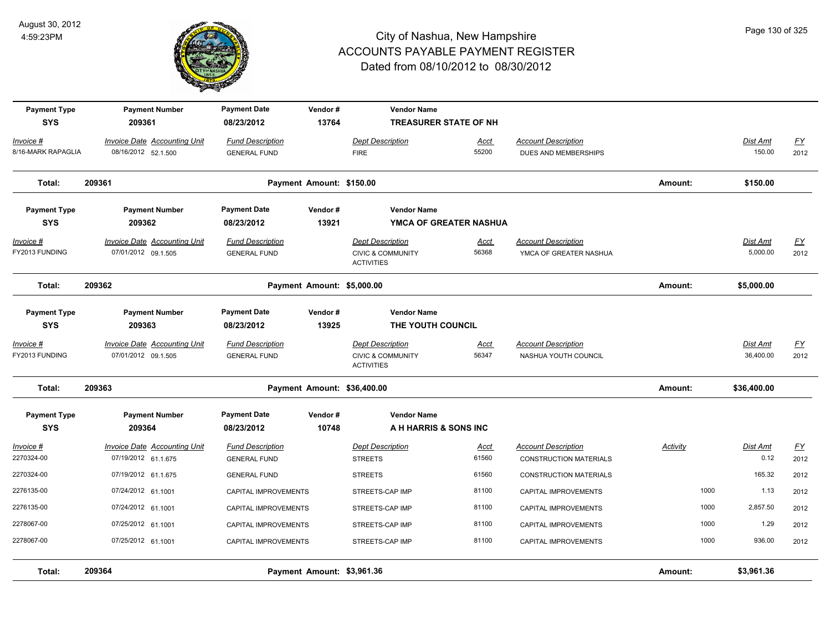

| <b>Payment Type</b><br><b>SYS</b> | <b>Payment Number</b><br>209361                            | <b>Payment Date</b><br>08/23/2012              | Vendor#<br>13764 | <b>Vendor Name</b><br><b>TREASURER STATE OF NH</b>                           |                      |                                                             |          |                              |                          |
|-----------------------------------|------------------------------------------------------------|------------------------------------------------|------------------|------------------------------------------------------------------------------|----------------------|-------------------------------------------------------------|----------|------------------------------|--------------------------|
| Invoice #<br>8/16-MARK RAPAGLIA   | Invoice Date Accounting Unit<br>08/16/2012 52.1.500        | <b>Fund Description</b><br><b>GENERAL FUND</b> |                  | <b>Dept Description</b><br><b>FIRE</b>                                       | Acct<br>55200        | <b>Account Description</b><br>DUES AND MEMBERSHIPS          |          | <b>Dist Amt</b><br>150.00    | EY<br>2012               |
| Total:                            | 209361                                                     | Payment Amount: \$150.00                       |                  |                                                                              |                      |                                                             | Amount:  | \$150.00                     |                          |
| <b>Payment Type</b><br><b>SYS</b> | <b>Payment Number</b><br>209362                            | <b>Payment Date</b><br>08/23/2012              | Vendor#<br>13921 | <b>Vendor Name</b><br>YMCA OF GREATER NASHUA                                 |                      |                                                             |          |                              |                          |
| Invoice #<br>FY2013 FUNDING       | <b>Invoice Date Accounting Unit</b><br>07/01/2012 09.1.505 | <b>Fund Description</b><br><b>GENERAL FUND</b> |                  | <b>Dept Description</b><br><b>CIVIC &amp; COMMUNITY</b><br><b>ACTIVITIES</b> | <u>Acct</u><br>56368 | <b>Account Description</b><br>YMCA OF GREATER NASHUA        |          | Dist Amt<br>5,000.00         | <u>FY</u><br>2012        |
| Total:                            | 209362                                                     | Payment Amount: \$5,000.00                     |                  |                                                                              |                      |                                                             | Amount:  | \$5,000.00                   |                          |
| <b>Payment Type</b><br><b>SYS</b> | <b>Payment Number</b><br>209363                            | <b>Payment Date</b><br>08/23/2012              | Vendor#<br>13925 | <b>Vendor Name</b><br>THE YOUTH COUNCIL                                      |                      |                                                             |          |                              |                          |
| Invoice #<br>FY2013 FUNDING       | <b>Invoice Date Accounting Unit</b><br>07/01/2012 09.1.505 | <b>Fund Description</b><br><b>GENERAL FUND</b> |                  | <b>Dept Description</b><br><b>CIVIC &amp; COMMUNITY</b><br><b>ACTIVITIES</b> | <b>Acct</b><br>56347 | <b>Account Description</b><br>NASHUA YOUTH COUNCIL          |          | <b>Dist Amt</b><br>36,400.00 | $\underline{FY}$<br>2012 |
| Total:                            | 209363                                                     | Payment Amount: \$36,400.00                    |                  |                                                                              |                      |                                                             | Amount:  | \$36,400.00                  |                          |
| <b>Payment Type</b><br><b>SYS</b> | <b>Payment Number</b><br>209364                            | <b>Payment Date</b><br>08/23/2012              | Vendor#<br>10748 | <b>Vendor Name</b><br>A H HARRIS & SONS INC                                  |                      |                                                             |          |                              |                          |
| Invoice #<br>2270324-00           | Invoice Date Accounting Unit<br>07/19/2012 61.1.675        | <b>Fund Description</b><br><b>GENERAL FUND</b> |                  | <b>Dept Description</b><br><b>STREETS</b>                                    | <u>Acct</u><br>61560 | <b>Account Description</b><br><b>CONSTRUCTION MATERIALS</b> | Activity | Dist Amt<br>0.12             | EY<br>2012               |
| 2270324-00                        | 07/19/2012 61.1.675                                        | <b>GENERAL FUND</b>                            |                  | <b>STREETS</b>                                                               | 61560                | <b>CONSTRUCTION MATERIALS</b>                               |          | 165.32                       | 2012                     |
| 2276135-00                        | 07/24/2012 61.1001                                         | CAPITAL IMPROVEMENTS                           |                  | STREETS-CAP IMP                                                              | 81100                | CAPITAL IMPROVEMENTS                                        | 1000     | 1.13                         | 2012                     |
| 2276135-00                        | 07/24/2012 61.1001                                         | CAPITAL IMPROVEMENTS                           |                  | STREETS-CAP IMP                                                              | 81100                | CAPITAL IMPROVEMENTS                                        | 1000     | 2,857.50                     | 2012                     |
| 2278067-00                        | 07/25/2012 61.1001                                         | CAPITAL IMPROVEMENTS                           |                  | STREETS-CAP IMP                                                              | 81100                | <b>CAPITAL IMPROVEMENTS</b>                                 | 1000     | 1.29                         | 2012                     |
| 2278067-00                        | 07/25/2012 61.1001                                         | CAPITAL IMPROVEMENTS                           |                  | STREETS-CAP IMP                                                              | 81100                | <b>CAPITAL IMPROVEMENTS</b>                                 | 1000     | 936.00                       | 2012                     |
| Total:                            | 209364                                                     | Payment Amount: \$3,961.36                     |                  |                                                                              |                      |                                                             | Amount:  | \$3,961.36                   |                          |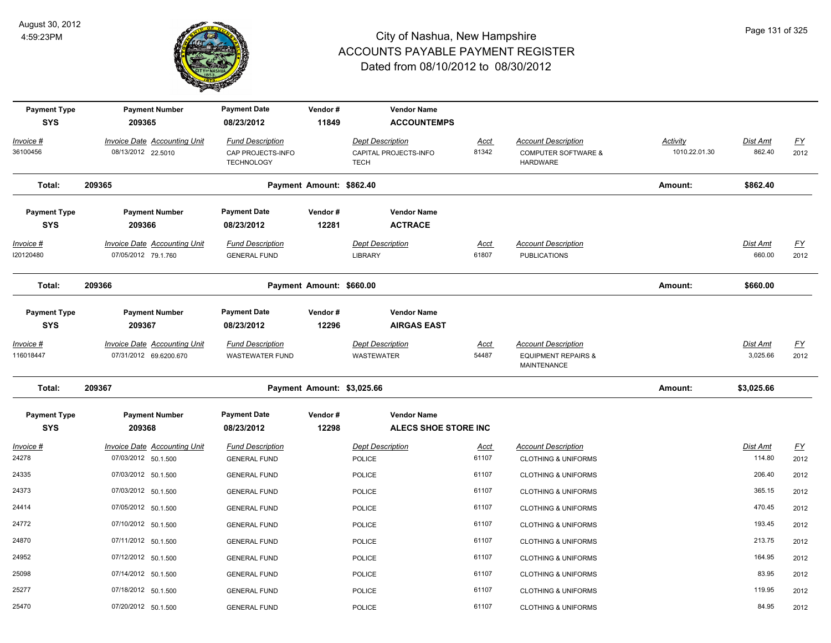

| <b>Payment Type</b><br><b>SYS</b> | <b>Payment Number</b><br>209365                            | <b>Payment Date</b><br>08/23/2012                                 | Vendor#<br>11849           | <b>Vendor Name</b><br><b>ACCOUNTEMPS</b>                        |                      |                                                                                    |                                  |                           |                          |
|-----------------------------------|------------------------------------------------------------|-------------------------------------------------------------------|----------------------------|-----------------------------------------------------------------|----------------------|------------------------------------------------------------------------------------|----------------------------------|---------------------------|--------------------------|
| Invoice #<br>36100456             | <b>Invoice Date Accounting Unit</b><br>08/13/2012 22.5010  | <b>Fund Description</b><br>CAP PROJECTS-INFO<br><b>TECHNOLOGY</b> |                            | <b>Dept Description</b><br>CAPITAL PROJECTS-INFO<br><b>TECH</b> | <u>Acct</u><br>81342 | <b>Account Description</b><br><b>COMPUTER SOFTWARE &amp;</b><br><b>HARDWARE</b>    | <b>Activity</b><br>1010.22.01.30 | <b>Dist Amt</b><br>862.40 | $\underline{FY}$<br>2012 |
| Total:                            | 209365                                                     |                                                                   | Payment Amount: \$862.40   |                                                                 |                      |                                                                                    | Amount:                          | \$862.40                  |                          |
| <b>Payment Type</b><br><b>SYS</b> | <b>Payment Number</b><br>209366                            | <b>Payment Date</b><br>08/23/2012                                 | Vendor#<br>12281           | <b>Vendor Name</b><br><b>ACTRACE</b>                            |                      |                                                                                    |                                  |                           |                          |
| Invoice #<br>120120480            | <b>Invoice Date Accounting Unit</b><br>07/05/2012 79.1.760 | <b>Fund Description</b><br><b>GENERAL FUND</b>                    |                            | <b>Dept Description</b><br><b>LIBRARY</b>                       | <u>Acct</u><br>61807 | <b>Account Description</b><br><b>PUBLICATIONS</b>                                  |                                  | <b>Dist Amt</b><br>660.00 | EY<br>2012               |
| Total:                            | 209366                                                     |                                                                   | Payment Amount: \$660.00   |                                                                 |                      |                                                                                    | Amount:                          | \$660.00                  |                          |
| <b>Payment Type</b><br><b>SYS</b> | <b>Payment Number</b><br>209367                            | <b>Payment Date</b><br>08/23/2012                                 | Vendor#<br>12296           | <b>Vendor Name</b><br><b>AIRGAS EAST</b>                        |                      |                                                                                    |                                  |                           |                          |
| Invoice #<br>116018447            | Invoice Date Accounting Unit<br>07/31/2012 69.6200.670     | <b>Fund Description</b><br><b>WASTEWATER FUND</b>                 |                            | <b>Dept Description</b><br><b>WASTEWATER</b>                    | Acct<br>54487        | <b>Account Description</b><br><b>EQUIPMENT REPAIRS &amp;</b><br><b>MAINTENANCE</b> |                                  | Dist Amt<br>3,025.66      | $\underline{FY}$<br>2012 |
| Total:                            | 209367                                                     |                                                                   | Payment Amount: \$3,025.66 |                                                                 |                      |                                                                                    | Amount:                          | \$3,025.66                |                          |
| <b>Payment Type</b><br><b>SYS</b> | <b>Payment Number</b><br>209368                            | <b>Payment Date</b><br>08/23/2012                                 | Vendor#<br>12298           | <b>Vendor Name</b><br><b>ALECS SHOE STORE INC</b>               |                      |                                                                                    |                                  |                           |                          |
| Invoice #<br>24278                | <b>Invoice Date Accounting Unit</b><br>07/03/2012 50.1.500 | <b>Fund Description</b><br><b>GENERAL FUND</b>                    |                            | <b>Dept Description</b><br><b>POLICE</b>                        | <u>Acct</u><br>61107 | <b>Account Description</b><br><b>CLOTHING &amp; UNIFORMS</b>                       |                                  | Dist Amt<br>114.80        | $\underline{FY}$<br>2012 |
| 24335                             | 07/03/2012 50.1.500                                        | <b>GENERAL FUND</b>                                               |                            | <b>POLICE</b>                                                   | 61107                | <b>CLOTHING &amp; UNIFORMS</b>                                                     |                                  | 206.40                    | 2012                     |
| 24373                             | 07/03/2012 50.1.500                                        | <b>GENERAL FUND</b>                                               |                            | <b>POLICE</b>                                                   | 61107                | <b>CLOTHING &amp; UNIFORMS</b>                                                     |                                  | 365.15                    | 2012                     |
| 24414                             | 07/05/2012 50.1.500                                        | <b>GENERAL FUND</b>                                               |                            | <b>POLICE</b>                                                   | 61107                | <b>CLOTHING &amp; UNIFORMS</b>                                                     |                                  | 470.45                    | 2012                     |
| 24772                             | 07/10/2012 50.1.500                                        | <b>GENERAL FUND</b>                                               |                            | <b>POLICE</b>                                                   | 61107                | <b>CLOTHING &amp; UNIFORMS</b>                                                     |                                  | 193.45                    | 2012                     |
| 24870                             | 07/11/2012 50.1.500                                        | <b>GENERAL FUND</b>                                               |                            | <b>POLICE</b>                                                   | 61107                | <b>CLOTHING &amp; UNIFORMS</b>                                                     |                                  | 213.75                    | 2012                     |
| 24952                             | 07/12/2012 50.1.500                                        | <b>GENERAL FUND</b>                                               |                            | <b>POLICE</b>                                                   | 61107                | <b>CLOTHING &amp; UNIFORMS</b>                                                     |                                  | 164.95                    | 2012                     |
| 25098                             | 07/14/2012 50.1.500                                        | <b>GENERAL FUND</b>                                               |                            | <b>POLICE</b>                                                   | 61107                | <b>CLOTHING &amp; UNIFORMS</b>                                                     |                                  | 83.95                     | 2012                     |
| 25277                             | 07/18/2012 50.1.500                                        | <b>GENERAL FUND</b>                                               |                            | <b>POLICE</b>                                                   | 61107                | <b>CLOTHING &amp; UNIFORMS</b>                                                     |                                  | 119.95                    | 2012                     |
| 25470                             | 07/20/2012 50.1.500                                        | <b>GENERAL FUND</b>                                               |                            | <b>POLICE</b>                                                   | 61107                | <b>CLOTHING &amp; UNIFORMS</b>                                                     |                                  | 84.95                     | 2012                     |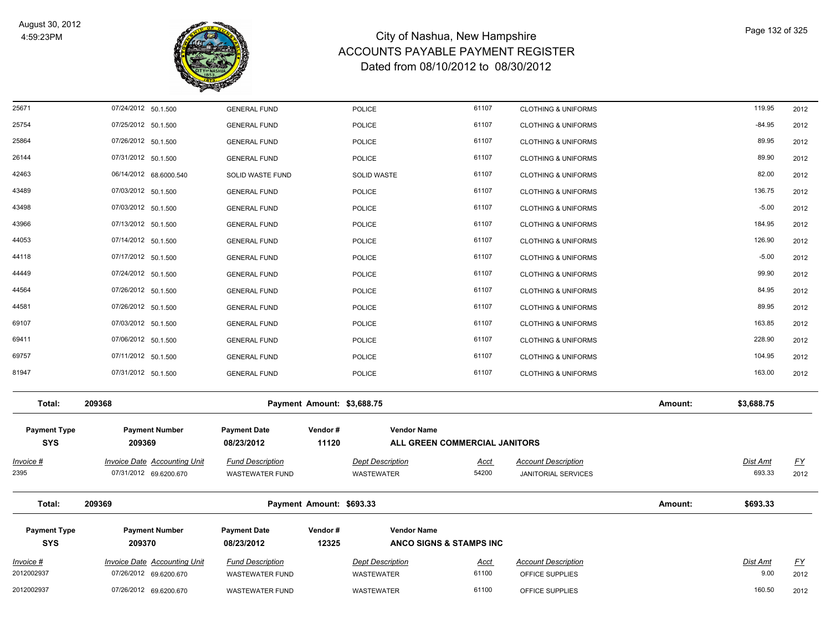

| Invoice #<br>2012002937           | 209370<br><b>Invoice Date Accounting Unit</b><br>07/26/2012 69.6200.670 | 08/23/2012<br><b>Fund Description</b><br><b>WASTEWATER FUND</b> | 12325                      | ANCO SIGNS & STAMPS INC<br><b>Dept Description</b><br><b>WASTEWATER</b> | Acct<br>61100                 | <b>Account Description</b><br>OFFICE SUPPLIES                    |         | Dist Amt<br>9.00   | <u>FY</u><br>2012 |
|-----------------------------------|-------------------------------------------------------------------------|-----------------------------------------------------------------|----------------------------|-------------------------------------------------------------------------|-------------------------------|------------------------------------------------------------------|---------|--------------------|-------------------|
|                                   |                                                                         |                                                                 |                            |                                                                         |                               |                                                                  |         |                    |                   |
| <b>Payment Type</b><br><b>SYS</b> | <b>Payment Number</b>                                                   | <b>Payment Date</b>                                             | Vendor#                    | <b>Vendor Name</b>                                                      |                               |                                                                  |         |                    |                   |
| Total:                            | 209369                                                                  |                                                                 | Payment Amount: \$693.33   |                                                                         |                               |                                                                  | Amount: | \$693.33           |                   |
| Invoice #<br>2395                 | <b>Invoice Date Accounting Unit</b><br>07/31/2012 69.6200.670           | <b>Fund Description</b><br><b>WASTEWATER FUND</b>               |                            | <b>Dept Description</b><br>WASTEWATER                                   | <u>Acct</u><br>54200          | <b>Account Description</b><br><b>JANITORIAL SERVICES</b>         |         | Dist Amt<br>693.33 | <u>FY</u><br>2012 |
| <b>Payment Type</b><br><b>SYS</b> | <b>Payment Number</b><br>209369                                         | <b>Payment Date</b><br>08/23/2012                               | Vendor#<br>11120           | <b>Vendor Name</b>                                                      | ALL GREEN COMMERCIAL JANITORS |                                                                  |         |                    |                   |
| Total:                            | 209368                                                                  |                                                                 | Payment Amount: \$3,688.75 |                                                                         |                               |                                                                  | Amount: | \$3,688.75         |                   |
| 81947                             | 07/31/2012 50.1.500                                                     | <b>GENERAL FUND</b>                                             |                            | <b>POLICE</b>                                                           | 61107                         | <b>CLOTHING &amp; UNIFORMS</b>                                   |         | 163.00             | 2012              |
| 69757                             | 07/11/2012 50.1.500                                                     | <b>GENERAL FUND</b>                                             |                            | <b>POLICE</b>                                                           | 61107                         | <b>CLOTHING &amp; UNIFORMS</b>                                   |         | 104.95             | 2012              |
| 69411                             | 07/06/2012 50.1.500                                                     | <b>GENERAL FUND</b>                                             |                            | <b>POLICE</b>                                                           | 61107                         | <b>CLOTHING &amp; UNIFORMS</b>                                   |         | 228.90             | 2012              |
| 69107                             | 07/03/2012 50.1.500                                                     | <b>GENERAL FUND</b>                                             |                            | <b>POLICE</b>                                                           | 61107                         | <b>CLOTHING &amp; UNIFORMS</b>                                   |         | 163.85             | 2012              |
| 44581                             | 07/26/2012 50.1.500                                                     | <b>GENERAL FUND</b>                                             |                            | <b>POLICE</b>                                                           | 61107                         | <b>CLOTHING &amp; UNIFORMS</b>                                   |         | 89.95              | 2012              |
| 44564                             | 07/26/2012 50.1.500                                                     | <b>GENERAL FUND</b>                                             |                            | <b>POLICE</b>                                                           | 61107                         | <b>CLOTHING &amp; UNIFORMS</b>                                   |         | 84.95              | 2012              |
| 44449                             | 07/24/2012 50.1.500                                                     | <b>GENERAL FUND</b>                                             |                            | <b>POLICE</b>                                                           | 61107                         | <b>CLOTHING &amp; UNIFORMS</b>                                   |         | 99.90              | 2012              |
| 44118                             | 07/17/2012 50.1.500                                                     | <b>GENERAL FUND</b>                                             |                            | <b>POLICE</b>                                                           | 61107                         | <b>CLOTHING &amp; UNIFORMS</b>                                   |         | $-5.00$            | 2012              |
| 44053                             | 07/14/2012 50.1.500                                                     | <b>GENERAL FUND</b>                                             |                            | <b>POLICE</b>                                                           | 61107                         | <b>CLOTHING &amp; UNIFORMS</b>                                   |         | 126.90             | 2012              |
| 43966                             | 07/13/2012 50.1.500                                                     | <b>GENERAL FUND</b>                                             |                            | <b>POLICE</b>                                                           | 61107                         | <b>CLOTHING &amp; UNIFORMS</b>                                   |         | 184.95             | 2012              |
| 43498                             | 07/03/2012 50.1.500                                                     | <b>GENERAL FUND</b>                                             |                            | <b>POLICE</b>                                                           | 61107                         | <b>CLOTHING &amp; UNIFORMS</b>                                   |         | $-5.00$            | 2012              |
| 43489                             | 07/03/2012 50.1.500                                                     | <b>GENERAL FUND</b>                                             |                            | POLICE                                                                  | 61107                         | <b>CLOTHING &amp; UNIFORMS</b>                                   |         | 136.75             | 2012              |
| 42463                             | 06/14/2012 68.6000.540                                                  | <b>GENERAL FUND</b><br>SOLID WASTE FUND                         |                            | POLICE<br><b>SOLID WASTE</b>                                            | 61107                         | <b>CLOTHING &amp; UNIFORMS</b><br><b>CLOTHING &amp; UNIFORMS</b> |         | 82.00              | 2012<br>2012      |
| 25864<br>26144                    | 07/26/2012 50.1.500<br>07/31/2012 50.1.500                              | <b>GENERAL FUND</b>                                             |                            | <b>POLICE</b>                                                           | 61107                         | <b>CLOTHING &amp; UNIFORMS</b>                                   |         | 89.90              | 2012              |
| 25754                             | 07/25/2012 50.1.500                                                     | <b>GENERAL FUND</b>                                             |                            | POLICE                                                                  | 61107                         | <b>CLOTHING &amp; UNIFORMS</b>                                   |         | 89.95              | 2012              |
| 25671                             | 07/24/2012 50.1.500                                                     | <b>GENERAL FUND</b>                                             |                            | <b>POLICE</b>                                                           | 61107<br>61107                | <b>CLOTHING &amp; UNIFORMS</b>                                   |         | 119.95<br>$-84.95$ | 2012              |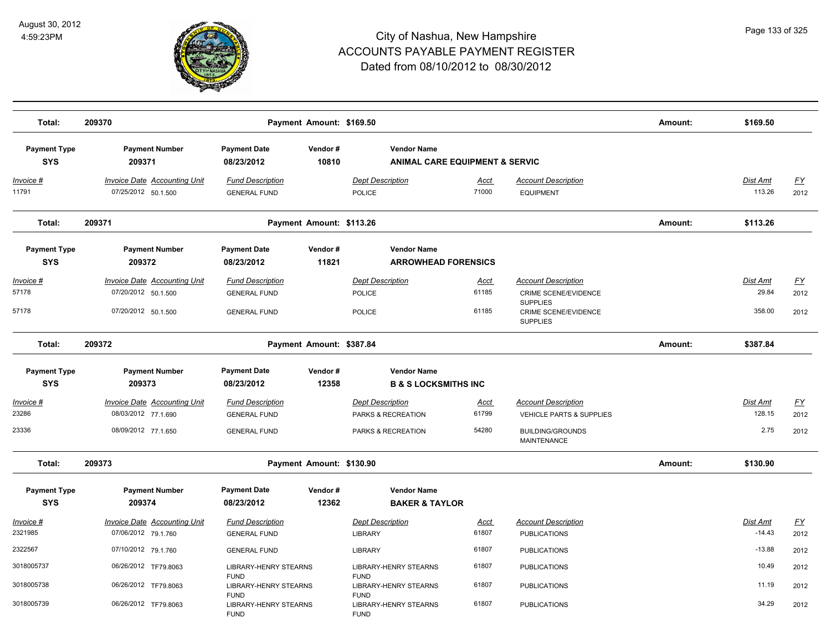

| 209370                                                                            |                                                                       |                  |                                                                                                      |                                                                                                                             |                                                                                                                                | Amount:                                   | \$169.50                          |                           |
|-----------------------------------------------------------------------------------|-----------------------------------------------------------------------|------------------|------------------------------------------------------------------------------------------------------|-----------------------------------------------------------------------------------------------------------------------------|--------------------------------------------------------------------------------------------------------------------------------|-------------------------------------------|-----------------------------------|---------------------------|
| <b>Payment Number</b><br>209371                                                   | <b>Payment Date</b><br>08/23/2012                                     | Vendor#<br>10810 | <b>Vendor Name</b>                                                                                   |                                                                                                                             |                                                                                                                                |                                           |                                   |                           |
| <b>Invoice Date Accounting Unit</b><br>07/25/2012 50.1.500                        | <b>Fund Description</b><br><b>GENERAL FUND</b>                        |                  | <b>Dept Description</b><br><b>POLICE</b>                                                             | <u>Acct</u><br>71000                                                                                                        | <b>Account Description</b><br><b>EQUIPMENT</b>                                                                                 |                                           | <b>Dist Amt</b><br>113.26         | <u>FY</u><br>2012         |
| 209371                                                                            |                                                                       |                  |                                                                                                      |                                                                                                                             |                                                                                                                                | Amount:                                   | \$113.26                          |                           |
| <b>Payment Number</b><br>209372                                                   | <b>Payment Date</b><br>08/23/2012                                     | Vendor#<br>11821 | <b>Vendor Name</b>                                                                                   |                                                                                                                             |                                                                                                                                |                                           |                                   |                           |
| Invoice Date Accounting Unit<br>07/20/2012 50.1.500<br>07/20/2012 50.1.500        | <b>Fund Description</b><br><b>GENERAL FUND</b><br><b>GENERAL FUND</b> |                  | <b>Dept Description</b><br><b>POLICE</b><br>POLICE                                                   | <u>Acct</u><br>61185<br>61185                                                                                               | <b>Account Description</b><br><b>CRIME SCENE/EVIDENCE</b><br><b>SUPPLIES</b><br><b>CRIME SCENE/EVIDENCE</b><br><b>SUPPLIES</b> |                                           | Dist Amt<br>29.84<br>358.00       | <u>FY</u><br>2012<br>2012 |
| 209372                                                                            |                                                                       |                  |                                                                                                      |                                                                                                                             |                                                                                                                                | Amount:                                   | \$387.84                          |                           |
| <b>Payment Number</b><br>209373                                                   | <b>Payment Date</b><br>08/23/2012                                     | Vendor#<br>12358 | <b>Vendor Name</b>                                                                                   |                                                                                                                             |                                                                                                                                |                                           |                                   |                           |
| <b>Invoice Date Accounting Unit</b><br>08/03/2012 77.1.690<br>08/09/2012 77.1.650 | <b>Fund Description</b><br><b>GENERAL FUND</b><br><b>GENERAL FUND</b> |                  | <b>Dept Description</b><br>PARKS & RECREATION<br>PARKS & RECREATION                                  | Acct<br>61799<br>54280                                                                                                      | <b>Account Description</b><br><b>VEHICLE PARTS &amp; SUPPLIES</b><br><b>BUILDING/GROUNDS</b><br><b>MAINTENANCE</b>             |                                           | <b>Dist Amt</b><br>128.15<br>2.75 | <u>FY</u><br>2012<br>2012 |
| 209373                                                                            |                                                                       |                  |                                                                                                      |                                                                                                                             |                                                                                                                                | Amount:                                   | \$130.90                          |                           |
| <b>Payment Number</b><br>209374                                                   | <b>Payment Date</b><br>08/23/2012                                     | Vendor#<br>12362 | <b>Vendor Name</b>                                                                                   |                                                                                                                             |                                                                                                                                |                                           |                                   |                           |
| <b>Invoice Date Accounting Unit</b><br>07/06/2012 79.1.760                        | <b>Fund Description</b><br><b>GENERAL FUND</b>                        |                  | <b>Dept Description</b><br>LIBRARY                                                                   | Acct<br>61807                                                                                                               | <b>Account Description</b><br><b>PUBLICATIONS</b>                                                                              |                                           | Dist Amt<br>$-14.43$              | <u>FY</u><br>2012         |
| 07/10/2012 79.1.760                                                               | <b>GENERAL FUND</b>                                                   |                  | <b>LIBRARY</b>                                                                                       | 61807                                                                                                                       | <b>PUBLICATIONS</b>                                                                                                            |                                           | $-13.88$                          | 2012                      |
| 06/26/2012 TF79.8063                                                              |                                                                       |                  | <b>LIBRARY-HENRY STEARNS</b>                                                                         | 61807                                                                                                                       | <b>PUBLICATIONS</b>                                                                                                            |                                           | 10.49                             | 2012                      |
| 06/26/2012 TF79.8063<br>06/26/2012 TF79.8063                                      | <b>FUND</b>                                                           |                  | <b>LIBRARY-HENRY STEARNS</b><br><b>FUND</b><br><b>LIBRARY-HENRY STEARNS</b>                          | 61807<br>61807                                                                                                              | <b>PUBLICATIONS</b><br><b>PUBLICATIONS</b>                                                                                     |                                           | 11.19<br>34.29                    | 2012<br>2012              |
|                                                                                   |                                                                       | <b>FUND</b>      | <b>LIBRARY-HENRY STEARNS</b><br>LIBRARY-HENRY STEARNS<br><b>LIBRARY-HENRY STEARNS</b><br><b>FUND</b> | Payment Amount: \$169.50<br>Payment Amount: \$113.26<br>Payment Amount: \$387.84<br>Payment Amount: \$130.90<br><b>FUND</b> | <b>ARROWHEAD FORENSICS</b><br><b>B &amp; S LOCKSMITHS INC</b><br><b>BAKER &amp; TAYLOR</b>                                     | <b>ANIMAL CARE EQUIPMENT &amp; SERVIC</b> |                                   |                           |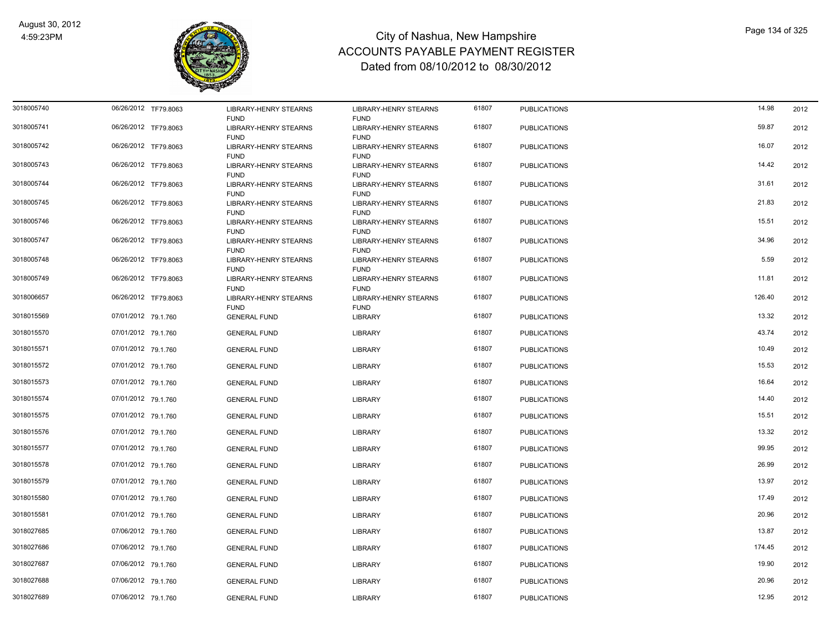

| 3018005740 | 06/26/2012 TF79.8063 |                                             |                                             | 61807 |                     | 14.98  |      |
|------------|----------------------|---------------------------------------------|---------------------------------------------|-------|---------------------|--------|------|
|            |                      | <b>LIBRARY-HENRY STEARNS</b><br><b>FUND</b> | <b>LIBRARY-HENRY STEARNS</b><br><b>FUND</b> |       | <b>PUBLICATIONS</b> |        | 2012 |
| 3018005741 | 06/26/2012 TF79.8063 | <b>LIBRARY-HENRY STEARNS</b>                | <b>LIBRARY-HENRY STEARNS</b>                | 61807 | <b>PUBLICATIONS</b> | 59.87  | 2012 |
|            |                      | <b>FUND</b>                                 | <b>FUND</b>                                 |       |                     |        |      |
| 3018005742 | 06/26/2012 TF79.8063 | <b>LIBRARY-HENRY STEARNS</b>                | <b>LIBRARY-HENRY STEARNS</b>                | 61807 | <b>PUBLICATIONS</b> | 16.07  | 2012 |
|            |                      | <b>FUND</b>                                 | <b>FUND</b>                                 |       |                     |        |      |
| 3018005743 | 06/26/2012 TF79.8063 | <b>LIBRARY-HENRY STEARNS</b>                | <b>LIBRARY-HENRY STEARNS</b>                | 61807 | <b>PUBLICATIONS</b> | 14.42  | 2012 |
| 3018005744 | 06/26/2012 TF79.8063 | <b>FUND</b><br><b>LIBRARY-HENRY STEARNS</b> | <b>FUND</b><br><b>LIBRARY-HENRY STEARNS</b> | 61807 | <b>PUBLICATIONS</b> | 31.61  | 2012 |
|            |                      | <b>FUND</b>                                 | <b>FUND</b>                                 |       |                     |        |      |
| 3018005745 | 06/26/2012 TF79.8063 | <b>LIBRARY-HENRY STEARNS</b>                | <b>LIBRARY-HENRY STEARNS</b>                | 61807 | <b>PUBLICATIONS</b> | 21.83  | 2012 |
|            |                      | <b>FUND</b>                                 | <b>FUND</b>                                 |       |                     |        |      |
| 3018005746 | 06/26/2012 TF79.8063 | <b>LIBRARY-HENRY STEARNS</b>                | <b>LIBRARY-HENRY STEARNS</b>                | 61807 | <b>PUBLICATIONS</b> | 15.51  | 2012 |
|            |                      | <b>FUND</b>                                 | <b>FUND</b>                                 |       |                     |        |      |
| 3018005747 | 06/26/2012 TF79.8063 | LIBRARY-HENRY STEARNS<br><b>FUND</b>        | LIBRARY-HENRY STEARNS<br><b>FUND</b>        | 61807 | <b>PUBLICATIONS</b> | 34.96  | 2012 |
| 3018005748 | 06/26/2012 TF79.8063 | LIBRARY-HENRY STEARNS                       | <b>LIBRARY-HENRY STEARNS</b>                | 61807 | <b>PUBLICATIONS</b> | 5.59   | 2012 |
|            |                      | <b>FUND</b>                                 | <b>FUND</b>                                 |       |                     |        |      |
| 3018005749 | 06/26/2012 TF79.8063 | LIBRARY-HENRY STEARNS                       | <b>LIBRARY-HENRY STEARNS</b>                | 61807 | <b>PUBLICATIONS</b> | 11.81  | 2012 |
|            |                      | <b>FUND</b>                                 | <b>FUND</b>                                 |       |                     |        |      |
| 3018006657 | 06/26/2012 TF79.8063 | LIBRARY-HENRY STEARNS                       | <b>LIBRARY-HENRY STEARNS</b>                | 61807 | <b>PUBLICATIONS</b> | 126.40 | 2012 |
|            |                      | <b>FUND</b>                                 | <b>FUND</b>                                 |       |                     |        |      |
| 3018015569 | 07/01/2012 79.1.760  | <b>GENERAL FUND</b>                         | LIBRARY                                     | 61807 | <b>PUBLICATIONS</b> | 13.32  | 2012 |
| 3018015570 | 07/01/2012 79.1.760  | <b>GENERAL FUND</b>                         | LIBRARY                                     | 61807 | <b>PUBLICATIONS</b> | 43.74  | 2012 |
|            |                      |                                             |                                             |       |                     |        |      |
| 3018015571 | 07/01/2012 79.1.760  | <b>GENERAL FUND</b>                         | <b>LIBRARY</b>                              | 61807 | <b>PUBLICATIONS</b> | 10.49  | 2012 |
| 3018015572 | 07/01/2012 79.1.760  | <b>GENERAL FUND</b>                         | <b>LIBRARY</b>                              | 61807 | <b>PUBLICATIONS</b> | 15.53  | 2012 |
|            |                      |                                             |                                             |       |                     |        |      |
| 3018015573 | 07/01/2012 79.1.760  | <b>GENERAL FUND</b>                         | <b>LIBRARY</b>                              | 61807 | <b>PUBLICATIONS</b> | 16.64  | 2012 |
| 3018015574 | 07/01/2012 79.1.760  | <b>GENERAL FUND</b>                         | <b>LIBRARY</b>                              | 61807 | <b>PUBLICATIONS</b> | 14.40  | 2012 |
|            |                      |                                             |                                             |       |                     |        |      |
| 3018015575 | 07/01/2012 79.1.760  | <b>GENERAL FUND</b>                         | LIBRARY                                     | 61807 | <b>PUBLICATIONS</b> | 15.51  | 2012 |
| 3018015576 | 07/01/2012 79.1.760  | <b>GENERAL FUND</b>                         | LIBRARY                                     | 61807 | <b>PUBLICATIONS</b> | 13.32  | 2012 |
| 3018015577 | 07/01/2012 79.1.760  |                                             |                                             | 61807 |                     | 99.95  |      |
|            |                      | <b>GENERAL FUND</b>                         | LIBRARY                                     |       | <b>PUBLICATIONS</b> |        | 2012 |
| 3018015578 | 07/01/2012 79.1.760  | <b>GENERAL FUND</b>                         | <b>LIBRARY</b>                              | 61807 | <b>PUBLICATIONS</b> | 26.99  | 2012 |
| 3018015579 | 07/01/2012 79.1.760  | <b>GENERAL FUND</b>                         | LIBRARY                                     | 61807 | <b>PUBLICATIONS</b> | 13.97  | 2012 |
|            |                      |                                             |                                             |       |                     |        |      |
| 3018015580 | 07/01/2012 79.1.760  | <b>GENERAL FUND</b>                         | <b>LIBRARY</b>                              | 61807 | <b>PUBLICATIONS</b> | 17.49  | 2012 |
| 3018015581 | 07/01/2012 79.1.760  | <b>GENERAL FUND</b>                         | LIBRARY                                     | 61807 | <b>PUBLICATIONS</b> | 20.96  | 2012 |
|            |                      |                                             |                                             |       |                     |        |      |
| 3018027685 | 07/06/2012 79.1.760  | <b>GENERAL FUND</b>                         | LIBRARY                                     | 61807 | <b>PUBLICATIONS</b> | 13.87  | 2012 |
| 3018027686 | 07/06/2012 79.1.760  | <b>GENERAL FUND</b>                         | LIBRARY                                     | 61807 | <b>PUBLICATIONS</b> | 174.45 | 2012 |
|            |                      |                                             |                                             |       |                     |        |      |
| 3018027687 | 07/06/2012 79.1.760  | <b>GENERAL FUND</b>                         | LIBRARY                                     | 61807 | <b>PUBLICATIONS</b> | 19.90  | 2012 |
| 3018027688 | 07/06/2012 79.1.760  | <b>GENERAL FUND</b>                         | <b>LIBRARY</b>                              | 61807 | <b>PUBLICATIONS</b> | 20.96  | 2012 |
|            |                      |                                             |                                             |       |                     |        |      |
| 3018027689 | 07/06/2012 79.1.760  | <b>GENERAL FUND</b>                         | <b>LIBRARY</b>                              | 61807 | <b>PUBLICATIONS</b> | 12.95  | 2012 |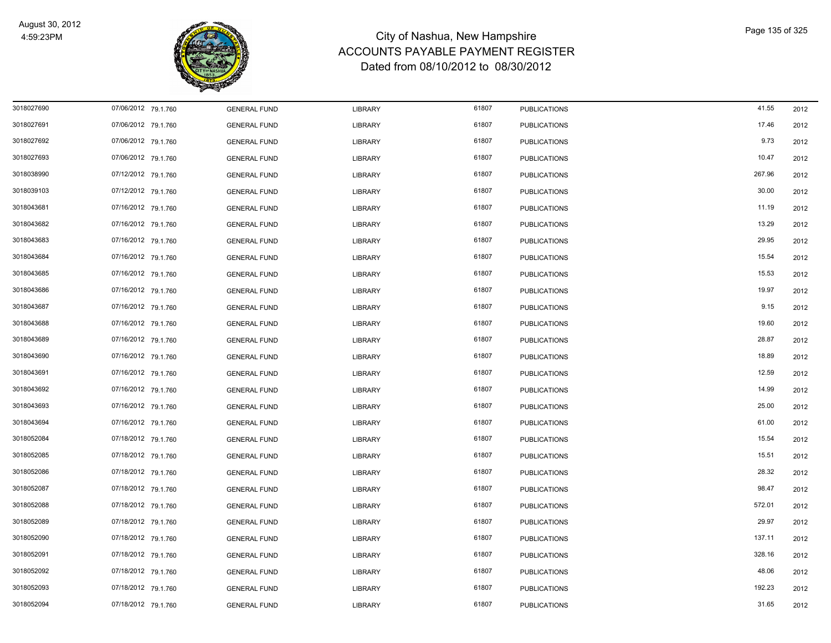

| 3018027690 | 07/06/2012 79.1.760 | <b>GENERAL FUND</b> | LIBRARY        | 61807 | <b>PUBLICATIONS</b> | 41.55  | 2012 |
|------------|---------------------|---------------------|----------------|-------|---------------------|--------|------|
| 3018027691 | 07/06/2012 79.1.760 | <b>GENERAL FUND</b> | LIBRARY        | 61807 | <b>PUBLICATIONS</b> | 17.46  | 2012 |
| 3018027692 | 07/06/2012 79.1.760 | <b>GENERAL FUND</b> | LIBRARY        | 61807 | <b>PUBLICATIONS</b> | 9.73   | 2012 |
| 3018027693 | 07/06/2012 79.1.760 | <b>GENERAL FUND</b> | LIBRARY        | 61807 | <b>PUBLICATIONS</b> | 10.47  | 2012 |
| 3018038990 | 07/12/2012 79.1.760 | <b>GENERAL FUND</b> | LIBRARY        | 61807 | <b>PUBLICATIONS</b> | 267.96 | 2012 |
| 3018039103 | 07/12/2012 79.1.760 | <b>GENERAL FUND</b> | LIBRARY        | 61807 | <b>PUBLICATIONS</b> | 30.00  | 2012 |
| 3018043681 | 07/16/2012 79.1.760 | <b>GENERAL FUND</b> | LIBRARY        | 61807 | <b>PUBLICATIONS</b> | 11.19  | 2012 |
| 3018043682 | 07/16/2012 79.1.760 | <b>GENERAL FUND</b> | LIBRARY        | 61807 | <b>PUBLICATIONS</b> | 13.29  | 2012 |
| 3018043683 | 07/16/2012 79.1.760 | <b>GENERAL FUND</b> | LIBRARY        | 61807 | <b>PUBLICATIONS</b> | 29.95  | 2012 |
| 3018043684 | 07/16/2012 79.1.760 | <b>GENERAL FUND</b> | LIBRARY        | 61807 | <b>PUBLICATIONS</b> | 15.54  | 2012 |
| 3018043685 | 07/16/2012 79.1.760 | <b>GENERAL FUND</b> | <b>LIBRARY</b> | 61807 | <b>PUBLICATIONS</b> | 15.53  | 2012 |
| 3018043686 | 07/16/2012 79.1.760 | <b>GENERAL FUND</b> | LIBRARY        | 61807 | <b>PUBLICATIONS</b> | 19.97  | 2012 |
| 3018043687 | 07/16/2012 79.1.760 | <b>GENERAL FUND</b> | LIBRARY        | 61807 | <b>PUBLICATIONS</b> | 9.15   | 2012 |
| 3018043688 | 07/16/2012 79.1.760 | <b>GENERAL FUND</b> | <b>LIBRARY</b> | 61807 | <b>PUBLICATIONS</b> | 19.60  | 2012 |
| 3018043689 | 07/16/2012 79.1.760 | <b>GENERAL FUND</b> | LIBRARY        | 61807 | <b>PUBLICATIONS</b> | 28.87  | 2012 |
| 3018043690 | 07/16/2012 79.1.760 | <b>GENERAL FUND</b> | LIBRARY        | 61807 | <b>PUBLICATIONS</b> | 18.89  | 2012 |
| 3018043691 | 07/16/2012 79.1.760 | <b>GENERAL FUND</b> | LIBRARY        | 61807 | <b>PUBLICATIONS</b> | 12.59  | 2012 |
| 3018043692 | 07/16/2012 79.1.760 | <b>GENERAL FUND</b> | LIBRARY        | 61807 | <b>PUBLICATIONS</b> | 14.99  | 2012 |
| 3018043693 | 07/16/2012 79.1.760 | <b>GENERAL FUND</b> | <b>LIBRARY</b> | 61807 | <b>PUBLICATIONS</b> | 25.00  | 2012 |
| 3018043694 | 07/16/2012 79.1.760 | <b>GENERAL FUND</b> | <b>LIBRARY</b> | 61807 | <b>PUBLICATIONS</b> | 61.00  | 2012 |
| 3018052084 | 07/18/2012 79.1.760 | <b>GENERAL FUND</b> | LIBRARY        | 61807 | <b>PUBLICATIONS</b> | 15.54  | 2012 |
| 3018052085 | 07/18/2012 79.1.760 | <b>GENERAL FUND</b> | <b>LIBRARY</b> | 61807 | <b>PUBLICATIONS</b> | 15.51  | 2012 |
| 3018052086 | 07/18/2012 79.1.760 | <b>GENERAL FUND</b> | LIBRARY        | 61807 | <b>PUBLICATIONS</b> | 28.32  | 2012 |
| 3018052087 | 07/18/2012 79.1.760 | <b>GENERAL FUND</b> | LIBRARY        | 61807 | <b>PUBLICATIONS</b> | 98.47  | 2012 |
| 3018052088 | 07/18/2012 79.1.760 | <b>GENERAL FUND</b> | LIBRARY        | 61807 | <b>PUBLICATIONS</b> | 572.01 | 2012 |
| 3018052089 | 07/18/2012 79.1.760 | <b>GENERAL FUND</b> | LIBRARY        | 61807 | <b>PUBLICATIONS</b> | 29.97  | 2012 |
| 3018052090 | 07/18/2012 79.1.760 | <b>GENERAL FUND</b> | LIBRARY        | 61807 | <b>PUBLICATIONS</b> | 137.11 | 2012 |
| 3018052091 | 07/18/2012 79.1.760 | <b>GENERAL FUND</b> | LIBRARY        | 61807 | <b>PUBLICATIONS</b> | 328.16 | 2012 |
| 3018052092 | 07/18/2012 79.1.760 | <b>GENERAL FUND</b> | LIBRARY        | 61807 | <b>PUBLICATIONS</b> | 48.06  | 2012 |
| 3018052093 | 07/18/2012 79.1.760 | <b>GENERAL FUND</b> | LIBRARY        | 61807 | <b>PUBLICATIONS</b> | 192.23 | 2012 |
| 3018052094 | 07/18/2012 79.1.760 | <b>GENERAL FUND</b> | <b>LIBRARY</b> | 61807 | <b>PUBLICATIONS</b> | 31.65  | 2012 |
|            |                     |                     |                |       |                     |        |      |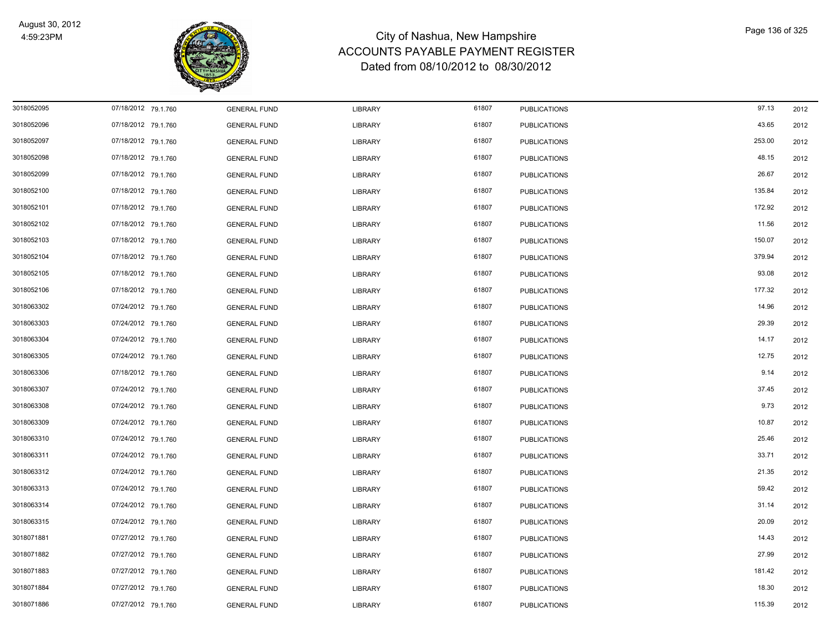

| 3018052095 | 07/18/2012 79.1.760 | <b>GENERAL FUND</b> | LIBRARY        | 61807 | <b>PUBLICATIONS</b> | 97.13  | 2012 |
|------------|---------------------|---------------------|----------------|-------|---------------------|--------|------|
| 3018052096 | 07/18/2012 79.1.760 | <b>GENERAL FUND</b> | LIBRARY        | 61807 | <b>PUBLICATIONS</b> | 43.65  | 2012 |
| 3018052097 | 07/18/2012 79.1.760 | <b>GENERAL FUND</b> | LIBRARY        | 61807 | <b>PUBLICATIONS</b> | 253.00 | 2012 |
| 3018052098 | 07/18/2012 79.1.760 | <b>GENERAL FUND</b> | LIBRARY        | 61807 | <b>PUBLICATIONS</b> | 48.15  | 2012 |
| 3018052099 | 07/18/2012 79.1.760 | <b>GENERAL FUND</b> | LIBRARY        | 61807 | <b>PUBLICATIONS</b> | 26.67  | 2012 |
| 3018052100 | 07/18/2012 79.1.760 | <b>GENERAL FUND</b> | LIBRARY        | 61807 | <b>PUBLICATIONS</b> | 135.84 | 2012 |
| 3018052101 | 07/18/2012 79.1.760 | <b>GENERAL FUND</b> | LIBRARY        | 61807 | <b>PUBLICATIONS</b> | 172.92 | 2012 |
| 3018052102 | 07/18/2012 79.1.760 | <b>GENERAL FUND</b> | LIBRARY        | 61807 | <b>PUBLICATIONS</b> | 11.56  | 2012 |
| 3018052103 | 07/18/2012 79.1.760 | <b>GENERAL FUND</b> | LIBRARY        | 61807 | <b>PUBLICATIONS</b> | 150.07 | 2012 |
| 3018052104 | 07/18/2012 79.1.760 | <b>GENERAL FUND</b> | LIBRARY        | 61807 | <b>PUBLICATIONS</b> | 379.94 | 2012 |
| 3018052105 | 07/18/2012 79.1.760 | <b>GENERAL FUND</b> | <b>LIBRARY</b> | 61807 | <b>PUBLICATIONS</b> | 93.08  | 2012 |
| 3018052106 | 07/18/2012 79.1.760 | <b>GENERAL FUND</b> | LIBRARY        | 61807 | <b>PUBLICATIONS</b> | 177.32 | 2012 |
| 3018063302 | 07/24/2012 79.1.760 | <b>GENERAL FUND</b> | LIBRARY        | 61807 | <b>PUBLICATIONS</b> | 14.96  | 2012 |
| 3018063303 | 07/24/2012 79.1.760 | <b>GENERAL FUND</b> | <b>LIBRARY</b> | 61807 | <b>PUBLICATIONS</b> | 29.39  | 2012 |
| 3018063304 | 07/24/2012 79.1.760 | <b>GENERAL FUND</b> | LIBRARY        | 61807 | <b>PUBLICATIONS</b> | 14.17  | 2012 |
| 3018063305 | 07/24/2012 79.1.760 | <b>GENERAL FUND</b> | LIBRARY        | 61807 | <b>PUBLICATIONS</b> | 12.75  | 2012 |
| 3018063306 | 07/18/2012 79.1.760 | <b>GENERAL FUND</b> | LIBRARY        | 61807 | <b>PUBLICATIONS</b> | 9.14   | 2012 |
| 3018063307 | 07/24/2012 79.1.760 | <b>GENERAL FUND</b> | LIBRARY        | 61807 | <b>PUBLICATIONS</b> | 37.45  | 2012 |
| 3018063308 | 07/24/2012 79.1.760 | <b>GENERAL FUND</b> | <b>LIBRARY</b> | 61807 | <b>PUBLICATIONS</b> | 9.73   | 2012 |
| 3018063309 | 07/24/2012 79.1.760 | <b>GENERAL FUND</b> | <b>LIBRARY</b> | 61807 | <b>PUBLICATIONS</b> | 10.87  | 2012 |
| 3018063310 | 07/24/2012 79.1.760 | <b>GENERAL FUND</b> | LIBRARY        | 61807 | <b>PUBLICATIONS</b> | 25.46  | 2012 |
| 3018063311 | 07/24/2012 79.1.760 | <b>GENERAL FUND</b> | <b>LIBRARY</b> | 61807 | <b>PUBLICATIONS</b> | 33.71  | 2012 |
| 3018063312 | 07/24/2012 79.1.760 | <b>GENERAL FUND</b> | LIBRARY        | 61807 | <b>PUBLICATIONS</b> | 21.35  | 2012 |
| 3018063313 | 07/24/2012 79.1.760 | <b>GENERAL FUND</b> | LIBRARY        | 61807 | <b>PUBLICATIONS</b> | 59.42  | 2012 |
| 3018063314 | 07/24/2012 79.1.760 | <b>GENERAL FUND</b> | LIBRARY        | 61807 | <b>PUBLICATIONS</b> | 31.14  | 2012 |
| 3018063315 | 07/24/2012 79.1.760 | <b>GENERAL FUND</b> | LIBRARY        | 61807 | <b>PUBLICATIONS</b> | 20.09  | 2012 |
| 3018071881 | 07/27/2012 79.1.760 | <b>GENERAL FUND</b> | LIBRARY        | 61807 | <b>PUBLICATIONS</b> | 14.43  | 2012 |
| 3018071882 | 07/27/2012 79.1.760 | <b>GENERAL FUND</b> | LIBRARY        | 61807 | <b>PUBLICATIONS</b> | 27.99  | 2012 |
| 3018071883 | 07/27/2012 79.1.760 | <b>GENERAL FUND</b> | LIBRARY        | 61807 | <b>PUBLICATIONS</b> | 181.42 | 2012 |
| 3018071884 | 07/27/2012 79.1.760 | <b>GENERAL FUND</b> | LIBRARY        | 61807 | <b>PUBLICATIONS</b> | 18.30  | 2012 |
| 3018071886 | 07/27/2012 79.1.760 | <b>GENERAL FUND</b> | <b>LIBRARY</b> | 61807 | <b>PUBLICATIONS</b> | 115.39 | 2012 |
|            |                     |                     |                |       |                     |        |      |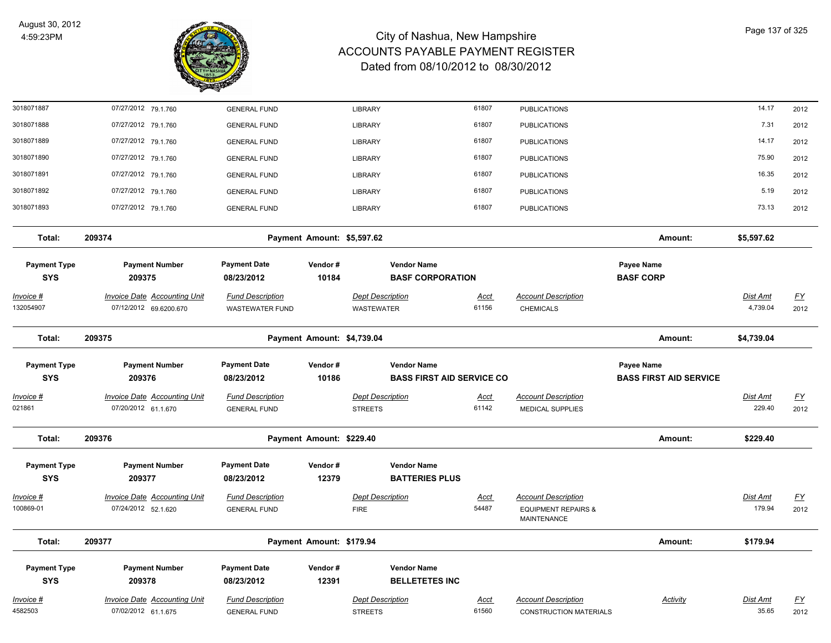

| 3018071887                        | 07/27/2012 79.1.760                                           | <b>GENERAL FUND</b>                               |                            | <b>LIBRARY</b>                        |                                               | 61807                | <b>PUBLICATIONS</b>                            |                                | 14.17                | 2012                              |
|-----------------------------------|---------------------------------------------------------------|---------------------------------------------------|----------------------------|---------------------------------------|-----------------------------------------------|----------------------|------------------------------------------------|--------------------------------|----------------------|-----------------------------------|
| 3018071888                        | 07/27/2012 79.1.760                                           | <b>GENERAL FUND</b>                               |                            | <b>LIBRARY</b>                        |                                               | 61807                | <b>PUBLICATIONS</b>                            |                                | 7.31                 | 2012                              |
| 3018071889                        | 07/27/2012 79.1.760                                           | <b>GENERAL FUND</b>                               |                            | LIBRARY                               |                                               | 61807                | <b>PUBLICATIONS</b>                            |                                | 14.17                | 2012                              |
| 3018071890                        | 07/27/2012 79.1.760                                           | <b>GENERAL FUND</b>                               |                            | <b>LIBRARY</b>                        |                                               | 61807                | <b>PUBLICATIONS</b>                            |                                | 75.90                | 2012                              |
| 3018071891                        | 07/27/2012 79.1.760                                           | <b>GENERAL FUND</b>                               |                            | LIBRARY                               |                                               | 61807                | <b>PUBLICATIONS</b>                            |                                | 16.35                | 2012                              |
| 3018071892                        | 07/27/2012 79.1.760                                           | <b>GENERAL FUND</b>                               |                            | <b>LIBRARY</b>                        |                                               | 61807                | <b>PUBLICATIONS</b>                            |                                | 5.19                 | 2012                              |
| 3018071893                        | 07/27/2012 79.1.760                                           | <b>GENERAL FUND</b>                               |                            | <b>LIBRARY</b>                        |                                               | 61807                | <b>PUBLICATIONS</b>                            |                                | 73.13                | 2012                              |
| Total:                            | 209374                                                        |                                                   | Payment Amount: \$5,597.62 |                                       |                                               |                      |                                                | Amount:                        | \$5,597.62           |                                   |
| <b>Payment Type</b><br><b>SYS</b> | <b>Payment Number</b><br>209375                               | <b>Payment Date</b>                               | Vendor#<br>10184           |                                       | <b>Vendor Name</b><br><b>BASF CORPORATION</b> |                      |                                                | Payee Name<br><b>BASF CORP</b> |                      |                                   |
|                                   |                                                               | 08/23/2012                                        |                            |                                       |                                               |                      |                                                |                                |                      |                                   |
| <u> Invoice #</u><br>132054907    | <b>Invoice Date Accounting Unit</b><br>07/12/2012 69.6200.670 | <b>Fund Description</b><br><b>WASTEWATER FUND</b> |                            | <b>Dept Description</b><br>WASTEWATER |                                               | <u>Acct</u><br>61156 | <b>Account Description</b><br><b>CHEMICALS</b> |                                | Dist Amt<br>4,739.04 | $\underline{\mathsf{FY}}$<br>2012 |
| Total:                            | 209375                                                        |                                                   | Payment Amount: \$4,739.04 |                                       |                                               |                      |                                                | Amount:                        | \$4,739.04           |                                   |
| <b>Payment Type</b>               | <b>Payment Number</b>                                         | <b>Payment Date</b>                               | Vendor#                    |                                       | <b>Vendor Name</b>                            |                      |                                                | Payee Name                     |                      |                                   |
| <b>SYS</b>                        | 209376                                                        | 08/23/2012                                        | 10186                      |                                       | <b>BASS FIRST AID SERVICE CO</b>              |                      |                                                | <b>BASS FIRST AID SERVICE</b>  |                      |                                   |
| Invoice #                         | <b>Invoice Date Accounting Unit</b>                           | <b>Fund Description</b>                           |                            | <b>Dept Description</b>               |                                               | <u>Acct</u>          | <b>Account Description</b>                     |                                | Dist Amt             | $\underline{FY}$                  |
| 021861                            | 07/20/2012 61.1.670                                           | <b>GENERAL FUND</b>                               |                            | <b>STREETS</b>                        |                                               | 61142                | MEDICAL SUPPLIES                               |                                | 229.40               | 2012                              |
| Total:                            | 209376                                                        |                                                   | Payment Amount: \$229.40   |                                       |                                               |                      |                                                | Amount:                        | \$229.40             |                                   |
| <b>Payment Type</b>               | <b>Payment Number</b>                                         | <b>Payment Date</b>                               | Vendor#                    |                                       | <b>Vendor Name</b>                            |                      |                                                |                                |                      |                                   |
| <b>SYS</b>                        | 209377                                                        | 08/23/2012                                        | 12379                      |                                       | <b>BATTERIES PLUS</b>                         |                      |                                                |                                |                      |                                   |
| Invoice #                         | <b>Invoice Date Accounting Unit</b>                           | <b>Fund Description</b>                           |                            | <b>Dept Description</b>               |                                               | <u>Acct</u>          | <b>Account Description</b>                     |                                | Dist Amt             | $\underline{FY}$                  |
| 100869-01                         | 07/24/2012 52.1.620                                           | <b>GENERAL FUND</b>                               |                            | <b>FIRE</b>                           |                                               | 54487                | <b>EQUIPMENT REPAIRS &amp;</b><br>MAINTENANCE  |                                | 179.94               | 2012                              |
| Total:                            | 209377                                                        |                                                   | Payment Amount: \$179.94   |                                       |                                               |                      |                                                | Amount:                        | \$179.94             |                                   |
| <b>Payment Type</b>               | <b>Payment Number</b>                                         | <b>Payment Date</b>                               | Vendor#                    |                                       | <b>Vendor Name</b>                            |                      |                                                |                                |                      |                                   |
| <b>SYS</b>                        | 209378                                                        | 08/23/2012                                        | 12391                      |                                       | <b>BELLETETES INC</b>                         |                      |                                                |                                |                      |                                   |
| <u> Invoice #</u>                 | <b>Invoice Date Accounting Unit</b>                           | <b>Fund Description</b>                           |                            | <b>Dept Description</b>               |                                               | <u>Acct</u>          | <b>Account Description</b>                     | <b>Activity</b>                | Dist Amt             | <u>FY</u>                         |
| 4582503                           | 07/02/2012 61.1.675                                           | <b>GENERAL FUND</b>                               |                            | <b>STREETS</b>                        |                                               | 61560                | <b>CONSTRUCTION MATERIALS</b>                  |                                | 35.65                | 2012                              |
|                                   |                                                               |                                                   |                            |                                       |                                               |                      |                                                |                                |                      |                                   |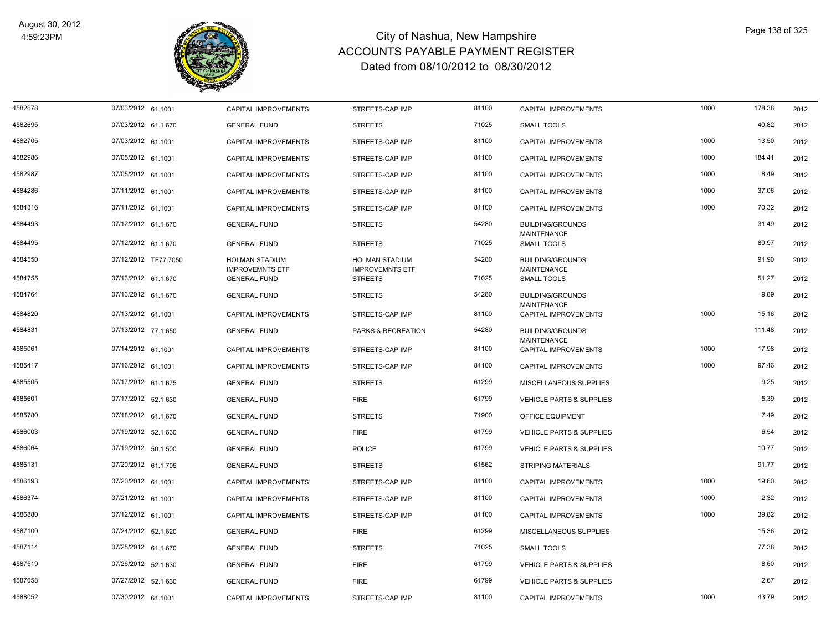

| 4582678 | 07/03/2012 61.1001   | CAPITAL IMPROVEMENTS                          | STREETS-CAP IMP                          | 81100 | CAPITAL IMPROVEMENTS                              | 1000 | 178.38 | 2012 |
|---------|----------------------|-----------------------------------------------|------------------------------------------|-------|---------------------------------------------------|------|--------|------|
| 4582695 | 07/03/2012 61.1.670  | <b>GENERAL FUND</b>                           | <b>STREETS</b>                           | 71025 | <b>SMALL TOOLS</b>                                |      | 40.82  | 2012 |
| 4582705 | 07/03/2012 61.1001   | <b>CAPITAL IMPROVEMENTS</b>                   | STREETS-CAP IMP                          | 81100 | <b>CAPITAL IMPROVEMENTS</b>                       | 1000 | 13.50  | 2012 |
| 4582986 | 07/05/2012 61.1001   | CAPITAL IMPROVEMENTS                          | STREETS-CAP IMP                          | 81100 | CAPITAL IMPROVEMENTS                              | 1000 | 184.41 | 2012 |
| 4582987 | 07/05/2012 61.1001   | <b>CAPITAL IMPROVEMENTS</b>                   | STREETS-CAP IMP                          | 81100 | <b>CAPITAL IMPROVEMENTS</b>                       | 1000 | 8.49   | 2012 |
| 4584286 | 07/11/2012 61.1001   | <b>CAPITAL IMPROVEMENTS</b>                   | STREETS-CAP IMP                          | 81100 | <b>CAPITAL IMPROVEMENTS</b>                       | 1000 | 37.06  | 2012 |
| 4584316 | 07/11/2012 61.1001   | CAPITAL IMPROVEMENTS                          | STREETS-CAP IMP                          | 81100 | CAPITAL IMPROVEMENTS                              | 1000 | 70.32  | 2012 |
| 4584493 | 07/12/2012 61.1.670  | <b>GENERAL FUND</b>                           | <b>STREETS</b>                           | 54280 | <b>BUILDING/GROUNDS</b>                           |      | 31.49  | 2012 |
| 4584495 | 07/12/2012 61.1.670  | <b>GENERAL FUND</b>                           | <b>STREETS</b>                           | 71025 | <b>MAINTENANCE</b><br><b>SMALL TOOLS</b>          |      | 80.97  | 2012 |
| 4584550 | 07/12/2012 TF77.7050 | <b>HOLMAN STADIUM</b>                         | <b>HOLMAN STADIUM</b>                    | 54280 | <b>BUILDING/GROUNDS</b>                           |      | 91.90  | 2012 |
| 4584755 | 07/13/2012 61.1.670  | <b>IMPROVEMNTS ETF</b><br><b>GENERAL FUND</b> | <b>IMPROVEMNTS ETF</b><br><b>STREETS</b> | 71025 | MAINTENANCE<br>SMALL TOOLS                        |      | 51.27  | 2012 |
| 4584764 | 07/13/2012 61.1.670  | <b>GENERAL FUND</b>                           | <b>STREETS</b>                           | 54280 | <b>BUILDING/GROUNDS</b>                           |      | 9.89   | 2012 |
| 4584820 | 07/13/2012 61.1001   | <b>CAPITAL IMPROVEMENTS</b>                   | STREETS-CAP IMP                          | 81100 | <b>MAINTENANCE</b><br><b>CAPITAL IMPROVEMENTS</b> | 1000 | 15.16  | 2012 |
| 4584831 | 07/13/2012 77.1.650  | <b>GENERAL FUND</b>                           | PARKS & RECREATION                       | 54280 | <b>BUILDING/GROUNDS</b>                           |      | 111.48 | 2012 |
| 4585061 | 07/14/2012 61.1001   | <b>CAPITAL IMPROVEMENTS</b>                   | STREETS-CAP IMP                          | 81100 | MAINTENANCE<br><b>CAPITAL IMPROVEMENTS</b>        | 1000 | 17.98  | 2012 |
| 4585417 | 07/16/2012 61.1001   | CAPITAL IMPROVEMENTS                          | STREETS-CAP IMP                          | 81100 | CAPITAL IMPROVEMENTS                              | 1000 | 97.46  | 2012 |
| 4585505 | 07/17/2012 61.1.675  | <b>GENERAL FUND</b>                           | <b>STREETS</b>                           | 61299 | MISCELLANEOUS SUPPLIES                            |      | 9.25   | 2012 |
| 4585601 | 07/17/2012 52.1.630  | <b>GENERAL FUND</b>                           | <b>FIRE</b>                              | 61799 | <b>VEHICLE PARTS &amp; SUPPLIES</b>               |      | 5.39   | 2012 |
| 4585780 | 07/18/2012 61.1.670  | <b>GENERAL FUND</b>                           | <b>STREETS</b>                           | 71900 | OFFICE EQUIPMENT                                  |      | 7.49   | 2012 |
| 4586003 | 07/19/2012 52.1.630  | <b>GENERAL FUND</b>                           | <b>FIRE</b>                              | 61799 | <b>VEHICLE PARTS &amp; SUPPLIES</b>               |      | 6.54   | 2012 |
| 4586064 | 07/19/2012 50.1.500  | <b>GENERAL FUND</b>                           | <b>POLICE</b>                            | 61799 | <b>VEHICLE PARTS &amp; SUPPLIES</b>               |      | 10.77  | 2012 |
| 4586131 | 07/20/2012 61.1.705  | <b>GENERAL FUND</b>                           | <b>STREETS</b>                           | 61562 | <b>STRIPING MATERIALS</b>                         |      | 91.77  | 2012 |
| 4586193 | 07/20/2012 61.1001   | <b>CAPITAL IMPROVEMENTS</b>                   | STREETS-CAP IMP                          | 81100 | <b>CAPITAL IMPROVEMENTS</b>                       | 1000 | 19.60  | 2012 |
| 4586374 | 07/21/2012 61.1001   | <b>CAPITAL IMPROVEMENTS</b>                   | STREETS-CAP IMP                          | 81100 | <b>CAPITAL IMPROVEMENTS</b>                       | 1000 | 2.32   | 2012 |
| 4586880 | 07/12/2012 61.1001   | CAPITAL IMPROVEMENTS                          | STREETS-CAP IMP                          | 81100 | CAPITAL IMPROVEMENTS                              | 1000 | 39.82  | 2012 |
| 4587100 | 07/24/2012 52.1.620  | <b>GENERAL FUND</b>                           | <b>FIRE</b>                              | 61299 | MISCELLANEOUS SUPPLIES                            |      | 15.36  | 2012 |
| 4587114 | 07/25/2012 61.1.670  | <b>GENERAL FUND</b>                           | <b>STREETS</b>                           | 71025 | <b>SMALL TOOLS</b>                                |      | 77.38  | 2012 |
| 4587519 | 07/26/2012 52.1.630  | <b>GENERAL FUND</b>                           | <b>FIRE</b>                              | 61799 | <b>VEHICLE PARTS &amp; SUPPLIES</b>               |      | 8.60   | 2012 |
| 4587658 | 07/27/2012 52.1.630  | <b>GENERAL FUND</b>                           | <b>FIRE</b>                              | 61799 | <b>VEHICLE PARTS &amp; SUPPLIES</b>               |      | 2.67   | 2012 |
| 4588052 | 07/30/2012 61.1001   | CAPITAL IMPROVEMENTS                          | STREETS-CAP IMP                          | 81100 | CAPITAL IMPROVEMENTS                              | 1000 | 43.79  | 2012 |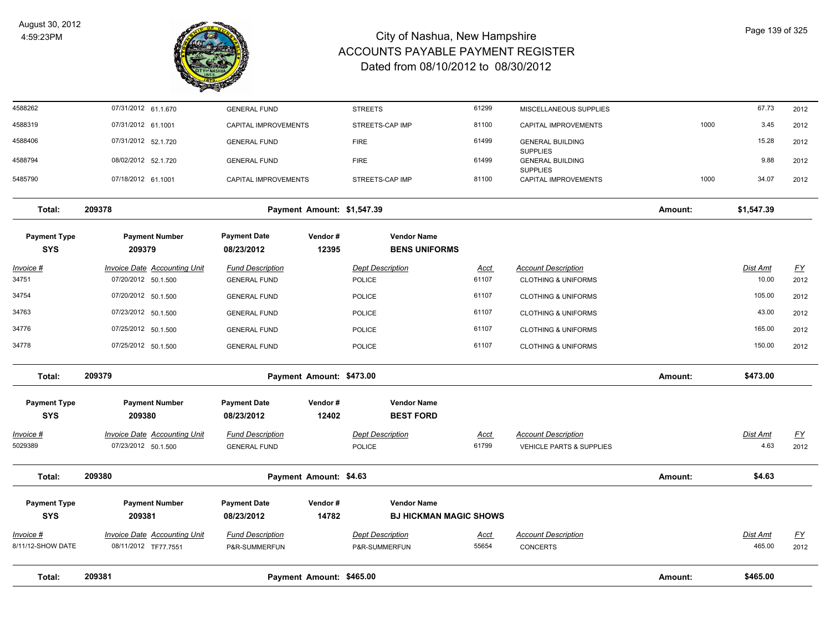

| Total:                         | 209381                                                      |                                                | Payment Amount: \$465.00   |                                          |                      |                                                              | Amount: | \$465.00           |                          |
|--------------------------------|-------------------------------------------------------------|------------------------------------------------|----------------------------|------------------------------------------|----------------------|--------------------------------------------------------------|---------|--------------------|--------------------------|
| Invoice #<br>8/11/12-SHOW DATE | <b>Invoice Date Accounting Unit</b><br>08/11/2012 TF77.7551 | <b>Fund Description</b><br>P&R-SUMMERFUN       |                            | <b>Dept Description</b><br>P&R-SUMMERFUN | <u>Acct</u><br>55654 | <b>Account Description</b><br><b>CONCERTS</b>                |         | Dist Amt<br>465.00 | <u>FY</u><br>2012        |
| <b>SYS</b>                     | 209381                                                      | 08/23/2012                                     | 14782                      | <b>BJ HICKMAN MAGIC SHOWS</b>            |                      |                                                              |         |                    |                          |
| <b>Payment Type</b>            | <b>Payment Number</b>                                       | <b>Payment Date</b>                            | Vendor#                    | <b>Vendor Name</b>                       |                      |                                                              |         |                    |                          |
| Total:                         | 209380                                                      |                                                | Payment Amount: \$4.63     |                                          |                      |                                                              | Amount: | \$4.63             |                          |
| Invoice #<br>5029389           | <b>Invoice Date Accounting Unit</b><br>07/23/2012 50.1.500  | <b>Fund Description</b><br><b>GENERAL FUND</b> |                            | <b>Dept Description</b><br>POLICE        | <u>Acct</u><br>61799 | <b>Account Description</b><br>VEHICLE PARTS & SUPPLIES       |         | Dist Amt<br>4.63   | $\underline{FY}$<br>2012 |
| <b>SYS</b>                     | 209380                                                      | 08/23/2012                                     | 12402                      | <b>BEST FORD</b>                         |                      |                                                              |         |                    |                          |
| <b>Payment Type</b>            | <b>Payment Number</b>                                       | <b>Payment Date</b>                            | Vendor#                    | <b>Vendor Name</b>                       |                      |                                                              |         |                    |                          |
| Total:                         | 209379                                                      |                                                | Payment Amount: \$473.00   |                                          |                      |                                                              | Amount: | \$473.00           |                          |
| 34778                          | 07/25/2012 50.1.500                                         | <b>GENERAL FUND</b>                            |                            | <b>POLICE</b>                            | 61107                | <b>CLOTHING &amp; UNIFORMS</b>                               |         | 150.00             | 2012                     |
| 34776                          | 07/25/2012 50.1.500                                         | <b>GENERAL FUND</b>                            |                            | <b>POLICE</b>                            | 61107                | <b>CLOTHING &amp; UNIFORMS</b>                               |         | 165.00             | 2012                     |
| 34763                          | 07/23/2012 50.1.500                                         | <b>GENERAL FUND</b>                            |                            | <b>POLICE</b>                            | 61107                | <b>CLOTHING &amp; UNIFORMS</b>                               |         | 43.00              | 2012                     |
| 34754                          | 07/20/2012 50.1.500                                         | <b>GENERAL FUND</b>                            |                            | POLICE                                   | 61107                | <b>CLOTHING &amp; UNIFORMS</b>                               |         | 105.00             | 2012                     |
| <u>Invoice #</u><br>34751      | <b>Invoice Date Accounting Unit</b><br>07/20/2012 50.1.500  | <b>Fund Description</b><br><b>GENERAL FUND</b> |                            | <b>Dept Description</b><br>POLICE        | <u>Acct</u><br>61107 | <b>Account Description</b><br><b>CLOTHING &amp; UNIFORMS</b> |         | Dist Amt<br>10.00  | <u>FY</u><br>2012        |
| <b>SYS</b>                     | 209379                                                      | 08/23/2012                                     | 12395                      | <b>BENS UNIFORMS</b>                     |                      |                                                              |         |                    |                          |
| <b>Payment Type</b>            | <b>Payment Number</b>                                       | <b>Payment Date</b>                            | Vendor#                    | <b>Vendor Name</b>                       |                      |                                                              |         |                    |                          |
| Total:                         | 209378                                                      |                                                | Payment Amount: \$1,547.39 |                                          |                      |                                                              | Amount: | \$1,547.39         |                          |
| 5485790                        | 07/18/2012 61.1001                                          | CAPITAL IMPROVEMENTS                           |                            | STREETS-CAP IMP                          | 81100                | <b>CAPITAL IMPROVEMENTS</b>                                  | 1000    | 34.07              | 2012                     |
| 4588794                        | 08/02/2012 52.1.720                                         | <b>GENERAL FUND</b>                            |                            | <b>FIRE</b>                              | 61499                | <b>GENERAL BUILDING</b><br><b>SUPPLIES</b>                   |         | 9.88               | 2012                     |
| 4588406                        | 07/31/2012 52.1.720                                         | <b>GENERAL FUND</b>                            |                            | <b>FIRE</b>                              | 61499                | <b>GENERAL BUILDING</b><br><b>SUPPLIES</b>                   |         | 15.28              | 2012                     |
| 4588319                        | 07/31/2012 61.1001                                          | CAPITAL IMPROVEMENTS                           |                            | STREETS-CAP IMP                          | 81100                | CAPITAL IMPROVEMENTS                                         | 1000    | 3.45               | 2012                     |
| 4588262                        | 07/31/2012 61.1.670                                         | <b>GENERAL FUND</b>                            |                            | <b>STREETS</b>                           | 61299                | MISCELLANEOUS SUPPLIES                                       |         | 67.73              | 2012                     |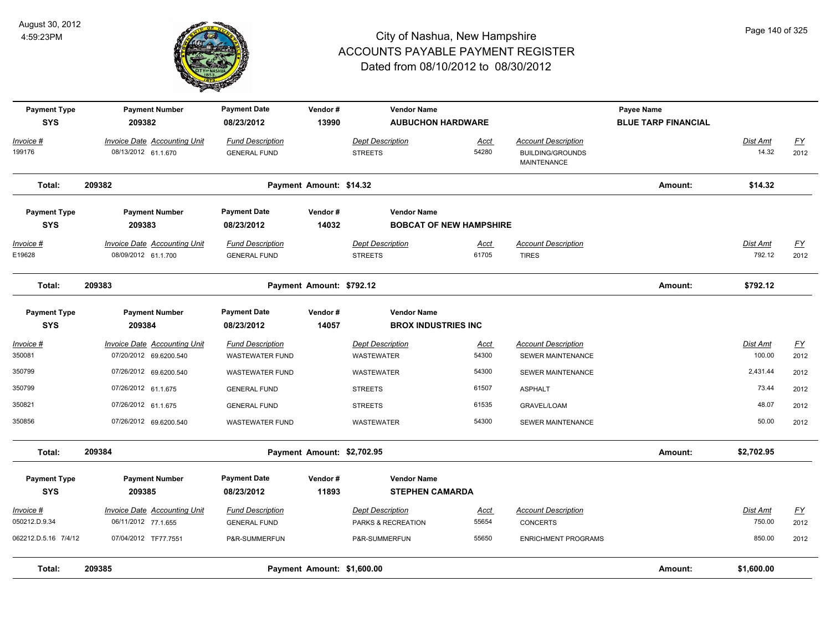

| <b>Payment Type</b><br><b>SYS</b> | <b>Payment Number</b><br>209382                            | <b>Payment Date</b><br>08/23/2012                 | Vendor#<br>13990           | <b>Vendor Name</b><br><b>AUBUCHON HARDWARE</b>   |                                |                                                                      | Payee Name<br><b>BLUE TARP FINANCIAL</b> |                           |                          |
|-----------------------------------|------------------------------------------------------------|---------------------------------------------------|----------------------------|--------------------------------------------------|--------------------------------|----------------------------------------------------------------------|------------------------------------------|---------------------------|--------------------------|
| Invoice #<br>199176               | <b>Invoice Date Accounting Unit</b><br>08/13/2012 61.1.670 | <b>Fund Description</b><br><b>GENERAL FUND</b>    |                            | <b>Dept Description</b><br><b>STREETS</b>        | Acct<br>54280                  | <b>Account Description</b><br><b>BUILDING/GROUNDS</b><br>MAINTENANCE |                                          | Dist Amt<br>14.32         | <u>FY</u><br>2012        |
| Total:                            | 209382                                                     |                                                   | Payment Amount: \$14.32    |                                                  |                                |                                                                      | Amount:                                  | \$14.32                   |                          |
| <b>Payment Type</b><br><b>SYS</b> | <b>Payment Number</b><br>209383                            | <b>Payment Date</b><br>08/23/2012                 | Vendor#<br>14032           | <b>Vendor Name</b>                               | <b>BOBCAT OF NEW HAMPSHIRE</b> |                                                                      |                                          |                           |                          |
| Invoice #<br>E19628               | <b>Invoice Date Accounting Unit</b><br>08/09/2012 61.1.700 | <b>Fund Description</b><br><b>GENERAL FUND</b>    |                            | <b>Dept Description</b><br><b>STREETS</b>        | Acct<br>61705                  | <b>Account Description</b><br><b>TIRES</b>                           |                                          | <b>Dist Amt</b><br>792.12 | <u>FY</u><br>2012        |
| Total:                            | 209383                                                     |                                                   | Payment Amount: \$792.12   |                                                  |                                |                                                                      | Amount:                                  | \$792.12                  |                          |
| <b>Payment Type</b><br><b>SYS</b> | <b>Payment Number</b><br>209384                            | <b>Payment Date</b><br>08/23/2012                 | Vendor#<br>14057           | <b>Vendor Name</b><br><b>BROX INDUSTRIES INC</b> |                                |                                                                      |                                          |                           |                          |
| Invoice #<br>350081               | Invoice Date Accounting Unit<br>07/20/2012 69.6200.540     | <b>Fund Description</b><br><b>WASTEWATER FUND</b> |                            | Dept Description<br><b>WASTEWATER</b>            | Acct<br>54300                  | <b>Account Description</b><br>SEWER MAINTENANCE                      |                                          | Dist Amt<br>100.00        | $\underline{FY}$<br>2012 |
| 350799                            | 07/26/2012 69.6200.540                                     | <b>WASTEWATER FUND</b>                            |                            | <b>WASTEWATER</b>                                | 54300                          | SEWER MAINTENANCE                                                    |                                          | 2,431.44                  | 2012                     |
| 350799                            | 07/26/2012 61.1.675                                        | <b>GENERAL FUND</b>                               |                            | <b>STREETS</b>                                   | 61507                          | <b>ASPHALT</b>                                                       |                                          | 73.44                     | 2012                     |
| 350821                            | 07/26/2012 61.1.675                                        | <b>GENERAL FUND</b>                               |                            | <b>STREETS</b>                                   | 61535                          | GRAVEL/LOAM                                                          |                                          | 48.07                     | 2012                     |
| 350856                            | 07/26/2012 69.6200.540                                     | <b>WASTEWATER FUND</b>                            |                            | <b>WASTEWATER</b>                                | 54300                          | SEWER MAINTENANCE                                                    |                                          | 50.00                     | 2012                     |
| Total:                            | 209384                                                     |                                                   | Payment Amount: \$2,702.95 |                                                  |                                |                                                                      | Amount:                                  | \$2,702.95                |                          |
| <b>Payment Type</b><br><b>SYS</b> | <b>Payment Number</b><br>209385                            | <b>Payment Date</b><br>08/23/2012                 | Vendor#<br>11893           | <b>Vendor Name</b><br><b>STEPHEN CAMARDA</b>     |                                |                                                                      |                                          |                           |                          |
| Invoice #<br>050212.D.9.34        | <b>Invoice Date Accounting Unit</b><br>06/11/2012 77.1.655 | <b>Fund Description</b><br><b>GENERAL FUND</b>    |                            | <b>Dept Description</b><br>PARKS & RECREATION    | <u>Acct</u><br>55654           | <b>Account Description</b><br><b>CONCERTS</b>                        |                                          | <b>Dist Amt</b><br>750.00 | <u>FY</u><br>2012        |
| 062212.D.5.16 7/4/12              | 07/04/2012 TF77.7551                                       | P&R-SUMMERFUN                                     |                            | P&R-SUMMERFUN                                    | 55650                          | <b>ENRICHMENT PROGRAMS</b>                                           |                                          | 850.00                    | 2012                     |
| Total:                            | 209385                                                     |                                                   | Payment Amount: \$1,600.00 |                                                  |                                |                                                                      | Amount:                                  | \$1,600.00                |                          |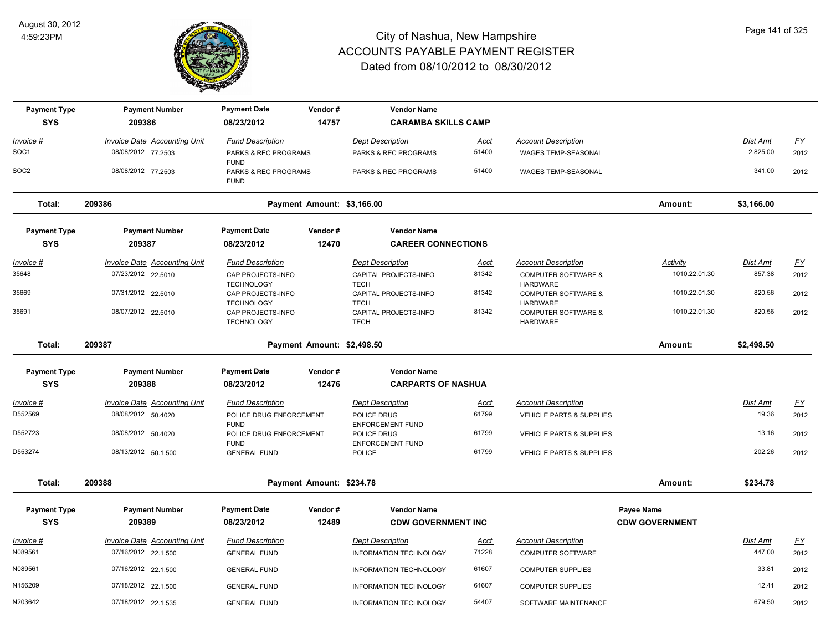

| <b>Payment Type</b> | <b>Payment Number</b>               | <b>Payment Date</b>                                         | Vendor#                    | <b>Vendor Name</b>                                  |             |                                                                      |                       |                 |                  |
|---------------------|-------------------------------------|-------------------------------------------------------------|----------------------------|-----------------------------------------------------|-------------|----------------------------------------------------------------------|-----------------------|-----------------|------------------|
| <b>SYS</b>          | 209386                              | 08/23/2012                                                  | 14757                      | <b>CARAMBA SKILLS CAMP</b>                          |             |                                                                      |                       |                 |                  |
| Invoice #           | Invoice Date Accounting Unit        | <b>Fund Description</b>                                     |                            | <b>Dept Description</b>                             | Acct        | <b>Account Description</b>                                           |                       | Dist Amt        | $\underline{FY}$ |
| SOC <sub>1</sub>    | 08/08/2012 77.2503                  | PARKS & REC PROGRAMS<br><b>FUND</b>                         |                            | PARKS & REC PROGRAMS                                | 51400       | WAGES TEMP-SEASONAL                                                  |                       | 2,825.00        | 2012             |
| SOC2                | 08/08/2012 77.2503                  | PARKS & REC PROGRAMS<br><b>FUND</b>                         |                            | PARKS & REC PROGRAMS                                | 51400       | WAGES TEMP-SEASONAL                                                  |                       | 341.00          | 2012             |
| Total:              | 209386                              |                                                             | Payment Amount: \$3,166.00 |                                                     |             |                                                                      | Amount:               | \$3,166.00      |                  |
| <b>Payment Type</b> | <b>Payment Number</b>               | <b>Payment Date</b>                                         | Vendor#                    | <b>Vendor Name</b>                                  |             |                                                                      |                       |                 |                  |
| <b>SYS</b>          | 209387                              | 08/23/2012                                                  | 12470                      | <b>CAREER CONNECTIONS</b>                           |             |                                                                      |                       |                 |                  |
| <u>Invoice #</u>    | <b>Invoice Date Accounting Unit</b> | <b>Fund Description</b>                                     |                            | <b>Dept Description</b>                             | <u>Acct</u> | <b>Account Description</b>                                           | <b>Activity</b>       | <b>Dist Amt</b> | <u>FY</u>        |
| 35648               | 07/23/2012 22.5010                  | CAP PROJECTS-INFO                                           |                            | CAPITAL PROJECTS-INFO                               | 81342       | <b>COMPUTER SOFTWARE &amp;</b>                                       | 1010.22.01.30         | 857.38          | 2012             |
| 35669               | 07/31/2012 22.5010                  | <b>TECHNOLOGY</b><br>CAP PROJECTS-INFO<br><b>TECHNOLOGY</b> |                            | <b>TECH</b><br>CAPITAL PROJECTS-INFO<br><b>TECH</b> | 81342       | <b>HARDWARE</b><br><b>COMPUTER SOFTWARE &amp;</b><br><b>HARDWARE</b> | 1010.22.01.30         | 820.56          | 2012             |
| 35691               | 08/07/2012 22.5010                  | CAP PROJECTS-INFO<br><b>TECHNOLOGY</b>                      |                            | CAPITAL PROJECTS-INFO<br><b>TECH</b>                | 81342       | <b>COMPUTER SOFTWARE &amp;</b><br><b>HARDWARE</b>                    | 1010.22.01.30         | 820.56          | 2012             |
| Total:              | 209387                              |                                                             | Payment Amount: \$2,498.50 |                                                     |             |                                                                      | Amount:               | \$2,498.50      |                  |
| <b>Payment Type</b> | <b>Payment Number</b>               | <b>Payment Date</b>                                         | Vendor#                    | <b>Vendor Name</b>                                  |             |                                                                      |                       |                 |                  |
| <b>SYS</b>          | 209388                              | 08/23/2012                                                  | 12476                      | <b>CARPARTS OF NASHUA</b>                           |             |                                                                      |                       |                 |                  |
| Invoice #           | Invoice Date Accounting Unit        | <b>Fund Description</b>                                     |                            | <b>Dept Description</b>                             | Acct        | <b>Account Description</b>                                           |                       | Dist Amt        | <u>FY</u>        |
| D552569             | 08/08/2012 50.4020                  | POLICE DRUG ENFORCEMENT<br><b>FUND</b>                      |                            | POLICE DRUG<br><b>ENFORCEMENT FUND</b>              | 61799       | VEHICLE PARTS & SUPPLIES                                             |                       | 19.36           | 2012             |
| D552723             | 08/08/2012 50.4020                  | POLICE DRUG ENFORCEMENT                                     |                            | POLICE DRUG                                         | 61799       | VEHICLE PARTS & SUPPLIES                                             |                       | 13.16           | 2012             |
| D553274             | 08/13/2012 50.1.500                 | <b>FUND</b><br><b>GENERAL FUND</b>                          |                            | <b>ENFORCEMENT FUND</b><br><b>POLICE</b>            | 61799       | VEHICLE PARTS & SUPPLIES                                             |                       | 202.26          | 2012             |
| Total:              | 209388                              |                                                             | Payment Amount: \$234.78   |                                                     |             |                                                                      | Amount:               | \$234.78        |                  |
| <b>Payment Type</b> | <b>Payment Number</b>               | <b>Payment Date</b>                                         | Vendor#                    | <b>Vendor Name</b>                                  |             |                                                                      | <b>Payee Name</b>     |                 |                  |
| <b>SYS</b>          | 209389                              | 08/23/2012                                                  | 12489                      | <b>CDW GOVERNMENT INC</b>                           |             |                                                                      | <b>CDW GOVERNMENT</b> |                 |                  |
| Invoice #           | <b>Invoice Date Accounting Unit</b> | <b>Fund Description</b>                                     |                            | <b>Dept Description</b>                             | <u>Acct</u> | <b>Account Description</b>                                           |                       | Dist Amt        | <u>FY</u>        |
| N089561             | 07/16/2012 22.1.500                 | <b>GENERAL FUND</b>                                         |                            | INFORMATION TECHNOLOGY                              | 71228       | COMPUTER SOFTWARE                                                    |                       | 447.00          | 2012             |
| N089561             | 07/16/2012 22.1.500                 | <b>GENERAL FUND</b>                                         |                            | INFORMATION TECHNOLOGY                              | 61607       | <b>COMPUTER SUPPLIES</b>                                             |                       | 33.81           | 2012             |
| N156209             | 07/18/2012 22.1.500                 | <b>GENERAL FUND</b>                                         |                            | <b>INFORMATION TECHNOLOGY</b>                       | 61607       | <b>COMPUTER SUPPLIES</b>                                             |                       | 12.41           | 2012             |
| N203642             | 07/18/2012 22.1.535                 | <b>GENERAL FUND</b>                                         |                            | <b>INFORMATION TECHNOLOGY</b>                       | 54407       | SOFTWARE MAINTENANCE                                                 |                       | 679.50          | 2012             |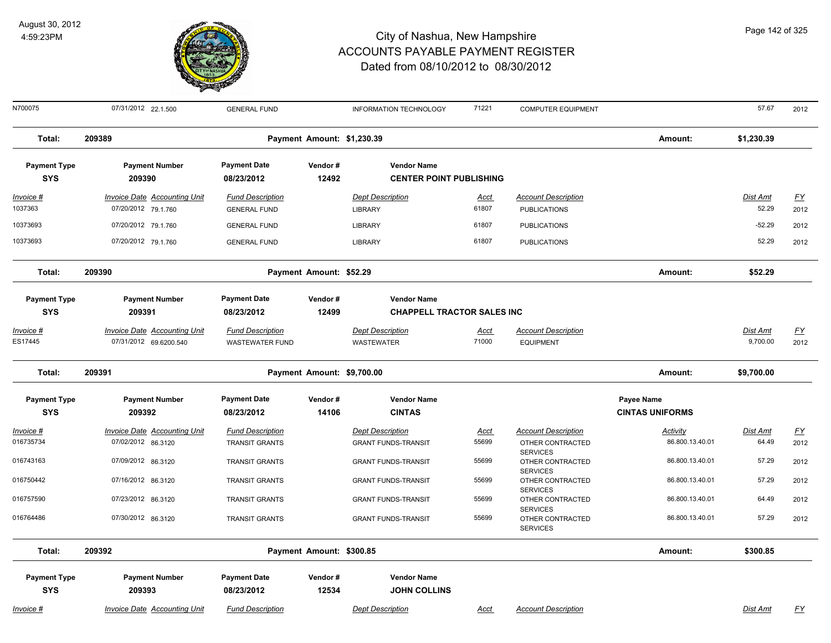

N700075 07/31/2012 22.1.500 GENERAL FUND INFORMATION TECHNOLOGY 71221 COMPUTER EQUIPMENT 57.67 2012 **Total: 209389 Payment Amount: \$1,230.39 Amount: \$1,230.39 Payment Type Payment Number Payment Date Vendor # Vendor Name SYS 08/23/2012** *Invoice # Invoice Date Accounting Unit Fund Description Dept Description Acct Account Description Dist Amt FY*  **209390 12492 CENTER POINT PUBLISHING** 1037363 07/20/2012 79.1.760 GENERAL FUND LIBRARY 61807 PUBLICATIONS 52.29 2012 10373693 07/20/2012 79.1.760 GENERAL FUND LIBRARY PUBLICATIONS -52.29 2012 10373693 07/20/2012 79.1.760 GENERAL FUND LIBRARY 61807 PUBLICATIONS 52.29 2012 **Total: 209390 Payment Amount: \$52.29 Amount: \$52.29 Payment Type Payment Number Payment Date Vendor # Vendor Name SYS 08/23/2012** *Invoice # Invoice Date Accounting Unit Fund Description Dept Description Acct Account Description Dist Amt FY*  **209391 12499 CHAPPELL TRACTOR SALES INC** ES17445 07/31/2012 69.6200.540 WASTEWATER FUND WASTEWATER 71000 EQUIPMENT 9,700.00 2012 **Total: 209391 Payment Amount: \$9,700.00 Amount: \$9,700.00 Payment Type Payment Number Payment Date Vendor # Vendor Name Payee Name** *Activity* **SYS 08/23/2012** *Invoice # Invoice Date Accounting Unit Fund Description Dept Description Acct Account Description Dist Amt FY*  **209392 14106 CINTAS CINTAS UNIFORMS** 016735734 07/02/2012 86.3120 TRANSIT GRANTS GRANT FUNDS-TRANSIT 55699 OTHER CONTRACTED 86.800.13.40.01 64.49 2012 **SERVICES** 07/09/2012 86.3120 TRANSIT GRANTS GRANT FUNDS-TRANSIT 55699 OTHER CONTRACTED 2012 **SERVICES** 016743163 07/09/2012 86.3120 TRANSIT GRANTS GRANT FUNDS-TRANSIT 55699 OTHER CONTRACTED 86.800.13.40.01 57.29 07/16/2012 86.3120 TRANSIT GRANTS GRANT FUNDS-TRANSIT 55699 OTHER CONTRACTED 2012 **SERVICES** 016750442 07/16/2012 86.3120 TRANSIT GRANTS GRANT FUNDS-TRANSIT 55699 OTHER CONTRACTED 86.800.13.40.01 57.29 07/23/2012 86.3120 TRANSIT GRANTS GRANT FUNDS-TRANSIT 55699 OTHER CONTRACTED 86.800.13.40.01 64.49 2012 **SERVICES** 016757590 86.800.13.40.01 64.49 07/30/2012 86.3120 TRANSIT GRANTS GRANT FUNDS-TRANSIT 55699 OTHER CONTRACTED 2012 SERVICES 016764486 07/30/2012 86.3120 55699 OTHER CONTRACTED 86.800.13.40.01 57.29 **Total: 209392 Payment Amount: \$300.85 Amount: \$300.85 Payment Type Payment Number Payment Date Vendor # Vendor Name SYS 08/23/2012** *Invoice # Invoice Date Accounting Unit Fund Description Dept Description Acct Account Description Dist Amt FY*  **209393 12534 JOHN COLLINS**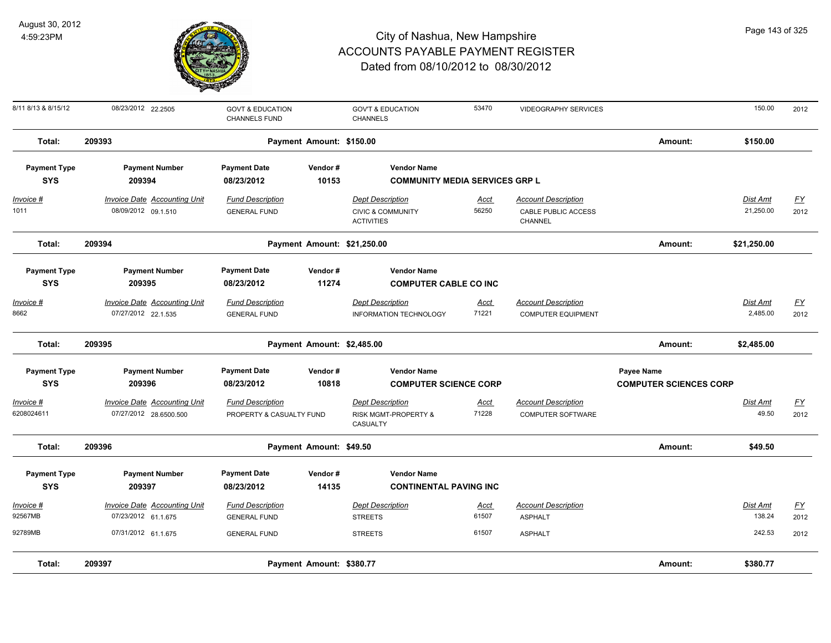

| 8/11 8/13 & 8/15/12 | 08/23/2012 22.2505                  | <b>GOVT &amp; EDUCATION</b><br><b>CHANNELS FUND</b> |                             | <b>GOV'T &amp; EDUCATION</b><br><b>CHANNELS</b>   | 53470       | <b>VIDEOGRAPHY SERVICES</b>    |                               | 150.00          | 2012             |
|---------------------|-------------------------------------|-----------------------------------------------------|-----------------------------|---------------------------------------------------|-------------|--------------------------------|-------------------------------|-----------------|------------------|
| Total:              | 209393                              |                                                     | Payment Amount: \$150.00    |                                                   |             |                                | Amount:                       | \$150.00        |                  |
| <b>Payment Type</b> | <b>Payment Number</b>               | <b>Payment Date</b>                                 | Vendor#                     | <b>Vendor Name</b>                                |             |                                |                               |                 |                  |
| <b>SYS</b>          | 209394                              | 08/23/2012                                          | 10153                       | <b>COMMUNITY MEDIA SERVICES GRP L</b>             |             |                                |                               |                 |                  |
| <u>Invoice #</u>    | <b>Invoice Date Accounting Unit</b> | <b>Fund Description</b>                             |                             | <b>Dept Description</b>                           | <u>Acct</u> | <b>Account Description</b>     |                               | <b>Dist Amt</b> | <u>FY</u>        |
| 1011                | 08/09/2012 09.1.510                 | <b>GENERAL FUND</b>                                 |                             | <b>CIVIC &amp; COMMUNITY</b><br><b>ACTIVITIES</b> | 56250       | CABLE PUBLIC ACCESS<br>CHANNEL |                               | 21,250.00       | 2012             |
| Total:              | 209394                              |                                                     | Payment Amount: \$21,250.00 |                                                   |             |                                | Amount:                       | \$21,250.00     |                  |
| <b>Payment Type</b> | <b>Payment Number</b>               | <b>Payment Date</b>                                 | Vendor#                     | <b>Vendor Name</b>                                |             |                                |                               |                 |                  |
| <b>SYS</b>          | 209395                              | 08/23/2012                                          | 11274                       | <b>COMPUTER CABLE CO INC</b>                      |             |                                |                               |                 |                  |
| Invoice #           | <b>Invoice Date Accounting Unit</b> | <b>Fund Description</b>                             |                             | <b>Dept Description</b>                           | <u>Acct</u> | <b>Account Description</b>     |                               | Dist Amt        | $\underline{FY}$ |
| 8662                | 07/27/2012 22.1.535                 | <b>GENERAL FUND</b>                                 |                             | <b>INFORMATION TECHNOLOGY</b>                     | 71221       | <b>COMPUTER EQUIPMENT</b>      |                               | 2,485.00        | 2012             |
| Total:              | 209395                              |                                                     | Payment Amount: \$2,485.00  |                                                   |             |                                | Amount:                       | \$2,485.00      |                  |
| <b>Payment Type</b> | <b>Payment Number</b>               | <b>Payment Date</b>                                 | Vendor#                     | <b>Vendor Name</b>                                |             |                                | Payee Name                    |                 |                  |
| <b>SYS</b>          | 209396                              | 08/23/2012                                          | 10818                       | <b>COMPUTER SCIENCE CORP</b>                      |             |                                | <b>COMPUTER SCIENCES CORP</b> |                 |                  |
| Invoice #           | Invoice Date Accounting Unit        | <b>Fund Description</b>                             |                             | <b>Dept Description</b>                           | <u>Acct</u> | <b>Account Description</b>     |                               | Dist Amt        | <u>FY</u>        |
| 6208024611          | 07/27/2012 28.6500.500              | PROPERTY & CASUALTY FUND                            |                             | RISK MGMT-PROPERTY &<br>CASUALTY                  | 71228       | COMPUTER SOFTWARE              |                               | 49.50           | 2012             |
| Total:              | 209396                              |                                                     | Payment Amount: \$49.50     |                                                   |             |                                | Amount:                       | \$49.50         |                  |
| <b>Payment Type</b> | <b>Payment Number</b>               | <b>Payment Date</b>                                 | Vendor#                     | <b>Vendor Name</b>                                |             |                                |                               |                 |                  |
| <b>SYS</b>          | 209397                              | 08/23/2012                                          | 14135                       | <b>CONTINENTAL PAVING INC</b>                     |             |                                |                               |                 |                  |
| <b>Invoice #</b>    | <b>Invoice Date Accounting Unit</b> | <b>Fund Description</b>                             |                             | <b>Dept Description</b>                           | <u>Acct</u> | <b>Account Description</b>     |                               | Dist Amt        | $\underline{FY}$ |
| 92567MB             | 07/23/2012 61.1.675                 | <b>GENERAL FUND</b>                                 |                             | <b>STREETS</b>                                    | 61507       | <b>ASPHALT</b>                 |                               | 138.24          | 2012             |
| 92789MB             | 07/31/2012 61.1.675                 | <b>GENERAL FUND</b>                                 |                             | <b>STREETS</b>                                    | 61507       | <b>ASPHALT</b>                 |                               | 242.53          | 2012             |
| Total:              | 209397                              |                                                     | Payment Amount: \$380.77    |                                                   |             |                                | Amount:                       | \$380.77        |                  |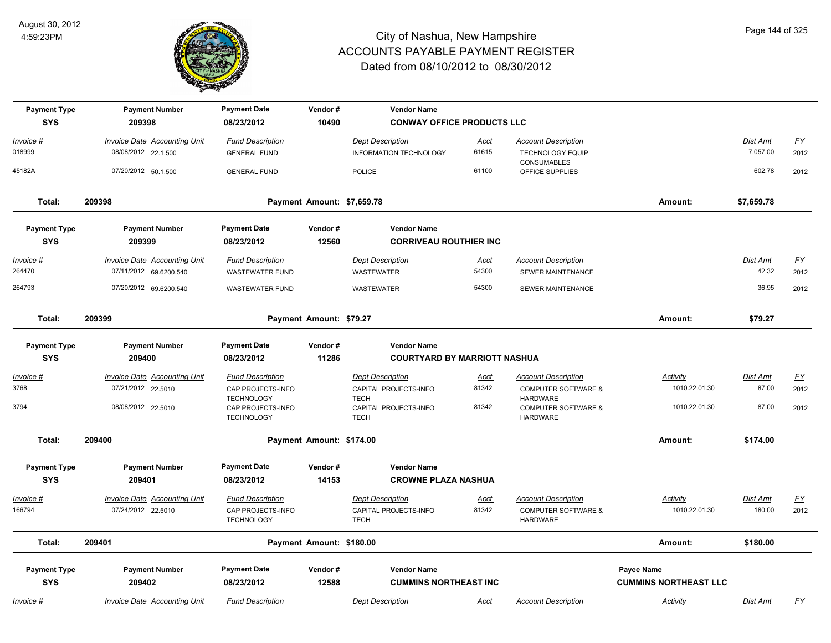

| <b>Payment Type</b> | <b>Payment Number</b>                                         | <b>Payment Date</b>                                         | Vendor#                    | <b>Vendor Name</b>                           |                      |                                                                      |                              |                          |                  |
|---------------------|---------------------------------------------------------------|-------------------------------------------------------------|----------------------------|----------------------------------------------|----------------------|----------------------------------------------------------------------|------------------------------|--------------------------|------------------|
| <b>SYS</b>          | 209398                                                        | 08/23/2012                                                  | 10490                      | <b>CONWAY OFFICE PRODUCTS LLC</b>            |                      |                                                                      |                              |                          |                  |
| Invoice #           | Invoice Date Accounting Unit                                  | <b>Fund Description</b>                                     |                            | <b>Dept Description</b>                      | Acct                 | <b>Account Description</b>                                           |                              | Dist Amt                 | $\underline{FY}$ |
| 018999              | 08/08/2012 22.1.500                                           | <b>GENERAL FUND</b>                                         |                            | <b>INFORMATION TECHNOLOGY</b>                | 61615                | <b>TECHNOLOGY EQUIP</b><br><b>CONSUMABLES</b>                        |                              | 7,057.00                 | 2012             |
| 45182A              | 07/20/2012 50.1.500                                           | <b>GENERAL FUND</b>                                         |                            | <b>POLICE</b>                                | 61100                | OFFICE SUPPLIES                                                      |                              | 602.78                   | 2012             |
| Total:              | 209398                                                        |                                                             | Payment Amount: \$7,659.78 |                                              |                      |                                                                      | Amount:                      | \$7,659.78               |                  |
| <b>Payment Type</b> | <b>Payment Number</b>                                         | <b>Payment Date</b>                                         | Vendor#                    | <b>Vendor Name</b>                           |                      |                                                                      |                              |                          |                  |
| <b>SYS</b>          | 209399                                                        | 08/23/2012                                                  | 12560                      | <b>CORRIVEAU ROUTHIER INC</b>                |                      |                                                                      |                              |                          |                  |
| Invoice #<br>264470 | <b>Invoice Date Accounting Unit</b><br>07/11/2012 69.6200.540 | <b>Fund Description</b><br><b>WASTEWATER FUND</b>           |                            | <b>Dept Description</b><br>WASTEWATER        | <u>Acct</u><br>54300 | <b>Account Description</b><br>SEWER MAINTENANCE                      |                              | <b>Dist Amt</b><br>42.32 | EY<br>2012       |
| 264793              | 07/20/2012 69.6200.540                                        | <b>WASTEWATER FUND</b>                                      |                            | WASTEWATER                                   | 54300                | <b>SEWER MAINTENANCE</b>                                             |                              | 36.95                    | 2012             |
| Total:              | 209399                                                        |                                                             | Payment Amount: \$79.27    |                                              |                      |                                                                      | Amount:                      | \$79.27                  |                  |
| <b>Payment Type</b> | <b>Payment Number</b>                                         | <b>Payment Date</b>                                         | Vendor#                    | <b>Vendor Name</b>                           |                      |                                                                      |                              |                          |                  |
| <b>SYS</b>          | 209400                                                        | 08/23/2012                                                  | 11286                      | <b>COURTYARD BY MARRIOTT NASHUA</b>          |                      |                                                                      |                              |                          |                  |
| <u>Invoice #</u>    | <b>Invoice Date Accounting Unit</b>                           | <b>Fund Description</b>                                     |                            | <b>Dept Description</b>                      | <u>Acct</u>          | <b>Account Description</b>                                           | <b>Activity</b>              | Dist Amt                 | $\underline{FY}$ |
| 3768                | 07/21/2012 22.5010                                            | CAP PROJECTS-INFO                                           |                            | CAPITAL PROJECTS-INFO                        | 81342                | <b>COMPUTER SOFTWARE &amp;</b>                                       | 1010.22.01.30                | 87.00                    | 2012             |
| 3794                | 08/08/2012 22.5010                                            | <b>TECHNOLOGY</b><br>CAP PROJECTS-INFO<br><b>TECHNOLOGY</b> |                            | TECH<br>CAPITAL PROJECTS-INFO<br><b>TECH</b> | 81342                | <b>HARDWARE</b><br><b>COMPUTER SOFTWARE &amp;</b><br><b>HARDWARE</b> | 1010.22.01.30                | 87.00                    | 2012             |
| Total:              | 209400                                                        |                                                             | Payment Amount: \$174.00   |                                              |                      |                                                                      | Amount:                      | \$174.00                 |                  |
| <b>Payment Type</b> | <b>Payment Number</b>                                         | <b>Payment Date</b>                                         | Vendor#                    | <b>Vendor Name</b>                           |                      |                                                                      |                              |                          |                  |
| <b>SYS</b>          | 209401                                                        | 08/23/2012                                                  | 14153                      | <b>CROWNE PLAZA NASHUA</b>                   |                      |                                                                      |                              |                          |                  |
| Invoice #           | Invoice Date Accounting Unit                                  | <b>Fund Description</b>                                     |                            | <b>Dept Description</b>                      | <u>Acct</u>          | <b>Account Description</b>                                           | Activity                     | Dist Amt                 | EY               |
| 166794              | 07/24/2012 22.5010                                            | CAP PROJECTS-INFO<br><b>TECHNOLOGY</b>                      |                            | CAPITAL PROJECTS-INFO<br><b>TECH</b>         | 81342                | <b>COMPUTER SOFTWARE &amp;</b><br><b>HARDWARE</b>                    | 1010.22.01.30                | 180.00                   | 2012             |
| Total:              | 209401                                                        |                                                             | Payment Amount: \$180.00   |                                              |                      |                                                                      | Amount:                      | \$180.00                 |                  |
| <b>Payment Type</b> | <b>Payment Number</b>                                         | <b>Payment Date</b>                                         | Vendor#                    | <b>Vendor Name</b>                           |                      |                                                                      | Payee Name                   |                          |                  |
| <b>SYS</b>          | 209402                                                        | 08/23/2012                                                  | 12588                      | <b>CUMMINS NORTHEAST INC</b>                 |                      |                                                                      | <b>CUMMINS NORTHEAST LLC</b> |                          |                  |
| <u>Invoice #</u>    | <b>Invoice Date Accounting Unit</b>                           | <b>Fund Description</b>                                     |                            | <b>Dept Description</b>                      | <u>Acct</u>          | <b>Account Description</b>                                           | <b>Activity</b>              | Dist Amt                 | $\underline{FY}$ |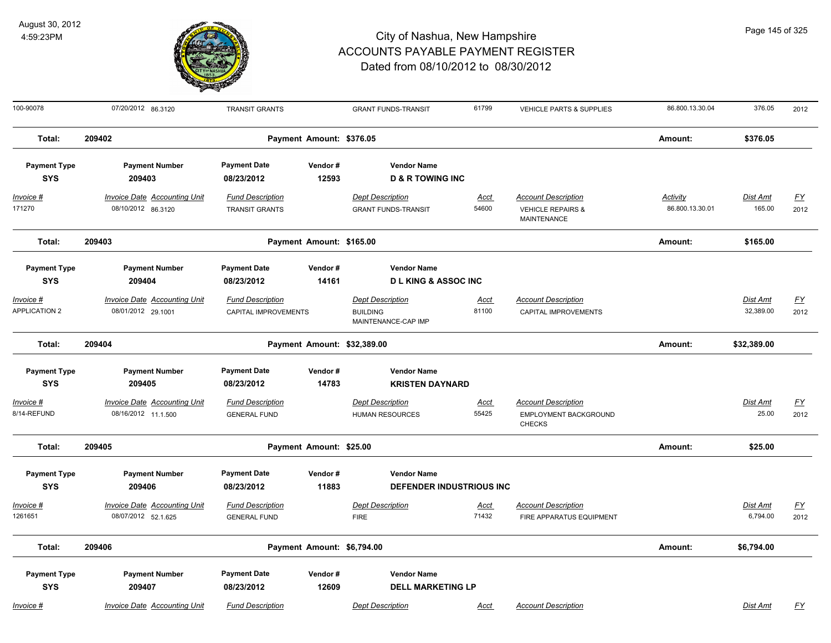

| 100-90078                         | 07/20/2012 86.3120                                         | <b>TRANSIT GRANTS</b>                                  | <b>GRANT FUNDS-TRANSIT</b>                                        | 61799                | <b>VEHICLE PARTS &amp; SUPPLIES</b>                                              | 86.800.13.30.04                    | 376.05                    | 2012                     |
|-----------------------------------|------------------------------------------------------------|--------------------------------------------------------|-------------------------------------------------------------------|----------------------|----------------------------------------------------------------------------------|------------------------------------|---------------------------|--------------------------|
| Total:                            | 209402                                                     | Payment Amount: \$376.05                               |                                                                   |                      |                                                                                  | Amount:                            | \$376.05                  |                          |
| <b>Payment Type</b><br><b>SYS</b> | <b>Payment Number</b><br>209403                            | <b>Payment Date</b><br>Vendor#<br>12593<br>08/23/2012  | <b>Vendor Name</b><br><b>D &amp; R TOWING INC</b>                 |                      |                                                                                  |                                    |                           |                          |
| <u>Invoice #</u><br>171270        | <b>Invoice Date Accounting Unit</b><br>08/10/2012 86.3120  | <b>Fund Description</b><br><b>TRANSIT GRANTS</b>       | <b>Dept Description</b><br><b>GRANT FUNDS-TRANSIT</b>             | <u>Acct</u><br>54600 | <b>Account Description</b><br><b>VEHICLE REPAIRS &amp;</b><br><b>MAINTENANCE</b> | <b>Activity</b><br>86.800.13.30.01 | <u>Dist Amt</u><br>165.00 | <u>FY</u><br>2012        |
| Total:                            | 209403                                                     | Payment Amount: \$165.00                               |                                                                   |                      |                                                                                  | Amount:                            | \$165.00                  |                          |
| <b>Payment Type</b><br><b>SYS</b> | <b>Payment Number</b><br>209404                            | <b>Payment Date</b><br>Vendor#<br>14161<br>08/23/2012  | <b>Vendor Name</b><br><b>DLKING &amp; ASSOCING</b>                |                      |                                                                                  |                                    |                           |                          |
| Invoice #<br><b>APPLICATION 2</b> | Invoice Date Accounting Unit<br>08/01/2012 29.1001         | <b>Fund Description</b><br><b>CAPITAL IMPROVEMENTS</b> | <b>Dept Description</b><br><b>BUILDING</b><br>MAINTENANCE-CAP IMP | <u>Acct</u><br>81100 | <b>Account Description</b><br>CAPITAL IMPROVEMENTS                               |                                    | Dist Amt<br>32,389.00     | $FY$<br>2012             |
| Total:                            | 209404                                                     | Payment Amount: \$32,389.00                            |                                                                   |                      |                                                                                  | Amount:                            | \$32,389.00               |                          |
| <b>Payment Type</b><br><b>SYS</b> | <b>Payment Number</b><br>209405                            | <b>Payment Date</b><br>Vendor#<br>14783<br>08/23/2012  | <b>Vendor Name</b><br><b>KRISTEN DAYNARD</b>                      |                      |                                                                                  |                                    |                           |                          |
| Invoice #<br>8/14-REFUND          | <b>Invoice Date Accounting Unit</b><br>08/16/2012 11.1.500 | <b>Fund Description</b><br><b>GENERAL FUND</b>         | <b>Dept Description</b><br><b>HUMAN RESOURCES</b>                 | <u>Acct</u><br>55425 | <b>Account Description</b><br>EMPLOYMENT BACKGROUND<br><b>CHECKS</b>             |                                    | Dist Amt<br>25.00         | $\underline{FY}$<br>2012 |
| Total:                            | 209405                                                     | Payment Amount: \$25.00                                |                                                                   |                      |                                                                                  | Amount:                            | \$25.00                   |                          |
| <b>Payment Type</b><br><b>SYS</b> | <b>Payment Number</b><br>209406                            | <b>Payment Date</b><br>Vendor#<br>08/23/2012<br>11883  | <b>Vendor Name</b><br>DEFENDER INDUSTRIOUS INC                    |                      |                                                                                  |                                    |                           |                          |
| Invoice #<br>1261651              | Invoice Date Accounting Unit<br>08/07/2012 52.1.625        | <b>Fund Description</b><br><b>GENERAL FUND</b>         | <b>Dept Description</b><br><b>FIRE</b>                            | Acct<br>71432        | <b>Account Description</b><br>FIRE APPARATUS EQUIPMENT                           |                                    | Dist Amt<br>6,794.00      | $\underline{FY}$<br>2012 |
| Total:                            | 209406                                                     | Payment Amount: \$6,794.00                             |                                                                   |                      |                                                                                  | Amount:                            | \$6,794.00                |                          |
| <b>Payment Type</b><br><b>SYS</b> | <b>Payment Number</b><br>209407                            | <b>Payment Date</b><br>Vendor#<br>08/23/2012<br>12609  | <b>Vendor Name</b><br><b>DELL MARKETING LP</b>                    |                      |                                                                                  |                                    |                           |                          |
| Invoice #                         | Invoice Date Accounting Unit                               | <b>Fund Description</b>                                | <b>Dept Description</b>                                           | Acct                 | <b>Account Description</b>                                                       |                                    | Dist Amt                  | <b>FY</b>                |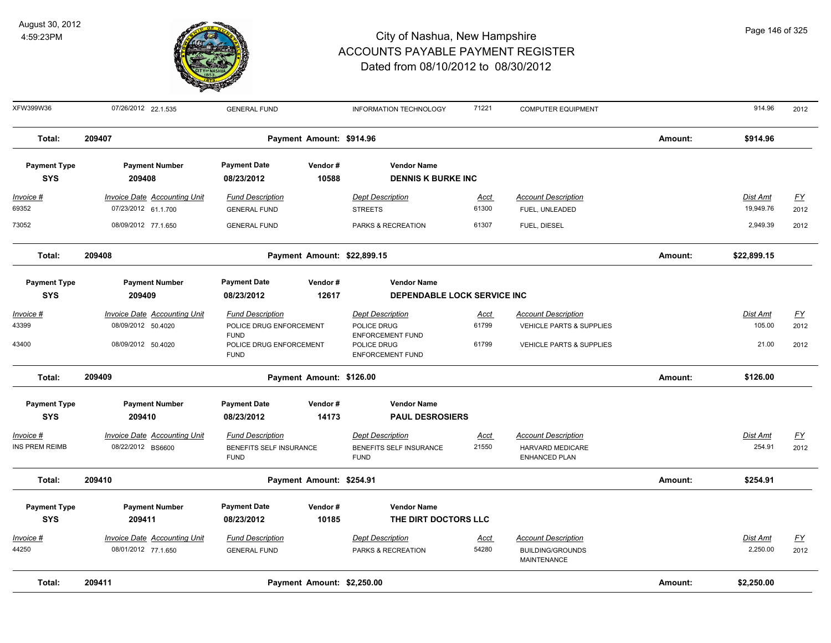

| XFW399W36           | 07/26/2012 22.1.535                 | <b>GENERAL FUND</b>                                   |                             | INFORMATION TECHNOLOGY                                            | 71221       | <b>COMPUTER EQUIPMENT</b>                     |         | 914.96          | 2012             |
|---------------------|-------------------------------------|-------------------------------------------------------|-----------------------------|-------------------------------------------------------------------|-------------|-----------------------------------------------|---------|-----------------|------------------|
| Total:              | 209407                              |                                                       | Payment Amount: \$914.96    |                                                                   |             |                                               | Amount: | \$914.96        |                  |
| <b>Payment Type</b> | <b>Payment Number</b>               | <b>Payment Date</b>                                   | Vendor#                     | <b>Vendor Name</b>                                                |             |                                               |         |                 |                  |
| <b>SYS</b>          | 209408                              | 08/23/2012                                            | 10588                       | <b>DENNIS K BURKE INC</b>                                         |             |                                               |         |                 |                  |
| <u>Invoice #</u>    | <b>Invoice Date Accounting Unit</b> | <b>Fund Description</b>                               |                             | <b>Dept Description</b>                                           | <u>Acct</u> | <b>Account Description</b>                    |         | <b>Dist Amt</b> | EY               |
| 69352               | 07/23/2012 61.1.700                 | <b>GENERAL FUND</b>                                   |                             | <b>STREETS</b>                                                    | 61300       | FUEL, UNLEADED                                |         | 19,949.76       | 2012             |
| 73052               | 08/09/2012 77.1.650                 | <b>GENERAL FUND</b>                                   |                             | PARKS & RECREATION                                                | 61307       | FUEL, DIESEL                                  |         | 2,949.39        | 2012             |
| Total:              | 209408                              |                                                       | Payment Amount: \$22,899.15 |                                                                   |             |                                               | Amount: | \$22,899.15     |                  |
| <b>Payment Type</b> | <b>Payment Number</b>               | <b>Payment Date</b>                                   | Vendor#                     | <b>Vendor Name</b>                                                |             |                                               |         |                 |                  |
| <b>SYS</b>          | 209409                              | 08/23/2012                                            | 12617                       | DEPENDABLE LOCK SERVICE INC                                       |             |                                               |         |                 |                  |
| Invoice #           | <b>Invoice Date Accounting Unit</b> | <b>Fund Description</b>                               |                             | <b>Dept Description</b>                                           | <u>Acct</u> | <b>Account Description</b>                    |         | Dist Amt        | $FY$             |
| 43399               | 08/09/2012 50.4020                  | POLICE DRUG ENFORCEMENT                               |                             | POLICE DRUG                                                       | 61799       | <b>VEHICLE PARTS &amp; SUPPLIES</b>           |         | 105.00          | 2012             |
| 43400               | 08/09/2012 50.4020                  | <b>FUND</b><br>POLICE DRUG ENFORCEMENT<br><b>FUND</b> |                             | <b>ENFORCEMENT FUND</b><br>POLICE DRUG<br><b>ENFORCEMENT FUND</b> | 61799       | <b>VEHICLE PARTS &amp; SUPPLIES</b>           |         | 21.00           | 2012             |
| Total:              | 209409                              |                                                       | Payment Amount: \$126.00    |                                                                   |             |                                               | Amount: | \$126.00        |                  |
| <b>Payment Type</b> | <b>Payment Number</b>               | <b>Payment Date</b>                                   | Vendor#                     | <b>Vendor Name</b>                                                |             |                                               |         |                 |                  |
| <b>SYS</b>          | 209410                              | 08/23/2012                                            | 14173                       | <b>PAUL DESROSIERS</b>                                            |             |                                               |         |                 |                  |
| <u> Invoice #</u>   | <b>Invoice Date Accounting Unit</b> | <b>Fund Description</b>                               |                             | <b>Dept Description</b>                                           | <u>Acct</u> | <b>Account Description</b>                    |         | Dist Amt        | $\underline{FY}$ |
| INS PREM REIMB      | 08/22/2012 BS6600                   | BENEFITS SELF INSURANCE<br><b>FUND</b>                |                             | BENEFITS SELF INSURANCE<br><b>FUND</b>                            | 21550       | HARVARD MEDICARE<br>ENHANCED PLAN             |         | 254.91          | 2012             |
| Total:              | 209410                              |                                                       | Payment Amount: \$254.91    |                                                                   |             |                                               | Amount: | \$254.91        |                  |
| <b>Payment Type</b> | <b>Payment Number</b>               | <b>Payment Date</b>                                   | Vendor#                     | <b>Vendor Name</b>                                                |             |                                               |         |                 |                  |
| <b>SYS</b>          | 209411                              | 08/23/2012                                            | 10185                       | THE DIRT DOCTORS LLC                                              |             |                                               |         |                 |                  |
| Invoice #           | Invoice Date Accounting Unit        | <b>Fund Description</b>                               |                             | <b>Dept Description</b>                                           | <u>Acct</u> | <b>Account Description</b>                    |         | Dist Amt        | $\underline{FY}$ |
| 44250               | 08/01/2012 77.1.650                 | <b>GENERAL FUND</b>                                   |                             | PARKS & RECREATION                                                | 54280       | <b>BUILDING/GROUNDS</b><br><b>MAINTENANCE</b> |         | 2,250.00        | 2012             |
| Total:              | 209411                              |                                                       | Payment Amount: \$2,250.00  |                                                                   |             |                                               | Amount: | \$2,250.00      |                  |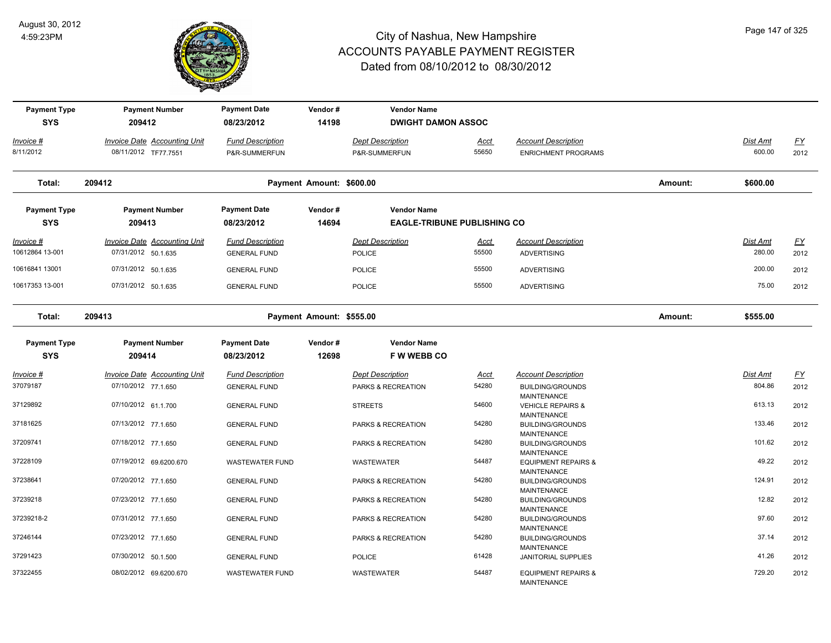

| <b>Payment Type</b><br><b>SYS</b> | <b>Payment Number</b><br>209412     | <b>Payment Date</b><br>08/23/2012 | Vendor#<br>14198         | <b>Vendor Name</b><br><b>DWIGHT DAMON ASSOC</b> |             |                                               |         |                 |           |
|-----------------------------------|-------------------------------------|-----------------------------------|--------------------------|-------------------------------------------------|-------------|-----------------------------------------------|---------|-----------------|-----------|
| Invoice #                         | <b>Invoice Date Accounting Unit</b> | <b>Fund Description</b>           |                          | <b>Dept Description</b>                         | <u>Acct</u> | <b>Account Description</b>                    |         | Dist Amt        | <u>FY</u> |
| 8/11/2012                         | 08/11/2012 TF77.7551                | P&R-SUMMERFUN                     |                          | P&R-SUMMERFUN                                   | 55650       | <b>ENRICHMENT PROGRAMS</b>                    |         | 600.00          | 2012      |
| Total:                            | 209412                              |                                   | Payment Amount: \$600.00 |                                                 |             |                                               | Amount: | \$600.00        |           |
| <b>Payment Type</b>               | <b>Payment Number</b>               | <b>Payment Date</b>               | Vendor#                  | <b>Vendor Name</b>                              |             |                                               |         |                 |           |
| <b>SYS</b>                        | 209413                              | 08/23/2012                        | 14694                    | <b>EAGLE-TRIBUNE PUBLISHING CO</b>              |             |                                               |         |                 |           |
| <u>Invoice #</u>                  | <b>Invoice Date Accounting Unit</b> | <b>Fund Description</b>           |                          | <b>Dept Description</b>                         | <u>Acct</u> | <b>Account Description</b>                    |         | <b>Dist Amt</b> | <u>FY</u> |
| 10612864 13-001                   | 07/31/2012 50.1.635                 | <b>GENERAL FUND</b>               |                          | <b>POLICE</b>                                   | 55500       | <b>ADVERTISING</b>                            |         | 280.00          | 2012      |
| 10616841 13001                    | 07/31/2012 50.1.635                 | <b>GENERAL FUND</b>               |                          | <b>POLICE</b>                                   | 55500       | <b>ADVERTISING</b>                            |         | 200.00          | 2012      |
| 10617353 13-001                   | 07/31/2012 50.1.635                 | <b>GENERAL FUND</b>               |                          | <b>POLICE</b>                                   | 55500       | <b>ADVERTISING</b>                            |         | 75.00           | 2012      |
| Total:                            | 209413                              |                                   | Payment Amount: \$555.00 |                                                 |             |                                               | Amount: | \$555.00        |           |
| <b>Payment Type</b>               | <b>Payment Number</b>               | <b>Payment Date</b>               | Vendor#                  | <b>Vendor Name</b>                              |             |                                               |         |                 |           |
| <b>SYS</b>                        | 209414                              | 08/23/2012                        | 12698                    | <b>FWWEBBCO</b>                                 |             |                                               |         |                 |           |
| Invoice #                         | <b>Invoice Date Accounting Unit</b> | <b>Fund Description</b>           |                          | <b>Dept Description</b>                         | <u>Acct</u> | <b>Account Description</b>                    |         | Dist Amt        | <u>FY</u> |
| 37079187                          | 07/10/2012 77.1.650                 | <b>GENERAL FUND</b>               |                          | PARKS & RECREATION                              | 54280       | <b>BUILDING/GROUNDS</b>                       |         | 804.86          | 2012      |
| 37129892                          | 07/10/2012 61.1.700                 | <b>GENERAL FUND</b>               |                          | <b>STREETS</b>                                  | 54600       | MAINTENANCE<br><b>VEHICLE REPAIRS &amp;</b>   |         | 613.13          | 2012      |
|                                   |                                     |                                   |                          |                                                 |             | <b>MAINTENANCE</b>                            |         |                 |           |
| 37181625                          | 07/13/2012 77.1.650                 | <b>GENERAL FUND</b>               |                          | PARKS & RECREATION                              | 54280       | <b>BUILDING/GROUNDS</b>                       |         | 133.46          | 2012      |
| 37209741                          | 07/18/2012 77.1.650                 | <b>GENERAL FUND</b>               |                          | PARKS & RECREATION                              | 54280       | <b>MAINTENANCE</b><br><b>BUILDING/GROUNDS</b> |         | 101.62          | 2012      |
|                                   |                                     |                                   |                          |                                                 |             | <b>MAINTENANCE</b>                            |         |                 |           |
| 37228109                          | 07/19/2012 69.6200.670              | <b>WASTEWATER FUND</b>            |                          | WASTEWATER                                      | 54487       | <b>EQUIPMENT REPAIRS &amp;</b>                |         | 49.22           | 2012      |
| 37238641                          | 07/20/2012 77.1.650                 |                                   |                          |                                                 | 54280       | <b>MAINTENANCE</b>                            |         | 124.91          |           |
|                                   |                                     | <b>GENERAL FUND</b>               |                          | PARKS & RECREATION                              |             | <b>BUILDING/GROUNDS</b><br><b>MAINTENANCE</b> |         |                 | 2012      |
| 37239218                          | 07/23/2012 77.1.650                 | <b>GENERAL FUND</b>               |                          | PARKS & RECREATION                              | 54280       | <b>BUILDING/GROUNDS</b>                       |         | 12.82           | 2012      |
|                                   |                                     |                                   |                          |                                                 |             | MAINTENANCE                                   |         |                 |           |
| 37239218-2                        | 07/31/2012 77.1.650                 | <b>GENERAL FUND</b>               |                          | PARKS & RECREATION                              | 54280       | <b>BUILDING/GROUNDS</b><br><b>MAINTENANCE</b> |         | 97.60           | 2012      |
| 37246144                          | 07/23/2012 77.1.650                 | <b>GENERAL FUND</b>               |                          | PARKS & RECREATION                              | 54280       | <b>BUILDING/GROUNDS</b>                       |         | 37.14           | 2012      |
|                                   |                                     |                                   |                          |                                                 |             | <b>MAINTENANCE</b>                            |         |                 |           |
| 37291423                          | 07/30/2012 50.1.500                 | <b>GENERAL FUND</b>               |                          | <b>POLICE</b>                                   | 61428       | <b>JANITORIAL SUPPLIES</b>                    |         | 41.26           | 2012      |
| 37322455                          | 08/02/2012 69.6200.670              | <b>WASTEWATER FUND</b>            |                          | WASTEWATER                                      | 54487       | <b>EQUIPMENT REPAIRS &amp;</b>                |         | 729.20          | 2012      |
|                                   |                                     |                                   |                          |                                                 |             | <b>MAINTENANCE</b>                            |         |                 |           |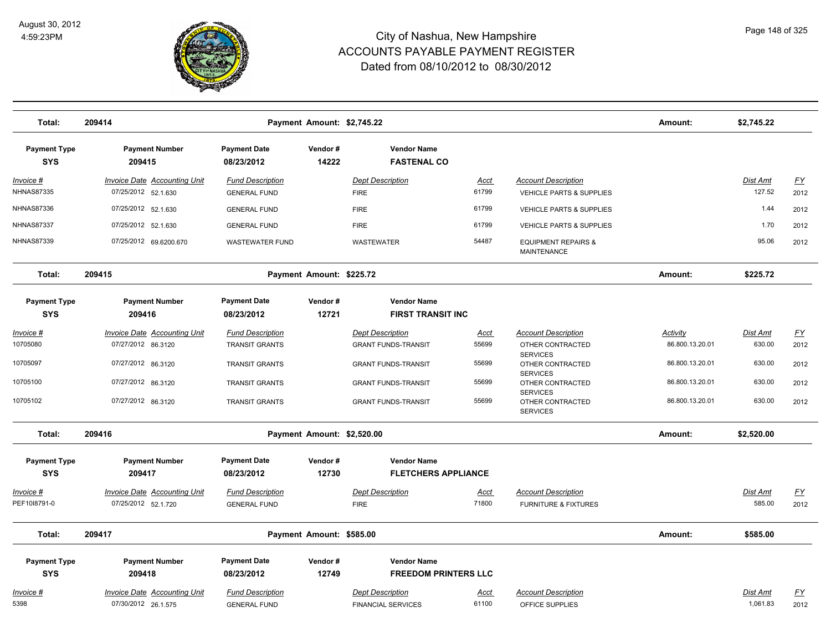

| Total:                                | 209414                                                     |                                                | Payment Amount: \$2,745.22 |                                                      |                      |                                                               | Amount:         | \$2,745.22           |                   |
|---------------------------------------|------------------------------------------------------------|------------------------------------------------|----------------------------|------------------------------------------------------|----------------------|---------------------------------------------------------------|-----------------|----------------------|-------------------|
| <b>Payment Type</b><br><b>SYS</b>     | <b>Payment Number</b><br>209415                            | <b>Payment Date</b><br>08/23/2012              | Vendor#<br>14222           | <b>Vendor Name</b><br><b>FASTENAL CO</b>             |                      |                                                               |                 |                      |                   |
| <u>Invoice #</u><br><b>NHNAS87335</b> | <b>Invoice Date Accounting Unit</b><br>07/25/2012 52.1.630 | <b>Fund Description</b><br><b>GENERAL FUND</b> |                            | <b>Dept Description</b><br><b>FIRE</b>               | <u>Acct</u><br>61799 | <b>Account Description</b><br>VEHICLE PARTS & SUPPLIES        |                 | Dist Amt<br>127.52   | <u>FY</u><br>2012 |
| <b>NHNAS87336</b>                     | 07/25/2012 52.1.630                                        | <b>GENERAL FUND</b>                            |                            | <b>FIRE</b>                                          | 61799                | VEHICLE PARTS & SUPPLIES                                      |                 | 1.44                 | 2012              |
| <b>NHNAS87337</b>                     | 07/25/2012 52.1.630                                        | <b>GENERAL FUND</b>                            |                            | <b>FIRE</b>                                          | 61799                | VEHICLE PARTS & SUPPLIES                                      |                 | 1.70                 | 2012              |
| <b>NHNAS87339</b>                     | 07/25/2012 69.6200.670                                     | <b>WASTEWATER FUND</b>                         |                            | WASTEWATER                                           | 54487                | <b>EQUIPMENT REPAIRS &amp;</b><br><b>MAINTENANCE</b>          |                 | 95.06                | 2012              |
| Total:                                | 209415                                                     |                                                | Payment Amount: \$225.72   |                                                      |                      |                                                               | Amount:         | \$225.72             |                   |
| <b>Payment Type</b><br><b>SYS</b>     | <b>Payment Number</b><br>209416                            | <b>Payment Date</b><br>08/23/2012              | Vendor#<br>12721           | <b>Vendor Name</b><br><b>FIRST TRANSIT INC</b>       |                      |                                                               |                 |                      |                   |
| Invoice #                             | <b>Invoice Date Accounting Unit</b>                        | <b>Fund Description</b>                        |                            | <b>Dept Description</b>                              | Acct                 | <b>Account Description</b>                                    | <b>Activity</b> | Dist Amt             | <u>FY</u>         |
| 10705080                              | 07/27/2012 86.3120                                         | <b>TRANSIT GRANTS</b>                          |                            | <b>GRANT FUNDS-TRANSIT</b>                           | 55699                | OTHER CONTRACTED<br><b>SERVICES</b>                           | 86.800.13.20.01 | 630.00               | 2012              |
| 10705097                              | 07/27/2012 86.3120                                         | <b>TRANSIT GRANTS</b>                          |                            | <b>GRANT FUNDS-TRANSIT</b>                           | 55699                | OTHER CONTRACTED<br><b>SERVICES</b>                           | 86.800.13.20.01 | 630.00               | 2012              |
| 10705100                              | 07/27/2012 86.3120                                         | <b>TRANSIT GRANTS</b>                          |                            | <b>GRANT FUNDS-TRANSIT</b>                           | 55699                | OTHER CONTRACTED<br><b>SERVICES</b>                           | 86.800.13.20.01 | 630.00               | 2012              |
| 10705102                              | 07/27/2012 86.3120                                         | <b>TRANSIT GRANTS</b>                          |                            | <b>GRANT FUNDS-TRANSIT</b>                           | 55699                | OTHER CONTRACTED<br><b>SERVICES</b>                           | 86.800.13.20.01 | 630.00               | 2012              |
| Total:                                | 209416                                                     |                                                | Payment Amount: \$2,520.00 |                                                      |                      |                                                               | Amount:         | \$2,520.00           |                   |
| <b>Payment Type</b><br><b>SYS</b>     | <b>Payment Number</b><br>209417                            | <b>Payment Date</b><br>08/23/2012              | Vendor#<br>12730           | <b>Vendor Name</b><br><b>FLETCHERS APPLIANCE</b>     |                      |                                                               |                 |                      |                   |
| Invoice #<br>PEF1018791-0             | Invoice Date Accounting Unit<br>07/25/2012 52.1.720        | <b>Fund Description</b><br><b>GENERAL FUND</b> |                            | <b>Dept Description</b><br><b>FIRE</b>               | Acct<br>71800        | <b>Account Description</b><br><b>FURNITURE &amp; FIXTURES</b> |                 | Dist Amt<br>585.00   | <u>FY</u><br>2012 |
| Total:                                | 209417                                                     |                                                | Payment Amount: \$585.00   |                                                      |                      |                                                               | Amount:         | \$585.00             |                   |
| <b>Payment Type</b><br><b>SYS</b>     | <b>Payment Number</b><br>209418                            | <b>Payment Date</b><br>08/23/2012              | Vendor#<br>12749           | <b>Vendor Name</b><br><b>FREEDOM PRINTERS LLC</b>    |                      |                                                               |                 |                      |                   |
| <u> Invoice #</u><br>5398             | <b>Invoice Date Accounting Unit</b><br>07/30/2012 26.1.575 | <b>Fund Description</b><br><b>GENERAL FUND</b> |                            | <b>Dept Description</b><br><b>FINANCIAL SERVICES</b> | <u>Acct</u><br>61100 | <b>Account Description</b><br>OFFICE SUPPLIES                 |                 | Dist Amt<br>1,061.83 | <u>FY</u><br>2012 |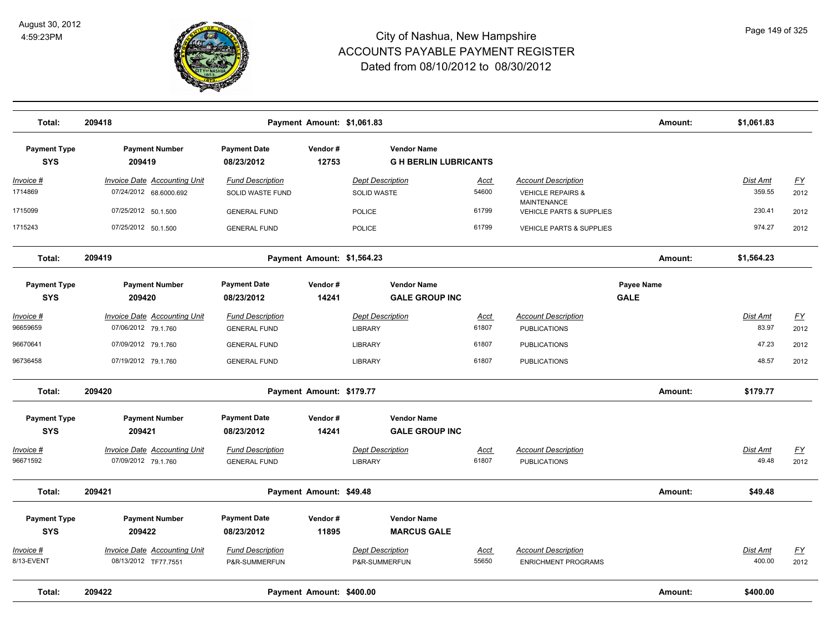

| Total:                            | 209418                                                        |                                                | Payment Amount: \$1,061.83 |                                                   |                      |                                                            | Amount:                   | \$1,061.83         |                   |
|-----------------------------------|---------------------------------------------------------------|------------------------------------------------|----------------------------|---------------------------------------------------|----------------------|------------------------------------------------------------|---------------------------|--------------------|-------------------|
| <b>Payment Type</b><br><b>SYS</b> | <b>Payment Number</b><br>209419                               | <b>Payment Date</b><br>08/23/2012              | Vendor#<br>12753           | <b>Vendor Name</b><br><b>GH BERLIN LUBRICANTS</b> |                      |                                                            |                           |                    |                   |
| <u> Invoice #</u><br>1714869      | <b>Invoice Date Accounting Unit</b><br>07/24/2012 68.6000.692 | <b>Fund Description</b><br>SOLID WASTE FUND    |                            | <b>Dept Description</b><br><b>SOLID WASTE</b>     | <u>Acct</u><br>54600 | <b>Account Description</b><br><b>VEHICLE REPAIRS &amp;</b> |                           | Dist Amt<br>359.55 | <u>FY</u><br>2012 |
| 1715099                           | 07/25/2012 50.1.500                                           | <b>GENERAL FUND</b>                            |                            | <b>POLICE</b>                                     | 61799                | <b>MAINTENANCE</b><br><b>VEHICLE PARTS &amp; SUPPLIES</b>  |                           | 230.41             | 2012              |
| 1715243                           | 07/25/2012 50.1.500                                           | <b>GENERAL FUND</b>                            |                            | <b>POLICE</b>                                     | 61799                | <b>VEHICLE PARTS &amp; SUPPLIES</b>                        |                           | 974.27             | 2012              |
| Total:                            | 209419                                                        |                                                | Payment Amount: \$1,564.23 |                                                   |                      |                                                            | Amount:                   | \$1,564.23         |                   |
| <b>Payment Type</b><br><b>SYS</b> | <b>Payment Number</b><br>209420                               | <b>Payment Date</b><br>08/23/2012              | Vendor#<br>14241           | <b>Vendor Name</b><br><b>GALE GROUP INC</b>       |                      |                                                            | Payee Name<br><b>GALE</b> |                    |                   |
| Invoice #<br>96659659             | <b>Invoice Date Accounting Unit</b><br>07/06/2012 79.1.760    | <b>Fund Description</b><br><b>GENERAL FUND</b> |                            | <b>Dept Description</b><br><b>LIBRARY</b>         | Acct<br>61807        | <b>Account Description</b><br><b>PUBLICATIONS</b>          |                           | Dist Amt<br>83.97  | <u>FY</u><br>2012 |
| 96670641                          | 07/09/2012 79.1.760                                           | <b>GENERAL FUND</b>                            |                            | <b>LIBRARY</b>                                    | 61807                | <b>PUBLICATIONS</b>                                        |                           | 47.23              | 2012              |
| 96736458                          | 07/19/2012 79.1.760                                           | <b>GENERAL FUND</b>                            |                            | <b>LIBRARY</b>                                    | 61807                | <b>PUBLICATIONS</b>                                        |                           | 48.57              | 2012              |
| Total:                            | 209420                                                        |                                                | Payment Amount: \$179.77   |                                                   |                      |                                                            | Amount:                   | \$179.77           |                   |
| <b>Payment Type</b><br><b>SYS</b> | <b>Payment Number</b><br>209421                               | <b>Payment Date</b><br>08/23/2012              | Vendor#<br>14241           | <b>Vendor Name</b><br><b>GALE GROUP INC</b>       |                      |                                                            |                           |                    |                   |
| Invoice #<br>96671592             | <b>Invoice Date Accounting Unit</b><br>07/09/2012 79.1.760    | <b>Fund Description</b><br><b>GENERAL FUND</b> |                            | <b>Dept Description</b><br><b>LIBRARY</b>         | Acct<br>61807        | <b>Account Description</b><br><b>PUBLICATIONS</b>          |                           | Dist Amt<br>49.48  | <u>FY</u><br>2012 |
| Total:                            | 209421                                                        |                                                | Payment Amount: \$49.48    |                                                   |                      |                                                            | Amount:                   | \$49.48            |                   |
| <b>Payment Type</b><br><b>SYS</b> | <b>Payment Number</b><br>209422                               | <b>Payment Date</b><br>08/23/2012              | Vendor#<br>11895           | <b>Vendor Name</b><br><b>MARCUS GALE</b>          |                      |                                                            |                           |                    |                   |
| Invoice #<br>8/13-EVENT           | <b>Invoice Date Accounting Unit</b><br>08/13/2012 TF77.7551   | <b>Fund Description</b><br>P&R-SUMMERFUN       |                            | <b>Dept Description</b><br>P&R-SUMMERFUN          | Acct<br>55650        | <b>Account Description</b><br><b>ENRICHMENT PROGRAMS</b>   |                           | Dist Amt<br>400.00 | <u>FY</u><br>2012 |
| Total:                            | 209422                                                        |                                                | Payment Amount: \$400.00   |                                                   |                      |                                                            | Amount:                   | \$400.00           |                   |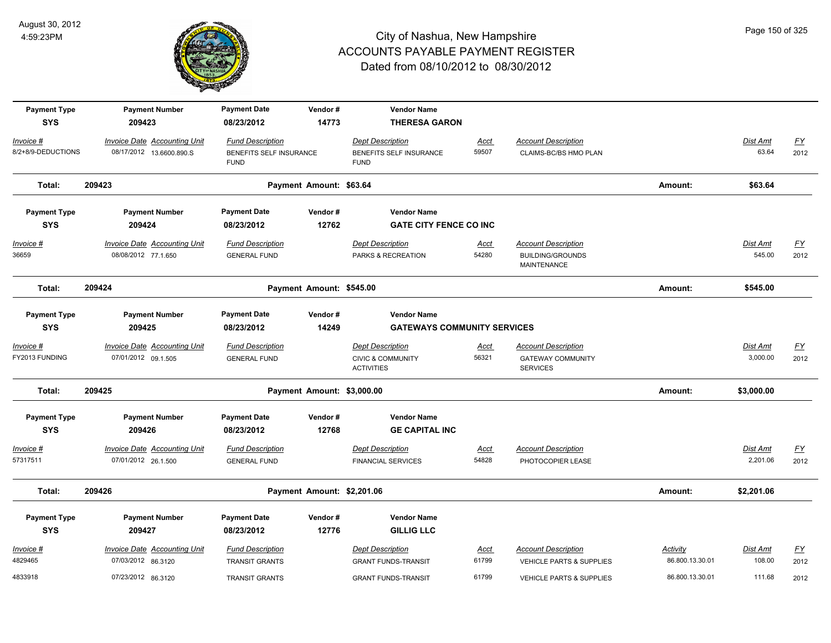

| <b>Payment Type</b><br><b>SYS</b> | <b>Payment Number</b><br>209423     | <b>Payment Date</b><br>08/23/2012      | Vendor#<br>14773           | <b>Vendor Name</b><br><b>THERESA GARON</b>        |             |                                             |                 |                 |                  |
|-----------------------------------|-------------------------------------|----------------------------------------|----------------------------|---------------------------------------------------|-------------|---------------------------------------------|-----------------|-----------------|------------------|
|                                   |                                     |                                        |                            |                                                   |             |                                             |                 |                 |                  |
| Invoice #                         | Invoice Date Accounting Unit        | <b>Fund Description</b>                |                            | <b>Dept Description</b>                           | Acct        | <b>Account Description</b>                  |                 | Dist Amt        | $\underline{FY}$ |
| 8/2+8/9-DEDUCTIONS                | 08/17/2012 13.6600.890.S            | BENEFITS SELF INSURANCE<br><b>FUND</b> |                            | BENEFITS SELF INSURANCE<br><b>FUND</b>            | 59507       | CLAIMS-BC/BS HMO PLAN                       |                 | 63.64           | 2012             |
| Total:                            | 209423                              |                                        | Payment Amount: \$63.64    |                                                   |             |                                             | Amount:         | \$63.64         |                  |
| <b>Payment Type</b>               | <b>Payment Number</b>               | <b>Payment Date</b>                    | Vendor#                    | <b>Vendor Name</b>                                |             |                                             |                 |                 |                  |
| <b>SYS</b>                        | 209424                              | 08/23/2012                             | 12762                      | <b>GATE CITY FENCE CO INC</b>                     |             |                                             |                 |                 |                  |
| $Invoice$ #                       | <b>Invoice Date Accounting Unit</b> | <b>Fund Description</b>                |                            | <b>Dept Description</b>                           | Acct        | <b>Account Description</b>                  |                 | <u>Dist Amt</u> | <u>FY</u>        |
| 36659                             | 08/08/2012 77.1.650                 | <b>GENERAL FUND</b>                    |                            | PARKS & RECREATION                                | 54280       | <b>BUILDING/GROUNDS</b><br>MAINTENANCE      |                 | 545.00          | 2012             |
| Total:                            | 209424                              |                                        | Payment Amount: \$545.00   |                                                   |             |                                             | Amount:         | \$545.00        |                  |
| <b>Payment Type</b>               | <b>Payment Number</b>               | <b>Payment Date</b>                    | Vendor#                    | <b>Vendor Name</b>                                |             |                                             |                 |                 |                  |
| <b>SYS</b>                        | 209425                              | 08/23/2012                             | 14249                      | <b>GATEWAYS COMMUNITY SERVICES</b>                |             |                                             |                 |                 |                  |
| Invoice #                         | <b>Invoice Date Accounting Unit</b> | <b>Fund Description</b>                |                            | <b>Dept Description</b>                           | <u>Acct</u> | <b>Account Description</b>                  |                 | Dist Amt        | $\underline{FY}$ |
| FY2013 FUNDING                    | 07/01/2012 09.1.505                 | <b>GENERAL FUND</b>                    |                            | <b>CIVIC &amp; COMMUNITY</b><br><b>ACTIVITIES</b> | 56321       | <b>GATEWAY COMMUNITY</b><br><b>SERVICES</b> |                 | 3,000.00        | 2012             |
| Total:                            | 209425                              |                                        | Payment Amount: \$3,000.00 |                                                   |             |                                             | Amount:         | \$3,000.00      |                  |
| <b>Payment Type</b>               | <b>Payment Number</b>               | <b>Payment Date</b>                    | Vendor#                    | <b>Vendor Name</b>                                |             |                                             |                 |                 |                  |
| <b>SYS</b>                        | 209426                              | 08/23/2012                             | 12768                      | <b>GE CAPITAL INC</b>                             |             |                                             |                 |                 |                  |
| $Invoice$ #                       | <b>Invoice Date Accounting Unit</b> | <b>Fund Description</b>                |                            | <b>Dept Description</b>                           | <u>Acct</u> | <b>Account Description</b>                  |                 | Dist Amt        | $\underline{FY}$ |
| 57317511                          | 07/01/2012 26.1.500                 | <b>GENERAL FUND</b>                    |                            | <b>FINANCIAL SERVICES</b>                         | 54828       | PHOTOCOPIER LEASE                           |                 | 2,201.06        | 2012             |
| Total:                            | 209426                              |                                        | Payment Amount: \$2,201.06 |                                                   |             |                                             | Amount:         | \$2,201.06      |                  |
| <b>Payment Type</b>               | <b>Payment Number</b>               | <b>Payment Date</b>                    | Vendor#                    | <b>Vendor Name</b>                                |             |                                             |                 |                 |                  |
| <b>SYS</b>                        | 209427                              | 08/23/2012                             | 12776                      | <b>GILLIG LLC</b>                                 |             |                                             |                 |                 |                  |
| $Invoice$ #                       | <b>Invoice Date Accounting Unit</b> | <b>Fund Description</b>                |                            | <b>Dept Description</b>                           | <u>Acct</u> | <b>Account Description</b>                  | Activity        | Dist Amt        | $\underline{FY}$ |
| 4829465                           | 07/03/2012 86.3120                  | <b>TRANSIT GRANTS</b>                  |                            | <b>GRANT FUNDS-TRANSIT</b>                        | 61799       | <b>VEHICLE PARTS &amp; SUPPLIES</b>         | 86.800.13.30.01 | 108.00          | 2012             |
| 4833918                           | 07/23/2012 86.3120                  | <b>TRANSIT GRANTS</b>                  |                            | <b>GRANT FUNDS-TRANSIT</b>                        | 61799       | <b>VEHICLE PARTS &amp; SUPPLIES</b>         | 86.800.13.30.01 | 111.68          | 2012             |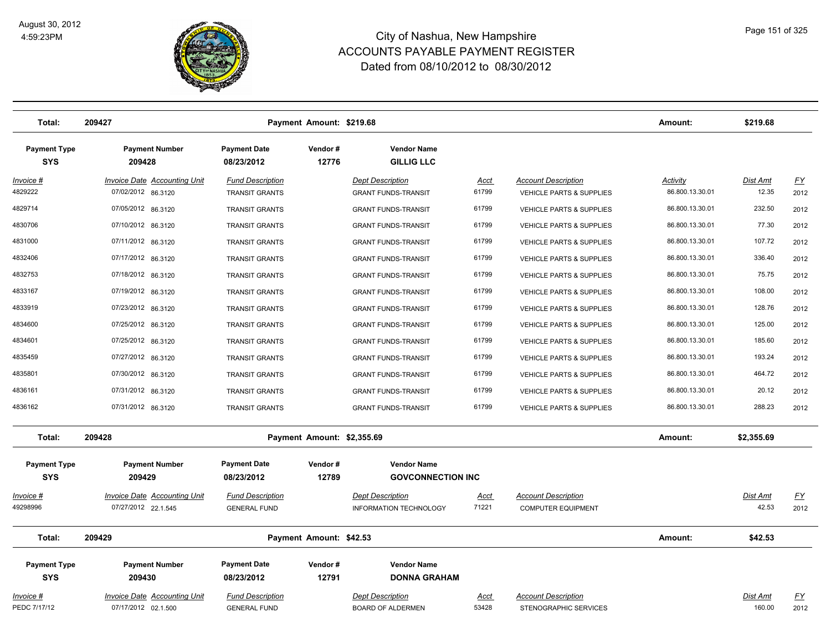

| Total:                            | 209427                                                     |                                                  | Payment Amount: \$219.68   |                                                          |                      |                                                                   | Amount:                            | \$219.68                 |                   |
|-----------------------------------|------------------------------------------------------------|--------------------------------------------------|----------------------------|----------------------------------------------------------|----------------------|-------------------------------------------------------------------|------------------------------------|--------------------------|-------------------|
| <b>Payment Type</b><br><b>SYS</b> | <b>Payment Number</b><br>209428                            | <b>Payment Date</b><br>08/23/2012                | Vendor#<br>12776           | <b>Vendor Name</b><br><b>GILLIG LLC</b>                  |                      |                                                                   |                                    |                          |                   |
| <u> Invoice #</u><br>4829222      | <b>Invoice Date Accounting Unit</b><br>07/02/2012 86.3120  | <b>Fund Description</b><br><b>TRANSIT GRANTS</b> |                            | <b>Dept Description</b><br><b>GRANT FUNDS-TRANSIT</b>    | <u>Acct</u><br>61799 | <b>Account Description</b><br><b>VEHICLE PARTS &amp; SUPPLIES</b> | <b>Activity</b><br>86.800.13.30.01 | <u>Dist Amt</u><br>12.35 | <u>FY</u><br>2012 |
| 4829714                           | 07/05/2012 86.3120                                         | <b>TRANSIT GRANTS</b>                            |                            | <b>GRANT FUNDS-TRANSIT</b>                               | 61799                | <b>VEHICLE PARTS &amp; SUPPLIES</b>                               | 86.800.13.30.01                    | 232.50                   | 2012              |
| 4830706                           | 07/10/2012 86.3120                                         | <b>TRANSIT GRANTS</b>                            |                            | <b>GRANT FUNDS-TRANSIT</b>                               | 61799                | VEHICLE PARTS & SUPPLIES                                          | 86.800.13.30.01                    | 77.30                    | 2012              |
| 4831000                           | 07/11/2012 86.3120                                         | <b>TRANSIT GRANTS</b>                            |                            | <b>GRANT FUNDS-TRANSIT</b>                               | 61799                | VEHICLE PARTS & SUPPLIES                                          | 86.800.13.30.01                    | 107.72                   | 2012              |
| 4832406                           | 07/17/2012 86.3120                                         | <b>TRANSIT GRANTS</b>                            |                            | <b>GRANT FUNDS-TRANSIT</b>                               | 61799                | <b>VEHICLE PARTS &amp; SUPPLIES</b>                               | 86.800.13.30.01                    | 336.40                   | 2012              |
| 4832753                           | 07/18/2012 86.3120                                         | <b>TRANSIT GRANTS</b>                            |                            | <b>GRANT FUNDS-TRANSIT</b>                               | 61799                | <b>VEHICLE PARTS &amp; SUPPLIES</b>                               | 86.800.13.30.01                    | 75.75                    | 2012              |
| 4833167                           | 07/19/2012 86.3120                                         | <b>TRANSIT GRANTS</b>                            |                            | <b>GRANT FUNDS-TRANSIT</b>                               | 61799                | VEHICLE PARTS & SUPPLIES                                          | 86.800.13.30.01                    | 108.00                   | 2012              |
| 4833919                           | 07/23/2012 86.3120                                         | <b>TRANSIT GRANTS</b>                            |                            | <b>GRANT FUNDS-TRANSIT</b>                               | 61799                | <b>VEHICLE PARTS &amp; SUPPLIES</b>                               | 86.800.13.30.01                    | 128.76                   | 2012              |
| 4834600                           | 07/25/2012 86.3120                                         | <b>TRANSIT GRANTS</b>                            |                            | <b>GRANT FUNDS-TRANSIT</b>                               | 61799                | <b>VEHICLE PARTS &amp; SUPPLIES</b>                               | 86.800.13.30.01                    | 125.00                   | 2012              |
| 4834601                           | 07/25/2012 86.3120                                         | <b>TRANSIT GRANTS</b>                            |                            | <b>GRANT FUNDS-TRANSIT</b>                               | 61799                | <b>VEHICLE PARTS &amp; SUPPLIES</b>                               | 86.800.13.30.01                    | 185.60                   | 2012              |
| 4835459                           | 07/27/2012 86.3120                                         | <b>TRANSIT GRANTS</b>                            |                            | <b>GRANT FUNDS-TRANSIT</b>                               | 61799                | VEHICLE PARTS & SUPPLIES                                          | 86.800.13.30.01                    | 193.24                   | 2012              |
| 4835801                           | 07/30/2012 86.3120                                         | <b>TRANSIT GRANTS</b>                            |                            | <b>GRANT FUNDS-TRANSIT</b>                               | 61799                | VEHICLE PARTS & SUPPLIES                                          | 86.800.13.30.01                    | 464.72                   | 2012              |
| 4836161                           | 07/31/2012 86.3120                                         | <b>TRANSIT GRANTS</b>                            |                            | <b>GRANT FUNDS-TRANSIT</b>                               | 61799                | VEHICLE PARTS & SUPPLIES                                          | 86.800.13.30.01                    | 20.12                    | 2012              |
| 4836162                           | 07/31/2012 86.3120                                         | <b>TRANSIT GRANTS</b>                            |                            | <b>GRANT FUNDS-TRANSIT</b>                               | 61799                | <b>VEHICLE PARTS &amp; SUPPLIES</b>                               | 86.800.13.30.01                    | 288.23                   | 2012              |
| Total:                            | 209428                                                     |                                                  | Payment Amount: \$2,355.69 |                                                          |                      |                                                                   | Amount:                            | \$2,355.69               |                   |
| <b>Payment Type</b><br><b>SYS</b> | <b>Payment Number</b><br>209429                            | <b>Payment Date</b><br>08/23/2012                | Vendor#<br>12789           | <b>Vendor Name</b><br><b>GOVCONNECTION INC</b>           |                      |                                                                   |                                    |                          |                   |
| <u>Invoice #</u><br>49298996      | Invoice Date Accounting Unit<br>07/27/2012 22.1.545        | <b>Fund Description</b><br><b>GENERAL FUND</b>   |                            | <b>Dept Description</b><br><b>INFORMATION TECHNOLOGY</b> | <u>Acct</u><br>71221 | <b>Account Description</b><br><b>COMPUTER EQUIPMENT</b>           |                                    | Dist Amt<br>42.53        | EY<br>2012        |
| Total:                            | 209429                                                     |                                                  | Payment Amount: \$42.53    |                                                          |                      |                                                                   | Amount:                            | \$42.53                  |                   |
| <b>Payment Type</b><br><b>SYS</b> | <b>Payment Number</b><br>209430                            | <b>Payment Date</b><br>08/23/2012                | Vendor#<br>12791           | <b>Vendor Name</b><br><b>DONNA GRAHAM</b>                |                      |                                                                   |                                    |                          |                   |
| Invoice #<br>PEDC 7/17/12         | <b>Invoice Date Accounting Unit</b><br>07/17/2012 02.1.500 | <b>Fund Description</b><br><b>GENERAL FUND</b>   |                            | <b>Dept Description</b><br><b>BOARD OF ALDERMEN</b>      | <u>Acct</u><br>53428 | <b>Account Description</b><br>STENOGRAPHIC SERVICES               |                                    | Dist Amt<br>160.00       | <u>FY</u><br>2012 |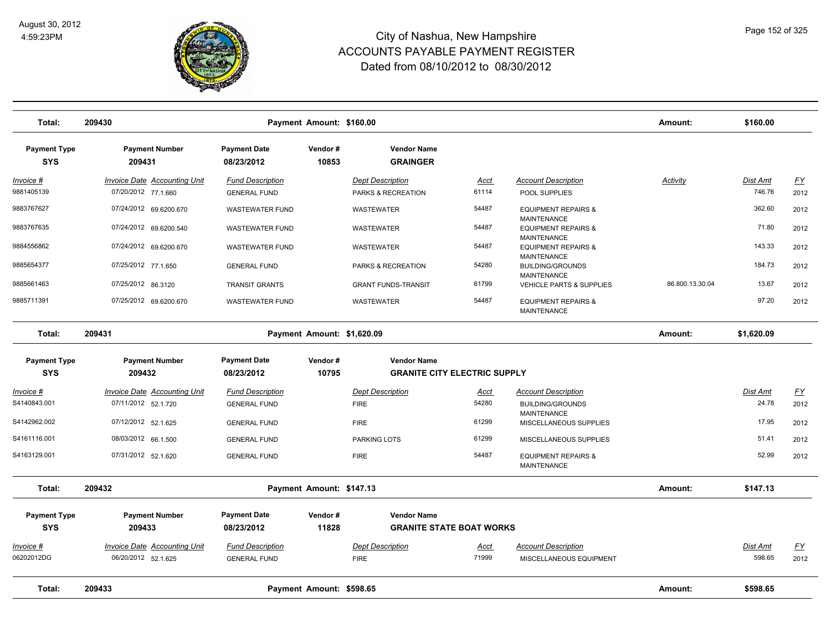

| Total:                            | 209430                                                     |                                                | Payment Amount: \$160.00 |                                                           |                      |                                                       | Amount:         | \$160.00                  |                   |
|-----------------------------------|------------------------------------------------------------|------------------------------------------------|--------------------------|-----------------------------------------------------------|----------------------|-------------------------------------------------------|-----------------|---------------------------|-------------------|
| <b>Payment Type</b><br><b>SYS</b> | <b>Payment Number</b><br>209431                            | <b>Payment Date</b><br>08/23/2012              | Vendor#<br>10853         | <b>Vendor Name</b><br><b>GRAINGER</b>                     |                      |                                                       |                 |                           |                   |
| $Invoice$ #<br>9881405139         | <b>Invoice Date Accounting Unit</b><br>07/20/2012 77.1.660 | <b>Fund Description</b><br><b>GENERAL FUND</b> |                          | <b>Dept Description</b><br>PARKS & RECREATION             | <u>Acct</u><br>61114 | <b>Account Description</b><br>POOL SUPPLIES           | <b>Activity</b> | <u>Dist Amt</u><br>746.76 | <u>FY</u><br>2012 |
| 9883767627                        | 07/24/2012 69.6200.670                                     | <b>WASTEWATER FUND</b>                         |                          | WASTEWATER                                                | 54487                | <b>EQUIPMENT REPAIRS &amp;</b>                        |                 | 362.60                    | 2012              |
| 9883767635                        | 07/24/2012 69.6200.540                                     | <b>WASTEWATER FUND</b>                         |                          | <b>WASTEWATER</b>                                         | 54487                | <b>MAINTENANCE</b><br><b>EQUIPMENT REPAIRS &amp;</b>  |                 | 71.80                     | 2012              |
| 9884556862                        | 07/24/2012 69.6200.670                                     | <b>WASTEWATER FUND</b>                         |                          | <b>WASTEWATER</b>                                         | 54487                | <b>MAINTENANCE</b><br><b>EQUIPMENT REPAIRS &amp;</b>  |                 | 143.33                    | 2012              |
| 9885654377                        | 07/25/2012 77.1.650                                        | <b>GENERAL FUND</b>                            |                          | PARKS & RECREATION                                        | 54280                | <b>MAINTENANCE</b><br><b>BUILDING/GROUNDS</b>         |                 | 184.73                    | 2012              |
| 9885661463                        | 07/25/2012 86.3120                                         | <b>TRANSIT GRANTS</b>                          |                          | <b>GRANT FUNDS-TRANSIT</b>                                | 61799                | MAINTENANCE<br><b>VEHICLE PARTS &amp; SUPPLIES</b>    | 86.800.13.30.04 | 13.67                     | 2012              |
| 9885711391                        | 07/25/2012 69.6200.670                                     | <b>WASTEWATER FUND</b>                         |                          | WASTEWATER                                                | 54487                | <b>EQUIPMENT REPAIRS &amp;</b><br><b>MAINTENANCE</b>  |                 | 97.20                     | 2012              |
| Total:                            | 209431                                                     | Payment Amount: \$1,620.09                     |                          |                                                           |                      |                                                       |                 | \$1,620.09                |                   |
| <b>Payment Type</b><br><b>SYS</b> | <b>Payment Number</b><br>209432                            | <b>Payment Date</b><br>08/23/2012              | Vendor#<br>10795         | <b>Vendor Name</b><br><b>GRANITE CITY ELECTRIC SUPPLY</b> |                      |                                                       |                 |                           |                   |
| Invoice #                         | <b>Invoice Date Accounting Unit</b>                        | <b>Fund Description</b>                        |                          | <b>Dept Description</b>                                   | <b>Acct</b>          | <b>Account Description</b>                            |                 | Dist Amt                  | <u>FY</u>         |
| S4140843.001                      | 07/11/2012 52.1.720                                        | <b>GENERAL FUND</b>                            |                          | <b>FIRE</b>                                               | 54280                | <b>BUILDING/GROUNDS</b>                               |                 | 24.78                     | 2012              |
| S4142962.002                      | 07/12/2012 52.1.625                                        | <b>GENERAL FUND</b>                            |                          | <b>FIRE</b>                                               | 61299                | <b>MAINTENANCE</b><br>MISCELLANEOUS SUPPLIES          |                 | 17.95                     | 2012              |
| S4161116.001                      | 08/03/2012 66.1.500                                        | <b>GENERAL FUND</b>                            |                          | PARKING LOTS                                              | 61299                | MISCELLANEOUS SUPPLIES                                |                 | 51.41                     | 2012              |
| S4163129.001                      | 07/31/2012 52.1.620                                        | <b>GENERAL FUND</b>                            |                          | <b>FIRE</b>                                               | 54487                | <b>EQUIPMENT REPAIRS &amp;</b><br><b>MAINTENANCE</b>  |                 | 52.99                     | 2012              |
| Total:                            | 209432                                                     |                                                | Payment Amount: \$147.13 |                                                           |                      |                                                       | Amount:         | \$147.13                  |                   |
| <b>Payment Type</b>               | <b>Payment Number</b>                                      | <b>Payment Date</b>                            | Vendor#                  | <b>Vendor Name</b>                                        |                      |                                                       |                 |                           |                   |
| <b>SYS</b>                        | 209433                                                     | 08/23/2012                                     | 11828                    | <b>GRANITE STATE BOAT WORKS</b>                           |                      |                                                       |                 |                           |                   |
| <u> Invoice #</u><br>06202012DG   | <b>Invoice Date Accounting Unit</b><br>06/20/2012 52.1.625 | <b>Fund Description</b><br><b>GENERAL FUND</b> |                          | <b>Dept Description</b><br><b>FIRE</b>                    | <u>Acct</u><br>71999 | <b>Account Description</b><br>MISCELLANEOUS EQUIPMENT |                 | Dist Amt<br>598.65        | <u>FY</u><br>2012 |
| Total:                            | 209433                                                     |                                                | Payment Amount: \$598.65 |                                                           |                      |                                                       | Amount:         | \$598.65                  |                   |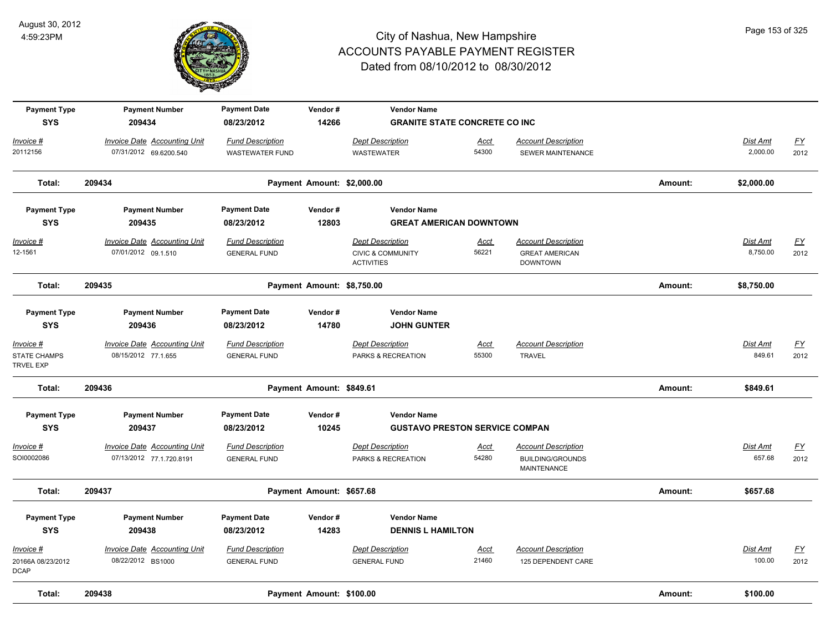

| <b>Payment Type</b><br><b>SYS</b>                    | <b>Payment Number</b><br>209434                                 | <b>Payment Date</b><br>08/23/2012              | Vendor#<br>14266           | <b>Vendor Name</b><br><b>GRANITE STATE CONCRETE CO INC</b>                   |                      |                                                                             |         |                             |                   |
|------------------------------------------------------|-----------------------------------------------------------------|------------------------------------------------|----------------------------|------------------------------------------------------------------------------|----------------------|-----------------------------------------------------------------------------|---------|-----------------------------|-------------------|
| Invoice #                                            | <b>Invoice Date Accounting Unit</b>                             | <b>Fund Description</b>                        |                            | <b>Dept Description</b>                                                      | Acct                 | <b>Account Description</b>                                                  |         | <b>Dist Amt</b>             | $\underline{FY}$  |
| 20112156                                             | 07/31/2012 69.6200.540                                          | <b>WASTEWATER FUND</b>                         |                            | <b>WASTEWATER</b>                                                            | 54300                | SEWER MAINTENANCE                                                           |         | 2,000.00                    | 2012              |
| Total:                                               | 209434                                                          |                                                | Payment Amount: \$2,000.00 |                                                                              |                      |                                                                             | Amount: | \$2,000.00                  |                   |
| <b>Payment Type</b>                                  | <b>Payment Number</b>                                           | <b>Payment Date</b>                            | Vendor#                    | <b>Vendor Name</b>                                                           |                      |                                                                             |         |                             |                   |
| <b>SYS</b>                                           | 209435                                                          | 08/23/2012                                     | 12803                      | <b>GREAT AMERICAN DOWNTOWN</b>                                               |                      |                                                                             |         |                             |                   |
| Invoice #<br>12-1561                                 | <b>Invoice Date Accounting Unit</b><br>07/01/2012 09.1.510      | <b>Fund Description</b><br><b>GENERAL FUND</b> |                            | <b>Dept Description</b><br><b>CIVIC &amp; COMMUNITY</b><br><b>ACTIVITIES</b> | <u>Acct</u><br>56221 | <b>Account Description</b><br><b>GREAT AMERICAN</b><br><b>DOWNTOWN</b>      |         | <b>Dist Amt</b><br>8,750.00 | EY<br>2012        |
| Total:                                               | 209435                                                          |                                                | Payment Amount: \$8,750.00 |                                                                              |                      |                                                                             | Amount: | \$8,750.00                  |                   |
| <b>Payment Type</b><br><b>SYS</b>                    | <b>Payment Number</b><br>209436                                 | <b>Payment Date</b><br>08/23/2012              | Vendor#<br>14780           | <b>Vendor Name</b><br><b>JOHN GUNTER</b>                                     |                      |                                                                             |         |                             |                   |
| Invoice #<br><b>STATE CHAMPS</b><br><b>TRVEL EXP</b> | <b>Invoice Date Accounting Unit</b><br>08/15/2012 77.1.655      | <b>Fund Description</b><br><b>GENERAL FUND</b> |                            | <b>Dept Description</b><br>PARKS & RECREATION                                | <b>Acct</b><br>55300 | <b>Account Description</b><br><b>TRAVEL</b>                                 |         | Dist Amt<br>849.61          | <u>FY</u><br>2012 |
| Total:                                               | 209436                                                          |                                                | Payment Amount: \$849.61   |                                                                              |                      |                                                                             | Amount: | \$849.61                    |                   |
| <b>Payment Type</b>                                  | <b>Payment Number</b>                                           | <b>Payment Date</b>                            | Vendor#                    | <b>Vendor Name</b>                                                           |                      |                                                                             |         |                             |                   |
| <b>SYS</b>                                           | 209437                                                          | 08/23/2012                                     | 10245                      | <b>GUSTAVO PRESTON SERVICE COMPAN</b>                                        |                      |                                                                             |         |                             |                   |
| Invoice #<br>SOI0002086                              | <b>Invoice Date Accounting Unit</b><br>07/13/2012 77.1.720.8191 | <b>Fund Description</b><br><b>GENERAL FUND</b> |                            | <b>Dept Description</b><br>PARKS & RECREATION                                | Acct<br>54280        | <b>Account Description</b><br><b>BUILDING/GROUNDS</b><br><b>MAINTENANCE</b> |         | Dist Amt<br>657.68          | <u>FY</u><br>2012 |
| Total:                                               | 209437                                                          |                                                | Payment Amount: \$657.68   |                                                                              |                      |                                                                             | Amount: | \$657.68                    |                   |
| <b>Payment Type</b><br><b>SYS</b>                    | <b>Payment Number</b><br>209438                                 | <b>Payment Date</b><br>08/23/2012              | Vendor#<br>14283           | <b>Vendor Name</b><br><b>DENNIS L HAMILTON</b>                               |                      |                                                                             |         |                             |                   |
| Invoice #<br>20166A 08/23/2012<br><b>DCAP</b>        | <b>Invoice Date Accounting Unit</b><br>08/22/2012 BS1000        | <b>Fund Description</b><br><b>GENERAL FUND</b> |                            | <b>Dept Description</b><br><b>GENERAL FUND</b>                               | <b>Acct</b><br>21460 | <b>Account Description</b><br>125 DEPENDENT CARE                            |         | Dist Amt<br>100.00          | EY<br>2012        |
| Total:                                               | 209438                                                          |                                                | Payment Amount: \$100.00   |                                                                              |                      |                                                                             | Amount: | \$100.00                    |                   |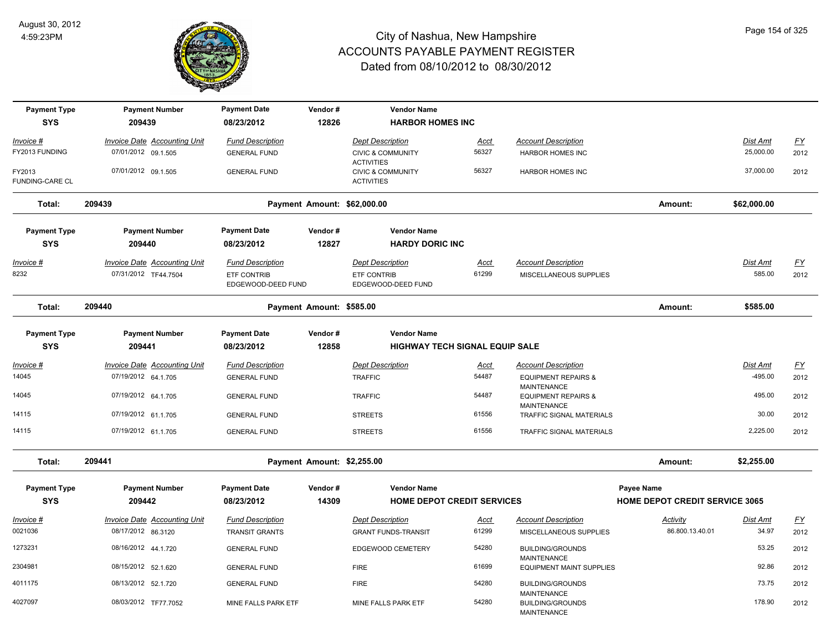

| <b>Payment Type</b>              | <b>Payment Number</b>                                       | <b>Payment Date</b>                           | Vendor#                     | <b>Vendor Name</b>                                |                      |                                                      |                                       |                           |                   |
|----------------------------------|-------------------------------------------------------------|-----------------------------------------------|-----------------------------|---------------------------------------------------|----------------------|------------------------------------------------------|---------------------------------------|---------------------------|-------------------|
| <b>SYS</b>                       | 209439                                                      | 08/23/2012                                    | 12826                       | <b>HARBOR HOMES INC</b>                           |                      |                                                      |                                       |                           |                   |
| Invoice #                        | <b>Invoice Date Accounting Unit</b>                         | <b>Fund Description</b>                       |                             | <b>Dept Description</b>                           | <u>Acct</u>          | <b>Account Description</b>                           |                                       | Dist Amt                  | $\underline{FY}$  |
| FY2013 FUNDING                   | 07/01/2012 09.1.505                                         | <b>GENERAL FUND</b>                           |                             | <b>CIVIC &amp; COMMUNITY</b><br><b>ACTIVITIES</b> | 56327                | <b>HARBOR HOMES INC</b>                              |                                       | 25,000.00                 | 2012              |
| FY2013<br><b>FUNDING-CARE CL</b> | 07/01/2012 09.1.505                                         | <b>GENERAL FUND</b>                           |                             | <b>CIVIC &amp; COMMUNITY</b><br><b>ACTIVITIES</b> | 56327                | <b>HARBOR HOMES INC</b>                              |                                       | 37,000.00                 | 2012              |
| Total:                           | 209439                                                      |                                               | Payment Amount: \$62,000.00 |                                                   |                      |                                                      | Amount:                               | \$62,000.00               |                   |
| <b>Payment Type</b>              | <b>Payment Number</b>                                       | <b>Payment Date</b>                           | Vendor#                     | <b>Vendor Name</b>                                |                      |                                                      |                                       |                           |                   |
| <b>SYS</b>                       | 209440                                                      | 08/23/2012                                    | 12827                       | <b>HARDY DORIC INC</b>                            |                      |                                                      |                                       |                           |                   |
| <u> Invoice #</u><br>8232        | <b>Invoice Date Accounting Unit</b><br>07/31/2012 TF44.7504 | <b>Fund Description</b><br><b>ETF CONTRIB</b> |                             | <b>Dept Description</b><br>ETF CONTRIB            | <u>Acct</u><br>61299 | <b>Account Description</b><br>MISCELLANEOUS SUPPLIES |                                       | <b>Dist Amt</b><br>585.00 | <u>FY</u><br>2012 |
|                                  |                                                             | EDGEWOOD-DEED FUND                            |                             | EDGEWOOD-DEED FUND                                |                      |                                                      |                                       |                           |                   |
| Total:                           | 209440                                                      |                                               | Payment Amount: \$585.00    |                                                   |                      |                                                      | Amount:                               | \$585.00                  |                   |
| <b>Payment Type</b>              | <b>Payment Number</b>                                       | <b>Payment Date</b>                           | Vendor#                     | <b>Vendor Name</b>                                |                      |                                                      |                                       |                           |                   |
| <b>SYS</b>                       | 209441                                                      | 08/23/2012                                    | 12858                       | <b>HIGHWAY TECH SIGNAL EQUIP SALE</b>             |                      |                                                      |                                       |                           |                   |
| Invoice #                        | <b>Invoice Date Accounting Unit</b>                         | <b>Fund Description</b>                       |                             | <b>Dept Description</b>                           | <b>Acct</b>          | <b>Account Description</b>                           |                                       | <b>Dist Amt</b>           | <u>FY</u>         |
| 14045                            | 07/19/2012 64.1.705                                         | <b>GENERAL FUND</b>                           |                             | <b>TRAFFIC</b>                                    | 54487                | <b>EQUIPMENT REPAIRS &amp;</b><br><b>MAINTENANCE</b> |                                       | -495.00                   | 2012              |
| 14045                            | 07/19/2012 64.1.705                                         | <b>GENERAL FUND</b>                           |                             | <b>TRAFFIC</b>                                    | 54487                | <b>EQUIPMENT REPAIRS &amp;</b><br><b>MAINTENANCE</b> |                                       | 495.00                    | 2012              |
| 14115                            | 07/19/2012 61.1.705                                         | <b>GENERAL FUND</b>                           |                             | <b>STREETS</b>                                    | 61556                | <b>TRAFFIC SIGNAL MATERIALS</b>                      |                                       | 30.00                     | 2012              |
| 14115                            | 07/19/2012 61.1.705                                         | <b>GENERAL FUND</b>                           |                             | <b>STREETS</b>                                    | 61556                | TRAFFIC SIGNAL MATERIALS                             |                                       | 2,225.00                  | 2012              |
| Total:                           | 209441                                                      |                                               | Payment Amount: \$2,255.00  |                                                   |                      |                                                      | Amount:                               | \$2,255.00                |                   |
| <b>Payment Type</b>              | <b>Payment Number</b>                                       | <b>Payment Date</b>                           | Vendor#                     | <b>Vendor Name</b>                                |                      |                                                      | Payee Name                            |                           |                   |
| <b>SYS</b>                       | 209442                                                      | 08/23/2012                                    | 14309                       | <b>HOME DEPOT CREDIT SERVICES</b>                 |                      |                                                      | <b>HOME DEPOT CREDIT SERVICE 3065</b> |                           |                   |
| Invoice #                        | <b>Invoice Date Accounting Unit</b>                         | <b>Fund Description</b>                       |                             | <b>Dept Description</b>                           | <b>Acct</b>          | <b>Account Description</b>                           | <b>Activity</b>                       | Dist Amt                  | <u>FY</u>         |
| 0021036                          | 08/17/2012 86.3120                                          | <b>TRANSIT GRANTS</b>                         |                             | <b>GRANT FUNDS-TRANSIT</b>                        | 61299                | MISCELLANEOUS SUPPLIES                               | 86.800.13.40.01                       | 34.97                     | 2012              |
| 1273231                          | 08/16/2012 44.1.720                                         | <b>GENERAL FUND</b>                           |                             | EDGEWOOD CEMETERY                                 | 54280                | <b>BUILDING/GROUNDS</b><br>MAINTENANCE               |                                       | 53.25                     | 2012              |
| 2304981                          | 08/15/2012 52.1.620                                         | <b>GENERAL FUND</b>                           |                             | <b>FIRE</b>                                       | 61699                | <b>EQUIPMENT MAINT SUPPLIES</b>                      |                                       | 92.86                     | 2012              |
| 4011175                          | 08/13/2012 52.1.720                                         | <b>GENERAL FUND</b>                           |                             | <b>FIRE</b>                                       | 54280                | <b>BUILDING/GROUNDS</b><br><b>MAINTENANCE</b>        |                                       | 73.75                     | 2012              |
| 4027097                          | 08/03/2012 TF77.7052                                        | MINE FALLS PARK ETF                           |                             | MINE FALLS PARK ETF                               | 54280                | <b>BUILDING/GROUNDS</b><br><b>MAINTENANCE</b>        |                                       | 178.90                    | 2012              |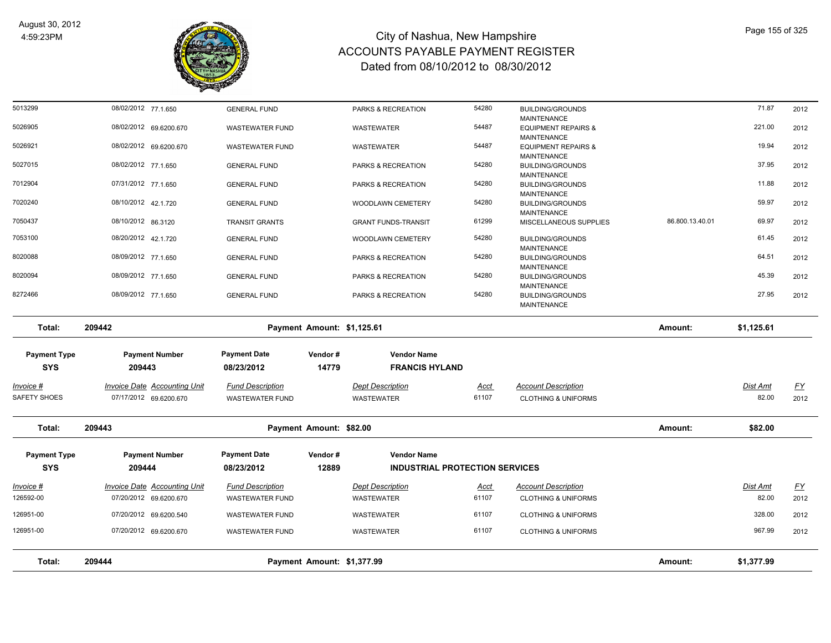

| Total:                                                 | 209444                                                                 | Payment Amount: \$1,377.99                                   |                  |                                                                        |                      |                                                                     | Amount:         | \$1,377.99        |                   |
|--------------------------------------------------------|------------------------------------------------------------------------|--------------------------------------------------------------|------------------|------------------------------------------------------------------------|----------------------|---------------------------------------------------------------------|-----------------|-------------------|-------------------|
|                                                        |                                                                        |                                                              |                  |                                                                        |                      |                                                                     |                 |                   |                   |
| 126951-00                                              | 07/20/2012 69.6200.670                                                 | <b>WASTEWATER FUND</b><br><b>WASTEWATER FUND</b>             |                  | <b>WASTEWATER</b><br>WASTEWATER                                        | 61107                | <b>CLOTHING &amp; UNIFORMS</b><br><b>CLOTHING &amp; UNIFORMS</b>    |                 | 967.99            | 2012<br>2012      |
| 126951-00                                              | 07/20/2012 69.6200.540                                                 |                                                              |                  |                                                                        | 61107                |                                                                     |                 | 328.00            |                   |
| <u> Invoice #</u><br>126592-00                         | <b>Invoice Date Accounting Unit</b><br>07/20/2012 69.6200.670          | <b>Fund Description</b><br>WASTEWATER FUND                   |                  | <b>Dept Description</b><br>WASTEWATER                                  | <u>Acct</u><br>61107 | <b>Account Description</b><br><b>CLOTHING &amp; UNIFORMS</b>        |                 | Dist Amt<br>82.00 | <u>FY</u><br>2012 |
| <b>Payment Type</b><br><b>SYS</b>                      | <b>Payment Number</b><br>209444                                        | <b>Payment Date</b><br>08/23/2012                            | Vendor#<br>12889 | <b>Vendor Name</b><br><b>INDUSTRIAL PROTECTION SERVICES</b>            |                      |                                                                     |                 |                   |                   |
| Total:                                                 | 209443                                                                 | Payment Amount: \$82.00                                      |                  |                                                                        |                      |                                                                     | Amount:         | \$82.00           |                   |
| SAFETY SHOES                                           | 07/17/2012 69.6200.670                                                 | <b>WASTEWATER FUND</b>                                       |                  | <b>WASTEWATER</b>                                                      | 61107                | <b>CLOTHING &amp; UNIFORMS</b>                                      |                 | 82.00             | 2012              |
| <b>Payment Type</b><br><b>SYS</b><br><u> Invoice #</u> | <b>Payment Number</b><br>209443<br><b>Invoice Date Accounting Unit</b> | <b>Payment Date</b><br>08/23/2012<br><b>Fund Description</b> | Vendor#<br>14779 | <b>Vendor Name</b><br><b>FRANCIS HYLAND</b><br><b>Dept Description</b> | <b>Acct</b>          | <b>Account Description</b>                                          |                 | <u>Dist Amt</u>   | <u>FY</u>         |
| Total:                                                 | 209442                                                                 | Payment Amount: \$1,125.61                                   |                  |                                                                        |                      |                                                                     | Amount:         | \$1,125.61        |                   |
| 8272466                                                | 08/09/2012 77.1.650                                                    | <b>GENERAL FUND</b>                                          |                  | PARKS & RECREATION                                                     | 54280                | <b>BUILDING/GROUNDS</b><br>MAINTENANCE                              |                 | 27.95             | 2012              |
| 8020094                                                | 08/09/2012 77.1.650                                                    | <b>GENERAL FUND</b>                                          |                  | PARKS & RECREATION                                                     | 54280                | <b>BUILDING/GROUNDS</b><br><b>MAINTENANCE</b>                       |                 | 45.39             | 2012              |
| 8020088                                                | 08/09/2012 77.1.650                                                    | <b>GENERAL FUND</b>                                          |                  | PARKS & RECREATION                                                     | 54280                | <b>MAINTENANCE</b><br><b>BUILDING/GROUNDS</b><br><b>MAINTENANCE</b> |                 | 64.51             | 2012              |
| 7053100                                                | 08/20/2012 42.1.720                                                    | <b>GENERAL FUND</b>                                          |                  | WOODLAWN CEMETERY                                                      | 54280                | <b>BUILDING/GROUNDS</b>                                             |                 | 61.45             | 2012              |
| 7050437                                                | 08/10/2012 86.3120                                                     | <b>TRANSIT GRANTS</b>                                        |                  | <b>GRANT FUNDS-TRANSIT</b>                                             | 61299                | <b>MAINTENANCE</b><br>MISCELLANEOUS SUPPLIES                        | 86.800.13.40.01 | 69.97             | 2012              |
| 7020240                                                | 08/10/2012 42.1.720                                                    | <b>GENERAL FUND</b>                                          |                  | WOODLAWN CEMETERY                                                      | 54280                | <b>MAINTENANCE</b><br><b>BUILDING/GROUNDS</b>                       |                 | 59.97             | 2012              |
| 7012904                                                | 07/31/2012 77.1.650                                                    | <b>GENERAL FUND</b>                                          |                  | PARKS & RECREATION                                                     | 54280                | <b>MAINTENANCE</b><br><b>BUILDING/GROUNDS</b>                       |                 | 11.88             | 2012              |
| 5027015                                                | 08/02/2012 77.1.650                                                    | <b>GENERAL FUND</b>                                          |                  | PARKS & RECREATION                                                     | 54280                | MAINTENANCE<br><b>BUILDING/GROUNDS</b>                              |                 | 37.95             | 2012              |
| 5026921                                                | 08/02/2012 69.6200.670                                                 | <b>WASTEWATER FUND</b>                                       |                  | WASTEWATER                                                             | 54487                | <b>MAINTENANCE</b><br><b>EQUIPMENT REPAIRS &amp;</b>                |                 | 19.94             | 2012              |
| 5026905                                                | 08/02/2012 69.6200.670                                                 | <b>WASTEWATER FUND</b>                                       |                  | WASTEWATER                                                             | 54487                | <b>EQUIPMENT REPAIRS &amp;</b>                                      |                 | 221.00            | 2012              |
| 5013299                                                | 08/02/2012 77.1.650                                                    | <b>GENERAL FUND</b>                                          |                  | PARKS & RECREATION                                                     | 54280                | <b>BUILDING/GROUNDS</b><br><b>MAINTENANCE</b>                       |                 | 71.87             | 2012              |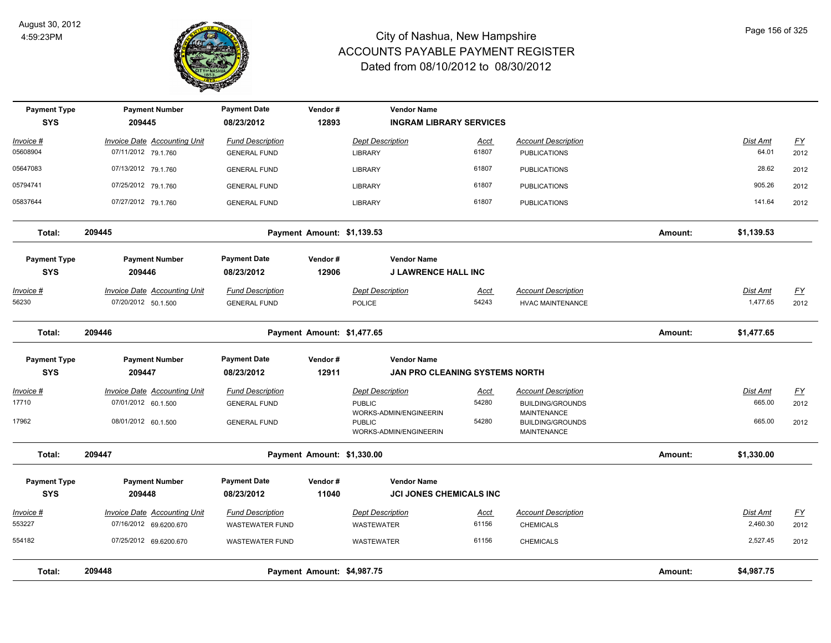

| <b>Payment Type</b><br><b>SYS</b> | <b>Payment Number</b><br>209445                               | <b>Payment Date</b><br>08/23/2012                 | Vendor#<br>12893           | <b>Vendor Name</b><br><b>INGRAM LIBRARY SERVICES</b>               |                      |                                                                             |         |                             |                          |
|-----------------------------------|---------------------------------------------------------------|---------------------------------------------------|----------------------------|--------------------------------------------------------------------|----------------------|-----------------------------------------------------------------------------|---------|-----------------------------|--------------------------|
| Invoice #<br>05608904             | <b>Invoice Date Accounting Unit</b><br>07/11/2012 79.1.760    | <b>Fund Description</b><br><b>GENERAL FUND</b>    |                            | <b>Dept Description</b><br><b>LIBRARY</b>                          | <u>Acct</u><br>61807 | <b>Account Description</b><br><b>PUBLICATIONS</b>                           |         | Dist Amt<br>64.01           | $\underline{FY}$<br>2012 |
| 05647083                          | 07/13/2012 79.1.760                                           | <b>GENERAL FUND</b>                               |                            | LIBRARY                                                            | 61807                | <b>PUBLICATIONS</b>                                                         |         | 28.62                       | 2012                     |
| 05794741                          | 07/25/2012 79.1.760                                           | <b>GENERAL FUND</b>                               |                            | <b>LIBRARY</b>                                                     | 61807                | <b>PUBLICATIONS</b>                                                         |         | 905.26                      | 2012                     |
| 05837644                          | 07/27/2012 79.1.760                                           | <b>GENERAL FUND</b>                               |                            | LIBRARY                                                            | 61807                | <b>PUBLICATIONS</b>                                                         |         | 141.64                      | 2012                     |
| Total:                            | 209445                                                        |                                                   | Payment Amount: \$1,139.53 |                                                                    |                      |                                                                             | Amount: | \$1,139.53                  |                          |
| <b>Payment Type</b><br><b>SYS</b> | <b>Payment Number</b><br>209446                               | <b>Payment Date</b><br>08/23/2012                 | Vendor#<br>12906           | <b>Vendor Name</b><br><b>J LAWRENCE HALL INC</b>                   |                      |                                                                             |         |                             |                          |
| <u> Invoice #</u><br>56230        | <b>Invoice Date Accounting Unit</b><br>07/20/2012 50.1.500    | <b>Fund Description</b><br><b>GENERAL FUND</b>    |                            | <b>Dept Description</b><br><b>POLICE</b>                           | <u>Acct</u><br>54243 | <b>Account Description</b><br><b>HVAC MAINTENANCE</b>                       |         | <b>Dist Amt</b><br>1,477.65 | <u>FY</u><br>2012        |
| Total:                            | 209446                                                        |                                                   | Payment Amount: \$1,477.65 |                                                                    |                      |                                                                             | Amount: | \$1,477.65                  |                          |
| <b>Payment Type</b><br><b>SYS</b> | <b>Payment Number</b><br>209447                               | <b>Payment Date</b><br>08/23/2012                 | Vendor#<br>12911           | <b>Vendor Name</b><br>JAN PRO CLEANING SYSTEMS NORTH               |                      |                                                                             |         |                             |                          |
| Invoice #<br>17710                | <b>Invoice Date Accounting Unit</b><br>07/01/2012 60.1.500    | <b>Fund Description</b><br><b>GENERAL FUND</b>    |                            | <b>Dept Description</b><br><b>PUBLIC</b><br>WORKS-ADMIN/ENGINEERIN | Acct<br>54280        | <b>Account Description</b><br><b>BUILDING/GROUNDS</b><br><b>MAINTENANCE</b> |         | Dist Amt<br>665.00          | <u>FY</u><br>2012        |
| 17962                             | 08/01/2012 60.1.500                                           | <b>GENERAL FUND</b>                               |                            | <b>PUBLIC</b><br>WORKS-ADMIN/ENGINEERIN                            | 54280                | <b>BUILDING/GROUNDS</b><br>MAINTENANCE                                      |         | 665.00                      | 2012                     |
| Total:                            | 209447                                                        |                                                   | Payment Amount: \$1,330.00 |                                                                    |                      |                                                                             | Amount: | \$1,330.00                  |                          |
| <b>Payment Type</b><br><b>SYS</b> | <b>Payment Number</b><br>209448                               | <b>Payment Date</b><br>08/23/2012                 | Vendor#<br>11040           | <b>Vendor Name</b><br><b>JCI JONES CHEMICALS INC</b>               |                      |                                                                             |         |                             |                          |
| Invoice #<br>553227               | <b>Invoice Date Accounting Unit</b><br>07/16/2012 69.6200.670 | <b>Fund Description</b><br><b>WASTEWATER FUND</b> |                            | <b>Dept Description</b><br><b>WASTEWATER</b>                       | Acct<br>61156        | <b>Account Description</b><br><b>CHEMICALS</b>                              |         | Dist Amt<br>2,460.30        | $\underline{FY}$<br>2012 |
| 554182                            | 07/25/2012 69.6200.670                                        | <b>WASTEWATER FUND</b>                            |                            | <b>WASTEWATER</b>                                                  | 61156                | <b>CHEMICALS</b>                                                            |         | 2,527.45                    | 2012                     |
| Total:                            | 209448                                                        |                                                   | Payment Amount: \$4,987.75 |                                                                    |                      |                                                                             | Amount: | \$4,987.75                  |                          |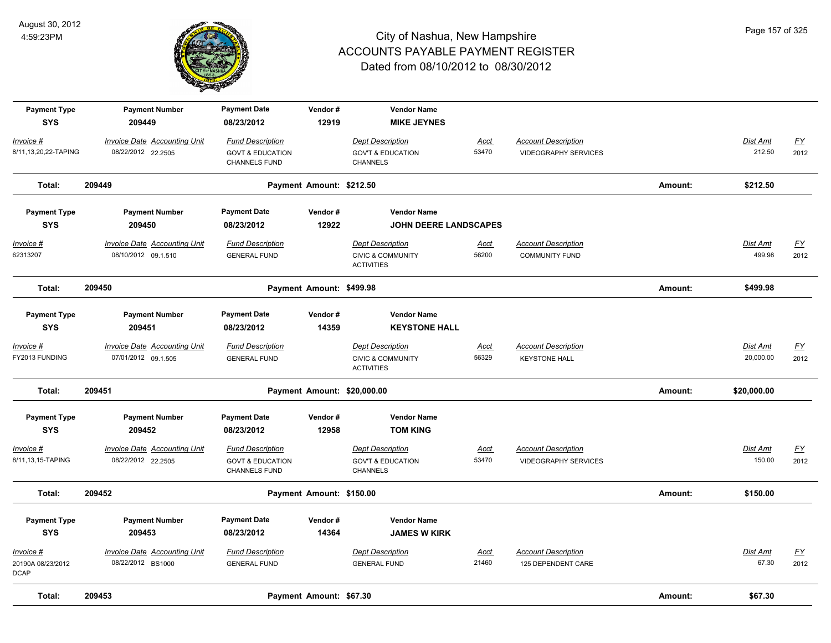

| <b>Payment Type</b><br><b>SYS</b>             | <b>Payment Number</b><br>209449                            | <b>Payment Date</b><br>08/23/2012                                       | Vendor#<br>12919            | <b>Vendor Name</b><br><b>MIKE JEYNES</b>                                     |                      |                                                           |         |                              |                                   |
|-----------------------------------------------|------------------------------------------------------------|-------------------------------------------------------------------------|-----------------------------|------------------------------------------------------------------------------|----------------------|-----------------------------------------------------------|---------|------------------------------|-----------------------------------|
| Invoice #<br>8/11,13,20,22-TAPING             | <b>Invoice Date Accounting Unit</b><br>08/22/2012 22.2505  | <b>Fund Description</b><br><b>GOVT &amp; EDUCATION</b><br>CHANNELS FUND |                             | <b>Dept Description</b><br><b>GOV'T &amp; EDUCATION</b><br><b>CHANNELS</b>   | <u>Acct</u><br>53470 | <b>Account Description</b><br><b>VIDEOGRAPHY SERVICES</b> |         | Dist Amt<br>212.50           | $\underline{\mathsf{FY}}$<br>2012 |
| Total:                                        | 209449                                                     |                                                                         | Payment Amount: \$212.50    |                                                                              |                      |                                                           | Amount: | \$212.50                     |                                   |
| <b>Payment Type</b>                           | <b>Payment Number</b>                                      | <b>Payment Date</b>                                                     | Vendor#                     | <b>Vendor Name</b>                                                           |                      |                                                           |         |                              |                                   |
| <b>SYS</b>                                    | 209450                                                     | 08/23/2012                                                              | 12922                       | <b>JOHN DEERE LANDSCAPES</b>                                                 |                      |                                                           |         |                              |                                   |
| $Invoice$ #<br>62313207                       | <b>Invoice Date Accounting Unit</b><br>08/10/2012 09.1.510 | <b>Fund Description</b><br><b>GENERAL FUND</b>                          |                             | <b>Dept Description</b><br><b>CIVIC &amp; COMMUNITY</b><br><b>ACTIVITIES</b> | <b>Acct</b><br>56200 | <b>Account Description</b><br><b>COMMUNITY FUND</b>       |         | Dist Amt<br>499.98           | <u>FY</u><br>2012                 |
| Total:                                        | 209450                                                     |                                                                         | Payment Amount: \$499.98    |                                                                              |                      |                                                           | Amount: | \$499.98                     |                                   |
| <b>Payment Type</b><br><b>SYS</b>             | <b>Payment Number</b><br>209451                            | <b>Payment Date</b><br>08/23/2012                                       | Vendor#<br>14359            | <b>Vendor Name</b><br><b>KEYSTONE HALL</b>                                   |                      |                                                           |         |                              |                                   |
| <u>Invoice #</u><br>FY2013 FUNDING            | <b>Invoice Date Accounting Unit</b><br>07/01/2012 09.1.505 | <b>Fund Description</b><br><b>GENERAL FUND</b>                          |                             | <b>Dept Description</b><br><b>CIVIC &amp; COMMUNITY</b><br><b>ACTIVITIES</b> | <u>Acct</u><br>56329 | <b>Account Description</b><br><b>KEYSTONE HALL</b>        |         | <u>Dist Amt</u><br>20,000.00 | $\underline{FY}$<br>2012          |
| Total:                                        | 209451                                                     |                                                                         | Payment Amount: \$20,000.00 |                                                                              |                      |                                                           | Amount: | \$20,000.00                  |                                   |
| <b>Payment Type</b><br><b>SYS</b>             | <b>Payment Number</b><br>209452                            | <b>Payment Date</b><br>08/23/2012                                       | Vendor#<br>12958            | <b>Vendor Name</b><br><b>TOM KING</b>                                        |                      |                                                           |         |                              |                                   |
| Invoice #<br>8/11,13,15-TAPING                | <b>Invoice Date Accounting Unit</b><br>08/22/2012 22.2505  | <b>Fund Description</b><br><b>GOVT &amp; EDUCATION</b><br>CHANNELS FUND |                             | <b>Dept Description</b><br><b>GOV'T &amp; EDUCATION</b><br>CHANNELS          | <u>Acct</u><br>53470 | <b>Account Description</b><br><b>VIDEOGRAPHY SERVICES</b> |         | Dist Amt<br>150.00           | $\underline{FY}$<br>2012          |
| Total:                                        | 209452                                                     |                                                                         | Payment Amount: \$150.00    |                                                                              |                      |                                                           | Amount: | \$150.00                     |                                   |
| <b>Payment Type</b><br><b>SYS</b>             | <b>Payment Number</b><br>209453                            | <b>Payment Date</b><br>08/23/2012                                       | Vendor#<br>14364            | <b>Vendor Name</b><br><b>JAMES W KIRK</b>                                    |                      |                                                           |         |                              |                                   |
| Invoice #<br>20190A 08/23/2012<br><b>DCAP</b> | <b>Invoice Date Accounting Unit</b><br>08/22/2012 BS1000   | <b>Fund Description</b><br><b>GENERAL FUND</b>                          |                             | <b>Dept Description</b><br><b>GENERAL FUND</b>                               | <u>Acct</u><br>21460 | <b>Account Description</b><br>125 DEPENDENT CARE          |         | <b>Dist Amt</b><br>67.30     | $\underline{FY}$<br>2012          |
| Total:                                        | 209453                                                     |                                                                         | Payment Amount: \$67.30     |                                                                              |                      |                                                           | Amount: | \$67.30                      |                                   |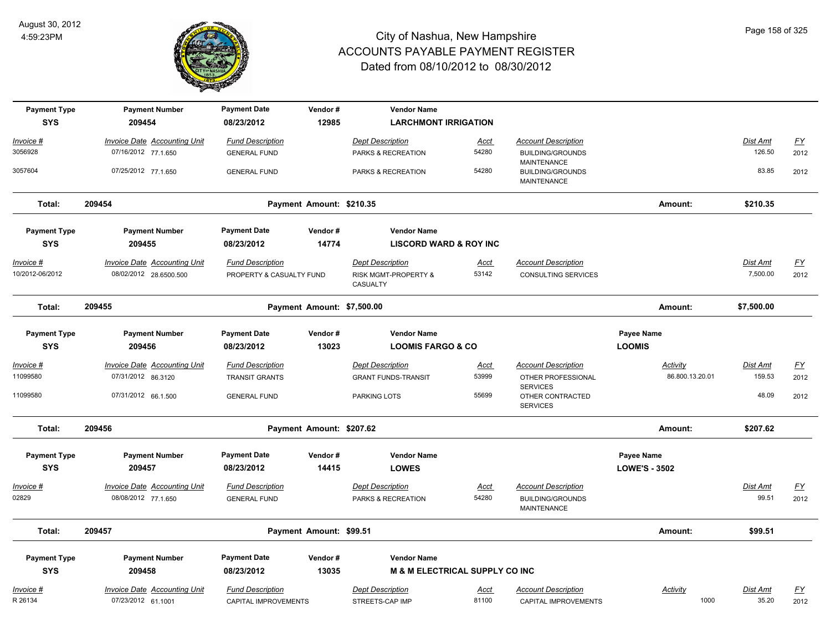

| <b>Payment Type</b>                  | <b>Payment Number</b>                                         | <b>Payment Date</b>                                 | Vendor#                    | <b>Vendor Name</b>                                                     |               |                                                                             |                      |                             |                   |
|--------------------------------------|---------------------------------------------------------------|-----------------------------------------------------|----------------------------|------------------------------------------------------------------------|---------------|-----------------------------------------------------------------------------|----------------------|-----------------------------|-------------------|
| <b>SYS</b>                           | 209454                                                        | 08/23/2012                                          | 12985                      | <b>LARCHMONT IRRIGATION</b>                                            |               |                                                                             |                      |                             |                   |
| Invoice #                            | <b>Invoice Date Accounting Unit</b>                           | <b>Fund Description</b>                             |                            | <b>Dept Description</b>                                                | <u>Acct</u>   | <b>Account Description</b>                                                  |                      | Dist Amt                    | $\underline{FY}$  |
| 3056928                              | 07/16/2012 77.1.650                                           | <b>GENERAL FUND</b>                                 |                            | PARKS & RECREATION                                                     | 54280         | <b>BUILDING/GROUNDS</b><br>MAINTENANCE                                      |                      | 126.50                      | 2012              |
| 3057604                              | 07/25/2012 77.1.650                                           | <b>GENERAL FUND</b>                                 |                            | PARKS & RECREATION                                                     | 54280         | <b>BUILDING/GROUNDS</b><br><b>MAINTENANCE</b>                               |                      | 83.85                       | 2012              |
| Total:                               | 209454                                                        |                                                     | Payment Amount: \$210.35   |                                                                        |               |                                                                             | Amount:              | \$210.35                    |                   |
| <b>Payment Type</b>                  | <b>Payment Number</b>                                         | <b>Payment Date</b>                                 | Vendor#                    | <b>Vendor Name</b>                                                     |               |                                                                             |                      |                             |                   |
| <b>SYS</b>                           | 209455                                                        | 08/23/2012                                          | 14774                      | <b>LISCORD WARD &amp; ROY INC</b>                                      |               |                                                                             |                      |                             |                   |
| <u> Invoice #</u><br>10/2012-06/2012 | <b>Invoice Date Accounting Unit</b><br>08/02/2012 28.6500.500 | <b>Fund Description</b><br>PROPERTY & CASUALTY FUND |                            | <b>Dept Description</b><br><b>RISK MGMT-PROPERTY &amp;</b><br>CASUALTY | Acct<br>53142 | <b>Account Description</b><br><b>CONSULTING SERVICES</b>                    |                      | <b>Dist Amt</b><br>7,500.00 | <u>FY</u><br>2012 |
| Total:                               | 209455                                                        |                                                     | Payment Amount: \$7,500.00 |                                                                        |               |                                                                             | Amount:              | \$7,500.00                  |                   |
| <b>Payment Type</b>                  | <b>Payment Number</b>                                         | <b>Payment Date</b>                                 | Vendor#                    | <b>Vendor Name</b>                                                     |               |                                                                             | Payee Name           |                             |                   |
| <b>SYS</b>                           | 209456                                                        | 08/23/2012                                          | 13023                      | <b>LOOMIS FARGO &amp; CO</b>                                           |               |                                                                             | <b>LOOMIS</b>        |                             |                   |
| Invoice #                            | <b>Invoice Date Accounting Unit</b>                           | <b>Fund Description</b>                             |                            | <b>Dept Description</b>                                                | <u>Acct</u>   | <b>Account Description</b>                                                  | Activity             | Dist Amt                    | $\underline{FY}$  |
| 11099580                             | 07/31/2012 86.3120                                            | <b>TRANSIT GRANTS</b>                               |                            | <b>GRANT FUNDS-TRANSIT</b>                                             | 53999         | OTHER PROFESSIONAL<br><b>SERVICES</b>                                       | 86.800.13.20.01      | 159.53                      | 2012              |
| 11099580                             | 07/31/2012 66.1.500                                           | <b>GENERAL FUND</b>                                 |                            | PARKING LOTS                                                           | 55699         | OTHER CONTRACTED<br><b>SERVICES</b>                                         |                      | 48.09                       | 2012              |
| Total:                               | 209456                                                        |                                                     | Payment Amount: \$207.62   |                                                                        |               |                                                                             | Amount:              | \$207.62                    |                   |
| <b>Payment Type</b>                  | <b>Payment Number</b>                                         | <b>Payment Date</b>                                 | Vendor#                    | <b>Vendor Name</b>                                                     |               |                                                                             | Payee Name           |                             |                   |
| <b>SYS</b>                           | 209457                                                        | 08/23/2012                                          | 14415                      | <b>LOWES</b>                                                           |               |                                                                             | <b>LOWE'S - 3502</b> |                             |                   |
| Invoice #<br>02829                   | Invoice Date Accounting Unit<br>08/08/2012 77.1.650           | <b>Fund Description</b><br><b>GENERAL FUND</b>      |                            | <b>Dept Description</b><br>PARKS & RECREATION                          | Acct<br>54280 | <b>Account Description</b><br><b>BUILDING/GROUNDS</b><br><b>MAINTENANCE</b> |                      | Dist Amt<br>99.51           | <u>FY</u><br>2012 |
| Total:                               | 209457                                                        |                                                     | Payment Amount: \$99.51    |                                                                        |               |                                                                             | Amount:              | \$99.51                     |                   |
| <b>Payment Type</b>                  | <b>Payment Number</b>                                         | <b>Payment Date</b>                                 | Vendor#                    | <b>Vendor Name</b>                                                     |               |                                                                             |                      |                             |                   |
| <b>SYS</b>                           | 209458                                                        | 08/23/2012                                          | 13035                      | <b>M &amp; M ELECTRICAL SUPPLY CO INC</b>                              |               |                                                                             |                      |                             |                   |
| Invoice #                            | <b>Invoice Date Accounting Unit</b>                           | <b>Fund Description</b>                             |                            | <b>Dept Description</b>                                                | Acct          | <b>Account Description</b>                                                  | <b>Activity</b>      | Dist Amt                    | <u>FY</u>         |
| R 26134                              | 07/23/2012 61.1001                                            | CAPITAL IMPROVEMENTS                                |                            | STREETS-CAP IMP                                                        | 81100         | CAPITAL IMPROVEMENTS                                                        | 1000                 | 35.20                       | 2012              |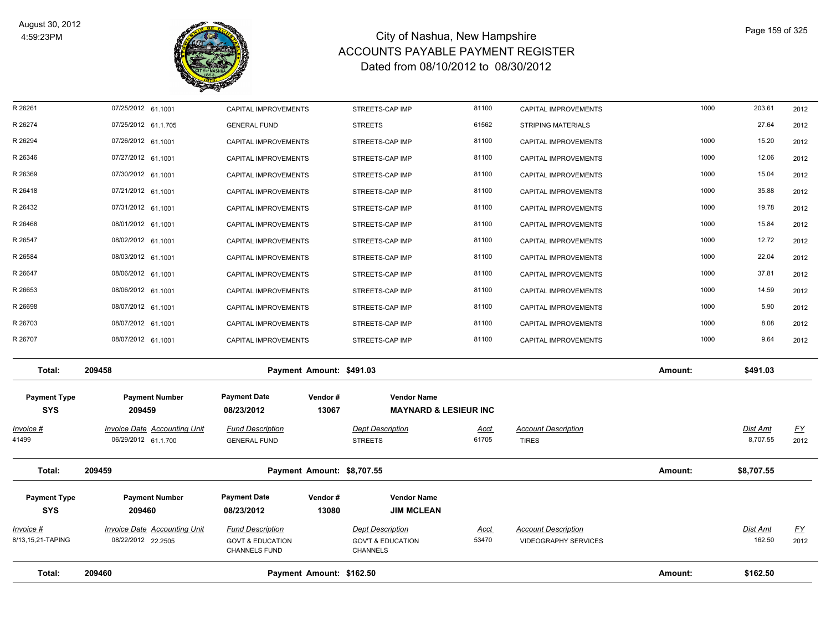

| Total:                            | 209460                                                    | Payment Amount: \$162.50                               |                  |                                                         |                      |                                                           | Amount: | \$162.50           |                   |
|-----------------------------------|-----------------------------------------------------------|--------------------------------------------------------|------------------|---------------------------------------------------------|----------------------|-----------------------------------------------------------|---------|--------------------|-------------------|
|                                   |                                                           | <b>CHANNELS FUND</b>                                   |                  | CHANNELS                                                |                      |                                                           |         |                    |                   |
| Invoice #<br>8/13,15,21-TAPING    | <b>Invoice Date Accounting Unit</b><br>08/22/2012 22.2505 | <b>Fund Description</b><br><b>GOVT &amp; EDUCATION</b> |                  | <b>Dept Description</b><br><b>GOV'T &amp; EDUCATION</b> | <u>Acct</u><br>53470 | <b>Account Description</b><br><b>VIDEOGRAPHY SERVICES</b> |         | Dist Amt<br>162.50 | <u>FY</u><br>2012 |
| <b>SYS</b>                        | 209460                                                    | 08/23/2012                                             | 13080            | <b>JIM MCLEAN</b>                                       |                      |                                                           |         |                    |                   |
| <b>Payment Type</b>               | <b>Payment Number</b>                                     | <b>Payment Date</b>                                    | Vendor#          | <b>Vendor Name</b>                                      |                      |                                                           |         |                    |                   |
| Total:                            | 209459                                                    | Payment Amount: \$8,707.55                             |                  |                                                         |                      |                                                           | Amount: | \$8,707.55         |                   |
| 41499                             | 06/29/2012 61.1.700                                       | <b>GENERAL FUND</b>                                    | <b>STREETS</b>   |                                                         | 61705                | <b>TIRES</b>                                              |         | 8,707.55           | 2012              |
| <u> Invoice #</u>                 | <b>Invoice Date Accounting Unit</b>                       | <b>Fund Description</b>                                |                  | <b>Dept Description</b>                                 | <b>Acct</b>          | <b>Account Description</b>                                |         | Dist Amt           | <u>FY</u>         |
| <b>Payment Type</b><br><b>SYS</b> | <b>Payment Number</b><br>209459                           | <b>Payment Date</b><br>08/23/2012                      | Vendor#<br>13067 | <b>Vendor Name</b><br><b>MAYNARD &amp; LESIEUR INC</b>  |                      |                                                           |         |                    |                   |
| Total:                            | 209458                                                    | Payment Amount: \$491.03                               |                  |                                                         |                      |                                                           | Amount: | \$491.03           |                   |
| R 26707                           | 08/07/2012 61.1001                                        | <b>CAPITAL IMPROVEMENTS</b>                            |                  | STREETS-CAP IMP                                         | 81100                | CAPITAL IMPROVEMENTS                                      | 1000    | 9.64               | 2012              |
| R 26703                           | 08/07/2012 61.1001                                        | <b>CAPITAL IMPROVEMENTS</b>                            |                  | STREETS-CAP IMP                                         | 81100                | CAPITAL IMPROVEMENTS                                      | 1000    | 8.08               | 2012              |
| R 26698                           | 08/07/2012 61.1001                                        | CAPITAL IMPROVEMENTS                                   |                  | STREETS-CAP IMP                                         | 81100                | CAPITAL IMPROVEMENTS                                      | 1000    | 5.90               | 2012              |
| R 26653                           | 08/06/2012 61.1001                                        | CAPITAL IMPROVEMENTS                                   |                  | STREETS-CAP IMP                                         | 81100                | CAPITAL IMPROVEMENTS                                      | 1000    | 14.59              | 2012              |
| R 26647                           | 08/06/2012 61.1001                                        | CAPITAL IMPROVEMENTS                                   |                  | STREETS-CAP IMP                                         | 81100                | CAPITAL IMPROVEMENTS                                      | 1000    | 37.81              | 2012              |
| R 26584                           | 08/03/2012 61.1001                                        | CAPITAL IMPROVEMENTS                                   |                  | STREETS-CAP IMP                                         | 81100                | CAPITAL IMPROVEMENTS                                      | 1000    | 22.04              | 2012              |
| R 26547                           | 08/02/2012 61.1001                                        | <b>CAPITAL IMPROVEMENTS</b>                            |                  | STREETS-CAP IMP                                         | 81100                | CAPITAL IMPROVEMENTS                                      | 1000    | 12.72              | 2012              |
| R 26468                           | 08/01/2012 61.1001                                        | CAPITAL IMPROVEMENTS                                   |                  | STREETS-CAP IMP                                         | 81100                | CAPITAL IMPROVEMENTS                                      | 1000    | 15.84              | 2012              |
| R 26432                           | 07/31/2012 61.1001                                        | CAPITAL IMPROVEMENTS                                   |                  | STREETS-CAP IMP                                         | 81100                | CAPITAL IMPROVEMENTS                                      | 1000    | 19.78              | 2012              |
| R 26418                           | 07/21/2012 61.1001                                        | CAPITAL IMPROVEMENTS                                   |                  | STREETS-CAP IMP                                         | 81100                | CAPITAL IMPROVEMENTS                                      | 1000    | 35.88              | 2012              |
| R 26369                           | 07/30/2012 61.1001                                        | CAPITAL IMPROVEMENTS                                   |                  | STREETS-CAP IMP                                         | 81100                | CAPITAL IMPROVEMENTS                                      | 1000    | 15.04              | 2012              |
| R 26346                           | 07/27/2012 61.1001                                        | <b>CAPITAL IMPROVEMENTS</b>                            |                  | STREETS-CAP IMP                                         | 81100                | CAPITAL IMPROVEMENTS                                      | 1000    | 12.06              | 2012              |
| R 26294                           | 07/26/2012 61.1001                                        | <b>CAPITAL IMPROVEMENTS</b>                            |                  | STREETS-CAP IMP                                         | 81100                | <b>CAPITAL IMPROVEMENTS</b>                               | 1000    | 15.20              | 2012              |
| R 26274                           | 07/25/2012 61.1.705                                       | <b>GENERAL FUND</b>                                    | <b>STREETS</b>   |                                                         | 61562                | <b>STRIPING MATERIALS</b>                                 |         | 27.64              | 2012              |
| R 26261                           | 07/25/2012 61.1001                                        | CAPITAL IMPROVEMENTS                                   |                  | STREETS-CAP IMP                                         | 81100                | CAPITAL IMPROVEMENTS                                      | 1000    | 203.61             | 2012              |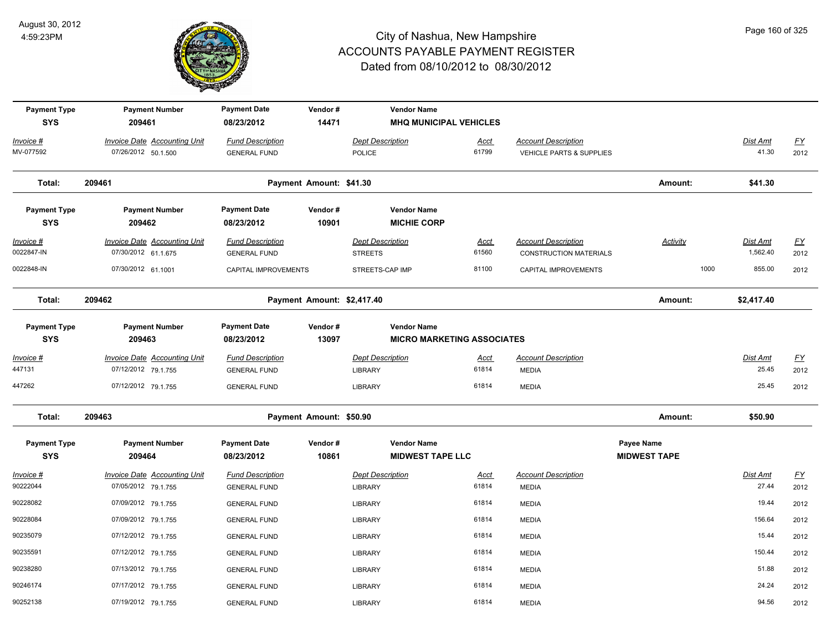

| <b>Payment Type</b><br><b>SYS</b> | <b>Payment Number</b><br>209461                            | <b>Payment Date</b><br>08/23/2012              | Vendor#<br>14471           | <b>Vendor Name</b><br><b>MHQ MUNICIPAL VEHICLES</b> |                                   |                                                             |                                   |                             |                   |
|-----------------------------------|------------------------------------------------------------|------------------------------------------------|----------------------------|-----------------------------------------------------|-----------------------------------|-------------------------------------------------------------|-----------------------------------|-----------------------------|-------------------|
| Invoice #<br>MV-077592            | <b>Invoice Date Accounting Unit</b><br>07/26/2012 50.1.500 | <b>Fund Description</b><br><b>GENERAL FUND</b> |                            | Dept Description<br><b>POLICE</b>                   | Acct<br>61799                     | <b>Account Description</b><br>VEHICLE PARTS & SUPPLIES      |                                   | Dist Amt<br>41.30           | <u>FY</u><br>2012 |
| Total:                            | 209461                                                     |                                                | Payment Amount: \$41.30    |                                                     |                                   |                                                             | Amount:                           | \$41.30                     |                   |
| <b>Payment Type</b><br><b>SYS</b> | <b>Payment Number</b><br>209462                            | <b>Payment Date</b><br>08/23/2012              | Vendor#<br>10901           | <b>Vendor Name</b><br><b>MICHIE CORP</b>            |                                   |                                                             |                                   |                             |                   |
| <u>Invoice #</u><br>0022847-IN    | <b>Invoice Date Accounting Unit</b><br>07/30/2012 61.1.675 | <b>Fund Description</b><br><b>GENERAL FUND</b> |                            | <b>Dept Description</b><br><b>STREETS</b>           | <u>Acct</u><br>61560              | <b>Account Description</b><br><b>CONSTRUCTION MATERIALS</b> | <b>Activity</b>                   | <u>Dist Amt</u><br>1,562.40 | EY<br>2012        |
| 0022848-IN                        | 07/30/2012 61.1001                                         | CAPITAL IMPROVEMENTS                           |                            | STREETS-CAP IMP                                     | 81100                             | CAPITAL IMPROVEMENTS                                        | 1000                              | 855.00                      | 2012              |
| Total:                            | 209462                                                     |                                                | Payment Amount: \$2,417.40 |                                                     |                                   |                                                             | Amount:                           | \$2,417.40                  |                   |
| <b>Payment Type</b><br><b>SYS</b> | <b>Payment Number</b><br>209463                            | <b>Payment Date</b><br>08/23/2012              | Vendor#<br>13097           | <b>Vendor Name</b>                                  | <b>MICRO MARKETING ASSOCIATES</b> |                                                             |                                   |                             |                   |
| Invoice #<br>447131               | <b>Invoice Date Accounting Unit</b><br>07/12/2012 79.1.755 | <b>Fund Description</b><br><b>GENERAL FUND</b> |                            | <b>Dept Description</b><br><b>LIBRARY</b>           | <u>Acct</u><br>61814              | <b>Account Description</b><br><b>MEDIA</b>                  |                                   | Dist Amt<br>25.45           | <u>FY</u><br>2012 |
| 447262                            | 07/12/2012 79.1.755                                        | <b>GENERAL FUND</b>                            |                            | <b>LIBRARY</b>                                      | 61814                             | <b>MEDIA</b>                                                |                                   | 25.45                       | 2012              |
| Total:                            | 209463                                                     |                                                | Payment Amount: \$50.90    |                                                     |                                   |                                                             | Amount:                           | \$50.90                     |                   |
| <b>Payment Type</b><br><b>SYS</b> | <b>Payment Number</b><br>209464                            | <b>Payment Date</b><br>08/23/2012              | Vendor#<br>10861           | <b>Vendor Name</b><br><b>MIDWEST TAPE LLC</b>       |                                   |                                                             | Payee Name<br><b>MIDWEST TAPE</b> |                             |                   |
| Invoice #<br>90222044             | <b>Invoice Date Accounting Unit</b><br>07/05/2012 79.1.755 | <b>Fund Description</b><br><b>GENERAL FUND</b> |                            | <b>Dept Description</b><br><b>LIBRARY</b>           | Acct<br>61814                     | <b>Account Description</b><br><b>MEDIA</b>                  |                                   | Dist Amt<br>27.44           | EY<br>2012        |
| 90228082                          | 07/09/2012 79.1.755                                        | <b>GENERAL FUND</b>                            |                            | <b>LIBRARY</b>                                      | 61814                             | <b>MEDIA</b>                                                |                                   | 19.44                       | 2012              |
| 90228084                          | 07/09/2012 79.1.755                                        | <b>GENERAL FUND</b>                            |                            | <b>LIBRARY</b>                                      | 61814                             | <b>MEDIA</b>                                                |                                   | 156.64                      | 2012              |
| 90235079                          | 07/12/2012 79.1.755                                        | <b>GENERAL FUND</b>                            |                            | <b>LIBRARY</b>                                      | 61814                             | <b>MEDIA</b>                                                |                                   | 15.44                       | 2012              |
| 90235591                          | 07/12/2012 79.1.755                                        | <b>GENERAL FUND</b>                            |                            | <b>LIBRARY</b>                                      | 61814                             | <b>MEDIA</b>                                                |                                   | 150.44                      | 2012              |
| 90238280                          | 07/13/2012 79.1.755                                        | <b>GENERAL FUND</b>                            |                            | <b>LIBRARY</b>                                      | 61814                             | <b>MEDIA</b>                                                |                                   | 51.88                       | 2012              |
| 90246174                          | 07/17/2012 79.1.755                                        | <b>GENERAL FUND</b>                            |                            | <b>LIBRARY</b>                                      | 61814                             | <b>MEDIA</b>                                                |                                   | 24.24                       | 2012              |
| 90252138                          | 07/19/2012 79.1.755                                        | <b>GENERAL FUND</b>                            |                            | <b>LIBRARY</b>                                      | 61814                             | <b>MEDIA</b>                                                |                                   | 94.56                       | 2012              |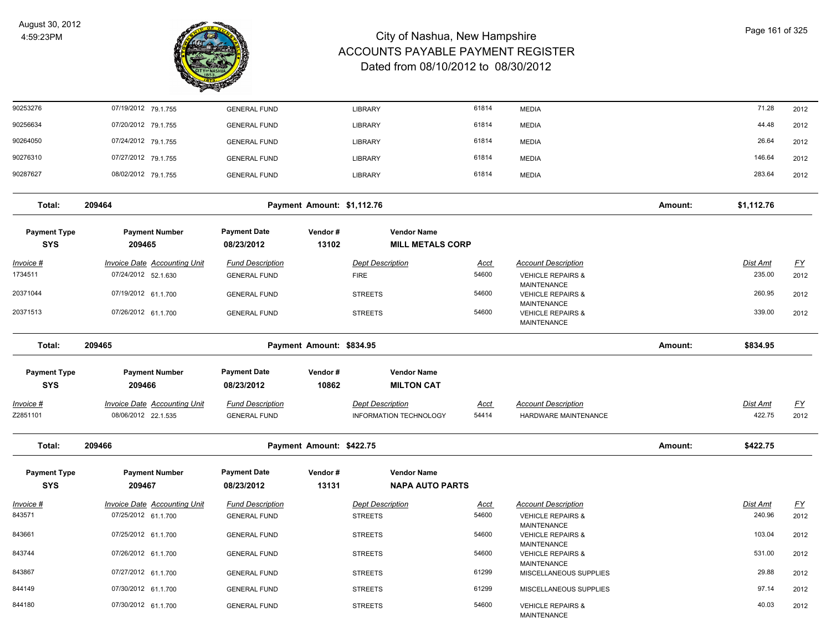

| 90253276                          | 07/19/2012 79.1.755                                        | <b>GENERAL FUND</b>                            |                            | <b>LIBRARY</b>                                    | 61814                | <b>MEDIA</b>                                               |         | 71.28              | 2012              |
|-----------------------------------|------------------------------------------------------------|------------------------------------------------|----------------------------|---------------------------------------------------|----------------------|------------------------------------------------------------|---------|--------------------|-------------------|
| 90256634                          | 07/20/2012 79.1.755                                        | <b>GENERAL FUND</b>                            |                            | <b>LIBRARY</b>                                    | 61814                | <b>MEDIA</b>                                               |         | 44.48              | 2012              |
| 90264050                          | 07/24/2012 79.1.755                                        | <b>GENERAL FUND</b>                            |                            | <b>LIBRARY</b>                                    | 61814                | <b>MEDIA</b>                                               |         | 26.64              | 2012              |
| 90276310                          | 07/27/2012 79.1.755                                        | <b>GENERAL FUND</b>                            |                            | <b>LIBRARY</b>                                    | 61814                | <b>MEDIA</b>                                               |         | 146.64             | 2012              |
| 90287627                          | 08/02/2012 79.1.755                                        | <b>GENERAL FUND</b>                            |                            | LIBRARY                                           | 61814                | <b>MEDIA</b>                                               |         | 283.64             | 2012              |
| Total:                            | 209464                                                     |                                                | Payment Amount: \$1,112.76 |                                                   |                      |                                                            | Amount: | \$1,112.76         |                   |
| <b>Payment Type</b><br><b>SYS</b> | <b>Payment Number</b><br>209465                            | <b>Payment Date</b><br>08/23/2012              | Vendor#<br>13102           | <b>Vendor Name</b><br><b>MILL METALS CORP</b>     |                      |                                                            |         |                    |                   |
| <u>Invoice #</u>                  | <b>Invoice Date Accounting Unit</b>                        | <b>Fund Description</b>                        |                            | <b>Dept Description</b>                           | <u>Acct</u>          | <b>Account Description</b>                                 |         | <b>Dist Amt</b>    | <u>FY</u>         |
| 1734511                           | 07/24/2012 52.1.630                                        | <b>GENERAL FUND</b>                            |                            | <b>FIRE</b>                                       | 54600                | <b>VEHICLE REPAIRS &amp;</b><br>MAINTENANCE                |         | 235.00             | 2012              |
| 20371044                          | 07/19/2012 61.1.700                                        | <b>GENERAL FUND</b>                            |                            | <b>STREETS</b>                                    | 54600                | <b>VEHICLE REPAIRS &amp;</b>                               |         | 260.95             | 2012              |
| 20371513                          | 07/26/2012 61.1.700                                        | <b>GENERAL FUND</b>                            |                            | <b>STREETS</b>                                    | 54600                | MAINTENANCE<br><b>VEHICLE REPAIRS &amp;</b><br>MAINTENANCE |         | 339.00             | 2012              |
| Total:                            | 209465                                                     |                                                | Payment Amount: \$834.95   |                                                   |                      |                                                            | Amount: | \$834.95           |                   |
| <b>Payment Type</b>               | <b>Payment Number</b>                                      | <b>Payment Date</b>                            | Vendor#                    | <b>Vendor Name</b>                                |                      |                                                            |         |                    |                   |
| <b>SYS</b>                        | 209466                                                     | 08/23/2012                                     | 10862                      | <b>MILTON CAT</b>                                 |                      |                                                            |         |                    |                   |
| <u> Invoice #</u><br>Z2851101     | <b>Invoice Date Accounting Unit</b><br>08/06/2012 22.1.535 | <b>Fund Description</b><br><b>GENERAL FUND</b> |                            | <b>Dept Description</b><br>INFORMATION TECHNOLOGY | <b>Acct</b><br>54414 | <b>Account Description</b><br>HARDWARE MAINTENANCE         |         | Dist Amt<br>422.75 | <u>FY</u><br>2012 |
| Total:                            | 209466                                                     |                                                | Payment Amount: \$422.75   |                                                   |                      |                                                            | Amount: | \$422.75           |                   |
| <b>Payment Type</b><br><b>SYS</b> | <b>Payment Number</b><br>209467                            | <b>Payment Date</b><br>08/23/2012              | Vendor#<br>13131           | <b>Vendor Name</b><br><b>NAPA AUTO PARTS</b>      |                      |                                                            |         |                    |                   |
| Invoice #                         | <b>Invoice Date Accounting Unit</b>                        | <b>Fund Description</b>                        |                            | <b>Dept Description</b>                           | <b>Acct</b>          | <b>Account Description</b>                                 |         | Dist Amt           | <u>FY</u>         |
| 843571                            | 07/25/2012 61.1.700                                        | <b>GENERAL FUND</b>                            |                            | <b>STREETS</b>                                    | 54600                | <b>VEHICLE REPAIRS &amp;</b><br>MAINTENANCE                |         | 240.96             | 2012              |
| 843661                            | 07/25/2012 61.1.700                                        | <b>GENERAL FUND</b>                            |                            | <b>STREETS</b>                                    | 54600                | <b>VEHICLE REPAIRS &amp;</b><br>MAINTENANCE                |         | 103.04             | 2012              |
| 843744                            | 07/26/2012 61.1.700                                        | <b>GENERAL FUND</b>                            |                            | <b>STREETS</b>                                    | 54600                | <b>VEHICLE REPAIRS &amp;</b><br>MAINTENANCE                |         | 531.00             | 2012              |
| 843867                            | 07/27/2012 61.1.700                                        | <b>GENERAL FUND</b>                            |                            | <b>STREETS</b>                                    | 61299                | MISCELLANEOUS SUPPLIES                                     |         | 29.88              | 2012              |
| 844149                            | 07/30/2012 61.1.700                                        | <b>GENERAL FUND</b>                            |                            | <b>STREETS</b>                                    | 61299                | MISCELLANEOUS SUPPLIES                                     |         | 97.14              | 2012              |
| 844180                            | 07/30/2012 61.1.700                                        | <b>GENERAL FUND</b>                            |                            | <b>STREETS</b>                                    | 54600                | <b>VEHICLE REPAIRS &amp;</b>                               |         | 40.03              | 2012              |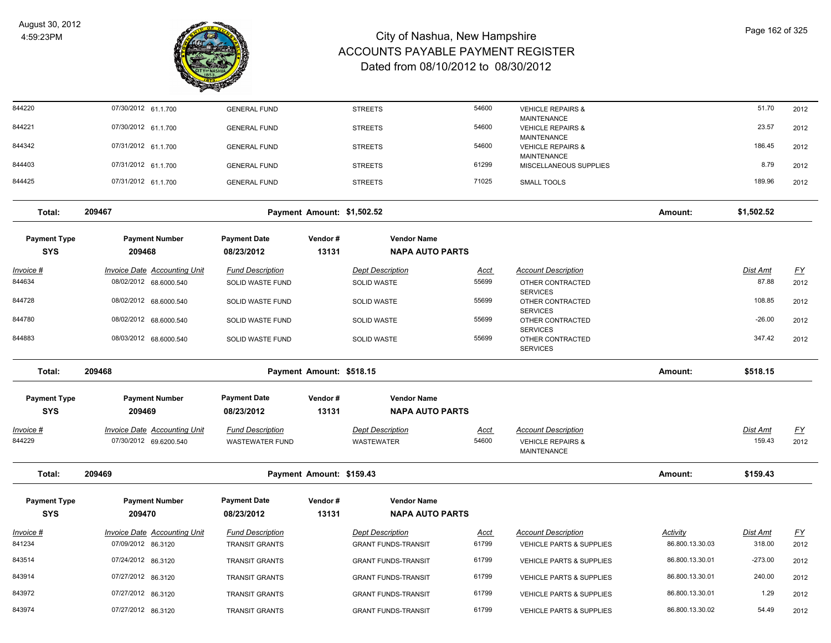

| 844220              | 07/30/2012 61.1.700                 | <b>GENERAL FUND</b>     |                            | <b>STREETS</b>             | 54600                | <b>VEHICLE REPAIRS &amp;</b>                                      |                 | 51.70                     | 2012      |
|---------------------|-------------------------------------|-------------------------|----------------------------|----------------------------|----------------------|-------------------------------------------------------------------|-----------------|---------------------------|-----------|
| 844221              | 07/30/2012 61.1.700                 | <b>GENERAL FUND</b>     |                            | <b>STREETS</b>             | 54600                | <b>MAINTENANCE</b><br><b>VEHICLE REPAIRS &amp;</b>                |                 | 23.57                     | 2012      |
| 844342              | 07/31/2012 61.1.700                 | <b>GENERAL FUND</b>     |                            | <b>STREETS</b>             | 54600                | <b>MAINTENANCE</b><br><b>VEHICLE REPAIRS &amp;</b><br>MAINTENANCE |                 | 186.45                    | 2012      |
| 844403              | 07/31/2012 61.1.700                 | <b>GENERAL FUND</b>     |                            | <b>STREETS</b>             | 61299                | MISCELLANEOUS SUPPLIES                                            |                 | 8.79                      | 2012      |
| 844425              | 07/31/2012 61.1.700                 | <b>GENERAL FUND</b>     |                            | <b>STREETS</b>             | 71025                | <b>SMALL TOOLS</b>                                                |                 | 189.96                    | 2012      |
| Total:              | 209467                              |                         | Payment Amount: \$1,502.52 |                            |                      |                                                                   | Amount:         | \$1,502.52                |           |
| <b>Payment Type</b> | <b>Payment Number</b>               | <b>Payment Date</b>     | Vendor#                    | <b>Vendor Name</b>         |                      |                                                                   |                 |                           |           |
| <b>SYS</b>          | 209468                              | 08/23/2012              | 13131                      | <b>NAPA AUTO PARTS</b>     |                      |                                                                   |                 |                           |           |
| <u>Invoice #</u>    | <b>Invoice Date Accounting Unit</b> | <b>Fund Description</b> |                            | <b>Dept Description</b>    | <u>Acct</u>          | <b>Account Description</b>                                        |                 | <b>Dist Amt</b>           | <u>FY</u> |
| 844634              | 08/02/2012 68.6000.540              | SOLID WASTE FUND        |                            | <b>SOLID WASTE</b>         | 55699                | OTHER CONTRACTED<br><b>SERVICES</b>                               |                 | 87.88                     | 2012      |
| 844728              | 08/02/2012 68.6000.540              | SOLID WASTE FUND        |                            | <b>SOLID WASTE</b>         | 55699                | OTHER CONTRACTED<br><b>SERVICES</b>                               |                 | 108.85                    | 2012      |
| 844780              | 08/02/2012 68.6000.540              | <b>SOLID WASTE FUND</b> |                            | <b>SOLID WASTE</b>         | 55699                | OTHER CONTRACTED                                                  |                 | $-26.00$                  | 2012      |
| 844883              | 08/03/2012 68.6000.540              | <b>SOLID WASTE FUND</b> |                            | <b>SOLID WASTE</b>         | 55699                | <b>SERVICES</b><br>OTHER CONTRACTED<br><b>SERVICES</b>            |                 | 347.42                    | 2012      |
| Total:              | 209468                              |                         | Payment Amount: \$518.15   |                            |                      |                                                                   | Amount:         | \$518.15                  |           |
| <b>Payment Type</b> | <b>Payment Number</b>               | <b>Payment Date</b>     | Vendor#                    | <b>Vendor Name</b>         |                      |                                                                   |                 |                           |           |
| <b>SYS</b>          | 209469                              | 08/23/2012              | 13131                      | <b>NAPA AUTO PARTS</b>     |                      |                                                                   |                 |                           |           |
|                     |                                     |                         |                            |                            |                      |                                                                   |                 |                           |           |
| Invoice #<br>844229 | <b>Invoice Date Accounting Unit</b> | <b>Fund Description</b> |                            | <b>Dept Description</b>    | <b>Acct</b><br>54600 | <b>Account Description</b>                                        |                 | <b>Dist Amt</b><br>159.43 | <u>FY</u> |
|                     | 07/30/2012 69.6200.540              | <b>WASTEWATER FUND</b>  |                            | <b>WASTEWATER</b>          |                      | <b>VEHICLE REPAIRS &amp;</b><br>MAINTENANCE                       |                 |                           | 2012      |
| Total:              | 209469                              |                         | Payment Amount: \$159.43   |                            |                      |                                                                   | Amount:         | \$159.43                  |           |
| <b>Payment Type</b> | <b>Payment Number</b>               | <b>Payment Date</b>     | Vendor#                    | <b>Vendor Name</b>         |                      |                                                                   |                 |                           |           |
| <b>SYS</b>          | 209470                              | 08/23/2012              | 13131                      | <b>NAPA AUTO PARTS</b>     |                      |                                                                   |                 |                           |           |
| Invoice #           | <b>Invoice Date Accounting Unit</b> | <b>Fund Description</b> |                            | <b>Dept Description</b>    | <u>Acct</u>          | <b>Account Description</b>                                        | Activity        | <b>Dist Amt</b>           | <u>FY</u> |
| 841234              | 07/09/2012 86.3120                  | <b>TRANSIT GRANTS</b>   |                            | <b>GRANT FUNDS-TRANSIT</b> | 61799                | VEHICLE PARTS & SUPPLIES                                          | 86.800.13.30.03 | 318.00                    | 2012      |
| 843514              | 07/24/2012 86.3120                  | <b>TRANSIT GRANTS</b>   |                            | <b>GRANT FUNDS-TRANSIT</b> | 61799                | <b>VEHICLE PARTS &amp; SUPPLIES</b>                               | 86.800.13.30.01 | $-273.00$                 | 2012      |
| 843914              | 07/27/2012 86.3120                  | <b>TRANSIT GRANTS</b>   |                            | <b>GRANT FUNDS-TRANSIT</b> | 61799                | <b>VEHICLE PARTS &amp; SUPPLIES</b>                               | 86.800.13.30.01 | 240.00                    | 2012      |
| 843972              | 07/27/2012 86.3120                  | TRANSIT GRANTS          |                            | <b>GRANT FUNDS-TRANSIT</b> | 61799                | <b>VEHICLE PARTS &amp; SUPPLIES</b>                               | 86.800.13.30.01 | 1.29                      | 2012      |
| 843974              | 07/27/2012 86.3120                  | <b>TRANSIT GRANTS</b>   |                            | <b>GRANT FUNDS-TRANSIT</b> | 61799                | <b>VEHICLE PARTS &amp; SUPPLIES</b>                               | 86.800.13.30.02 | 54.49                     | 2012      |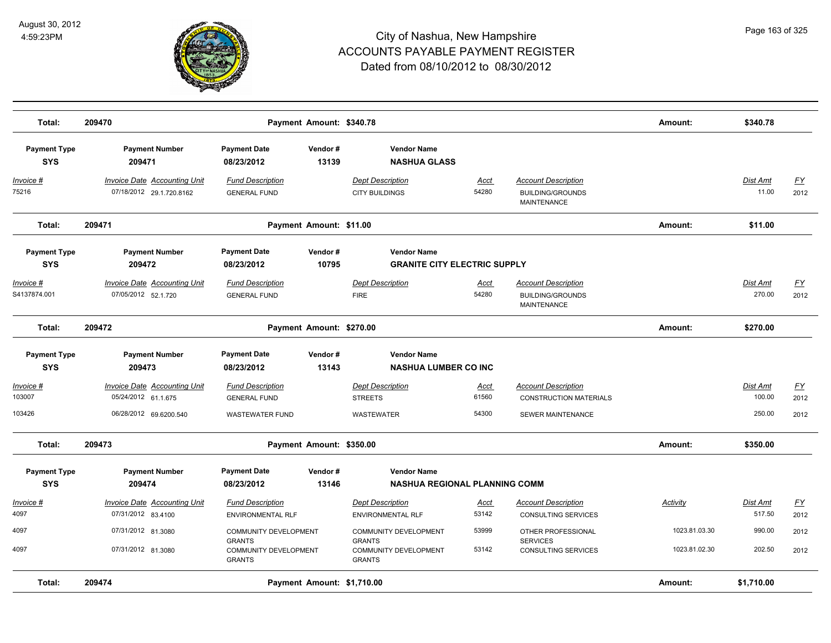

| Total:                            | 209470                                                                               | Payment Amount: \$340.78                                                         |                                                                |                                                            |                               |                                                                                  | Amount:                        | \$340.78                     |                           |
|-----------------------------------|--------------------------------------------------------------------------------------|----------------------------------------------------------------------------------|----------------------------------------------------------------|------------------------------------------------------------|-------------------------------|----------------------------------------------------------------------------------|--------------------------------|------------------------------|---------------------------|
| <b>Payment Type</b><br><b>SYS</b> | <b>Payment Number</b><br>209471                                                      | <b>Payment Date</b><br>Vendor#<br>13139<br>08/23/2012                            |                                                                | <b>Vendor Name</b><br><b>NASHUA GLASS</b>                  |                               |                                                                                  |                                |                              |                           |
| <u> Invoice #</u><br>75216        | <b>Invoice Date Accounting Unit</b><br>07/18/2012 29.1.720.8162                      | <b>Fund Description</b><br><b>GENERAL FUND</b>                                   | <b>Dept Description</b><br><b>CITY BUILDINGS</b>               |                                                            | <u>Acct</u><br>54280          | <b>Account Description</b><br><b>BUILDING/GROUNDS</b><br><b>MAINTENANCE</b>      |                                | Dist Amt<br>11.00            | <u>FY</u><br>2012         |
| Total:                            | 209471                                                                               | Payment Amount: \$11.00                                                          |                                                                |                                                            |                               |                                                                                  | Amount:                        | \$11.00                      |                           |
| <b>Payment Type</b><br><b>SYS</b> | <b>Payment Number</b><br>209472                                                      | <b>Payment Date</b><br>Vendor#<br>08/23/2012<br>10795                            |                                                                | <b>Vendor Name</b><br><b>GRANITE CITY ELECTRIC SUPPLY</b>  |                               |                                                                                  |                                |                              |                           |
| Invoice #<br>S4137874.001         | <b>Invoice Date Accounting Unit</b><br>07/05/2012 52.1.720                           | <b>Fund Description</b><br><b>GENERAL FUND</b>                                   | <b>Dept Description</b><br><b>FIRE</b>                         |                                                            | <b>Acct</b><br>54280          | <b>Account Description</b><br><b>BUILDING/GROUNDS</b><br><b>MAINTENANCE</b>      |                                | Dist Amt<br>270.00           | <u>FY</u><br>2012         |
| Total:                            | 209472                                                                               | Payment Amount: \$270.00                                                         |                                                                |                                                            |                               |                                                                                  | Amount:                        | \$270.00                     |                           |
| <b>Payment Type</b><br><b>SYS</b> | <b>Payment Number</b><br>209473                                                      | <b>Payment Date</b><br>Vendor#<br>08/23/2012<br>13143                            |                                                                | <b>Vendor Name</b><br><b>NASHUA LUMBER CO INC</b>          |                               |                                                                                  |                                |                              |                           |
| Invoice #<br>103007<br>103426     | <b>Invoice Date Accounting Unit</b><br>05/24/2012 61.1.675<br>06/28/2012 69.6200.540 | <b>Fund Description</b><br><b>GENERAL FUND</b><br><b>WASTEWATER FUND</b>         | <b>Dept Description</b><br><b>STREETS</b><br><b>WASTEWATER</b> |                                                            | <b>Acct</b><br>61560<br>54300 | <b>Account Description</b><br><b>CONSTRUCTION MATERIALS</b><br>SEWER MAINTENANCE |                                | Dist Amt<br>100.00<br>250.00 | <u>FY</u><br>2012<br>2012 |
| Total:                            | 209473                                                                               | Payment Amount: \$350.00                                                         |                                                                |                                                            |                               |                                                                                  | Amount:                        | \$350.00                     |                           |
| <b>Payment Type</b><br><b>SYS</b> | <b>Payment Number</b><br>209474                                                      | <b>Payment Date</b><br>Vendor#<br>08/23/2012<br>13146                            |                                                                | <b>Vendor Name</b><br><b>NASHUA REGIONAL PLANNING COMM</b> |                               |                                                                                  |                                |                              |                           |
| <u> Invoice #</u><br>4097         | <b>Invoice Date Accounting Unit</b><br>07/31/2012 83.4100                            | <b>Fund Description</b><br><b>ENVIRONMENTAL RLF</b>                              | <b>Dept Description</b>                                        | <b>ENVIRONMENTAL RLF</b>                                   | <b>Acct</b><br>53142          | <b>Account Description</b><br><b>CONSULTING SERVICES</b>                         | Activity                       | Dist Amt<br>517.50           | <u>FY</u><br>2012         |
| 4097<br>4097                      | 07/31/2012 81.3080<br>07/31/2012 81.3080                                             | COMMUNITY DEVELOPMENT<br><b>GRANTS</b><br>COMMUNITY DEVELOPMENT<br><b>GRANTS</b> | <b>GRANTS</b><br><b>GRANTS</b>                                 | COMMUNITY DEVELOPMENT<br>COMMUNITY DEVELOPMENT             | 53999<br>53142                | OTHER PROFESSIONAL<br><b>SERVICES</b><br><b>CONSULTING SERVICES</b>              | 1023.81.03.30<br>1023.81.02.30 | 990.00<br>202.50             | 2012<br>2012              |
| Total:                            | 209474                                                                               | Payment Amount: \$1,710.00                                                       |                                                                |                                                            |                               |                                                                                  | Amount:                        | \$1,710.00                   |                           |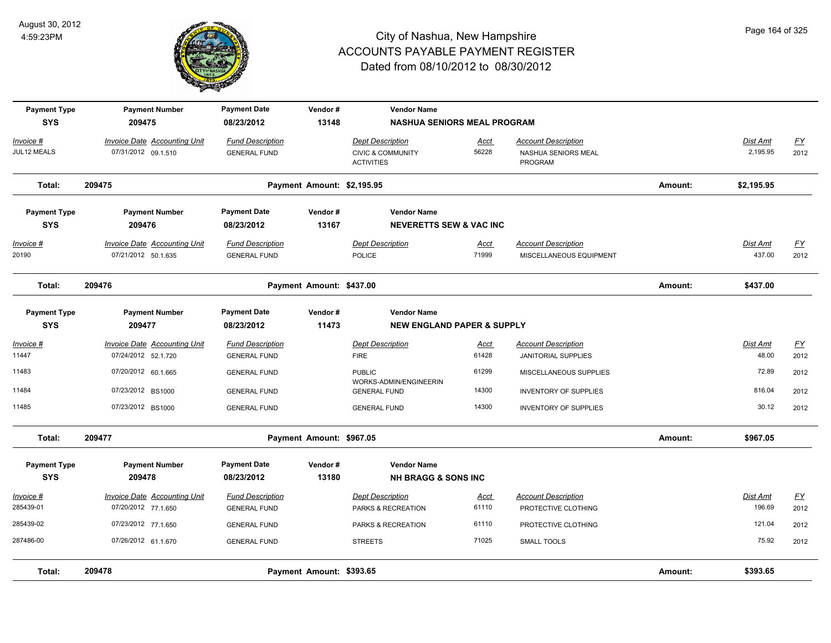

| <b>Payment Type</b><br><b>SYS</b> | <b>Payment Number</b>               | <b>Payment Date</b>     | Vendor#                    | <b>Vendor Name</b>                                |             |                                |         |                 |           |
|-----------------------------------|-------------------------------------|-------------------------|----------------------------|---------------------------------------------------|-------------|--------------------------------|---------|-----------------|-----------|
|                                   | 209475                              | 08/23/2012              | 13148                      | <b>NASHUA SENIORS MEAL PROGRAM</b>                |             |                                |         |                 |           |
| Invoice #                         | <b>Invoice Date Accounting Unit</b> | <b>Fund Description</b> |                            | <b>Dept Description</b>                           | Acct        | <b>Account Description</b>     |         | Dist Amt        | <u>FY</u> |
| JUL12 MEALS                       | 07/31/2012 09.1.510                 | <b>GENERAL FUND</b>     |                            | <b>CIVIC &amp; COMMUNITY</b><br><b>ACTIVITIES</b> | 56228       | NASHUA SENIORS MEAL<br>PROGRAM |         | 2,195.95        | 2012      |
| Total:                            | 209475                              |                         | Payment Amount: \$2,195.95 |                                                   |             |                                | Amount: | \$2,195.95      |           |
| <b>Payment Type</b>               | <b>Payment Number</b>               | <b>Payment Date</b>     | Vendor#                    | <b>Vendor Name</b>                                |             |                                |         |                 |           |
| <b>SYS</b>                        | 209476                              | 08/23/2012              | 13167                      | <b>NEVERETTS SEW &amp; VAC INC</b>                |             |                                |         |                 |           |
| Invoice #                         | <b>Invoice Date Accounting Unit</b> | <b>Fund Description</b> |                            | <b>Dept Description</b>                           | <u>Acct</u> | <b>Account Description</b>     |         | <b>Dist Amt</b> | <u>FY</u> |
| 20190                             | 07/21/2012 50.1.635                 | <b>GENERAL FUND</b>     |                            | POLICE                                            | 71999       | MISCELLANEOUS EQUIPMENT        |         | 437.00          | 2012      |
| Total:                            | 209476                              |                         | Payment Amount: \$437.00   |                                                   |             |                                | Amount: | \$437.00        |           |
| <b>Payment Type</b>               | <b>Payment Number</b>               | <b>Payment Date</b>     | Vendor#                    | <b>Vendor Name</b>                                |             |                                |         |                 |           |
| <b>SYS</b>                        | 209477                              | 08/23/2012              | 11473                      | <b>NEW ENGLAND PAPER &amp; SUPPLY</b>             |             |                                |         |                 |           |
| <u> Invoice #</u>                 | Invoice Date Accounting Unit        | <b>Fund Description</b> |                            | <b>Dept Description</b>                           | <u>Acct</u> | <b>Account Description</b>     |         | Dist Amt        | EY        |
| 11447                             | 07/24/2012 52.1.720                 | <b>GENERAL FUND</b>     |                            | <b>FIRE</b>                                       | 61428       | JANITORIAL SUPPLIES            |         | 48.00           | 2012      |
| 11483                             | 07/20/2012 60.1.665                 | <b>GENERAL FUND</b>     |                            | <b>PUBLIC</b><br>WORKS-ADMIN/ENGINEERIN           | 61299       | MISCELLANEOUS SUPPLIES         |         | 72.89           | 2012      |
| 11484                             | 07/23/2012 BS1000                   | <b>GENERAL FUND</b>     |                            | <b>GENERAL FUND</b>                               | 14300       | <b>INVENTORY OF SUPPLIES</b>   |         | 816.04          | 2012      |
| 11485                             | 07/23/2012 BS1000                   | <b>GENERAL FUND</b>     |                            | <b>GENERAL FUND</b>                               | 14300       | <b>INVENTORY OF SUPPLIES</b>   |         | 30.12           | 2012      |
| Total:                            | 209477                              |                         | Payment Amount: \$967.05   |                                                   |             |                                | Amount: | \$967.05        |           |
| <b>Payment Type</b>               | <b>Payment Number</b>               | <b>Payment Date</b>     | Vendor#                    | <b>Vendor Name</b>                                |             |                                |         |                 |           |
| <b>SYS</b>                        | 209478                              | 08/23/2012              | 13180                      | <b>NH BRAGG &amp; SONS INC</b>                    |             |                                |         |                 |           |
| Invoice #                         | <b>Invoice Date Accounting Unit</b> | <b>Fund Description</b> |                            | <b>Dept Description</b>                           | Acct        | <b>Account Description</b>     |         | Dist Amt        | EY        |
| 285439-01                         | 07/20/2012 77.1.650                 | <b>GENERAL FUND</b>     |                            | PARKS & RECREATION                                | 61110       | PROTECTIVE CLOTHING            |         | 196.69          | 2012      |
| 285439-02                         | 07/23/2012 77.1.650                 | <b>GENERAL FUND</b>     |                            | PARKS & RECREATION                                | 61110       | PROTECTIVE CLOTHING            |         | 121.04          | 2012      |
| 287486-00                         | 07/26/2012 61.1.670                 | <b>GENERAL FUND</b>     |                            | <b>STREETS</b>                                    | 71025       | <b>SMALL TOOLS</b>             |         | 75.92           | 2012      |
| Total:                            | 209478                              |                         | Payment Amount: \$393.65   |                                                   |             |                                | Amount: | \$393.65        |           |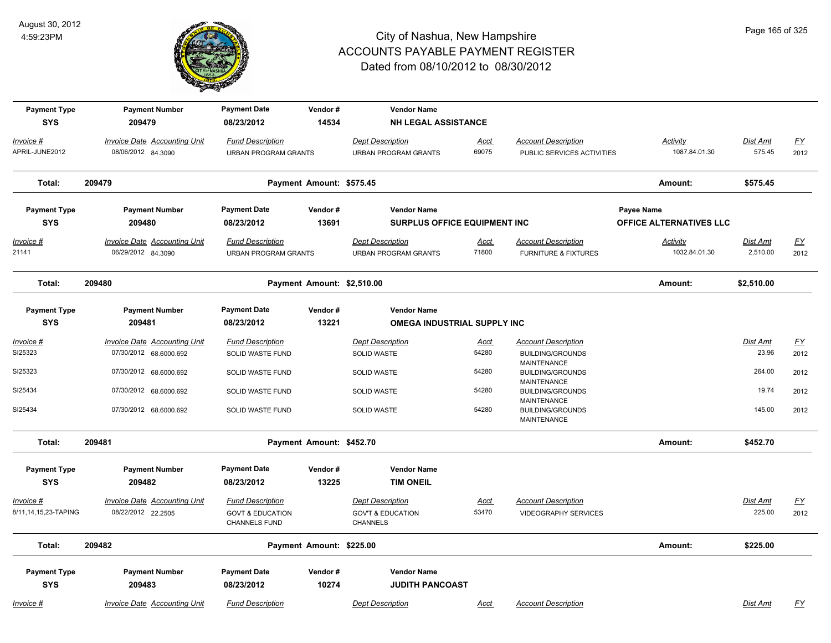

| <b>Payment Type</b><br><b>SYS</b> | <b>Payment Number</b><br>209479                           | <b>Payment Date</b><br>08/23/2012                      | Vendor#<br>14534           | <b>Vendor Name</b><br><b>NH LEGAL ASSISTANCE</b>       |                      |                                                                     |                                  |                    |                          |
|-----------------------------------|-----------------------------------------------------------|--------------------------------------------------------|----------------------------|--------------------------------------------------------|----------------------|---------------------------------------------------------------------|----------------------------------|--------------------|--------------------------|
|                                   |                                                           |                                                        |                            |                                                        |                      |                                                                     |                                  |                    |                          |
| Invoice #<br>APRIL-JUNE2012       | <b>Invoice Date Accounting Unit</b><br>08/06/2012 84.3090 | <b>Fund Description</b><br><b>URBAN PROGRAM GRANTS</b> |                            | <b>Dept Description</b><br><b>URBAN PROGRAM GRANTS</b> | <u>Acct</u><br>69075 | <b>Account Description</b><br>PUBLIC SERVICES ACTIVITIES            | <b>Activity</b><br>1087.84.01.30 | Dist Amt<br>575.45 | $\underline{FY}$<br>2012 |
|                                   |                                                           |                                                        |                            |                                                        |                      |                                                                     |                                  |                    |                          |
| Total:                            | 209479                                                    |                                                        | Payment Amount: \$575.45   |                                                        |                      |                                                                     | Amount:                          | \$575.45           |                          |
| <b>Payment Type</b>               | <b>Payment Number</b>                                     | <b>Payment Date</b>                                    | Vendor#                    | <b>Vendor Name</b>                                     |                      |                                                                     | Payee Name                       |                    |                          |
| <b>SYS</b>                        | 209480                                                    | 08/23/2012                                             | 13691                      | <b>SURPLUS OFFICE EQUIPMENT INC</b>                    |                      |                                                                     | OFFICE ALTERNATIVES LLC          |                    |                          |
| $Invoice$ #                       | <b>Invoice Date Accounting Unit</b>                       | <b>Fund Description</b>                                |                            | <b>Dept Description</b>                                | <b>Acct</b>          | <b>Account Description</b>                                          | <b>Activity</b>                  | <b>Dist Amt</b>    | <u>FY</u>                |
| 21141                             | 06/29/2012 84.3090                                        | <b>URBAN PROGRAM GRANTS</b>                            |                            | <b>URBAN PROGRAM GRANTS</b>                            | 71800                | <b>FURNITURE &amp; FIXTURES</b>                                     | 1032.84.01.30                    | 2,510.00           | 2012                     |
| Total:                            | 209480                                                    |                                                        | Payment Amount: \$2,510.00 |                                                        |                      |                                                                     | Amount:                          | \$2,510.00         |                          |
| <b>Payment Type</b>               | <b>Payment Number</b>                                     | <b>Payment Date</b>                                    | Vendor#                    | <b>Vendor Name</b>                                     |                      |                                                                     |                                  |                    |                          |
| <b>SYS</b>                        | 209481                                                    | 08/23/2012                                             | 13221                      | OMEGA INDUSTRIAL SUPPLY INC                            |                      |                                                                     |                                  |                    |                          |
| Invoice #                         | <b>Invoice Date Accounting Unit</b>                       | <b>Fund Description</b>                                |                            | <b>Dept Description</b>                                | Acct                 | <b>Account Description</b>                                          |                                  | <b>Dist Amt</b>    | $\underline{FY}$         |
| SI25323                           | 07/30/2012 68.6000.692                                    | SOLID WASTE FUND                                       |                            | SOLID WASTE                                            | 54280                | <b>BUILDING/GROUNDS</b>                                             |                                  | 23.96              | 2012                     |
| SI25323                           | 07/30/2012 68.6000.692                                    | SOLID WASTE FUND                                       |                            | <b>SOLID WASTE</b>                                     | 54280                | <b>MAINTENANCE</b><br><b>BUILDING/GROUNDS</b><br><b>MAINTENANCE</b> |                                  | 264.00             | 2012                     |
| SI25434                           | 07/30/2012 68.6000.692                                    | SOLID WASTE FUND                                       |                            | SOLID WASTE                                            | 54280                | <b>BUILDING/GROUNDS</b><br>MAINTENANCE                              |                                  | 19.74              | 2012                     |
| SI25434                           | 07/30/2012 68.6000.692                                    | SOLID WASTE FUND                                       |                            | <b>SOLID WASTE</b>                                     | 54280                | <b>BUILDING/GROUNDS</b><br>MAINTENANCE                              |                                  | 145.00             | 2012                     |
| Total:                            | 209481                                                    |                                                        | Payment Amount: \$452.70   |                                                        |                      |                                                                     | Amount:                          | \$452.70           |                          |
| <b>Payment Type</b>               | <b>Payment Number</b>                                     | <b>Payment Date</b>                                    | Vendor#                    | <b>Vendor Name</b>                                     |                      |                                                                     |                                  |                    |                          |
| <b>SYS</b>                        | 209482                                                    | 08/23/2012                                             | 13225                      | <b>TIM ONEIL</b>                                       |                      |                                                                     |                                  |                    |                          |
| Invoice #                         | <b>Invoice Date Accounting Unit</b>                       | <b>Fund Description</b>                                |                            | <b>Dept Description</b>                                | <u>Acct</u>          | <b>Account Description</b>                                          |                                  | <b>Dist Amt</b>    | $\underline{FY}$         |
| 8/11,14,15,23-TAPING              | 08/22/2012 22.2505                                        | <b>GOVT &amp; EDUCATION</b><br>CHANNELS FUND           |                            | <b>GOV'T &amp; EDUCATION</b><br><b>CHANNELS</b>        | 53470                | <b>VIDEOGRAPHY SERVICES</b>                                         |                                  | 225.00             | 2012                     |
| Total:                            | 209482                                                    |                                                        | Payment Amount: \$225.00   |                                                        |                      |                                                                     | Amount:                          | \$225.00           |                          |
| <b>Payment Type</b>               | <b>Payment Number</b>                                     | <b>Payment Date</b>                                    | Vendor#                    | <b>Vendor Name</b>                                     |                      |                                                                     |                                  |                    |                          |
| <b>SYS</b>                        | 209483                                                    | 08/23/2012                                             | 10274                      | <b>JUDITH PANCOAST</b>                                 |                      |                                                                     |                                  |                    |                          |
| Invoice #                         | Invoice Date Accounting Unit                              | <b>Fund Description</b>                                |                            | <b>Dept Description</b>                                | Acct                 | <b>Account Description</b>                                          |                                  | Dist Amt           | FΥ                       |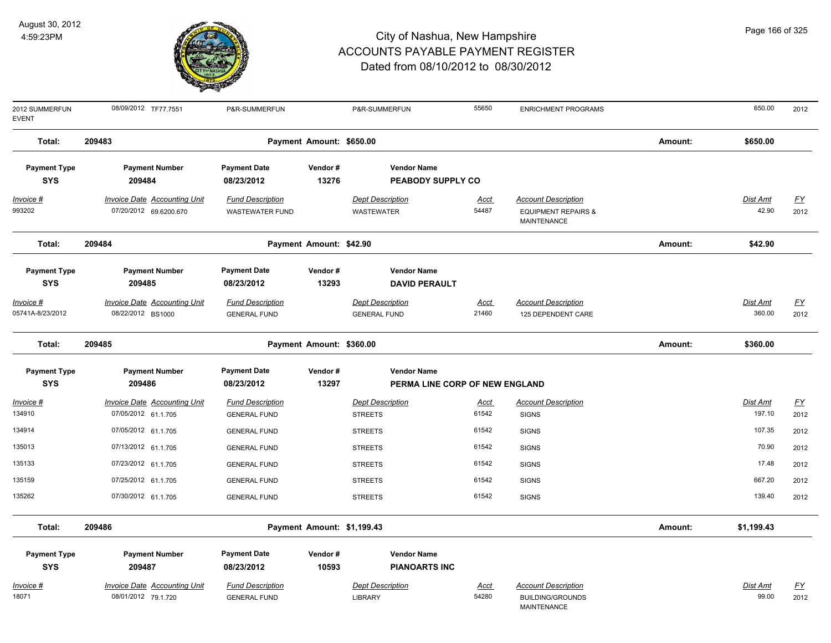

| 2012 SUMMERFUN<br><b>EVENT</b> | 08/09/2012 TF77.7551                | P&R-SUMMERFUN           |                            | P&R-SUMMERFUN                  | 55650       | <b>ENRICHMENT PROGRAMS</b>                    |         | 650.00     | 2012                      |
|--------------------------------|-------------------------------------|-------------------------|----------------------------|--------------------------------|-------------|-----------------------------------------------|---------|------------|---------------------------|
| Total:                         | 209483                              |                         | Payment Amount: \$650.00   |                                |             |                                               | Amount: | \$650.00   |                           |
| <b>Payment Type</b>            | <b>Payment Number</b>               | <b>Payment Date</b>     | Vendor#                    | <b>Vendor Name</b>             |             |                                               |         |            |                           |
| <b>SYS</b>                     | 209484                              | 08/23/2012              | 13276                      | <b>PEABODY SUPPLY CO</b>       |             |                                               |         |            |                           |
| Invoice #                      | <b>Invoice Date Accounting Unit</b> | <b>Fund Description</b> |                            | <b>Dept Description</b>        | <u>Acct</u> | <b>Account Description</b>                    |         | Dist Amt   | $\underline{\mathsf{FY}}$ |
| 993202                         | 07/20/2012 69.6200.670              | <b>WASTEWATER FUND</b>  |                            | WASTEWATER                     | 54487       | <b>EQUIPMENT REPAIRS &amp;</b><br>MAINTENANCE |         | 42.90      | 2012                      |
| Total:                         | 209484                              |                         | Payment Amount: \$42.90    |                                |             |                                               | Amount: | \$42.90    |                           |
| <b>Payment Type</b>            | <b>Payment Number</b>               | <b>Payment Date</b>     | Vendor#                    | <b>Vendor Name</b>             |             |                                               |         |            |                           |
| <b>SYS</b>                     | 209485                              | 08/23/2012              | 13293                      | <b>DAVID PERAULT</b>           |             |                                               |         |            |                           |
| Invoice #                      | <b>Invoice Date Accounting Unit</b> | <b>Fund Description</b> |                            | <b>Dept Description</b>        | <u>Acct</u> | <b>Account Description</b>                    |         | Dist Amt   | <u>FY</u>                 |
| 05741A-8/23/2012               | 08/22/2012 BS1000                   | <b>GENERAL FUND</b>     |                            | <b>GENERAL FUND</b>            | 21460       | 125 DEPENDENT CARE                            |         | 360.00     | 2012                      |
| Total:                         | 209485                              |                         | Payment Amount: \$360.00   |                                |             |                                               | Amount: | \$360.00   |                           |
| <b>Payment Type</b>            | <b>Payment Number</b>               | <b>Payment Date</b>     | Vendor#                    | <b>Vendor Name</b>             |             |                                               |         |            |                           |
| <b>SYS</b>                     | 209486                              | 08/23/2012              | 13297                      | PERMA LINE CORP OF NEW ENGLAND |             |                                               |         |            |                           |
| Invoice #                      | <b>Invoice Date Accounting Unit</b> | <b>Fund Description</b> |                            | <b>Dept Description</b>        | Acct        | <b>Account Description</b>                    |         | Dist Amt   | $\underline{\mathsf{FY}}$ |
| 134910                         | 07/05/2012 61.1.705                 | <b>GENERAL FUND</b>     |                            | <b>STREETS</b>                 | 61542       | <b>SIGNS</b>                                  |         | 197.10     | 2012                      |
| 134914                         | 07/05/2012 61.1.705                 | <b>GENERAL FUND</b>     |                            | <b>STREETS</b>                 | 61542       | <b>SIGNS</b>                                  |         | 107.35     | 2012                      |
| 135013                         | 07/13/2012 61.1.705                 | <b>GENERAL FUND</b>     |                            | <b>STREETS</b>                 | 61542       | <b>SIGNS</b>                                  |         | 70.90      | 2012                      |
| 135133                         | 07/23/2012 61.1.705                 | <b>GENERAL FUND</b>     |                            | <b>STREETS</b>                 | 61542       | <b>SIGNS</b>                                  |         | 17.48      | 2012                      |
| 135159                         | 07/25/2012 61.1.705                 | <b>GENERAL FUND</b>     |                            | <b>STREETS</b>                 | 61542       | <b>SIGNS</b>                                  |         | 667.20     | 2012                      |
| 135262                         | 07/30/2012 61.1.705                 | <b>GENERAL FUND</b>     |                            | <b>STREETS</b>                 | 61542       | <b>SIGNS</b>                                  |         | 139.40     | 2012                      |
| Total:                         | 209486                              |                         | Payment Amount: \$1,199.43 |                                |             |                                               | Amount: | \$1,199.43 |                           |
| <b>Payment Type</b>            | <b>Payment Number</b>               | <b>Payment Date</b>     | Vendor#                    | <b>Vendor Name</b>             |             |                                               |         |            |                           |
| <b>SYS</b>                     | 209487                              | 08/23/2012              | 10593                      | <b>PIANOARTS INC</b>           |             |                                               |         |            |                           |
| <u>Invoice #</u>               | <b>Invoice Date Accounting Unit</b> | <b>Fund Description</b> |                            | <b>Dept Description</b>        | <u>Acct</u> | <b>Account Description</b>                    |         | Dist Amt   | <u>FY</u>                 |
| 18071                          | 08/01/2012 79.1.720                 | <b>GENERAL FUND</b>     |                            | <b>LIBRARY</b>                 | 54280       | BUILDING/GROUNDS<br><b>MAINTENANCE</b>        |         | 99.00      | 2012                      |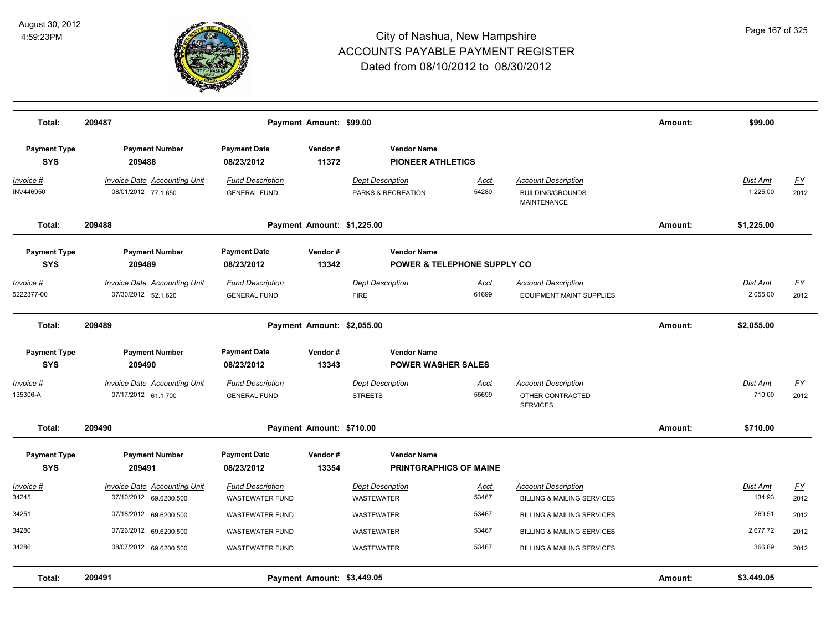

| Total:                            | 209487                                                     |                                                | Payment Amount: \$99.00    |                                                 |                                        |                                                                             | Amount: | \$99.00                     |                   |
|-----------------------------------|------------------------------------------------------------|------------------------------------------------|----------------------------|-------------------------------------------------|----------------------------------------|-----------------------------------------------------------------------------|---------|-----------------------------|-------------------|
| <b>Payment Type</b><br><b>SYS</b> | <b>Payment Number</b><br>209488                            | <b>Payment Date</b><br>08/23/2012              | Vendor#<br>11372           | <b>Vendor Name</b><br><b>PIONEER ATHLETICS</b>  |                                        |                                                                             |         |                             |                   |
| Invoice #<br>INV446950            | <b>Invoice Date Accounting Unit</b><br>08/01/2012 77.1.650 | <b>Fund Description</b><br><b>GENERAL FUND</b> |                            | <b>Dept Description</b><br>PARKS & RECREATION   | Acct<br>54280                          | <b>Account Description</b><br><b>BUILDING/GROUNDS</b><br><b>MAINTENANCE</b> |         | <b>Dist Amt</b><br>1,225.00 | <u>FY</u><br>2012 |
| Total:                            | 209488                                                     |                                                | Payment Amount: \$1,225.00 |                                                 |                                        |                                                                             | Amount: | \$1,225.00                  |                   |
| <b>Payment Type</b><br><b>SYS</b> | <b>Payment Number</b><br>209489                            | <b>Payment Date</b><br>08/23/2012              | Vendor#<br>13342           | <b>Vendor Name</b>                              | <b>POWER &amp; TELEPHONE SUPPLY CO</b> |                                                                             |         |                             |                   |
| Invoice #<br>5222377-00           | <b>Invoice Date Accounting Unit</b><br>07/30/2012 52.1.620 | <b>Fund Description</b><br><b>GENERAL FUND</b> |                            | Dept Description<br><b>FIRE</b>                 | Acct<br>61699                          | <b>Account Description</b><br><b>EQUIPMENT MAINT SUPPLIES</b>               |         | Dist Amt<br>2,055.00        | <u>FY</u><br>2012 |
| Total:                            | 209489                                                     |                                                | Payment Amount: \$2,055.00 |                                                 |                                        |                                                                             | Amount: | \$2,055.00                  |                   |
| <b>Payment Type</b><br><b>SYS</b> | <b>Payment Number</b><br>209490                            | <b>Payment Date</b><br>08/23/2012              | Vendor#<br>13343           | <b>Vendor Name</b><br><b>POWER WASHER SALES</b> |                                        |                                                                             |         |                             |                   |
| Invoice #<br>135306-A             | Invoice Date Accounting Unit<br>07/17/2012 61.1.700        | <b>Fund Description</b><br><b>GENERAL FUND</b> |                            | <b>Dept Description</b><br><b>STREETS</b>       | Acct<br>55699                          | <b>Account Description</b><br>OTHER CONTRACTED<br><b>SERVICES</b>           |         | Dist Amt<br>710.00          | EY<br>2012        |
| Total:                            | 209490                                                     |                                                | Payment Amount: \$710.00   |                                                 |                                        |                                                                             | Amount: | \$710.00                    |                   |
| <b>Payment Type</b><br><b>SYS</b> | <b>Payment Number</b><br>209491                            | <b>Payment Date</b><br>08/23/2012              | Vendor#<br>13354           | <b>Vendor Name</b>                              | <b>PRINTGRAPHICS OF MAINE</b>          |                                                                             |         |                             |                   |
| Invoice #                         | Invoice Date Accounting Unit                               | <b>Fund Description</b>                        |                            | <b>Dept Description</b>                         | Acct                                   | <b>Account Description</b>                                                  |         | Dist Amt                    | EY                |
| 34245                             | 07/10/2012 69.6200.500                                     | <b>WASTEWATER FUND</b>                         |                            | <b>WASTEWATER</b>                               | 53467                                  | <b>BILLING &amp; MAILING SERVICES</b>                                       |         | 134.93                      | 2012              |
| 34251                             | 07/18/2012 69.6200.500                                     | <b>WASTEWATER FUND</b>                         |                            | WASTEWATER                                      | 53467                                  | <b>BILLING &amp; MAILING SERVICES</b>                                       |         | 269.51                      | 2012              |
| 34280                             | 07/26/2012 69.6200.500                                     | <b>WASTEWATER FUND</b>                         |                            | <b>WASTEWATER</b>                               | 53467                                  | <b>BILLING &amp; MAILING SERVICES</b>                                       |         | 2,677.72                    | 2012              |
| 34286                             | 08/07/2012 69.6200.500                                     | <b>WASTEWATER FUND</b>                         |                            | <b>WASTEWATER</b>                               | 53467                                  | <b>BILLING &amp; MAILING SERVICES</b>                                       |         | 366.89                      | 2012              |
| Total:                            | 209491                                                     |                                                | Payment Amount: \$3,449.05 |                                                 |                                        |                                                                             | Amount: | \$3,449.05                  |                   |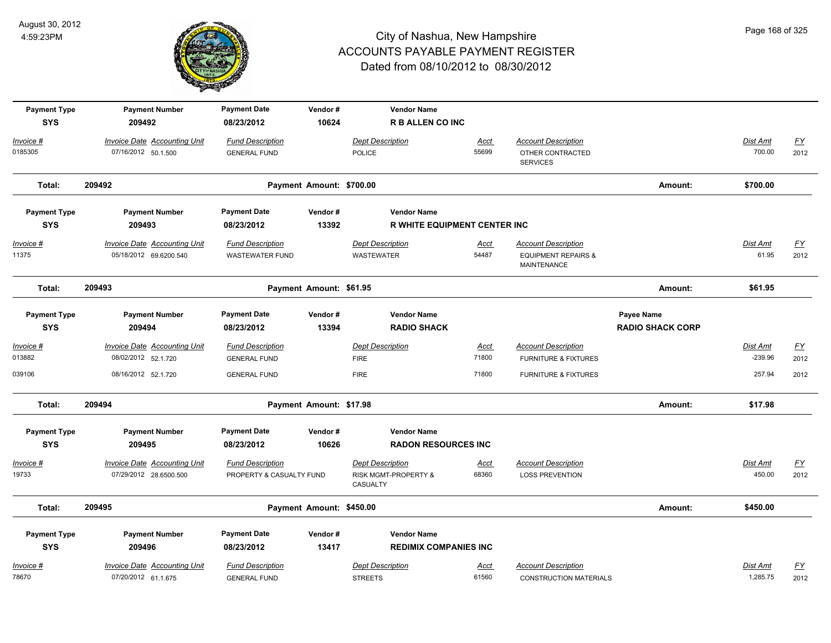

| <b>Payment Type</b><br><b>SYS</b> | <b>Payment Number</b><br>209492                               | <b>Payment Date</b><br>08/23/2012                 | Vendor#<br>10624         | <b>Vendor Name</b><br><b>R B ALLEN CO INC</b>    |                      |                                                                             |                                              |                          |                   |
|-----------------------------------|---------------------------------------------------------------|---------------------------------------------------|--------------------------|--------------------------------------------------|----------------------|-----------------------------------------------------------------------------|----------------------------------------------|--------------------------|-------------------|
| <u> Invoice #</u>                 | <b>Invoice Date Accounting Unit</b>                           | <b>Fund Description</b>                           |                          | <b>Dept Description</b>                          | Acct                 | <b>Account Description</b>                                                  |                                              | Dist Amt                 | $\underline{FY}$  |
| 0185305                           | 07/16/2012 50.1.500                                           | <b>GENERAL FUND</b>                               |                          | <b>POLICE</b>                                    | 55699                | OTHER CONTRACTED<br><b>SERVICES</b>                                         |                                              | 700.00                   | 2012              |
| Total:                            | 209492                                                        |                                                   | Payment Amount: \$700.00 |                                                  |                      |                                                                             | Amount:                                      | \$700.00                 |                   |
| <b>Payment Type</b>               | <b>Payment Number</b>                                         | <b>Payment Date</b>                               | Vendor#                  | <b>Vendor Name</b>                               |                      |                                                                             |                                              |                          |                   |
| <b>SYS</b>                        | 209493                                                        | 08/23/2012                                        | 13392                    | <b>R WHITE EQUIPMENT CENTER INC</b>              |                      |                                                                             |                                              |                          |                   |
| <u> Invoice #</u><br>11375        | <b>Invoice Date Accounting Unit</b><br>05/18/2012 69.6200.540 | <b>Fund Description</b><br><b>WASTEWATER FUND</b> |                          | <b>Dept Description</b><br>WASTEWATER            | <u>Acct</u><br>54487 | <b>Account Description</b><br><b>EQUIPMENT REPAIRS &amp;</b><br>MAINTENANCE |                                              | <b>Dist Amt</b><br>61.95 | <u>FY</u><br>2012 |
| Total:                            | 209493                                                        |                                                   | Payment Amount: \$61.95  |                                                  |                      |                                                                             | Amount:                                      | \$61.95                  |                   |
| <b>Payment Type</b><br><b>SYS</b> | <b>Payment Number</b><br>209494                               | <b>Payment Date</b><br>08/23/2012                 | Vendor#<br>13394         | <b>Vendor Name</b><br><b>RADIO SHACK</b>         |                      |                                                                             | <b>Payee Name</b><br><b>RADIO SHACK CORP</b> |                          |                   |
| Invoice #                         | Invoice Date Accounting Unit                                  | <b>Fund Description</b>                           |                          | Dept Description                                 | Acct                 | <b>Account Description</b>                                                  |                                              | Dist Amt                 | <u>FY</u>         |
| 013882                            | 08/02/2012 52.1.720                                           | <b>GENERAL FUND</b>                               |                          | <b>FIRE</b>                                      | 71800                | <b>FURNITURE &amp; FIXTURES</b>                                             |                                              | $-239.96$                | 2012              |
| 039106                            | 08/16/2012 52.1.720                                           | <b>GENERAL FUND</b>                               |                          | <b>FIRE</b>                                      | 71800                | <b>FURNITURE &amp; FIXTURES</b>                                             |                                              | 257.94                   | 2012              |
| Total:                            | 209494                                                        |                                                   | Payment Amount: \$17.98  |                                                  |                      |                                                                             | Amount:                                      | \$17.98                  |                   |
| <b>Payment Type</b><br><b>SYS</b> | <b>Payment Number</b><br>209495                               | <b>Payment Date</b><br>08/23/2012                 | Vendor#<br>10626         | <b>Vendor Name</b><br><b>RADON RESOURCES INC</b> |                      |                                                                             |                                              |                          |                   |
| Invoice #                         | <b>Invoice Date Accounting Unit</b>                           | <b>Fund Description</b>                           |                          | <b>Dept Description</b>                          | Acct                 | <b>Account Description</b>                                                  |                                              | Dist Amt                 | <u>FY</u>         |
| 19733                             | 07/29/2012 28.6500.500                                        | PROPERTY & CASUALTY FUND                          |                          | RISK MGMT-PROPERTY &<br>CASUALTY                 | 68360                | <b>LOSS PREVENTION</b>                                                      |                                              | 450.00                   | 2012              |
| Total:                            | 209495                                                        |                                                   | Payment Amount: \$450.00 |                                                  |                      |                                                                             | Amount:                                      | \$450.00                 |                   |
| <b>Payment Type</b>               | <b>Payment Number</b>                                         | <b>Payment Date</b>                               | Vendor#                  | <b>Vendor Name</b>                               |                      |                                                                             |                                              |                          |                   |
| <b>SYS</b>                        | 209496                                                        | 08/23/2012                                        | 13417                    | <b>REDIMIX COMPANIES INC</b>                     |                      |                                                                             |                                              |                          |                   |
| Invoice #                         | Invoice Date Accounting Unit                                  | <b>Fund Description</b>                           |                          | <b>Dept Description</b>                          | Acct                 | <b>Account Description</b>                                                  |                                              | Dist Amt                 | <u>FY</u>         |
| 78670                             | 07/20/2012 61.1.675                                           | <b>GENERAL FUND</b>                               |                          | <b>STREETS</b>                                   | 61560                | <b>CONSTRUCTION MATERIALS</b>                                               |                                              | 1,285.75                 | 2012              |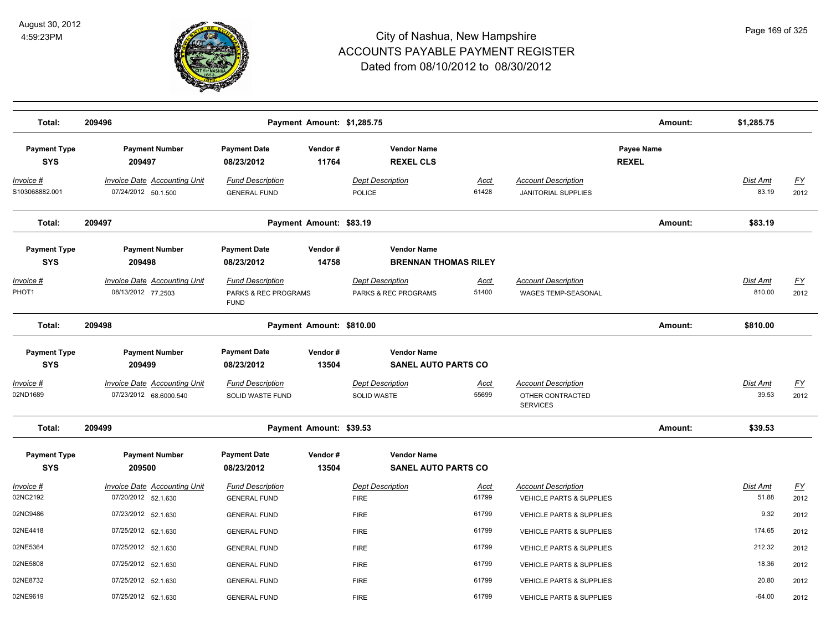

| Total:                            | 209496                                                        |                                                                | Payment Amount: \$1,285.75 |                                                   |                      |                                                                   | Amount:                    | \$1,285.75                |                          |
|-----------------------------------|---------------------------------------------------------------|----------------------------------------------------------------|----------------------------|---------------------------------------------------|----------------------|-------------------------------------------------------------------|----------------------------|---------------------------|--------------------------|
| <b>Payment Type</b><br><b>SYS</b> | <b>Payment Number</b><br>209497                               | <b>Payment Date</b><br>08/23/2012                              | Vendor#<br>11764           | <b>Vendor Name</b><br><b>REXEL CLS</b>            |                      |                                                                   | Payee Name<br><b>REXEL</b> |                           |                          |
| Invoice #<br>S103068882.001       | <b>Invoice Date Accounting Unit</b><br>07/24/2012 50.1.500    | <b>Fund Description</b><br><b>GENERAL FUND</b>                 |                            | <b>Dept Description</b><br><b>POLICE</b>          | Acct<br>61428        | <b>Account Description</b><br><b>JANITORIAL SUPPLIES</b>          |                            | <b>Dist Amt</b><br>83.19  | EY<br>2012               |
| Total:                            | 209497                                                        |                                                                | Payment Amount: \$83.19    |                                                   |                      |                                                                   | Amount:                    | \$83.19                   |                          |
| <b>Payment Type</b><br><b>SYS</b> | <b>Payment Number</b><br>209498                               | <b>Payment Date</b><br>08/23/2012                              | Vendor#<br>14758           | <b>Vendor Name</b><br><b>BRENNAN THOMAS RILEY</b> |                      |                                                                   |                            |                           |                          |
| Invoice #<br>PHOT1                | <b>Invoice Date Accounting Unit</b><br>08/13/2012 77.2503     | <b>Fund Description</b><br>PARKS & REC PROGRAMS<br><b>FUND</b> |                            | <b>Dept Description</b><br>PARKS & REC PROGRAMS   | <u>Acct</u><br>51400 | <b>Account Description</b><br><b>WAGES TEMP-SEASONAL</b>          |                            | <b>Dist Amt</b><br>810.00 | <u>FY</u><br>2012        |
| Total:                            | 209498                                                        |                                                                | Payment Amount: \$810.00   |                                                   |                      |                                                                   | Amount:                    | \$810.00                  |                          |
| <b>Payment Type</b><br><b>SYS</b> | <b>Payment Number</b><br>209499                               | <b>Payment Date</b><br>08/23/2012                              | Vendor#<br>13504           | <b>Vendor Name</b><br><b>SANEL AUTO PARTS CO</b>  |                      |                                                                   |                            |                           |                          |
| Invoice #<br>02ND1689             | <b>Invoice Date Accounting Unit</b><br>07/23/2012 68.6000.540 | <b>Fund Description</b><br>SOLID WASTE FUND                    |                            | <b>Dept Description</b><br>SOLID WASTE            | <u>Acct</u><br>55699 | <b>Account Description</b><br>OTHER CONTRACTED<br><b>SERVICES</b> |                            | Dist Amt<br>39.53         | $\underline{FY}$<br>2012 |
| Total:                            | 209499                                                        |                                                                | Payment Amount: \$39.53    |                                                   |                      |                                                                   | Amount:                    | \$39.53                   |                          |
| <b>Payment Type</b><br><b>SYS</b> | <b>Payment Number</b><br>209500                               | <b>Payment Date</b><br>08/23/2012                              | Vendor#<br>13504           | <b>Vendor Name</b><br><b>SANEL AUTO PARTS CO</b>  |                      |                                                                   |                            |                           |                          |
| Invoice #<br>02NC2192             | Invoice Date Accounting Unit<br>07/20/2012 52.1.630           | <b>Fund Description</b><br><b>GENERAL FUND</b>                 |                            | <b>Dept Description</b><br><b>FIRE</b>            | Acct<br>61799        | <b>Account Description</b><br><b>VEHICLE PARTS &amp; SUPPLIES</b> |                            | <b>Dist Amt</b><br>51.88  | EY<br>2012               |
| 02NC9486                          | 07/23/2012 52.1.630                                           | <b>GENERAL FUND</b>                                            |                            | <b>FIRE</b>                                       | 61799                | <b>VEHICLE PARTS &amp; SUPPLIES</b>                               |                            | 9.32                      | 2012                     |
| 02NE4418                          | 07/25/2012 52.1.630                                           | <b>GENERAL FUND</b>                                            |                            | <b>FIRE</b>                                       | 61799                | VEHICLE PARTS & SUPPLIES                                          |                            | 174.65                    | 2012                     |
|                                   |                                                               |                                                                |                            |                                                   | 61799                |                                                                   |                            | 212.32                    |                          |
| 02NE5364                          | 07/25/2012 52.1.630                                           | <b>GENERAL FUND</b>                                            |                            | <b>FIRE</b>                                       |                      | VEHICLE PARTS & SUPPLIES                                          |                            |                           | 2012                     |
| 02NE5808                          | 07/25/2012 52.1.630                                           | <b>GENERAL FUND</b>                                            |                            | <b>FIRE</b>                                       | 61799                | VEHICLE PARTS & SUPPLIES                                          |                            | 18.36                     | 2012                     |
| 02NE8732                          | 07/25/2012 52.1.630                                           | <b>GENERAL FUND</b>                                            |                            | <b>FIRE</b>                                       | 61799                | VEHICLE PARTS & SUPPLIES                                          |                            | 20.80                     | 2012                     |
| 02NE9619                          | 07/25/2012 52.1.630                                           | <b>GENERAL FUND</b>                                            |                            | <b>FIRE</b>                                       | 61799                | <b>VEHICLE PARTS &amp; SUPPLIES</b>                               |                            | $-64.00$                  | 2012                     |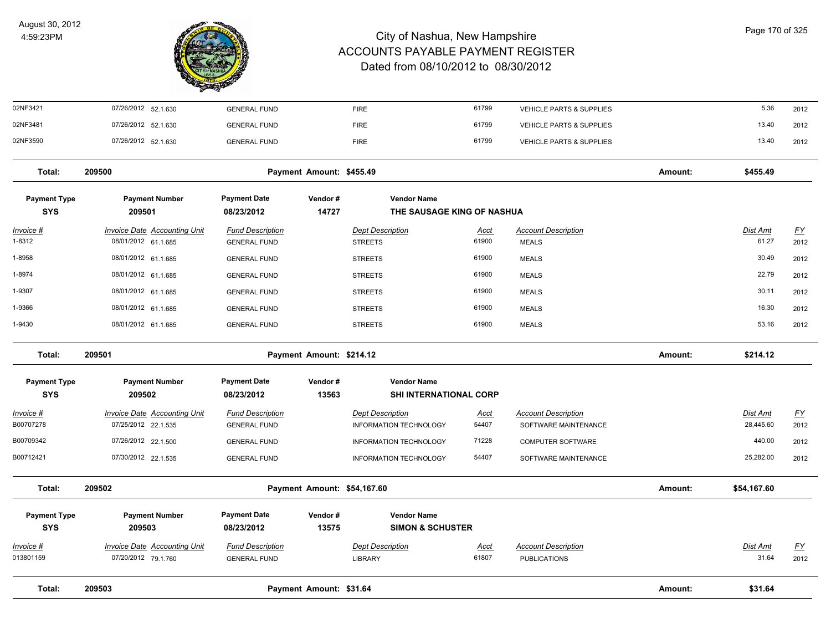

| Total:                            | 209503                                                     |                                                | Payment Amount: \$31.64             |                                                          |                      |                                                    | Amount: | \$31.64                      |                   |
|-----------------------------------|------------------------------------------------------------|------------------------------------------------|-------------------------------------|----------------------------------------------------------|----------------------|----------------------------------------------------|---------|------------------------------|-------------------|
| Invoice #<br>013801159            | 07/20/2012 79.1.760                                        | <b>GENERAL FUND</b>                            |                                     | <b>LIBRARY</b>                                           | <u>Acct</u><br>61807 | <b>PUBLICATIONS</b>                                |         | 31.64                        | <u>FY</u><br>2012 |
| <b>SYS</b>                        | 209503<br><b>Invoice Date Accounting Unit</b>              | 08/23/2012<br><b>Fund Description</b>          | 13575                               | <b>SIMON &amp; SCHUSTER</b><br><b>Dept Description</b>   |                      | <b>Account Description</b>                         |         | Dist Amt                     |                   |
| <b>Payment Type</b>               | <b>Payment Number</b>                                      | <b>Payment Date</b>                            | Vendor#                             | <b>Vendor Name</b>                                       |                      |                                                    |         |                              |                   |
| Total:                            | 209502                                                     |                                                | Payment Amount: \$54,167.60         |                                                          |                      |                                                    | Amount: | \$54,167.60                  |                   |
| B00712421                         | 07/30/2012 22.1.535                                        | <b>GENERAL FUND</b>                            |                                     | <b>INFORMATION TECHNOLOGY</b>                            | 54407                | SOFTWARE MAINTENANCE                               |         | 25,282.00                    | 2012              |
| B00709342                         | 07/26/2012 22.1.500                                        | <b>GENERAL FUND</b>                            |                                     | INFORMATION TECHNOLOGY                                   | 71228                | <b>COMPUTER SOFTWARE</b>                           |         | 440.00                       | 2012              |
| Invoice #<br>B00707278            | <b>Invoice Date Accounting Unit</b><br>07/25/2012 22.1.535 | <b>Fund Description</b><br><b>GENERAL FUND</b> |                                     | <b>Dept Description</b><br><b>INFORMATION TECHNOLOGY</b> | <u>Acct</u><br>54407 | <b>Account Description</b><br>SOFTWARE MAINTENANCE |         | <b>Dist Amt</b><br>28,445.60 | EY<br>2012        |
| <b>SYS</b>                        | 209502                                                     | 08/23/2012                                     | 13563                               | <b>SHI INTERNATIONAL CORP</b>                            |                      |                                                    |         |                              |                   |
| Total:<br><b>Payment Type</b>     | 209501<br><b>Payment Number</b>                            | <b>Payment Date</b>                            | Payment Amount: \$214.12<br>Vendor# | <b>Vendor Name</b>                                       |                      |                                                    | Amount: | \$214.12                     |                   |
|                                   |                                                            |                                                |                                     |                                                          |                      |                                                    |         |                              |                   |
| 1-9430                            | 08/01/2012 61.1.685                                        | <b>GENERAL FUND</b>                            |                                     | <b>STREETS</b>                                           | 61900                | <b>MEALS</b>                                       |         | 53.16                        | 2012              |
| 1-9366                            | 08/01/2012 61.1.685                                        | <b>GENERAL FUND</b>                            |                                     | <b>STREETS</b>                                           | 61900                | <b>MEALS</b>                                       |         | 16.30                        | 2012              |
| 1-9307                            | 08/01/2012 61.1.685                                        | <b>GENERAL FUND</b>                            |                                     | <b>STREETS</b>                                           | 61900                | <b>MEALS</b>                                       |         | 30.11                        | 2012              |
| 1-8974                            | 08/01/2012 61.1.685                                        | <b>GENERAL FUND</b>                            |                                     | <b>STREETS</b>                                           | 61900                | <b>MEALS</b>                                       |         | 22.79                        | 2012              |
| 1-8958                            | 08/01/2012 61.1.685                                        | <b>GENERAL FUND</b>                            |                                     | <b>STREETS</b>                                           | 61900                | <b>MEALS</b>                                       |         | 30.49                        | 2012              |
| <u> Invoice #</u><br>1-8312       | <b>Invoice Date Accounting Unit</b><br>08/01/2012 61.1.685 | <b>Fund Description</b><br><b>GENERAL FUND</b> |                                     | <b>Dept Description</b><br><b>STREETS</b>                | <u>Acct</u><br>61900 | <b>Account Description</b><br><b>MEALS</b>         |         | <b>Dist Amt</b><br>61.27     | <u>FY</u><br>2012 |
| <b>Payment Type</b><br><b>SYS</b> | <b>Payment Number</b><br>209501                            | <b>Payment Date</b><br>08/23/2012              | Vendor#<br>14727                    | <b>Vendor Name</b><br>THE SAUSAGE KING OF NASHUA         |                      |                                                    |         |                              |                   |
| Total:                            | 209500                                                     |                                                | Payment Amount: \$455.49            |                                                          |                      |                                                    | Amount: | \$455.49                     |                   |
| 02NF3590                          | 07/26/2012 52.1.630                                        | <b>GENERAL FUND</b>                            |                                     | <b>FIRE</b>                                              | 61799                | <b>VEHICLE PARTS &amp; SUPPLIES</b>                |         | 13.40                        | 2012              |
| 02NF3481                          | 07/26/2012 52.1.630                                        | <b>GENERAL FUND</b>                            |                                     | <b>FIRE</b>                                              | 61799                | VEHICLE PARTS & SUPPLIES                           |         | 13.40                        | 2012              |
| 02NF3421                          | 07/26/2012 52.1.630                                        | <b>GENERAL FUND</b>                            |                                     | <b>FIRE</b>                                              | 61799                | VEHICLE PARTS & SUPPLIES                           |         | 5.36                         | 2012              |
|                                   |                                                            |                                                |                                     |                                                          |                      |                                                    |         |                              |                   |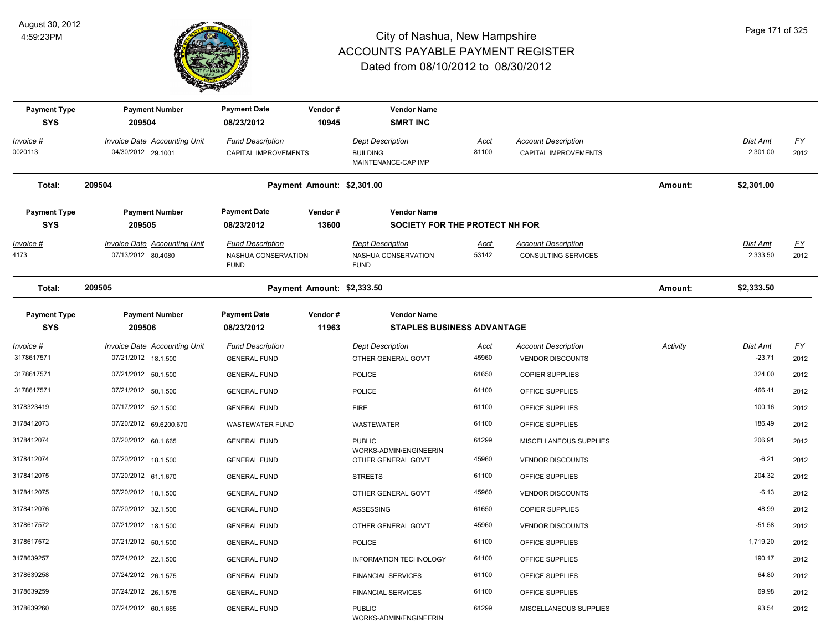

| <b>Payment Type</b><br><b>SYS</b> | <b>Payment Number</b><br>209504                           | <b>Payment Date</b><br>08/23/2012                             | Vendor#<br>10945           | <b>Vendor Name</b><br><b>SMRT INC</b>                             |                      |                                                          |          |                             |                          |
|-----------------------------------|-----------------------------------------------------------|---------------------------------------------------------------|----------------------------|-------------------------------------------------------------------|----------------------|----------------------------------------------------------|----------|-----------------------------|--------------------------|
| Invoice #<br>0020113              | <b>Invoice Date Accounting Unit</b><br>04/30/2012 29.1001 | <b>Fund Description</b><br>CAPITAL IMPROVEMENTS               |                            | <b>Dept Description</b><br><b>BUILDING</b><br>MAINTENANCE-CAP IMP | <u>Acct</u><br>81100 | <b>Account Description</b><br>CAPITAL IMPROVEMENTS       |          | Dist Amt<br>2,301.00        | $\underline{FY}$<br>2012 |
| Total:                            | 209504                                                    |                                                               | Payment Amount: \$2,301.00 |                                                                   |                      |                                                          | Amount:  | \$2,301.00                  |                          |
| <b>Payment Type</b><br><b>SYS</b> | <b>Payment Number</b><br>209505                           | <b>Payment Date</b><br>08/23/2012                             | Vendor#<br>13600           | <b>Vendor Name</b><br>SOCIETY FOR THE PROTECT NH FOR              |                      |                                                          |          |                             |                          |
| <u>Invoice #</u><br>4173          | <b>Invoice Date Accounting Unit</b><br>07/13/2012 80.4080 | <b>Fund Description</b><br>NASHUA CONSERVATION<br><b>FUND</b> |                            | <b>Dept Description</b><br>NASHUA CONSERVATION<br><b>FUND</b>     | <b>Acct</b><br>53142 | <b>Account Description</b><br><b>CONSULTING SERVICES</b> |          | <u>Dist Amt</u><br>2,333.50 | <u>FY</u><br>2012        |
| Total:                            | 209505                                                    |                                                               | Payment Amount: \$2,333.50 |                                                                   |                      |                                                          | Amount:  | \$2,333.50                  |                          |
| <b>Payment Type</b><br><b>SYS</b> | <b>Payment Number</b><br>209506                           | <b>Payment Date</b><br>08/23/2012                             | Vendor#<br>11963           | <b>Vendor Name</b><br><b>STAPLES BUSINESS ADVANTAGE</b>           |                      |                                                          |          |                             |                          |
| Invoice #<br>3178617571           | Invoice Date Accounting Unit<br>07/21/2012 18.1.500       | <b>Fund Description</b><br><b>GENERAL FUND</b>                |                            | <b>Dept Description</b><br>OTHER GENERAL GOV'T                    | <u>Acct</u><br>45960 | <b>Account Description</b><br><b>VENDOR DISCOUNTS</b>    | Activity | Dist Amt<br>$-23.71$        | <u>FY</u><br>2012        |
| 3178617571                        | 07/21/2012 50.1.500                                       | <b>GENERAL FUND</b>                                           |                            | <b>POLICE</b>                                                     | 61650                | <b>COPIER SUPPLIES</b>                                   |          | 324.00                      | 2012                     |
| 3178617571                        | 07/21/2012 50.1.500                                       | <b>GENERAL FUND</b>                                           |                            | <b>POLICE</b>                                                     | 61100                | OFFICE SUPPLIES                                          |          | 466.41                      | 2012                     |
| 3178323419                        | 07/17/2012 52.1.500                                       | <b>GENERAL FUND</b>                                           |                            | <b>FIRE</b>                                                       | 61100                | OFFICE SUPPLIES                                          |          | 100.16                      | 2012                     |
| 3178412073                        | 07/20/2012 69.6200.670                                    | WASTEWATER FUND                                               |                            | <b>WASTEWATER</b>                                                 | 61100                | OFFICE SUPPLIES                                          |          | 186.49                      | 2012                     |
| 3178412074                        | 07/20/2012 60.1.665                                       | <b>GENERAL FUND</b>                                           |                            | <b>PUBLIC</b>                                                     | 61299                | MISCELLANEOUS SUPPLIES                                   |          | 206.91                      | 2012                     |
| 3178412074                        | 07/20/2012 18.1.500                                       | <b>GENERAL FUND</b>                                           |                            | WORKS-ADMIN/ENGINEERIN<br>OTHER GENERAL GOV'T                     | 45960                | <b>VENDOR DISCOUNTS</b>                                  |          | $-6.21$                     | 2012                     |
| 3178412075                        | 07/20/2012 61.1.670                                       | <b>GENERAL FUND</b>                                           |                            | <b>STREETS</b>                                                    | 61100                | OFFICE SUPPLIES                                          |          | 204.32                      | 2012                     |
| 3178412075                        | 07/20/2012 18.1.500                                       | <b>GENERAL FUND</b>                                           |                            | OTHER GENERAL GOV'T                                               | 45960                | <b>VENDOR DISCOUNTS</b>                                  |          | $-6.13$                     | 2012                     |
| 3178412076                        | 07/20/2012 32.1.500                                       | <b>GENERAL FUND</b>                                           |                            | <b>ASSESSING</b>                                                  | 61650                | <b>COPIER SUPPLIES</b>                                   |          | 48.99                       | 2012                     |
| 3178617572                        | 07/21/2012 18.1.500                                       | <b>GENERAL FUND</b>                                           |                            | OTHER GENERAL GOV'T                                               | 45960                | <b>VENDOR DISCOUNTS</b>                                  |          | $-51.58$                    | 2012                     |
| 3178617572                        | 07/21/2012 50.1.500                                       | <b>GENERAL FUND</b>                                           |                            | <b>POLICE</b>                                                     | 61100                | OFFICE SUPPLIES                                          |          | 1,719.20                    | 2012                     |
| 3178639257                        | 07/24/2012 22.1.500                                       | <b>GENERAL FUND</b>                                           |                            | <b>INFORMATION TECHNOLOGY</b>                                     | 61100                | OFFICE SUPPLIES                                          |          | 190.17                      | 2012                     |
| 3178639258                        | 07/24/2012 26.1.575                                       | <b>GENERAL FUND</b>                                           |                            | <b>FINANCIAL SERVICES</b>                                         | 61100                | OFFICE SUPPLIES                                          |          | 64.80                       | 2012                     |
| 3178639259                        | 07/24/2012 26.1.575                                       | <b>GENERAL FUND</b>                                           |                            | <b>FINANCIAL SERVICES</b>                                         | 61100                | OFFICE SUPPLIES                                          |          | 69.98                       | 2012                     |
| 3178639260                        | 07/24/2012 60.1.665                                       | <b>GENERAL FUND</b>                                           |                            | <b>PUBLIC</b><br>WORKS-ADMIN/ENGINEERIN                           | 61299                | MISCELLANEOUS SUPPLIES                                   |          | 93.54                       | 2012                     |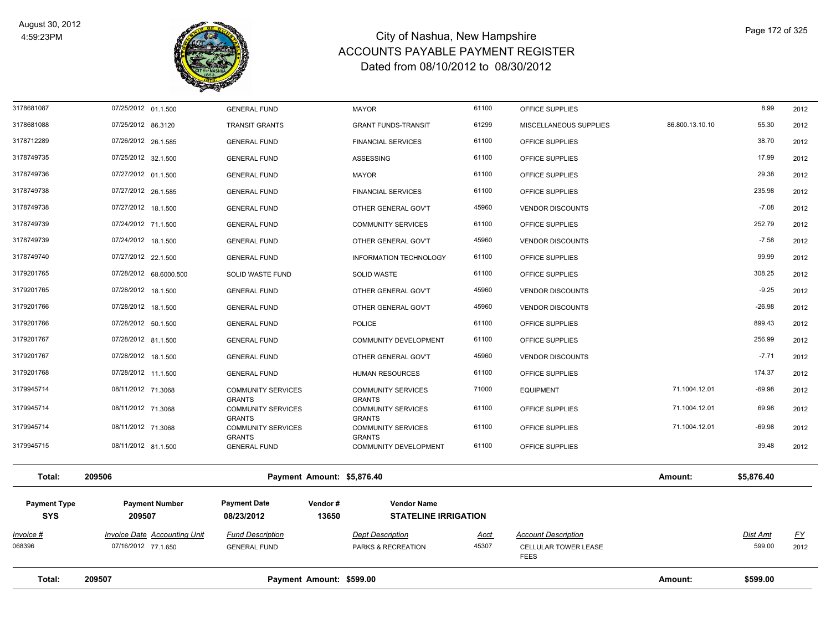

| Total:              | 209507<br>Payment Amount: \$599.00  |                                            |                                            |             |                                     | Amount:         | \$599.00        |           |
|---------------------|-------------------------------------|--------------------------------------------|--------------------------------------------|-------------|-------------------------------------|-----------------|-----------------|-----------|
| 068396              | 07/16/2012 77.1.650                 | <b>GENERAL FUND</b>                        | PARKS & RECREATION                         | 45307       | CELLULAR TOWER LEASE<br><b>FEES</b> |                 | 599.00          | 2012      |
| $Invoice$ #         | <b>Invoice Date Accounting Unit</b> | <b>Fund Description</b>                    | <b>Dept Description</b>                    | <b>Acct</b> | <b>Account Description</b>          |                 | <b>Dist Amt</b> | <u>FY</u> |
| <b>SYS</b>          | 209507                              | 08/23/2012<br>13650                        | <b>STATELINE IRRIGATION</b>                |             |                                     |                 |                 |           |
| <b>Payment Type</b> | <b>Payment Number</b>               | <b>Payment Date</b><br>Vendor#             | <b>Vendor Name</b>                         |             |                                     |                 |                 |           |
| Total:              | 209506                              | Payment Amount: \$5,876.40                 |                                            |             |                                     | Amount:         | \$5,876.40      |           |
| 3179945715          | 08/11/2012 81.1.500                 | <b>GENERAL FUND</b>                        | COMMUNITY DEVELOPMENT                      | 61100       | OFFICE SUPPLIES                     |                 | 39.48           | 2012      |
| 3179945714          | 08/11/2012 71.3068                  | <b>COMMUNITY SERVICES</b><br><b>GRANTS</b> | <b>COMMUNITY SERVICES</b><br><b>GRANTS</b> | 61100       | OFFICE SUPPLIES                     | 71.1004.12.01   | $-69.98$        | 2012      |
| 3179945714          | 08/11/2012 71.3068                  | <b>COMMUNITY SERVICES</b><br><b>GRANTS</b> | <b>COMMUNITY SERVICES</b><br><b>GRANTS</b> | 61100       | OFFICE SUPPLIES                     | 71.1004.12.01   | 69.98           | 2012      |
| 3179945714          | 08/11/2012 71.3068                  | <b>COMMUNITY SERVICES</b><br><b>GRANTS</b> | <b>COMMUNITY SERVICES</b><br><b>GRANTS</b> | 71000       | <b>EQUIPMENT</b>                    | 71.1004.12.01   | $-69.98$        | 2012      |
| 3179201768          | 07/28/2012 11.1.500                 | <b>GENERAL FUND</b>                        | HUMAN RESOURCES                            | 61100       | OFFICE SUPPLIES                     |                 | 174.37          | 2012      |
| 3179201767          | 07/28/2012 18.1.500                 | <b>GENERAL FUND</b>                        | OTHER GENERAL GOV'T                        | 45960       | <b>VENDOR DISCOUNTS</b>             |                 | $-7.71$         | 2012      |
| 3179201767          | 07/28/2012 81.1.500                 | <b>GENERAL FUND</b>                        | COMMUNITY DEVELOPMENT                      | 61100       | OFFICE SUPPLIES                     |                 | 256.99          | 2012      |
| 3179201766          | 07/28/2012 50.1.500                 | <b>GENERAL FUND</b>                        | <b>POLICE</b>                              | 61100       | OFFICE SUPPLIES                     |                 | 899.43          | 2012      |
| 3179201766          | 07/28/2012 18.1.500                 | <b>GENERAL FUND</b>                        | OTHER GENERAL GOV'T                        | 45960       | <b>VENDOR DISCOUNTS</b>             |                 | $-26.98$        | 2012      |
| 3179201765          | 07/28/2012 18.1.500                 | <b>GENERAL FUND</b>                        | OTHER GENERAL GOV'T                        | 45960       | <b>VENDOR DISCOUNTS</b>             |                 | $-9.25$         | 2012      |
| 3179201765          | 07/28/2012 68.6000.500              | SOLID WASTE FUND                           | SOLID WASTE                                | 61100       | OFFICE SUPPLIES                     |                 | 308.25          | 2012      |
| 3178749740          | 07/27/2012 22.1.500                 | <b>GENERAL FUND</b>                        | <b>INFORMATION TECHNOLOGY</b>              | 61100       | OFFICE SUPPLIES                     |                 | 99.99           | 2012      |
| 3178749739          | 07/24/2012 18.1.500                 | <b>GENERAL FUND</b>                        | OTHER GENERAL GOV'T                        | 45960       | <b>VENDOR DISCOUNTS</b>             |                 | $-7.58$         | 2012      |
| 3178749739          | 07/24/2012 71.1.500                 | <b>GENERAL FUND</b>                        | <b>COMMUNITY SERVICES</b>                  | 61100       | OFFICE SUPPLIES                     |                 | 252.79          | 2012      |
| 3178749738          | 07/27/2012 18.1.500                 | <b>GENERAL FUND</b>                        | OTHER GENERAL GOV'T                        | 45960       | <b>VENDOR DISCOUNTS</b>             |                 | $-7.08$         | 2012      |
| 3178749738          | 07/27/2012 26.1.585                 | <b>GENERAL FUND</b>                        | <b>FINANCIAL SERVICES</b>                  | 61100       | OFFICE SUPPLIES                     |                 | 235.98          | 2012      |
| 3178749736          | 07/27/2012 01.1.500                 | <b>GENERAL FUND</b>                        | <b>MAYOR</b>                               | 61100       | OFFICE SUPPLIES                     |                 | 29.38           | 2012      |
| 3178749735          | 07/25/2012 32.1.500                 | <b>GENERAL FUND</b>                        | ASSESSING                                  | 61100       | OFFICE SUPPLIES                     |                 | 17.99           | 2012      |
| 3178712289          | 07/26/2012 26.1.585                 | <b>GENERAL FUND</b>                        | <b>FINANCIAL SERVICES</b>                  | 61100       | OFFICE SUPPLIES                     |                 | 38.70           | 2012      |
| 3178681088          | 07/25/2012 86.3120                  | <b>TRANSIT GRANTS</b>                      | <b>GRANT FUNDS-TRANSIT</b>                 | 61299       | MISCELLANEOUS SUPPLIES              | 86.800.13.10.10 | 55.30           | 2012      |
| 3178681087          | 07/25/2012 01.1.500                 | <b>GENERAL FUND</b>                        | <b>MAYOR</b>                               | 61100       | OFFICE SUPPLIES                     |                 | 8.99            | 2012      |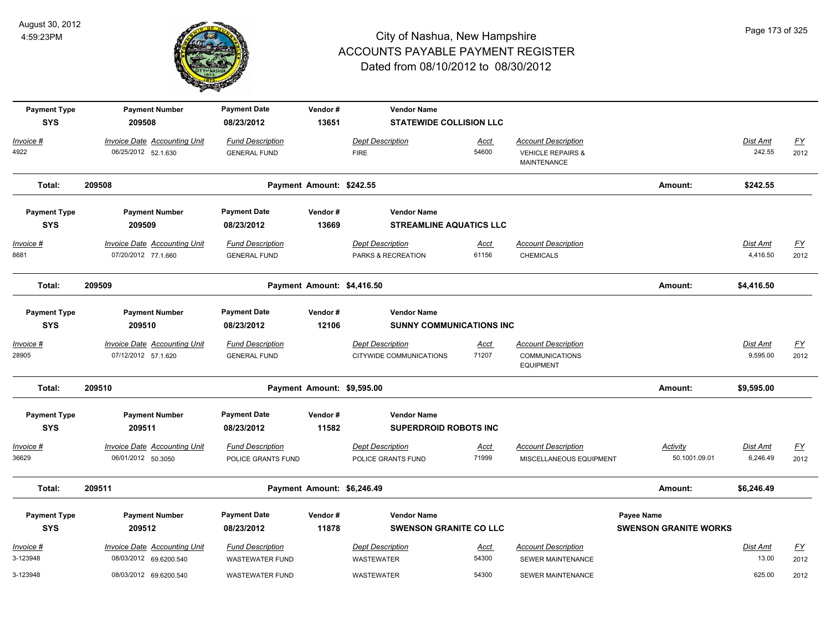

| <b>Payment Type</b><br><b>SYS</b> | <b>Payment Number</b><br>209508                            | <b>Payment Date</b><br>08/23/2012              | Vendor#<br>13651           | <b>Vendor Name</b><br><b>STATEWIDE COLLISION LLC</b>  |                      |                                                                         |                              |                      |                           |
|-----------------------------------|------------------------------------------------------------|------------------------------------------------|----------------------------|-------------------------------------------------------|----------------------|-------------------------------------------------------------------------|------------------------------|----------------------|---------------------------|
| Invoice #                         | Invoice Date Accounting Unit                               | <b>Fund Description</b>                        |                            | <b>Dept Description</b>                               | Acct                 | <b>Account Description</b>                                              |                              | Dist Amt             | $\underline{\mathsf{FY}}$ |
| 4922                              | 06/25/2012 52.1.630                                        | <b>GENERAL FUND</b>                            |                            | <b>FIRE</b>                                           | 54600                | <b>VEHICLE REPAIRS &amp;</b><br>MAINTENANCE                             |                              | 242.55               | 2012                      |
| Total:                            | 209508                                                     |                                                | Payment Amount: \$242.55   |                                                       |                      |                                                                         | Amount:                      | \$242.55             |                           |
| <b>Payment Type</b>               | <b>Payment Number</b>                                      | <b>Payment Date</b>                            | Vendor#                    | <b>Vendor Name</b>                                    |                      |                                                                         |                              |                      |                           |
| <b>SYS</b>                        | 209509                                                     | 08/23/2012                                     | 13669                      | <b>STREAMLINE AQUATICS LLC</b>                        |                      |                                                                         |                              |                      |                           |
| $Invoice$ #<br>8681               | <b>Invoice Date Accounting Unit</b><br>07/20/2012 77.1.660 | <b>Fund Description</b><br><b>GENERAL FUND</b> |                            | <b>Dept Description</b><br>PARKS & RECREATION         | Acct<br>61156        | <b>Account Description</b><br><b>CHEMICALS</b>                          |                              | Dist Amt<br>4,416.50 | <u>FY</u><br>2012         |
| Total:                            | 209509                                                     |                                                | Payment Amount: \$4,416.50 |                                                       |                      |                                                                         | Amount:                      | \$4,416.50           |                           |
| <b>Payment Type</b><br><b>SYS</b> | <b>Payment Number</b><br>209510                            | <b>Payment Date</b><br>08/23/2012              | Vendor#<br>12106           | <b>Vendor Name</b><br><b>SUNNY COMMUNICATIONS INC</b> |                      |                                                                         |                              |                      |                           |
| Invoice #<br>28905                | <b>Invoice Date Accounting Unit</b><br>07/12/2012 57.1.620 | <b>Fund Description</b><br><b>GENERAL FUND</b> |                            | <b>Dept Description</b><br>CITYWIDE COMMUNICATIONS    | <u>Acct</u><br>71207 | <b>Account Description</b><br><b>COMMUNICATIONS</b><br><b>EQUIPMENT</b> |                              | Dist Amt<br>9,595.00 | $\underline{FY}$<br>2012  |
| Total:                            | 209510                                                     |                                                | Payment Amount: \$9,595.00 |                                                       |                      |                                                                         | Amount:                      | \$9,595.00           |                           |
| <b>Payment Type</b>               | <b>Payment Number</b>                                      | <b>Payment Date</b>                            | Vendor#                    | <b>Vendor Name</b>                                    |                      |                                                                         |                              |                      |                           |
| <b>SYS</b>                        | 209511                                                     | 08/23/2012                                     | 11582                      | <b>SUPERDROID ROBOTS INC</b>                          |                      |                                                                         |                              |                      |                           |
| Invoice #<br>36629                | <b>Invoice Date Accounting Unit</b><br>06/01/2012 50.3050  | <b>Fund Description</b><br>POLICE GRANTS FUND  |                            | <b>Dept Description</b><br>POLICE GRANTS FUND         | Acct<br>71999        | <b>Account Description</b><br>MISCELLANEOUS EQUIPMENT                   | Activity<br>50.1001.09.01    | Dist Amt<br>6,246.49 | EY<br>2012                |
| Total:                            | 209511                                                     |                                                | Payment Amount: \$6,246.49 |                                                       |                      |                                                                         | Amount:                      | \$6,246.49           |                           |
| <b>Payment Type</b>               | <b>Payment Number</b>                                      | <b>Payment Date</b>                            | Vendor#                    | <b>Vendor Name</b>                                    |                      |                                                                         | <b>Payee Name</b>            |                      |                           |
| <b>SYS</b>                        | 209512                                                     | 08/23/2012                                     | 11878                      | <b>SWENSON GRANITE CO LLC</b>                         |                      |                                                                         | <b>SWENSON GRANITE WORKS</b> |                      |                           |
| Invoice #                         | <b>Invoice Date Accounting Unit</b>                        | <b>Fund Description</b>                        |                            | <b>Dept Description</b>                               | <u>Acct</u>          | <b>Account Description</b>                                              |                              | Dist Amt             | $\underline{FY}$          |
| 3-123948                          | 08/03/2012 69.6200.540                                     | <b>WASTEWATER FUND</b>                         |                            | <b>WASTEWATER</b>                                     | 54300                | <b>SEWER MAINTENANCE</b>                                                |                              | 13.00                | 2012                      |
| 3-123948                          | 08/03/2012 69.6200.540                                     | <b>WASTEWATER FUND</b>                         |                            | <b>WASTEWATER</b>                                     | 54300                | SEWER MAINTENANCE                                                       |                              | 625.00               | 2012                      |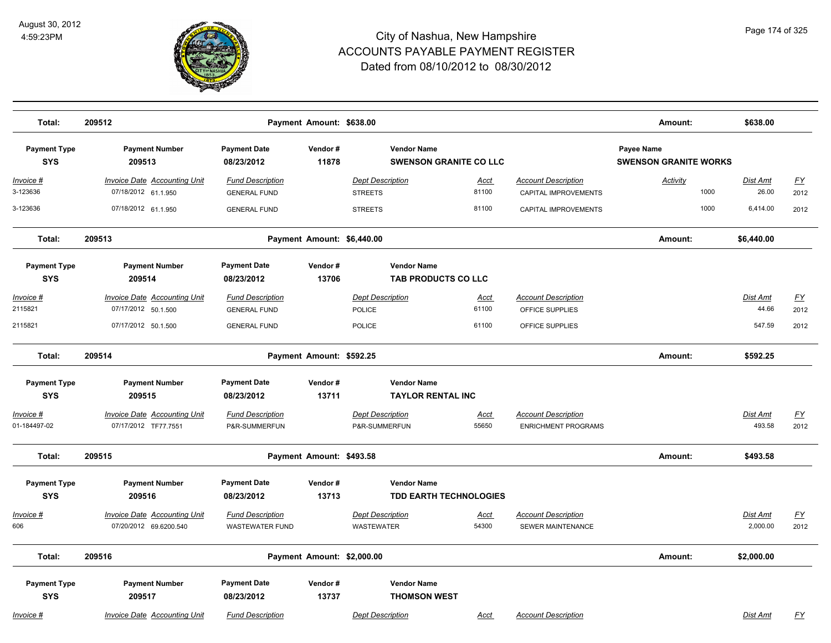

| Total:                            | 209512                                                     |                                                | Payment Amount: \$638.00   |                                                     |               |                                                    | Amount:                                    | \$638.00                 |                           |
|-----------------------------------|------------------------------------------------------------|------------------------------------------------|----------------------------|-----------------------------------------------------|---------------|----------------------------------------------------|--------------------------------------------|--------------------------|---------------------------|
| <b>Payment Type</b><br><b>SYS</b> | <b>Payment Number</b><br>209513                            | <b>Payment Date</b><br>08/23/2012              | Vendor#<br>11878           | <b>Vendor Name</b><br><b>SWENSON GRANITE CO LLC</b> |               |                                                    | Payee Name<br><b>SWENSON GRANITE WORKS</b> |                          |                           |
| <u> Invoice #</u><br>3-123636     | <b>Invoice Date Accounting Unit</b><br>07/18/2012 61.1.950 | <b>Fund Description</b><br><b>GENERAL FUND</b> |                            | <b>Dept Description</b><br><b>STREETS</b>           | Acct<br>81100 | <b>Account Description</b><br>CAPITAL IMPROVEMENTS | <b>Activity</b><br>1000                    | <b>Dist Amt</b><br>26.00 | <u>FY</u><br>2012         |
| 3-123636                          | 07/18/2012 61.1.950                                        | <b>GENERAL FUND</b>                            |                            | <b>STREETS</b>                                      | 81100         | CAPITAL IMPROVEMENTS                               | 1000                                       | 6,414.00                 | 2012                      |
| Total:                            | 209513                                                     |                                                | Payment Amount: \$6,440.00 |                                                     |               |                                                    | Amount:                                    | \$6,440.00               |                           |
| <b>Payment Type</b><br><b>SYS</b> | <b>Payment Number</b><br>209514                            | <b>Payment Date</b><br>08/23/2012              | Vendor#<br>13706           | <b>Vendor Name</b><br>TAB PRODUCTS CO LLC           |               |                                                    |                                            |                          |                           |
| Invoice #                         | <b>Invoice Date Accounting Unit</b>                        | <b>Fund Description</b>                        |                            | <b>Dept Description</b>                             | Acct          | <b>Account Description</b>                         |                                            | <b>Dist Amt</b>          | $\underline{\mathsf{FY}}$ |
| 2115821                           | 07/17/2012 50.1.500                                        | <b>GENERAL FUND</b>                            |                            | <b>POLICE</b>                                       | 61100         | OFFICE SUPPLIES                                    |                                            | 44.66                    | 2012                      |
| 2115821                           | 07/17/2012 50.1.500                                        | <b>GENERAL FUND</b>                            |                            | POLICE                                              | 61100         | OFFICE SUPPLIES                                    |                                            | 547.59                   | 2012                      |
| Total:                            | 209514                                                     |                                                | Payment Amount: \$592.25   |                                                     |               |                                                    | Amount:                                    | \$592.25                 |                           |
| <b>Payment Type</b>               | <b>Payment Number</b>                                      | <b>Payment Date</b>                            | Vendor#                    | <b>Vendor Name</b>                                  |               |                                                    |                                            |                          |                           |
| <b>SYS</b>                        | 209515                                                     | 08/23/2012                                     | 13711                      | <b>TAYLOR RENTAL INC</b>                            |               |                                                    |                                            |                          |                           |
| Invoice #                         | <b>Invoice Date Accounting Unit</b>                        | <b>Fund Description</b>                        |                            | <b>Dept Description</b>                             | Acct          | <b>Account Description</b>                         |                                            | Dist Amt                 | $\underline{\mathsf{FY}}$ |
| 01-184497-02                      | 07/17/2012 TF77.7551                                       | P&R-SUMMERFUN                                  |                            | P&R-SUMMERFUN                                       | 55650         | <b>ENRICHMENT PROGRAMS</b>                         |                                            | 493.58                   | 2012                      |
| Total:                            | 209515                                                     |                                                | Payment Amount: \$493.58   |                                                     |               |                                                    | Amount:                                    | \$493.58                 |                           |
| <b>Payment Type</b>               | <b>Payment Number</b>                                      | <b>Payment Date</b>                            | Vendor#                    | <b>Vendor Name</b>                                  |               |                                                    |                                            |                          |                           |
| <b>SYS</b>                        | 209516                                                     | 08/23/2012                                     | 13713                      | <b>TDD EARTH TECHNOLOGIES</b>                       |               |                                                    |                                            |                          |                           |
| <u> Invoice #</u>                 | <b>Invoice Date Accounting Unit</b>                        | <b>Fund Description</b>                        |                            | <b>Dept Description</b>                             | <u>Acct</u>   | <b>Account Description</b>                         |                                            | Dist Amt                 | <u>FY</u>                 |
| 606                               | 07/20/2012 69.6200.540                                     | <b>WASTEWATER FUND</b>                         |                            | <b>WASTEWATER</b>                                   | 54300         | SEWER MAINTENANCE                                  |                                            | 2,000.00                 | 2012                      |
| Total:                            | 209516                                                     |                                                | Payment Amount: \$2,000.00 |                                                     |               |                                                    | Amount:                                    | \$2,000.00               |                           |
| <b>Payment Type</b>               | <b>Payment Number</b>                                      | <b>Payment Date</b>                            | Vendor#                    | <b>Vendor Name</b>                                  |               |                                                    |                                            |                          |                           |
| <b>SYS</b>                        | 209517                                                     | 08/23/2012                                     | 13737                      | <b>THOMSON WEST</b>                                 |               |                                                    |                                            |                          |                           |
| Invoice #                         | <b>Invoice Date Accounting Unit</b>                        | <b>Fund Description</b>                        |                            | <b>Dept Description</b>                             | Acct          | <b>Account Description</b>                         |                                            | Dist Amt                 | <u>FY</u>                 |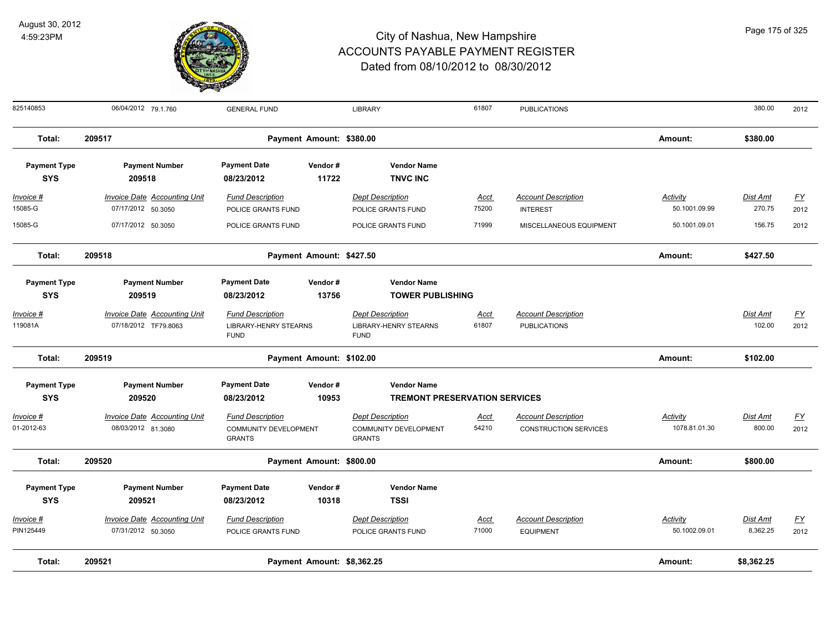

| Page 175 of 325 |  |
|-----------------|--|
|                 |  |
|                 |  |

| 825140853                         | 06/04/2012 79.1.760                 | <b>GENERAL FUND</b>                           |                            | <b>LIBRARY</b>                                | 61807       | <b>PUBLICATIONS</b>          |                 | 380.00          | 2012      |
|-----------------------------------|-------------------------------------|-----------------------------------------------|----------------------------|-----------------------------------------------|-------------|------------------------------|-----------------|-----------------|-----------|
| Total:                            | 209517                              |                                               | Payment Amount: \$380.00   |                                               |             |                              | Amount:         | \$380.00        |           |
| <b>Payment Type</b><br><b>SYS</b> | <b>Payment Number</b><br>209518     | <b>Payment Date</b><br>08/23/2012             | Vendor#<br>11722           | <b>Vendor Name</b><br><b>TNVC INC</b>         |             |                              |                 |                 |           |
| $Invoice$ #                       | <b>Invoice Date Accounting Unit</b> | <b>Fund Description</b>                       |                            | <b>Dept Description</b>                       | <u>Acct</u> | <b>Account Description</b>   | <b>Activity</b> | <b>Dist Amt</b> | <u>FY</u> |
| 15085-G                           | 07/17/2012 50.3050                  | POLICE GRANTS FUND                            |                            | POLICE GRANTS FUND                            | 75200       | <b>INTEREST</b>              | 50.1001.09.99   | 270.75          | 2012      |
| 15085-G                           | 07/17/2012 50.3050                  | POLICE GRANTS FUND                            |                            | POLICE GRANTS FUND                            | 71999       | MISCELLANEOUS EQUIPMENT      | 50.1001.09.01   | 156.75          | 2012      |
| Total:                            | 209518                              |                                               | Payment Amount: \$427.50   |                                               |             |                              | Amount:         | \$427.50        |           |
| <b>Payment Type</b><br><b>SYS</b> | <b>Payment Number</b><br>209519     | <b>Payment Date</b><br>08/23/2012             | Vendor#<br>13756           | <b>Vendor Name</b><br><b>TOWER PUBLISHING</b> |             |                              |                 |                 |           |
| $Invoice$ #                       | <b>Invoice Date Accounting Unit</b> | <b>Fund Description</b>                       |                            | <b>Dept Description</b>                       | <u>Acct</u> | <b>Account Description</b>   |                 | Dist Amt        | <u>FY</u> |
| 119081A                           | 07/18/2012 TF79.8063                | <b>LIBRARY-HENRY STEARNS</b><br><b>FUND</b>   |                            | LIBRARY-HENRY STEARNS<br><b>FUND</b>          | 61807       | <b>PUBLICATIONS</b>          |                 | 102.00          | 2012      |
| Total:                            | 209519                              |                                               | Payment Amount: \$102.00   |                                               |             |                              | Amount:         | \$102.00        |           |
| <b>Payment Type</b>               | <b>Payment Number</b>               | <b>Payment Date</b>                           | Vendor#                    | <b>Vendor Name</b>                            |             |                              |                 |                 |           |
| <b>SYS</b>                        | 209520                              | 08/23/2012                                    | 10953                      | <b>TREMONT PRESERVATION SERVICES</b>          |             |                              |                 |                 |           |
| Invoice #                         | <b>Invoice Date Accounting Unit</b> | <b>Fund Description</b>                       |                            | <b>Dept Description</b>                       | <u>Acct</u> | <b>Account Description</b>   | <b>Activity</b> | Dist Amt        | <u>FY</u> |
| 01-2012-63                        | 08/03/2012 81.3080                  | <b>COMMUNITY DEVELOPMENT</b><br><b>GRANTS</b> |                            | COMMUNITY DEVELOPMENT<br><b>GRANTS</b>        | 54210       | <b>CONSTRUCTION SERVICES</b> | 1078.81.01.30   | 800.00          | 2012      |
| Total:                            | 209520                              |                                               | Payment Amount: \$800.00   |                                               |             |                              | Amount:         | \$800.00        |           |
| <b>Payment Type</b>               | <b>Payment Number</b>               | <b>Payment Date</b>                           | Vendor#                    | <b>Vendor Name</b>                            |             |                              |                 |                 |           |
| <b>SYS</b>                        | 209521                              | 08/23/2012                                    | 10318                      | <b>TSSI</b>                                   |             |                              |                 |                 |           |
| Invoice #                         | <b>Invoice Date Accounting Unit</b> | <b>Fund Description</b>                       |                            | <b>Dept Description</b>                       | <u>Acct</u> | <b>Account Description</b>   | <b>Activity</b> | Dist Amt        | <u>FY</u> |
| PIN125449                         | 07/31/2012 50.3050                  | POLICE GRANTS FUND                            |                            | POLICE GRANTS FUND                            | 71000       | <b>EQUIPMENT</b>             | 50.1002.09.01   | 8,362.25        | 2012      |
| Total:                            | 209521                              |                                               | Payment Amount: \$8,362.25 |                                               |             |                              | Amount:         | \$8,362.25      |           |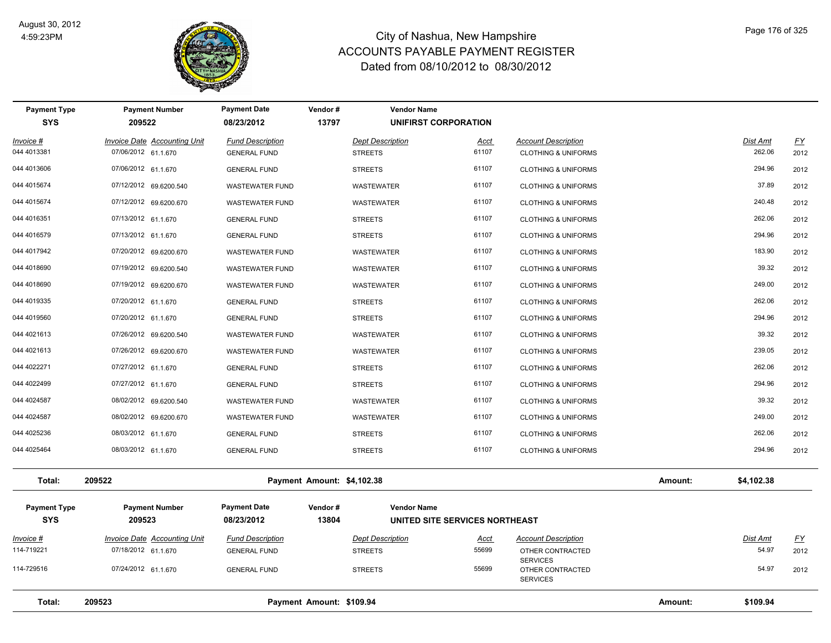

| <b>Payment Type</b><br><b>SYS</b> | <b>Payment Number</b><br>209522     | <b>Payment Date</b><br>08/23/2012 | Vendor#<br>13797           | <b>Vendor Name</b>      | UNIFIRST CORPORATION           |                                     |         |                 |           |
|-----------------------------------|-------------------------------------|-----------------------------------|----------------------------|-------------------------|--------------------------------|-------------------------------------|---------|-----------------|-----------|
| Invoice #                         | <b>Invoice Date Accounting Unit</b> | <b>Fund Description</b>           |                            | <b>Dept Description</b> | <b>Acct</b>                    | <b>Account Description</b>          |         | Dist Amt        | <u>FY</u> |
| 044 4013381                       | 07/06/2012 61.1.670                 | <b>GENERAL FUND</b>               |                            | <b>STREETS</b>          | 61107                          | <b>CLOTHING &amp; UNIFORMS</b>      |         | 262.06          | 2012      |
| 044 4013606                       | 07/06/2012 61.1.670                 | <b>GENERAL FUND</b>               |                            | <b>STREETS</b>          | 61107                          | <b>CLOTHING &amp; UNIFORMS</b>      |         | 294.96          | 2012      |
| 044 4015674                       | 07/12/2012 69.6200.540              | <b>WASTEWATER FUND</b>            |                            | <b>WASTEWATER</b>       | 61107                          | <b>CLOTHING &amp; UNIFORMS</b>      |         | 37.89           | 2012      |
| 044 4015674                       | 07/12/2012 69.6200.670              | <b>WASTEWATER FUND</b>            |                            | <b>WASTEWATER</b>       | 61107                          | <b>CLOTHING &amp; UNIFORMS</b>      |         | 240.48          | 2012      |
| 044 4016351                       | 07/13/2012 61.1.670                 | <b>GENERAL FUND</b>               |                            | <b>STREETS</b>          | 61107                          | <b>CLOTHING &amp; UNIFORMS</b>      |         | 262.06          | 2012      |
| 044 4016579                       | 07/13/2012 61.1.670                 | <b>GENERAL FUND</b>               |                            | <b>STREETS</b>          | 61107                          | <b>CLOTHING &amp; UNIFORMS</b>      |         | 294.96          | 2012      |
| 044 4017942                       | 07/20/2012 69.6200.670              | <b>WASTEWATER FUND</b>            |                            | WASTEWATER              | 61107                          | <b>CLOTHING &amp; UNIFORMS</b>      |         | 183.90          | 2012      |
| 044 4018690                       | 07/19/2012 69.6200.540              | <b>WASTEWATER FUND</b>            |                            | WASTEWATER              | 61107                          | <b>CLOTHING &amp; UNIFORMS</b>      |         | 39.32           | 2012      |
| 044 4018690                       | 07/19/2012 69.6200.670              | WASTEWATER FUND                   |                            | WASTEWATER              | 61107                          | <b>CLOTHING &amp; UNIFORMS</b>      |         | 249.00          | 2012      |
| 044 4019335                       | 07/20/2012 61.1.670                 | <b>GENERAL FUND</b>               |                            | <b>STREETS</b>          | 61107                          | <b>CLOTHING &amp; UNIFORMS</b>      |         | 262.06          | 2012      |
| 044 4019560                       | 07/20/2012 61.1.670                 | <b>GENERAL FUND</b>               |                            | <b>STREETS</b>          | 61107                          | <b>CLOTHING &amp; UNIFORMS</b>      |         | 294.96          | 2012      |
| 044 4021613                       | 07/26/2012 69.6200.540              | WASTEWATER FUND                   |                            | WASTEWATER              | 61107                          | <b>CLOTHING &amp; UNIFORMS</b>      |         | 39.32           | 2012      |
| 044 4021613                       | 07/26/2012 69.6200.670              | <b>WASTEWATER FUND</b>            |                            | <b>WASTEWATER</b>       | 61107                          | <b>CLOTHING &amp; UNIFORMS</b>      |         | 239.05          | 2012      |
| 044 4022271                       | 07/27/2012 61.1.670                 | <b>GENERAL FUND</b>               |                            | <b>STREETS</b>          | 61107                          | <b>CLOTHING &amp; UNIFORMS</b>      |         | 262.06          | 2012      |
| 044 4022499                       | 07/27/2012 61.1.670                 | <b>GENERAL FUND</b>               |                            | <b>STREETS</b>          | 61107                          | <b>CLOTHING &amp; UNIFORMS</b>      |         | 294.96          | 2012      |
| 044 4024587                       | 08/02/2012 69.6200.540              | <b>WASTEWATER FUND</b>            |                            | WASTEWATER              | 61107                          | <b>CLOTHING &amp; UNIFORMS</b>      |         | 39.32           | 2012      |
| 044 4024587                       | 08/02/2012 69.6200.670              | <b>WASTEWATER FUND</b>            |                            | WASTEWATER              | 61107                          | <b>CLOTHING &amp; UNIFORMS</b>      |         | 249.00          | 2012      |
| 044 4025236                       | 08/03/2012 61.1.670                 | <b>GENERAL FUND</b>               |                            | <b>STREETS</b>          | 61107                          | <b>CLOTHING &amp; UNIFORMS</b>      |         | 262.06          | 2012      |
| 044 4025464                       | 08/03/2012 61.1.670                 | <b>GENERAL FUND</b>               |                            | <b>STREETS</b>          | 61107                          | <b>CLOTHING &amp; UNIFORMS</b>      |         | 294.96          | 2012      |
| Total:                            | 209522                              |                                   | Payment Amount: \$4,102.38 |                         |                                |                                     | Amount: | \$4,102.38      |           |
| <b>Payment Type</b>               | <b>Payment Number</b>               | <b>Payment Date</b>               | Vendor#                    | <b>Vendor Name</b>      |                                |                                     |         |                 |           |
| <b>SYS</b>                        | 209523                              | 08/23/2012                        | 13804                      |                         | UNITED SITE SERVICES NORTHEAST |                                     |         |                 |           |
| <b>Invoice #</b>                  | <b>Invoice Date Accounting Unit</b> | <b>Fund Description</b>           |                            | <b>Dept Description</b> | <u>Acct</u>                    | <b>Account Description</b>          |         | <b>Dist Amt</b> | <u>FY</u> |
| 114-719221                        | 07/18/2012 61.1.670                 | <b>GENERAL FUND</b>               |                            | <b>STREETS</b>          | 55699                          | OTHER CONTRACTED<br><b>SERVICES</b> |         | 54.97           | 2012      |
| 114-729516                        | 07/24/2012 61.1.670                 | <b>GENERAL FUND</b>               |                            | <b>STREETS</b>          | 55699                          | OTHER CONTRACTED<br><b>SERVICES</b> |         | 54.97           | 2012      |
| Total:                            | 209523                              |                                   | Payment Amount: \$109.94   |                         |                                |                                     | Amount: | \$109.94        |           |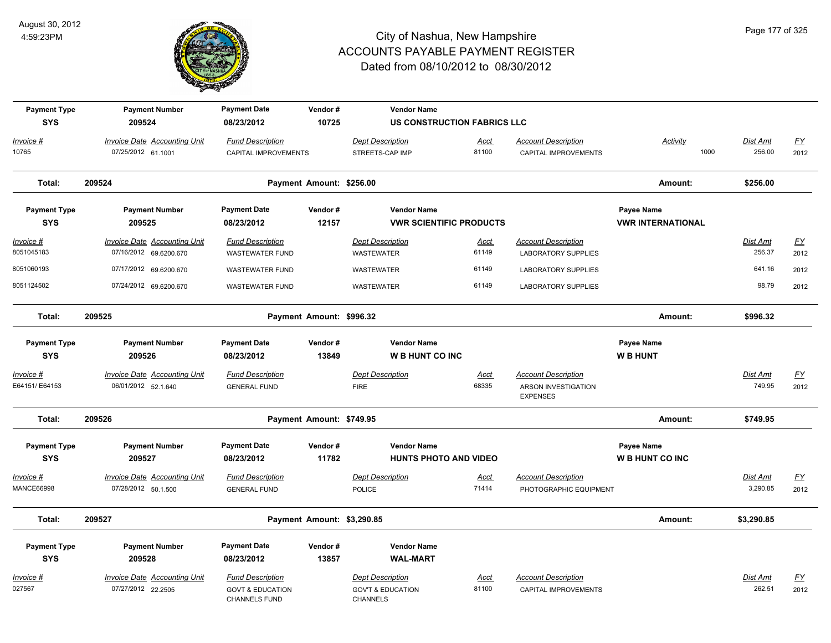

| <b>Payment Type</b><br><b>SYS</b> | <b>Payment Number</b><br>209524                               | <b>Payment Date</b><br>08/23/2012                                              | Vendor#<br>10725           | <b>Vendor Name</b><br><b>US CONSTRUCTION FABRICS LLC</b>                   |                      |                                                                      |                                        |                           |                                   |
|-----------------------------------|---------------------------------------------------------------|--------------------------------------------------------------------------------|----------------------------|----------------------------------------------------------------------------|----------------------|----------------------------------------------------------------------|----------------------------------------|---------------------------|-----------------------------------|
| Invoice #<br>10765                | Invoice Date Accounting Unit<br>07/25/2012 61.1001            | <b>Fund Description</b><br>CAPITAL IMPROVEMENTS                                |                            | <b>Dept Description</b><br>STREETS-CAP IMP                                 | Acct<br>81100        | <b>Account Description</b><br>CAPITAL IMPROVEMENTS                   | Activity<br>1000                       | Dist Amt<br>256.00        | <u>FY</u><br>2012                 |
| Total:                            | 209524                                                        |                                                                                | Payment Amount: \$256.00   |                                                                            |                      |                                                                      | Amount:                                | \$256.00                  |                                   |
| <b>Payment Type</b><br><b>SYS</b> | <b>Payment Number</b><br>209525                               | <b>Payment Date</b><br>08/23/2012                                              | Vendor#<br>12157           | <b>Vendor Name</b><br><b>VWR SCIENTIFIC PRODUCTS</b>                       |                      |                                                                      | Payee Name<br><b>VWR INTERNATIONAL</b> |                           |                                   |
| $Invoice$ #<br>8051045183         | <b>Invoice Date Accounting Unit</b><br>07/16/2012 69.6200.670 | <b>Fund Description</b><br><b>WASTEWATER FUND</b>                              |                            | <b>Dept Description</b><br>WASTEWATER                                      | <u>Acct</u><br>61149 | <b>Account Description</b><br><b>LABORATORY SUPPLIES</b>             |                                        | <b>Dist Amt</b><br>256.37 | <u>FY</u><br>2012                 |
| 8051060193                        | 07/17/2012 69.6200.670                                        | <b>WASTEWATER FUND</b>                                                         |                            | <b>WASTEWATER</b>                                                          | 61149                | <b>LABORATORY SUPPLIES</b>                                           |                                        | 641.16                    | 2012                              |
| 8051124502                        | 07/24/2012 69.6200.670                                        | <b>WASTEWATER FUND</b>                                                         |                            | WASTEWATER                                                                 | 61149                | <b>LABORATORY SUPPLIES</b>                                           |                                        | 98.79                     | 2012                              |
| Total:                            | 209525                                                        |                                                                                | Payment Amount: \$996.32   |                                                                            |                      |                                                                      | Amount:                                | \$996.32                  |                                   |
| <b>Payment Type</b><br><b>SYS</b> | <b>Payment Number</b><br>209526                               | <b>Payment Date</b><br>08/23/2012                                              | Vendor#<br>13849           | <b>Vendor Name</b><br><b>W B HUNT CO INC</b>                               |                      |                                                                      | Payee Name<br><b>WB HUNT</b>           |                           |                                   |
| Invoice #<br>E64151/ E64153       | <b>Invoice Date Accounting Unit</b><br>06/01/2012 52.1.640    | <b>Fund Description</b><br><b>GENERAL FUND</b>                                 |                            | <b>Dept Description</b><br><b>FIRE</b>                                     | Acct<br>68335        | <b>Account Description</b><br>ARSON INVESTIGATION<br><b>EXPENSES</b> |                                        | Dist Amt<br>749.95        | EY<br>2012                        |
| Total:                            | 209526                                                        |                                                                                | Payment Amount: \$749.95   |                                                                            |                      |                                                                      | Amount:                                | \$749.95                  |                                   |
| <b>Payment Type</b><br><b>SYS</b> | <b>Payment Number</b><br>209527                               | <b>Payment Date</b><br>08/23/2012                                              | Vendor#<br>11782           | <b>Vendor Name</b><br><b>HUNTS PHOTO AND VIDEO</b>                         |                      |                                                                      | Payee Name<br><b>W B HUNT CO INC</b>   |                           |                                   |
| Invoice #<br><b>MANCE66998</b>    | <b>Invoice Date Accounting Unit</b><br>07/28/2012 50.1.500    | <b>Fund Description</b><br><b>GENERAL FUND</b>                                 |                            | <b>Dept Description</b><br><b>POLICE</b>                                   | Acct<br>71414        | <b>Account Description</b><br>PHOTOGRAPHIC EQUIPMENT                 |                                        | Dist Amt<br>3,290.85      | $\underline{\mathsf{FY}}$<br>2012 |
| Total:                            | 209527                                                        |                                                                                | Payment Amount: \$3,290.85 |                                                                            |                      |                                                                      | Amount:                                | \$3,290.85                |                                   |
| <b>Payment Type</b><br><b>SYS</b> | <b>Payment Number</b><br>209528                               | <b>Payment Date</b><br>08/23/2012                                              | Vendor#<br>13857           | <b>Vendor Name</b><br><b>WAL-MART</b>                                      |                      |                                                                      |                                        |                           |                                   |
| Invoice #<br>027567               | Invoice Date Accounting Unit<br>07/27/2012 22.2505            | <b>Fund Description</b><br><b>GOVT &amp; EDUCATION</b><br><b>CHANNELS FUND</b> |                            | <b>Dept Description</b><br><b>GOV'T &amp; EDUCATION</b><br><b>CHANNELS</b> | Acct<br>81100        | <b>Account Description</b><br>CAPITAL IMPROVEMENTS                   |                                        | Dist Amt<br>262.51        | $\underline{FY}$<br>2012          |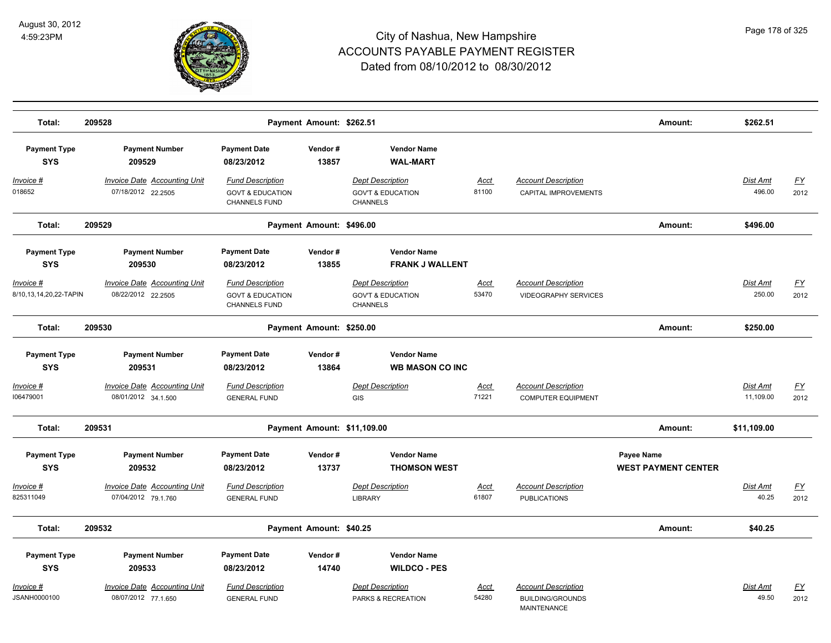

| Total:                                                                   | 209528                                                                                        |                                                                                                              | Payment Amount: \$262.51 |                                                                                                                            |                      |                                                                             | Amount:                                  | \$262.51                     |                   |
|--------------------------------------------------------------------------|-----------------------------------------------------------------------------------------------|--------------------------------------------------------------------------------------------------------------|--------------------------|----------------------------------------------------------------------------------------------------------------------------|----------------------|-----------------------------------------------------------------------------|------------------------------------------|------------------------------|-------------------|
| <b>Payment Type</b><br><b>SYS</b>                                        | <b>Payment Number</b><br>209529                                                               | <b>Payment Date</b><br>08/23/2012                                                                            | Vendor#<br>13857         | <b>Vendor Name</b><br><b>WAL-MART</b>                                                                                      |                      |                                                                             |                                          |                              |                   |
| Invoice #<br>018652                                                      | <b>Invoice Date Accounting Unit</b><br>07/18/2012 22.2505                                     | <b>Fund Description</b><br><b>GOVT &amp; EDUCATION</b><br><b>CHANNELS FUND</b>                               |                          | <b>Dept Description</b><br><b>GOV'T &amp; EDUCATION</b><br><b>CHANNELS</b>                                                 | Acct<br>81100        | <b>Account Description</b><br>CAPITAL IMPROVEMENTS                          |                                          | Dist Amt<br>496.00           | <u>FY</u><br>2012 |
| Total:                                                                   | 209529                                                                                        |                                                                                                              | Payment Amount: \$496.00 |                                                                                                                            |                      |                                                                             | Amount:                                  | \$496.00                     |                   |
| <b>Payment Type</b><br><b>SYS</b><br>Invoice #<br>8/10,13,14,20,22-TAPIN | <b>Payment Number</b><br>209530<br><b>Invoice Date Accounting Unit</b><br>08/22/2012 22.2505  | <b>Payment Date</b><br>08/23/2012<br><b>Fund Description</b><br><b>GOVT &amp; EDUCATION</b><br>CHANNELS FUND | Vendor#<br>13855         | <b>Vendor Name</b><br><b>FRANK J WALLENT</b><br><b>Dept Description</b><br><b>GOV'T &amp; EDUCATION</b><br><b>CHANNELS</b> | <b>Acct</b><br>53470 | <b>Account Description</b><br><b>VIDEOGRAPHY SERVICES</b>                   |                                          | Dist Amt<br>250.00           | <u>FY</u><br>2012 |
| Total:                                                                   | 209530                                                                                        |                                                                                                              | Payment Amount: \$250.00 |                                                                                                                            |                      |                                                                             | Amount:                                  | \$250.00                     |                   |
| <b>Payment Type</b><br><b>SYS</b><br>Invoice #<br>106479001              | <b>Payment Number</b><br>209531<br><b>Invoice Date Accounting Unit</b><br>08/01/2012 34.1.500 | <b>Payment Date</b><br>08/23/2012<br><b>Fund Description</b><br><b>GENERAL FUND</b>                          | Vendor#<br>13864         | <b>Vendor Name</b><br><b>WB MASON CO INC</b><br><b>Dept Description</b><br>GIS                                             | Acct<br>71221        | <b>Account Description</b><br><b>COMPUTER EQUIPMENT</b>                     |                                          | <b>Dist Amt</b><br>11,109.00 | <u>FY</u><br>2012 |
| Total:                                                                   | 209531                                                                                        |                                                                                                              |                          | Payment Amount: \$11,109.00                                                                                                |                      |                                                                             | Amount:                                  | \$11,109.00                  |                   |
| <b>Payment Type</b><br><b>SYS</b>                                        | <b>Payment Number</b><br>209532                                                               | <b>Payment Date</b><br>08/23/2012                                                                            | Vendor#<br>13737         | <b>Vendor Name</b><br><b>THOMSON WEST</b>                                                                                  |                      |                                                                             | Payee Name<br><b>WEST PAYMENT CENTER</b> |                              |                   |
| Invoice #<br>825311049                                                   | <b>Invoice Date Accounting Unit</b><br>07/04/2012 79.1.760                                    | <b>Fund Description</b><br><b>GENERAL FUND</b>                                                               |                          | <b>Dept Description</b><br><b>LIBRARY</b>                                                                                  | <b>Acct</b><br>61807 | <b>Account Description</b><br><b>PUBLICATIONS</b>                           |                                          | Dist Amt<br>40.25            | <u>FY</u><br>2012 |
| Total:                                                                   | 209532                                                                                        |                                                                                                              | Payment Amount: \$40.25  |                                                                                                                            |                      |                                                                             | Amount:                                  | \$40.25                      |                   |
| <b>Payment Type</b><br><b>SYS</b>                                        | <b>Payment Number</b><br>209533                                                               | <b>Payment Date</b><br>08/23/2012                                                                            | Vendor#<br>14740         | <b>Vendor Name</b><br><b>WILDCO - PES</b>                                                                                  |                      |                                                                             |                                          |                              |                   |
| Invoice #<br>JSANH0000100                                                | <b>Invoice Date Accounting Unit</b><br>08/07/2012 77.1.650                                    | <b>Fund Description</b><br><b>GENERAL FUND</b>                                                               |                          | <b>Dept Description</b><br>PARKS & RECREATION                                                                              | <b>Acct</b><br>54280 | <b>Account Description</b><br><b>BUILDING/GROUNDS</b><br><b>MAINTENANCE</b> |                                          | Dist Amt<br>49.50            | <u>FY</u><br>2012 |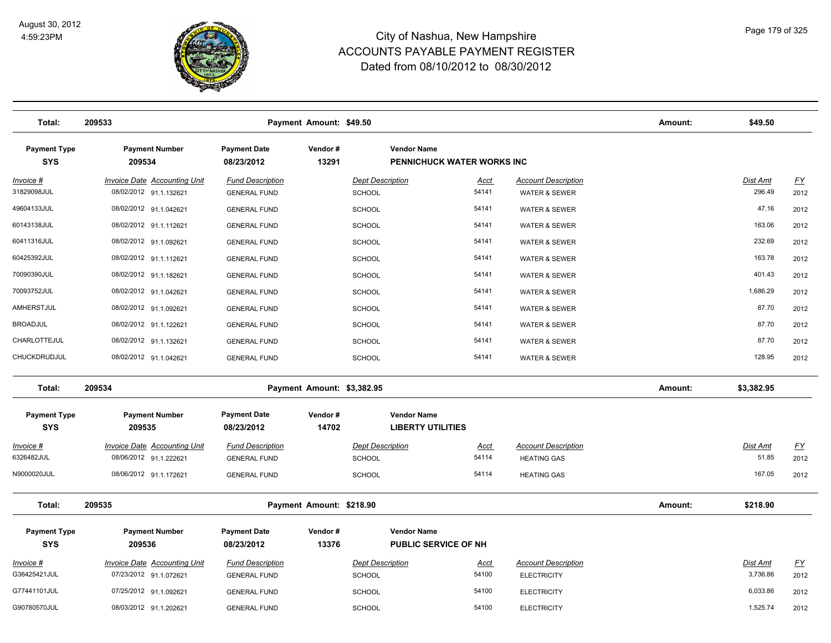

| Total:                            | 209533                                                        |                                                | Payment Amount: \$49.50    |                                          |                             |                                                  | Amount: | \$49.50                     |                                   |
|-----------------------------------|---------------------------------------------------------------|------------------------------------------------|----------------------------|------------------------------------------|-----------------------------|--------------------------------------------------|---------|-----------------------------|-----------------------------------|
| <b>Payment Type</b><br><b>SYS</b> | <b>Payment Number</b><br>209534                               | <b>Payment Date</b><br>08/23/2012              | Vendor#<br>13291           | <b>Vendor Name</b>                       | PENNICHUCK WATER WORKS INC  |                                                  |         |                             |                                   |
| Invoice #<br>31829098JUL          | <b>Invoice Date Accounting Unit</b><br>08/02/2012 91.1.132621 | <b>Fund Description</b><br><b>GENERAL FUND</b> |                            | <b>Dept Description</b><br><b>SCHOOL</b> | <u>Acct</u><br>54141        | <b>Account Description</b><br>WATER & SEWER      |         | Dist Amt<br>296.49          | $\underline{\mathsf{FY}}$<br>2012 |
| 49604133JUL                       | 08/02/2012 91.1.042621                                        | <b>GENERAL FUND</b>                            |                            | <b>SCHOOL</b>                            | 54141                       | <b>WATER &amp; SEWER</b>                         |         | 47.16                       | 2012                              |
| 60143138JUL                       | 08/02/2012 91.1.112621                                        | <b>GENERAL FUND</b>                            |                            | <b>SCHOOL</b>                            | 54141                       | <b>WATER &amp; SEWER</b>                         |         | 163.06                      | 2012                              |
| 60411316JUL                       | 08/02/2012 91.1.092621                                        | <b>GENERAL FUND</b>                            |                            | <b>SCHOOL</b>                            | 54141                       | <b>WATER &amp; SEWER</b>                         |         | 232.69                      | 2012                              |
| 60425392JUL                       | 08/02/2012 91.1.112621                                        | <b>GENERAL FUND</b>                            |                            | <b>SCHOOL</b>                            | 54141                       | <b>WATER &amp; SEWER</b>                         |         | 163.78                      | 2012                              |
| 70090390JUL                       | 08/02/2012 91.1.182621                                        | <b>GENERAL FUND</b>                            |                            | <b>SCHOOL</b>                            | 54141                       | <b>WATER &amp; SEWER</b>                         |         | 401.43                      | 2012                              |
| 70093752JUL                       | 08/02/2012 91.1.042621                                        | <b>GENERAL FUND</b>                            |                            | <b>SCHOOL</b>                            | 54141                       | <b>WATER &amp; SEWER</b>                         |         | 1,686.29                    | 2012                              |
| AMHERSTJUL                        | 08/02/2012 91.1.092621                                        | <b>GENERAL FUND</b>                            |                            | <b>SCHOOL</b>                            | 54141                       | WATER & SEWER                                    |         | 87.70                       | 2012                              |
| <b>BROADJUL</b>                   | 08/02/2012 91.1.122621                                        | <b>GENERAL FUND</b>                            |                            | SCHOOL                                   | 54141                       | <b>WATER &amp; SEWER</b>                         |         | 87.70                       | 2012                              |
| CHARLOTTEJUL                      | 08/02/2012 91.1.132621                                        | <b>GENERAL FUND</b>                            |                            | <b>SCHOOL</b>                            | 54141                       | <b>WATER &amp; SEWER</b>                         |         | 87.70                       | 2012                              |
| CHUCKDRUDJUL                      | 08/02/2012 91.1.042621                                        | <b>GENERAL FUND</b>                            |                            | <b>SCHOOL</b>                            | 54141                       | <b>WATER &amp; SEWER</b>                         |         | 128.95                      | 2012                              |
| Total:                            | 209534                                                        |                                                | Payment Amount: \$3,382.95 |                                          |                             |                                                  | Amount: | \$3,382.95                  |                                   |
| <b>Payment Type</b><br><b>SYS</b> | <b>Payment Number</b><br>209535                               | <b>Payment Date</b><br>08/23/2012              | Vendor#<br>14702           | <b>Vendor Name</b>                       | <b>LIBERTY UTILITIES</b>    |                                                  |         |                             |                                   |
| Invoice #<br>6326482JUL           | <b>Invoice Date Accounting Unit</b><br>08/06/2012 91.1.222621 | <b>Fund Description</b><br><b>GENERAL FUND</b> |                            | <b>Dept Description</b><br><b>SCHOOL</b> | <u>Acct</u><br>54114        | <b>Account Description</b><br><b>HEATING GAS</b> |         | <b>Dist Amt</b><br>51.85    | $\underline{FY}$<br>2012          |
| N9000020JUL                       | 08/06/2012 91.1.172621                                        | <b>GENERAL FUND</b>                            |                            | <b>SCHOOL</b>                            | 54114                       | <b>HEATING GAS</b>                               |         | 167.05                      | 2012                              |
| Total:                            | 209535                                                        |                                                | Payment Amount: \$218.90   |                                          |                             |                                                  | Amount: | \$218.90                    |                                   |
| <b>Payment Type</b><br><b>SYS</b> | <b>Payment Number</b><br>209536                               | <b>Payment Date</b><br>08/23/2012              | Vendor#<br>13376           | <b>Vendor Name</b>                       | <b>PUBLIC SERVICE OF NH</b> |                                                  |         |                             |                                   |
| Invoice #<br>G36425421JUL         | <b>Invoice Date Accounting Unit</b><br>07/23/2012 91.1.072621 | <b>Fund Description</b><br><b>GENERAL FUND</b> |                            | <b>Dept Description</b><br><b>SCHOOL</b> | <u>Acct</u><br>54100        | <b>Account Description</b><br><b>ELECTRICITY</b> |         | <b>Dist Amt</b><br>3,736.86 | <u>FY</u><br>2012                 |
| G77441101JUL                      | 07/25/2012 91.1.092621                                        | <b>GENERAL FUND</b>                            |                            | <b>SCHOOL</b>                            | 54100                       | <b>ELECTRICITY</b>                               |         | 6,033.86                    | 2012                              |
| G90780570JUL                      | 08/03/2012 91.1.202621                                        | <b>GENERAL FUND</b>                            |                            | <b>SCHOOL</b>                            | 54100                       | <b>ELECTRICITY</b>                               |         | 1,525.74                    | 2012                              |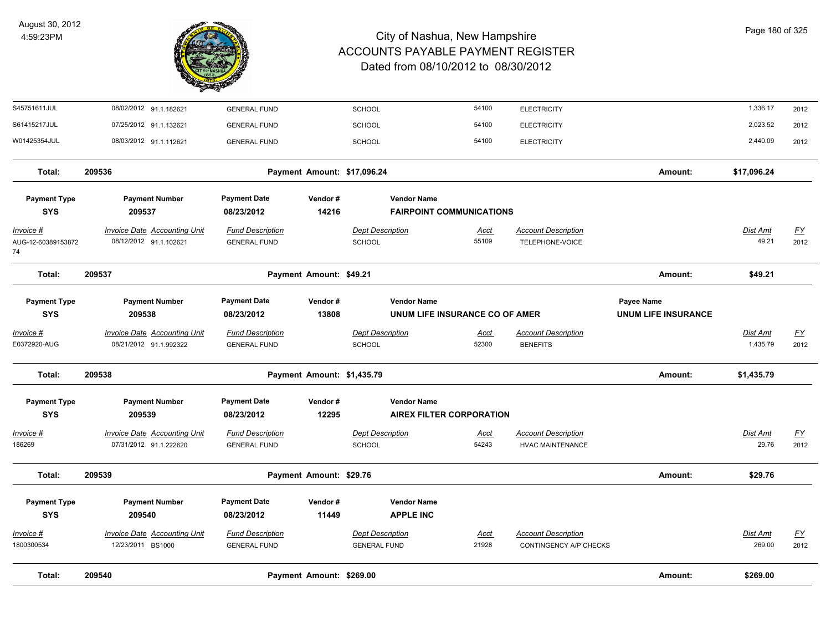

| Total:                                | 209540<br>Payment Amount: \$269.00                            |                                                                                                                |                  |                                                |                                                       |                                                       | Amount:                                         | \$269.00                    |                                   |
|---------------------------------------|---------------------------------------------------------------|----------------------------------------------------------------------------------------------------------------|------------------|------------------------------------------------|-------------------------------------------------------|-------------------------------------------------------|-------------------------------------------------|-----------------------------|-----------------------------------|
| Invoice #<br>1800300534               | Invoice Date Accounting Unit<br>12/23/2011 BS1000             | <b>Fund Description</b><br><b>GENERAL FUND</b>                                                                 |                  | <b>Dept Description</b><br><b>GENERAL FUND</b> | <b>Acct</b><br>21928                                  | <b>Account Description</b><br>CONTINGENCY A/P CHECKS  |                                                 | Dist Amt<br>269.00          | <u>FY</u><br>2012                 |
| <b>SYS</b>                            | 209540                                                        | 08/23/2012                                                                                                     | 11449            |                                                | <b>APPLE INC</b>                                      |                                                       |                                                 |                             |                                   |
| <b>Payment Type</b>                   | <b>Payment Number</b>                                         | <b>Payment Date</b>                                                                                            | Vendor#          |                                                | <b>Vendor Name</b>                                    |                                                       |                                                 |                             |                                   |
| Total:                                | 209539<br>Payment Amount: \$29.76                             |                                                                                                                |                  |                                                |                                                       |                                                       | Amount:                                         | \$29.76                     |                                   |
| <u> Invoice #</u><br>186269           | <b>Invoice Date Accounting Unit</b><br>07/31/2012 91.1.222620 | <b>Fund Description</b><br><b>GENERAL FUND</b>                                                                 |                  | <b>Dept Description</b><br>SCHOOL              | <u>Acct</u><br>54243                                  | <b>Account Description</b><br><b>HVAC MAINTENANCE</b> |                                                 | Dist Amt<br>29.76           | <u>FY</u><br>2012                 |
| <b>Payment Type</b><br><b>SYS</b>     | <b>Payment Number</b><br>209539                               | <b>Payment Date</b><br>08/23/2012                                                                              | Vendor#<br>12295 |                                                | <b>Vendor Name</b><br><b>AIREX FILTER CORPORATION</b> |                                                       |                                                 |                             |                                   |
| Total:                                | 209538<br>Payment Amount: \$1,435.79                          |                                                                                                                |                  |                                                |                                                       |                                                       | Amount:                                         | \$1,435.79                  |                                   |
| Invoice #<br>E0372920-AUG             | <b>Invoice Date Accounting Unit</b><br>08/21/2012 91.1.992322 | <b>Fund Description</b><br><b>GENERAL FUND</b>                                                                 |                  | <b>Dept Description</b><br>SCHOOL              | <u>Acct</u><br>52300                                  | <b>Account Description</b><br><b>BENEFITS</b>         |                                                 | <b>Dist Amt</b><br>1,435.79 | $\underline{FY}$<br>2012          |
| <b>Payment Type</b><br><b>SYS</b>     | <b>Payment Number</b><br>209538                               | <b>Payment Date</b><br>08/23/2012                                                                              | Vendor#<br>13808 |                                                | <b>Vendor Name</b><br>UNUM LIFE INSURANCE CO OF AMER  |                                                       | <b>Payee Name</b><br><b>UNUM LIFE INSURANCE</b> |                             |                                   |
| Total:                                | 209537<br>Payment Amount: \$49.21                             |                                                                                                                |                  |                                                |                                                       |                                                       | Amount:                                         | \$49.21                     |                                   |
| Invoice #<br>AUG-12-60389153872<br>74 | <b>Invoice Date Accounting Unit</b><br>08/12/2012 91.1.102621 | <b>Fund Description</b><br><b>GENERAL FUND</b>                                                                 |                  | <b>Dept Description</b><br><b>SCHOOL</b>       | <u>Acct</u><br>55109                                  | <b>Account Description</b><br>TELEPHONE-VOICE         |                                                 | <b>Dist Amt</b><br>49.21    | $\underline{\mathsf{FY}}$<br>2012 |
| <b>Payment Type</b><br><b>SYS</b>     | <b>Payment Number</b><br>209537                               | <b>Payment Date</b><br><b>Vendor Name</b><br>Vendor#<br>08/23/2012<br>14216<br><b>FAIRPOINT COMMUNICATIONS</b> |                  |                                                |                                                       |                                                       |                                                 |                             |                                   |
| Total:                                | 209536                                                        | Payment Amount: \$17,096.24                                                                                    |                  |                                                |                                                       |                                                       | Amount:                                         | \$17,096.24                 |                                   |
| W01425354JUL                          | 08/03/2012 91.1.112621                                        | <b>GENERAL FUND</b>                                                                                            |                  | <b>SCHOOL</b>                                  | 54100                                                 | <b>ELECTRICITY</b>                                    |                                                 | 2,440.09                    | 2012                              |
| S61415217JUL                          | 07/25/2012 91.1.132621                                        | <b>GENERAL FUND</b>                                                                                            |                  | <b>SCHOOL</b>                                  | 54100                                                 | <b>ELECTRICITY</b>                                    |                                                 | 2,023.52                    | 2012                              |
| S45751611JUL                          | 08/02/2012 91.1.182621                                        | <b>GENERAL FUND</b>                                                                                            |                  | SCHOOL                                         | 54100                                                 | <b>ELECTRICITY</b>                                    |                                                 | 1,336.17                    | 2012                              |

Page 180 of 325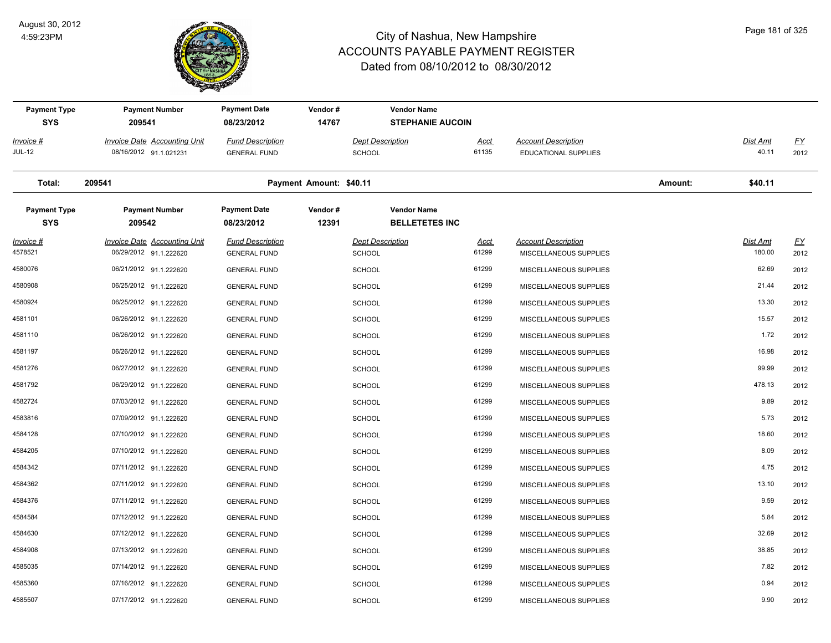

| <b>Payment Type</b><br><b>SYS</b> | <b>Payment Number</b><br>209541                               | <b>Payment Date</b><br>08/23/2012              | Vendor#<br>14767        | <b>Vendor Name</b><br><b>STEPHANIE AUCOIN</b> |               |                                                      |         |                           |                   |
|-----------------------------------|---------------------------------------------------------------|------------------------------------------------|-------------------------|-----------------------------------------------|---------------|------------------------------------------------------|---------|---------------------------|-------------------|
| Invoice #<br>JUL-12               | Invoice Date Accounting Unit<br>08/16/2012 91.1.021231        | <b>Fund Description</b><br><b>GENERAL FUND</b> |                         | Dept Description<br><b>SCHOOL</b>             | Acct<br>61135 | <b>Account Description</b><br>EDUCATIONAL SUPPLIES   |         | Dist Amt<br>40.11         | <u>FY</u><br>2012 |
| Total:                            | 209541                                                        |                                                | Payment Amount: \$40.11 |                                               |               |                                                      | Amount: | \$40.11                   |                   |
| <b>Payment Type</b><br><b>SYS</b> | <b>Payment Number</b><br>209542                               | <b>Payment Date</b><br>08/23/2012              | Vendor#<br>12391        | <b>Vendor Name</b><br><b>BELLETETES INC</b>   |               |                                                      |         |                           |                   |
| <u> Invoice #</u><br>4578521      | <b>Invoice Date Accounting Unit</b><br>06/29/2012 91.1.222620 | <b>Fund Description</b><br><b>GENERAL FUND</b> |                         | <b>Dept Description</b><br><b>SCHOOL</b>      | Acct<br>61299 | <b>Account Description</b><br>MISCELLANEOUS SUPPLIES |         | <b>Dist Amt</b><br>180.00 | <u>FY</u><br>2012 |
| 4580076                           | 06/21/2012 91.1.222620                                        | <b>GENERAL FUND</b>                            |                         | <b>SCHOOL</b>                                 | 61299         | MISCELLANEOUS SUPPLIES                               |         | 62.69                     | 2012              |
| 4580908                           | 06/25/2012 91.1.222620                                        | <b>GENERAL FUND</b>                            |                         | <b>SCHOOL</b>                                 | 61299         | MISCELLANEOUS SUPPLIES                               |         | 21.44                     | 2012              |
| 4580924                           | 06/25/2012 91.1.222620                                        | <b>GENERAL FUND</b>                            |                         | <b>SCHOOL</b>                                 | 61299         | MISCELLANEOUS SUPPLIES                               |         | 13.30                     | 2012              |
| 4581101                           | 06/26/2012 91.1.222620                                        | <b>GENERAL FUND</b>                            |                         | <b>SCHOOL</b>                                 | 61299         | MISCELLANEOUS SUPPLIES                               |         | 15.57                     | 2012              |
| 4581110                           | 06/26/2012 91.1.222620                                        | <b>GENERAL FUND</b>                            |                         | <b>SCHOOL</b>                                 | 61299         | <b>MISCELLANEOUS SUPPLIES</b>                        |         | 1.72                      | 2012              |
| 4581197                           | 06/26/2012 91.1.222620                                        | <b>GENERAL FUND</b>                            |                         | <b>SCHOOL</b>                                 | 61299         | MISCELLANEOUS SUPPLIES                               |         | 16.98                     | 2012              |
| 4581276                           | 06/27/2012 91.1.222620                                        | <b>GENERAL FUND</b>                            |                         | <b>SCHOOL</b>                                 | 61299         | MISCELLANEOUS SUPPLIES                               |         | 99.99                     | 2012              |
| 4581792                           | 06/29/2012 91.1.222620                                        | <b>GENERAL FUND</b>                            |                         | <b>SCHOOL</b>                                 | 61299         | MISCELLANEOUS SUPPLIES                               |         | 478.13                    | 2012              |
| 4582724                           | 07/03/2012 91.1.222620                                        | <b>GENERAL FUND</b>                            |                         | <b>SCHOOL</b>                                 | 61299         | MISCELLANEOUS SUPPLIES                               |         | 9.89                      | 2012              |
| 4583816                           | 07/09/2012 91.1.222620                                        | <b>GENERAL FUND</b>                            |                         | <b>SCHOOL</b>                                 | 61299         | MISCELLANEOUS SUPPLIES                               |         | 5.73                      | 2012              |
| 4584128                           | 07/10/2012 91.1.222620                                        | <b>GENERAL FUND</b>                            |                         | <b>SCHOOL</b>                                 | 61299         | MISCELLANEOUS SUPPLIES                               |         | 18.60                     | 2012              |
| 4584205                           | 07/10/2012 91.1.222620                                        | <b>GENERAL FUND</b>                            |                         | <b>SCHOOL</b>                                 | 61299         | MISCELLANEOUS SUPPLIES                               |         | 8.09                      | 2012              |
| 4584342                           | 07/11/2012 91.1.222620                                        | <b>GENERAL FUND</b>                            |                         | <b>SCHOOL</b>                                 | 61299         | MISCELLANEOUS SUPPLIES                               |         | 4.75                      | 2012              |
| 4584362                           | 07/11/2012 91.1.222620                                        | <b>GENERAL FUND</b>                            |                         | <b>SCHOOL</b>                                 | 61299         | MISCELLANEOUS SUPPLIES                               |         | 13.10                     | 2012              |
| 4584376                           | 07/11/2012 91.1.222620                                        | <b>GENERAL FUND</b>                            |                         | <b>SCHOOL</b>                                 | 61299         | MISCELLANEOUS SUPPLIES                               |         | 9.59                      | 2012              |
| 4584584                           | 07/12/2012 91.1.222620                                        | <b>GENERAL FUND</b>                            |                         | <b>SCHOOL</b>                                 | 61299         | MISCELLANEOUS SUPPLIES                               |         | 5.84                      | 2012              |
| 4584630                           | 07/12/2012 91.1.222620                                        | <b>GENERAL FUND</b>                            |                         | <b>SCHOOL</b>                                 | 61299         | MISCELLANEOUS SUPPLIES                               |         | 32.69                     | 2012              |
| 4584908                           | 07/13/2012 91.1.222620                                        | <b>GENERAL FUND</b>                            |                         | <b>SCHOOL</b>                                 | 61299         | <b>MISCELLANEOUS SUPPLIES</b>                        |         | 38.85                     | 2012              |
| 4585035                           | 07/14/2012 91.1.222620                                        | <b>GENERAL FUND</b>                            |                         | <b>SCHOOL</b>                                 | 61299         | MISCELLANEOUS SUPPLIES                               |         | 7.82                      | 2012              |
| 4585360                           | 07/16/2012 91.1.222620                                        | <b>GENERAL FUND</b>                            |                         | <b>SCHOOL</b>                                 | 61299         | MISCELLANEOUS SUPPLIES                               |         | 0.94                      | 2012              |
| 4585507                           | 07/17/2012 91.1.222620                                        | <b>GENERAL FUND</b>                            |                         | <b>SCHOOL</b>                                 | 61299         | MISCELLANEOUS SUPPLIES                               |         | 9.90                      | 2012              |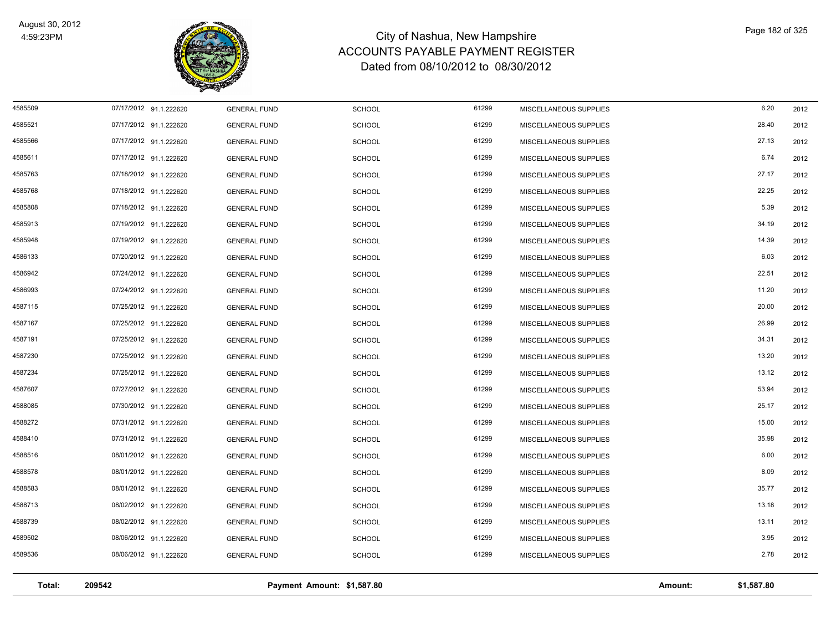

| Total:  | 209542                 |                     | Payment Amount: \$1,587.80 |       |                        | Amount: | \$1,587.80 |      |
|---------|------------------------|---------------------|----------------------------|-------|------------------------|---------|------------|------|
| 4589536 | 08/06/2012 91.1.222620 | <b>GENERAL FUND</b> | <b>SCHOOL</b>              | 61299 | MISCELLANEOUS SUPPLIES |         | 2.78       | 2012 |
| 4589502 | 08/06/2012 91.1.222620 | <b>GENERAL FUND</b> | <b>SCHOOL</b>              | 61299 | MISCELLANEOUS SUPPLIES |         | 3.95       | 2012 |
| 4588739 | 08/02/2012 91.1.222620 | <b>GENERAL FUND</b> | <b>SCHOOL</b>              | 61299 | MISCELLANEOUS SUPPLIES |         | 13.11      | 2012 |
| 4588713 | 08/02/2012 91.1.222620 | <b>GENERAL FUND</b> | <b>SCHOOL</b>              | 61299 | MISCELLANEOUS SUPPLIES |         | 13.18      | 2012 |
| 4588583 | 08/01/2012 91.1.222620 | <b>GENERAL FUND</b> | <b>SCHOOL</b>              | 61299 | MISCELLANEOUS SUPPLIES |         | 35.77      | 2012 |
| 4588578 | 08/01/2012 91.1.222620 | <b>GENERAL FUND</b> | <b>SCHOOL</b>              | 61299 | MISCELLANEOUS SUPPLIES |         | 8.09       | 2012 |
| 4588516 | 08/01/2012 91.1.222620 | <b>GENERAL FUND</b> | <b>SCHOOL</b>              | 61299 | MISCELLANEOUS SUPPLIES |         | 6.00       | 2012 |
| 4588410 | 07/31/2012 91.1.222620 | <b>GENERAL FUND</b> | <b>SCHOOL</b>              | 61299 | MISCELLANEOUS SUPPLIES |         | 35.98      | 2012 |
| 4588272 | 07/31/2012 91.1.222620 | <b>GENERAL FUND</b> | <b>SCHOOL</b>              | 61299 | MISCELLANEOUS SUPPLIES |         | 15.00      | 2012 |
| 4588085 | 07/30/2012 91.1.222620 | <b>GENERAL FUND</b> | <b>SCHOOL</b>              | 61299 | MISCELLANEOUS SUPPLIES |         | 25.17      | 2012 |
| 4587607 | 07/27/2012 91.1.222620 | <b>GENERAL FUND</b> | <b>SCHOOL</b>              | 61299 | MISCELLANEOUS SUPPLIES |         | 53.94      | 2012 |
| 4587234 | 07/25/2012 91.1.222620 | <b>GENERAL FUND</b> | <b>SCHOOL</b>              | 61299 | MISCELLANEOUS SUPPLIES |         | 13.12      | 2012 |
| 4587230 | 07/25/2012 91.1.222620 | <b>GENERAL FUND</b> | <b>SCHOOL</b>              | 61299 | MISCELLANEOUS SUPPLIES |         | 13.20      | 2012 |
| 4587191 | 07/25/2012 91.1.222620 | <b>GENERAL FUND</b> | <b>SCHOOL</b>              | 61299 | MISCELLANEOUS SUPPLIES |         | 34.31      | 2012 |
| 4587167 | 07/25/2012 91.1.222620 | <b>GENERAL FUND</b> | <b>SCHOOL</b>              | 61299 | MISCELLANEOUS SUPPLIES |         | 26.99      | 2012 |
| 4587115 | 07/25/2012 91.1.222620 | <b>GENERAL FUND</b> | <b>SCHOOL</b>              | 61299 | MISCELLANEOUS SUPPLIES |         | 20.00      | 2012 |
| 4586993 | 07/24/2012 91.1.222620 | <b>GENERAL FUND</b> | <b>SCHOOL</b>              | 61299 | MISCELLANEOUS SUPPLIES |         | 11.20      | 2012 |
| 4586942 | 07/24/2012 91.1.222620 | <b>GENERAL FUND</b> | <b>SCHOOL</b>              | 61299 | MISCELLANEOUS SUPPLIES |         | 22.51      | 2012 |
| 4586133 | 07/20/2012 91.1.222620 | <b>GENERAL FUND</b> | <b>SCHOOL</b>              | 61299 | MISCELLANEOUS SUPPLIES |         | 6.03       | 2012 |
| 4585948 | 07/19/2012 91.1.222620 | <b>GENERAL FUND</b> | <b>SCHOOL</b>              | 61299 | MISCELLANEOUS SUPPLIES |         | 14.39      | 2012 |
| 4585913 | 07/19/2012 91.1.222620 | <b>GENERAL FUND</b> | <b>SCHOOL</b>              | 61299 | MISCELLANEOUS SUPPLIES |         | 34.19      | 2012 |
| 4585808 | 07/18/2012 91.1.222620 | <b>GENERAL FUND</b> | <b>SCHOOL</b>              | 61299 | MISCELLANEOUS SUPPLIES |         | 5.39       | 2012 |
| 4585768 | 07/18/2012 91.1.222620 | <b>GENERAL FUND</b> | <b>SCHOOL</b>              | 61299 | MISCELLANEOUS SUPPLIES |         | 22.25      | 2012 |
| 4585763 | 07/18/2012 91.1.222620 | <b>GENERAL FUND</b> | <b>SCHOOL</b>              | 61299 | MISCELLANEOUS SUPPLIES |         | 27.17      | 2012 |
| 4585611 | 07/17/2012 91.1.222620 | <b>GENERAL FUND</b> | <b>SCHOOL</b>              | 61299 | MISCELLANEOUS SUPPLIES |         | 6.74       | 2012 |
| 4585566 | 07/17/2012 91.1.222620 | <b>GENERAL FUND</b> | <b>SCHOOL</b>              | 61299 | MISCELLANEOUS SUPPLIES |         | 27.13      | 2012 |
| 4585521 | 07/17/2012 91.1.222620 | <b>GENERAL FUND</b> | SCHOOL                     | 61299 | MISCELLANEOUS SUPPLIES |         | 28.40      | 2012 |
| 4585509 | 07/17/2012 91.1.222620 | <b>GENERAL FUND</b> | <b>SCHOOL</b>              | 61299 | MISCELLANEOUS SUPPLIES |         | 6.20       | 2012 |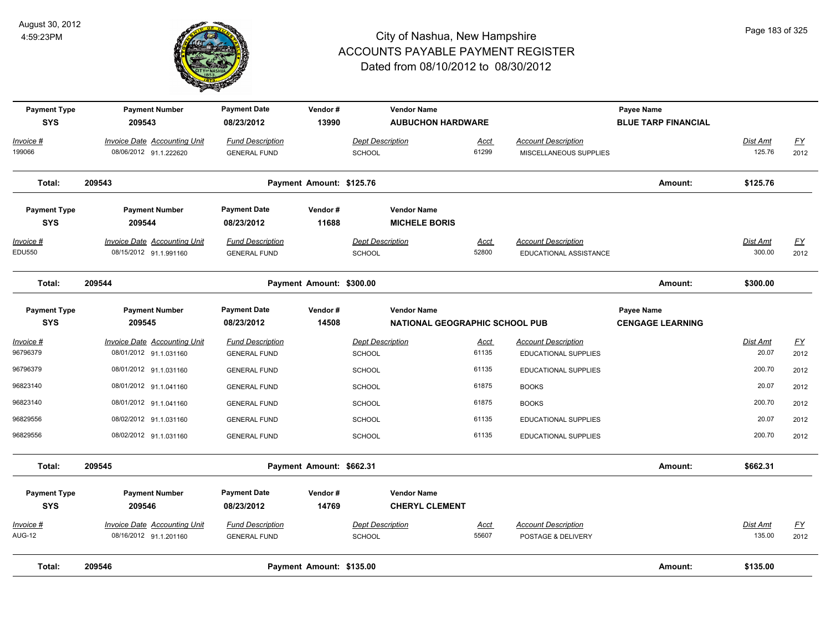

| <b>Payment Type</b><br><b>SYS</b>  | <b>Payment Number</b><br>209543                               | <b>Payment Date</b><br>08/23/2012              | Vendor#<br>13990         |                                   | <b>Vendor Name</b><br><b>AUBUCHON HARDWARE</b>              |               |                                                      | Payee Name<br><b>BLUE TARP FINANCIAL</b> |                    |                   |
|------------------------------------|---------------------------------------------------------------|------------------------------------------------|--------------------------|-----------------------------------|-------------------------------------------------------------|---------------|------------------------------------------------------|------------------------------------------|--------------------|-------------------|
| Invoice #<br>199066                | Invoice Date Accounting Unit<br>08/06/2012 91.1.222620        | <b>Fund Description</b><br><b>GENERAL FUND</b> |                          | <b>Dept Description</b><br>SCHOOL |                                                             | Acct<br>61299 | <b>Account Description</b><br>MISCELLANEOUS SUPPLIES |                                          | Dist Amt<br>125.76 | EY<br>2012        |
| Total:                             | 209543                                                        |                                                | Payment Amount: \$125.76 |                                   |                                                             |               |                                                      | Amount:                                  | \$125.76           |                   |
| <b>Payment Type</b><br><b>SYS</b>  | <b>Payment Number</b><br>209544                               | <b>Payment Date</b><br>08/23/2012              | Vendor#<br>11688         |                                   | <b>Vendor Name</b><br><b>MICHELE BORIS</b>                  |               |                                                      |                                          |                    |                   |
| <u> Invoice #</u><br><b>EDU550</b> | <b>Invoice Date Accounting Unit</b><br>08/15/2012 91.1.991160 | <b>Fund Description</b><br><b>GENERAL FUND</b> |                          | <b>Dept Description</b><br>SCHOOL |                                                             | Acct<br>52800 | <b>Account Description</b><br>EDUCATIONAL ASSISTANCE |                                          | Dist Amt<br>300.00 | <u>FY</u><br>2012 |
| Total:                             | 209544                                                        |                                                | Payment Amount: \$300.00 |                                   |                                                             |               |                                                      | Amount:                                  | \$300.00           |                   |
| <b>Payment Type</b><br><b>SYS</b>  | <b>Payment Number</b><br>209545                               | <b>Payment Date</b><br>08/23/2012              | Vendor#<br>14508         |                                   | <b>Vendor Name</b><br><b>NATIONAL GEOGRAPHIC SCHOOL PUB</b> |               |                                                      | Payee Name<br><b>CENGAGE LEARNING</b>    |                    |                   |
| Invoice #<br>96796379              | Invoice Date Accounting Unit<br>08/01/2012 91.1.031160        | <b>Fund Description</b>                        |                          | <b>Dept Description</b>           |                                                             | Acct<br>61135 | <b>Account Description</b>                           |                                          | Dist Amt<br>20.07  | EY<br>2012        |
|                                    |                                                               | <b>GENERAL FUND</b>                            |                          | SCHOOL                            |                                                             | 61135         | <b>EDUCATIONAL SUPPLIES</b>                          |                                          | 200.70             |                   |
| 96796379                           | 08/01/2012 91.1.031160                                        | <b>GENERAL FUND</b>                            |                          | <b>SCHOOL</b>                     |                                                             |               | EDUCATIONAL SUPPLIES                                 |                                          |                    | 2012              |
| 96823140                           | 08/01/2012 91.1.041160                                        | <b>GENERAL FUND</b>                            |                          | <b>SCHOOL</b>                     |                                                             | 61875         | <b>BOOKS</b>                                         |                                          | 20.07              | 2012              |
| 96823140                           | 08/01/2012 91.1.041160                                        | <b>GENERAL FUND</b>                            |                          | <b>SCHOOL</b>                     |                                                             | 61875         | <b>BOOKS</b>                                         |                                          | 200.70             | 2012              |
| 96829556                           | 08/02/2012 91.1.031160                                        | <b>GENERAL FUND</b>                            |                          | <b>SCHOOL</b>                     |                                                             | 61135         | <b>EDUCATIONAL SUPPLIES</b>                          |                                          | 20.07              | 2012              |
| 96829556                           | 08/02/2012 91.1.031160                                        | <b>GENERAL FUND</b>                            |                          | <b>SCHOOL</b>                     |                                                             | 61135         | EDUCATIONAL SUPPLIES                                 |                                          | 200.70             | 2012              |
| Total:                             | 209545                                                        |                                                | Payment Amount: \$662.31 |                                   |                                                             |               |                                                      | Amount:                                  | \$662.31           |                   |
| <b>Payment Type</b><br><b>SYS</b>  | <b>Payment Number</b><br>209546                               | <b>Payment Date</b><br>08/23/2012              | Vendor#<br>14769         |                                   | <b>Vendor Name</b><br><b>CHERYL CLEMENT</b>                 |               |                                                      |                                          |                    |                   |
| <u>Invoice #</u>                   | <b>Invoice Date Accounting Unit</b>                           | <b>Fund Description</b>                        |                          | <b>Dept Description</b>           |                                                             | Acct          | <b>Account Description</b>                           |                                          | Dist Amt           | <u>FY</u>         |
| <b>AUG-12</b>                      | 08/16/2012 91.1.201160                                        | <b>GENERAL FUND</b>                            |                          | SCHOOL                            |                                                             | 55607         | POSTAGE & DELIVERY                                   |                                          | 135.00             | 2012              |
| Total:                             | 209546                                                        |                                                | Payment Amount: \$135.00 |                                   |                                                             |               |                                                      | Amount:                                  | \$135.00           |                   |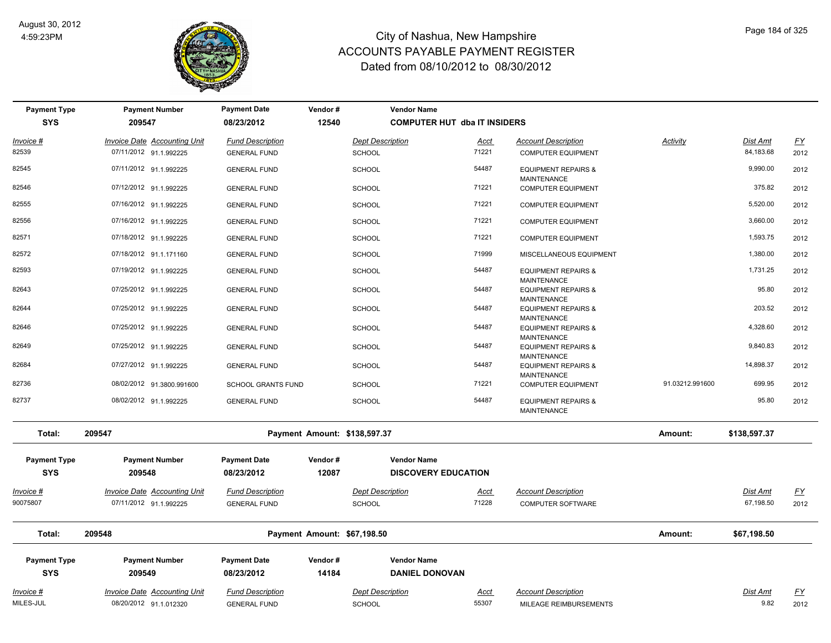

| <b>Payment Type</b><br><b>SYS</b> | <b>Payment Number</b><br>209547     | <b>Payment Date</b><br>08/23/2012 | Vendor#<br>12540 | <b>Vendor Name</b><br><b>COMPUTER HUT dba IT INSIDERS</b> |       |                                                      |                 |                 |           |
|-----------------------------------|-------------------------------------|-----------------------------------|------------------|-----------------------------------------------------------|-------|------------------------------------------------------|-----------------|-----------------|-----------|
| Invoice #                         | Invoice Date Accounting Unit        | <b>Fund Description</b>           |                  | <b>Dept Description</b>                                   | Acct  | <b>Account Description</b>                           | <b>Activity</b> | Dist Amt        | <u>FY</u> |
| 82539                             | 07/11/2012 91.1.992225              | <b>GENERAL FUND</b>               |                  | <b>SCHOOL</b>                                             | 71221 | <b>COMPUTER EQUIPMENT</b>                            |                 | 84,183.68       | 2012      |
| 82545                             | 07/11/2012 91.1.992225              | <b>GENERAL FUND</b>               |                  | <b>SCHOOL</b>                                             | 54487 | <b>EQUIPMENT REPAIRS &amp;</b><br>MAINTENANCE        |                 | 9,990.00        | 2012      |
| 82546                             | 07/12/2012 91.1.992225              | <b>GENERAL FUND</b>               |                  | <b>SCHOOL</b>                                             | 71221 | <b>COMPUTER EQUIPMENT</b>                            |                 | 375.82          | 2012      |
| 82555                             | 07/16/2012 91.1.992225              | <b>GENERAL FUND</b>               |                  | <b>SCHOOL</b>                                             | 71221 | <b>COMPUTER EQUIPMENT</b>                            |                 | 5,520.00        | 2012      |
| 82556                             | 07/16/2012 91.1.992225              | <b>GENERAL FUND</b>               |                  | <b>SCHOOL</b>                                             | 71221 | <b>COMPUTER EQUIPMENT</b>                            |                 | 3,660.00        | 2012      |
| 82571                             | 07/18/2012 91.1.992225              | <b>GENERAL FUND</b>               |                  | <b>SCHOOL</b>                                             | 71221 | <b>COMPUTER EQUIPMENT</b>                            |                 | 1,593.75        | 2012      |
| 82572                             | 07/18/2012 91.1.171160              | <b>GENERAL FUND</b>               |                  | <b>SCHOOL</b>                                             | 71999 | MISCELLANEOUS EQUIPMENT                              |                 | 1,380.00        | 2012      |
| 82593                             | 07/19/2012 91.1.992225              | <b>GENERAL FUND</b>               |                  | <b>SCHOOL</b>                                             | 54487 | <b>EQUIPMENT REPAIRS &amp;</b><br><b>MAINTENANCE</b> |                 | 1,731.25        | 2012      |
| 82643                             | 07/25/2012 91.1.992225              | <b>GENERAL FUND</b>               |                  | <b>SCHOOL</b>                                             | 54487 | <b>EQUIPMENT REPAIRS &amp;</b><br>MAINTENANCE        |                 | 95.80           | 2012      |
| 82644                             | 07/25/2012 91.1.992225              | <b>GENERAL FUND</b>               |                  | <b>SCHOOL</b>                                             | 54487 | <b>EQUIPMENT REPAIRS &amp;</b>                       |                 | 203.52          | 2012      |
| 82646                             | 07/25/2012 91.1.992225              | <b>GENERAL FUND</b>               |                  | <b>SCHOOL</b>                                             | 54487 | <b>MAINTENANCE</b><br><b>EQUIPMENT REPAIRS &amp;</b> |                 | 4,328.60        | 2012      |
| 82649                             | 07/25/2012 91.1.992225              | <b>GENERAL FUND</b>               |                  | <b>SCHOOL</b>                                             | 54487 | <b>MAINTENANCE</b><br><b>EQUIPMENT REPAIRS &amp;</b> |                 | 9,840.83        | 2012      |
| 82684                             | 07/27/2012 91.1.992225              | <b>GENERAL FUND</b>               |                  | <b>SCHOOL</b>                                             | 54487 | MAINTENANCE<br><b>EQUIPMENT REPAIRS &amp;</b>        |                 | 14,898.37       | 2012      |
| 82736                             | 08/02/2012 91.3800.991600           | <b>SCHOOL GRANTS FUND</b>         |                  | <b>SCHOOL</b>                                             | 71221 | <b>MAINTENANCE</b><br><b>COMPUTER EQUIPMENT</b>      | 91.03212.991600 | 699.95          | 2012      |
| 82737                             | 08/02/2012 91.1.992225              | <b>GENERAL FUND</b>               |                  | <b>SCHOOL</b>                                             | 54487 | <b>EQUIPMENT REPAIRS &amp;</b><br><b>MAINTENANCE</b> |                 | 95.80           | 2012      |
| Total:                            | 209547                              |                                   |                  | Payment Amount: \$138,597.37                              |       |                                                      | Amount:         | \$138,597.37    |           |
| <b>Payment Type</b><br><b>SYS</b> | <b>Payment Number</b><br>209548     | <b>Payment Date</b><br>08/23/2012 | Vendor#<br>12087 | <b>Vendor Name</b><br><b>DISCOVERY EDUCATION</b>          |       |                                                      |                 |                 |           |
| Invoice #                         | <b>Invoice Date Accounting Unit</b> | <b>Fund Description</b>           |                  | <b>Dept Description</b>                                   | Acct  | <b>Account Description</b>                           |                 | <b>Dist Amt</b> | <u>FY</u> |
| 90075807                          | 07/11/2012 91.1.992225              | <b>GENERAL FUND</b>               |                  | SCHOOL                                                    | 71228 | COMPUTER SOFTWARE                                    |                 | 67,198.50       | 2012      |
| Total:                            | 209548                              |                                   |                  | Payment Amount: \$67,198.50                               |       |                                                      | Amount:         | \$67,198.50     |           |
| <b>Payment Type</b>               | <b>Payment Number</b>               | <b>Payment Date</b>               | Vendor#          | <b>Vendor Name</b>                                        |       |                                                      |                 |                 |           |
| <b>SYS</b>                        | 209549                              | 08/23/2012                        | 14184            | <b>DANIEL DONOVAN</b>                                     |       |                                                      |                 |                 |           |
| Invoice #                         | <b>Invoice Date Accounting Unit</b> | <b>Fund Description</b>           |                  | <b>Dept Description</b>                                   | Acct  | <b>Account Description</b>                           |                 | Dist Amt        | <u>FY</u> |
| MILES-JUL                         | 08/20/2012 91.1.012320              | <b>GENERAL FUND</b>               |                  | SCHOOL                                                    | 55307 | MILEAGE REIMBURSEMENTS                               |                 | 9.82            | 2012      |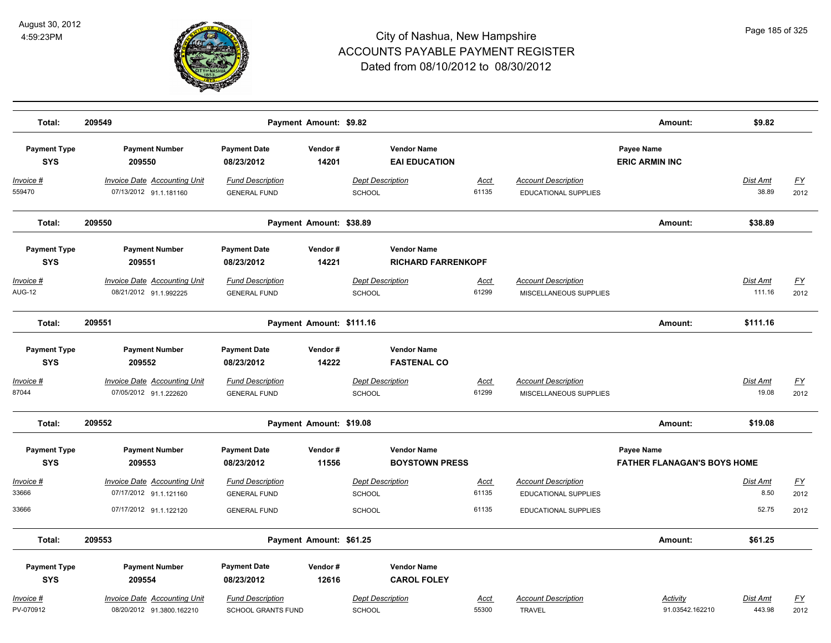

| Total:                            | 209549                                                           |                                                      | Payment Amount: \$9.82   |                                                 |                      |                                                           | Amount:                                          | \$9.82                   |                          |
|-----------------------------------|------------------------------------------------------------------|------------------------------------------------------|--------------------------|-------------------------------------------------|----------------------|-----------------------------------------------------------|--------------------------------------------------|--------------------------|--------------------------|
| <b>Payment Type</b><br><b>SYS</b> | <b>Payment Number</b><br>209550                                  | <b>Payment Date</b><br>08/23/2012                    | Vendor#<br>14201         | <b>Vendor Name</b><br><b>EAI EDUCATION</b>      |                      |                                                           | Payee Name<br><b>ERIC ARMIN INC</b>              |                          |                          |
| Invoice #<br>559470               | <b>Invoice Date Accounting Unit</b><br>07/13/2012 91.1.181160    | <b>Fund Description</b><br><b>GENERAL FUND</b>       |                          | <b>Dept Description</b><br><b>SCHOOL</b>        | <u>Acct</u><br>61135 | <b>Account Description</b><br><b>EDUCATIONAL SUPPLIES</b> |                                                  | <b>Dist Amt</b><br>38.89 | EY<br>2012               |
| Total:                            | 209550                                                           |                                                      | Payment Amount: \$38.89  |                                                 |                      |                                                           | Amount:                                          | \$38.89                  |                          |
| <b>Payment Type</b><br><b>SYS</b> | <b>Payment Number</b><br>209551                                  | <b>Payment Date</b><br>08/23/2012                    | Vendor#<br>14221         | <b>Vendor Name</b><br><b>RICHARD FARRENKOPF</b> |                      |                                                           |                                                  |                          |                          |
| Invoice #<br><b>AUG-12</b>        | <b>Invoice Date Accounting Unit</b><br>08/21/2012 91.1.992225    | <b>Fund Description</b><br><b>GENERAL FUND</b>       |                          | <b>Dept Description</b><br><b>SCHOOL</b>        | Acct<br>61299        | <b>Account Description</b><br>MISCELLANEOUS SUPPLIES      |                                                  | Dist Amt<br>111.16       | $\underline{FY}$<br>2012 |
| Total:                            | 209551                                                           |                                                      | Payment Amount: \$111.16 |                                                 |                      |                                                           | Amount:                                          | \$111.16                 |                          |
| <b>Payment Type</b><br><b>SYS</b> | <b>Payment Number</b><br>209552                                  | <b>Payment Date</b><br>08/23/2012                    | Vendor#<br>14222         | <b>Vendor Name</b><br><b>FASTENAL CO</b>        |                      |                                                           |                                                  |                          |                          |
| Invoice #<br>87044                | Invoice Date Accounting Unit<br>07/05/2012 91.1.222620           | <b>Fund Description</b><br><b>GENERAL FUND</b>       |                          | <b>Dept Description</b><br>SCHOOL               | Acct<br>61299        | <b>Account Description</b><br>MISCELLANEOUS SUPPLIES      |                                                  | Dist Amt<br>19.08        | <u>FY</u><br>2012        |
| Total:                            | 209552                                                           |                                                      | Payment Amount: \$19.08  |                                                 |                      |                                                           | Amount:                                          | \$19.08                  |                          |
| <b>Payment Type</b><br><b>SYS</b> | <b>Payment Number</b><br>209553                                  | <b>Payment Date</b><br>08/23/2012                    | Vendor#<br>11556         | <b>Vendor Name</b><br><b>BOYSTOWN PRESS</b>     |                      |                                                           | Payee Name<br><b>FATHER FLANAGAN'S BOYS HOME</b> |                          |                          |
| Invoice #<br>33666                | <b>Invoice Date Accounting Unit</b><br>07/17/2012 91.1.121160    | <b>Fund Description</b><br><b>GENERAL FUND</b>       |                          | <b>Dept Description</b><br><b>SCHOOL</b>        | Acct<br>61135        | <b>Account Description</b><br><b>EDUCATIONAL SUPPLIES</b> |                                                  | Dist Amt<br>8.50         | EY<br>2012               |
| 33666                             | 07/17/2012 91.1.122120                                           | <b>GENERAL FUND</b>                                  |                          | <b>SCHOOL</b>                                   | 61135                | <b>EDUCATIONAL SUPPLIES</b>                               |                                                  | 52.75                    | 2012                     |
| Total:                            | 209553                                                           |                                                      | Payment Amount: \$61.25  |                                                 |                      |                                                           | Amount:                                          | \$61.25                  |                          |
| <b>Payment Type</b><br><b>SYS</b> | <b>Payment Number</b><br>209554                                  | <b>Payment Date</b><br>08/23/2012                    | Vendor#<br>12616         | <b>Vendor Name</b><br><b>CAROL FOLEY</b>        |                      |                                                           |                                                  |                          |                          |
| <u>Invoice #</u><br>PV-070912     | <b>Invoice Date Accounting Unit</b><br>08/20/2012 91.3800.162210 | <b>Fund Description</b><br><b>SCHOOL GRANTS FUND</b> |                          | <b>Dept Description</b><br><b>SCHOOL</b>        | <u>Acct</u><br>55300 | <b>Account Description</b><br><b>TRAVEL</b>               | Activity<br>91.03542.162210                      | Dist Amt<br>443.98       | EY<br>2012               |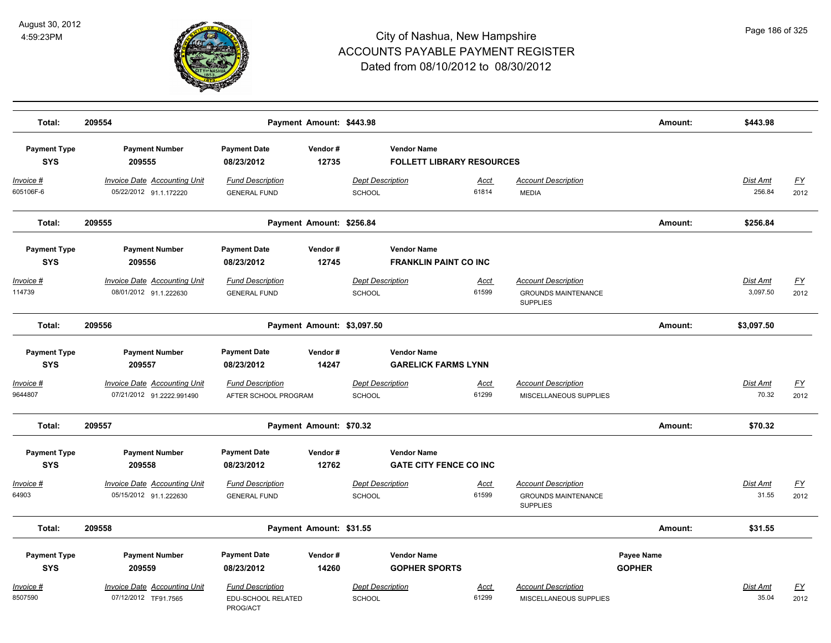

| Total:                            | 209554                                                           |                                                           | Payment Amount: \$443.98   |                                          |                                                        |                      |                                                                             | Amount:                     | \$443.98                 |                                   |
|-----------------------------------|------------------------------------------------------------------|-----------------------------------------------------------|----------------------------|------------------------------------------|--------------------------------------------------------|----------------------|-----------------------------------------------------------------------------|-----------------------------|--------------------------|-----------------------------------|
| <b>Payment Type</b><br><b>SYS</b> | <b>Payment Number</b><br>209555                                  | <b>Payment Date</b><br>08/23/2012                         | Vendor#<br>12735           |                                          | <b>Vendor Name</b><br><b>FOLLETT LIBRARY RESOURCES</b> |                      |                                                                             |                             |                          |                                   |
| Invoice #<br>605106F-6            | <b>Invoice Date Accounting Unit</b><br>05/22/2012 91.1.172220    | <b>Fund Description</b><br><b>GENERAL FUND</b>            |                            | <b>Dept Description</b><br>SCHOOL        |                                                        | Acct<br>61814        | <b>Account Description</b><br><b>MEDIA</b>                                  |                             | Dist Amt<br>256.84       | <u>FY</u><br>2012                 |
| Total:                            | 209555                                                           |                                                           | Payment Amount: \$256.84   |                                          |                                                        |                      |                                                                             | Amount:                     | \$256.84                 |                                   |
| <b>Payment Type</b><br><b>SYS</b> | <b>Payment Number</b><br>209556                                  | <b>Payment Date</b><br>08/23/2012                         | Vendor#<br>12745           |                                          | <b>Vendor Name</b><br><b>FRANKLIN PAINT CO INC</b>     |                      |                                                                             |                             |                          |                                   |
| Invoice #<br>114739               | <b>Invoice Date Accounting Unit</b><br>08/01/2012 91.1.222630    | <b>Fund Description</b><br><b>GENERAL FUND</b>            |                            | <b>Dept Description</b><br>SCHOOL        |                                                        | <u>Acct</u><br>61599 | <b>Account Description</b><br><b>GROUNDS MAINTENANCE</b><br><b>SUPPLIES</b> |                             | Dist Amt<br>3,097.50     | <u>FY</u><br>2012                 |
| Total:                            | 209556                                                           |                                                           | Payment Amount: \$3,097.50 |                                          |                                                        |                      |                                                                             | Amount:                     | \$3,097.50               |                                   |
| <b>Payment Type</b><br><b>SYS</b> | <b>Payment Number</b><br>209557                                  | <b>Payment Date</b><br>08/23/2012                         | Vendor#<br>14247           |                                          | <b>Vendor Name</b><br><b>GARELICK FARMS LYNN</b>       |                      |                                                                             |                             |                          |                                   |
| Invoice #<br>9644807              | <b>Invoice Date Accounting Unit</b><br>07/21/2012 91.2222.991490 | <b>Fund Description</b><br>AFTER SCHOOL PROGRAM           |                            | <b>Dept Description</b><br>SCHOOL        |                                                        | <u>Acct</u><br>61299 | <b>Account Description</b><br>MISCELLANEOUS SUPPLIES                        |                             | Dist Amt<br>70.32        | <u>FY</u><br>2012                 |
| Total:                            | 209557                                                           |                                                           | Payment Amount: \$70.32    |                                          |                                                        |                      |                                                                             | Amount:                     | \$70.32                  |                                   |
| <b>Payment Type</b><br><b>SYS</b> | <b>Payment Number</b><br>209558                                  | <b>Payment Date</b><br>08/23/2012                         | Vendor#<br>12762           |                                          | <b>Vendor Name</b><br><b>GATE CITY FENCE CO INC</b>    |                      |                                                                             |                             |                          |                                   |
| Invoice #<br>64903                | Invoice Date Accounting Unit<br>05/15/2012 91.1.222630           | <b>Fund Description</b><br><b>GENERAL FUND</b>            |                            | <b>Dept Description</b><br><b>SCHOOL</b> |                                                        | Acct<br>61599        | <b>Account Description</b><br><b>GROUNDS MAINTENANCE</b><br><b>SUPPLIES</b> |                             | Dist Amt<br>31.55        | $\underline{\mathsf{FY}}$<br>2012 |
| Total:                            | 209558                                                           |                                                           | Payment Amount: \$31.55    |                                          |                                                        |                      |                                                                             | Amount:                     | \$31.55                  |                                   |
| <b>Payment Type</b><br><b>SYS</b> | <b>Payment Number</b><br>209559                                  | <b>Payment Date</b><br>08/23/2012                         | Vendor#<br>14260           |                                          | <b>Vendor Name</b><br><b>GOPHER SPORTS</b>             |                      |                                                                             | Payee Name<br><b>GOPHER</b> |                          |                                   |
| Invoice #<br>8507590              | Invoice Date Accounting Unit<br>07/12/2012 TF91.7565             | <b>Fund Description</b><br>EDU-SCHOOL RELATED<br>PROG/ACT |                            | <b>Dept Description</b><br><b>SCHOOL</b> |                                                        | Acct<br>61299        | <b>Account Description</b><br>MISCELLANEOUS SUPPLIES                        |                             | <b>Dist Amt</b><br>35.04 | <u>FY</u><br>2012                 |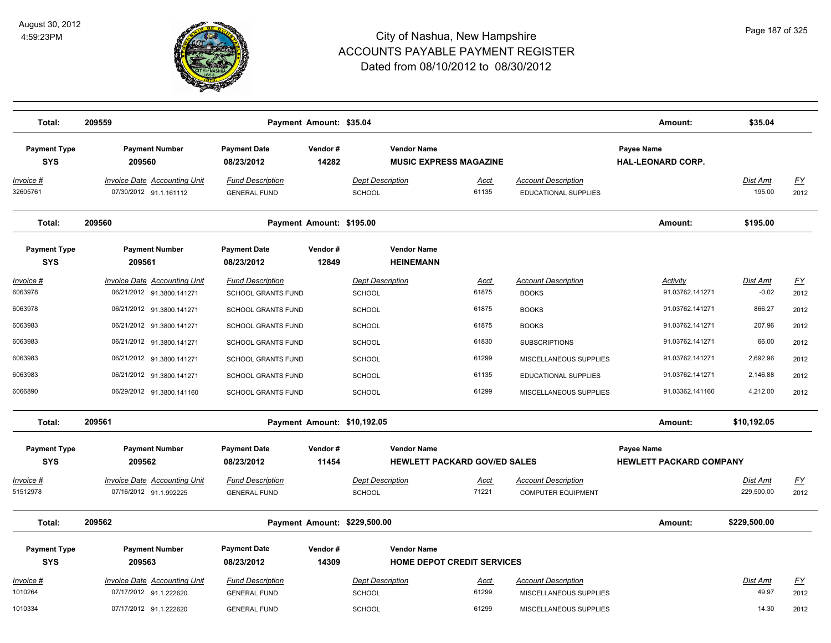

| Total:                            | 209559                                                           |                                                | Payment Amount: \$35.04  |                                          |                                                           |                      |                                                         | Amount:                                      | \$35.04                    |                   |
|-----------------------------------|------------------------------------------------------------------|------------------------------------------------|--------------------------|------------------------------------------|-----------------------------------------------------------|----------------------|---------------------------------------------------------|----------------------------------------------|----------------------------|-------------------|
| <b>Payment Type</b><br><b>SYS</b> | <b>Payment Number</b><br>209560                                  | <b>Payment Date</b><br>08/23/2012              | Vendor#<br>14282         |                                          | <b>Vendor Name</b><br><b>MUSIC EXPRESS MAGAZINE</b>       |                      |                                                         | Payee Name<br><b>HAL-LEONARD CORP.</b>       |                            |                   |
| <u> Invoice #</u><br>32605761     | <b>Invoice Date Accounting Unit</b><br>07/30/2012 91.1.161112    | <b>Fund Description</b><br><b>GENERAL FUND</b> |                          | <b>Dept Description</b><br>SCHOOL        |                                                           | Acct<br>61135        | <b>Account Description</b><br>EDUCATIONAL SUPPLIES      |                                              | <b>Dist Amt</b><br>195.00  | <u>FY</u><br>2012 |
| Total:                            | 209560                                                           |                                                | Payment Amount: \$195.00 |                                          |                                                           |                      |                                                         | Amount:                                      | \$195.00                   |                   |
| <b>Payment Type</b><br><b>SYS</b> | <b>Payment Number</b><br>209561                                  | <b>Payment Date</b><br>08/23/2012              | Vendor#<br>12849         |                                          | <b>Vendor Name</b><br><b>HEINEMANN</b>                    |                      |                                                         |                                              |                            |                   |
| <u> Invoice #</u><br>6063978      | <b>Invoice Date Accounting Unit</b><br>06/21/2012 91.3800.141271 | <b>Fund Description</b><br>SCHOOL GRANTS FUND  |                          | <b>Dept Description</b><br><b>SCHOOL</b> |                                                           | <u>Acct</u><br>61875 | <b>Account Description</b><br><b>BOOKS</b>              | <b>Activity</b><br>91.03762.141271           | <b>Dist Amt</b><br>$-0.02$ | <u>FY</u><br>2012 |
| 6063978                           | 06/21/2012 91.3800.141271                                        | SCHOOL GRANTS FUND                             |                          | <b>SCHOOL</b>                            |                                                           | 61875                | <b>BOOKS</b>                                            | 91.03762.141271                              | 866.27                     | 2012              |
| 6063983                           | 06/21/2012 91.3800.141271                                        | <b>SCHOOL GRANTS FUND</b>                      |                          | <b>SCHOOL</b>                            |                                                           | 61875                | <b>BOOKS</b>                                            | 91.03762.141271                              | 207.96                     | 2012              |
| 6063983                           | 06/21/2012 91.3800.141271                                        | <b>SCHOOL GRANTS FUND</b>                      |                          | <b>SCHOOL</b>                            |                                                           | 61830                | <b>SUBSCRIPTIONS</b>                                    | 91.03762.141271                              | 66.00                      | 2012              |
| 6063983                           | 06/21/2012 91.3800.141271                                        | SCHOOL GRANTS FUND                             |                          | <b>SCHOOL</b>                            |                                                           | 61299                | MISCELLANEOUS SUPPLIES                                  | 91.03762.141271                              | 2,692.96                   | 2012              |
| 6063983                           | 06/21/2012 91.3800.141271                                        | <b>SCHOOL GRANTS FUND</b>                      |                          | <b>SCHOOL</b>                            |                                                           | 61135                | <b>EDUCATIONAL SUPPLIES</b>                             | 91.03762.141271                              | 2,146.88                   | 2012              |
| 6066890                           | 06/29/2012 91.3800.141160                                        | <b>SCHOOL GRANTS FUND</b>                      |                          | <b>SCHOOL</b>                            |                                                           | 61299                | MISCELLANEOUS SUPPLIES                                  | 91.03362.141160                              | 4,212.00                   | 2012              |
| Total:                            | 209561                                                           |                                                |                          | Payment Amount: \$10,192.05              |                                                           |                      |                                                         | Amount:                                      | \$10,192.05                |                   |
| <b>Payment Type</b><br><b>SYS</b> | <b>Payment Number</b><br>209562                                  | <b>Payment Date</b><br>08/23/2012              | Vendor#<br>11454         |                                          | <b>Vendor Name</b><br><b>HEWLETT PACKARD GOV/ED SALES</b> |                      |                                                         | Payee Name<br><b>HEWLETT PACKARD COMPANY</b> |                            |                   |
|                                   |                                                                  |                                                |                          |                                          |                                                           |                      |                                                         |                                              |                            |                   |
| Invoice #<br>51512978             | <b>Invoice Date Accounting Unit</b><br>07/16/2012 91.1.992225    | <b>Fund Description</b><br><b>GENERAL FUND</b> |                          | <b>Dept Description</b><br>SCHOOL        |                                                           | Acct<br>71221        | <b>Account Description</b><br><b>COMPUTER EQUIPMENT</b> |                                              | Dist Amt<br>229,500.00     | <u>FY</u><br>2012 |
| Total:                            | 209562                                                           |                                                |                          | Payment Amount: \$229,500.00             |                                                           |                      |                                                         | Amount:                                      | \$229,500.00               |                   |
| <b>Payment Type</b>               | <b>Payment Number</b>                                            | <b>Payment Date</b>                            | Vendor#                  |                                          | <b>Vendor Name</b>                                        |                      |                                                         |                                              |                            |                   |
| <b>SYS</b>                        | 209563                                                           | 08/23/2012                                     | 14309                    |                                          | <b>HOME DEPOT CREDIT SERVICES</b>                         |                      |                                                         |                                              |                            |                   |
| Invoice #                         | <b>Invoice Date Accounting Unit</b>                              | <b>Fund Description</b>                        |                          | <b>Dept Description</b>                  |                                                           | <u>Acct</u>          | <b>Account Description</b>                              |                                              | Dist Amt                   | <u>FY</u>         |
| 1010264                           | 07/17/2012 91.1.222620                                           | <b>GENERAL FUND</b>                            |                          | <b>SCHOOL</b>                            |                                                           | 61299                | MISCELLANEOUS SUPPLIES                                  |                                              | 49.97                      | 2012              |
| 1010334                           | 07/17/2012 91.1.222620                                           | <b>GENERAL FUND</b>                            |                          | <b>SCHOOL</b>                            |                                                           | 61299                | MISCELLANEOUS SUPPLIES                                  |                                              | 14.30                      | 2012              |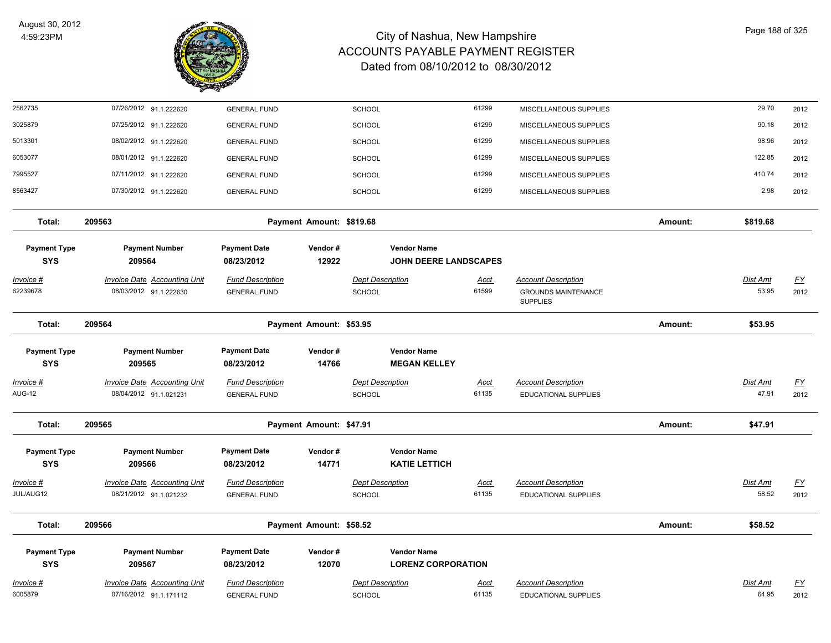

| 2562735                            | 07/26/2012 91.1.222620                                        | <b>GENERAL FUND</b>                            |                          | <b>SCHOOL</b>                                   | 61299                        | MISCELLANEOUS SUPPLIES                                                      |         | 29.70                    | 2012                      |
|------------------------------------|---------------------------------------------------------------|------------------------------------------------|--------------------------|-------------------------------------------------|------------------------------|-----------------------------------------------------------------------------|---------|--------------------------|---------------------------|
| 3025879                            | 07/25/2012 91.1.222620                                        | <b>GENERAL FUND</b>                            |                          | <b>SCHOOL</b>                                   | 61299                        | MISCELLANEOUS SUPPLIES                                                      |         | 90.18                    | 2012                      |
| 5013301                            | 08/02/2012 91.1.222620                                        | <b>GENERAL FUND</b>                            |                          | <b>SCHOOL</b>                                   | 61299                        | MISCELLANEOUS SUPPLIES                                                      |         | 98.96                    | 2012                      |
| 6053077                            | 08/01/2012 91.1.222620                                        | <b>GENERAL FUND</b>                            |                          | <b>SCHOOL</b>                                   | 61299                        | MISCELLANEOUS SUPPLIES                                                      |         | 122.85                   | 2012                      |
| 7995527                            | 07/11/2012 91.1.222620                                        | <b>GENERAL FUND</b>                            |                          | <b>SCHOOL</b>                                   | 61299                        | MISCELLANEOUS SUPPLIES                                                      |         | 410.74                   | 2012                      |
| 8563427                            | 07/30/2012 91.1.222620                                        | <b>GENERAL FUND</b>                            |                          | SCHOOL                                          | 61299                        | MISCELLANEOUS SUPPLIES                                                      |         | 2.98                     | 2012                      |
| Total:                             | 209563                                                        |                                                | Payment Amount: \$819.68 |                                                 |                              |                                                                             | Amount: | \$819.68                 |                           |
| <b>Payment Type</b><br><b>SYS</b>  | <b>Payment Number</b><br>209564                               | <b>Payment Date</b><br>08/23/2012              | Vendor#<br>12922         | <b>Vendor Name</b>                              | <b>JOHN DEERE LANDSCAPES</b> |                                                                             |         |                          |                           |
| <u>Invoice #</u><br>62239678       | <b>Invoice Date Accounting Unit</b><br>08/03/2012 91.1.222630 | <b>Fund Description</b><br><b>GENERAL FUND</b> |                          | <b>Dept Description</b><br><b>SCHOOL</b>        | <u>Acct</u><br>61599         | <b>Account Description</b><br><b>GROUNDS MAINTENANCE</b><br><b>SUPPLIES</b> |         | <b>Dist Amt</b><br>53.95 | <u>FY</u><br>2012         |
| Total:                             | 209564                                                        |                                                | Payment Amount: \$53.95  |                                                 |                              |                                                                             | Amount: | \$53.95                  |                           |
| <b>Payment Type</b><br><b>SYS</b>  | <b>Payment Number</b><br>209565                               | <b>Payment Date</b><br>08/23/2012              | Vendor#<br>14766         | <b>Vendor Name</b><br><b>MEGAN KELLEY</b>       |                              |                                                                             |         |                          |                           |
| <u> Invoice #</u><br><b>AUG-12</b> | <b>Invoice Date Accounting Unit</b><br>08/04/2012 91.1.021231 | <b>Fund Description</b>                        |                          | <b>Dept Description</b>                         | <u>Acct</u><br>61135         | <b>Account Description</b>                                                  |         | <b>Dist Amt</b><br>47.91 | $\underline{\mathsf{FY}}$ |
|                                    |                                                               | <b>GENERAL FUND</b>                            |                          | SCHOOL                                          |                              | <b>EDUCATIONAL SUPPLIES</b>                                                 |         |                          | 2012                      |
| Total:                             | 209565                                                        |                                                | Payment Amount: \$47.91  |                                                 |                              |                                                                             | Amount: | \$47.91                  |                           |
| <b>Payment Type</b><br><b>SYS</b>  | <b>Payment Number</b><br>209566                               | <b>Payment Date</b><br>08/23/2012              | Vendor#<br>14771         | <b>Vendor Name</b><br><b>KATIE LETTICH</b>      |                              |                                                                             |         |                          |                           |
| Invoice #<br>JUL/AUG12             | <b>Invoice Date Accounting Unit</b><br>08/21/2012 91.1.021232 | <b>Fund Description</b><br><b>GENERAL FUND</b> |                          | <b>Dept Description</b><br>SCHOOL               | <u>Acct</u><br>61135         | <b>Account Description</b><br>EDUCATIONAL SUPPLIES                          |         | <b>Dist Amt</b><br>58.52 | <u>FY</u><br>2012         |
| Total:                             | 209566                                                        |                                                | Payment Amount: \$58.52  |                                                 |                              |                                                                             | Amount: | \$58.52                  |                           |
| <b>Payment Type</b><br><b>SYS</b>  | <b>Payment Number</b><br>209567                               | <b>Payment Date</b><br>08/23/2012              | Vendor#<br>12070         | <b>Vendor Name</b><br><b>LORENZ CORPORATION</b> |                              |                                                                             |         |                          |                           |
| Invoice #<br>6005879               | <b>Invoice Date Accounting Unit</b><br>07/16/2012 91.1.171112 | <b>Fund Description</b><br><b>GENERAL FUND</b> |                          | <b>Dept Description</b><br>SCHOOL               | <b>Acct</b><br>61135         | <b>Account Description</b><br><b>EDUCATIONAL SUPPLIES</b>                   |         | Dist Amt<br>64.95        | <u>FY</u><br>2012         |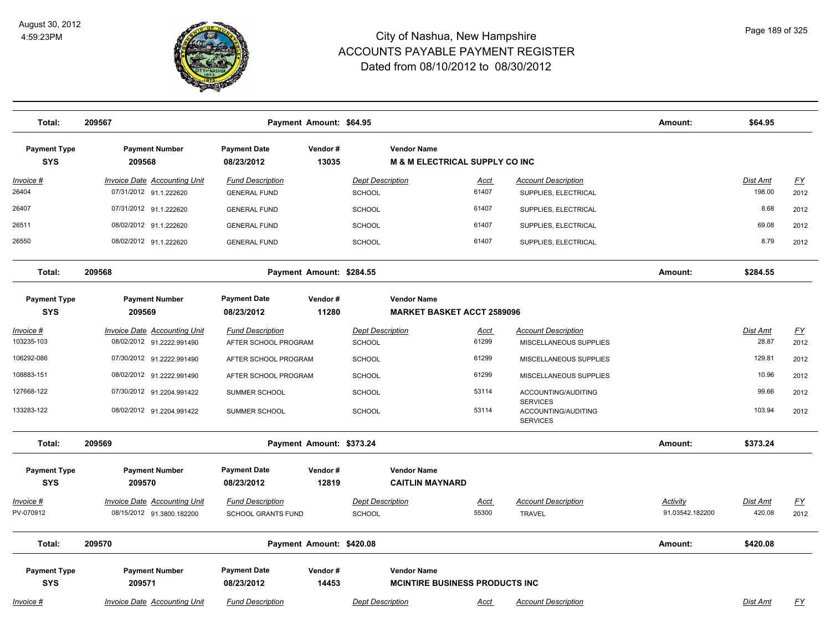

| Total:                            | 209567                                                        |                                                | Payment Amount: \$64.95  |                                   |                                                                 |                      |                                                           | Amount:         | \$64.95            |                           |
|-----------------------------------|---------------------------------------------------------------|------------------------------------------------|--------------------------|-----------------------------------|-----------------------------------------------------------------|----------------------|-----------------------------------------------------------|-----------------|--------------------|---------------------------|
| <b>Payment Type</b><br><b>SYS</b> | <b>Payment Number</b><br>209568                               | <b>Payment Date</b><br>08/23/2012              | Vendor#<br>13035         |                                   | <b>Vendor Name</b><br><b>M &amp; M ELECTRICAL SUPPLY CO INC</b> |                      |                                                           |                 |                    |                           |
| $Invoice$ #<br>26404              | <b>Invoice Date Accounting Unit</b><br>07/31/2012 91.1.222620 | <b>Fund Description</b><br><b>GENERAL FUND</b> |                          | <b>Dept Description</b><br>SCHOOL |                                                                 | <u>Acct</u><br>61407 | <b>Account Description</b><br>SUPPLIES, ELECTRICAL        |                 | Dist Amt<br>198.00 | <u>FY</u><br>2012         |
| 26407                             | 07/31/2012 91.1.222620                                        | <b>GENERAL FUND</b>                            |                          | <b>SCHOOL</b>                     |                                                                 | 61407                | SUPPLIES, ELECTRICAL                                      |                 | 8.68               | 2012                      |
| 26511                             | 08/02/2012 91.1.222620                                        | <b>GENERAL FUND</b>                            |                          | SCHOOL                            |                                                                 | 61407                | SUPPLIES, ELECTRICAL                                      |                 | 69.08              | 2012                      |
| 26550                             | 08/02/2012 91.1.222620                                        | <b>GENERAL FUND</b>                            |                          | SCHOOL                            |                                                                 | 61407                | SUPPLIES, ELECTRICAL                                      |                 | 8.79               | 2012                      |
| Total:                            | 209568                                                        |                                                | Payment Amount: \$284.55 |                                   |                                                                 |                      |                                                           | Amount:         | \$284.55           |                           |
| <b>Payment Type</b><br><b>SYS</b> | <b>Payment Number</b><br>209569                               | <b>Payment Date</b><br>08/23/2012              | Vendor#<br>11280         |                                   | <b>Vendor Name</b><br><b>MARKET BASKET ACCT 2589096</b>         |                      |                                                           |                 |                    |                           |
| Invoice #                         | Invoice Date Accounting Unit                                  | <b>Fund Description</b>                        |                          | <b>Dept Description</b>           |                                                                 | Acct                 | <b>Account Description</b>                                |                 | Dist Amt           | $\underline{FY}$          |
| 103235-103                        | 08/02/2012 91.2222.991490                                     | AFTER SCHOOL PROGRAM                           |                          | <b>SCHOOL</b>                     |                                                                 | 61299                | MISCELLANEOUS SUPPLIES                                    |                 | 28.87              | 2012                      |
| 106292-086                        | 07/30/2012 91.2222.991490                                     | AFTER SCHOOL PROGRAM                           |                          | <b>SCHOOL</b>                     |                                                                 | 61299                | MISCELLANEOUS SUPPLIES                                    |                 | 129.81             | 2012                      |
| 108883-151                        | 08/02/2012 91.2222.991490                                     | AFTER SCHOOL PROGRAM                           |                          | SCHOOL                            |                                                                 | 61299                | MISCELLANEOUS SUPPLIES                                    |                 | 10.96              | 2012                      |
| 127668-122                        | 07/30/2012 91.2204.991422                                     | SUMMER SCHOOL                                  |                          | <b>SCHOOL</b>                     |                                                                 | 53114                | ACCOUNTING/AUDITING                                       |                 | 99.66              | 2012                      |
| 133283-122                        | 08/02/2012 91.2204.991422                                     | SUMMER SCHOOL                                  |                          | SCHOOL                            |                                                                 | 53114                | <b>SERVICES</b><br>ACCOUNTING/AUDITING<br><b>SERVICES</b> |                 | 103.94             | 2012                      |
| Total:                            | 209569                                                        |                                                | Payment Amount: \$373.24 |                                   |                                                                 |                      |                                                           | Amount:         | \$373.24           |                           |
| <b>Payment Type</b><br><b>SYS</b> | <b>Payment Number</b><br>209570                               | <b>Payment Date</b><br>08/23/2012              | Vendor#<br>12819         |                                   | <b>Vendor Name</b><br><b>CAITLIN MAYNARD</b>                    |                      |                                                           |                 |                    |                           |
| <u> Invoice #</u>                 | <b>Invoice Date Accounting Unit</b>                           | <b>Fund Description</b>                        |                          | <b>Dept Description</b>           |                                                                 | <u>Acct</u>          | <b>Account Description</b>                                | Activity        | Dist Amt           | $\underline{\mathsf{FY}}$ |
| PV-070912                         | 08/15/2012 91.3800.182200                                     | SCHOOL GRANTS FUND                             |                          | SCHOOL                            |                                                                 | 55300                | <b>TRAVEL</b>                                             | 91.03542.182200 | 420.08             | 2012                      |
| Total:                            | 209570                                                        |                                                | Payment Amount: \$420.08 |                                   |                                                                 |                      |                                                           | Amount:         | \$420.08           |                           |
| <b>Payment Type</b><br><b>SYS</b> | <b>Payment Number</b><br>209571                               | <b>Payment Date</b><br>08/23/2012              | Vendor#<br>14453         |                                   | <b>Vendor Name</b><br><b>MCINTIRE BUSINESS PRODUCTS INC.</b>    |                      |                                                           |                 |                    |                           |
| Invoice #                         | <b>Invoice Date Accounting Unit</b>                           | <b>Fund Description</b>                        |                          | <b>Dept Description</b>           |                                                                 | Acct                 | <b>Account Description</b>                                |                 | <b>Dist Amt</b>    | FY                        |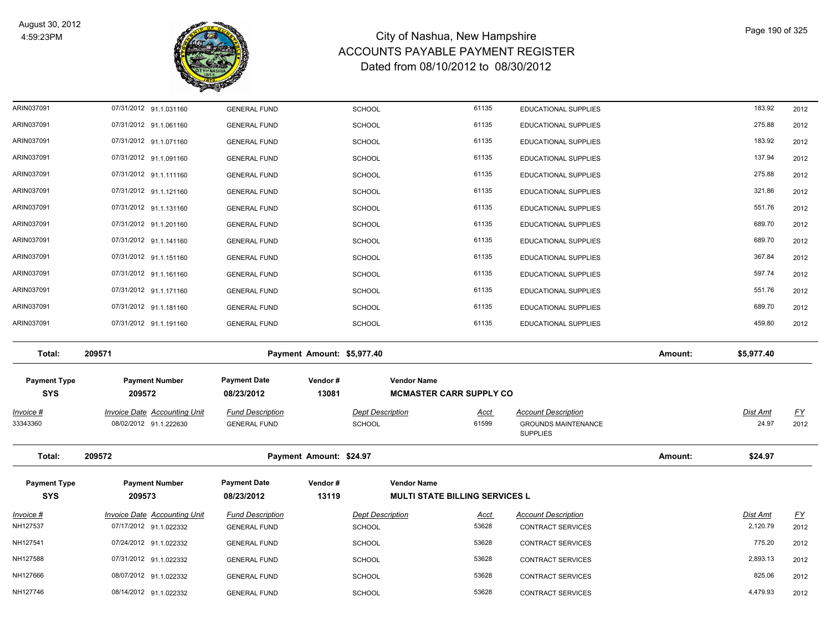

| ARIN037091                        | 07/31/2012 91.1.031160              | <b>GENERAL FUND</b>               |                            | <b>SCHOOL</b>           | 61135                                                       | EDUCATIONAL SUPPLIES                          |         | 183.92     | 2012      |
|-----------------------------------|-------------------------------------|-----------------------------------|----------------------------|-------------------------|-------------------------------------------------------------|-----------------------------------------------|---------|------------|-----------|
| ARIN037091                        | 07/31/2012 91.1.061160              | <b>GENERAL FUND</b>               |                            | <b>SCHOOL</b>           | 61135                                                       | EDUCATIONAL SUPPLIES                          |         | 275.88     | 2012      |
| ARIN037091                        | 07/31/2012 91.1.071160              | <b>GENERAL FUND</b>               |                            | <b>SCHOOL</b>           | 61135                                                       | EDUCATIONAL SUPPLIES                          |         | 183.92     | 2012      |
| ARIN037091                        | 07/31/2012 91.1.091160              | <b>GENERAL FUND</b>               |                            | <b>SCHOOL</b>           | 61135                                                       | EDUCATIONAL SUPPLIES                          |         | 137.94     | 2012      |
| ARIN037091                        | 07/31/2012 91.1.111160              | <b>GENERAL FUND</b>               |                            | <b>SCHOOL</b>           | 61135                                                       | EDUCATIONAL SUPPLIES                          |         | 275.88     | 2012      |
| ARIN037091                        | 07/31/2012 91.1.121160              | <b>GENERAL FUND</b>               |                            | <b>SCHOOL</b>           | 61135                                                       | EDUCATIONAL SUPPLIES                          |         | 321.86     | 2012      |
| ARIN037091                        | 07/31/2012 91.1.131160              | <b>GENERAL FUND</b>               |                            | <b>SCHOOL</b>           | 61135                                                       | EDUCATIONAL SUPPLIES                          |         | 551.76     | 2012      |
| ARIN037091                        | 07/31/2012 91.1.201160              | <b>GENERAL FUND</b>               |                            | <b>SCHOOL</b>           | 61135                                                       | EDUCATIONAL SUPPLIES                          |         | 689.70     | 2012      |
| ARIN037091                        | 07/31/2012 91.1.141160              | <b>GENERAL FUND</b>               |                            | <b>SCHOOL</b>           | 61135                                                       | EDUCATIONAL SUPPLIES                          |         | 689.70     | 2012      |
| ARIN037091                        | 07/31/2012 91.1.151160              | <b>GENERAL FUND</b>               |                            | <b>SCHOOL</b>           | 61135                                                       | EDUCATIONAL SUPPLIES                          |         | 367.84     | 2012      |
| ARIN037091                        | 07/31/2012 91.1.161160              | <b>GENERAL FUND</b>               |                            | <b>SCHOOL</b>           | 61135                                                       | EDUCATIONAL SUPPLIES                          |         | 597.74     | 2012      |
| ARIN037091                        | 07/31/2012 91.1.171160              | <b>GENERAL FUND</b>               |                            | <b>SCHOOL</b>           | 61135                                                       | EDUCATIONAL SUPPLIES                          |         | 551.76     | 2012      |
| ARIN037091                        | 07/31/2012 91.1.181160              | <b>GENERAL FUND</b>               |                            | <b>SCHOOL</b>           | 61135                                                       | EDUCATIONAL SUPPLIES                          |         | 689.70     | 2012      |
| ARIN037091                        | 07/31/2012 91.1.191160              | <b>GENERAL FUND</b>               |                            | <b>SCHOOL</b>           | 61135                                                       | EDUCATIONAL SUPPLIES                          |         | 459.80     | 2012      |
| Total:                            | 209571                              |                                   | Payment Amount: \$5,977.40 |                         |                                                             |                                               | Amount: | \$5,977.40 |           |
| <b>Payment Type</b><br><b>SYS</b> | <b>Payment Number</b><br>209572     | <b>Payment Date</b><br>08/23/2012 | Vendor#<br>13081           |                         | <b>Vendor Name</b><br><b>MCMASTER CARR SUPPLY CO</b>        |                                               |         |            |           |
| Invoice #                         | <b>Invoice Date Accounting Unit</b> | <b>Fund Description</b>           |                            | <b>Dept Description</b> | <u>Acct</u>                                                 | <b>Account Description</b>                    |         | Dist Amt   | <u>FY</u> |
| 33343360                          | 08/02/2012 91.1.222630              | <b>GENERAL FUND</b>               |                            | <b>SCHOOL</b>           | 61599                                                       | <b>GROUNDS MAINTENANCE</b><br><b>SUPPLIES</b> |         | 24.97      | 2012      |
| Total:                            | 209572                              |                                   | Payment Amount: \$24.97    |                         |                                                             |                                               | Amount: | \$24.97    |           |
| <b>Payment Type</b><br><b>SYS</b> | <b>Payment Number</b><br>209573     | <b>Payment Date</b><br>08/23/2012 | Vendor#<br>13119           |                         | <b>Vendor Name</b><br><b>MULTI STATE BILLING SERVICES L</b> |                                               |         |            |           |
| Invoice #                         | Invoice Date Accounting Unit        | <b>Fund Description</b>           |                            | <b>Dept Description</b> | Acct                                                        | <b>Account Description</b>                    |         | Dist Amt   | <u>FY</u> |
| NH127537                          | 07/17/2012 91.1.022332              | <b>GENERAL FUND</b>               |                            | <b>SCHOOL</b>           | 53628                                                       | CONTRACT SERVICES                             |         | 2,120.79   | 2012      |
| NH127541                          | 07/24/2012 91.1.022332              | <b>GENERAL FUND</b>               |                            | <b>SCHOOL</b>           | 53628                                                       | CONTRACT SERVICES                             |         | 775.20     | 2012      |
| NH127588                          | 07/31/2012 91.1.022332              | <b>GENERAL FUND</b>               |                            | <b>SCHOOL</b>           | 53628                                                       | CONTRACT SERVICES                             |         | 2,893.13   | 2012      |
| NH127666                          | 08/07/2012 91.1.022332              | <b>GENERAL FUND</b>               |                            | <b>SCHOOL</b>           | 53628                                                       | CONTRACT SERVICES                             |         | 825.06     | 2012      |
| NH127746                          | 08/14/2012 91.1.022332              | <b>GENERAL FUND</b>               |                            | SCHOOL                  | 53628                                                       | CONTRACT SERVICES                             |         | 4,479.93   | 2012      |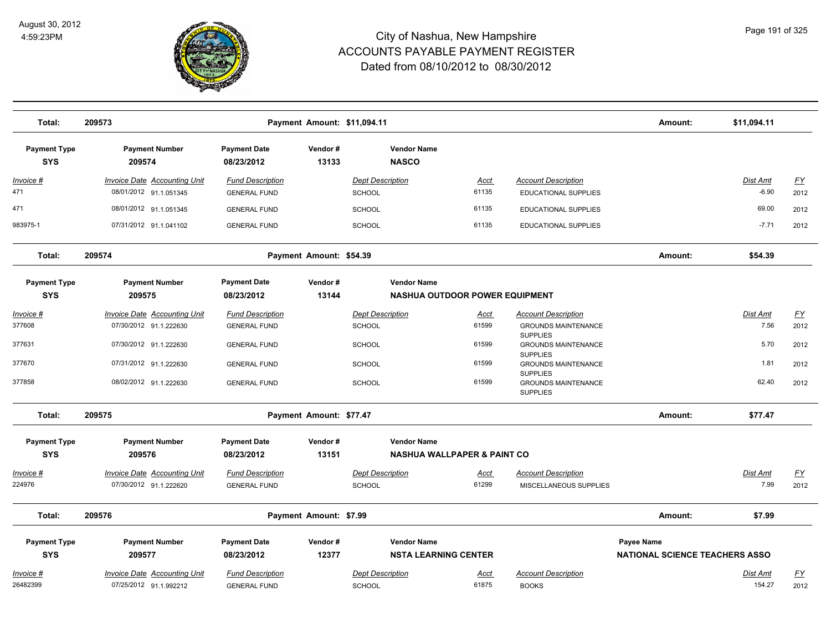

| Total:                            | 209573                                                        |                                                | Payment Amount: \$11,094.11 |                                          |                                        |                                                                  | Amount:                               | \$11,094.11                |                   |
|-----------------------------------|---------------------------------------------------------------|------------------------------------------------|-----------------------------|------------------------------------------|----------------------------------------|------------------------------------------------------------------|---------------------------------------|----------------------------|-------------------|
| <b>Payment Type</b><br><b>SYS</b> | <b>Payment Number</b><br>209574                               | <b>Payment Date</b><br>08/23/2012              | Vendor#<br>13133            | <b>Vendor Name</b><br><b>NASCO</b>       |                                        |                                                                  |                                       |                            |                   |
| Invoice #<br>471                  | <b>Invoice Date Accounting Unit</b><br>08/01/2012 91.1.051345 | <b>Fund Description</b><br><b>GENERAL FUND</b> |                             | <b>Dept Description</b><br><b>SCHOOL</b> | Acct<br>61135                          | <b>Account Description</b><br><b>EDUCATIONAL SUPPLIES</b>        |                                       | <b>Dist Amt</b><br>$-6.90$ | <u>FY</u><br>2012 |
| 471                               | 08/01/2012 91.1.051345                                        | <b>GENERAL FUND</b>                            |                             | SCHOOL                                   | 61135                                  | <b>EDUCATIONAL SUPPLIES</b>                                      |                                       | 69.00                      | 2012              |
| 983975-1                          | 07/31/2012 91.1.041102                                        | <b>GENERAL FUND</b>                            |                             | <b>SCHOOL</b>                            | 61135                                  | <b>EDUCATIONAL SUPPLIES</b>                                      |                                       | $-7.71$                    | 2012              |
| Total:                            | 209574                                                        |                                                | Payment Amount: \$54.39     |                                          |                                        |                                                                  | Amount:                               | \$54.39                    |                   |
| <b>Payment Type</b>               | <b>Payment Number</b>                                         | <b>Payment Date</b>                            | Vendor#                     | <b>Vendor Name</b>                       |                                        |                                                                  |                                       |                            |                   |
| <b>SYS</b>                        | 209575                                                        | 08/23/2012                                     | 13144                       |                                          | <b>NASHUA OUTDOOR POWER EQUIPMENT</b>  |                                                                  |                                       |                            |                   |
| <u> Invoice #</u>                 | <b>Invoice Date Accounting Unit</b>                           | <b>Fund Description</b>                        |                             | <b>Dept Description</b>                  | <u>Acct</u>                            | <b>Account Description</b>                                       |                                       | Dist Amt                   | $\underline{FY}$  |
| 377608                            | 07/30/2012 91.1.222630                                        | <b>GENERAL FUND</b>                            |                             | <b>SCHOOL</b>                            | 61599                                  | <b>GROUNDS MAINTENANCE</b>                                       |                                       | 7.56                       | 2012              |
| 377631                            | 07/30/2012 91.1.222630                                        | <b>GENERAL FUND</b>                            |                             | <b>SCHOOL</b>                            | 61599                                  | <b>SUPPLIES</b><br><b>GROUNDS MAINTENANCE</b><br><b>SUPPLIES</b> |                                       | 5.70                       | 2012              |
| 377670                            | 07/31/2012 91.1.222630                                        | <b>GENERAL FUND</b>                            |                             | <b>SCHOOL</b>                            | 61599                                  | <b>GROUNDS MAINTENANCE</b><br><b>SUPPLIES</b>                    |                                       | 1.81                       | 2012              |
| 377858                            | 08/02/2012 91.1.222630                                        | <b>GENERAL FUND</b>                            |                             | <b>SCHOOL</b>                            | 61599                                  | <b>GROUNDS MAINTENANCE</b><br><b>SUPPLIES</b>                    |                                       | 62.40                      | 2012              |
| Total:                            | 209575                                                        |                                                | Payment Amount: \$77.47     |                                          |                                        |                                                                  | Amount:                               | \$77.47                    |                   |
| <b>Payment Type</b>               | <b>Payment Number</b>                                         | <b>Payment Date</b>                            | Vendor#                     | <b>Vendor Name</b>                       |                                        |                                                                  |                                       |                            |                   |
| <b>SYS</b>                        | 209576                                                        | 08/23/2012                                     | 13151                       |                                          | <b>NASHUA WALLPAPER &amp; PAINT CO</b> |                                                                  |                                       |                            |                   |
| Invoice #                         | <b>Invoice Date Accounting Unit</b>                           | <b>Fund Description</b>                        |                             | <b>Dept Description</b>                  | <u>Acct</u>                            | <b>Account Description</b>                                       |                                       | Dist Amt                   | $\underline{FY}$  |
| 224976                            | 07/30/2012 91.1.222620                                        | <b>GENERAL FUND</b>                            |                             | <b>SCHOOL</b>                            | 61299                                  | MISCELLANEOUS SUPPLIES                                           |                                       | 7.99                       | 2012              |
| Total:                            | 209576                                                        |                                                | Payment Amount: \$7.99      |                                          |                                        |                                                                  | Amount:                               | \$7.99                     |                   |
| <b>Payment Type</b>               | <b>Payment Number</b>                                         | <b>Payment Date</b>                            | Vendor#                     | <b>Vendor Name</b>                       |                                        |                                                                  | <b>Payee Name</b>                     |                            |                   |
| <b>SYS</b>                        | 209577                                                        | 08/23/2012                                     | 12377                       |                                          | <b>NSTA LEARNING CENTER</b>            |                                                                  | <b>NATIONAL SCIENCE TEACHERS ASSO</b> |                            |                   |
| Invoice #                         | <b>Invoice Date Accounting Unit</b>                           | <b>Fund Description</b>                        |                             | <b>Dept Description</b>                  | Acct                                   | <b>Account Description</b>                                       |                                       | Dist Amt                   | $\underline{FY}$  |
| 26482399                          | 07/25/2012 91.1.992212                                        | <b>GENERAL FUND</b>                            |                             | <b>SCHOOL</b>                            | 61875                                  | <b>BOOKS</b>                                                     |                                       | 154.27                     | 2012              |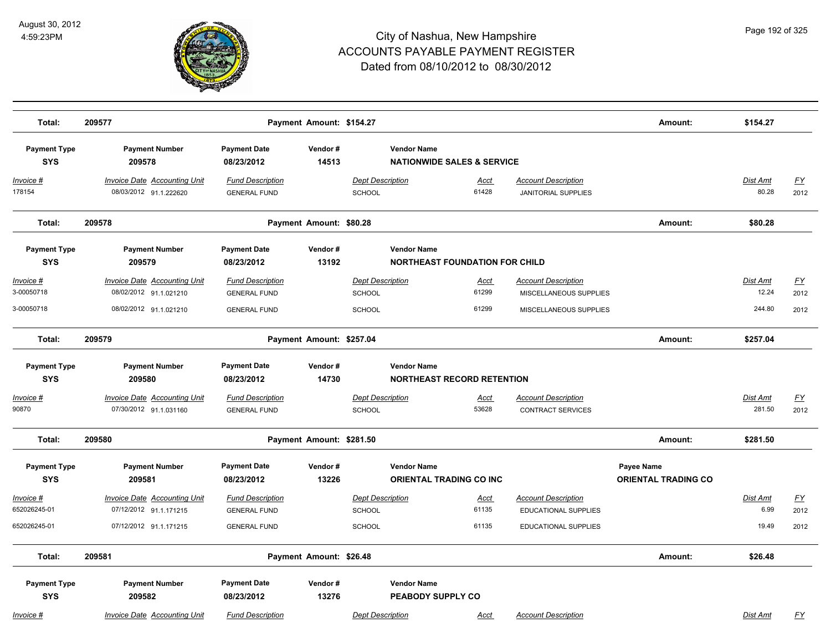

| Total:                                | 209577                                                                                  |                                                                       | Payment Amount: \$154.27 |                                                           |                                       |                                                                                | Amount:                                  | \$154.27                           |                           |
|---------------------------------------|-----------------------------------------------------------------------------------------|-----------------------------------------------------------------------|--------------------------|-----------------------------------------------------------|---------------------------------------|--------------------------------------------------------------------------------|------------------------------------------|------------------------------------|---------------------------|
| <b>Payment Type</b><br><b>SYS</b>     | <b>Payment Number</b><br>209578                                                         | <b>Payment Date</b><br>08/23/2012                                     | Vendor#<br>14513         | <b>Vendor Name</b>                                        | <b>NATIONWIDE SALES &amp; SERVICE</b> |                                                                                |                                          |                                    |                           |
| $Invoice$ #<br>178154                 | <b>Invoice Date Accounting Unit</b><br>08/03/2012 91.1.222620                           | <b>Fund Description</b><br><b>GENERAL FUND</b>                        |                          | <b>Dept Description</b><br><b>SCHOOL</b>                  | <b>Acct</b><br>61428                  | <b>Account Description</b><br><b>JANITORIAL SUPPLIES</b>                       |                                          | Dist Amt<br>80.28                  | <u>FY</u><br>2012         |
| Total:                                | 209578                                                                                  |                                                                       | Payment Amount: \$80.28  |                                                           |                                       |                                                                                | Amount:                                  | \$80.28                            |                           |
| <b>Payment Type</b><br><b>SYS</b>     | <b>Payment Number</b><br>209579                                                         | <b>Payment Date</b><br>08/23/2012                                     | Vendor#<br>13192         | <b>Vendor Name</b>                                        | <b>NORTHEAST FOUNDATION FOR CHILD</b> |                                                                                |                                          |                                    |                           |
| Invoice #<br>3-00050718<br>3-00050718 | <b>Invoice Date Accounting Unit</b><br>08/02/2012 91.1.021210<br>08/02/2012 91.1.021210 | <b>Fund Description</b><br><b>GENERAL FUND</b><br><b>GENERAL FUND</b> |                          | <b>Dept Description</b><br><b>SCHOOL</b><br><b>SCHOOL</b> | <b>Acct</b><br>61299<br>61299         | <b>Account Description</b><br>MISCELLANEOUS SUPPLIES<br>MISCELLANEOUS SUPPLIES |                                          | <b>Dist Amt</b><br>12.24<br>244.80 | <u>FY</u><br>2012<br>2012 |
| Total:                                | 209579                                                                                  |                                                                       | Payment Amount: \$257.04 |                                                           |                                       |                                                                                | Amount:                                  | \$257.04                           |                           |
| <b>Payment Type</b><br><b>SYS</b>     | <b>Payment Number</b><br>209580                                                         | <b>Payment Date</b><br>08/23/2012                                     | Vendor#<br>14730         | <b>Vendor Name</b>                                        | <b>NORTHEAST RECORD RETENTION</b>     |                                                                                |                                          |                                    |                           |
| Invoice #<br>90870                    | Invoice Date Accounting Unit<br>07/30/2012 91.1.031160                                  | <b>Fund Description</b><br><b>GENERAL FUND</b>                        |                          | <b>Dept Description</b><br><b>SCHOOL</b>                  | Acct<br>53628                         | <b>Account Description</b><br><b>CONTRACT SERVICES</b>                         |                                          | <b>Dist Amt</b><br>281.50          | <u>FY</u><br>2012         |
| Total:                                | 209580                                                                                  |                                                                       | Payment Amount: \$281.50 |                                                           |                                       |                                                                                | Amount:                                  | \$281.50                           |                           |
| <b>Payment Type</b><br><b>SYS</b>     | <b>Payment Number</b><br>209581                                                         | <b>Payment Date</b><br>08/23/2012                                     | Vendor#<br>13226         | <b>Vendor Name</b>                                        | <b>ORIENTAL TRADING CO INC.</b>       |                                                                                | Payee Name<br><b>ORIENTAL TRADING CO</b> |                                    |                           |
| Invoice #<br>652026245-01             | Invoice Date Accounting Unit<br>07/12/2012 91.1.171215                                  | <b>Fund Description</b><br><b>GENERAL FUND</b>                        |                          | <b>Dept Description</b><br><b>SCHOOL</b>                  | <u>Acct</u><br>61135                  | <b>Account Description</b><br><b>EDUCATIONAL SUPPLIES</b>                      |                                          | Dist Amt<br>6.99                   | <u>FY</u><br>2012         |
| 652026245-01                          | 07/12/2012 91.1.171215                                                                  | <b>GENERAL FUND</b>                                                   |                          | <b>SCHOOL</b>                                             | 61135                                 | <b>EDUCATIONAL SUPPLIES</b>                                                    |                                          | 19.49                              | 2012                      |
| Total:                                | 209581                                                                                  |                                                                       | Payment Amount: \$26.48  |                                                           |                                       |                                                                                | Amount:                                  | \$26.48                            |                           |
| <b>Payment Type</b><br><b>SYS</b>     | <b>Payment Number</b><br>209582                                                         | <b>Payment Date</b><br>08/23/2012                                     | Vendor#<br>13276         | <b>Vendor Name</b>                                        | PEABODY SUPPLY CO                     |                                                                                |                                          |                                    |                           |
| Invoice #                             | Invoice Date Accounting Unit                                                            | <b>Fund Description</b>                                               |                          | <b>Dept Description</b>                                   | Acct                                  | <b>Account Description</b>                                                     |                                          | Dist Amt                           | FΥ                        |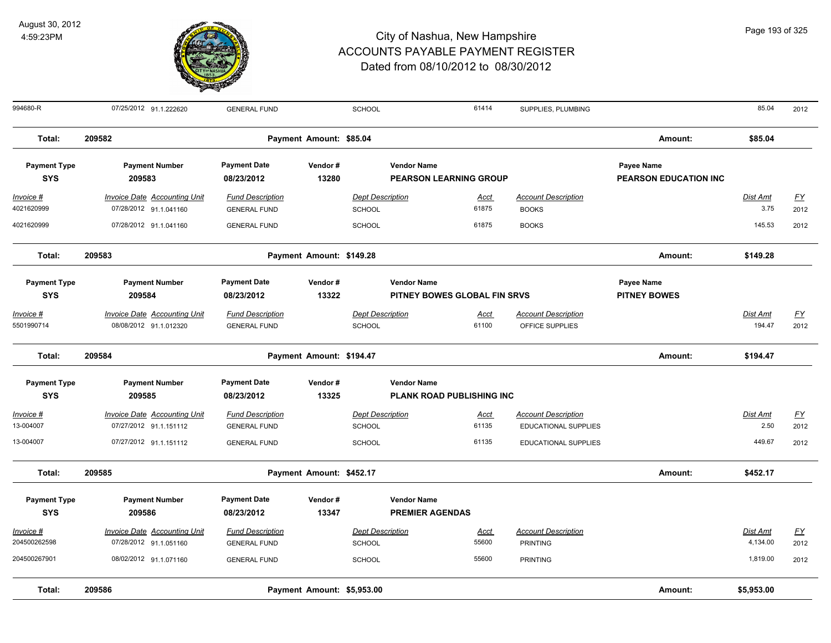

| 994680-R                          | 07/25/2012 91.1.222620                                        | <b>GENERAL FUND</b>                            |                            | SCHOOL                                   |                                                     | 61414                | SUPPLIES, PLUMBING                                        |                                            | 85.04                   | 2012              |
|-----------------------------------|---------------------------------------------------------------|------------------------------------------------|----------------------------|------------------------------------------|-----------------------------------------------------|----------------------|-----------------------------------------------------------|--------------------------------------------|-------------------------|-------------------|
| Total:                            | 209582                                                        |                                                | Payment Amount: \$85.04    |                                          |                                                     |                      |                                                           | Amount:                                    | \$85.04                 |                   |
| <b>Payment Type</b><br><b>SYS</b> | <b>Payment Number</b><br>209583                               | <b>Payment Date</b><br>08/23/2012              | Vendor#<br>13280           |                                          | <b>Vendor Name</b><br><b>PEARSON LEARNING GROUP</b> |                      |                                                           | Payee Name<br><b>PEARSON EDUCATION INC</b> |                         |                   |
| <u> Invoice #</u><br>4021620999   | <b>Invoice Date Accounting Unit</b><br>07/28/2012 91.1.041160 | <b>Fund Description</b><br><b>GENERAL FUND</b> |                            | <b>Dept Description</b><br>SCHOOL        |                                                     | <u>Acct</u><br>61875 | <b>Account Description</b><br><b>BOOKS</b>                |                                            | <b>Dist Amt</b><br>3.75 | <u>FY</u><br>2012 |
| 4021620999                        | 07/28/2012 91.1.041160                                        | <b>GENERAL FUND</b>                            |                            | SCHOOL                                   |                                                     | 61875                | <b>BOOKS</b>                                              |                                            | 145.53                  | 2012              |
| Total:                            | 209583                                                        |                                                | Payment Amount: \$149.28   |                                          |                                                     |                      |                                                           | Amount:                                    | \$149.28                |                   |
| <b>Payment Type</b><br><b>SYS</b> | <b>Payment Number</b><br>209584                               | <b>Payment Date</b><br>08/23/2012              | Vendor#<br>13322           |                                          | <b>Vendor Name</b><br>PITNEY BOWES GLOBAL FIN SRVS  |                      |                                                           | Payee Name<br><b>PITNEY BOWES</b>          |                         |                   |
| <u> Invoice #</u><br>5501990714   | <b>Invoice Date Accounting Unit</b><br>08/08/2012 91.1.012320 | <b>Fund Description</b><br><b>GENERAL FUND</b> |                            | <b>Dept Description</b><br><b>SCHOOL</b> |                                                     | <u>Acct</u><br>61100 | <b>Account Description</b><br>OFFICE SUPPLIES             |                                            | Dist Amt<br>194.47      | EY<br>2012        |
| Total:                            | 209584                                                        |                                                | Payment Amount: \$194.47   |                                          |                                                     |                      |                                                           | Amount:                                    | \$194.47                |                   |
| <b>Payment Type</b><br><b>SYS</b> | <b>Payment Number</b><br>209585                               | <b>Payment Date</b><br>08/23/2012              | Vendor#<br>13325           |                                          | <b>Vendor Name</b><br>PLANK ROAD PUBLISHING INC     |                      |                                                           |                                            |                         |                   |
| Invoice #<br>13-004007            | <b>Invoice Date Accounting Unit</b><br>07/27/2012 91.1.151112 | <b>Fund Description</b><br><b>GENERAL FUND</b> |                            | <b>Dept Description</b><br><b>SCHOOL</b> |                                                     | <u>Acct</u><br>61135 | <b>Account Description</b><br><b>EDUCATIONAL SUPPLIES</b> |                                            | <b>Dist Amt</b><br>2.50 | EY<br>2012        |
| 13-004007                         | 07/27/2012 91.1.151112                                        | <b>GENERAL FUND</b>                            |                            | <b>SCHOOL</b>                            |                                                     | 61135                | <b>EDUCATIONAL SUPPLIES</b>                               |                                            | 449.67                  | 2012              |
| Total:                            | 209585                                                        |                                                | Payment Amount: \$452.17   |                                          |                                                     |                      |                                                           | Amount:                                    | \$452.17                |                   |
| <b>Payment Type</b><br><b>SYS</b> | <b>Payment Number</b><br>209586                               | <b>Payment Date</b><br>08/23/2012              | Vendor#<br>13347           |                                          | <b>Vendor Name</b><br><b>PREMIER AGENDAS</b>        |                      |                                                           |                                            |                         |                   |
| Invoice #<br>204500262598         | Invoice Date Accounting Unit<br>07/28/2012 91.1.051160        | <b>Fund Description</b><br><b>GENERAL FUND</b> |                            | <b>Dept Description</b><br><b>SCHOOL</b> |                                                     | <u>Acct</u><br>55600 | <b>Account Description</b><br><b>PRINTING</b>             |                                            | Dist Amt<br>4,134.00    | <u>FY</u><br>2012 |
| 204500267901                      | 08/02/2012 91.1.071160                                        | <b>GENERAL FUND</b>                            |                            | <b>SCHOOL</b>                            |                                                     | 55600                | <b>PRINTING</b>                                           |                                            | 1,819.00                | 2012              |
| Total:                            | 209586                                                        |                                                | Payment Amount: \$5,953.00 |                                          |                                                     |                      |                                                           | Amount:                                    | \$5,953.00              |                   |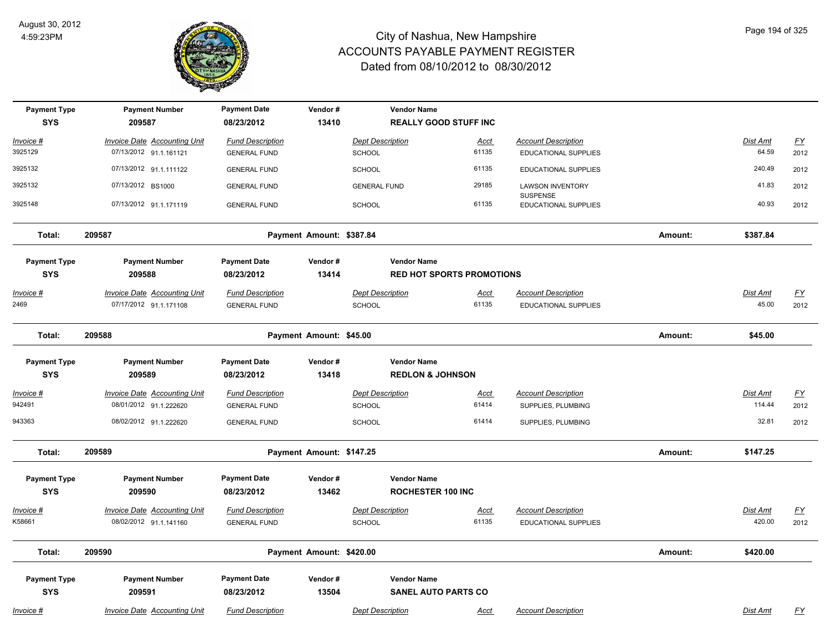

| <b>Payment Type</b><br><b>SYS</b> | <b>Payment Number</b><br>209587     | <b>Payment Date</b><br>08/23/2012 | Vendor#<br>13410         | <b>Vendor Name</b>          | <b>REALLY GOOD STUFF INC</b>     |                                            |         |                 |           |
|-----------------------------------|-------------------------------------|-----------------------------------|--------------------------|-----------------------------|----------------------------------|--------------------------------------------|---------|-----------------|-----------|
| Invoice #                         | Invoice Date Accounting Unit        | <b>Fund Description</b>           |                          | <b>Dept Description</b>     | <u>Acct</u>                      | <b>Account Description</b>                 |         | Dist Amt        | <u>FY</u> |
| 3925129                           | 07/13/2012 91.1.161121              | <b>GENERAL FUND</b>               |                          | <b>SCHOOL</b>               | 61135                            | <b>EDUCATIONAL SUPPLIES</b>                |         | 64.59           | 2012      |
| 3925132                           | 07/13/2012 91.1.111122              | <b>GENERAL FUND</b>               |                          | <b>SCHOOL</b>               | 61135                            | <b>EDUCATIONAL SUPPLIES</b>                |         | 240.49          | 2012      |
| 3925132                           | 07/13/2012 BS1000                   | <b>GENERAL FUND</b>               |                          | <b>GENERAL FUND</b>         | 29185                            | <b>LAWSON INVENTORY</b><br><b>SUSPENSE</b> |         | 41.83           | 2012      |
| 3925148                           | 07/13/2012 91.1.171119              | <b>GENERAL FUND</b>               |                          | SCHOOL                      | 61135                            | <b>EDUCATIONAL SUPPLIES</b>                |         | 40.93           | 2012      |
| Total:                            | 209587                              |                                   | Payment Amount: \$387.84 |                             |                                  |                                            | Amount: | \$387.84        |           |
| <b>Payment Type</b>               | <b>Payment Number</b>               | <b>Payment Date</b>               | Vendor#                  | <b>Vendor Name</b>          |                                  |                                            |         |                 |           |
| <b>SYS</b>                        | 209588                              | 08/23/2012                        | 13414                    |                             | <b>RED HOT SPORTS PROMOTIONS</b> |                                            |         |                 |           |
| <u>Invoice #</u>                  | <b>Invoice Date Accounting Unit</b> | <b>Fund Description</b>           |                          | <b>Dept Description</b>     | <b>Acct</b>                      | <b>Account Description</b>                 |         | <b>Dist Amt</b> | EY        |
| 2469                              | 07/17/2012 91.1.171108              | <b>GENERAL FUND</b>               |                          | SCHOOL                      | 61135                            | <b>EDUCATIONAL SUPPLIES</b>                |         | 45.00           | 2012      |
| Total:                            | 209588                              |                                   | Payment Amount: \$45.00  |                             |                                  |                                            | Amount: | \$45.00         |           |
| <b>Payment Type</b>               | <b>Payment Number</b>               | <b>Payment Date</b>               | Vendor#                  | <b>Vendor Name</b>          |                                  |                                            |         |                 |           |
| <b>SYS</b>                        | 209589                              | 08/23/2012                        | 13418                    | <b>REDLON &amp; JOHNSON</b> |                                  |                                            |         |                 |           |
| Invoice #                         | <b>Invoice Date Accounting Unit</b> | <b>Fund Description</b>           |                          | <b>Dept Description</b>     | <u>Acct</u>                      | <b>Account Description</b>                 |         | Dist Amt        | <u>FY</u> |
| 942491                            | 08/01/2012 91.1.222620              | <b>GENERAL FUND</b>               |                          | SCHOOL                      | 61414                            | SUPPLIES, PLUMBING                         |         | 114.44          | 2012      |
| 943363                            | 08/02/2012 91.1.222620              | <b>GENERAL FUND</b>               |                          | SCHOOL                      | 61414                            | SUPPLIES, PLUMBING                         |         | 32.81           | 2012      |
| Total:                            | 209589                              |                                   | Payment Amount: \$147.25 |                             |                                  |                                            | Amount: | \$147.25        |           |
| <b>Payment Type</b>               | <b>Payment Number</b>               | <b>Payment Date</b>               | Vendor#                  | <b>Vendor Name</b>          |                                  |                                            |         |                 |           |
| <b>SYS</b>                        | 209590                              | 08/23/2012                        | 13462                    | <b>ROCHESTER 100 INC</b>    |                                  |                                            |         |                 |           |
| Invoice #                         | <b>Invoice Date Accounting Unit</b> | <b>Fund Description</b>           |                          | <b>Dept Description</b>     | <u>Acct</u>                      | <b>Account Description</b>                 |         | <b>Dist Amt</b> | <u>FY</u> |
| K58661                            | 08/02/2012 91.1.141160              | <b>GENERAL FUND</b>               |                          | <b>SCHOOL</b>               | 61135                            | EDUCATIONAL SUPPLIES                       |         | 420.00          | 2012      |
| Total:                            | 209590                              |                                   | Payment Amount: \$420.00 |                             |                                  |                                            | Amount: | \$420.00        |           |
| <b>Payment Type</b>               | <b>Payment Number</b>               | <b>Payment Date</b>               | Vendor#                  | <b>Vendor Name</b>          |                                  |                                            |         |                 |           |
| <b>SYS</b>                        | 209591                              | 08/23/2012                        | 13504                    |                             | <b>SANEL AUTO PARTS CO</b>       |                                            |         |                 |           |
| Invoice #                         | <b>Invoice Date Accounting Unit</b> | <b>Fund Description</b>           |                          | <b>Dept Description</b>     | <u>Acct</u>                      | <b>Account Description</b>                 |         | Dist Amt        | <u>FY</u> |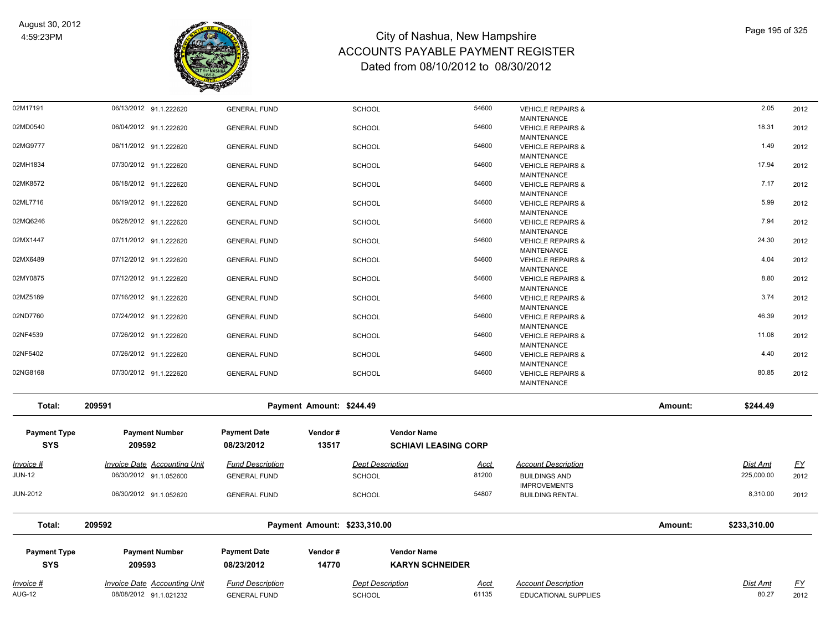

| 02M17191            | 06/13/2012 91.1.222620              | <b>GENERAL FUND</b>     |                              | <b>SCHOOL</b>           |                             | 54600       | <b>VEHICLE REPAIRS &amp;</b>                |         | 2.05            | 2012      |
|---------------------|-------------------------------------|-------------------------|------------------------------|-------------------------|-----------------------------|-------------|---------------------------------------------|---------|-----------------|-----------|
| 02MD0540            | 06/04/2012 91.1.222620              | <b>GENERAL FUND</b>     |                              | <b>SCHOOL</b>           |                             | 54600       | MAINTENANCE<br><b>VEHICLE REPAIRS &amp;</b> |         | 18.31           | 2012      |
|                     |                                     |                         |                              |                         |                             |             | <b>MAINTENANCE</b>                          |         |                 |           |
| 02MG9777            | 06/11/2012 91.1.222620              | <b>GENERAL FUND</b>     |                              | SCHOOL                  |                             | 54600       | <b>VEHICLE REPAIRS &amp;</b>                |         | 1.49            | 2012      |
|                     |                                     |                         |                              |                         |                             |             | <b>MAINTENANCE</b>                          |         |                 |           |
| 02MH1834            | 07/30/2012 91.1.222620              | <b>GENERAL FUND</b>     |                              | <b>SCHOOL</b>           |                             | 54600       | <b>VEHICLE REPAIRS &amp;</b>                |         | 17.94           | 2012      |
|                     |                                     |                         |                              |                         |                             |             | <b>MAINTENANCE</b>                          |         |                 |           |
| 02MK8572            | 06/18/2012 91.1.222620              | <b>GENERAL FUND</b>     |                              | <b>SCHOOL</b>           |                             | 54600       | <b>VEHICLE REPAIRS &amp;</b>                |         | 7.17            | 2012      |
|                     |                                     |                         |                              |                         |                             |             | <b>MAINTENANCE</b>                          |         |                 |           |
| 02ML7716            | 06/19/2012 91.1.222620              | <b>GENERAL FUND</b>     |                              | <b>SCHOOL</b>           |                             | 54600       | <b>VEHICLE REPAIRS &amp;</b>                |         | 5.99            | 2012      |
|                     |                                     |                         |                              |                         |                             |             | <b>MAINTENANCE</b>                          |         |                 |           |
| 02MQ6246            | 06/28/2012 91.1.222620              | <b>GENERAL FUND</b>     |                              | <b>SCHOOL</b>           |                             | 54600       | <b>VEHICLE REPAIRS &amp;</b>                |         | 7.94            | 2012      |
|                     |                                     |                         |                              |                         |                             |             | MAINTENANCE                                 |         |                 |           |
| 02MX1447            | 07/11/2012 91.1.222620              | <b>GENERAL FUND</b>     |                              | <b>SCHOOL</b>           |                             | 54600       | <b>VEHICLE REPAIRS &amp;</b>                |         | 24.30           | 2012      |
|                     |                                     |                         |                              |                         |                             |             | <b>MAINTENANCE</b>                          |         |                 |           |
| 02MX6489            | 07/12/2012 91.1.222620              | <b>GENERAL FUND</b>     |                              | <b>SCHOOL</b>           |                             | 54600       | <b>VEHICLE REPAIRS &amp;</b>                |         | 4.04            | 2012      |
|                     |                                     |                         |                              |                         |                             |             | <b>MAINTENANCE</b>                          |         |                 |           |
| 02MY0875            | 07/12/2012 91.1.222620              | <b>GENERAL FUND</b>     |                              | <b>SCHOOL</b>           |                             | 54600       | <b>VEHICLE REPAIRS &amp;</b>                |         | 8.80            | 2012      |
|                     |                                     |                         |                              |                         |                             |             | <b>MAINTENANCE</b>                          |         |                 |           |
| 02MZ5189            | 07/16/2012 91.1.222620              | <b>GENERAL FUND</b>     |                              | <b>SCHOOL</b>           |                             | 54600       | <b>VEHICLE REPAIRS &amp;</b>                |         | 3.74            | 2012      |
|                     |                                     |                         |                              |                         |                             |             | <b>MAINTENANCE</b>                          |         |                 |           |
| 02ND7760            | 07/24/2012 91.1.222620              | <b>GENERAL FUND</b>     |                              | <b>SCHOOL</b>           |                             | 54600       | <b>VEHICLE REPAIRS &amp;</b>                |         | 46.39           | 2012      |
|                     |                                     |                         |                              |                         |                             |             | <b>MAINTENANCE</b>                          |         |                 |           |
| 02NF4539            | 07/26/2012 91.1.222620              | <b>GENERAL FUND</b>     |                              | <b>SCHOOL</b>           |                             | 54600       | <b>VEHICLE REPAIRS &amp;</b>                |         | 11.08           | 2012      |
|                     |                                     |                         |                              |                         |                             |             | <b>MAINTENANCE</b>                          |         |                 |           |
| 02NF5402            | 07/26/2012 91.1.222620              | <b>GENERAL FUND</b>     |                              | <b>SCHOOL</b>           |                             | 54600       | <b>VEHICLE REPAIRS &amp;</b>                |         | 4.40            | 2012      |
|                     |                                     |                         |                              |                         |                             |             | <b>MAINTENANCE</b>                          |         |                 |           |
| 02NG8168            | 07/30/2012 91.1.222620              | <b>GENERAL FUND</b>     |                              | <b>SCHOOL</b>           |                             | 54600       | <b>VEHICLE REPAIRS &amp;</b>                |         | 80.85           | 2012      |
|                     |                                     |                         |                              |                         |                             |             | <b>MAINTENANCE</b>                          |         |                 |           |
| Total:              | 209591                              |                         | Payment Amount: \$244.49     |                         |                             |             |                                             | Amount: | \$244.49        |           |
| <b>Payment Type</b> | <b>Payment Number</b>               | <b>Payment Date</b>     | Vendor#                      |                         | <b>Vendor Name</b>          |             |                                             |         |                 |           |
|                     |                                     |                         |                              |                         |                             |             |                                             |         |                 |           |
| <b>SYS</b>          | 209592                              | 08/23/2012              | 13517                        |                         | <b>SCHIAVI LEASING CORP</b> |             |                                             |         |                 |           |
| <u>Invoice #</u>    | <b>Invoice Date Accounting Unit</b> | <b>Fund Description</b> |                              | <b>Dept Description</b> |                             | <u>Acct</u> | <b>Account Description</b>                  |         | <b>Dist Amt</b> | <u>FY</u> |
| <b>JUN-12</b>       | 06/30/2012 91.1.052600              | <b>GENERAL FUND</b>     |                              | <b>SCHOOL</b>           |                             | 81200       | <b>BUILDINGS AND</b>                        |         | 225,000.00      | 2012      |
|                     |                                     |                         |                              |                         |                             |             | <b>IMPROVEMENTS</b>                         |         |                 |           |
| <b>JUN-2012</b>     | 06/30/2012 91.1.052620              | <b>GENERAL FUND</b>     |                              | <b>SCHOOL</b>           |                             | 54807       | <b>BUILDING RENTAL</b>                      |         | 8,310.00        | 2012      |
|                     |                                     |                         |                              |                         |                             |             |                                             |         |                 |           |
| Total:              | 209592                              |                         | Payment Amount: \$233,310.00 |                         |                             |             |                                             | Amount: | \$233,310.00    |           |
| <b>Payment Type</b> | <b>Payment Number</b>               | <b>Payment Date</b>     | Vendor#                      |                         | <b>Vendor Name</b>          |             |                                             |         |                 |           |
|                     |                                     |                         |                              |                         |                             |             |                                             |         |                 |           |
| <b>SYS</b>          | 209593                              | 08/23/2012              | 14770                        |                         | <b>KARYN SCHNEIDER</b>      |             |                                             |         |                 |           |
| Invoice #           | <b>Invoice Date Accounting Unit</b> | <b>Fund Description</b> |                              | <b>Dept Description</b> |                             | Acct        | <b>Account Description</b>                  |         | Dist Amt        | <u>FY</u> |
|                     |                                     |                         |                              |                         |                             |             |                                             |         |                 |           |
| <b>AUG-12</b>       | 08/08/2012 91.1.021232              | <b>GENERAL FUND</b>     |                              | SCHOOL                  |                             | 61135       | <b>EDUCATIONAL SUPPLIES</b>                 |         | 80.27           | 2012      |
|                     |                                     |                         |                              |                         |                             |             |                                             |         |                 |           |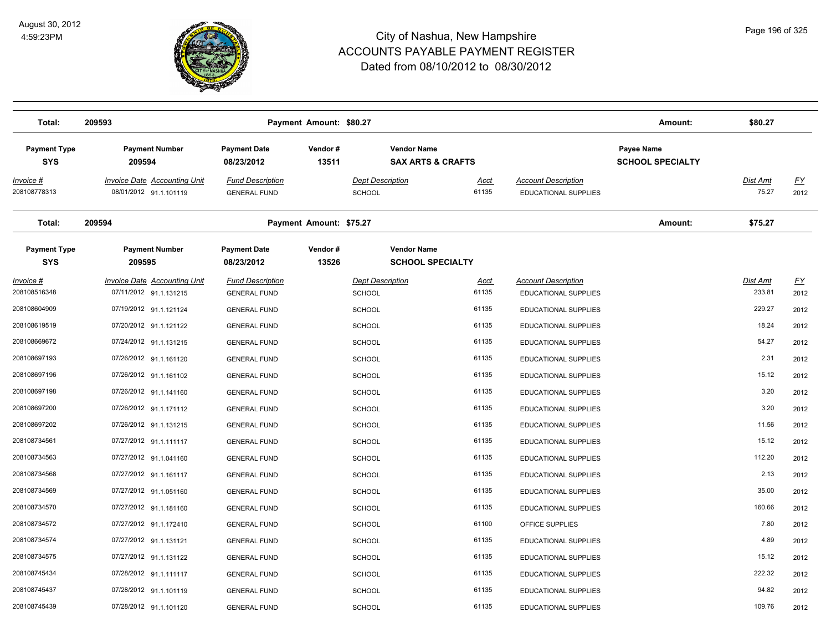

| Total:                            | 209593                                                        |                                                | Payment Amount: \$80.27 |                                                    |                      |                                                           | Amount:                               | \$80.27                  |                   |
|-----------------------------------|---------------------------------------------------------------|------------------------------------------------|-------------------------|----------------------------------------------------|----------------------|-----------------------------------------------------------|---------------------------------------|--------------------------|-------------------|
| <b>Payment Type</b><br><b>SYS</b> | <b>Payment Number</b><br>209594                               | <b>Payment Date</b><br>08/23/2012              | Vendor#<br>13511        | <b>Vendor Name</b><br><b>SAX ARTS &amp; CRAFTS</b> |                      |                                                           | Payee Name<br><b>SCHOOL SPECIALTY</b> |                          |                   |
| Invoice #<br>208108778313         | <b>Invoice Date Accounting Unit</b><br>08/01/2012 91.1.101119 | <b>Fund Description</b><br><b>GENERAL FUND</b> |                         | <b>Dept Description</b><br><b>SCHOOL</b>           | Acct<br>61135        | <b>Account Description</b><br>EDUCATIONAL SUPPLIES        |                                       | <u>Dist Amt</u><br>75.27 | <u>FY</u><br>2012 |
| Total:                            | 209594                                                        |                                                | Payment Amount: \$75.27 |                                                    |                      |                                                           | Amount:                               | \$75.27                  |                   |
| <b>Payment Type</b><br><b>SYS</b> | <b>Payment Number</b><br>209595                               | <b>Payment Date</b><br>08/23/2012              | Vendor#<br>13526        | <b>Vendor Name</b><br><b>SCHOOL SPECIALTY</b>      |                      |                                                           |                                       |                          |                   |
| Invoice #<br>208108516348         | <b>Invoice Date Accounting Unit</b><br>07/11/2012 91.1.131215 | <b>Fund Description</b><br><b>GENERAL FUND</b> |                         | <b>Dept Description</b><br><b>SCHOOL</b>           | <u>Acct</u><br>61135 | <b>Account Description</b><br><b>EDUCATIONAL SUPPLIES</b> |                                       | Dist Amt<br>233.81       | <u>FY</u><br>2012 |
| 208108604909                      | 07/19/2012 91.1.121124                                        | <b>GENERAL FUND</b>                            |                         | <b>SCHOOL</b>                                      | 61135                | EDUCATIONAL SUPPLIES                                      |                                       | 229.27                   | 2012              |
| 208108619519                      | 07/20/2012 91.1.121122                                        | <b>GENERAL FUND</b>                            |                         | <b>SCHOOL</b>                                      | 61135                | EDUCATIONAL SUPPLIES                                      |                                       | 18.24                    | 2012              |
| 208108669672                      | 07/24/2012 91.1.131215                                        | <b>GENERAL FUND</b>                            |                         | <b>SCHOOL</b>                                      | 61135                | <b>EDUCATIONAL SUPPLIES</b>                               |                                       | 54.27                    | 2012              |
| 208108697193                      | 07/26/2012 91.1.161120                                        | <b>GENERAL FUND</b>                            |                         | <b>SCHOOL</b>                                      | 61135                | EDUCATIONAL SUPPLIES                                      |                                       | 2.31                     | 2012              |
| 208108697196                      | 07/26/2012 91.1.161102                                        | <b>GENERAL FUND</b>                            |                         | <b>SCHOOL</b>                                      | 61135                | <b>EDUCATIONAL SUPPLIES</b>                               |                                       | 15.12                    | 2012              |
| 208108697198                      | 07/26/2012 91.1.141160                                        | <b>GENERAL FUND</b>                            |                         | <b>SCHOOL</b>                                      | 61135                | EDUCATIONAL SUPPLIES                                      |                                       | 3.20                     | 2012              |
| 208108697200                      | 07/26/2012 91.1.171112                                        | <b>GENERAL FUND</b>                            |                         | <b>SCHOOL</b>                                      | 61135                | <b>EDUCATIONAL SUPPLIES</b>                               |                                       | 3.20                     | 2012              |
| 208108697202                      | 07/26/2012 91.1.131215                                        | <b>GENERAL FUND</b>                            |                         | <b>SCHOOL</b>                                      | 61135                | EDUCATIONAL SUPPLIES                                      |                                       | 11.56                    | 2012              |
| 208108734561                      | 07/27/2012 91.1.111117                                        | <b>GENERAL FUND</b>                            |                         | <b>SCHOOL</b>                                      | 61135                | EDUCATIONAL SUPPLIES                                      |                                       | 15.12                    | 2012              |
| 208108734563                      | 07/27/2012 91.1.041160                                        | <b>GENERAL FUND</b>                            |                         | <b>SCHOOL</b>                                      | 61135                | EDUCATIONAL SUPPLIES                                      |                                       | 112.20                   | 2012              |
| 208108734568                      | 07/27/2012 91.1.161117                                        | <b>GENERAL FUND</b>                            |                         | <b>SCHOOL</b>                                      | 61135                | EDUCATIONAL SUPPLIES                                      |                                       | 2.13                     | 2012              |
| 208108734569                      | 07/27/2012 91.1.051160                                        | <b>GENERAL FUND</b>                            |                         | <b>SCHOOL</b>                                      | 61135                | EDUCATIONAL SUPPLIES                                      |                                       | 35.00                    | 2012              |
| 208108734570                      | 07/27/2012 91.1.181160                                        | <b>GENERAL FUND</b>                            |                         | <b>SCHOOL</b>                                      | 61135                | <b>EDUCATIONAL SUPPLIES</b>                               |                                       | 160.66                   | 2012              |
| 208108734572                      | 07/27/2012 91.1.172410                                        | <b>GENERAL FUND</b>                            |                         | <b>SCHOOL</b>                                      | 61100                | OFFICE SUPPLIES                                           |                                       | 7.80                     | 2012              |
| 208108734574                      | 07/27/2012 91.1.131121                                        | <b>GENERAL FUND</b>                            |                         | <b>SCHOOL</b>                                      | 61135                | EDUCATIONAL SUPPLIES                                      |                                       | 4.89                     | 2012              |
| 208108734575                      | 07/27/2012 91.1.131122                                        | <b>GENERAL FUND</b>                            |                         | <b>SCHOOL</b>                                      | 61135                | <b>EDUCATIONAL SUPPLIES</b>                               |                                       | 15.12                    | 2012              |
| 208108745434                      | 07/28/2012 91.1.111117                                        | <b>GENERAL FUND</b>                            |                         | <b>SCHOOL</b>                                      | 61135                | EDUCATIONAL SUPPLIES                                      |                                       | 222.32                   | 2012              |
| 208108745437                      | 07/28/2012 91.1.101119                                        | <b>GENERAL FUND</b>                            |                         | <b>SCHOOL</b>                                      | 61135                | EDUCATIONAL SUPPLIES                                      |                                       | 94.82                    | 2012              |
| 208108745439                      | 07/28/2012 91.1.101120                                        | <b>GENERAL FUND</b>                            |                         | SCHOOL                                             | 61135                | EDUCATIONAL SUPPLIES                                      |                                       | 109.76                   | 2012              |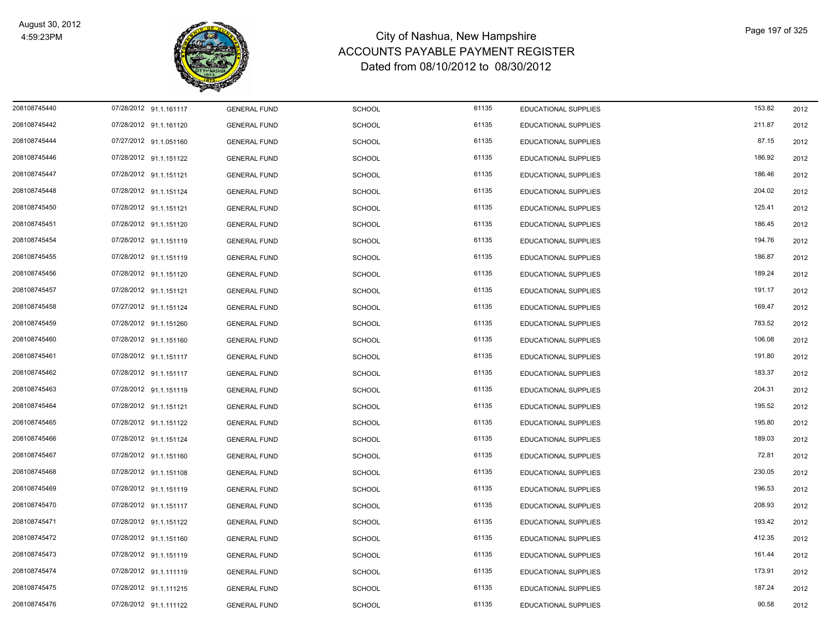

| 208108745440 | 07/28/2012 91.1.161117 | <b>GENERAL FUND</b> | <b>SCHOOL</b> | 61135 | EDUCATIONAL SUPPLIES        | 153.82 | 2012 |
|--------------|------------------------|---------------------|---------------|-------|-----------------------------|--------|------|
| 208108745442 | 07/28/2012 91.1.161120 | <b>GENERAL FUND</b> | <b>SCHOOL</b> | 61135 | EDUCATIONAL SUPPLIES        | 211.87 | 2012 |
| 208108745444 | 07/27/2012 91.1.051160 | <b>GENERAL FUND</b> | <b>SCHOOL</b> | 61135 | EDUCATIONAL SUPPLIES        | 87.15  | 2012 |
| 208108745446 | 07/28/2012 91.1.151122 | <b>GENERAL FUND</b> | <b>SCHOOL</b> | 61135 | EDUCATIONAL SUPPLIES        | 186.92 | 2012 |
| 208108745447 | 07/28/2012 91.1.151121 | <b>GENERAL FUND</b> | <b>SCHOOL</b> | 61135 | EDUCATIONAL SUPPLIES        | 186.46 | 2012 |
| 208108745448 | 07/28/2012 91.1.151124 | <b>GENERAL FUND</b> | <b>SCHOOL</b> | 61135 | <b>EDUCATIONAL SUPPLIES</b> | 204.02 | 2012 |
| 208108745450 | 07/28/2012 91.1.151121 | <b>GENERAL FUND</b> | <b>SCHOOL</b> | 61135 | EDUCATIONAL SUPPLIES        | 125.41 | 2012 |
| 208108745451 | 07/28/2012 91.1.151120 | <b>GENERAL FUND</b> | <b>SCHOOL</b> | 61135 | EDUCATIONAL SUPPLIES        | 186.45 | 2012 |
| 208108745454 | 07/28/2012 91.1.151119 | <b>GENERAL FUND</b> | <b>SCHOOL</b> | 61135 | <b>EDUCATIONAL SUPPLIES</b> | 194.76 | 2012 |
| 208108745455 | 07/28/2012 91.1.151119 | <b>GENERAL FUND</b> | <b>SCHOOL</b> | 61135 | EDUCATIONAL SUPPLIES        | 186.87 | 2012 |
| 208108745456 | 07/28/2012 91.1.151120 | <b>GENERAL FUND</b> | <b>SCHOOL</b> | 61135 | EDUCATIONAL SUPPLIES        | 189.24 | 2012 |
| 208108745457 | 07/28/2012 91.1.151121 | <b>GENERAL FUND</b> | <b>SCHOOL</b> | 61135 | <b>EDUCATIONAL SUPPLIES</b> | 191.17 | 2012 |
| 208108745458 | 07/27/2012 91.1.151124 | <b>GENERAL FUND</b> | <b>SCHOOL</b> | 61135 | EDUCATIONAL SUPPLIES        | 169.47 | 2012 |
| 208108745459 | 07/28/2012 91.1.151260 | <b>GENERAL FUND</b> | <b>SCHOOL</b> | 61135 | EDUCATIONAL SUPPLIES        | 783.52 | 2012 |
| 208108745460 | 07/28/2012 91.1.151160 | <b>GENERAL FUND</b> | <b>SCHOOL</b> | 61135 | EDUCATIONAL SUPPLIES        | 106.08 | 2012 |
| 208108745461 | 07/28/2012 91.1.151117 | <b>GENERAL FUND</b> | <b>SCHOOL</b> | 61135 | EDUCATIONAL SUPPLIES        | 191.80 | 2012 |
| 208108745462 | 07/28/2012 91.1.151117 | <b>GENERAL FUND</b> | <b>SCHOOL</b> | 61135 | EDUCATIONAL SUPPLIES        | 183.37 | 2012 |
| 208108745463 | 07/28/2012 91.1.151119 | <b>GENERAL FUND</b> | <b>SCHOOL</b> | 61135 | EDUCATIONAL SUPPLIES        | 204.31 | 2012 |
| 208108745464 | 07/28/2012 91.1.151121 | <b>GENERAL FUND</b> | <b>SCHOOL</b> | 61135 | <b>EDUCATIONAL SUPPLIES</b> | 195.52 | 2012 |
| 208108745465 | 07/28/2012 91.1.151122 | <b>GENERAL FUND</b> | <b>SCHOOL</b> | 61135 | EDUCATIONAL SUPPLIES        | 195.80 | 2012 |
| 208108745466 | 07/28/2012 91.1.151124 | <b>GENERAL FUND</b> | <b>SCHOOL</b> | 61135 | EDUCATIONAL SUPPLIES        | 189.03 | 2012 |
| 208108745467 | 07/28/2012 91.1.151160 | <b>GENERAL FUND</b> | <b>SCHOOL</b> | 61135 | <b>EDUCATIONAL SUPPLIES</b> | 72.81  | 2012 |
| 208108745468 | 07/28/2012 91.1.151108 | <b>GENERAL FUND</b> | <b>SCHOOL</b> | 61135 | EDUCATIONAL SUPPLIES        | 230.05 | 2012 |
| 208108745469 | 07/28/2012 91.1.151119 | <b>GENERAL FUND</b> | <b>SCHOOL</b> | 61135 | EDUCATIONAL SUPPLIES        | 196.53 | 2012 |
| 208108745470 | 07/28/2012 91.1.151117 | <b>GENERAL FUND</b> | <b>SCHOOL</b> | 61135 | <b>EDUCATIONAL SUPPLIES</b> | 208.93 | 2012 |
| 208108745471 | 07/28/2012 91.1.151122 | <b>GENERAL FUND</b> | <b>SCHOOL</b> | 61135 | EDUCATIONAL SUPPLIES        | 193.42 | 2012 |
| 208108745472 | 07/28/2012 91.1.151160 | <b>GENERAL FUND</b> | <b>SCHOOL</b> | 61135 | EDUCATIONAL SUPPLIES        | 412.35 | 2012 |
| 208108745473 | 07/28/2012 91.1.151119 | <b>GENERAL FUND</b> | <b>SCHOOL</b> | 61135 | <b>EDUCATIONAL SUPPLIES</b> | 161.44 | 2012 |
| 208108745474 | 07/28/2012 91.1.111119 | <b>GENERAL FUND</b> | <b>SCHOOL</b> | 61135 | EDUCATIONAL SUPPLIES        | 173.91 | 2012 |
| 208108745475 | 07/28/2012 91.1.111215 | <b>GENERAL FUND</b> | <b>SCHOOL</b> | 61135 | EDUCATIONAL SUPPLIES        | 187.24 | 2012 |
| 208108745476 | 07/28/2012 91.1.111122 | <b>GENERAL FUND</b> | <b>SCHOOL</b> | 61135 | <b>EDUCATIONAL SUPPLIES</b> | 90.58  | 2012 |
|              |                        |                     |               |       |                             |        |      |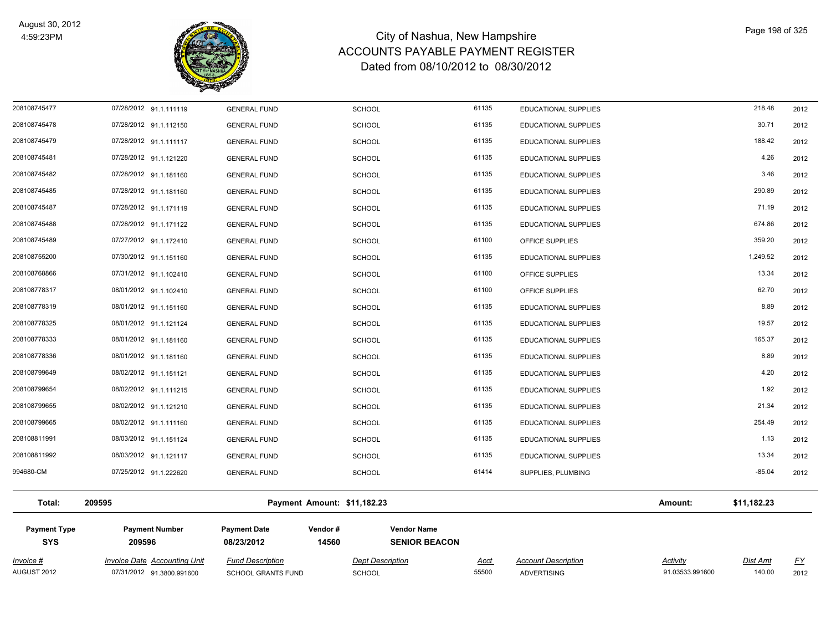

Page 198 of 325

*Activity*

| <b>Payment Type</b><br><b>SYS</b> | <b>Payment Number</b><br>209596 | <b>Payment Date</b><br>08/23/2012 | Vendor#<br>14560            | <b>Vendor Name</b><br><b>SENIOR BEACON</b> |                      |                        |      |
|-----------------------------------|---------------------------------|-----------------------------------|-----------------------------|--------------------------------------------|----------------------|------------------------|------|
| Total:                            | 209595                          |                                   | Payment Amount: \$11,182.23 |                                            |                      | \$11,182.23<br>Amount: |      |
| 994680-CM                         | 07/25/2012 91.1.222620          | <b>GENERAL FUND</b>               | <b>SCHOOL</b>               | 61414                                      | SUPPLIES, PLUMBING   | $-85.04$               | 2012 |
| 208108811992                      | 08/03/2012 91.1.121117          | <b>GENERAL FUND</b>               | <b>SCHOOL</b>               | 61135                                      | EDUCATIONAL SUPPLIES | 13.34                  | 2012 |
| 208108811991                      | 08/03/2012 91.1.151124          | <b>GENERAL FUND</b>               | <b>SCHOOL</b>               | 61135                                      | EDUCATIONAL SUPPLIES | 1.13                   | 2012 |
| 208108799665                      | 08/02/2012 91.1.111160          | <b>GENERAL FUND</b>               | <b>SCHOOL</b>               | 61135                                      | EDUCATIONAL SUPPLIES | 254.49                 | 2012 |
| 208108799655                      | 08/02/2012 91.1.121210          | <b>GENERAL FUND</b>               | <b>SCHOOL</b>               | 61135                                      | EDUCATIONAL SUPPLIES | 21.34                  | 2012 |
| 208108799654                      | 08/02/2012 91.1.111215          | <b>GENERAL FUND</b>               | <b>SCHOOL</b>               | 61135                                      | EDUCATIONAL SUPPLIES | 1.92                   | 2012 |
| 208108799649                      | 08/02/2012 91.1.151121          | <b>GENERAL FUND</b>               | <b>SCHOOL</b>               | 61135                                      | EDUCATIONAL SUPPLIES | 4.20                   | 2012 |
| 208108778336                      | 08/01/2012 91.1.181160          | <b>GENERAL FUND</b>               | <b>SCHOOL</b>               | 61135                                      | EDUCATIONAL SUPPLIES | 8.89                   | 2012 |
| 208108778333                      | 08/01/2012 91.1.181160          | <b>GENERAL FUND</b>               | <b>SCHOOL</b>               | 61135                                      | EDUCATIONAL SUPPLIES | 165.37                 | 2012 |
| 208108778325                      | 08/01/2012 91.1.121124          | <b>GENERAL FUND</b>               | <b>SCHOOL</b>               | 61135                                      | EDUCATIONAL SUPPLIES | 19.57                  | 2012 |
| 208108778319                      | 08/01/2012 91.1.151160          | <b>GENERAL FUND</b>               | <b>SCHOOL</b>               | 61135                                      | EDUCATIONAL SUPPLIES | 8.89                   | 2012 |
| 208108778317                      | 08/01/2012 91.1.102410          | <b>GENERAL FUND</b>               | <b>SCHOOL</b>               | 61100                                      | OFFICE SUPPLIES      | 62.70                  | 2012 |
| 208108768866                      | 07/31/2012 91.1.102410          | <b>GENERAL FUND</b>               | <b>SCHOOL</b>               | 61100                                      | OFFICE SUPPLIES      | 13.34                  | 2012 |
| 208108755200                      | 07/30/2012 91.1.151160          | <b>GENERAL FUND</b>               | <b>SCHOOL</b>               | 61135                                      | EDUCATIONAL SUPPLIES | 1,249.52               | 2012 |
| 208108745489                      | 07/27/2012 91.1.172410          | <b>GENERAL FUND</b>               | <b>SCHOOL</b>               | 61100                                      | OFFICE SUPPLIES      | 359.20                 | 2012 |
| 208108745488                      | 07/28/2012 91.1.171122          | <b>GENERAL FUND</b>               | <b>SCHOOL</b>               | 61135                                      | EDUCATIONAL SUPPLIES | 674.86                 | 2012 |
| 208108745487                      | 07/28/2012 91.1.171119          | <b>GENERAL FUND</b>               | <b>SCHOOL</b>               | 61135                                      | EDUCATIONAL SUPPLIES | 71.19                  | 2012 |
| 208108745485                      | 07/28/2012 91.1.181160          | <b>GENERAL FUND</b>               | <b>SCHOOL</b>               | 61135                                      | EDUCATIONAL SUPPLIES | 290.89                 | 2012 |
| 208108745482                      | 07/28/2012 91.1.181160          | <b>GENERAL FUND</b>               | <b>SCHOOL</b>               | 61135                                      | EDUCATIONAL SUPPLIES | 3.46                   | 2012 |
| 208108745481                      | 07/28/2012 91.1.121220          | <b>GENERAL FUND</b>               | <b>SCHOOL</b>               | 61135                                      | EDUCATIONAL SUPPLIES | 4.26                   | 2012 |
| 208108745479                      | 07/28/2012 91.1.111117          | <b>GENERAL FUND</b>               | <b>SCHOOL</b>               | 61135                                      | EDUCATIONAL SUPPLIES | 188.42                 | 2012 |
| 208108745478                      | 07/28/2012 91.1.112150          | <b>GENERAL FUND</b>               | <b>SCHOOL</b>               | 61135                                      | EDUCATIONAL SUPPLIES | 30.71                  | 2012 |
| 208108745477                      | 07/28/2012 91.1.111119          | <b>GENERAL FUND</b>               | <b>SCHOOL</b>               | 61135                                      | EDUCATIONAL SUPPLIES | 218.48                 | 2012 |

*Invoice # Invoice Date Accounting Unit Fund Description Dept Description Acct Account Description Dist Amt FY*

AUGUST 2012 07/31/2012 91.3800.991600 SCHOOL GRANTS FUND SCHOOL 55500 ADVERTISING 91.03533.991600 140.00 2012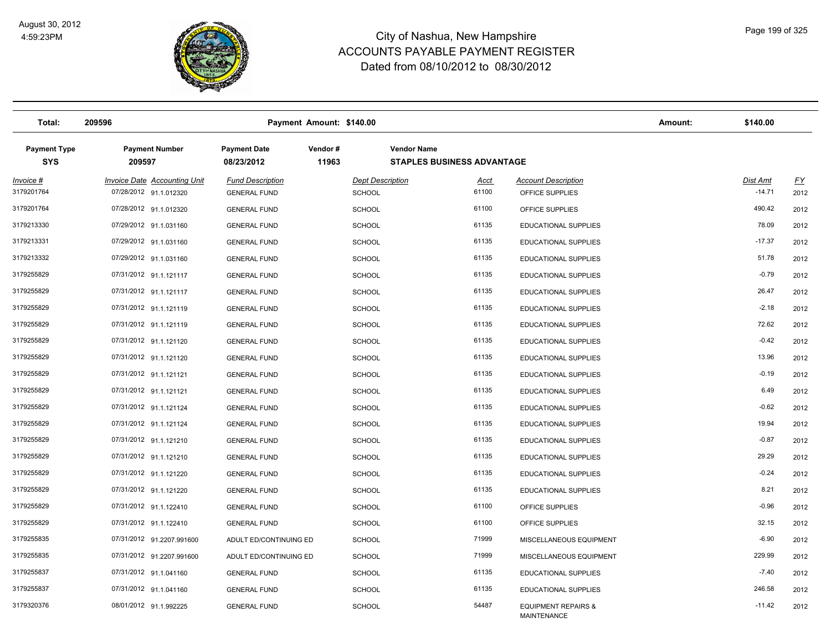

| Total:                            | 209596                                                        |                                                | Payment Amount: \$140.00                 |                                                         |                                                      | Amount: | \$140.00                    |                   |
|-----------------------------------|---------------------------------------------------------------|------------------------------------------------|------------------------------------------|---------------------------------------------------------|------------------------------------------------------|---------|-----------------------------|-------------------|
| <b>Payment Type</b><br><b>SYS</b> | <b>Payment Number</b><br>209597                               | <b>Payment Date</b><br>08/23/2012              | Vendor#<br>11963                         | <b>Vendor Name</b><br><b>STAPLES BUSINESS ADVANTAGE</b> |                                                      |         |                             |                   |
| <u>Invoice #</u><br>3179201764    | <b>Invoice Date Accounting Unit</b><br>07/28/2012 91.1.012320 | <b>Fund Description</b><br><b>GENERAL FUND</b> | <b>Dept Description</b><br><b>SCHOOL</b> | <u>Acct</u><br>61100                                    | <b>Account Description</b><br>OFFICE SUPPLIES        |         | <b>Dist Amt</b><br>$-14.71$ | <u>FY</u><br>2012 |
| 3179201764                        | 07/28/2012 91.1.012320                                        | <b>GENERAL FUND</b>                            | <b>SCHOOL</b>                            | 61100                                                   | OFFICE SUPPLIES                                      |         | 490.42                      | 2012              |
| 3179213330                        | 07/29/2012 91.1.031160                                        | <b>GENERAL FUND</b>                            | <b>SCHOOL</b>                            | 61135                                                   | <b>EDUCATIONAL SUPPLIES</b>                          |         | 78.09                       | 2012              |
| 3179213331                        | 07/29/2012 91.1.031160                                        | <b>GENERAL FUND</b>                            | <b>SCHOOL</b>                            | 61135                                                   | EDUCATIONAL SUPPLIES                                 |         | $-17.37$                    | 2012              |
| 3179213332                        | 07/29/2012 91.1.031160                                        | <b>GENERAL FUND</b>                            | <b>SCHOOL</b>                            | 61135                                                   | <b>EDUCATIONAL SUPPLIES</b>                          |         | 51.78                       | 2012              |
| 3179255829                        | 07/31/2012 91.1.121117                                        | <b>GENERAL FUND</b>                            | <b>SCHOOL</b>                            | 61135                                                   | <b>EDUCATIONAL SUPPLIES</b>                          |         | $-0.79$                     | 2012              |
| 3179255829                        | 07/31/2012 91.1.121117                                        | <b>GENERAL FUND</b>                            | <b>SCHOOL</b>                            | 61135                                                   | <b>EDUCATIONAL SUPPLIES</b>                          |         | 26.47                       | 2012              |
| 3179255829                        | 07/31/2012 91.1.121119                                        | <b>GENERAL FUND</b>                            | <b>SCHOOL</b>                            | 61135                                                   | EDUCATIONAL SUPPLIES                                 |         | $-2.18$                     | 2012              |
| 3179255829                        | 07/31/2012 91.1.121119                                        | <b>GENERAL FUND</b>                            | <b>SCHOOL</b>                            | 61135                                                   | <b>EDUCATIONAL SUPPLIES</b>                          |         | 72.62                       | 2012              |
| 3179255829                        | 07/31/2012 91.1.121120                                        | <b>GENERAL FUND</b>                            | <b>SCHOOL</b>                            | 61135                                                   | <b>EDUCATIONAL SUPPLIES</b>                          |         | $-0.42$                     | 2012              |
| 3179255829                        | 07/31/2012 91.1.121120                                        | <b>GENERAL FUND</b>                            | <b>SCHOOL</b>                            | 61135                                                   | EDUCATIONAL SUPPLIES                                 |         | 13.96                       | 2012              |
| 3179255829                        | 07/31/2012 91.1.121121                                        | <b>GENERAL FUND</b>                            | <b>SCHOOL</b>                            | 61135                                                   | <b>EDUCATIONAL SUPPLIES</b>                          |         | $-0.19$                     | 2012              |
| 3179255829                        | 07/31/2012 91.1.121121                                        | <b>GENERAL FUND</b>                            | <b>SCHOOL</b>                            | 61135                                                   | <b>EDUCATIONAL SUPPLIES</b>                          |         | 6.49                        | 2012              |
| 3179255829                        | 07/31/2012 91.1.121124                                        | <b>GENERAL FUND</b>                            | <b>SCHOOL</b>                            | 61135                                                   | <b>EDUCATIONAL SUPPLIES</b>                          |         | $-0.62$                     | 2012              |
| 3179255829                        | 07/31/2012 91.1.121124                                        | <b>GENERAL FUND</b>                            | <b>SCHOOL</b>                            | 61135                                                   | EDUCATIONAL SUPPLIES                                 |         | 19.94                       | 2012              |
| 3179255829                        | 07/31/2012 91.1.121210                                        | <b>GENERAL FUND</b>                            | <b>SCHOOL</b>                            | 61135                                                   | EDUCATIONAL SUPPLIES                                 |         | $-0.87$                     | 2012              |
| 3179255829                        | 07/31/2012 91.1.121210                                        | <b>GENERAL FUND</b>                            | <b>SCHOOL</b>                            | 61135                                                   | EDUCATIONAL SUPPLIES                                 |         | 29.29                       | 2012              |
| 3179255829                        | 07/31/2012 91.1.121220                                        | <b>GENERAL FUND</b>                            | <b>SCHOOL</b>                            | 61135                                                   | EDUCATIONAL SUPPLIES                                 |         | $-0.24$                     | 2012              |
| 3179255829                        | 07/31/2012 91.1.121220                                        | <b>GENERAL FUND</b>                            | <b>SCHOOL</b>                            | 61135                                                   | EDUCATIONAL SUPPLIES                                 |         | 8.21                        | 2012              |
| 3179255829                        | 07/31/2012 91.1.122410                                        | <b>GENERAL FUND</b>                            | <b>SCHOOL</b>                            | 61100                                                   | OFFICE SUPPLIES                                      |         | $-0.96$                     | 2012              |
| 3179255829                        | 07/31/2012 91.1.122410                                        | <b>GENERAL FUND</b>                            | <b>SCHOOL</b>                            | 61100                                                   | OFFICE SUPPLIES                                      |         | 32.15                       | 2012              |
| 3179255835                        | 07/31/2012 91.2207.991600                                     | ADULT ED/CONTINUING ED                         | <b>SCHOOL</b>                            | 71999                                                   | MISCELLANEOUS EQUIPMENT                              |         | $-6.90$                     | 2012              |
| 3179255835                        | 07/31/2012 91.2207.991600                                     | ADULT ED/CONTINUING ED                         | <b>SCHOOL</b>                            | 71999                                                   | MISCELLANEOUS EQUIPMENT                              |         | 229.99                      | 2012              |
| 3179255837                        | 07/31/2012 91.1.041160                                        | <b>GENERAL FUND</b>                            | <b>SCHOOL</b>                            | 61135                                                   | <b>EDUCATIONAL SUPPLIES</b>                          |         | $-7.40$                     | 2012              |
| 3179255837                        | 07/31/2012 91.1.041160                                        | <b>GENERAL FUND</b>                            | <b>SCHOOL</b>                            | 61135                                                   | <b>EDUCATIONAL SUPPLIES</b>                          |         | 246.58                      | 2012              |
| 3179320376                        | 08/01/2012 91.1.992225                                        | <b>GENERAL FUND</b>                            | <b>SCHOOL</b>                            | 54487                                                   | <b>EQUIPMENT REPAIRS &amp;</b><br><b>MAINTENANCE</b> |         | $-11.42$                    | 2012              |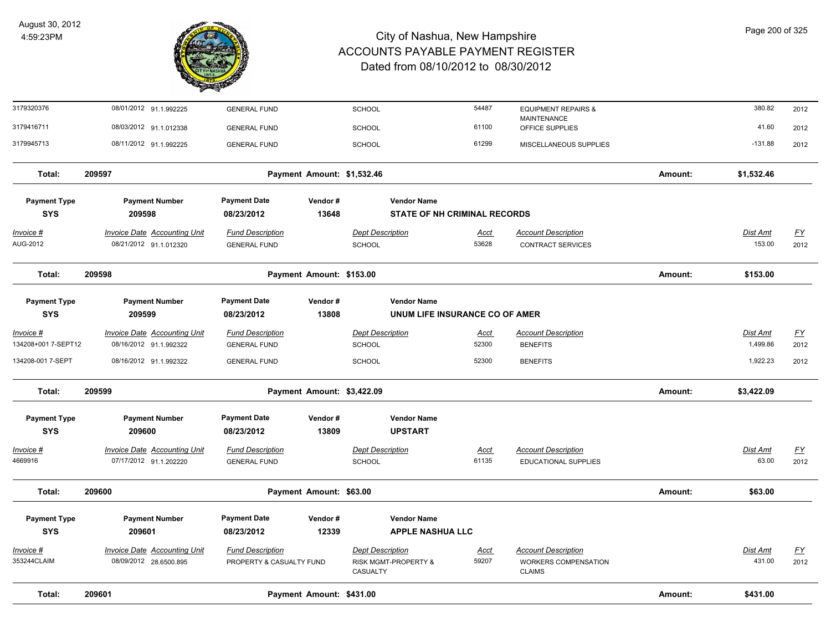

| Total:                            | 209601                                                 |                                                     | Payment Amount: \$431.00   |                                                             |                                |                                                                     | Amount: | \$431.00           |                                   |
|-----------------------------------|--------------------------------------------------------|-----------------------------------------------------|----------------------------|-------------------------------------------------------------|--------------------------------|---------------------------------------------------------------------|---------|--------------------|-----------------------------------|
| Invoice #<br>353244CLAIM          | Invoice Date Accounting Unit<br>08/09/2012 28.6500.895 | <b>Fund Description</b><br>PROPERTY & CASUALTY FUND |                            | <b>Dept Description</b><br>RISK MGMT-PROPERTY &<br>CASUALTY | Acct<br>59207                  | <b>Account Description</b><br>WORKERS COMPENSATION<br><b>CLAIMS</b> |         | Dist Amt<br>431.00 | $\underline{\mathsf{FY}}$<br>2012 |
| <b>SYS</b>                        | 209601                                                 | 08/23/2012                                          | 12339                      | <b>APPLE NASHUA LLC</b>                                     |                                |                                                                     |         |                    |                                   |
| <b>Payment Type</b>               | <b>Payment Number</b>                                  | <b>Payment Date</b>                                 | Vendor#                    | <b>Vendor Name</b>                                          |                                |                                                                     |         |                    |                                   |
| Total:                            | 209600                                                 |                                                     | Payment Amount: \$63.00    |                                                             |                                |                                                                     | Amount: | \$63.00            |                                   |
| 4669916                           | 07/17/2012 91.1.202220                                 | <b>GENERAL FUND</b>                                 |                            | SCHOOL                                                      | 61135                          | <b>EDUCATIONAL SUPPLIES</b>                                         |         | 63.00              | 2012                              |
| Invoice #                         | Invoice Date Accounting Unit                           | <b>Fund Description</b>                             |                            | <b>Dept Description</b>                                     | Acct                           | <b>Account Description</b>                                          |         | Dist Amt           | $\underline{\mathsf{FY}}$         |
| <b>Payment Type</b><br><b>SYS</b> | <b>Payment Number</b><br>209600                        | <b>Payment Date</b><br>08/23/2012                   | Vendor#<br>13809           | <b>Vendor Name</b><br><b>UPSTART</b>                        |                                |                                                                     |         |                    |                                   |
| Total:                            | 209599                                                 |                                                     | Payment Amount: \$3,422.09 |                                                             |                                |                                                                     | Amount: | \$3,422.09         |                                   |
| 134208-001 7-SEPT                 | 08/16/2012 91.1.992322                                 | <b>GENERAL FUND</b>                                 |                            | <b>SCHOOL</b>                                               | 52300                          | <b>BENEFITS</b>                                                     |         | 1,922.23           | 2012                              |
| 134208+001 7-SEPT12               | 08/16/2012 91.1.992322                                 | <b>GENERAL FUND</b>                                 |                            | SCHOOL                                                      | 52300                          | <b>BENEFITS</b>                                                     |         | 1,499.86           | 2012                              |
| <u>Invoice #</u>                  | <b>Invoice Date Accounting Unit</b>                    | <b>Fund Description</b>                             |                            | <b>Dept Description</b>                                     | <u>Acct</u>                    | <b>Account Description</b>                                          |         | <b>Dist Amt</b>    | $\underline{FY}$                  |
| <b>Payment Type</b><br><b>SYS</b> | <b>Payment Number</b><br>209599                        | <b>Payment Date</b><br>08/23/2012                   | Vendor#<br>13808           | <b>Vendor Name</b>                                          | UNUM LIFE INSURANCE CO OF AMER |                                                                     |         |                    |                                   |
| Total:                            | 209598                                                 |                                                     | Payment Amount: \$153.00   |                                                             |                                |                                                                     | Amount: | \$153.00           |                                   |
| AUG-2012                          | 08/21/2012 91.1.012320                                 | <b>GENERAL FUND</b>                                 |                            | SCHOOL                                                      | 53628                          | <b>CONTRACT SERVICES</b>                                            |         | 153.00             | 2012                              |
| Invoice #                         | <b>Invoice Date Accounting Unit</b>                    | <b>Fund Description</b>                             |                            | <b>Dept Description</b>                                     | <u>Acct</u>                    | <b>Account Description</b>                                          |         | Dist Amt           | <u>FY</u>                         |
| <b>Payment Type</b><br><b>SYS</b> | <b>Payment Number</b><br>209598                        | <b>Payment Date</b><br>08/23/2012                   | Vendor#<br>13648           | <b>Vendor Name</b>                                          | STATE OF NH CRIMINAL RECORDS   |                                                                     |         |                    |                                   |
| Total:                            | 209597                                                 |                                                     | Payment Amount: \$1,532.46 |                                                             |                                |                                                                     | Amount: | \$1,532.46         |                                   |
| 3179945713                        | 08/11/2012 91.1.992225                                 | <b>GENERAL FUND</b>                                 |                            | <b>SCHOOL</b>                                               | 61299                          | MISCELLANEOUS SUPPLIES                                              |         | $-131.88$          | 2012                              |
| 3179416711                        | 08/03/2012 91.1.012338                                 | <b>GENERAL FUND</b>                                 |                            | SCHOOL                                                      | 61100                          | OFFICE SUPPLIES                                                     |         | 41.60              | 2012                              |
| 3179320376                        | 08/01/2012 91.1.992225                                 | <b>GENERAL FUND</b>                                 |                            | <b>SCHOOL</b>                                               | 54487                          | <b>EQUIPMENT REPAIRS &amp;</b><br><b>MAINTENANCE</b>                |         | 380.82             | 2012                              |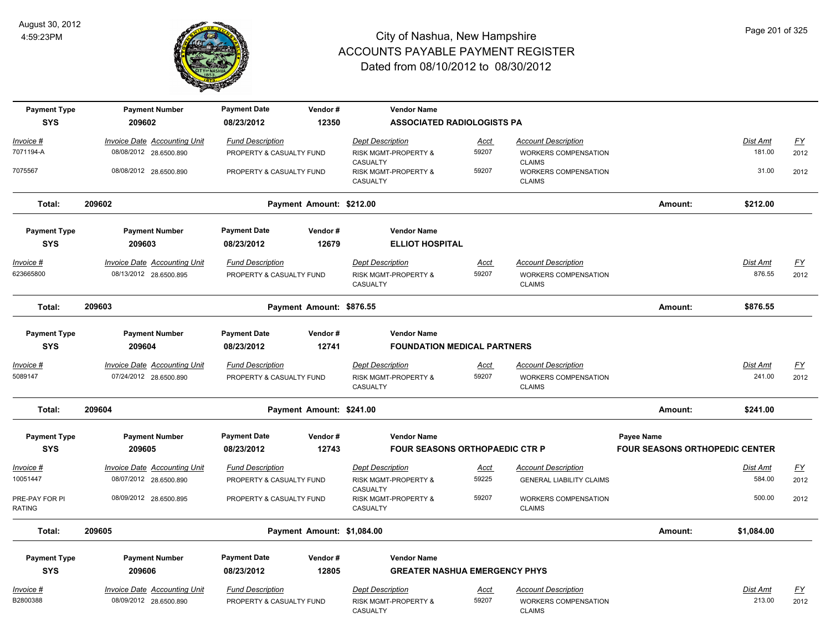

| <b>Payment Type</b>      | <b>Payment Number</b>               | <b>Payment Date</b>      | Vendor#                    | <b>Vendor Name</b>                           |             |                                       |                                       |                 |                  |
|--------------------------|-------------------------------------|--------------------------|----------------------------|----------------------------------------------|-------------|---------------------------------------|---------------------------------------|-----------------|------------------|
| <b>SYS</b>               | 209602                              | 08/23/2012               | 12350                      | <b>ASSOCIATED RADIOLOGISTS PA</b>            |             |                                       |                                       |                 |                  |
| Invoice #                | <b>Invoice Date Accounting Unit</b> | <b>Fund Description</b>  |                            | <b>Dept Description</b>                      | <u>Acct</u> | <b>Account Description</b>            |                                       | Dist Amt        | EY               |
| 7071194-A                | 08/08/2012 28.6500.890              | PROPERTY & CASUALTY FUND |                            | RISK MGMT-PROPERTY &                         | 59207       | WORKERS COMPENSATION                  |                                       | 181.00          | 2012             |
| 7075567                  | 08/08/2012 28.6500.890              | PROPERTY & CASUALTY FUND |                            | CASUALTY<br>RISK MGMT-PROPERTY &             | 59207       | <b>CLAIMS</b><br>WORKERS COMPENSATION |                                       | 31.00           | 2012             |
|                          |                                     |                          |                            | CASUALTY                                     |             | <b>CLAIMS</b>                         |                                       |                 |                  |
| Total:                   | 209602                              |                          | Payment Amount: \$212.00   |                                              |             |                                       | Amount:                               | \$212.00        |                  |
| <b>Payment Type</b>      | <b>Payment Number</b>               | <b>Payment Date</b>      | Vendor#                    | <b>Vendor Name</b>                           |             |                                       |                                       |                 |                  |
| <b>SYS</b>               | 209603                              | 08/23/2012               | 12679                      | <b>ELLIOT HOSPITAL</b>                       |             |                                       |                                       |                 |                  |
| <u> Invoice #</u>        | <b>Invoice Date Accounting Unit</b> | <b>Fund Description</b>  |                            | <b>Dept Description</b>                      | <b>Acct</b> | <b>Account Description</b>            |                                       | <b>Dist Amt</b> | <u>FY</u>        |
| 623665800                | 08/13/2012 28.6500.895              | PROPERTY & CASUALTY FUND |                            | RISK MGMT-PROPERTY &<br>CASUALTY             | 59207       | WORKERS COMPENSATION<br><b>CLAIMS</b> |                                       | 876.55          | 2012             |
| Total:                   | 209603                              |                          | Payment Amount: \$876.55   |                                              |             |                                       | Amount:                               | \$876.55        |                  |
| <b>Payment Type</b>      | <b>Payment Number</b>               | <b>Payment Date</b>      | Vendor#                    | <b>Vendor Name</b>                           |             |                                       |                                       |                 |                  |
| <b>SYS</b>               | 209604                              | 08/23/2012               | 12741                      | <b>FOUNDATION MEDICAL PARTNERS</b>           |             |                                       |                                       |                 |                  |
| <u> Invoice #</u>        | <b>Invoice Date Accounting Unit</b> | <b>Fund Description</b>  |                            | <b>Dept Description</b>                      | Acct        | <b>Account Description</b>            |                                       | Dist Amt        | <u>FY</u>        |
| 5089147                  | 07/24/2012 28.6500.890              | PROPERTY & CASUALTY FUND |                            | RISK MGMT-PROPERTY &<br>CASUALTY             | 59207       | WORKERS COMPENSATION<br><b>CLAIMS</b> |                                       | 241.00          | 2012             |
| Total:                   | 209604                              |                          | Payment Amount: \$241.00   |                                              |             |                                       | Amount:                               | \$241.00        |                  |
| <b>Payment Type</b>      | <b>Payment Number</b>               | <b>Payment Date</b>      | Vendor#                    | <b>Vendor Name</b>                           |             |                                       | Payee Name                            |                 |                  |
| <b>SYS</b>               | 209605                              | 08/23/2012               | 12743                      | <b>FOUR SEASONS ORTHOPAEDIC CTR P</b>        |             |                                       | <b>FOUR SEASONS ORTHOPEDIC CENTER</b> |                 |                  |
| <u> Invoice #</u>        | <b>Invoice Date Accounting Unit</b> | <b>Fund Description</b>  |                            | <b>Dept Description</b>                      | <b>Acct</b> | <b>Account Description</b>            |                                       | Dist Amt        | <u>FY</u>        |
| 10051447                 | 08/07/2012 28.6500.890              | PROPERTY & CASUALTY FUND |                            | RISK MGMT-PROPERTY &                         | 59225       | <b>GENERAL LIABILITY CLAIMS</b>       |                                       | 584.00          | 2012             |
| PRE-PAY FOR PI<br>RATING | 08/09/2012 28.6500.895              | PROPERTY & CASUALTY FUND |                            | CASUALTY<br>RISK MGMT-PROPERTY &<br>CASUALTY | 59207       | WORKERS COMPENSATION<br><b>CLAIMS</b> |                                       | 500.00          | 2012             |
| Total:                   | 209605                              |                          | Payment Amount: \$1,084.00 |                                              |             |                                       | Amount:                               | \$1,084.00      |                  |
| <b>Payment Type</b>      | <b>Payment Number</b>               | <b>Payment Date</b>      | Vendor#                    | <b>Vendor Name</b>                           |             |                                       |                                       |                 |                  |
| <b>SYS</b>               | 209606                              | 08/23/2012               | 12805                      | <b>GREATER NASHUA EMERGENCY PHYS</b>         |             |                                       |                                       |                 |                  |
|                          |                                     |                          |                            |                                              |             |                                       |                                       |                 |                  |
| Invoice #                | Invoice Date Accounting Unit        | <b>Fund Description</b>  |                            | <b>Dept Description</b>                      | Acct        | <b>Account Description</b>            |                                       | Dist Amt        | $\underline{FY}$ |
| B2800388                 | 08/09/2012 28.6500.890              | PROPERTY & CASUALTY FUND |                            | RISK MGMT-PROPERTY &<br>CASUALTY             | 59207       | WORKERS COMPENSATION<br><b>CLAIMS</b> |                                       | 213.00          | 2012             |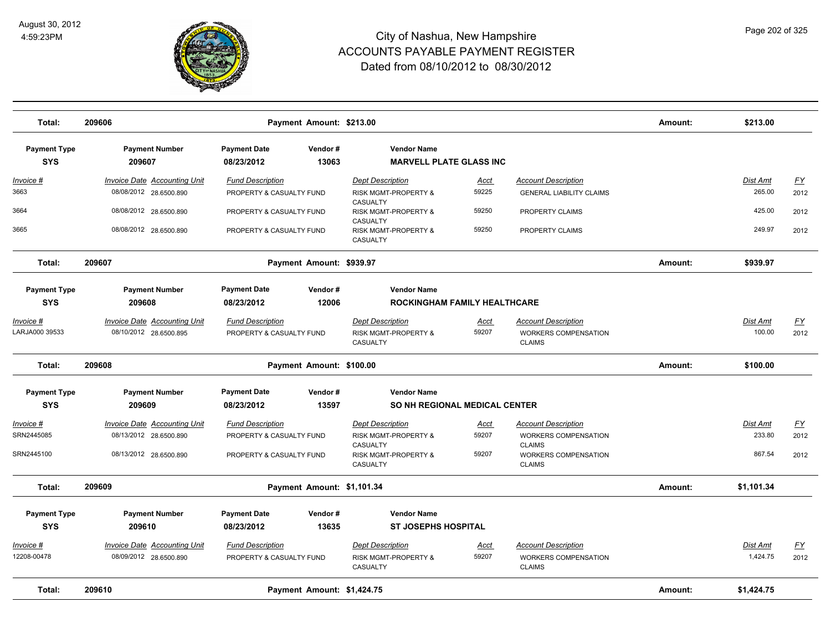

| Total:                                | 209606                                                                                  |                                                                                 | Payment Amount: \$213.00   |                                                                                                                       |                        |                                                                                                                     | Amount: | \$213.00                     |                           |
|---------------------------------------|-----------------------------------------------------------------------------------------|---------------------------------------------------------------------------------|----------------------------|-----------------------------------------------------------------------------------------------------------------------|------------------------|---------------------------------------------------------------------------------------------------------------------|---------|------------------------------|---------------------------|
| <b>Payment Type</b><br><b>SYS</b>     | <b>Payment Number</b><br>209607                                                         | <b>Payment Date</b><br>08/23/2012                                               | Vendor#<br>13063           | <b>Vendor Name</b><br><b>MARVELL PLATE GLASS INC</b>                                                                  |                        |                                                                                                                     |         |                              |                           |
| Invoice #<br>3663                     | <b>Invoice Date Accounting Unit</b><br>08/08/2012 28.6500.890                           | <b>Fund Description</b><br>PROPERTY & CASUALTY FUND                             |                            | <b>Dept Description</b><br>RISK MGMT-PROPERTY &                                                                       | <u>Acct</u><br>59225   | <b>Account Description</b><br><b>GENERAL LIABILITY CLAIMS</b>                                                       |         | <u>Dist Amt</u><br>265.00    | <u>FY</u><br>2012         |
| 3664                                  | 08/08/2012 28.6500.890                                                                  | PROPERTY & CASUALTY FUND                                                        |                            | CASUALTY<br>RISK MGMT-PROPERTY &                                                                                      | 59250                  | PROPERTY CLAIMS                                                                                                     |         | 425.00                       | 2012                      |
| 3665                                  | 08/08/2012 28.6500.890                                                                  | PROPERTY & CASUALTY FUND                                                        |                            | CASUALTY<br>RISK MGMT-PROPERTY &<br>CASUALTY                                                                          | 59250                  | PROPERTY CLAIMS                                                                                                     |         | 249.97                       | 2012                      |
| Total:                                | 209607                                                                                  |                                                                                 | Payment Amount: \$939.97   |                                                                                                                       |                        |                                                                                                                     | Amount: | \$939.97                     |                           |
| <b>Payment Type</b><br><b>SYS</b>     | <b>Payment Number</b><br>209608                                                         | <b>Payment Date</b><br>08/23/2012                                               | Vendor#<br>12006           | <b>Vendor Name</b><br><b>ROCKINGHAM FAMILY HEALTHCARE</b>                                                             |                        |                                                                                                                     |         |                              |                           |
| Invoice #                             | Invoice Date Accounting Unit                                                            | <b>Fund Description</b>                                                         |                            | <b>Dept Description</b>                                                                                               | Acct                   | <b>Account Description</b>                                                                                          |         | Dist Amt                     | <u>FY</u>                 |
| LARJA000 39533                        | 08/10/2012 28.6500.895                                                                  | PROPERTY & CASUALTY FUND                                                        |                            | RISK MGMT-PROPERTY &<br>CASUALTY                                                                                      | 59207                  | WORKERS COMPENSATION<br><b>CLAIMS</b>                                                                               |         | 100.00                       | 2012                      |
| Total:                                | 209608                                                                                  |                                                                                 | Payment Amount: \$100.00   |                                                                                                                       |                        |                                                                                                                     | Amount: | \$100.00                     |                           |
| <b>Payment Type</b><br><b>SYS</b>     | <b>Payment Number</b><br>209609                                                         | <b>Payment Date</b><br>08/23/2012                                               | Vendor#<br>13597           | <b>Vendor Name</b><br>SO NH REGIONAL MEDICAL CENTER                                                                   |                        |                                                                                                                     |         |                              |                           |
| Invoice #<br>SRN2445085<br>SRN2445100 | <b>Invoice Date Accounting Unit</b><br>08/13/2012 28.6500.890<br>08/13/2012 28.6500.890 | <b>Fund Description</b><br>PROPERTY & CASUALTY FUND<br>PROPERTY & CASUALTY FUND |                            | <b>Dept Description</b><br><b>RISK MGMT-PROPERTY &amp;</b><br>CASUALTY<br><b>RISK MGMT-PROPERTY &amp;</b><br>CASUALTY | Acct<br>59207<br>59207 | <b>Account Description</b><br>WORKERS COMPENSATION<br><b>CLAIMS</b><br><b>WORKERS COMPENSATION</b><br><b>CLAIMS</b> |         | Dist Amt<br>233.80<br>867.54 | <u>FY</u><br>2012<br>2012 |
| Total:                                | 209609                                                                                  |                                                                                 | Payment Amount: \$1,101.34 |                                                                                                                       |                        |                                                                                                                     | Amount: | \$1,101.34                   |                           |
| <b>Payment Type</b><br><b>SYS</b>     | <b>Payment Number</b><br>209610                                                         | <b>Payment Date</b><br>08/23/2012                                               | Vendor#<br>13635           | <b>Vendor Name</b><br><b>ST JOSEPHS HOSPITAL</b>                                                                      |                        |                                                                                                                     |         |                              |                           |
| Invoice #<br>12208-00478              | Invoice Date Accounting Unit<br>08/09/2012 28.6500.890                                  | <b>Fund Description</b><br>PROPERTY & CASUALTY FUND                             |                            | <b>Dept Description</b><br>RISK MGMT-PROPERTY &<br>CASUALTY                                                           | Acct<br>59207          | <b>Account Description</b><br>WORKERS COMPENSATION<br><b>CLAIMS</b>                                                 |         | Dist Amt<br>1,424.75         | <u>FY</u><br>2012         |
| Total:                                | 209610                                                                                  |                                                                                 | Payment Amount: \$1,424.75 |                                                                                                                       |                        |                                                                                                                     | Amount: | \$1,424.75                   |                           |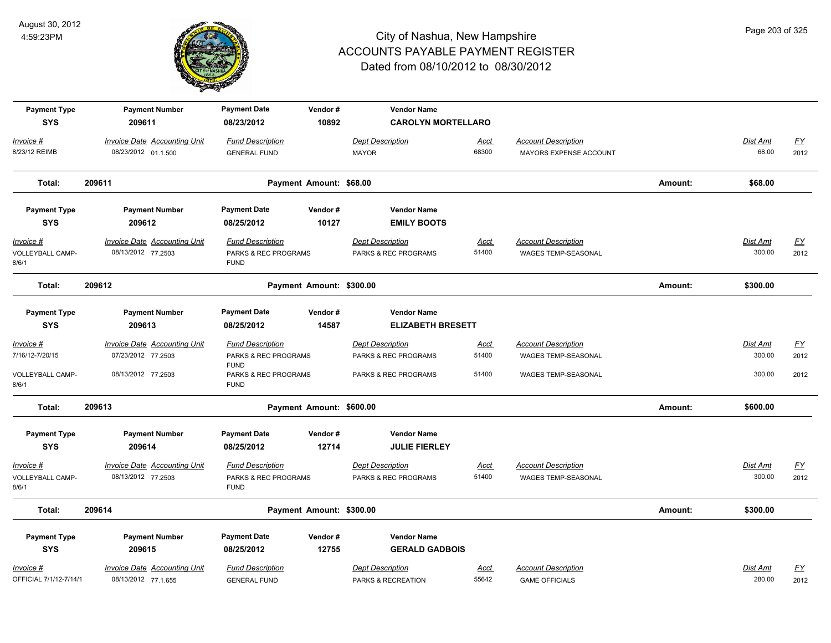

| <b>Payment Type</b><br><b>SYS</b>                | <b>Payment Number</b><br>209611                                                 | <b>Payment Date</b><br>08/23/2012                                                                 | Vendor#<br>10892         | <b>Vendor Name</b><br><b>CAROLYN MORTELLARO</b>                         |                               |                                                                          |         |                              |                                  |
|--------------------------------------------------|---------------------------------------------------------------------------------|---------------------------------------------------------------------------------------------------|--------------------------|-------------------------------------------------------------------------|-------------------------------|--------------------------------------------------------------------------|---------|------------------------------|----------------------------------|
| <u> Invoice #</u><br>8/23/12 REIMB               | <b>Invoice Date Accounting Unit</b><br>08/23/2012 01.1.500                      | <b>Fund Description</b><br><b>GENERAL FUND</b>                                                    |                          | <b>Dept Description</b><br><b>MAYOR</b>                                 | <u>Acct</u><br>68300          | <b>Account Description</b><br>MAYORS EXPENSE ACCOUNT                     |         | Dist Amt<br>68.00            | <u>FY</u><br>2012                |
| Total:                                           | 209611                                                                          |                                                                                                   | Payment Amount: \$68.00  |                                                                         |                               |                                                                          | Amount: | \$68.00                      |                                  |
| <b>Payment Type</b><br><b>SYS</b>                | <b>Payment Number</b><br>209612                                                 | <b>Payment Date</b><br>08/25/2012                                                                 | Vendor#<br>10127         | <b>Vendor Name</b><br><b>EMILY BOOTS</b>                                |                               |                                                                          |         |                              |                                  |
| <u> Invoice #</u><br>VOLLEYBALL CAMP-<br>8/6/1   | <b>Invoice Date Accounting Unit</b><br>08/13/2012 77.2503                       | <b>Fund Description</b><br>PARKS & REC PROGRAMS<br><b>FUND</b>                                    |                          | <b>Dept Description</b><br>PARKS & REC PROGRAMS                         | <u>Acct</u><br>51400          | <b>Account Description</b><br>WAGES TEMP-SEASONAL                        |         | <b>Dist Amt</b><br>300.00    | EY<br>2012                       |
| Total:                                           | 209612                                                                          |                                                                                                   | Payment Amount: \$300.00 |                                                                         |                               |                                                                          | Amount: | \$300.00                     |                                  |
| <b>Payment Type</b><br><b>SYS</b>                | <b>Payment Number</b><br>209613                                                 | <b>Payment Date</b><br>08/25/2012                                                                 | Vendor#<br>14587         | <b>Vendor Name</b><br><b>ELIZABETH BRESETT</b>                          |                               |                                                                          |         |                              |                                  |
| Invoice #<br>7/16/12-7/20/15<br>VOLLEYBALL CAMP- | <b>Invoice Date Accounting Unit</b><br>07/23/2012 77.2503<br>08/13/2012 77.2503 | <b>Fund Description</b><br>PARKS & REC PROGRAMS<br><b>FUND</b><br><b>PARKS &amp; REC PROGRAMS</b> |                          | <b>Dept Description</b><br>PARKS & REC PROGRAMS<br>PARKS & REC PROGRAMS | <u>Acct</u><br>51400<br>51400 | <b>Account Description</b><br>WAGES TEMP-SEASONAL<br>WAGES TEMP-SEASONAL |         | Dist Amt<br>300.00<br>300.00 | $\underline{FY}$<br>2012<br>2012 |
| 8/6/1<br>Total:                                  | 209613                                                                          | <b>FUND</b>                                                                                       | Payment Amount: \$600.00 |                                                                         |                               |                                                                          | Amount: | \$600.00                     |                                  |
| <b>Payment Type</b><br><b>SYS</b>                | <b>Payment Number</b><br>209614                                                 | <b>Payment Date</b><br>08/25/2012                                                                 | Vendor#<br>12714         | <b>Vendor Name</b><br><b>JULIE FIERLEY</b>                              |                               |                                                                          |         |                              |                                  |
| Invoice #<br>VOLLEYBALL CAMP-<br>8/6/1           | <b>Invoice Date Accounting Unit</b><br>08/13/2012 77.2503                       | <b>Fund Description</b><br>PARKS & REC PROGRAMS<br><b>FUND</b>                                    |                          | <b>Dept Description</b><br>PARKS & REC PROGRAMS                         | <u>Acct</u><br>51400          | <b>Account Description</b><br>WAGES TEMP-SEASONAL                        |         | Dist Amt<br>300.00           | <u>FY</u><br>2012                |
| Total:                                           | 209614                                                                          |                                                                                                   | Payment Amount: \$300.00 |                                                                         |                               |                                                                          | Amount: | \$300.00                     |                                  |
| <b>Payment Type</b><br><b>SYS</b>                | <b>Payment Number</b><br>209615                                                 | <b>Payment Date</b><br>08/25/2012                                                                 | Vendor#<br>12755         | <b>Vendor Name</b><br><b>GERALD GADBOIS</b>                             |                               |                                                                          |         |                              |                                  |
| Invoice #<br>OFFICIAL 7/1/12-7/14/1              | <b>Invoice Date Accounting Unit</b><br>08/13/2012 77.1.655                      | <b>Fund Description</b><br><b>GENERAL FUND</b>                                                    |                          | <b>Dept Description</b><br>PARKS & RECREATION                           | <b>Acct</b><br>55642          | <b>Account Description</b><br><b>GAME OFFICIALS</b>                      |         | Dist Amt<br>280.00           | <u>FY</u><br>2012                |

Page 203 of 325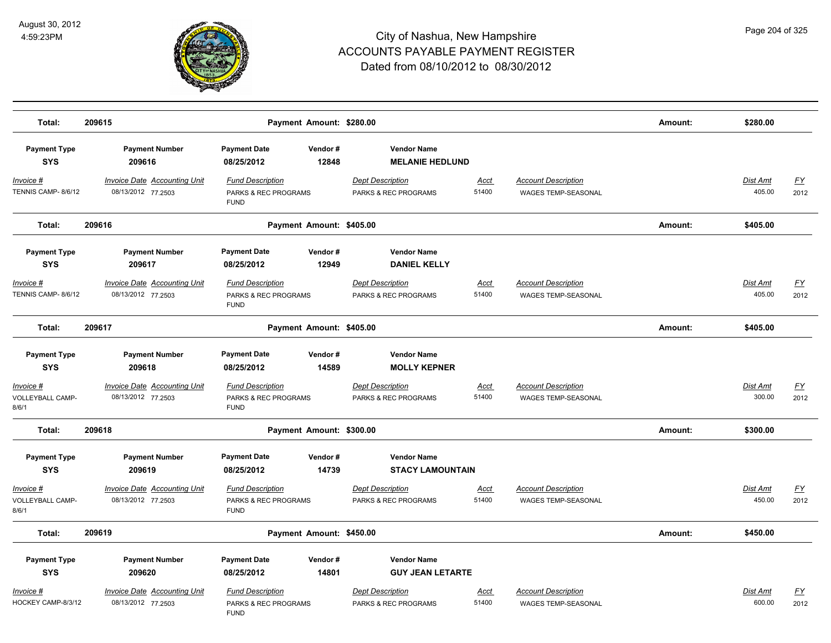

| Total:                                 | 209615                                                    | Payment Amount: \$280.00                                                  |                                                            |                      |                                                          | Amount: | \$280.00                  |                   |
|----------------------------------------|-----------------------------------------------------------|---------------------------------------------------------------------------|------------------------------------------------------------|----------------------|----------------------------------------------------------|---------|---------------------------|-------------------|
| <b>Payment Type</b><br><b>SYS</b>      | <b>Payment Number</b><br>209616                           | <b>Payment Date</b><br>Vendor#<br>12848<br>08/25/2012                     | <b>Vendor Name</b><br><b>MELANIE HEDLUND</b>               |                      |                                                          |         |                           |                   |
| Invoice #<br>TENNIS CAMP- 8/6/12       | <b>Invoice Date Accounting Unit</b><br>08/13/2012 77.2503 | <b>Fund Description</b><br><b>PARKS &amp; REC PROGRAMS</b><br><b>FUND</b> | <b>Dept Description</b><br><b>PARKS &amp; REC PROGRAMS</b> | Acct<br>51400        | <b>Account Description</b><br><b>WAGES TEMP-SEASONAL</b> |         | <b>Dist Amt</b><br>405.00 | <u>FY</u><br>2012 |
| Total:                                 | 209616                                                    | Payment Amount: \$405.00                                                  |                                                            |                      |                                                          | Amount: | \$405.00                  |                   |
| <b>Payment Type</b><br><b>SYS</b>      | <b>Payment Number</b><br>209617                           | <b>Payment Date</b><br>Vendor#<br>08/25/2012<br>12949                     | <b>Vendor Name</b><br><b>DANIEL KELLY</b>                  |                      |                                                          |         |                           |                   |
| Invoice #<br>TENNIS CAMP- 8/6/12       | <b>Invoice Date Accounting Unit</b><br>08/13/2012 77.2503 | <b>Fund Description</b><br>PARKS & REC PROGRAMS<br><b>FUND</b>            | <b>Dept Description</b><br>PARKS & REC PROGRAMS            | <b>Acct</b><br>51400 | <b>Account Description</b><br>WAGES TEMP-SEASONAL        |         | Dist Amt<br>405.00        | <u>FY</u><br>2012 |
| Total:                                 | 209617                                                    | Payment Amount: \$405.00                                                  |                                                            |                      |                                                          | Amount: | \$405.00                  |                   |
| <b>Payment Type</b>                    | <b>Payment Number</b>                                     | <b>Payment Date</b><br>Vendor#                                            | <b>Vendor Name</b>                                         |                      |                                                          |         |                           |                   |
| <b>SYS</b>                             | 209618                                                    | 08/25/2012<br>14589                                                       | <b>MOLLY KEPNER</b>                                        |                      |                                                          |         |                           |                   |
| Invoice #<br>VOLLEYBALL CAMP-<br>8/6/1 | Invoice Date Accounting Unit<br>08/13/2012 77.2503        | <b>Fund Description</b><br>PARKS & REC PROGRAMS<br><b>FUND</b>            | <b>Dept Description</b><br>PARKS & REC PROGRAMS            | <b>Acct</b><br>51400 | <b>Account Description</b><br>WAGES TEMP-SEASONAL        |         | Dist Amt<br>300.00        | <u>FY</u><br>2012 |
| Total:                                 | 209618                                                    | Payment Amount: \$300.00                                                  |                                                            |                      |                                                          | Amount: | \$300.00                  |                   |
| <b>Payment Type</b><br><b>SYS</b>      | <b>Payment Number</b><br>209619                           | <b>Payment Date</b><br>Vendor#<br>08/25/2012<br>14739                     | <b>Vendor Name</b><br><b>STACY LAMOUNTAIN</b>              |                      |                                                          |         |                           |                   |
| Invoice #<br>VOLLEYBALL CAMP-<br>8/6/1 | Invoice Date Accounting Unit<br>08/13/2012 77.2503        | <b>Fund Description</b><br>PARKS & REC PROGRAMS<br><b>FUND</b>            | <b>Dept Description</b><br>PARKS & REC PROGRAMS            | Acct<br>51400        | <b>Account Description</b><br>WAGES TEMP-SEASONAL        |         | Dist Amt<br>450.00        | <u>FY</u><br>2012 |
| Total:                                 | 209619                                                    | Payment Amount: \$450.00                                                  |                                                            |                      |                                                          | Amount: | \$450.00                  |                   |
| <b>Payment Type</b><br><b>SYS</b>      | <b>Payment Number</b><br>209620                           | <b>Payment Date</b><br>Vendor#<br>08/25/2012<br>14801                     | <b>Vendor Name</b><br><b>GUY JEAN LETARTE</b>              |                      |                                                          |         |                           |                   |
| Invoice #<br>HOCKEY CAMP-8/3/12        | Invoice Date Accounting Unit<br>08/13/2012 77.2503        | <b>Fund Description</b><br>PARKS & REC PROGRAMS<br><b>FUND</b>            | <b>Dept Description</b><br>PARKS & REC PROGRAMS            | <u>Acct</u><br>51400 | <b>Account Description</b><br><b>WAGES TEMP-SEASONAL</b> |         | Dist Amt<br>600.00        | <u>FY</u><br>2012 |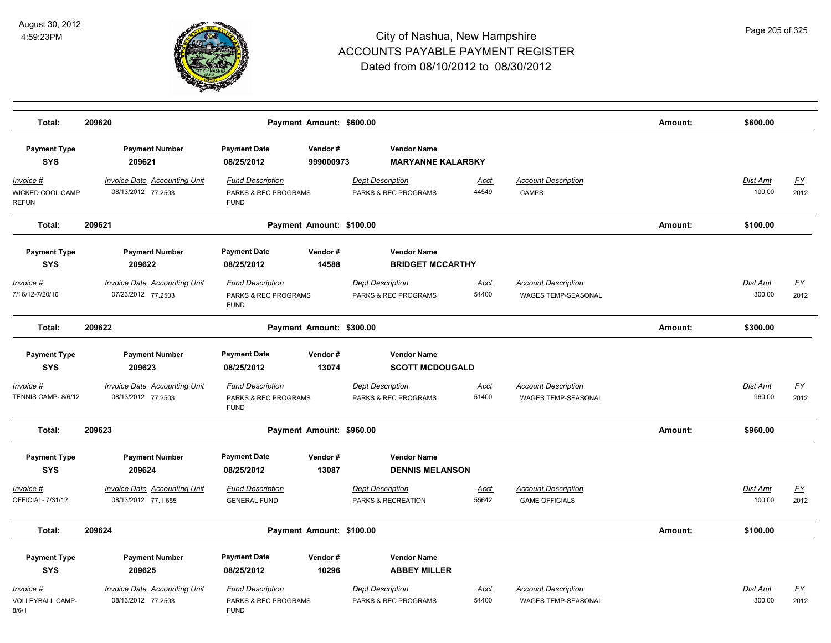

| Total:                                               | 209620<br>Payment Amount: \$600.00                         |                                                                |                          |                                                 |                      |                                                     | Amount: | \$600.00                  |                   |
|------------------------------------------------------|------------------------------------------------------------|----------------------------------------------------------------|--------------------------|-------------------------------------------------|----------------------|-----------------------------------------------------|---------|---------------------------|-------------------|
| <b>Payment Type</b><br><b>SYS</b>                    | <b>Payment Number</b><br>209621                            | <b>Payment Date</b><br>08/25/2012                              | Vendor#<br>999000973     | <b>Vendor Name</b><br><b>MARYANNE KALARSKY</b>  |                      |                                                     |         |                           |                   |
| <b>Invoice #</b><br>WICKED COOL CAMP<br><b>REFUN</b> | <b>Invoice Date Accounting Unit</b><br>08/13/2012 77.2503  | <b>Fund Description</b><br>PARKS & REC PROGRAMS<br><b>FUND</b> |                          | <b>Dept Description</b><br>PARKS & REC PROGRAMS | <u>Acct</u><br>44549 | <b>Account Description</b><br><b>CAMPS</b>          |         | <b>Dist Amt</b><br>100.00 | <u>FY</u><br>2012 |
| Total:                                               | 209621                                                     |                                                                | Payment Amount: \$100.00 |                                                 |                      |                                                     | Amount: | \$100.00                  |                   |
| <b>Payment Type</b><br><b>SYS</b>                    | <b>Payment Number</b><br>209622                            | <b>Payment Date</b><br>08/25/2012                              | Vendor#<br>14588         | <b>Vendor Name</b><br><b>BRIDGET MCCARTHY</b>   |                      |                                                     |         |                           |                   |
| Invoice #<br>7/16/12-7/20/16                         | <b>Invoice Date Accounting Unit</b><br>07/23/2012 77.2503  | <b>Fund Description</b><br>PARKS & REC PROGRAMS<br><b>FUND</b> |                          | <b>Dept Description</b><br>PARKS & REC PROGRAMS | Acct<br>51400        | <b>Account Description</b><br>WAGES TEMP-SEASONAL   |         | Dist Amt<br>300.00        | FY<br>2012        |
| Total:                                               | 209622                                                     |                                                                | Payment Amount: \$300.00 |                                                 |                      |                                                     | Amount: | \$300.00                  |                   |
| <b>Payment Type</b><br><b>SYS</b>                    | <b>Payment Number</b><br>209623                            | <b>Payment Date</b><br>08/25/2012                              | Vendor#<br>13074         | <b>Vendor Name</b><br><b>SCOTT MCDOUGALD</b>    |                      |                                                     |         |                           |                   |
| Invoice #<br>TENNIS CAMP-8/6/12                      | <b>Invoice Date Accounting Unit</b><br>08/13/2012 77.2503  | <b>Fund Description</b><br>PARKS & REC PROGRAMS<br><b>FUND</b> |                          | <b>Dept Description</b><br>PARKS & REC PROGRAMS | <u>Acct</u><br>51400 | <b>Account Description</b><br>WAGES TEMP-SEASONAL   |         | Dist Amt<br>960.00        | <u>FY</u><br>2012 |
| Total:                                               | 209623                                                     |                                                                | Payment Amount: \$960.00 |                                                 |                      |                                                     | Amount: | \$960.00                  |                   |
| <b>Payment Type</b><br><b>SYS</b>                    | <b>Payment Number</b><br>209624                            | <b>Payment Date</b><br>08/25/2012                              | Vendor#<br>13087         | <b>Vendor Name</b><br><b>DENNIS MELANSON</b>    |                      |                                                     |         |                           |                   |
| Invoice #<br>OFFICIAL-7/31/12                        | <b>Invoice Date Accounting Unit</b><br>08/13/2012 77.1.655 | <b>Fund Description</b><br><b>GENERAL FUND</b>                 |                          | <b>Dept Description</b><br>PARKS & RECREATION   | Acct<br>55642        | <b>Account Description</b><br><b>GAME OFFICIALS</b> |         | <b>Dist Amt</b><br>100.00 | <u>FY</u><br>2012 |
| Total:                                               | 209624                                                     |                                                                | Payment Amount: \$100.00 |                                                 |                      |                                                     | Amount: | \$100.00                  |                   |
| <b>Payment Type</b><br><b>SYS</b>                    | <b>Payment Number</b><br>209625                            | <b>Payment Date</b><br>08/25/2012                              | Vendor#<br>10296         | <b>Vendor Name</b><br><b>ABBEY MILLER</b>       |                      |                                                     |         |                           |                   |
| Invoice #<br>VOLLEYBALL CAMP-<br>8/6/1               | <b>Invoice Date Accounting Unit</b><br>08/13/2012 77.2503  | <b>Fund Description</b><br>PARKS & REC PROGRAMS<br><b>FUND</b> |                          | <b>Dept Description</b><br>PARKS & REC PROGRAMS | <u>Acct</u><br>51400 | <b>Account Description</b><br>WAGES TEMP-SEASONAL   |         | Dist Amt<br>300.00        | <u>FY</u><br>2012 |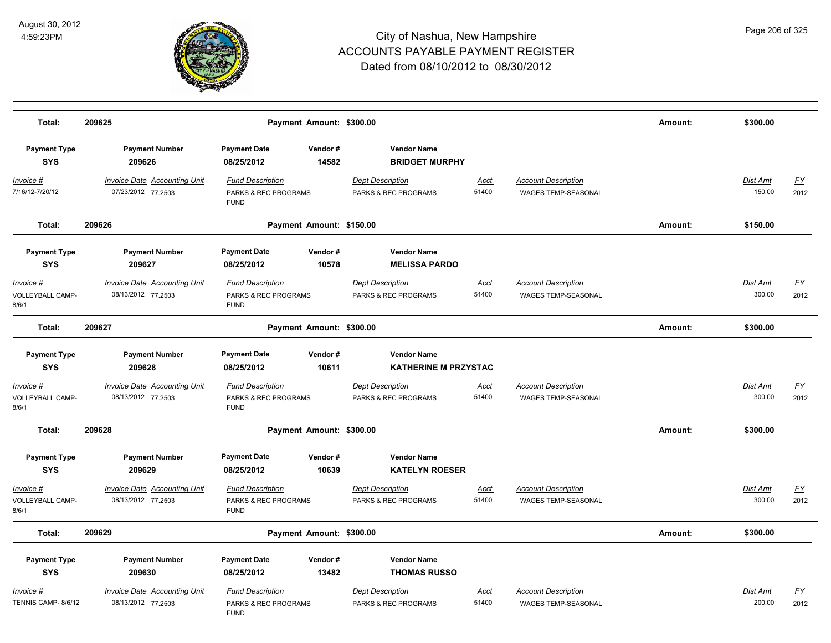

| Total:                                 | 209625                                                    | Payment Amount: \$300.00                                       |                                                   |                      |                                                          | Amount: | \$300.00                  |                   |
|----------------------------------------|-----------------------------------------------------------|----------------------------------------------------------------|---------------------------------------------------|----------------------|----------------------------------------------------------|---------|---------------------------|-------------------|
| <b>Payment Type</b><br><b>SYS</b>      | <b>Payment Number</b><br>209626                           | <b>Payment Date</b><br>Vendor#<br>14582<br>08/25/2012          | <b>Vendor Name</b><br><b>BRIDGET MURPHY</b>       |                      |                                                          |         |                           |                   |
| <u>Invoice #</u><br>7/16/12-7/20/12    | <b>Invoice Date Accounting Unit</b><br>07/23/2012 77.2503 | <b>Fund Description</b><br>PARKS & REC PROGRAMS<br><b>FUND</b> | <b>Dept Description</b><br>PARKS & REC PROGRAMS   | Acct<br>51400        | <b>Account Description</b><br>WAGES TEMP-SEASONAL        |         | Dist Amt<br>150.00        | <u>FY</u><br>2012 |
| Total:                                 | 209626                                                    | Payment Amount: \$150.00                                       |                                                   |                      |                                                          | Amount: | \$150.00                  |                   |
| <b>Payment Type</b><br><b>SYS</b>      | <b>Payment Number</b><br>209627                           | <b>Payment Date</b><br>Vendor#<br>10578<br>08/25/2012          | <b>Vendor Name</b><br><b>MELISSA PARDO</b>        |                      |                                                          |         |                           |                   |
| Invoice #<br>VOLLEYBALL CAMP-<br>8/6/1 | <b>Invoice Date Accounting Unit</b><br>08/13/2012 77.2503 | <b>Fund Description</b><br>PARKS & REC PROGRAMS<br><b>FUND</b> | <b>Dept Description</b><br>PARKS & REC PROGRAMS   | Acct<br>51400        | <b>Account Description</b><br><b>WAGES TEMP-SEASONAL</b> |         | Dist Amt<br>300.00        | <u>FY</u><br>2012 |
| Total:                                 | 209627                                                    | Payment Amount: \$300.00                                       |                                                   |                      |                                                          | Amount: | \$300.00                  |                   |
| <b>Payment Type</b><br><b>SYS</b>      | <b>Payment Number</b><br>209628                           | <b>Payment Date</b><br>Vendor#<br>08/25/2012<br>10611          | <b>Vendor Name</b><br><b>KATHERINE M PRZYSTAC</b> |                      |                                                          |         |                           |                   |
| Invoice #<br>VOLLEYBALL CAMP-<br>8/6/1 | <b>Invoice Date Accounting Unit</b><br>08/13/2012 77.2503 | <b>Fund Description</b><br>PARKS & REC PROGRAMS<br><b>FUND</b> | <b>Dept Description</b><br>PARKS & REC PROGRAMS   | <u>Acct</u><br>51400 | <b>Account Description</b><br>WAGES TEMP-SEASONAL        |         | Dist Amt<br>300.00        | <u>FY</u><br>2012 |
| Total:                                 | 209628                                                    | Payment Amount: \$300.00                                       |                                                   |                      |                                                          | Amount: | \$300.00                  |                   |
| <b>Payment Type</b><br><b>SYS</b>      | <b>Payment Number</b><br>209629                           | <b>Payment Date</b><br>Vendor#<br>08/25/2012<br>10639          | <b>Vendor Name</b><br><b>KATELYN ROESER</b>       |                      |                                                          |         |                           |                   |
| Invoice #<br>VOLLEYBALL CAMP-<br>8/6/1 | <b>Invoice Date Accounting Unit</b><br>08/13/2012 77.2503 | <b>Fund Description</b><br>PARKS & REC PROGRAMS<br><b>FUND</b> | <b>Dept Description</b><br>PARKS & REC PROGRAMS   | Acct<br>51400        | <b>Account Description</b><br>WAGES TEMP-SEASONAL        |         | Dist Amt<br>300.00        | <u>FY</u><br>2012 |
| Total:                                 | 209629                                                    | Payment Amount: \$300.00                                       |                                                   |                      |                                                          | Amount: | \$300.00                  |                   |
| <b>Payment Type</b><br><b>SYS</b>      | <b>Payment Number</b><br>209630                           | <b>Payment Date</b><br>Vendor#<br>08/25/2012<br>13482          | <b>Vendor Name</b><br><b>THOMAS RUSSO</b>         |                      |                                                          |         |                           |                   |
| Invoice #<br>TENNIS CAMP- 8/6/12       | <b>Invoice Date Accounting Unit</b><br>08/13/2012 77.2503 | <b>Fund Description</b><br>PARKS & REC PROGRAMS<br><b>FUND</b> | <b>Dept Description</b><br>PARKS & REC PROGRAMS   | <u>Acct</u><br>51400 | <b>Account Description</b><br><b>WAGES TEMP-SEASONAL</b> |         | <b>Dist Amt</b><br>200.00 | <u>FY</u><br>2012 |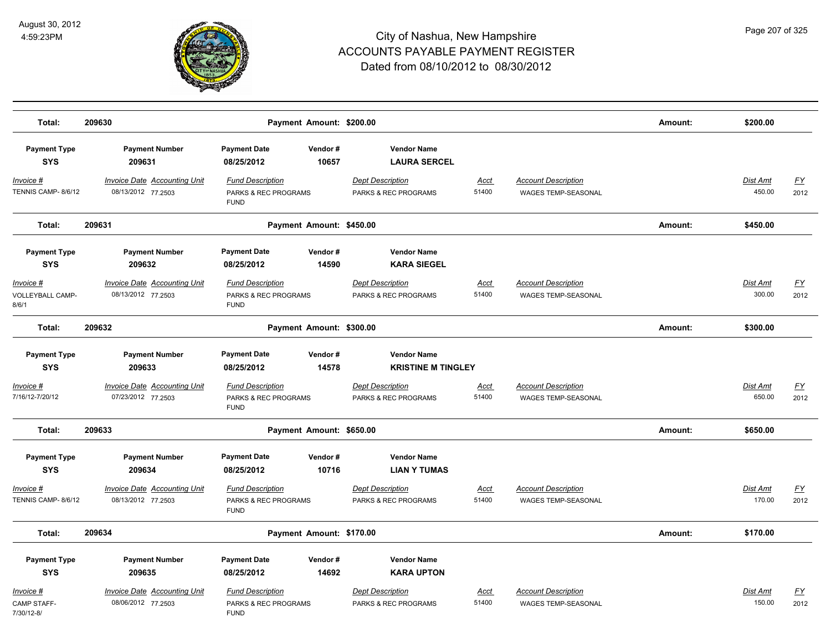

| Total:                                         | 209630                                                    | Payment Amount: \$200.00                                                  |                                                            |                      |                                                          | Amount: | \$200.00                  |                                   |
|------------------------------------------------|-----------------------------------------------------------|---------------------------------------------------------------------------|------------------------------------------------------------|----------------------|----------------------------------------------------------|---------|---------------------------|-----------------------------------|
| <b>Payment Type</b><br><b>SYS</b>              | <b>Payment Number</b><br>209631                           | <b>Payment Date</b><br>Vendor#<br>10657<br>08/25/2012                     | <b>Vendor Name</b><br><b>LAURA SERCEL</b>                  |                      |                                                          |         |                           |                                   |
| <u>Invoice #</u><br>TENNIS CAMP-8/6/12         | <b>Invoice Date Accounting Unit</b><br>08/13/2012 77.2503 | <b>Fund Description</b><br>PARKS & REC PROGRAMS<br><b>FUND</b>            | <b>Dept Description</b><br>PARKS & REC PROGRAMS            | <u>Acct</u><br>51400 | <b>Account Description</b><br>WAGES TEMP-SEASONAL        |         | Dist Amt<br>450.00        | $\underline{\mathsf{FY}}$<br>2012 |
| Total:                                         | 209631                                                    | Payment Amount: \$450.00                                                  |                                                            |                      |                                                          | Amount: | \$450.00                  |                                   |
| <b>Payment Type</b><br><b>SYS</b>              | <b>Payment Number</b><br>209632                           | <b>Payment Date</b><br>Vendor#<br>14590<br>08/25/2012                     | <b>Vendor Name</b><br><b>KARA SIEGEL</b>                   |                      |                                                          |         |                           |                                   |
| <u> Invoice #</u><br>VOLLEYBALL CAMP-<br>8/6/1 | <b>Invoice Date Accounting Unit</b><br>08/13/2012 77.2503 | <b>Fund Description</b><br>PARKS & REC PROGRAMS<br><b>FUND</b>            | <b>Dept Description</b><br>PARKS & REC PROGRAMS            | Acct<br>51400        | <b>Account Description</b><br>WAGES TEMP-SEASONAL        |         | <b>Dist Amt</b><br>300.00 | <u>FY</u><br>2012                 |
| Total:                                         | 209632                                                    | Payment Amount: \$300.00                                                  |                                                            |                      |                                                          | Amount: | \$300.00                  |                                   |
| <b>Payment Type</b><br><b>SYS</b>              | <b>Payment Number</b><br>209633                           | <b>Payment Date</b><br>Vendor#<br>08/25/2012<br>14578                     | <b>Vendor Name</b><br><b>KRISTINE M TINGLEY</b>            |                      |                                                          |         |                           |                                   |
| Invoice #<br>7/16/12-7/20/12                   | Invoice Date Accounting Unit<br>07/23/2012 77.2503        | <b>Fund Description</b><br>PARKS & REC PROGRAMS<br><b>FUND</b>            | <b>Dept Description</b><br>PARKS & REC PROGRAMS            | Acct<br>51400        | <b>Account Description</b><br>WAGES TEMP-SEASONAL        |         | Dist Amt<br>650.00        | $\underline{FY}$<br>2012          |
| Total:                                         | 209633                                                    | Payment Amount: \$650.00                                                  |                                                            |                      |                                                          | Amount: | \$650.00                  |                                   |
| <b>Payment Type</b><br><b>SYS</b>              | <b>Payment Number</b><br>209634                           | <b>Payment Date</b><br>Vendor#<br>08/25/2012<br>10716                     | <b>Vendor Name</b><br><b>LIAN Y TUMAS</b>                  |                      |                                                          |         |                           |                                   |
| Invoice #<br>TENNIS CAMP-8/6/12                | Invoice Date Accounting Unit<br>08/13/2012 77.2503        | <b>Fund Description</b><br>PARKS & REC PROGRAMS<br><b>FUND</b>            | <b>Dept Description</b><br>PARKS & REC PROGRAMS            | Acct<br>51400        | <b>Account Description</b><br>WAGES TEMP-SEASONAL        |         | <b>Dist Amt</b><br>170.00 | EY<br>2012                        |
| Total:                                         | 209634                                                    | Payment Amount: \$170.00                                                  |                                                            |                      |                                                          | Amount: | \$170.00                  |                                   |
| <b>Payment Type</b><br><b>SYS</b>              | <b>Payment Number</b><br>209635                           | <b>Payment Date</b><br>Vendor#<br>08/25/2012<br>14692                     | <b>Vendor Name</b><br><b>KARA UPTON</b>                    |                      |                                                          |         |                           |                                   |
| Invoice #<br>CAMP STAFF-<br>7/30/12-8/         | <b>Invoice Date Accounting Unit</b><br>08/06/2012 77.2503 | <b>Fund Description</b><br><b>PARKS &amp; REC PROGRAMS</b><br><b>FUND</b> | <b>Dept Description</b><br><b>PARKS &amp; REC PROGRAMS</b> | <u>Acct</u><br>51400 | <b>Account Description</b><br><b>WAGES TEMP-SEASONAL</b> |         | Dist Amt<br>150.00        | <u>FY</u><br>2012                 |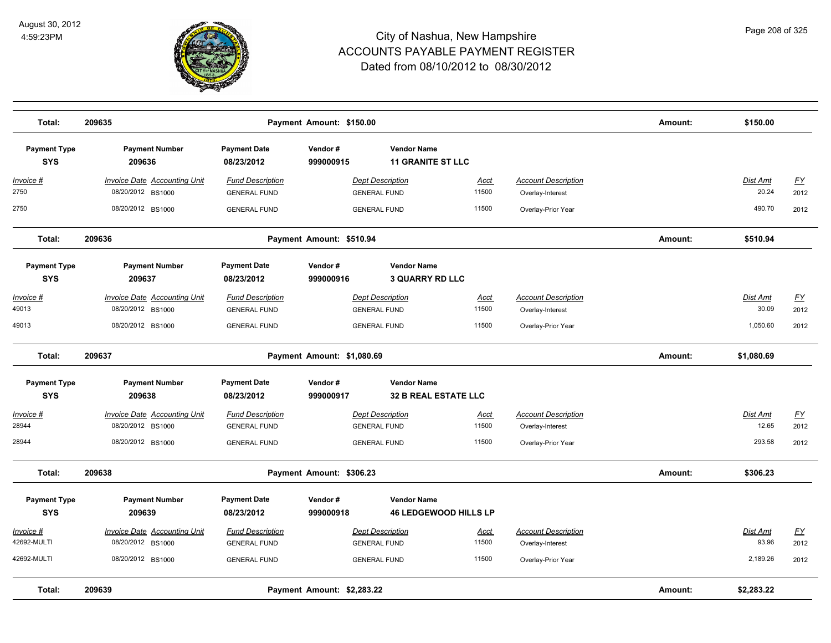

| Total:                            | 209635                                                   |                                                | Amount:                    | \$150.00                                          |                      |                                                |         |                   |                   |
|-----------------------------------|----------------------------------------------------------|------------------------------------------------|----------------------------|---------------------------------------------------|----------------------|------------------------------------------------|---------|-------------------|-------------------|
| <b>Payment Type</b><br><b>SYS</b> | <b>Payment Number</b><br>209636                          | <b>Payment Date</b><br>08/23/2012              | Vendor#<br>999000915       | <b>Vendor Name</b><br><b>11 GRANITE ST LLC</b>    |                      |                                                |         |                   |                   |
| <u> Invoice #</u><br>2750         | <b>Invoice Date Accounting Unit</b><br>08/20/2012 BS1000 | <b>Fund Description</b><br><b>GENERAL FUND</b> |                            | <b>Dept Description</b><br><b>GENERAL FUND</b>    | <u>Acct</u><br>11500 | <b>Account Description</b><br>Overlay-Interest |         | Dist Amt<br>20.24 | <u>FY</u><br>2012 |
| 2750                              | 08/20/2012 BS1000                                        | <b>GENERAL FUND</b>                            |                            | <b>GENERAL FUND</b>                               | 11500                | Overlay-Prior Year                             |         | 490.70            | 2012              |
| Total:                            | 209636                                                   |                                                | Payment Amount: \$510.94   |                                                   |                      |                                                | Amount: | \$510.94          |                   |
| <b>Payment Type</b><br><b>SYS</b> | <b>Payment Number</b><br>209637                          | <b>Payment Date</b><br>08/23/2012              | Vendor#<br>999000916       | <b>Vendor Name</b><br><b>3 QUARRY RD LLC</b>      |                      |                                                |         |                   |                   |
| Invoice #                         | <b>Invoice Date Accounting Unit</b>                      | <b>Fund Description</b>                        |                            | <b>Dept Description</b>                           | Acct                 | <b>Account Description</b>                     |         | Dist Amt          | <u>FY</u>         |
| 49013                             | 08/20/2012 BS1000                                        | <b>GENERAL FUND</b>                            |                            | <b>GENERAL FUND</b>                               | 11500                | Overlay-Interest                               |         | 30.09             | 2012              |
| 49013                             | 08/20/2012 BS1000                                        | <b>GENERAL FUND</b>                            |                            | <b>GENERAL FUND</b>                               | 11500                | Overlay-Prior Year                             |         | 1,050.60          | 2012              |
| Total:                            | 209637                                                   |                                                | Payment Amount: \$1,080.69 |                                                   |                      |                                                | Amount: | \$1,080.69        |                   |
| <b>Payment Type</b><br><b>SYS</b> | <b>Payment Number</b><br>209638                          | <b>Payment Date</b><br>08/23/2012              | Vendor#<br>999000917       | <b>Vendor Name</b><br><b>32 B REAL ESTATE LLC</b> |                      |                                                |         |                   |                   |
| Invoice #                         | <b>Invoice Date Accounting Unit</b>                      | <b>Fund Description</b>                        |                            | <b>Dept Description</b>                           | <u>Acct</u>          | <b>Account Description</b>                     |         | Dist Amt          | <u>FY</u>         |
| 28944                             | 08/20/2012 BS1000                                        | <b>GENERAL FUND</b>                            |                            | <b>GENERAL FUND</b>                               | 11500                | Overlay-Interest                               |         | 12.65             | 2012              |
| 28944                             | 08/20/2012 BS1000                                        | <b>GENERAL FUND</b>                            |                            | <b>GENERAL FUND</b>                               | 11500                | Overlay-Prior Year                             |         | 293.58            | 2012              |
| Total:                            | 209638                                                   |                                                | Payment Amount: \$306.23   |                                                   |                      |                                                | Amount: | \$306.23          |                   |
| <b>Payment Type</b>               | <b>Payment Number</b>                                    | <b>Payment Date</b>                            | Vendor#                    | <b>Vendor Name</b>                                |                      |                                                |         |                   |                   |
| <b>SYS</b>                        | 209639                                                   | 08/23/2012                                     | 999000918                  | <b>46 LEDGEWOOD HILLS LP</b>                      |                      |                                                |         |                   |                   |
| Invoice #                         | <b>Invoice Date Accounting Unit</b>                      | <b>Fund Description</b>                        |                            | <b>Dept Description</b>                           | <u>Acct</u>          | <b>Account Description</b>                     |         | Dist Amt          | <u>FY</u>         |
| 42692-MULTI                       | 08/20/2012 BS1000                                        | <b>GENERAL FUND</b>                            |                            | <b>GENERAL FUND</b>                               | 11500                | Overlay-Interest                               |         | 93.96             | 2012              |
| 42692-MULTI                       | 08/20/2012 BS1000                                        | <b>GENERAL FUND</b>                            |                            | <b>GENERAL FUND</b>                               | 11500                | Overlay-Prior Year                             |         | 2,189.26          | 2012              |
| Total:                            | 209639<br>Payment Amount: \$2,283.22                     |                                                |                            |                                                   |                      |                                                | Amount: | \$2,283.22        |                   |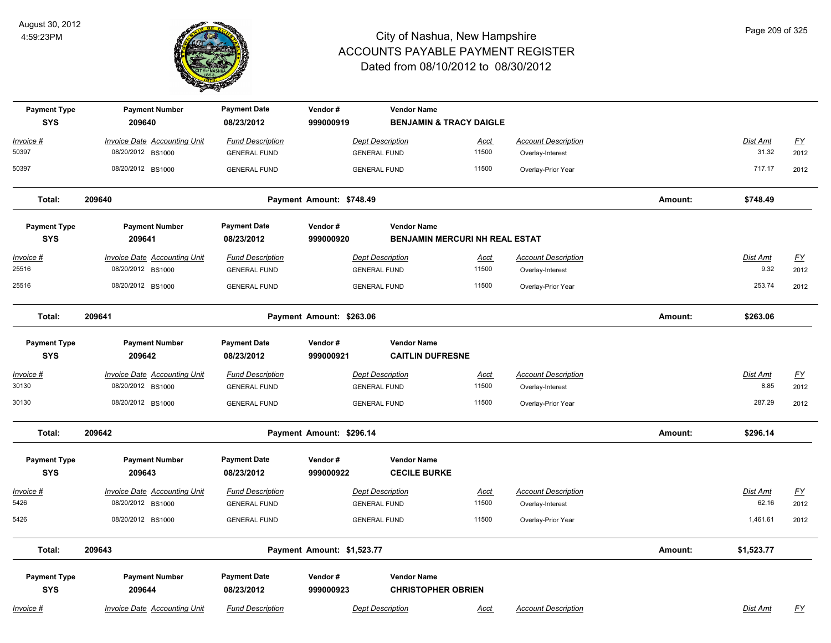

| <b>Payment Type</b>               | <b>Payment Number</b>                                    | <b>Payment Date</b>                            | Vendor#                    | <b>Vendor Name</b>                             |                                       |                                                |         |                  |                                   |
|-----------------------------------|----------------------------------------------------------|------------------------------------------------|----------------------------|------------------------------------------------|---------------------------------------|------------------------------------------------|---------|------------------|-----------------------------------|
| <b>SYS</b>                        | 209640                                                   | 08/23/2012                                     | 999000919                  |                                                | <b>BENJAMIN &amp; TRACY DAIGLE</b>    |                                                |         |                  |                                   |
| Invoice #                         | <b>Invoice Date Accounting Unit</b>                      | <b>Fund Description</b>                        |                            | <b>Dept Description</b>                        | <u>Acct</u>                           | <b>Account Description</b>                     |         | Dist Amt         | <u>FY</u>                         |
| 50397                             | 08/20/2012 BS1000                                        | <b>GENERAL FUND</b>                            |                            | <b>GENERAL FUND</b>                            | 11500                                 | Overlay-Interest                               |         | 31.32            | 2012                              |
| 50397                             | 08/20/2012 BS1000                                        | <b>GENERAL FUND</b>                            |                            | <b>GENERAL FUND</b>                            | 11500                                 | Overlay-Prior Year                             |         | 717.17           | 2012                              |
| Total:                            | 209640                                                   |                                                | Payment Amount: \$748.49   |                                                |                                       |                                                | Amount: | \$748.49         |                                   |
| <b>Payment Type</b>               | <b>Payment Number</b>                                    | <b>Payment Date</b>                            | Vendor#                    | <b>Vendor Name</b>                             |                                       |                                                |         |                  |                                   |
| <b>SYS</b>                        | 209641                                                   | 08/23/2012                                     | 999000920                  |                                                | <b>BENJAMIN MERCURI NH REAL ESTAT</b> |                                                |         |                  |                                   |
| Invoice #<br>25516                | <b>Invoice Date Accounting Unit</b><br>08/20/2012 BS1000 | <b>Fund Description</b><br><b>GENERAL FUND</b> |                            | <b>Dept Description</b><br><b>GENERAL FUND</b> | <u>Acct</u><br>11500                  | <b>Account Description</b><br>Overlay-Interest |         | Dist Amt<br>9.32 | $\underline{\mathsf{FY}}$<br>2012 |
| 25516                             | 08/20/2012 BS1000                                        | <b>GENERAL FUND</b>                            |                            | <b>GENERAL FUND</b>                            | 11500                                 | Overlay-Prior Year                             |         | 253.74           | 2012                              |
| Total:                            | 209641                                                   |                                                | Payment Amount: \$263.06   |                                                |                                       |                                                | Amount: | \$263.06         |                                   |
| <b>Payment Type</b><br><b>SYS</b> | <b>Payment Number</b><br>209642                          | <b>Payment Date</b><br>08/23/2012              | Vendor#<br>999000921       | <b>Vendor Name</b><br><b>CAITLIN DUFRESNE</b>  |                                       |                                                |         |                  |                                   |
| <u> Invoice #</u>                 | <b>Invoice Date Accounting Unit</b>                      | <b>Fund Description</b>                        |                            | <b>Dept Description</b>                        | Acct                                  | <b>Account Description</b>                     |         | Dist Amt         | $\underline{\mathsf{FY}}$         |
| 30130                             | 08/20/2012 BS1000                                        | <b>GENERAL FUND</b>                            |                            | <b>GENERAL FUND</b>                            | 11500                                 | Overlay-Interest                               |         | 8.85             | 2012                              |
| 30130                             | 08/20/2012 BS1000                                        | <b>GENERAL FUND</b>                            |                            | <b>GENERAL FUND</b>                            | 11500                                 | Overlay-Prior Year                             |         | 287.29           | 2012                              |
| Total:                            | 209642                                                   |                                                | Payment Amount: \$296.14   |                                                |                                       |                                                | Amount: | \$296.14         |                                   |
| <b>Payment Type</b><br><b>SYS</b> | <b>Payment Number</b><br>209643                          | <b>Payment Date</b><br>08/23/2012              | Vendor#<br>999000922       | <b>Vendor Name</b><br><b>CECILE BURKE</b>      |                                       |                                                |         |                  |                                   |
| <u> Invoice #</u>                 | <b>Invoice Date Accounting Unit</b>                      | <b>Fund Description</b>                        |                            | <b>Dept Description</b>                        | <u>Acct</u>                           | <b>Account Description</b>                     |         | Dist Amt         | <u>FY</u>                         |
| 5426                              | 08/20/2012 BS1000                                        | <b>GENERAL FUND</b>                            |                            | <b>GENERAL FUND</b>                            | 11500                                 | Overlay-Interest                               |         | 62.16            | 2012                              |
| 5426                              | 08/20/2012 BS1000                                        | <b>GENERAL FUND</b>                            |                            | <b>GENERAL FUND</b>                            | 11500                                 | Overlay-Prior Year                             |         | 1,461.61         | 2012                              |
| Total:                            | 209643                                                   |                                                | Payment Amount: \$1,523.77 |                                                |                                       |                                                | Amount: | \$1,523.77       |                                   |
| <b>Payment Type</b>               | <b>Payment Number</b>                                    | <b>Payment Date</b>                            | Vendor#                    | <b>Vendor Name</b>                             |                                       |                                                |         |                  |                                   |
| <b>SYS</b>                        | 209644                                                   | 08/23/2012                                     | 999000923                  | <b>CHRISTOPHER OBRIEN</b>                      |                                       |                                                |         |                  |                                   |
| <u> Invoice #</u>                 | <b>Invoice Date Accounting Unit</b>                      | <b>Fund Description</b>                        |                            | <b>Dept Description</b>                        | <u>Acct</u>                           | <b>Account Description</b>                     |         | Dist Amt         | $\underline{\mathsf{FY}}$         |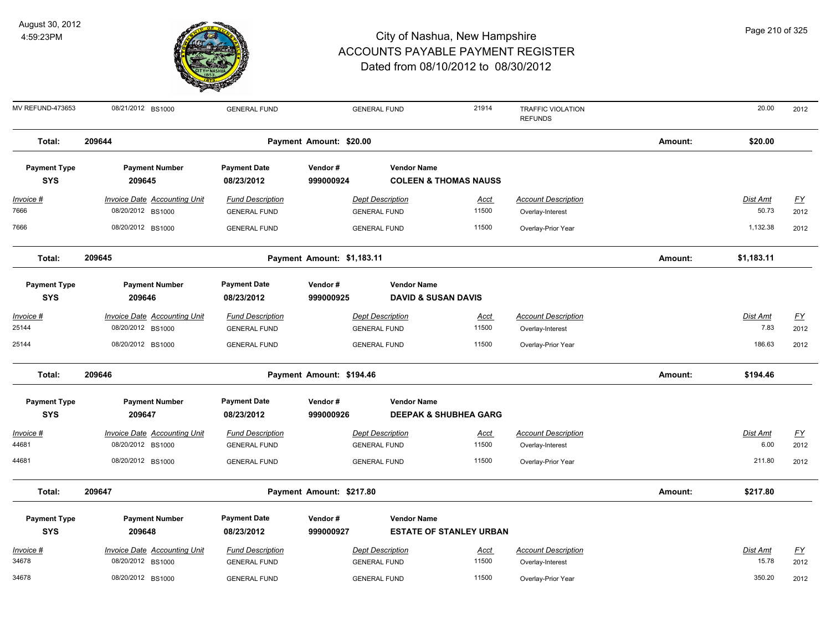

| Page 210 of 325 |
|-----------------|
|-----------------|

| MV REFUND-473653                  | 08/21/2012 BS1000                                        | <b>GENERAL FUND</b>                            |                            | <b>GENERAL FUND</b>                                  | 21914                            | <b>TRAFFIC VIOLATION</b><br><b>REFUNDS</b>     |         | 20.00                    | 2012                     |
|-----------------------------------|----------------------------------------------------------|------------------------------------------------|----------------------------|------------------------------------------------------|----------------------------------|------------------------------------------------|---------|--------------------------|--------------------------|
| Total:                            | 209644                                                   |                                                | Payment Amount: \$20.00    |                                                      |                                  |                                                | Amount: | \$20.00                  |                          |
| <b>Payment Type</b><br><b>SYS</b> | <b>Payment Number</b><br>209645                          | <b>Payment Date</b><br>08/23/2012              | Vendor#<br>999000924       | <b>Vendor Name</b>                                   | <b>COLEEN &amp; THOMAS NAUSS</b> |                                                |         |                          |                          |
| Invoice #<br>7666                 | <b>Invoice Date Accounting Unit</b>                      | <b>Fund Description</b>                        |                            | <b>Dept Description</b>                              | <b>Acct</b><br>11500             | <b>Account Description</b>                     |         | <b>Dist Amt</b><br>50.73 | <u>FY</u>                |
| 7666                              | 08/20/2012 BS1000<br>08/20/2012 BS1000                   | <b>GENERAL FUND</b><br><b>GENERAL FUND</b>     |                            | <b>GENERAL FUND</b><br><b>GENERAL FUND</b>           | 11500                            | Overlay-Interest<br>Overlay-Prior Year         |         | 1,132.38                 | 2012<br>2012             |
| Total:                            | 209645                                                   |                                                | Payment Amount: \$1,183.11 |                                                      |                                  |                                                | Amount: | \$1,183.11               |                          |
| <b>Payment Type</b><br><b>SYS</b> | <b>Payment Number</b><br>209646                          | <b>Payment Date</b><br>08/23/2012              | Vendor#<br>999000925       | <b>Vendor Name</b><br><b>DAVID &amp; SUSAN DAVIS</b> |                                  |                                                |         |                          |                          |
| Invoice #<br>25144                | <b>Invoice Date Accounting Unit</b><br>08/20/2012 BS1000 | <b>Fund Description</b><br><b>GENERAL FUND</b> |                            | <b>Dept Description</b><br><b>GENERAL FUND</b>       | <u>Acct</u><br>11500             | <b>Account Description</b><br>Overlay-Interest |         | Dist Amt<br>7.83         | $\underline{FY}$<br>2012 |
| 25144                             | 08/20/2012 BS1000                                        | <b>GENERAL FUND</b>                            |                            | <b>GENERAL FUND</b>                                  | 11500                            | Overlay-Prior Year                             |         | 186.63                   | 2012                     |
| Total:                            | 209646                                                   |                                                | Payment Amount: \$194.46   |                                                      |                                  |                                                | Amount: | \$194.46                 |                          |
| <b>Payment Type</b><br><b>SYS</b> | <b>Payment Number</b><br>209647                          | <b>Payment Date</b><br>08/23/2012              | Vendor#<br>999000926       | <b>Vendor Name</b>                                   | <b>DEEPAK &amp; SHUBHEA GARG</b> |                                                |         |                          |                          |
| Invoice #<br>44681                | Invoice Date Accounting Unit<br>08/20/2012 BS1000        | <b>Fund Description</b><br><b>GENERAL FUND</b> |                            | <b>Dept Description</b><br><b>GENERAL FUND</b>       | Acct<br>11500                    | <b>Account Description</b><br>Overlay-Interest |         | Dist Amt<br>6.00         | $\underline{FY}$<br>2012 |
| 44681                             | 08/20/2012 BS1000                                        | <b>GENERAL FUND</b>                            |                            | <b>GENERAL FUND</b>                                  | 11500                            | Overlay-Prior Year                             |         | 211.80                   | 2012                     |
| Total:                            | 209647                                                   |                                                | Payment Amount: \$217.80   |                                                      |                                  |                                                | Amount: | \$217.80                 |                          |
| <b>Payment Type</b><br><b>SYS</b> | <b>Payment Number</b><br>209648                          | <b>Payment Date</b><br>08/23/2012              | Vendor#<br>999000927       | <b>Vendor Name</b>                                   | <b>ESTATE OF STANLEY URBAN</b>   |                                                |         |                          |                          |
| Invoice #<br>34678                | Invoice Date Accounting Unit<br>08/20/2012 BS1000        | <b>Fund Description</b><br><b>GENERAL FUND</b> |                            | <b>Dept Description</b><br><b>GENERAL FUND</b>       | <u>Acct</u><br>11500             | <b>Account Description</b><br>Overlay-Interest |         | Dist Amt<br>15.78        | <u>FY</u><br>2012        |
| 34678                             | 08/20/2012 BS1000                                        | <b>GENERAL FUND</b>                            |                            | <b>GENERAL FUND</b>                                  | 11500                            | Overlay-Prior Year                             |         | 350.20                   | 2012                     |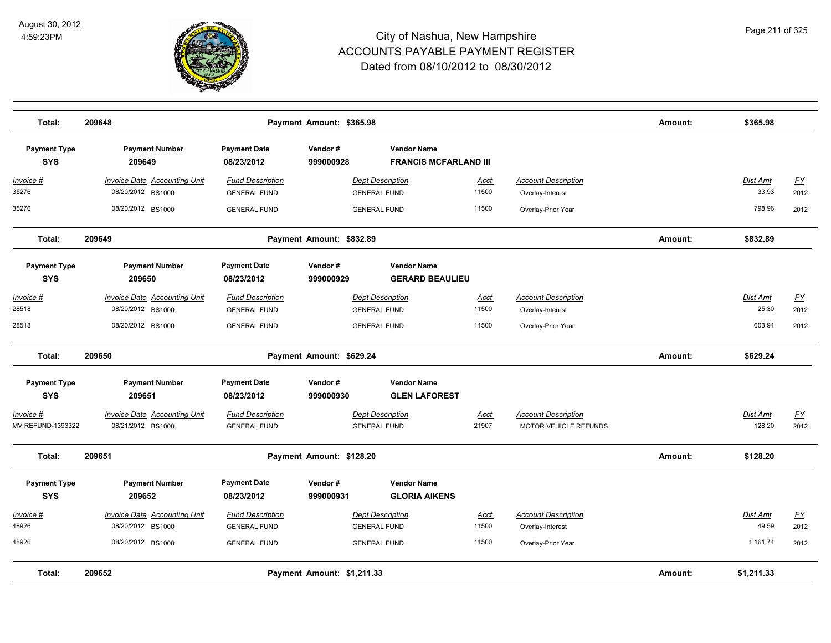

| Total:                            | 209648                                                   |                                                | Amount:                  | \$365.98                                           |                      |                                                     |         |                          |                          |
|-----------------------------------|----------------------------------------------------------|------------------------------------------------|--------------------------|----------------------------------------------------|----------------------|-----------------------------------------------------|---------|--------------------------|--------------------------|
| <b>Payment Type</b><br><b>SYS</b> | <b>Payment Number</b><br>209649                          | <b>Payment Date</b><br>08/23/2012              | Vendor#<br>999000928     | <b>Vendor Name</b><br><b>FRANCIS MCFARLAND III</b> |                      |                                                     |         |                          |                          |
| <u>Invoice #</u><br>35276         | <b>Invoice Date Accounting Unit</b><br>08/20/2012 BS1000 | <b>Fund Description</b><br><b>GENERAL FUND</b> |                          | <b>Dept Description</b><br><b>GENERAL FUND</b>     | <u>Acct</u><br>11500 | <b>Account Description</b><br>Overlay-Interest      |         | <b>Dist Amt</b><br>33.93 | EY<br>2012               |
| 35276                             | 08/20/2012 BS1000                                        | <b>GENERAL FUND</b>                            |                          | <b>GENERAL FUND</b>                                | 11500                | Overlay-Prior Year                                  |         | 798.96                   | 2012                     |
| Total:                            | 209649                                                   |                                                | Payment Amount: \$832.89 |                                                    |                      |                                                     | Amount: | \$832.89                 |                          |
| <b>Payment Type</b><br><b>SYS</b> | <b>Payment Number</b><br>209650                          | <b>Payment Date</b><br>08/23/2012              | Vendor#<br>999000929     | <b>Vendor Name</b><br><b>GERARD BEAULIEU</b>       |                      |                                                     |         |                          |                          |
| <u>Invoice #</u><br>28518         | <b>Invoice Date Accounting Unit</b><br>08/20/2012 BS1000 | <b>Fund Description</b><br><b>GENERAL FUND</b> |                          | <b>Dept Description</b><br><b>GENERAL FUND</b>     | <u>Acct</u><br>11500 | <b>Account Description</b><br>Overlay-Interest      |         | Dist Amt<br>25.30        | <u>FY</u><br>2012        |
| 28518                             | 08/20/2012 BS1000                                        | <b>GENERAL FUND</b>                            |                          | <b>GENERAL FUND</b>                                | 11500                | Overlay-Prior Year                                  |         | 603.94                   | 2012                     |
| Total:                            | 209650                                                   |                                                | Payment Amount: \$629.24 |                                                    |                      |                                                     | Amount: | \$629.24                 |                          |
| <b>Payment Type</b><br><b>SYS</b> | <b>Payment Number</b><br>209651                          | <b>Payment Date</b><br>08/23/2012              | Vendor#<br>999000930     | <b>Vendor Name</b><br><b>GLEN LAFOREST</b>         |                      |                                                     |         |                          |                          |
| Invoice #<br>MV REFUND-1393322    | <b>Invoice Date Accounting Unit</b><br>08/21/2012 BS1000 | <b>Fund Description</b><br><b>GENERAL FUND</b> |                          | <b>Dept Description</b><br><b>GENERAL FUND</b>     | <u>Acct</u><br>21907 | <b>Account Description</b><br>MOTOR VEHICLE REFUNDS |         | Dist Amt<br>128.20       | $\underline{FY}$<br>2012 |
| Total:                            | 209651                                                   |                                                | Payment Amount: \$128.20 |                                                    |                      |                                                     | Amount: | \$128.20                 |                          |
| <b>Payment Type</b><br><b>SYS</b> | <b>Payment Number</b><br>209652                          | <b>Payment Date</b><br>08/23/2012              | Vendor#<br>999000931     | <b>Vendor Name</b><br><b>GLORIA AIKENS</b>         |                      |                                                     |         |                          |                          |
| <u>Invoice #</u><br>48926         | <b>Invoice Date Accounting Unit</b><br>08/20/2012 BS1000 | <b>Fund Description</b><br><b>GENERAL FUND</b> |                          | <b>Dept Description</b><br><b>GENERAL FUND</b>     | <u>Acct</u><br>11500 | <b>Account Description</b><br>Overlay-Interest      |         | <b>Dist Amt</b><br>49.59 | <u>FY</u><br>2012        |
| 48926                             | 08/20/2012 BS1000                                        | <b>GENERAL FUND</b>                            |                          | <b>GENERAL FUND</b>                                | 11500                | Overlay-Prior Year                                  |         | 1,161.74                 | 2012                     |
| Total:                            | 209652<br>Payment Amount: \$1,211.33                     |                                                |                          |                                                    |                      |                                                     | Amount: | \$1,211.33               |                          |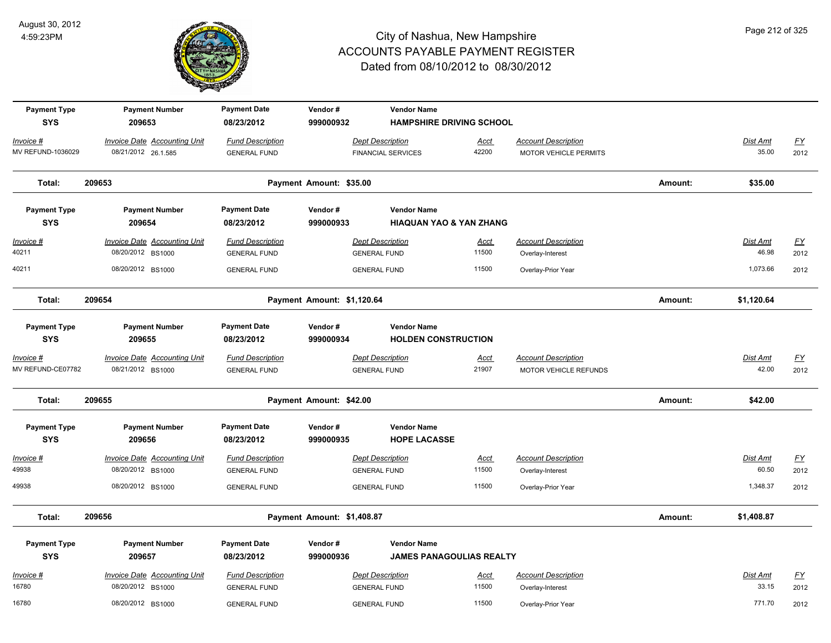

| <b>Payment Type</b> | <b>Payment Number</b>               | <b>Payment Date</b>     | Vendor#                    | <b>Vendor Name</b>                 |             |                              |         |                 |                           |
|---------------------|-------------------------------------|-------------------------|----------------------------|------------------------------------|-------------|------------------------------|---------|-----------------|---------------------------|
| <b>SYS</b>          | 209653                              | 08/23/2012              | 999000932                  | <b>HAMPSHIRE DRIVING SCHOOL</b>    |             |                              |         |                 |                           |
| Invoice #           | <b>Invoice Date Accounting Unit</b> | <b>Fund Description</b> |                            | <b>Dept Description</b>            | Acct        | <b>Account Description</b>   |         | Dist Amt        | $\underline{FY}$          |
| MV REFUND-1036029   | 08/21/2012 26.1.585                 | <b>GENERAL FUND</b>     |                            | <b>FINANCIAL SERVICES</b>          | 42200       | <b>MOTOR VEHICLE PERMITS</b> |         | 35.00           | 2012                      |
| Total:              | 209653                              |                         | Payment Amount: \$35.00    |                                    |             |                              | Amount: | \$35.00         |                           |
| <b>Payment Type</b> | <b>Payment Number</b>               | <b>Payment Date</b>     | Vendor#                    | <b>Vendor Name</b>                 |             |                              |         |                 |                           |
| <b>SYS</b>          | 209654                              | 08/23/2012              | 999000933                  | <b>HIAQUAN YAO &amp; YAN ZHANG</b> |             |                              |         |                 |                           |
| Invoice #           | <b>Invoice Date Accounting Unit</b> | <b>Fund Description</b> |                            | <b>Dept Description</b>            | <u>Acct</u> | <b>Account Description</b>   |         | <b>Dist Amt</b> | $\underline{\mathsf{FY}}$ |
| 40211               | 08/20/2012 BS1000                   | <b>GENERAL FUND</b>     |                            | <b>GENERAL FUND</b>                | 11500       | Overlay-Interest             |         | 46.98           | 2012                      |
| 40211               | 08/20/2012 BS1000                   | <b>GENERAL FUND</b>     |                            | <b>GENERAL FUND</b>                | 11500       | Overlay-Prior Year           |         | 1,073.66        | 2012                      |
| Total:              | 209654                              |                         | Payment Amount: \$1,120.64 |                                    |             |                              | Amount: | \$1,120.64      |                           |
| <b>Payment Type</b> | <b>Payment Number</b>               | <b>Payment Date</b>     | Vendor#                    | <b>Vendor Name</b>                 |             |                              |         |                 |                           |
| <b>SYS</b>          | 209655                              | 08/23/2012              | 999000934                  | <b>HOLDEN CONSTRUCTION</b>         |             |                              |         |                 |                           |
| Invoice #           | <b>Invoice Date Accounting Unit</b> | <b>Fund Description</b> |                            | <b>Dept Description</b>            | <u>Acct</u> | <b>Account Description</b>   |         | Dist Amt        | $\underline{FY}$          |
| MV REFUND-CE07782   | 08/21/2012 BS1000                   | <b>GENERAL FUND</b>     |                            | <b>GENERAL FUND</b>                | 21907       | MOTOR VEHICLE REFUNDS        |         | 42.00           | 2012                      |
| Total:              | 209655                              |                         | Payment Amount: \$42.00    |                                    |             |                              | Amount: | \$42.00         |                           |
| <b>Payment Type</b> | <b>Payment Number</b>               | <b>Payment Date</b>     | Vendor#                    | <b>Vendor Name</b>                 |             |                              |         |                 |                           |
| <b>SYS</b>          | 209656                              | 08/23/2012              | 999000935                  | <b>HOPE LACASSE</b>                |             |                              |         |                 |                           |
| Invoice #           | <b>Invoice Date Accounting Unit</b> | <b>Fund Description</b> |                            | <b>Dept Description</b>            | <u>Acct</u> | <b>Account Description</b>   |         | Dist Amt        | $\underline{FY}$          |
| 49938               | 08/20/2012 BS1000                   | <b>GENERAL FUND</b>     |                            | <b>GENERAL FUND</b>                | 11500       | Overlay-Interest             |         | 60.50           | 2012                      |
| 49938               | 08/20/2012 BS1000                   | <b>GENERAL FUND</b>     |                            | <b>GENERAL FUND</b>                | 11500       | Overlay-Prior Year           |         | 1,348.37        | 2012                      |
| Total:              | 209656                              |                         | Payment Amount: \$1,408.87 |                                    |             |                              | Amount: | \$1,408.87      |                           |
| <b>Payment Type</b> | <b>Payment Number</b>               | <b>Payment Date</b>     | Vendor#                    | <b>Vendor Name</b>                 |             |                              |         |                 |                           |
| <b>SYS</b>          | 209657                              | 08/23/2012              | 999000936                  | <b>JAMES PANAGOULIAS REALTY</b>    |             |                              |         |                 |                           |
| Invoice #           | <b>Invoice Date Accounting Unit</b> | <b>Fund Description</b> |                            | <b>Dept Description</b>            | <u>Acct</u> | <b>Account Description</b>   |         | Dist Amt        | $\underline{FY}$          |
| 16780               | 08/20/2012 BS1000                   | <b>GENERAL FUND</b>     |                            | <b>GENERAL FUND</b>                | 11500       | Overlay-Interest             |         | 33.15           | 2012                      |
| 16780               | 08/20/2012 BS1000                   | <b>GENERAL FUND</b>     |                            | <b>GENERAL FUND</b>                | 11500       | Overlay-Prior Year           |         | 771.70          | 2012                      |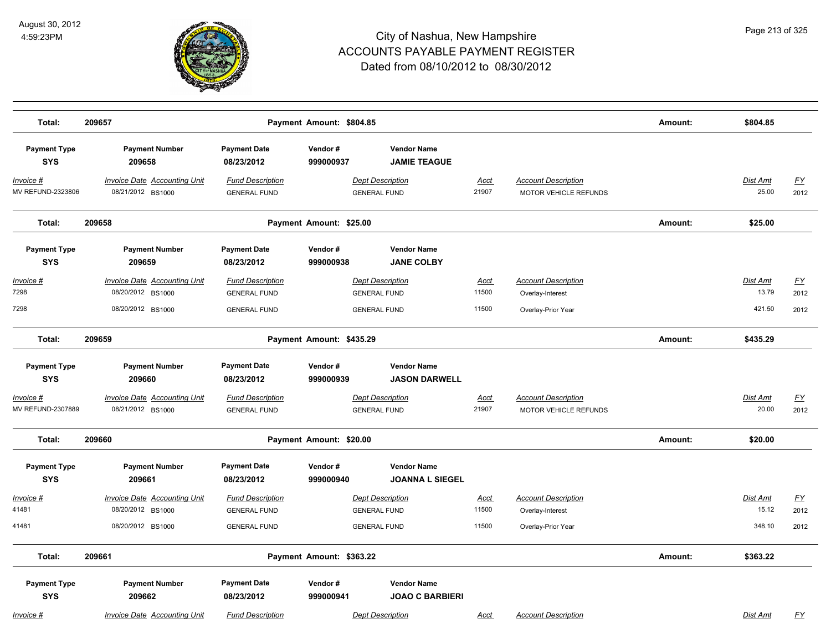

| Total:                            | 209657                                                                 |                                                                       | Payment Amount: \$804.85 |                                                                       |                        |                                                                      | Amount: | \$804.85                    |                           |
|-----------------------------------|------------------------------------------------------------------------|-----------------------------------------------------------------------|--------------------------|-----------------------------------------------------------------------|------------------------|----------------------------------------------------------------------|---------|-----------------------------|---------------------------|
| <b>Payment Type</b><br><b>SYS</b> | <b>Payment Number</b><br>209658                                        | <b>Payment Date</b><br>08/23/2012                                     | Vendor#<br>999000937     | <b>Vendor Name</b><br><b>JAMIE TEAGUE</b>                             |                        |                                                                      |         |                             |                           |
| $Invoice$ #<br>MV REFUND-2323806  | <b>Invoice Date Accounting Unit</b><br>08/21/2012 BS1000               | <b>Fund Description</b><br><b>GENERAL FUND</b>                        |                          | <b>Dept Description</b><br><b>GENERAL FUND</b>                        | <b>Acct</b><br>21907   | <b>Account Description</b><br>MOTOR VEHICLE REFUNDS                  |         | <b>Dist Amt</b><br>25.00    | <u>FY</u><br>2012         |
| Total:                            | 209658                                                                 |                                                                       | Payment Amount: \$25.00  |                                                                       |                        |                                                                      | Amount: | \$25.00                     |                           |
| <b>Payment Type</b><br><b>SYS</b> | <b>Payment Number</b><br>209659                                        | <b>Payment Date</b><br>08/23/2012                                     | Vendor#<br>999000938     | <b>Vendor Name</b><br><b>JANE COLBY</b>                               |                        |                                                                      |         |                             |                           |
| Invoice #<br>7298<br>7298         | Invoice Date Accounting Unit<br>08/20/2012 BS1000<br>08/20/2012 BS1000 | <b>Fund Description</b><br><b>GENERAL FUND</b><br><b>GENERAL FUND</b> |                          | <b>Dept Description</b><br><b>GENERAL FUND</b><br><b>GENERAL FUND</b> | Acct<br>11500<br>11500 | <b>Account Description</b><br>Overlay-Interest<br>Overlay-Prior Year |         | Dist Amt<br>13.79<br>421.50 | <u>FY</u><br>2012<br>2012 |
| Total:                            | 209659                                                                 |                                                                       | Payment Amount: \$435.29 |                                                                       |                        |                                                                      | Amount: | \$435.29                    |                           |
| <b>Payment Type</b><br><b>SYS</b> | <b>Payment Number</b><br>209660                                        | <b>Payment Date</b><br>08/23/2012                                     | Vendor#<br>999000939     | <b>Vendor Name</b><br><b>JASON DARWELL</b>                            |                        |                                                                      |         |                             |                           |
| Invoice #<br>MV REFUND-2307889    | <b>Invoice Date Accounting Unit</b><br>08/21/2012 BS1000               | <b>Fund Description</b><br><b>GENERAL FUND</b>                        |                          | <b>Dept Description</b><br><b>GENERAL FUND</b>                        | <u>Acct</u><br>21907   | <b>Account Description</b><br>MOTOR VEHICLE REFUNDS                  |         | Dist Amt<br>20.00           | <u>FY</u><br>2012         |
| Total:                            | 209660                                                                 |                                                                       | Payment Amount: \$20.00  |                                                                       |                        |                                                                      | Amount: | \$20.00                     |                           |
| <b>Payment Type</b><br><b>SYS</b> | <b>Payment Number</b><br>209661                                        | <b>Payment Date</b><br>08/23/2012                                     | Vendor#<br>999000940     | <b>Vendor Name</b><br><b>JOANNA L SIEGEL</b>                          |                        |                                                                      |         |                             |                           |
| Invoice #<br>41481                | <b>Invoice Date Accounting Unit</b><br>08/20/2012 BS1000               | <b>Fund Description</b><br><b>GENERAL FUND</b>                        |                          | <b>Dept Description</b><br><b>GENERAL FUND</b>                        | <b>Acct</b><br>11500   | <b>Account Description</b><br>Overlay-Interest                       |         | Dist Amt<br>15.12           | <u>FY</u><br>2012         |
| 41481                             | 08/20/2012 BS1000                                                      | <b>GENERAL FUND</b>                                                   |                          | <b>GENERAL FUND</b>                                                   | 11500                  | Overlay-Prior Year                                                   |         | 348.10                      | 2012                      |
| Total:                            | 209661                                                                 |                                                                       | Payment Amount: \$363.22 |                                                                       |                        |                                                                      | Amount: | \$363.22                    |                           |
| <b>Payment Type</b><br><b>SYS</b> | <b>Payment Number</b><br>209662                                        | <b>Payment Date</b><br>08/23/2012                                     | Vendor#<br>999000941     | <b>Vendor Name</b><br><b>JOAO C BARBIERI</b>                          |                        |                                                                      |         |                             |                           |
| Invoice #                         | <b>Invoice Date Accounting Unit</b>                                    | <b>Fund Description</b>                                               |                          | <b>Dept Description</b>                                               | <b>Acct</b>            | <b>Account Description</b>                                           |         | <b>Dist Amt</b>             | <u>FY</u>                 |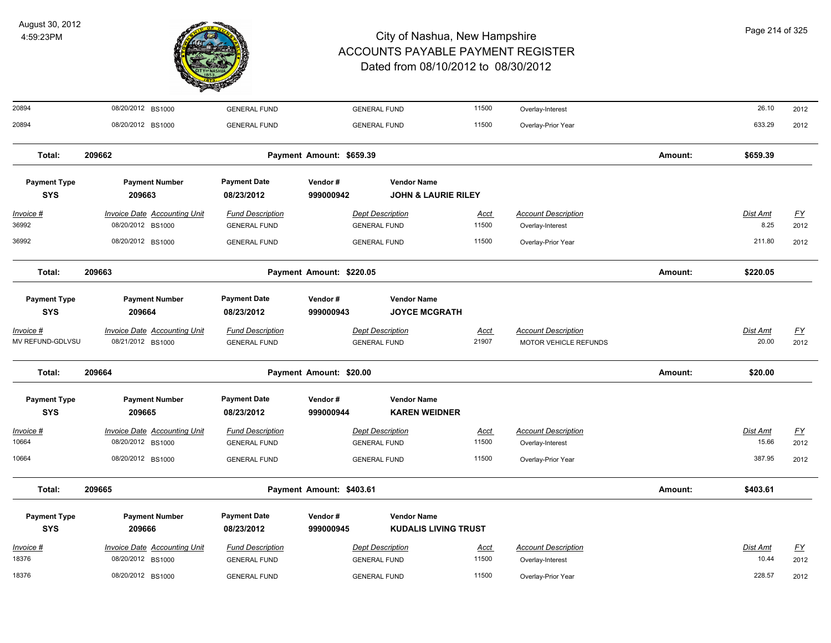

| 20894                             | 08/20/2012 BS1000                                        | <b>GENERAL FUND</b>                            |                          | <b>GENERAL FUND</b>                                  | 11500                | Overlay-Interest                                    |         | 26.10                    | 2012              |
|-----------------------------------|----------------------------------------------------------|------------------------------------------------|--------------------------|------------------------------------------------------|----------------------|-----------------------------------------------------|---------|--------------------------|-------------------|
| 20894                             | 08/20/2012 BS1000                                        | <b>GENERAL FUND</b>                            |                          | <b>GENERAL FUND</b>                                  | 11500                | Overlay-Prior Year                                  |         | 633.29                   | 2012              |
| Total:                            | 209662                                                   |                                                | Payment Amount: \$659.39 |                                                      |                      |                                                     | Amount: | \$659.39                 |                   |
| <b>Payment Type</b><br><b>SYS</b> | <b>Payment Number</b><br>209663                          | <b>Payment Date</b><br>08/23/2012              | Vendor#<br>999000942     | <b>Vendor Name</b><br><b>JOHN &amp; LAURIE RILEY</b> |                      |                                                     |         |                          |                   |
| $Invoice$ #<br>36992              | <b>Invoice Date Accounting Unit</b><br>08/20/2012 BS1000 | <b>Fund Description</b><br><b>GENERAL FUND</b> |                          | <b>Dept Description</b><br><b>GENERAL FUND</b>       | <b>Acct</b><br>11500 | <b>Account Description</b><br>Overlay-Interest      |         | <b>Dist Amt</b><br>8.25  | <u>FY</u><br>2012 |
| 36992                             | 08/20/2012 BS1000                                        | <b>GENERAL FUND</b>                            |                          | <b>GENERAL FUND</b>                                  | 11500                | Overlay-Prior Year                                  |         | 211.80                   | 2012              |
| Total:                            | 209663                                                   |                                                | Payment Amount: \$220.05 |                                                      |                      |                                                     | Amount: | \$220.05                 |                   |
| <b>Payment Type</b><br><b>SYS</b> | <b>Payment Number</b><br>209664                          | <b>Payment Date</b><br>08/23/2012              | Vendor#<br>999000943     | <b>Vendor Name</b><br><b>JOYCE MCGRATH</b>           |                      |                                                     |         |                          |                   |
| Invoice #<br>MV REFUND-GDLVSU     | Invoice Date Accounting Unit<br>08/21/2012 BS1000        | <b>Fund Description</b><br><b>GENERAL FUND</b> |                          | <b>Dept Description</b><br><b>GENERAL FUND</b>       | <u>Acct</u><br>21907 | <b>Account Description</b><br>MOTOR VEHICLE REFUNDS |         | Dist Amt<br>20.00        | <u>FY</u><br>2012 |
| Total:                            | 209664                                                   |                                                | Payment Amount: \$20.00  |                                                      |                      |                                                     | Amount: | \$20.00                  |                   |
| <b>Payment Type</b><br><b>SYS</b> | <b>Payment Number</b><br>209665                          | <b>Payment Date</b><br>08/23/2012              | Vendor#<br>999000944     | <b>Vendor Name</b><br><b>KAREN WEIDNER</b>           |                      |                                                     |         |                          |                   |
| Invoice #<br>10664                | Invoice Date Accounting Unit<br>08/20/2012 BS1000        | <b>Fund Description</b><br><b>GENERAL FUND</b> |                          | <b>Dept Description</b><br><b>GENERAL FUND</b>       | <u>Acct</u><br>11500 | <b>Account Description</b><br>Overlay-Interest      |         | Dist Amt<br>15.66        | <u>FY</u><br>2012 |
| 10664                             | 08/20/2012 BS1000                                        | <b>GENERAL FUND</b>                            |                          | <b>GENERAL FUND</b>                                  | 11500                | Overlay-Prior Year                                  |         | 387.95                   | 2012              |
| Total:                            | 209665                                                   |                                                | Payment Amount: \$403.61 |                                                      |                      |                                                     | Amount: | \$403.61                 |                   |
| <b>Payment Type</b><br><b>SYS</b> | <b>Payment Number</b><br>209666                          | <b>Payment Date</b><br>08/23/2012              | Vendor#<br>999000945     | <b>Vendor Name</b><br><b>KUDALIS LIVING TRUST</b>    |                      |                                                     |         |                          |                   |
| Invoice #<br>18376                | <b>Invoice Date Accounting Unit</b><br>08/20/2012 BS1000 | <b>Fund Description</b><br><b>GENERAL FUND</b> |                          | <b>Dept Description</b><br><b>GENERAL FUND</b>       | Acct<br>11500        | <b>Account Description</b><br>Overlay-Interest      |         | <b>Dist Amt</b><br>10.44 | <u>FY</u><br>2012 |
| 18376                             | 08/20/2012 BS1000                                        | <b>GENERAL FUND</b>                            |                          | <b>GENERAL FUND</b>                                  | 11500                | Overlay-Prior Year                                  |         | 228.57                   | 2012              |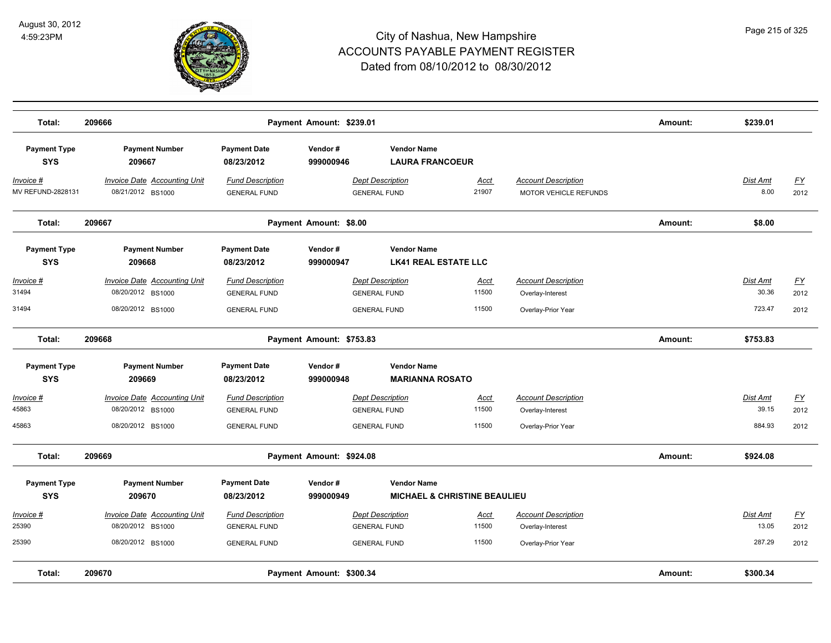

| Total:                              | 209666                                                                        |                                                                       | Payment Amount: \$239.01 |                                                                       |                                         |                                                                      | Amount: | \$239.01                    |                                  |
|-------------------------------------|-------------------------------------------------------------------------------|-----------------------------------------------------------------------|--------------------------|-----------------------------------------------------------------------|-----------------------------------------|----------------------------------------------------------------------|---------|-----------------------------|----------------------------------|
| <b>Payment Type</b><br><b>SYS</b>   | <b>Payment Number</b><br>209667                                               | <b>Payment Date</b><br>08/23/2012                                     | Vendor#<br>999000946     | <b>Vendor Name</b><br><b>LAURA FRANCOEUR</b>                          |                                         |                                                                      |         |                             |                                  |
| Invoice #<br>MV REFUND-2828131      | <b>Invoice Date Accounting Unit</b><br>08/21/2012 BS1000                      | <b>Fund Description</b><br><b>GENERAL FUND</b>                        |                          | <b>Dept Description</b><br><b>GENERAL FUND</b>                        | Acct<br>21907                           | <b>Account Description</b><br><b>MOTOR VEHICLE REFUNDS</b>           |         | Dist Amt<br>8.00            | <u>FY</u><br>2012                |
| Total:                              | 209667                                                                        |                                                                       | Payment Amount: \$8.00   |                                                                       |                                         |                                                                      | Amount: | \$8.00                      |                                  |
| <b>Payment Type</b><br><b>SYS</b>   | <b>Payment Number</b><br>209668                                               | <b>Payment Date</b><br>08/23/2012                                     | Vendor#<br>999000947     | <b>Vendor Name</b><br><b>LK41 REAL ESTATE LLC</b>                     |                                         |                                                                      |         |                             |                                  |
| Invoice #<br>31494<br>31494         | Invoice Date Accounting Unit<br>08/20/2012 BS1000<br>08/20/2012 BS1000        | <b>Fund Description</b><br><b>GENERAL FUND</b><br><b>GENERAL FUND</b> |                          | <b>Dept Description</b><br><b>GENERAL FUND</b><br><b>GENERAL FUND</b> | Acct<br>11500<br>11500                  | <b>Account Description</b><br>Overlay-Interest<br>Overlay-Prior Year |         | Dist Amt<br>30.36<br>723.47 | <u>FY</u><br>2012<br>2012        |
| Total:                              | 209668                                                                        |                                                                       | Payment Amount: \$753.83 |                                                                       |                                         |                                                                      | Amount: | \$753.83                    |                                  |
| <b>Payment Type</b><br><b>SYS</b>   | <b>Payment Number</b><br>209669                                               | <b>Payment Date</b><br>08/23/2012                                     | Vendor#<br>999000948     | <b>Vendor Name</b><br><b>MARIANNA ROSATO</b>                          |                                         |                                                                      |         |                             |                                  |
| <u> Invoice #</u><br>45863<br>45863 | <b>Invoice Date Accounting Unit</b><br>08/20/2012 BS1000<br>08/20/2012 BS1000 | <b>Fund Description</b><br><b>GENERAL FUND</b><br><b>GENERAL FUND</b> |                          | <b>Dept Description</b><br><b>GENERAL FUND</b><br><b>GENERAL FUND</b> | <u>Acct</u><br>11500<br>11500           | <b>Account Description</b><br>Overlay-Interest<br>Overlay-Prior Year |         | Dist Amt<br>39.15<br>884.93 | $\underline{FY}$<br>2012<br>2012 |
| Total:                              | 209669                                                                        |                                                                       | Payment Amount: \$924.08 |                                                                       |                                         |                                                                      | Amount: | \$924.08                    |                                  |
| <b>Payment Type</b><br><b>SYS</b>   | <b>Payment Number</b><br>209670                                               | <b>Payment Date</b><br>08/23/2012                                     | Vendor#<br>999000949     | <b>Vendor Name</b>                                                    | <b>MICHAEL &amp; CHRISTINE BEAULIEU</b> |                                                                      |         |                             |                                  |
| <u> Invoice #</u><br>25390          | <b>Invoice Date Accounting Unit</b><br>08/20/2012 BS1000                      | <b>Fund Description</b><br><b>GENERAL FUND</b>                        |                          | <b>Dept Description</b><br><b>GENERAL FUND</b>                        | <u>Acct</u><br>11500                    | <b>Account Description</b><br>Overlay-Interest                       |         | Dist Amt<br>13.05           | $\underline{FY}$<br>2012         |
| 25390<br>Total:                     | 08/20/2012 BS1000<br>209670                                                   | <b>GENERAL FUND</b>                                                   | Payment Amount: \$300.34 | <b>GENERAL FUND</b>                                                   | 11500                                   | Overlay-Prior Year                                                   | Amount: | 287.29<br>\$300.34          | 2012                             |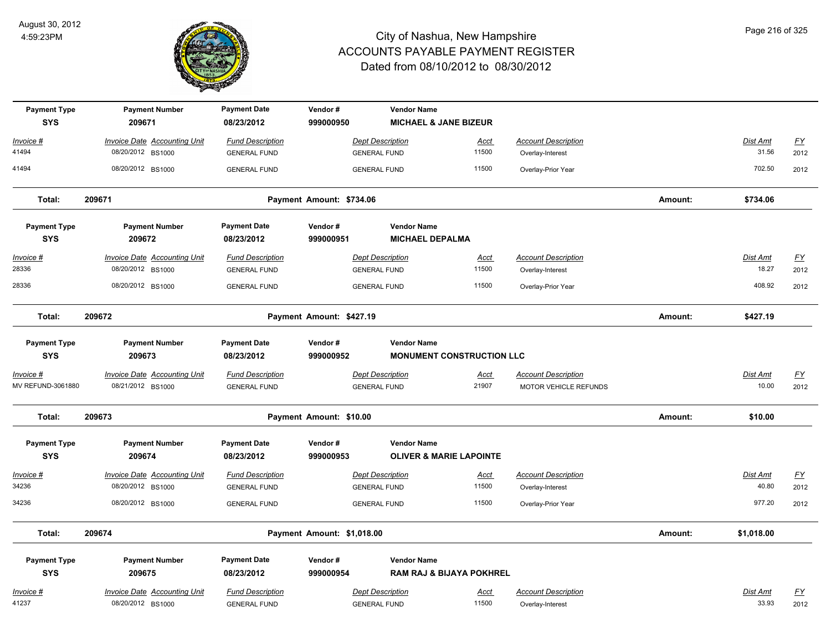

| <b>Payment Type</b>               | <b>Payment Number</b><br>209671                          | <b>Payment Date</b><br>08/23/2012              | Vendor#                  | <b>Vendor Name</b>                                        |                      |                                                |         |                   |                           |
|-----------------------------------|----------------------------------------------------------|------------------------------------------------|--------------------------|-----------------------------------------------------------|----------------------|------------------------------------------------|---------|-------------------|---------------------------|
| <b>SYS</b>                        |                                                          |                                                | 999000950                | <b>MICHAEL &amp; JANE BIZEUR</b>                          |                      |                                                |         |                   |                           |
| Invoice #                         | <b>Invoice Date Accounting Unit</b>                      | <b>Fund Description</b>                        |                          | <b>Dept Description</b>                                   | <u>Acct</u>          | <b>Account Description</b>                     |         | Dist Amt          | $\underline{\mathsf{FY}}$ |
| 41494                             | 08/20/2012 BS1000                                        | <b>GENERAL FUND</b>                            |                          | <b>GENERAL FUND</b>                                       | 11500                | Overlay-Interest                               |         | 31.56             | 2012                      |
| 41494                             | 08/20/2012 BS1000                                        | <b>GENERAL FUND</b>                            |                          | <b>GENERAL FUND</b>                                       | 11500                | Overlay-Prior Year                             |         | 702.50            | 2012                      |
| Total:                            | 209671<br>Payment Amount: \$734.06                       |                                                |                          |                                                           |                      |                                                | Amount: | \$734.06          |                           |
| <b>Payment Type</b><br><b>SYS</b> | <b>Payment Number</b><br>209672                          | <b>Payment Date</b><br>08/23/2012              | Vendor#<br>999000951     | <b>Vendor Name</b><br><b>MICHAEL DEPALMA</b>              |                      |                                                |         |                   |                           |
| Invoice #                         | <b>Invoice Date Accounting Unit</b>                      | <b>Fund Description</b>                        |                          | <b>Dept Description</b>                                   | Acct                 | <b>Account Description</b>                     |         | Dist Amt          | <u>FY</u>                 |
| 28336                             | 08/20/2012 BS1000                                        | <b>GENERAL FUND</b>                            |                          | <b>GENERAL FUND</b>                                       | 11500                | Overlay-Interest                               |         | 18.27             | 2012                      |
| 28336                             | 08/20/2012 BS1000                                        | <b>GENERAL FUND</b>                            |                          | <b>GENERAL FUND</b>                                       | 11500                | Overlay-Prior Year                             |         | 408.92            | 2012                      |
| Total:                            | 209672                                                   |                                                | Payment Amount: \$427.19 |                                                           |                      |                                                | Amount: | \$427.19          |                           |
| <b>Payment Type</b><br><b>SYS</b> | <b>Payment Number</b><br>209673                          | <b>Payment Date</b><br>08/23/2012              | Vendor#<br>999000952     | <b>Vendor Name</b><br><b>MONUMENT CONSTRUCTION LLC</b>    |                      |                                                |         |                   |                           |
| <u>Invoice #</u>                  | <b>Invoice Date Accounting Unit</b>                      | <b>Fund Description</b>                        |                          | <b>Dept Description</b>                                   | <u>Acct</u>          | <b>Account Description</b>                     |         | Dist Amt          | <u>FY</u>                 |
| MV REFUND-3061880                 | 08/21/2012 BS1000                                        | <b>GENERAL FUND</b>                            |                          | <b>GENERAL FUND</b>                                       | 21907                | MOTOR VEHICLE REFUNDS                          |         | 10.00             | 2012                      |
| Total:                            | 209673<br>Payment Amount: \$10.00                        |                                                |                          |                                                           |                      |                                                | Amount: | \$10.00           |                           |
| <b>Payment Type</b><br><b>SYS</b> | <b>Payment Number</b><br>209674                          | <b>Payment Date</b><br>08/23/2012              | Vendor#<br>999000953     | <b>Vendor Name</b><br><b>OLIVER &amp; MARIE LAPOINTE</b>  |                      |                                                |         |                   |                           |
| Invoice #                         | <b>Invoice Date Accounting Unit</b>                      | <b>Fund Description</b>                        |                          | <b>Dept Description</b>                                   | <u>Acct</u>          | <b>Account Description</b>                     |         | Dist Amt          | $\underline{FY}$          |
| 34236                             | 08/20/2012 BS1000                                        | <b>GENERAL FUND</b>                            |                          | <b>GENERAL FUND</b>                                       | 11500                | Overlay-Interest                               |         | 40.80             | 2012                      |
| 34236                             | 08/20/2012 BS1000                                        | <b>GENERAL FUND</b>                            |                          | <b>GENERAL FUND</b>                                       | 11500                | Overlay-Prior Year                             |         | 977.20            | 2012                      |
| Total:                            | 209674<br>Payment Amount: \$1,018.00                     |                                                |                          |                                                           |                      |                                                | Amount: | \$1,018.00        |                           |
| <b>Payment Type</b><br><b>SYS</b> | <b>Payment Number</b><br>209675                          | <b>Payment Date</b><br>08/23/2012              | Vendor#<br>999000954     | <b>Vendor Name</b><br><b>RAM RAJ &amp; BIJAYA POKHREL</b> |                      |                                                |         |                   |                           |
| Invoice #<br>41237                | <b>Invoice Date Accounting Unit</b><br>08/20/2012 BS1000 | <b>Fund Description</b><br><b>GENERAL FUND</b> |                          | <b>Dept Description</b><br><b>GENERAL FUND</b>            | <u>Acct</u><br>11500 | <b>Account Description</b><br>Overlay-Interest |         | Dist Amt<br>33.93 | <u>FY</u><br>2012         |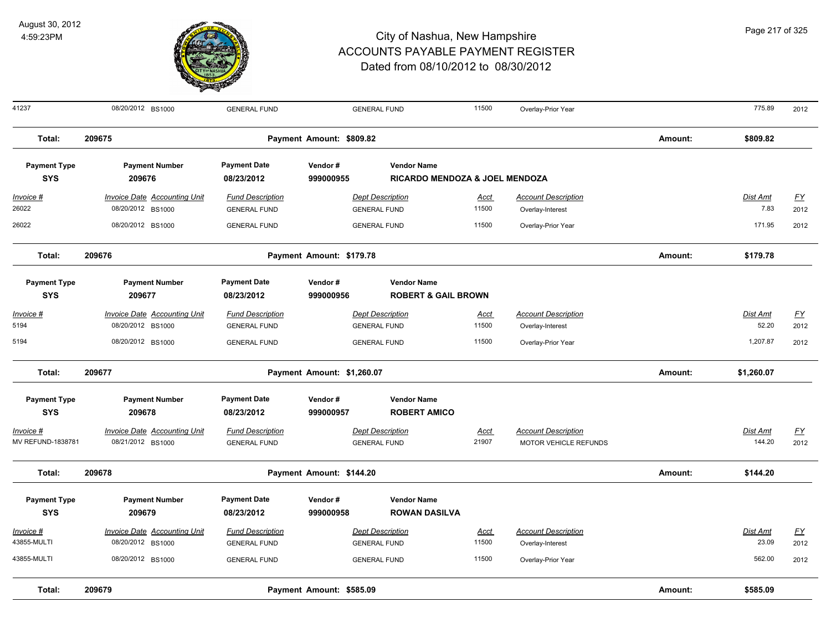

|  | Page 217 of 325 |  |
|--|-----------------|--|

| 41237                             | 08/20/2012 BS1000                                        | <b>GENERAL FUND</b>                            |                            | <b>GENERAL FUND</b>                                             | 11500         | Overlay-Prior Year                                  |         | 775.89             | 2012              |
|-----------------------------------|----------------------------------------------------------|------------------------------------------------|----------------------------|-----------------------------------------------------------------|---------------|-----------------------------------------------------|---------|--------------------|-------------------|
| Total:                            | 209675                                                   |                                                | Payment Amount: \$809.82   |                                                                 |               |                                                     | Amount: | \$809.82           |                   |
| <b>Payment Type</b><br><b>SYS</b> | <b>Payment Number</b><br>209676                          | <b>Payment Date</b><br>08/23/2012              | Vendor#<br>999000955       | <b>Vendor Name</b><br><b>RICARDO MENDOZA &amp; JOEL MENDOZA</b> |               |                                                     |         |                    |                   |
| $Invoice$ #<br>26022              | <b>Invoice Date Accounting Unit</b><br>08/20/2012 BS1000 | <b>Fund Description</b><br><b>GENERAL FUND</b> |                            | <b>Dept Description</b><br><b>GENERAL FUND</b>                  | Acct<br>11500 | <b>Account Description</b><br>Overlay-Interest      |         | Dist Amt<br>7.83   | EY<br>2012        |
| 26022                             | 08/20/2012 BS1000                                        | <b>GENERAL FUND</b>                            |                            | <b>GENERAL FUND</b>                                             | 11500         | Overlay-Prior Year                                  |         | 171.95             | 2012              |
| Total:                            | 209676                                                   |                                                | Payment Amount: \$179.78   |                                                                 |               |                                                     | Amount: | \$179.78           |                   |
| <b>Payment Type</b><br><b>SYS</b> | <b>Payment Number</b><br>209677                          | <b>Payment Date</b><br>08/23/2012              | Vendor#<br>999000956       | <b>Vendor Name</b><br><b>ROBERT &amp; GAIL BROWN</b>            |               |                                                     |         |                    |                   |
| Invoice #<br>5194                 | Invoice Date Accounting Unit<br>08/20/2012 BS1000        | <b>Fund Description</b><br><b>GENERAL FUND</b> |                            | <b>Dept Description</b><br><b>GENERAL FUND</b>                  | Acct<br>11500 | <b>Account Description</b><br>Overlay-Interest      |         | Dist Amt<br>52.20  | FY<br>2012        |
| 5194                              | 08/20/2012 BS1000                                        | <b>GENERAL FUND</b>                            |                            | <b>GENERAL FUND</b>                                             | 11500         | Overlay-Prior Year                                  |         | 1,207.87           | 2012              |
| Total:                            | 209677                                                   |                                                | Payment Amount: \$1,260.07 |                                                                 |               |                                                     | Amount: | \$1,260.07         |                   |
| <b>Payment Type</b><br><b>SYS</b> | <b>Payment Number</b><br>209678                          | <b>Payment Date</b><br>08/23/2012              | Vendor#<br>999000957       | <b>Vendor Name</b><br><b>ROBERT AMICO</b>                       |               |                                                     |         |                    |                   |
| Invoice #<br>MV REFUND-1838781    | Invoice Date Accounting Unit<br>08/21/2012 BS1000        | <b>Fund Description</b><br><b>GENERAL FUND</b> |                            | <b>Dept Description</b><br><b>GENERAL FUND</b>                  | Acct<br>21907 | <b>Account Description</b><br>MOTOR VEHICLE REFUNDS |         | Dist Amt<br>144.20 | FY<br>2012        |
| Total:                            | 209678                                                   |                                                | Payment Amount: \$144.20   |                                                                 |               |                                                     | Amount: | \$144.20           |                   |
| <b>Payment Type</b><br><b>SYS</b> | <b>Payment Number</b><br>209679                          | <b>Payment Date</b><br>08/23/2012              | Vendor#<br>999000958       | <b>Vendor Name</b><br><b>ROWAN DASILVA</b>                      |               |                                                     |         |                    |                   |
| Invoice #<br>43855-MULTI          | Invoice Date Accounting Unit<br>08/20/2012 BS1000        | <b>Fund Description</b><br><b>GENERAL FUND</b> |                            | <b>Dept Description</b><br><b>GENERAL FUND</b>                  | Acct<br>11500 | <b>Account Description</b><br>Overlay-Interest      |         | Dist Amt<br>23.09  | <u>FY</u><br>2012 |
| 43855-MULTI                       | 08/20/2012 BS1000                                        | <b>GENERAL FUND</b>                            |                            | <b>GENERAL FUND</b>                                             | 11500         | Overlay-Prior Year                                  |         | 562.00             | 2012              |
| Total:                            | 209679                                                   |                                                | Payment Amount: \$585.09   |                                                                 |               |                                                     | Amount: | \$585.09           |                   |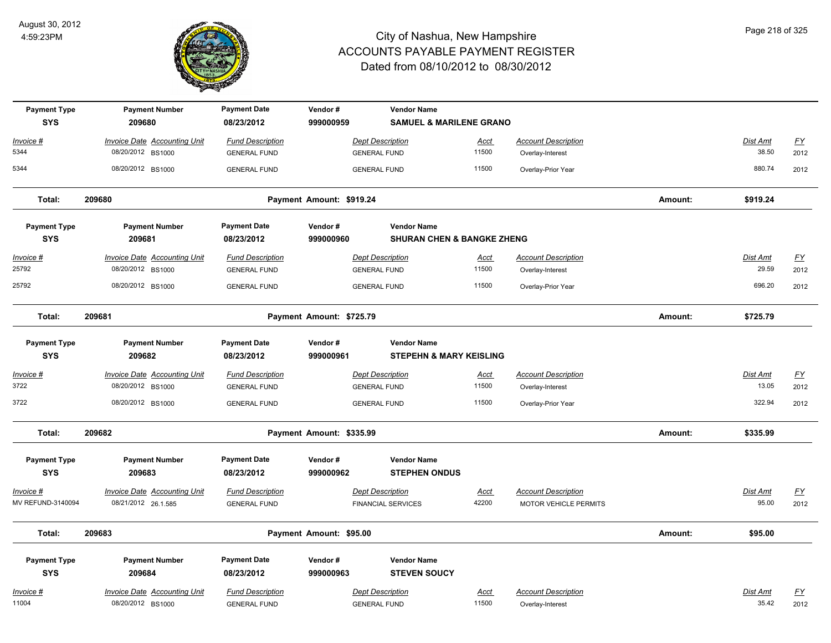

| <b>Payment Type</b>               | <b>Payment Number</b>                                    | <b>Payment Date</b>                            | Vendor#                  | <b>Vendor Name</b>                                       |                      |                                                |         |                   |                           |
|-----------------------------------|----------------------------------------------------------|------------------------------------------------|--------------------------|----------------------------------------------------------|----------------------|------------------------------------------------|---------|-------------------|---------------------------|
| <b>SYS</b>                        | 209680                                                   | 08/23/2012                                     | 999000959                | <b>SAMUEL &amp; MARILENE GRANO</b>                       |                      |                                                |         |                   |                           |
| Invoice #                         | <b>Invoice Date Accounting Unit</b>                      | <b>Fund Description</b>                        |                          | <b>Dept Description</b>                                  | Acct                 | <b>Account Description</b>                     |         | Dist Amt          | $\underline{\mathsf{FY}}$ |
| 5344                              | 08/20/2012 BS1000                                        | <b>GENERAL FUND</b>                            |                          | <b>GENERAL FUND</b>                                      | 11500                | Overlay-Interest                               |         | 38.50             | 2012                      |
| 5344                              | 08/20/2012 BS1000                                        | <b>GENERAL FUND</b>                            |                          | <b>GENERAL FUND</b>                                      | 11500                | Overlay-Prior Year                             |         | 880.74            | 2012                      |
| Total:                            | 209680                                                   |                                                | Payment Amount: \$919.24 |                                                          |                      |                                                | Amount: | \$919.24          |                           |
| <b>Payment Type</b>               | <b>Payment Number</b>                                    | <b>Payment Date</b>                            | Vendor#                  | <b>Vendor Name</b>                                       |                      |                                                |         |                   |                           |
| <b>SYS</b>                        | 209681                                                   | 08/23/2012                                     | 999000960                | <b>SHURAN CHEN &amp; BANGKE ZHENG</b>                    |                      |                                                |         |                   |                           |
| Invoice #                         | <b>Invoice Date Accounting Unit</b>                      | <b>Fund Description</b>                        |                          | <b>Dept Description</b>                                  | Acct                 | <b>Account Description</b>                     |         | <b>Dist Amt</b>   | <u>FY</u>                 |
| 25792                             | 08/20/2012 BS1000                                        | <b>GENERAL FUND</b>                            |                          | <b>GENERAL FUND</b>                                      | 11500                | Overlay-Interest                               |         | 29.59             | 2012                      |
| 25792                             | 08/20/2012 BS1000                                        | <b>GENERAL FUND</b>                            |                          | <b>GENERAL FUND</b>                                      | 11500                | Overlay-Prior Year                             |         | 696.20            | 2012                      |
| Total:                            | 209681                                                   |                                                | Payment Amount: \$725.79 |                                                          |                      |                                                | Amount: | \$725.79          |                           |
| <b>Payment Type</b><br><b>SYS</b> | <b>Payment Number</b><br>209682                          | <b>Payment Date</b><br>08/23/2012              | Vendor#<br>999000961     | <b>Vendor Name</b><br><b>STEPEHN &amp; MARY KEISLING</b> |                      |                                                |         |                   |                           |
| Invoice #                         | <b>Invoice Date Accounting Unit</b>                      | <b>Fund Description</b>                        |                          | <b>Dept Description</b>                                  | <b>Acct</b>          | <b>Account Description</b>                     |         | Dist Amt          | <u>FY</u>                 |
| 3722                              | 08/20/2012 BS1000                                        | <b>GENERAL FUND</b>                            |                          | <b>GENERAL FUND</b>                                      | 11500                | Overlay-Interest                               |         | 13.05             | 2012                      |
| 3722                              | 08/20/2012 BS1000                                        | <b>GENERAL FUND</b>                            |                          | <b>GENERAL FUND</b>                                      | 11500                | Overlay-Prior Year                             |         | 322.94            | 2012                      |
| Total:                            | 209682                                                   |                                                | Payment Amount: \$335.99 |                                                          |                      |                                                | Amount: | \$335.99          |                           |
| <b>Payment Type</b><br><b>SYS</b> | <b>Payment Number</b><br>209683                          | <b>Payment Date</b><br>08/23/2012              | Vendor#<br>999000962     | <b>Vendor Name</b><br><b>STEPHEN ONDUS</b>               |                      |                                                |         |                   |                           |
| Invoice #                         | <b>Invoice Date Accounting Unit</b>                      | <b>Fund Description</b>                        |                          | <b>Dept Description</b>                                  | <u>Acct</u>          | <b>Account Description</b>                     |         | Dist Amt          | <u>FY</u>                 |
| MV REFUND-3140094                 | 08/21/2012 26.1.585                                      | <b>GENERAL FUND</b>                            |                          | <b>FINANCIAL SERVICES</b>                                | 42200                | <b>MOTOR VEHICLE PERMITS</b>                   |         | 95.00             | 2012                      |
| Total:                            | 209683                                                   |                                                | Payment Amount: \$95.00  |                                                          |                      |                                                | Amount: | \$95.00           |                           |
| <b>Payment Type</b><br><b>SYS</b> | <b>Payment Number</b><br>209684                          | <b>Payment Date</b><br>08/23/2012              | Vendor#<br>999000963     | <b>Vendor Name</b><br><b>STEVEN SOUCY</b>                |                      |                                                |         |                   |                           |
| <u> Invoice #</u><br>11004        | <b>Invoice Date Accounting Unit</b><br>08/20/2012 BS1000 | <b>Fund Description</b><br><b>GENERAL FUND</b> |                          | <b>Dept Description</b><br><b>GENERAL FUND</b>           | <b>Acct</b><br>11500 | <b>Account Description</b><br>Overlay-Interest |         | Dist Amt<br>35.42 | <u>FY</u><br>2012         |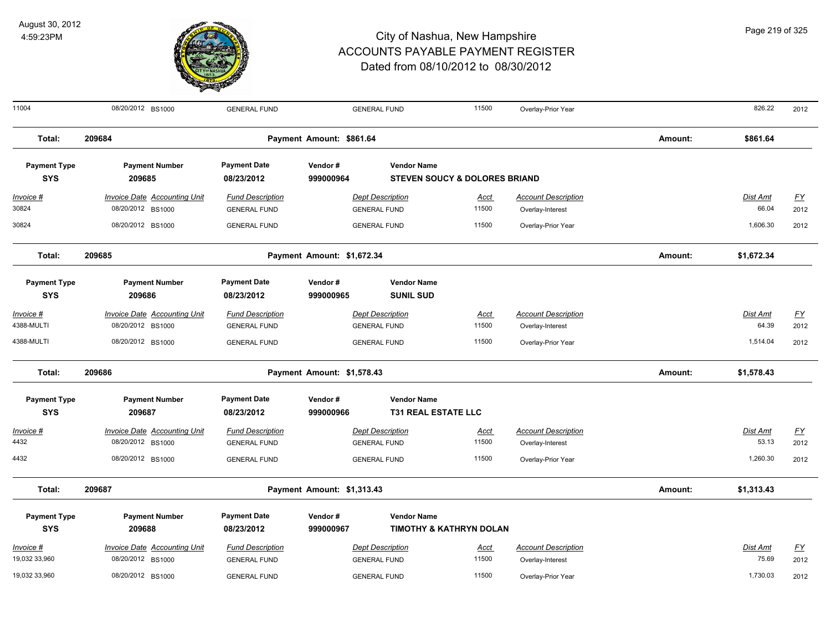

11004 08/20/2012 BS1000 GENERAL FUND GENERAL FUND 11500 Overlay-Prior Year 826.22 2012

**Total: 209684 Payment Amount: \$861.64 Amount: \$861.64 Payment Type Payment Number Payment Date Vendor # Vendor Name SYS 08/23/2012** *Invoice # Invoice Date Accounting Unit Fund Description Dept Description Acct Account Description Dist Amt FY*  **209685 999000964 STEVEN SOUCY & DOLORES BRIAND** 30824 08/20/2012 BS1000 GENERAL FUND GENERAL FUND 11500 Overlay-Interest 66.04 2012 30824 08/20/2012 BS1000 GENERAL FUND GENERAL FUND 11500 Overlay-Prior Year 1,606.30 2012 **Total: 209685 Payment Amount: \$1,672.34 Amount: \$1,672.34 Payment Type Payment Number Payment Date Vendor # Vendor Name SYS 08/23/2012** *Invoice # Invoice Date Accounting Unit Fund Description Dept Description Acct Account Description Dist Amt FY*  **209686 999000965 SUNIL SUD** 4388-MULTI 08/20/2012 BS1000 GENERAL FUND GENERAL FUND 11500 Overlay-Interest 64.39 2012 4388-MULTI 08/20/2012 BS1000 GENERAL FUND GENERAL FUND 11500 Overlay-Prior Year 1,514.04 2012 **Total: 209686 Payment Amount: \$1,578.43 Amount: \$1,578.43 Payment Type Payment Number Payment Date Vendor # Vendor Name SYS 08/23/2012** *Invoice # Invoice Date Accounting Unit Fund Description Dept Description Acct Account Description Dist Amt FY*  **209687 999000966 T31 REAL ESTATE LLC** 4432 08/20/2012 BS1000 GENERAL FUND GENERAL FUND 11500 Overlay-Interest 53.13 2012 4432 08/20/2012 BS1000 GENERAL FUND GENERAL FUND 11500 Overlay-Prior Year 1,260.30 2012 **Total: 209687 Payment Amount: \$1,313.43 Amount: \$1,313.43 Payment Type Payment Number Payment Date Vendor # Vendor Name SYS 08/23/2012** *Invoice # Invoice Date Accounting Unit Fund Description Dept Description Acct Account Description Dist Amt FY*  **209688 999000967 TIMOTHY & KATHRYN DOLAN** 19,032 33,960 08/20/2012 BS1000 GENERAL FUND GENERAL FUND 11500 Overlay-Interest 75.69 2012 19,032 33,960 08/20/2012 BS1000 GENERAL FUND 11500 Overlay-Prior Year 1,730.03 2012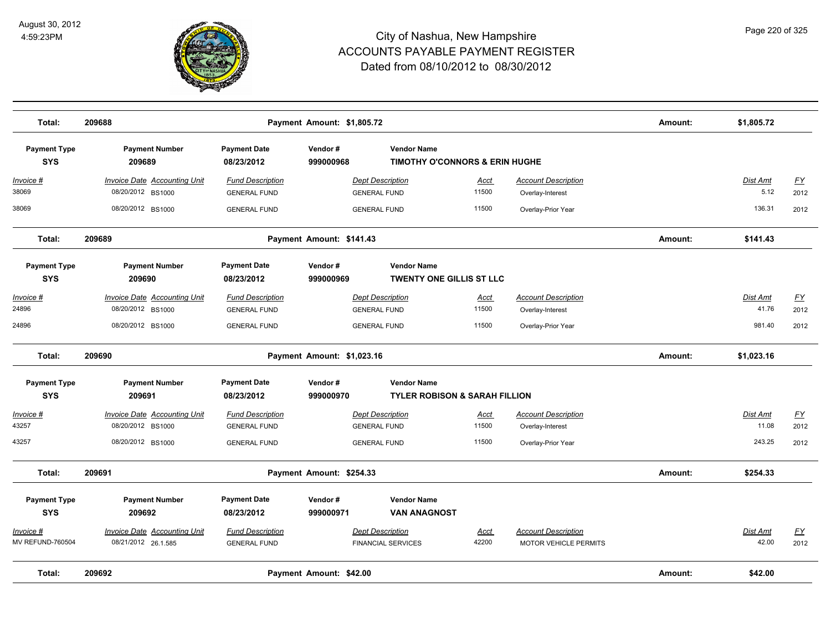

| Total:                            | 209688                                                   | Payment Amount: \$1,805.72                     |                            |                                                                 |                      |                                                |         |                         |                   |
|-----------------------------------|----------------------------------------------------------|------------------------------------------------|----------------------------|-----------------------------------------------------------------|----------------------|------------------------------------------------|---------|-------------------------|-------------------|
| <b>Payment Type</b><br><b>SYS</b> | <b>Payment Number</b><br>209689                          | <b>Payment Date</b><br>08/23/2012              | Vendor#<br>999000968       | <b>Vendor Name</b><br><b>TIMOTHY O'CONNORS &amp; ERIN HUGHE</b> |                      |                                                |         |                         |                   |
| <u>Invoice #</u><br>38069         | <b>Invoice Date Accounting Unit</b><br>08/20/2012 BS1000 | <b>Fund Description</b><br><b>GENERAL FUND</b> |                            | <b>Dept Description</b><br><b>GENERAL FUND</b>                  | <u>Acct</u><br>11500 | <b>Account Description</b><br>Overlay-Interest |         | <u>Dist Amt</u><br>5.12 | <u>FY</u><br>2012 |
| 38069                             | 08/20/2012 BS1000                                        | <b>GENERAL FUND</b>                            |                            | <b>GENERAL FUND</b>                                             | 11500                | Overlay-Prior Year                             |         | 136.31                  | 2012              |
| Total:                            | 209689                                                   |                                                | Payment Amount: \$141.43   |                                                                 |                      |                                                | Amount: | \$141.43                |                   |
| <b>Payment Type</b><br><b>SYS</b> | <b>Payment Number</b><br>209690                          | <b>Payment Date</b><br>08/23/2012              | Vendor#<br>999000969       | <b>Vendor Name</b><br><b>TWENTY ONE GILLIS ST LLC</b>           |                      |                                                |         |                         |                   |
| Invoice #                         | <b>Invoice Date Accounting Unit</b>                      | <b>Fund Description</b>                        |                            | <b>Dept Description</b>                                         | <u>Acct</u>          | <b>Account Description</b>                     |         | Dist Amt                | $FY$              |
| 24896                             | 08/20/2012 BS1000                                        | <b>GENERAL FUND</b>                            |                            | <b>GENERAL FUND</b>                                             | 11500                | Overlay-Interest                               |         | 41.76                   | 2012              |
| 24896                             | 08/20/2012 BS1000                                        | <b>GENERAL FUND</b>                            |                            | <b>GENERAL FUND</b>                                             | 11500                | Overlay-Prior Year                             |         | 981.40                  | 2012              |
| Total:                            | 209690                                                   |                                                | Payment Amount: \$1,023.16 |                                                                 |                      |                                                | Amount: | \$1,023.16              |                   |
| <b>Payment Type</b><br><b>SYS</b> | <b>Payment Number</b><br>209691                          | <b>Payment Date</b><br>08/23/2012              | Vendor#<br>999000970       | <b>Vendor Name</b><br><b>TYLER ROBISON &amp; SARAH FILLION</b>  |                      |                                                |         |                         |                   |
| Invoice #                         | <b>Invoice Date Accounting Unit</b>                      | <b>Fund Description</b>                        |                            | <b>Dept Description</b>                                         | <u>Acct</u>          | <b>Account Description</b>                     |         | Dist Amt                | $\underline{FY}$  |
| 43257                             | 08/20/2012 BS1000                                        | <b>GENERAL FUND</b>                            |                            | <b>GENERAL FUND</b>                                             | 11500                | Overlay-Interest                               |         | 11.08                   | 2012              |
| 43257                             | 08/20/2012 BS1000                                        | <b>GENERAL FUND</b>                            |                            | <b>GENERAL FUND</b>                                             | 11500                | Overlay-Prior Year                             |         | 243.25                  | 2012              |
| Total:                            | 209691                                                   |                                                | Payment Amount: \$254.33   |                                                                 |                      |                                                | Amount: | \$254.33                |                   |
| <b>Payment Type</b><br><b>SYS</b> | <b>Payment Number</b><br>209692                          | <b>Payment Date</b><br>08/23/2012              | Vendor#<br>999000971       | <b>Vendor Name</b><br><b>VAN ANAGNOST</b>                       |                      |                                                |         |                         |                   |
| Invoice #                         | Invoice Date Accounting Unit                             | <b>Fund Description</b>                        |                            | <b>Dept Description</b>                                         | Acct                 | <b>Account Description</b>                     |         | Dist Amt                | <u>FY</u>         |
| MV REFUND-760504                  | 08/21/2012 26.1.585                                      | <b>GENERAL FUND</b>                            |                            | <b>FINANCIAL SERVICES</b>                                       | 42200                | <b>MOTOR VEHICLE PERMITS</b>                   |         | 42.00                   | 2012              |
| Total:                            | 209692                                                   |                                                | Payment Amount: \$42.00    |                                                                 |                      |                                                | Amount: | \$42.00                 |                   |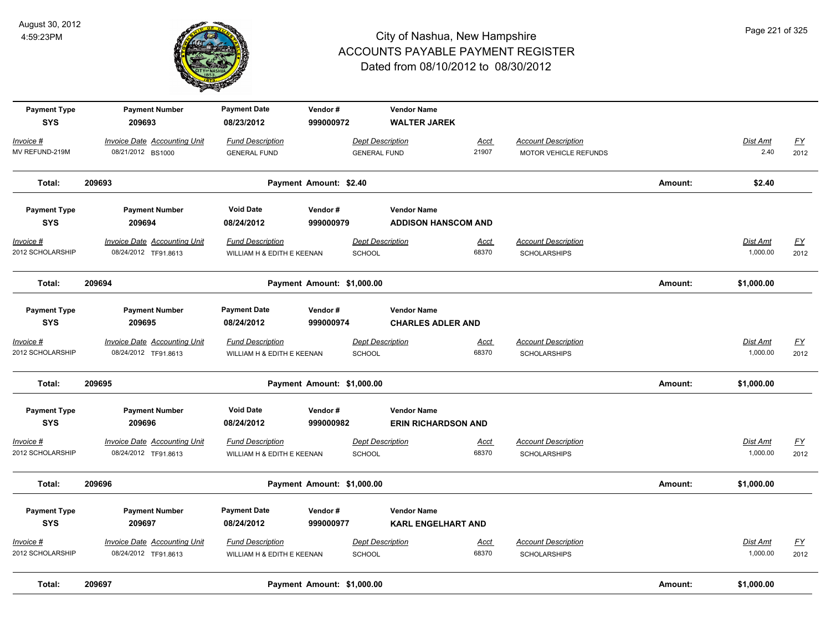

| <b>Payment Type</b><br><b>SYS</b> | <b>Payment Number</b><br>209693     | <b>Payment Date</b><br>08/23/2012 | Vendor#<br>999000972       |                         | <b>Vendor Name</b><br><b>WALTER JAREK</b> |             |                            |         |                 |                  |
|-----------------------------------|-------------------------------------|-----------------------------------|----------------------------|-------------------------|-------------------------------------------|-------------|----------------------------|---------|-----------------|------------------|
| Invoice #                         | <b>Invoice Date Accounting Unit</b> | <b>Fund Description</b>           |                            | <b>Dept Description</b> |                                           | Acct        | <b>Account Description</b> |         | Dist Amt        | $\underline{FY}$ |
| MV REFUND-219M                    | 08/21/2012 BS1000                   | <b>GENERAL FUND</b>               |                            | <b>GENERAL FUND</b>     |                                           | 21907       | MOTOR VEHICLE REFUNDS      |         | 2.40            | 2012             |
| Total:                            | 209693                              |                                   | Payment Amount: \$2.40     |                         |                                           |             |                            | Amount: | \$2.40          |                  |
| <b>Payment Type</b>               | <b>Payment Number</b>               | <b>Void Date</b>                  | Vendor#                    |                         | <b>Vendor Name</b>                        |             |                            |         |                 |                  |
| <b>SYS</b>                        | 209694                              | 08/24/2012                        | 999000979                  |                         | <b>ADDISON HANSCOM AND</b>                |             |                            |         |                 |                  |
| Invoice #                         | <b>Invoice Date Accounting Unit</b> | <b>Fund Description</b>           |                            | <b>Dept Description</b> |                                           | <u>Acct</u> | <b>Account Description</b> |         | <b>Dist Amt</b> | <u>FY</u>        |
| 2012 SCHOLARSHIP                  | 08/24/2012 TF91.8613                | WILLIAM H & EDITH E KEENAN        |                            | SCHOOL                  |                                           | 68370       | <b>SCHOLARSHIPS</b>        |         | 1,000.00        | 2012             |
| Total:                            | 209694                              |                                   | Payment Amount: \$1,000.00 |                         |                                           |             |                            | Amount: | \$1,000.00      |                  |
| <b>Payment Type</b>               | <b>Payment Number</b>               | <b>Payment Date</b>               | Vendor#                    |                         | <b>Vendor Name</b>                        |             |                            |         |                 |                  |
| <b>SYS</b>                        | 209695                              | 08/24/2012                        | 999000974                  |                         | <b>CHARLES ADLER AND</b>                  |             |                            |         |                 |                  |
| Invoice #                         | <b>Invoice Date Accounting Unit</b> | <b>Fund Description</b>           |                            | <b>Dept Description</b> |                                           | <u>Acct</u> | <b>Account Description</b> |         | Dist Amt        | <u>FY</u>        |
| 2012 SCHOLARSHIP                  | 08/24/2012 TF91.8613                | WILLIAM H & EDITH E KEENAN        |                            | SCHOOL                  |                                           | 68370       | <b>SCHOLARSHIPS</b>        |         | 1,000.00        | 2012             |
| Total:                            | 209695                              |                                   | Payment Amount: \$1,000.00 |                         |                                           |             |                            | Amount: | \$1,000.00      |                  |
| <b>Payment Type</b>               | <b>Payment Number</b>               | <b>Void Date</b>                  | Vendor#                    |                         | <b>Vendor Name</b>                        |             |                            |         |                 |                  |
| <b>SYS</b>                        | 209696                              | 08/24/2012                        | 999000982                  |                         | <b>ERIN RICHARDSON AND</b>                |             |                            |         |                 |                  |
| Invoice #                         | <b>Invoice Date Accounting Unit</b> | <b>Fund Description</b>           |                            | <b>Dept Description</b> |                                           | Acct        | <b>Account Description</b> |         | Dist Amt        | $\underline{FY}$ |
| 2012 SCHOLARSHIP                  | 08/24/2012 TF91.8613                | WILLIAM H & EDITH E KEENAN        |                            | SCHOOL                  |                                           | 68370       | <b>SCHOLARSHIPS</b>        |         | 1,000.00        | 2012             |
| Total:                            | 209696                              |                                   | Payment Amount: \$1,000.00 |                         |                                           |             |                            | Amount: | \$1,000.00      |                  |
| <b>Payment Type</b>               | <b>Payment Number</b>               | <b>Payment Date</b>               | Vendor#                    |                         | <b>Vendor Name</b>                        |             |                            |         |                 |                  |
| <b>SYS</b>                        | 209697                              | 08/24/2012                        | 999000977                  |                         | <b>KARL ENGELHART AND</b>                 |             |                            |         |                 |                  |
| Invoice #                         | <b>Invoice Date Accounting Unit</b> | <b>Fund Description</b>           |                            | <b>Dept Description</b> |                                           | <u>Acct</u> | <b>Account Description</b> |         | <b>Dist Amt</b> | <u>FY</u>        |
| 2012 SCHOLARSHIP                  | 08/24/2012 TF91.8613                | WILLIAM H & EDITH E KEENAN        |                            | SCHOOL                  |                                           | 68370       | <b>SCHOLARSHIPS</b>        |         | 1,000.00        | 2012             |
| Total:                            | 209697                              |                                   | Payment Amount: \$1,000.00 |                         |                                           |             |                            | Amount: | \$1,000.00      |                  |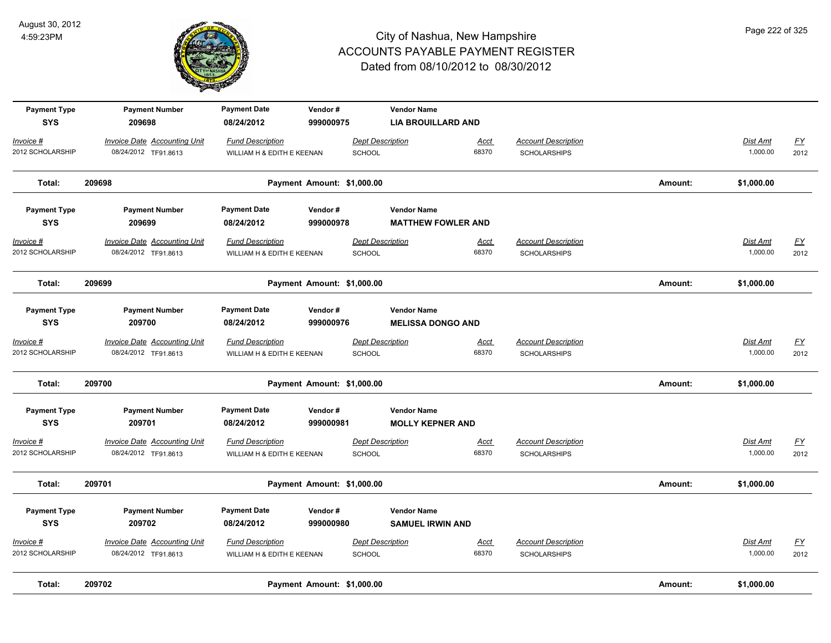

| Total:                            | 209702                                                      |                                                       | Payment Amount: \$1,000.00 |                                          |                                                 |                      |                                                   | Amount: | \$1,000.00                  |                          |
|-----------------------------------|-------------------------------------------------------------|-------------------------------------------------------|----------------------------|------------------------------------------|-------------------------------------------------|----------------------|---------------------------------------------------|---------|-----------------------------|--------------------------|
| Invoice #<br>2012 SCHOLARSHIP     | <b>Invoice Date Accounting Unit</b><br>08/24/2012 TF91.8613 | <b>Fund Description</b><br>WILLIAM H & EDITH E KEENAN |                            | <b>Dept Description</b><br>SCHOOL        |                                                 | <u>Acct</u><br>68370 | <b>Account Description</b><br><b>SCHOLARSHIPS</b> |         | Dist Amt<br>1,000.00        | <u>FY</u><br>2012        |
| <b>Payment Type</b><br><b>SYS</b> | <b>Payment Number</b><br>209702                             | <b>Payment Date</b><br>08/24/2012                     | Vendor#<br>999000980       |                                          | <b>Vendor Name</b><br><b>SAMUEL IRWIN AND</b>   |                      |                                                   |         |                             |                          |
| Total:                            | 209701                                                      |                                                       | Payment Amount: \$1,000.00 |                                          |                                                 |                      |                                                   | Amount: | \$1,000.00                  |                          |
| Invoice #<br>2012 SCHOLARSHIP     | <b>Invoice Date Accounting Unit</b><br>08/24/2012 TF91.8613 | <b>Fund Description</b><br>WILLIAM H & EDITH E KEENAN |                            | <b>Dept Description</b><br><b>SCHOOL</b> |                                                 | <b>Acct</b><br>68370 | <b>Account Description</b><br><b>SCHOLARSHIPS</b> |         | <b>Dist Amt</b><br>1,000.00 | <u>FY</u><br>2012        |
| <b>Payment Type</b><br><b>SYS</b> | <b>Payment Number</b><br>209701                             | <b>Payment Date</b><br>08/24/2012                     | Vendor#<br>999000981       |                                          | <b>Vendor Name</b><br><b>MOLLY KEPNER AND</b>   |                      |                                                   |         |                             |                          |
| Total:                            | 209700                                                      |                                                       | Payment Amount: \$1,000.00 |                                          |                                                 |                      |                                                   | Amount: | \$1,000.00                  |                          |
| Invoice #<br>2012 SCHOLARSHIP     | <b>Invoice Date Accounting Unit</b><br>08/24/2012 TF91.8613 | <b>Fund Description</b><br>WILLIAM H & EDITH E KEENAN |                            | <b>Dept Description</b><br><b>SCHOOL</b> |                                                 | <b>Acct</b><br>68370 | <b>Account Description</b><br><b>SCHOLARSHIPS</b> |         | <b>Dist Amt</b><br>1,000.00 | $\underline{FY}$<br>2012 |
| <b>Payment Type</b><br><b>SYS</b> | <b>Payment Number</b><br>209700                             | <b>Payment Date</b><br>08/24/2012                     | Vendor#<br>999000976       |                                          | <b>Vendor Name</b><br><b>MELISSA DONGO AND</b>  |                      |                                                   |         |                             |                          |
| Total:                            | 209699                                                      |                                                       | Payment Amount: \$1,000.00 |                                          |                                                 |                      |                                                   | Amount: | \$1,000.00                  |                          |
| Invoice #<br>2012 SCHOLARSHIP     | <b>Invoice Date Accounting Unit</b><br>08/24/2012 TF91.8613 | <b>Fund Description</b><br>WILLIAM H & EDITH E KEENAN |                            | <b>Dept Description</b><br>SCHOOL        |                                                 | Acct<br>68370        | <b>Account Description</b><br><b>SCHOLARSHIPS</b> |         | <b>Dist Amt</b><br>1,000.00 | <u>FY</u><br>2012        |
| <b>Payment Type</b><br><b>SYS</b> | <b>Payment Number</b><br>209699                             | <b>Payment Date</b><br>08/24/2012                     | Vendor#<br>999000978       |                                          | <b>Vendor Name</b><br><b>MATTHEW FOWLER AND</b> |                      |                                                   |         |                             |                          |
| Total:                            | 209698                                                      |                                                       | Payment Amount: \$1,000.00 |                                          |                                                 |                      |                                                   | Amount: | \$1,000.00                  |                          |
| Invoice #<br>2012 SCHOLARSHIP     | <b>Invoice Date Accounting Unit</b><br>08/24/2012 TF91.8613 | <b>Fund Description</b><br>WILLIAM H & EDITH E KEENAN |                            | <b>Dept Description</b><br><b>SCHOOL</b> |                                                 | <u>Acct</u><br>68370 | <b>Account Description</b><br><b>SCHOLARSHIPS</b> |         | Dist Amt<br>1,000.00        | $\underline{FY}$<br>2012 |
| <b>Payment Type</b><br><b>SYS</b> | <b>Payment Number</b><br>209698                             | <b>Payment Date</b><br>08/24/2012                     | Vendor#<br>999000975       |                                          | <b>Vendor Name</b><br><b>LIA BROUILLARD AND</b> |                      |                                                   |         |                             |                          |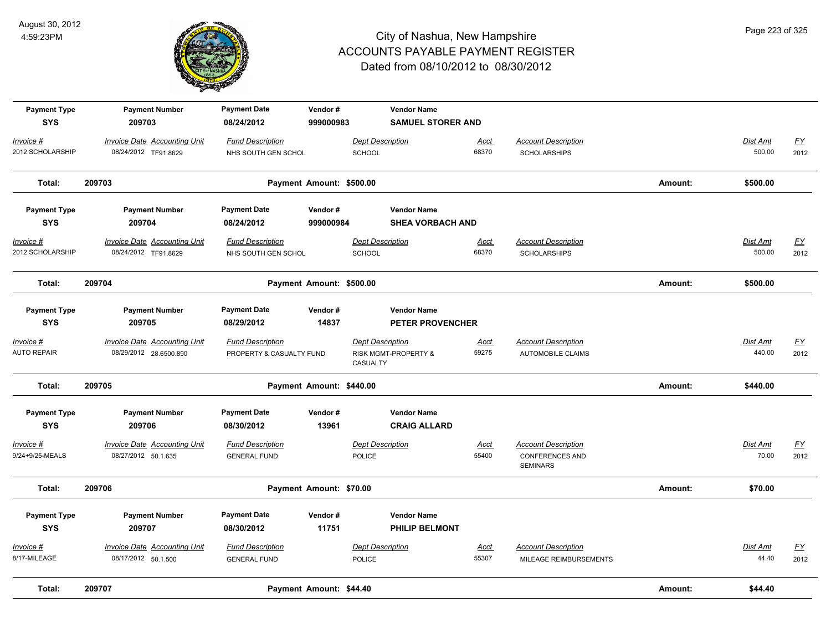

| <b>Payment Type</b><br><b>SYS</b> | <b>Payment Number</b><br>209703     | <b>Payment Date</b><br>08/24/2012 | Vendor#<br>999000983     |                         | <b>Vendor Name</b><br><b>SAMUEL STORER AND</b> |             |                                           |         |                 |                           |
|-----------------------------------|-------------------------------------|-----------------------------------|--------------------------|-------------------------|------------------------------------------------|-------------|-------------------------------------------|---------|-----------------|---------------------------|
| Invoice #                         | <b>Invoice Date Accounting Unit</b> | <b>Fund Description</b>           |                          | <b>Dept Description</b> |                                                | Acct        | <b>Account Description</b>                |         | Dist Amt        | <u>FY</u>                 |
| 2012 SCHOLARSHIP                  | 08/24/2012 TF91.8629                | NHS SOUTH GEN SCHOL               |                          | <b>SCHOOL</b>           |                                                | 68370       | <b>SCHOLARSHIPS</b>                       |         | 500.00          | 2012                      |
| Total:                            | 209703                              |                                   | Payment Amount: \$500.00 |                         |                                                |             |                                           | Amount: | \$500.00        |                           |
| <b>Payment Type</b>               | <b>Payment Number</b>               | <b>Payment Date</b>               | Vendor#                  |                         | <b>Vendor Name</b>                             |             |                                           |         |                 |                           |
| <b>SYS</b>                        | 209704                              | 08/24/2012                        | 999000984                |                         | <b>SHEA VORBACH AND</b>                        |             |                                           |         |                 |                           |
| $Invoice$ #                       | <b>Invoice Date Accounting Unit</b> | <b>Fund Description</b>           |                          | <b>Dept Description</b> |                                                | <u>Acct</u> | <b>Account Description</b>                |         | <b>Dist Amt</b> | $\underline{\mathsf{FY}}$ |
| 2012 SCHOLARSHIP                  | 08/24/2012 TF91.8629                | NHS SOUTH GEN SCHOL               |                          | <b>SCHOOL</b>           |                                                | 68370       | <b>SCHOLARSHIPS</b>                       |         | 500.00          | 2012                      |
| Total:                            | 209704                              |                                   | Payment Amount: \$500.00 |                         |                                                |             |                                           | Amount: | \$500.00        |                           |
| <b>Payment Type</b>               | <b>Payment Number</b>               | <b>Payment Date</b>               | Vendor#                  |                         | <b>Vendor Name</b>                             |             |                                           |         |                 |                           |
| <b>SYS</b>                        | 209705                              | 08/29/2012                        | 14837                    |                         | <b>PETER PROVENCHER</b>                        |             |                                           |         |                 |                           |
| $Invoice$ #                       | <b>Invoice Date Accounting Unit</b> | <b>Fund Description</b>           |                          | <b>Dept Description</b> |                                                | Acct        | <b>Account Description</b>                |         | Dist Amt        | EY                        |
| <b>AUTO REPAIR</b>                | 08/29/2012 28.6500.890              | PROPERTY & CASUALTY FUND          |                          | CASUALTY                | RISK MGMT-PROPERTY &                           | 59275       | AUTOMOBILE CLAIMS                         |         | 440.00          | 2012                      |
| Total:                            | 209705                              |                                   | Payment Amount: \$440.00 |                         |                                                |             |                                           | Amount: | \$440.00        |                           |
| <b>Payment Type</b>               | <b>Payment Number</b>               | <b>Payment Date</b>               | Vendor#                  |                         | <b>Vendor Name</b>                             |             |                                           |         |                 |                           |
| <b>SYS</b>                        | 209706                              | 08/30/2012                        | 13961                    |                         | <b>CRAIG ALLARD</b>                            |             |                                           |         |                 |                           |
| $Invoice$ #                       | <b>Invoice Date Accounting Unit</b> | <b>Fund Description</b>           |                          | <b>Dept Description</b> |                                                | <u>Acct</u> | <b>Account Description</b>                |         | Dist Amt        | EY                        |
| 9/24+9/25-MEALS                   | 08/27/2012 50.1.635                 | <b>GENERAL FUND</b>               |                          | <b>POLICE</b>           |                                                | 55400       | <b>CONFERENCES AND</b><br><b>SEMINARS</b> |         | 70.00           | 2012                      |
| Total:                            | 209706                              |                                   | Payment Amount: \$70.00  |                         |                                                |             |                                           | Amount: | \$70.00         |                           |
| <b>Payment Type</b>               | <b>Payment Number</b>               | <b>Payment Date</b>               | Vendor#                  |                         | <b>Vendor Name</b>                             |             |                                           |         |                 |                           |
| <b>SYS</b>                        | 209707                              | 08/30/2012                        | 11751                    |                         | <b>PHILIP BELMONT</b>                          |             |                                           |         |                 |                           |
| Invoice #                         | <b>Invoice Date Accounting Unit</b> | <b>Fund Description</b>           |                          | <b>Dept Description</b> |                                                | Acct        | <b>Account Description</b>                |         | Dist Amt        | <u>FY</u>                 |
| 8/17-MILEAGE                      | 08/17/2012 50.1.500                 | <b>GENERAL FUND</b>               |                          | <b>POLICE</b>           |                                                | 55307       | MILEAGE REIMBURSEMENTS                    |         | 44.40           | 2012                      |
| Total:                            | 209707                              |                                   | Payment Amount: \$44.40  |                         |                                                |             |                                           | Amount: | \$44.40         |                           |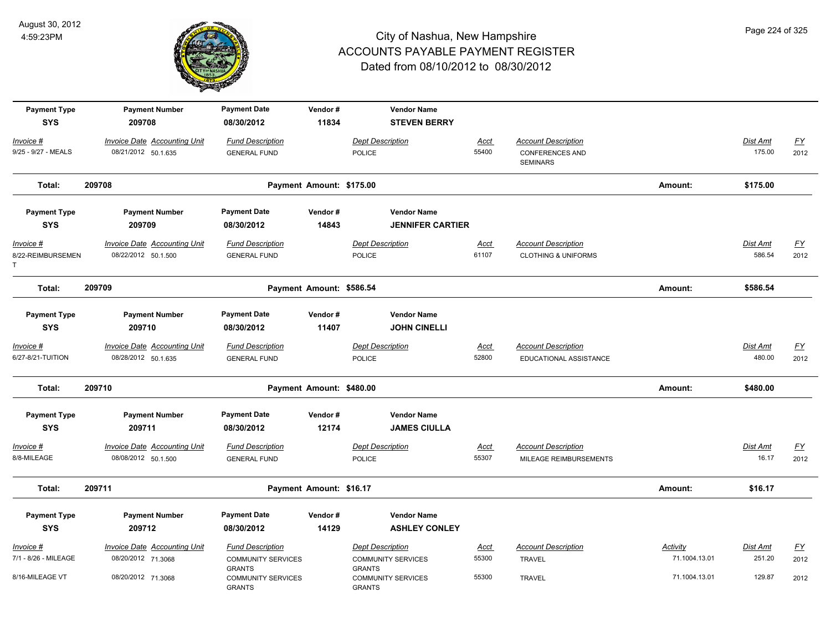

| <b>Payment Type</b><br><b>SYS</b>   | <b>Payment Number</b><br>209708                            | <b>Payment Date</b><br>08/30/2012                                     | Vendor#<br>11834         | <b>Vendor Name</b><br><b>STEVEN BERRY</b>                             |                      |                                                                         |                           |                           |                          |
|-------------------------------------|------------------------------------------------------------|-----------------------------------------------------------------------|--------------------------|-----------------------------------------------------------------------|----------------------|-------------------------------------------------------------------------|---------------------------|---------------------------|--------------------------|
| Invoice #<br>9/25 - 9/27 - MEALS    | <b>Invoice Date Accounting Unit</b><br>08/21/2012 50.1.635 | <b>Fund Description</b><br><b>GENERAL FUND</b>                        |                          | <b>Dept Description</b><br><b>POLICE</b>                              | <b>Acct</b><br>55400 | <b>Account Description</b><br><b>CONFERENCES AND</b><br><b>SEMINARS</b> |                           | Dist Amt<br>175.00        | $\underline{FY}$<br>2012 |
| Total:                              | 209708                                                     |                                                                       | Payment Amount: \$175.00 |                                                                       |                      |                                                                         | Amount:                   | \$175.00                  |                          |
| <b>Payment Type</b><br><b>SYS</b>   | <b>Payment Number</b><br>209709                            | <b>Payment Date</b><br>08/30/2012                                     | Vendor#<br>14843         | <b>Vendor Name</b><br><b>JENNIFER CARTIER</b>                         |                      |                                                                         |                           |                           |                          |
| Invoice #<br>8/22-REIMBURSEMEN<br>Т | <b>Invoice Date Accounting Unit</b><br>08/22/2012 50.1.500 | <b>Fund Description</b><br><b>GENERAL FUND</b>                        |                          | <b>Dept Description</b><br><b>POLICE</b>                              | Acct<br>61107        | <b>Account Description</b><br><b>CLOTHING &amp; UNIFORMS</b>            |                           | <b>Dist Amt</b><br>586.54 | <u>FY</u><br>2012        |
| Total:                              | 209709                                                     |                                                                       | Payment Amount: \$586.54 |                                                                       |                      |                                                                         | Amount:                   | \$586.54                  |                          |
| <b>Payment Type</b><br><b>SYS</b>   | <b>Payment Number</b><br>209710                            | <b>Payment Date</b><br>08/30/2012                                     | Vendor#<br>11407         | <b>Vendor Name</b><br><b>JOHN CINELLI</b>                             |                      |                                                                         |                           |                           |                          |
| Invoice #<br>6/27-8/21-TUITION      | <b>Invoice Date Accounting Unit</b><br>08/28/2012 50.1.635 | <b>Fund Description</b><br><b>GENERAL FUND</b>                        |                          | <b>Dept Description</b><br><b>POLICE</b>                              | <b>Acct</b><br>52800 | <b>Account Description</b><br>EDUCATIONAL ASSISTANCE                    |                           | Dist Amt<br>480.00        | <u>FY</u><br>2012        |
| Total:                              | 209710                                                     |                                                                       | Payment Amount: \$480.00 |                                                                       |                      |                                                                         | Amount:                   | \$480.00                  |                          |
| <b>Payment Type</b><br><b>SYS</b>   | <b>Payment Number</b><br>209711                            | <b>Payment Date</b><br>08/30/2012                                     | Vendor#<br>12174         | <b>Vendor Name</b><br><b>JAMES CIULLA</b>                             |                      |                                                                         |                           |                           |                          |
| Invoice #<br>8/8-MILEAGE            | Invoice Date Accounting Unit<br>08/08/2012 50.1.500        | <b>Fund Description</b><br><b>GENERAL FUND</b>                        |                          | <b>Dept Description</b><br><b>POLICE</b>                              | <u>Acct</u><br>55307 | <b>Account Description</b><br>MILEAGE REIMBURSEMENTS                    |                           | Dist Amt<br>16.17         | $\underline{FY}$<br>2012 |
| Total:                              | 209711                                                     |                                                                       | Payment Amount: \$16.17  |                                                                       |                      |                                                                         | Amount:                   | \$16.17                   |                          |
| <b>Payment Type</b><br><b>SYS</b>   | <b>Payment Number</b><br>209712                            | <b>Payment Date</b><br>08/30/2012                                     | Vendor#<br>14129         | <b>Vendor Name</b><br><b>ASHLEY CONLEY</b>                            |                      |                                                                         |                           |                           |                          |
| Invoice #<br>7/1 - 8/26 - MILEAGE   | <b>Invoice Date Accounting Unit</b><br>08/20/2012 71.3068  | <b>Fund Description</b><br><b>COMMUNITY SERVICES</b><br><b>GRANTS</b> |                          | <b>Dept Description</b><br><b>COMMUNITY SERVICES</b><br><b>GRANTS</b> | <u>Acct</u><br>55300 | <b>Account Description</b><br><b>TRAVEL</b>                             | Activity<br>71.1004.13.01 | Dist Amt<br>251.20        | <u>FY</u><br>2012        |
| 8/16-MILEAGE VT                     | 08/20/2012 71.3068                                         | <b>COMMUNITY SERVICES</b><br><b>GRANTS</b>                            |                          | <b>COMMUNITY SERVICES</b><br><b>GRANTS</b>                            | 55300                | <b>TRAVEL</b>                                                           | 71.1004.13.01             | 129.87                    | 2012                     |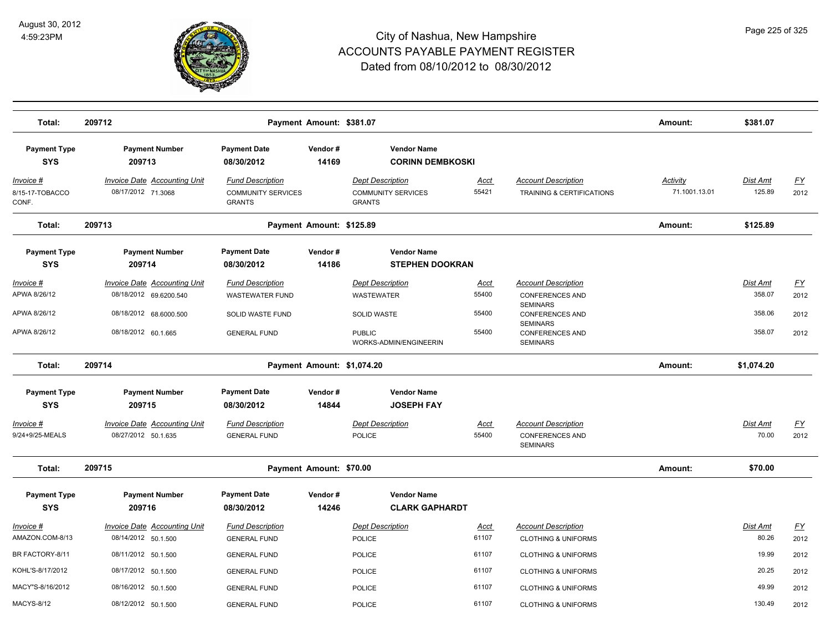

| Total:                                        | 209712                                                     |                                                                       | Payment Amount: \$381.07   |                                                                       |                      |                                                              | Amount:                          | \$381.07                  |                           |
|-----------------------------------------------|------------------------------------------------------------|-----------------------------------------------------------------------|----------------------------|-----------------------------------------------------------------------|----------------------|--------------------------------------------------------------|----------------------------------|---------------------------|---------------------------|
| <b>Payment Type</b><br><b>SYS</b>             | <b>Payment Number</b><br>209713                            | <b>Payment Date</b><br>08/30/2012                                     | Vendor#<br>14169           | <b>Vendor Name</b><br><b>CORINN DEMBKOSKI</b>                         |                      |                                                              |                                  |                           |                           |
| <u> Invoice #</u><br>8/15-17-TOBACCO<br>CONF. | <b>Invoice Date Accounting Unit</b><br>08/17/2012 71.3068  | <b>Fund Description</b><br><b>COMMUNITY SERVICES</b><br><b>GRANTS</b> |                            | <b>Dept Description</b><br><b>COMMUNITY SERVICES</b><br><b>GRANTS</b> | <u>Acct</u><br>55421 | <b>Account Description</b><br>TRAINING & CERTIFICATIONS      | <u>Activity</u><br>71.1001.13.01 | <b>Dist Amt</b><br>125.89 | <u>FY</u><br>2012         |
| Total:                                        | 209713                                                     |                                                                       | Payment Amount: \$125.89   |                                                                       |                      |                                                              | Amount:                          | \$125.89                  |                           |
| <b>Payment Type</b><br><b>SYS</b>             | <b>Payment Number</b><br>209714                            | <b>Payment Date</b><br>08/30/2012                                     | Vendor#<br>14186           | <b>Vendor Name</b><br><b>STEPHEN DOOKRAN</b>                          |                      |                                                              |                                  |                           |                           |
| <u>Invoice #</u>                              | <b>Invoice Date Accounting Unit</b>                        | <b>Fund Description</b>                                               |                            | <b>Dept Description</b>                                               | <u>Acct</u>          | <b>Account Description</b>                                   |                                  | Dist Amt                  | $\underline{\mathsf{FY}}$ |
| APWA 8/26/12                                  | 08/18/2012 69.6200.540                                     | <b>WASTEWATER FUND</b>                                                |                            | <b>WASTEWATER</b>                                                     | 55400                | <b>CONFERENCES AND</b>                                       |                                  | 358.07                    | 2012                      |
| APWA 8/26/12                                  | 08/18/2012 68.6000.500                                     | SOLID WASTE FUND                                                      |                            | <b>SOLID WASTE</b>                                                    | 55400                | <b>SEMINARS</b><br><b>CONFERENCES AND</b>                    |                                  | 358.06                    | 2012                      |
| APWA 8/26/12                                  | 08/18/2012 60.1.665                                        | <b>GENERAL FUND</b>                                                   |                            | <b>PUBLIC</b><br>WORKS-ADMIN/ENGINEERIN                               | 55400                | <b>SEMINARS</b><br><b>CONFERENCES AND</b><br><b>SEMINARS</b> |                                  | 358.07                    | 2012                      |
| Total:                                        | 209714                                                     |                                                                       | Payment Amount: \$1,074.20 |                                                                       |                      |                                                              | Amount:                          | \$1,074.20                |                           |
| <b>Payment Type</b>                           | <b>Payment Number</b>                                      | <b>Payment Date</b>                                                   | Vendor#                    | <b>Vendor Name</b>                                                    |                      |                                                              |                                  |                           |                           |
| <b>SYS</b>                                    | 209715                                                     | 08/30/2012                                                            | 14844                      | <b>JOSEPH FAY</b>                                                     |                      |                                                              |                                  |                           |                           |
| Invoice #<br>9/24+9/25-MEALS                  | <b>Invoice Date Accounting Unit</b><br>08/27/2012 50.1.635 | <b>Fund Description</b><br><b>GENERAL FUND</b>                        |                            | <b>Dept Description</b><br><b>POLICE</b>                              | <u>Acct</u><br>55400 | <b>Account Description</b><br><b>CONFERENCES AND</b>         |                                  | Dist Amt<br>70.00         | <u>FY</u><br>2012         |
|                                               |                                                            |                                                                       |                            |                                                                       |                      | <b>SEMINARS</b>                                              |                                  |                           |                           |
| Total:                                        | 209715                                                     |                                                                       | Payment Amount: \$70.00    |                                                                       |                      |                                                              | Amount:                          | \$70.00                   |                           |
| <b>Payment Type</b><br><b>SYS</b>             | <b>Payment Number</b><br>209716                            | <b>Payment Date</b><br>08/30/2012                                     | Vendor#<br>14246           | <b>Vendor Name</b><br><b>CLARK GAPHARDT</b>                           |                      |                                                              |                                  |                           |                           |
| Invoice #                                     | Invoice Date Accounting Unit                               | <b>Fund Description</b>                                               |                            | <b>Dept Description</b>                                               | Acct                 | <b>Account Description</b>                                   |                                  | Dist Amt                  | EY                        |
| AMAZON.COM-8/13                               | 08/14/2012 50.1.500                                        | <b>GENERAL FUND</b>                                                   |                            | <b>POLICE</b>                                                         | 61107                | <b>CLOTHING &amp; UNIFORMS</b>                               |                                  | 80.26                     | 2012                      |
| BR FACTORY-8/11                               | 08/11/2012 50.1.500                                        | <b>GENERAL FUND</b>                                                   |                            | <b>POLICE</b>                                                         | 61107                | <b>CLOTHING &amp; UNIFORMS</b>                               |                                  | 19.99                     | 2012                      |
| KOHL'S-8/17/2012                              | 08/17/2012 50.1.500                                        | <b>GENERAL FUND</b>                                                   |                            | <b>POLICE</b>                                                         | 61107                | <b>CLOTHING &amp; UNIFORMS</b>                               |                                  | 20.25                     | 2012                      |
| MACY"S-8/16/2012                              | 08/16/2012 50.1.500                                        | <b>GENERAL FUND</b>                                                   |                            | <b>POLICE</b>                                                         | 61107                | <b>CLOTHING &amp; UNIFORMS</b>                               |                                  | 49.99                     | 2012                      |
| <b>MACYS-8/12</b>                             | 08/12/2012 50.1.500                                        | <b>GENERAL FUND</b>                                                   |                            | <b>POLICE</b>                                                         | 61107                | <b>CLOTHING &amp; UNIFORMS</b>                               |                                  | 130.49                    | 2012                      |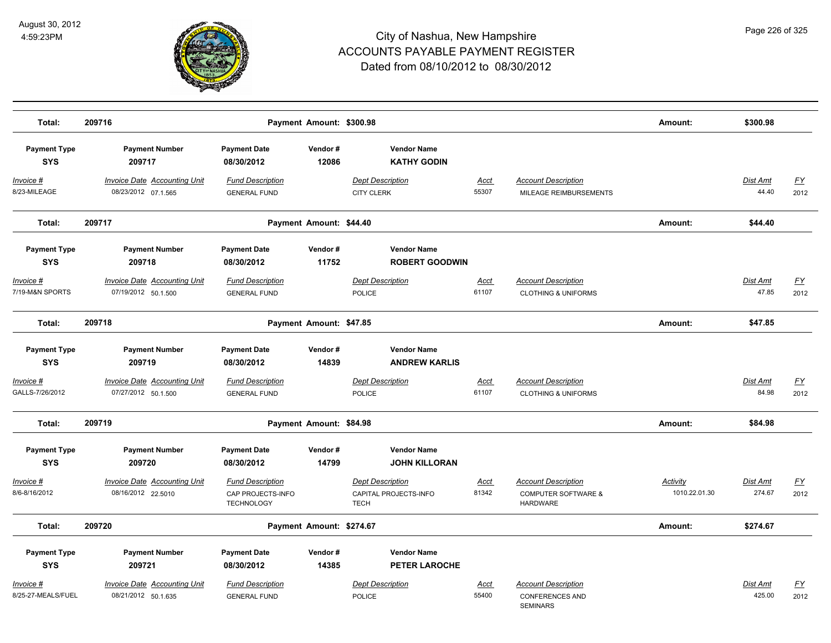

| Total:                            | 209716                                                     |                                                                   | Payment Amount: \$300.98 |                                                                 |                      |                                                                                 | Amount:                   | \$300.98                 |                          |
|-----------------------------------|------------------------------------------------------------|-------------------------------------------------------------------|--------------------------|-----------------------------------------------------------------|----------------------|---------------------------------------------------------------------------------|---------------------------|--------------------------|--------------------------|
| <b>Payment Type</b><br><b>SYS</b> | <b>Payment Number</b><br>209717                            | <b>Payment Date</b><br>08/30/2012                                 | Vendor#<br>12086         | <b>Vendor Name</b><br><b>KATHY GODIN</b>                        |                      |                                                                                 |                           |                          |                          |
| Invoice #<br>8/23-MILEAGE         | <b>Invoice Date Accounting Unit</b><br>08/23/2012 07.1.565 | <b>Fund Description</b><br><b>GENERAL FUND</b>                    |                          | <b>Dept Description</b><br><b>CITY CLERK</b>                    | Acct<br>55307        | <b>Account Description</b><br>MILEAGE REIMBURSEMENTS                            |                           | <b>Dist Amt</b><br>44.40 | <u>FY</u><br>2012        |
| Total:                            | 209717                                                     |                                                                   | Payment Amount: \$44.40  |                                                                 |                      |                                                                                 | Amount:                   | \$44.40                  |                          |
| <b>Payment Type</b><br><b>SYS</b> | <b>Payment Number</b><br>209718                            | <b>Payment Date</b><br>08/30/2012                                 | Vendor#<br>11752         | <b>Vendor Name</b><br><b>ROBERT GOODWIN</b>                     |                      |                                                                                 |                           |                          |                          |
| Invoice #<br>7/19-M&N SPORTS      | <b>Invoice Date Accounting Unit</b><br>07/19/2012 50.1.500 | <b>Fund Description</b><br><b>GENERAL FUND</b>                    |                          | <b>Dept Description</b><br><b>POLICE</b>                        | <u>Acct</u><br>61107 | <b>Account Description</b><br><b>CLOTHING &amp; UNIFORMS</b>                    |                           | Dist Amt<br>47.85        | $\underline{FY}$<br>2012 |
| Total:                            | 209718                                                     |                                                                   | Payment Amount: \$47.85  |                                                                 |                      |                                                                                 | Amount:                   | \$47.85                  |                          |
| <b>Payment Type</b><br><b>SYS</b> | <b>Payment Number</b><br>209719                            | <b>Payment Date</b><br>08/30/2012                                 | Vendor#<br>14839         | <b>Vendor Name</b><br><b>ANDREW KARLIS</b>                      |                      |                                                                                 |                           |                          |                          |
| Invoice #<br>GALLS-7/26/2012      | <b>Invoice Date Accounting Unit</b><br>07/27/2012 50.1.500 | <b>Fund Description</b><br><b>GENERAL FUND</b>                    |                          | <b>Dept Description</b><br><b>POLICE</b>                        | <b>Acct</b><br>61107 | <b>Account Description</b><br><b>CLOTHING &amp; UNIFORMS</b>                    |                           | Dist Amt<br>84.98        | $\underline{FY}$<br>2012 |
| Total:                            | 209719                                                     |                                                                   | Payment Amount: \$84.98  |                                                                 |                      |                                                                                 | Amount:                   | \$84.98                  |                          |
| <b>Payment Type</b><br><b>SYS</b> | <b>Payment Number</b><br>209720                            | <b>Payment Date</b><br>08/30/2012                                 | Vendor#<br>14799         | <b>Vendor Name</b><br><b>JOHN KILLORAN</b>                      |                      |                                                                                 |                           |                          |                          |
| Invoice #<br>8/6-8/16/2012        | <b>Invoice Date Accounting Unit</b><br>08/16/2012 22.5010  | <b>Fund Description</b><br>CAP PROJECTS-INFO<br><b>TECHNOLOGY</b> |                          | <b>Dept Description</b><br>CAPITAL PROJECTS-INFO<br><b>TECH</b> | <b>Acct</b><br>81342 | <b>Account Description</b><br><b>COMPUTER SOFTWARE &amp;</b><br><b>HARDWARE</b> | Activity<br>1010.22.01.30 | Dist Amt<br>274.67       | $\underline{FY}$<br>2012 |
| Total:                            | 209720                                                     |                                                                   | Payment Amount: \$274.67 |                                                                 |                      |                                                                                 | Amount:                   | \$274.67                 |                          |
| <b>Payment Type</b><br><b>SYS</b> | <b>Payment Number</b><br>209721                            | <b>Payment Date</b><br>08/30/2012                                 | Vendor#<br>14385         | <b>Vendor Name</b><br><b>PETER LAROCHE</b>                      |                      |                                                                                 |                           |                          |                          |
| Invoice #<br>8/25-27-MEALS/FUEL   | Invoice Date Accounting Unit<br>08/21/2012 50.1.635        | <b>Fund Description</b><br><b>GENERAL FUND</b>                    |                          | Dept Description<br><b>POLICE</b>                               | Acct<br>55400        | <b>Account Description</b><br><b>CONFERENCES AND</b><br><b>SEMINARS</b>         |                           | Dist Amt<br>425.00       | <u>FY</u><br>2012        |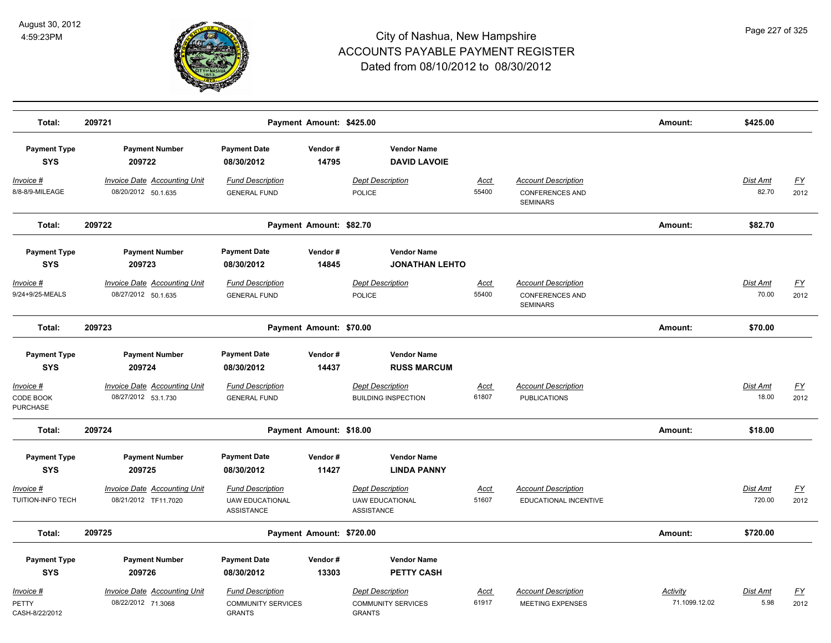

| Total:                                       | 209721                                                      |                                                                       | Payment Amount: \$425.00 |                                                                       |                      |                                                                         | Amount:                   | \$425.00                 |                   |
|----------------------------------------------|-------------------------------------------------------------|-----------------------------------------------------------------------|--------------------------|-----------------------------------------------------------------------|----------------------|-------------------------------------------------------------------------|---------------------------|--------------------------|-------------------|
| <b>Payment Type</b><br><b>SYS</b>            | <b>Payment Number</b><br>209722                             | <b>Payment Date</b><br>08/30/2012                                     | Vendor#<br>14795         | <b>Vendor Name</b><br><b>DAVID LAVOIE</b>                             |                      |                                                                         |                           |                          |                   |
| $Invoice$ #<br>8/8-8/9-MILEAGE               | <b>Invoice Date Accounting Unit</b><br>08/20/2012 50.1.635  | <b>Fund Description</b><br><b>GENERAL FUND</b>                        |                          | <b>Dept Description</b><br>POLICE                                     | Acct<br>55400        | <b>Account Description</b><br><b>CONFERENCES AND</b><br><b>SEMINARS</b> |                           | <b>Dist Amt</b><br>82.70 | <u>FY</u><br>2012 |
| Total:                                       | 209722                                                      |                                                                       | Payment Amount: \$82.70  |                                                                       |                      |                                                                         | Amount:                   | \$82.70                  |                   |
| <b>Payment Type</b><br><b>SYS</b>            | <b>Payment Number</b><br>209723                             | <b>Payment Date</b><br>08/30/2012                                     | Vendor#<br>14845         | <b>Vendor Name</b><br><b>JONATHAN LEHTO</b>                           |                      |                                                                         |                           |                          |                   |
| Invoice #<br>9/24+9/25-MEALS                 | <b>Invoice Date Accounting Unit</b><br>08/27/2012 50.1.635  | <b>Fund Description</b><br><b>GENERAL FUND</b>                        |                          | <b>Dept Description</b><br>POLICE                                     | Acct<br>55400        | <b>Account Description</b><br><b>CONFERENCES AND</b><br><b>SEMINARS</b> |                           | Dist Amt<br>70.00        | FY<br>2012        |
| Total:                                       | 209723                                                      |                                                                       | Payment Amount: \$70.00  |                                                                       |                      |                                                                         | Amount:                   | \$70.00                  |                   |
| <b>Payment Type</b><br><b>SYS</b>            | <b>Payment Number</b><br>209724                             | <b>Payment Date</b><br>08/30/2012                                     | Vendor#<br>14437         | <b>Vendor Name</b><br><b>RUSS MARCUM</b>                              |                      |                                                                         |                           |                          |                   |
| Invoice #<br>CODE BOOK<br><b>PURCHASE</b>    | <b>Invoice Date Accounting Unit</b><br>08/27/2012 53.1.730  | <b>Fund Description</b><br><b>GENERAL FUND</b>                        |                          | <b>Dept Description</b><br><b>BUILDING INSPECTION</b>                 | Acct<br>61807        | <b>Account Description</b><br><b>PUBLICATIONS</b>                       |                           | Dist Amt<br>18.00        | <u>FY</u><br>2012 |
| Total:                                       | 209724                                                      |                                                                       | Payment Amount: \$18.00  |                                                                       |                      |                                                                         | Amount:                   | \$18.00                  |                   |
| <b>Payment Type</b><br><b>SYS</b>            | <b>Payment Number</b><br>209725                             | <b>Payment Date</b><br>08/30/2012                                     | Vendor#<br>11427         | <b>Vendor Name</b><br><b>LINDA PANNY</b>                              |                      |                                                                         |                           |                          |                   |
| <u> Invoice #</u><br>TUITION-INFO TECH       | <b>Invoice Date Accounting Unit</b><br>08/21/2012 TF11.7020 | <b>Fund Description</b><br><b>UAW EDUCATIONAL</b><br>ASSISTANCE       |                          | <b>Dept Description</b><br><b>UAW EDUCATIONAL</b><br>ASSISTANCE       | <u>Acct</u><br>51607 | <b>Account Description</b><br>EDUCATIONAL INCENTIVE                     |                           | Dist Amt<br>720.00       | <u>FY</u><br>2012 |
| Total:                                       | 209725                                                      |                                                                       | Payment Amount: \$720.00 |                                                                       |                      |                                                                         | Amount:                   | \$720.00                 |                   |
| <b>Payment Type</b><br><b>SYS</b>            | <b>Payment Number</b><br>209726                             | <b>Payment Date</b><br>08/30/2012                                     | Vendor#<br>13303         | <b>Vendor Name</b><br><b>PETTY CASH</b>                               |                      |                                                                         |                           |                          |                   |
| <u> Invoice #</u><br>PETTY<br>CASH-8/22/2012 | <b>Invoice Date Accounting Unit</b><br>08/22/2012 71.3068   | <b>Fund Description</b><br><b>COMMUNITY SERVICES</b><br><b>GRANTS</b> |                          | <b>Dept Description</b><br><b>COMMUNITY SERVICES</b><br><b>GRANTS</b> | Acct<br>61917        | <b>Account Description</b><br>MEETING EXPENSES                          | Activity<br>71.1099.12.02 | Dist Amt<br>5.98         | <u>FY</u><br>2012 |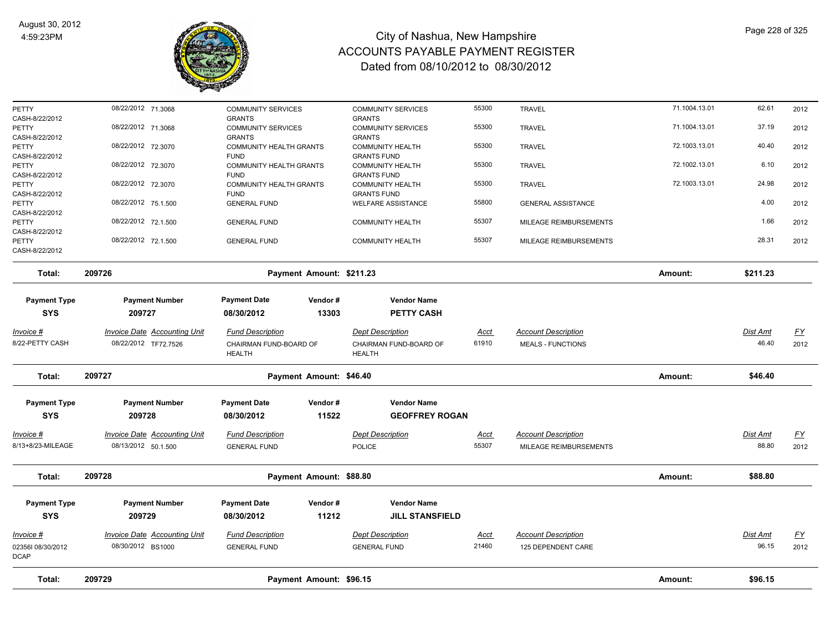

| Total:                                    | 209729                                                      |                                                   | Payment Amount: \$96.15            |                                                   |                      |                                                        | Amount:       | \$96.15           |                   |
|-------------------------------------------|-------------------------------------------------------------|---------------------------------------------------|------------------------------------|---------------------------------------------------|----------------------|--------------------------------------------------------|---------------|-------------------|-------------------|
| 023561 08/30/2012<br><b>DCAP</b>          | 08/30/2012 BS1000                                           | <b>GENERAL FUND</b>                               |                                    | <b>GENERAL FUND</b>                               | 21460                | 125 DEPENDENT CARE                                     |               | 96.15             | 2012              |
| Invoice #                                 | <b>Invoice Date Accounting Unit</b>                         | <b>Fund Description</b>                           |                                    | <b>Dept Description</b>                           | <u>Acct</u>          | <b>Account Description</b>                             |               | Dist Amt          | $\underline{FY}$  |
| <b>Payment Type</b><br><b>SYS</b>         | <b>Payment Number</b><br>209729                             | <b>Payment Date</b><br>08/30/2012                 | Vendor#<br>11212                   | <b>Vendor Name</b><br><b>JILL STANSFIELD</b>      |                      |                                                        |               |                   |                   |
| Total:                                    | 209728                                                      |                                                   | Payment Amount: \$88.80            |                                                   |                      |                                                        | Amount:       | \$88.80           |                   |
| Invoice #<br>8/13+8/23-MILEAGE            | Invoice Date Accounting Unit<br>08/13/2012 50.1.500         | <b>Fund Description</b><br><b>GENERAL FUND</b>    |                                    | <b>Dept Description</b><br><b>POLICE</b>          | <u>Acct</u><br>55307 | <b>Account Description</b><br>MILEAGE REIMBURSEMENTS   |               | Dist Amt<br>88.80 | <u>FY</u><br>2012 |
| <b>SYS</b>                                | 209728                                                      | 08/30/2012                                        | 11522                              | <b>GEOFFREY ROGAN</b>                             |                      |                                                        |               |                   |                   |
| Total:<br><b>Payment Type</b>             | 209727<br><b>Payment Number</b>                             | <b>Payment Date</b>                               | Payment Amount: \$46.40<br>Vendor# | <b>Vendor Name</b>                                |                      |                                                        | Amount:       | \$46.40           |                   |
|                                           |                                                             | <b>HEALTH</b>                                     |                                    | <b>HEALTH</b>                                     |                      |                                                        |               |                   |                   |
| Invoice #<br>8/22-PETTY CASH              | <b>Invoice Date Accounting Unit</b><br>08/22/2012 TF72.7526 | <b>Fund Description</b><br>CHAIRMAN FUND-BOARD OF |                                    | <b>Dept Description</b><br>CHAIRMAN FUND-BOARD OF | Acct<br>61910        | <b>Account Description</b><br><b>MEALS - FUNCTIONS</b> |               | Dist Amt<br>46.40 | <u>FY</u><br>2012 |
| <b>Payment Type</b><br><b>SYS</b>         | <b>Payment Number</b><br>209727                             | <b>Payment Date</b><br>08/30/2012                 | Vendor#<br>13303                   | <b>Vendor Name</b><br><b>PETTY CASH</b>           |                      |                                                        |               |                   |                   |
| Total:                                    | 209726                                                      |                                                   | Payment Amount: \$211.23           |                                                   |                      |                                                        | Amount:       | \$211.23          |                   |
| CASH-8/22/2012                            |                                                             |                                                   |                                    |                                                   |                      |                                                        |               |                   |                   |
| PETTY                                     | 08/22/2012 72.1.500                                         | <b>GENERAL FUND</b>                               |                                    | <b>COMMUNITY HEALTH</b>                           | 55307                | MILEAGE REIMBURSEMENTS                                 |               | 28.31             | 2012              |
| CASH-8/22/2012<br>PETTY<br>CASH-8/22/2012 | 08/22/2012 72.1.500                                         | <b>GENERAL FUND</b>                               |                                    | <b>COMMUNITY HEALTH</b>                           | 55307                | MILEAGE REIMBURSEMENTS                                 |               | 1.66              | 2012              |
| CASH-8/22/2012<br>PETTY                   | 08/22/2012 75.1.500                                         | <b>FUND</b><br><b>GENERAL FUND</b>                |                                    | <b>GRANTS FUND</b><br><b>WELFARE ASSISTANCE</b>   | 55800                | <b>GENERAL ASSISTANCE</b>                              |               | 4.00              | 2012              |
| CASH-8/22/2012<br>PETTY                   | 08/22/2012 72.3070                                          | <b>FUND</b><br>COMMUNITY HEALTH GRANTS            |                                    | <b>GRANTS FUND</b><br><b>COMMUNITY HEALTH</b>     | 55300                | <b>TRAVEL</b>                                          | 72.1003.13.01 | 24.98             | 2012              |
| CASH-8/22/2012<br>PETTY                   | 08/22/2012 72.3070                                          | <b>FUND</b><br><b>COMMUNITY HEALTH GRANTS</b>     |                                    | <b>GRANTS FUND</b><br><b>COMMUNITY HEALTH</b>     | 55300                | <b>TRAVEL</b>                                          | 72.1002.13.01 | 6.10              | 2012              |
| CASH-8/22/2012<br>PETTY                   | 08/22/2012 72.3070                                          | <b>GRANTS</b><br><b>COMMUNITY HEALTH GRANTS</b>   |                                    | <b>GRANTS</b><br>COMMUNITY HEALTH                 | 55300                | <b>TRAVEL</b>                                          | 72.1003.13.01 | 40.40             | 2012              |
| PETTY                                     | 08/22/2012 71.3068                                          | <b>COMMUNITY SERVICES</b>                         |                                    | <b>COMMUNITY SERVICES</b>                         | 55300                | <b>TRAVEL</b>                                          | 71.1004.13.01 | 37.19             | 2012              |
| PETTY<br>CASH-8/22/2012                   | 08/22/2012 71.3068                                          | <b>COMMUNITY SERVICES</b><br><b>GRANTS</b>        |                                    | <b>COMMUNITY SERVICES</b><br><b>GRANTS</b>        | 55300                | <b>TRAVEL</b>                                          | 71.1004.13.01 | 62.61             | 2012              |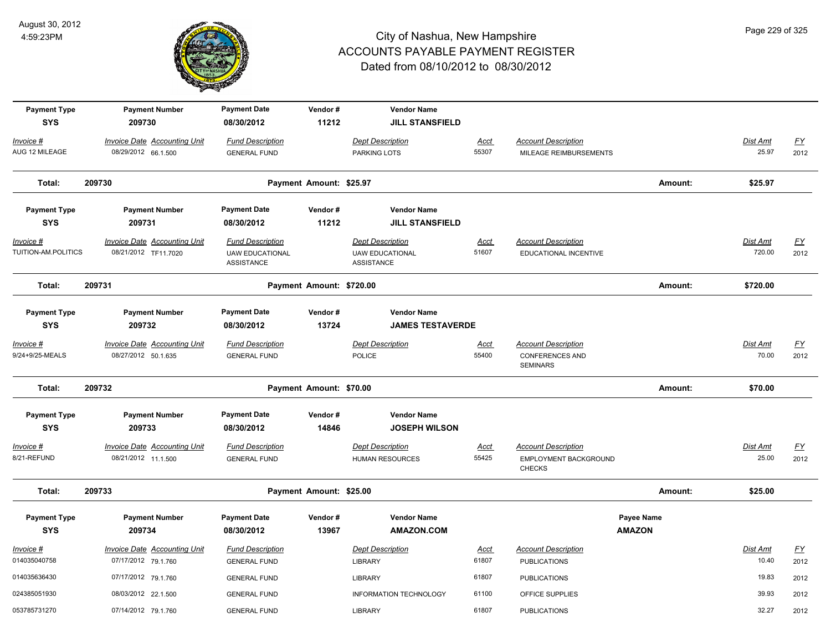

| <b>Payment Type</b><br><b>SYS</b> | <b>Payment Number</b><br>209730                             | <b>Payment Date</b><br>08/30/2012                               | Vendor#<br>11212         | <b>Vendor Name</b><br><b>JILL STANSFIELD</b>                    |                      |                                                                         |                                    |                           |                          |
|-----------------------------------|-------------------------------------------------------------|-----------------------------------------------------------------|--------------------------|-----------------------------------------------------------------|----------------------|-------------------------------------------------------------------------|------------------------------------|---------------------------|--------------------------|
| Invoice #<br>AUG 12 MILEAGE       | <b>Invoice Date Accounting Unit</b><br>08/29/2012 66.1.500  | <b>Fund Description</b><br><b>GENERAL FUND</b>                  |                          | <b>Dept Description</b><br>PARKING LOTS                         | <b>Acct</b><br>55307 | <b>Account Description</b><br>MILEAGE REIMBURSEMENTS                    |                                    | Dist Amt<br>25.97         | <u>FY</u><br>2012        |
| Total:                            | 209730                                                      |                                                                 | Payment Amount: \$25.97  |                                                                 |                      |                                                                         | Amount:                            | \$25.97                   |                          |
| <b>Payment Type</b><br><b>SYS</b> | <b>Payment Number</b><br>209731                             | <b>Payment Date</b><br>08/30/2012                               | Vendor#<br>11212         | <b>Vendor Name</b><br><b>JILL STANSFIELD</b>                    |                      |                                                                         |                                    |                           |                          |
| Invoice #<br>TUITION-AM.POLITICS  | <b>Invoice Date Accounting Unit</b><br>08/21/2012 TF11.7020 | <b>Fund Description</b><br><b>UAW EDUCATIONAL</b><br>ASSISTANCE |                          | <b>Dept Description</b><br><b>UAW EDUCATIONAL</b><br>ASSISTANCE | <b>Acct</b><br>51607 | <b>Account Description</b><br>EDUCATIONAL INCENTIVE                     |                                    | <b>Dist Amt</b><br>720.00 | EY<br>2012               |
| Total:                            | 209731                                                      |                                                                 | Payment Amount: \$720.00 |                                                                 |                      |                                                                         | Amount:                            | \$720.00                  |                          |
| <b>Payment Type</b><br><b>SYS</b> | <b>Payment Number</b><br>209732                             | <b>Payment Date</b><br>08/30/2012                               | Vendor#<br>13724         | <b>Vendor Name</b><br><b>JAMES TESTAVERDE</b>                   |                      |                                                                         |                                    |                           |                          |
| Invoice #<br>9/24+9/25-MEALS      | <b>Invoice Date Accounting Unit</b><br>08/27/2012 50.1.635  | <b>Fund Description</b><br><b>GENERAL FUND</b>                  |                          | <b>Dept Description</b><br><b>POLICE</b>                        | <u>Acct</u><br>55400 | <b>Account Description</b><br><b>CONFERENCES AND</b><br><b>SEMINARS</b> |                                    | <b>Dist Amt</b><br>70.00  | $\underline{FY}$<br>2012 |
| Total:                            | 209732                                                      |                                                                 | Payment Amount: \$70.00  |                                                                 |                      |                                                                         | Amount:                            | \$70.00                   |                          |
| <b>Payment Type</b><br><b>SYS</b> | <b>Payment Number</b><br>209733                             | <b>Payment Date</b><br>08/30/2012                               | Vendor#<br>14846         | <b>Vendor Name</b><br><b>JOSEPH WILSON</b>                      |                      |                                                                         |                                    |                           |                          |
| Invoice #<br>8/21-REFUND          | <b>Invoice Date Accounting Unit</b><br>08/21/2012 11.1.500  | <b>Fund Description</b><br><b>GENERAL FUND</b>                  |                          | <b>Dept Description</b><br><b>HUMAN RESOURCES</b>               | <b>Acct</b><br>55425 | <b>Account Description</b><br>EMPLOYMENT BACKGROUND<br><b>CHECKS</b>    |                                    | <b>Dist Amt</b><br>25.00  | $\underline{FY}$<br>2012 |
| Total:                            | 209733                                                      |                                                                 | Payment Amount: \$25.00  |                                                                 |                      |                                                                         | Amount:                            | \$25.00                   |                          |
| <b>Payment Type</b><br><b>SYS</b> | <b>Payment Number</b><br>209734                             | <b>Payment Date</b><br>08/30/2012                               | Vendor#<br>13967         | <b>Vendor Name</b><br><b>AMAZON.COM</b>                         |                      |                                                                         | <b>Payee Name</b><br><b>AMAZON</b> |                           |                          |
| Invoice #<br>014035040758         | <b>Invoice Date Accounting Unit</b><br>07/17/2012 79.1.760  | <b>Fund Description</b><br><b>GENERAL FUND</b>                  |                          | <b>Dept Description</b><br><b>LIBRARY</b>                       | <u>Acct</u><br>61807 | <b>Account Description</b><br><b>PUBLICATIONS</b>                       |                                    | Dist Amt<br>10.40         | EY<br>2012               |
| 014035636430                      | 07/17/2012 79.1.760                                         | <b>GENERAL FUND</b>                                             |                          | <b>LIBRARY</b>                                                  | 61807                | <b>PUBLICATIONS</b>                                                     |                                    | 19.83                     | 2012                     |
| 024385051930                      | 08/03/2012 22.1.500                                         | <b>GENERAL FUND</b>                                             |                          | <b>INFORMATION TECHNOLOGY</b>                                   | 61100                | OFFICE SUPPLIES                                                         |                                    | 39.93                     | 2012                     |
| 053785731270                      | 07/14/2012 79.1.760                                         | <b>GENERAL FUND</b>                                             |                          | LIBRARY                                                         | 61807                | <b>PUBLICATIONS</b>                                                     |                                    | 32.27                     | 2012                     |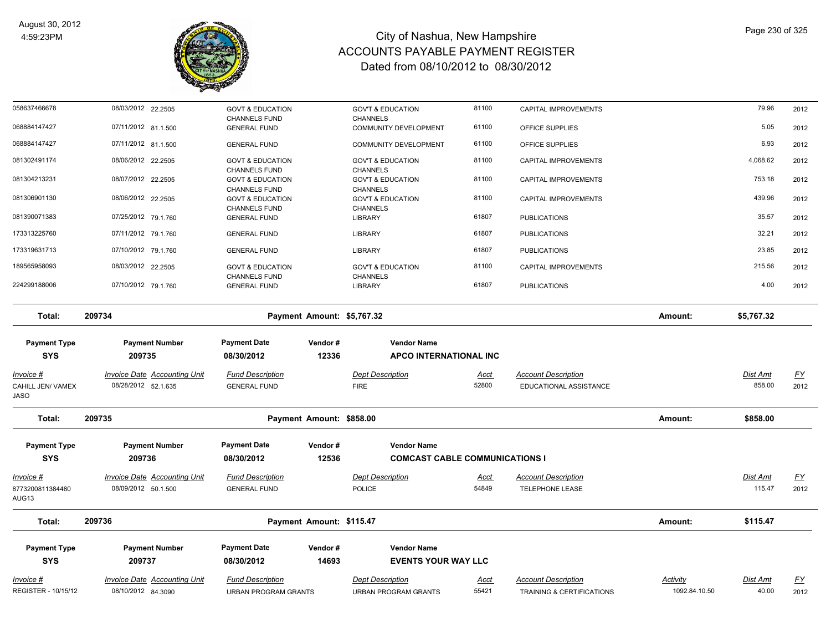

| 058637466678                                  | 08/03/2012 22.2505                                         | <b>GOVT &amp; EDUCATION</b>                         |                  | <b>GOV'T &amp; EDUCATION</b>                                | 81100                | CAPITAL IMPROVEMENTS                                 |                           | 79.96              | 2012              |
|-----------------------------------------------|------------------------------------------------------------|-----------------------------------------------------|------------------|-------------------------------------------------------------|----------------------|------------------------------------------------------|---------------------------|--------------------|-------------------|
| 068884147427                                  | 07/11/2012 81.1.500                                        | <b>CHANNELS FUND</b><br><b>GENERAL FUND</b>         |                  | <b>CHANNELS</b><br><b>COMMUNITY DEVELOPMENT</b>             | 61100                | OFFICE SUPPLIES                                      |                           | 5.05               | 2012              |
| 068884147427                                  | 07/11/2012 81.1.500                                        | <b>GENERAL FUND</b>                                 |                  | <b>COMMUNITY DEVELOPMENT</b>                                | 61100                | OFFICE SUPPLIES                                      |                           | 6.93               | 2012              |
| 081302491174                                  | 08/06/2012 22.2505                                         | <b>GOVT &amp; EDUCATION</b>                         |                  | <b>GOV'T &amp; EDUCATION</b>                                | 81100                | CAPITAL IMPROVEMENTS                                 |                           | 4,068.62           | 2012              |
| 081304213231                                  | 08/07/2012 22.2505                                         | <b>CHANNELS FUND</b><br><b>GOVT &amp; EDUCATION</b> |                  | <b>CHANNELS</b><br><b>GOV'T &amp; EDUCATION</b>             | 81100                | CAPITAL IMPROVEMENTS                                 |                           | 753.18             | 2012              |
| 081306901130                                  | 08/06/2012 22.2505                                         | <b>CHANNELS FUND</b><br><b>GOVT &amp; EDUCATION</b> |                  | <b>CHANNELS</b><br><b>GOV'T &amp; EDUCATION</b>             | 81100                | CAPITAL IMPROVEMENTS                                 |                           | 439.96             | 2012              |
| 081390071383                                  | 07/25/2012 79.1.760                                        | <b>CHANNELS FUND</b><br><b>GENERAL FUND</b>         |                  | <b>CHANNELS</b><br><b>LIBRARY</b>                           | 61807                | <b>PUBLICATIONS</b>                                  |                           | 35.57              | 2012              |
| 173313225760                                  | 07/11/2012 79.1.760                                        | <b>GENERAL FUND</b>                                 |                  | <b>LIBRARY</b>                                              | 61807                | <b>PUBLICATIONS</b>                                  |                           | 32.21              | 2012              |
| 173319631713                                  | 07/10/2012 79.1.760                                        | <b>GENERAL FUND</b>                                 |                  | <b>LIBRARY</b>                                              | 61807                | <b>PUBLICATIONS</b>                                  |                           | 23.85              | 2012              |
| 189565958093                                  | 08/03/2012 22.2505                                         | <b>GOVT &amp; EDUCATION</b>                         |                  | <b>GOV'T &amp; EDUCATION</b>                                | 81100                | CAPITAL IMPROVEMENTS                                 |                           | 215.56             | 2012              |
| 224299188006                                  | 07/10/2012 79.1.760                                        | <b>CHANNELS FUND</b><br><b>GENERAL FUND</b>         |                  | <b>CHANNELS</b><br><b>LIBRARY</b>                           | 61807                | <b>PUBLICATIONS</b>                                  |                           | 4.00               | 2012              |
| Total:                                        | 209734                                                     | Payment Amount: \$5,767.32                          |                  |                                                             |                      |                                                      | Amount:                   | \$5,767.32         |                   |
| <b>Payment Type</b><br><b>SYS</b>             | <b>Payment Number</b><br>209735                            | <b>Payment Date</b><br>08/30/2012                   | Vendor#<br>12336 | <b>Vendor Name</b><br><b>APCO INTERNATIONAL INC</b>         |                      |                                                      |                           |                    |                   |
| <u>Invoice #</u><br>CAHILL JEN/ VAMEX<br>JASO | <b>Invoice Date Accounting Unit</b><br>08/28/2012 52.1.635 | <b>Fund Description</b><br><b>GENERAL FUND</b>      |                  | <b>Dept Description</b><br><b>FIRE</b>                      | <u>Acct</u><br>52800 | <b>Account Description</b><br>EDUCATIONAL ASSISTANCE |                           | Dist Amt<br>858.00 | <u>FY</u><br>2012 |
| Total:                                        | 209735                                                     | Payment Amount: \$858.00                            |                  |                                                             |                      |                                                      | Amount:                   | \$858.00           |                   |
| <b>Payment Type</b><br><b>SYS</b>             | <b>Payment Number</b><br>209736                            | <b>Payment Date</b><br>08/30/2012                   | Vendor#<br>12536 | <b>Vendor Name</b><br><b>COMCAST CABLE COMMUNICATIONS I</b> |                      |                                                      |                           |                    |                   |
| Invoice #                                     | Invoice Date Accounting Unit                               | <b>Fund Description</b>                             |                  | <b>Dept Description</b>                                     | <u>Acct</u>          | <b>Account Description</b>                           |                           | Dist Amt           | <u>FY</u>         |
| 8773200811384480<br>AUG13                     | 08/09/2012 50.1.500                                        | <b>GENERAL FUND</b>                                 |                  | <b>POLICE</b>                                               | 54849                | <b>TELEPHONE LEASE</b>                               |                           | 115.47             | 2012              |
| Total:                                        | 209736                                                     | Payment Amount: \$115.47                            |                  |                                                             |                      |                                                      | Amount:                   | \$115.47           |                   |
| <b>Payment Type</b>                           | <b>Payment Number</b>                                      | <b>Payment Date</b>                                 | Vendor#          | <b>Vendor Name</b>                                          |                      |                                                      |                           |                    |                   |
| <b>SYS</b>                                    | 209737                                                     | 08/30/2012                                          | 14693            | <b>EVENTS YOUR WAY LLC</b>                                  |                      |                                                      |                           |                    |                   |
| Invoice #<br><b>REGISTER - 10/15/12</b>       | Invoice Date Accounting Unit                               | <b>Fund Description</b>                             |                  | <b>Dept Description</b>                                     | Acct<br>55421        | <b>Account Description</b>                           | Activity<br>1092.84.10.50 | Dist Amt<br>40.00  | <u>FY</u>         |
|                                               | 08/10/2012 84.3090                                         | <b>URBAN PROGRAM GRANTS</b>                         |                  | <b>URBAN PROGRAM GRANTS</b>                                 |                      | TRAINING & CERTIFICATIONS                            |                           |                    | 2012              |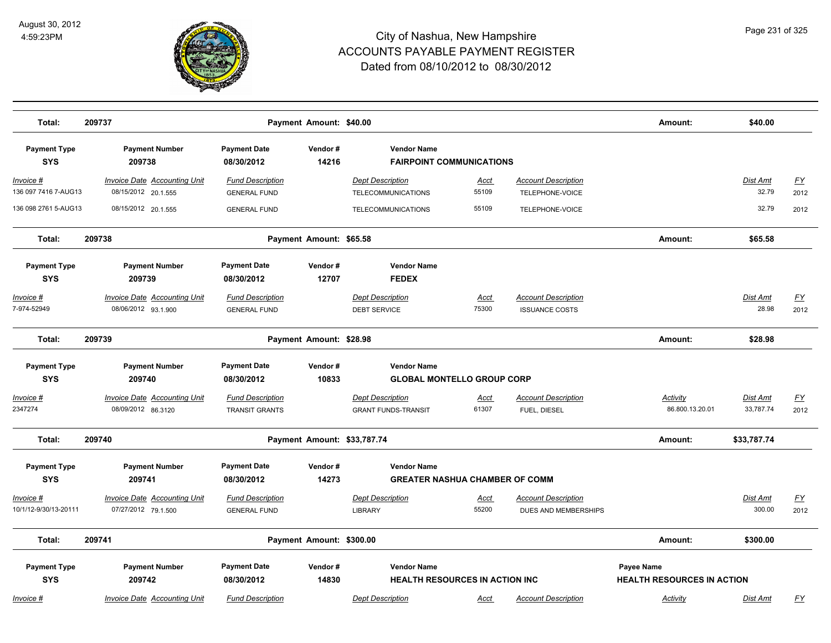

| Total:                                                                  | 209737                                                                                        |                                                                                       | Payment Amount: \$40.00     |                                                                                                                  |                      |                                                     | Amount:                                                | \$40.00                   |                          |
|-------------------------------------------------------------------------|-----------------------------------------------------------------------------------------------|---------------------------------------------------------------------------------------|-----------------------------|------------------------------------------------------------------------------------------------------------------|----------------------|-----------------------------------------------------|--------------------------------------------------------|---------------------------|--------------------------|
| <b>Payment Type</b><br><b>SYS</b>                                       | <b>Payment Number</b><br>209738                                                               | <b>Payment Date</b><br>08/30/2012                                                     | Vendor#<br>14216            | <b>Vendor Name</b><br><b>FAIRPOINT COMMUNICATIONS</b>                                                            |                      |                                                     |                                                        |                           |                          |
| Invoice #<br>136 097 7416 7-AUG13                                       | <b>Invoice Date Accounting Unit</b><br>08/15/2012 20.1.555                                    | <b>Fund Description</b><br><b>GENERAL FUND</b>                                        |                             | <b>Dept Description</b><br>TELECOMMUNICATIONS                                                                    | <u>Acct</u><br>55109 | <b>Account Description</b><br>TELEPHONE-VOICE       |                                                        | Dist Amt<br>32.79         | EY<br>2012               |
| 136 098 2761 5-AUG13                                                    | 08/15/2012 20.1.555                                                                           | <b>GENERAL FUND</b>                                                                   |                             | <b>TELECOMMUNICATIONS</b>                                                                                        | 55109                | TELEPHONE-VOICE                                     |                                                        | 32.79                     | 2012                     |
| Total:                                                                  | 209738                                                                                        |                                                                                       | Payment Amount: \$65.58     |                                                                                                                  |                      |                                                     | Amount:                                                | \$65.58                   |                          |
| <b>Payment Type</b><br><b>SYS</b>                                       | <b>Payment Number</b><br>209739                                                               | <b>Payment Date</b><br>08/30/2012                                                     | Vendor#<br>12707            | <b>Vendor Name</b><br><b>FEDEX</b>                                                                               |                      |                                                     |                                                        |                           |                          |
| Invoice #<br>7-974-52949                                                | <b>Invoice Date Accounting Unit</b><br>08/06/2012 93.1.900                                    | <b>Fund Description</b><br><b>GENERAL FUND</b>                                        |                             | <b>Dept Description</b><br><b>DEBT SERVICE</b>                                                                   | <b>Acct</b><br>75300 | <b>Account Description</b><br><b>ISSUANCE COSTS</b> |                                                        | Dist Amt<br>28.98         | EY<br>2012               |
| Total:                                                                  | 209739                                                                                        |                                                                                       | Payment Amount: \$28.98     |                                                                                                                  |                      |                                                     | Amount:                                                | \$28.98                   |                          |
| <b>Payment Type</b><br><b>SYS</b><br><u> Invoice #</u><br>2347274       | <b>Payment Number</b><br>209740<br><b>Invoice Date Accounting Unit</b><br>08/09/2012 86.3120  | <b>Payment Date</b><br>08/30/2012<br><b>Fund Description</b><br><b>TRANSIT GRANTS</b> | Vendor#<br>10833            | <b>Vendor Name</b><br><b>GLOBAL MONTELLO GROUP CORP</b><br><b>Dept Description</b><br><b>GRANT FUNDS-TRANSIT</b> | <u>Acct</u><br>61307 | <b>Account Description</b><br>FUEL, DIESEL          | Activity<br>86.800.13.20.01                            | Dist Amt<br>33,787.74     | $\underline{FY}$<br>2012 |
| Total:                                                                  | 209740                                                                                        |                                                                                       | Payment Amount: \$33,787.74 |                                                                                                                  |                      |                                                     | Amount:                                                | \$33,787.74               |                          |
| <b>Payment Type</b><br><b>SYS</b><br>Invoice #<br>10/1/12-9/30/13-20111 | <b>Payment Number</b><br>209741<br><b>Invoice Date Accounting Unit</b><br>07/27/2012 79.1.500 | <b>Payment Date</b><br>08/30/2012<br><b>Fund Description</b><br><b>GENERAL FUND</b>   | Vendor#<br>14273            | <b>Vendor Name</b><br><b>GREATER NASHUA CHAMBER OF COMM</b><br><b>Dept Description</b><br><b>LIBRARY</b>         | <u>Acct</u><br>55200 | <b>Account Description</b><br>DUES AND MEMBERSHIPS  |                                                        | <b>Dist Amt</b><br>300.00 | <u>FY</u><br>2012        |
| Total:                                                                  | 209741                                                                                        |                                                                                       | Payment Amount: \$300.00    |                                                                                                                  |                      |                                                     | Amount:                                                | \$300.00                  |                          |
| <b>Payment Type</b><br><b>SYS</b>                                       | <b>Payment Number</b><br>209742                                                               | <b>Payment Date</b><br>08/30/2012                                                     | Vendor#<br>14830            | <b>Vendor Name</b><br><b>HEALTH RESOURCES IN ACTION INC</b>                                                      |                      |                                                     | <b>Payee Name</b><br><b>HEALTH RESOURCES IN ACTION</b> |                           |                          |
| Invoice #                                                               | Invoice Date Accounting Unit                                                                  | <b>Fund Description</b>                                                               |                             | <b>Dept Description</b>                                                                                          | <u>Acct</u>          | <b>Account Description</b>                          | Activity                                               | Dist Amt                  | <u>FY</u>                |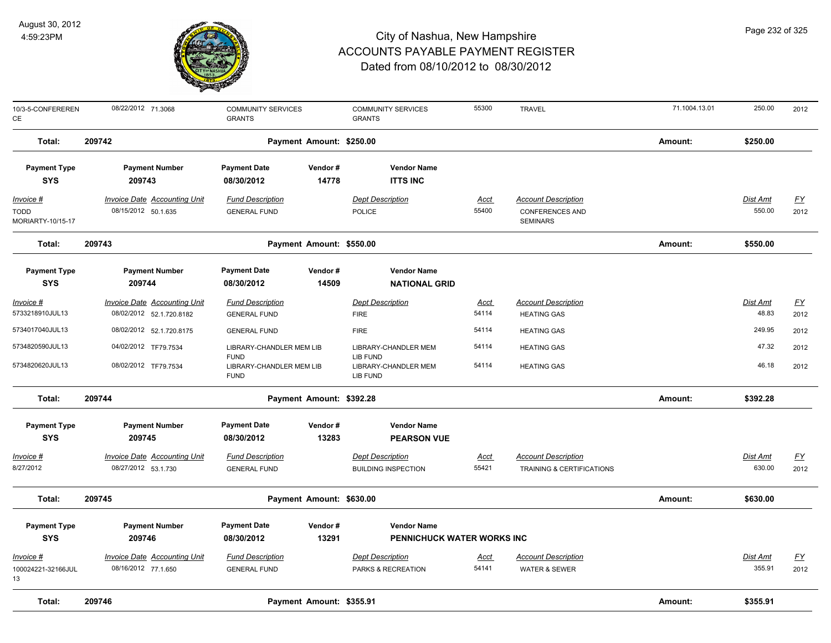

| 10/3-5-CONFEREREN<br>CE                               | 08/22/2012 71.3068                                              | <b>COMMUNITY SERVICES</b><br><b>GRANTS</b>     |                          | <b>COMMUNITY SERVICES</b><br><b>GRANTS</b>            | 55300                | <b>TRAVEL</b>                                                           | 71.1004.13.01 | 250.00                    | 2012                     |
|-------------------------------------------------------|-----------------------------------------------------------------|------------------------------------------------|--------------------------|-------------------------------------------------------|----------------------|-------------------------------------------------------------------------|---------------|---------------------------|--------------------------|
| Total:                                                | 209742                                                          |                                                | Payment Amount: \$250.00 |                                                       |                      |                                                                         | Amount:       | \$250.00                  |                          |
| <b>Payment Type</b><br><b>SYS</b>                     | <b>Payment Number</b><br>209743                                 | <b>Payment Date</b><br>08/30/2012              | Vendor#<br>14778         | <b>Vendor Name</b><br><b>ITTS INC</b>                 |                      |                                                                         |               |                           |                          |
| <u> Invoice #</u><br><b>TODD</b><br>MORIARTY-10/15-17 | <b>Invoice Date Accounting Unit</b><br>08/15/2012 50.1.635      | <b>Fund Description</b><br><b>GENERAL FUND</b> |                          | <b>Dept Description</b><br>POLICE                     | <u>Acct</u><br>55400 | <b>Account Description</b><br><b>CONFERENCES AND</b><br><b>SEMINARS</b> |               | <u>Dist Amt</u><br>550.00 | <u>FY</u><br>2012        |
| Total:                                                | 209743                                                          |                                                | Payment Amount: \$550.00 |                                                       |                      |                                                                         | Amount:       | \$550.00                  |                          |
| <b>Payment Type</b><br><b>SYS</b>                     | <b>Payment Number</b><br>209744                                 | <b>Payment Date</b><br>08/30/2012              | Vendor#<br>14509         | <b>Vendor Name</b><br><b>NATIONAL GRID</b>            |                      |                                                                         |               |                           |                          |
| Invoice #<br>5733218910JUL13                          | <b>Invoice Date Accounting Unit</b><br>08/02/2012 52.1.720.8182 | <b>Fund Description</b><br><b>GENERAL FUND</b> |                          | <b>Dept Description</b><br><b>FIRE</b>                | <u>Acct</u><br>54114 | <b>Account Description</b><br><b>HEATING GAS</b>                        |               | Dist Amt<br>48.83         | $\underline{FY}$<br>2012 |
| 5734017040JUL13                                       | 08/02/2012 52.1.720.8175                                        | <b>GENERAL FUND</b>                            |                          | <b>FIRE</b>                                           | 54114                | <b>HEATING GAS</b>                                                      |               | 249.95                    | 2012                     |
| 5734820590JUL13                                       | 04/02/2012 TF79.7534                                            | LIBRARY-CHANDLER MEM LIB<br><b>FUND</b>        |                          | LIBRARY-CHANDLER MEM<br>LIB FUND                      | 54114                | <b>HEATING GAS</b>                                                      |               | 47.32                     | 2012                     |
| 5734820620JUL13                                       | 08/02/2012 TF79.7534                                            | LIBRARY-CHANDLER MEM LIB<br><b>FUND</b>        |                          | LIBRARY-CHANDLER MEM<br>LIB FUND                      | 54114                | <b>HEATING GAS</b>                                                      |               | 46.18                     | 2012                     |
| Total:                                                | 209744                                                          |                                                | Payment Amount: \$392.28 |                                                       |                      |                                                                         | Amount:       | \$392.28                  |                          |
| <b>Payment Type</b><br><b>SYS</b>                     | <b>Payment Number</b><br>209745                                 | <b>Payment Date</b><br>08/30/2012              | Vendor#<br>13283         | <b>Vendor Name</b><br><b>PEARSON VUE</b>              |                      |                                                                         |               |                           |                          |
| <u> Invoice #</u><br>8/27/2012                        | <b>Invoice Date Accounting Unit</b><br>08/27/2012 53.1.730      | <b>Fund Description</b><br><b>GENERAL FUND</b> |                          | <b>Dept Description</b><br><b>BUILDING INSPECTION</b> | <u>Acct</u><br>55421 | <b>Account Description</b><br>TRAINING & CERTIFICATIONS                 |               | Dist Amt<br>630.00        | <u>FY</u><br>2012        |
| Total:                                                | 209745                                                          |                                                | Payment Amount: \$630.00 |                                                       |                      |                                                                         | Amount:       | \$630.00                  |                          |
| <b>Payment Type</b>                                   | <b>Payment Number</b>                                           | <b>Payment Date</b>                            | Vendor#                  | <b>Vendor Name</b>                                    |                      |                                                                         |               |                           |                          |
| <b>SYS</b>                                            | 209746                                                          | 08/30/2012                                     | 13291                    | PENNICHUCK WATER WORKS INC                            |                      |                                                                         |               |                           |                          |
| <u> Invoice #</u>                                     | <b>Invoice Date Accounting Unit</b>                             | <b>Fund Description</b>                        |                          | <b>Dept Description</b>                               | <u>Acct</u>          | <b>Account Description</b>                                              |               | Dist Amt                  | <u>FY</u>                |
| 100024221-32166JUL<br>13                              | 08/16/2012 77.1.650                                             | <b>GENERAL FUND</b>                            |                          | PARKS & RECREATION                                    | 54141                | <b>WATER &amp; SEWER</b>                                                |               | 355.91                    | 2012                     |
| Total:                                                | 209746                                                          |                                                | Payment Amount: \$355.91 |                                                       |                      |                                                                         | Amount:       | \$355.91                  |                          |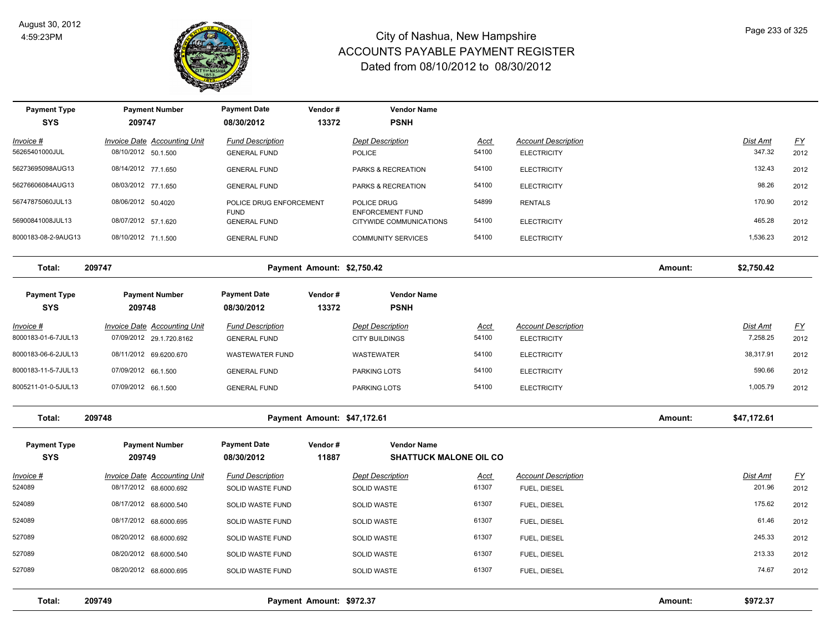

| <b>Payment Type</b><br><b>SYS</b> | <b>Payment Number</b><br>209747     | <b>Payment Date</b><br>08/30/2012  | Vendor#<br>13372            | <b>Vendor Name</b><br><b>PSNH</b>                  |             |                            |         |                 |           |
|-----------------------------------|-------------------------------------|------------------------------------|-----------------------------|----------------------------------------------------|-------------|----------------------------|---------|-----------------|-----------|
| Invoice #                         | Invoice Date Accounting Unit        | <b>Fund Description</b>            |                             | <b>Dept Description</b>                            | <b>Acct</b> | <b>Account Description</b> |         | Dist Amt        | <u>FY</u> |
| 56265401000JUL                    | 08/10/2012 50.1.500                 | <b>GENERAL FUND</b>                |                             | <b>POLICE</b>                                      | 54100       | <b>ELECTRICITY</b>         |         | 347.32          | 2012      |
| 56273695098AUG13                  | 08/14/2012 77.1.650                 | <b>GENERAL FUND</b>                |                             | PARKS & RECREATION                                 | 54100       | <b>ELECTRICITY</b>         |         | 132.43          | 2012      |
| 56276606084AUG13                  | 08/03/2012 77.1.650                 | <b>GENERAL FUND</b>                |                             | PARKS & RECREATION                                 | 54100       | <b>ELECTRICITY</b>         |         | 98.26           | 2012      |
| 56747875060JUL13                  | 08/06/2012 50.4020                  | POLICE DRUG ENFORCEMENT            |                             | POLICE DRUG                                        | 54899       | <b>RENTALS</b>             |         | 170.90          | 2012      |
| 56900841008JUL13                  | 08/07/2012 57.1.620                 | <b>FUND</b><br><b>GENERAL FUND</b> |                             | <b>ENFORCEMENT FUND</b><br>CITYWIDE COMMUNICATIONS | 54100       | <b>ELECTRICITY</b>         |         | 465.28          | 2012      |
| 8000183-08-2-9AUG13               | 08/10/2012 71.1.500                 | <b>GENERAL FUND</b>                |                             | <b>COMMUNITY SERVICES</b>                          | 54100       | <b>ELECTRICITY</b>         |         | 1,536.23        | 2012      |
| Total:                            | 209747                              |                                    | Payment Amount: \$2,750.42  |                                                    |             |                            | Amount: | \$2,750.42      |           |
| <b>Payment Type</b><br><b>SYS</b> | <b>Payment Number</b><br>209748     | <b>Payment Date</b><br>08/30/2012  | Vendor#<br>13372            | <b>Vendor Name</b><br><b>PSNH</b>                  |             |                            |         |                 |           |
| Invoice #                         | <b>Invoice Date Accounting Unit</b> | <b>Fund Description</b>            |                             | <b>Dept Description</b>                            | <b>Acct</b> | <b>Account Description</b> |         | <b>Dist Amt</b> | <u>FY</u> |
| 8000183-01-6-7JUL13               | 07/09/2012 29.1.720.8162            | <b>GENERAL FUND</b>                |                             | <b>CITY BUILDINGS</b>                              | 54100       | <b>ELECTRICITY</b>         |         | 7,258.25        | 2012      |
| 8000183-06-6-2JUL13               | 08/11/2012 69.6200.670              | <b>WASTEWATER FUND</b>             |                             | <b>WASTEWATER</b>                                  | 54100       | <b>ELECTRICITY</b>         |         | 38,317.91       | 2012      |
| 8000183-11-5-7JUL13               | 07/09/2012 66.1.500                 | <b>GENERAL FUND</b>                |                             | PARKING LOTS                                       | 54100       | <b>ELECTRICITY</b>         |         | 590.66          | 2012      |
| 8005211-01-0-5JUL13               | 07/09/2012 66.1.500                 | <b>GENERAL FUND</b>                |                             | PARKING LOTS                                       | 54100       | <b>ELECTRICITY</b>         |         | 1,005.79        | 2012      |
| Total:                            | 209748                              |                                    | Payment Amount: \$47,172.61 |                                                    |             |                            | Amount: | \$47,172.61     |           |
| <b>Payment Type</b>               | <b>Payment Number</b>               | <b>Payment Date</b>                | Vendor#                     | <b>Vendor Name</b>                                 |             |                            |         |                 |           |
| <b>SYS</b>                        | 209749                              | 08/30/2012                         | 11887                       | <b>SHATTUCK MALONE OIL CO</b>                      |             |                            |         |                 |           |
| Invoice #                         | <b>Invoice Date Accounting Unit</b> | <b>Fund Description</b>            |                             | <b>Dept Description</b>                            | Acct        | <b>Account Description</b> |         | Dist Amt        | <u>FY</u> |
| 524089                            | 08/17/2012 68.6000.692              | SOLID WASTE FUND                   |                             | SOLID WASTE                                        | 61307       | FUEL, DIESEL               |         | 201.96          | 2012      |
| 524089                            | 08/17/2012 68.6000.540              | SOLID WASTE FUND                   |                             | <b>SOLID WASTE</b>                                 | 61307       | FUEL, DIESEL               |         | 175.62          | 2012      |
| 524089                            | 08/17/2012 68.6000.695              | SOLID WASTE FUND                   |                             | SOLID WASTE                                        | 61307       | FUEL, DIESEL               |         | 61.46           | 2012      |
| 527089                            | 08/20/2012 68.6000.692              | SOLID WASTE FUND                   |                             | SOLID WASTE                                        | 61307       | FUEL, DIESEL               |         | 245.33          | 2012      |
| 527089                            | 08/20/2012 68.6000.540              | SOLID WASTE FUND                   |                             | <b>SOLID WASTE</b>                                 | 61307       | FUEL, DIESEL               |         | 213.33          | 2012      |
| 527089                            | 08/20/2012 68.6000.695              | SOLID WASTE FUND                   |                             | <b>SOLID WASTE</b>                                 | 61307       | FUEL, DIESEL               |         | 74.67           | 2012      |
| Total:                            | 209749                              |                                    | Payment Amount: \$972.37    |                                                    |             |                            | Amount: | \$972.37        |           |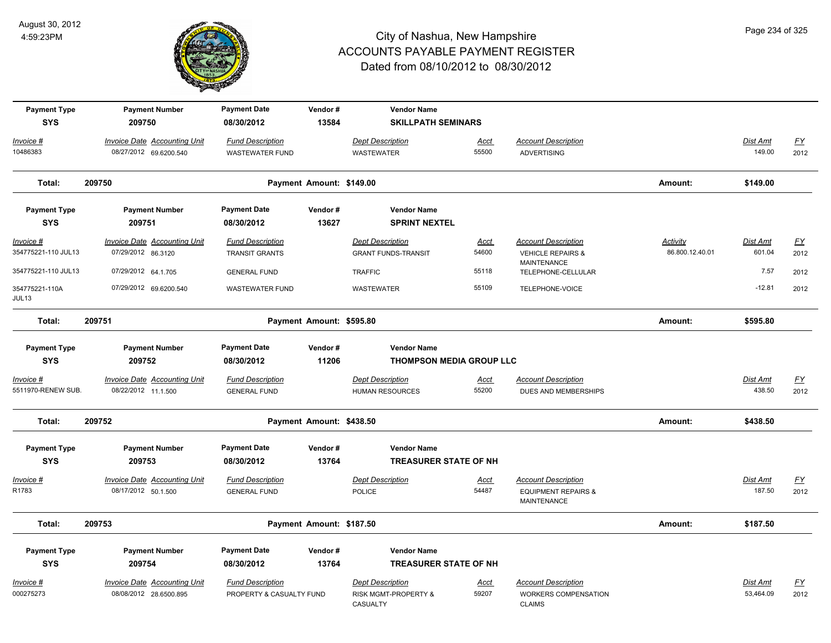

| <b>Payment Type</b><br><b>SYS</b>                         | <b>Payment Number</b><br>209750                                                  | <b>Payment Date</b><br>08/30/2012                                       | Vendor#<br>13584         | <b>Vendor Name</b><br><b>SKILLPATH SEMINARS</b>                         |                               |                                                                                                        |                                    |                                   |                                   |
|-----------------------------------------------------------|----------------------------------------------------------------------------------|-------------------------------------------------------------------------|--------------------------|-------------------------------------------------------------------------|-------------------------------|--------------------------------------------------------------------------------------------------------|------------------------------------|-----------------------------------|-----------------------------------|
| Invoice #<br>10486383                                     | <b>Invoice Date Accounting Unit</b><br>08/27/2012 69.6200.540                    | <b>Fund Description</b><br><b>WASTEWATER FUND</b>                       |                          | <b>Dept Description</b><br><b>WASTEWATER</b>                            | <b>Acct</b><br>55500          | <b>Account Description</b><br><b>ADVERTISING</b>                                                       |                                    | Dist Amt<br>149.00                | <u>FY</u><br>2012                 |
| Total:                                                    | 209750                                                                           |                                                                         | Payment Amount: \$149.00 |                                                                         |                               |                                                                                                        | Amount:                            | \$149.00                          |                                   |
| <b>Payment Type</b><br><b>SYS</b>                         | <b>Payment Number</b><br>209751                                                  | <b>Payment Date</b><br>08/30/2012                                       | Vendor#<br>13627         | <b>Vendor Name</b><br><b>SPRINT NEXTEL</b>                              |                               |                                                                                                        |                                    |                                   |                                   |
| $Invoice$ #<br>354775221-110 JUL13<br>354775221-110 JUL13 | <b>Invoice Date Accounting Unit</b><br>07/29/2012 86.3120<br>07/29/2012 64.1.705 | <b>Fund Description</b><br><b>TRANSIT GRANTS</b><br><b>GENERAL FUND</b> |                          | <b>Dept Description</b><br><b>GRANT FUNDS-TRANSIT</b><br><b>TRAFFIC</b> | <b>Acct</b><br>54600<br>55118 | <b>Account Description</b><br><b>VEHICLE REPAIRS &amp;</b><br><b>MAINTENANCE</b><br>TELEPHONE-CELLULAR | <b>Activity</b><br>86.800.12.40.01 | <b>Dist Amt</b><br>601.04<br>7.57 | EY<br>2012<br>2012                |
| 354775221-110A<br>JUL13                                   | 07/29/2012 69.6200.540                                                           | <b>WASTEWATER FUND</b>                                                  |                          | <b>WASTEWATER</b>                                                       | 55109                         | TELEPHONE-VOICE                                                                                        |                                    | $-12.81$                          | 2012                              |
| Total:                                                    | 209751                                                                           |                                                                         | Payment Amount: \$595.80 |                                                                         |                               |                                                                                                        | Amount:                            | \$595.80                          |                                   |
| <b>Payment Type</b><br><b>SYS</b>                         | <b>Payment Number</b><br>209752                                                  | <b>Payment Date</b><br>08/30/2012                                       | Vendor#<br>11206         | <b>Vendor Name</b><br><b>THOMPSON MEDIA GROUP LLC</b>                   |                               |                                                                                                        |                                    |                                   |                                   |
| Invoice #<br>5511970-RENEW SUB.                           | <b>Invoice Date Accounting Unit</b><br>08/22/2012 11.1.500                       | <b>Fund Description</b><br><b>GENERAL FUND</b>                          |                          | <b>Dept Description</b><br><b>HUMAN RESOURCES</b>                       | Acct<br>55200                 | <b>Account Description</b><br>DUES AND MEMBERSHIPS                                                     |                                    | Dist Amt<br>438.50                | <u>FY</u><br>2012                 |
| Total:                                                    | 209752                                                                           |                                                                         | Payment Amount: \$438.50 |                                                                         |                               |                                                                                                        | Amount:                            | \$438.50                          |                                   |
| <b>Payment Type</b><br><b>SYS</b>                         | <b>Payment Number</b><br>209753                                                  | <b>Payment Date</b><br>08/30/2012                                       | Vendor#<br>13764         | <b>Vendor Name</b><br><b>TREASURER STATE OF NH</b>                      |                               |                                                                                                        |                                    |                                   |                                   |
| Invoice #<br>R1783                                        | <b>Invoice Date Accounting Unit</b><br>08/17/2012 50.1.500                       | <b>Fund Description</b><br><b>GENERAL FUND</b>                          |                          | <b>Dept Description</b><br>POLICE                                       | <u>Acct</u><br>54487          | <b>Account Description</b><br><b>EQUIPMENT REPAIRS &amp;</b><br><b>MAINTENANCE</b>                     |                                    | <b>Dist Amt</b><br>187.50         | $\underline{\mathsf{FY}}$<br>2012 |
| Total:                                                    | 209753                                                                           |                                                                         | Payment Amount: \$187.50 |                                                                         |                               |                                                                                                        | Amount:                            | \$187.50                          |                                   |
| <b>Payment Type</b><br><b>SYS</b>                         | <b>Payment Number</b><br>209754                                                  | <b>Payment Date</b><br>08/30/2012                                       | Vendor#<br>13764         | <b>Vendor Name</b><br><b>TREASURER STATE OF NH</b>                      |                               |                                                                                                        |                                    |                                   |                                   |
| Invoice #<br>000275273                                    | Invoice Date Accounting Unit<br>08/08/2012 28.6500.895                           | <b>Fund Description</b><br>PROPERTY & CASUALTY FUND                     |                          | <b>Dept Description</b><br>RISK MGMT-PROPERTY &<br>CASUALTY             | <u>Acct</u><br>59207          | <b>Account Description</b><br>WORKERS COMPENSATION<br><b>CLAIMS</b>                                    |                                    | Dist Amt<br>53,464.09             | $\underline{FY}$<br>2012          |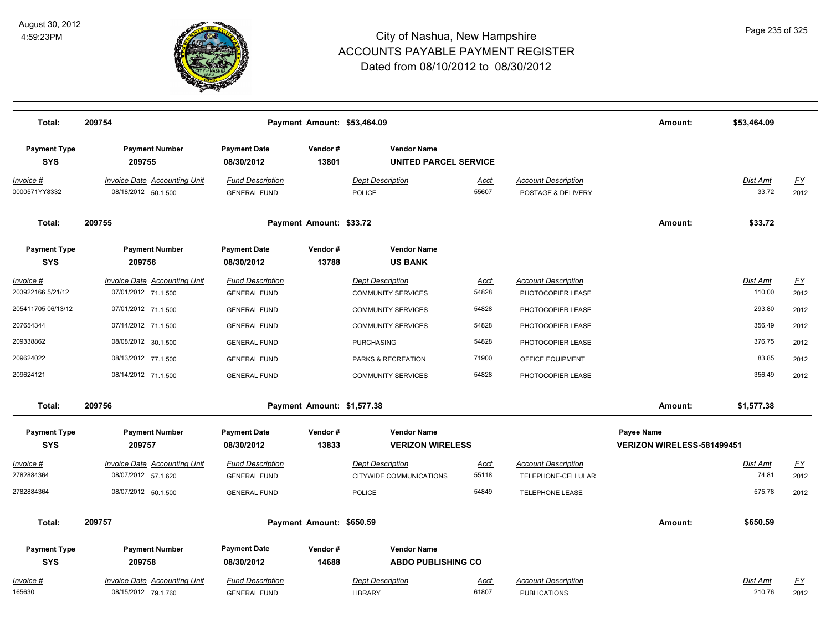

| Total:                            | 209754                                                     |                                                | Payment Amount: \$53,464.09 |                                                      |                      |                                                   | Amount:                                  | \$53,464.09        |                   |
|-----------------------------------|------------------------------------------------------------|------------------------------------------------|-----------------------------|------------------------------------------------------|----------------------|---------------------------------------------------|------------------------------------------|--------------------|-------------------|
| <b>Payment Type</b><br><b>SYS</b> | <b>Payment Number</b><br>209755                            | <b>Payment Date</b><br>08/30/2012              | Vendor#<br>13801            | <b>Vendor Name</b><br><b>UNITED PARCEL SERVICE</b>   |                      |                                                   |                                          |                    |                   |
| Invoice #<br>0000571YY8332        | <b>Invoice Date Accounting Unit</b><br>08/18/2012 50.1.500 | <b>Fund Description</b><br><b>GENERAL FUND</b> |                             | <b>Dept Description</b><br>POLICE                    | <u>Acct</u><br>55607 | <b>Account Description</b><br>POSTAGE & DELIVERY  |                                          | Dist Amt<br>33.72  | <u>FY</u><br>2012 |
| Total:                            | 209755                                                     |                                                | Payment Amount: \$33.72     |                                                      |                      |                                                   | Amount:                                  | \$33.72            |                   |
| <b>Payment Type</b><br><b>SYS</b> | <b>Payment Number</b><br>209756                            | <b>Payment Date</b><br>08/30/2012              | Vendor#<br>13788            | <b>Vendor Name</b><br><b>US BANK</b>                 |                      |                                                   |                                          |                    |                   |
| Invoice #<br>203922166 5/21/12    | <b>Invoice Date Accounting Unit</b><br>07/01/2012 71.1.500 | <b>Fund Description</b><br><b>GENERAL FUND</b> |                             | <b>Dept Description</b><br><b>COMMUNITY SERVICES</b> | Acct<br>54828        | <b>Account Description</b><br>PHOTOCOPIER LEASE   |                                          | Dist Amt<br>110.00 | <u>FY</u><br>2012 |
| 205411705 06/13/12                | 07/01/2012 71.1.500                                        | <b>GENERAL FUND</b>                            |                             | <b>COMMUNITY SERVICES</b>                            | 54828                | PHOTOCOPIER LEASE                                 |                                          | 293.80             | 2012              |
| 207654344                         | 07/14/2012 71.1.500                                        | <b>GENERAL FUND</b>                            |                             | <b>COMMUNITY SERVICES</b>                            | 54828                | PHOTOCOPIER LEASE                                 |                                          | 356.49             | 2012              |
| 209338862                         | 08/08/2012 30.1.500                                        | <b>GENERAL FUND</b>                            |                             | <b>PURCHASING</b>                                    | 54828                | PHOTOCOPIER LEASE                                 |                                          | 376.75             | 2012              |
| 209624022                         | 08/13/2012 77.1.500                                        | <b>GENERAL FUND</b>                            |                             | PARKS & RECREATION                                   | 71900                | OFFICE EQUIPMENT                                  |                                          | 83.85              | 2012              |
| 209624121                         | 08/14/2012 71.1.500                                        | <b>GENERAL FUND</b>                            |                             | <b>COMMUNITY SERVICES</b>                            | 54828                | PHOTOCOPIER LEASE                                 |                                          | 356.49             | 2012              |
| Total:                            | 209756                                                     |                                                | Payment Amount: \$1,577.38  |                                                      |                      |                                                   | Amount:                                  | \$1,577.38         |                   |
| <b>Payment Type</b><br><b>SYS</b> | <b>Payment Number</b><br>209757                            | <b>Payment Date</b><br>08/30/2012              | Vendor#<br>13833            | <b>Vendor Name</b><br><b>VERIZON WIRELESS</b>        |                      |                                                   | Payee Name<br>VERIZON WIRELESS-581499451 |                    |                   |
| Invoice #                         | Invoice Date Accounting Unit                               | <b>Fund Description</b>                        |                             | <b>Dept Description</b>                              | Acct                 | <b>Account Description</b>                        |                                          | Dist Amt           | <u>FY</u>         |
| 2782884364                        | 08/07/2012 57.1.620                                        | <b>GENERAL FUND</b>                            |                             | CITYWIDE COMMUNICATIONS                              | 55118                | TELEPHONE-CELLULAR                                |                                          | 74.81              | 2012              |
| 2782884364                        | 08/07/2012 50.1.500                                        | <b>GENERAL FUND</b>                            |                             | POLICE                                               | 54849                | <b>TELEPHONE LEASE</b>                            |                                          | 575.78             | 2012              |
| Total:                            | 209757                                                     |                                                | Payment Amount: \$650.59    |                                                      |                      |                                                   | Amount:                                  | \$650.59           |                   |
| <b>Payment Type</b><br><b>SYS</b> | <b>Payment Number</b><br>209758                            | <b>Payment Date</b><br>08/30/2012              | Vendor#<br>14688            | <b>Vendor Name</b><br><b>ABDO PUBLISHING CO</b>      |                      |                                                   |                                          |                    |                   |
| Invoice #<br>165630               | <b>Invoice Date Accounting Unit</b><br>08/15/2012 79.1.760 | <b>Fund Description</b><br><b>GENERAL FUND</b> |                             | <b>Dept Description</b><br><b>LIBRARY</b>            | Acct<br>61807        | <b>Account Description</b><br><b>PUBLICATIONS</b> |                                          | Dist Amt<br>210.76 | <u>FY</u><br>2012 |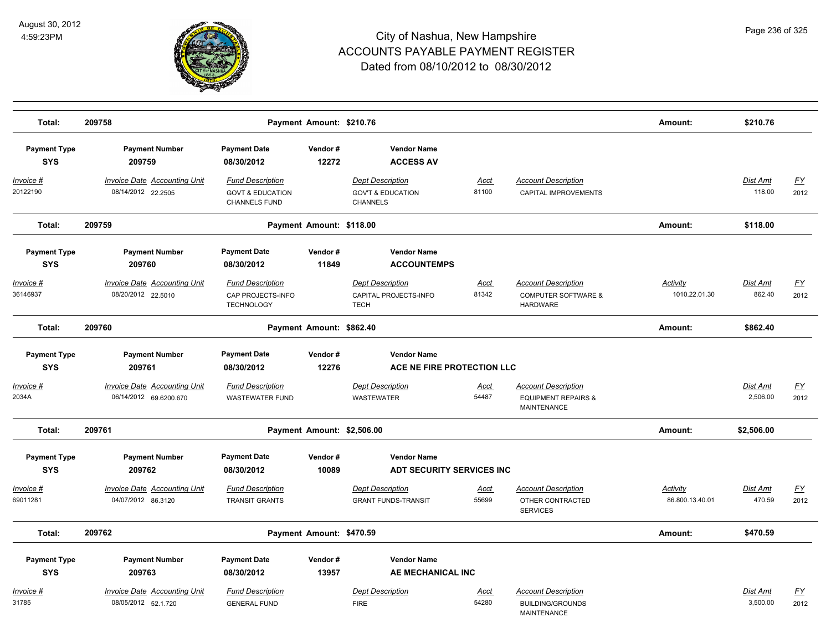

| Total:                            | 209758                                                        |                                                                         | Payment Amount: \$210.76   |                                                                            |                      |                                                                                    | Amount:                     | \$210.76                  |                   |
|-----------------------------------|---------------------------------------------------------------|-------------------------------------------------------------------------|----------------------------|----------------------------------------------------------------------------|----------------------|------------------------------------------------------------------------------------|-----------------------------|---------------------------|-------------------|
| <b>Payment Type</b><br><b>SYS</b> | <b>Payment Number</b><br>209759                               | <b>Payment Date</b><br>08/30/2012                                       | Vendor#<br>12272           | <b>Vendor Name</b><br><b>ACCESS AV</b>                                     |                      |                                                                                    |                             |                           |                   |
| Invoice #<br>20122190             | <b>Invoice Date Accounting Unit</b><br>08/14/2012 22.2505     | <b>Fund Description</b><br><b>GOVT &amp; EDUCATION</b><br>CHANNELS FUND |                            | <b>Dept Description</b><br><b>GOV'T &amp; EDUCATION</b><br><b>CHANNELS</b> | <b>Acct</b><br>81100 | <b>Account Description</b><br>CAPITAL IMPROVEMENTS                                 |                             | <b>Dist Amt</b><br>118.00 | <u>FY</u><br>2012 |
| Total:                            | 209759                                                        |                                                                         | Payment Amount: \$118.00   |                                                                            |                      |                                                                                    | Amount:                     | \$118.00                  |                   |
| <b>Payment Type</b><br><b>SYS</b> | <b>Payment Number</b><br>209760                               | <b>Payment Date</b><br>08/30/2012                                       | Vendor#<br>11849           | <b>Vendor Name</b><br><b>ACCOUNTEMPS</b>                                   |                      |                                                                                    |                             |                           |                   |
| Invoice #<br>36146937             | <b>Invoice Date Accounting Unit</b><br>08/20/2012 22.5010     | <b>Fund Description</b><br>CAP PROJECTS-INFO<br><b>TECHNOLOGY</b>       |                            | <b>Dept Description</b><br>CAPITAL PROJECTS-INFO<br><b>TECH</b>            | <u>Acct</u><br>81342 | <b>Account Description</b><br><b>COMPUTER SOFTWARE &amp;</b><br><b>HARDWARE</b>    | Activity<br>1010.22.01.30   | Dist Amt<br>862.40        | <u>FY</u><br>2012 |
| Total:                            | 209760                                                        |                                                                         | Payment Amount: \$862.40   |                                                                            |                      |                                                                                    | Amount:                     | \$862.40                  |                   |
| <b>Payment Type</b><br><b>SYS</b> | <b>Payment Number</b><br>209761                               | <b>Payment Date</b><br>08/30/2012                                       | Vendor#<br>12276           | <b>Vendor Name</b><br>ACE NE FIRE PROTECTION LLC                           |                      |                                                                                    |                             |                           |                   |
| Invoice #<br>2034A                | <b>Invoice Date Accounting Unit</b><br>06/14/2012 69.6200.670 | <b>Fund Description</b><br><b>WASTEWATER FUND</b>                       |                            | <b>Dept Description</b><br><b>WASTEWATER</b>                               | <u>Acct</u><br>54487 | <b>Account Description</b><br><b>EQUIPMENT REPAIRS &amp;</b><br><b>MAINTENANCE</b> |                             | Dist Amt<br>2,506.00      | <u>FY</u><br>2012 |
| Total:                            | 209761                                                        |                                                                         | Payment Amount: \$2,506.00 |                                                                            |                      |                                                                                    | Amount:                     | \$2,506.00                |                   |
| <b>Payment Type</b><br><b>SYS</b> | <b>Payment Number</b><br>209762                               | <b>Payment Date</b><br>08/30/2012                                       | Vendor#<br>10089           | <b>Vendor Name</b><br>ADT SECURITY SERVICES INC                            |                      |                                                                                    |                             |                           |                   |
| <u>Invoice #</u><br>69011281      | <b>Invoice Date Accounting Unit</b><br>04/07/2012 86.3120     | <b>Fund Description</b><br><b>TRANSIT GRANTS</b>                        |                            | <b>Dept Description</b><br><b>GRANT FUNDS-TRANSIT</b>                      | <u>Acct</u><br>55699 | <b>Account Description</b><br>OTHER CONTRACTED<br><b>SERVICES</b>                  | Activity<br>86.800.13.40.01 | <b>Dist Amt</b><br>470.59 | EY<br>2012        |
| Total:                            | 209762                                                        |                                                                         | Payment Amount: \$470.59   |                                                                            |                      |                                                                                    | Amount:                     | \$470.59                  |                   |
| <b>Payment Type</b><br><b>SYS</b> | <b>Payment Number</b><br>209763                               | <b>Payment Date</b><br>08/30/2012                                       | Vendor#<br>13957           | <b>Vendor Name</b><br>AE MECHANICAL INC                                    |                      |                                                                                    |                             |                           |                   |
| <b>Invoice #</b><br>31785         | Invoice Date Accounting Unit<br>08/05/2012 52.1.720           | <b>Fund Description</b><br><b>GENERAL FUND</b>                          |                            | <b>Dept Description</b><br><b>FIRE</b>                                     | Acct<br>54280        | <b>Account Description</b><br><b>BUILDING/GROUNDS</b><br><b>MAINTENANCE</b>        |                             | Dist Amt<br>3,500.00      | <u>FY</u><br>2012 |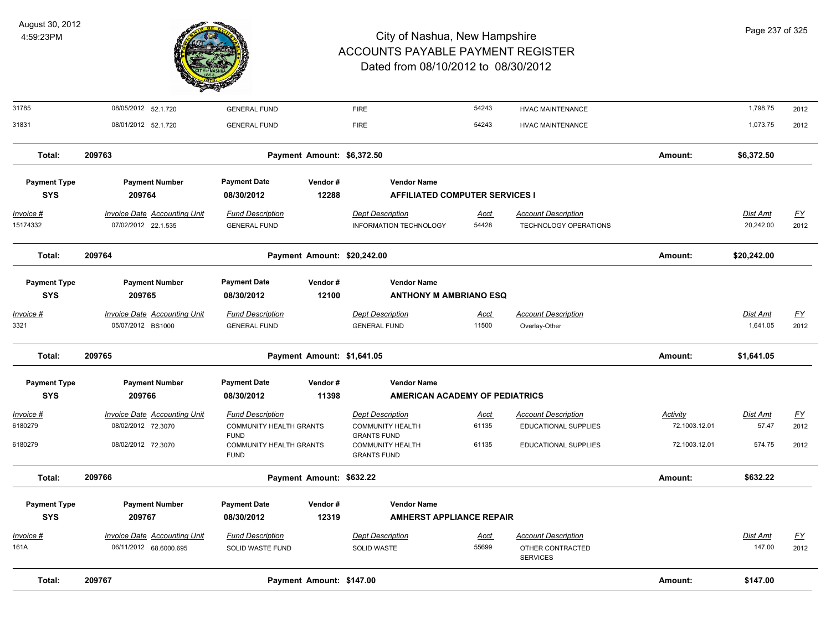

| Total:                            | 209767                                                        |                                             | Payment Amount: \$147.00    |                                                             |               |                                                                   | Amount:         | \$147.00           |                   |
|-----------------------------------|---------------------------------------------------------------|---------------------------------------------|-----------------------------|-------------------------------------------------------------|---------------|-------------------------------------------------------------------|-----------------|--------------------|-------------------|
| Invoice #<br>161A                 | <b>Invoice Date Accounting Unit</b><br>06/11/2012 68.6000.695 | <b>Fund Description</b><br>SOLID WASTE FUND |                             | <b>Dept Description</b><br><b>SOLID WASTE</b>               | Acct<br>55699 | <b>Account Description</b><br>OTHER CONTRACTED<br><b>SERVICES</b> |                 | Dist Amt<br>147.00 | <u>FY</u><br>2012 |
| <b>SYS</b>                        | 209767                                                        | 08/30/2012                                  | 12319                       | <b>AMHERST APPLIANCE REPAIR</b>                             |               |                                                                   |                 |                    |                   |
| <b>Payment Type</b>               | <b>Payment Number</b>                                         | <b>Payment Date</b>                         | Vendor#                     | <b>Vendor Name</b>                                          |               |                                                                   |                 |                    |                   |
| Total:                            | 209766                                                        |                                             | Payment Amount: \$632.22    |                                                             |               |                                                                   | Amount:         | \$632.22           |                   |
| 6180279                           | 08/02/2012 72.3070                                            | COMMUNITY HEALTH GRANTS<br><b>FUND</b>      |                             | <b>COMMUNITY HEALTH</b><br><b>GRANTS FUND</b>               | 61135         | <b>EDUCATIONAL SUPPLIES</b>                                       | 72.1003.12.01   | 574.75             | 2012              |
| 6180279                           | 08/02/2012 72.3070                                            | COMMUNITY HEALTH GRANTS<br><b>FUND</b>      |                             | <b>COMMUNITY HEALTH</b><br><b>GRANTS FUND</b>               | 61135         | <b>EDUCATIONAL SUPPLIES</b>                                       | 72.1003.12.01   | 57.47              | 2012              |
| <u> Invoice #</u>                 | <b>Invoice Date Accounting Unit</b>                           | <b>Fund Description</b>                     |                             | <b>Dept Description</b>                                     | <u>Acct</u>   | <b>Account Description</b>                                        | <b>Activity</b> | <b>Dist Amt</b>    | $\underline{FY}$  |
| <b>SYS</b>                        | 209766                                                        | 08/30/2012                                  | 11398                       | <b>AMERICAN ACADEMY OF PEDIATRICS</b>                       |               |                                                                   |                 |                    |                   |
| <b>Payment Type</b>               | <b>Payment Number</b>                                         | <b>Payment Date</b>                         | Vendor#                     | <b>Vendor Name</b>                                          |               |                                                                   |                 |                    |                   |
| Total:                            | 209765                                                        |                                             | Payment Amount: \$1,641.05  |                                                             |               |                                                                   | Amount:         | \$1,641.05         |                   |
| 3321                              | 05/07/2012 BS1000                                             | <b>GENERAL FUND</b>                         |                             | <b>GENERAL FUND</b>                                         | 11500         | Overlay-Other                                                     |                 | 1,641.05           | 2012              |
| <u> Invoice #</u>                 | <b>Invoice Date Accounting Unit</b>                           | <b>Fund Description</b>                     |                             | <b>Dept Description</b>                                     | <u>Acct</u>   | <b>Account Description</b>                                        |                 | <b>Dist Amt</b>    | <u>FY</u>         |
| <b>Payment Type</b><br><b>SYS</b> | <b>Payment Number</b><br>209765                               | <b>Payment Date</b><br>08/30/2012           | Vendor#<br>12100            | <b>Vendor Name</b><br><b>ANTHONY M AMBRIANO ESQ</b>         |               |                                                                   |                 |                    |                   |
| Total:                            |                                                               |                                             | Payment Amount: \$20,242.00 |                                                             |               |                                                                   | Amount:         |                    |                   |
|                                   | 209764                                                        |                                             |                             |                                                             |               |                                                                   |                 | \$20,242.00        |                   |
| 15174332                          | 07/02/2012 22.1.535                                           | <b>GENERAL FUND</b>                         |                             | <b>INFORMATION TECHNOLOGY</b>                               | 54428         | TECHNOLOGY OPERATIONS                                             |                 | 20,242.00          | 2012              |
| <u>Invoice #</u>                  | <b>Invoice Date Accounting Unit</b>                           | <b>Fund Description</b>                     |                             | <b>Dept Description</b>                                     | <u>Acct</u>   | <b>Account Description</b>                                        |                 | <b>Dist Amt</b>    | <u>FY</u>         |
| <b>Payment Type</b><br><b>SYS</b> | <b>Payment Number</b><br>209764                               | <b>Payment Date</b><br>08/30/2012           | Vendor#<br>12288            | <b>Vendor Name</b><br><b>AFFILIATED COMPUTER SERVICES I</b> |               |                                                                   |                 |                    |                   |
| Total:                            | 209763                                                        |                                             | Payment Amount: \$6,372.50  |                                                             |               |                                                                   | Amount:         | \$6,372.50         |                   |
| 31831                             | 08/01/2012 52.1.720                                           | <b>GENERAL FUND</b>                         |                             | <b>FIRE</b>                                                 | 54243         | <b>HVAC MAINTENANCE</b>                                           |                 | 1,073.75           | 2012              |
| 31785                             | 08/05/2012 52.1.720                                           | <b>GENERAL FUND</b>                         |                             | <b>FIRE</b>                                                 | 54243         | <b>HVAC MAINTENANCE</b>                                           |                 | 1,798.75           | 2012              |
|                                   |                                                               |                                             |                             |                                                             |               |                                                                   |                 |                    |                   |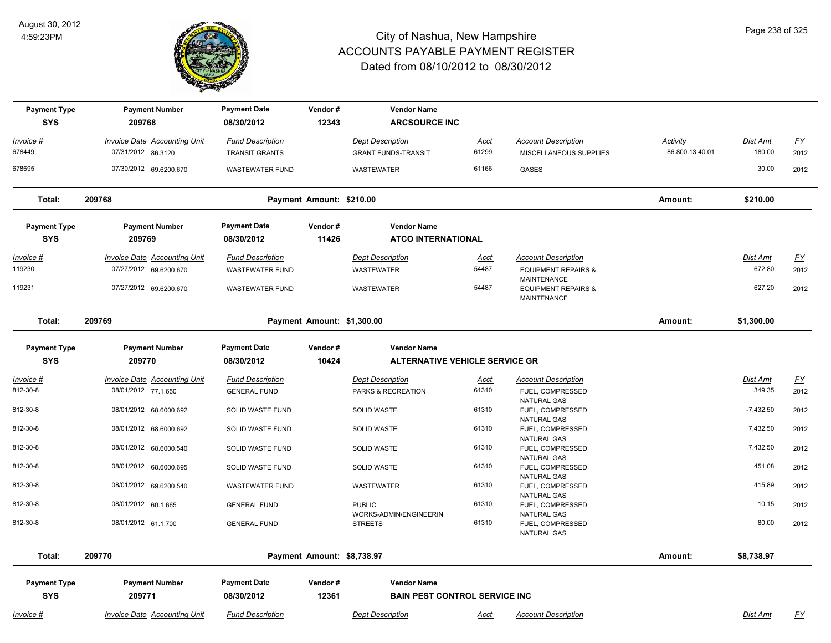

| <b>Payment Type</b><br><b>SYS</b> | <b>Payment Number</b><br>209768     | <b>Payment Date</b><br>08/30/2012 | Vendor#<br>12343           | <b>Vendor Name</b><br><b>ARCSOURCE INC</b> |             |                                                                            |                 |                 |                  |
|-----------------------------------|-------------------------------------|-----------------------------------|----------------------------|--------------------------------------------|-------------|----------------------------------------------------------------------------|-----------------|-----------------|------------------|
| Invoice #                         | <b>Invoice Date Accounting Unit</b> | <b>Fund Description</b>           |                            | <b>Dept Description</b>                    | Acct        | <b>Account Description</b>                                                 | Activity        | Dist Amt        | $\underline{FY}$ |
| 678449                            | 07/31/2012 86.3120                  | <b>TRANSIT GRANTS</b>             |                            | <b>GRANT FUNDS-TRANSIT</b>                 | 61299       | MISCELLANEOUS SUPPLIES                                                     | 86.800.13.40.01 | 180.00          | 2012             |
| 678695                            | 07/30/2012 69.6200.670              | <b>WASTEWATER FUND</b>            |                            | <b>WASTEWATER</b>                          | 61166       | <b>GASES</b>                                                               |                 | 30.00           | 2012             |
| Total:                            | 209768                              |                                   | Payment Amount: \$210.00   |                                            |             |                                                                            | Amount:         | \$210.00        |                  |
| <b>Payment Type</b>               | <b>Payment Number</b>               | <b>Payment Date</b>               | Vendor#                    | <b>Vendor Name</b>                         |             |                                                                            |                 |                 |                  |
| <b>SYS</b>                        | 209769                              | 08/30/2012                        | 11426                      | <b>ATCO INTERNATIONAL</b>                  |             |                                                                            |                 |                 |                  |
| <u>Invoice #</u>                  | <b>Invoice Date Accounting Unit</b> | <b>Fund Description</b>           |                            | <b>Dept Description</b>                    | <u>Acct</u> | <b>Account Description</b>                                                 |                 | <b>Dist Amt</b> | <u>FY</u>        |
| 119230                            | 07/27/2012 69.6200.670              | <b>WASTEWATER FUND</b>            |                            | <b>WASTEWATER</b>                          | 54487       | <b>EQUIPMENT REPAIRS &amp;</b>                                             |                 | 672.80          | 2012             |
| 119231                            | 07/27/2012 69.6200.670              | <b>WASTEWATER FUND</b>            |                            | WASTEWATER                                 | 54487       | <b>MAINTENANCE</b><br><b>EQUIPMENT REPAIRS &amp;</b><br><b>MAINTENANCE</b> |                 | 627.20          | 2012             |
| Total:                            | 209769                              |                                   | Payment Amount: \$1,300.00 |                                            |             |                                                                            | Amount:         | \$1,300.00      |                  |
| <b>Payment Type</b>               | <b>Payment Number</b>               | <b>Payment Date</b>               | Vendor#                    | <b>Vendor Name</b>                         |             |                                                                            |                 |                 |                  |
| <b>SYS</b>                        | 209770                              | 08/30/2012                        | 10424                      | <b>ALTERNATIVE VEHICLE SERVICE GR</b>      |             |                                                                            |                 |                 |                  |
| Invoice #                         | <b>Invoice Date Accounting Unit</b> | <b>Fund Description</b>           |                            | <b>Dept Description</b>                    | Acct        | <b>Account Description</b>                                                 |                 | Dist Amt        | $\underline{FY}$ |
| 812-30-8                          | 08/01/2012 77.1.650                 | <b>GENERAL FUND</b>               |                            | PARKS & RECREATION                         | 61310       | FUEL, COMPRESSED<br>NATURAL GAS                                            |                 | 349.35          | 2012             |
| 812-30-8                          | 08/01/2012 68.6000.692              | SOLID WASTE FUND                  |                            | <b>SOLID WASTE</b>                         | 61310       | FUEL, COMPRESSED                                                           |                 | $-7,432.50$     | 2012             |
| 812-30-8                          | 08/01/2012 68.6000.692              | SOLID WASTE FUND                  |                            | <b>SOLID WASTE</b>                         | 61310       | <b>NATURAL GAS</b><br>FUEL, COMPRESSED                                     |                 | 7,432.50        | 2012             |
|                                   |                                     |                                   |                            |                                            |             | NATURAL GAS                                                                |                 |                 |                  |
| 812-30-8                          | 08/01/2012 68.6000.540              | SOLID WASTE FUND                  |                            | <b>SOLID WASTE</b>                         | 61310       | FUEL, COMPRESSED<br>NATURAL GAS                                            |                 | 7,432.50        | 2012             |
| 812-30-8                          | 08/01/2012 68.6000.695              | SOLID WASTE FUND                  |                            | <b>SOLID WASTE</b>                         | 61310       | FUEL, COMPRESSED                                                           |                 | 451.08          | 2012             |
| 812-30-8                          | 08/01/2012 69.6200.540              | <b>WASTEWATER FUND</b>            |                            | <b>WASTEWATER</b>                          | 61310       | NATURAL GAS<br>FUEL, COMPRESSED                                            |                 | 415.89          | 2012             |
|                                   |                                     |                                   |                            |                                            |             | NATURAL GAS                                                                |                 |                 |                  |
| 812-30-8                          | 08/01/2012 60.1.665                 | <b>GENERAL FUND</b>               |                            | <b>PUBLIC</b><br>WORKS-ADMIN/ENGINEERIN    | 61310       | FUEL, COMPRESSED<br>NATURAL GAS                                            |                 | 10.15           | 2012             |
| 812-30-8                          | 08/01/2012 61.1.700                 | <b>GENERAL FUND</b>               |                            | <b>STREETS</b>                             | 61310       | FUEL, COMPRESSED<br>NATURAL GAS                                            |                 | 80.00           | 2012             |
| Total:                            | 209770                              |                                   | Payment Amount: \$8,738.97 |                                            |             |                                                                            | Amount:         | \$8,738.97      |                  |
| <b>Payment Type</b>               | <b>Payment Number</b>               | <b>Payment Date</b>               | Vendor#                    | <b>Vendor Name</b>                         |             |                                                                            |                 |                 |                  |
| <b>SYS</b>                        | 209771                              | 08/30/2012                        | 12361                      | <b>BAIN PEST CONTROL SERVICE INC</b>       |             |                                                                            |                 |                 |                  |
| Invoice #                         | Invoice Date Accounting Unit        | <b>Fund Description</b>           |                            | <b>Dept Description</b>                    | Acct        | <b>Account Description</b>                                                 |                 | Dist Amt        | <u>FY</u>        |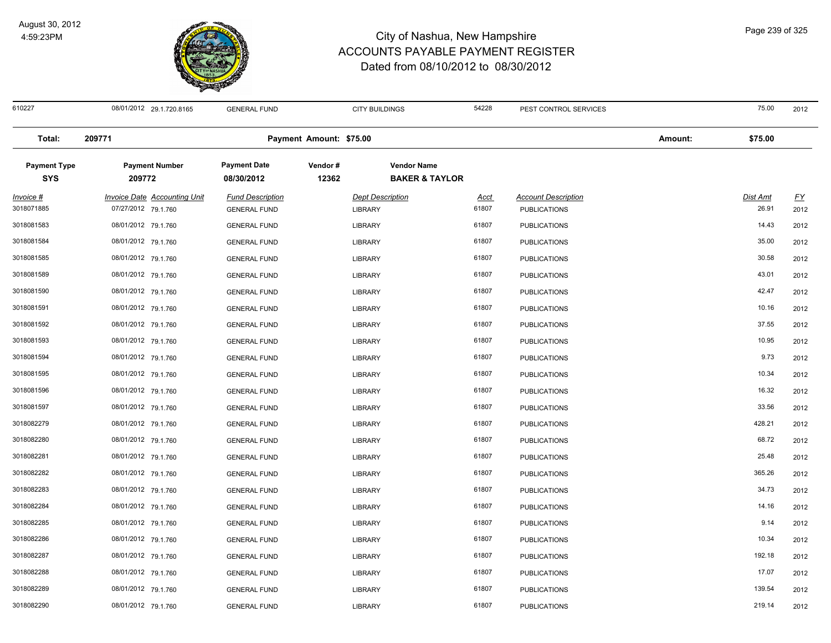

 08/01/2012 29.1.720.8165 GENERAL FUND CITY BUILDINGS 54228 PEST CONTROL SERVICES 75.00 2012 **Total: 209771 Payment Amount: \$75.00 Amount: \$75.00 Payment Type Payment Number Payment Date Vendor # Vendor Name SYS 08/30/2012** *Invoice # Invoice Date Accounting Unit Fund Description Dept Description Acct Account Description Dist Amt FY*  **209772 12362 BAKER & TAYLOR** 07/27/2012 79.1.760 GENERAL FUND LIBRARY 61807 PUBLICATIONS 26.91 2012 08/01/2012 79.1.760 GENERAL FUND LIBRARY 61807 PUBLICATIONS 14.43 2012 08/01/2012 79.1.760 GENERAL FUND LIBRARY 61807 PUBLICATIONS 35.00 2012 08/01/2012 79.1.760 GENERAL FUND LIBRARY 61807 PUBLICATIONS 30.58 2012 08/01/2012 79.1.760 GENERAL FUND LIBRARY 61807 PUBLICATIONS 43.01 2012 3018081590 08/01/2012 79.1.760 GENERAL FUND PUBLICATIONS 42.47 2012 08/01/2012 79.1.760 GENERAL FUND LIBRARY 61807 PUBLICATIONS 10.16 2012 08/01/2012 79.1.760 GENERAL FUND LIBRARY 61807 PUBLICATIONS 37.55 2012 08/01/2012 79.1.760 GENERAL FUND LIBRARY 61807 PUBLICATIONS 10.95 2012 08/01/2012 79.1.760 GENERAL FUND LIBRARY 61807 PUBLICATIONS 9.73 2012 08/01/2012 79.1.760 GENERAL FUND LIBRARY 61807 PUBLICATIONS 10.34 2012 08/01/2012 79.1.760 GENERAL FUND LIBRARY 61807 PUBLICATIONS 16.32 2012 08/01/2012 79.1.760 GENERAL FUND LIBRARY 61807 PUBLICATIONS 33.56 2012 08/01/2012 79.1.760 GENERAL FUND LIBRARY 61807 PUBLICATIONS 428.21 2012 3018082280 08/01/2012 79.1.760 GENERAL FUND LIBRARY PUBLICATIONS 68.72 2012 08/01/2012 79.1.760 GENERAL FUND LIBRARY 61807 PUBLICATIONS 25.48 2012 08/01/2012 79.1.760 GENERAL FUND LIBRARY 61807 PUBLICATIONS 365.26 2012 08/01/2012 79.1.760 GENERAL FUND LIBRARY 61807 PUBLICATIONS 34.73 2012 08/01/2012 79.1.760 GENERAL FUND LIBRARY 61807 PUBLICATIONS 14.16 2012 08/01/2012 79.1.760 GENERAL FUND LIBRARY 61807 PUBLICATIONS 9.14 2012 08/01/2012 79.1.760 GENERAL FUND LIBRARY 61807 PUBLICATIONS 10.34 2012 08/01/2012 79.1.760 GENERAL FUND LIBRARY 61807 PUBLICATIONS 192.18 2012 08/01/2012 79.1.760 GENERAL FUND LIBRARY 61807 PUBLICATIONS 17.07 2012 3018082289 08/01/2012 79.1.760 GENERAL FUND PUBLICATIONS 139.54 2012 08/01/2012 79.1.760 GENERAL FUND LIBRARY 61807 PUBLICATIONS 219.14 2012

Page 239 of 325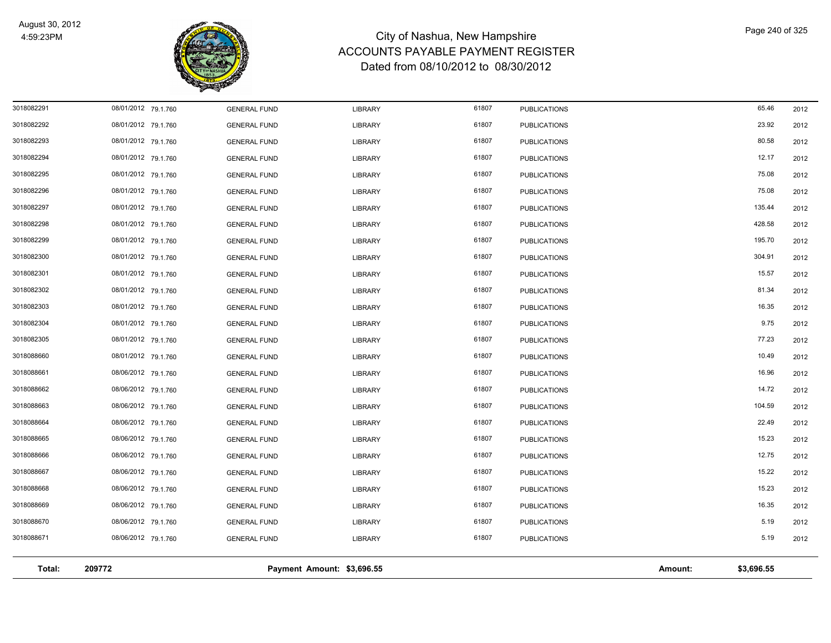

| Total:                   | 209772                                     |                                            | Payment Amount: \$3,696.55       |                |                                            | Amount: | \$3,696.55     |              |
|--------------------------|--------------------------------------------|--------------------------------------------|----------------------------------|----------------|--------------------------------------------|---------|----------------|--------------|
|                          |                                            |                                            |                                  |                |                                            |         |                |              |
| 3018088671               | 08/06/2012 79.1.760                        | <b>GENERAL FUND</b>                        | <b>LIBRARY</b>                   | 61807          | <b>PUBLICATIONS</b>                        |         | 5.19           | 2012         |
| 3018088670               | 08/06/2012 79.1.760                        | <b>GENERAL FUND</b>                        | <b>LIBRARY</b>                   | 61807          | <b>PUBLICATIONS</b>                        |         | 5.19           | 2012         |
| 3018088669               | 08/06/2012 79.1.760                        | <b>GENERAL FUND</b>                        | <b>LIBRARY</b>                   | 61807          | <b>PUBLICATIONS</b>                        |         | 16.35          | 2012         |
| 3018088668               | 08/06/2012 79.1.760                        | <b>GENERAL FUND</b>                        | <b>LIBRARY</b>                   | 61807          | <b>PUBLICATIONS</b>                        |         | 15.23          | 2012         |
| 3018088667               | 08/06/2012 79.1.760                        | <b>GENERAL FUND</b>                        | <b>LIBRARY</b>                   | 61807          | <b>PUBLICATIONS</b>                        |         | 15.22          | 2012         |
| 3018088666               | 08/06/2012 79.1.760                        | <b>GENERAL FUND</b>                        | <b>LIBRARY</b>                   | 61807          | <b>PUBLICATIONS</b>                        |         | 12.75          | 2012         |
| 3018088665               | 08/06/2012 79.1.760                        | <b>GENERAL FUND</b>                        | <b>LIBRARY</b>                   | 61807          | <b>PUBLICATIONS</b>                        |         | 15.23          | 2012         |
| 3018088664               | 08/06/2012 79.1.760                        | <b>GENERAL FUND</b>                        | <b>LIBRARY</b>                   | 61807          | <b>PUBLICATIONS</b>                        |         | 22.49          | 2012         |
| 3018088663               | 08/06/2012 79.1.760<br>08/06/2012 79.1.760 | <b>GENERAL FUND</b><br><b>GENERAL FUND</b> | <b>LIBRARY</b><br><b>LIBRARY</b> | 61807          | <b>PUBLICATIONS</b><br><b>PUBLICATIONS</b> |         | 104.59         | 2012<br>2012 |
| 3018088661<br>3018088662 | 08/06/2012 79.1.760                        | <b>GENERAL FUND</b>                        | <b>LIBRARY</b>                   | 61807<br>61807 | <b>PUBLICATIONS</b>                        |         | 16.96<br>14.72 | 2012         |
| 3018088660               | 08/01/2012 79.1.760                        | <b>GENERAL FUND</b>                        | <b>LIBRARY</b>                   | 61807          | <b>PUBLICATIONS</b>                        |         | 10.49          | 2012         |
| 3018082305               | 08/01/2012 79.1.760                        | <b>GENERAL FUND</b>                        | <b>LIBRARY</b>                   | 61807          | <b>PUBLICATIONS</b>                        |         | 77.23          | 2012         |
| 3018082304               | 08/01/2012 79.1.760                        | <b>GENERAL FUND</b>                        | <b>LIBRARY</b>                   | 61807          | <b>PUBLICATIONS</b>                        |         | 9.75           | 2012         |
| 3018082303               | 08/01/2012 79.1.760                        | <b>GENERAL FUND</b>                        | <b>LIBRARY</b>                   | 61807          | <b>PUBLICATIONS</b>                        |         | 16.35          | 2012         |
| 3018082302               | 08/01/2012 79.1.760                        | <b>GENERAL FUND</b>                        | <b>LIBRARY</b>                   | 61807          | <b>PUBLICATIONS</b>                        |         | 81.34          | 2012         |
| 3018082301               | 08/01/2012 79.1.760                        | <b>GENERAL FUND</b>                        | <b>LIBRARY</b>                   | 61807          | <b>PUBLICATIONS</b>                        |         | 15.57          | 2012         |
| 3018082300               | 08/01/2012 79.1.760                        | <b>GENERAL FUND</b>                        | <b>LIBRARY</b>                   | 61807          | <b>PUBLICATIONS</b>                        |         | 304.91         | 2012         |
| 3018082299               | 08/01/2012 79.1.760                        | <b>GENERAL FUND</b>                        | <b>LIBRARY</b>                   | 61807          | <b>PUBLICATIONS</b>                        |         | 195.70         | 2012         |
| 3018082298               | 08/01/2012 79.1.760                        | <b>GENERAL FUND</b>                        | <b>LIBRARY</b>                   | 61807          | <b>PUBLICATIONS</b>                        |         | 428.58         | 2012         |
| 3018082297               | 08/01/2012 79.1.760                        | <b>GENERAL FUND</b>                        | <b>LIBRARY</b>                   | 61807          | <b>PUBLICATIONS</b>                        |         | 135.44         | 2012         |
| 3018082296               | 08/01/2012 79.1.760                        | <b>GENERAL FUND</b>                        | LIBRARY                          | 61807          | <b>PUBLICATIONS</b>                        |         | 75.08          | 2012         |
| 3018082295               | 08/01/2012 79.1.760                        | <b>GENERAL FUND</b>                        | <b>LIBRARY</b>                   | 61807          | <b>PUBLICATIONS</b>                        |         | 75.08          | 2012         |
| 3018082294               | 08/01/2012 79.1.760                        | <b>GENERAL FUND</b>                        | LIBRARY                          | 61807          | <b>PUBLICATIONS</b>                        |         | 12.17          | 2012         |
| 3018082293               | 08/01/2012 79.1.760                        | <b>GENERAL FUND</b>                        | <b>LIBRARY</b>                   | 61807          | <b>PUBLICATIONS</b>                        |         | 80.58          | 2012         |
| 3018082292               | 08/01/2012 79.1.760                        | <b>GENERAL FUND</b>                        | <b>LIBRARY</b>                   | 61807          | <b>PUBLICATIONS</b>                        |         | 23.92          | 2012         |
| 3018082291               | 08/01/2012 79.1.760                        | <b>GENERAL FUND</b>                        | <b>LIBRARY</b>                   | 61807          | <b>PUBLICATIONS</b>                        |         | 65.46          | 2012         |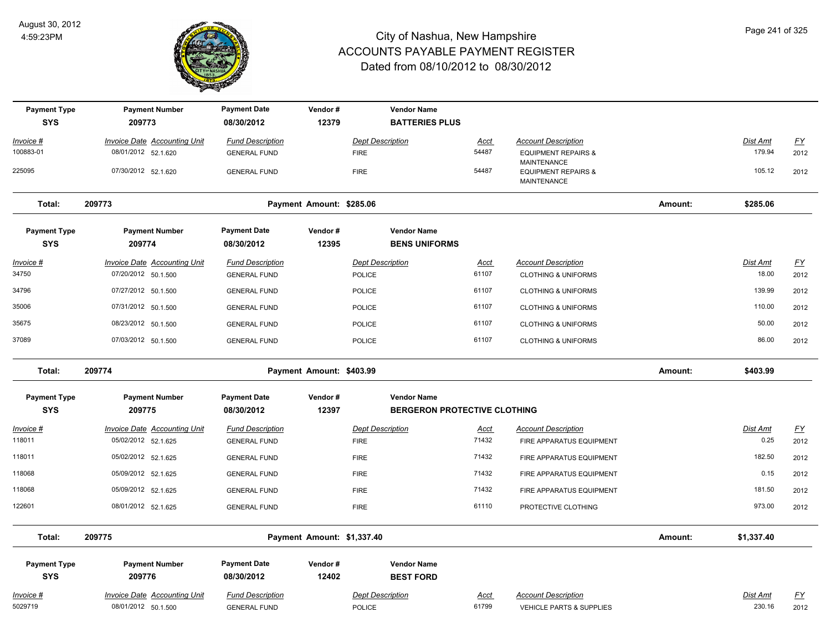

| <b>Payment Type</b><br><b>SYS</b> | <b>Payment Number</b><br>209773                            | <b>Payment Date</b><br>08/30/2012              | Vendor#<br>12379           |                                          | <b>Vendor Name</b><br><b>BATTERIES PLUS</b> |                      |                                                              |         |                          |                   |
|-----------------------------------|------------------------------------------------------------|------------------------------------------------|----------------------------|------------------------------------------|---------------------------------------------|----------------------|--------------------------------------------------------------|---------|--------------------------|-------------------|
| <u> Invoice #</u>                 | <b>Invoice Date Accounting Unit</b>                        | <b>Fund Description</b>                        |                            | <b>Dept Description</b>                  |                                             | <u>Acct</u>          | <b>Account Description</b>                                   |         | <b>Dist Amt</b>          | $\underline{FY}$  |
| 100883-01                         | 08/01/2012 52.1.620                                        | <b>GENERAL FUND</b>                            |                            | <b>FIRE</b>                              |                                             | 54487                | <b>EQUIPMENT REPAIRS &amp;</b><br>MAINTENANCE                |         | 179.94                   | 2012              |
| 225095                            | 07/30/2012 52.1.620                                        | <b>GENERAL FUND</b>                            |                            | <b>FIRE</b>                              |                                             | 54487                | <b>EQUIPMENT REPAIRS &amp;</b><br>MAINTENANCE                |         | 105.12                   | 2012              |
| Total:                            | 209773                                                     |                                                | Payment Amount: \$285.06   |                                          |                                             |                      |                                                              | Amount: | \$285.06                 |                   |
| <b>Payment Type</b><br><b>SYS</b> | <b>Payment Number</b><br>209774                            | <b>Payment Date</b><br>08/30/2012              | Vendor#<br>12395           |                                          | <b>Vendor Name</b><br><b>BENS UNIFORMS</b>  |                      |                                                              |         |                          |                   |
| Invoice #<br>34750                | <b>Invoice Date Accounting Unit</b><br>07/20/2012 50.1.500 | <b>Fund Description</b><br><b>GENERAL FUND</b> |                            | <b>Dept Description</b><br><b>POLICE</b> |                                             | <u>Acct</u><br>61107 | <b>Account Description</b><br><b>CLOTHING &amp; UNIFORMS</b> |         | <b>Dist Amt</b><br>18.00 | <u>FY</u><br>2012 |
| 34796                             | 07/27/2012 50.1.500                                        | <b>GENERAL FUND</b>                            |                            | <b>POLICE</b>                            |                                             | 61107                | <b>CLOTHING &amp; UNIFORMS</b>                               |         | 139.99                   | 2012              |
| 35006                             | 07/31/2012 50.1.500                                        | <b>GENERAL FUND</b>                            |                            | <b>POLICE</b>                            |                                             | 61107                | <b>CLOTHING &amp; UNIFORMS</b>                               |         | 110.00                   | 2012              |
| 35675                             | 08/23/2012 50.1.500                                        | <b>GENERAL FUND</b>                            |                            | <b>POLICE</b>                            |                                             | 61107                | <b>CLOTHING &amp; UNIFORMS</b>                               |         | 50.00                    | 2012              |
| 37089                             | 07/03/2012 50.1.500                                        | <b>GENERAL FUND</b>                            |                            | <b>POLICE</b>                            |                                             | 61107                | <b>CLOTHING &amp; UNIFORMS</b>                               |         | 86.00                    | 2012              |
| Total:                            | 209774                                                     |                                                | Payment Amount: \$403.99   |                                          |                                             |                      |                                                              | Amount: | \$403.99                 |                   |
| <b>Payment Type</b>               | <b>Payment Number</b>                                      | <b>Payment Date</b>                            | Vendor#                    |                                          | <b>Vendor Name</b>                          |                      |                                                              |         |                          |                   |
| <b>SYS</b>                        |                                                            |                                                |                            |                                          |                                             |                      |                                                              |         |                          |                   |
|                                   | 209775                                                     | 08/30/2012                                     | 12397                      |                                          | <b>BERGERON PROTECTIVE CLOTHING</b>         |                      |                                                              |         |                          |                   |
| Invoice #                         | <b>Invoice Date Accounting Unit</b>                        | <b>Fund Description</b>                        |                            | <b>Dept Description</b>                  |                                             | <u>Acct</u>          | <b>Account Description</b>                                   |         | Dist Amt                 | <u>FY</u>         |
| 118011                            | 05/02/2012 52.1.625                                        | <b>GENERAL FUND</b>                            |                            | <b>FIRE</b>                              |                                             | 71432                | FIRE APPARATUS EQUIPMENT                                     |         | 0.25                     | 2012              |
| 118011                            | 05/02/2012 52.1.625                                        | <b>GENERAL FUND</b>                            |                            | <b>FIRE</b>                              |                                             | 71432                | FIRE APPARATUS EQUIPMENT                                     |         | 182.50                   | 2012              |
| 118068                            | 05/09/2012 52.1.625                                        | <b>GENERAL FUND</b>                            |                            | <b>FIRE</b>                              |                                             | 71432                | FIRE APPARATUS EQUIPMENT                                     |         | 0.15                     | 2012              |
| 118068                            | 05/09/2012 52.1.625                                        | <b>GENERAL FUND</b>                            |                            | <b>FIRE</b>                              |                                             | 71432                | FIRE APPARATUS EQUIPMENT                                     |         | 181.50                   | 2012              |
| 122601                            | 08/01/2012 52.1.625                                        | <b>GENERAL FUND</b>                            |                            | <b>FIRE</b>                              |                                             | 61110                | PROTECTIVE CLOTHING                                          |         | 973.00                   | 2012              |
| Total:                            | 209775                                                     |                                                | Payment Amount: \$1,337.40 |                                          |                                             |                      |                                                              | Amount: | \$1,337.40               |                   |
| <b>Payment Type</b><br><b>SYS</b> | <b>Payment Number</b><br>209776                            | <b>Payment Date</b><br>08/30/2012              | Vendor#<br>12402           |                                          | <b>Vendor Name</b><br><b>BEST FORD</b>      |                      |                                                              |         |                          |                   |
| Invoice #                         | <b>Invoice Date Accounting Unit</b>                        | <b>Fund Description</b>                        |                            | <b>Dept Description</b>                  |                                             | Acct                 | <b>Account Description</b>                                   |         | Dist Amt                 | <u>FY</u>         |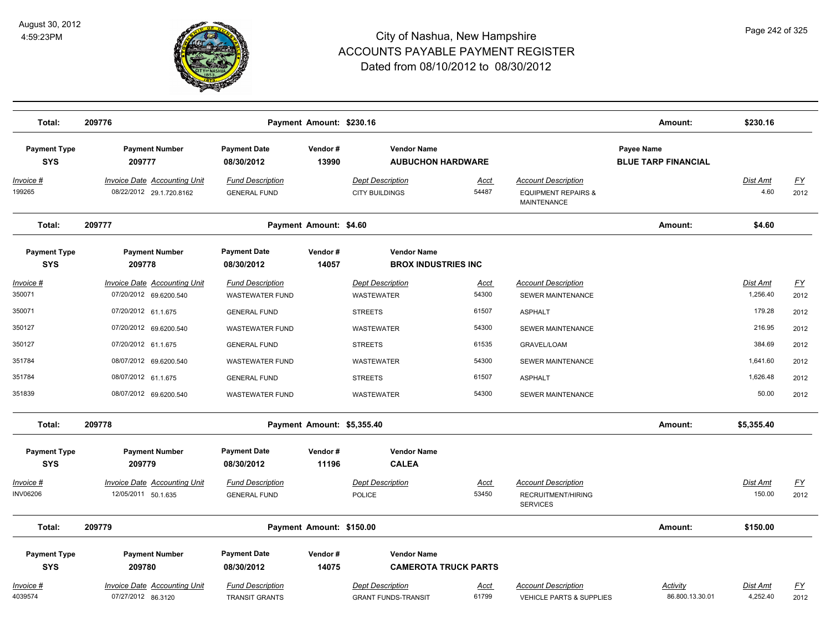

| Total:                               | 209776                                                          |                                                   | Payment Amount: \$230.16   |                                                       |                             |                                                                             | Amount:                                  | \$230.16                  |                   |
|--------------------------------------|-----------------------------------------------------------------|---------------------------------------------------|----------------------------|-------------------------------------------------------|-----------------------------|-----------------------------------------------------------------------------|------------------------------------------|---------------------------|-------------------|
| <b>Payment Type</b><br><b>SYS</b>    | <b>Payment Number</b><br>209777                                 | <b>Payment Date</b><br>08/30/2012                 | Vendor#<br>13990           | <b>Vendor Name</b><br><b>AUBUCHON HARDWARE</b>        |                             |                                                                             | Payee Name<br><b>BLUE TARP FINANCIAL</b> |                           |                   |
| <u> Invoice #</u><br>199265          | <b>Invoice Date Accounting Unit</b><br>08/22/2012 29.1.720.8162 | <b>Fund Description</b><br><b>GENERAL FUND</b>    |                            | <b>Dept Description</b><br><b>CITY BUILDINGS</b>      | <u>Acct</u><br>54487        | <b>Account Description</b><br><b>EQUIPMENT REPAIRS &amp;</b><br>MAINTENANCE |                                          | <u>Dist Amt</u><br>4.60   | <u>FY</u><br>2012 |
| Total:                               | 209777                                                          |                                                   | Payment Amount: \$4.60     |                                                       |                             |                                                                             | Amount:                                  | \$4.60                    |                   |
| <b>Payment Type</b><br><b>SYS</b>    | <b>Payment Number</b><br>209778                                 | <b>Payment Date</b><br>08/30/2012                 | Vendor#<br>14057           | <b>Vendor Name</b><br><b>BROX INDUSTRIES INC</b>      |                             |                                                                             |                                          |                           |                   |
| Invoice #<br>350071                  | <b>Invoice Date Accounting Unit</b><br>07/20/2012 69.6200.540   | <b>Fund Description</b><br><b>WASTEWATER FUND</b> |                            | <b>Dept Description</b><br>WASTEWATER                 | Acct<br>54300               | <b>Account Description</b><br>SEWER MAINTENANCE                             |                                          | Dist Amt<br>1,256.40      | <u>FY</u><br>2012 |
| 350071                               | 07/20/2012 61.1.675                                             | <b>GENERAL FUND</b>                               |                            | <b>STREETS</b>                                        | 61507                       | <b>ASPHALT</b>                                                              |                                          | 179.28                    | 2012              |
| 350127                               | 07/20/2012 69.6200.540                                          | <b>WASTEWATER FUND</b>                            |                            | WASTEWATER                                            | 54300                       | SEWER MAINTENANCE                                                           |                                          | 216.95                    | 2012              |
| 350127                               | 07/20/2012 61.1.675                                             | <b>GENERAL FUND</b>                               |                            | <b>STREETS</b>                                        | 61535                       | <b>GRAVEL/LOAM</b>                                                          |                                          | 384.69                    | 2012              |
| 351784                               | 08/07/2012 69.6200.540                                          | <b>WASTEWATER FUND</b>                            |                            | WASTEWATER                                            | 54300                       | SEWER MAINTENANCE                                                           |                                          | 1,641.60                  | 2012              |
| 351784                               | 08/07/2012 61.1.675                                             | <b>GENERAL FUND</b>                               |                            | <b>STREETS</b>                                        | 61507                       | <b>ASPHALT</b>                                                              |                                          | 1,626.48                  | 2012              |
| 351839                               | 08/07/2012 69.6200.540                                          | <b>WASTEWATER FUND</b>                            |                            | <b>WASTEWATER</b>                                     | 54300                       | SEWER MAINTENANCE                                                           |                                          | 50.00                     | 2012              |
| Total:                               | 209778                                                          |                                                   | Payment Amount: \$5,355.40 |                                                       |                             |                                                                             | Amount:                                  | \$5,355.40                |                   |
| <b>Payment Type</b>                  | <b>Payment Number</b>                                           | <b>Payment Date</b>                               | Vendor#                    | <b>Vendor Name</b>                                    |                             |                                                                             |                                          |                           |                   |
| <b>SYS</b>                           | 209779                                                          | 08/30/2012                                        | 11196                      | <b>CALEA</b>                                          |                             |                                                                             |                                          |                           |                   |
| <u> Invoice #</u><br><b>INV06206</b> | <b>Invoice Date Accounting Unit</b><br>12/05/2011 50.1.635      | <b>Fund Description</b><br><b>GENERAL FUND</b>    |                            | <b>Dept Description</b><br>POLICE                     | <u>Acct</u><br>53450        | <b>Account Description</b><br>RECRUITMENT/HIRING<br><b>SERVICES</b>         |                                          | <u>Dist Amt</u><br>150.00 | <u>FY</u><br>2012 |
| Total:                               | 209779                                                          |                                                   | Payment Amount: \$150.00   |                                                       |                             |                                                                             | Amount:                                  | \$150.00                  |                   |
| <b>Payment Type</b><br><b>SYS</b>    | <b>Payment Number</b><br>209780                                 | <b>Payment Date</b><br>08/30/2012                 | Vendor#<br>14075           | <b>Vendor Name</b>                                    | <b>CAMEROTA TRUCK PARTS</b> |                                                                             |                                          |                           |                   |
| Invoice #<br>4039574                 | <b>Invoice Date Accounting Unit</b><br>07/27/2012 86.3120       | <b>Fund Description</b><br><b>TRANSIT GRANTS</b>  |                            | <b>Dept Description</b><br><b>GRANT FUNDS-TRANSIT</b> | <u>Acct</u><br>61799        | <b>Account Description</b><br><b>VEHICLE PARTS &amp; SUPPLIES</b>           | Activity<br>86.800.13.30.01              | Dist Amt<br>4,252.40      | <u>FY</u><br>2012 |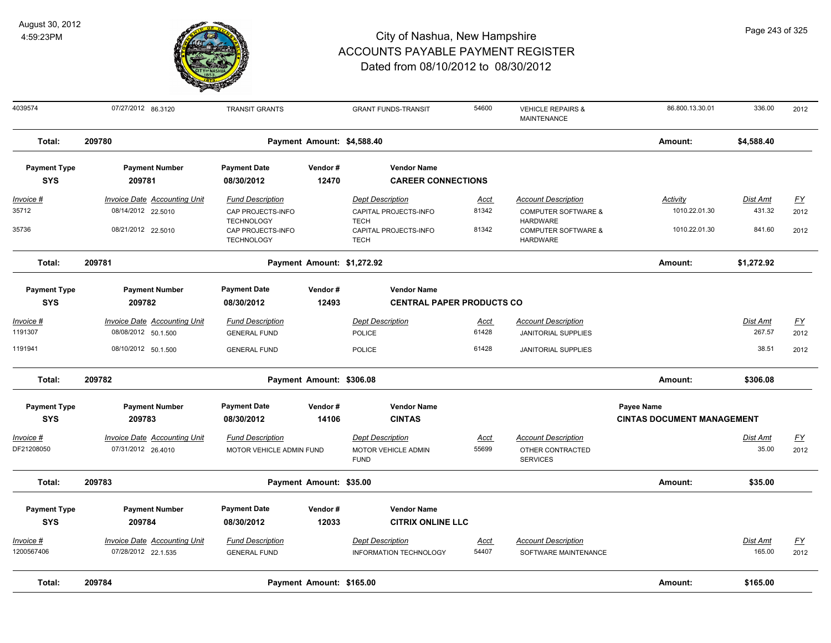

| 4039574             | 07/27/2012 86.3120                  | <b>TRANSIT GRANTS</b>                  |                            | <b>GRANT FUNDS-TRANSIT</b>           | 54600       | <b>VEHICLE REPAIRS &amp;</b><br>MAINTENANCE       | 86.800.13.30.01                   | 336.00          | 2012             |
|---------------------|-------------------------------------|----------------------------------------|----------------------------|--------------------------------------|-------------|---------------------------------------------------|-----------------------------------|-----------------|------------------|
| Total:              | 209780                              |                                        | Payment Amount: \$4,588.40 |                                      |             |                                                   | Amount:                           | \$4,588.40      |                  |
| <b>Payment Type</b> | <b>Payment Number</b>               | <b>Payment Date</b>                    | Vendor#                    | <b>Vendor Name</b>                   |             |                                                   |                                   |                 |                  |
| <b>SYS</b>          | 209781                              | 08/30/2012                             | 12470                      | <b>CAREER CONNECTIONS</b>            |             |                                                   |                                   |                 |                  |
| Invoice #           | <b>Invoice Date Accounting Unit</b> | <b>Fund Description</b>                |                            | <b>Dept Description</b>              | <u>Acct</u> | <b>Account Description</b>                        | <b>Activity</b>                   | <b>Dist Amt</b> | <u>FY</u>        |
| 35712               | 08/14/2012 22.5010                  | CAP PROJECTS-INFO<br><b>TECHNOLOGY</b> |                            | CAPITAL PROJECTS-INFO<br><b>TECH</b> | 81342       | <b>COMPUTER SOFTWARE &amp;</b><br><b>HARDWARE</b> | 1010.22.01.30                     | 431.32          | 2012             |
| 35736               | 08/21/2012 22.5010                  | CAP PROJECTS-INFO<br><b>TECHNOLOGY</b> |                            | CAPITAL PROJECTS-INFO<br><b>TECH</b> | 81342       | <b>COMPUTER SOFTWARE &amp;</b><br><b>HARDWARE</b> | 1010.22.01.30                     | 841.60          | 2012             |
| Total:              | 209781                              |                                        | Payment Amount: \$1,272.92 |                                      |             |                                                   | Amount:                           | \$1,272.92      |                  |
| <b>Payment Type</b> | <b>Payment Number</b>               | <b>Payment Date</b>                    | Vendor#                    | <b>Vendor Name</b>                   |             |                                                   |                                   |                 |                  |
| <b>SYS</b>          | 209782                              | 08/30/2012                             | 12493                      | <b>CENTRAL PAPER PRODUCTS CO</b>     |             |                                                   |                                   |                 |                  |
| Invoice #           | <b>Invoice Date Accounting Unit</b> | <b>Fund Description</b>                |                            | <b>Dept Description</b>              | Acct        | <b>Account Description</b>                        |                                   | Dist Amt        | <u>FY</u>        |
| 1191307             | 08/08/2012 50.1.500                 | <b>GENERAL FUND</b>                    |                            | <b>POLICE</b>                        | 61428       | <b>JANITORIAL SUPPLIES</b>                        |                                   | 267.57          | 2012             |
| 1191941             | 08/10/2012 50.1.500                 | <b>GENERAL FUND</b>                    |                            | <b>POLICE</b>                        | 61428       | <b>JANITORIAL SUPPLIES</b>                        |                                   | 38.51           | 2012             |
| Total:              | 209782                              |                                        | Payment Amount: \$306.08   |                                      |             |                                                   | Amount:                           | \$306.08        |                  |
| <b>Payment Type</b> | <b>Payment Number</b>               | <b>Payment Date</b>                    | Vendor#                    | <b>Vendor Name</b>                   |             |                                                   | Payee Name                        |                 |                  |
| <b>SYS</b>          | 209783                              | 08/30/2012                             | 14106                      | <b>CINTAS</b>                        |             |                                                   | <b>CINTAS DOCUMENT MANAGEMENT</b> |                 |                  |
| Invoice #           | Invoice Date Accounting Unit        | <b>Fund Description</b>                |                            | <b>Dept Description</b>              | Acct        | <b>Account Description</b>                        |                                   | Dist Amt        | <u>FY</u>        |
| DF21208050          | 07/31/2012 26.4010                  | MOTOR VEHICLE ADMIN FUND               |                            | MOTOR VEHICLE ADMIN<br><b>FUND</b>   | 55699       | OTHER CONTRACTED<br><b>SERVICES</b>               |                                   | 35.00           | 2012             |
| Total:              | 209783                              |                                        | Payment Amount: \$35.00    |                                      |             |                                                   | Amount:                           | \$35.00         |                  |
| <b>Payment Type</b> | <b>Payment Number</b>               | <b>Payment Date</b>                    | Vendor#                    | <b>Vendor Name</b>                   |             |                                                   |                                   |                 |                  |
| <b>SYS</b>          | 209784                              | 08/30/2012                             | 12033                      | <b>CITRIX ONLINE LLC</b>             |             |                                                   |                                   |                 |                  |
| Invoice #           | Invoice Date Accounting Unit        | <b>Fund Description</b>                |                            | <b>Dept Description</b>              | Acct        | <b>Account Description</b>                        |                                   | <b>Dist Amt</b> | $\underline{FY}$ |
| 1200567406          | 07/28/2012 22.1.535                 | <b>GENERAL FUND</b>                    |                            | INFORMATION TECHNOLOGY               | 54407       | SOFTWARE MAINTENANCE                              |                                   | 165.00          | 2012             |
| Total:              | 209784                              |                                        | Payment Amount: \$165.00   |                                      |             |                                                   | Amount:                           | \$165.00        |                  |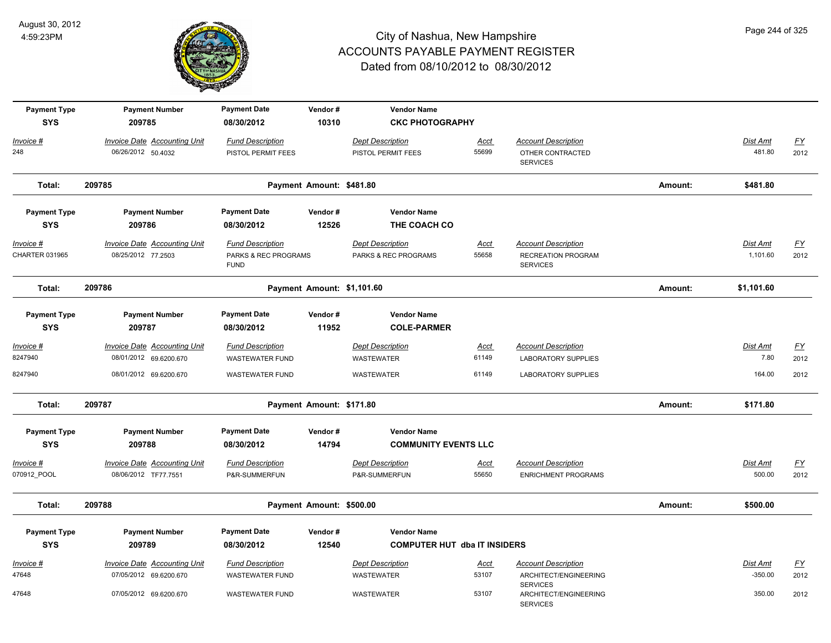

| <b>Payment Type</b> | <b>Payment Number</b>               | <b>Payment Date</b>                 | Vendor#                    | <b>Vendor Name</b>                  |             |                                          |         |                 |                           |
|---------------------|-------------------------------------|-------------------------------------|----------------------------|-------------------------------------|-------------|------------------------------------------|---------|-----------------|---------------------------|
| <b>SYS</b>          | 209785                              | 08/30/2012                          | 10310                      | <b>CKC PHOTOGRAPHY</b>              |             |                                          |         |                 |                           |
| Invoice #           | <b>Invoice Date Accounting Unit</b> | <b>Fund Description</b>             |                            | <b>Dept Description</b>             | <u>Acct</u> | <b>Account Description</b>               |         | Dist Amt        | $\underline{FY}$          |
| 248                 | 06/26/2012 50.4032                  | PISTOL PERMIT FEES                  |                            | PISTOL PERMIT FEES                  | 55699       | OTHER CONTRACTED<br><b>SERVICES</b>      |         | 481.80          | 2012                      |
| Total:              | 209785                              |                                     | Payment Amount: \$481.80   |                                     |             |                                          | Amount: | \$481.80        |                           |
| <b>Payment Type</b> | <b>Payment Number</b>               | <b>Payment Date</b>                 | Vendor#                    | <b>Vendor Name</b>                  |             |                                          |         |                 |                           |
| <b>SYS</b>          | 209786                              | 08/30/2012                          | 12526                      | THE COACH CO                        |             |                                          |         |                 |                           |
| Invoice #           | <b>Invoice Date Accounting Unit</b> | <b>Fund Description</b>             |                            | <b>Dept Description</b>             | <u>Acct</u> | <b>Account Description</b>               |         | <b>Dist Amt</b> | EY                        |
| CHARTER 031965      | 08/25/2012 77.2503                  | PARKS & REC PROGRAMS<br><b>FUND</b> |                            | PARKS & REC PROGRAMS                | 55658       | RECREATION PROGRAM<br><b>SERVICES</b>    |         | 1,101.60        | 2012                      |
| Total:              | 209786                              |                                     | Payment Amount: \$1,101.60 |                                     |             |                                          | Amount: | \$1,101.60      |                           |
| <b>Payment Type</b> | <b>Payment Number</b>               | <b>Payment Date</b>                 | Vendor#                    | <b>Vendor Name</b>                  |             |                                          |         |                 |                           |
| <b>SYS</b>          | 209787                              | 08/30/2012                          | 11952                      | <b>COLE-PARMER</b>                  |             |                                          |         |                 |                           |
| <u> Invoice #</u>   | <b>Invoice Date Accounting Unit</b> | <b>Fund Description</b>             |                            | <b>Dept Description</b>             | <u>Acct</u> | <b>Account Description</b>               |         | Dist Amt        | $\underline{FY}$          |
| 8247940             | 08/01/2012 69.6200.670              | <b>WASTEWATER FUND</b>              |                            | <b>WASTEWATER</b>                   | 61149       | <b>LABORATORY SUPPLIES</b>               |         | 7.80            | 2012                      |
| 8247940             | 08/01/2012 69.6200.670              | <b>WASTEWATER FUND</b>              |                            | WASTEWATER                          | 61149       | LABORATORY SUPPLIES                      |         | 164.00          | 2012                      |
| Total:              | 209787                              |                                     | Payment Amount: \$171.80   |                                     |             |                                          | Amount: | \$171.80        |                           |
| <b>Payment Type</b> | <b>Payment Number</b>               | <b>Payment Date</b>                 | Vendor#                    | <b>Vendor Name</b>                  |             |                                          |         |                 |                           |
| <b>SYS</b>          | 209788                              | 08/30/2012                          | 14794                      | <b>COMMUNITY EVENTS LLC</b>         |             |                                          |         |                 |                           |
| Invoice #           | <b>Invoice Date Accounting Unit</b> | <b>Fund Description</b>             |                            | <b>Dept Description</b>             | <u>Acct</u> | <b>Account Description</b>               |         | Dist Amt        | $\underline{FY}$          |
| 070912_POOL         | 08/06/2012 TF77.7551                | P&R-SUMMERFUN                       |                            | P&R-SUMMERFUN                       | 55650       | <b>ENRICHMENT PROGRAMS</b>               |         | 500.00          | 2012                      |
| Total:              | 209788                              |                                     | Payment Amount: \$500.00   |                                     |             |                                          | Amount: | \$500.00        |                           |
| <b>Payment Type</b> | <b>Payment Number</b>               | <b>Payment Date</b>                 | Vendor#                    | <b>Vendor Name</b>                  |             |                                          |         |                 |                           |
| <b>SYS</b>          | 209789                              | 08/30/2012                          | 12540                      | <b>COMPUTER HUT dba IT INSIDERS</b> |             |                                          |         |                 |                           |
| Invoice #           | <b>Invoice Date Accounting Unit</b> | <b>Fund Description</b>             |                            | <b>Dept Description</b>             | <u>Acct</u> | <b>Account Description</b>               |         | Dist Amt        | $\underline{\mathsf{FY}}$ |
| 47648               | 07/05/2012 69.6200.670              | <b>WASTEWATER FUND</b>              |                            | WASTEWATER                          | 53107       | ARCHITECT/ENGINEERING<br><b>SERVICES</b> |         | $-350.00$       | 2012                      |
| 47648               | 07/05/2012 69.6200.670              | <b>WASTEWATER FUND</b>              |                            | <b>WASTEWATER</b>                   | 53107       | ARCHITECT/ENGINEERING<br><b>SERVICES</b> |         | 350.00          | 2012                      |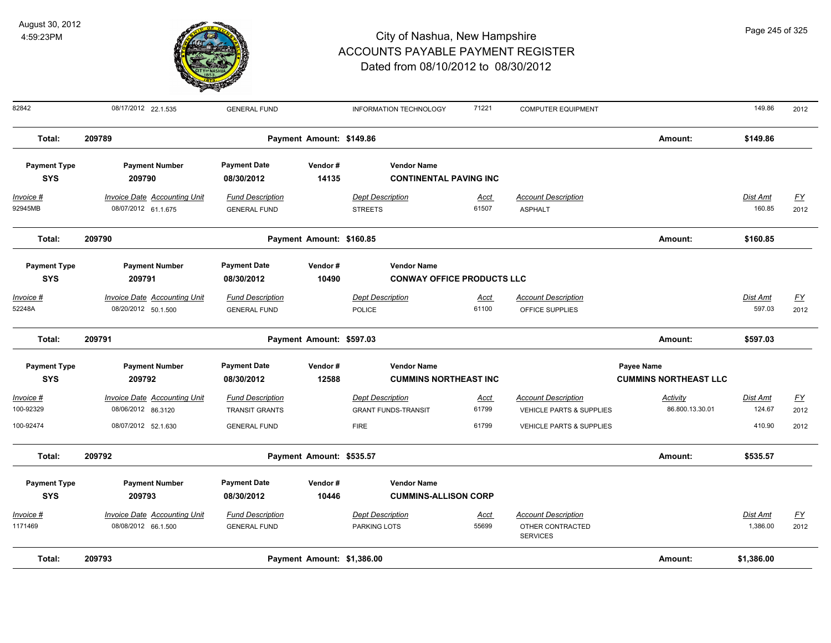

82842 08/17/2012 22.1.535 GENERAL FUND INFORMATION TECHNOLOGY 71221 COMPUTER EQUIPMENT 149.86 2012 **Total: 209789 Payment Amount: \$149.86 Amount: \$149.86 Payment Type Payment Number Payment Date Vendor # Vendor Name SYS 08/30/2012** *Invoice # Invoice Date Accounting Unit Fund Description Dept Description Acct Account Description Dist Amt FY*  **209790 14135 CONTINENTAL PAVING INC** 92945MB 08/07/2012 61.1.675 GENERAL FUND STREETS 61507 ASPHALT 160.85 2012 **Total: 209790 Payment Amount: \$160.85 Amount: \$160.85 Payment Type Payment Number Payment Date Vendor # Vendor Name SYS 08/30/2012** *Invoice # Invoice Date Accounting Unit Fund Description Dept Description Acct Account Description Dist Amt FY*  **209791 10490 CONWAY OFFICE PRODUCTS LLC** 52248A 08/20/2012 50.1.500 GENERAL FUND POLICE 61100 OFFICE SUPPLIES 597.03 2012 **Total: 209791 Payment Amount: \$597.03 Amount: \$597.03 Payment Type Payment Number Payment Date Vendor # Vendor Name Payee Name** *Activity* **SYS 08/30/2012** *Invoice # Invoice Date Accounting Unit Fund Description Dept Description Acct Account Description Dist Amt FY*  **209792 12588 CUMMINS NORTHEAST INC CUMMINS NORTHEAST LLC** 100-92329 08/06/2012 86.3120 TRANSIT GRANTS GRANT FUNDS-TRANSIT 61799 VEHICLE PARTS & SUPPLIES 86.800.13.30.01 124.67 2012 100-92474 08/07/2012 52.1.630 GENERAL FUND FIRE 61799 VEHICLE PARTS & SUPPLIES 410.90 2012 **Total: 209792 Payment Amount: \$535.57 Amount: \$535.57 Payment Type Payment Number Payment Date Vendor # Vendor Name SYS 08/30/2012** *Invoice # Invoice Date Accounting Unit Fund Description Dept Description Acct Account Description Dist Amt FY*  **209793 10446 CUMMINS-ALLISON CORP** 08/08/2012 66.1.500 GENERAL FUND PARKING LOTS 55699 OTHER CONTRACTED 2012 SERVICES 1171469 08/08/2012 66.1.500 GENERAL FUND PARKING LOTS 1,386.00 **Total: 209793 Payment Amount: \$1,386.00 Amount: \$1,386.00**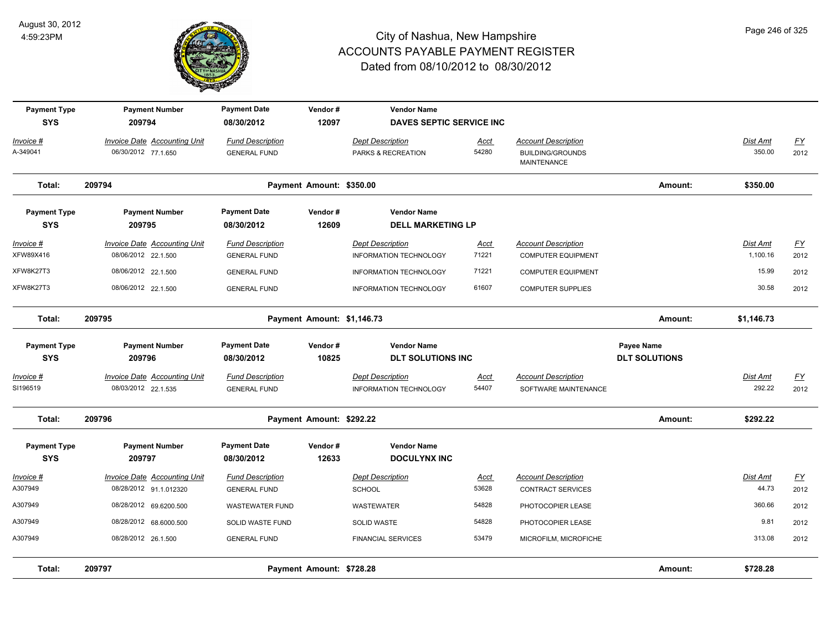

| <b>Payment Type</b><br><b>SYS</b> | <b>Payment Number</b><br>209794                               | <b>Payment Date</b><br>08/30/2012              | Vendor#<br>12097           | <b>Vendor Name</b><br><b>DAVES SEPTIC SERVICE INC</b>    |                      |                                                                             |                                    |                             |                                   |
|-----------------------------------|---------------------------------------------------------------|------------------------------------------------|----------------------------|----------------------------------------------------------|----------------------|-----------------------------------------------------------------------------|------------------------------------|-----------------------------|-----------------------------------|
| Invoice #<br>A-349041             | Invoice Date Accounting Unit<br>06/30/2012 77.1.650           | <b>Fund Description</b><br><b>GENERAL FUND</b> |                            | <b>Dept Description</b><br>PARKS & RECREATION            | Acct<br>54280        | <b>Account Description</b><br><b>BUILDING/GROUNDS</b><br><b>MAINTENANCE</b> |                                    | Dist Amt<br>350.00          | <u>FY</u><br>2012                 |
| Total:                            | 209794                                                        |                                                | Payment Amount: \$350.00   |                                                          |                      |                                                                             | Amount:                            | \$350.00                    |                                   |
| <b>Payment Type</b><br><b>SYS</b> | <b>Payment Number</b><br>209795                               | <b>Payment Date</b><br>08/30/2012              | Vendor#<br>12609           | <b>Vendor Name</b><br><b>DELL MARKETING LP</b>           |                      |                                                                             |                                    |                             |                                   |
| <u> Invoice #</u><br>XFW89X416    | <b>Invoice Date Accounting Unit</b><br>08/06/2012 22.1.500    | <b>Fund Description</b><br><b>GENERAL FUND</b> |                            | <b>Dept Description</b><br><b>INFORMATION TECHNOLOGY</b> | <b>Acct</b><br>71221 | <b>Account Description</b><br><b>COMPUTER EQUIPMENT</b>                     |                                    | <b>Dist Amt</b><br>1,100.16 | EY<br>2012                        |
| XFW8K27T3                         | 08/06/2012 22.1.500                                           | <b>GENERAL FUND</b>                            |                            | <b>INFORMATION TECHNOLOGY</b>                            | 71221                | <b>COMPUTER EQUIPMENT</b>                                                   |                                    | 15.99                       | 2012                              |
| XFW8K27T3                         | 08/06/2012 22.1.500                                           | <b>GENERAL FUND</b>                            |                            | <b>INFORMATION TECHNOLOGY</b>                            | 61607                | <b>COMPUTER SUPPLIES</b>                                                    |                                    | 30.58                       | 2012                              |
| Total:                            | 209795                                                        |                                                | Payment Amount: \$1,146.73 |                                                          |                      |                                                                             | Amount:                            | \$1,146.73                  |                                   |
| <b>Payment Type</b><br><b>SYS</b> | <b>Payment Number</b><br>209796                               | <b>Payment Date</b><br>08/30/2012              | Vendor#<br>10825           | <b>Vendor Name</b><br><b>DLT SOLUTIONS INC</b>           |                      |                                                                             | Payee Name<br><b>DLT SOLUTIONS</b> |                             |                                   |
| Invoice #<br>SI196519             | <b>Invoice Date Accounting Unit</b><br>08/03/2012 22.1.535    | <b>Fund Description</b><br><b>GENERAL FUND</b> |                            | <b>Dept Description</b><br><b>INFORMATION TECHNOLOGY</b> | Acct<br>54407        | <b>Account Description</b><br>SOFTWARE MAINTENANCE                          |                                    | Dist Amt<br>292.22          | <u>FY</u><br>2012                 |
| Total:                            | 209796                                                        |                                                | Payment Amount: \$292.22   |                                                          |                      |                                                                             | Amount:                            | \$292.22                    |                                   |
| <b>Payment Type</b><br><b>SYS</b> | <b>Payment Number</b><br>209797                               | <b>Payment Date</b><br>08/30/2012              | Vendor#<br>12633           | <b>Vendor Name</b><br><b>DOCULYNX INC</b>                |                      |                                                                             |                                    |                             |                                   |
| Invoice #<br>A307949              | <b>Invoice Date Accounting Unit</b><br>08/28/2012 91.1.012320 | <b>Fund Description</b><br><b>GENERAL FUND</b> |                            | <b>Dept Description</b><br><b>SCHOOL</b>                 | <u>Acct</u><br>53628 | <b>Account Description</b><br><b>CONTRACT SERVICES</b>                      |                                    | Dist Amt<br>44.73           | $\underline{\mathsf{FY}}$<br>2012 |
| A307949                           | 08/28/2012 69.6200.500                                        | WASTEWATER FUND                                |                            | <b>WASTEWATER</b>                                        | 54828                | PHOTOCOPIER LEASE                                                           |                                    | 360.66                      | 2012                              |
| A307949                           | 08/28/2012 68.6000.500                                        | SOLID WASTE FUND                               |                            | <b>SOLID WASTE</b>                                       | 54828                | PHOTOCOPIER LEASE                                                           |                                    | 9.81                        | 2012                              |
| A307949                           | 08/28/2012 26.1.500                                           | <b>GENERAL FUND</b>                            |                            | <b>FINANCIAL SERVICES</b>                                | 53479                | MICROFILM, MICROFICHE                                                       |                                    | 313.08                      | 2012                              |
| Total:                            | 209797                                                        |                                                | Payment Amount: \$728.28   |                                                          |                      |                                                                             | Amount:                            | \$728.28                    |                                   |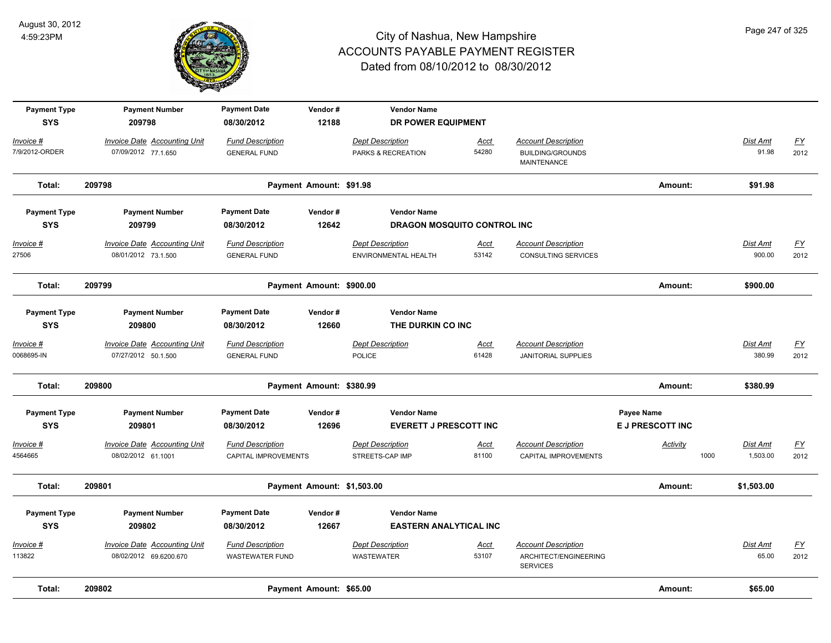

| <b>Payment Type</b><br><b>SYS</b> | <b>Payment Number</b><br>209798     | <b>Payment Date</b><br>08/30/2012 | Vendor#<br>12188           | <b>Vendor Name</b><br>DR POWER EQUIPMENT |             |                                          |                         |                  |                           |
|-----------------------------------|-------------------------------------|-----------------------------------|----------------------------|------------------------------------------|-------------|------------------------------------------|-------------------------|------------------|---------------------------|
| Invoice #                         | <b>Invoice Date Accounting Unit</b> | <b>Fund Description</b>           |                            | <b>Dept Description</b>                  | Acct        | <b>Account Description</b>               |                         | Dist Amt         | $\underline{FY}$          |
| 7/9/2012-ORDER                    | 07/09/2012 77.1.650                 | <b>GENERAL FUND</b>               |                            | PARKS & RECREATION                       | 54280       | <b>BUILDING/GROUNDS</b><br>MAINTENANCE   |                         | 91.98            | 2012                      |
| Total:                            | 209798                              |                                   | Payment Amount: \$91.98    |                                          |             |                                          | Amount:                 | \$91.98          |                           |
| <b>Payment Type</b>               | <b>Payment Number</b>               | <b>Payment Date</b>               | Vendor#                    | <b>Vendor Name</b>                       |             |                                          |                         |                  |                           |
| <b>SYS</b>                        | 209799                              | 08/30/2012                        | 12642                      | <b>DRAGON MOSQUITO CONTROL INC</b>       |             |                                          |                         |                  |                           |
| $Invoice$ #                       | <b>Invoice Date Accounting Unit</b> | <b>Fund Description</b>           |                            | <b>Dept Description</b>                  | <b>Acct</b> | <b>Account Description</b>               |                         | <b>Dist Amt</b>  | <u>FY</u>                 |
| 27506                             | 08/01/2012 73.1.500                 | <b>GENERAL FUND</b>               |                            | ENVIRONMENTAL HEALTH                     | 53142       | CONSULTING SERVICES                      |                         | 900.00           | 2012                      |
| Total:                            | 209799                              |                                   | Payment Amount: \$900.00   |                                          |             |                                          | Amount:                 | \$900.00         |                           |
| <b>Payment Type</b>               | <b>Payment Number</b>               | <b>Payment Date</b>               | Vendor#                    | <b>Vendor Name</b>                       |             |                                          |                         |                  |                           |
| <b>SYS</b>                        | 209800                              | 08/30/2012                        | 12660                      | THE DURKIN CO INC                        |             |                                          |                         |                  |                           |
| Invoice #                         | <b>Invoice Date Accounting Unit</b> | <b>Fund Description</b>           |                            | <b>Dept Description</b>                  | <b>Acct</b> | <b>Account Description</b>               |                         | Dist Amt         | $FY$                      |
| 0068695-IN                        | 07/27/2012 50.1.500                 | <b>GENERAL FUND</b>               |                            | <b>POLICE</b>                            | 61428       | <b>JANITORIAL SUPPLIES</b>               |                         | 380.99           | 2012                      |
| Total:                            | 209800                              |                                   | Payment Amount: \$380.99   |                                          |             |                                          | Amount:                 | \$380.99         |                           |
| <b>Payment Type</b>               | <b>Payment Number</b>               | <b>Payment Date</b>               | Vendor#                    | <b>Vendor Name</b>                       |             |                                          | Payee Name              |                  |                           |
| <b>SYS</b>                        | 209801                              | 08/30/2012                        | 12696                      | <b>EVERETT J PRESCOTT INC</b>            |             |                                          | <b>E J PRESCOTT INC</b> |                  |                           |
| Invoice #                         | Invoice Date Accounting Unit        | <b>Fund Description</b>           |                            | <b>Dept Description</b>                  | <b>Acct</b> | <b>Account Description</b>               | Activity                | Dist Amt         | <u>FY</u>                 |
| 4564665                           | 08/02/2012 61.1001                  | CAPITAL IMPROVEMENTS              |                            | STREETS-CAP IMP                          | 81100       | <b>CAPITAL IMPROVEMENTS</b>              |                         | 1000<br>1,503.00 | 2012                      |
| Total:                            | 209801                              |                                   | Payment Amount: \$1,503.00 |                                          |             |                                          | Amount:                 | \$1,503.00       |                           |
| <b>Payment Type</b>               | <b>Payment Number</b>               | <b>Payment Date</b>               | Vendor#                    | <b>Vendor Name</b>                       |             |                                          |                         |                  |                           |
| <b>SYS</b>                        | 209802                              | 08/30/2012                        | 12667                      | <b>EASTERN ANALYTICAL INC</b>            |             |                                          |                         |                  |                           |
| Invoice #                         | <b>Invoice Date Accounting Unit</b> | <b>Fund Description</b>           |                            | <b>Dept Description</b>                  | <b>Acct</b> | <b>Account Description</b>               |                         | Dist Amt         | $\underline{\mathsf{FY}}$ |
| 113822                            | 08/02/2012 69.6200.670              | <b>WASTEWATER FUND</b>            |                            | <b>WASTEWATER</b>                        | 53107       | ARCHITECT/ENGINEERING<br><b>SERVICES</b> |                         | 65.00            | 2012                      |
| Total:                            | 209802                              |                                   | Payment Amount: \$65.00    |                                          |             |                                          | Amount:                 | \$65.00          |                           |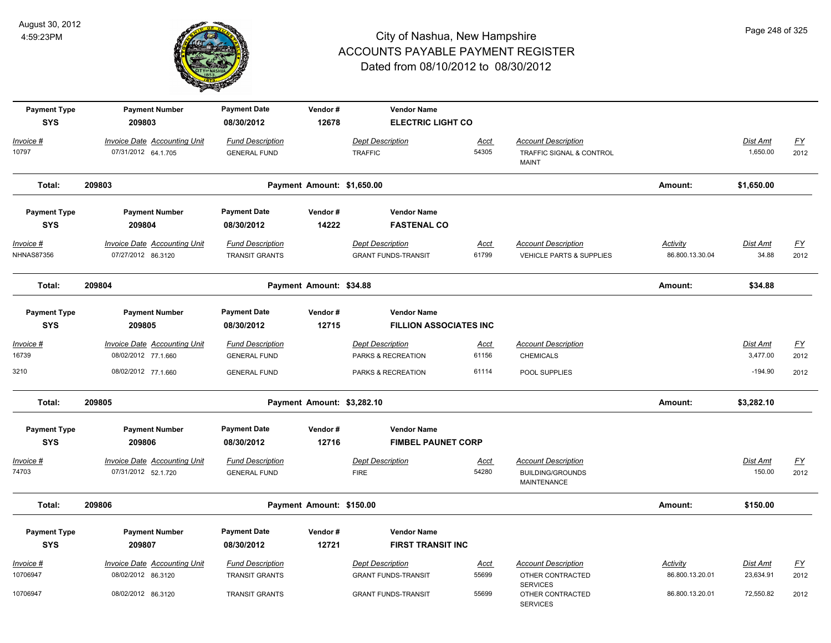

| <b>Payment Type</b>               | <b>Payment Number</b>                                                | <b>Payment Date</b>                                          | Vendor#                    | <b>Vendor Name</b>                                                    |                      |                                                                        |                                    |                          |                   |
|-----------------------------------|----------------------------------------------------------------------|--------------------------------------------------------------|----------------------------|-----------------------------------------------------------------------|----------------------|------------------------------------------------------------------------|------------------------------------|--------------------------|-------------------|
| <b>SYS</b><br>Invoice #<br>10797  | 209803<br><b>Invoice Date Accounting Unit</b><br>07/31/2012 64.1.705 | 08/30/2012<br><b>Fund Description</b><br><b>GENERAL FUND</b> | 12678                      | <b>ELECTRIC LIGHT CO</b><br><b>Dept Description</b><br><b>TRAFFIC</b> | Acct<br>54305        | <b>Account Description</b><br>TRAFFIC SIGNAL & CONTROL<br><b>MAINT</b> |                                    | Dist Amt<br>1,650.00     | <u>FY</u><br>2012 |
| Total:                            | 209803                                                               |                                                              | Payment Amount: \$1,650.00 |                                                                       |                      |                                                                        | Amount:                            | \$1,650.00               |                   |
| <b>Payment Type</b><br><b>SYS</b> | <b>Payment Number</b><br>209804                                      | <b>Payment Date</b><br>08/30/2012                            | Vendor#<br>14222           | <b>Vendor Name</b><br><b>FASTENAL CO</b>                              |                      |                                                                        |                                    |                          |                   |
| Invoice #<br><b>NHNAS87356</b>    | <b>Invoice Date Accounting Unit</b><br>07/27/2012 86.3120            | <b>Fund Description</b><br><b>TRANSIT GRANTS</b>             |                            | <b>Dept Description</b><br><b>GRANT FUNDS-TRANSIT</b>                 | <u>Acct</u><br>61799 | <b>Account Description</b><br><b>VEHICLE PARTS &amp; SUPPLIES</b>      | <u>Activity</u><br>86.800.13.30.04 | <u>Dist Amt</u><br>34.88 | <u>FY</u><br>2012 |
| Total:                            | 209804                                                               |                                                              | Payment Amount: \$34.88    |                                                                       |                      |                                                                        | Amount:                            | \$34.88                  |                   |
| <b>Payment Type</b><br><b>SYS</b> | <b>Payment Number</b><br>209805                                      | <b>Payment Date</b><br>08/30/2012                            | Vendor#<br>12715           | <b>Vendor Name</b><br><b>FILLION ASSOCIATES INC</b>                   |                      |                                                                        |                                    |                          |                   |
| Invoice #<br>16739                | <b>Invoice Date Accounting Unit</b><br>08/02/2012 77.1.660           | <b>Fund Description</b><br><b>GENERAL FUND</b>               |                            | <b>Dept Description</b><br>PARKS & RECREATION                         | Acct<br>61156        | <b>Account Description</b><br><b>CHEMICALS</b>                         |                                    | Dist Amt<br>3,477.00     | <u>FY</u><br>2012 |
| 3210                              | 08/02/2012 77.1.660                                                  | <b>GENERAL FUND</b>                                          |                            | PARKS & RECREATION                                                    | 61114                | POOL SUPPLIES                                                          |                                    | $-194.90$                | 2012              |
| Total:                            | 209805                                                               |                                                              | Payment Amount: \$3,282.10 |                                                                       |                      |                                                                        | Amount:                            | \$3,282.10               |                   |
| <b>Payment Type</b><br><b>SYS</b> | <b>Payment Number</b><br>209806                                      | <b>Payment Date</b><br>08/30/2012                            | Vendor#<br>12716           | <b>Vendor Name</b><br><b>FIMBEL PAUNET CORP</b>                       |                      |                                                                        |                                    |                          |                   |
| Invoice #<br>74703                | <b>Invoice Date Accounting Unit</b><br>07/31/2012 52.1.720           | <b>Fund Description</b><br><b>GENERAL FUND</b>               |                            | <b>Dept Description</b><br><b>FIRE</b>                                | Acct<br>54280        | <b>Account Description</b><br><b>BUILDING/GROUNDS</b><br>MAINTENANCE   |                                    | Dist Amt<br>150.00       | <u>FY</u><br>2012 |
| Total:                            | 209806                                                               |                                                              | Payment Amount: \$150.00   |                                                                       |                      |                                                                        | Amount:                            | \$150.00                 |                   |
| <b>Payment Type</b><br><b>SYS</b> | <b>Payment Number</b><br>209807                                      | <b>Payment Date</b><br>08/30/2012                            | Vendor#<br>12721           | <b>Vendor Name</b><br><b>FIRST TRANSIT INC</b>                        |                      |                                                                        |                                    |                          |                   |
| Invoice #                         | <b>Invoice Date Accounting Unit</b>                                  | <b>Fund Description</b>                                      |                            | <b>Dept Description</b>                                               | Acct                 | <b>Account Description</b>                                             | <b>Activity</b>                    | Dist Amt                 | <u>FY</u>         |
| 10706947                          | 08/02/2012 86.3120                                                   | <b>TRANSIT GRANTS</b>                                        |                            | <b>GRANT FUNDS-TRANSIT</b>                                            | 55699                | OTHER CONTRACTED<br><b>SERVICES</b>                                    | 86.800.13.20.01                    | 23,634.91                | 2012              |
| 10706947                          | 08/02/2012 86.3120                                                   | <b>TRANSIT GRANTS</b>                                        |                            | <b>GRANT FUNDS-TRANSIT</b>                                            | 55699                | OTHER CONTRACTED<br><b>SERVICES</b>                                    | 86.800.13.20.01                    | 72,550.82                | 2012              |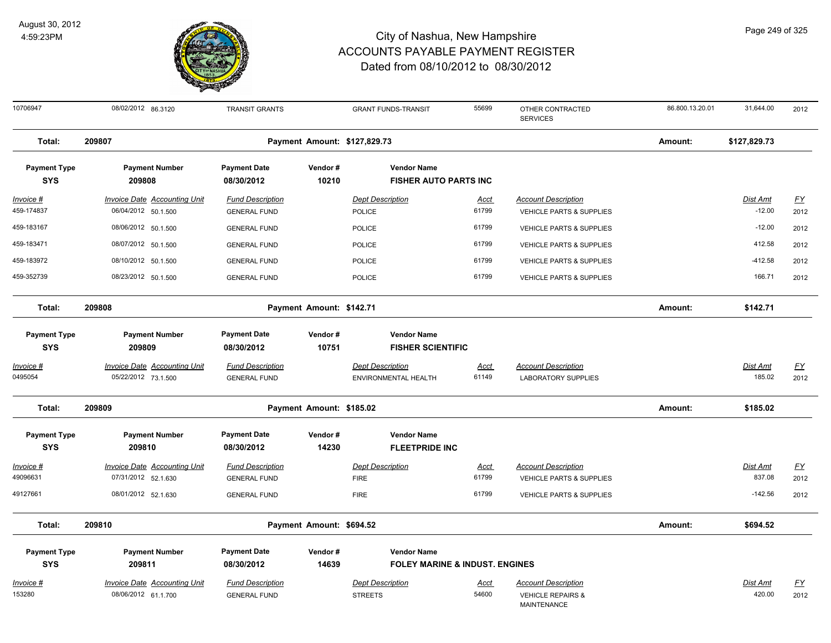

| 10706947                          | 08/02/2012 86.3120                  | <b>TRANSIT GRANTS</b>             |                              | <b>GRANT FUNDS-TRANSIT</b>                     | 55699       | OTHER CONTRACTED<br><b>SERVICES</b>         | 86.800.13.20.01 | 31,644.00       | 2012      |
|-----------------------------------|-------------------------------------|-----------------------------------|------------------------------|------------------------------------------------|-------------|---------------------------------------------|-----------------|-----------------|-----------|
| Total:                            | 209807                              |                                   | Payment Amount: \$127,829.73 |                                                |             |                                             | Amount:         | \$127,829.73    |           |
| <b>Payment Type</b>               | <b>Payment Number</b>               | <b>Payment Date</b>               | Vendor#                      | <b>Vendor Name</b>                             |             |                                             |                 |                 |           |
| <b>SYS</b>                        | 209808                              | 08/30/2012                        | 10210                        | <b>FISHER AUTO PARTS INC</b>                   |             |                                             |                 |                 |           |
| $Invoice$ #                       | <b>Invoice Date Accounting Unit</b> | <b>Fund Description</b>           |                              | <b>Dept Description</b>                        | <u>Acct</u> | <b>Account Description</b>                  |                 | <b>Dist Amt</b> | <u>FY</u> |
| 459-174837                        | 06/04/2012 50.1.500                 | <b>GENERAL FUND</b>               |                              | <b>POLICE</b>                                  | 61799       | <b>VEHICLE PARTS &amp; SUPPLIES</b>         |                 | $-12.00$        | 2012      |
| 459-183167                        | 08/06/2012 50.1.500                 | <b>GENERAL FUND</b>               |                              | <b>POLICE</b>                                  | 61799       | <b>VEHICLE PARTS &amp; SUPPLIES</b>         |                 | $-12.00$        | 2012      |
| 459-183471                        | 08/07/2012 50.1.500                 | <b>GENERAL FUND</b>               |                              | <b>POLICE</b>                                  | 61799       | <b>VEHICLE PARTS &amp; SUPPLIES</b>         |                 | 412.58          | 2012      |
| 459-183972                        | 08/10/2012 50.1.500                 | <b>GENERAL FUND</b>               |                              | <b>POLICE</b>                                  | 61799       | <b>VEHICLE PARTS &amp; SUPPLIES</b>         |                 | $-412.58$       | 2012      |
| 459-352739                        | 08/23/2012 50.1.500                 | <b>GENERAL FUND</b>               |                              | <b>POLICE</b>                                  | 61799       | <b>VEHICLE PARTS &amp; SUPPLIES</b>         |                 | 166.71          | 2012      |
| Total:                            | 209808                              |                                   | Payment Amount: \$142.71     |                                                |             |                                             | Amount:         | \$142.71        |           |
| <b>Payment Type</b><br><b>SYS</b> | <b>Payment Number</b><br>209809     | <b>Payment Date</b><br>08/30/2012 | Vendor#<br>10751             | <b>Vendor Name</b><br><b>FISHER SCIENTIFIC</b> |             |                                             |                 |                 |           |
| Invoice #                         | <b>Invoice Date Accounting Unit</b> | <b>Fund Description</b>           |                              | <b>Dept Description</b>                        | <u>Acct</u> | <b>Account Description</b>                  |                 | Dist Amt        | <u>FY</u> |
| 0495054                           | 05/22/2012 73.1.500                 | <b>GENERAL FUND</b>               |                              | ENVIRONMENTAL HEALTH                           | 61149       | <b>LABORATORY SUPPLIES</b>                  |                 | 185.02          | 2012      |
| Total:                            | 209809                              |                                   | Payment Amount: \$185.02     |                                                |             |                                             | Amount:         | \$185.02        |           |
| <b>Payment Type</b>               | <b>Payment Number</b>               | <b>Payment Date</b>               | Vendor#                      | <b>Vendor Name</b>                             |             |                                             |                 |                 |           |
| <b>SYS</b>                        | 209810                              | 08/30/2012                        | 14230                        | <b>FLEETPRIDE INC</b>                          |             |                                             |                 |                 |           |
| Invoice #                         | Invoice Date Accounting Unit        | <b>Fund Description</b>           |                              | <b>Dept Description</b>                        | Acct        | <b>Account Description</b>                  |                 | Dist Amt        | <u>FY</u> |
| 49096631                          | 07/31/2012 52.1.630                 | <b>GENERAL FUND</b>               |                              | <b>FIRE</b>                                    | 61799       | <b>VEHICLE PARTS &amp; SUPPLIES</b>         |                 | 837.08          | 2012      |
| 49127661                          | 08/01/2012 52.1.630                 | <b>GENERAL FUND</b>               |                              | <b>FIRE</b>                                    | 61799       | <b>VEHICLE PARTS &amp; SUPPLIES</b>         |                 | $-142.56$       | 2012      |
| Total:                            | 209810                              |                                   | Payment Amount: \$694.52     |                                                |             |                                             | Amount:         | \$694.52        |           |
| <b>Payment Type</b>               | <b>Payment Number</b>               | <b>Payment Date</b>               | Vendor#                      | <b>Vendor Name</b>                             |             |                                             |                 |                 |           |
| <b>SYS</b>                        | 209811                              | 08/30/2012                        | 14639                        | <b>FOLEY MARINE &amp; INDUST, ENGINES</b>      |             |                                             |                 |                 |           |
| Invoice #                         | <b>Invoice Date Accounting Unit</b> | <b>Fund Description</b>           |                              | <b>Dept Description</b>                        | <b>Acct</b> | <b>Account Description</b>                  |                 | Dist Amt        | <u>FY</u> |
| 153280                            | 08/06/2012 61.1.700                 | <b>GENERAL FUND</b>               |                              | <b>STREETS</b>                                 | 54600       | <b>VEHICLE REPAIRS &amp;</b><br>MAINTENANCE |                 | 420.00          | 2012      |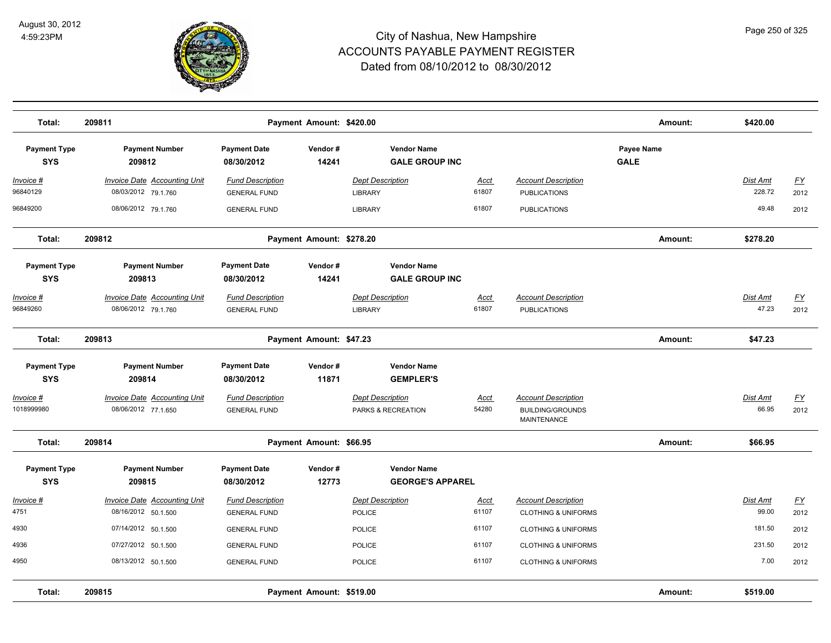

| Total:                            | 209811                                                     |                                                | Payment Amount: \$420.00 |                                               |                      |                                                                             | Amount:                   | \$420.00                  |                   |
|-----------------------------------|------------------------------------------------------------|------------------------------------------------|--------------------------|-----------------------------------------------|----------------------|-----------------------------------------------------------------------------|---------------------------|---------------------------|-------------------|
| <b>Payment Type</b><br><b>SYS</b> | <b>Payment Number</b><br>209812                            | <b>Payment Date</b><br>08/30/2012              | Vendor#<br>14241         | <b>Vendor Name</b><br><b>GALE GROUP INC</b>   |                      |                                                                             | Payee Name<br><b>GALE</b> |                           |                   |
| Invoice #<br>96840129             | <b>Invoice Date Accounting Unit</b><br>08/03/2012 79.1.760 | <b>Fund Description</b><br><b>GENERAL FUND</b> |                          | <b>Dept Description</b><br><b>LIBRARY</b>     | <u>Acct</u><br>61807 | <b>Account Description</b><br><b>PUBLICATIONS</b>                           |                           | <b>Dist Amt</b><br>228.72 | <u>FY</u><br>2012 |
| 96849200                          | 08/06/2012 79.1.760                                        | <b>GENERAL FUND</b>                            |                          | <b>LIBRARY</b>                                | 61807                | <b>PUBLICATIONS</b>                                                         |                           | 49.48                     | 2012              |
| Total:                            | 209812                                                     |                                                | Payment Amount: \$278.20 |                                               |                      |                                                                             | Amount:                   | \$278.20                  |                   |
| <b>Payment Type</b><br><b>SYS</b> | <b>Payment Number</b><br>209813                            | <b>Payment Date</b><br>08/30/2012              | Vendor#<br>14241         | <b>Vendor Name</b><br><b>GALE GROUP INC</b>   |                      |                                                                             |                           |                           |                   |
| Invoice #<br>96849260             | Invoice Date Accounting Unit<br>08/06/2012 79.1.760        | <b>Fund Description</b><br><b>GENERAL FUND</b> |                          | <b>Dept Description</b><br><b>LIBRARY</b>     | Acct<br>61807        | <b>Account Description</b><br><b>PUBLICATIONS</b>                           |                           | Dist Amt<br>47.23         | EY<br>2012        |
| Total:                            | 209813                                                     |                                                | Payment Amount: \$47.23  |                                               |                      |                                                                             | Amount:                   | \$47.23                   |                   |
| <b>Payment Type</b><br><b>SYS</b> | <b>Payment Number</b><br>209814                            | <b>Payment Date</b><br>08/30/2012              | Vendor#<br>11871         | <b>Vendor Name</b><br><b>GEMPLER'S</b>        |                      |                                                                             |                           |                           |                   |
| Invoice #<br>1018999980           | <b>Invoice Date Accounting Unit</b><br>08/06/2012 77.1.650 | <b>Fund Description</b><br><b>GENERAL FUND</b> |                          | <b>Dept Description</b><br>PARKS & RECREATION | Acct<br>54280        | <b>Account Description</b><br><b>BUILDING/GROUNDS</b><br><b>MAINTENANCE</b> |                           | Dist Amt<br>66.95         | EY<br>2012        |
| Total:                            | 209814                                                     |                                                | Payment Amount: \$66.95  |                                               |                      |                                                                             | Amount:                   | \$66.95                   |                   |
| <b>Payment Type</b><br><b>SYS</b> | <b>Payment Number</b><br>209815                            | <b>Payment Date</b><br>08/30/2012              | Vendor#<br>12773         | <b>Vendor Name</b><br><b>GEORGE'S APPAREL</b> |                      |                                                                             |                           |                           |                   |
| Invoice #<br>4751                 | <b>Invoice Date Accounting Unit</b><br>08/16/2012 50.1.500 | <b>Fund Description</b><br><b>GENERAL FUND</b> |                          | <b>Dept Description</b><br>POLICE             | Acct<br>61107        | <b>Account Description</b><br><b>CLOTHING &amp; UNIFORMS</b>                |                           | Dist Amt<br>99.00         | EY<br>2012        |
| 4930                              | 07/14/2012 50.1.500                                        | <b>GENERAL FUND</b>                            |                          | POLICE                                        | 61107                | <b>CLOTHING &amp; UNIFORMS</b>                                              |                           | 181.50                    | 2012              |
| 4936                              | 07/27/2012 50.1.500                                        | <b>GENERAL FUND</b>                            |                          | <b>POLICE</b>                                 | 61107                | <b>CLOTHING &amp; UNIFORMS</b>                                              |                           | 231.50                    | 2012              |
| 4950                              | 08/13/2012 50.1.500                                        | <b>GENERAL FUND</b>                            |                          | <b>POLICE</b>                                 | 61107                | <b>CLOTHING &amp; UNIFORMS</b>                                              |                           | 7.00                      | 2012              |
| Total:                            | 209815                                                     |                                                | Payment Amount: \$519.00 |                                               |                      |                                                                             | Amount:                   | \$519.00                  |                   |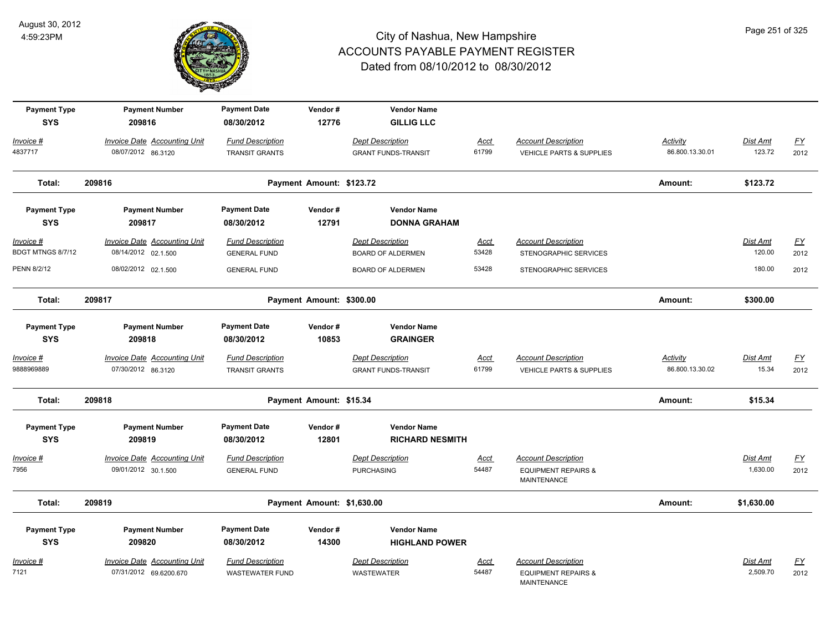

| <b>Payment Type</b><br><b>SYS</b> | <b>Payment Number</b><br>209816     | <b>Payment Date</b><br>08/30/2012 | Vendor#<br>12776           | <b>Vendor Name</b><br><b>GILLIG LLC</b>      |             |                                                      |                 |                 |           |
|-----------------------------------|-------------------------------------|-----------------------------------|----------------------------|----------------------------------------------|-------------|------------------------------------------------------|-----------------|-----------------|-----------|
| <u> Invoice #</u>                 | <b>Invoice Date Accounting Unit</b> | <b>Fund Description</b>           |                            | <b>Dept Description</b>                      | <b>Acct</b> | <b>Account Description</b>                           | <b>Activity</b> | <b>Dist Amt</b> | <u>FY</u> |
| 4837717                           | 08/07/2012 86.3120                  | <b>TRANSIT GRANTS</b>             |                            | <b>GRANT FUNDS-TRANSIT</b>                   | 61799       | VEHICLE PARTS & SUPPLIES                             | 86.800.13.30.01 | 123.72          | 2012      |
| Total:                            | 209816                              |                                   | Payment Amount: \$123.72   |                                              |             |                                                      | Amount:         | \$123.72        |           |
| <b>Payment Type</b><br><b>SYS</b> | <b>Payment Number</b><br>209817     | <b>Payment Date</b><br>08/30/2012 | Vendor#<br>12791           | <b>Vendor Name</b><br><b>DONNA GRAHAM</b>    |             |                                                      |                 |                 |           |
| <u> Invoice #</u>                 | <b>Invoice Date Accounting Unit</b> | <b>Fund Description</b>           |                            | <b>Dept Description</b>                      | <u>Acct</u> | <b>Account Description</b>                           |                 | Dist Amt        | <u>FY</u> |
| BDGT MTNGS 8/7/12                 | 08/14/2012 02.1.500                 | <b>GENERAL FUND</b>               |                            | <b>BOARD OF ALDERMEN</b>                     | 53428       | STENOGRAPHIC SERVICES                                |                 | 120.00          | 2012      |
| PENN 8/2/12                       | 08/02/2012 02.1.500                 | <b>GENERAL FUND</b>               |                            | <b>BOARD OF ALDERMEN</b>                     | 53428       | STENOGRAPHIC SERVICES                                |                 | 180.00          | 2012      |
| Total:                            | 209817                              |                                   | Payment Amount: \$300.00   |                                              |             |                                                      | Amount:         | \$300.00        |           |
| <b>Payment Type</b><br><b>SYS</b> | <b>Payment Number</b><br>209818     | <b>Payment Date</b><br>08/30/2012 | Vendor#<br>10853           | <b>Vendor Name</b><br><b>GRAINGER</b>        |             |                                                      |                 |                 |           |
| Invoice #                         | <b>Invoice Date Accounting Unit</b> | <b>Fund Description</b>           |                            | <b>Dept Description</b>                      | Acct        | <b>Account Description</b>                           | Activity        | Dist Amt        | <u>FY</u> |
| 9888969889                        | 07/30/2012 86.3120                  | <b>TRANSIT GRANTS</b>             |                            | <b>GRANT FUNDS-TRANSIT</b>                   | 61799       | <b>VEHICLE PARTS &amp; SUPPLIES</b>                  | 86.800.13.30.02 | 15.34           | 2012      |
| Total:                            | 209818                              |                                   | Payment Amount: \$15.34    |                                              |             |                                                      | Amount:         | \$15.34         |           |
| <b>Payment Type</b><br><b>SYS</b> | <b>Payment Number</b><br>209819     | <b>Payment Date</b><br>08/30/2012 | Vendor#<br>12801           | <b>Vendor Name</b><br><b>RICHARD NESMITH</b> |             |                                                      |                 |                 |           |
| Invoice #                         | <b>Invoice Date Accounting Unit</b> | <b>Fund Description</b>           |                            | <b>Dept Description</b>                      | Acct        | <b>Account Description</b>                           |                 | Dist Amt        | <u>FY</u> |
| 7956                              | 09/01/2012 30.1.500                 | <b>GENERAL FUND</b>               |                            | <b>PURCHASING</b>                            | 54487       | <b>EQUIPMENT REPAIRS &amp;</b><br><b>MAINTENANCE</b> |                 | 1,630.00        | 2012      |
| Total:                            | 209819                              |                                   | Payment Amount: \$1,630.00 |                                              |             |                                                      | Amount:         | \$1,630.00      |           |
| <b>Payment Type</b>               | <b>Payment Number</b>               | <b>Payment Date</b>               | Vendor#                    | <b>Vendor Name</b>                           |             |                                                      |                 |                 |           |
| <b>SYS</b>                        | 209820                              | 08/30/2012                        | 14300                      | <b>HIGHLAND POWER</b>                        |             |                                                      |                 |                 |           |
| Invoice #                         | <b>Invoice Date Accounting Unit</b> | <b>Fund Description</b>           |                            | <b>Dept Description</b>                      | Acct        | <b>Account Description</b>                           |                 | Dist Amt        | <u>FY</u> |
| 7121                              | 07/31/2012 69.6200.670              | <b>WASTEWATER FUND</b>            |                            | <b>WASTEWATER</b>                            | 54487       | <b>EQUIPMENT REPAIRS &amp;</b><br><b>MAINTENANCE</b> |                 | 2,509.70        | 2012      |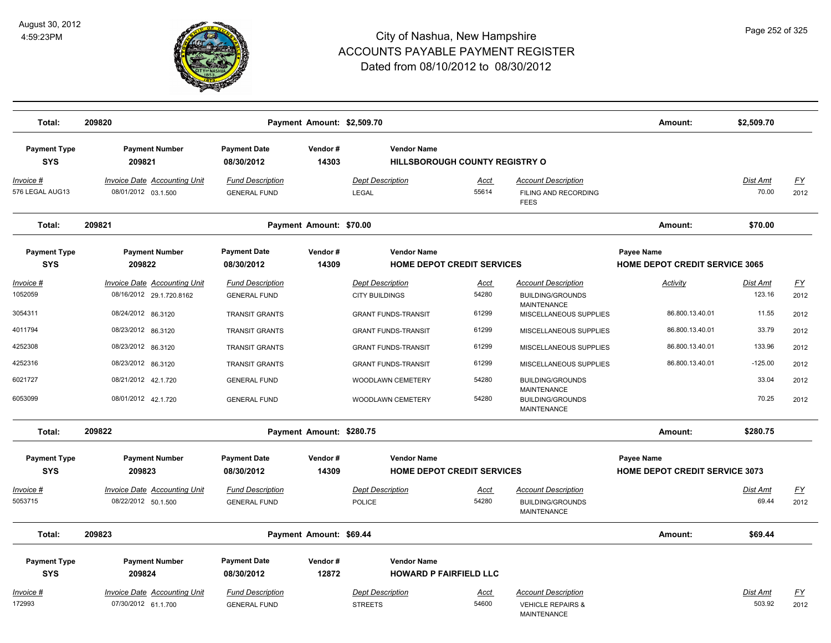

| Total:                            | 209820                                                          |                                                | Payment Amount: \$2,509.70 |                                                             |               |                                                                                  | Amount:                                             | \$2,509.70         |                   |
|-----------------------------------|-----------------------------------------------------------------|------------------------------------------------|----------------------------|-------------------------------------------------------------|---------------|----------------------------------------------------------------------------------|-----------------------------------------------------|--------------------|-------------------|
| <b>Payment Type</b><br><b>SYS</b> | <b>Payment Number</b><br>209821                                 | <b>Payment Date</b><br>08/30/2012              | Vendor#<br>14303           | <b>Vendor Name</b><br><b>HILLSBOROUGH COUNTY REGISTRY O</b> |               |                                                                                  |                                                     |                    |                   |
| Invoice #<br>576 LEGAL AUG13      | <b>Invoice Date Accounting Unit</b><br>08/01/2012 03.1.500      | <b>Fund Description</b><br><b>GENERAL FUND</b> |                            | <b>Dept Description</b><br><b>LEGAL</b>                     | Acct<br>55614 | <b>Account Description</b><br>FILING AND RECORDING<br><b>FEES</b>                |                                                     | Dist Amt<br>70.00  | <u>FY</u><br>2012 |
| Total:                            | 209821                                                          |                                                | Payment Amount: \$70.00    |                                                             |               |                                                                                  | Amount:                                             | \$70.00            |                   |
| <b>Payment Type</b><br><b>SYS</b> | <b>Payment Number</b>                                           | <b>Payment Date</b>                            | Vendor#                    | <b>Vendor Name</b>                                          |               |                                                                                  | <b>Payee Name</b>                                   |                    |                   |
|                                   | 209822                                                          | 08/30/2012                                     | 14309                      | <b>HOME DEPOT CREDIT SERVICES</b>                           |               |                                                                                  | <b>HOME DEPOT CREDIT SERVICE 3065</b>               |                    |                   |
| Invoice #<br>1052059              | <b>Invoice Date Accounting Unit</b><br>08/16/2012 29.1.720.8162 | <b>Fund Description</b><br><b>GENERAL FUND</b> |                            | <b>Dept Description</b><br><b>CITY BUILDINGS</b>            | Acct<br>54280 | <b>Account Description</b><br><b>BUILDING/GROUNDS</b><br><b>MAINTENANCE</b>      | Activity                                            | Dist Amt<br>123.16 | <u>FY</u><br>2012 |
| 3054311                           | 08/24/2012 86.3120                                              | <b>TRANSIT GRANTS</b>                          |                            | <b>GRANT FUNDS-TRANSIT</b>                                  | 61299         | MISCELLANEOUS SUPPLIES                                                           | 86.800.13.40.01                                     | 11.55              | 2012              |
| 4011794                           | 08/23/2012 86.3120                                              | <b>TRANSIT GRANTS</b>                          |                            | <b>GRANT FUNDS-TRANSIT</b>                                  | 61299         | MISCELLANEOUS SUPPLIES                                                           | 86.800.13.40.01                                     | 33.79              | 2012              |
| 4252308                           | 08/23/2012 86.3120                                              | TRANSIT GRANTS                                 |                            | <b>GRANT FUNDS-TRANSIT</b>                                  | 61299         | MISCELLANEOUS SUPPLIES                                                           | 86.800.13.40.01                                     | 133.96             | 2012              |
| 4252316                           | 08/23/2012 86.3120                                              | TRANSIT GRANTS                                 |                            | <b>GRANT FUNDS-TRANSIT</b>                                  | 61299         | MISCELLANEOUS SUPPLIES                                                           | 86.800.13.40.01                                     | $-125.00$          | 2012              |
| 6021727                           | 08/21/2012 42.1.720                                             | <b>GENERAL FUND</b>                            |                            | WOODLAWN CEMETERY                                           | 54280         | <b>BUILDING/GROUNDS</b>                                                          |                                                     | 33.04              | 2012              |
| 6053099                           | 08/01/2012 42.1.720                                             | <b>GENERAL FUND</b>                            |                            | WOODLAWN CEMETERY                                           | 54280         | <b>MAINTENANCE</b><br><b>BUILDING/GROUNDS</b><br><b>MAINTENANCE</b>              |                                                     | 70.25              | 2012              |
| Total:                            | 209822                                                          |                                                | Payment Amount: \$280.75   |                                                             |               |                                                                                  | Amount:                                             | \$280.75           |                   |
| <b>Payment Type</b><br><b>SYS</b> | <b>Payment Number</b><br>209823                                 | <b>Payment Date</b><br>08/30/2012              | Vendor#<br>14309           | <b>Vendor Name</b><br><b>HOME DEPOT CREDIT SERVICES</b>     |               |                                                                                  | Payee Name<br><b>HOME DEPOT CREDIT SERVICE 3073</b> |                    |                   |
| <u>Invoice #</u><br>5053715       | <b>Invoice Date Accounting Unit</b><br>08/22/2012 50.1.500      | <b>Fund Description</b><br><b>GENERAL FUND</b> |                            | <b>Dept Description</b><br><b>POLICE</b>                    | Acct<br>54280 | <b>Account Description</b><br><b>BUILDING/GROUNDS</b><br>MAINTENANCE             |                                                     | Dist Amt<br>69.44  | EY<br>2012        |
| Total:                            | 209823                                                          |                                                | Payment Amount: \$69.44    |                                                             |               |                                                                                  | Amount:                                             | \$69.44            |                   |
| <b>Payment Type</b><br><b>SYS</b> | <b>Payment Number</b><br>209824                                 | <b>Payment Date</b><br>08/30/2012              | Vendor#<br>12872           | <b>Vendor Name</b><br><b>HOWARD P FAIRFIELD LLC</b>         |               |                                                                                  |                                                     |                    |                   |
| Invoice #<br>172993               | <b>Invoice Date Accounting Unit</b><br>07/30/2012 61.1.700      | <b>Fund Description</b><br><b>GENERAL FUND</b> |                            | <b>Dept Description</b><br><b>STREETS</b>                   | Acct<br>54600 | <b>Account Description</b><br><b>VEHICLE REPAIRS &amp;</b><br><b>MAINTENANCE</b> |                                                     | Dist Amt<br>503.92 | <u>FY</u><br>2012 |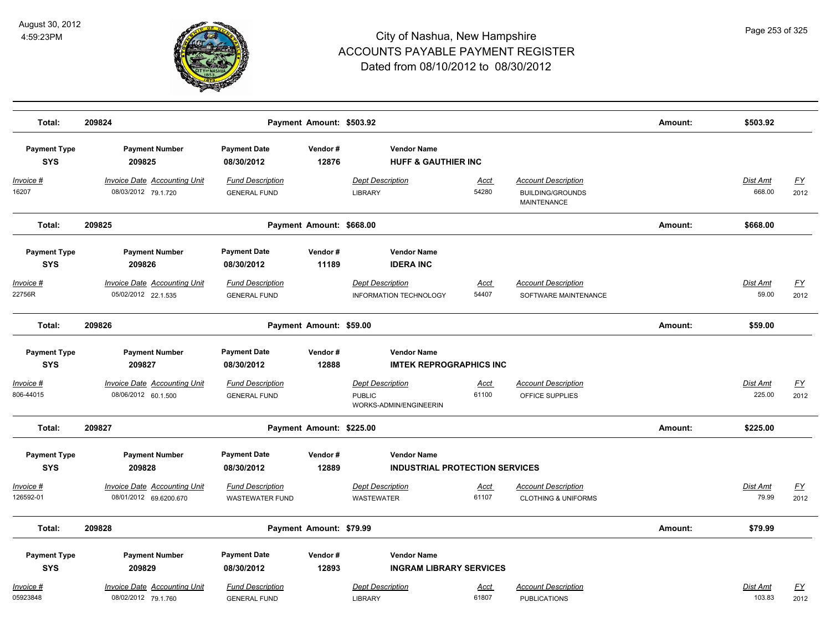

| Total:                            | 209824                                                        |                                                   | Payment Amount: \$503.92 |                                                                    |                      |                                                                             | Amount: | \$503.92                  |                   |
|-----------------------------------|---------------------------------------------------------------|---------------------------------------------------|--------------------------|--------------------------------------------------------------------|----------------------|-----------------------------------------------------------------------------|---------|---------------------------|-------------------|
| <b>Payment Type</b><br><b>SYS</b> | <b>Payment Number</b><br>209825                               | <b>Payment Date</b><br>08/30/2012                 | Vendor#<br>12876         | <b>Vendor Name</b><br><b>HUFF &amp; GAUTHIER INC</b>               |                      |                                                                             |         |                           |                   |
| <u> Invoice #</u><br>16207        | <b>Invoice Date Accounting Unit</b><br>08/03/2012 79.1.720    | <b>Fund Description</b><br><b>GENERAL FUND</b>    |                          | <b>Dept Description</b><br><b>LIBRARY</b>                          | <u>Acct</u><br>54280 | <b>Account Description</b><br><b>BUILDING/GROUNDS</b><br><b>MAINTENANCE</b> |         | <b>Dist Amt</b><br>668.00 | <u>FY</u><br>2012 |
| Total:                            | 209825                                                        |                                                   | Payment Amount: \$668.00 |                                                                    |                      |                                                                             | Amount: | \$668.00                  |                   |
| <b>Payment Type</b><br><b>SYS</b> | <b>Payment Number</b><br>209826                               | <b>Payment Date</b><br>08/30/2012                 | Vendor#<br>11189         | <b>Vendor Name</b><br><b>IDERA INC</b>                             |                      |                                                                             |         |                           |                   |
| Invoice #<br>22756R               | <b>Invoice Date Accounting Unit</b><br>05/02/2012 22.1.535    | <b>Fund Description</b><br><b>GENERAL FUND</b>    |                          | <b>Dept Description</b><br><b>INFORMATION TECHNOLOGY</b>           | <b>Acct</b><br>54407 | <b>Account Description</b><br>SOFTWARE MAINTENANCE                          |         | Dist Amt<br>59.00         | EY<br>2012        |
| Total:                            | 209826                                                        |                                                   | Payment Amount: \$59.00  |                                                                    |                      |                                                                             | Amount: | \$59.00                   |                   |
| <b>Payment Type</b><br><b>SYS</b> | <b>Payment Number</b><br>209827                               | <b>Payment Date</b><br>08/30/2012                 | Vendor#<br>12888         | <b>Vendor Name</b><br><b>IMTEK REPROGRAPHICS INC</b>               |                      |                                                                             |         |                           |                   |
| <u> Invoice #</u><br>806-44015    | <b>Invoice Date Accounting Unit</b><br>08/06/2012 60.1.500    | <b>Fund Description</b><br><b>GENERAL FUND</b>    |                          | <b>Dept Description</b><br><b>PUBLIC</b><br>WORKS-ADMIN/ENGINEERIN | Acct<br>61100        | <b>Account Description</b><br>OFFICE SUPPLIES                               |         | Dist Amt<br>225.00        | <u>FY</u><br>2012 |
| Total:                            | 209827                                                        |                                                   | Payment Amount: \$225.00 |                                                                    |                      |                                                                             | Amount: | \$225.00                  |                   |
| <b>Payment Type</b><br><b>SYS</b> | <b>Payment Number</b><br>209828                               | <b>Payment Date</b><br>08/30/2012                 | Vendor#<br>12889         | <b>Vendor Name</b><br><b>INDUSTRIAL PROTECTION SERVICES</b>        |                      |                                                                             |         |                           |                   |
| <u> Invoice #</u><br>126592-01    | <b>Invoice Date Accounting Unit</b><br>08/01/2012 69.6200.670 | <b>Fund Description</b><br><b>WASTEWATER FUND</b> |                          | <b>Dept Description</b><br><b>WASTEWATER</b>                       | Acct<br>61107        | <b>Account Description</b><br><b>CLOTHING &amp; UNIFORMS</b>                |         | Dist Amt<br>79.99         | <u>FY</u><br>2012 |
| Total:                            | 209828                                                        |                                                   | Payment Amount: \$79.99  |                                                                    |                      |                                                                             | Amount: | \$79.99                   |                   |
| <b>Payment Type</b><br><b>SYS</b> | <b>Payment Number</b><br>209829                               | <b>Payment Date</b><br>08/30/2012                 | Vendor#<br>12893         | <b>Vendor Name</b><br><b>INGRAM LIBRARY SERVICES</b>               |                      |                                                                             |         |                           |                   |
| Invoice #<br>05923848             | <b>Invoice Date Accounting Unit</b><br>08/02/2012 79.1.760    | <b>Fund Description</b><br><b>GENERAL FUND</b>    |                          | <b>Dept Description</b><br><b>LIBRARY</b>                          | <u>Acct</u><br>61807 | <b>Account Description</b><br><b>PUBLICATIONS</b>                           |         | Dist Amt<br>103.83        | <u>FY</u><br>2012 |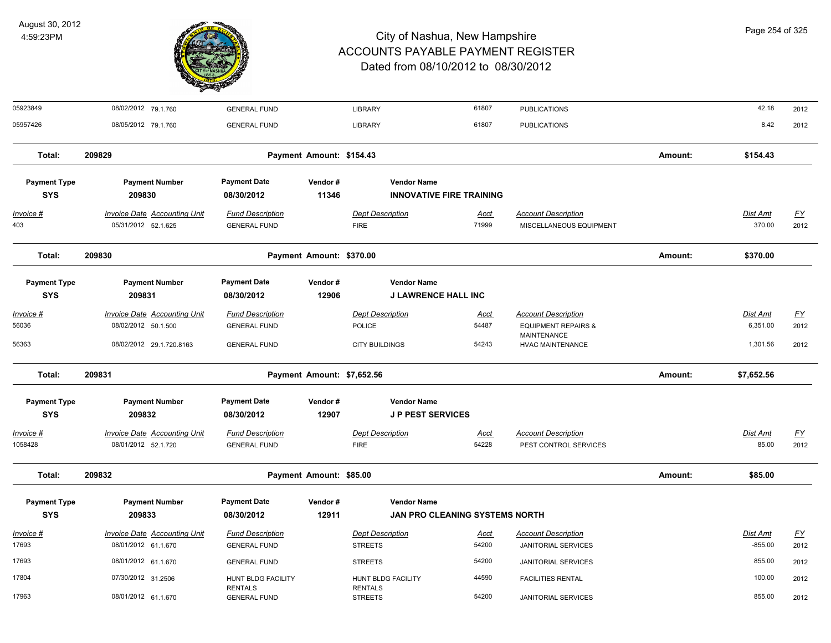

| 05923849                          | 08/02/2012 79.1.760                                        | <b>GENERAL FUND</b>                            |                            | <b>LIBRARY</b>                                | 61807                                 | <b>PUBLICATIONS</b>                                   |         | 42.18                     | 2012              |
|-----------------------------------|------------------------------------------------------------|------------------------------------------------|----------------------------|-----------------------------------------------|---------------------------------------|-------------------------------------------------------|---------|---------------------------|-------------------|
| 05957426                          | 08/05/2012 79.1.760                                        | <b>GENERAL FUND</b>                            |                            | <b>LIBRARY</b>                                | 61807                                 | <b>PUBLICATIONS</b>                                   |         | 8.42                      | 2012              |
| Total:                            | 209829                                                     |                                                | Payment Amount: \$154.43   |                                               |                                       |                                                       | Amount: | \$154.43                  |                   |
| <b>Payment Type</b><br><b>SYS</b> | <b>Payment Number</b><br>209830                            | <b>Payment Date</b><br>08/30/2012              | Vendor#<br>11346           | <b>Vendor Name</b>                            | <b>INNOVATIVE FIRE TRAINING</b>       |                                                       |         |                           |                   |
| $Invoice$ #<br>403                | <b>Invoice Date Accounting Unit</b><br>05/31/2012 52.1.625 | <b>Fund Description</b><br><b>GENERAL FUND</b> |                            | <b>Dept Description</b><br><b>FIRE</b>        | Acct<br>71999                         | <b>Account Description</b><br>MISCELLANEOUS EQUIPMENT |         | <b>Dist Amt</b><br>370.00 | <u>FY</u><br>2012 |
| Total:                            | 209830                                                     |                                                | Payment Amount: \$370.00   |                                               |                                       |                                                       | Amount: | \$370.00                  |                   |
| <b>Payment Type</b>               | <b>Payment Number</b>                                      | <b>Payment Date</b>                            | Vendor#                    | <b>Vendor Name</b>                            |                                       |                                                       |         |                           |                   |
| <b>SYS</b>                        | 209831                                                     | 08/30/2012                                     | 12906                      | <b>J LAWRENCE HALL INC</b>                    |                                       |                                                       |         |                           |                   |
| Invoice #                         | <b>Invoice Date Accounting Unit</b>                        | <b>Fund Description</b>                        |                            | <b>Dept Description</b>                       | <u>Acct</u>                           | <b>Account Description</b>                            |         | <b>Dist Amt</b>           | <u>FY</u>         |
| 56036                             | 08/02/2012 50.1.500                                        | <b>GENERAL FUND</b>                            |                            | <b>POLICE</b>                                 | 54487                                 | <b>EQUIPMENT REPAIRS &amp;</b><br><b>MAINTENANCE</b>  |         | 6,351.00                  | 2012              |
| 56363                             | 08/02/2012 29.1.720.8163                                   | <b>GENERAL FUND</b>                            |                            | <b>CITY BUILDINGS</b>                         | 54243                                 | <b>HVAC MAINTENANCE</b>                               |         | 1,301.56                  | 2012              |
| Total:                            | 209831                                                     |                                                | Payment Amount: \$7,652.56 |                                               |                                       |                                                       | Amount: | \$7,652.56                |                   |
| <b>Payment Type</b><br><b>SYS</b> | <b>Payment Number</b><br>209832                            | <b>Payment Date</b><br>08/30/2012              | Vendor#<br>12907           | <b>Vendor Name</b><br><b>JP PEST SERVICES</b> |                                       |                                                       |         |                           |                   |
| Invoice #                         | <b>Invoice Date Accounting Unit</b>                        | <b>Fund Description</b>                        |                            | <b>Dept Description</b>                       | <u>Acct</u>                           | <b>Account Description</b>                            |         | Dist Amt                  | EY                |
| 1058428                           | 08/01/2012 52.1.720                                        | <b>GENERAL FUND</b>                            |                            | <b>FIRE</b>                                   | 54228                                 | PEST CONTROL SERVICES                                 |         | 85.00                     | 2012              |
| Total:                            | 209832                                                     |                                                | Payment Amount: \$85.00    |                                               |                                       |                                                       | Amount: | \$85.00                   |                   |
| <b>Payment Type</b>               | <b>Payment Number</b>                                      | <b>Payment Date</b>                            | Vendor#                    | <b>Vendor Name</b>                            |                                       |                                                       |         |                           |                   |
| <b>SYS</b>                        | 209833                                                     | 08/30/2012                                     | 12911                      |                                               | <b>JAN PRO CLEANING SYSTEMS NORTH</b> |                                                       |         |                           |                   |
| Invoice #                         | Invoice Date Accounting Unit                               | <b>Fund Description</b>                        |                            | <b>Dept Description</b>                       | Acct                                  | <b>Account Description</b>                            |         | Dist Amt                  | $\underline{FY}$  |
| 17693                             | 08/01/2012 61.1.670                                        | <b>GENERAL FUND</b>                            |                            | <b>STREETS</b>                                | 54200                                 | <b>JANITORIAL SERVICES</b>                            |         | $-855.00$                 | 2012              |
| 17693                             | 08/01/2012 61.1.670                                        | <b>GENERAL FUND</b>                            |                            | <b>STREETS</b>                                | 54200                                 | <b>JANITORIAL SERVICES</b>                            |         | 855.00                    | 2012              |
| 17804                             | 07/30/2012 31.2506                                         | HUNT BLDG FACILITY<br><b>RENTALS</b>           |                            | HUNT BLDG FACILITY<br><b>RENTALS</b>          | 44590                                 | <b>FACILITIES RENTAL</b>                              |         | 100.00                    | 2012              |
| 17963                             | 08/01/2012 61.1.670                                        | <b>GENERAL FUND</b>                            |                            | <b>STREETS</b>                                | 54200                                 | <b>JANITORIAL SERVICES</b>                            |         | 855.00                    | 2012              |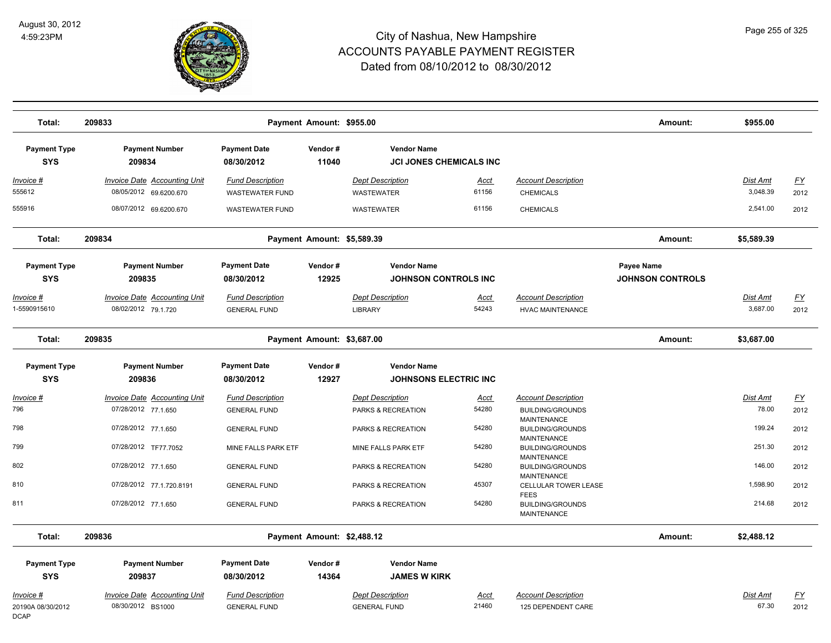

| Total:                            | 209833                                                        |                                                   | Payment Amount: \$955.00   |                                                      |                      |                                                                     | Amount:                               | \$955.00             |            |
|-----------------------------------|---------------------------------------------------------------|---------------------------------------------------|----------------------------|------------------------------------------------------|----------------------|---------------------------------------------------------------------|---------------------------------------|----------------------|------------|
| <b>Payment Type</b><br><b>SYS</b> | <b>Payment Number</b><br>209834                               | <b>Payment Date</b><br>08/30/2012                 | Vendor#<br>11040           | <b>Vendor Name</b><br><b>JCI JONES CHEMICALS INC</b> |                      |                                                                     |                                       |                      |            |
| <u> Invoice #</u><br>555612       | <b>Invoice Date Accounting Unit</b><br>08/05/2012 69.6200.670 | <b>Fund Description</b><br><b>WASTEWATER FUND</b> |                            | <b>Dept Description</b><br><b>WASTEWATER</b>         | <u>Acct</u><br>61156 | <b>Account Description</b><br><b>CHEMICALS</b>                      |                                       | Dist Amt<br>3,048.39 | EY<br>2012 |
| 555916                            | 08/07/2012 69.6200.670                                        | <b>WASTEWATER FUND</b>                            |                            | <b>WASTEWATER</b>                                    | 61156                | <b>CHEMICALS</b>                                                    |                                       | 2,541.00             | 2012       |
| Total:                            | 209834                                                        |                                                   | Payment Amount: \$5,589.39 |                                                      |                      |                                                                     | Amount:                               | \$5,589.39           |            |
| <b>Payment Type</b><br><b>SYS</b> | <b>Payment Number</b><br>209835                               | <b>Payment Date</b><br>08/30/2012                 | Vendor#<br>12925           | <b>Vendor Name</b><br><b>JOHNSON CONTROLS INC</b>    |                      |                                                                     | Payee Name<br><b>JOHNSON CONTROLS</b> |                      |            |
| <u> Invoice #</u>                 | <b>Invoice Date Accounting Unit</b>                           | <b>Fund Description</b>                           |                            | <b>Dept Description</b>                              | Acct                 | <b>Account Description</b>                                          |                                       | Dist Amt             | <u>FY</u>  |
| 1-5590915610                      | 08/02/2012 79.1.720                                           | <b>GENERAL FUND</b>                               |                            | <b>LIBRARY</b>                                       | 54243                | <b>HVAC MAINTENANCE</b>                                             |                                       | 3,687.00             | 2012       |
| Total:                            | 209835                                                        |                                                   | Payment Amount: \$3,687.00 |                                                      |                      |                                                                     | Amount:                               | \$3,687.00           |            |
| <b>Payment Type</b>               | <b>Payment Number</b>                                         | <b>Payment Date</b>                               | Vendor#                    | <b>Vendor Name</b>                                   |                      |                                                                     |                                       |                      |            |
| <b>SYS</b>                        | 209836                                                        | 08/30/2012                                        | 12927                      | <b>JOHNSONS ELECTRIC INC.</b>                        |                      |                                                                     |                                       |                      |            |
| <u>Invoice #</u>                  | <b>Invoice Date Accounting Unit</b>                           | <b>Fund Description</b>                           |                            | <b>Dept Description</b>                              | <u>Acct</u>          | <b>Account Description</b>                                          |                                       | <u>Dist Amt</u>      | <u>FY</u>  |
| 796                               | 07/28/2012 77.1.650                                           | <b>GENERAL FUND</b>                               |                            | PARKS & RECREATION                                   | 54280                | <b>BUILDING/GROUNDS</b>                                             |                                       | 78.00                | 2012       |
| 798                               | 07/28/2012 77.1.650                                           | <b>GENERAL FUND</b>                               |                            | PARKS & RECREATION                                   | 54280                | <b>MAINTENANCE</b><br><b>BUILDING/GROUNDS</b><br><b>MAINTENANCE</b> |                                       | 199.24               | 2012       |
| 799                               | 07/28/2012 TF77.7052                                          | MINE FALLS PARK ETF                               |                            | MINE FALLS PARK ETF                                  | 54280                | <b>BUILDING/GROUNDS</b>                                             |                                       | 251.30               | 2012       |
| 802                               | 07/28/2012 77.1.650                                           | <b>GENERAL FUND</b>                               |                            | PARKS & RECREATION                                   | 54280                | <b>MAINTENANCE</b><br><b>BUILDING/GROUNDS</b><br><b>MAINTENANCE</b> |                                       | 146.00               | 2012       |
| 810                               | 07/28/2012 77.1.720.8191                                      | <b>GENERAL FUND</b>                               |                            | PARKS & RECREATION                                   | 45307                | CELLULAR TOWER LEASE<br><b>FEES</b>                                 |                                       | 1,598.90             | 2012       |
| 811                               | 07/28/2012 77.1.650                                           | <b>GENERAL FUND</b>                               |                            | PARKS & RECREATION                                   | 54280                | <b>BUILDING/GROUNDS</b><br><b>MAINTENANCE</b>                       |                                       | 214.68               | 2012       |
| Total:                            | 209836                                                        |                                                   | Payment Amount: \$2,488.12 |                                                      |                      |                                                                     | Amount:                               | \$2,488.12           |            |
| <b>Payment Type</b>               | <b>Payment Number</b>                                         | <b>Payment Date</b>                               | Vendor#                    | <b>Vendor Name</b>                                   |                      |                                                                     |                                       |                      |            |
| <b>SYS</b>                        | 209837                                                        | 08/30/2012                                        | 14364                      | <b>JAMES W KIRK</b>                                  |                      |                                                                     |                                       |                      |            |
| Invoice #                         | Invoice Date Accounting Unit                                  | <b>Fund Description</b>                           |                            | <b>Dept Description</b>                              | Acct                 | <b>Account Description</b>                                          |                                       | Dist Amt             | <u>FY</u>  |
| 20190A 08/30/2012<br><b>DCAP</b>  | 08/30/2012 BS1000                                             | <b>GENERAL FUND</b>                               |                            | <b>GENERAL FUND</b>                                  | 21460                | 125 DEPENDENT CARE                                                  |                                       | 67.30                | 2012       |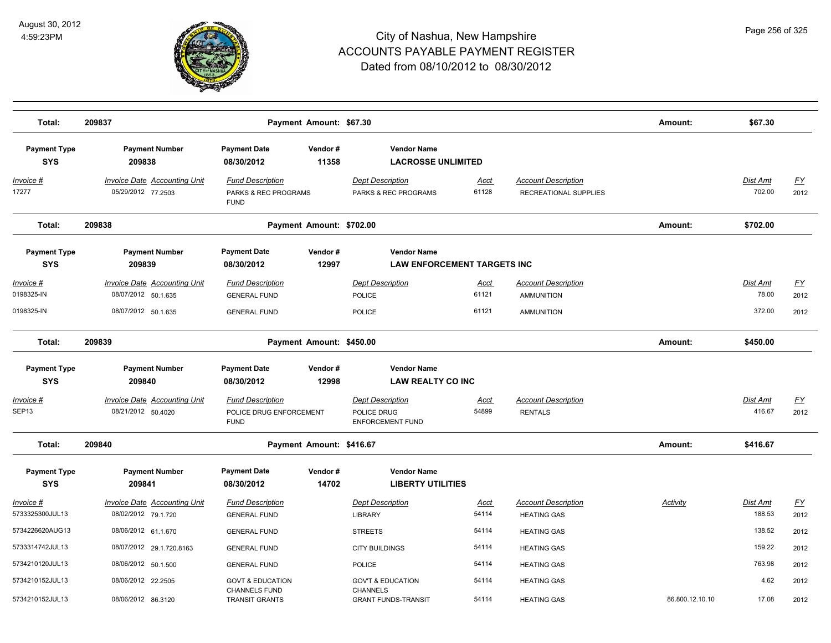

| Total:                            | 209837                                                     |                                                                   | Payment Amount: \$67.30  |                                                                   |                      |                                                     | Amount:         | \$67.30                   |                                   |
|-----------------------------------|------------------------------------------------------------|-------------------------------------------------------------------|--------------------------|-------------------------------------------------------------------|----------------------|-----------------------------------------------------|-----------------|---------------------------|-----------------------------------|
| <b>Payment Type</b>               | <b>Payment Number</b>                                      | <b>Payment Date</b>                                               | Vendor#                  | <b>Vendor Name</b>                                                |                      |                                                     |                 |                           |                                   |
| <b>SYS</b>                        | 209838                                                     | 08/30/2012                                                        | 11358                    | <b>LACROSSE UNLIMITED</b>                                         |                      |                                                     |                 |                           |                                   |
| <u>Invoice #</u><br>17277         | <b>Invoice Date Accounting Unit</b><br>05/29/2012 77.2503  | <b>Fund Description</b><br>PARKS & REC PROGRAMS<br><b>FUND</b>    |                          | <b>Dept Description</b><br>PARKS & REC PROGRAMS                   | <u>Acct</u><br>61128 | <b>Account Description</b><br>RECREATIONAL SUPPLIES |                 | Dist Amt<br>702.00        | <u>FY</u><br>2012                 |
| Total:                            | 209838                                                     |                                                                   | Payment Amount: \$702.00 |                                                                   |                      |                                                     | Amount:         | \$702.00                  |                                   |
| <b>Payment Type</b>               | <b>Payment Number</b>                                      | <b>Payment Date</b>                                               | Vendor#                  | <b>Vendor Name</b>                                                |                      |                                                     |                 |                           |                                   |
| <b>SYS</b>                        | 209839                                                     | 08/30/2012                                                        | 12997                    | <b>LAW ENFORCEMENT TARGETS INC</b>                                |                      |                                                     |                 |                           |                                   |
| Invoice #<br>0198325-IN           | <b>Invoice Date Accounting Unit</b><br>08/07/2012 50.1.635 | <b>Fund Description</b><br><b>GENERAL FUND</b>                    |                          | <b>Dept Description</b><br>POLICE                                 | <u>Acct</u><br>61121 | <b>Account Description</b><br><b>AMMUNITION</b>     |                 | Dist Amt<br>78.00         | $\underline{\mathsf{FY}}$<br>2012 |
| 0198325-IN                        | 08/07/2012 50.1.635                                        | <b>GENERAL FUND</b>                                               |                          | <b>POLICE</b>                                                     | 61121                | <b>AMMUNITION</b>                                   |                 | 372.00                    | 2012                              |
| Total:                            | 209839                                                     |                                                                   | Payment Amount: \$450.00 |                                                                   |                      |                                                     | Amount:         | \$450.00                  |                                   |
| <b>Payment Type</b>               | <b>Payment Number</b>                                      | <b>Payment Date</b>                                               | Vendor#                  | <b>Vendor Name</b>                                                |                      |                                                     |                 |                           |                                   |
| <b>SYS</b>                        | 209840                                                     | 08/30/2012                                                        | 12998                    | <b>LAW REALTY CO INC</b>                                          |                      |                                                     |                 |                           |                                   |
| <u> Invoice #</u><br>SEP13        | <b>Invoice Date Accounting Unit</b><br>08/21/2012 50.4020  | <b>Fund Description</b><br>POLICE DRUG ENFORCEMENT<br><b>FUND</b> |                          | <b>Dept Description</b><br>POLICE DRUG<br><b>ENFORCEMENT FUND</b> | <b>Acct</b><br>54899 | <b>Account Description</b><br><b>RENTALS</b>        |                 | Dist Amt<br>416.67        | <u>FY</u><br>2012                 |
| Total:                            | 209840                                                     |                                                                   | Payment Amount: \$416.67 |                                                                   |                      |                                                     | Amount:         | \$416.67                  |                                   |
| <b>Payment Type</b><br><b>SYS</b> | <b>Payment Number</b><br>209841                            | <b>Payment Date</b><br>08/30/2012                                 | Vendor#<br>14702         | <b>Vendor Name</b><br><b>LIBERTY UTILITIES</b>                    |                      |                                                     |                 |                           |                                   |
| Invoice #<br>5733325300JUL13      | <b>Invoice Date Accounting Unit</b><br>08/02/2012 79.1.720 | <b>Fund Description</b><br><b>GENERAL FUND</b>                    |                          | <b>Dept Description</b><br><b>LIBRARY</b>                         | <b>Acct</b><br>54114 | <b>Account Description</b><br><b>HEATING GAS</b>    | <b>Activity</b> | <u>Dist Amt</u><br>188.53 | <u>FY</u><br>2012                 |
| 5734226620AUG13                   | 08/06/2012 61.1.670                                        | <b>GENERAL FUND</b>                                               |                          | <b>STREETS</b>                                                    | 54114                | <b>HEATING GAS</b>                                  |                 | 138.52                    | 2012                              |
| 5733314742JUL13                   | 08/07/2012 29.1.720.8163                                   | <b>GENERAL FUND</b>                                               |                          | <b>CITY BUILDINGS</b>                                             | 54114                | <b>HEATING GAS</b>                                  |                 | 159.22                    | 2012                              |
| 5734210120JUL13                   | 08/06/2012 50.1.500                                        | <b>GENERAL FUND</b>                                               |                          | POLICE                                                            | 54114                | <b>HEATING GAS</b>                                  |                 | 763.98                    | 2012                              |
| 5734210152JUL13                   | 08/06/2012 22.2505                                         | <b>GOVT &amp; EDUCATION</b><br><b>CHANNELS FUND</b>               |                          | <b>GOV'T &amp; EDUCATION</b><br><b>CHANNELS</b>                   | 54114                | <b>HEATING GAS</b>                                  |                 | 4.62                      | 2012                              |
| 5734210152JUL13                   | 08/06/2012 86.3120                                         | <b>TRANSIT GRANTS</b>                                             |                          | <b>GRANT FUNDS-TRANSIT</b>                                        | 54114                | <b>HEATING GAS</b>                                  | 86.800.12.10.10 | 17.08                     | 2012                              |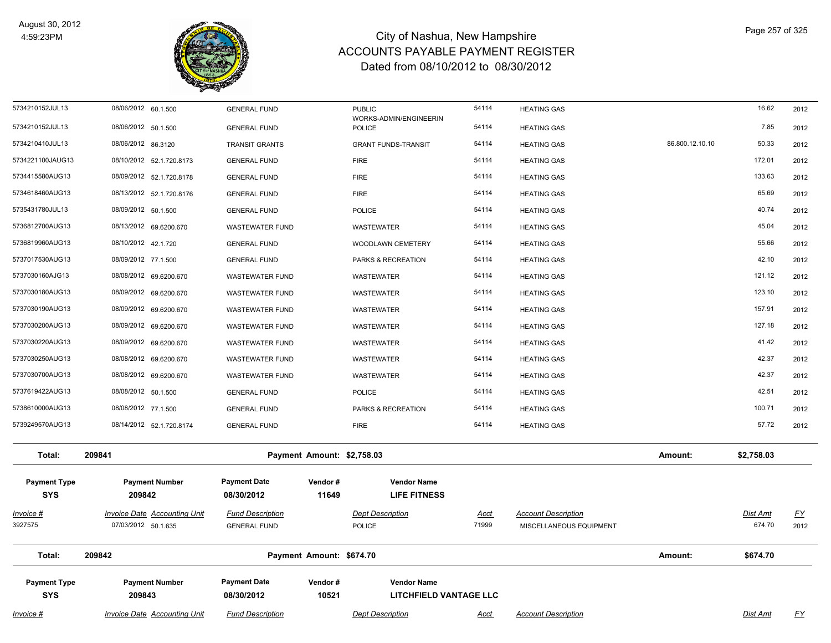

| $Invoice$ #                       | <b>Invoice Date Accounting Unit</b>                        | <b>Fund Description</b>                        |                            | <b>Dept Description</b>                             | <u>Acct</u>          | <b>Account Description</b>                            |                 | <b>Dist Amt</b>    | $\underline{\mathsf{FY}}$ |
|-----------------------------------|------------------------------------------------------------|------------------------------------------------|----------------------------|-----------------------------------------------------|----------------------|-------------------------------------------------------|-----------------|--------------------|---------------------------|
| <b>Payment Type</b><br><b>SYS</b> | <b>Payment Number</b><br>209843                            | <b>Payment Date</b><br>08/30/2012              | Vendor#<br>10521           | <b>Vendor Name</b><br><b>LITCHFIELD VANTAGE LLC</b> |                      |                                                       |                 |                    |                           |
| Total:                            | 209842                                                     |                                                | Payment Amount: \$674.70   |                                                     |                      |                                                       | Amount:         | \$674.70           |                           |
| Invoice #<br>3927575              | <b>Invoice Date Accounting Unit</b><br>07/03/2012 50.1.635 | <b>Fund Description</b><br><b>GENERAL FUND</b> |                            | <b>Dept Description</b><br><b>POLICE</b>            | <u>Acct</u><br>71999 | <b>Account Description</b><br>MISCELLANEOUS EQUIPMENT |                 | Dist Amt<br>674.70 | <u>FY</u><br>2012         |
| <b>Payment Type</b><br><b>SYS</b> | <b>Payment Number</b><br>209842                            | <b>Payment Date</b><br>08/30/2012              | Vendor#<br>11649           | <b>Vendor Name</b><br><b>LIFE FITNESS</b>           |                      |                                                       |                 |                    |                           |
| Total:                            | 209841                                                     |                                                | Payment Amount: \$2,758.03 |                                                     |                      |                                                       | Amount:         | \$2,758.03         |                           |
| 5739249570AUG13                   | 08/14/2012 52.1.720.8174                                   | <b>GENERAL FUND</b>                            |                            | <b>FIRE</b>                                         | 54114                | <b>HEATING GAS</b>                                    |                 | 57.72              | 2012                      |
| 5738610000AUG13                   | 08/08/2012 77.1.500                                        | <b>GENERAL FUND</b>                            |                            | PARKS & RECREATION                                  | 54114                | <b>HEATING GAS</b>                                    |                 | 100.71             | 2012                      |
| 5737619422AUG13                   | 08/08/2012 50.1.500                                        | <b>GENERAL FUND</b>                            |                            | <b>POLICE</b>                                       | 54114                | <b>HEATING GAS</b>                                    |                 | 42.51              | 2012                      |
| 5737030700AUG13                   | 08/08/2012 69.6200.670                                     | <b>WASTEWATER FUND</b>                         |                            | WASTEWATER                                          | 54114                | <b>HEATING GAS</b>                                    |                 | 42.37              | 2012                      |
| 5737030250AUG13                   | 08/08/2012 69.6200.670                                     | <b>WASTEWATER FUND</b>                         |                            | WASTEWATER                                          | 54114                | <b>HEATING GAS</b>                                    |                 | 42.37              | 2012                      |
| 5737030220AUG13                   | 08/09/2012 69.6200.670                                     | <b>WASTEWATER FUND</b>                         |                            | WASTEWATER                                          | 54114                | <b>HEATING GAS</b>                                    |                 | 41.42              | 2012                      |
| 5737030200AUG13                   | 08/09/2012 69.6200.670                                     | <b>WASTEWATER FUND</b>                         |                            | WASTEWATER                                          | 54114                | <b>HEATING GAS</b>                                    |                 | 127.18             | 2012                      |
| 5737030190AUG13                   | 08/09/2012 69.6200.670                                     | <b>WASTEWATER FUND</b>                         |                            | WASTEWATER                                          | 54114                | <b>HEATING GAS</b>                                    |                 | 157.91             | 2012                      |
| 5737030180AUG13                   | 08/09/2012 69.6200.670                                     | <b>WASTEWATER FUND</b>                         |                            | WASTEWATER                                          | 54114                | <b>HEATING GAS</b>                                    |                 | 123.10             | 2012                      |
| 5737030160AJG13                   | 08/08/2012 69.6200.670                                     | <b>WASTEWATER FUND</b>                         |                            | WASTEWATER                                          | 54114                | <b>HEATING GAS</b>                                    |                 | 121.12             | 2012                      |
| 5737017530AUG13                   | 08/09/2012 77.1.500                                        | <b>GENERAL FUND</b>                            |                            | PARKS & RECREATION                                  | 54114                | <b>HEATING GAS</b>                                    |                 | 42.10              | 2012                      |
| 5736819960AUG13                   | 08/10/2012 42.1.720                                        | <b>GENERAL FUND</b>                            |                            | WOODLAWN CEMETERY                                   | 54114                | <b>HEATING GAS</b>                                    |                 | 55.66              | 2012                      |
| 5736812700AUG13                   | 08/13/2012 69.6200.670                                     | <b>WASTEWATER FUND</b>                         |                            | WASTEWATER                                          | 54114                | <b>HEATING GAS</b>                                    |                 | 45.04              | 2012                      |
| 5735431780JUL13                   | 08/09/2012 50.1.500                                        | <b>GENERAL FUND</b>                            |                            | <b>POLICE</b>                                       | 54114                | <b>HEATING GAS</b>                                    |                 | 40.74              | 2012                      |
| 5734618460AUG13                   | 08/13/2012 52.1.720.8176                                   | <b>GENERAL FUND</b>                            |                            | <b>FIRE</b>                                         | 54114                | <b>HEATING GAS</b>                                    |                 | 65.69              | 2012                      |
| 5734415580AUG13                   | 08/09/2012 52.1.720.8178                                   | <b>GENERAL FUND</b>                            |                            | <b>FIRE</b>                                         | 54114                | <b>HEATING GAS</b>                                    |                 | 133.63             | 2012                      |
| 5734221100JAUG13                  | 08/10/2012 52.1.720.8173                                   | <b>GENERAL FUND</b>                            |                            | <b>FIRE</b>                                         | 54114                | <b>HEATING GAS</b>                                    |                 | 172.01             | 2012                      |
| 5734210410JUL13                   | 08/06/2012 86.3120                                         | <b>TRANSIT GRANTS</b>                          |                            | <b>GRANT FUNDS-TRANSIT</b>                          | 54114                | <b>HEATING GAS</b>                                    | 86.800.12.10.10 | 50.33              | 2012                      |
| 5734210152JUL13                   | 08/06/2012 50.1.500                                        | <b>GENERAL FUND</b>                            |                            | WORKS-ADMIN/ENGINEERIN<br><b>POLICE</b>             | 54114                | <b>HEATING GAS</b>                                    |                 | 7.85               | 2012                      |
| 5734210152JUL13                   | 08/06/2012 60.1.500                                        | <b>GENERAL FUND</b>                            |                            | <b>PUBLIC</b>                                       | 54114                | <b>HEATING GAS</b>                                    |                 | 16.62              | 2012                      |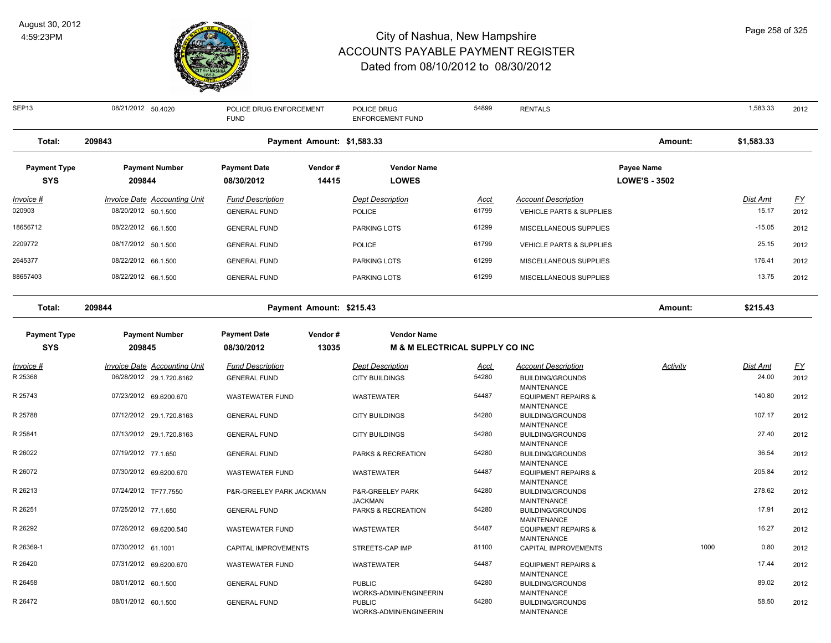

| SEP13                             | 08/21/2012 50.4020                                         | POLICE DRUG ENFORCEMENT<br><b>FUND</b>         |                  | POLICE DRUG<br><b>ENFORCEMENT FUND</b>                            | 54899                | <b>RENTALS</b>                                                             |                                           |      | 1,583.33                 | 2012       |
|-----------------------------------|------------------------------------------------------------|------------------------------------------------|------------------|-------------------------------------------------------------------|----------------------|----------------------------------------------------------------------------|-------------------------------------------|------|--------------------------|------------|
| Total:                            | 209843                                                     | Payment Amount: \$1,583.33                     |                  |                                                                   |                      |                                                                            | Amount:                                   |      | \$1,583.33               |            |
| <b>Payment Type</b><br><b>SYS</b> | <b>Payment Number</b><br>209844                            | <b>Payment Date</b><br>08/30/2012              | Vendor#<br>14415 | <b>Vendor Name</b><br><b>LOWES</b>                                |                      |                                                                            | <b>Payee Name</b><br><b>LOWE'S - 3502</b> |      |                          |            |
| <u> Invoice #</u><br>020903       | <b>Invoice Date Accounting Unit</b><br>08/20/2012 50.1.500 | <b>Fund Description</b><br><b>GENERAL FUND</b> |                  | <b>Dept Description</b><br><b>POLICE</b>                          | <u>Acct</u><br>61799 | <b>Account Description</b><br><b>VEHICLE PARTS &amp; SUPPLIES</b>          |                                           |      | <u>Dist Amt</u><br>15.17 | EY<br>2012 |
| 18656712                          | 08/22/2012 66.1.500                                        | <b>GENERAL FUND</b>                            |                  | <b>PARKING LOTS</b>                                               | 61299                | MISCELLANEOUS SUPPLIES                                                     |                                           |      | $-15.05$                 | 2012       |
| 2209772                           | 08/17/2012 50.1.500                                        | <b>GENERAL FUND</b>                            |                  | <b>POLICE</b>                                                     | 61799                | <b>VEHICLE PARTS &amp; SUPPLIES</b>                                        |                                           |      | 25.15                    | 2012       |
| 2645377                           | 08/22/2012 66.1.500                                        | <b>GENERAL FUND</b>                            |                  | <b>PARKING LOTS</b>                                               | 61299                | MISCELLANEOUS SUPPLIES                                                     |                                           |      | 176.41                   | 2012       |
| 88657403                          | 08/22/2012 66.1.500                                        | <b>GENERAL FUND</b>                            |                  | <b>PARKING LOTS</b>                                               | 61299                | MISCELLANEOUS SUPPLIES                                                     |                                           |      | 13.75                    | 2012       |
| Total:                            | 209844                                                     | Payment Amount: \$215.43                       |                  |                                                                   |                      |                                                                            | Amount:                                   |      | \$215.43                 |            |
| <b>Payment Type</b><br><b>SYS</b> | <b>Payment Number</b><br>209845                            | <b>Payment Date</b><br>08/30/2012              | Vendor#<br>13035 | <b>Vendor Name</b><br><b>M &amp; M ELECTRICAL SUPPLY CO INC</b>   |                      |                                                                            |                                           |      |                          |            |
| Invoice #                         | Invoice Date Accounting Unit                               | <b>Fund Description</b>                        |                  | <b>Dept Description</b>                                           | <u>Acct</u>          | <b>Account Description</b>                                                 | Activity                                  |      | Dist Amt                 | <u>FY</u>  |
| R 25368                           | 06/28/2012 29.1.720.8162                                   | <b>GENERAL FUND</b>                            |                  | <b>CITY BUILDINGS</b>                                             | 54280                | <b>BUILDING/GROUNDS</b>                                                    |                                           |      | 24.00                    | 2012       |
| R 25743                           | 07/23/2012 69.6200.670                                     | <b>WASTEWATER FUND</b>                         |                  | <b>WASTEWATER</b>                                                 | 54487                | <b>MAINTENANCE</b><br><b>EQUIPMENT REPAIRS &amp;</b><br><b>MAINTENANCE</b> |                                           |      | 140.80                   | 2012       |
| R 25788                           | 07/12/2012 29.1.720.8163                                   | <b>GENERAL FUND</b>                            |                  | <b>CITY BUILDINGS</b>                                             | 54280                | <b>BUILDING/GROUNDS</b><br><b>MAINTENANCE</b>                              |                                           |      | 107.17                   | 2012       |
| R 25841                           | 07/13/2012 29.1.720.8163                                   | <b>GENERAL FUND</b>                            |                  | <b>CITY BUILDINGS</b>                                             | 54280                | <b>BUILDING/GROUNDS</b>                                                    |                                           |      | 27.40                    | 2012       |
| R 26022                           | 07/19/2012 77.1.650                                        | <b>GENERAL FUND</b>                            |                  | PARKS & RECREATION                                                | 54280                | <b>MAINTENANCE</b><br><b>BUILDING/GROUNDS</b><br><b>MAINTENANCE</b>        |                                           |      | 36.54                    | 2012       |
| R 26072                           | 07/30/2012 69.6200.670                                     | <b>WASTEWATER FUND</b>                         |                  | <b>WASTEWATER</b>                                                 | 54487                | <b>EQUIPMENT REPAIRS &amp;</b>                                             |                                           |      | 205.84                   | 2012       |
| R 26213                           | 07/24/2012 TF77.7550                                       | P&R-GREELEY PARK JACKMAN                       |                  | P&R-GREELEY PARK                                                  | 54280                | <b>MAINTENANCE</b><br><b>BUILDING/GROUNDS</b>                              |                                           |      | 278.62                   | 2012       |
| R 26251                           | 07/25/2012 77.1.650                                        | <b>GENERAL FUND</b>                            |                  | <b>JACKMAN</b><br>PARKS & RECREATION                              | 54280                | <b>MAINTENANCE</b><br><b>BUILDING/GROUNDS</b>                              |                                           |      | 17.91                    | 2012       |
| R 26292                           | 07/26/2012 69.6200.540                                     | <b>WASTEWATER FUND</b>                         |                  | <b>WASTEWATER</b>                                                 | 54487                | <b>MAINTENANCE</b><br><b>EQUIPMENT REPAIRS &amp;</b>                       |                                           |      | 16.27                    | 2012       |
| R 26369-1                         | 07/30/2012 61.1001                                         | CAPITAL IMPROVEMENTS                           |                  | STREETS-CAP IMP                                                   | 81100                | <b>MAINTENANCE</b><br>CAPITAL IMPROVEMENTS                                 |                                           | 1000 | 0.80                     | 2012       |
| R 26420                           | 07/31/2012 69.6200.670                                     | <b>WASTEWATER FUND</b>                         |                  | WASTEWATER                                                        | 54487                | <b>EQUIPMENT REPAIRS &amp;</b>                                             |                                           |      | 17.44                    | 2012       |
| R 26458                           | 08/01/2012 60.1.500                                        | <b>GENERAL FUND</b>                            |                  | <b>PUBLIC</b>                                                     | 54280                | <b>MAINTENANCE</b><br><b>BUILDING/GROUNDS</b>                              |                                           |      | 89.02                    | 2012       |
| R 26472                           | 08/01/2012 60.1.500                                        | <b>GENERAL FUND</b>                            |                  | WORKS-ADMIN/ENGINEERIN<br><b>PUBLIC</b><br>WORKS-ADMIN/ENGINEERIN | 54280                | <b>MAINTENANCE</b><br><b>BUILDING/GROUNDS</b><br><b>MAINTENANCE</b>        |                                           |      | 58.50                    | 2012       |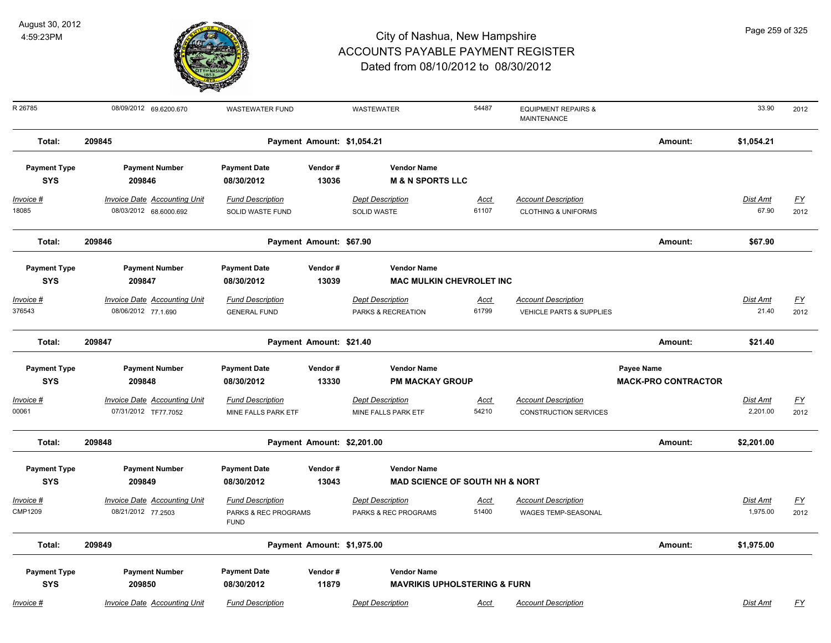

| Page 259 of 325 |  |  |  |
|-----------------|--|--|--|
|-----------------|--|--|--|

| R 26785                           | 08/09/2012 69.6200.670                                        | <b>WASTEWATER FUND</b>                                         |                            | <b>WASTEWATER</b>                                               | 54487                | <b>EQUIPMENT REPAIRS &amp;</b><br>MAINTENANCE                     |                                                 | 33.90                    | 2012                     |
|-----------------------------------|---------------------------------------------------------------|----------------------------------------------------------------|----------------------------|-----------------------------------------------------------------|----------------------|-------------------------------------------------------------------|-------------------------------------------------|--------------------------|--------------------------|
| Total:                            | 209845                                                        |                                                                | Payment Amount: \$1,054.21 |                                                                 |                      |                                                                   | Amount:                                         | \$1,054.21               |                          |
| <b>Payment Type</b><br><b>SYS</b> | <b>Payment Number</b><br>209846                               | <b>Payment Date</b><br>08/30/2012                              | Vendor#<br>13036           | <b>Vendor Name</b><br><b>M &amp; N SPORTS LLC</b>               |                      |                                                                   |                                                 |                          |                          |
| $Invoice$ #<br>18085              | <b>Invoice Date Accounting Unit</b><br>08/03/2012 68.6000.692 | <b>Fund Description</b><br>SOLID WASTE FUND                    |                            | <b>Dept Description</b><br>SOLID WASTE                          | <u>Acct</u><br>61107 | <b>Account Description</b><br><b>CLOTHING &amp; UNIFORMS</b>      |                                                 | <b>Dist Amt</b><br>67.90 | <u>FY</u><br>2012        |
| Total:                            | 209846                                                        |                                                                | Payment Amount: \$67.90    |                                                                 |                      |                                                                   | Amount:                                         | \$67.90                  |                          |
| <b>Payment Type</b><br><b>SYS</b> | <b>Payment Number</b><br>209847                               | <b>Payment Date</b><br>08/30/2012                              | Vendor#<br>13039           | <b>Vendor Name</b><br><b>MAC MULKIN CHEVROLET INC</b>           |                      |                                                                   |                                                 |                          |                          |
| Invoice #<br>376543               | <b>Invoice Date Accounting Unit</b><br>08/06/2012 77.1.690    | <b>Fund Description</b><br><b>GENERAL FUND</b>                 |                            | <b>Dept Description</b><br>PARKS & RECREATION                   | <u>Acct</u><br>61799 | <b>Account Description</b><br><b>VEHICLE PARTS &amp; SUPPLIES</b> |                                                 | Dist Amt<br>21.40        | EY<br>2012               |
| Total:                            | 209847                                                        |                                                                | Payment Amount: \$21.40    |                                                                 |                      |                                                                   | Amount:                                         | \$21.40                  |                          |
| <b>Payment Type</b><br><b>SYS</b> | <b>Payment Number</b><br>209848                               | <b>Payment Date</b><br>08/30/2012                              | Vendor#<br>13330           | <b>Vendor Name</b><br><b>PM MACKAY GROUP</b>                    |                      |                                                                   | <b>Payee Name</b><br><b>MACK-PRO CONTRACTOR</b> |                          |                          |
| Invoice #<br>00061                | <b>Invoice Date Accounting Unit</b><br>07/31/2012 TF77.7052   | <b>Fund Description</b><br>MINE FALLS PARK ETF                 |                            | <b>Dept Description</b><br>MINE FALLS PARK ETF                  | <b>Acct</b><br>54210 | <b>Account Description</b><br><b>CONSTRUCTION SERVICES</b>        |                                                 | Dist Amt<br>2,201.00     | $\underline{FY}$<br>2012 |
| Total:                            | 209848                                                        |                                                                | Payment Amount: \$2,201.00 |                                                                 |                      |                                                                   | Amount:                                         | \$2,201.00               |                          |
| <b>Payment Type</b><br><b>SYS</b> | <b>Payment Number</b><br>209849                               | <b>Payment Date</b><br>08/30/2012                              | Vendor #<br>13043          | <b>Vendor Name</b><br><b>MAD SCIENCE OF SOUTH NH &amp; NORT</b> |                      |                                                                   |                                                 |                          |                          |
| Invoice #<br><b>CMP1209</b>       | <b>Invoice Date Accounting Unit</b><br>08/21/2012 77.2503     | <b>Fund Description</b><br>PARKS & REC PROGRAMS<br><b>FUND</b> |                            | <b>Dept Description</b><br>PARKS & REC PROGRAMS                 | <b>Acct</b><br>51400 | <b>Account Description</b><br>WAGES TEMP-SEASONAL                 |                                                 | Dist Amt<br>1,975.00     | <u>FY</u><br>2012        |
| Total:                            | 209849                                                        |                                                                | Payment Amount: \$1,975.00 |                                                                 |                      |                                                                   | Amount:                                         | \$1,975.00               |                          |
| <b>Payment Type</b><br><b>SYS</b> | <b>Payment Number</b><br>209850                               | <b>Payment Date</b><br>08/30/2012                              | Vendor#<br>11879           | <b>Vendor Name</b><br><b>MAVRIKIS UPHOLSTERING &amp; FURN</b>   |                      |                                                                   |                                                 |                          |                          |
| Invoice #                         | <b>Invoice Date Accounting Unit</b>                           | <b>Fund Description</b>                                        |                            | <b>Dept Description</b>                                         | Acct                 | <b>Account Description</b>                                        |                                                 | Dist Amt                 | <u>FY</u>                |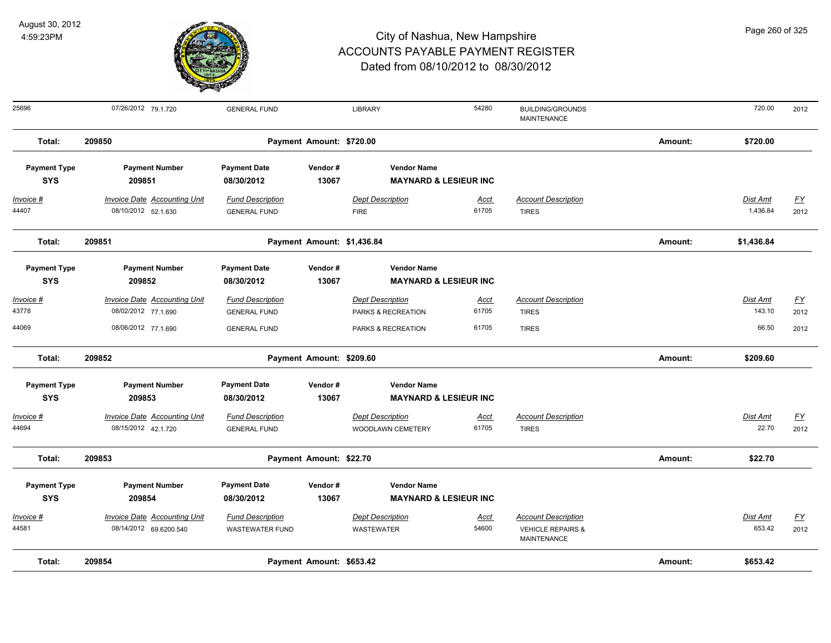

| Total:                            | 209854                              |                                   | Payment Amount: \$653.42   |                                                        |             |                                               | Amount: | \$653.42        |                  |
|-----------------------------------|-------------------------------------|-----------------------------------|----------------------------|--------------------------------------------------------|-------------|-----------------------------------------------|---------|-----------------|------------------|
| 44581                             | 08/14/2012 69.6200.540              | <b>WASTEWATER FUND</b>            |                            | WASTEWATER                                             | 54600       | <b>VEHICLE REPAIRS &amp;</b><br>MAINTENANCE   |         | 653.42          | 2012             |
| Invoice #                         | <b>Invoice Date Accounting Unit</b> | <b>Fund Description</b>           |                            | <b>Dept Description</b>                                | <b>Acct</b> | <b>Account Description</b>                    |         | Dist Amt        | $\underline{FY}$ |
| <b>SYS</b>                        | 209854                              | 08/30/2012                        | 13067                      | <b>MAYNARD &amp; LESIEUR INC</b>                       |             |                                               |         |                 |                  |
| <b>Payment Type</b>               | <b>Payment Number</b>               | <b>Payment Date</b>               | Vendor#                    | <b>Vendor Name</b>                                     |             |                                               |         |                 |                  |
| Total:                            | 209853                              |                                   | Payment Amount: \$22.70    |                                                        |             |                                               | Amount: | \$22.70         |                  |
| 44694                             | 08/15/2012 42.1.720                 | <b>GENERAL FUND</b>               |                            | <b>WOODLAWN CEMETERY</b>                               | 61705       | <b>TIRES</b>                                  |         | 22.70           | 2012             |
| Invoice #                         | <b>Invoice Date Accounting Unit</b> | <b>Fund Description</b>           |                            | <b>Dept Description</b>                                | <b>Acct</b> | <b>Account Description</b>                    |         | Dist Amt        | $\underline{FY}$ |
| <b>SYS</b>                        | 209853                              | 08/30/2012                        | 13067                      | <b>MAYNARD &amp; LESIEUR INC</b>                       |             |                                               |         |                 |                  |
| <b>Payment Type</b>               | <b>Payment Number</b>               | <b>Payment Date</b>               | Vendor#                    | <b>Vendor Name</b>                                     |             |                                               |         |                 |                  |
| Total:                            | 209852                              |                                   | Payment Amount: \$209.60   |                                                        |             |                                               | Amount: | \$209.60        |                  |
| 44069                             | 08/06/2012 77.1.690                 | <b>GENERAL FUND</b>               |                            | PARKS & RECREATION                                     | 61705       | <b>TIRES</b>                                  |         | 66.50           | 2012             |
| 43778                             | 08/02/2012 77.1.690                 | <b>GENERAL FUND</b>               |                            | PARKS & RECREATION                                     | 61705       | <b>TIRES</b>                                  |         | 143.10          | 2012             |
| Invoice #                         | <b>Invoice Date Accounting Unit</b> | <b>Fund Description</b>           |                            | <b>Dept Description</b>                                | <b>Acct</b> | <b>Account Description</b>                    |         | Dist Amt        | $\underline{FY}$ |
| <b>SYS</b>                        | 209852                              | 08/30/2012                        | 13067                      | <b>MAYNARD &amp; LESIEUR INC</b>                       |             |                                               |         |                 |                  |
| <b>Payment Type</b>               | <b>Payment Number</b>               | <b>Payment Date</b>               | Vendor#                    | <b>Vendor Name</b>                                     |             |                                               |         |                 |                  |
| Total:                            | 209851                              |                                   | Payment Amount: \$1,436.84 |                                                        |             |                                               | Amount: | \$1,436.84      |                  |
| 44407                             | 08/10/2012 52.1.630                 | <b>GENERAL FUND</b>               |                            | <b>FIRE</b>                                            | 61705       | <b>TIRES</b>                                  |         | 1,436.84        | 2012             |
| Invoice #                         | <b>Invoice Date Accounting Unit</b> | <b>Fund Description</b>           |                            | <b>Dept Description</b>                                | <u>Acct</u> | <b>Account Description</b>                    |         | <b>Dist Amt</b> | <u>FY</u>        |
| <b>Payment Type</b><br><b>SYS</b> | <b>Payment Number</b><br>209851     | <b>Payment Date</b><br>08/30/2012 | Vendor#<br>13067           | <b>Vendor Name</b><br><b>MAYNARD &amp; LESIEUR INC</b> |             |                                               |         |                 |                  |
|                                   |                                     |                                   |                            |                                                        |             |                                               |         |                 |                  |
| Total:                            | 209850                              |                                   | Payment Amount: \$720.00   |                                                        |             |                                               | Amount: | \$720.00        |                  |
| 25696                             | 07/26/2012 79.1.720                 | <b>GENERAL FUND</b>               |                            | <b>LIBRARY</b>                                         | 54280       | <b>BUILDING/GROUNDS</b><br><b>MAINTENANCE</b> |         | 720.00          | 2012             |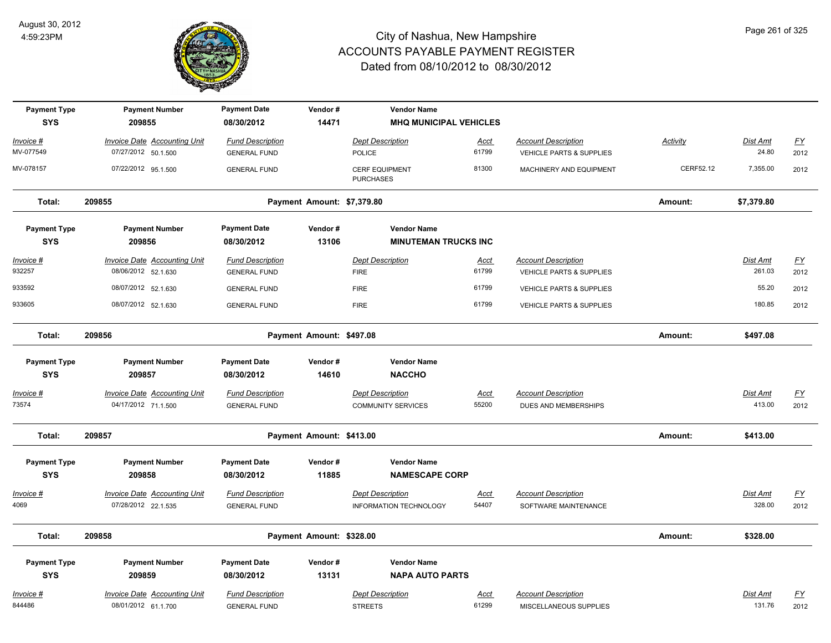

| <b>Payment Type</b><br><b>SYS</b> | <b>Payment Number</b><br>209855                            | <b>Payment Date</b><br>08/30/2012              | Vendor#<br>14471           | <b>Vendor Name</b><br><b>MHQ MUNICIPAL VEHICLES</b>      |                      |                                                    |           |                    |                           |
|-----------------------------------|------------------------------------------------------------|------------------------------------------------|----------------------------|----------------------------------------------------------|----------------------|----------------------------------------------------|-----------|--------------------|---------------------------|
| Invoice #                         | Invoice Date Accounting Unit                               | <b>Fund Description</b>                        |                            | <b>Dept Description</b>                                  | <u>Acct</u>          | <b>Account Description</b>                         | Activity  | Dist Amt           | EY                        |
| MV-077549                         | 07/27/2012 50.1.500                                        | <b>GENERAL FUND</b>                            |                            | POLICE                                                   | 61799                | VEHICLE PARTS & SUPPLIES                           |           | 24.80              | 2012                      |
| MV-078157                         | 07/22/2012 95.1.500                                        | <b>GENERAL FUND</b>                            |                            | <b>CERF EQUIPMENT</b><br><b>PURCHASES</b>                | 81300                | MACHINERY AND EQUIPMENT                            | CERF52.12 | 7,355.00           | 2012                      |
| Total:                            | 209855                                                     |                                                | Payment Amount: \$7,379.80 |                                                          |                      |                                                    | Amount:   | \$7,379.80         |                           |
| <b>Payment Type</b><br><b>SYS</b> | <b>Payment Number</b><br>209856                            | <b>Payment Date</b><br>08/30/2012              | Vendor#<br>13106           | <b>Vendor Name</b><br><b>MINUTEMAN TRUCKS INC</b>        |                      |                                                    |           |                    |                           |
| Invoice #                         | <b>Invoice Date Accounting Unit</b>                        | <b>Fund Description</b>                        |                            | <b>Dept Description</b>                                  | <u>Acct</u>          | <b>Account Description</b>                         |           | Dist Amt           | $\underline{\mathsf{FY}}$ |
| 932257                            | 08/06/2012 52.1.630                                        | <b>GENERAL FUND</b>                            |                            | <b>FIRE</b>                                              | 61799                | VEHICLE PARTS & SUPPLIES                           |           | 261.03             | 2012                      |
| 933592                            | 08/07/2012 52.1.630                                        | <b>GENERAL FUND</b>                            |                            | <b>FIRE</b>                                              | 61799                | <b>VEHICLE PARTS &amp; SUPPLIES</b>                |           | 55.20              | 2012                      |
| 933605                            | 08/07/2012 52.1.630                                        | <b>GENERAL FUND</b>                            |                            | <b>FIRE</b>                                              | 61799                | <b>VEHICLE PARTS &amp; SUPPLIES</b>                |           | 180.85             | 2012                      |
| Total:                            | 209856                                                     |                                                | Payment Amount: \$497.08   |                                                          |                      |                                                    | Amount:   | \$497.08           |                           |
| <b>Payment Type</b>               | <b>Payment Number</b>                                      | <b>Payment Date</b>                            | Vendor#                    | <b>Vendor Name</b>                                       |                      |                                                    |           |                    |                           |
| <b>SYS</b>                        | 209857                                                     | 08/30/2012                                     | 14610                      | <b>NACCHO</b>                                            |                      |                                                    |           |                    |                           |
| Invoice #                         | <b>Invoice Date Accounting Unit</b>                        | <b>Fund Description</b>                        |                            | <b>Dept Description</b>                                  | Acct                 | <b>Account Description</b>                         |           | <b>Dist Amt</b>    | $\underline{FY}$          |
| 73574                             | 04/17/2012 71.1.500                                        | <b>GENERAL FUND</b>                            |                            | <b>COMMUNITY SERVICES</b>                                | 55200                | DUES AND MEMBERSHIPS                               |           | 413.00             | 2012                      |
| Total:                            | 209857                                                     |                                                | Payment Amount: \$413.00   |                                                          |                      |                                                    | Amount:   | \$413.00           |                           |
| <b>Payment Type</b><br><b>SYS</b> | <b>Payment Number</b><br>209858                            | <b>Payment Date</b><br>08/30/2012              | Vendor#<br>11885           | <b>Vendor Name</b><br><b>NAMESCAPE CORP</b>              |                      |                                                    |           |                    |                           |
| Invoice #<br>4069                 | <b>Invoice Date Accounting Unit</b><br>07/28/2012 22.1.535 | <b>Fund Description</b><br><b>GENERAL FUND</b> |                            | <b>Dept Description</b><br><b>INFORMATION TECHNOLOGY</b> | <b>Acct</b><br>54407 | <b>Account Description</b><br>SOFTWARE MAINTENANCE |           | Dist Amt<br>328.00 | $\underline{FY}$<br>2012  |
| Total:                            | 209858                                                     |                                                | Payment Amount: \$328.00   |                                                          |                      |                                                    | Amount:   | \$328.00           |                           |
| <b>Payment Type</b><br><b>SYS</b> | <b>Payment Number</b><br>209859                            | <b>Payment Date</b><br>08/30/2012              | Vendor#<br>13131           | <b>Vendor Name</b><br><b>NAPA AUTO PARTS</b>             |                      |                                                    |           |                    |                           |
| Invoice #                         | <b>Invoice Date Accounting Unit</b>                        | <b>Fund Description</b>                        |                            | <b>Dept Description</b>                                  | <b>Acct</b>          | <b>Account Description</b>                         |           | Dist Amt           | <u>FY</u>                 |
| 844486                            | 08/01/2012 61.1.700                                        | <b>GENERAL FUND</b>                            |                            | <b>STREETS</b>                                           | 61299                | MISCELLANEOUS SUPPLIES                             |           | 131.76             | 2012                      |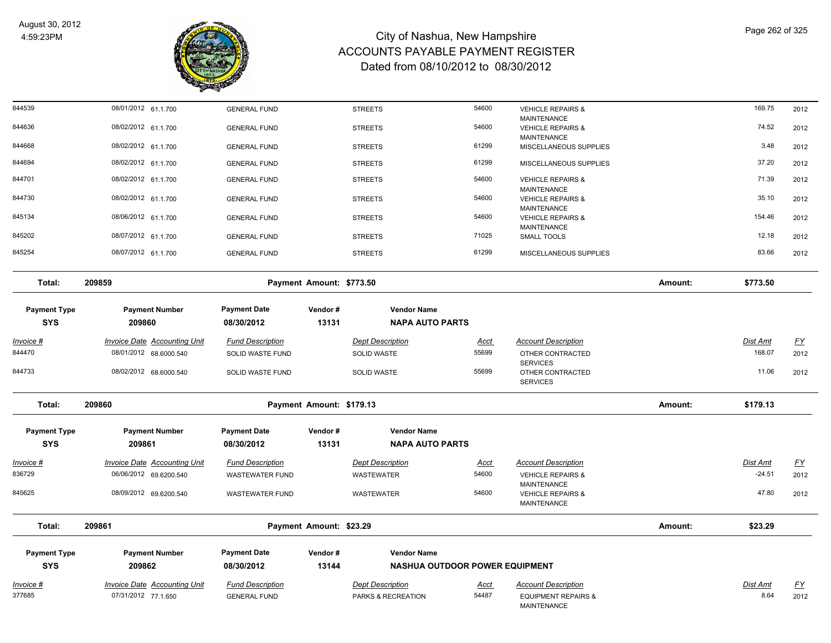

| 844539              | 08/01/2012 61.1.700                 | <b>GENERAL FUND</b>     |                          | <b>STREETS</b>                                | 54600                | <b>VEHICLE REPAIRS &amp;</b>                       |         | 169.75          | 2012              |
|---------------------|-------------------------------------|-------------------------|--------------------------|-----------------------------------------------|----------------------|----------------------------------------------------|---------|-----------------|-------------------|
| 844636              | 08/02/2012 61.1.700                 | <b>GENERAL FUND</b>     |                          | <b>STREETS</b>                                | 54600                | <b>MAINTENANCE</b><br><b>VEHICLE REPAIRS &amp;</b> |         | 74.52           | 2012              |
| 844668              | 08/02/2012 61.1.700                 | <b>GENERAL FUND</b>     |                          | <b>STREETS</b>                                | 61299                | <b>MAINTENANCE</b><br>MISCELLANEOUS SUPPLIES       |         | 3.48            | 2012              |
| 844694              | 08/02/2012 61.1.700                 | <b>GENERAL FUND</b>     |                          | <b>STREETS</b>                                | 61299                | MISCELLANEOUS SUPPLIES                             |         | 37.20           | 2012              |
| 844701              | 08/02/2012 61.1.700                 | <b>GENERAL FUND</b>     |                          | <b>STREETS</b>                                | 54600                | <b>VEHICLE REPAIRS &amp;</b>                       |         | 71.39           | 2012              |
| 844730              | 08/02/2012 61.1.700                 | <b>GENERAL FUND</b>     |                          | <b>STREETS</b>                                | 54600                | <b>MAINTENANCE</b><br><b>VEHICLE REPAIRS &amp;</b> |         | 35.10           | 2012              |
| 845134              | 08/06/2012 61.1.700                 | <b>GENERAL FUND</b>     |                          | <b>STREETS</b>                                | 54600                | MAINTENANCE<br><b>VEHICLE REPAIRS &amp;</b>        |         | 154.46          | 2012              |
|                     |                                     |                         |                          |                                               |                      | <b>MAINTENANCE</b>                                 |         |                 |                   |
| 845202              | 08/07/2012 61.1.700                 | <b>GENERAL FUND</b>     |                          | <b>STREETS</b>                                | 71025                | SMALL TOOLS                                        |         | 12.18           | 2012              |
| 845254              | 08/07/2012 61.1.700                 | <b>GENERAL FUND</b>     |                          | <b>STREETS</b>                                | 61299                | MISCELLANEOUS SUPPLIES                             |         | 83.66           | 2012              |
| Total:              | 209859                              |                         | Payment Amount: \$773.50 |                                               |                      |                                                    | Amount: | \$773.50        |                   |
| <b>Payment Type</b> | <b>Payment Number</b>               | <b>Payment Date</b>     | Vendor#                  | <b>Vendor Name</b>                            |                      |                                                    |         |                 |                   |
| <b>SYS</b>          | 209860                              | 08/30/2012              | 13131                    | <b>NAPA AUTO PARTS</b>                        |                      |                                                    |         |                 |                   |
| <u>Invoice #</u>    | <b>Invoice Date Accounting Unit</b> | <b>Fund Description</b> |                          | <b>Dept Description</b>                       | <u>Acct</u>          | <b>Account Description</b>                         |         | <b>Dist Amt</b> | <u>FY</u>         |
| 844470              | 08/01/2012 68.6000.540              | SOLID WASTE FUND        |                          | SOLID WASTE                                   | 55699                | OTHER CONTRACTED<br><b>SERVICES</b>                |         | 168.07          | 2012              |
| 844733              | 08/02/2012 68.6000.540              | SOLID WASTE FUND        |                          | SOLID WASTE                                   | 55699                | OTHER CONTRACTED<br><b>SERVICES</b>                |         | 11.06           | 2012              |
| Total:              | 209860                              |                         | Payment Amount: \$179.13 |                                               |                      |                                                    | Amount: | \$179.13        |                   |
| <b>Payment Type</b> | <b>Payment Number</b>               | <b>Payment Date</b>     | Vendor#                  | <b>Vendor Name</b>                            |                      |                                                    |         |                 |                   |
| <b>SYS</b>          | 209861                              | 08/30/2012              | 13131                    | <b>NAPA AUTO PARTS</b>                        |                      |                                                    |         |                 |                   |
| Invoice #           | <b>Invoice Date Accounting Unit</b> | <b>Fund Description</b> |                          | <b>Dept Description</b>                       | <u>Acct</u>          | <b>Account Description</b>                         |         | Dist Amt        | $\underline{FY}$  |
| 836729              | 06/06/2012 69.6200.540              | <b>WASTEWATER FUND</b>  |                          | <b>WASTEWATER</b>                             | 54600                | <b>VEHICLE REPAIRS &amp;</b>                       |         | $-24.51$        | 2012              |
| 845625              | 08/09/2012 69.6200.540              | <b>WASTEWATER FUND</b>  |                          | WASTEWATER                                    | 54600                | MAINTENANCE<br><b>VEHICLE REPAIRS &amp;</b>        |         | 47.80           | 2012              |
|                     |                                     |                         |                          |                                               |                      | MAINTENANCE                                        |         |                 |                   |
| Total:              | 209861                              |                         | Payment Amount: \$23.29  |                                               |                      |                                                    | Amount: | \$23.29         |                   |
| <b>Payment Type</b> | <b>Payment Number</b>               | <b>Payment Date</b>     | Vendor#                  | <b>Vendor Name</b>                            |                      |                                                    |         |                 |                   |
| <b>SYS</b>          | 209862                              | 08/30/2012              | 13144                    | <b>NASHUA OUTDOOR POWER EQUIPMENT</b>         |                      |                                                    |         |                 |                   |
|                     | Invoice Date Accounting Unit        | <b>Fund Description</b> |                          |                                               |                      | <b>Account Description</b>                         |         | Dist Amt        |                   |
| Invoice #<br>377685 | 07/31/2012 77.1.650                 | <b>GENERAL FUND</b>     |                          | <b>Dept Description</b><br>PARKS & RECREATION | <u>Acct</u><br>54487 | <b>EQUIPMENT REPAIRS &amp;</b>                     |         | 8.64            | <u>FY</u><br>2012 |
|                     |                                     |                         |                          |                                               |                      | <b>MAINTENANCE</b>                                 |         |                 |                   |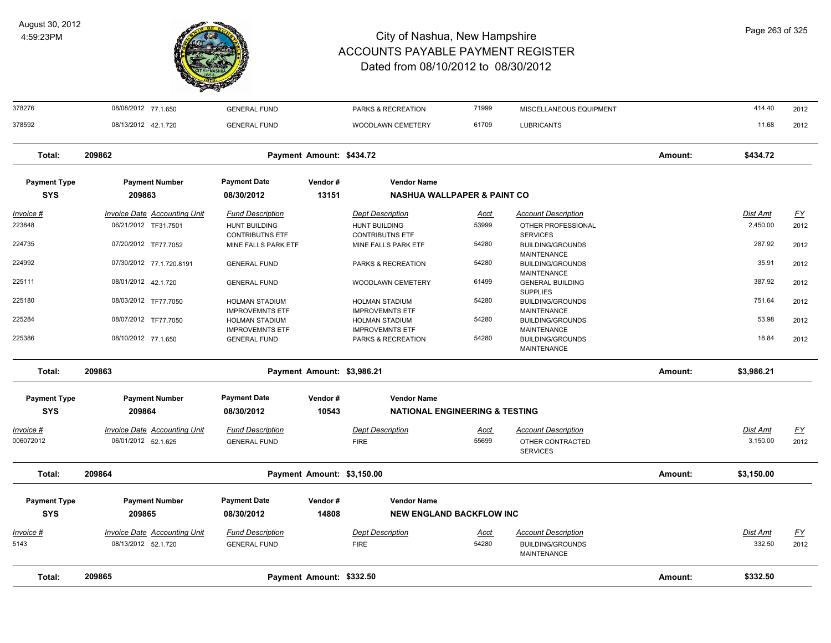

378276 08/08/2012 77.1.650 GENERAL FUND PARKS & RECREATION 71999 MISCELLANEOUS EQUIPMENT 414.40 2012

| 378592                            | 08/13/2012 42.1.720                                        | <b>GENERAL FUND</b>                             |                            | WOODLAWN CEMETERY                                               | 61709                | <b>LUBRICANTS</b>                                                           |         | 11.68                | 2012              |
|-----------------------------------|------------------------------------------------------------|-------------------------------------------------|----------------------------|-----------------------------------------------------------------|----------------------|-----------------------------------------------------------------------------|---------|----------------------|-------------------|
| Total:                            | 209862                                                     |                                                 | Payment Amount: \$434.72   |                                                                 |                      |                                                                             | Amount: | \$434.72             |                   |
| <b>Payment Type</b><br><b>SYS</b> | <b>Payment Number</b><br>209863                            | <b>Payment Date</b><br>08/30/2012               | Vendor#<br>13151           | <b>Vendor Name</b><br><b>NASHUA WALLPAPER &amp; PAINT CO</b>    |                      |                                                                             |         |                      |                   |
| Invoice #                         | <b>Invoice Date Accounting Unit</b>                        | <b>Fund Description</b>                         |                            | <b>Dept Description</b>                                         | <u>Acct</u>          | <b>Account Description</b>                                                  |         | <u>Dist Amt</u>      | <u>FY</u>         |
| 223848                            | 06/21/2012 TF31.7501                                       | <b>HUNT BUILDING</b><br><b>CONTRIBUTNS ETF</b>  |                            | <b>HUNT BUILDING</b><br><b>CONTRIBUTNS ETF</b>                  | 53999                | OTHER PROFESSIONAL<br><b>SERVICES</b>                                       |         | 2,450.00             | 2012              |
| 224735                            | 07/20/2012 TF77.7052                                       | MINE FALLS PARK ETF                             |                            | MINE FALLS PARK ETF                                             | 54280                | <b>BUILDING/GROUNDS</b>                                                     |         | 287.92               | 2012              |
| 224992                            | 07/30/2012 77.1.720.8191                                   | <b>GENERAL FUND</b>                             |                            | PARKS & RECREATION                                              | 54280                | <b>MAINTENANCE</b><br><b>BUILDING/GROUNDS</b>                               |         | 35.91                | 2012              |
| 225111                            | 08/01/2012 42.1.720                                        | <b>GENERAL FUND</b>                             |                            | WOODLAWN CEMETERY                                               | 61499                | <b>MAINTENANCE</b><br><b>GENERAL BUILDING</b><br><b>SUPPLIES</b>            |         | 387.92               | 2012              |
| 225180                            | 08/03/2012 TF77.7050                                       | <b>HOLMAN STADIUM</b><br><b>IMPROVEMNTS ETF</b> |                            | <b>HOLMAN STADIUM</b><br><b>IMPROVEMNTS ETF</b>                 | 54280                | <b>BUILDING/GROUNDS</b><br><b>MAINTENANCE</b>                               |         | 751.64               | 2012              |
| 225284                            | 08/07/2012 TF77.7050                                       | <b>HOLMAN STADIUM</b><br><b>IMPROVEMNTS ETF</b> |                            | <b>HOLMAN STADIUM</b><br><b>IMPROVEMNTS ETF</b>                 | 54280                | <b>BUILDING/GROUNDS</b><br><b>MAINTENANCE</b>                               |         | 53.98                | 2012              |
| 225386                            | 08/10/2012 77.1.650                                        | <b>GENERAL FUND</b>                             |                            | PARKS & RECREATION                                              | 54280                | <b>BUILDING/GROUNDS</b><br><b>MAINTENANCE</b>                               |         | 18.84                | 2012              |
| Total:                            | 209863                                                     |                                                 | Payment Amount: \$3,986.21 |                                                                 |                      |                                                                             | Amount: | \$3,986.21           |                   |
| <b>Payment Type</b><br><b>SYS</b> | <b>Payment Number</b><br>209864                            | <b>Payment Date</b><br>08/30/2012               | Vendor#<br>10543           | <b>Vendor Name</b><br><b>NATIONAL ENGINEERING &amp; TESTING</b> |                      |                                                                             |         |                      |                   |
| Invoice #<br>006072012            | <b>Invoice Date Accounting Unit</b><br>06/01/2012 52.1.625 | <b>Fund Description</b><br><b>GENERAL FUND</b>  |                            | <b>Dept Description</b><br><b>FIRE</b>                          | Acct<br>55699        | <b>Account Description</b><br>OTHER CONTRACTED<br><b>SERVICES</b>           |         | Dist Amt<br>3,150.00 | <u>FY</u><br>2012 |
| Total:                            | 209864                                                     |                                                 | Payment Amount: \$3,150.00 |                                                                 |                      |                                                                             | Amount: | \$3,150.00           |                   |
| <b>Payment Type</b>               | <b>Payment Number</b>                                      | <b>Payment Date</b>                             | Vendor#                    | <b>Vendor Name</b>                                              |                      |                                                                             |         |                      |                   |
| <b>SYS</b>                        | 209865                                                     | 08/30/2012                                      | 14808                      | <b>NEW ENGLAND BACKFLOW INC</b>                                 |                      |                                                                             |         |                      |                   |
| Invoice #<br>5143                 | <b>Invoice Date Accounting Unit</b><br>08/13/2012 52.1.720 | <b>Fund Description</b><br><b>GENERAL FUND</b>  |                            | <b>Dept Description</b><br><b>FIRE</b>                          | <u>Acct</u><br>54280 | <b>Account Description</b><br><b>BUILDING/GROUNDS</b><br><b>MAINTENANCE</b> |         | Dist Amt<br>332.50   | <u>FY</u><br>2012 |
| Total:                            | 209865                                                     |                                                 | Payment Amount: \$332.50   |                                                                 |                      |                                                                             | Amount: | \$332.50             |                   |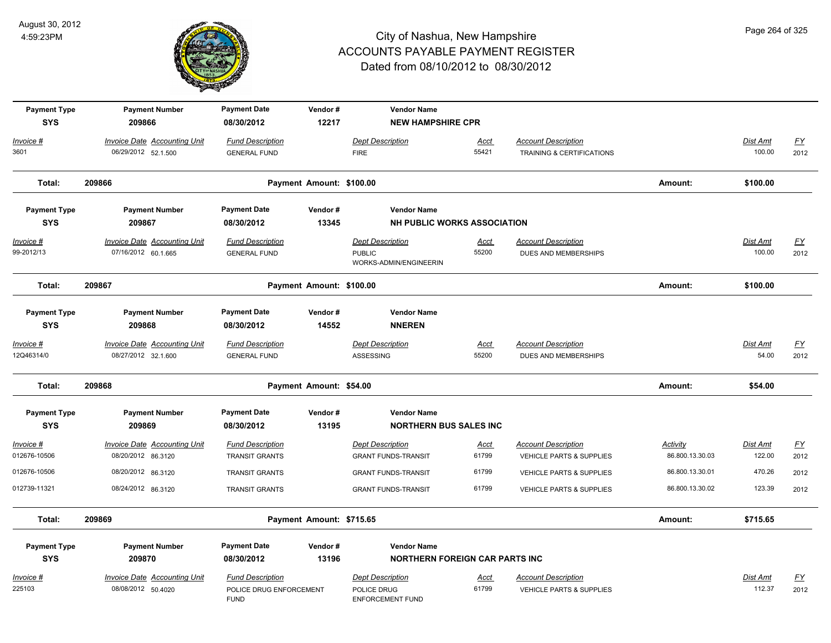

| <b>Payment Type</b><br><b>SYS</b> | <b>Payment Number</b><br>209866                            | <b>Payment Date</b><br>08/30/2012                                 | Vendor#<br>12217         | <b>Vendor Name</b><br><b>NEW HAMPSHIRE CPR</b>                     |                      |                                                                   |                             |                    |                          |
|-----------------------------------|------------------------------------------------------------|-------------------------------------------------------------------|--------------------------|--------------------------------------------------------------------|----------------------|-------------------------------------------------------------------|-----------------------------|--------------------|--------------------------|
| Invoice #<br>3601                 | <b>Invoice Date Accounting Unit</b><br>06/29/2012 52.1.500 | <b>Fund Description</b><br><b>GENERAL FUND</b>                    |                          | <b>Dept Description</b><br><b>FIRE</b>                             | Acct<br>55421        | <b>Account Description</b><br>TRAINING & CERTIFICATIONS           |                             | Dist Amt<br>100.00 | EY<br>2012               |
| Total:                            | 209866                                                     |                                                                   | Payment Amount: \$100.00 |                                                                    |                      |                                                                   | Amount:                     | \$100.00           |                          |
| <b>Payment Type</b><br><b>SYS</b> | <b>Payment Number</b><br>209867                            | <b>Payment Date</b><br>08/30/2012                                 | Vendor#<br>13345         | <b>Vendor Name</b><br><b>NH PUBLIC WORKS ASSOCIATION</b>           |                      |                                                                   |                             |                    |                          |
| $Invoice$ #<br>99-2012/13         | <b>Invoice Date Accounting Unit</b><br>07/16/2012 60.1.665 | <b>Fund Description</b><br><b>GENERAL FUND</b>                    |                          | <b>Dept Description</b><br><b>PUBLIC</b><br>WORKS-ADMIN/ENGINEERIN | Acct<br>55200        | <b>Account Description</b><br>DUES AND MEMBERSHIPS                |                             | Dist Amt<br>100.00 | <u>FY</u><br>2012        |
| Total:                            | 209867                                                     |                                                                   | Payment Amount: \$100.00 |                                                                    |                      |                                                                   | Amount:                     | \$100.00           |                          |
| <b>Payment Type</b><br><b>SYS</b> | <b>Payment Number</b><br>209868                            | <b>Payment Date</b><br>08/30/2012                                 | Vendor#<br>14552         | <b>Vendor Name</b><br><b>NNEREN</b>                                |                      |                                                                   |                             |                    |                          |
| Invoice #<br>12Q46314/0           | Invoice Date Accounting Unit<br>08/27/2012 32.1.600        | <b>Fund Description</b><br><b>GENERAL FUND</b>                    |                          | <b>Dept Description</b><br>ASSESSING                               | Acct<br>55200        | <b>Account Description</b><br>DUES AND MEMBERSHIPS                |                             | Dist Amt<br>54.00  | <u>FY</u><br>2012        |
| Total:                            | 209868                                                     |                                                                   | Payment Amount: \$54.00  |                                                                    |                      |                                                                   | Amount:                     | \$54.00            |                          |
| <b>Payment Type</b><br><b>SYS</b> | <b>Payment Number</b><br>209869                            | <b>Payment Date</b><br>08/30/2012                                 | Vendor#<br>13195         | <b>Vendor Name</b><br><b>NORTHERN BUS SALES INC</b>                |                      |                                                                   |                             |                    |                          |
| Invoice #<br>012676-10506         | <b>Invoice Date Accounting Unit</b><br>08/20/2012 86.3120  | <b>Fund Description</b><br><b>TRANSIT GRANTS</b>                  |                          | <b>Dept Description</b><br><b>GRANT FUNDS-TRANSIT</b>              | <u>Acct</u><br>61799 | <b>Account Description</b><br><b>VEHICLE PARTS &amp; SUPPLIES</b> | Activity<br>86.800.13.30.03 | Dist Amt<br>122.00 | <u>FY</u><br>2012        |
| 012676-10506                      | 08/20/2012 86.3120                                         | <b>TRANSIT GRANTS</b>                                             |                          | <b>GRANT FUNDS-TRANSIT</b>                                         | 61799                | <b>VEHICLE PARTS &amp; SUPPLIES</b>                               | 86.800.13.30.01             | 470.26             | 2012                     |
| 012739-11321                      | 08/24/2012 86.3120                                         | <b>TRANSIT GRANTS</b>                                             |                          | <b>GRANT FUNDS-TRANSIT</b>                                         | 61799                | VEHICLE PARTS & SUPPLIES                                          | 86.800.13.30.02             | 123.39             | 2012                     |
| Total:                            | 209869                                                     |                                                                   | Payment Amount: \$715.65 |                                                                    |                      |                                                                   | Amount:                     | \$715.65           |                          |
| <b>Payment Type</b>               | <b>Payment Number</b>                                      | <b>Payment Date</b>                                               | Vendor#                  | <b>Vendor Name</b>                                                 |                      |                                                                   |                             |                    |                          |
| <b>SYS</b>                        | 209870                                                     | 08/30/2012                                                        | 13196                    | <b>NORTHERN FOREIGN CAR PARTS INC</b>                              |                      |                                                                   |                             |                    |                          |
| Invoice #<br>225103               | <b>Invoice Date Accounting Unit</b><br>08/08/2012 50.4020  | <b>Fund Description</b><br>POLICE DRUG ENFORCEMENT<br><b>FUND</b> |                          | <b>Dept Description</b><br>POLICE DRUG<br><b>ENFORCEMENT FUND</b>  | <u>Acct</u><br>61799 | <b>Account Description</b><br><b>VEHICLE PARTS &amp; SUPPLIES</b> |                             | Dist Amt<br>112.37 | $\underline{FY}$<br>2012 |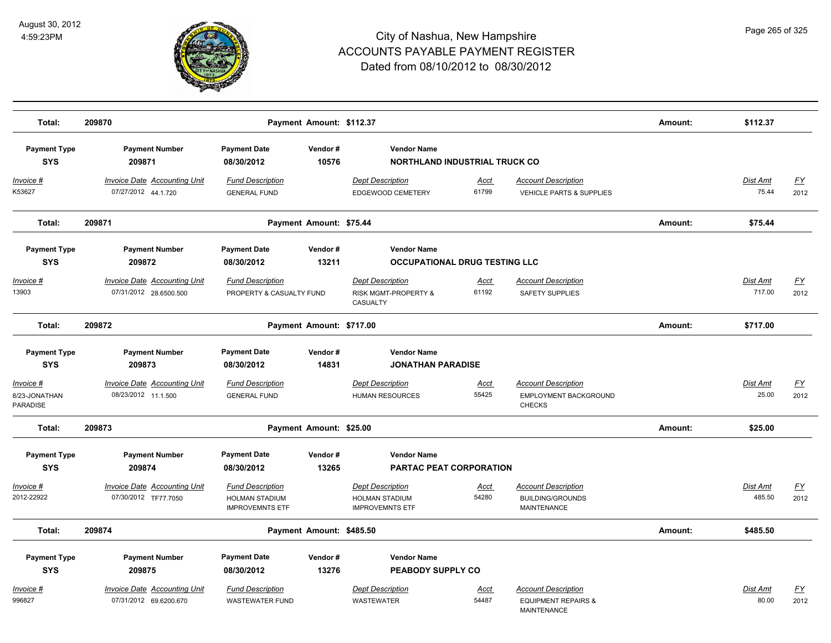

| Total:                                 | 209870                                                        |                                                                            | Payment Amount: \$112.37 |                                                                            |                      |                                                                                    | Amount: | \$112.37                 |                   |
|----------------------------------------|---------------------------------------------------------------|----------------------------------------------------------------------------|--------------------------|----------------------------------------------------------------------------|----------------------|------------------------------------------------------------------------------------|---------|--------------------------|-------------------|
| <b>Payment Type</b><br><b>SYS</b>      | <b>Payment Number</b><br>209871                               | <b>Payment Date</b><br>08/30/2012                                          | Vendor#<br>10576         | <b>Vendor Name</b><br><b>NORTHLAND INDUSTRIAL TRUCK CO</b>                 |                      |                                                                                    |         |                          |                   |
| <u> Invoice #</u><br>K53627            | <b>Invoice Date Accounting Unit</b><br>07/27/2012 44.1.720    | <b>Fund Description</b><br><b>GENERAL FUND</b>                             |                          | <b>Dept Description</b><br>EDGEWOOD CEMETERY                               | Acct<br>61799        | <b>Account Description</b><br>VEHICLE PARTS & SUPPLIES                             |         | <b>Dist Amt</b><br>75.44 | <u>FY</u><br>2012 |
| Total:                                 | 209871                                                        |                                                                            | Payment Amount: \$75.44  |                                                                            |                      |                                                                                    | Amount: | \$75.44                  |                   |
| <b>Payment Type</b>                    | <b>Payment Number</b>                                         | <b>Payment Date</b>                                                        | Vendor#                  | <b>Vendor Name</b>                                                         |                      |                                                                                    |         |                          |                   |
| <b>SYS</b>                             | 209872                                                        | 08/30/2012                                                                 | 13211                    | <b>OCCUPATIONAL DRUG TESTING LLC</b>                                       |                      |                                                                                    |         |                          |                   |
| <u> Invoice #</u><br>13903             | <b>Invoice Date Accounting Unit</b><br>07/31/2012 28.6500.500 | <b>Fund Description</b><br>PROPERTY & CASUALTY FUND                        |                          | <b>Dept Description</b><br>RISK MGMT-PROPERTY &<br>CASUALTY                | <u>Acct</u><br>61192 | <b>Account Description</b><br><b>SAFETY SUPPLIES</b>                               |         | Dist Amt<br>717.00       | <u>FY</u><br>2012 |
| Total:                                 | 209872                                                        |                                                                            | Payment Amount: \$717.00 |                                                                            |                      |                                                                                    | Amount: | \$717.00                 |                   |
| <b>Payment Type</b>                    | <b>Payment Number</b>                                         | <b>Payment Date</b>                                                        | Vendor#                  | <b>Vendor Name</b>                                                         |                      |                                                                                    |         |                          |                   |
| <b>SYS</b>                             | 209873                                                        | 08/30/2012                                                                 | 14831                    | <b>JONATHAN PARADISE</b>                                                   |                      |                                                                                    |         |                          |                   |
| Invoice #<br>8/23-JONATHAN<br>PARADISE | <b>Invoice Date Accounting Unit</b><br>08/23/2012 11.1.500    | <b>Fund Description</b><br><b>GENERAL FUND</b>                             |                          | <b>Dept Description</b><br><b>HUMAN RESOURCES</b>                          | <u>Acct</u><br>55425 | <b>Account Description</b><br>EMPLOYMENT BACKGROUND<br><b>CHECKS</b>               |         | Dist Amt<br>25.00        | <u>FY</u><br>2012 |
| Total:                                 | 209873                                                        |                                                                            | Payment Amount: \$25.00  |                                                                            |                      |                                                                                    | Amount: | \$25.00                  |                   |
| <b>Payment Type</b><br><b>SYS</b>      | <b>Payment Number</b><br>209874                               | <b>Payment Date</b><br>08/30/2012                                          | Vendor#<br>13265         | <b>Vendor Name</b><br>PARTAC PEAT CORPORATION                              |                      |                                                                                    |         |                          |                   |
| <u> Invoice #</u><br>2012-22922        | <b>Invoice Date Accounting Unit</b><br>07/30/2012 TF77.7050   | <b>Fund Description</b><br><b>HOLMAN STADIUM</b><br><b>IMPROVEMNTS ETF</b> |                          | <b>Dept Description</b><br><b>HOLMAN STADIUM</b><br><b>IMPROVEMNTS ETF</b> | <u>Acct</u><br>54280 | <b>Account Description</b><br><b>BUILDING/GROUNDS</b><br>MAINTENANCE               |         | Dist Amt<br>485.50       | <u>FY</u><br>2012 |
| Total:                                 | 209874                                                        |                                                                            | Payment Amount: \$485.50 |                                                                            |                      |                                                                                    | Amount: | \$485.50                 |                   |
| <b>Payment Type</b><br><b>SYS</b>      | <b>Payment Number</b><br>209875                               | <b>Payment Date</b><br>08/30/2012                                          | Vendor#<br>13276         | <b>Vendor Name</b><br>PEABODY SUPPLY CO                                    |                      |                                                                                    |         |                          |                   |
| <u> Invoice #</u><br>996827            | <b>Invoice Date Accounting Unit</b><br>07/31/2012 69.6200.670 | <b>Fund Description</b><br><b>WASTEWATER FUND</b>                          |                          | <b>Dept Description</b><br><b>WASTEWATER</b>                               | <u>Acct</u><br>54487 | <b>Account Description</b><br><b>EQUIPMENT REPAIRS &amp;</b><br><b>MAINTENANCE</b> |         | Dist Amt<br>80.00        | <u>FY</u><br>2012 |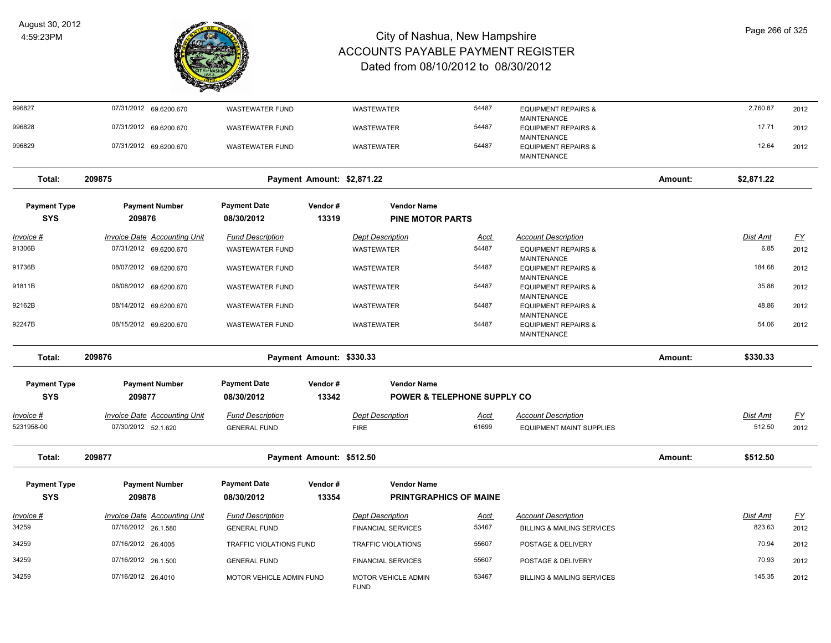

| 996827                            |                                     |                                   |                            |                                                     |             |                                                      |         |                 |                   |
|-----------------------------------|-------------------------------------|-----------------------------------|----------------------------|-----------------------------------------------------|-------------|------------------------------------------------------|---------|-----------------|-------------------|
|                                   | 07/31/2012 69.6200.670              | <b>WASTEWATER FUND</b>            |                            | <b>WASTEWATER</b>                                   | 54487       | <b>EQUIPMENT REPAIRS &amp;</b>                       |         | 2,760.87        | 2012              |
| 996828                            | 07/31/2012 69.6200.670              | <b>WASTEWATER FUND</b>            |                            | <b>WASTEWATER</b>                                   | 54487       | <b>MAINTENANCE</b><br><b>EQUIPMENT REPAIRS &amp;</b> |         | 17.71           | 2012              |
|                                   |                                     |                                   |                            |                                                     |             | <b>MAINTENANCE</b>                                   |         |                 |                   |
| 996829                            | 07/31/2012 69.6200.670              | <b>WASTEWATER FUND</b>            |                            | WASTEWATER                                          | 54487       | <b>EQUIPMENT REPAIRS &amp;</b><br><b>MAINTENANCE</b> |         | 12.64           | 2012              |
| Total:                            | 209875                              |                                   | Payment Amount: \$2,871.22 |                                                     |             |                                                      | Amount: | \$2,871.22      |                   |
|                                   |                                     |                                   |                            |                                                     |             |                                                      |         |                 |                   |
| <b>Payment Type</b>               | <b>Payment Number</b>               | <b>Payment Date</b>               | Vendor#                    | <b>Vendor Name</b>                                  |             |                                                      |         |                 |                   |
| <b>SYS</b>                        | 209876                              | 08/30/2012                        | 13319                      | <b>PINE MOTOR PARTS</b>                             |             |                                                      |         |                 |                   |
| <u> Invoice #</u>                 | <b>Invoice Date Accounting Unit</b> | <b>Fund Description</b>           |                            | <b>Dept Description</b>                             | <u>Acct</u> | <b>Account Description</b>                           |         | <u>Dist Amt</u> | <u>FY</u>         |
| 91306B                            | 07/31/2012 69.6200.670              | <b>WASTEWATER FUND</b>            |                            | <b>WASTEWATER</b>                                   | 54487       | <b>EQUIPMENT REPAIRS &amp;</b><br><b>MAINTENANCE</b> |         | 6.85            | 2012              |
| 91736B                            | 08/07/2012 69.6200.670              | <b>WASTEWATER FUND</b>            |                            | WASTEWATER                                          | 54487       | <b>EQUIPMENT REPAIRS &amp;</b><br><b>MAINTENANCE</b> |         | 184.68          | 2012              |
| 91811B                            | 08/08/2012 69.6200.670              | <b>WASTEWATER FUND</b>            |                            | WASTEWATER                                          | 54487       | <b>EQUIPMENT REPAIRS &amp;</b><br><b>MAINTENANCE</b> |         | 35.88           | 2012              |
| 92162B                            | 08/14/2012 69.6200.670              | <b>WASTEWATER FUND</b>            |                            | WASTEWATER                                          | 54487       | <b>EQUIPMENT REPAIRS &amp;</b><br><b>MAINTENANCE</b> |         | 48.86           | 2012              |
| 92247B                            | 08/15/2012 69.6200.670              | <b>WASTEWATER FUND</b>            |                            | <b>WASTEWATER</b>                                   | 54487       | <b>EQUIPMENT REPAIRS &amp;</b><br><b>MAINTENANCE</b> |         | 54.06           | 2012              |
|                                   |                                     |                                   | Payment Amount: \$330.33   |                                                     |             |                                                      | Amount: | \$330.33        |                   |
| Total:                            | 209876                              |                                   |                            |                                                     |             |                                                      |         |                 |                   |
| <b>Payment Type</b>               | <b>Payment Number</b>               | <b>Payment Date</b>               | Vendor#                    | <b>Vendor Name</b>                                  |             |                                                      |         |                 |                   |
| <b>SYS</b>                        | 209877                              | 08/30/2012                        | 13342                      | <b>POWER &amp; TELEPHONE SUPPLY CO</b>              |             |                                                      |         |                 |                   |
|                                   | Invoice Date Accounting Unit        | <b>Fund Description</b>           |                            | <b>Dept Description</b>                             | Acct        | <b>Account Description</b>                           |         | Dist Amt        |                   |
| Invoice #<br>5231958-00           | 07/30/2012 52.1.620                 | <b>GENERAL FUND</b>               |                            | <b>FIRE</b>                                         | 61699       | <b>EQUIPMENT MAINT SUPPLIES</b>                      |         | 512.50          | <u>FY</u><br>2012 |
|                                   |                                     |                                   |                            |                                                     |             |                                                      |         |                 |                   |
| Total:                            | 209877                              |                                   | Payment Amount: \$512.50   |                                                     |             |                                                      | Amount: | \$512.50        |                   |
|                                   |                                     |                                   |                            |                                                     |             |                                                      |         |                 |                   |
| <b>Payment Type</b><br><b>SYS</b> | <b>Payment Number</b><br>209878     | <b>Payment Date</b><br>08/30/2012 | Vendor#<br>13354           | <b>Vendor Name</b><br><b>PRINTGRAPHICS OF MAINE</b> |             |                                                      |         |                 |                   |
|                                   |                                     |                                   |                            |                                                     |             |                                                      |         |                 |                   |
| Invoice #                         | Invoice Date Accounting Unit        | <b>Fund Description</b>           |                            | <b>Dept Description</b>                             | <u>Acct</u> | <b>Account Description</b>                           |         | Dist Amt        | $\underline{FY}$  |
|                                   | 07/16/2012 26.1.580                 | <b>GENERAL FUND</b>               |                            | <b>FINANCIAL SERVICES</b>                           | 53467       | <b>BILLING &amp; MAILING SERVICES</b>                |         | 823.63          | 2012              |
| 34259<br>34259                    | 07/16/2012 26.4005                  | TRAFFIC VIOLATIONS FUND           |                            | TRAFFIC VIOLATIONS                                  | 55607       | POSTAGE & DELIVERY                                   |         | 70.94           | 2012              |
| 34259                             | 07/16/2012 26.1.500                 | <b>GENERAL FUND</b>               |                            | <b>FINANCIAL SERVICES</b>                           | 55607       | POSTAGE & DELIVERY                                   |         | 70.93           | 2012              |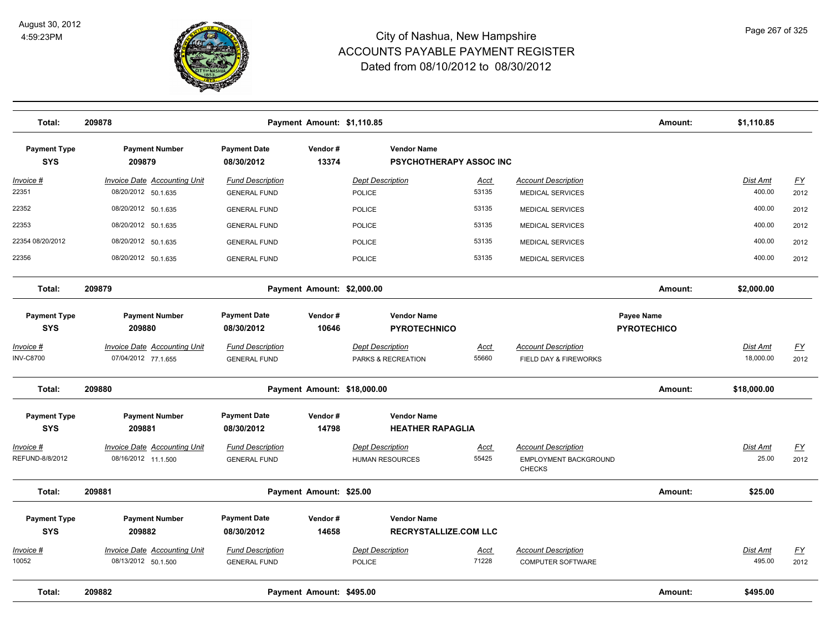

| Total:                                | 209878                                                     | Payment Amount: \$1,110.85                     |                  |                                                      |                      |                                                               | Amount:                          | \$1,110.85                |                   |
|---------------------------------------|------------------------------------------------------------|------------------------------------------------|------------------|------------------------------------------------------|----------------------|---------------------------------------------------------------|----------------------------------|---------------------------|-------------------|
| <b>Payment Type</b><br><b>SYS</b>     | <b>Payment Number</b><br>209879                            | <b>Payment Date</b><br>08/30/2012              | Vendor#<br>13374 | <b>Vendor Name</b><br><b>PSYCHOTHERAPY ASSOC INC</b> |                      |                                                               |                                  |                           |                   |
| <u> Invoice #</u><br>22351            | <b>Invoice Date Accounting Unit</b><br>08/20/2012 50.1.635 | <b>Fund Description</b><br><b>GENERAL FUND</b> |                  | <b>Dept Description</b><br><b>POLICE</b>             | <u>Acct</u><br>53135 | <b>Account Description</b><br><b>MEDICAL SERVICES</b>         |                                  | <b>Dist Amt</b><br>400.00 | EY<br>2012        |
| 22352                                 | 08/20/2012 50.1.635                                        | <b>GENERAL FUND</b>                            |                  | POLICE                                               | 53135                | <b>MEDICAL SERVICES</b>                                       |                                  | 400.00                    | 2012              |
| 22353                                 | 08/20/2012 50.1.635                                        | <b>GENERAL FUND</b>                            |                  | POLICE                                               | 53135                | <b>MEDICAL SERVICES</b>                                       |                                  | 400.00                    | 2012              |
| 22354 08/20/2012                      | 08/20/2012 50.1.635                                        | <b>GENERAL FUND</b>                            |                  | POLICE                                               | 53135                | <b>MEDICAL SERVICES</b>                                       |                                  | 400.00                    | 2012              |
| 22356                                 | 08/20/2012 50.1.635                                        | <b>GENERAL FUND</b>                            |                  | POLICE                                               | 53135                | <b>MEDICAL SERVICES</b>                                       |                                  | 400.00                    | 2012              |
| Total:                                | 209879                                                     | Payment Amount: \$2,000.00                     |                  |                                                      |                      |                                                               | Amount:                          | \$2,000.00                |                   |
| <b>Payment Type</b><br><b>SYS</b>     | <b>Payment Number</b><br>209880                            | <b>Payment Date</b><br>08/30/2012              | Vendor#<br>10646 | <b>Vendor Name</b><br><b>PYROTECHNICO</b>            |                      |                                                               | Payee Name<br><b>PYROTECHICO</b> |                           |                   |
| <u> Invoice #</u><br><b>INV-C8700</b> | <b>Invoice Date Accounting Unit</b><br>07/04/2012 77.1.655 | <b>Fund Description</b><br><b>GENERAL FUND</b> |                  | <b>Dept Description</b><br>PARKS & RECREATION        | <b>Acct</b><br>55660 | <b>Account Description</b><br>FIELD DAY & FIREWORKS           |                                  | Dist Amt<br>18,000.00     | <u>FY</u><br>2012 |
| Total:                                | 209880                                                     | Payment Amount: \$18,000.00                    |                  |                                                      |                      |                                                               | Amount:                          | \$18,000.00               |                   |
| <b>Payment Type</b><br><b>SYS</b>     | <b>Payment Number</b><br>209881                            | <b>Payment Date</b><br>08/30/2012              | Vendor#<br>14798 | <b>Vendor Name</b><br><b>HEATHER RAPAGLIA</b>        |                      |                                                               |                                  |                           |                   |
| Invoice #<br>REFUND-8/8/2012          | Invoice Date Accounting Unit<br>08/16/2012 11.1.500        | <b>Fund Description</b><br><b>GENERAL FUND</b> |                  | <b>Dept Description</b><br><b>HUMAN RESOURCES</b>    | Acct<br>55425        | <b>Account Description</b><br>EMPLOYMENT BACKGROUND<br>CHECKS |                                  | <b>Dist Amt</b><br>25.00  | <u>FY</u><br>2012 |
| Total:                                | 209881                                                     | Payment Amount: \$25.00                        |                  |                                                      |                      |                                                               | Amount:                          | \$25.00                   |                   |
| <b>Payment Type</b><br><b>SYS</b>     | <b>Payment Number</b><br>209882                            | <b>Payment Date</b><br>08/30/2012              | Vendor#<br>14658 | <b>Vendor Name</b><br><b>RECRYSTALLIZE.COM LLC</b>   |                      |                                                               |                                  |                           |                   |
| <u>Invoice #</u><br>10052             | Invoice Date Accounting Unit<br>08/13/2012 50.1.500        | <b>Fund Description</b><br><b>GENERAL FUND</b> |                  | <b>Dept Description</b><br><b>POLICE</b>             | <b>Acct</b><br>71228 | <b>Account Description</b><br><b>COMPUTER SOFTWARE</b>        |                                  | Dist Amt<br>495.00        | <u>FY</u><br>2012 |
| Total:                                | 209882                                                     | Payment Amount: \$495.00                       |                  |                                                      |                      |                                                               | Amount:                          | \$495.00                  |                   |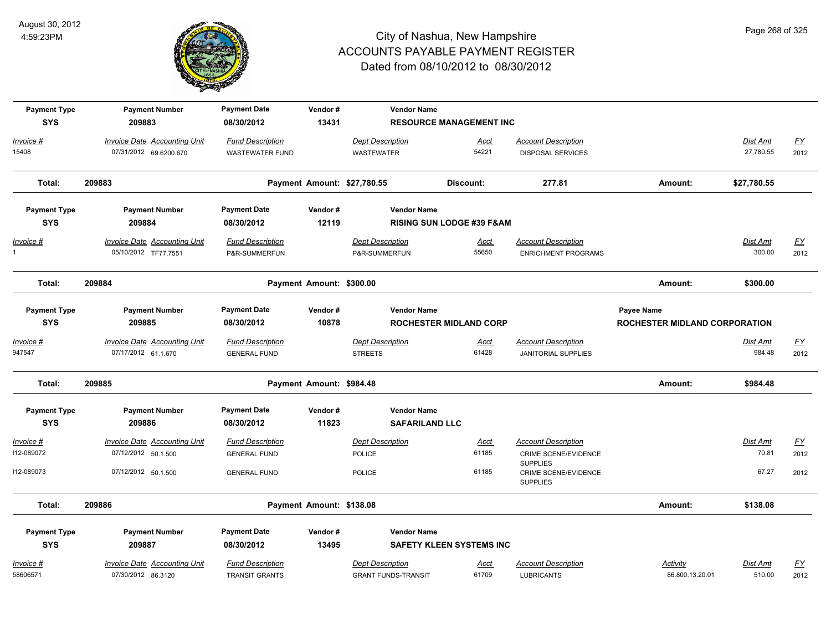

| <b>Payment Type</b><br><b>SYS</b> | <b>Payment Number</b><br>209883                               | <b>Payment Date</b><br>08/30/2012                 | Vendor#<br>13431            | <b>Vendor Name</b>                                    | <b>RESOURCE MANAGEMENT INC</b>       |                                                                       |                                             |                       |                          |
|-----------------------------------|---------------------------------------------------------------|---------------------------------------------------|-----------------------------|-------------------------------------------------------|--------------------------------------|-----------------------------------------------------------------------|---------------------------------------------|-----------------------|--------------------------|
| Invoice #<br>15408                | <b>Invoice Date Accounting Unit</b><br>07/31/2012 69.6200.670 | <b>Fund Description</b><br><b>WASTEWATER FUND</b> |                             | <b>Dept Description</b><br>WASTEWATER                 | <u>Acct</u><br>54221                 | <b>Account Description</b><br><b>DISPOSAL SERVICES</b>                |                                             | Dist Amt<br>27,780.55 | $\underline{FY}$<br>2012 |
| Total:                            | 209883                                                        |                                                   | Payment Amount: \$27,780.55 |                                                       | Discount:                            | 277.81                                                                | Amount:                                     | \$27,780.55           |                          |
| <b>Payment Type</b><br><b>SYS</b> | <b>Payment Number</b><br>209884                               | <b>Payment Date</b><br>08/30/2012                 | Vendor#<br>12119            | <b>Vendor Name</b>                                    | <b>RISING SUN LODGE #39 F&amp;AM</b> |                                                                       |                                             |                       |                          |
| Invoice #<br>$\mathbf{1}$         | <b>Invoice Date Accounting Unit</b><br>05/10/2012 TF77.7551   | <b>Fund Description</b><br>P&R-SUMMERFUN          |                             | <b>Dept Description</b><br>P&R-SUMMERFUN              | <u>Acct</u><br>55650                 | <b>Account Description</b><br><b>ENRICHMENT PROGRAMS</b>              |                                             | Dist Amt<br>300.00    | <u>FY</u><br>2012        |
| Total:                            | 209884                                                        |                                                   | Payment Amount: \$300.00    |                                                       |                                      |                                                                       | Amount:                                     | \$300.00              |                          |
| <b>Payment Type</b><br><b>SYS</b> | <b>Payment Number</b><br>209885                               | <b>Payment Date</b><br>08/30/2012                 | Vendor#<br>10878            | <b>Vendor Name</b>                                    | <b>ROCHESTER MIDLAND CORP</b>        |                                                                       | Payee Name<br>ROCHESTER MIDLAND CORPORATION |                       |                          |
| Invoice #<br>947547               | <b>Invoice Date Accounting Unit</b><br>07/17/2012 61.1.670    | <b>Fund Description</b><br><b>GENERAL FUND</b>    |                             | <b>Dept Description</b><br><b>STREETS</b>             | <u>Acct</u><br>61428                 | <b>Account Description</b><br><b>JANITORIAL SUPPLIES</b>              |                                             | Dist Amt<br>984.48    | $\underline{FY}$<br>2012 |
| Total:                            | 209885                                                        |                                                   | Payment Amount: \$984.48    |                                                       |                                      |                                                                       | Amount:                                     | \$984.48              |                          |
| <b>Payment Type</b><br><b>SYS</b> | <b>Payment Number</b><br>209886                               | <b>Payment Date</b><br>08/30/2012                 | Vendor#<br>11823            | <b>Vendor Name</b><br><b>SAFARILAND LLC</b>           |                                      |                                                                       |                                             |                       |                          |
| Invoice #<br>112-089072           | Invoice Date Accounting Unit<br>07/12/2012 50.1.500           | <b>Fund Description</b><br><b>GENERAL FUND</b>    |                             | <b>Dept Description</b><br>POLICE                     | Acct<br>61185                        | <b>Account Description</b><br>CRIME SCENE/EVIDENCE<br><b>SUPPLIES</b> |                                             | Dist Amt<br>70.81     | EY<br>2012               |
| I12-089073                        | 07/12/2012 50.1.500                                           | <b>GENERAL FUND</b>                               |                             | <b>POLICE</b>                                         | 61185                                | <b>CRIME SCENE/EVIDENCE</b><br><b>SUPPLIES</b>                        |                                             | 67.27                 | 2012                     |
| Total:                            | 209886                                                        |                                                   | Payment Amount: \$138.08    |                                                       |                                      |                                                                       | Amount:                                     | \$138.08              |                          |
| <b>Payment Type</b><br><b>SYS</b> | <b>Payment Number</b><br>209887                               | <b>Payment Date</b><br>08/30/2012                 | Vendor#<br>13495            | <b>Vendor Name</b>                                    | <b>SAFETY KLEEN SYSTEMS INC</b>      |                                                                       |                                             |                       |                          |
| Invoice #<br>58606571             | Invoice Date Accounting Unit<br>07/30/2012 86.3120            | <b>Fund Description</b><br><b>TRANSIT GRANTS</b>  |                             | <b>Dept Description</b><br><b>GRANT FUNDS-TRANSIT</b> | Acct<br>61709                        | <b>Account Description</b><br><b>LUBRICANTS</b>                       | Activity<br>86.800.13.20.01                 | Dist Amt<br>510.00    | $\underline{FY}$<br>2012 |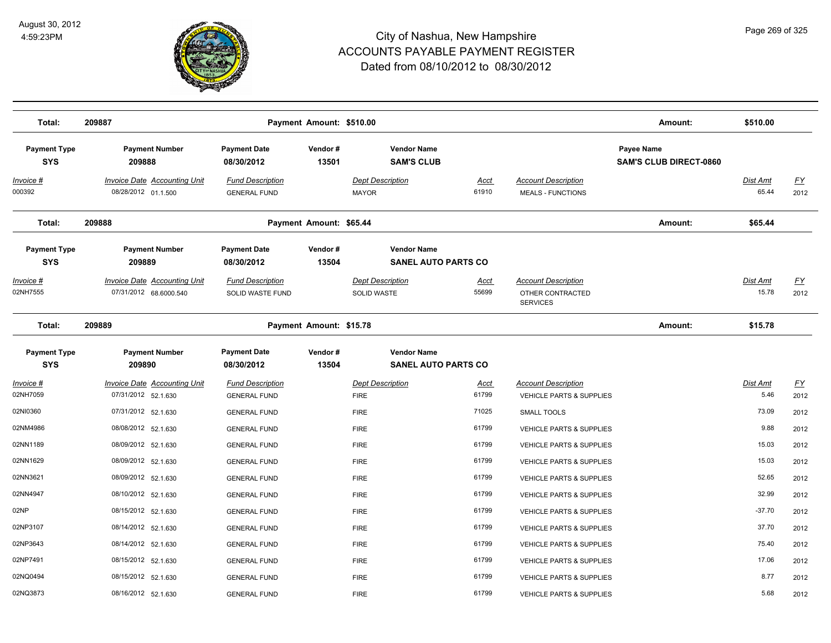

| Total:                            | 209887                                                        |                                                | Payment Amount: \$510.00 |                                                  |                      |                                                                   | Amount:                                     | \$510.00                 |                          |
|-----------------------------------|---------------------------------------------------------------|------------------------------------------------|--------------------------|--------------------------------------------------|----------------------|-------------------------------------------------------------------|---------------------------------------------|--------------------------|--------------------------|
| <b>Payment Type</b><br><b>SYS</b> | <b>Payment Number</b><br>209888                               | <b>Payment Date</b><br>08/30/2012              | Vendor#<br>13501         | <b>Vendor Name</b><br><b>SAM'S CLUB</b>          |                      |                                                                   | Payee Name<br><b>SAM'S CLUB DIRECT-0860</b> |                          |                          |
| Invoice #<br>000392               | <b>Invoice Date Accounting Unit</b><br>08/28/2012 01.1.500    | <b>Fund Description</b><br><b>GENERAL FUND</b> |                          | <b>Dept Description</b><br><b>MAYOR</b>          | <u>Acct</u><br>61910 | <b>Account Description</b><br><b>MEALS - FUNCTIONS</b>            |                                             | <b>Dist Amt</b><br>65.44 | <u>FY</u><br>2012        |
| Total:                            | 209888                                                        |                                                | Payment Amount: \$65.44  |                                                  |                      |                                                                   | Amount:                                     | \$65.44                  |                          |
| <b>Payment Type</b><br><b>SYS</b> | <b>Payment Number</b><br>209889                               | <b>Payment Date</b><br>08/30/2012              | Vendor#<br>13504         | <b>Vendor Name</b><br><b>SANEL AUTO PARTS CO</b> |                      |                                                                   |                                             |                          |                          |
| Invoice #<br>02NH7555             | <b>Invoice Date Accounting Unit</b><br>07/31/2012 68.6000.540 | <b>Fund Description</b><br>SOLID WASTE FUND    |                          | <b>Dept Description</b><br>SOLID WASTE           | Acct<br>55699        | <b>Account Description</b><br>OTHER CONTRACTED<br><b>SERVICES</b> |                                             | Dist Amt<br>15.78        | $\underline{FY}$<br>2012 |
| Total:                            | 209889                                                        |                                                | Payment Amount: \$15.78  |                                                  |                      |                                                                   | Amount:                                     | \$15.78                  |                          |
| <b>Payment Type</b><br><b>SYS</b> | <b>Payment Number</b><br>209890                               | <b>Payment Date</b><br>08/30/2012              | Vendor#<br>13504         | <b>Vendor Name</b><br><b>SANEL AUTO PARTS CO</b> |                      |                                                                   |                                             |                          |                          |
| Invoice #<br>02NH7059             | <b>Invoice Date Accounting Unit</b><br>07/31/2012 52.1.630    | <b>Fund Description</b><br><b>GENERAL FUND</b> |                          | <b>Dept Description</b><br><b>FIRE</b>           | Acct<br>61799        | <b>Account Description</b><br><b>VEHICLE PARTS &amp; SUPPLIES</b> |                                             | Dist Amt<br>5.46         | <u>FY</u><br>2012        |
| 02NI0360                          | 07/31/2012 52.1.630                                           | <b>GENERAL FUND</b>                            |                          | <b>FIRE</b>                                      | 71025                | <b>SMALL TOOLS</b>                                                |                                             | 73.09                    | 2012                     |
| 02NM4986                          | 08/08/2012 52.1.630                                           | <b>GENERAL FUND</b>                            |                          | <b>FIRE</b>                                      | 61799                | VEHICLE PARTS & SUPPLIES                                          |                                             | 9.88                     | 2012                     |
| 02NN1189                          | 08/09/2012 52.1.630                                           | <b>GENERAL FUND</b>                            |                          | <b>FIRE</b>                                      | 61799                | VEHICLE PARTS & SUPPLIES                                          |                                             | 15.03                    | 2012                     |
| 02NN1629                          | 08/09/2012 52.1.630                                           | <b>GENERAL FUND</b>                            |                          | <b>FIRE</b>                                      | 61799                | VEHICLE PARTS & SUPPLIES                                          |                                             | 15.03                    | 2012                     |
| 02NN3621                          | 08/09/2012 52.1.630                                           | <b>GENERAL FUND</b>                            |                          | <b>FIRE</b>                                      | 61799                | <b>VEHICLE PARTS &amp; SUPPLIES</b>                               |                                             | 52.65                    | 2012                     |
| 02NN4947                          | 08/10/2012 52.1.630                                           | <b>GENERAL FUND</b>                            |                          | <b>FIRE</b>                                      | 61799                | <b>VEHICLE PARTS &amp; SUPPLIES</b>                               |                                             | 32.99                    | 2012                     |
| 02NP                              | 08/15/2012 52.1.630                                           | <b>GENERAL FUND</b>                            |                          | <b>FIRE</b>                                      | 61799                | VEHICLE PARTS & SUPPLIES                                          |                                             | $-37.70$                 | 2012                     |
| 02NP3107                          | 08/14/2012 52.1.630                                           | <b>GENERAL FUND</b>                            |                          | <b>FIRE</b>                                      | 61799                | VEHICLE PARTS & SUPPLIES                                          |                                             | 37.70                    | 2012                     |
| 02NP3643                          | 08/14/2012 52.1.630                                           | <b>GENERAL FUND</b>                            |                          | <b>FIRE</b>                                      | 61799                | VEHICLE PARTS & SUPPLIES                                          |                                             | 75.40                    | 2012                     |
| 02NP7491                          | 08/15/2012 52.1.630                                           | <b>GENERAL FUND</b>                            |                          | <b>FIRE</b>                                      | 61799                | VEHICLE PARTS & SUPPLIES                                          |                                             | 17.06                    | 2012                     |
| 02NQ0494                          | 08/15/2012 52.1.630                                           | <b>GENERAL FUND</b>                            |                          | <b>FIRE</b>                                      | 61799                | <b>VEHICLE PARTS &amp; SUPPLIES</b>                               |                                             | 8.77                     | 2012                     |
| 02NQ3873                          | 08/16/2012 52.1.630                                           | <b>GENERAL FUND</b>                            |                          | <b>FIRE</b>                                      | 61799                | <b>VEHICLE PARTS &amp; SUPPLIES</b>                               |                                             | 5.68                     | 2012                     |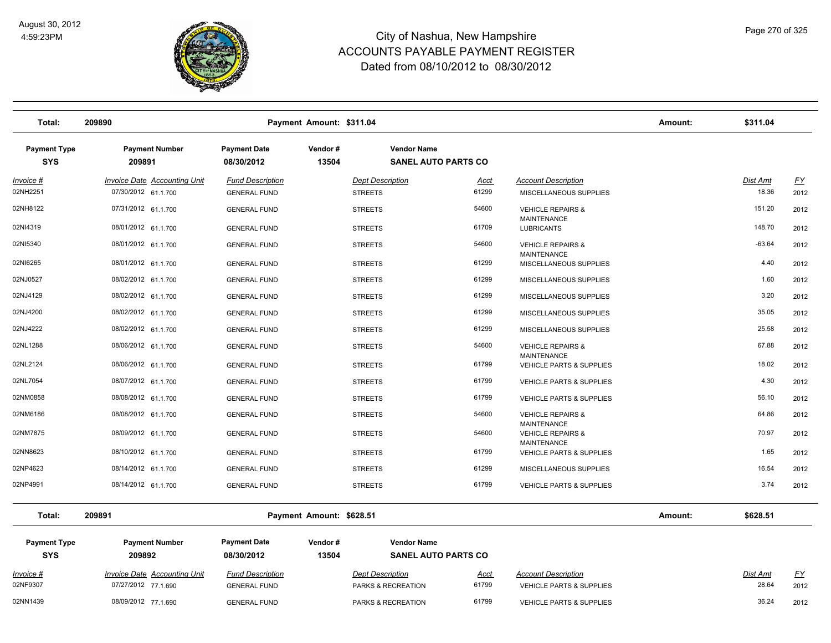

| Total:                            | 209890                              |                                   | Payment Amount: \$311.04 |                                                  |                                                           | Amount: | \$311.04        |           |
|-----------------------------------|-------------------------------------|-----------------------------------|--------------------------|--------------------------------------------------|-----------------------------------------------------------|---------|-----------------|-----------|
| <b>Payment Type</b><br><b>SYS</b> | <b>Payment Number</b><br>209891     | <b>Payment Date</b><br>08/30/2012 | Vendor#<br>13504         | <b>Vendor Name</b><br><b>SANEL AUTO PARTS CO</b> |                                                           |         |                 |           |
| Invoice #                         | <b>Invoice Date Accounting Unit</b> | <b>Fund Description</b>           | <b>Dept Description</b>  | <u>Acct</u>                                      | <b>Account Description</b>                                |         | <b>Dist Amt</b> | <u>FY</u> |
| 02NH2251                          | 07/30/2012 61.1.700                 | <b>GENERAL FUND</b>               | <b>STREETS</b>           | 61299                                            | MISCELLANEOUS SUPPLIES                                    |         | 18.36           | 2012      |
| 02NH8122                          | 07/31/2012 61.1.700                 | <b>GENERAL FUND</b>               | <b>STREETS</b>           | 54600                                            | <b>VEHICLE REPAIRS &amp;</b><br><b>MAINTENANCE</b>        |         | 151.20          | 2012      |
| 02NI4319                          | 08/01/2012 61.1.700                 | <b>GENERAL FUND</b>               | <b>STREETS</b>           | 61709                                            | <b>LUBRICANTS</b>                                         |         | 148.70          | 2012      |
| 02NI5340                          | 08/01/2012 61.1.700                 | <b>GENERAL FUND</b>               | <b>STREETS</b>           | 54600                                            | <b>VEHICLE REPAIRS &amp;</b><br><b>MAINTENANCE</b>        |         | $-63.64$        | 2012      |
| 02NI6265                          | 08/01/2012 61.1.700                 | <b>GENERAL FUND</b>               | <b>STREETS</b>           | 61299                                            | MISCELLANEOUS SUPPLIES                                    |         | 4.40            | 2012      |
| 02NJ0527                          | 08/02/2012 61.1.700                 | <b>GENERAL FUND</b>               | <b>STREETS</b>           | 61299                                            | MISCELLANEOUS SUPPLIES                                    |         | 1.60            | 2012      |
| 02NJ4129                          | 08/02/2012 61.1.700                 | <b>GENERAL FUND</b>               | <b>STREETS</b>           | 61299                                            | MISCELLANEOUS SUPPLIES                                    |         | 3.20            | 2012      |
| 02NJ4200                          | 08/02/2012 61.1.700                 | <b>GENERAL FUND</b>               | <b>STREETS</b>           | 61299                                            | MISCELLANEOUS SUPPLIES                                    |         | 35.05           | 2012      |
| 02NJ4222                          | 08/02/2012 61.1.700                 | <b>GENERAL FUND</b>               | <b>STREETS</b>           | 61299                                            | MISCELLANEOUS SUPPLIES                                    |         | 25.58           | 2012      |
| 02NL1288                          | 08/06/2012 61.1.700                 | <b>GENERAL FUND</b>               | <b>STREETS</b>           | 54600                                            | <b>VEHICLE REPAIRS &amp;</b>                              |         | 67.88           | 2012      |
| 02NL2124                          | 08/06/2012 61.1.700                 | <b>GENERAL FUND</b>               | <b>STREETS</b>           | 61799                                            | <b>MAINTENANCE</b><br><b>VEHICLE PARTS &amp; SUPPLIES</b> |         | 18.02           | 2012      |
| 02NL7054                          | 08/07/2012 61.1.700                 | <b>GENERAL FUND</b>               | <b>STREETS</b>           | 61799                                            | <b>VEHICLE PARTS &amp; SUPPLIES</b>                       |         | 4.30            | 2012      |
| 02NM0858                          | 08/08/2012 61.1.700                 | <b>GENERAL FUND</b>               | <b>STREETS</b>           | 61799                                            | <b>VEHICLE PARTS &amp; SUPPLIES</b>                       |         | 56.10           | 2012      |
| 02NM6186                          | 08/08/2012 61.1.700                 | <b>GENERAL FUND</b>               | <b>STREETS</b>           | 54600                                            | <b>VEHICLE REPAIRS &amp;</b><br><b>MAINTENANCE</b>        |         | 64.86           | 2012      |
| 02NM7875                          | 08/09/2012 61.1.700                 | <b>GENERAL FUND</b>               | <b>STREETS</b>           | 54600                                            | <b>VEHICLE REPAIRS &amp;</b>                              |         | 70.97           | 2012      |
| 02NN8623                          | 08/10/2012 61.1.700                 | <b>GENERAL FUND</b>               | <b>STREETS</b>           | 61799                                            | <b>MAINTENANCE</b><br><b>VEHICLE PARTS &amp; SUPPLIES</b> |         | 1.65            | 2012      |
| 02NP4623                          | 08/14/2012 61.1.700                 | <b>GENERAL FUND</b>               | <b>STREETS</b>           | 61299                                            | MISCELLANEOUS SUPPLIES                                    |         | 16.54           | 2012      |
| 02NP4991                          | 08/14/2012 61.1.700                 | <b>GENERAL FUND</b>               | <b>STREETS</b>           | 61799                                            | <b>VEHICLE PARTS &amp; SUPPLIES</b>                       |         | 3.74            | 2012      |
| Total:                            | 209891                              |                                   | Payment Amount: \$628.51 |                                                  |                                                           | Amount: | \$628.51        |           |

| <b>Payment Type</b><br><b>SYS</b> | <b>Payment Number</b><br>209892 | <b>Payment Date</b><br>08/30/2012 | Vendor#<br>13504 | <b>Vendor Name</b><br><b>SANEL AUTO PARTS CO</b> |             |                                     |                 |           |
|-----------------------------------|---------------------------------|-----------------------------------|------------------|--------------------------------------------------|-------------|-------------------------------------|-----------------|-----------|
| Invoice #                         | Invoice Date Accounting Unit    | <b>Fund Description</b>           |                  | <b>Dept Description</b>                          | <u>Acct</u> | <b>Account Description</b>          | <b>Dist Amt</b> | <u>FY</u> |
| 02NF9307                          | 07/27/2012 77.1.690             | <b>GENERAL FUND</b>               |                  | <b>PARKS &amp; RECREATION</b>                    | 61799       | <b>VEHICLE PARTS &amp; SUPPLIES</b> | 28.64           | 2012      |
| 02NN1439                          | 08/09/2012 77.1.690             | <b>GENERAL FUND</b>               |                  | <b>PARKS &amp; RECREATION</b>                    | 61799       | <b>VEHICLE PARTS &amp; SUPPLIES</b> | 36.24           | 2012      |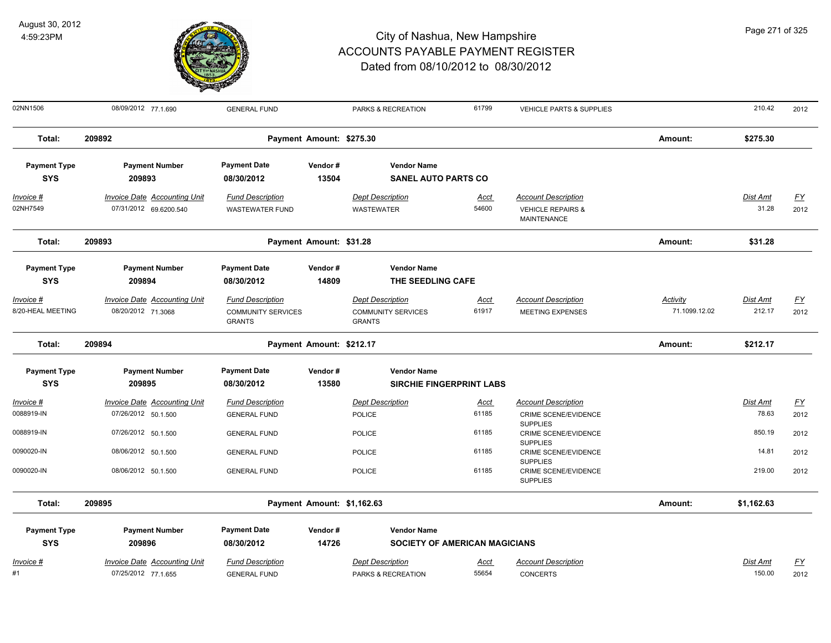

| Page 271 of 325 |  |  |  |
|-----------------|--|--|--|
|-----------------|--|--|--|

| 02NN1506                          | 08/09/2012 77.1.690                                           | <b>GENERAL FUND</b>                               |                            | PARKS & RECREATION                            | 61799                                | VEHICLE PARTS & SUPPLIES                                                  |                 | 210.42                    | 2012              |
|-----------------------------------|---------------------------------------------------------------|---------------------------------------------------|----------------------------|-----------------------------------------------|--------------------------------------|---------------------------------------------------------------------------|-----------------|---------------------------|-------------------|
| Total:                            | 209892                                                        |                                                   | Payment Amount: \$275.30   |                                               |                                      |                                                                           | Amount:         | \$275.30                  |                   |
| <b>Payment Type</b>               | <b>Payment Number</b>                                         | <b>Payment Date</b>                               | Vendor#                    | <b>Vendor Name</b>                            |                                      |                                                                           |                 |                           |                   |
| <b>SYS</b>                        | 209893                                                        | 08/30/2012                                        | 13504                      | <b>SANEL AUTO PARTS CO</b>                    |                                      |                                                                           |                 |                           |                   |
| $Invoice$ #<br>02NH7549           | <b>Invoice Date Accounting Unit</b><br>07/31/2012 69.6200.540 | <b>Fund Description</b><br><b>WASTEWATER FUND</b> |                            | <b>Dept Description</b><br><b>WASTEWATER</b>  | <b>Acct</b><br>54600                 | <b>Account Description</b><br><b>VEHICLE REPAIRS &amp;</b><br>MAINTENANCE |                 | <b>Dist Amt</b><br>31.28  | <u>FY</u><br>2012 |
| Total:                            | 209893                                                        |                                                   | Payment Amount: \$31.28    |                                               |                                      |                                                                           | Amount:         | \$31.28                   |                   |
| <b>Payment Type</b><br><b>SYS</b> | <b>Payment Number</b><br>209894                               | <b>Payment Date</b><br>08/30/2012                 | Vendor#<br>14809           | <b>Vendor Name</b><br>THE SEEDLING CAFE       |                                      |                                                                           |                 |                           |                   |
| Invoice #                         | <b>Invoice Date Accounting Unit</b>                           | <b>Fund Description</b>                           |                            | <b>Dept Description</b>                       | <u>Acct</u>                          | <b>Account Description</b>                                                | <b>Activity</b> | <u>Dist Amt</u>           | <u>FY</u>         |
| 8/20-HEAL MEETING                 | 08/20/2012 71.3068                                            | <b>COMMUNITY SERVICES</b><br><b>GRANTS</b>        |                            | <b>COMMUNITY SERVICES</b><br><b>GRANTS</b>    | 61917                                | <b>MEETING EXPENSES</b>                                                   | 71.1099.12.02   | 212.17                    | 2012              |
| Total:                            | 209894                                                        |                                                   | Payment Amount: \$212.17   |                                               |                                      |                                                                           | Amount:         | \$212.17                  |                   |
| <b>Payment Type</b><br><b>SYS</b> | <b>Payment Number</b><br>209895                               | <b>Payment Date</b><br>08/30/2012                 | Vendor#<br>13580           | <b>Vendor Name</b>                            | <b>SIRCHIE FINGERPRINT LABS</b>      |                                                                           |                 |                           |                   |
| Invoice #                         | <b>Invoice Date Accounting Unit</b>                           | <b>Fund Description</b>                           |                            | <b>Dept Description</b>                       | <u>Acct</u>                          | <b>Account Description</b>                                                |                 | <b>Dist Amt</b>           | <u>FY</u>         |
| 0088919-IN                        | 07/26/2012 50.1.500                                           | <b>GENERAL FUND</b>                               |                            | <b>POLICE</b>                                 | 61185                                | <b>CRIME SCENE/EVIDENCE</b>                                               |                 | 78.63                     | 2012              |
| 0088919-IN                        | 07/26/2012 50.1.500                                           | <b>GENERAL FUND</b>                               |                            | <b>POLICE</b>                                 | 61185                                | <b>SUPPLIES</b><br><b>CRIME SCENE/EVIDENCE</b><br><b>SUPPLIES</b>         |                 | 850.19                    | 2012              |
| 0090020-IN                        | 08/06/2012 50.1.500                                           | <b>GENERAL FUND</b>                               |                            | <b>POLICE</b>                                 | 61185                                | CRIME SCENE/EVIDENCE                                                      |                 | 14.81                     | 2012              |
| 0090020-IN                        | 08/06/2012 50.1.500                                           | <b>GENERAL FUND</b>                               |                            | <b>POLICE</b>                                 | 61185                                | <b>SUPPLIES</b><br><b>CRIME SCENE/EVIDENCE</b><br><b>SUPPLIES</b>         |                 | 219.00                    | 2012              |
| Total:                            | 209895                                                        |                                                   | Payment Amount: \$1,162.63 |                                               |                                      |                                                                           | Amount:         | \$1,162.63                |                   |
| <b>Payment Type</b><br><b>SYS</b> | <b>Payment Number</b><br>209896                               | <b>Payment Date</b><br>08/30/2012                 | Vendor#<br>14726           | <b>Vendor Name</b>                            | <b>SOCIETY OF AMERICAN MAGICIANS</b> |                                                                           |                 |                           |                   |
| Invoice #<br>#1                   | <b>Invoice Date Accounting Unit</b><br>07/25/2012 77.1.655    | <b>Fund Description</b><br><b>GENERAL FUND</b>    |                            | <b>Dept Description</b><br>PARKS & RECREATION | Acct<br>55654                        | <b>Account Description</b><br><b>CONCERTS</b>                             |                 | <b>Dist Amt</b><br>150.00 | <u>FY</u><br>2012 |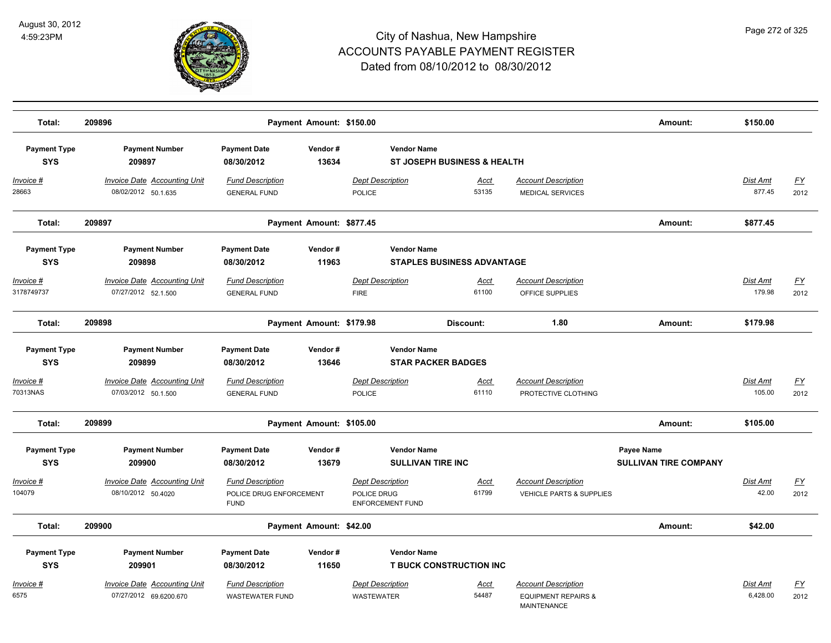

| Total:                            | 209896                                                     |                                                                   | Payment Amount: \$150.00 |                                                                   |                                        |                                                                                    | Amount:                                           | \$150.00                  |                          |
|-----------------------------------|------------------------------------------------------------|-------------------------------------------------------------------|--------------------------|-------------------------------------------------------------------|----------------------------------------|------------------------------------------------------------------------------------|---------------------------------------------------|---------------------------|--------------------------|
| <b>Payment Type</b><br><b>SYS</b> | <b>Payment Number</b><br>209897                            | <b>Payment Date</b><br>08/30/2012                                 | Vendor#<br>13634         | <b>Vendor Name</b>                                                | <b>ST JOSEPH BUSINESS &amp; HEALTH</b> |                                                                                    |                                                   |                           |                          |
| Invoice #<br>28663                | <b>Invoice Date Accounting Unit</b><br>08/02/2012 50.1.635 | <b>Fund Description</b><br><b>GENERAL FUND</b>                    |                          | <b>Dept Description</b><br>POLICE                                 | <u>Acct</u><br>53135                   | <b>Account Description</b><br>MEDICAL SERVICES                                     |                                                   | <b>Dist Amt</b><br>877.45 | <u>FY</u><br>2012        |
| Total:                            | 209897                                                     |                                                                   | Payment Amount: \$877.45 |                                                                   |                                        |                                                                                    | Amount:                                           | \$877.45                  |                          |
| <b>Payment Type</b><br><b>SYS</b> | <b>Payment Number</b><br>209898                            | <b>Payment Date</b><br>08/30/2012                                 | Vendor#<br>11963         | <b>Vendor Name</b>                                                | <b>STAPLES BUSINESS ADVANTAGE</b>      |                                                                                    |                                                   |                           |                          |
| <u>Invoice #</u><br>3178749737    | <b>Invoice Date Accounting Unit</b><br>07/27/2012 52.1.500 | <b>Fund Description</b><br><b>GENERAL FUND</b>                    |                          | <b>Dept Description</b><br><b>FIRE</b>                            | <u>Acct</u><br>61100                   | <b>Account Description</b><br>OFFICE SUPPLIES                                      |                                                   | Dist Amt<br>179.98        | $\underline{FY}$<br>2012 |
| Total:                            | 209898                                                     |                                                                   | Payment Amount: \$179.98 |                                                                   | Discount:                              | 1.80                                                                               | Amount:                                           | \$179.98                  |                          |
| <b>Payment Type</b><br><b>SYS</b> | <b>Payment Number</b><br>209899                            | <b>Payment Date</b><br>08/30/2012                                 | Vendor#<br>13646         | <b>Vendor Name</b>                                                | <b>STAR PACKER BADGES</b>              |                                                                                    |                                                   |                           |                          |
| Invoice #<br>70313NAS             | Invoice Date Accounting Unit<br>07/03/2012 50.1.500        | <b>Fund Description</b><br><b>GENERAL FUND</b>                    |                          | <b>Dept Description</b><br>POLICE                                 | Acct<br>61110                          | <b>Account Description</b><br>PROTECTIVE CLOTHING                                  |                                                   | Dist Amt<br>105.00        | <u>FY</u><br>2012        |
| Total:                            | 209899                                                     |                                                                   | Payment Amount: \$105.00 |                                                                   |                                        |                                                                                    | Amount:                                           | \$105.00                  |                          |
| <b>Payment Type</b><br><b>SYS</b> | <b>Payment Number</b><br>209900                            | <b>Payment Date</b><br>08/30/2012                                 | Vendor#<br>13679         | <b>Vendor Name</b><br><b>SULLIVAN TIRE INC</b>                    |                                        |                                                                                    | <b>Payee Name</b><br><b>SULLIVAN TIRE COMPANY</b> |                           |                          |
| Invoice #<br>104079               | <b>Invoice Date Accounting Unit</b><br>08/10/2012 50.4020  | <b>Fund Description</b><br>POLICE DRUG ENFORCEMENT<br><b>FUND</b> |                          | <b>Dept Description</b><br>POLICE DRUG<br><b>ENFORCEMENT FUND</b> | <u>Acct</u><br>61799                   | <b>Account Description</b><br><b>VEHICLE PARTS &amp; SUPPLIES</b>                  |                                                   | Dist Amt<br>42.00         | $\underline{FY}$<br>2012 |
| Total:                            | 209900                                                     |                                                                   | Payment Amount: \$42.00  |                                                                   |                                        |                                                                                    | Amount:                                           | \$42.00                   |                          |
| <b>Payment Type</b><br><b>SYS</b> | <b>Payment Number</b><br>209901                            | <b>Payment Date</b><br>08/30/2012                                 | Vendor#<br>11650         | <b>Vendor Name</b>                                                | <b>T BUCK CONSTRUCTION INC</b>         |                                                                                    |                                                   |                           |                          |
| <u> Invoice #</u><br>6575         | Invoice Date Accounting Unit<br>07/27/2012 69.6200.670     | <b>Fund Description</b><br><b>WASTEWATER FUND</b>                 |                          | <b>Dept Description</b><br><b>WASTEWATER</b>                      | Acct<br>54487                          | <b>Account Description</b><br><b>EQUIPMENT REPAIRS &amp;</b><br><b>MAINTENANCE</b> |                                                   | Dist Amt<br>6,428.00      | <u>FY</u><br>2012        |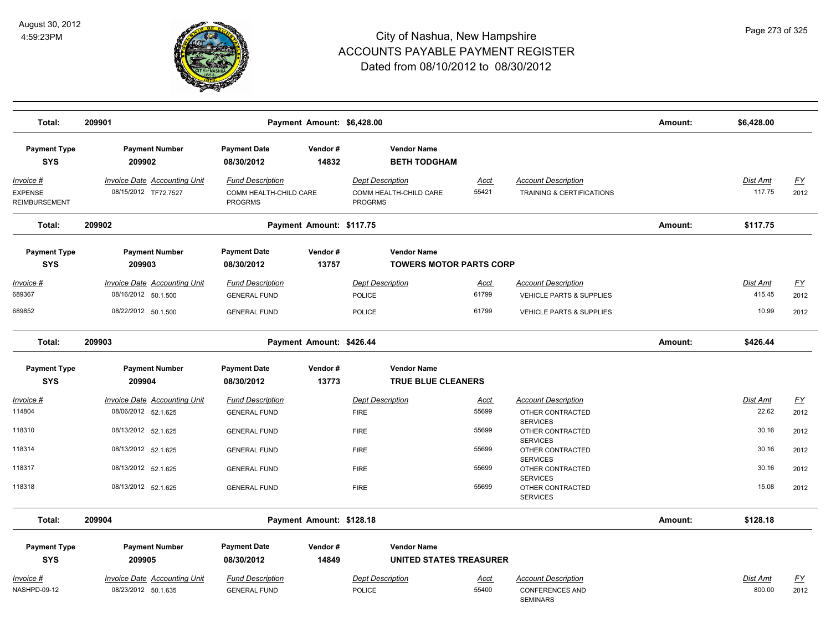

| Total:                                              | 209901                                                                            |                                                                       | Payment Amount: \$6,428.00 |                                                                     |                        |                                                                                    | Amount: | \$6,428.00                  |                           |
|-----------------------------------------------------|-----------------------------------------------------------------------------------|-----------------------------------------------------------------------|----------------------------|---------------------------------------------------------------------|------------------------|------------------------------------------------------------------------------------|---------|-----------------------------|---------------------------|
| <b>Payment Type</b><br><b>SYS</b>                   | <b>Payment Number</b><br>209902                                                   | <b>Payment Date</b><br>08/30/2012                                     | Vendor#<br>14832           | <b>Vendor Name</b><br><b>BETH TODGHAM</b>                           |                        |                                                                                    |         |                             |                           |
| Invoice #<br><b>EXPENSE</b><br><b>REIMBURSEMENT</b> | <b>Invoice Date Accounting Unit</b><br>08/15/2012 TF72.7527                       | <b>Fund Description</b><br>COMM HEALTH-CHILD CARE<br><b>PROGRMS</b>   |                            | <b>Dept Description</b><br>COMM HEALTH-CHILD CARE<br><b>PROGRMS</b> | Acct<br>55421          | <b>Account Description</b><br>TRAINING & CERTIFICATIONS                            |         | Dist Amt<br>117.75          | <u>FY</u><br>2012         |
| Total:                                              | 209902                                                                            |                                                                       | Payment Amount: \$117.75   |                                                                     |                        |                                                                                    | Amount: | \$117.75                    |                           |
| <b>Payment Type</b><br><b>SYS</b>                   | <b>Payment Number</b><br>209903                                                   | <b>Payment Date</b><br>08/30/2012                                     | Vendor#<br>13757           | <b>Vendor Name</b><br><b>TOWERS MOTOR PARTS CORP</b>                |                        |                                                                                    |         |                             |                           |
| Invoice #<br>689367<br>689852                       | <b>Invoice Date Accounting Unit</b><br>08/16/2012 50.1.500<br>08/22/2012 50.1.500 | <b>Fund Description</b><br><b>GENERAL FUND</b><br><b>GENERAL FUND</b> |                            | <b>Dept Description</b><br>POLICE<br>POLICE                         | Acct<br>61799<br>61799 | <b>Account Description</b><br>VEHICLE PARTS & SUPPLIES<br>VEHICLE PARTS & SUPPLIES |         | Dist Amt<br>415.45<br>10.99 | <u>FY</u><br>2012<br>2012 |
| Total:                                              | 209903                                                                            |                                                                       | Payment Amount: \$426.44   |                                                                     |                        |                                                                                    | Amount: | \$426.44                    |                           |
| <b>Payment Type</b>                                 | <b>Payment Number</b>                                                             | <b>Payment Date</b>                                                   | Vendor#                    | <b>Vendor Name</b>                                                  |                        |                                                                                    |         |                             |                           |
| <b>SYS</b>                                          | 209904                                                                            | 08/30/2012                                                            | 13773                      | <b>TRUE BLUE CLEANERS</b>                                           |                        |                                                                                    |         |                             |                           |
| <u> Invoice #</u>                                   | <b>Invoice Date Accounting Unit</b>                                               | <b>Fund Description</b>                                               |                            | <b>Dept Description</b>                                             | <b>Acct</b>            | <b>Account Description</b>                                                         |         | Dist Amt                    | <u>FY</u>                 |
| 114804                                              | 08/06/2012 52.1.625                                                               | <b>GENERAL FUND</b>                                                   |                            | <b>FIRE</b>                                                         | 55699                  | OTHER CONTRACTED                                                                   |         | 22.62                       | 2012                      |
| 118310                                              | 08/13/2012 52.1.625                                                               | <b>GENERAL FUND</b>                                                   |                            | <b>FIRE</b>                                                         | 55699                  | <b>SERVICES</b><br>OTHER CONTRACTED<br><b>SERVICES</b>                             |         | 30.16                       | 2012                      |
| 118314                                              | 08/13/2012 52.1.625                                                               | <b>GENERAL FUND</b>                                                   |                            | <b>FIRE</b>                                                         | 55699                  | OTHER CONTRACTED                                                                   |         | 30.16                       | 2012                      |
| 118317                                              | 08/13/2012 52.1.625                                                               | <b>GENERAL FUND</b>                                                   |                            | <b>FIRE</b>                                                         | 55699                  | <b>SERVICES</b><br>OTHER CONTRACTED                                                |         | 30.16                       | 2012                      |
| 118318                                              | 08/13/2012 52.1.625                                                               | <b>GENERAL FUND</b>                                                   |                            | <b>FIRE</b>                                                         | 55699                  | <b>SERVICES</b><br>OTHER CONTRACTED<br><b>SERVICES</b>                             |         | 15.08                       | 2012                      |
| Total:                                              | 209904                                                                            |                                                                       | Payment Amount: \$128.18   |                                                                     |                        |                                                                                    | Amount: | \$128.18                    |                           |
| <b>Payment Type</b>                                 | <b>Payment Number</b>                                                             | <b>Payment Date</b>                                                   | Vendor#                    | <b>Vendor Name</b>                                                  |                        |                                                                                    |         |                             |                           |
| <b>SYS</b>                                          | 209905                                                                            | 08/30/2012                                                            | 14849                      | <b>UNITED STATES TREASURER</b>                                      |                        |                                                                                    |         |                             |                           |
| Invoice #                                           | <b>Invoice Date Accounting Unit</b>                                               | <b>Fund Description</b>                                               |                            | <b>Dept Description</b>                                             | <u>Acct</u>            | <b>Account Description</b>                                                         |         | Dist Amt                    | <u>FY</u>                 |
| NASHPD-09-12                                        | 08/23/2012 50.1.635                                                               | <b>GENERAL FUND</b>                                                   |                            | POLICE                                                              | 55400                  | <b>CONFERENCES AND</b><br><b>SEMINARS</b>                                          |         | 800.00                      | 2012                      |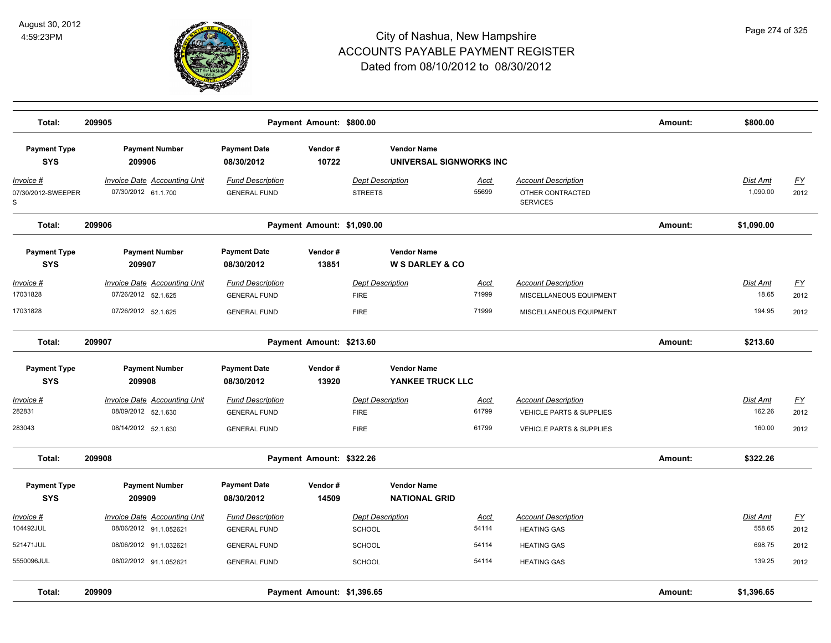

| Total:                               | 209905                                                        |                                                | Payment Amount: \$800.00   |                                                  |                      |                                                                   | Amount: | \$800.00             |                   |
|--------------------------------------|---------------------------------------------------------------|------------------------------------------------|----------------------------|--------------------------------------------------|----------------------|-------------------------------------------------------------------|---------|----------------------|-------------------|
| <b>Payment Type</b><br><b>SYS</b>    | <b>Payment Number</b><br>209906                               | <b>Payment Date</b><br>08/30/2012              | Vendor#<br>10722           | <b>Vendor Name</b><br>UNIVERSAL SIGNWORKS INC    |                      |                                                                   |         |                      |                   |
| Invoice #<br>07/30/2012-SWEEPER<br>S | Invoice Date Accounting Unit<br>07/30/2012 61.1.700           | <b>Fund Description</b><br><b>GENERAL FUND</b> |                            | <b>Dept Description</b><br><b>STREETS</b>        | Acct<br>55699        | <b>Account Description</b><br>OTHER CONTRACTED<br><b>SERVICES</b> |         | Dist Amt<br>1,090.00 | <u>FY</u><br>2012 |
| Total:                               | 209906                                                        |                                                | Payment Amount: \$1,090.00 |                                                  |                      |                                                                   | Amount: | \$1,090.00           |                   |
| <b>Payment Type</b><br><b>SYS</b>    | <b>Payment Number</b><br>209907                               | <b>Payment Date</b><br>08/30/2012              | Vendor#<br>13851           | <b>Vendor Name</b><br><b>W S DARLEY &amp; CO</b> |                      |                                                                   |         |                      |                   |
| Invoice #<br>17031828                | Invoice Date Accounting Unit<br>07/26/2012 52.1.625           | <b>Fund Description</b><br><b>GENERAL FUND</b> |                            | <b>Dept Description</b><br><b>FIRE</b>           | <b>Acct</b><br>71999 | <b>Account Description</b><br>MISCELLANEOUS EQUIPMENT             |         | Dist Amt<br>18.65    | <u>FY</u><br>2012 |
| 17031828                             | 07/26/2012 52.1.625                                           | <b>GENERAL FUND</b>                            |                            | <b>FIRE</b>                                      | 71999                | MISCELLANEOUS EQUIPMENT                                           |         | 194.95               | 2012              |
| Total:                               | 209907                                                        |                                                | Payment Amount: \$213.60   |                                                  |                      |                                                                   | Amount: | \$213.60             |                   |
| <b>Payment Type</b><br><b>SYS</b>    | <b>Payment Number</b><br>209908                               | <b>Payment Date</b><br>08/30/2012              | Vendor#<br>13920           | <b>Vendor Name</b><br>YANKEE TRUCK LLC           |                      |                                                                   |         |                      |                   |
| Invoice #<br>282831                  | Invoice Date Accounting Unit<br>08/09/2012 52.1.630           | <b>Fund Description</b><br><b>GENERAL FUND</b> |                            | <b>Dept Description</b><br><b>FIRE</b>           | Acct<br>61799        | <b>Account Description</b><br>VEHICLE PARTS & SUPPLIES            |         | Dist Amt<br>162.26   | <u>FY</u><br>2012 |
| 283043                               | 08/14/2012 52.1.630                                           | <b>GENERAL FUND</b>                            |                            | <b>FIRE</b>                                      | 61799                | VEHICLE PARTS & SUPPLIES                                          |         | 160.00               | 2012              |
| Total:                               | 209908                                                        |                                                | Payment Amount: \$322.26   |                                                  |                      |                                                                   | Amount: | \$322.26             |                   |
| <b>Payment Type</b><br><b>SYS</b>    | <b>Payment Number</b><br>209909                               | <b>Payment Date</b><br>08/30/2012              | Vendor#<br>14509           | <b>Vendor Name</b><br><b>NATIONAL GRID</b>       |                      |                                                                   |         |                      |                   |
| Invoice #<br>104492JUL               | <b>Invoice Date Accounting Unit</b><br>08/06/2012 91.1.052621 | <b>Fund Description</b><br><b>GENERAL FUND</b> |                            | <b>Dept Description</b><br>SCHOOL                | Acct<br>54114        | <b>Account Description</b><br><b>HEATING GAS</b>                  |         | Dist Amt<br>558.65   | EY<br>2012        |
| 521471JUL                            | 08/06/2012 91.1.032621                                        | <b>GENERAL FUND</b>                            |                            | <b>SCHOOL</b>                                    | 54114                | <b>HEATING GAS</b>                                                |         | 698.75               | 2012              |
| 5550096JUL                           | 08/02/2012 91.1.052621                                        | <b>GENERAL FUND</b>                            |                            | <b>SCHOOL</b>                                    | 54114                | <b>HEATING GAS</b>                                                |         | 139.25               | 2012              |
| Total:                               | 209909                                                        |                                                | Payment Amount: \$1,396.65 |                                                  |                      |                                                                   | Amount: | \$1,396.65           |                   |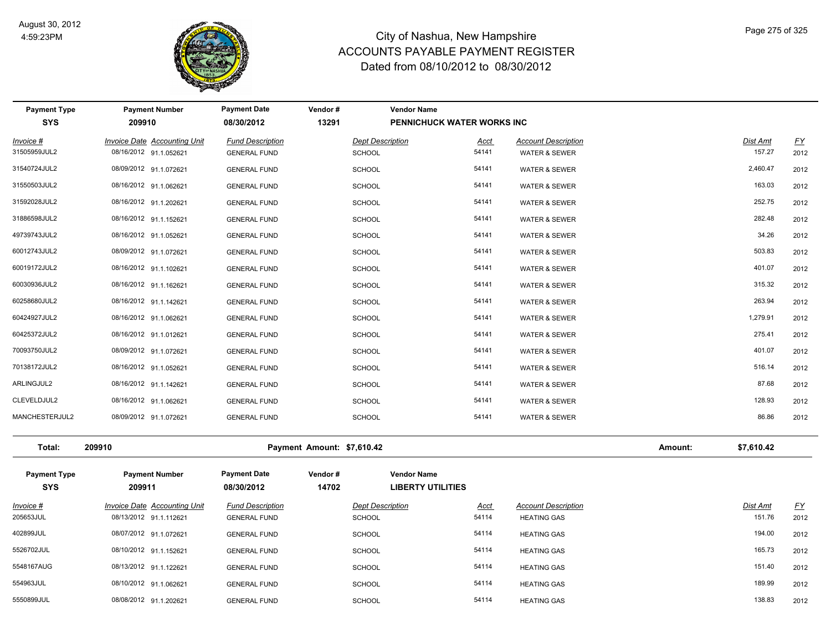

**Payment Type Payment Number Payment Date Vendor # Vendor Name**

| <b>SYS</b>                        | 209910                                                        | 08/30/2012                                     | 13291                      |                                   | PENNICHUCK WATER WORKS INC                     |                                                  |         |                           |                   |
|-----------------------------------|---------------------------------------------------------------|------------------------------------------------|----------------------------|-----------------------------------|------------------------------------------------|--------------------------------------------------|---------|---------------------------|-------------------|
| Invoice #                         | Invoice Date Accounting Unit                                  | <b>Fund Description</b>                        |                            | <b>Dept Description</b>           | Acct                                           | <b>Account Description</b>                       |         | Dist Amt                  | $\underline{FY}$  |
| 31505959JUL2                      | 08/16/2012 91.1.052621                                        | <b>GENERAL FUND</b>                            |                            | <b>SCHOOL</b>                     | 54141                                          | WATER & SEWER                                    |         | 157.27                    | 2012              |
| 31540724JUL2                      | 08/09/2012 91.1.072621                                        | <b>GENERAL FUND</b>                            |                            | <b>SCHOOL</b>                     | 54141                                          | <b>WATER &amp; SEWER</b>                         |         | 2,460.47                  | 2012              |
| 31550503JUL2                      | 08/16/2012 91.1.062621                                        | <b>GENERAL FUND</b>                            |                            | <b>SCHOOL</b>                     | 54141                                          | <b>WATER &amp; SEWER</b>                         |         | 163.03                    | 2012              |
| 31592028JUL2                      | 08/16/2012 91.1.202621                                        | <b>GENERAL FUND</b>                            |                            | <b>SCHOOL</b>                     | 54141                                          | <b>WATER &amp; SEWER</b>                         |         | 252.75                    | 2012              |
| 31886598JUL2                      | 08/16/2012 91.1.152621                                        | <b>GENERAL FUND</b>                            |                            | <b>SCHOOL</b>                     | 54141                                          | <b>WATER &amp; SEWER</b>                         |         | 282.48                    | 2012              |
| 49739743JUL2                      | 08/16/2012 91.1.052621                                        | <b>GENERAL FUND</b>                            |                            | <b>SCHOOL</b>                     | 54141                                          | <b>WATER &amp; SEWER</b>                         |         | 34.26                     | 2012              |
| 60012743JUL2                      | 08/09/2012 91.1.072621                                        | <b>GENERAL FUND</b>                            |                            | <b>SCHOOL</b>                     | 54141                                          | <b>WATER &amp; SEWER</b>                         |         | 503.83                    | 2012              |
| 60019172JUL2                      | 08/16/2012 91.1.102621                                        | <b>GENERAL FUND</b>                            |                            | <b>SCHOOL</b>                     | 54141                                          | <b>WATER &amp; SEWER</b>                         |         | 401.07                    | 2012              |
| 60030936JUL2                      | 08/16/2012 91.1.162621                                        | <b>GENERAL FUND</b>                            |                            | <b>SCHOOL</b>                     | 54141                                          | <b>WATER &amp; SEWER</b>                         |         | 315.32                    | 2012              |
| 60258680JUL2                      | 08/16/2012 91.1.142621                                        | <b>GENERAL FUND</b>                            |                            | <b>SCHOOL</b>                     | 54141                                          | <b>WATER &amp; SEWER</b>                         |         | 263.94                    | 2012              |
| 60424927JUL2                      | 08/16/2012 91.1.062621                                        | <b>GENERAL FUND</b>                            |                            | <b>SCHOOL</b>                     | 54141                                          | <b>WATER &amp; SEWER</b>                         |         | 1,279.91                  | 2012              |
| 60425372JUL2                      | 08/16/2012 91.1.012621                                        | <b>GENERAL FUND</b>                            |                            | <b>SCHOOL</b>                     | 54141                                          | <b>WATER &amp; SEWER</b>                         |         | 275.41                    | 2012              |
| 70093750JUL2                      | 08/09/2012 91.1.072621                                        | <b>GENERAL FUND</b>                            |                            | <b>SCHOOL</b>                     | 54141                                          | <b>WATER &amp; SEWER</b>                         |         | 401.07                    | 2012              |
| 70138172JUL2                      | 08/16/2012 91.1.052621                                        | <b>GENERAL FUND</b>                            |                            | <b>SCHOOL</b>                     | 54141                                          | <b>WATER &amp; SEWER</b>                         |         | 516.14                    | 2012              |
| ARLINGJUL2                        | 08/16/2012 91.1.142621                                        | <b>GENERAL FUND</b>                            |                            | <b>SCHOOL</b>                     | 54141                                          | <b>WATER &amp; SEWER</b>                         |         | 87.68                     | 2012              |
| CLEVELDJUL2                       | 08/16/2012 91.1.062621                                        | <b>GENERAL FUND</b>                            |                            | <b>SCHOOL</b>                     | 54141                                          | <b>WATER &amp; SEWER</b>                         |         | 128.93                    | 2012              |
| MANCHESTERJUL2                    | 08/09/2012 91.1.072621                                        | <b>GENERAL FUND</b>                            |                            | <b>SCHOOL</b>                     | 54141                                          | <b>WATER &amp; SEWER</b>                         |         | 86.86                     | 2012              |
| Total:                            | 209910                                                        |                                                | Payment Amount: \$7,610.42 |                                   |                                                |                                                  | Amount: | \$7,610.42                |                   |
| <b>Payment Type</b><br><b>SYS</b> | <b>Payment Number</b><br>209911                               | <b>Payment Date</b><br>08/30/2012              | Vendor#<br>14702           |                                   | <b>Vendor Name</b><br><b>LIBERTY UTILITIES</b> |                                                  |         |                           |                   |
| Invoice #<br>205653JUL            | <b>Invoice Date Accounting Unit</b><br>08/13/2012 91.1.112621 | <b>Fund Description</b><br><b>GENERAL FUND</b> |                            | <b>Dept Description</b><br>SCHOOL | <b>Acct</b><br>54114                           | <b>Account Description</b><br><b>HEATING GAS</b> |         | <b>Dist Amt</b><br>151.76 | <u>FY</u><br>2012 |
| 402899JUL                         | 08/07/2012 91.1.072621                                        | <b>GENERAL FUND</b>                            |                            | <b>SCHOOL</b>                     | 54114                                          | <b>HEATING GAS</b>                               |         | 194.00                    | 2012              |
| 5526702JUL                        | 08/10/2012 91.1.152621                                        | <b>GENERAL FUND</b>                            |                            | <b>SCHOOL</b>                     | 54114                                          | <b>HEATING GAS</b>                               |         | 165.73                    | 2012              |
| 5548167AUG                        | 08/13/2012 91.1.122621                                        | <b>GENERAL FUND</b>                            |                            | <b>SCHOOL</b>                     | 54114                                          | <b>HEATING GAS</b>                               |         | 151.40                    | 2012              |
| 554963JUL                         | 08/10/2012 91.1.062621                                        | <b>GENERAL FUND</b>                            |                            | <b>SCHOOL</b>                     | 54114                                          | <b>HEATING GAS</b>                               |         | 189.99                    | 2012              |
| 5550899JUL                        | 08/08/2012 91.1.202621                                        | <b>GENERAL FUND</b>                            |                            | <b>SCHOOL</b>                     | 54114                                          | <b>HEATING GAS</b>                               |         | 138.83                    | 2012              |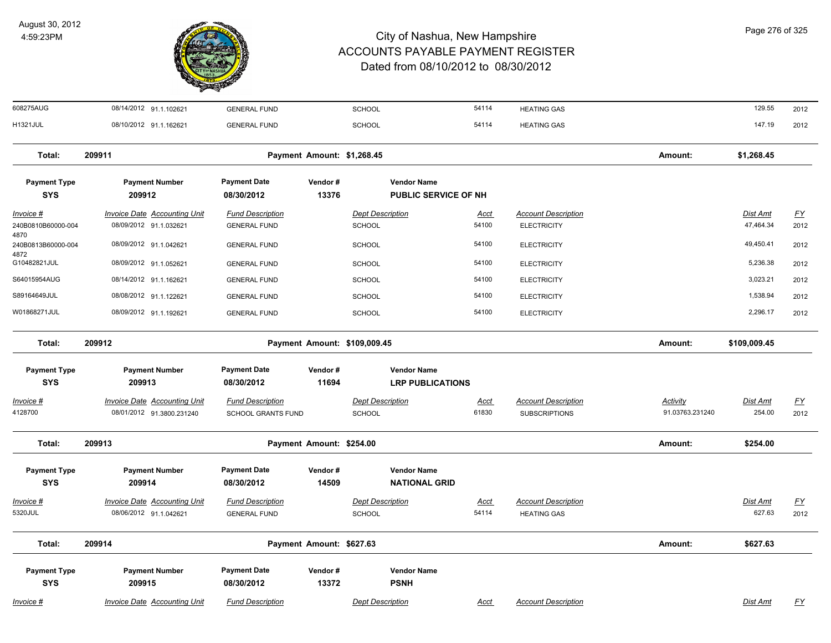

| 608275AUG                               | 08/14/2012 91.1.102621                                           | <b>GENERAL FUND</b>                            |                            | SCHOOL                                            | 54114                | <b>HEATING GAS</b>                                 |                             | 129.55                       | 2012              |
|-----------------------------------------|------------------------------------------------------------------|------------------------------------------------|----------------------------|---------------------------------------------------|----------------------|----------------------------------------------------|-----------------------------|------------------------------|-------------------|
| <b>H1321JUL</b>                         | 08/10/2012 91.1.162621                                           | <b>GENERAL FUND</b>                            |                            | SCHOOL                                            | 54114                | <b>HEATING GAS</b>                                 |                             | 147.19                       | 2012              |
| Total:                                  | 209911                                                           |                                                | Payment Amount: \$1,268.45 |                                                   |                      |                                                    | Amount:                     | \$1,268.45                   |                   |
| <b>Payment Type</b><br><b>SYS</b>       | <b>Payment Number</b><br>209912                                  | <b>Payment Date</b><br>08/30/2012              | Vendor#<br>13376           | <b>Vendor Name</b><br><b>PUBLIC SERVICE OF NH</b> |                      |                                                    |                             |                              |                   |
| Invoice #<br>240B0810B60000-004<br>4870 | <b>Invoice Date Accounting Unit</b><br>08/09/2012 91.1.032621    | <b>Fund Description</b><br><b>GENERAL FUND</b> |                            | <b>Dept Description</b><br><b>SCHOOL</b>          | <u>Acct</u><br>54100 | <b>Account Description</b><br><b>ELECTRICITY</b>   |                             | <b>Dist Amt</b><br>47,464.34 | <u>FY</u><br>2012 |
| 240B0813B60000-004<br>4872              | 08/09/2012 91.1.042621                                           | <b>GENERAL FUND</b>                            |                            | SCHOOL                                            | 54100                | <b>ELECTRICITY</b>                                 |                             | 49,450.41                    | 2012              |
| G10482821JUL                            | 08/09/2012 91.1.052621                                           | <b>GENERAL FUND</b>                            |                            | <b>SCHOOL</b>                                     | 54100                | <b>ELECTRICITY</b>                                 |                             | 5,236.38                     | 2012              |
| S64015954AUG                            | 08/14/2012 91.1.162621                                           | <b>GENERAL FUND</b>                            |                            | <b>SCHOOL</b>                                     | 54100                | <b>ELECTRICITY</b>                                 |                             | 3,023.21                     | 2012              |
| S89164649JUL                            | 08/08/2012 91.1.122621                                           | <b>GENERAL FUND</b>                            |                            | <b>SCHOOL</b>                                     | 54100                | <b>ELECTRICITY</b>                                 |                             | 1,538.94                     | 2012              |
| W01868271JUL                            | 08/09/2012 91.1.192621                                           | <b>GENERAL FUND</b>                            |                            | SCHOOL                                            | 54100                | <b>ELECTRICITY</b>                                 |                             | 2,296.17                     | 2012              |
| Total:                                  | 209912                                                           |                                                |                            | Payment Amount: \$109,009.45                      |                      |                                                    | Amount:                     | \$109,009.45                 |                   |
| <b>Payment Type</b>                     | <b>Payment Number</b>                                            | <b>Payment Date</b>                            | Vendor#                    | <b>Vendor Name</b>                                |                      |                                                    |                             |                              |                   |
| <b>SYS</b>                              | 209913                                                           | 08/30/2012                                     | 11694                      | <b>LRP PUBLICATIONS</b>                           |                      |                                                    |                             |                              |                   |
| Invoice #<br>4128700                    | <b>Invoice Date Accounting Unit</b><br>08/01/2012 91.3800.231240 | <b>Fund Description</b><br>SCHOOL GRANTS FUND  |                            | <b>Dept Description</b><br>SCHOOL                 | Acct<br>61830        | <b>Account Description</b><br><b>SUBSCRIPTIONS</b> | Activity<br>91.03763.231240 | Dist Amt<br>254.00           | <u>FY</u><br>2012 |
| Total:                                  | 209913                                                           |                                                | Payment Amount: \$254.00   |                                                   |                      |                                                    | Amount:                     | \$254.00                     |                   |
| <b>Payment Type</b><br><b>SYS</b>       | <b>Payment Number</b><br>209914                                  | <b>Payment Date</b><br>08/30/2012              | Vendor#<br>14509           | <b>Vendor Name</b><br><b>NATIONAL GRID</b>        |                      |                                                    |                             |                              |                   |
| Invoice #                               | Invoice Date Accounting Unit                                     | <b>Fund Description</b>                        |                            | <b>Dept Description</b>                           | <u>Acct</u>          | <b>Account Description</b>                         |                             | Dist Amt                     | <u>FY</u>         |
| 5320JUL                                 | 08/06/2012 91.1.042621                                           | <b>GENERAL FUND</b>                            |                            | <b>SCHOOL</b>                                     | 54114                | <b>HEATING GAS</b>                                 |                             | 627.63                       | 2012              |
| Total:                                  | 209914                                                           |                                                | Payment Amount: \$627.63   |                                                   |                      |                                                    | Amount:                     | \$627.63                     |                   |
| <b>Payment Type</b><br><b>SYS</b>       | <b>Payment Number</b><br>209915                                  | <b>Payment Date</b><br>08/30/2012              | Vendor#<br>13372           | <b>Vendor Name</b><br><b>PSNH</b>                 |                      |                                                    |                             |                              |                   |
| Invoice #                               | <b>Invoice Date Accounting Unit</b>                              | <b>Fund Description</b>                        |                            | <b>Dept Description</b>                           | <u>Acct</u>          | <b>Account Description</b>                         |                             | Dist Amt                     | <u>FY</u>         |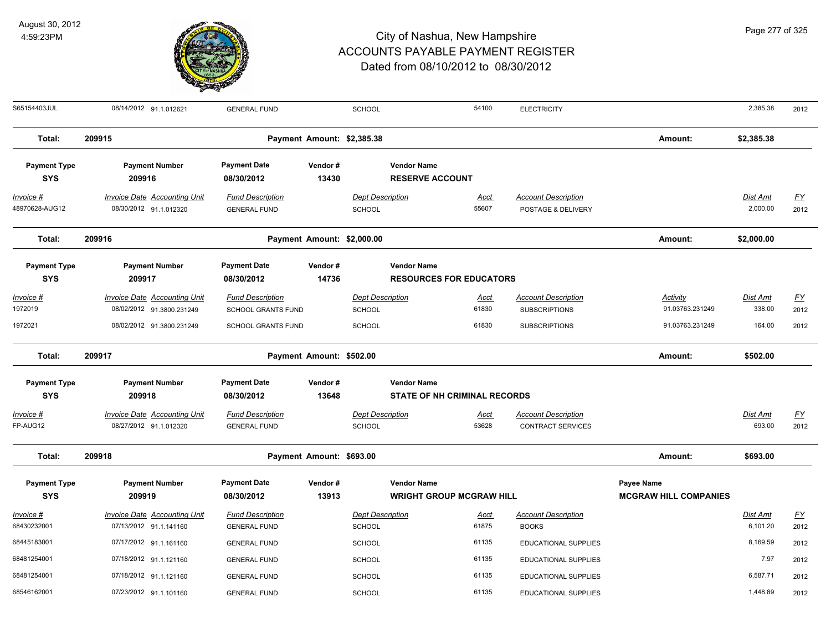

S65154403JUL 08/14/2012 91.1.012621 GENERAL FUND SCHOOL 54100 ELECTRICITY SCHOOL 54100 ELECTRICITY 2,385.38 2012

| Total:                             | 209915                                                                                        |                                                                                   | Payment Amount: \$2,385.38 |                                             |                                                           |                               |                                                                            | Amount:                                        | \$2,385.38                          |                    |
|------------------------------------|-----------------------------------------------------------------------------------------------|-----------------------------------------------------------------------------------|----------------------------|---------------------------------------------|-----------------------------------------------------------|-------------------------------|----------------------------------------------------------------------------|------------------------------------------------|-------------------------------------|--------------------|
| <b>Payment Type</b><br><b>SYS</b>  | <b>Payment Number</b><br>209916                                                               | Payment Date<br>08/30/2012                                                        | Vendor#<br>13430           |                                             | <b>Vendor Name</b><br><b>RESERVE ACCOUNT</b>              |                               |                                                                            |                                                |                                     |                    |
| <u>Invoice #</u><br>48970628-AUG12 | <b>Invoice Date Accounting Unit</b><br>08/30/2012 91.1.012320                                 | <b>Fund Description</b><br><b>GENERAL FUND</b>                                    |                            | <b>Dept Description</b><br>SCHOOL           |                                                           | <u>Acct</u><br>55607          | <b>Account Description</b><br>POSTAGE & DELIVERY                           |                                                | Dist Amt<br>2,000.00                | <u>FY</u><br>2012  |
| Total:                             | 209916                                                                                        |                                                                                   | Payment Amount: \$2,000.00 |                                             |                                                           |                               |                                                                            | Amount:                                        | \$2,000.00                          |                    |
| <b>Payment Type</b><br><b>SYS</b>  | <b>Payment Number</b><br>209917                                                               | Payment Date<br>08/30/2012                                                        | Vendor#<br>14736           |                                             | <b>Vendor Name</b><br><b>RESOURCES FOR EDUCATORS</b>      |                               |                                                                            |                                                |                                     |                    |
| Invoice #<br>1972019<br>1972021    | <b>Invoice Date Accounting Unit</b><br>08/02/2012 91.3800.231249<br>08/02/2012 91.3800.231249 | <b>Fund Description</b><br><b>SCHOOL GRANTS FUND</b><br><b>SCHOOL GRANTS FUND</b> |                            | <b>Dept Description</b><br>SCHOOL<br>SCHOOL |                                                           | <u>Acct</u><br>61830<br>61830 | <b>Account Description</b><br><b>SUBSCRIPTIONS</b><br><b>SUBSCRIPTIONS</b> | Activity<br>91.03763.231249<br>91.03763.231249 | <b>Dist Amt</b><br>338.00<br>164.00 | EY<br>2012<br>2012 |
| Total:                             | 209917                                                                                        |                                                                                   | Payment Amount: \$502.00   |                                             |                                                           |                               |                                                                            | Amount:                                        | \$502.00                            |                    |
| <b>Payment Type</b><br><b>SYS</b>  | <b>Payment Number</b><br>209918                                                               | <b>Payment Date</b><br>08/30/2012                                                 | Vendor#<br>13648           |                                             | <b>Vendor Name</b><br><b>STATE OF NH CRIMINAL RECORDS</b> |                               |                                                                            |                                                |                                     |                    |
| Invoice #<br>FP-AUG12              | <b>Invoice Date Accounting Unit</b><br>08/27/2012 91.1.012320                                 | <b>Fund Description</b><br><b>GENERAL FUND</b>                                    |                            | <b>Dept Description</b><br>SCHOOL           |                                                           | Acct<br>53628                 | <b>Account Description</b><br><b>CONTRACT SERVICES</b>                     |                                                | <b>Dist Amt</b><br>693.00           | <u>FY</u><br>2012  |
| Total:                             | 209918                                                                                        |                                                                                   | Payment Amount: \$693.00   |                                             |                                                           |                               |                                                                            | Amount:                                        | \$693.00                            |                    |
| <b>Payment Type</b><br><b>SYS</b>  | <b>Payment Number</b><br>209919                                                               | Payment Date<br>08/30/2012                                                        | Vendor#<br>13913           |                                             | <b>Vendor Name</b><br><b>WRIGHT GROUP MCGRAW HILL</b>     |                               |                                                                            | Payee Name<br><b>MCGRAW HILL COMPANIES</b>     |                                     |                    |
| Invoice #<br>68430232001           | <b>Invoice Date Accounting Unit</b><br>07/13/2012 91.1.141160                                 | <b>Fund Description</b><br><b>GENERAL FUND</b>                                    |                            | <b>Dept Description</b><br><b>SCHOOL</b>    |                                                           | Acct<br>61875                 | <b>Account Description</b><br><b>BOOKS</b>                                 |                                                | <b>Dist Amt</b><br>6,101.20         | <u>FY</u><br>2012  |
| 68445183001                        | 07/17/2012 91.1.161160                                                                        | <b>GENERAL FUND</b>                                                               |                            | SCHOOL                                      |                                                           | 61135                         | <b>EDUCATIONAL SUPPLIES</b>                                                |                                                | 8,169.59                            | 2012               |
| 68481254001                        | 07/18/2012 91.1.121160                                                                        | <b>GENERAL FUND</b>                                                               |                            | SCHOOL                                      |                                                           | 61135                         | <b>EDUCATIONAL SUPPLIES</b>                                                |                                                | 7.97                                | 2012               |
| 68481254001                        | 07/18/2012 91.1.121160                                                                        | <b>GENERAL FUND</b>                                                               |                            | SCHOOL                                      |                                                           | 61135                         | <b>EDUCATIONAL SUPPLIES</b>                                                |                                                | 6,587.71                            | 2012               |
| 68546162001                        | 07/23/2012 91.1.101160                                                                        | <b>GENERAL FUND</b>                                                               |                            | SCHOOL                                      |                                                           | 61135                         | <b>EDUCATIONAL SUPPLIES</b>                                                |                                                | 1,448.89                            | 2012               |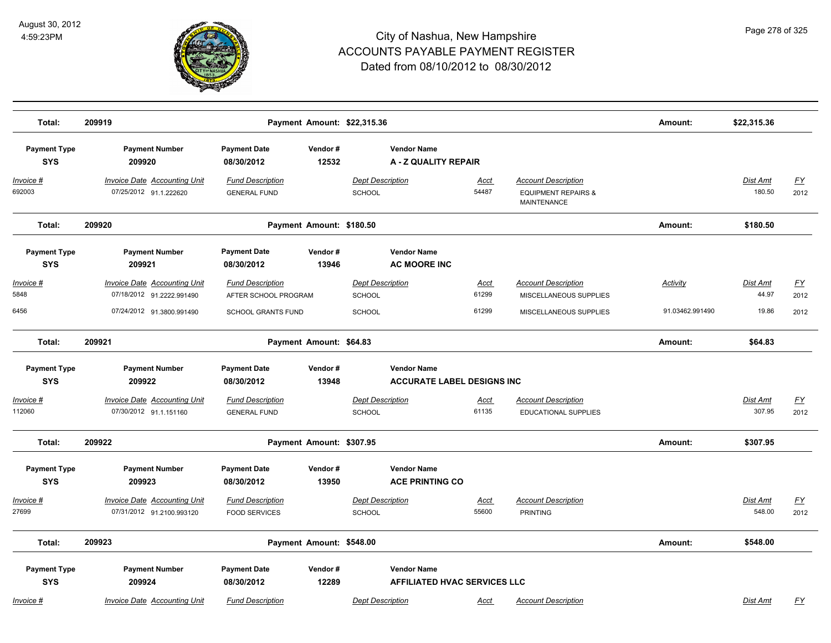

| Total:                            | 209919                                                           |                                                 |                  | Payment Amount: \$22,315.36                               |                      |                                                                             | Amount:         | \$22,315.36               |                          |
|-----------------------------------|------------------------------------------------------------------|-------------------------------------------------|------------------|-----------------------------------------------------------|----------------------|-----------------------------------------------------------------------------|-----------------|---------------------------|--------------------------|
| <b>Payment Type</b><br><b>SYS</b> | <b>Payment Number</b><br>209920                                  | <b>Payment Date</b><br>08/30/2012               | Vendor#<br>12532 | <b>Vendor Name</b><br>A - Z QUALITY REPAIR                |                      |                                                                             |                 |                           |                          |
| Invoice #<br>692003               | <b>Invoice Date Accounting Unit</b><br>07/25/2012 91.1.222620    | <b>Fund Description</b><br><b>GENERAL FUND</b>  |                  | <b>Dept Description</b><br>SCHOOL                         | Acct<br>54487        | <b>Account Description</b><br><b>EQUIPMENT REPAIRS &amp;</b><br>MAINTENANCE |                 | <b>Dist Amt</b><br>180.50 | EY<br>2012               |
| Total:                            | 209920                                                           | Payment Amount: \$180.50                        |                  |                                                           |                      |                                                                             | Amount:         | \$180.50                  |                          |
| <b>Payment Type</b><br><b>SYS</b> | <b>Payment Number</b><br>209921                                  | <b>Payment Date</b><br>08/30/2012               | Vendor#<br>13946 | <b>Vendor Name</b><br><b>AC MOORE INC</b>                 |                      |                                                                             |                 |                           |                          |
| Invoice #<br>5848                 | Invoice Date Accounting Unit<br>07/18/2012 91.2222.991490        | <b>Fund Description</b><br>AFTER SCHOOL PROGRAM |                  | <b>Dept Description</b><br>SCHOOL                         | Acct<br>61299        | <b>Account Description</b><br>MISCELLANEOUS SUPPLIES                        | Activity        | Dist Amt<br>44.97         | $\underline{FY}$<br>2012 |
| 6456                              | 07/24/2012 91.3800.991490                                        | SCHOOL GRANTS FUND                              |                  | <b>SCHOOL</b>                                             | 61299                | MISCELLANEOUS SUPPLIES                                                      | 91.03462.991490 | 19.86                     | 2012                     |
| Total:                            | 209921                                                           | Payment Amount: \$64.83                         |                  |                                                           |                      |                                                                             | Amount:         | \$64.83                   |                          |
| <b>Payment Type</b><br><b>SYS</b> | <b>Payment Number</b><br>209922                                  | <b>Payment Date</b><br>08/30/2012               | Vendor#<br>13948 | <b>Vendor Name</b><br><b>ACCURATE LABEL DESIGNS INC</b>   |                      |                                                                             |                 |                           |                          |
| Invoice #<br>112060               | <b>Invoice Date Accounting Unit</b><br>07/30/2012 91.1.151160    | <b>Fund Description</b><br><b>GENERAL FUND</b>  |                  | <b>Dept Description</b><br>SCHOOL                         | Acct<br>61135        | <b>Account Description</b><br><b>EDUCATIONAL SUPPLIES</b>                   |                 | Dist Amt<br>307.95        | <u>FY</u><br>2012        |
| Total:                            | 209922                                                           | Payment Amount: \$307.95                        |                  |                                                           |                      |                                                                             | Amount:         | \$307.95                  |                          |
| <b>Payment Type</b><br><b>SYS</b> | <b>Payment Number</b><br>209923                                  | <b>Payment Date</b><br>08/30/2012               | Vendor#<br>13950 | <b>Vendor Name</b><br><b>ACE PRINTING CO</b>              |                      |                                                                             |                 |                           |                          |
| <u> Invoice #</u><br>27699        | <b>Invoice Date Accounting Unit</b><br>07/31/2012 91.2100.993120 | <b>Fund Description</b><br><b>FOOD SERVICES</b> |                  | <b>Dept Description</b><br>SCHOOL                         | <u>Acct</u><br>55600 | <b>Account Description</b><br><b>PRINTING</b>                               |                 | <b>Dist Amt</b><br>548.00 | <u>FY</u><br>2012        |
| Total:                            | 209923                                                           | Payment Amount: \$548.00                        |                  |                                                           |                      |                                                                             | Amount:         | \$548.00                  |                          |
| <b>Payment Type</b><br><b>SYS</b> | <b>Payment Number</b><br>209924                                  | <b>Payment Date</b><br>08/30/2012               | Vendor#<br>12289 | <b>Vendor Name</b><br><b>AFFILIATED HVAC SERVICES LLC</b> |                      |                                                                             |                 |                           |                          |
| Invoice #                         | <b>Invoice Date Accounting Unit</b>                              | <b>Fund Description</b>                         |                  | <b>Dept Description</b>                                   | Acct                 | <b>Account Description</b>                                                  |                 | <b>Dist Amt</b>           | <b>FY</b>                |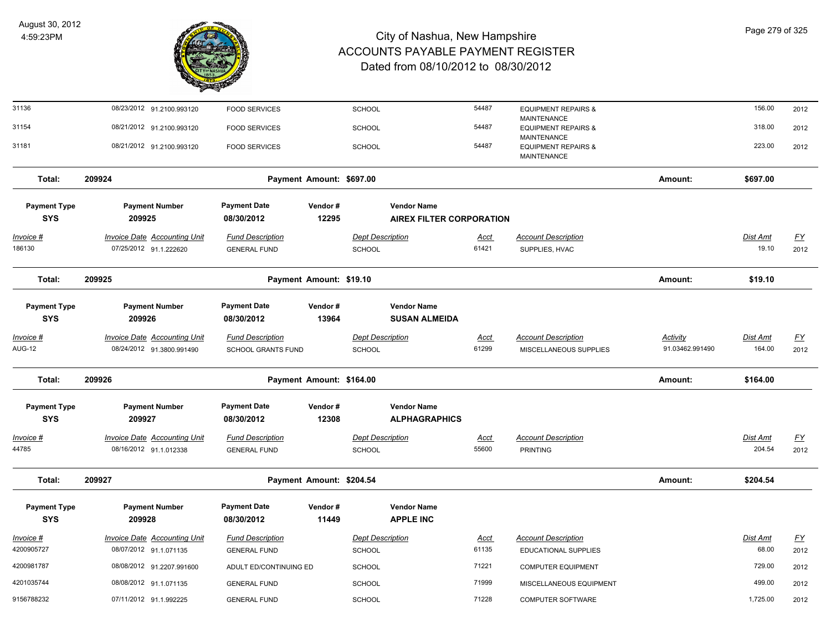

| 31136                             | 08/23/2012 91.2100.993120                                        | <b>FOOD SERVICES</b>                                 |                          | <b>SCHOOL</b>                     |                                                       | 54487                | <b>EQUIPMENT REPAIRS &amp;</b><br>MAINTENANCE                |                                    | 156.00                    | 2012                     |
|-----------------------------------|------------------------------------------------------------------|------------------------------------------------------|--------------------------|-----------------------------------|-------------------------------------------------------|----------------------|--------------------------------------------------------------|------------------------------------|---------------------------|--------------------------|
| 31154                             | 08/21/2012 91.2100.993120                                        | <b>FOOD SERVICES</b>                                 |                          | <b>SCHOOL</b>                     |                                                       | 54487                | <b>EQUIPMENT REPAIRS &amp;</b>                               |                                    | 318.00                    | 2012                     |
| 31181                             | 08/21/2012 91.2100.993120                                        | <b>FOOD SERVICES</b>                                 |                          | <b>SCHOOL</b>                     |                                                       | 54487                | MAINTENANCE<br><b>EQUIPMENT REPAIRS &amp;</b><br>MAINTENANCE |                                    | 223.00                    | 2012                     |
| Total:                            | 209924                                                           |                                                      | Payment Amount: \$697.00 |                                   |                                                       |                      |                                                              | Amount:                            | \$697.00                  |                          |
| <b>Payment Type</b><br><b>SYS</b> | <b>Payment Number</b><br>209925                                  | <b>Payment Date</b><br>08/30/2012                    | Vendor#<br>12295         |                                   | <b>Vendor Name</b><br><b>AIREX FILTER CORPORATION</b> |                      |                                                              |                                    |                           |                          |
| <u> Invoice #</u><br>186130       | <b>Invoice Date Accounting Unit</b><br>07/25/2012 91.1.222620    | <b>Fund Description</b><br><b>GENERAL FUND</b>       |                          | <b>Dept Description</b><br>SCHOOL |                                                       | <u>Acct</u><br>61421 | <b>Account Description</b><br>SUPPLIES, HVAC                 |                                    | <b>Dist Amt</b><br>19.10  | <u>FY</u><br>2012        |
| Total:                            | 209925                                                           |                                                      | Payment Amount: \$19.10  |                                   |                                                       |                      |                                                              | Amount:                            | \$19.10                   |                          |
| <b>Payment Type</b><br><b>SYS</b> | <b>Payment Number</b><br>209926                                  | <b>Payment Date</b><br>08/30/2012                    | Vendor#<br>13964         |                                   | <b>Vendor Name</b><br><b>SUSAN ALMEIDA</b>            |                      |                                                              |                                    |                           |                          |
| Invoice #<br><b>AUG-12</b>        | <b>Invoice Date Accounting Unit</b><br>08/24/2012 91.3800.991490 | <b>Fund Description</b><br><b>SCHOOL GRANTS FUND</b> |                          | <b>Dept Description</b><br>SCHOOL |                                                       | <u>Acct</u><br>61299 | <b>Account Description</b><br>MISCELLANEOUS SUPPLIES         | <b>Activity</b><br>91.03462.991490 | <b>Dist Amt</b><br>164.00 | <u>FY</u><br>2012        |
| Total:                            | 209926                                                           |                                                      | Payment Amount: \$164.00 |                                   |                                                       |                      |                                                              | Amount:                            | \$164.00                  |                          |
| <b>Payment Type</b><br><b>SYS</b> | <b>Payment Number</b><br>209927                                  | <b>Payment Date</b><br>08/30/2012                    | Vendor#<br>12308         |                                   | <b>Vendor Name</b><br><b>ALPHAGRAPHICS</b>            |                      |                                                              |                                    |                           |                          |
| <u> Invoice #</u><br>44785        | <b>Invoice Date Accounting Unit</b><br>08/16/2012 91.1.012338    | <b>Fund Description</b><br><b>GENERAL FUND</b>       |                          | <b>Dept Description</b><br>SCHOOL |                                                       | <u>Acct</u><br>55600 | <b>Account Description</b><br><b>PRINTING</b>                |                                    | Dist Amt<br>204.54        | $\underline{FY}$<br>2012 |
| Total:                            | 209927                                                           |                                                      | Payment Amount: \$204.54 |                                   |                                                       |                      |                                                              | Amount:                            | \$204.54                  |                          |
| <b>Payment Type</b><br><b>SYS</b> | <b>Payment Number</b><br>209928                                  | <b>Payment Date</b><br>08/30/2012                    | Vendor#<br>11449         |                                   | <b>Vendor Name</b><br><b>APPLE INC</b>                |                      |                                                              |                                    |                           |                          |
| <u>Invoice #</u>                  | <b>Invoice Date Accounting Unit</b>                              | <b>Fund Description</b>                              |                          | <b>Dept Description</b>           |                                                       | <u>Acct</u>          | <b>Account Description</b>                                   |                                    | <b>Dist Amt</b>           | EY                       |
| 4200905727                        | 08/07/2012 91.1.071135                                           | <b>GENERAL FUND</b>                                  |                          | SCHOOL                            |                                                       | 61135                | <b>EDUCATIONAL SUPPLIES</b>                                  |                                    | 68.00                     | 2012                     |
| 4200981787                        | 08/08/2012 91.2207.991600                                        | ADULT ED/CONTINUING ED                               |                          | <b>SCHOOL</b>                     |                                                       | 71221                | <b>COMPUTER EQUIPMENT</b>                                    |                                    | 729.00                    | 2012                     |
| 4201035744                        | 08/08/2012 91.1.071135                                           | <b>GENERAL FUND</b>                                  |                          | <b>SCHOOL</b>                     |                                                       | 71999                | MISCELLANEOUS EQUIPMENT                                      |                                    | 499.00                    | 2012                     |
| 9156788232                        | 07/11/2012 91.1.992225                                           | <b>GENERAL FUND</b>                                  |                          | SCHOOL                            |                                                       | 71228                | COMPUTER SOFTWARE                                            |                                    | 1,725.00                  | 2012                     |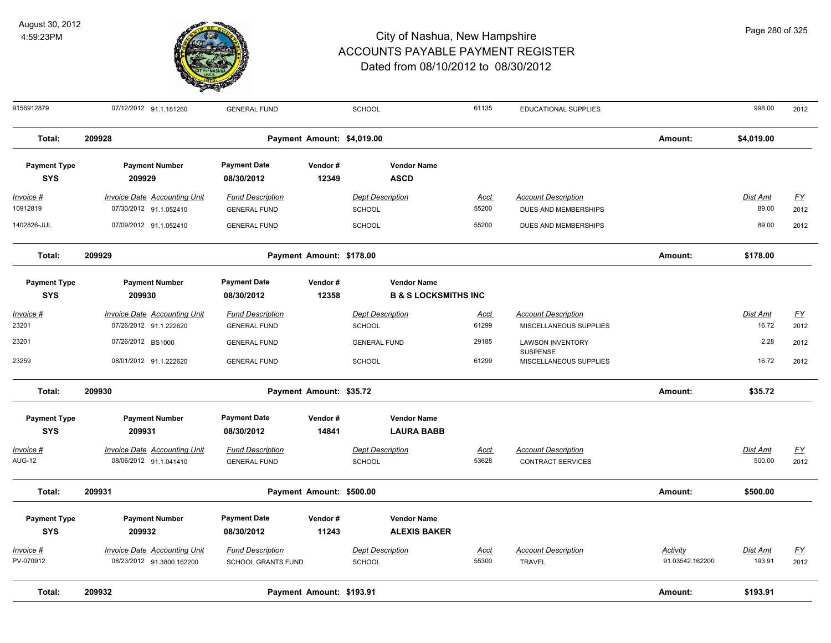

| Page 280 of 325 |  |  |  |
|-----------------|--|--|--|
|-----------------|--|--|--|

| 9156912879                        | 07/12/2012 91.1.181260                                        | <b>GENERAL FUND</b>                                  |                            | <b>SCHOOL</b>                                         | 61135          | EDUCATIONAL SUPPLIES                                 |                             | 998.00             | 2012                     |
|-----------------------------------|---------------------------------------------------------------|------------------------------------------------------|----------------------------|-------------------------------------------------------|----------------|------------------------------------------------------|-----------------------------|--------------------|--------------------------|
| Total:                            | 209928                                                        |                                                      | Payment Amount: \$4,019.00 |                                                       |                |                                                      | Amount:                     | \$4,019.00         |                          |
| <b>Payment Type</b><br><b>SYS</b> | <b>Payment Number</b><br>209929                               | <b>Payment Date</b><br>08/30/2012                    | Vendor#<br>12349           | <b>Vendor Name</b><br><b>ASCD</b>                     |                |                                                      |                             |                    |                          |
| $Invoice$ #                       | <b>Invoice Date Accounting Unit</b>                           | <b>Fund Description</b>                              |                            | <b>Dept Description</b>                               | Acct           | <b>Account Description</b>                           |                             | Dist Amt           | <u>FY</u>                |
| 10912819<br>1402826-JUL           | 07/30/2012 91.1.052410<br>07/09/2012 91.1.052410              | <b>GENERAL FUND</b><br><b>GENERAL FUND</b>           |                            | SCHOOL<br><b>SCHOOL</b>                               | 55200<br>55200 | DUES AND MEMBERSHIPS<br>DUES AND MEMBERSHIPS         |                             | 89.00<br>89.00     | 2012<br>2012             |
| Total:                            | 209929                                                        |                                                      | Payment Amount: \$178.00   |                                                       |                |                                                      | Amount:                     | \$178.00           |                          |
| <b>Payment Type</b><br><b>SYS</b> | <b>Payment Number</b><br>209930                               | <b>Payment Date</b><br>08/30/2012                    | Vendor#<br>12358           | <b>Vendor Name</b><br><b>B &amp; S LOCKSMITHS INC</b> |                |                                                      |                             |                    |                          |
| Invoice #<br>23201                | <b>Invoice Date Accounting Unit</b><br>07/26/2012 91.1.222620 | <b>Fund Description</b><br><b>GENERAL FUND</b>       |                            | <b>Dept Description</b><br><b>SCHOOL</b>              | Acct<br>61299  | <b>Account Description</b><br>MISCELLANEOUS SUPPLIES |                             | Dist Amt<br>16.72  | $\underline{FY}$<br>2012 |
| 23201                             | 07/26/2012 BS1000                                             | <b>GENERAL FUND</b>                                  |                            | <b>GENERAL FUND</b>                                   | 29185          | <b>LAWSON INVENTORY</b>                              |                             | 2.28               | 2012                     |
| 23259                             | 08/01/2012 91.1.222620                                        | <b>GENERAL FUND</b>                                  |                            | SCHOOL                                                | 61299          | SUSPENSE<br>MISCELLANEOUS SUPPLIES                   |                             | 16.72              | 2012                     |
| Total:                            | 209930                                                        |                                                      | Payment Amount: \$35.72    |                                                       |                |                                                      | Amount:                     | \$35.72            |                          |
| <b>Payment Type</b><br><b>SYS</b> | <b>Payment Number</b><br>209931                               | <b>Payment Date</b><br>08/30/2012                    | Vendor#<br>14841           | <b>Vendor Name</b><br><b>LAURA BABB</b>               |                |                                                      |                             |                    |                          |
| Invoice #<br><b>AUG-12</b>        | <b>Invoice Date Accounting Unit</b><br>08/06/2012 91.1.041410 | <b>Fund Description</b><br><b>GENERAL FUND</b>       |                            | <b>Dept Description</b><br>SCHOOL                     | Acct<br>53628  | <b>Account Description</b><br>CONTRACT SERVICES      |                             | Dist Amt<br>500.00 | <u>FY</u><br>2012        |
| Total:                            | 209931                                                        |                                                      | Payment Amount: \$500.00   |                                                       |                |                                                      | Amount:                     | \$500.00           |                          |
| <b>Payment Type</b><br><b>SYS</b> | <b>Payment Number</b><br>209932                               | <b>Payment Date</b><br>08/30/2012                    | Vendor#<br>11243           | <b>Vendor Name</b><br><b>ALEXIS BAKER</b>             |                |                                                      |                             |                    |                          |
| Invoice #<br>PV-070912            | Invoice Date Accounting Unit<br>08/23/2012 91.3800.162200     | <b>Fund Description</b><br><b>SCHOOL GRANTS FUND</b> |                            | <b>Dept Description</b><br><b>SCHOOL</b>              | Acct<br>55300  | <b>Account Description</b><br><b>TRAVEL</b>          | Activity<br>91.03542.162200 | Dist Amt<br>193.91 | <u>FY</u><br>2012        |
| Total:                            | 209932                                                        |                                                      | Payment Amount: \$193.91   |                                                       |                |                                                      | Amount:                     | \$193.91           |                          |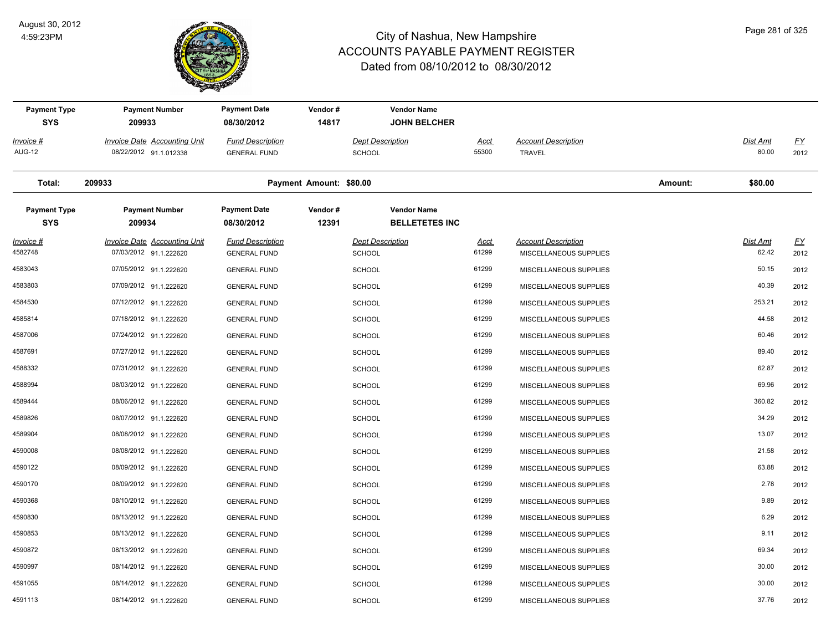

| <b>Payment Type</b><br><b>SYS</b> | <b>Payment Number</b><br>209933                               | <b>Payment Date</b><br>08/30/2012              | Vendor#<br>14817        |                                          | <b>Vendor Name</b><br><b>JOHN BELCHER</b>   |                      |                                                      |         |                   |                   |
|-----------------------------------|---------------------------------------------------------------|------------------------------------------------|-------------------------|------------------------------------------|---------------------------------------------|----------------------|------------------------------------------------------|---------|-------------------|-------------------|
| Invoice #                         | Invoice Date Accounting Unit                                  | <b>Fund Description</b>                        |                         | <b>Dept Description</b>                  |                                             | Acct                 | <b>Account Description</b>                           |         | Dist Amt          | <u>FY</u>         |
| <b>AUG-12</b>                     | 08/22/2012 91.1.012338                                        | <b>GENERAL FUND</b>                            |                         | <b>SCHOOL</b>                            |                                             | 55300                | <b>TRAVEL</b>                                        |         | 80.00             | 2012              |
| Total:                            | 209933                                                        |                                                | Payment Amount: \$80.00 |                                          |                                             |                      |                                                      | Amount: | \$80.00           |                   |
| <b>Payment Type</b><br><b>SYS</b> | <b>Payment Number</b><br>209934                               | <b>Payment Date</b><br>08/30/2012              | Vendor#<br>12391        |                                          | <b>Vendor Name</b><br><b>BELLETETES INC</b> |                      |                                                      |         |                   |                   |
| Invoice #<br>4582748              | <b>Invoice Date Accounting Unit</b><br>07/03/2012 91.1.222620 | <b>Fund Description</b><br><b>GENERAL FUND</b> |                         | <b>Dept Description</b><br><b>SCHOOL</b> |                                             | <u>Acct</u><br>61299 | <b>Account Description</b><br>MISCELLANEOUS SUPPLIES |         | Dist Amt<br>62.42 | <u>FY</u><br>2012 |
| 4583043                           | 07/05/2012 91.1.222620                                        | <b>GENERAL FUND</b>                            |                         | <b>SCHOOL</b>                            |                                             | 61299                | MISCELLANEOUS SUPPLIES                               |         | 50.15             | 2012              |
| 4583803                           | 07/09/2012 91.1.222620                                        | <b>GENERAL FUND</b>                            |                         | <b>SCHOOL</b>                            |                                             | 61299                | MISCELLANEOUS SUPPLIES                               |         | 40.39             | 2012              |
| 4584530                           | 07/12/2012 91.1.222620                                        | <b>GENERAL FUND</b>                            |                         | <b>SCHOOL</b>                            |                                             | 61299                | MISCELLANEOUS SUPPLIES                               |         | 253.21            | 2012              |
| 4585814                           | 07/18/2012 91.1.222620                                        | <b>GENERAL FUND</b>                            |                         | <b>SCHOOL</b>                            |                                             | 61299                | MISCELLANEOUS SUPPLIES                               |         | 44.58             | 2012              |
| 4587006                           | 07/24/2012 91.1.222620                                        | <b>GENERAL FUND</b>                            |                         | <b>SCHOOL</b>                            |                                             | 61299                | MISCELLANEOUS SUPPLIES                               |         | 60.46             | 2012              |
| 4587691                           | 07/27/2012 91.1.222620                                        | <b>GENERAL FUND</b>                            |                         | <b>SCHOOL</b>                            |                                             | 61299                | MISCELLANEOUS SUPPLIES                               |         | 89.40             | 2012              |
| 4588332                           | 07/31/2012 91.1.222620                                        | <b>GENERAL FUND</b>                            |                         | <b>SCHOOL</b>                            |                                             | 61299                | MISCELLANEOUS SUPPLIES                               |         | 62.87             | 2012              |
| 4588994                           | 08/03/2012 91.1.222620                                        | <b>GENERAL FUND</b>                            |                         | <b>SCHOOL</b>                            |                                             | 61299                | MISCELLANEOUS SUPPLIES                               |         | 69.96             | 2012              |
| 4589444                           | 08/06/2012 91.1.222620                                        | <b>GENERAL FUND</b>                            |                         | <b>SCHOOL</b>                            |                                             | 61299                | MISCELLANEOUS SUPPLIES                               |         | 360.82            | 2012              |
| 4589826                           | 08/07/2012 91.1.222620                                        | <b>GENERAL FUND</b>                            |                         | <b>SCHOOL</b>                            |                                             | 61299                | MISCELLANEOUS SUPPLIES                               |         | 34.29             | 2012              |
| 4589904                           | 08/08/2012 91.1.222620                                        | <b>GENERAL FUND</b>                            |                         | <b>SCHOOL</b>                            |                                             | 61299                | MISCELLANEOUS SUPPLIES                               |         | 13.07             | 2012              |
| 4590008                           | 08/08/2012 91.1.222620                                        | <b>GENERAL FUND</b>                            |                         | <b>SCHOOL</b>                            |                                             | 61299                | MISCELLANEOUS SUPPLIES                               |         | 21.58             | 2012              |
| 4590122                           | 08/09/2012 91.1.222620                                        | <b>GENERAL FUND</b>                            |                         | <b>SCHOOL</b>                            |                                             | 61299                | MISCELLANEOUS SUPPLIES                               |         | 63.88             | 2012              |
| 4590170                           | 08/09/2012 91.1.222620                                        | <b>GENERAL FUND</b>                            |                         | <b>SCHOOL</b>                            |                                             | 61299                | MISCELLANEOUS SUPPLIES                               |         | 2.78              | 2012              |
| 4590368                           | 08/10/2012 91.1.222620                                        | <b>GENERAL FUND</b>                            |                         | <b>SCHOOL</b>                            |                                             | 61299                | MISCELLANEOUS SUPPLIES                               |         | 9.89              | 2012              |
| 4590830                           | 08/13/2012 91.1.222620                                        | <b>GENERAL FUND</b>                            |                         | <b>SCHOOL</b>                            |                                             | 61299                | MISCELLANEOUS SUPPLIES                               |         | 6.29              | 2012              |
| 4590853                           | 08/13/2012 91.1.222620                                        | <b>GENERAL FUND</b>                            |                         | <b>SCHOOL</b>                            |                                             | 61299                | MISCELLANEOUS SUPPLIES                               |         | 9.11              | 2012              |
| 4590872                           | 08/13/2012 91.1.222620                                        | <b>GENERAL FUND</b>                            |                         | <b>SCHOOL</b>                            |                                             | 61299                | MISCELLANEOUS SUPPLIES                               |         | 69.34             | 2012              |
| 4590997                           | 08/14/2012 91.1.222620                                        | <b>GENERAL FUND</b>                            |                         | <b>SCHOOL</b>                            |                                             | 61299                | MISCELLANEOUS SUPPLIES                               |         | 30.00             | 2012              |
| 4591055                           | 08/14/2012 91.1.222620                                        | <b>GENERAL FUND</b>                            |                         | <b>SCHOOL</b>                            |                                             | 61299                | MISCELLANEOUS SUPPLIES                               |         | 30.00             | 2012              |
| 4591113                           | 08/14/2012 91.1.222620                                        | <b>GENERAL FUND</b>                            |                         | SCHOOL                                   |                                             | 61299                | MISCELLANEOUS SUPPLIES                               |         | 37.76             | 2012              |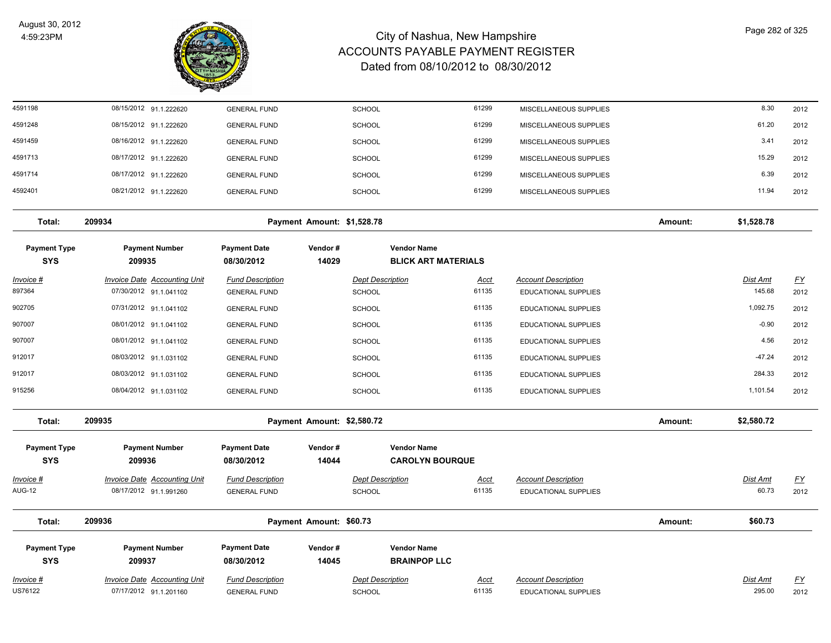

| 61135<br>1,092.75<br>07/31/2012 91.1.041102<br><b>GENERAL FUND</b><br><b>SCHOOL</b><br><b>EDUCATIONAL SUPPLIES</b><br>2012<br>61135<br>$-0.90$<br>08/01/2012 91.1.041102<br><b>GENERAL FUND</b><br><b>SCHOOL</b><br><b>EDUCATIONAL SUPPLIES</b><br>2012<br>61135<br>4.56<br>08/01/2012 91.1.041102<br><b>GENERAL FUND</b><br><b>SCHOOL</b><br><b>EDUCATIONAL SUPPLIES</b><br>2012<br>$-47.24$<br>08/03/2012 91.1.031102<br>61135<br><b>GENERAL FUND</b><br><b>SCHOOL</b><br><b>EDUCATIONAL SUPPLIES</b><br>2012<br>61135<br>284.33<br>912017<br>08/03/2012 91.1.031102<br><b>GENERAL FUND</b><br><b>SCHOOL</b><br><b>EDUCATIONAL SUPPLIES</b><br>2012<br>61135<br>1,101.54<br>08/04/2012 91.1.031102<br><b>GENERAL FUND</b><br><b>SCHOOL</b><br><b>EDUCATIONAL SUPPLIES</b><br>2012<br>\$2,580.72<br>Total:<br>209935<br>Payment Amount: \$2,580.72<br>Amount:<br><b>Payment Type</b><br><b>Payment Number</b><br><b>Payment Date</b><br>Vendor#<br><b>Vendor Name</b><br><b>SYS</b><br>209936<br><b>CAROLYN BOURQUE</b><br>08/30/2012<br>14044<br>Invoice Date Accounting Unit<br><b>Fund Description</b><br><b>Dept Description</b><br><b>Account Description</b><br>Dist Amt<br><u>FY</u><br><b>Acct</b><br>61135<br>08/17/2012 91.1.991260<br>60.73<br><b>GENERAL FUND</b><br><b>SCHOOL</b><br><b>EDUCATIONAL SUPPLIES</b><br>2012<br>Total:<br>209936<br>Payment Amount: \$60.73<br>Amount:<br>\$60.73<br><b>Payment Date</b><br><b>Vendor Name</b><br><b>Payment Type</b><br><b>Payment Number</b><br>Vendor#<br><b>SYS</b><br>209937<br>08/30/2012<br>14045<br><b>BRAINPOP LLC</b><br><b>Invoice Date Accounting Unit</b><br><b>Fund Description</b><br><b>Dept Description</b><br><b>Account Description</b><br>Dist Amt<br><u>FY</u><br><u>Acct</u><br>US76122<br>07/17/2012 91.1.201160<br>61135<br>295.00<br>EDUCATIONAL SUPPLIES<br>2012<br><b>GENERAL FUND</b><br>SCHOOL | 897364                     | 07/30/2012 91.1.041102 | <b>GENERAL FUND</b> | <b>SCHOOL</b> | 61135 | <b>EDUCATIONAL SUPPLIES</b> | 145.68 | <u>FY</u><br>2012 |
|---------------------------------------------------------------------------------------------------------------------------------------------------------------------------------------------------------------------------------------------------------------------------------------------------------------------------------------------------------------------------------------------------------------------------------------------------------------------------------------------------------------------------------------------------------------------------------------------------------------------------------------------------------------------------------------------------------------------------------------------------------------------------------------------------------------------------------------------------------------------------------------------------------------------------------------------------------------------------------------------------------------------------------------------------------------------------------------------------------------------------------------------------------------------------------------------------------------------------------------------------------------------------------------------------------------------------------------------------------------------------------------------------------------------------------------------------------------------------------------------------------------------------------------------------------------------------------------------------------------------------------------------------------------------------------------------------------------------------------------------------------------------------------------------------------------------------------------------------------------------------------------|----------------------------|------------------------|---------------------|---------------|-------|-----------------------------|--------|-------------------|
|                                                                                                                                                                                                                                                                                                                                                                                                                                                                                                                                                                                                                                                                                                                                                                                                                                                                                                                                                                                                                                                                                                                                                                                                                                                                                                                                                                                                                                                                                                                                                                                                                                                                                                                                                                                                                                                                                       | 902705                     |                        |                     |               |       |                             |        |                   |
|                                                                                                                                                                                                                                                                                                                                                                                                                                                                                                                                                                                                                                                                                                                                                                                                                                                                                                                                                                                                                                                                                                                                                                                                                                                                                                                                                                                                                                                                                                                                                                                                                                                                                                                                                                                                                                                                                       | 907007                     |                        |                     |               |       |                             |        |                   |
|                                                                                                                                                                                                                                                                                                                                                                                                                                                                                                                                                                                                                                                                                                                                                                                                                                                                                                                                                                                                                                                                                                                                                                                                                                                                                                                                                                                                                                                                                                                                                                                                                                                                                                                                                                                                                                                                                       | 907007                     |                        |                     |               |       |                             |        |                   |
|                                                                                                                                                                                                                                                                                                                                                                                                                                                                                                                                                                                                                                                                                                                                                                                                                                                                                                                                                                                                                                                                                                                                                                                                                                                                                                                                                                                                                                                                                                                                                                                                                                                                                                                                                                                                                                                                                       | 912017                     |                        |                     |               |       |                             |        |                   |
|                                                                                                                                                                                                                                                                                                                                                                                                                                                                                                                                                                                                                                                                                                                                                                                                                                                                                                                                                                                                                                                                                                                                                                                                                                                                                                                                                                                                                                                                                                                                                                                                                                                                                                                                                                                                                                                                                       |                            |                        |                     |               |       |                             |        |                   |
|                                                                                                                                                                                                                                                                                                                                                                                                                                                                                                                                                                                                                                                                                                                                                                                                                                                                                                                                                                                                                                                                                                                                                                                                                                                                                                                                                                                                                                                                                                                                                                                                                                                                                                                                                                                                                                                                                       |                            |                        |                     |               |       |                             |        |                   |
|                                                                                                                                                                                                                                                                                                                                                                                                                                                                                                                                                                                                                                                                                                                                                                                                                                                                                                                                                                                                                                                                                                                                                                                                                                                                                                                                                                                                                                                                                                                                                                                                                                                                                                                                                                                                                                                                                       | 915256                     |                        |                     |               |       |                             |        |                   |
|                                                                                                                                                                                                                                                                                                                                                                                                                                                                                                                                                                                                                                                                                                                                                                                                                                                                                                                                                                                                                                                                                                                                                                                                                                                                                                                                                                                                                                                                                                                                                                                                                                                                                                                                                                                                                                                                                       |                            |                        |                     |               |       |                             |        |                   |
|                                                                                                                                                                                                                                                                                                                                                                                                                                                                                                                                                                                                                                                                                                                                                                                                                                                                                                                                                                                                                                                                                                                                                                                                                                                                                                                                                                                                                                                                                                                                                                                                                                                                                                                                                                                                                                                                                       |                            |                        |                     |               |       |                             |        |                   |
|                                                                                                                                                                                                                                                                                                                                                                                                                                                                                                                                                                                                                                                                                                                                                                                                                                                                                                                                                                                                                                                                                                                                                                                                                                                                                                                                                                                                                                                                                                                                                                                                                                                                                                                                                                                                                                                                                       | Invoice #<br><b>AUG-12</b> |                        |                     |               |       |                             |        |                   |
|                                                                                                                                                                                                                                                                                                                                                                                                                                                                                                                                                                                                                                                                                                                                                                                                                                                                                                                                                                                                                                                                                                                                                                                                                                                                                                                                                                                                                                                                                                                                                                                                                                                                                                                                                                                                                                                                                       |                            |                        |                     |               |       |                             |        |                   |
|                                                                                                                                                                                                                                                                                                                                                                                                                                                                                                                                                                                                                                                                                                                                                                                                                                                                                                                                                                                                                                                                                                                                                                                                                                                                                                                                                                                                                                                                                                                                                                                                                                                                                                                                                                                                                                                                                       |                            |                        |                     |               |       |                             |        |                   |
|                                                                                                                                                                                                                                                                                                                                                                                                                                                                                                                                                                                                                                                                                                                                                                                                                                                                                                                                                                                                                                                                                                                                                                                                                                                                                                                                                                                                                                                                                                                                                                                                                                                                                                                                                                                                                                                                                       | Invoice #                  |                        |                     |               |       |                             |        |                   |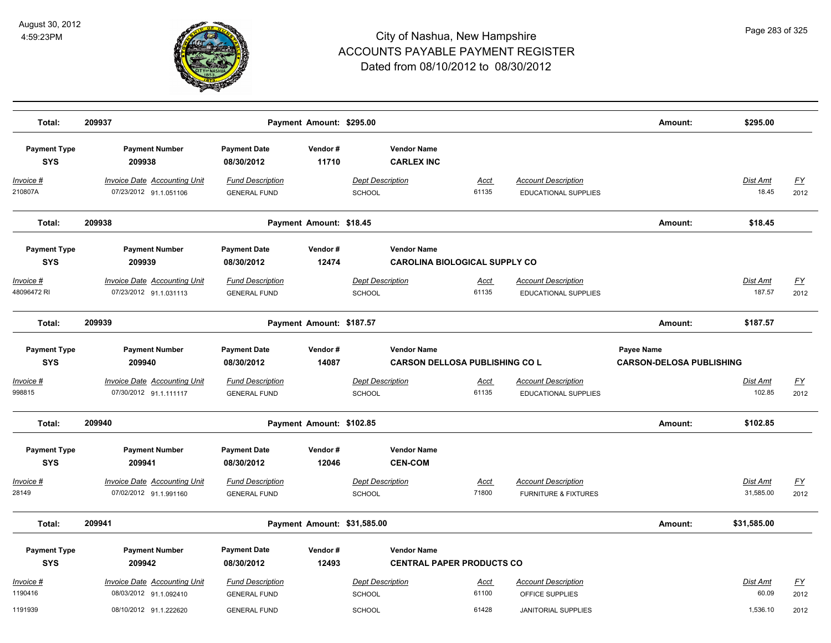

| Total:                            | 209937                                                        |                                                | Payment Amount: \$295.00    |                                          |                                       |                                                               | Amount:                                       | \$295.00                     |                   |
|-----------------------------------|---------------------------------------------------------------|------------------------------------------------|-----------------------------|------------------------------------------|---------------------------------------|---------------------------------------------------------------|-----------------------------------------------|------------------------------|-------------------|
| <b>Payment Type</b><br><b>SYS</b> | <b>Payment Number</b><br>209938                               | <b>Payment Date</b><br>08/30/2012              | Vendor#<br>11710            | <b>Vendor Name</b><br><b>CARLEX INC</b>  |                                       |                                                               |                                               |                              |                   |
| Invoice #<br>210807A              | <b>Invoice Date Accounting Unit</b><br>07/23/2012 91.1.051106 | <b>Fund Description</b><br><b>GENERAL FUND</b> |                             | Dept Description<br><b>SCHOOL</b>        | Acct<br>61135                         | <b>Account Description</b><br><b>EDUCATIONAL SUPPLIES</b>     |                                               | <b>Dist Amt</b><br>18.45     | <u>FY</u><br>2012 |
| Total:                            | 209938                                                        |                                                | Payment Amount: \$18.45     |                                          |                                       |                                                               | Amount:                                       | \$18.45                      |                   |
| <b>Payment Type</b><br><b>SYS</b> | <b>Payment Number</b><br>209939                               | <b>Payment Date</b><br>08/30/2012              | Vendor#<br>12474            | <b>Vendor Name</b>                       | <b>CAROLINA BIOLOGICAL SUPPLY CO</b>  |                                                               |                                               |                              |                   |
| Invoice #<br>48096472 RI          | <b>Invoice Date Accounting Unit</b><br>07/23/2012 91.1.031113 | <b>Fund Description</b><br><b>GENERAL FUND</b> |                             | <b>Dept Description</b><br><b>SCHOOL</b> | <u>Acct</u><br>61135                  | <b>Account Description</b><br><b>EDUCATIONAL SUPPLIES</b>     |                                               | Dist Amt<br>187.57           | <u>FY</u><br>2012 |
| Total:                            | 209939                                                        |                                                | Payment Amount: \$187.57    |                                          |                                       |                                                               | Amount:                                       | \$187.57                     |                   |
| <b>Payment Type</b><br><b>SYS</b> | <b>Payment Number</b><br>209940                               | <b>Payment Date</b><br>08/30/2012              | Vendor#<br>14087            | <b>Vendor Name</b>                       | <b>CARSON DELLOSA PUBLISHING CO L</b> |                                                               | Payee Name<br><b>CARSON-DELOSA PUBLISHING</b> |                              |                   |
| Invoice #<br>998815               | <b>Invoice Date Accounting Unit</b><br>07/30/2012 91.1.111117 | <b>Fund Description</b><br><b>GENERAL FUND</b> |                             | <b>Dept Description</b><br>SCHOOL        | <u>Acct</u><br>61135                  | <b>Account Description</b><br>EDUCATIONAL SUPPLIES            |                                               | Dist Amt<br>102.85           | EY<br>2012        |
| Total:                            | 209940                                                        |                                                | Payment Amount: \$102.85    |                                          |                                       |                                                               | Amount:                                       | \$102.85                     |                   |
| <b>Payment Type</b><br><b>SYS</b> | <b>Payment Number</b><br>209941                               | <b>Payment Date</b><br>08/30/2012              | Vendor#<br>12046            | <b>Vendor Name</b><br><b>CEN-COM</b>     |                                       |                                                               |                                               |                              |                   |
| Invoice #<br>28149                | <b>Invoice Date Accounting Unit</b><br>07/02/2012 91.1.991160 | <b>Fund Description</b><br><b>GENERAL FUND</b> |                             | <b>Dept Description</b><br>SCHOOL        | <b>Acct</b><br>71800                  | <b>Account Description</b><br><b>FURNITURE &amp; FIXTURES</b> |                                               | <b>Dist Amt</b><br>31,585.00 | <u>FY</u><br>2012 |
| Total:                            | 209941                                                        |                                                | Payment Amount: \$31,585.00 |                                          |                                       |                                                               | Amount:                                       | \$31,585.00                  |                   |
| <b>Payment Type</b><br><b>SYS</b> | <b>Payment Number</b><br>209942                               | <b>Payment Date</b><br>08/30/2012              | Vendor#<br>12493            | <b>Vendor Name</b>                       | <b>CENTRAL PAPER PRODUCTS CO</b>      |                                                               |                                               |                              |                   |
| Invoice #<br>1190416              | <b>Invoice Date Accounting Unit</b><br>08/03/2012 91.1.092410 | <b>Fund Description</b><br><b>GENERAL FUND</b> |                             | <b>Dept Description</b><br>SCHOOL        | <b>Acct</b><br>61100                  | <b>Account Description</b><br>OFFICE SUPPLIES                 |                                               | Dist Amt<br>60.09            | <u>FY</u><br>2012 |
| 1191939                           | 08/10/2012 91.1.222620                                        | <b>GENERAL FUND</b>                            |                             | SCHOOL                                   | 61428                                 | <b>JANITORIAL SUPPLIES</b>                                    |                                               | 1,536.10                     | 2012              |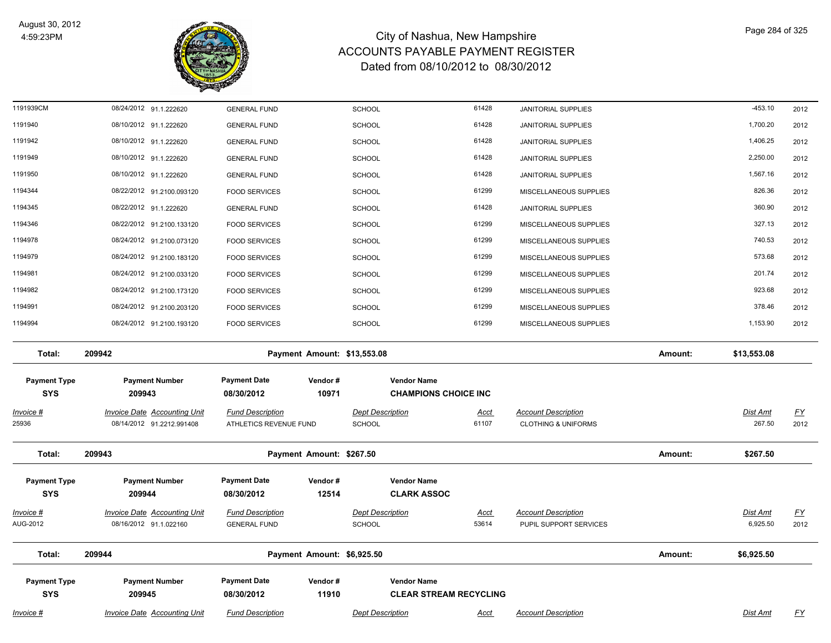

| 1191939CM                         | 08/24/2012 91.1.222620                                           | <b>GENERAL FUND</b>                               |                             | <b>SCHOOL</b>                     | 61428                                               |             | JANITORIAL SUPPLIES                                          |         | $-453.10$          | 2012                              |
|-----------------------------------|------------------------------------------------------------------|---------------------------------------------------|-----------------------------|-----------------------------------|-----------------------------------------------------|-------------|--------------------------------------------------------------|---------|--------------------|-----------------------------------|
| 1191940                           | 08/10/2012 91.1.222620                                           | <b>GENERAL FUND</b>                               |                             | <b>SCHOOL</b>                     | 61428                                               |             | <b>JANITORIAL SUPPLIES</b>                                   |         | 1,700.20           | 2012                              |
| 1191942                           | 08/10/2012 91.1.222620                                           | <b>GENERAL FUND</b>                               |                             | SCHOOL                            | 61428                                               |             | JANITORIAL SUPPLIES                                          |         | 1,406.25           | 2012                              |
| 1191949                           | 08/10/2012 91.1.222620                                           | <b>GENERAL FUND</b>                               |                             | SCHOOL                            | 61428                                               |             | <b>JANITORIAL SUPPLIES</b>                                   |         | 2,250.00           | 2012                              |
| 1191950                           | 08/10/2012 91.1.222620                                           | <b>GENERAL FUND</b>                               |                             | <b>SCHOOL</b>                     | 61428                                               |             | <b>JANITORIAL SUPPLIES</b>                                   |         | 1,567.16           | 2012                              |
| 1194344                           | 08/22/2012 91.2100.093120                                        | <b>FOOD SERVICES</b>                              |                             | SCHOOL                            | 61299                                               |             | MISCELLANEOUS SUPPLIES                                       |         | 826.36             | 2012                              |
| 1194345                           | 08/22/2012 91.1.222620                                           | <b>GENERAL FUND</b>                               |                             | <b>SCHOOL</b>                     | 61428                                               |             | <b>JANITORIAL SUPPLIES</b>                                   |         | 360.90             | 2012                              |
| 1194346                           | 08/22/2012 91.2100.133120                                        | <b>FOOD SERVICES</b>                              |                             | SCHOOL                            | 61299                                               |             | MISCELLANEOUS SUPPLIES                                       |         | 327.13             | 2012                              |
| 1194978                           | 08/24/2012 91.2100.073120                                        | <b>FOOD SERVICES</b>                              |                             | <b>SCHOOL</b>                     | 61299                                               |             | MISCELLANEOUS SUPPLIES                                       |         | 740.53             | 2012                              |
| 1194979                           | 08/24/2012 91.2100.183120                                        | <b>FOOD SERVICES</b>                              |                             | <b>SCHOOL</b>                     | 61299                                               |             | MISCELLANEOUS SUPPLIES                                       |         | 573.68             | 2012                              |
| 1194981                           | 08/24/2012 91.2100.033120                                        | <b>FOOD SERVICES</b>                              |                             | <b>SCHOOL</b>                     | 61299                                               |             | MISCELLANEOUS SUPPLIES                                       |         | 201.74             | 2012                              |
| 1194982                           | 08/24/2012 91.2100.173120                                        | <b>FOOD SERVICES</b>                              |                             | SCHOOL                            | 61299                                               |             | MISCELLANEOUS SUPPLIES                                       |         | 923.68             | 2012                              |
| 1194991                           | 08/24/2012 91.2100.203120                                        | <b>FOOD SERVICES</b>                              |                             | <b>SCHOOL</b>                     | 61299                                               |             | MISCELLANEOUS SUPPLIES                                       |         | 378.46             | 2012                              |
| 1194994                           | 08/24/2012 91.2100.193120                                        | <b>FOOD SERVICES</b>                              |                             | <b>SCHOOL</b>                     | 61299                                               |             | MISCELLANEOUS SUPPLIES                                       |         | 1,153.90           | 2012                              |
| Total:                            | 209942                                                           |                                                   | Payment Amount: \$13,553.08 |                                   |                                                     |             |                                                              | Amount: | \$13,553.08        |                                   |
| <b>Payment Type</b><br><b>SYS</b> | <b>Payment Number</b><br>209943                                  | <b>Payment Date</b><br>08/30/2012                 | Vendor#<br>10971            |                                   | <b>Vendor Name</b><br><b>CHAMPIONS CHOICE INC</b>   |             |                                                              |         |                    |                                   |
| <u>Invoice #</u><br>25936         | <b>Invoice Date Accounting Unit</b><br>08/14/2012 91.2212.991408 | <b>Fund Description</b><br>ATHLETICS REVENUE FUND |                             | <b>Dept Description</b><br>SCHOOL | 61107                                               | <u>Acct</u> | <b>Account Description</b><br><b>CLOTHING &amp; UNIFORMS</b> |         | Dist Amt<br>267.50 | $\underline{\mathsf{FY}}$<br>2012 |
| Total:                            | 209943                                                           |                                                   | Payment Amount: \$267.50    |                                   |                                                     |             |                                                              | Amount: | \$267.50           |                                   |
| <b>Payment Type</b><br><b>SYS</b> | <b>Payment Number</b><br>209944                                  | <b>Payment Date</b><br>08/30/2012                 | Vendor#<br>12514            |                                   | <b>Vendor Name</b><br><b>CLARK ASSOC</b>            |             |                                                              |         |                    |                                   |
| Invoice #                         | <b>Invoice Date Accounting Unit</b>                              | <b>Fund Description</b>                           |                             | <b>Dept Description</b>           |                                                     | <u>Acct</u> | <b>Account Description</b>                                   |         | Dist Amt           | <u>FY</u>                         |
| AUG-2012                          | 08/16/2012 91.1.022160                                           | <b>GENERAL FUND</b>                               |                             | SCHOOL                            | 53614                                               |             | PUPIL SUPPORT SERVICES                                       |         | 6,925.50           | 2012                              |
| Total:                            | 209944                                                           |                                                   | Payment Amount: \$6,925.50  |                                   |                                                     |             |                                                              | Amount: | \$6,925.50         |                                   |
| <b>Payment Type</b><br><b>SYS</b> | <b>Payment Number</b><br>209945                                  | <b>Payment Date</b><br>08/30/2012                 | Vendor#<br>11910            |                                   | <b>Vendor Name</b><br><b>CLEAR STREAM RECYCLING</b> |             |                                                              |         |                    |                                   |
| Invoice #                         | <b>Invoice Date Accounting Unit</b>                              | <b>Fund Description</b>                           |                             | <b>Dept Description</b>           |                                                     | <b>Acct</b> | <b>Account Description</b>                                   |         | Dist Amt           | <u>FY</u>                         |
|                                   |                                                                  |                                                   |                             |                                   |                                                     |             |                                                              |         |                    |                                   |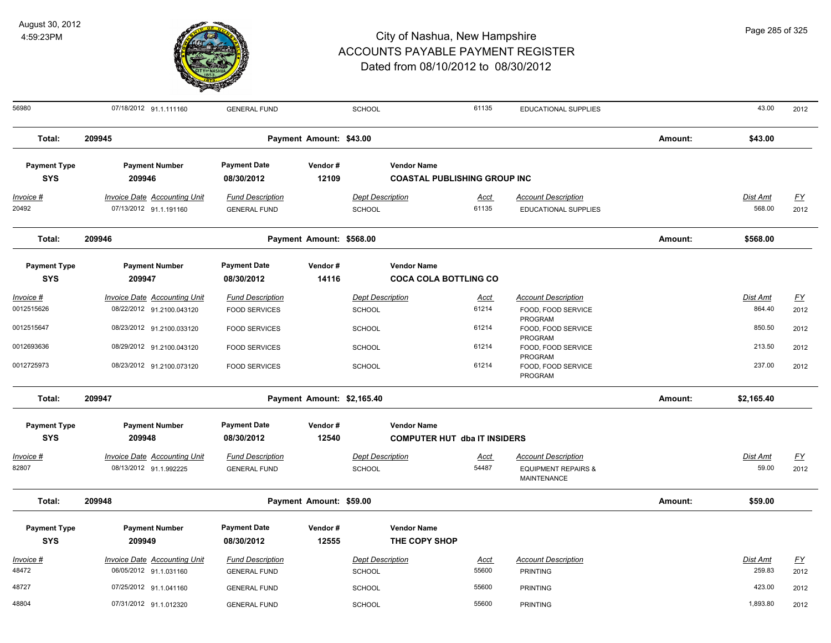

| 56980                             | 07/18/2012 91.1.111160              | <b>GENERAL FUND</b>               |                            | SCHOOL                  | 61135                               | <b>EDUCATIONAL SUPPLIES</b>    |         | 43.00      | 2012      |
|-----------------------------------|-------------------------------------|-----------------------------------|----------------------------|-------------------------|-------------------------------------|--------------------------------|---------|------------|-----------|
| Total:                            | 209945                              |                                   | Payment Amount: \$43.00    |                         |                                     |                                | Amount: | \$43.00    |           |
| <b>Payment Type</b><br><b>SYS</b> | <b>Payment Number</b><br>209946     | <b>Payment Date</b><br>08/30/2012 | Vendor#<br>12109           | <b>Vendor Name</b>      | <b>COASTAL PUBLISHING GROUP INC</b> |                                |         |            |           |
|                                   |                                     |                                   |                            |                         |                                     |                                |         |            |           |
| <u>Invoice #</u>                  | <b>Invoice Date Accounting Unit</b> | <b>Fund Description</b>           |                            | <b>Dept Description</b> | <u>Acct</u>                         | <b>Account Description</b>     |         | Dist Amt   | <u>FY</u> |
| 20492                             | 07/13/2012 91.1.191160              | <b>GENERAL FUND</b>               |                            | <b>SCHOOL</b>           | 61135                               | <b>EDUCATIONAL SUPPLIES</b>    |         | 568.00     | 2012      |
| Total:                            | 209946                              |                                   | Payment Amount: \$568.00   |                         |                                     |                                |         | \$568.00   |           |
| <b>Payment Type</b>               | <b>Payment Number</b>               | <b>Payment Date</b>               | Vendor#                    | <b>Vendor Name</b>      |                                     |                                |         |            |           |
| <b>SYS</b>                        | 209947                              | 08/30/2012                        | 14116                      |                         | <b>COCA COLA BOTTLING CO</b>        |                                |         |            |           |
| <u> Invoice #</u>                 | <b>Invoice Date Accounting Unit</b> | <b>Fund Description</b>           |                            | <b>Dept Description</b> | <u>Acct</u>                         | <b>Account Description</b>     |         | Dist Amt   | EY        |
| 0012515626                        | 08/22/2012 91.2100.043120           | <b>FOOD SERVICES</b>              |                            | SCHOOL                  | 61214                               | FOOD, FOOD SERVICE             |         | 864.40     | 2012      |
| 0012515647                        |                                     |                                   |                            |                         | 61214                               | PROGRAM                        |         | 850.50     |           |
|                                   | 08/23/2012 91.2100.033120           | <b>FOOD SERVICES</b>              |                            | <b>SCHOOL</b>           |                                     | FOOD, FOOD SERVICE<br>PROGRAM  |         |            | 2012      |
| 0012693636                        | 08/29/2012 91.2100.043120           | <b>FOOD SERVICES</b>              |                            | <b>SCHOOL</b>           | 61214                               | FOOD, FOOD SERVICE             |         | 213.50     | 2012      |
| 0012725973                        | 08/23/2012 91.2100.073120           | <b>FOOD SERVICES</b>              |                            | <b>SCHOOL</b>           | 61214                               | PROGRAM<br>FOOD, FOOD SERVICE  |         | 237.00     | 2012      |
|                                   |                                     |                                   |                            |                         |                                     | PROGRAM                        |         |            |           |
| Total:                            | 209947                              |                                   | Payment Amount: \$2,165.40 |                         |                                     |                                | Amount: | \$2,165.40 |           |
| <b>Payment Type</b>               | <b>Payment Number</b>               | <b>Payment Date</b>               | Vendor#                    | <b>Vendor Name</b>      |                                     |                                |         |            |           |
| <b>SYS</b>                        | 209948                              | 08/30/2012                        | 12540                      |                         | <b>COMPUTER HUT dba IT INSIDERS</b> |                                |         |            |           |
| Invoice #                         | <b>Invoice Date Accounting Unit</b> | <b>Fund Description</b>           |                            | <b>Dept Description</b> | <u>Acct</u>                         | <b>Account Description</b>     |         | Dist Amt   | <u>FY</u> |
| 82807                             | 08/13/2012 91.1.992225              | <b>GENERAL FUND</b>               |                            | SCHOOL                  | 54487                               | <b>EQUIPMENT REPAIRS &amp;</b> |         | 59.00      | 2012      |
|                                   |                                     |                                   |                            |                         |                                     | MAINTENANCE                    |         |            |           |
| Total:                            | 209948                              |                                   | Payment Amount: \$59.00    |                         |                                     |                                | Amount: | \$59.00    |           |
| <b>Payment Type</b>               | <b>Payment Number</b>               | <b>Payment Date</b>               | Vendor#                    | <b>Vendor Name</b>      |                                     |                                |         |            |           |
| <b>SYS</b>                        | 209949                              | 08/30/2012                        | 12555                      | THE COPY SHOP           |                                     |                                |         |            |           |
| Invoice #                         | <b>Invoice Date Accounting Unit</b> | <b>Fund Description</b>           |                            | <b>Dept Description</b> | <b>Acct</b>                         | <b>Account Description</b>     |         | Dist Amt   | EY        |
| 48472                             | 06/05/2012 91.1.031160              | <b>GENERAL FUND</b>               |                            | <b>SCHOOL</b>           | 55600                               | <b>PRINTING</b>                |         | 259.83     | 2012      |
| 48727                             | 07/25/2012 91.1.041160              | <b>GENERAL FUND</b>               |                            | <b>SCHOOL</b>           | 55600                               | <b>PRINTING</b>                |         | 423.00     | 2012      |
| 48804                             | 07/31/2012 91.1.012320              | <b>GENERAL FUND</b>               |                            | <b>SCHOOL</b>           | 55600                               | <b>PRINTING</b>                |         | 1,893.80   | 2012      |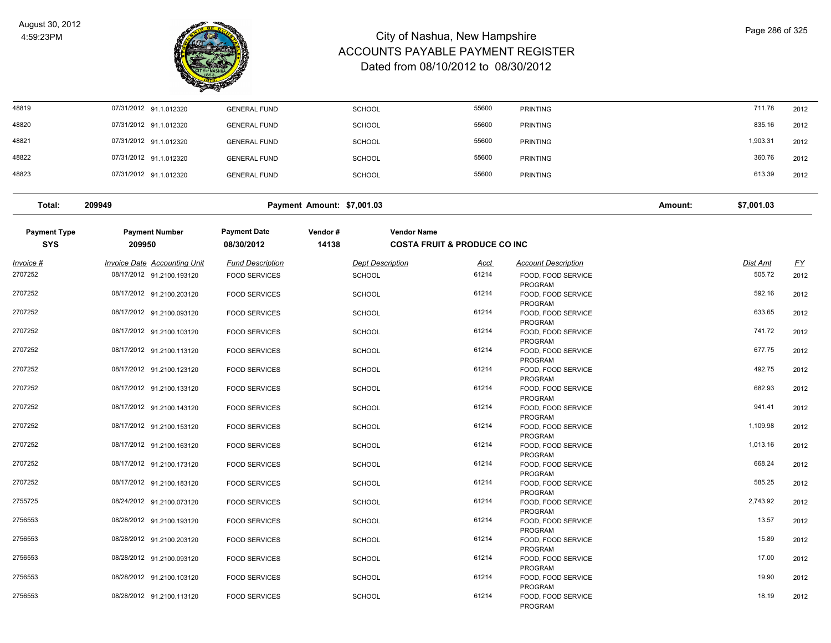

| 48819               | 07/31/2012 91.1.012320              | <b>GENERAL FUND</b>     | SCHOOL                     | 55600                                   | <b>PRINTING</b>                      |         | 711.78          | 2012      |
|---------------------|-------------------------------------|-------------------------|----------------------------|-----------------------------------------|--------------------------------------|---------|-----------------|-----------|
| 48820               | 07/31/2012 91.1.012320              | <b>GENERAL FUND</b>     | SCHOOL                     | 55600                                   | <b>PRINTING</b>                      |         | 835.16          | 2012      |
| 48821               | 07/31/2012 91.1.012320              | <b>GENERAL FUND</b>     | <b>SCHOOL</b>              | 55600                                   | <b>PRINTING</b>                      |         | 1,903.31        | 2012      |
| 48822               | 07/31/2012 91.1.012320              | <b>GENERAL FUND</b>     | <b>SCHOOL</b>              | 55600                                   | <b>PRINTING</b>                      |         | 360.76          | 2012      |
| 48823               | 07/31/2012 91.1.012320              | <b>GENERAL FUND</b>     | <b>SCHOOL</b>              | 55600                                   | <b>PRINTING</b>                      |         | 613.39          | 2012      |
| Total:              | 209949                              |                         | Payment Amount: \$7,001.03 |                                         |                                      | Amount: | \$7,001.03      |           |
| <b>Payment Type</b> | <b>Payment Number</b>               | <b>Payment Date</b>     | Vendor#                    | <b>Vendor Name</b>                      |                                      |         |                 |           |
| <b>SYS</b>          | 209950                              | 08/30/2012              | 14138                      | <b>COSTA FRUIT &amp; PRODUCE CO INC</b> |                                      |         |                 |           |
| <u>Invoice #</u>    | <b>Invoice Date Accounting Unit</b> | <b>Fund Description</b> | <b>Dept Description</b>    | <u>Acct</u>                             | <b>Account Description</b>           |         | <b>Dist Amt</b> | <u>FY</u> |
| 2707252             | 08/17/2012 91.2100.193120           | <b>FOOD SERVICES</b>    | <b>SCHOOL</b>              | 61214                                   | FOOD, FOOD SERVICE<br>PROGRAM        |         | 505.72          | 2012      |
| 2707252             | 08/17/2012 91.2100.203120           | <b>FOOD SERVICES</b>    | <b>SCHOOL</b>              | 61214                                   | FOOD, FOOD SERVICE<br>PROGRAM        |         | 592.16          | 2012      |
| 2707252             | 08/17/2012 91.2100.093120           | <b>FOOD SERVICES</b>    | <b>SCHOOL</b>              | 61214                                   | FOOD, FOOD SERVICE<br>PROGRAM        |         | 633.65          | 2012      |
| 2707252             | 08/17/2012 91.2100.103120           | <b>FOOD SERVICES</b>    | <b>SCHOOL</b>              | 61214                                   | FOOD, FOOD SERVICE                   |         | 741.72          | 2012      |
| 2707252             | 08/17/2012 91.2100.113120           | <b>FOOD SERVICES</b>    | <b>SCHOOL</b>              | 61214                                   | <b>PROGRAM</b><br>FOOD, FOOD SERVICE |         | 677.75          | 2012      |
| 2707252             | 08/17/2012 91.2100.123120           | <b>FOOD SERVICES</b>    | <b>SCHOOL</b>              | 61214                                   | <b>PROGRAM</b><br>FOOD, FOOD SERVICE |         | 492.75          | 2012      |
| 2707252             | 08/17/2012 91.2100.133120           | <b>FOOD SERVICES</b>    | <b>SCHOOL</b>              | 61214                                   | <b>PROGRAM</b><br>FOOD, FOOD SERVICE |         | 682.93          | 2012      |
| 2707252             | 08/17/2012 91.2100.143120           | <b>FOOD SERVICES</b>    | <b>SCHOOL</b>              | 61214                                   | PROGRAM<br>FOOD, FOOD SERVICE        |         | 941.41          | 2012      |
| 2707252             | 08/17/2012 91.2100.153120           | <b>FOOD SERVICES</b>    | <b>SCHOOL</b>              | 61214                                   | PROGRAM<br>FOOD, FOOD SERVICE        |         | 1,109.98        | 2012      |
| 2707252             | 08/17/2012 91.2100.163120           | <b>FOOD SERVICES</b>    | <b>SCHOOL</b>              | 61214                                   | PROGRAM<br>FOOD, FOOD SERVICE        |         | 1,013.16        | 2012      |
| 2707252             | 08/17/2012 91.2100.173120           | <b>FOOD SERVICES</b>    | <b>SCHOOL</b>              | 61214                                   | PROGRAM<br>FOOD, FOOD SERVICE        |         | 668.24          | 2012      |
| 2707252             | 08/17/2012 91.2100.183120           | <b>FOOD SERVICES</b>    | <b>SCHOOL</b>              | 61214                                   | PROGRAM<br>FOOD, FOOD SERVICE        |         | 585.25          | 2012      |
| 2755725             | 08/24/2012 91.2100.073120           |                         |                            | 61214                                   | <b>PROGRAM</b>                       |         | 2,743.92        |           |
|                     |                                     | <b>FOOD SERVICES</b>    | <b>SCHOOL</b>              |                                         | FOOD, FOOD SERVICE<br>PROGRAM        |         |                 | 2012      |
| 2756553             | 08/28/2012 91.2100.193120           | <b>FOOD SERVICES</b>    | <b>SCHOOL</b>              | 61214                                   | FOOD, FOOD SERVICE<br><b>PROGRAM</b> |         | 13.57           | 2012      |
| 2756553             | 08/28/2012 91.2100.203120           | <b>FOOD SERVICES</b>    | <b>SCHOOL</b>              | 61214                                   | FOOD, FOOD SERVICE<br>PROGRAM        |         | 15.89           | 2012      |
| 2756553             | 08/28/2012 91.2100.093120           | <b>FOOD SERVICES</b>    | <b>SCHOOL</b>              | 61214                                   | FOOD, FOOD SERVICE<br>PROGRAM        |         | 17.00           | 2012      |
| 2756553             | 08/28/2012 91.2100.103120           | <b>FOOD SERVICES</b>    | <b>SCHOOL</b>              | 61214                                   | FOOD, FOOD SERVICE<br>PROGRAM        |         | 19.90           | 2012      |
| 2756553             | 08/28/2012 91.2100.113120           | <b>FOOD SERVICES</b>    | <b>SCHOOL</b>              | 61214                                   | FOOD, FOOD SERVICE<br>PROGRAM        |         | 18.19           | 2012      |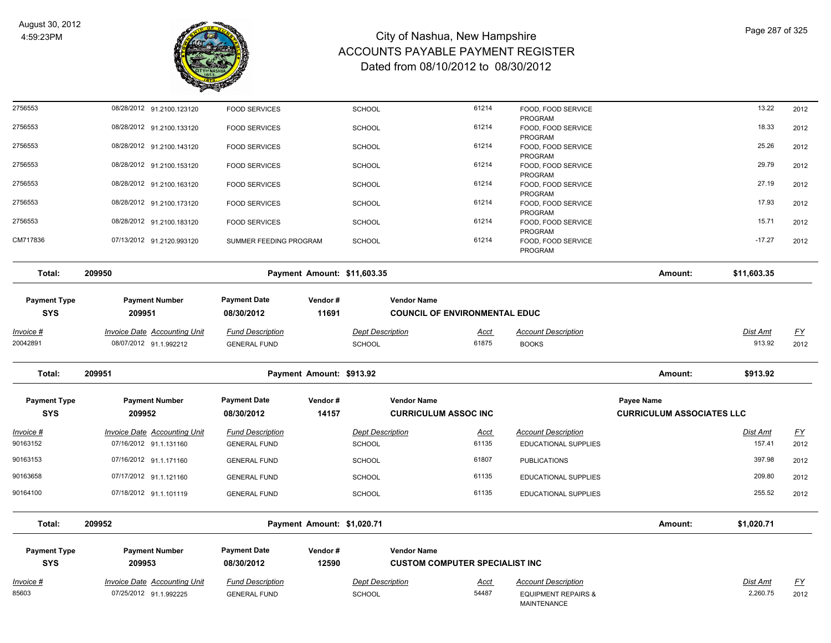

| 2756553                           | 08/28/2012 91.2100.123120           | <b>FOOD SERVICES</b>              |                             | <b>SCHOOL</b>           | 61214                                                      | FOOD, FOOD SERVICE<br>PROGRAM            |                                  | 13.22           | 2012                      |
|-----------------------------------|-------------------------------------|-----------------------------------|-----------------------------|-------------------------|------------------------------------------------------------|------------------------------------------|----------------------------------|-----------------|---------------------------|
| 2756553                           | 08/28/2012 91.2100.133120           | <b>FOOD SERVICES</b>              |                             | SCHOOL                  | 61214                                                      | FOOD, FOOD SERVICE<br>PROGRAM            |                                  | 18.33           | 2012                      |
| 2756553                           | 08/28/2012 91.2100.143120           | <b>FOOD SERVICES</b>              |                             | <b>SCHOOL</b>           | 61214                                                      | FOOD, FOOD SERVICE<br>PROGRAM            |                                  | 25.26           | 2012                      |
| 2756553                           | 08/28/2012 91.2100.153120           | <b>FOOD SERVICES</b>              |                             | <b>SCHOOL</b>           | 61214                                                      | FOOD, FOOD SERVICE<br>PROGRAM            |                                  | 29.79           | 2012                      |
| 2756553                           | 08/28/2012 91.2100.163120           | <b>FOOD SERVICES</b>              |                             | <b>SCHOOL</b>           | 61214                                                      | FOOD, FOOD SERVICE                       |                                  | 27.19           | 2012                      |
| 2756553                           | 08/28/2012 91.2100.173120           | <b>FOOD SERVICES</b>              |                             | <b>SCHOOL</b>           | 61214                                                      | PROGRAM<br>FOOD, FOOD SERVICE            |                                  | 17.93           | 2012                      |
| 2756553                           | 08/28/2012 91.2100.183120           | <b>FOOD SERVICES</b>              |                             | <b>SCHOOL</b>           | 61214                                                      | PROGRAM<br>FOOD, FOOD SERVICE            |                                  | 15.71           | 2012                      |
| CM717836                          | 07/13/2012 91.2120.993120           | SUMMER FEEDING PROGRAM            |                             | <b>SCHOOL</b>           | 61214                                                      | PROGRAM<br>FOOD, FOOD SERVICE<br>PROGRAM |                                  | $-17.27$        | 2012                      |
| Total:                            | 209950                              |                                   | Payment Amount: \$11,603.35 |                         |                                                            |                                          | Amount:                          | \$11,603.35     |                           |
| <b>Payment Type</b><br><b>SYS</b> | <b>Payment Number</b><br>209951     | <b>Payment Date</b><br>08/30/2012 | Vendor#<br>11691            |                         | <b>Vendor Name</b><br><b>COUNCIL OF ENVIRONMENTAL EDUC</b> |                                          |                                  |                 |                           |
| <u>Invoice #</u>                  | <b>Invoice Date Accounting Unit</b> | <b>Fund Description</b>           |                             | <b>Dept Description</b> | Acct                                                       | <b>Account Description</b>               |                                  | <u>Dist Amt</u> | <u>FY</u>                 |
| 20042891                          | 08/07/2012 91.1.992212              | <b>GENERAL FUND</b>               |                             | <b>SCHOOL</b>           | 61875                                                      | <b>BOOKS</b>                             |                                  | 913.92          | 2012                      |
|                                   |                                     |                                   |                             |                         |                                                            |                                          |                                  |                 |                           |
| Total:                            | 209951                              |                                   | Payment Amount: \$913.92    |                         |                                                            |                                          | Amount:                          | \$913.92        |                           |
| <b>Payment Type</b>               | <b>Payment Number</b>               | <b>Payment Date</b>               | Vendor#                     |                         | <b>Vendor Name</b>                                         |                                          | Payee Name                       |                 |                           |
| <b>SYS</b>                        | 209952                              | 08/30/2012                        | 14157                       |                         | <b>CURRICULUM ASSOC INC</b>                                |                                          | <b>CURRICULUM ASSOCIATES LLC</b> |                 |                           |
| Invoice #                         | <b>Invoice Date Accounting Unit</b> | <b>Fund Description</b>           |                             | <b>Dept Description</b> | <u>Acct</u>                                                | <b>Account Description</b>               |                                  | <b>Dist Amt</b> | $\underline{\mathsf{FY}}$ |
| 90163152                          | 07/16/2012 91.1.131160              | <b>GENERAL FUND</b>               |                             | <b>SCHOOL</b>           | 61135                                                      | <b>EDUCATIONAL SUPPLIES</b>              |                                  | 157.41          | 2012                      |
| 90163153                          | 07/16/2012 91.1.171160              | <b>GENERAL FUND</b>               |                             | <b>SCHOOL</b>           | 61807                                                      | <b>PUBLICATIONS</b>                      |                                  | 397.98          | 2012                      |
|                                   | 07/17/2012 91.1.121160              | <b>GENERAL FUND</b>               |                             | <b>SCHOOL</b>           | 61135                                                      | <b>EDUCATIONAL SUPPLIES</b>              |                                  | 209.80          | 2012                      |
| 90163658<br>90164100              | 07/18/2012 91.1.101119              | <b>GENERAL FUND</b>               |                             | <b>SCHOOL</b>           | 61135                                                      | <b>EDUCATIONAL SUPPLIES</b>              |                                  | 255.52          | 2012                      |
| Total:                            | 209952                              |                                   | Payment Amount: \$1,020.71  |                         |                                                            |                                          | Amount:                          | \$1,020.71      |                           |
| <b>Payment Type</b>               | <b>Payment Number</b>               | <b>Payment Date</b>               | Vendor#                     |                         | <b>Vendor Name</b>                                         |                                          |                                  |                 |                           |
| <b>SYS</b>                        | 209953                              | 08/30/2012                        | 12590                       |                         | <b>CUSTOM COMPUTER SPECIALIST INC</b>                      |                                          |                                  |                 |                           |
| Invoice #                         | <b>Invoice Date Accounting Unit</b> | <b>Fund Description</b>           |                             | <b>Dept Description</b> | <u>Acct</u>                                                | <b>Account Description</b>               |                                  | Dist Amt        | <u>FY</u>                 |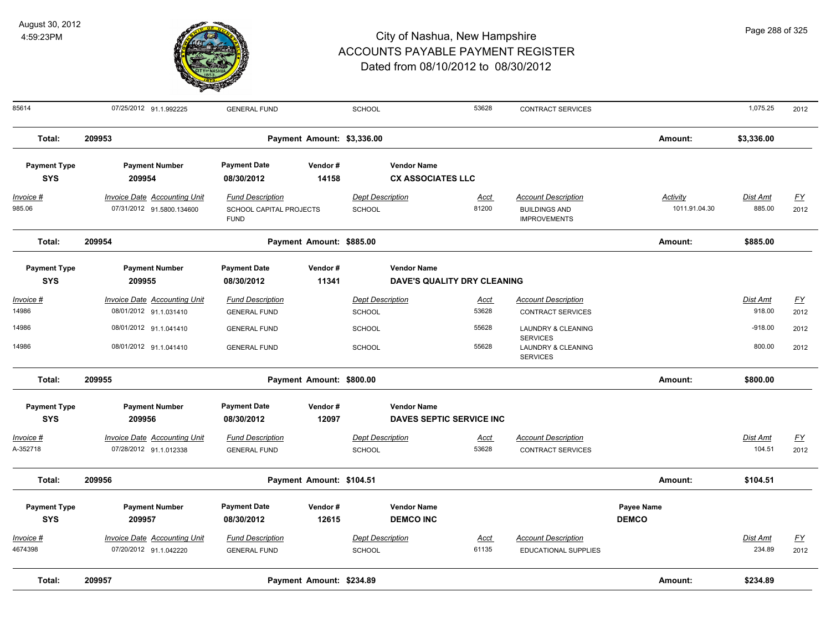

| 85614                             | 07/25/2012 91.1.992225                                           | <b>GENERAL FUND</b>                                               |                            | SCHOOL                                   |                                                   | 53628                | <b>CONTRACT SERVICES</b>                                                  |                                  | 1,075.25                  | 2012              |
|-----------------------------------|------------------------------------------------------------------|-------------------------------------------------------------------|----------------------------|------------------------------------------|---------------------------------------------------|----------------------|---------------------------------------------------------------------------|----------------------------------|---------------------------|-------------------|
| Total:                            | 209953                                                           |                                                                   | Payment Amount: \$3,336.00 |                                          |                                                   |                      |                                                                           | Amount:                          | \$3,336.00                |                   |
| <b>Payment Type</b><br><b>SYS</b> | <b>Payment Number</b><br>209954                                  | <b>Payment Date</b><br>08/30/2012                                 | Vendor#<br>14158           |                                          | <b>Vendor Name</b><br><b>CX ASSOCIATES LLC</b>    |                      |                                                                           |                                  |                           |                   |
| <u> Invoice #</u><br>985.06       | <b>Invoice Date Accounting Unit</b><br>07/31/2012 91.5800.134600 | <b>Fund Description</b><br>SCHOOL CAPITAL PROJECTS<br><b>FUND</b> |                            | <b>Dept Description</b><br><b>SCHOOL</b> |                                                   | <b>Acct</b><br>81200 | <b>Account Description</b><br><b>BUILDINGS AND</b><br><b>IMPROVEMENTS</b> | <b>Activity</b><br>1011.91.04.30 | <b>Dist Amt</b><br>885.00 | <u>FY</u><br>2012 |
| Total:                            | 209954                                                           |                                                                   | Payment Amount: \$885.00   |                                          |                                                   |                      |                                                                           | Amount:                          | \$885.00                  |                   |
| <b>Payment Type</b><br><b>SYS</b> | <b>Payment Number</b><br>209955                                  | <b>Payment Date</b><br>08/30/2012                                 | Vendor#<br>11341           |                                          | <b>Vendor Name</b><br>DAVE'S QUALITY DRY CLEANING |                      |                                                                           |                                  |                           |                   |
| Invoice #                         | <b>Invoice Date Accounting Unit</b>                              | <b>Fund Description</b>                                           |                            | <b>Dept Description</b>                  |                                                   | <u>Acct</u>          | <b>Account Description</b>                                                |                                  | Dist Amt                  | <u>FY</u>         |
| 14986                             | 08/01/2012 91.1.031410                                           | <b>GENERAL FUND</b>                                               |                            | <b>SCHOOL</b>                            |                                                   | 53628                | CONTRACT SERVICES                                                         |                                  | 918.00                    | 2012              |
| 14986                             | 08/01/2012 91.1.041410                                           | <b>GENERAL FUND</b>                                               |                            | SCHOOL                                   |                                                   | 55628                | <b>LAUNDRY &amp; CLEANING</b><br><b>SERVICES</b>                          |                                  | $-918.00$                 | 2012              |
| 14986                             | 08/01/2012 91.1.041410                                           | <b>GENERAL FUND</b>                                               |                            | <b>SCHOOL</b>                            |                                                   | 55628                | <b>LAUNDRY &amp; CLEANING</b><br><b>SERVICES</b>                          |                                  | 800.00                    | 2012              |
| Total:                            | 209955                                                           |                                                                   | Payment Amount: \$800.00   |                                          |                                                   |                      |                                                                           | Amount:                          | \$800.00                  |                   |
| <b>Payment Type</b><br><b>SYS</b> | <b>Payment Number</b><br>209956                                  | <b>Payment Date</b><br>08/30/2012                                 | Vendor#<br>12097           |                                          | <b>Vendor Name</b><br>DAVES SEPTIC SERVICE INC    |                      |                                                                           |                                  |                           |                   |
| Invoice #<br>A-352718             | <b>Invoice Date Accounting Unit</b><br>07/28/2012 91.1.012338    | <b>Fund Description</b><br><b>GENERAL FUND</b>                    |                            | <b>Dept Description</b><br>SCHOOL        |                                                   | <u>Acct</u><br>53628 | <b>Account Description</b><br><b>CONTRACT SERVICES</b>                    |                                  | Dist Amt<br>104.51        | <u>FY</u><br>2012 |
|                                   |                                                                  |                                                                   |                            |                                          |                                                   |                      |                                                                           |                                  |                           |                   |
| Total:                            | 209956                                                           |                                                                   | Payment Amount: \$104.51   |                                          |                                                   |                      |                                                                           | Amount:                          | \$104.51                  |                   |
| <b>Payment Type</b>               | <b>Payment Number</b>                                            | <b>Payment Date</b>                                               | Vendor#                    |                                          | <b>Vendor Name</b>                                |                      |                                                                           | Payee Name                       |                           |                   |
| <b>SYS</b>                        | 209957                                                           | 08/30/2012                                                        | 12615                      |                                          | <b>DEMCO INC</b>                                  |                      |                                                                           | <b>DEMCO</b>                     |                           |                   |
| Invoice #                         | <b>Invoice Date Accounting Unit</b>                              | <b>Fund Description</b>                                           |                            | <b>Dept Description</b>                  |                                                   | <u>Acct</u>          | <b>Account Description</b>                                                |                                  | Dist Amt                  | <u>FY</u>         |
| 4674398                           | 07/20/2012 91.1.042220                                           | <b>GENERAL FUND</b>                                               |                            | <b>SCHOOL</b>                            |                                                   | 61135                | EDUCATIONAL SUPPLIES                                                      |                                  | 234.89                    | 2012              |
| Total:                            | 209957                                                           |                                                                   | Payment Amount: \$234.89   |                                          |                                                   |                      |                                                                           | Amount:                          | \$234.89                  |                   |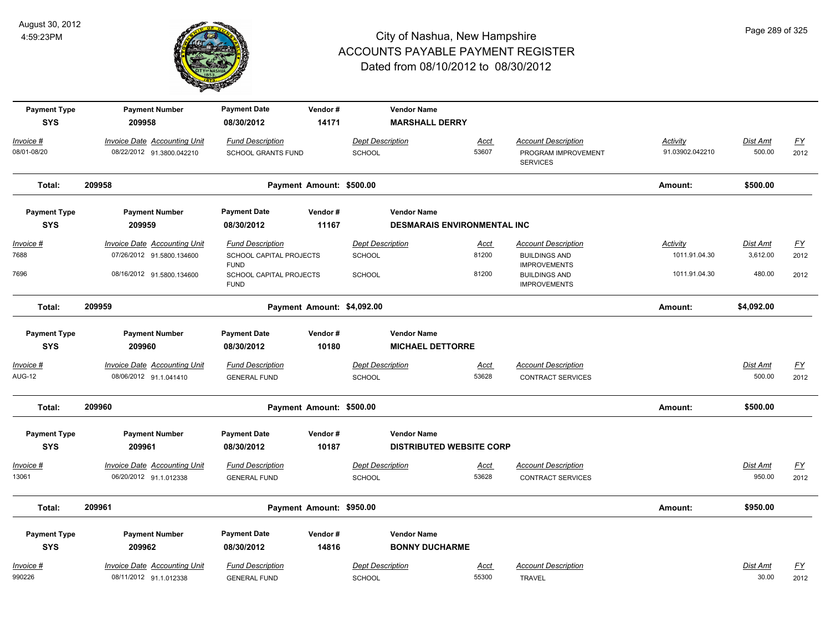

| <b>Payment Type</b><br><b>SYS</b> | <b>Payment Number</b><br>209958                                  | <b>Payment Date</b><br>08/30/2012                                 | Vendor#<br>14171           |                                          | <b>Vendor Name</b><br><b>MARSHALL DERRY</b>              |                      |                                                                           |                                  |                             |                          |
|-----------------------------------|------------------------------------------------------------------|-------------------------------------------------------------------|----------------------------|------------------------------------------|----------------------------------------------------------|----------------------|---------------------------------------------------------------------------|----------------------------------|-----------------------------|--------------------------|
| Invoice #                         |                                                                  |                                                                   |                            | <b>Dept Description</b>                  |                                                          |                      |                                                                           | <b>Activity</b>                  | Dist Amt                    |                          |
| 08/01-08/20                       | <b>Invoice Date Accounting Unit</b><br>08/22/2012 91.3800.042210 | <b>Fund Description</b><br><b>SCHOOL GRANTS FUND</b>              |                            | <b>SCHOOL</b>                            |                                                          | <u>Acct</u><br>53607 | <b>Account Description</b><br>PROGRAM IMPROVEMENT<br><b>SERVICES</b>      | 91.03902.042210                  | 500.00                      | $\underline{FY}$<br>2012 |
| Total:                            | 209958                                                           |                                                                   | Payment Amount: \$500.00   |                                          |                                                          |                      |                                                                           | Amount:                          | \$500.00                    |                          |
| <b>Payment Type</b><br><b>SYS</b> | <b>Payment Number</b><br>209959                                  | <b>Payment Date</b><br>08/30/2012                                 | Vendor#<br>11167           |                                          | <b>Vendor Name</b><br><b>DESMARAIS ENVIRONMENTAL INC</b> |                      |                                                                           |                                  |                             |                          |
| <u>Invoice #</u><br>7688          | <b>Invoice Date Accounting Unit</b><br>07/26/2012 91.5800.134600 | <b>Fund Description</b><br>SCHOOL CAPITAL PROJECTS<br><b>FUND</b> |                            | <b>Dept Description</b><br><b>SCHOOL</b> |                                                          | <u>Acct</u><br>81200 | <b>Account Description</b><br><b>BUILDINGS AND</b><br><b>IMPROVEMENTS</b> | <b>Activity</b><br>1011.91.04.30 | <u>Dist Amt</u><br>3,612.00 | EY<br>2012               |
| 7696                              | 08/16/2012 91.5800.134600                                        | SCHOOL CAPITAL PROJECTS<br><b>FUND</b>                            |                            | <b>SCHOOL</b>                            |                                                          | 81200                | <b>BUILDINGS AND</b><br><b>IMPROVEMENTS</b>                               | 1011.91.04.30                    | 480.00                      | 2012                     |
| Total:                            | 209959                                                           |                                                                   | Payment Amount: \$4,092.00 |                                          |                                                          |                      |                                                                           | Amount:                          | \$4,092.00                  |                          |
| <b>Payment Type</b>               | <b>Payment Number</b>                                            | <b>Payment Date</b>                                               | Vendor#                    |                                          | <b>Vendor Name</b>                                       |                      |                                                                           |                                  |                             |                          |
| <b>SYS</b>                        | 209960                                                           | 08/30/2012                                                        | 10180                      |                                          | <b>MICHAEL DETTORRE</b>                                  |                      |                                                                           |                                  |                             |                          |
| Invoice #<br><b>AUG-12</b>        | Invoice Date Accounting Unit<br>08/06/2012 91.1.041410           | <b>Fund Description</b><br><b>GENERAL FUND</b>                    |                            | <b>Dept Description</b><br>SCHOOL        |                                                          | Acct<br>53628        | <b>Account Description</b><br><b>CONTRACT SERVICES</b>                    |                                  | Dist Amt<br>500.00          | <u>FY</u><br>2012        |
| Total:                            | 209960                                                           |                                                                   | Payment Amount: \$500.00   |                                          |                                                          |                      |                                                                           | Amount:                          | \$500.00                    |                          |
| <b>Payment Type</b><br><b>SYS</b> | <b>Payment Number</b><br>209961                                  | <b>Payment Date</b><br>08/30/2012                                 | Vendor#<br>10187           |                                          | <b>Vendor Name</b><br><b>DISTRIBUTED WEBSITE CORP</b>    |                      |                                                                           |                                  |                             |                          |
| Invoice #<br>13061                | Invoice Date Accounting Unit<br>06/20/2012 91.1.012338           | <b>Fund Description</b><br><b>GENERAL FUND</b>                    |                            | <b>Dept Description</b><br><b>SCHOOL</b> |                                                          | <u>Acct</u><br>53628 | <b>Account Description</b><br><b>CONTRACT SERVICES</b>                    |                                  | Dist Amt<br>950.00          | $\underline{FY}$<br>2012 |
| Total:                            | 209961                                                           |                                                                   | Payment Amount: \$950.00   |                                          |                                                          |                      |                                                                           | Amount:                          | \$950.00                    |                          |
| <b>Payment Type</b>               | <b>Payment Number</b>                                            | <b>Payment Date</b>                                               | Vendor#                    |                                          | <b>Vendor Name</b>                                       |                      |                                                                           |                                  |                             |                          |
| <b>SYS</b>                        | 209962                                                           | 08/30/2012                                                        | 14816                      |                                          | <b>BONNY DUCHARME</b>                                    |                      |                                                                           |                                  |                             |                          |
| Invoice #<br>990226               | Invoice Date Accounting Unit<br>08/11/2012 91.1.012338           | <b>Fund Description</b><br><b>GENERAL FUND</b>                    |                            | <b>Dept Description</b><br><b>SCHOOL</b> |                                                          | Acct<br>55300        | <b>Account Description</b><br><b>TRAVEL</b>                               |                                  | Dist Amt<br>30.00           | $\underline{FY}$<br>2012 |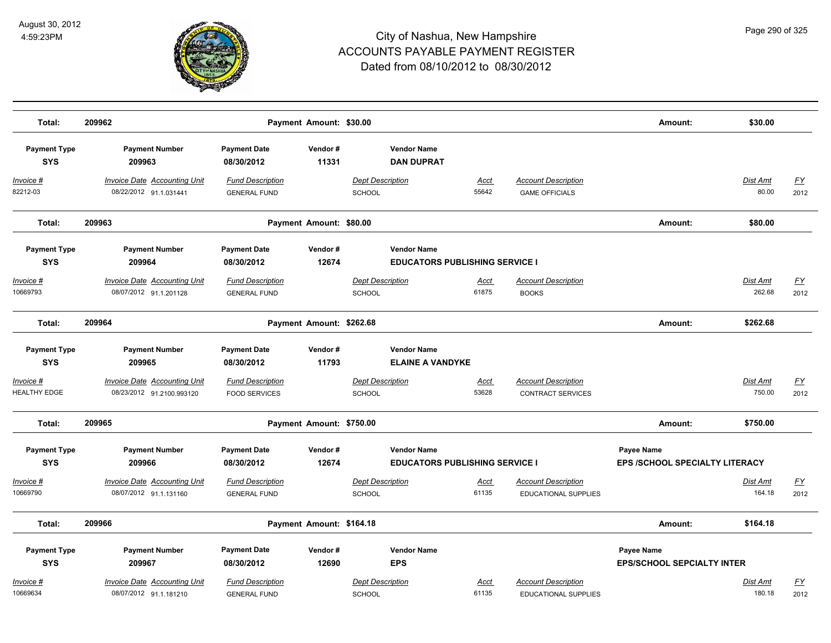

| Total:                            | 209962                                                           |                                                 | Payment Amount: \$30.00  |                                                             |                      |                                                           | Amount:                                             | \$30.00                   |                          |
|-----------------------------------|------------------------------------------------------------------|-------------------------------------------------|--------------------------|-------------------------------------------------------------|----------------------|-----------------------------------------------------------|-----------------------------------------------------|---------------------------|--------------------------|
| <b>Payment Type</b><br><b>SYS</b> | <b>Payment Number</b><br>209963                                  | <b>Payment Date</b><br>08/30/2012               | Vendor#<br>11331         | <b>Vendor Name</b><br><b>DAN DUPRAT</b>                     |                      |                                                           |                                                     |                           |                          |
| Invoice #<br>82212-03             | <b>Invoice Date Accounting Unit</b><br>08/22/2012 91.1.031441    | <b>Fund Description</b><br><b>GENERAL FUND</b>  |                          | <b>Dept Description</b><br>SCHOOL                           | <b>Acct</b><br>55642 | <b>Account Description</b><br><b>GAME OFFICIALS</b>       |                                                     | <b>Dist Amt</b><br>80.00  | <u>FY</u><br>2012        |
| Total:                            | 209963                                                           |                                                 | Payment Amount: \$80.00  |                                                             |                      |                                                           | Amount:                                             | \$80.00                   |                          |
| <b>Payment Type</b><br><b>SYS</b> | <b>Payment Number</b><br>209964                                  | <b>Payment Date</b><br>08/30/2012               | Vendor#<br>12674         | <b>Vendor Name</b><br><b>EDUCATORS PUBLISHING SERVICE I</b> |                      |                                                           |                                                     |                           |                          |
| Invoice #<br>10669793             | <b>Invoice Date Accounting Unit</b><br>08/07/2012 91.1.201128    | <b>Fund Description</b><br><b>GENERAL FUND</b>  |                          | <b>Dept Description</b><br><b>SCHOOL</b>                    | <u>Acct</u><br>61875 | <b>Account Description</b><br><b>BOOKS</b>                |                                                     | Dist Amt<br>262.68        | $\underline{FY}$<br>2012 |
| Total:                            | 209964                                                           |                                                 | Payment Amount: \$262.68 |                                                             |                      |                                                           | Amount:                                             | \$262.68                  |                          |
| <b>Payment Type</b><br><b>SYS</b> | <b>Payment Number</b><br>209965                                  | <b>Payment Date</b><br>08/30/2012               | Vendor#<br>11793         | <b>Vendor Name</b><br><b>ELAINE A VANDYKE</b>               |                      |                                                           |                                                     |                           |                          |
| Invoice #<br>HEALTHY EDGE         | <b>Invoice Date Accounting Unit</b><br>08/23/2012 91.2100.993120 | <b>Fund Description</b><br><b>FOOD SERVICES</b> |                          | <b>Dept Description</b><br><b>SCHOOL</b>                    | Acct<br>53628        | <b>Account Description</b><br><b>CONTRACT SERVICES</b>    |                                                     | Dist Amt<br>750.00        | <u>FY</u><br>2012        |
| Total:                            | 209965                                                           |                                                 | Payment Amount: \$750.00 |                                                             |                      |                                                           | Amount:                                             | \$750.00                  |                          |
| <b>Payment Type</b><br><b>SYS</b> | <b>Payment Number</b><br>209966                                  | <b>Payment Date</b><br>08/30/2012               | Vendor#<br>12674         | <b>Vendor Name</b><br><b>EDUCATORS PUBLISHING SERVICE I</b> |                      |                                                           | <b>Payee Name</b><br>EPS /SCHOOL SPECIALTY LITERACY |                           |                          |
| Invoice #<br>10669790             | <b>Invoice Date Accounting Unit</b><br>08/07/2012 91.1.131160    | <b>Fund Description</b><br><b>GENERAL FUND</b>  |                          | <b>Dept Description</b><br>SCHOOL                           | <u>Acct</u><br>61135 | <b>Account Description</b><br><b>EDUCATIONAL SUPPLIES</b> |                                                     | <b>Dist Amt</b><br>164.18 | EY<br>2012               |
| Total:                            | 209966                                                           |                                                 | Payment Amount: \$164.18 |                                                             |                      |                                                           | Amount:                                             | \$164.18                  |                          |
| <b>Payment Type</b><br><b>SYS</b> | <b>Payment Number</b><br>209967                                  | <b>Payment Date</b><br>08/30/2012               | Vendor#<br>12690         | <b>Vendor Name</b><br><b>EPS</b>                            |                      |                                                           | Payee Name<br><b>EPS/SCHOOL SEPCIALTY INTER</b>     |                           |                          |
| Invoice #<br>10669634             | <b>Invoice Date Accounting Unit</b><br>08/07/2012 91.1.181210    | <b>Fund Description</b><br><b>GENERAL FUND</b>  |                          | <b>Dept Description</b><br><b>SCHOOL</b>                    | Acct<br>61135        | <b>Account Description</b><br><b>EDUCATIONAL SUPPLIES</b> |                                                     | Dist Amt<br>180.18        | <u>FY</u><br>2012        |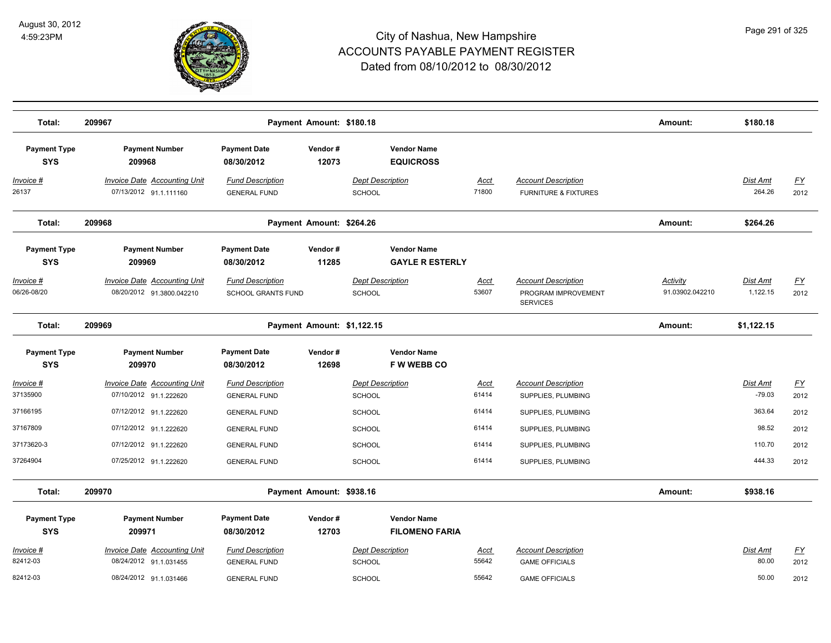

| Total:                            | 209967                                                        |                                                      | Payment Amount: \$180.18   |                                              |               |                                                                      | Amount:                     | \$180.18                  |                                   |
|-----------------------------------|---------------------------------------------------------------|------------------------------------------------------|----------------------------|----------------------------------------------|---------------|----------------------------------------------------------------------|-----------------------------|---------------------------|-----------------------------------|
| <b>Payment Type</b><br><b>SYS</b> | <b>Payment Number</b><br>209968                               | <b>Payment Date</b><br>08/30/2012                    | Vendor#<br>12073           | <b>Vendor Name</b><br><b>EQUICROSS</b>       |               |                                                                      |                             |                           |                                   |
| Invoice #<br>26137                | <b>Invoice Date Accounting Unit</b><br>07/13/2012 91.1.111160 | <b>Fund Description</b><br><b>GENERAL FUND</b>       |                            | <b>Dept Description</b><br><b>SCHOOL</b>     | Acct<br>71800 | <b>Account Description</b><br><b>FURNITURE &amp; FIXTURES</b>        |                             | <b>Dist Amt</b><br>264.26 | <u>FY</u><br>2012                 |
| Total:                            | 209968                                                        |                                                      | Payment Amount: \$264.26   |                                              |               |                                                                      | Amount:                     | \$264.26                  |                                   |
| <b>Payment Type</b><br><b>SYS</b> | <b>Payment Number</b><br>209969                               | <b>Payment Date</b><br>08/30/2012                    | Vendor#<br>11285           | <b>Vendor Name</b><br><b>GAYLE R ESTERLY</b> |               |                                                                      |                             |                           |                                   |
| Invoice #<br>06/26-08/20          | Invoice Date Accounting Unit<br>08/20/2012 91.3800.042210     | <b>Fund Description</b><br><b>SCHOOL GRANTS FUND</b> |                            | <b>Dept Description</b><br>SCHOOL            | Acct<br>53607 | <b>Account Description</b><br>PROGRAM IMPROVEMENT<br><b>SERVICES</b> | Activity<br>91.03902.042210 | Dist Amt<br>1,122.15      | $\underline{\mathsf{FY}}$<br>2012 |
| Total:                            | 209969                                                        |                                                      | Payment Amount: \$1,122.15 |                                              |               |                                                                      | Amount:                     | \$1,122.15                |                                   |
| <b>Payment Type</b><br><b>SYS</b> | <b>Payment Number</b><br>209970                               | <b>Payment Date</b><br>08/30/2012                    | Vendor#<br>12698           | <b>Vendor Name</b><br><b>FWWEBBCO</b>        |               |                                                                      |                             |                           |                                   |
| Invoice #<br>37135900             | Invoice Date Accounting Unit<br>07/10/2012 91.1.222620        | <b>Fund Description</b><br><b>GENERAL FUND</b>       |                            | <b>Dept Description</b><br><b>SCHOOL</b>     | Acct<br>61414 | <b>Account Description</b><br>SUPPLIES, PLUMBING                     |                             | Dist Amt<br>$-79.03$      | $\underline{\mathsf{FY}}$<br>2012 |
| 37166195                          | 07/12/2012 91.1.222620                                        | <b>GENERAL FUND</b>                                  |                            | <b>SCHOOL</b>                                | 61414         | SUPPLIES, PLUMBING                                                   |                             | 363.64                    | 2012                              |
| 37167809                          | 07/12/2012 91.1.222620                                        | <b>GENERAL FUND</b>                                  |                            | <b>SCHOOL</b>                                | 61414         | SUPPLIES, PLUMBING                                                   |                             | 98.52                     | 2012                              |
| 37173620-3                        | 07/12/2012 91.1.222620                                        | <b>GENERAL FUND</b>                                  |                            | <b>SCHOOL</b>                                | 61414         | SUPPLIES, PLUMBING                                                   |                             | 110.70                    | 2012                              |
| 37264904                          | 07/25/2012 91.1.222620                                        | <b>GENERAL FUND</b>                                  |                            | SCHOOL                                       | 61414         | SUPPLIES, PLUMBING                                                   |                             | 444.33                    | 2012                              |
| Total:                            | 209970                                                        |                                                      | Payment Amount: \$938.16   |                                              |               |                                                                      | Amount:                     | \$938.16                  |                                   |
| <b>Payment Type</b><br><b>SYS</b> | <b>Payment Number</b><br>209971                               | <b>Payment Date</b><br>08/30/2012                    | Vendor#<br>12703           | <b>Vendor Name</b><br><b>FILOMENO FARIA</b>  |               |                                                                      |                             |                           |                                   |
| Invoice #                         | <b>Invoice Date Accounting Unit</b>                           | <b>Fund Description</b>                              |                            | <b>Dept Description</b>                      | <b>Acct</b>   | <b>Account Description</b>                                           |                             | Dist Amt                  | $\underline{FY}$                  |
| 82412-03                          | 08/24/2012 91.1.031455                                        | <b>GENERAL FUND</b>                                  |                            | SCHOOL                                       | 55642         | <b>GAME OFFICIALS</b>                                                |                             | 80.00                     | 2012                              |
| 82412-03                          | 08/24/2012 91.1.031466                                        | <b>GENERAL FUND</b>                                  |                            | SCHOOL                                       | 55642         | <b>GAME OFFICIALS</b>                                                |                             | 50.00                     | 2012                              |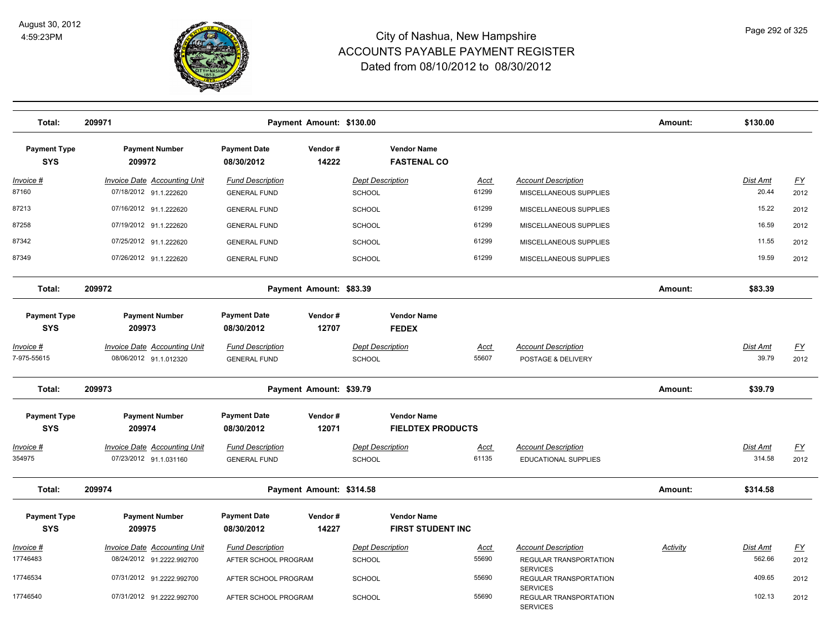

| Total:                            | 209971                                                        |                                                | Payment Amount: \$130.00 |                                                |                      |                                                              | Amount:  | \$130.00           |                          |
|-----------------------------------|---------------------------------------------------------------|------------------------------------------------|--------------------------|------------------------------------------------|----------------------|--------------------------------------------------------------|----------|--------------------|--------------------------|
| <b>Payment Type</b><br><b>SYS</b> | <b>Payment Number</b><br>209972                               | <b>Payment Date</b><br>08/30/2012              | Vendor#<br>14222         | <b>Vendor Name</b><br><b>FASTENAL CO</b>       |                      |                                                              |          |                    |                          |
| Invoice #                         | <b>Invoice Date Accounting Unit</b>                           | <b>Fund Description</b>                        |                          | <b>Dept Description</b>                        | Acct                 | <b>Account Description</b>                                   |          | <b>Dist Amt</b>    | <u>FY</u>                |
| 87160                             | 07/18/2012 91.1.222620                                        | <b>GENERAL FUND</b>                            |                          | SCHOOL                                         | 61299                | MISCELLANEOUS SUPPLIES                                       |          | 20.44              | 2012                     |
| 87213                             | 07/16/2012 91.1.222620                                        | <b>GENERAL FUND</b>                            |                          | <b>SCHOOL</b>                                  | 61299                | MISCELLANEOUS SUPPLIES                                       |          | 15.22              | 2012                     |
| 87258                             | 07/19/2012 91.1.222620                                        | <b>GENERAL FUND</b>                            |                          | <b>SCHOOL</b>                                  | 61299                | MISCELLANEOUS SUPPLIES                                       |          | 16.59              | 2012                     |
| 87342                             | 07/25/2012 91.1.222620                                        | <b>GENERAL FUND</b>                            |                          | <b>SCHOOL</b>                                  | 61299                | MISCELLANEOUS SUPPLIES                                       |          | 11.55              | 2012                     |
| 87349                             | 07/26/2012 91.1.222620                                        | <b>GENERAL FUND</b>                            |                          | SCHOOL                                         | 61299                | MISCELLANEOUS SUPPLIES                                       |          | 19.59              | 2012                     |
| Total:                            | 209972                                                        |                                                | Payment Amount: \$83.39  |                                                |                      |                                                              | Amount:  | \$83.39            |                          |
| <b>Payment Type</b><br><b>SYS</b> | <b>Payment Number</b><br>209973                               | <b>Payment Date</b><br>08/30/2012              | Vendor#<br>12707         | <b>Vendor Name</b><br><b>FEDEX</b>             |                      |                                                              |          |                    |                          |
|                                   |                                                               |                                                |                          |                                                |                      |                                                              |          |                    |                          |
| Invoice #<br>7-975-55615          | <b>Invoice Date Accounting Unit</b><br>08/06/2012 91.1.012320 | <b>Fund Description</b><br><b>GENERAL FUND</b> |                          | <b>Dept Description</b><br>SCHOOL              | <b>Acct</b><br>55607 | <b>Account Description</b><br>POSTAGE & DELIVERY             |          | Dist Amt<br>39.79  | <u>FY</u><br>2012        |
| Total:                            | 209973                                                        |                                                | Payment Amount: \$39.79  |                                                |                      |                                                              | Amount:  | \$39.79            |                          |
| <b>Payment Type</b>               | <b>Payment Number</b>                                         | <b>Payment Date</b>                            | Vendor#                  | <b>Vendor Name</b>                             |                      |                                                              |          |                    |                          |
| <b>SYS</b>                        | 209974                                                        | 08/30/2012                                     | 12071                    | <b>FIELDTEX PRODUCTS</b>                       |                      |                                                              |          |                    |                          |
| Invoice #<br>354975               | <b>Invoice Date Accounting Unit</b><br>07/23/2012 91.1.031160 | <b>Fund Description</b><br><b>GENERAL FUND</b> |                          | Dept Description<br>SCHOOL                     | Acct<br>61135        | <b>Account Description</b><br><b>EDUCATIONAL SUPPLIES</b>    |          | Dist Amt<br>314.58 | $\underline{FY}$<br>2012 |
| Total:                            | 209974                                                        |                                                | Payment Amount: \$314.58 |                                                |                      |                                                              | Amount:  | \$314.58           |                          |
| <b>Payment Type</b><br><b>SYS</b> | <b>Payment Number</b><br>209975                               | <b>Payment Date</b><br>08/30/2012              | Vendor#<br>14227         | <b>Vendor Name</b><br><b>FIRST STUDENT INC</b> |                      |                                                              |          |                    |                          |
| Invoice #                         | <b>Invoice Date Accounting Unit</b>                           | <b>Fund Description</b>                        |                          | <b>Dept Description</b>                        | Acct                 | <b>Account Description</b>                                   | Activity | Dist Amt           | <u>FY</u>                |
| 17746483                          | 08/24/2012 91.2222.992700                                     | AFTER SCHOOL PROGRAM                           |                          | SCHOOL                                         | 55690                | REGULAR TRANSPORTATION                                       |          | 562.66             | 2012                     |
| 17746534                          | 07/31/2012 91.2222.992700                                     | AFTER SCHOOL PROGRAM                           |                          | <b>SCHOOL</b>                                  | 55690                | <b>SERVICES</b><br>REGULAR TRANSPORTATION<br><b>SERVICES</b> |          | 409.65             | 2012                     |
| 17746540                          | 07/31/2012 91.2222.992700                                     | AFTER SCHOOL PROGRAM                           |                          | <b>SCHOOL</b>                                  | 55690                | REGULAR TRANSPORTATION<br><b>SERVICES</b>                    |          | 102.13             | 2012                     |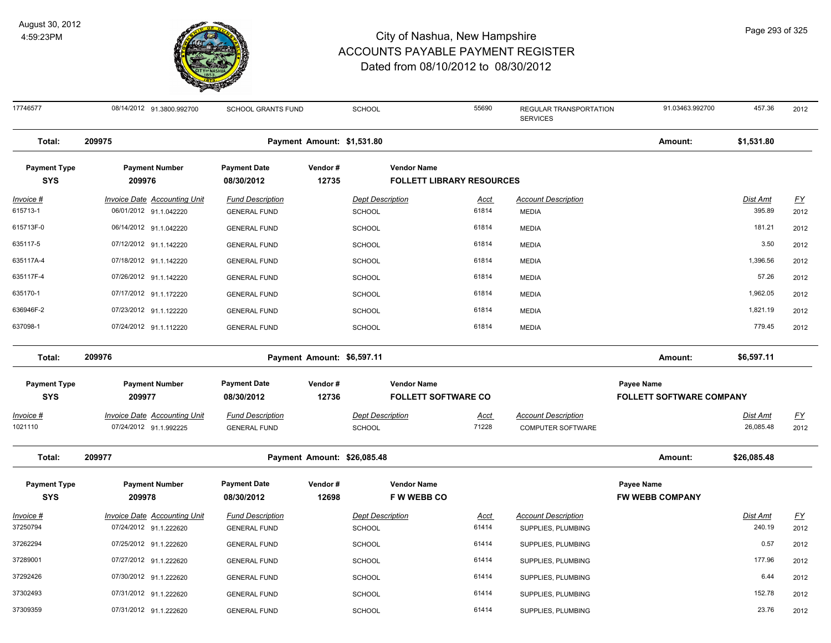

| 17746577                          | 08/14/2012 91.3800.992700                                     | <b>SCHOOL GRANTS FUND</b>                      |                             | <b>SCHOOL</b>                            |                                                        | 55690                | REGULAR TRANSPORTATION<br><b>SERVICES</b>              | 91.03463.992700                      | 457.36                    | 2012              |
|-----------------------------------|---------------------------------------------------------------|------------------------------------------------|-----------------------------|------------------------------------------|--------------------------------------------------------|----------------------|--------------------------------------------------------|--------------------------------------|---------------------------|-------------------|
| Total:                            | 209975                                                        |                                                | Payment Amount: \$1,531.80  |                                          |                                                        |                      |                                                        | Amount:                              | \$1,531.80                |                   |
| <b>Payment Type</b><br><b>SYS</b> | <b>Payment Number</b><br>209976                               | <b>Payment Date</b><br>08/30/2012              | Vendor#<br>12735            |                                          | <b>Vendor Name</b><br><b>FOLLETT LIBRARY RESOURCES</b> |                      |                                                        |                                      |                           |                   |
| <u>Invoice #</u><br>615713-1      | <b>Invoice Date Accounting Unit</b><br>06/01/2012 91.1.042220 | <b>Fund Description</b><br><b>GENERAL FUND</b> |                             | <b>Dept Description</b><br><b>SCHOOL</b> |                                                        | <b>Acct</b><br>61814 | <b>Account Description</b><br><b>MEDIA</b>             |                                      | <b>Dist Amt</b><br>395.89 | <u>FY</u><br>2012 |
| 615713F-0                         | 06/14/2012 91.1.042220                                        | <b>GENERAL FUND</b>                            |                             | <b>SCHOOL</b>                            |                                                        | 61814                | <b>MEDIA</b>                                           |                                      | 181.21                    | 2012              |
| 635117-5                          | 07/12/2012 91.1.142220                                        | <b>GENERAL FUND</b>                            |                             | <b>SCHOOL</b>                            |                                                        | 61814                | <b>MEDIA</b>                                           |                                      | 3.50                      | 2012              |
| 635117A-4                         | 07/18/2012 91.1.142220                                        | <b>GENERAL FUND</b>                            |                             | <b>SCHOOL</b>                            |                                                        | 61814                | <b>MEDIA</b>                                           |                                      | 1,396.56                  | 2012              |
| 635117F-4                         | 07/26/2012 91.1.142220                                        | <b>GENERAL FUND</b>                            |                             | <b>SCHOOL</b>                            |                                                        | 61814                | <b>MEDIA</b>                                           |                                      | 57.26                     | 2012              |
| 635170-1                          | 07/17/2012 91.1.172220                                        | <b>GENERAL FUND</b>                            |                             | SCHOOL                                   |                                                        | 61814                | <b>MEDIA</b>                                           |                                      | 1,962.05                  | 2012              |
| 636946F-2                         | 07/23/2012 91.1.122220                                        | <b>GENERAL FUND</b>                            |                             | <b>SCHOOL</b>                            |                                                        | 61814                | <b>MEDIA</b>                                           |                                      | 1,821.19                  | 2012              |
| 637098-1                          | 07/24/2012 91.1.112220                                        | <b>GENERAL FUND</b>                            |                             | <b>SCHOOL</b>                            |                                                        | 61814                | <b>MEDIA</b>                                           |                                      | 779.45                    | 2012              |
| Total:                            | 209976                                                        |                                                | Payment Amount: \$6,597.11  |                                          |                                                        |                      |                                                        | Amount:                              | \$6,597.11                |                   |
| <b>Payment Type</b>               | <b>Payment Number</b>                                         | <b>Payment Date</b>                            | Vendor#                     |                                          | <b>Vendor Name</b>                                     |                      |                                                        | Payee Name                           |                           |                   |
| <b>SYS</b>                        | 209977                                                        | 08/30/2012                                     | 12736                       |                                          | <b>FOLLETT SOFTWARE CO</b>                             |                      |                                                        | <b>FOLLETT SOFTWARE COMPANY</b>      |                           |                   |
| Invoice #<br>1021110              | <b>Invoice Date Accounting Unit</b><br>07/24/2012 91.1.992225 | <b>Fund Description</b><br><b>GENERAL FUND</b> |                             | <b>Dept Description</b><br>SCHOOL        |                                                        | <b>Acct</b><br>71228 | <b>Account Description</b><br><b>COMPUTER SOFTWARE</b> |                                      | Dist Amt<br>26,085.48     | <u>FY</u><br>2012 |
| Total:                            | 209977                                                        |                                                | Payment Amount: \$26,085.48 |                                          |                                                        |                      |                                                        | Amount:                              | \$26,085.48               |                   |
| <b>Payment Type</b><br><b>SYS</b> | <b>Payment Number</b><br>209978                               | <b>Payment Date</b><br>08/30/2012              | Vendor#<br>12698            |                                          | <b>Vendor Name</b><br><b>FWWEBBCO</b>                  |                      |                                                        | Payee Name<br><b>FW WEBB COMPANY</b> |                           |                   |
| Invoice #<br>37250794             | <b>Invoice Date Accounting Unit</b><br>07/24/2012 91.1.222620 | <b>Fund Description</b><br><b>GENERAL FUND</b> |                             | <b>Dept Description</b><br><b>SCHOOL</b> |                                                        | <u>Acct</u><br>61414 | <b>Account Description</b><br>SUPPLIES, PLUMBING       |                                      | Dist Amt<br>240.19        | <u>FY</u><br>2012 |
| 37262294                          | 07/25/2012 91.1.222620                                        | <b>GENERAL FUND</b>                            |                             | <b>SCHOOL</b>                            |                                                        | 61414                | SUPPLIES, PLUMBING                                     |                                      | 0.57                      | 2012              |
| 37289001                          | 07/27/2012 91.1.222620                                        | <b>GENERAL FUND</b>                            |                             | <b>SCHOOL</b>                            |                                                        | 61414                | SUPPLIES, PLUMBING                                     |                                      | 177.96                    | 2012              |
| 37292426                          | 07/30/2012 91.1.222620                                        | <b>GENERAL FUND</b>                            |                             | <b>SCHOOL</b>                            |                                                        | 61414                | SUPPLIES, PLUMBING                                     |                                      | 6.44                      | 2012              |
| 37302493                          | 07/31/2012 91.1.222620                                        | <b>GENERAL FUND</b>                            |                             | SCHOOL                                   |                                                        | 61414                | SUPPLIES, PLUMBING                                     |                                      | 152.78                    | 2012              |
| 37309359                          | 07/31/2012 91.1.222620                                        | <b>GENERAL FUND</b>                            |                             | <b>SCHOOL</b>                            |                                                        | 61414                | SUPPLIES, PLUMBING                                     |                                      | 23.76                     | 2012              |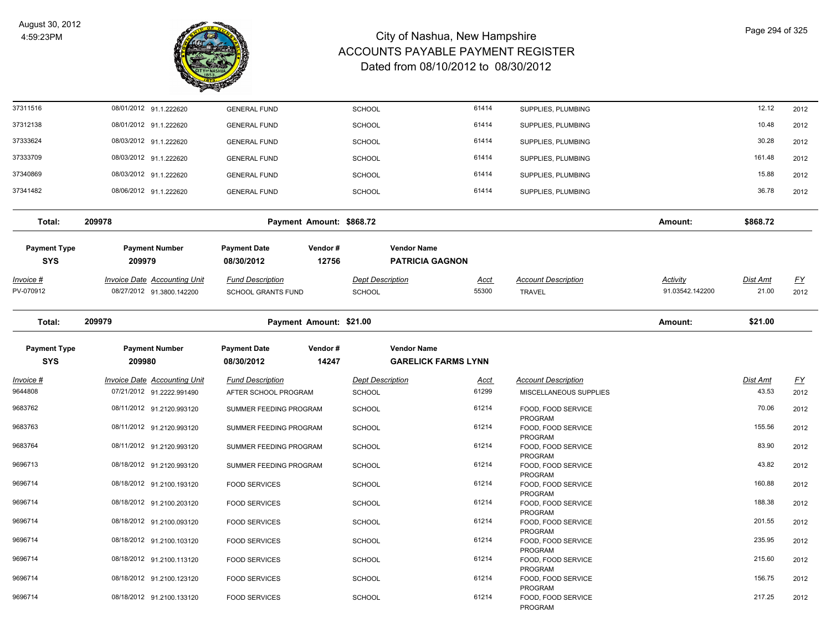

| 37311516                          | 08/01/2012 91.1.222620                                           | <b>GENERAL FUND</b>                                  |                          | <b>SCHOOL</b>                            |                                              | 61414                | SUPPLIES, PLUMBING                          |                                    | 12.12                    | 2012              |
|-----------------------------------|------------------------------------------------------------------|------------------------------------------------------|--------------------------|------------------------------------------|----------------------------------------------|----------------------|---------------------------------------------|------------------------------------|--------------------------|-------------------|
| 37312138                          | 08/01/2012 91.1.222620                                           | <b>GENERAL FUND</b>                                  |                          | <b>SCHOOL</b>                            |                                              | 61414                | SUPPLIES, PLUMBING                          |                                    | 10.48                    | 2012              |
| 37333624                          | 08/03/2012 91.1.222620                                           | <b>GENERAL FUND</b>                                  |                          | <b>SCHOOL</b>                            |                                              | 61414                | SUPPLIES, PLUMBING                          |                                    | 30.28                    | 2012              |
| 37333709                          | 08/03/2012 91.1.222620                                           | <b>GENERAL FUND</b>                                  |                          | <b>SCHOOL</b>                            |                                              | 61414                | SUPPLIES, PLUMBING                          |                                    | 161.48                   | 2012              |
| 37340869                          | 08/03/2012 91.1.222620                                           | <b>GENERAL FUND</b>                                  |                          | <b>SCHOOL</b>                            |                                              | 61414                | SUPPLIES, PLUMBING                          |                                    | 15.88                    | 2012              |
| 37341482                          | 08/06/2012 91.1.222620                                           | <b>GENERAL FUND</b>                                  |                          | <b>SCHOOL</b>                            |                                              | 61414                | SUPPLIES, PLUMBING                          |                                    | 36.78                    | 2012              |
| Total:                            | 209978                                                           |                                                      | Payment Amount: \$868.72 |                                          |                                              |                      |                                             | Amount:                            | \$868.72                 |                   |
| <b>Payment Type</b><br><b>SYS</b> | <b>Payment Number</b><br>209979                                  | <b>Payment Date</b><br>08/30/2012                    | Vendor#<br>12756         |                                          | <b>Vendor Name</b><br><b>PATRICIA GAGNON</b> |                      |                                             |                                    |                          |                   |
| <u>Invoice #</u><br>PV-070912     | <b>Invoice Date Accounting Unit</b><br>08/27/2012 91.3800.142200 | <b>Fund Description</b><br><b>SCHOOL GRANTS FUND</b> |                          | <b>Dept Description</b><br><b>SCHOOL</b> |                                              | <u>Acct</u><br>55300 | <b>Account Description</b><br><b>TRAVEL</b> | <b>Activity</b><br>91.03542.142200 | <b>Dist Amt</b><br>21.00 | <u>FY</u><br>2012 |
| Total:                            | 209979                                                           |                                                      | Payment Amount: \$21.00  |                                          |                                              |                      |                                             | Amount:                            | \$21.00                  |                   |
| <b>Payment Type</b>               | <b>Payment Number</b>                                            | <b>Payment Date</b>                                  | Vendor#                  |                                          | <b>Vendor Name</b>                           |                      |                                             |                                    |                          |                   |
| <b>SYS</b>                        | 209980                                                           | 08/30/2012                                           | 14247                    |                                          | <b>GARELICK FARMS LYNN</b>                   |                      |                                             |                                    |                          |                   |
| Invoice #                         | Invoice Date Accounting Unit                                     | <b>Fund Description</b>                              |                          | <b>Dept Description</b>                  |                                              | <u>Acct</u>          | <b>Account Description</b>                  |                                    | <b>Dist Amt</b>          | $\underline{FY}$  |
| 9644808                           | 07/21/2012 91.2222.991490                                        | AFTER SCHOOL PROGRAM                                 |                          | <b>SCHOOL</b>                            |                                              | 61299                | MISCELLANEOUS SUPPLIES                      |                                    | 43.53                    | 2012              |
| 9683762                           | 08/11/2012 91.2120.993120                                        | SUMMER FEEDING PROGRAM                               |                          | <b>SCHOOL</b>                            |                                              | 61214                | FOOD, FOOD SERVICE<br>PROGRAM               |                                    | 70.06                    | 2012              |
| 9683763                           | 08/11/2012 91.2120.993120                                        | SUMMER FEEDING PROGRAM                               |                          | SCHOOL                                   |                                              | 61214                | FOOD, FOOD SERVICE                          |                                    | 155.56                   | 2012              |
| 9683764                           | 08/11/2012 91.2120.993120                                        | SUMMER FEEDING PROGRAM                               |                          | <b>SCHOOL</b>                            |                                              | 61214                | PROGRAM<br>FOOD, FOOD SERVICE               |                                    | 83.90                    | 2012              |
| 9696713                           | 08/18/2012 91.2120.993120                                        | SUMMER FEEDING PROGRAM                               |                          | <b>SCHOOL</b>                            |                                              | 61214                | PROGRAM<br>FOOD, FOOD SERVICE               |                                    | 43.82                    | 2012              |
| 9696714                           | 08/18/2012 91.2100.193120                                        | <b>FOOD SERVICES</b>                                 |                          | <b>SCHOOL</b>                            |                                              | 61214                | PROGRAM<br>FOOD, FOOD SERVICE               |                                    | 160.88                   | 2012              |
| 9696714                           | 08/18/2012 91.2100.203120                                        | <b>FOOD SERVICES</b>                                 |                          | <b>SCHOOL</b>                            |                                              | 61214                | PROGRAM<br>FOOD, FOOD SERVICE               |                                    | 188.38                   | 2012              |
| 9696714                           | 08/18/2012 91.2100.093120                                        | <b>FOOD SERVICES</b>                                 |                          | <b>SCHOOL</b>                            |                                              | 61214                | PROGRAM<br>FOOD, FOOD SERVICE               |                                    | 201.55                   | 2012              |
| 9696714                           | 08/18/2012 91.2100.103120                                        | <b>FOOD SERVICES</b>                                 |                          | <b>SCHOOL</b>                            |                                              | 61214                | PROGRAM<br>FOOD, FOOD SERVICE               |                                    | 235.95                   | 2012              |
| 9696714                           | 08/18/2012 91.2100.113120                                        | <b>FOOD SERVICES</b>                                 |                          | <b>SCHOOL</b>                            |                                              | 61214                | PROGRAM<br>FOOD, FOOD SERVICE               |                                    | 215.60                   | 2012              |
|                                   |                                                                  |                                                      |                          |                                          |                                              |                      | PROGRAM                                     |                                    |                          |                   |
| 9696714                           | 08/18/2012 91.2100.123120                                        | <b>FOOD SERVICES</b>                                 |                          | <b>SCHOOL</b>                            |                                              | 61214                | FOOD, FOOD SERVICE<br><b>PROGRAM</b>        |                                    | 156.75                   | 2012              |
| 9696714                           | 08/18/2012 91.2100.133120                                        | <b>FOOD SERVICES</b>                                 |                          | SCHOOL                                   |                                              | 61214                | FOOD, FOOD SERVICE<br>PROGRAM               |                                    | 217.25                   | 2012              |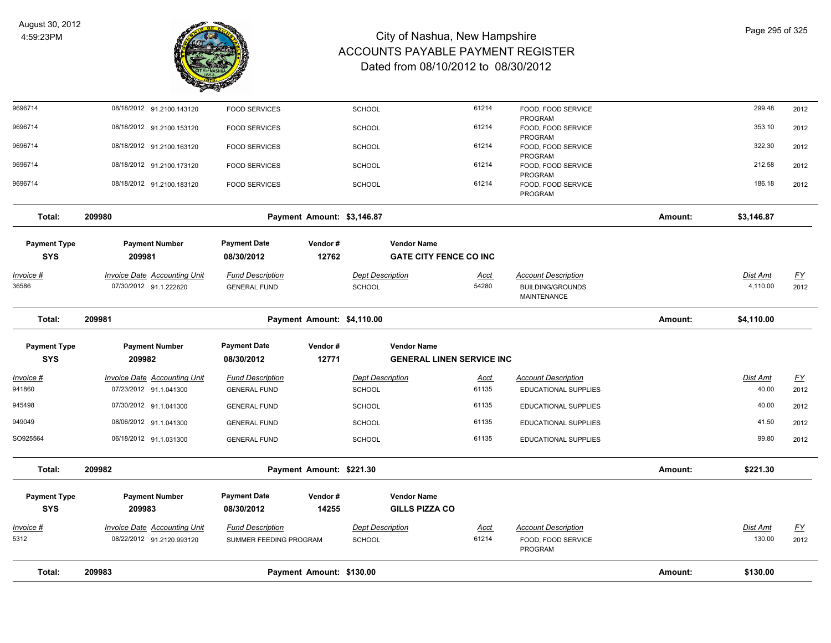

| Total:              | 209983                                                    |                                                   | Payment Amount: \$130.00   |                                          |                                  |                      |                                                             | Amount: | \$130.00           |                   |
|---------------------|-----------------------------------------------------------|---------------------------------------------------|----------------------------|------------------------------------------|----------------------------------|----------------------|-------------------------------------------------------------|---------|--------------------|-------------------|
| Invoice #<br>5312   | Invoice Date Accounting Unit<br>08/22/2012 91.2120.993120 | <b>Fund Description</b><br>SUMMER FEEDING PROGRAM |                            | <b>Dept Description</b><br><b>SCHOOL</b> |                                  | <u>Acct</u><br>61214 | <b>Account Description</b><br>FOOD, FOOD SERVICE<br>PROGRAM |         | Dist Amt<br>130.00 | <u>FY</u><br>2012 |
| <b>SYS</b>          | 209983                                                    | 08/30/2012                                        | 14255                      |                                          | <b>GILLS PIZZA CO</b>            |                      |                                                             |         |                    |                   |
| <b>Payment Type</b> | <b>Payment Number</b>                                     | <b>Payment Date</b>                               | Vendor#                    |                                          | <b>Vendor Name</b>               |                      |                                                             |         |                    |                   |
| Total:              | 209982                                                    |                                                   | Payment Amount: \$221.30   |                                          |                                  |                      |                                                             | Amount: | \$221.30           |                   |
| SO925564            | 06/18/2012 91.1.031300                                    | <b>GENERAL FUND</b>                               |                            | <b>SCHOOL</b>                            |                                  | 61135                | <b>EDUCATIONAL SUPPLIES</b>                                 |         | 99.80              | 2012              |
| 949049              | 08/06/2012 91.1.041300                                    | <b>GENERAL FUND</b>                               |                            | <b>SCHOOL</b>                            |                                  | 61135                | EDUCATIONAL SUPPLIES                                        |         | 41.50              | 2012              |
| 945498              | 07/30/2012 91.1.041300                                    | <b>GENERAL FUND</b>                               |                            | <b>SCHOOL</b>                            |                                  | 61135                | EDUCATIONAL SUPPLIES                                        |         | 40.00              | 2012              |
| Invoice #<br>941860 | 07/23/2012 91.1.041300                                    | <b>GENERAL FUND</b>                               |                            | SCHOOL                                   |                                  | <u>Acct</u><br>61135 | EDUCATIONAL SUPPLIES                                        |         | 40.00              | EY<br>2012        |
| <b>SYS</b>          | 209982<br>Invoice Date Accounting Unit                    | 08/30/2012<br><b>Fund Description</b>             | 12771                      | <b>Dept Description</b>                  | <b>GENERAL LINEN SERVICE INC</b> |                      | <b>Account Description</b>                                  |         | Dist Amt           |                   |
| <b>Payment Type</b> | <b>Payment Number</b>                                     | <b>Payment Date</b>                               | Vendor#                    |                                          | <b>Vendor Name</b>               |                      |                                                             |         |                    |                   |
| Total:              | 209981                                                    |                                                   | Payment Amount: \$4,110.00 |                                          |                                  |                      |                                                             | Amount: | \$4,110.00         |                   |
| 36586               | 07/30/2012 91.1.222620                                    | <b>GENERAL FUND</b>                               |                            | <b>SCHOOL</b>                            |                                  | 54280                | <b>BUILDING/GROUNDS</b><br>MAINTENANCE                      |         | 4,110.00           | 2012              |
| <u> Invoice #</u>   | <b>Invoice Date Accounting Unit</b>                       | <b>Fund Description</b>                           |                            | <b>Dept Description</b>                  |                                  | <u>Acct</u>          | <b>Account Description</b>                                  |         | <u>Dist Amt</u>    | <u>FY</u>         |
| <b>SYS</b>          | 209981                                                    | 08/30/2012                                        | 12762                      |                                          | <b>GATE CITY FENCE CO INC</b>    |                      |                                                             |         |                    |                   |
| <b>Payment Type</b> | <b>Payment Number</b>                                     | <b>Payment Date</b>                               | Vendor#                    |                                          | <b>Vendor Name</b>               |                      |                                                             |         |                    |                   |
| Total:              | 209980                                                    |                                                   | Payment Amount: \$3,146.87 |                                          |                                  |                      |                                                             | Amount: | \$3,146.87         |                   |
| 9696714             | 08/18/2012 91.2100.183120                                 | <b>FOOD SERVICES</b>                              |                            | <b>SCHOOL</b>                            |                                  | 61214                | FOOD, FOOD SERVICE<br>PROGRAM                               |         | 186.18             | 2012              |
| 9696714             | 08/18/2012 91.2100.173120                                 | <b>FOOD SERVICES</b>                              |                            | <b>SCHOOL</b>                            |                                  | 61214                | FOOD, FOOD SERVICE<br>PROGRAM                               |         | 212.58             | 2012              |
| 9696714             | 08/18/2012 91.2100.163120                                 | <b>FOOD SERVICES</b>                              |                            | <b>SCHOOL</b>                            |                                  | 61214                | FOOD, FOOD SERVICE<br>PROGRAM                               |         | 322.30             | 2012              |
| 9696714             | 08/18/2012 91.2100.153120                                 | <b>FOOD SERVICES</b>                              |                            | <b>SCHOOL</b>                            |                                  | 61214                | FOOD, FOOD SERVICE<br>PROGRAM                               |         | 353.10             | 2012              |
| 9696714             | 08/18/2012 91.2100.143120                                 | <b>FOOD SERVICES</b>                              |                            | <b>SCHOOL</b>                            |                                  | 61214                | FOOD, FOOD SERVICE<br>PROGRAM                               |         | 299.48             | 2012              |
|                     |                                                           |                                                   |                            |                                          |                                  |                      |                                                             |         |                    |                   |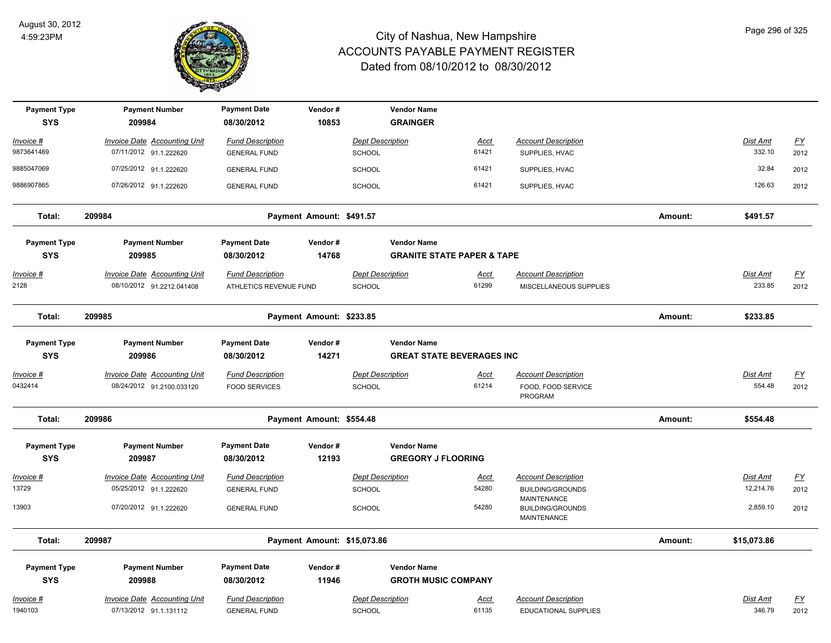

| <b>Payment Type</b><br><b>SYS</b> | <b>Payment Number</b><br>209984     | <b>Payment Date</b><br>08/30/2012 | Vendor#<br>10853            | <b>Vendor Name</b><br><b>GRAINGER</b> |                                       |                                                              |         |                 |                  |
|-----------------------------------|-------------------------------------|-----------------------------------|-----------------------------|---------------------------------------|---------------------------------------|--------------------------------------------------------------|---------|-----------------|------------------|
| <u> Invoice #</u>                 | <b>Invoice Date Accounting Unit</b> | <b>Fund Description</b>           |                             | <b>Dept Description</b>               | Acct                                  | <b>Account Description</b>                                   |         | <b>Dist Amt</b> | $\underline{FY}$ |
| 9873641469                        | 07/11/2012 91.1.222620              | <b>GENERAL FUND</b>               |                             | <b>SCHOOL</b>                         | 61421                                 | SUPPLIES, HVAC                                               |         | 332.10          | 2012             |
| 9885047069                        | 07/25/2012 91.1.222620              | <b>GENERAL FUND</b>               |                             | <b>SCHOOL</b>                         | 61421                                 | SUPPLIES, HVAC                                               |         | 32.84           | 2012             |
| 9886907865                        | 07/26/2012 91.1.222620              | <b>GENERAL FUND</b>               |                             | <b>SCHOOL</b>                         | 61421                                 | SUPPLIES, HVAC                                               |         | 126.63          | 2012             |
| Total:                            | 209984                              |                                   | Payment Amount: \$491.57    |                                       |                                       |                                                              | Amount: | \$491.57        |                  |
| <b>Payment Type</b><br><b>SYS</b> | <b>Payment Number</b><br>209985     | <b>Payment Date</b><br>08/30/2012 | Vendor#<br>14768            | <b>Vendor Name</b>                    | <b>GRANITE STATE PAPER &amp; TAPE</b> |                                                              |         |                 |                  |
| <u> Invoice #</u>                 | <b>Invoice Date Accounting Unit</b> | <b>Fund Description</b>           |                             | <b>Dept Description</b>               | <u>Acct</u>                           | <b>Account Description</b>                                   |         | <b>Dist Amt</b> | <u>FY</u>        |
| 2128                              | 08/10/2012 91.2212.041408           | ATHLETICS REVENUE FUND            |                             | <b>SCHOOL</b>                         | 61299                                 | MISCELLANEOUS SUPPLIES                                       |         | 233.85          | 2012             |
| Total:                            | 209985                              |                                   | Payment Amount: \$233.85    |                                       |                                       |                                                              | Amount: | \$233.85        |                  |
| <b>Payment Type</b>               | <b>Payment Number</b>               | <b>Payment Date</b>               | Vendor#                     | <b>Vendor Name</b>                    |                                       |                                                              |         |                 |                  |
| <b>SYS</b>                        | 209986                              | 08/30/2012                        | 14271                       |                                       | <b>GREAT STATE BEVERAGES INC</b>      |                                                              |         |                 |                  |
| <u> Invoice #</u>                 | <b>Invoice Date Accounting Unit</b> | <b>Fund Description</b>           |                             | <b>Dept Description</b>               | Acct                                  | <b>Account Description</b>                                   |         | Dist Amt        | $\underline{FY}$ |
| 0432414                           | 08/24/2012 91.2100.033120           | <b>FOOD SERVICES</b>              |                             | SCHOOL                                | 61214                                 | FOOD, FOOD SERVICE<br>PROGRAM                                |         | 554.48          | 2012             |
| Total:                            | 209986                              |                                   | Payment Amount: \$554.48    |                                       |                                       |                                                              | Amount: | \$554.48        |                  |
| <b>Payment Type</b>               | <b>Payment Number</b>               | <b>Payment Date</b>               | Vendor#                     | <b>Vendor Name</b>                    |                                       |                                                              |         |                 |                  |
| <b>SYS</b>                        | 209987                              | 08/30/2012                        | 12193                       |                                       | <b>GREGORY J FLOORING</b>             |                                                              |         |                 |                  |
| Invoice #                         | <b>Invoice Date Accounting Unit</b> | <b>Fund Description</b>           |                             | <b>Dept Description</b>               | <u>Acct</u>                           | <b>Account Description</b>                                   |         | Dist Amt        | $\underline{FY}$ |
| 13729                             | 05/25/2012 91.1.222620              | <b>GENERAL FUND</b>               |                             | SCHOOL                                | 54280                                 | <b>BUILDING/GROUNDS</b>                                      |         | 12,214.76       | 2012             |
| 13903                             | 07/20/2012 91.1.222620              | <b>GENERAL FUND</b>               |                             | SCHOOL                                | 54280                                 | MAINTENANCE<br><b>BUILDING/GROUNDS</b><br><b>MAINTENANCE</b> |         | 2,859.10        | 2012             |
| Total:                            | 209987                              |                                   | Payment Amount: \$15,073.86 |                                       |                                       |                                                              | Amount: | \$15,073.86     |                  |
| <b>Payment Type</b>               | <b>Payment Number</b>               | <b>Payment Date</b>               | Vendor#                     | <b>Vendor Name</b>                    |                                       |                                                              |         |                 |                  |
| <b>SYS</b>                        | 209988                              | 08/30/2012                        | 11946                       |                                       | <b>GROTH MUSIC COMPANY</b>            |                                                              |         |                 |                  |
| Invoice #                         | <b>Invoice Date Accounting Unit</b> | <b>Fund Description</b>           |                             | <b>Dept Description</b>               | <b>Acct</b>                           | <b>Account Description</b>                                   |         | Dist Amt        | <u>FY</u>        |
| 1940103                           | 07/13/2012 91.1.131112              | <b>GENERAL FUND</b>               |                             | <b>SCHOOL</b>                         | 61135                                 | <b>EDUCATIONAL SUPPLIES</b>                                  |         | 346.79          | 2012             |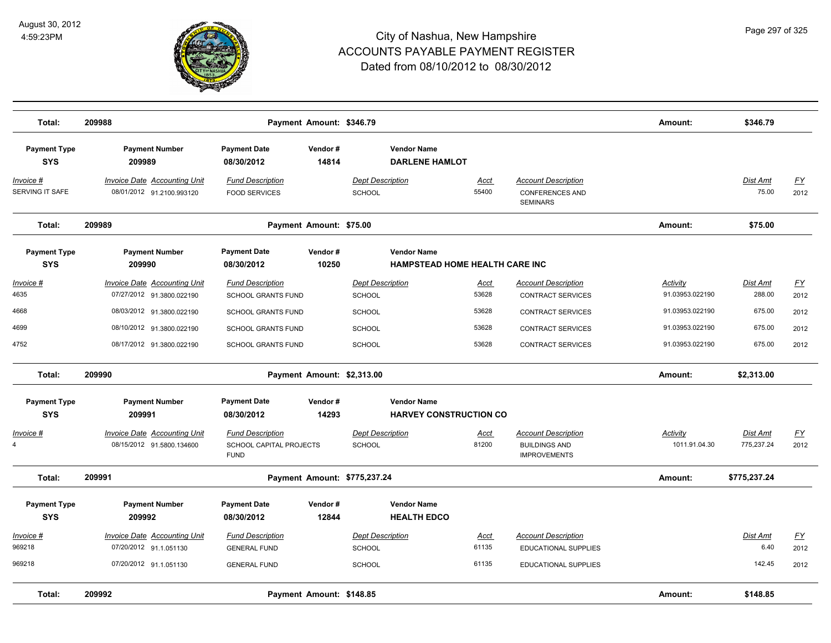

| Total:                            | 209988                                                           |                                                                          | Payment Amount: \$346.79   |                                   |                                                             |                      |                                                                           | Amount:                     | \$346.79               |                   |
|-----------------------------------|------------------------------------------------------------------|--------------------------------------------------------------------------|----------------------------|-----------------------------------|-------------------------------------------------------------|----------------------|---------------------------------------------------------------------------|-----------------------------|------------------------|-------------------|
| <b>Payment Type</b><br><b>SYS</b> | <b>Payment Number</b><br>209989                                  | <b>Payment Date</b><br>08/30/2012                                        | Vendor#<br>14814           |                                   | <b>Vendor Name</b><br><b>DARLENE HAMLOT</b>                 |                      |                                                                           |                             |                        |                   |
| Invoice #<br>SERVING IT SAFE      | <b>Invoice Date Accounting Unit</b><br>08/01/2012 91.2100.993120 | <b>Fund Description</b><br><b>FOOD SERVICES</b>                          |                            | <b>Dept Description</b><br>SCHOOL |                                                             | Acct<br>55400        | <b>Account Description</b><br><b>CONFERENCES AND</b><br><b>SEMINARS</b>   |                             | Dist Amt<br>75.00      | <u>FY</u><br>2012 |
| Total:                            | 209989                                                           |                                                                          | Payment Amount: \$75.00    |                                   |                                                             |                      |                                                                           | Amount:                     | \$75.00                |                   |
| <b>Payment Type</b><br><b>SYS</b> | <b>Payment Number</b><br>209990                                  | <b>Payment Date</b><br>08/30/2012                                        | Vendor#<br>10250           |                                   | <b>Vendor Name</b><br><b>HAMPSTEAD HOME HEALTH CARE INC</b> |                      |                                                                           |                             |                        |                   |
| <u> Invoice #</u><br>4635         | <b>Invoice Date Accounting Unit</b><br>07/27/2012 91.3800.022190 | <b>Fund Description</b><br><b>SCHOOL GRANTS FUND</b>                     |                            | <b>Dept Description</b><br>SCHOOL |                                                             | <u>Acct</u><br>53628 | <b>Account Description</b><br><b>CONTRACT SERVICES</b>                    | Activity<br>91.03953.022190 | Dist Amt<br>288.00     | <u>FY</u><br>2012 |
| 4668                              | 08/03/2012 91.3800.022190                                        | <b>SCHOOL GRANTS FUND</b>                                                |                            | <b>SCHOOL</b>                     |                                                             | 53628                | <b>CONTRACT SERVICES</b>                                                  | 91.03953.022190             | 675.00                 | 2012              |
| 4699                              | 08/10/2012 91.3800.022190                                        | <b>SCHOOL GRANTS FUND</b>                                                |                            | <b>SCHOOL</b>                     |                                                             | 53628                | <b>CONTRACT SERVICES</b>                                                  | 91.03953.022190             | 675.00                 | 2012              |
| 4752                              | 08/17/2012 91.3800.022190                                        | <b>SCHOOL GRANTS FUND</b>                                                |                            | SCHOOL                            |                                                             | 53628                | <b>CONTRACT SERVICES</b>                                                  | 91.03953.022190             | 675.00                 | 2012              |
| Total:                            | 209990                                                           |                                                                          | Payment Amount: \$2,313.00 |                                   |                                                             |                      |                                                                           | Amount:                     | \$2,313.00             |                   |
| <b>Payment Type</b><br><b>SYS</b> | <b>Payment Number</b><br>209991                                  | <b>Payment Date</b><br>08/30/2012                                        | Vendor#<br>14293           |                                   | <b>Vendor Name</b><br><b>HARVEY CONSTRUCTION CO</b>         |                      |                                                                           |                             |                        |                   |
| Invoice #<br>4                    | <b>Invoice Date Accounting Unit</b><br>08/15/2012 91.5800.134600 | <b>Fund Description</b><br><b>SCHOOL CAPITAL PROJECTS</b><br><b>FUND</b> |                            | <b>Dept Description</b><br>SCHOOL |                                                             | <u>Acct</u><br>81200 | <b>Account Description</b><br><b>BUILDINGS AND</b><br><b>IMPROVEMENTS</b> | Activity<br>1011.91.04.30   | Dist Amt<br>775,237.24 | EY<br>2012        |
| Total:                            | 209991                                                           |                                                                          |                            | Payment Amount: \$775,237.24      |                                                             |                      |                                                                           | Amount:                     | \$775,237.24           |                   |
| <b>Payment Type</b><br><b>SYS</b> | <b>Payment Number</b><br>209992                                  | <b>Payment Date</b><br>08/30/2012                                        | Vendor#<br>12844           |                                   | <b>Vendor Name</b><br><b>HEALTH EDCO</b>                    |                      |                                                                           |                             |                        |                   |
| Invoice #<br>969218               | <b>Invoice Date Accounting Unit</b><br>07/20/2012 91.1.051130    | <b>Fund Description</b><br><b>GENERAL FUND</b>                           |                            | <b>Dept Description</b><br>SCHOOL |                                                             | Acct<br>61135        | <b>Account Description</b><br>EDUCATIONAL SUPPLIES                        |                             | Dist Amt<br>6.40       | EY<br>2012        |
| 969218                            | 07/20/2012 91.1.051130                                           | <b>GENERAL FUND</b>                                                      |                            | <b>SCHOOL</b>                     |                                                             | 61135                | <b>EDUCATIONAL SUPPLIES</b>                                               |                             | 142.45                 | 2012              |
| Total:                            | 209992                                                           |                                                                          | Payment Amount: \$148.85   |                                   |                                                             |                      |                                                                           | Amount:                     | \$148.85               |                   |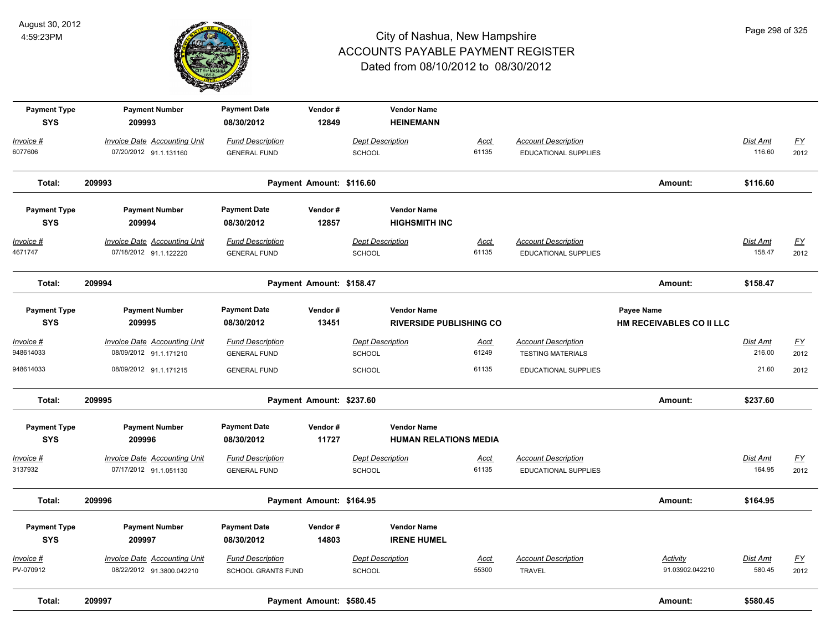

| <b>Payment Type</b><br><b>SYS</b> | <b>Payment Number</b><br>209993                                  | <b>Payment Date</b><br>08/30/2012                    | Vendor#<br>12849         | <b>Vendor Name</b><br><b>HEINEMANN</b>     |                                |                                                           |                                               |                           |                          |
|-----------------------------------|------------------------------------------------------------------|------------------------------------------------------|--------------------------|--------------------------------------------|--------------------------------|-----------------------------------------------------------|-----------------------------------------------|---------------------------|--------------------------|
| Invoice #<br>6077606              | <b>Invoice Date Accounting Unit</b><br>07/20/2012 91.1.131160    | <b>Fund Description</b><br><b>GENERAL FUND</b>       |                          | <b>Dept Description</b><br><b>SCHOOL</b>   | <u>Acct</u><br>61135           | <b>Account Description</b><br><b>EDUCATIONAL SUPPLIES</b> |                                               | Dist Amt<br>116.60        | $\underline{FY}$<br>2012 |
| Total:                            | 209993                                                           |                                                      | Payment Amount: \$116.60 |                                            |                                |                                                           | Amount:                                       | \$116.60                  |                          |
| <b>Payment Type</b><br><b>SYS</b> | <b>Payment Number</b><br>209994                                  | <b>Payment Date</b><br>08/30/2012                    | Vendor#<br>12857         | <b>Vendor Name</b><br><b>HIGHSMITH INC</b> |                                |                                                           |                                               |                           |                          |
| <u> Invoice #</u><br>4671747      | <b>Invoice Date Accounting Unit</b><br>07/18/2012 91.1.122220    | <b>Fund Description</b><br><b>GENERAL FUND</b>       |                          | <b>Dept Description</b><br><b>SCHOOL</b>   | <b>Acct</b><br>61135           | <b>Account Description</b><br><b>EDUCATIONAL SUPPLIES</b> |                                               | <b>Dist Amt</b><br>158.47 | EY<br>2012               |
| Total:                            | 209994                                                           |                                                      | Payment Amount: \$158.47 |                                            |                                |                                                           | Amount:                                       | \$158.47                  |                          |
| <b>Payment Type</b><br><b>SYS</b> | <b>Payment Number</b><br>209995                                  | <b>Payment Date</b><br>08/30/2012                    | Vendor#<br>13451         | <b>Vendor Name</b>                         | <b>RIVERSIDE PUBLISHING CO</b> |                                                           | Payee Name<br><b>HM RECEIVABLES CO II LLC</b> |                           |                          |
| Invoice #<br>948614033            | <b>Invoice Date Accounting Unit</b><br>08/09/2012 91.1.171210    | <b>Fund Description</b><br><b>GENERAL FUND</b>       |                          | <b>Dept Description</b><br><b>SCHOOL</b>   | <u>Acct</u><br>61249           | <b>Account Description</b><br><b>TESTING MATERIALS</b>    |                                               | Dist Amt<br>216.00        | $\underline{FY}$<br>2012 |
| 948614033                         | 08/09/2012 91.1.171215                                           | <b>GENERAL FUND</b>                                  |                          | <b>SCHOOL</b>                              | 61135                          | <b>EDUCATIONAL SUPPLIES</b>                               |                                               | 21.60                     | 2012                     |
| Total:                            | 209995                                                           |                                                      | Payment Amount: \$237.60 |                                            |                                |                                                           | Amount:                                       | \$237.60                  |                          |
| <b>Payment Type</b><br><b>SYS</b> | <b>Payment Number</b><br>209996                                  | <b>Payment Date</b><br>08/30/2012                    | Vendor#<br>11727         | <b>Vendor Name</b>                         | <b>HUMAN RELATIONS MEDIA</b>   |                                                           |                                               |                           |                          |
| <u> Invoice #</u><br>3137932      | <b>Invoice Date Accounting Unit</b><br>07/17/2012 91.1.051130    | <b>Fund Description</b><br><b>GENERAL FUND</b>       |                          | <b>Dept Description</b><br>SCHOOL          | <u>Acct</u><br>61135           | <b>Account Description</b><br>EDUCATIONAL SUPPLIES        |                                               | <b>Dist Amt</b><br>164.95 | $\underline{FY}$<br>2012 |
| Total:                            | 209996                                                           |                                                      | Payment Amount: \$164.95 |                                            |                                |                                                           | Amount:                                       | \$164.95                  |                          |
| <b>Payment Type</b><br><b>SYS</b> | <b>Payment Number</b><br>209997                                  | <b>Payment Date</b><br>08/30/2012                    | Vendor#<br>14803         | <b>Vendor Name</b><br><b>IRENE HUMEL</b>   |                                |                                                           |                                               |                           |                          |
| Invoice #<br>PV-070912            | <b>Invoice Date Accounting Unit</b><br>08/22/2012 91.3800.042210 | <b>Fund Description</b><br><b>SCHOOL GRANTS FUND</b> |                          | <b>Dept Description</b><br><b>SCHOOL</b>   | <b>Acct</b><br>55300           | <b>Account Description</b><br><b>TRAVEL</b>               | Activity<br>91.03902.042210                   | Dist Amt<br>580.45        | <u>FY</u><br>2012        |
| Total:                            | 209997                                                           |                                                      | Payment Amount: \$580.45 |                                            |                                |                                                           | Amount:                                       | \$580.45                  |                          |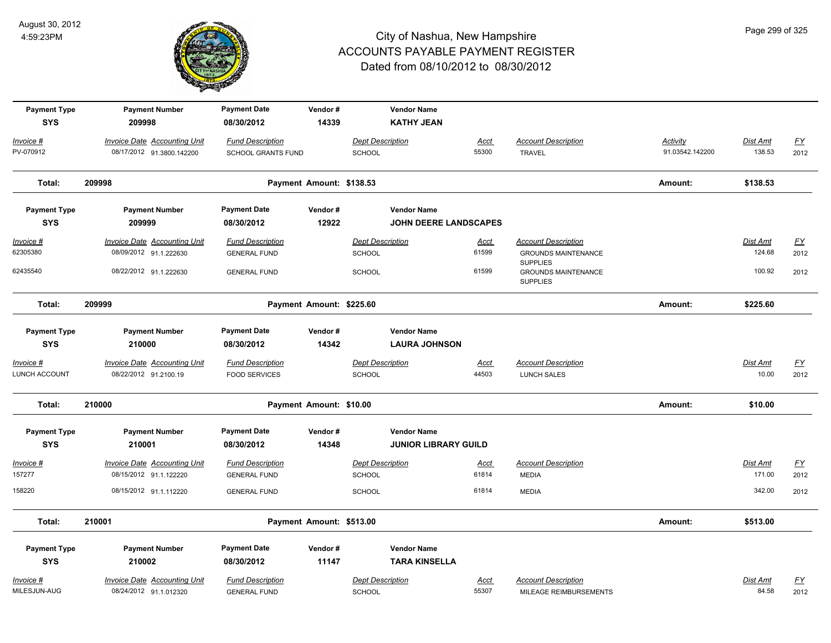

| <b>Payment Type</b><br><b>SYS</b> | <b>Payment Number</b><br>209998     | <b>Payment Date</b><br>08/30/2012 | Vendor#<br>14339         | <b>Vendor Name</b><br><b>KATHY JEAN</b> |                              |                                               |                 |                 |                  |
|-----------------------------------|-------------------------------------|-----------------------------------|--------------------------|-----------------------------------------|------------------------------|-----------------------------------------------|-----------------|-----------------|------------------|
| Invoice #                         | <b>Invoice Date Accounting Unit</b> | <b>Fund Description</b>           |                          | <b>Dept Description</b>                 | <b>Acct</b>                  | <b>Account Description</b>                    | <b>Activity</b> | <b>Dist Amt</b> | <u>FY</u>        |
| PV-070912                         | 08/17/2012 91.3800.142200           | SCHOOL GRANTS FUND                |                          | <b>SCHOOL</b>                           | 55300                        | <b>TRAVEL</b>                                 | 91.03542.142200 | 138.53          | 2012             |
| Total:                            | 209998                              |                                   | Payment Amount: \$138.53 |                                         |                              |                                               | Amount:         | \$138.53        |                  |
| <b>Payment Type</b>               | <b>Payment Number</b>               | <b>Payment Date</b>               | Vendor#                  | <b>Vendor Name</b>                      |                              |                                               |                 |                 |                  |
| <b>SYS</b>                        | 209999                              | 08/30/2012                        | 12922                    |                                         | <b>JOHN DEERE LANDSCAPES</b> |                                               |                 |                 |                  |
| $Invoice$ #                       | <b>Invoice Date Accounting Unit</b> | <b>Fund Description</b>           |                          | <b>Dept Description</b>                 | <b>Acct</b>                  | <b>Account Description</b>                    |                 | <b>Dist Amt</b> | EY               |
| 62305380                          | 08/09/2012 91.1.222630              | <b>GENERAL FUND</b>               |                          | <b>SCHOOL</b>                           | 61599                        | <b>GROUNDS MAINTENANCE</b><br><b>SUPPLIES</b> |                 | 124.68          | 2012             |
| 62435540                          | 08/22/2012 91.1.222630              | <b>GENERAL FUND</b>               |                          | <b>SCHOOL</b>                           | 61599                        | <b>GROUNDS MAINTENANCE</b><br><b>SUPPLIES</b> |                 | 100.92          | 2012             |
| Total:                            | 209999                              |                                   | Payment Amount: \$225.60 |                                         |                              |                                               | Amount:         | \$225.60        |                  |
| <b>Payment Type</b>               | <b>Payment Number</b>               | <b>Payment Date</b>               | Vendor#                  | <b>Vendor Name</b>                      |                              |                                               |                 |                 |                  |
| <b>SYS</b>                        | 210000                              | 08/30/2012                        | 14342                    | <b>LAURA JOHNSON</b>                    |                              |                                               |                 |                 |                  |
| Invoice #                         | <b>Invoice Date Accounting Unit</b> | <b>Fund Description</b>           |                          | <b>Dept Description</b>                 | Acct                         | <b>Account Description</b>                    |                 | Dist Amt        | <u>FY</u>        |
| LUNCH ACCOUNT                     | 08/22/2012 91.2100.19               | <b>FOOD SERVICES</b>              |                          | <b>SCHOOL</b>                           | 44503                        | <b>LUNCH SALES</b>                            |                 | 10.00           | 2012             |
| Total:                            | 210000                              |                                   | Payment Amount: \$10.00  |                                         |                              |                                               | Amount:         | \$10.00         |                  |
| <b>Payment Type</b>               | <b>Payment Number</b>               | <b>Payment Date</b>               | Vendor#                  | <b>Vendor Name</b>                      |                              |                                               |                 |                 |                  |
| <b>SYS</b>                        | 210001                              | 08/30/2012                        | 14348                    |                                         | <b>JUNIOR LIBRARY GUILD</b>  |                                               |                 |                 |                  |
| Invoice #                         | <b>Invoice Date Accounting Unit</b> | <b>Fund Description</b>           |                          | <b>Dept Description</b>                 | <u>Acct</u>                  | <b>Account Description</b>                    |                 | Dist Amt        | <u>FY</u>        |
| 157277                            | 08/15/2012 91.1.122220              | <b>GENERAL FUND</b>               |                          | <b>SCHOOL</b>                           | 61814                        | <b>MEDIA</b>                                  |                 | 171.00          | 2012             |
| 158220                            | 08/15/2012 91.1.112220              | <b>GENERAL FUND</b>               |                          | <b>SCHOOL</b>                           | 61814                        | <b>MEDIA</b>                                  |                 | 342.00          | 2012             |
| Total:                            | 210001                              |                                   | Payment Amount: \$513.00 |                                         |                              |                                               | Amount:         | \$513.00        |                  |
| <b>Payment Type</b>               | <b>Payment Number</b>               | <b>Payment Date</b>               | Vendor#                  | <b>Vendor Name</b>                      |                              |                                               |                 |                 |                  |
| <b>SYS</b>                        | 210002                              | 08/30/2012                        | 11147                    | <b>TARA KINSELLA</b>                    |                              |                                               |                 |                 |                  |
| Invoice #                         | Invoice Date Accounting Unit        | <b>Fund Description</b>           |                          | <b>Dept Description</b>                 | Acct                         | <b>Account Description</b>                    |                 | Dist Amt        | $\underline{FY}$ |
| MILESJUN-AUG                      | 08/24/2012 91.1.012320              | <b>GENERAL FUND</b>               |                          | <b>SCHOOL</b>                           | 55307                        | MILEAGE REIMBURSEMENTS                        |                 | 84.58           | 2012             |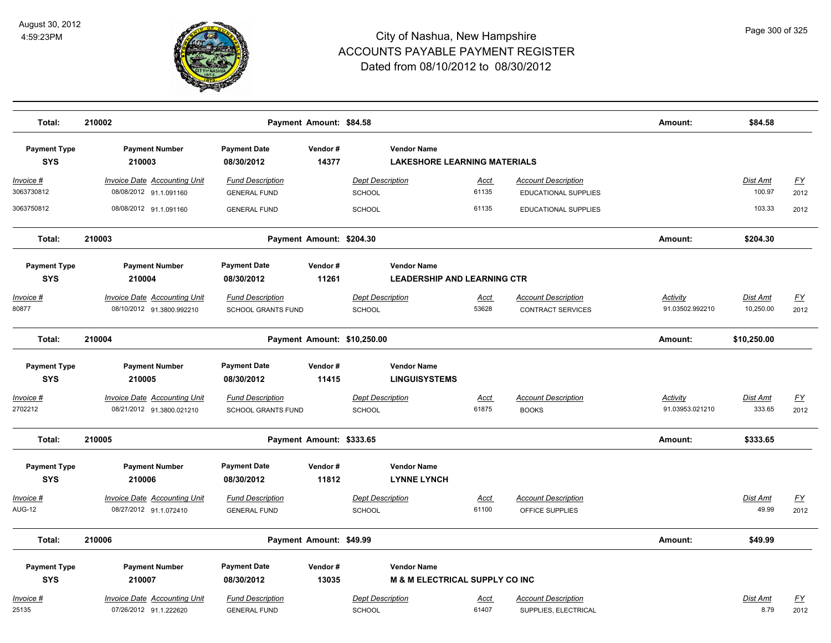

| Total:                            | 210002                                                           |                                                      | Payment Amount: \$84.58  |                                          |                                                                 |                      |                                                        | Amount:                            | \$84.58                   |                          |
|-----------------------------------|------------------------------------------------------------------|------------------------------------------------------|--------------------------|------------------------------------------|-----------------------------------------------------------------|----------------------|--------------------------------------------------------|------------------------------------|---------------------------|--------------------------|
| <b>Payment Type</b><br><b>SYS</b> | <b>Payment Number</b><br>210003                                  | <b>Payment Date</b><br>08/30/2012                    | Vendor#<br>14377         |                                          | <b>Vendor Name</b><br><b>LAKESHORE LEARNING MATERIALS</b>       |                      |                                                        |                                    |                           |                          |
| Invoice #<br>3063730812           | <b>Invoice Date Accounting Unit</b><br>08/08/2012 91.1.091160    | <b>Fund Description</b><br><b>GENERAL FUND</b>       |                          | <b>Dept Description</b><br>SCHOOL        |                                                                 | <u>Acct</u><br>61135 | <b>Account Description</b><br>EDUCATIONAL SUPPLIES     |                                    | <b>Dist Amt</b><br>100.97 | <u>FY</u><br>2012        |
| 3063750812                        | 08/08/2012 91.1.091160                                           | <b>GENERAL FUND</b>                                  |                          | <b>SCHOOL</b>                            |                                                                 | 61135                | EDUCATIONAL SUPPLIES                                   |                                    | 103.33                    | 2012                     |
| Total:                            | 210003                                                           |                                                      | Payment Amount: \$204.30 |                                          |                                                                 |                      |                                                        | Amount:                            | \$204.30                  |                          |
| <b>Payment Type</b><br><b>SYS</b> | <b>Payment Number</b><br>210004                                  | <b>Payment Date</b><br>08/30/2012                    | Vendor#<br>11261         |                                          | <b>Vendor Name</b><br><b>LEADERSHIP AND LEARNING CTR</b>        |                      |                                                        |                                    |                           |                          |
| Invoice #<br>80877                | <b>Invoice Date Accounting Unit</b><br>08/10/2012 91.3800.992210 | <b>Fund Description</b><br><b>SCHOOL GRANTS FUND</b> |                          | <b>Dept Description</b><br><b>SCHOOL</b> |                                                                 | Acct<br>53628        | <b>Account Description</b><br><b>CONTRACT SERVICES</b> | Activity<br>91.03502.992210        | Dist Amt<br>10,250.00     | <u>FY</u><br>2012        |
| Total:                            | 210004                                                           |                                                      |                          | Payment Amount: \$10,250.00              |                                                                 |                      |                                                        | Amount:                            | \$10,250.00               |                          |
| <b>Payment Type</b><br><b>SYS</b> | <b>Payment Number</b><br>210005                                  | <b>Payment Date</b><br>08/30/2012                    | Vendor#<br>11415         |                                          | <b>Vendor Name</b><br><b>LINGUISYSTEMS</b>                      |                      |                                                        |                                    |                           |                          |
| Invoice #<br>2702212              | <b>Invoice Date Accounting Unit</b><br>08/21/2012 91.3800.021210 | <b>Fund Description</b><br><b>SCHOOL GRANTS FUND</b> |                          | <b>Dept Description</b><br><b>SCHOOL</b> |                                                                 | <u>Acct</u><br>61875 | <b>Account Description</b><br><b>BOOKS</b>             | <b>Activity</b><br>91.03953.021210 | Dist Amt<br>333.65        | $\underline{FY}$<br>2012 |
| Total:                            | 210005                                                           |                                                      | Payment Amount: \$333.65 |                                          |                                                                 |                      |                                                        | Amount:                            | \$333.65                  |                          |
| <b>Payment Type</b><br><b>SYS</b> | <b>Payment Number</b><br>210006                                  | <b>Payment Date</b><br>08/30/2012                    | Vendor#<br>11812         |                                          | <b>Vendor Name</b><br><b>LYNNE LYNCH</b>                        |                      |                                                        |                                    |                           |                          |
| Invoice #<br><b>AUG-12</b>        | Invoice Date Accounting Unit<br>08/27/2012 91.1.072410           | <b>Fund Description</b><br><b>GENERAL FUND</b>       |                          | <b>Dept Description</b><br><b>SCHOOL</b> |                                                                 | Acct<br>61100        | <b>Account Description</b><br>OFFICE SUPPLIES          |                                    | Dist Amt<br>49.99         | <u>FY</u><br>2012        |
| Total:                            | 210006                                                           |                                                      | Payment Amount: \$49.99  |                                          |                                                                 |                      |                                                        | Amount:                            | \$49.99                   |                          |
| <b>Payment Type</b><br><b>SYS</b> | <b>Payment Number</b><br>210007                                  | <b>Payment Date</b><br>08/30/2012                    | Vendor#<br>13035         |                                          | <b>Vendor Name</b><br><b>M &amp; M ELECTRICAL SUPPLY CO INC</b> |                      |                                                        |                                    |                           |                          |
| Invoice #<br>25135                | <b>Invoice Date Accounting Unit</b><br>07/26/2012 91.1.222620    | <b>Fund Description</b><br><b>GENERAL FUND</b>       |                          | <b>Dept Description</b><br><b>SCHOOL</b> |                                                                 | <u>Acct</u><br>61407 | <b>Account Description</b><br>SUPPLIES, ELECTRICAL     |                                    | Dist Amt<br>8.79          | <u>FY</u><br>2012        |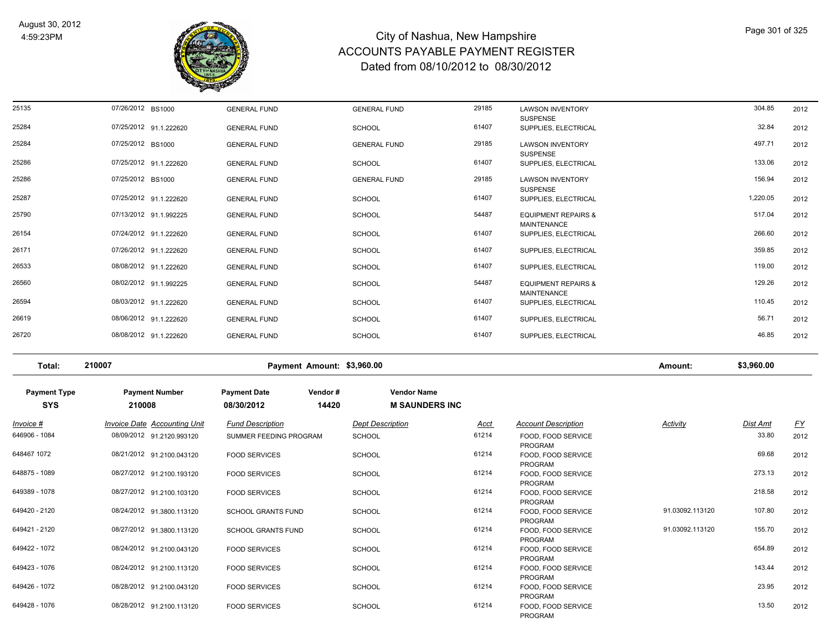

| 25135 | 07/26/2012 BS1000      | <b>GENERAL FUND</b> | <b>GENERAL FUND</b> | 29185 | <b>LAWSON INVENTORY</b><br><b>SUSPENSE</b>           | 304.85   | 2012 |
|-------|------------------------|---------------------|---------------------|-------|------------------------------------------------------|----------|------|
| 25284 | 07/25/2012 91.1.222620 | <b>GENERAL FUND</b> | <b>SCHOOL</b>       | 61407 | SUPPLIES, ELECTRICAL                                 | 32.84    | 2012 |
| 25284 | 07/25/2012 BS1000      | <b>GENERAL FUND</b> | <b>GENERAL FUND</b> | 29185 | <b>LAWSON INVENTORY</b><br><b>SUSPENSE</b>           | 497.71   | 2012 |
| 25286 | 07/25/2012 91.1.222620 | <b>GENERAL FUND</b> | <b>SCHOOL</b>       | 61407 | SUPPLIES, ELECTRICAL                                 | 133.06   | 2012 |
| 25286 | 07/25/2012 BS1000      | <b>GENERAL FUND</b> | <b>GENERAL FUND</b> | 29185 | <b>LAWSON INVENTORY</b><br><b>SUSPENSE</b>           | 156.94   | 2012 |
| 25287 | 07/25/2012 91.1.222620 | <b>GENERAL FUND</b> | <b>SCHOOL</b>       | 61407 | SUPPLIES, ELECTRICAL                                 | 1,220.05 | 2012 |
| 25790 | 07/13/2012 91.1.992225 | <b>GENERAL FUND</b> | <b>SCHOOL</b>       | 54487 | <b>EQUIPMENT REPAIRS &amp;</b><br><b>MAINTENANCE</b> | 517.04   | 2012 |
| 26154 | 07/24/2012 91.1.222620 | <b>GENERAL FUND</b> | <b>SCHOOL</b>       | 61407 | SUPPLIES, ELECTRICAL                                 | 266.60   | 2012 |
| 26171 | 07/26/2012 91.1.222620 | <b>GENERAL FUND</b> | <b>SCHOOL</b>       | 61407 | SUPPLIES, ELECTRICAL                                 | 359.85   | 2012 |
| 26533 | 08/08/2012 91.1.222620 | <b>GENERAL FUND</b> | <b>SCHOOL</b>       | 61407 | SUPPLIES, ELECTRICAL                                 | 119.00   | 2012 |
| 26560 | 08/02/2012 91.1.992225 | <b>GENERAL FUND</b> | <b>SCHOOL</b>       | 54487 | <b>EQUIPMENT REPAIRS &amp;</b><br><b>MAINTENANCE</b> | 129.26   | 2012 |
| 26594 | 08/03/2012 91.1.222620 | <b>GENERAL FUND</b> | <b>SCHOOL</b>       | 61407 | SUPPLIES, ELECTRICAL                                 | 110.45   | 2012 |
| 26619 | 08/06/2012 91.1.222620 | <b>GENERAL FUND</b> | <b>SCHOOL</b>       | 61407 | SUPPLIES, ELECTRICAL                                 | 56.71    | 2012 |
| 26720 | 08/08/2012 91.1.222620 | <b>GENERAL FUND</b> | <b>SCHOOL</b>       | 61407 | SUPPLIES, ELECTRICAL                                 | 46.85    | 2012 |
|       |                        |                     |                     |       |                                                      |          |      |

**Total: 210007 Payment Amount: \$3,960.00 Amount: \$3,960.00**

| <b>Payment Type</b><br><b>SYS</b> | <b>Payment Number</b><br>210008 | <b>Payment Date</b><br>Vendor#<br>08/30/2012 | <b>Vendor Name</b><br>14420<br><b>M SAUNDERS INC</b> |             |                                      |                 |          |           |
|-----------------------------------|---------------------------------|----------------------------------------------|------------------------------------------------------|-------------|--------------------------------------|-----------------|----------|-----------|
| $Invoice$ #                       | Invoice Date Accounting Unit    | <b>Fund Description</b>                      | <b>Dept Description</b>                              | <u>Acct</u> | <b>Account Description</b>           | <b>Activity</b> | Dist Amt | <u>FY</u> |
| 646906 - 1084                     | 08/09/2012 91.2120.993120       | SUMMER FEEDING PROGRAM                       | <b>SCHOOL</b>                                        | 61214       | FOOD, FOOD SERVICE<br><b>PROGRAM</b> |                 | 33.80    | 2012      |
| 648467 1072                       | 08/21/2012 91.2100.043120       | <b>FOOD SERVICES</b>                         | <b>SCHOOL</b>                                        | 61214       | FOOD, FOOD SERVICE<br>PROGRAM        |                 | 69.68    | 2012      |
| 648875 - 1089                     | 08/27/2012 91.2100.193120       | <b>FOOD SERVICES</b>                         | <b>SCHOOL</b>                                        | 61214       | FOOD, FOOD SERVICE<br>PROGRAM        |                 | 273.13   | 2012      |
| 649389 - 1078                     | 08/27/2012 91.2100.103120       | <b>FOOD SERVICES</b>                         | <b>SCHOOL</b>                                        | 61214       | FOOD, FOOD SERVICE<br>PROGRAM        |                 | 218.58   | 2012      |
| 649420 - 2120                     | 08/24/2012 91.3800.113120       | <b>SCHOOL GRANTS FUND</b>                    | <b>SCHOOL</b>                                        | 61214       | FOOD, FOOD SERVICE<br>PROGRAM        | 91.03092.113120 | 107.80   | 2012      |
| 649421 - 2120                     | 08/27/2012 91.3800.113120       | <b>SCHOOL GRANTS FUND</b>                    | <b>SCHOOL</b>                                        | 61214       | FOOD, FOOD SERVICE<br>PROGRAM        | 91.03092.113120 | 155.70   | 2012      |
| 649422 - 1072                     | 08/24/2012 91.2100.043120       | <b>FOOD SERVICES</b>                         | <b>SCHOOL</b>                                        | 61214       | FOOD, FOOD SERVICE<br>PROGRAM        |                 | 654.89   | 2012      |
| 649423 - 1076                     | 08/24/2012 91.2100.113120       | <b>FOOD SERVICES</b>                         | <b>SCHOOL</b>                                        | 61214       | FOOD, FOOD SERVICE<br><b>PROGRAM</b> |                 | 143.44   | 2012      |
| 649426 - 1072                     | 08/28/2012 91.2100.043120       | <b>FOOD SERVICES</b>                         | <b>SCHOOL</b>                                        | 61214       | FOOD, FOOD SERVICE<br><b>PROGRAM</b> |                 | 23.95    | 2012      |
| 649428 - 1076                     | 08/28/2012 91.2100.113120       | <b>FOOD SERVICES</b>                         | <b>SCHOOL</b>                                        | 61214       | FOOD, FOOD SERVICE<br><b>PROGRAM</b> |                 | 13.50    | 2012      |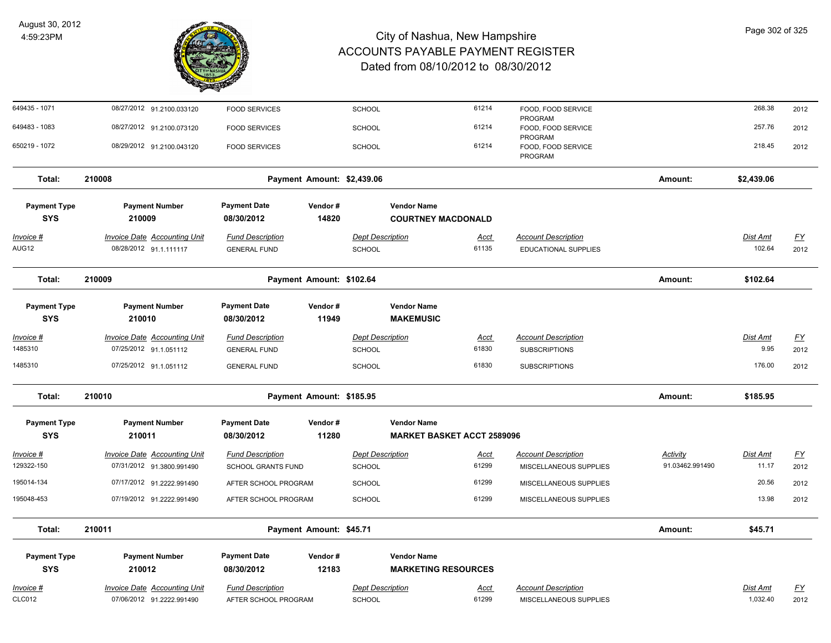

| 649435 - 1071                     | 08/27/2012 91.2100.033120                                        | <b>FOOD SERVICES</b>                            |                            | <b>SCHOOL</b>                     |                                                  | 61214                | FOOD, FOOD SERVICE<br>PROGRAM                        |                 | 268.38               | 2012                      |
|-----------------------------------|------------------------------------------------------------------|-------------------------------------------------|----------------------------|-----------------------------------|--------------------------------------------------|----------------------|------------------------------------------------------|-----------------|----------------------|---------------------------|
| 649483 - 1083                     | 08/27/2012 91.2100.073120                                        | <b>FOOD SERVICES</b>                            |                            | <b>SCHOOL</b>                     |                                                  | 61214                | FOOD, FOOD SERVICE<br>PROGRAM                        |                 | 257.76               | 2012                      |
| 650219 - 1072                     | 08/29/2012 91.2100.043120                                        | <b>FOOD SERVICES</b>                            |                            | SCHOOL                            |                                                  | 61214                | FOOD, FOOD SERVICE<br>PROGRAM                        |                 | 218.45               | 2012                      |
| Total:                            | 210008                                                           |                                                 | Payment Amount: \$2,439.06 |                                   |                                                  |                      |                                                      | Amount:         | \$2,439.06           |                           |
| <b>Payment Type</b>               | <b>Payment Number</b>                                            | <b>Payment Date</b>                             | Vendor#                    |                                   | <b>Vendor Name</b>                               |                      |                                                      |                 |                      |                           |
| <b>SYS</b>                        | 210009                                                           | 08/30/2012                                      | 14820                      |                                   | <b>COURTNEY MACDONALD</b>                        |                      |                                                      |                 |                      |                           |
| <u> Invoice #</u>                 | <b>Invoice Date Accounting Unit</b>                              | <b>Fund Description</b>                         |                            | <b>Dept Description</b>           |                                                  | <b>Acct</b>          | <b>Account Description</b>                           |                 | Dist Amt             | <u>FY</u>                 |
| AUG12                             | 08/28/2012 91.1.111117                                           | <b>GENERAL FUND</b>                             |                            | SCHOOL                            |                                                  | 61135                | <b>EDUCATIONAL SUPPLIES</b>                          |                 | 102.64               | 2012                      |
| Total:                            | 210009                                                           |                                                 | Payment Amount: \$102.64   |                                   |                                                  |                      |                                                      | Amount:         | \$102.64             |                           |
| <b>Payment Type</b>               | <b>Payment Number</b>                                            | <b>Payment Date</b>                             | Vendor#                    |                                   | <b>Vendor Name</b>                               |                      |                                                      |                 |                      |                           |
| <b>SYS</b>                        | 210010                                                           | 08/30/2012                                      | 11949                      |                                   | <b>MAKEMUSIC</b>                                 |                      |                                                      |                 |                      |                           |
| Invoice #                         | <b>Invoice Date Accounting Unit</b>                              | <b>Fund Description</b>                         |                            | <b>Dept Description</b>           |                                                  | <u>Acct</u>          | <b>Account Description</b>                           |                 | Dist Amt             | <u>FY</u>                 |
| 1485310                           | 07/25/2012 91.1.051112                                           | <b>GENERAL FUND</b>                             |                            | SCHOOL                            |                                                  | 61830                | <b>SUBSCRIPTIONS</b>                                 |                 | 9.95                 | 2012                      |
| 1485310                           | 07/25/2012 91.1.051112                                           | <b>GENERAL FUND</b>                             |                            | SCHOOL                            |                                                  | 61830                | <b>SUBSCRIPTIONS</b>                                 |                 | 176.00               | 2012                      |
| Total:                            | 210010                                                           |                                                 | Payment Amount: \$185.95   |                                   |                                                  |                      |                                                      | Amount:         | \$185.95             |                           |
| <b>Payment Type</b>               | <b>Payment Number</b>                                            | <b>Payment Date</b>                             | Vendor#                    |                                   | <b>Vendor Name</b>                               |                      |                                                      |                 |                      |                           |
| <b>SYS</b>                        | 210011                                                           | 08/30/2012                                      | 11280                      |                                   | <b>MARKET BASKET ACCT 2589096</b>                |                      |                                                      |                 |                      |                           |
| <u> Invoice #</u>                 | <b>Invoice Date Accounting Unit</b>                              | <b>Fund Description</b>                         |                            | <b>Dept Description</b>           |                                                  | <u>Acct</u>          | <b>Account Description</b>                           | <b>Activity</b> | <u>Dist Amt</u>      | $\underline{\mathsf{FY}}$ |
| 129322-150                        | 07/31/2012 91.3800.991490                                        | <b>SCHOOL GRANTS FUND</b>                       |                            | <b>SCHOOL</b>                     |                                                  | 61299                | MISCELLANEOUS SUPPLIES                               | 91.03462.991490 | 11.17                | 2012                      |
| 195014-134                        | 07/17/2012 91.2222.991490                                        | AFTER SCHOOL PROGRAM                            |                            | <b>SCHOOL</b>                     |                                                  | 61299                | MISCELLANEOUS SUPPLIES                               |                 | 20.56                | 2012                      |
| 195048-453                        | 07/19/2012 91.2222.991490                                        | AFTER SCHOOL PROGRAM                            |                            | <b>SCHOOL</b>                     |                                                  | 61299                | MISCELLANEOUS SUPPLIES                               |                 | 13.98                | 2012                      |
| Total:                            | 210011                                                           |                                                 | Payment Amount: \$45.71    |                                   |                                                  |                      |                                                      | Amount:         | \$45.71              |                           |
| <b>Payment Type</b><br><b>SYS</b> | <b>Payment Number</b><br>210012                                  | <b>Payment Date</b><br>08/30/2012               | Vendor#<br>12183           |                                   | <b>Vendor Name</b><br><b>MARKETING RESOURCES</b> |                      |                                                      |                 |                      |                           |
| <u>Invoice #</u><br><b>CLC012</b> | <b>Invoice Date Accounting Unit</b><br>07/06/2012 91.2222.991490 | <b>Fund Description</b><br>AFTER SCHOOL PROGRAM |                            | <b>Dept Description</b><br>SCHOOL |                                                  | <u>Acct</u><br>61299 | <b>Account Description</b><br>MISCELLANEOUS SUPPLIES |                 | Dist Amt<br>1,032.40 | <u>FY</u><br>2012         |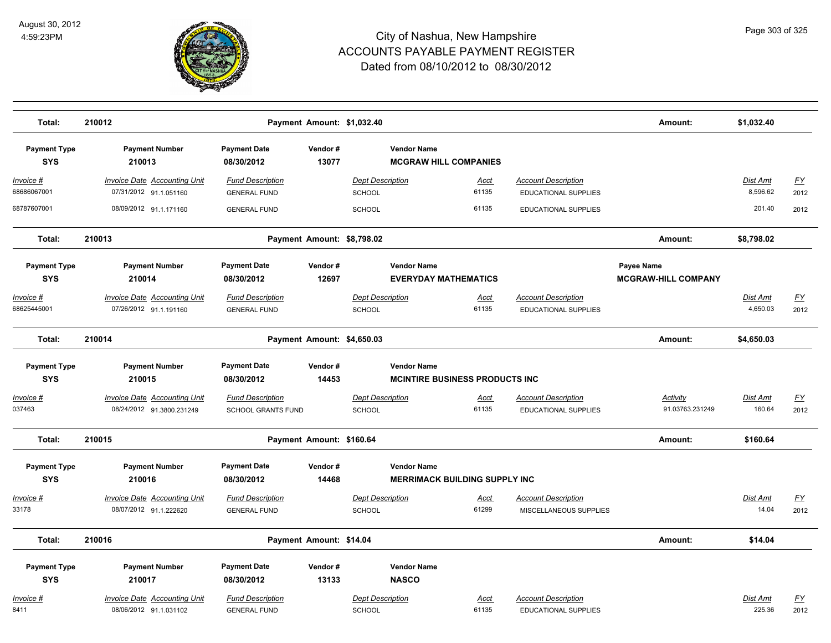

| Total:                            | 210012                                                           |                                                      |                          | Payment Amount: \$1,032.40                                   |                      |                                                           | Amount:                                         | \$1,032.40                  |                   |
|-----------------------------------|------------------------------------------------------------------|------------------------------------------------------|--------------------------|--------------------------------------------------------------|----------------------|-----------------------------------------------------------|-------------------------------------------------|-----------------------------|-------------------|
| <b>Payment Type</b><br><b>SYS</b> | <b>Payment Number</b><br>210013                                  | <b>Payment Date</b><br>08/30/2012                    | Vendor#<br>13077         | <b>Vendor Name</b><br><b>MCGRAW HILL COMPANIES</b>           |                      |                                                           |                                                 |                             |                   |
| Invoice #<br>68686067001          | <b>Invoice Date Accounting Unit</b><br>07/31/2012 91.1.051160    | <b>Fund Description</b><br><b>GENERAL FUND</b>       |                          | <b>Dept Description</b><br>SCHOOL                            | <u>Acct</u><br>61135 | <b>Account Description</b><br><b>EDUCATIONAL SUPPLIES</b> |                                                 | <b>Dist Amt</b><br>8,596.62 | <u>FY</u><br>2012 |
| 68787607001                       | 08/09/2012 91.1.171160                                           | <b>GENERAL FUND</b>                                  |                          | SCHOOL                                                       | 61135                | EDUCATIONAL SUPPLIES                                      |                                                 | 201.40                      | 2012              |
| Total:                            | 210013                                                           |                                                      |                          | Payment Amount: \$8,798.02                                   |                      |                                                           | Amount:                                         | \$8,798.02                  |                   |
| <b>Payment Type</b><br><b>SYS</b> | <b>Payment Number</b><br>210014                                  | <b>Payment Date</b><br>08/30/2012                    | Vendor#<br>12697         | <b>Vendor Name</b><br><b>EVERYDAY MATHEMATICS</b>            |                      |                                                           | <b>Payee Name</b><br><b>MCGRAW-HILL COMPANY</b> |                             |                   |
| Invoice #<br>68625445001          | <b>Invoice Date Accounting Unit</b><br>07/26/2012 91.1.191160    | <b>Fund Description</b><br><b>GENERAL FUND</b>       |                          | <b>Dept Description</b><br>SCHOOL                            | Acct<br>61135        | <b>Account Description</b><br>EDUCATIONAL SUPPLIES        |                                                 | <b>Dist Amt</b><br>4,650.03 | <u>FY</u><br>2012 |
| Total:                            | 210014                                                           |                                                      |                          | Payment Amount: \$4,650.03                                   |                      |                                                           | Amount:                                         | \$4,650.03                  |                   |
| <b>Payment Type</b><br><b>SYS</b> | <b>Payment Number</b><br>210015                                  | <b>Payment Date</b><br>08/30/2012                    | Vendor#<br>14453         | <b>Vendor Name</b><br><b>MCINTIRE BUSINESS PRODUCTS INC.</b> |                      |                                                           |                                                 |                             |                   |
| <u> Invoice #</u><br>037463       | <b>Invoice Date Accounting Unit</b><br>08/24/2012 91.3800.231249 | <b>Fund Description</b><br><b>SCHOOL GRANTS FUND</b> |                          | <b>Dept Description</b><br><b>SCHOOL</b>                     | Acct<br>61135        | <b>Account Description</b><br><b>EDUCATIONAL SUPPLIES</b> | <b>Activity</b><br>91.03763.231249              | Dist Amt<br>160.64          | EY<br>2012        |
| Total:                            | 210015                                                           |                                                      | Payment Amount: \$160.64 |                                                              |                      |                                                           | Amount:                                         | \$160.64                    |                   |
| <b>Payment Type</b><br><b>SYS</b> | <b>Payment Number</b><br>210016                                  | <b>Payment Date</b><br>08/30/2012                    | Vendor#<br>14468         | <b>Vendor Name</b><br><b>MERRIMACK BUILDING SUPPLY INC</b>   |                      |                                                           |                                                 |                             |                   |
| <u> Invoice #</u><br>33178        | <b>Invoice Date Accounting Unit</b><br>08/07/2012 91.1.222620    | <b>Fund Description</b><br><b>GENERAL FUND</b>       |                          | <b>Dept Description</b><br><b>SCHOOL</b>                     | <b>Acct</b><br>61299 | <b>Account Description</b><br>MISCELLANEOUS SUPPLIES      |                                                 | Dist Amt<br>14.04           | <u>FY</u><br>2012 |
| Total:                            | 210016                                                           |                                                      | Payment Amount: \$14.04  |                                                              |                      |                                                           | Amount:                                         | \$14.04                     |                   |
| <b>Payment Type</b><br><b>SYS</b> | <b>Payment Number</b><br>210017                                  | <b>Payment Date</b><br>08/30/2012                    | Vendor#<br>13133         | <b>Vendor Name</b><br><b>NASCO</b>                           |                      |                                                           |                                                 |                             |                   |
| <u>Invoice #</u><br>8411          | <b>Invoice Date Accounting Unit</b><br>08/06/2012 91.1.031102    | <b>Fund Description</b><br><b>GENERAL FUND</b>       |                          | <b>Dept Description</b><br>SCHOOL                            | Acct<br>61135        | <b>Account Description</b><br><b>EDUCATIONAL SUPPLIES</b> |                                                 | Dist Amt<br>225.36          | <u>FY</u><br>2012 |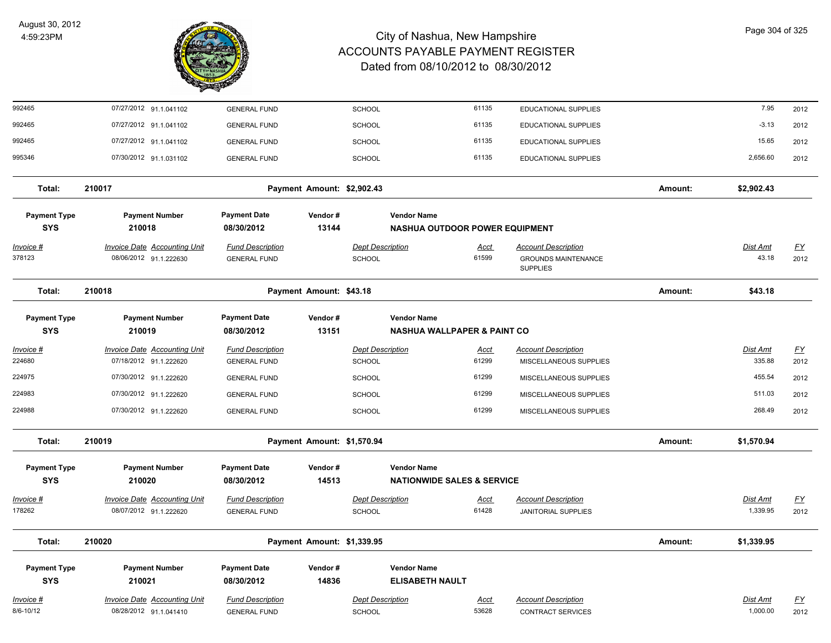

| 992465                            | 07/27/2012 91.1.041102                                        | <b>GENERAL FUND</b>                            |                            | <b>SCHOOL</b>                            |                                                              | 61135                | EDUCATIONAL SUPPLIES                                                        |         | 7.95                     | 2012                      |
|-----------------------------------|---------------------------------------------------------------|------------------------------------------------|----------------------------|------------------------------------------|--------------------------------------------------------------|----------------------|-----------------------------------------------------------------------------|---------|--------------------------|---------------------------|
| 992465                            | 07/27/2012 91.1.041102                                        | <b>GENERAL FUND</b>                            |                            | <b>SCHOOL</b>                            |                                                              | 61135                | EDUCATIONAL SUPPLIES                                                        |         | $-3.13$                  | 2012                      |
| 992465                            | 07/27/2012 91.1.041102                                        | <b>GENERAL FUND</b>                            |                            | <b>SCHOOL</b>                            |                                                              | 61135                | EDUCATIONAL SUPPLIES                                                        |         | 15.65                    | 2012                      |
| 995346                            | 07/30/2012 91.1.031102                                        | <b>GENERAL FUND</b>                            |                            | <b>SCHOOL</b>                            |                                                              | 61135                | EDUCATIONAL SUPPLIES                                                        |         | 2,656.60                 | 2012                      |
| Total:                            | 210017                                                        |                                                | Payment Amount: \$2,902.43 |                                          |                                                              |                      |                                                                             | Amount: | \$2,902.43               |                           |
| <b>Payment Type</b><br><b>SYS</b> | <b>Payment Number</b><br>210018                               | <b>Payment Date</b><br>08/30/2012              | Vendor#<br>13144           |                                          | <b>Vendor Name</b><br><b>NASHUA OUTDOOR POWER EQUIPMENT</b>  |                      |                                                                             |         |                          |                           |
| <u>Invoice #</u><br>378123        | <b>Invoice Date Accounting Unit</b><br>08/06/2012 91.1.222630 | <b>Fund Description</b><br><b>GENERAL FUND</b> |                            | <b>Dept Description</b><br><b>SCHOOL</b> |                                                              | <u>Acct</u><br>61599 | <b>Account Description</b><br><b>GROUNDS MAINTENANCE</b><br><b>SUPPLIES</b> |         | <b>Dist Amt</b><br>43.18 | <u>FY</u><br>2012         |
| Total:                            | 210018                                                        |                                                | Payment Amount: \$43.18    |                                          |                                                              |                      |                                                                             | Amount: | \$43.18                  |                           |
| <b>Payment Type</b><br><b>SYS</b> | <b>Payment Number</b><br>210019                               | <b>Payment Date</b><br>08/30/2012              | Vendor#<br>13151           |                                          | <b>Vendor Name</b><br><b>NASHUA WALLPAPER &amp; PAINT CO</b> |                      |                                                                             |         |                          |                           |
| Invoice #                         | <b>Invoice Date Accounting Unit</b>                           | <b>Fund Description</b>                        |                            | <b>Dept Description</b>                  |                                                              | Acct                 | <b>Account Description</b>                                                  |         | Dist Amt                 | <u>FY</u>                 |
| 224680                            | 07/18/2012 91.1.222620                                        | <b>GENERAL FUND</b>                            |                            | <b>SCHOOL</b>                            |                                                              | 61299                | MISCELLANEOUS SUPPLIES                                                      |         | 335.88                   | 2012                      |
| 224975                            | 07/30/2012 91.1.222620                                        | <b>GENERAL FUND</b>                            |                            | <b>SCHOOL</b>                            |                                                              | 61299                | MISCELLANEOUS SUPPLIES                                                      |         | 455.54                   | 2012                      |
| 224983                            | 07/30/2012 91.1.222620                                        | <b>GENERAL FUND</b>                            |                            | <b>SCHOOL</b>                            |                                                              | 61299                | MISCELLANEOUS SUPPLIES                                                      |         | 511.03                   | 2012                      |
| 224988                            | 07/30/2012 91.1.222620                                        | <b>GENERAL FUND</b>                            |                            | SCHOOL                                   |                                                              | 61299                | MISCELLANEOUS SUPPLIES                                                      |         | 268.49                   | 2012                      |
| Total:                            | 210019                                                        |                                                | Payment Amount: \$1,570.94 |                                          |                                                              |                      |                                                                             | Amount: | \$1,570.94               |                           |
| <b>Payment Type</b>               | <b>Payment Number</b>                                         | <b>Payment Date</b>                            | Vendor#                    |                                          | <b>Vendor Name</b>                                           |                      |                                                                             |         |                          |                           |
| <b>SYS</b>                        | 210020                                                        | 08/30/2012                                     | 14513                      |                                          | <b>NATIONWIDE SALES &amp; SERVICE</b>                        |                      |                                                                             |         |                          |                           |
| <u>Invoice #</u>                  | <b>Invoice Date Accounting Unit</b>                           | <b>Fund Description</b>                        |                            | <b>Dept Description</b>                  |                                                              | Acct                 | <b>Account Description</b>                                                  |         | Dist Amt                 | $\underline{\mathsf{FY}}$ |
| 178262                            | 08/07/2012 91.1.222620                                        | <b>GENERAL FUND</b>                            |                            | <b>SCHOOL</b>                            |                                                              | 61428                | <b>JANITORIAL SUPPLIES</b>                                                  |         | 1,339.95                 | 2012                      |
| Total:                            | 210020                                                        |                                                | Payment Amount: \$1,339.95 |                                          |                                                              |                      |                                                                             | Amount: | \$1,339.95               |                           |
| <b>Payment Type</b>               | <b>Payment Number</b>                                         | <b>Payment Date</b>                            | Vendor#                    |                                          | <b>Vendor Name</b>                                           |                      |                                                                             |         |                          |                           |
| <b>SYS</b>                        | 210021                                                        | 08/30/2012                                     | 14836                      |                                          | <b>ELISABETH NAULT</b>                                       |                      |                                                                             |         |                          |                           |
| <u>Invoice #</u>                  | <b>Invoice Date Accounting Unit</b>                           | <b>Fund Description</b>                        |                            | <b>Dept Description</b>                  |                                                              | <u>Acct</u>          | <b>Account Description</b>                                                  |         | Dist Amt                 | <u>FY</u>                 |
| 8/6-10/12                         | 08/28/2012 91.1.041410                                        | <b>GENERAL FUND</b>                            |                            | <b>SCHOOL</b>                            |                                                              | 53628                | <b>CONTRACT SERVICES</b>                                                    |         | 1,000.00                 | 2012                      |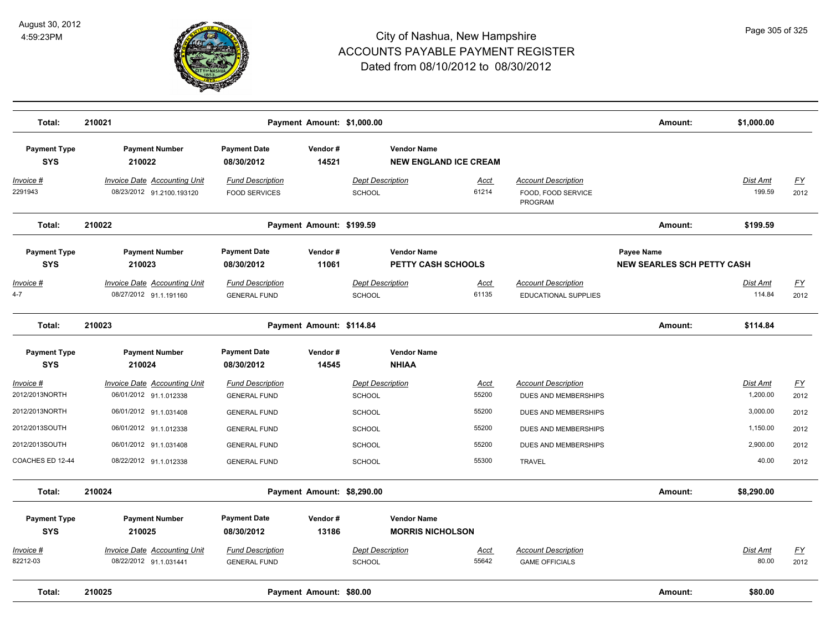

| Total:                            | 210021                                                           |                                                 | Payment Amount: \$1,000.00 |                                                 |                              |                                                             | Amount:                                         | \$1,000.00           |                                   |
|-----------------------------------|------------------------------------------------------------------|-------------------------------------------------|----------------------------|-------------------------------------------------|------------------------------|-------------------------------------------------------------|-------------------------------------------------|----------------------|-----------------------------------|
| <b>Payment Type</b><br><b>SYS</b> | <b>Payment Number</b><br>210022                                  | <b>Payment Date</b><br>08/30/2012               | Vendor#<br>14521           | <b>Vendor Name</b>                              | <b>NEW ENGLAND ICE CREAM</b> |                                                             |                                                 |                      |                                   |
| Invoice #<br>2291943              | <b>Invoice Date Accounting Unit</b><br>08/23/2012 91.2100.193120 | <b>Fund Description</b><br><b>FOOD SERVICES</b> |                            | <b>Dept Description</b><br><b>SCHOOL</b>        | Acct<br>61214                | <b>Account Description</b><br>FOOD, FOOD SERVICE<br>PROGRAM |                                                 | Dist Amt<br>199.59   | <u>FY</u><br>2012                 |
| Total:                            | 210022                                                           |                                                 | Payment Amount: \$199.59   |                                                 |                              |                                                             | Amount:                                         | \$199.59             |                                   |
| <b>Payment Type</b><br><b>SYS</b> | <b>Payment Number</b><br>210023                                  | <b>Payment Date</b><br>08/30/2012               | Vendor#<br>11061           | <b>Vendor Name</b><br><b>PETTY CASH SCHOOLS</b> |                              |                                                             | Payee Name<br><b>NEW SEARLES SCH PETTY CASH</b> |                      |                                   |
| Invoice #<br>$4 - 7$              | Invoice Date Accounting Unit<br>08/27/2012 91.1.191160           | <b>Fund Description</b><br><b>GENERAL FUND</b>  |                            | <b>Dept Description</b><br><b>SCHOOL</b>        | Acct<br>61135                | <b>Account Description</b><br>EDUCATIONAL SUPPLIES          |                                                 | Dist Amt<br>114.84   | $\underline{\mathsf{FY}}$<br>2012 |
| Total:                            | 210023                                                           |                                                 | Payment Amount: \$114.84   |                                                 |                              |                                                             | Amount:                                         | \$114.84             |                                   |
| <b>Payment Type</b><br><b>SYS</b> | <b>Payment Number</b><br>210024                                  | <b>Payment Date</b><br>08/30/2012               | Vendor#<br>14545           | <b>Vendor Name</b><br><b>NHIAA</b>              |                              |                                                             |                                                 |                      |                                   |
| Invoice #<br>2012/2013NORTH       | Invoice Date Accounting Unit<br>06/01/2012 91.1.012338           | <b>Fund Description</b><br><b>GENERAL FUND</b>  |                            | <b>Dept Description</b><br>SCHOOL               | Acct<br>55200                | <b>Account Description</b><br>DUES AND MEMBERSHIPS          |                                                 | Dist Amt<br>1,200.00 | $\underline{\mathsf{FY}}$<br>2012 |
| 2012/2013NORTH                    | 06/01/2012 91.1.031408                                           | <b>GENERAL FUND</b>                             |                            | <b>SCHOOL</b>                                   | 55200                        | DUES AND MEMBERSHIPS                                        |                                                 | 3,000.00             | 2012                              |
| 2012/2013SOUTH                    | 06/01/2012 91.1.012338                                           | <b>GENERAL FUND</b>                             |                            | <b>SCHOOL</b>                                   | 55200                        | DUES AND MEMBERSHIPS                                        |                                                 | 1,150.00             | 2012                              |
| 2012/2013SOUTH                    | 06/01/2012 91.1.031408                                           | <b>GENERAL FUND</b>                             |                            | <b>SCHOOL</b>                                   | 55200                        | <b>DUES AND MEMBERSHIPS</b>                                 |                                                 | 2,900.00             | 2012                              |
| COACHES ED 12-44                  | 08/22/2012 91.1.012338                                           | <b>GENERAL FUND</b>                             |                            | <b>SCHOOL</b>                                   | 55300                        | <b>TRAVEL</b>                                               |                                                 | 40.00                | 2012                              |
| Total:                            | 210024                                                           |                                                 | Payment Amount: \$8,290.00 |                                                 |                              |                                                             | Amount:                                         | \$8,290.00           |                                   |
| <b>Payment Type</b><br><b>SYS</b> | <b>Payment Number</b><br>210025                                  | <b>Payment Date</b><br>08/30/2012               | Vendor#<br>13186           | <b>Vendor Name</b><br><b>MORRIS NICHOLSON</b>   |                              |                                                             |                                                 |                      |                                   |
| Invoice #<br>82212-03             | Invoice Date Accounting Unit<br>08/22/2012 91.1.031441           | <b>Fund Description</b><br><b>GENERAL FUND</b>  |                            | <b>Dept Description</b><br><b>SCHOOL</b>        | Acct<br>55642                | <b>Account Description</b><br><b>GAME OFFICIALS</b>         |                                                 | Dist Amt<br>80.00    | EY<br>2012                        |
| Total:                            | 210025                                                           |                                                 | Payment Amount: \$80.00    |                                                 |                              |                                                             | Amount:                                         | \$80.00              |                                   |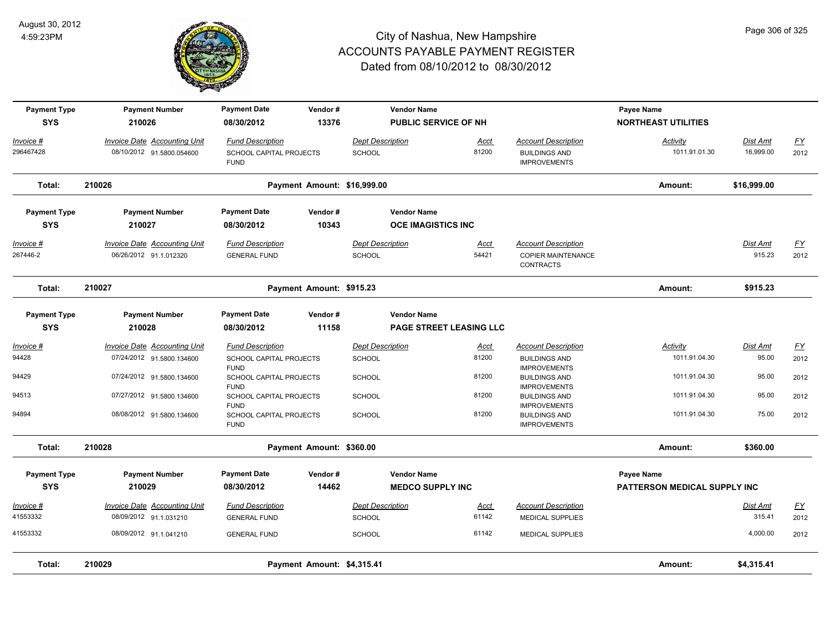

| <b>Payment Type</b><br><b>SYS</b> | <b>Payment Number</b><br>210026                               | <b>Payment Date</b><br>08/30/2012                                 | Vendor#<br>13376            |                                   | <b>Vendor Name</b><br><b>PUBLIC SERVICE OF NH</b>    |                                                                             | Payee Name<br><b>NORTHEAST UTILITIES</b>   |                           |                          |
|-----------------------------------|---------------------------------------------------------------|-------------------------------------------------------------------|-----------------------------|-----------------------------------|------------------------------------------------------|-----------------------------------------------------------------------------|--------------------------------------------|---------------------------|--------------------------|
| Invoice #<br>296467428            | Invoice Date Accounting Unit<br>08/10/2012 91.5800.054600     | <b>Fund Description</b><br>SCHOOL CAPITAL PROJECTS<br><b>FUND</b> |                             | <b>Dept Description</b><br>SCHOOL | Acct<br>81200                                        | <b>Account Description</b><br><b>BUILDINGS AND</b><br><b>IMPROVEMENTS</b>   | Activity<br>1011.91.01.30                  | Dist Amt<br>16,999.00     | $\underline{FY}$<br>2012 |
| Total:                            | 210026                                                        |                                                                   | Payment Amount: \$16,999.00 |                                   |                                                      |                                                                             | Amount:                                    | \$16,999.00               |                          |
| <b>Payment Type</b><br><b>SYS</b> | <b>Payment Number</b><br>210027                               | <b>Payment Date</b><br>08/30/2012                                 | Vendor#<br>10343            |                                   | <b>Vendor Name</b><br><b>OCE IMAGISTICS INC</b>      |                                                                             |                                            |                           |                          |
| <u>Invoice #</u><br>267446-2      | <b>Invoice Date Accounting Unit</b><br>06/26/2012 91.1.012320 | <b>Fund Description</b><br><b>GENERAL FUND</b>                    |                             | <b>Dept Description</b><br>SCHOOL | <u>Acct</u><br>54421                                 | <b>Account Description</b><br><b>COPIER MAINTENANCE</b><br><b>CONTRACTS</b> |                                            | <b>Dist Amt</b><br>915.23 | <u>FY</u><br>2012        |
| Total:                            | 210027                                                        |                                                                   | Payment Amount: \$915.23    |                                   |                                                      |                                                                             | Amount:                                    | \$915.23                  |                          |
| <b>Payment Type</b><br><b>SYS</b> | <b>Payment Number</b><br>210028                               | <b>Payment Date</b><br>08/30/2012                                 | Vendor#<br>11158            |                                   | <b>Vendor Name</b><br><b>PAGE STREET LEASING LLC</b> |                                                                             |                                            |                           |                          |
| Invoice #                         | Invoice Date Accounting Unit                                  | <b>Fund Description</b>                                           |                             | <b>Dept Description</b>           | Acct                                                 | <b>Account Description</b>                                                  | Activity                                   | Dist Amt                  | $\underline{FY}$         |
| 94428                             | 07/24/2012 91.5800.134600                                     | SCHOOL CAPITAL PROJECTS<br><b>FUND</b>                            |                             | SCHOOL                            | 81200                                                | <b>BUILDINGS AND</b><br><b>IMPROVEMENTS</b>                                 | 1011.91.04.30                              | 95.00                     | 2012                     |
| 94429                             | 07/24/2012 91.5800.134600                                     | SCHOOL CAPITAL PROJECTS<br><b>FUND</b>                            |                             | SCHOOL                            | 81200                                                | <b>BUILDINGS AND</b><br><b>IMPROVEMENTS</b>                                 | 1011.91.04.30                              | 95.00                     | 2012                     |
| 94513                             | 07/27/2012 91.5800.134600                                     | <b>SCHOOL CAPITAL PROJECTS</b><br><b>FUND</b>                     |                             | <b>SCHOOL</b>                     | 81200                                                | <b>BUILDINGS AND</b><br><b>IMPROVEMENTS</b>                                 | 1011.91.04.30                              | 95.00                     | 2012                     |
| 94894                             | 08/08/2012 91.5800.134600                                     | SCHOOL CAPITAL PROJECTS<br><b>FUND</b>                            |                             | <b>SCHOOL</b>                     | 81200                                                | <b>BUILDINGS AND</b><br><b>IMPROVEMENTS</b>                                 | 1011.91.04.30                              | 75.00                     | 2012                     |
| Total:                            | 210028                                                        |                                                                   | Payment Amount: \$360.00    |                                   |                                                      |                                                                             | Amount:                                    | \$360.00                  |                          |
| <b>Payment Type</b><br><b>SYS</b> | <b>Payment Number</b><br>210029                               | <b>Payment Date</b><br>08/30/2012                                 | Vendor#<br>14462            |                                   | <b>Vendor Name</b><br><b>MEDCO SUPPLY INC</b>        |                                                                             | Payee Name<br>PATTERSON MEDICAL SUPPLY INC |                           |                          |
|                                   |                                                               |                                                                   |                             |                                   |                                                      |                                                                             |                                            |                           |                          |
| Invoice #<br>41553332             | <b>Invoice Date Accounting Unit</b><br>08/09/2012 91.1.031210 | <b>Fund Description</b><br><b>GENERAL FUND</b>                    |                             | <b>Dept Description</b><br>SCHOOL | <u>Acct</u><br>61142                                 | <b>Account Description</b><br><b>MEDICAL SUPPLIES</b>                       |                                            | Dist Amt<br>315.41        | $\underline{FY}$<br>2012 |
| 41553332                          | 08/09/2012 91.1.041210                                        | <b>GENERAL FUND</b>                                               |                             | SCHOOL                            | 61142                                                | <b>MEDICAL SUPPLIES</b>                                                     |                                            | 4,000.00                  | 2012                     |
| Total:                            | 210029                                                        |                                                                   | Payment Amount: \$4,315.41  |                                   |                                                      |                                                                             | Amount:                                    | \$4,315.41                |                          |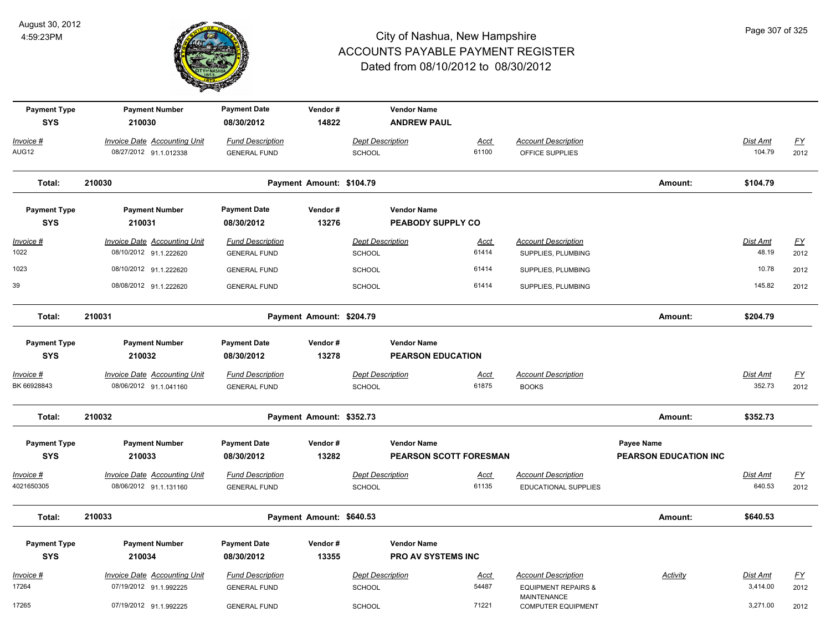

| <b>Payment Type</b><br><b>SYS</b> | <b>Payment Number</b><br>210030                               | <b>Payment Date</b><br>08/30/2012              | Vendor#<br>14822         |                                   | <b>Vendor Name</b><br><b>ANDREW PAUL</b>       |                      |                                                  |                              |                          |                  |
|-----------------------------------|---------------------------------------------------------------|------------------------------------------------|--------------------------|-----------------------------------|------------------------------------------------|----------------------|--------------------------------------------------|------------------------------|--------------------------|------------------|
| Invoice #<br>AUG12                | Invoice Date Accounting Unit<br>08/27/2012 91.1.012338        | <b>Fund Description</b><br><b>GENERAL FUND</b> |                          | <b>Dept Description</b><br>SCHOOL |                                                | Acct<br>61100        | <b>Account Description</b><br>OFFICE SUPPLIES    |                              | Dist Amt<br>104.79       | EY<br>2012       |
| Total:                            | 210030                                                        |                                                | Payment Amount: \$104.79 |                                   |                                                |                      |                                                  | Amount:                      | \$104.79                 |                  |
| <b>Payment Type</b>               | <b>Payment Number</b>                                         | <b>Payment Date</b>                            | Vendor#                  |                                   | <b>Vendor Name</b>                             |                      |                                                  |                              |                          |                  |
| <b>SYS</b>                        | 210031                                                        | 08/30/2012                                     | 13276                    |                                   | PEABODY SUPPLY CO                              |                      |                                                  |                              |                          |                  |
| $Invoice$ #<br>1022               | <b>Invoice Date Accounting Unit</b><br>08/10/2012 91.1.222620 | <b>Fund Description</b><br><b>GENERAL FUND</b> |                          | <b>Dept Description</b><br>SCHOOL |                                                | <u>Acct</u><br>61414 | <b>Account Description</b><br>SUPPLIES, PLUMBING |                              | <u>Dist Amt</u><br>48.19 | EY<br>2012       |
| 1023                              | 08/10/2012 91.1.222620                                        | <b>GENERAL FUND</b>                            |                          | <b>SCHOOL</b>                     |                                                | 61414                | SUPPLIES, PLUMBING                               |                              | 10.78                    | 2012             |
| 39                                | 08/08/2012 91.1.222620                                        | <b>GENERAL FUND</b>                            |                          | SCHOOL                            |                                                | 61414                | SUPPLIES, PLUMBING                               |                              | 145.82                   | 2012             |
| Total:                            | 210031                                                        |                                                | Payment Amount: \$204.79 |                                   |                                                |                      |                                                  | Amount:                      | \$204.79                 |                  |
| <b>Payment Type</b><br><b>SYS</b> | <b>Payment Number</b><br>210032                               | <b>Payment Date</b><br>08/30/2012              | Vendor#<br>13278         |                                   | <b>Vendor Name</b><br><b>PEARSON EDUCATION</b> |                      |                                                  |                              |                          |                  |
| Invoice #                         | Invoice Date Accounting Unit                                  | <b>Fund Description</b>                        |                          | <b>Dept Description</b>           |                                                | Acct                 | <b>Account Description</b>                       |                              | Dist Amt                 | $\underline{FY}$ |
| BK 66928843                       | 08/06/2012 91.1.041160                                        | <b>GENERAL FUND</b>                            |                          | SCHOOL                            |                                                | 61875                | <b>BOOKS</b>                                     |                              | 352.73                   | 2012             |
| Total:                            | 210032                                                        |                                                | Payment Amount: \$352.73 |                                   |                                                |                      |                                                  | Amount:                      | \$352.73                 |                  |
| <b>Payment Type</b>               | <b>Payment Number</b>                                         | <b>Payment Date</b>                            | Vendor#                  |                                   | <b>Vendor Name</b>                             |                      |                                                  | Payee Name                   |                          |                  |
| <b>SYS</b>                        | 210033                                                        | 08/30/2012                                     | 13282                    |                                   | <b>PEARSON SCOTT FORESMAN</b>                  |                      |                                                  | <b>PEARSON EDUCATION INC</b> |                          |                  |
| Invoice #                         | <b>Invoice Date Accounting Unit</b>                           | <b>Fund Description</b>                        |                          | <b>Dept Description</b>           |                                                | Acct                 | <b>Account Description</b>                       |                              | Dist Amt                 | $\underline{FY}$ |
| 4021650305                        | 08/06/2012 91.1.131160                                        | <b>GENERAL FUND</b>                            |                          | SCHOOL                            |                                                | 61135                | EDUCATIONAL SUPPLIES                             |                              | 640.53                   | 2012             |
| Total:                            | 210033                                                        |                                                | Payment Amount: \$640.53 |                                   |                                                |                      |                                                  | Amount:                      | \$640.53                 |                  |
| <b>Payment Type</b>               | <b>Payment Number</b>                                         | <b>Payment Date</b>                            | Vendor#                  |                                   | <b>Vendor Name</b>                             |                      |                                                  |                              |                          |                  |
| <b>SYS</b>                        | 210034                                                        | 08/30/2012                                     | 13355                    |                                   | <b>PRO AV SYSTEMS INC</b>                      |                      |                                                  |                              |                          |                  |
| Invoice #                         | <b>Invoice Date Accounting Unit</b>                           | <b>Fund Description</b>                        |                          | <b>Dept Description</b>           |                                                | <u>Acct</u>          | <b>Account Description</b>                       | <b>Activity</b>              | Dist Amt                 | $\underline{FY}$ |
| 17264                             | 07/19/2012 91.1.992225                                        | <b>GENERAL FUND</b>                            |                          | <b>SCHOOL</b>                     |                                                | 54487                | <b>EQUIPMENT REPAIRS &amp;</b>                   |                              | 3,414.00                 | 2012             |
| 17265                             | 07/19/2012 91.1.992225                                        | <b>GENERAL FUND</b>                            |                          | SCHOOL                            |                                                | 71221                | <b>MAINTENANCE</b><br><b>COMPUTER EQUIPMENT</b>  |                              | 3,271.00                 | 2012             |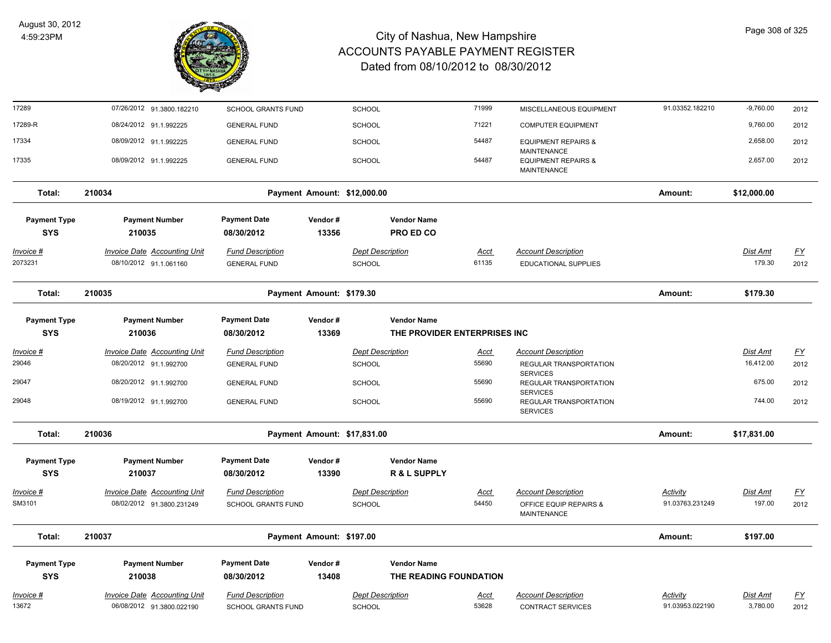

| 17289                             | 07/26/2012 91.3800.182210                                        | <b>SCHOOL GRANTS FUND</b>                            |                          | <b>SCHOOL</b>                            |                                                    | 71999                | MISCELLANEOUS EQUIPMENT                                                    | 91.03352.182210             | $-9,760.00$          | 2012              |
|-----------------------------------|------------------------------------------------------------------|------------------------------------------------------|--------------------------|------------------------------------------|----------------------------------------------------|----------------------|----------------------------------------------------------------------------|-----------------------------|----------------------|-------------------|
| 17289-R                           | 08/24/2012 91.1.992225                                           | <b>GENERAL FUND</b>                                  |                          | <b>SCHOOL</b>                            |                                                    | 71221                | <b>COMPUTER EQUIPMENT</b>                                                  |                             | 9,760.00             | 2012              |
| 17334                             | 08/09/2012 91.1.992225                                           | <b>GENERAL FUND</b>                                  |                          | <b>SCHOOL</b>                            |                                                    | 54487                | <b>EQUIPMENT REPAIRS &amp;</b>                                             |                             | 2,658.00             | 2012              |
| 17335                             | 08/09/2012 91.1.992225                                           | <b>GENERAL FUND</b>                                  |                          | <b>SCHOOL</b>                            |                                                    | 54487                | <b>MAINTENANCE</b><br><b>EQUIPMENT REPAIRS &amp;</b><br><b>MAINTENANCE</b> |                             | 2,657.00             | 2012              |
| Total:                            | 210034                                                           |                                                      |                          | Payment Amount: \$12,000.00              |                                                    |                      |                                                                            | Amount:                     | \$12,000.00          |                   |
| <b>Payment Type</b>               | <b>Payment Number</b>                                            | <b>Payment Date</b>                                  | Vendor#                  |                                          | <b>Vendor Name</b>                                 |                      |                                                                            |                             |                      |                   |
| <b>SYS</b>                        | 210035                                                           | 08/30/2012                                           | 13356                    |                                          | PRO ED CO                                          |                      |                                                                            |                             |                      |                   |
| <u> Invoice #</u><br>2073231      | <b>Invoice Date Accounting Unit</b><br>08/10/2012 91.1.061160    | <b>Fund Description</b><br><b>GENERAL FUND</b>       |                          | <b>Dept Description</b><br><b>SCHOOL</b> |                                                    | <u>Acct</u><br>61135 | <b>Account Description</b><br><b>EDUCATIONAL SUPPLIES</b>                  |                             | Dist Amt<br>179.30   | <u>FY</u><br>2012 |
| Total:                            | 210035                                                           |                                                      | Payment Amount: \$179.30 |                                          |                                                    |                      |                                                                            | Amount:                     | \$179.30             |                   |
| <b>Payment Type</b><br><b>SYS</b> | <b>Payment Number</b><br>210036                                  | <b>Payment Date</b><br>08/30/2012                    | Vendor#<br>13369         |                                          | <b>Vendor Name</b><br>THE PROVIDER ENTERPRISES INC |                      |                                                                            |                             |                      |                   |
| <u> Invoice #</u>                 | <b>Invoice Date Accounting Unit</b>                              | <b>Fund Description</b>                              |                          | <b>Dept Description</b>                  |                                                    | <b>Acct</b>          | <b>Account Description</b>                                                 |                             | <b>Dist Amt</b>      | $\underline{FY}$  |
| 29046                             | 08/20/2012 91.1.992700                                           | <b>GENERAL FUND</b>                                  |                          | <b>SCHOOL</b>                            |                                                    | 55690                | REGULAR TRANSPORTATION<br><b>SERVICES</b>                                  |                             | 16,412.00            | 2012              |
| 29047                             | 08/20/2012 91.1.992700                                           | <b>GENERAL FUND</b>                                  |                          | SCHOOL                                   |                                                    | 55690                | REGULAR TRANSPORTATION<br><b>SERVICES</b>                                  |                             | 675.00               | 2012              |
| 29048                             | 08/19/2012 91.1.992700                                           | <b>GENERAL FUND</b>                                  |                          | SCHOOL                                   |                                                    | 55690                | REGULAR TRANSPORTATION<br><b>SERVICES</b>                                  |                             | 744.00               | 2012              |
| Total:                            | 210036                                                           |                                                      |                          | Payment Amount: \$17,831.00              |                                                    |                      |                                                                            | Amount:                     | \$17,831.00          |                   |
| <b>Payment Type</b><br><b>SYS</b> | <b>Payment Number</b><br>210037                                  | <b>Payment Date</b><br>08/30/2012                    | Vendor#<br>13390         |                                          | <b>Vendor Name</b><br>R & L SUPPLY                 |                      |                                                                            |                             |                      |                   |
| <u>Invoice #</u><br>SM3101        | <b>Invoice Date Accounting Unit</b><br>08/02/2012 91.3800.231249 | <b>Fund Description</b><br><b>SCHOOL GRANTS FUND</b> |                          | <b>Dept Description</b><br>SCHOOL        |                                                    | <u>Acct</u><br>54450 | <b>Account Description</b><br>OFFICE EQUIP REPAIRS &<br><b>MAINTENANCE</b> | Activity<br>91.03763.231249 | Dist Amt<br>197.00   | EY<br>2012        |
| Total:                            | 210037                                                           |                                                      | Payment Amount: \$197.00 |                                          |                                                    |                      |                                                                            | Amount:                     | \$197.00             |                   |
| <b>Payment Type</b><br><b>SYS</b> | <b>Payment Number</b><br>210038                                  | <b>Payment Date</b><br>08/30/2012                    | Vendor#<br>13408         |                                          | <b>Vendor Name</b><br>THE READING FOUNDATION       |                      |                                                                            |                             |                      |                   |
| <u>Invoice #</u><br>13672         | <b>Invoice Date Accounting Unit</b><br>06/08/2012 91.3800.022190 | <b>Fund Description</b><br><b>SCHOOL GRANTS FUND</b> |                          | <b>Dept Description</b><br>SCHOOL        |                                                    | <u>Acct</u><br>53628 | <b>Account Description</b><br><b>CONTRACT SERVICES</b>                     | Activity<br>91.03953.022190 | Dist Amt<br>3,780.00 | <u>FY</u><br>2012 |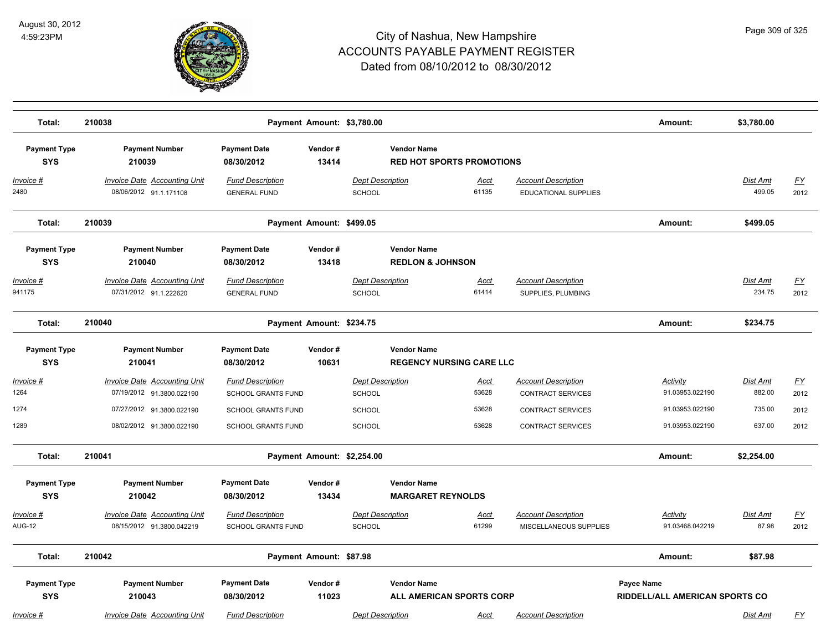

| Total:                            | 210038                                                           |                                                | Payment Amount: \$3,780.00 |                                          |                                                        |                                                      | Amount:                                             | \$3,780.00         |                   |
|-----------------------------------|------------------------------------------------------------------|------------------------------------------------|----------------------------|------------------------------------------|--------------------------------------------------------|------------------------------------------------------|-----------------------------------------------------|--------------------|-------------------|
| <b>Payment Type</b><br><b>SYS</b> | <b>Payment Number</b><br>210039                                  | <b>Payment Date</b><br>08/30/2012              | Vendor#<br>13414           |                                          | <b>Vendor Name</b><br><b>RED HOT SPORTS PROMOTIONS</b> |                                                      |                                                     |                    |                   |
| $Invoice$ #<br>2480               | <b>Invoice Date Accounting Unit</b><br>08/06/2012 91.1.171108    | <b>Fund Description</b><br><b>GENERAL FUND</b> |                            | <b>Dept Description</b><br><b>SCHOOL</b> | Acct<br>61135                                          | <b>Account Description</b><br>EDUCATIONAL SUPPLIES   |                                                     | Dist Amt<br>499.05 | <u>FY</u><br>2012 |
| Total:                            | 210039                                                           |                                                | Payment Amount: \$499.05   |                                          |                                                        |                                                      | Amount:                                             | \$499.05           |                   |
| <b>Payment Type</b><br><b>SYS</b> | <b>Payment Number</b><br>210040                                  | <b>Payment Date</b><br>08/30/2012              | Vendor#<br>13418           |                                          | <b>Vendor Name</b><br><b>REDLON &amp; JOHNSON</b>      |                                                      |                                                     |                    |                   |
| <u>Invoice #</u><br>941175        | <b>Invoice Date Accounting Unit</b><br>07/31/2012 91.1.222620    | <b>Fund Description</b><br><b>GENERAL FUND</b> |                            | <b>Dept Description</b><br>SCHOOL        | <u>Acct</u><br>61414                                   | <b>Account Description</b><br>SUPPLIES, PLUMBING     |                                                     | Dist Amt<br>234.75 | <u>FY</u><br>2012 |
| Total:                            | 210040                                                           |                                                | Payment Amount: \$234.75   |                                          |                                                        |                                                      | Amount:                                             | \$234.75           |                   |
| <b>Payment Type</b><br><b>SYS</b> | <b>Payment Number</b><br>210041                                  | <b>Payment Date</b><br>08/30/2012              | Vendor#<br>10631           |                                          | <b>Vendor Name</b><br><b>REGENCY NURSING CARE LLC</b>  |                                                      |                                                     |                    |                   |
| Invoice #                         | <b>Invoice Date Accounting Unit</b>                              | <b>Fund Description</b>                        |                            | <b>Dept Description</b>                  | Acct                                                   | <b>Account Description</b>                           | <b>Activity</b>                                     | <b>Dist Amt</b>    | <u>FY</u>         |
| 1264                              | 07/19/2012 91.3800.022190                                        | <b>SCHOOL GRANTS FUND</b>                      |                            | <b>SCHOOL</b>                            | 53628                                                  | <b>CONTRACT SERVICES</b>                             | 91.03953.022190                                     | 882.00             | 2012              |
| 1274                              | 07/27/2012 91.3800.022190                                        | SCHOOL GRANTS FUND                             |                            | <b>SCHOOL</b>                            | 53628                                                  | CONTRACT SERVICES                                    | 91.03953.022190                                     | 735.00             | 2012              |
| 1289                              | 08/02/2012 91.3800.022190                                        | <b>SCHOOL GRANTS FUND</b>                      |                            | <b>SCHOOL</b>                            | 53628                                                  | <b>CONTRACT SERVICES</b>                             | 91.03953.022190                                     | 637.00             | 2012              |
| Total:                            | 210041                                                           |                                                | Payment Amount: \$2,254.00 |                                          |                                                        |                                                      | Amount:                                             | \$2,254.00         |                   |
| <b>Payment Type</b><br><b>SYS</b> | <b>Payment Number</b><br>210042                                  | <b>Payment Date</b><br>08/30/2012              | Vendor#<br>13434           |                                          | <b>Vendor Name</b><br><b>MARGARET REYNOLDS</b>         |                                                      |                                                     |                    |                   |
| <u>Invoice #</u><br><b>AUG-12</b> | <b>Invoice Date Accounting Unit</b><br>08/15/2012 91.3800.042219 | <b>Fund Description</b><br>SCHOOL GRANTS FUND  |                            | <b>Dept Description</b><br>SCHOOL        | <u>Acct</u><br>61299                                   | <b>Account Description</b><br>MISCELLANEOUS SUPPLIES | Activity<br>91.03468.042219                         | Dist Amt<br>87.98  | <u>FY</u><br>2012 |
| Total:                            | 210042                                                           |                                                | Payment Amount: \$87.98    |                                          |                                                        |                                                      | Amount:                                             | \$87.98            |                   |
| <b>Payment Type</b><br><b>SYS</b> | <b>Payment Number</b><br>210043                                  | <b>Payment Date</b><br>08/30/2012              | Vendor#<br>11023           |                                          | <b>Vendor Name</b><br><b>ALL AMERICAN SPORTS CORP</b>  |                                                      | Payee Name<br><b>RIDDELL/ALL AMERICAN SPORTS CO</b> |                    |                   |
| Invoice #                         | <b>Invoice Date Accounting Unit</b>                              | <b>Fund Description</b>                        |                            | <b>Dept Description</b>                  | Acct                                                   | <b>Account Description</b>                           |                                                     | Dist Amt           | <u>FY</u>         |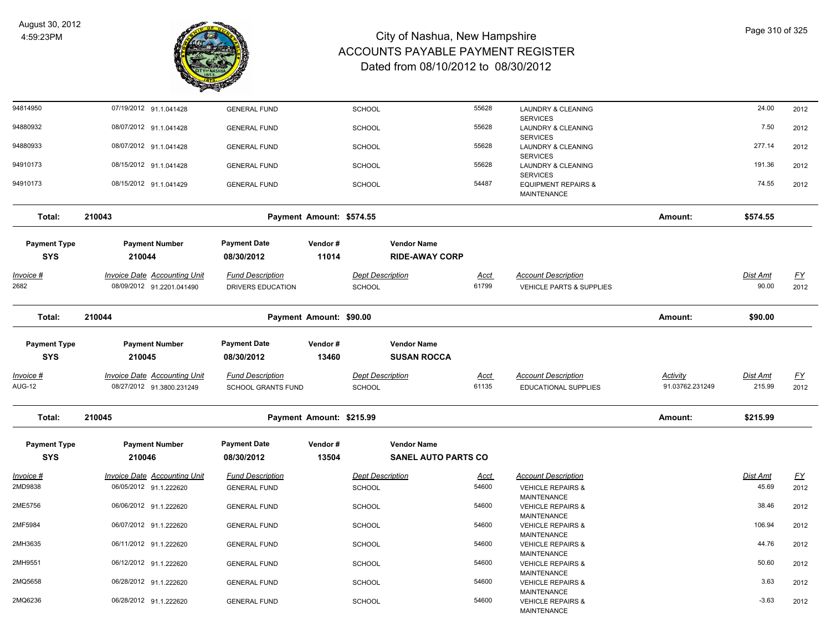

| 94814950            | 07/19/2012 91.1.041428              | <b>GENERAL FUND</b>       |                          | <b>SCHOOL</b>           |                            | 55628       | <b>LAUNDRY &amp; CLEANING</b>                      |                 | 24.00    | 2012             |
|---------------------|-------------------------------------|---------------------------|--------------------------|-------------------------|----------------------------|-------------|----------------------------------------------------|-----------------|----------|------------------|
| 94880932            | 08/07/2012 91.1.041428              | <b>GENERAL FUND</b>       |                          | <b>SCHOOL</b>           |                            | 55628       | <b>SERVICES</b><br>LAUNDRY & CLEANING              |                 | 7.50     | 2012             |
|                     |                                     |                           |                          |                         |                            |             | <b>SERVICES</b>                                    |                 |          |                  |
| 94880933            | 08/07/2012 91.1.041428              | <b>GENERAL FUND</b>       |                          | <b>SCHOOL</b>           |                            | 55628       | LAUNDRY & CLEANING<br><b>SERVICES</b>              |                 | 277.14   | 2012             |
| 94910173            | 08/15/2012 91.1.041428              | <b>GENERAL FUND</b>       |                          | <b>SCHOOL</b>           |                            | 55628       | LAUNDRY & CLEANING                                 |                 | 191.36   | 2012             |
|                     |                                     |                           |                          |                         |                            |             | <b>SERVICES</b>                                    |                 |          |                  |
| 94910173            | 08/15/2012 91.1.041429              | <b>GENERAL FUND</b>       |                          | <b>SCHOOL</b>           |                            | 54487       | <b>EQUIPMENT REPAIRS &amp;</b><br>MAINTENANCE      |                 | 74.55    | 2012             |
| Total:              | 210043                              |                           | Payment Amount: \$574.55 |                         |                            |             |                                                    | Amount:         | \$574.55 |                  |
| <b>Payment Type</b> | <b>Payment Number</b>               | <b>Payment Date</b>       | Vendor#                  |                         | <b>Vendor Name</b>         |             |                                                    |                 |          |                  |
| <b>SYS</b>          | 210044                              | 08/30/2012                | 11014                    |                         | <b>RIDE-AWAY CORP</b>      |             |                                                    |                 |          |                  |
| <u>Invoice #</u>    | <b>Invoice Date Accounting Unit</b> | <b>Fund Description</b>   |                          | <b>Dept Description</b> |                            | <u>Acct</u> | <b>Account Description</b>                         |                 | Dist Amt | <u>FY</u>        |
| 2682                | 08/09/2012 91.2201.041490           | DRIVERS EDUCATION         |                          | <b>SCHOOL</b>           |                            | 61799       | VEHICLE PARTS & SUPPLIES                           |                 | 90.00    | 2012             |
|                     |                                     |                           |                          |                         |                            |             |                                                    |                 |          |                  |
| Total:              | 210044                              |                           | Payment Amount: \$90.00  |                         |                            |             |                                                    | Amount:         | \$90.00  |                  |
|                     |                                     |                           |                          |                         |                            |             |                                                    |                 |          |                  |
| <b>Payment Type</b> | <b>Payment Number</b>               | <b>Payment Date</b>       | Vendor#                  |                         | <b>Vendor Name</b>         |             |                                                    |                 |          |                  |
| <b>SYS</b>          | 210045                              | 08/30/2012                | 13460                    |                         | <b>SUSAN ROCCA</b>         |             |                                                    |                 |          |                  |
| Invoice #           | <b>Invoice Date Accounting Unit</b> | <b>Fund Description</b>   |                          | <b>Dept Description</b> |                            | <u>Acct</u> | <b>Account Description</b>                         | <b>Activity</b> | Dist Amt | <u>FY</u>        |
| <b>AUG-12</b>       | 08/27/2012 91.3800.231249           | <b>SCHOOL GRANTS FUND</b> |                          | SCHOOL                  |                            | 61135       | EDUCATIONAL SUPPLIES                               | 91.03762.231249 | 215.99   | 2012             |
| Total:              | 210045                              |                           | Payment Amount: \$215.99 |                         |                            |             |                                                    | Amount:         | \$215.99 |                  |
|                     |                                     |                           |                          |                         |                            |             |                                                    |                 |          |                  |
| <b>Payment Type</b> | <b>Payment Number</b>               | <b>Payment Date</b>       | Vendor#                  |                         | <b>Vendor Name</b>         |             |                                                    |                 |          |                  |
| <b>SYS</b>          | 210046                              | 08/30/2012                | 13504                    |                         | <b>SANEL AUTO PARTS CO</b> |             |                                                    |                 |          |                  |
| <u>Invoice #</u>    | <b>Invoice Date Accounting Unit</b> | <b>Fund Description</b>   |                          | <b>Dept Description</b> |                            | <u>Acct</u> | <b>Account Description</b>                         |                 | Dist Amt | $\underline{FY}$ |
| 2MD9838             | 06/05/2012 91.1.222620              | <b>GENERAL FUND</b>       |                          | <b>SCHOOL</b>           |                            | 54600       | <b>VEHICLE REPAIRS &amp;</b>                       |                 | 45.69    | 2012             |
|                     |                                     |                           |                          |                         |                            |             | <b>MAINTENANCE</b>                                 |                 |          |                  |
| 2ME5756             | 06/06/2012 91.1.222620              | <b>GENERAL FUND</b>       |                          | <b>SCHOOL</b>           |                            | 54600       | <b>VEHICLE REPAIRS &amp;</b><br><b>MAINTENANCE</b> |                 | 38.46    | 2012             |
| 2MF5984             | 06/07/2012 91.1.222620              | <b>GENERAL FUND</b>       |                          | <b>SCHOOL</b>           |                            | 54600       | <b>VEHICLE REPAIRS &amp;</b>                       |                 | 106.94   | 2012             |
|                     |                                     |                           |                          |                         |                            |             | <b>MAINTENANCE</b>                                 |                 |          |                  |
| 2MH3635             | 06/11/2012 91.1.222620              | <b>GENERAL FUND</b>       |                          | <b>SCHOOL</b>           |                            | 54600       | <b>VEHICLE REPAIRS &amp;</b>                       |                 | 44.76    | 2012             |
| 2MH9551             | 06/12/2012 91.1.222620              | <b>GENERAL FUND</b>       |                          | <b>SCHOOL</b>           |                            | 54600       | <b>MAINTENANCE</b><br><b>VEHICLE REPAIRS &amp;</b> |                 | 50.60    | 2012             |
|                     |                                     |                           |                          |                         |                            |             | <b>MAINTENANCE</b>                                 |                 |          |                  |
| 2MQ5658             | 06/28/2012 91.1.222620              | <b>GENERAL FUND</b>       |                          | <b>SCHOOL</b>           |                            | 54600       | <b>VEHICLE REPAIRS &amp;</b>                       |                 | 3.63     | 2012             |
| 2MQ6236             | 06/28/2012 91.1.222620              | <b>GENERAL FUND</b>       |                          | <b>SCHOOL</b>           |                            | 54600       | <b>MAINTENANCE</b><br><b>VEHICLE REPAIRS &amp;</b> |                 | $-3.63$  | 2012             |
|                     |                                     |                           |                          |                         |                            |             | <b>MAINTENANCE</b>                                 |                 |          |                  |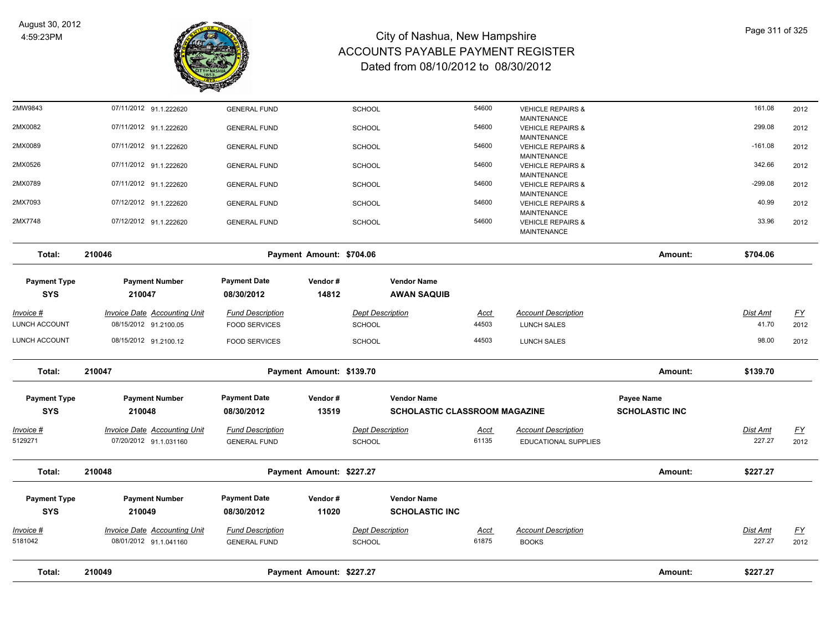

| Total:                            | 210049                                                       |                                                 | Payment Amount: \$227.27 |                                          |                                             |                      |                                                    | Amount:               | \$227.27                 |                   |
|-----------------------------------|--------------------------------------------------------------|-------------------------------------------------|--------------------------|------------------------------------------|---------------------------------------------|----------------------|----------------------------------------------------|-----------------------|--------------------------|-------------------|
|                                   |                                                              |                                                 |                          |                                          |                                             |                      |                                                    |                       |                          |                   |
| Invoice #<br>5181042              | Invoice Date Accounting Unit<br>08/01/2012 91.1.041160       | <b>Fund Description</b><br><b>GENERAL FUND</b>  |                          | <b>Dept Description</b><br><b>SCHOOL</b> |                                             | <b>Acct</b><br>61875 | <b>Account Description</b><br><b>BOOKS</b>         |                       | Dist Amt<br>227.27       | EY<br>2012        |
|                                   |                                                              | 08/30/2012                                      |                          |                                          |                                             |                      |                                                    |                       |                          |                   |
| <b>Payment Type</b><br><b>SYS</b> | <b>Payment Number</b><br>210049                              | <b>Payment Date</b>                             | Vendor#<br>11020         |                                          | <b>Vendor Name</b><br><b>SCHOLASTIC INC</b> |                      |                                                    |                       |                          |                   |
| Total:                            | 210048                                                       |                                                 | Payment Amount: \$227.27 |                                          |                                             |                      |                                                    | Amount:               | \$227.27                 |                   |
| Invoice #<br>5129271              | Invoice Date Accounting Unit<br>07/20/2012 91.1.031160       | <b>Fund Description</b><br><b>GENERAL FUND</b>  |                          | <b>Dept Description</b><br>SCHOOL        |                                             | <u>Acct</u><br>61135 | <b>Account Description</b><br>EDUCATIONAL SUPPLIES |                       | Dist Amt<br>227.27       | EY<br>2012        |
| <b>SYS</b>                        | 210048                                                       | 08/30/2012                                      | 13519                    |                                          | SCHOLASTIC CLASSROOM MAGAZINE               |                      |                                                    | <b>SCHOLASTIC INC</b> |                          |                   |
| <b>Payment Type</b>               | <b>Payment Number</b>                                        | <b>Payment Date</b>                             | Vendor#                  |                                          | <b>Vendor Name</b>                          |                      |                                                    | Payee Name            |                          |                   |
| Total:                            | 210047                                                       |                                                 | Payment Amount: \$139.70 |                                          |                                             |                      |                                                    | Amount:               | \$139.70                 |                   |
| <b>LUNCH ACCOUNT</b>              | 08/15/2012 91.2100.12                                        | <b>FOOD SERVICES</b>                            |                          | <b>SCHOOL</b>                            |                                             | 44503                | <b>LUNCH SALES</b>                                 |                       | 98.00                    | 2012              |
| Invoice #<br>LUNCH ACCOUNT        | <b>Invoice Date Accounting Unit</b><br>08/15/2012 91.2100.05 | <b>Fund Description</b><br><b>FOOD SERVICES</b> |                          | <b>Dept Description</b><br><b>SCHOOL</b> |                                             | <u>Acct</u><br>44503 | <b>Account Description</b><br><b>LUNCH SALES</b>   |                       | <b>Dist Amt</b><br>41.70 | <u>FY</u><br>2012 |
| <b>Payment Type</b><br><b>SYS</b> | <b>Payment Number</b><br>210047                              | <b>Payment Date</b><br>08/30/2012               | Vendor#<br>14812         |                                          | <b>Vendor Name</b><br><b>AWAN SAQUIB</b>    |                      |                                                    |                       |                          |                   |
| Total:                            | 210046                                                       |                                                 | Payment Amount: \$704.06 |                                          |                                             |                      |                                                    | Amount:               | \$704.06                 |                   |
| 2MX7748                           | 07/12/2012 91.1.222620                                       | <b>GENERAL FUND</b>                             |                          | <b>SCHOOL</b>                            |                                             | 54600                | <b>VEHICLE REPAIRS &amp;</b><br><b>MAINTENANCE</b> |                       | 33.96                    | 2012              |
| 2MX7093                           | 07/12/2012 91.1.222620                                       | <b>GENERAL FUND</b>                             |                          | <b>SCHOOL</b>                            |                                             | 54600                | <b>VEHICLE REPAIRS &amp;</b><br><b>MAINTENANCE</b> |                       | 40.99                    | 2012              |
| 2MX0789                           | 07/11/2012 91.1.222620                                       | <b>GENERAL FUND</b>                             |                          | <b>SCHOOL</b>                            |                                             | 54600                | <b>VEHICLE REPAIRS &amp;</b><br><b>MAINTENANCE</b> |                       | $-299.08$                | 2012              |
| 2MX0526                           | 07/11/2012 91.1.222620                                       | <b>GENERAL FUND</b>                             |                          | <b>SCHOOL</b>                            |                                             | 54600                | <b>VEHICLE REPAIRS &amp;</b><br>MAINTENANCE        |                       | 342.66                   | 2012              |
| 2MX0089                           | 07/11/2012 91.1.222620                                       | <b>GENERAL FUND</b>                             |                          | <b>SCHOOL</b>                            |                                             | 54600                | <b>VEHICLE REPAIRS &amp;</b><br><b>MAINTENANCE</b> |                       | $-161.08$                | 2012              |
| 2MX0082                           | 07/11/2012 91.1.222620                                       | <b>GENERAL FUND</b>                             |                          | SCHOOL                                   |                                             | 54600                | <b>VEHICLE REPAIRS &amp;</b><br><b>MAINTENANCE</b> |                       | 299.08                   | 2012              |
| 2MW9843                           | 07/11/2012 91.1.222620                                       | <b>GENERAL FUND</b>                             |                          | <b>SCHOOL</b>                            |                                             | 54600                | <b>VEHICLE REPAIRS &amp;</b><br><b>MAINTENANCE</b> |                       | 161.08                   | 2012              |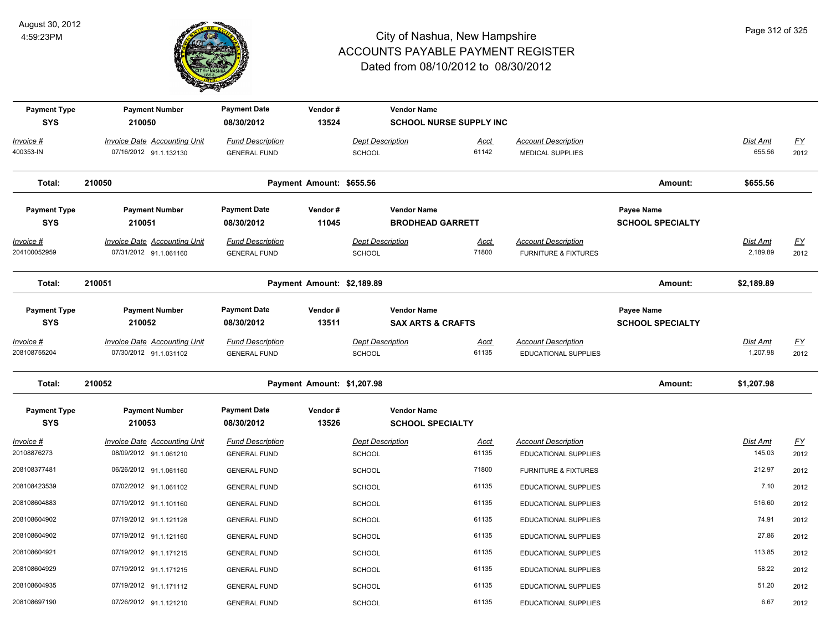

| <b>Payment Type</b><br><b>SYS</b> | <b>Payment Number</b><br>210050                               | <b>Payment Date</b><br>08/30/2012              | Vendor#<br>13524           | <b>Vendor Name</b>                       | <b>SCHOOL NURSE SUPPLY INC</b> |                                                               |                                       |                             |                   |
|-----------------------------------|---------------------------------------------------------------|------------------------------------------------|----------------------------|------------------------------------------|--------------------------------|---------------------------------------------------------------|---------------------------------------|-----------------------------|-------------------|
| Invoice #<br>400353-IN            | Invoice Date Accounting Unit<br>07/16/2012 91.1.132130        | <b>Fund Description</b><br><b>GENERAL FUND</b> |                            | <b>Dept Description</b><br>SCHOOL        | Acct<br>61142                  | <b>Account Description</b><br><b>MEDICAL SUPPLIES</b>         |                                       | Dist Amt<br>655.56          | <u>FY</u><br>2012 |
| Total:                            | 210050                                                        |                                                | Payment Amount: \$655.56   |                                          |                                |                                                               | Amount:                               | \$655.56                    |                   |
| <b>Payment Type</b><br><b>SYS</b> | <b>Payment Number</b><br>210051                               | <b>Payment Date</b><br>08/30/2012              | Vendor#<br>11045           | <b>Vendor Name</b>                       | <b>BRODHEAD GARRETT</b>        |                                                               | Payee Name<br><b>SCHOOL SPECIALTY</b> |                             |                   |
| <u>Invoice #</u><br>204100052959  | <b>Invoice Date Accounting Unit</b><br>07/31/2012 91.1.061160 | <b>Fund Description</b><br><b>GENERAL FUND</b> |                            | <b>Dept Description</b><br><b>SCHOOL</b> | <u>Acct</u><br>71800           | <b>Account Description</b><br><b>FURNITURE &amp; FIXTURES</b> |                                       | <b>Dist Amt</b><br>2,189.89 | EY<br>2012        |
| Total:                            | 210051                                                        |                                                | Payment Amount: \$2,189.89 |                                          |                                |                                                               | Amount:                               | \$2,189.89                  |                   |
| <b>Payment Type</b><br><b>SYS</b> | <b>Payment Number</b><br>210052                               | <b>Payment Date</b><br>08/30/2012              | Vendor#<br>13511           | <b>Vendor Name</b>                       | <b>SAX ARTS &amp; CRAFTS</b>   |                                                               | Payee Name<br><b>SCHOOL SPECIALTY</b> |                             |                   |
| Invoice #<br>208108755204         | Invoice Date Accounting Unit<br>07/30/2012 91.1.031102        | <b>Fund Description</b><br><b>GENERAL FUND</b> |                            | <b>Dept Description</b><br>SCHOOL        | Acct<br>61135                  | <b>Account Description</b><br>EDUCATIONAL SUPPLIES            |                                       | Dist Amt<br>1,207.98        | <u>FY</u><br>2012 |
| Total:                            | 210052                                                        |                                                | Payment Amount: \$1,207.98 |                                          |                                |                                                               | Amount:                               | \$1,207.98                  |                   |
| <b>Payment Type</b><br><b>SYS</b> | <b>Payment Number</b><br>210053                               | <b>Payment Date</b><br>08/30/2012              | Vendor#<br>13526           | <b>Vendor Name</b>                       | <b>SCHOOL SPECIALTY</b>        |                                                               |                                       |                             |                   |
| <u> Invoice #</u><br>20108876273  | <b>Invoice Date Accounting Unit</b><br>08/09/2012 91.1.061210 | <b>Fund Description</b><br><b>GENERAL FUND</b> |                            | <b>Dept Description</b><br><b>SCHOOL</b> | <u>Acct</u><br>61135           | <b>Account Description</b><br><b>EDUCATIONAL SUPPLIES</b>     |                                       | Dist Amt<br>145.03          | <u>FY</u><br>2012 |
| 208108377481                      | 06/26/2012 91.1.061160                                        | <b>GENERAL FUND</b>                            |                            | <b>SCHOOL</b>                            | 71800                          | <b>FURNITURE &amp; FIXTURES</b>                               |                                       | 212.97                      | 2012              |
| 208108423539                      | 07/02/2012 91.1.061102                                        | <b>GENERAL FUND</b>                            |                            | <b>SCHOOL</b>                            | 61135                          | EDUCATIONAL SUPPLIES                                          |                                       | 7.10                        | 2012              |
| 208108604883                      | 07/19/2012 91.1.101160                                        | <b>GENERAL FUND</b>                            |                            | <b>SCHOOL</b>                            | 61135                          | EDUCATIONAL SUPPLIES                                          |                                       | 516.60                      | 2012              |
| 208108604902                      | 07/19/2012 91.1.121128                                        | <b>GENERAL FUND</b>                            |                            | <b>SCHOOL</b>                            | 61135                          | EDUCATIONAL SUPPLIES                                          |                                       | 74.91                       | 2012              |
| 208108604902                      | 07/19/2012 91.1.121160                                        | <b>GENERAL FUND</b>                            |                            | <b>SCHOOL</b>                            | 61135                          | EDUCATIONAL SUPPLIES                                          |                                       | 27.86                       | 2012              |
| 208108604921                      | 07/19/2012 91.1.171215                                        | <b>GENERAL FUND</b>                            |                            | <b>SCHOOL</b>                            | 61135                          | EDUCATIONAL SUPPLIES                                          |                                       | 113.85                      | 2012              |
| 208108604929                      | 07/19/2012 91.1.171215                                        | <b>GENERAL FUND</b>                            |                            | <b>SCHOOL</b>                            | 61135                          | <b>EDUCATIONAL SUPPLIES</b>                                   |                                       | 58.22                       | 2012              |
| 208108604935                      | 07/19/2012 91.1.171112                                        | <b>GENERAL FUND</b>                            |                            | SCHOOL                                   | 61135                          | <b>EDUCATIONAL SUPPLIES</b>                                   |                                       | 51.20                       | 2012              |
| 208108697190                      | 07/26/2012 91.1.121210                                        | <b>GENERAL FUND</b>                            |                            | SCHOOL                                   | 61135                          | EDUCATIONAL SUPPLIES                                          |                                       | 6.67                        | 2012              |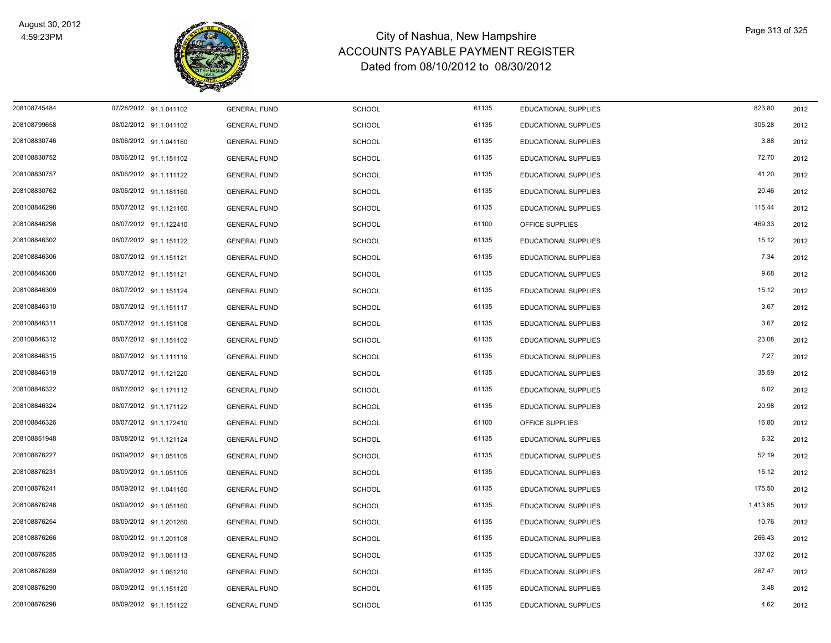

| 208108745484 | 07/28/2012 91.1.041102 | <b>GENERAL FUND</b> | <b>SCHOOL</b> | 61135 | EDUCATIONAL SUPPLIES        | 823.80   | 2012 |
|--------------|------------------------|---------------------|---------------|-------|-----------------------------|----------|------|
| 208108799658 | 08/02/2012 91.1.041102 | <b>GENERAL FUND</b> | <b>SCHOOL</b> | 61135 | EDUCATIONAL SUPPLIES        | 305.28   | 2012 |
| 208108830746 | 08/06/2012 91.1.041160 | <b>GENERAL FUND</b> | <b>SCHOOL</b> | 61135 | <b>EDUCATIONAL SUPPLIES</b> | 3.88     | 2012 |
| 208108830752 | 08/06/2012 91.1.151102 | <b>GENERAL FUND</b> | <b>SCHOOL</b> | 61135 | EDUCATIONAL SUPPLIES        | 72.70    | 2012 |
| 208108830757 | 08/06/2012 91.1.111122 | <b>GENERAL FUND</b> | <b>SCHOOL</b> | 61135 | EDUCATIONAL SUPPLIES        | 41.20    | 2012 |
| 208108830762 | 08/06/2012 91.1.181160 | <b>GENERAL FUND</b> | <b>SCHOOL</b> | 61135 | <b>EDUCATIONAL SUPPLIES</b> | 20.46    | 2012 |
| 208108846298 | 08/07/2012 91.1.121160 | <b>GENERAL FUND</b> | <b>SCHOOL</b> | 61135 | EDUCATIONAL SUPPLIES        | 115.44   | 2012 |
| 208108846298 | 08/07/2012 91.1.122410 | <b>GENERAL FUND</b> | <b>SCHOOL</b> | 61100 | OFFICE SUPPLIES             | 469.33   | 2012 |
| 208108846302 | 08/07/2012 91.1.151122 | <b>GENERAL FUND</b> | <b>SCHOOL</b> | 61135 | <b>EDUCATIONAL SUPPLIES</b> | 15.12    | 2012 |
| 208108846306 | 08/07/2012 91.1.151121 | <b>GENERAL FUND</b> | <b>SCHOOL</b> | 61135 | EDUCATIONAL SUPPLIES        | 7.34     | 2012 |
| 208108846308 | 08/07/2012 91.1.151121 | <b>GENERAL FUND</b> | <b>SCHOOL</b> | 61135 | EDUCATIONAL SUPPLIES        | 9.68     | 2012 |
| 208108846309 | 08/07/2012 91.1.151124 | <b>GENERAL FUND</b> | <b>SCHOOL</b> | 61135 | EDUCATIONAL SUPPLIES        | 15.12    | 2012 |
| 208108846310 | 08/07/2012 91.1.151117 | <b>GENERAL FUND</b> | <b>SCHOOL</b> | 61135 | EDUCATIONAL SUPPLIES        | 3.67     | 2012 |
| 208108846311 | 08/07/2012 91.1.151108 | <b>GENERAL FUND</b> | <b>SCHOOL</b> | 61135 | EDUCATIONAL SUPPLIES        | 3.67     | 2012 |
| 208108846312 | 08/07/2012 91.1.151102 | <b>GENERAL FUND</b> | <b>SCHOOL</b> | 61135 | EDUCATIONAL SUPPLIES        | 23.08    | 2012 |
| 208108846315 | 08/07/2012 91.1.111119 | <b>GENERAL FUND</b> | <b>SCHOOL</b> | 61135 | EDUCATIONAL SUPPLIES        | 7.27     | 2012 |
| 208108846319 | 08/07/2012 91.1.121220 | <b>GENERAL FUND</b> | <b>SCHOOL</b> | 61135 | EDUCATIONAL SUPPLIES        | 35.59    | 2012 |
| 208108846322 | 08/07/2012 91.1.171112 | <b>GENERAL FUND</b> | <b>SCHOOL</b> | 61135 | EDUCATIONAL SUPPLIES        | 6.02     | 2012 |
| 208108846324 | 08/07/2012 91.1.171122 | <b>GENERAL FUND</b> | <b>SCHOOL</b> | 61135 | EDUCATIONAL SUPPLIES        | 20.98    | 2012 |
| 208108846326 | 08/07/2012 91.1.172410 | <b>GENERAL FUND</b> | <b>SCHOOL</b> | 61100 | OFFICE SUPPLIES             | 16.80    | 2012 |
| 208108851948 | 08/08/2012 91.1.121124 | <b>GENERAL FUND</b> | <b>SCHOOL</b> | 61135 | <b>EDUCATIONAL SUPPLIES</b> | 6.32     | 2012 |
| 208108876227 | 08/09/2012 91.1.051105 | <b>GENERAL FUND</b> | <b>SCHOOL</b> | 61135 | EDUCATIONAL SUPPLIES        | 52.19    | 2012 |
| 208108876231 | 08/09/2012 91.1.051105 | <b>GENERAL FUND</b> | <b>SCHOOL</b> | 61135 | EDUCATIONAL SUPPLIES        | 15.12    | 2012 |
| 208108876241 | 08/09/2012 91.1.041160 | <b>GENERAL FUND</b> | <b>SCHOOL</b> | 61135 | <b>EDUCATIONAL SUPPLIES</b> | 175.50   | 2012 |
| 208108876248 | 08/09/2012 91.1.051160 | <b>GENERAL FUND</b> | <b>SCHOOL</b> | 61135 | EDUCATIONAL SUPPLIES        | 1,413.85 | 2012 |
| 208108876254 | 08/09/2012 91.1.201260 | <b>GENERAL FUND</b> | <b>SCHOOL</b> | 61135 | EDUCATIONAL SUPPLIES        | 10.76    | 2012 |
| 208108876266 | 08/09/2012 91.1.201108 | <b>GENERAL FUND</b> | <b>SCHOOL</b> | 61135 | EDUCATIONAL SUPPLIES        | 266.43   | 2012 |
| 208108876285 | 08/09/2012 91.1.061113 | <b>GENERAL FUND</b> | <b>SCHOOL</b> | 61135 | <b>EDUCATIONAL SUPPLIES</b> | 337.02   | 2012 |
| 208108876289 | 08/09/2012 91.1.061210 | <b>GENERAL FUND</b> | <b>SCHOOL</b> | 61135 | EDUCATIONAL SUPPLIES        | 267.47   | 2012 |
| 208108876290 | 08/09/2012 91.1.151120 | <b>GENERAL FUND</b> | <b>SCHOOL</b> | 61135 | EDUCATIONAL SUPPLIES        | 3.48     | 2012 |
| 208108876298 | 08/09/2012 91.1.151122 | <b>GENERAL FUND</b> | <b>SCHOOL</b> | 61135 | <b>EDUCATIONAL SUPPLIES</b> | 4.62     | 2012 |
|              |                        |                     |               |       |                             |          |      |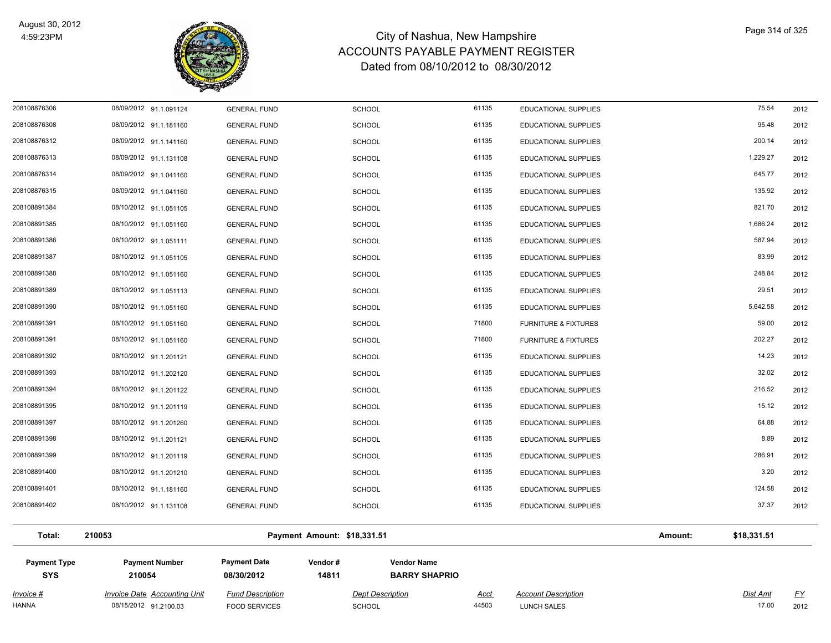

| <b>Invoice #</b><br><b>HANNA</b>  | <b>Invoice Date Accounting Unit</b><br>08/15/2012 91.2100.03 | <b>Fund Description</b><br><b>FOOD SERVICES</b> | <b>Dept Description</b><br><b>SCHOOL</b> |                                            | <u>Acct</u><br>44503 | <b>Account Description</b><br><b>LUNCH SALES</b> |         | Dist Amt<br>17.00 | <u>FY</u><br>2012 |
|-----------------------------------|--------------------------------------------------------------|-------------------------------------------------|------------------------------------------|--------------------------------------------|----------------------|--------------------------------------------------|---------|-------------------|-------------------|
| <b>Payment Type</b><br><b>SYS</b> | <b>Payment Number</b><br>210054                              | <b>Payment Date</b><br>08/30/2012               | Vendor #<br>14811                        | <b>Vendor Name</b><br><b>BARRY SHAPRIO</b> |                      |                                                  |         |                   |                   |
| Total:                            | 210053                                                       |                                                 | Payment Amount: \$18,331.51              |                                            |                      |                                                  | Amount: | \$18,331.51       |                   |
| 208108891402                      | 08/10/2012 91.1.131108                                       | <b>GENERAL FUND</b>                             | <b>SCHOOL</b>                            |                                            | 61135                | <b>EDUCATIONAL SUPPLIES</b>                      |         | 37.37             | 2012              |
| 208108891401                      | 08/10/2012 91.1.181160                                       | <b>GENERAL FUND</b>                             | <b>SCHOOL</b>                            |                                            | 61135                | <b>EDUCATIONAL SUPPLIES</b>                      |         | 124.58            | 2012              |
| 208108891400                      | 08/10/2012 91.1.201210                                       | <b>GENERAL FUND</b>                             | <b>SCHOOL</b>                            |                                            | 61135                | <b>EDUCATIONAL SUPPLIES</b>                      |         | 3.20              | 2012              |
| 208108891399                      | 08/10/2012 91.1.201119                                       | <b>GENERAL FUND</b>                             | <b>SCHOOL</b>                            |                                            | 61135                | EDUCATIONAL SUPPLIES                             |         | 286.91            | 2012              |
| 208108891398                      | 08/10/2012 91.1.201121                                       | <b>GENERAL FUND</b>                             | <b>SCHOOL</b>                            |                                            | 61135                | EDUCATIONAL SUPPLIES                             |         | 8.89              | 2012              |
| 208108891397                      | 08/10/2012 91.1.201260                                       | <b>GENERAL FUND</b>                             | <b>SCHOOL</b>                            |                                            | 61135                | EDUCATIONAL SUPPLIES                             |         | 64.88             | 2012              |
| 208108891395                      | 08/10/2012 91.1.201119                                       | <b>GENERAL FUND</b>                             | <b>SCHOOL</b>                            |                                            | 61135                | <b>EDUCATIONAL SUPPLIES</b>                      |         | 15.12             | 2012              |
| 208108891394                      | 08/10/2012 91.1.201122                                       | <b>GENERAL FUND</b>                             | <b>SCHOOL</b>                            |                                            | 61135                | <b>EDUCATIONAL SUPPLIES</b>                      |         | 216.52            | 2012              |
| 208108891393                      | 08/10/2012 91.1.202120                                       | <b>GENERAL FUND</b>                             | <b>SCHOOL</b>                            |                                            | 61135                | <b>EDUCATIONAL SUPPLIES</b>                      |         | 32.02             | 2012              |
| 208108891392                      | 08/10/2012 91.1.201121                                       | <b>GENERAL FUND</b>                             | SCHOOL                                   |                                            | 61135                | EDUCATIONAL SUPPLIES                             |         | 14.23             | 2012              |
| 208108891391                      | 08/10/2012 91.1.051160                                       | <b>GENERAL FUND</b>                             | <b>SCHOOL</b>                            |                                            | 71800                | <b>FURNITURE &amp; FIXTURES</b>                  |         | 202.27            | 2012              |
| 208108891391                      | 08/10/2012 91.1.051160                                       | <b>GENERAL FUND</b>                             | <b>SCHOOL</b>                            |                                            | 71800                | <b>FURNITURE &amp; FIXTURES</b>                  |         | 59.00             | 2012              |
| 208108891390                      | 08/10/2012 91.1.051160                                       | <b>GENERAL FUND</b>                             | <b>SCHOOL</b>                            |                                            | 61135                | <b>EDUCATIONAL SUPPLIES</b>                      |         | 5,642.58          | 2012              |
| 208108891389                      | 08/10/2012 91.1.051113                                       | <b>GENERAL FUND</b>                             | <b>SCHOOL</b>                            |                                            | 61135                | <b>EDUCATIONAL SUPPLIES</b>                      |         | 29.51             | 2012              |
| 208108891388                      | 08/10/2012 91.1.051160                                       | <b>GENERAL FUND</b>                             | <b>SCHOOL</b>                            |                                            | 61135                | EDUCATIONAL SUPPLIES                             |         | 248.84            | 2012              |
| 208108891387                      | 08/10/2012 91.1.051105                                       | <b>GENERAL FUND</b>                             | <b>SCHOOL</b>                            |                                            | 61135                | EDUCATIONAL SUPPLIES                             |         | 83.99             | 2012              |
| 208108891386                      | 08/10/2012 91.1.051111                                       | <b>GENERAL FUND</b>                             | SCHOOL                                   |                                            | 61135                | EDUCATIONAL SUPPLIES                             |         | 587.94            | 2012              |
| 208108891385                      | 08/10/2012 91.1.051160                                       | <b>GENERAL FUND</b>                             | <b>SCHOOL</b>                            |                                            | 61135                | <b>EDUCATIONAL SUPPLIES</b>                      |         | 1,686.24          | 2012              |
| 208108891384                      | 08/10/2012 91.1.051105                                       | <b>GENERAL FUND</b>                             | <b>SCHOOL</b>                            |                                            | 61135                | EDUCATIONAL SUPPLIES                             |         | 821.70            | 2012              |
| 208108876315                      | 08/09/2012 91.1.041160                                       | <b>GENERAL FUND</b>                             | <b>SCHOOL</b>                            |                                            | 61135                | EDUCATIONAL SUPPLIES                             |         | 135.92            | 2012              |
| 208108876314                      | 08/09/2012 91.1.041160                                       | <b>GENERAL FUND</b>                             | SCHOOL                                   |                                            | 61135                | EDUCATIONAL SUPPLIES                             |         | 645.77            | 2012              |
| 208108876313                      | 08/09/2012 91.1.131108                                       | <b>GENERAL FUND</b>                             | <b>SCHOOL</b>                            |                                            | 61135                | EDUCATIONAL SUPPLIES                             |         | 1,229.27          | 2012              |
| 208108876312                      | 08/09/2012 91.1.141160                                       | <b>GENERAL FUND</b>                             | SCHOOL                                   |                                            | 61135                | EDUCATIONAL SUPPLIES                             |         | 200.14            | 2012              |
| 208108876308                      | 08/09/2012 91.1.181160                                       | <b>GENERAL FUND</b>                             | <b>SCHOOL</b>                            |                                            | 61135                | <b>EDUCATIONAL SUPPLIES</b>                      |         | 95.48             | 2012              |
| 208108876306                      | 08/09/2012 91.1.091124                                       | <b>GENERAL FUND</b>                             | <b>SCHOOL</b>                            |                                            | 61135                | <b>EDUCATIONAL SUPPLIES</b>                      |         | 75.54             | 2012              |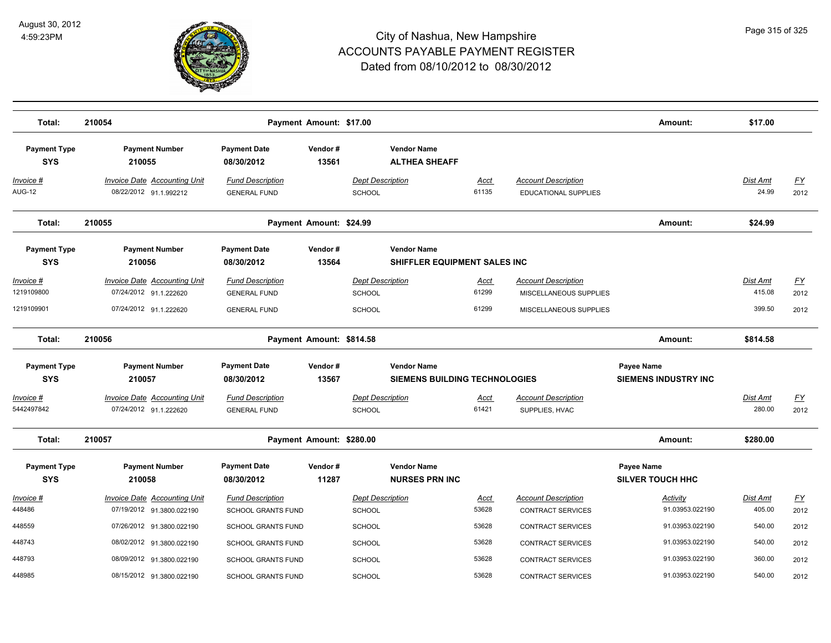

| Total:                                | 210054                                                                                  |                                                                       | Payment Amount: \$17.00  |                                                            |                               |                                                                                | Amount:                                   | \$17.00                             |                           |
|---------------------------------------|-----------------------------------------------------------------------------------------|-----------------------------------------------------------------------|--------------------------|------------------------------------------------------------|-------------------------------|--------------------------------------------------------------------------------|-------------------------------------------|-------------------------------------|---------------------------|
| <b>Payment Type</b><br><b>SYS</b>     | <b>Payment Number</b><br>210055                                                         | <b>Payment Date</b><br>08/30/2012                                     | Vendor#<br>13561         | <b>Vendor Name</b><br><b>ALTHEA SHEAFF</b>                 |                               |                                                                                |                                           |                                     |                           |
| Invoice #<br><b>AUG-12</b>            | <b>Invoice Date Accounting Unit</b><br>08/22/2012 91.1.992212                           | <b>Fund Description</b><br><b>GENERAL FUND</b>                        |                          | <b>Dept Description</b><br>SCHOOL                          | <b>Acct</b><br>61135          | <b>Account Description</b><br>EDUCATIONAL SUPPLIES                             |                                           | <b>Dist Amt</b><br>24.99            | <u>FY</u><br>2012         |
| Total:                                | 210055                                                                                  |                                                                       | Payment Amount: \$24.99  |                                                            |                               |                                                                                | Amount:                                   | \$24.99                             |                           |
| <b>Payment Type</b><br><b>SYS</b>     | <b>Payment Number</b><br>210056                                                         | <b>Payment Date</b><br>08/30/2012                                     | Vendor#<br>13564         | <b>Vendor Name</b><br>SHIFFLER EQUIPMENT SALES INC         |                               |                                                                                |                                           |                                     |                           |
| Invoice #<br>1219109800<br>1219109901 | <b>Invoice Date Accounting Unit</b><br>07/24/2012 91.1.222620<br>07/24/2012 91.1.222620 | <b>Fund Description</b><br><b>GENERAL FUND</b><br><b>GENERAL FUND</b> |                          | <b>Dept Description</b><br>SCHOOL<br>SCHOOL                | <u>Acct</u><br>61299<br>61299 | <b>Account Description</b><br>MISCELLANEOUS SUPPLIES<br>MISCELLANEOUS SUPPLIES |                                           | <b>Dist Amt</b><br>415.08<br>399.50 | <u>FY</u><br>2012<br>2012 |
| Total:                                | 210056                                                                                  |                                                                       | Payment Amount: \$814.58 |                                                            |                               |                                                                                | Amount:                                   | \$814.58                            |                           |
| <b>Payment Type</b><br><b>SYS</b>     | <b>Payment Number</b><br>210057                                                         | <b>Payment Date</b><br>08/30/2012                                     | Vendor#<br>13567         | <b>Vendor Name</b><br><b>SIEMENS BUILDING TECHNOLOGIES</b> |                               |                                                                                | Payee Name<br><b>SIEMENS INDUSTRY INC</b> |                                     |                           |
| Invoice #<br>5442497842               | Invoice Date Accounting Unit<br>07/24/2012 91.1.222620                                  | <b>Fund Description</b><br><b>GENERAL FUND</b>                        |                          | <b>Dept Description</b><br>SCHOOL                          | Acct<br>61421                 | <b>Account Description</b><br>SUPPLIES, HVAC                                   |                                           | Dist Amt<br>280.00                  | $\underline{FY}$<br>2012  |
| Total:                                | 210057                                                                                  |                                                                       | Payment Amount: \$280.00 |                                                            |                               |                                                                                | Amount:                                   | \$280.00                            |                           |
| <b>Payment Type</b><br><b>SYS</b>     | <b>Payment Number</b><br>210058                                                         | <b>Payment Date</b><br>08/30/2012                                     | Vendor#<br>11287         | <b>Vendor Name</b><br><b>NURSES PRN INC</b>                |                               |                                                                                | Payee Name<br><b>SILVER TOUCH HHC</b>     |                                     |                           |
| Invoice #<br>448486                   | <b>Invoice Date Accounting Unit</b><br>07/19/2012 91.3800.022190                        | <b>Fund Description</b><br><b>SCHOOL GRANTS FUND</b>                  |                          | <b>Dept Description</b><br><b>SCHOOL</b>                   | Acct<br>53628                 | <b>Account Description</b><br><b>CONTRACT SERVICES</b>                         | Activity<br>91.03953.022190               | Dist Amt<br>405.00                  | $\underline{FY}$<br>2012  |
| 448559                                | 07/26/2012 91.3800.022190                                                               | <b>SCHOOL GRANTS FUND</b>                                             |                          | SCHOOL                                                     | 53628                         | <b>CONTRACT SERVICES</b>                                                       | 91.03953.022190                           | 540.00                              | 2012                      |
| 448743                                | 08/02/2012 91.3800.022190                                                               | <b>SCHOOL GRANTS FUND</b>                                             |                          | <b>SCHOOL</b>                                              | 53628                         | CONTRACT SERVICES                                                              | 91.03953.022190                           | 540.00                              | 2012                      |
| 448793                                | 08/09/2012 91.3800.022190                                                               | <b>SCHOOL GRANTS FUND</b>                                             |                          | <b>SCHOOL</b>                                              | 53628                         | <b>CONTRACT SERVICES</b>                                                       | 91.03953.022190                           | 360.00                              | 2012                      |
| 448985                                | 08/15/2012 91.3800.022190                                                               | <b>SCHOOL GRANTS FUND</b>                                             |                          | <b>SCHOOL</b>                                              | 53628                         | CONTRACT SERVICES                                                              | 91.03953.022190                           | 540.00                              | 2012                      |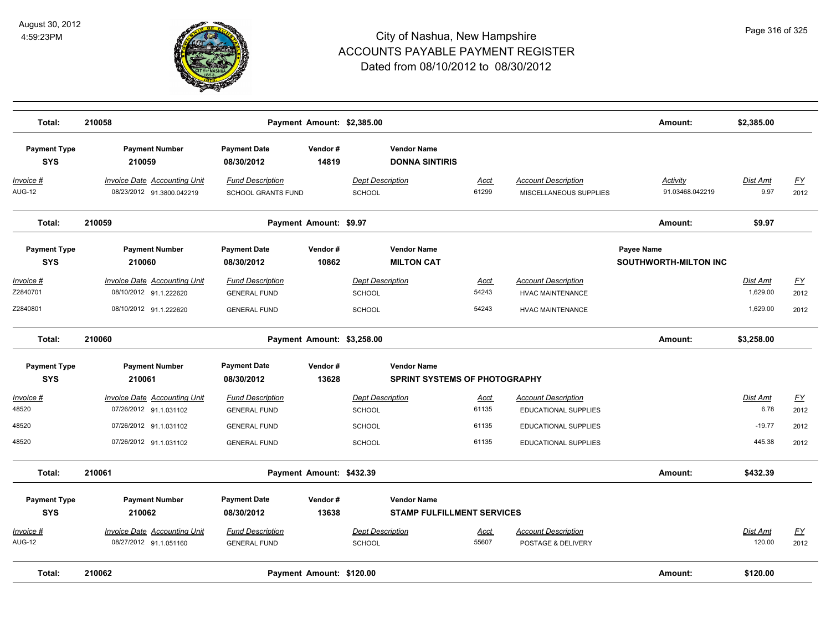

| Total:                            | 210058                                                           |                                                      | Payment Amount: \$2,385.00 |                                          |                                             |               |                                                      | Amount:                                    | \$2,385.00              |                   |
|-----------------------------------|------------------------------------------------------------------|------------------------------------------------------|----------------------------|------------------------------------------|---------------------------------------------|---------------|------------------------------------------------------|--------------------------------------------|-------------------------|-------------------|
| <b>Payment Type</b><br><b>SYS</b> | <b>Payment Number</b><br>210059                                  | <b>Payment Date</b><br>08/30/2012                    | Vendor#<br>14819           |                                          | <b>Vendor Name</b><br><b>DONNA SINTIRIS</b> |               |                                                      |                                            |                         |                   |
| Invoice #<br><b>AUG-12</b>        | <b>Invoice Date Accounting Unit</b><br>08/23/2012 91.3800.042219 | <b>Fund Description</b><br><b>SCHOOL GRANTS FUND</b> |                            | <b>Dept Description</b><br><b>SCHOOL</b> |                                             | Acct<br>61299 | <b>Account Description</b><br>MISCELLANEOUS SUPPLIES | Activity<br>91.03468.042219                | <b>Dist Amt</b><br>9.97 | <u>FY</u><br>2012 |
| Total:                            | 210059                                                           |                                                      | Payment Amount: \$9.97     |                                          |                                             |               |                                                      | Amount:                                    | \$9.97                  |                   |
| <b>Payment Type</b><br><b>SYS</b> | <b>Payment Number</b><br>210060                                  | <b>Payment Date</b><br>08/30/2012                    | Vendor#<br>10862           |                                          | <b>Vendor Name</b><br><b>MILTON CAT</b>     |               |                                                      | Payee Name<br><b>SOUTHWORTH-MILTON INC</b> |                         |                   |
| Invoice #                         | <b>Invoice Date Accounting Unit</b>                              | <b>Fund Description</b>                              |                            | <b>Dept Description</b>                  |                                             | <u>Acct</u>   | <b>Account Description</b>                           |                                            | Dist Amt                | <u>FY</u>         |
| Z2840701                          | 08/10/2012 91.1.222620                                           | <b>GENERAL FUND</b>                                  |                            | <b>SCHOOL</b>                            |                                             | 54243         | <b>HVAC MAINTENANCE</b>                              |                                            | 1,629.00                | 2012              |
| Z2840801                          | 08/10/2012 91.1.222620                                           | <b>GENERAL FUND</b>                                  |                            | <b>SCHOOL</b>                            |                                             | 54243         | <b>HVAC MAINTENANCE</b>                              |                                            | 1,629.00                | 2012              |
| Total:                            | 210060                                                           |                                                      | Payment Amount: \$3,258.00 |                                          |                                             |               |                                                      | Amount:                                    | \$3,258.00              |                   |
| <b>Payment Type</b>               | <b>Payment Number</b>                                            | <b>Payment Date</b>                                  | Vendor#                    |                                          | <b>Vendor Name</b>                          |               |                                                      |                                            |                         |                   |
| <b>SYS</b>                        | 210061                                                           | 08/30/2012                                           | 13628                      |                                          | <b>SPRINT SYSTEMS OF PHOTOGRAPHY</b>        |               |                                                      |                                            |                         |                   |
| Invoice #                         | <b>Invoice Date Accounting Unit</b>                              | <b>Fund Description</b>                              |                            | <b>Dept Description</b>                  |                                             | Acct          | <b>Account Description</b>                           |                                            | <b>Dist Amt</b>         | $\underline{FY}$  |
| 48520                             | 07/26/2012 91.1.031102                                           | <b>GENERAL FUND</b>                                  |                            | <b>SCHOOL</b>                            |                                             | 61135         | <b>EDUCATIONAL SUPPLIES</b>                          |                                            | 6.78                    | 2012              |
| 48520                             | 07/26/2012 91.1.031102                                           | <b>GENERAL FUND</b>                                  |                            | <b>SCHOOL</b>                            |                                             | 61135         | EDUCATIONAL SUPPLIES                                 |                                            | $-19.77$                | 2012              |
| 48520                             | 07/26/2012 91.1.031102                                           | <b>GENERAL FUND</b>                                  |                            | <b>SCHOOL</b>                            |                                             | 61135         | EDUCATIONAL SUPPLIES                                 |                                            | 445.38                  | 2012              |
| Total:                            | 210061                                                           |                                                      | Payment Amount: \$432.39   |                                          |                                             |               |                                                      | Amount:                                    | \$432.39                |                   |
| <b>Payment Type</b>               | <b>Payment Number</b>                                            | <b>Payment Date</b>                                  | Vendor#                    |                                          | <b>Vendor Name</b>                          |               |                                                      |                                            |                         |                   |
| <b>SYS</b>                        | 210062                                                           | 08/30/2012                                           | 13638                      |                                          | <b>STAMP FULFILLMENT SERVICES</b>           |               |                                                      |                                            |                         |                   |
| Invoice #                         | <b>Invoice Date Accounting Unit</b>                              | <b>Fund Description</b>                              |                            | <b>Dept Description</b>                  |                                             | Acct          | <b>Account Description</b>                           |                                            | Dist Amt                | <u>FY</u>         |
| <b>AUG-12</b>                     | 08/27/2012 91.1.051160                                           | <b>GENERAL FUND</b>                                  |                            | <b>SCHOOL</b>                            |                                             | 55607         | POSTAGE & DELIVERY                                   |                                            | 120.00                  | 2012              |
| Total:                            | 210062                                                           |                                                      | Payment Amount: \$120.00   |                                          |                                             |               |                                                      | Amount:                                    | \$120.00                |                   |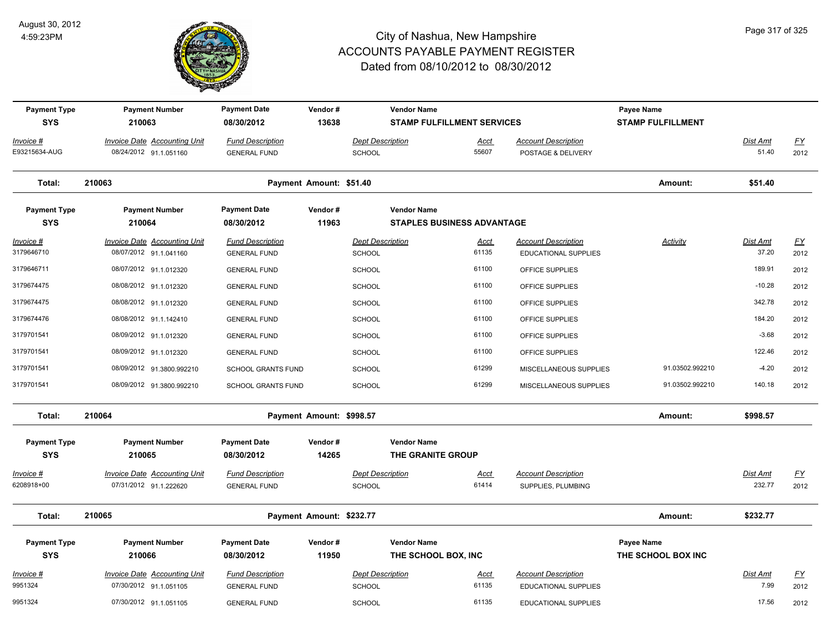

| <b>Payment Type</b><br><b>SYS</b> | <b>Payment Number</b><br>210063                               | <b>Payment Date</b><br>08/30/2012              | Vendor#<br>13638         |                                          | <b>Vendor Name</b><br><b>STAMP FULFILLMENT SERVICES</b> |                      |                                                    | Payee Name<br><b>STAMP FULFILLMENT</b> |                           |                   |
|-----------------------------------|---------------------------------------------------------------|------------------------------------------------|--------------------------|------------------------------------------|---------------------------------------------------------|----------------------|----------------------------------------------------|----------------------------------------|---------------------------|-------------------|
| Invoice #<br>E93215634-AUG        | <b>Invoice Date Accounting Unit</b><br>08/24/2012 91.1.051160 | <b>Fund Description</b><br><b>GENERAL FUND</b> |                          | <b>Dept Description</b><br><b>SCHOOL</b> |                                                         | <u>Acct</u><br>55607 | <b>Account Description</b><br>POSTAGE & DELIVERY   |                                        | Dist Amt<br>51.40         | <u>FY</u><br>2012 |
| Total:                            | 210063                                                        |                                                | Payment Amount: \$51.40  |                                          |                                                         |                      |                                                    | Amount:                                | \$51.40                   |                   |
| <b>Payment Type</b><br><b>SYS</b> | <b>Payment Number</b><br>210064                               | <b>Payment Date</b><br>08/30/2012              | Vendor#<br>11963         |                                          | <b>Vendor Name</b><br><b>STAPLES BUSINESS ADVANTAGE</b> |                      |                                                    |                                        |                           |                   |
| $Invoice$ #<br>3179646710         | <b>Invoice Date Accounting Unit</b><br>08/07/2012 91.1.041160 | <b>Fund Description</b><br><b>GENERAL FUND</b> |                          | <b>Dept Description</b><br><b>SCHOOL</b> |                                                         | <u>Acct</u><br>61135 | <b>Account Description</b><br>EDUCATIONAL SUPPLIES | <b>Activity</b>                        | <b>Dist Amt</b><br>37.20  | <u>FY</u><br>2012 |
| 3179646711                        | 08/07/2012 91.1.012320                                        | <b>GENERAL FUND</b>                            |                          | <b>SCHOOL</b>                            |                                                         | 61100                | OFFICE SUPPLIES                                    |                                        | 189.91                    | 2012              |
| 3179674475                        | 08/08/2012 91.1.012320                                        | <b>GENERAL FUND</b>                            |                          | <b>SCHOOL</b>                            |                                                         | 61100                | OFFICE SUPPLIES                                    |                                        | $-10.28$                  | 2012              |
| 3179674475                        | 08/08/2012 91.1.012320                                        | <b>GENERAL FUND</b>                            |                          | <b>SCHOOL</b>                            |                                                         | 61100                | OFFICE SUPPLIES                                    |                                        | 342.78                    | 2012              |
| 3179674476                        | 08/08/2012 91.1.142410                                        | <b>GENERAL FUND</b>                            |                          | <b>SCHOOL</b>                            |                                                         | 61100                | OFFICE SUPPLIES                                    |                                        | 184.20                    | 2012              |
| 3179701541                        | 08/09/2012 91.1.012320                                        | <b>GENERAL FUND</b>                            |                          | <b>SCHOOL</b>                            |                                                         | 61100                | OFFICE SUPPLIES                                    |                                        | $-3.68$                   | 2012              |
| 3179701541                        | 08/09/2012 91.1.012320                                        | <b>GENERAL FUND</b>                            |                          | <b>SCHOOL</b>                            |                                                         | 61100                | OFFICE SUPPLIES                                    |                                        | 122.46                    | 2012              |
| 3179701541                        | 08/09/2012 91.3800.992210                                     | <b>SCHOOL GRANTS FUND</b>                      |                          | <b>SCHOOL</b>                            |                                                         | 61299                | MISCELLANEOUS SUPPLIES                             | 91.03502.992210                        | $-4.20$                   | 2012              |
| 3179701541                        | 08/09/2012 91.3800.992210                                     | SCHOOL GRANTS FUND                             |                          | <b>SCHOOL</b>                            |                                                         | 61299                | MISCELLANEOUS SUPPLIES                             | 91.03502.992210                        | 140.18                    | 2012              |
| Total:                            | 210064                                                        |                                                | Payment Amount: \$998.57 |                                          |                                                         |                      |                                                    | Amount:                                | \$998.57                  |                   |
| <b>Payment Type</b>               | <b>Payment Number</b>                                         | <b>Payment Date</b>                            | Vendor#                  |                                          | <b>Vendor Name</b>                                      |                      |                                                    |                                        |                           |                   |
| <b>SYS</b>                        | 210065                                                        | 08/30/2012                                     | 14265                    |                                          | THE GRANITE GROUP                                       |                      |                                                    |                                        |                           |                   |
| Invoice #<br>6208918+00           | <b>Invoice Date Accounting Unit</b><br>07/31/2012 91.1.222620 | <b>Fund Description</b><br><b>GENERAL FUND</b> |                          | <b>Dept Description</b><br><b>SCHOOL</b> |                                                         | Acct<br>61414        | <b>Account Description</b><br>SUPPLIES, PLUMBING   |                                        | <b>Dist Amt</b><br>232.77 | <u>FY</u><br>2012 |
| Total:                            | 210065                                                        |                                                | Payment Amount: \$232.77 |                                          |                                                         |                      |                                                    | Amount:                                | \$232.77                  |                   |
| <b>Payment Type</b>               | <b>Payment Number</b>                                         | <b>Payment Date</b>                            | Vendor#                  |                                          | <b>Vendor Name</b>                                      |                      |                                                    | <b>Payee Name</b>                      |                           |                   |
| <b>SYS</b>                        | 210066                                                        | 08/30/2012                                     | 11950                    |                                          | THE SCHOOL BOX, INC                                     |                      |                                                    | THE SCHOOL BOX INC                     |                           |                   |
| Invoice #                         | <b>Invoice Date Accounting Unit</b>                           | <b>Fund Description</b>                        |                          | <b>Dept Description</b>                  |                                                         | <u>Acct</u>          | <b>Account Description</b>                         |                                        | Dist Amt                  | <u>FY</u>         |
| 9951324                           | 07/30/2012 91.1.051105                                        | <b>GENERAL FUND</b>                            |                          | SCHOOL                                   |                                                         | 61135                | <b>EDUCATIONAL SUPPLIES</b>                        |                                        | 7.99                      | 2012              |
| 9951324                           | 07/30/2012 91.1.051105                                        | <b>GENERAL FUND</b>                            |                          | SCHOOL                                   |                                                         | 61135                | EDUCATIONAL SUPPLIES                               |                                        | 17.56                     | 2012              |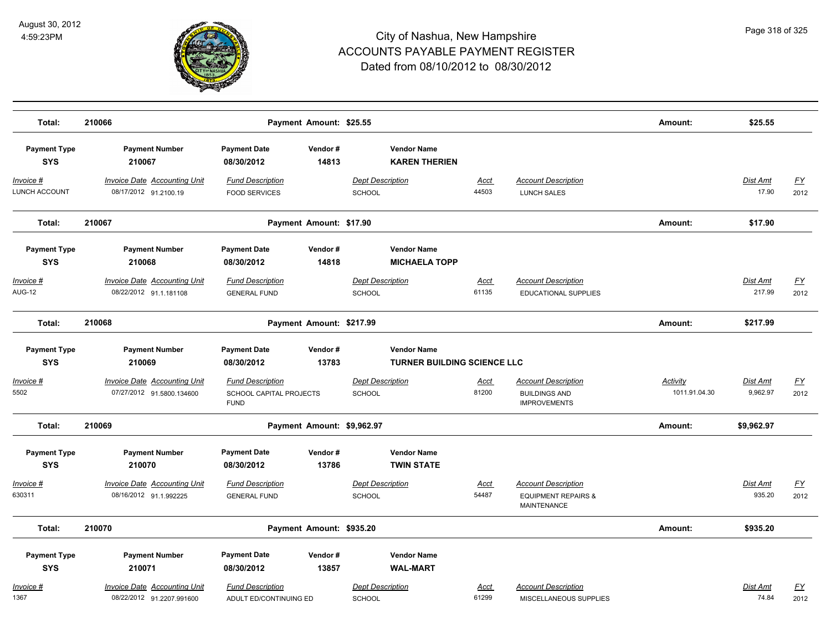

| Total:                            | 210066                                                           | Payment Amount: \$25.55                                           |                                            |                                    |                                                                                    | Amount:                   | \$25.55                   |                   |
|-----------------------------------|------------------------------------------------------------------|-------------------------------------------------------------------|--------------------------------------------|------------------------------------|------------------------------------------------------------------------------------|---------------------------|---------------------------|-------------------|
|                                   |                                                                  |                                                                   |                                            |                                    |                                                                                    |                           |                           |                   |
| <b>Payment Type</b><br><b>SYS</b> | <b>Payment Number</b><br>210067                                  | <b>Payment Date</b><br>Vendor#<br>14813<br>08/30/2012             | <b>Vendor Name</b><br><b>KAREN THERIEN</b> |                                    |                                                                                    |                           |                           |                   |
| Invoice #<br><b>LUNCH ACCOUNT</b> | <b>Invoice Date Accounting Unit</b><br>08/17/2012 91.2100.19     | <b>Fund Description</b><br><b>FOOD SERVICES</b>                   | <b>Dept Description</b><br>SCHOOL          | Acct<br>44503                      | <b>Account Description</b><br>LUNCH SALES                                          |                           | <b>Dist Amt</b><br>17.90  | <u>FY</u><br>2012 |
| Total:                            | 210067                                                           | Payment Amount: \$17.90                                           |                                            |                                    |                                                                                    | Amount:                   | \$17.90                   |                   |
| <b>Payment Type</b><br><b>SYS</b> | <b>Payment Number</b><br>210068                                  | <b>Payment Date</b><br>Vendor#<br>08/30/2012<br>14818             | <b>Vendor Name</b><br><b>MICHAELA TOPP</b> |                                    |                                                                                    |                           |                           |                   |
| <u>Invoice #</u><br><b>AUG-12</b> | <b>Invoice Date Accounting Unit</b><br>08/22/2012 91.1.181108    | <b>Fund Description</b><br><b>GENERAL FUND</b>                    | <b>Dept Description</b><br>SCHOOL          | <u>Acct</u><br>61135               | <b>Account Description</b><br><b>EDUCATIONAL SUPPLIES</b>                          |                           | <u>Dist Amt</u><br>217.99 | <u>FY</u><br>2012 |
| Total:                            | 210068                                                           | Payment Amount: \$217.99                                          |                                            |                                    |                                                                                    | Amount:                   | \$217.99                  |                   |
| <b>Payment Type</b><br><b>SYS</b> | <b>Payment Number</b><br>210069                                  | <b>Payment Date</b><br>Vendor#<br>13783<br>08/30/2012             | <b>Vendor Name</b>                         | <b>TURNER BUILDING SCIENCE LLC</b> |                                                                                    |                           |                           |                   |
|                                   |                                                                  |                                                                   |                                            |                                    |                                                                                    |                           |                           |                   |
| <u> Invoice #</u><br>5502         | <b>Invoice Date Accounting Unit</b><br>07/27/2012 91.5800.134600 | <b>Fund Description</b><br>SCHOOL CAPITAL PROJECTS<br><b>FUND</b> | <b>Dept Description</b><br><b>SCHOOL</b>   | Acct<br>81200                      | <b>Account Description</b><br><b>BUILDINGS AND</b><br><b>IMPROVEMENTS</b>          | Activity<br>1011.91.04.30 | Dist Amt<br>9,962.97      | <u>FY</u><br>2012 |
| Total:                            | 210069                                                           | Payment Amount: \$9,962.97                                        |                                            |                                    |                                                                                    | Amount:                   | \$9,962.97                |                   |
| <b>Payment Type</b><br><b>SYS</b> | <b>Payment Number</b><br>210070                                  | <b>Payment Date</b><br>Vendor#<br>13786<br>08/30/2012             | <b>Vendor Name</b><br><b>TWIN STATE</b>    |                                    |                                                                                    |                           |                           |                   |
| Invoice #<br>630311               | <b>Invoice Date Accounting Unit</b><br>08/16/2012 91.1.992225    | <b>Fund Description</b><br><b>GENERAL FUND</b>                    | <b>Dept Description</b><br>SCHOOL          | Acct<br>54487                      | <b>Account Description</b><br><b>EQUIPMENT REPAIRS &amp;</b><br><b>MAINTENANCE</b> |                           | Dist Amt<br>935.20        | <u>FY</u><br>2012 |
| Total:                            | 210070                                                           | Payment Amount: \$935.20                                          |                                            |                                    |                                                                                    | Amount:                   | \$935.20                  |                   |
| <b>Payment Type</b>               | <b>Payment Number</b>                                            | <b>Payment Date</b><br>Vendor#                                    | <b>Vendor Name</b>                         |                                    |                                                                                    |                           |                           |                   |
| <b>SYS</b>                        | 210071                                                           | 13857<br>08/30/2012                                               | <b>WAL-MART</b>                            |                                    |                                                                                    |                           |                           |                   |
| Invoice #<br>1367                 | <b>Invoice Date Accounting Unit</b><br>08/22/2012 91.2207.991600 | <b>Fund Description</b><br>ADULT ED/CONTINUING ED                 | <b>Dept Description</b><br><b>SCHOOL</b>   | <b>Acct</b><br>61299               | <b>Account Description</b><br>MISCELLANEOUS SUPPLIES                               |                           | <b>Dist Amt</b><br>74.84  | <u>FY</u><br>2012 |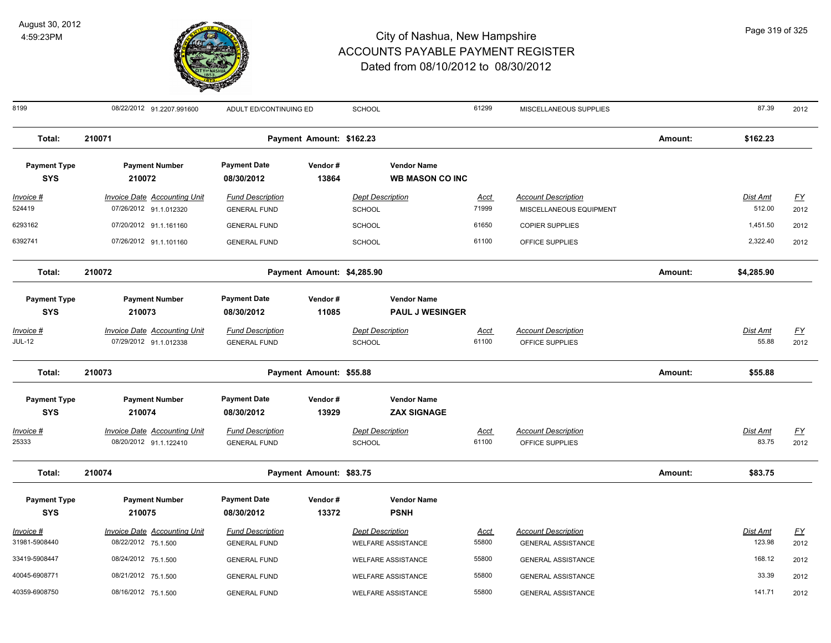

| 8199                              | 08/22/2012 91.2207.991600                                     | ADULT ED/CONTINUING ED                         |                            | <b>SCHOOL</b>                                        | 61299                | MISCELLANEOUS SUPPLIES                                  |         | 87.39                     | 2012              |
|-----------------------------------|---------------------------------------------------------------|------------------------------------------------|----------------------------|------------------------------------------------------|----------------------|---------------------------------------------------------|---------|---------------------------|-------------------|
| Total:                            | 210071                                                        |                                                | Payment Amount: \$162.23   |                                                      |                      |                                                         | Amount: | \$162.23                  |                   |
| <b>Payment Type</b><br><b>SYS</b> | <b>Payment Number</b><br>210072                               | <b>Payment Date</b><br>08/30/2012              | Vendor#<br>13864           | <b>Vendor Name</b><br><b>WB MASON CO INC</b>         |                      |                                                         |         |                           |                   |
| Invoice #<br>524419               | <b>Invoice Date Accounting Unit</b><br>07/26/2012 91.1.012320 | <b>Fund Description</b><br><b>GENERAL FUND</b> |                            | <b>Dept Description</b><br><b>SCHOOL</b>             | Acct<br>71999        | <b>Account Description</b><br>MISCELLANEOUS EQUIPMENT   |         | <b>Dist Amt</b><br>512.00 | <u>FY</u><br>2012 |
| 6293162                           | 07/20/2012 91.1.161160                                        | <b>GENERAL FUND</b>                            |                            | <b>SCHOOL</b>                                        | 61650                | <b>COPIER SUPPLIES</b>                                  |         | 1,451.50                  | 2012              |
| 6392741                           | 07/26/2012 91.1.101160                                        | <b>GENERAL FUND</b>                            |                            | <b>SCHOOL</b>                                        | 61100                | OFFICE SUPPLIES                                         |         | 2,322.40                  | 2012              |
| Total:                            | 210072                                                        |                                                | Payment Amount: \$4,285.90 |                                                      |                      |                                                         | Amount: | \$4,285.90                |                   |
| <b>Payment Type</b><br><b>SYS</b> | <b>Payment Number</b><br>210073                               | <b>Payment Date</b><br>08/30/2012              | Vendor#<br>11085           | <b>Vendor Name</b><br><b>PAUL J WESINGER</b>         |                      |                                                         |         |                           |                   |
| Invoice #<br><b>JUL-12</b>        | <b>Invoice Date Accounting Unit</b><br>07/29/2012 91.1.012338 | <b>Fund Description</b><br><b>GENERAL FUND</b> |                            | <b>Dept Description</b><br>SCHOOL                    | <u>Acct</u><br>61100 | <b>Account Description</b><br>OFFICE SUPPLIES           |         | Dist Amt<br>55.88         | EY<br>2012        |
| Total:                            | 210073                                                        |                                                | Payment Amount: \$55.88    |                                                      |                      |                                                         | Amount: | \$55.88                   |                   |
| <b>Payment Type</b><br><b>SYS</b> | <b>Payment Number</b><br>210074                               | <b>Payment Date</b><br>08/30/2012              | Vendor#<br>13929           | <b>Vendor Name</b><br><b>ZAX SIGNAGE</b>             |                      |                                                         |         |                           |                   |
| <u>Invoice #</u><br>25333         | <b>Invoice Date Accounting Unit</b><br>08/20/2012 91.1.122410 | <b>Fund Description</b><br><b>GENERAL FUND</b> |                            | <b>Dept Description</b><br>SCHOOL                    | <u>Acct</u><br>61100 | <b>Account Description</b><br>OFFICE SUPPLIES           |         | <b>Dist Amt</b><br>83.75  | <u>FY</u><br>2012 |
| Total:                            | 210074                                                        |                                                | Payment Amount: \$83.75    |                                                      |                      |                                                         | Amount: | \$83.75                   |                   |
| <b>Payment Type</b><br><b>SYS</b> | <b>Payment Number</b><br>210075                               | <b>Payment Date</b><br>08/30/2012              | Vendor#<br>13372           | <b>Vendor Name</b><br><b>PSNH</b>                    |                      |                                                         |         |                           |                   |
| Invoice #<br>31981-5908440        | <b>Invoice Date Accounting Unit</b><br>08/22/2012 75.1.500    | <b>Fund Description</b><br><b>GENERAL FUND</b> |                            | <b>Dept Description</b><br><b>WELFARE ASSISTANCE</b> | <u>Acct</u><br>55800 | <b>Account Description</b><br><b>GENERAL ASSISTANCE</b> |         | Dist Amt<br>123.98        | EY<br>2012        |
| 33419-5908447                     | 08/24/2012 75.1.500                                           | <b>GENERAL FUND</b>                            |                            | <b>WELFARE ASSISTANCE</b>                            | 55800                | <b>GENERAL ASSISTANCE</b>                               |         | 168.12                    | 2012              |
| 40045-6908771                     | 08/21/2012 75.1.500                                           | <b>GENERAL FUND</b>                            |                            | <b>WELFARE ASSISTANCE</b>                            | 55800                | <b>GENERAL ASSISTANCE</b>                               |         | 33.39                     | 2012              |
| 40359-6908750                     | 08/16/2012 75.1.500                                           | <b>GENERAL FUND</b>                            |                            | <b>WELFARE ASSISTANCE</b>                            | 55800                | <b>GENERAL ASSISTANCE</b>                               |         | 141.71                    | 2012              |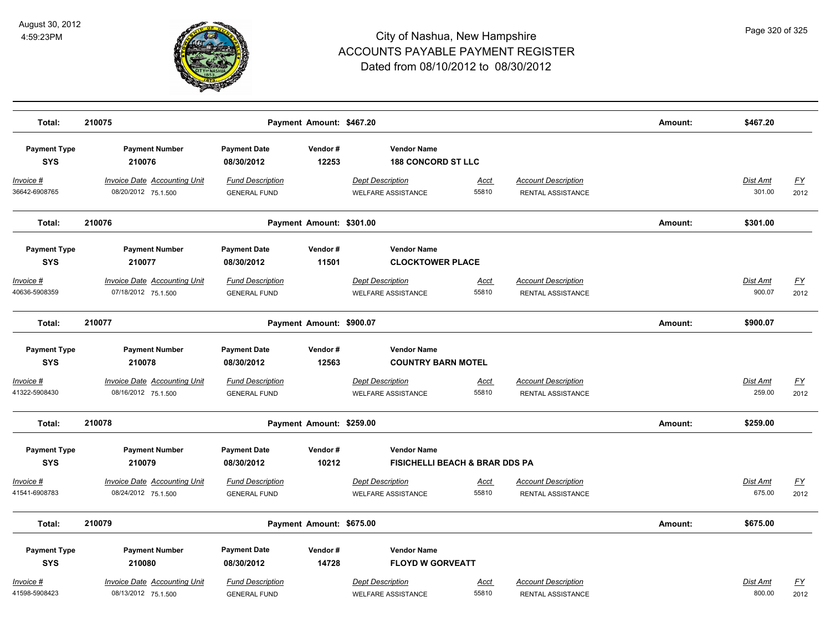

| Total:                            | 210075                                                     |                                                | Payment Amount: \$467.20 |                                                                 |                      |                                                 | Amount: | \$467.20                  |                   |
|-----------------------------------|------------------------------------------------------------|------------------------------------------------|--------------------------|-----------------------------------------------------------------|----------------------|-------------------------------------------------|---------|---------------------------|-------------------|
| <b>Payment Type</b><br><b>SYS</b> | <b>Payment Number</b><br>210076                            | <b>Payment Date</b><br>08/30/2012              | Vendor#<br>12253         | <b>Vendor Name</b><br><b>188 CONCORD ST LLC</b>                 |                      |                                                 |         |                           |                   |
| Invoice #<br>36642-6908765        | <b>Invoice Date Accounting Unit</b><br>08/20/2012 75.1.500 | <b>Fund Description</b><br><b>GENERAL FUND</b> |                          | <b>Dept Description</b><br><b>WELFARE ASSISTANCE</b>            | <u>Acct</u><br>55810 | <b>Account Description</b><br>RENTAL ASSISTANCE |         | Dist Amt<br>301.00        | <u>FY</u><br>2012 |
| Total:                            | 210076                                                     |                                                | Payment Amount: \$301.00 |                                                                 |                      |                                                 | Amount: | \$301.00                  |                   |
| <b>Payment Type</b><br><b>SYS</b> | <b>Payment Number</b><br>210077                            | <b>Payment Date</b><br>08/30/2012              | Vendor#<br>11501         | <b>Vendor Name</b><br><b>CLOCKTOWER PLACE</b>                   |                      |                                                 |         |                           |                   |
| Invoice #<br>40636-5908359        | <b>Invoice Date Accounting Unit</b><br>07/18/2012 75.1.500 | <b>Fund Description</b><br><b>GENERAL FUND</b> |                          | <b>Dept Description</b><br><b>WELFARE ASSISTANCE</b>            | Acct<br>55810        | <b>Account Description</b><br>RENTAL ASSISTANCE |         | Dist Amt<br>900.07        | <u>FY</u><br>2012 |
| Total:                            | 210077                                                     |                                                | Payment Amount: \$900.07 |                                                                 |                      |                                                 | Amount: | \$900.07                  |                   |
| <b>Payment Type</b><br><b>SYS</b> | <b>Payment Number</b><br>210078                            | <b>Payment Date</b><br>08/30/2012              | Vendor#<br>12563         | <b>Vendor Name</b><br><b>COUNTRY BARN MOTEL</b>                 |                      |                                                 |         |                           |                   |
| <u>Invoice #</u><br>41322-5908430 | <b>Invoice Date Accounting Unit</b><br>08/16/2012 75.1.500 | <b>Fund Description</b><br><b>GENERAL FUND</b> |                          | <b>Dept Description</b><br><b>WELFARE ASSISTANCE</b>            | <u>Acct</u><br>55810 | <b>Account Description</b><br>RENTAL ASSISTANCE |         | <b>Dist Amt</b><br>259.00 | <u>FY</u><br>2012 |
| Total:                            | 210078                                                     |                                                | Payment Amount: \$259.00 |                                                                 |                      |                                                 | Amount: | \$259.00                  |                   |
| <b>Payment Type</b><br><b>SYS</b> | <b>Payment Number</b><br>210079                            | <b>Payment Date</b><br>08/30/2012              | Vendor#<br>10212         | <b>Vendor Name</b><br><b>FISICHELLI BEACH &amp; BRAR DDS PA</b> |                      |                                                 |         |                           |                   |
| Invoice #<br>41541-6908783        | <b>Invoice Date Accounting Unit</b><br>08/24/2012 75.1.500 | <b>Fund Description</b><br><b>GENERAL FUND</b> |                          | <b>Dept Description</b><br><b>WELFARE ASSISTANCE</b>            | <u>Acct</u><br>55810 | <b>Account Description</b><br>RENTAL ASSISTANCE |         | <b>Dist Amt</b><br>675.00 | <u>FY</u><br>2012 |
| Total:                            | 210079                                                     |                                                | Payment Amount: \$675.00 |                                                                 |                      |                                                 | Amount: | \$675.00                  |                   |
| <b>Payment Type</b><br><b>SYS</b> | <b>Payment Number</b><br>210080                            | <b>Payment Date</b><br>08/30/2012              | Vendor#<br>14728         | <b>Vendor Name</b><br><b>FLOYD W GORVEATT</b>                   |                      |                                                 |         |                           |                   |
| Invoice #<br>41598-5908423        | <b>Invoice Date Accounting Unit</b><br>08/13/2012 75.1.500 | <b>Fund Description</b><br><b>GENERAL FUND</b> |                          | <b>Dept Description</b><br><b>WELFARE ASSISTANCE</b>            | Acct<br>55810        | <b>Account Description</b><br>RENTAL ASSISTANCE |         | Dist Amt<br>800.00        | <u>FY</u><br>2012 |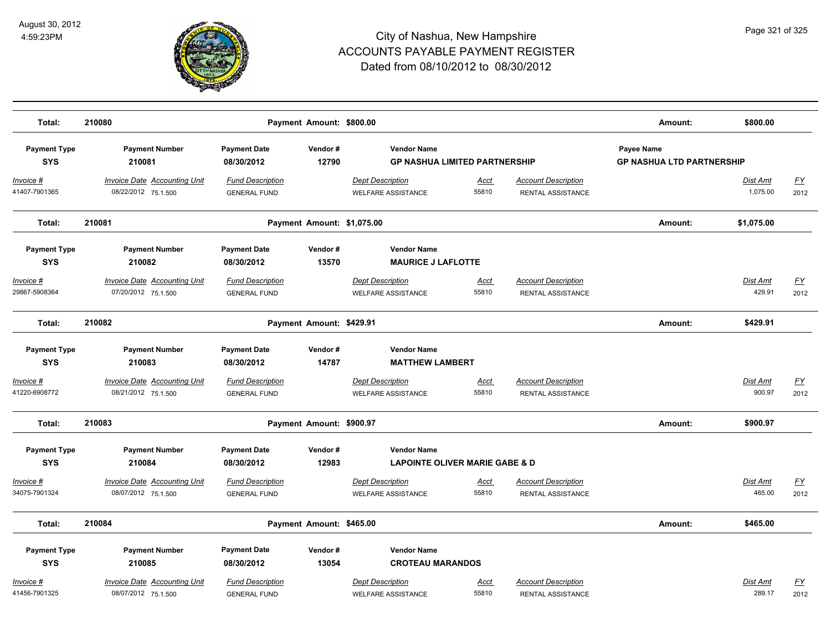

| Total:                                         | 210080                                                                 |                                                              | Payment Amount: \$800.00   |                                                                                            |                      |                                                        | Amount:                                        | \$800.00             |                   |
|------------------------------------------------|------------------------------------------------------------------------|--------------------------------------------------------------|----------------------------|--------------------------------------------------------------------------------------------|----------------------|--------------------------------------------------------|------------------------------------------------|----------------------|-------------------|
| <b>Payment Type</b><br><b>SYS</b>              | <b>Payment Number</b><br>210081                                        | <b>Payment Date</b><br>08/30/2012                            | Vendor#<br>12790           | <b>Vendor Name</b><br><b>GP NASHUA LIMITED PARTNERSHIP</b>                                 |                      |                                                        | Payee Name<br><b>GP NASHUA LTD PARTNERSHIP</b> |                      |                   |
| $Invoice$ #<br>41407-7901365                   | <b>Invoice Date Accounting Unit</b><br>08/22/2012 75.1.500             | <b>Fund Description</b><br><b>GENERAL FUND</b>               |                            | <b>Dept Description</b><br><b>WELFARE ASSISTANCE</b>                                       | <u>Acct</u><br>55810 | <b>Account Description</b><br>RENTAL ASSISTANCE        |                                                | Dist Amt<br>1,075.00 | <u>FY</u><br>2012 |
| Total:                                         | 210081                                                                 |                                                              | Payment Amount: \$1,075.00 |                                                                                            |                      |                                                        | Amount:                                        | \$1,075.00           |                   |
| <b>Payment Type</b><br><b>SYS</b>              | <b>Payment Number</b><br>210082                                        | <b>Payment Date</b><br>08/30/2012                            | Vendor#<br>13570           | <b>Vendor Name</b><br><b>MAURICE J LAFLOTTE</b>                                            |                      |                                                        |                                                |                      |                   |
| Invoice #<br>29867-5908364                     | <b>Invoice Date Accounting Unit</b><br>07/20/2012 75.1.500             | <b>Fund Description</b><br><b>GENERAL FUND</b>               |                            | <b>Dept Description</b><br><b>WELFARE ASSISTANCE</b>                                       | Acct<br>55810        | <b>Account Description</b><br>RENTAL ASSISTANCE        |                                                | Dist Amt<br>429.91   | EY<br>2012        |
| Total:                                         | 210082                                                                 |                                                              | Payment Amount: \$429.91   |                                                                                            |                      |                                                        | Amount:                                        | \$429.91             |                   |
| <b>Payment Type</b><br><b>SYS</b>              | <b>Payment Number</b><br>210083                                        | <b>Payment Date</b><br>08/30/2012                            | Vendor#<br>14787           | <b>Vendor Name</b><br><b>MATTHEW LAMBERT</b>                                               |                      |                                                        |                                                |                      |                   |
| <u> Invoice #</u><br>41220-6908772             | <b>Invoice Date Accounting Unit</b><br>08/21/2012 75.1.500             | <b>Fund Description</b><br><b>GENERAL FUND</b>               |                            | <b>Dept Description</b><br><b>WELFARE ASSISTANCE</b>                                       | Acct<br>55810        | <b>Account Description</b><br><b>RENTAL ASSISTANCE</b> |                                                | Dist Amt<br>900.97   | EY<br>2012        |
| Total:                                         | 210083                                                                 |                                                              | Payment Amount: \$900.97   |                                                                                            |                      |                                                        | Amount:                                        | \$900.97             |                   |
| <b>Payment Type</b><br><b>SYS</b><br>Invoice # | <b>Payment Number</b><br>210084<br><b>Invoice Date Accounting Unit</b> | <b>Payment Date</b><br>08/30/2012<br><b>Fund Description</b> | Vendor#<br>12983           | <b>Vendor Name</b><br><b>LAPOINTE OLIVER MARIE GABE &amp; D</b><br><b>Dept Description</b> | <u>Acct</u>          | <b>Account Description</b>                             |                                                | <b>Dist Amt</b>      | $\underline{FY}$  |
| 34075-7901324                                  | 08/07/2012 75.1.500                                                    | <b>GENERAL FUND</b>                                          |                            | <b>WELFARE ASSISTANCE</b>                                                                  | 55810                | RENTAL ASSISTANCE                                      |                                                | 465.00               | 2012              |
| Total:                                         | 210084                                                                 |                                                              | Payment Amount: \$465.00   |                                                                                            |                      |                                                        | Amount:                                        | \$465.00             |                   |
| <b>Payment Type</b><br><b>SYS</b>              | <b>Payment Number</b><br>210085                                        | <b>Payment Date</b><br>08/30/2012                            | Vendor#<br>13054           | <b>Vendor Name</b><br><b>CROTEAU MARANDOS</b>                                              |                      |                                                        |                                                |                      |                   |
| Invoice #<br>41456-7901325                     | Invoice Date Accounting Unit<br>08/07/2012 75.1.500                    | <b>Fund Description</b><br><b>GENERAL FUND</b>               |                            | <b>Dept Description</b><br><b>WELFARE ASSISTANCE</b>                                       | Acct<br>55810        | <b>Account Description</b><br>RENTAL ASSISTANCE        |                                                | Dist Amt<br>289.17   | EY<br>2012        |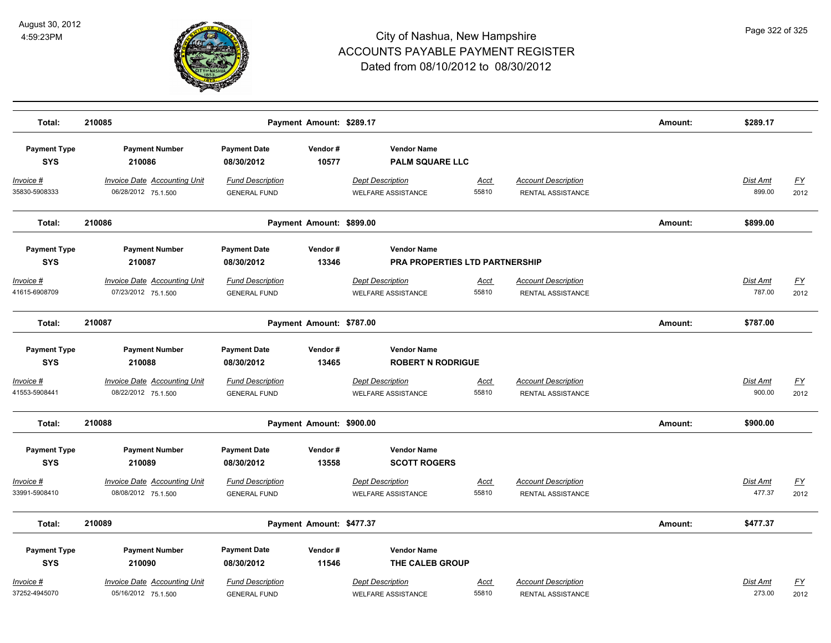

| Total:                             | 210085                                                     |                                                | Payment Amount: \$289.17 |                                                      |                      |                                                        | Amount: | \$289.17                  |                                   |
|------------------------------------|------------------------------------------------------------|------------------------------------------------|--------------------------|------------------------------------------------------|----------------------|--------------------------------------------------------|---------|---------------------------|-----------------------------------|
|                                    |                                                            |                                                |                          |                                                      |                      |                                                        |         |                           |                                   |
| <b>Payment Type</b><br><b>SYS</b>  | <b>Payment Number</b><br>210086                            | <b>Payment Date</b><br>08/30/2012              | Vendor#<br>10577         | <b>Vendor Name</b><br><b>PALM SQUARE LLC</b>         |                      |                                                        |         |                           |                                   |
| <u> Invoice #</u><br>35830-5908333 | <b>Invoice Date Accounting Unit</b><br>06/28/2012 75.1.500 | <b>Fund Description</b><br><b>GENERAL FUND</b> |                          | <b>Dept Description</b><br><b>WELFARE ASSISTANCE</b> | <u>Acct</u><br>55810 | <b>Account Description</b><br>RENTAL ASSISTANCE        |         | <b>Dist Amt</b><br>899.00 | <u>FY</u><br>2012                 |
| Total:                             | 210086                                                     |                                                | Payment Amount: \$899.00 |                                                      |                      |                                                        | Amount: | \$899.00                  |                                   |
| <b>Payment Type</b>                | <b>Payment Number</b>                                      | <b>Payment Date</b>                            | Vendor#                  | <b>Vendor Name</b>                                   |                      |                                                        |         |                           |                                   |
| <b>SYS</b>                         | 210087                                                     | 08/30/2012                                     | 13346                    | <b>PRA PROPERTIES LTD PARTNERSHIP</b>                |                      |                                                        |         |                           |                                   |
| <u> Invoice #</u><br>41615-6908709 | <b>Invoice Date Accounting Unit</b><br>07/23/2012 75.1.500 | <b>Fund Description</b><br><b>GENERAL FUND</b> |                          | <b>Dept Description</b><br><b>WELFARE ASSISTANCE</b> | <u>Acct</u><br>55810 | <b>Account Description</b><br>RENTAL ASSISTANCE        |         | Dist Amt<br>787.00        | $\underline{\mathsf{FY}}$<br>2012 |
| Total:                             | 210087                                                     |                                                | Payment Amount: \$787.00 |                                                      |                      |                                                        | Amount: | \$787.00                  |                                   |
| <b>Payment Type</b><br><b>SYS</b>  | <b>Payment Number</b><br>210088                            | <b>Payment Date</b><br>08/30/2012              | Vendor#<br>13465         | <b>Vendor Name</b><br><b>ROBERT N RODRIGUE</b>       |                      |                                                        |         |                           |                                   |
| <u> Invoice #</u><br>41553-5908441 | <b>Invoice Date Accounting Unit</b><br>08/22/2012 75.1.500 | <b>Fund Description</b><br><b>GENERAL FUND</b> |                          | <b>Dept Description</b><br><b>WELFARE ASSISTANCE</b> | <u>Acct</u><br>55810 | <b>Account Description</b><br><b>RENTAL ASSISTANCE</b> |         | Dist Amt<br>900.00        | EY<br>2012                        |
| Total:                             | 210088                                                     |                                                | Payment Amount: \$900.00 |                                                      |                      |                                                        | Amount: | \$900.00                  |                                   |
| <b>Payment Type</b><br><b>SYS</b>  | <b>Payment Number</b><br>210089                            | <b>Payment Date</b><br>08/30/2012              | Vendor#<br>13558         | <b>Vendor Name</b><br><b>SCOTT ROGERS</b>            |                      |                                                        |         |                           |                                   |
| <u> Invoice #</u><br>33991-5908410 | <b>Invoice Date Accounting Unit</b><br>08/08/2012 75.1.500 | <b>Fund Description</b><br><b>GENERAL FUND</b> |                          | <b>Dept Description</b><br><b>WELFARE ASSISTANCE</b> | <u>Acct</u><br>55810 | <b>Account Description</b><br>RENTAL ASSISTANCE        |         | <b>Dist Amt</b><br>477.37 | $\underline{FY}$<br>2012          |
| Total:                             | 210089                                                     |                                                | Payment Amount: \$477.37 |                                                      |                      |                                                        | Amount: | \$477.37                  |                                   |
| <b>Payment Type</b>                | <b>Payment Number</b>                                      | <b>Payment Date</b>                            | Vendor#                  | <b>Vendor Name</b>                                   |                      |                                                        |         |                           |                                   |
| <b>SYS</b>                         | 210090                                                     | 08/30/2012                                     | 11546                    | THE CALEB GROUP                                      |                      |                                                        |         |                           |                                   |
| Invoice #<br>37252-4945070         | <b>Invoice Date Accounting Unit</b><br>05/16/2012 75.1.500 | <b>Fund Description</b><br><b>GENERAL FUND</b> |                          | <b>Dept Description</b><br><b>WELFARE ASSISTANCE</b> | Acct<br>55810        | <b>Account Description</b><br>RENTAL ASSISTANCE        |         | Dist Amt<br>273.00        | $\underline{FY}$<br>2012          |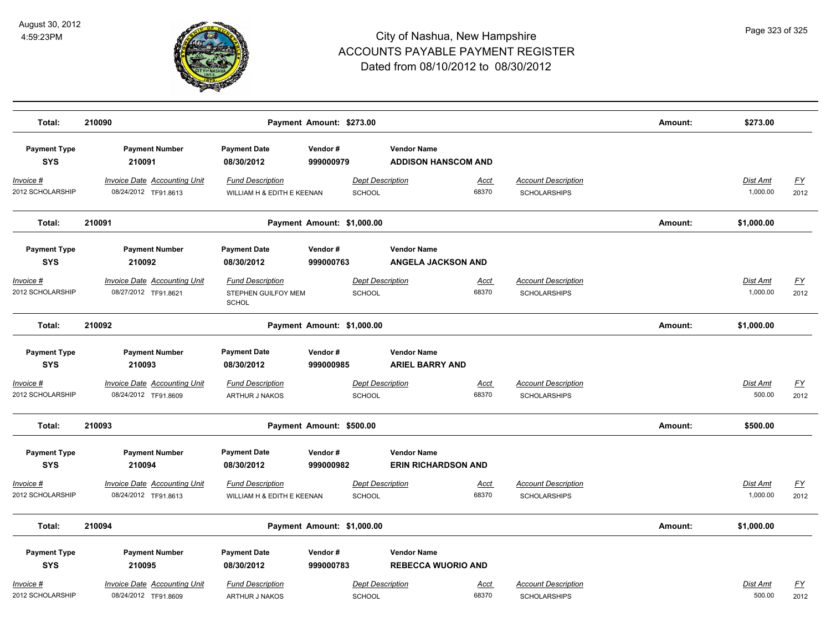

| Total:                               | 210090                                                      |                                                                | Payment Amount: \$273.00   |                                                  |                      |                                                   | Amount: | \$273.00                    |                   |
|--------------------------------------|-------------------------------------------------------------|----------------------------------------------------------------|----------------------------|--------------------------------------------------|----------------------|---------------------------------------------------|---------|-----------------------------|-------------------|
| <b>Payment Type</b><br><b>SYS</b>    | <b>Payment Number</b><br>210091                             | <b>Payment Date</b><br>08/30/2012                              | Vendor#<br>999000979       | <b>Vendor Name</b><br><b>ADDISON HANSCOM AND</b> |                      |                                                   |         |                             |                   |
| <u>Invoice #</u><br>2012 SCHOLARSHIP | <b>Invoice Date Accounting Unit</b><br>08/24/2012 TF91.8613 | <b>Fund Description</b><br>WILLIAM H & EDITH E KEENAN          |                            | <b>Dept Description</b><br><b>SCHOOL</b>         | <b>Acct</b><br>68370 | <b>Account Description</b><br><b>SCHOLARSHIPS</b> |         | <b>Dist Amt</b><br>1,000.00 | <u>FY</u><br>2012 |
| Total:                               | 210091                                                      |                                                                | Payment Amount: \$1,000.00 |                                                  |                      |                                                   | Amount: | \$1,000.00                  |                   |
| <b>Payment Type</b><br><b>SYS</b>    | <b>Payment Number</b><br>210092                             | <b>Payment Date</b><br>08/30/2012                              | Vendor#<br>999000763       | <b>Vendor Name</b><br><b>ANGELA JACKSON AND</b>  |                      |                                                   |         |                             |                   |
| Invoice #<br>2012 SCHOLARSHIP        | <b>Invoice Date Accounting Unit</b><br>08/27/2012 TF91.8621 | <b>Fund Description</b><br>STEPHEN GUILFOY MEM<br><b>SCHOL</b> |                            | <b>Dept Description</b><br><b>SCHOOL</b>         | Acct<br>68370        | <b>Account Description</b><br><b>SCHOLARSHIPS</b> |         | Dist Amt<br>1,000.00        | <u>FY</u><br>2012 |
| Total:                               | 210092                                                      |                                                                | Payment Amount: \$1,000.00 |                                                  |                      |                                                   | Amount: | \$1,000.00                  |                   |
| <b>Payment Type</b><br><b>SYS</b>    | <b>Payment Number</b><br>210093                             | <b>Payment Date</b><br>08/30/2012                              | Vendor#<br>999000985       | <b>Vendor Name</b><br><b>ARIEL BARRY AND</b>     |                      |                                                   |         |                             |                   |
| Invoice #<br>2012 SCHOLARSHIP        | Invoice Date Accounting Unit<br>08/24/2012 TF91.8609        | <b>Fund Description</b><br><b>ARTHUR J NAKOS</b>               |                            | <b>Dept Description</b><br>SCHOOL                | Acct<br>68370        | <b>Account Description</b><br><b>SCHOLARSHIPS</b> |         | Dist Amt<br>500.00          | <u>FY</u><br>2012 |
| Total:                               | 210093                                                      |                                                                | Payment Amount: \$500.00   |                                                  |                      |                                                   | Amount: | \$500.00                    |                   |
| <b>Payment Type</b><br><b>SYS</b>    | <b>Payment Number</b><br>210094                             | <b>Payment Date</b><br>08/30/2012                              | Vendor#<br>999000982       | <b>Vendor Name</b><br><b>ERIN RICHARDSON AND</b> |                      |                                                   |         |                             |                   |
| Invoice #<br>2012 SCHOLARSHIP        | <b>Invoice Date Accounting Unit</b><br>08/24/2012 TF91.8613 | <b>Fund Description</b><br>WILLIAM H & EDITH E KEENAN          |                            | <b>Dept Description</b><br><b>SCHOOL</b>         | <u>Acct</u><br>68370 | <b>Account Description</b><br><b>SCHOLARSHIPS</b> |         | Dist Amt<br>1,000.00        | <u>FY</u><br>2012 |
| Total:                               | 210094                                                      |                                                                | Payment Amount: \$1,000.00 |                                                  |                      |                                                   | Amount: | \$1,000.00                  |                   |
| <b>Payment Type</b><br><b>SYS</b>    | <b>Payment Number</b><br>210095                             | <b>Payment Date</b><br>08/30/2012                              | Vendor#<br>999000783       | <b>Vendor Name</b><br><b>REBECCA WUORIO AND</b>  |                      |                                                   |         |                             |                   |
| Invoice #<br>2012 SCHOLARSHIP        | <b>Invoice Date Accounting Unit</b><br>08/24/2012 TF91.8609 | <b>Fund Description</b><br>ARTHUR J NAKOS                      |                            | Dept Description<br><b>SCHOOL</b>                | Acct<br>68370        | <b>Account Description</b><br><b>SCHOLARSHIPS</b> |         | <b>Dist Amt</b><br>500.00   | <u>FY</u><br>2012 |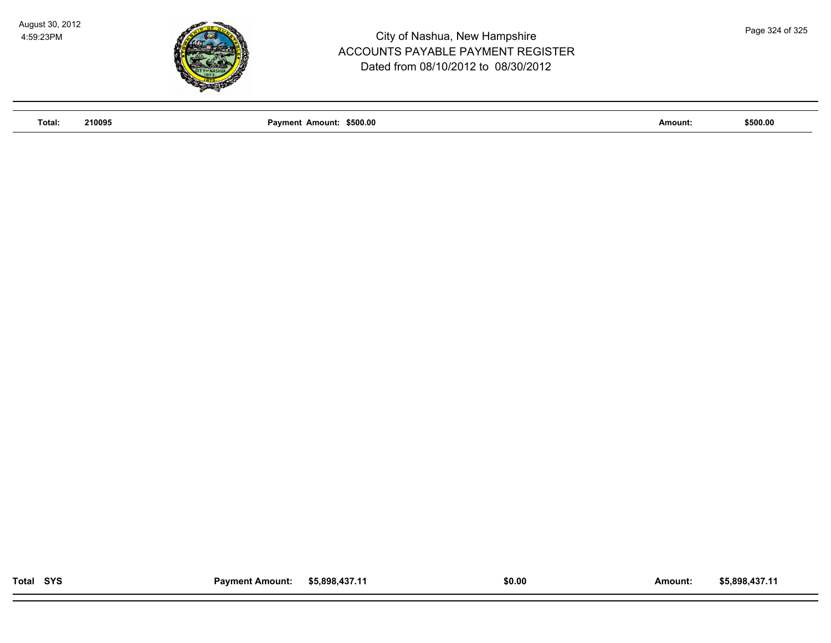

**Total: 210095 Payment Amount: \$500.00 Amount: \$500.00**